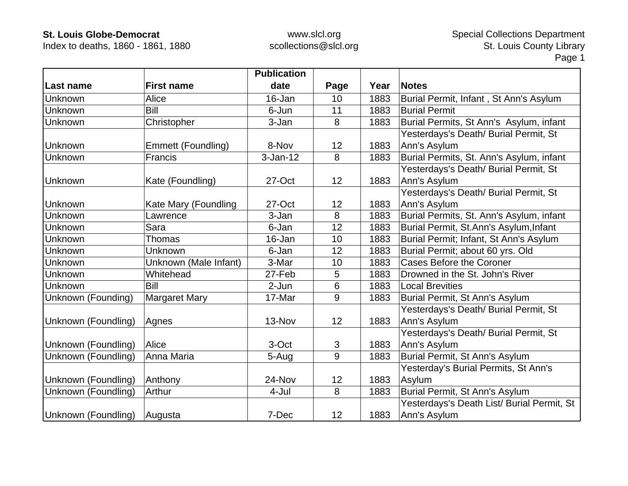Index to deaths, 1860 - 1861, 1880

|                     |                       | <b>Publication</b> |      |      |                                            |
|---------------------|-----------------------|--------------------|------|------|--------------------------------------------|
| Last name           | <b>First name</b>     | date               | Page | Year | <b>Notes</b>                               |
| Unknown             | Alice                 | 16-Jan             | 10   | 1883 | Burial Permit, Infant, St Ann's Asylum     |
| Unknown             | Bill                  | 6-Jun              | 11   | 1883 | <b>Burial Permit</b>                       |
| <b>Unknown</b>      | Christopher           | 3-Jan              | 8    | 1883 | Burial Permits, St Ann's Asylum, infant    |
|                     |                       |                    |      |      | Yesterdays's Death/ Burial Permit, St      |
| Unknown             | Emmett (Foundling)    | 8-Nov              | 12   | 1883 | Ann's Asylum                               |
| Unknown             | Francis               | $3-Jan-12$         | 8    | 1883 | Burial Permits, St. Ann's Asylum, infant   |
|                     |                       |                    |      |      | Yesterdays's Death/ Burial Permit, St      |
| <b>Unknown</b>      | Kate (Foundling)      | 27-Oct             | 12   | 1883 | Ann's Asylum                               |
|                     |                       |                    |      |      | Yesterdays's Death/ Burial Permit, St      |
| Unknown             | Kate Mary (Foundling  | 27-Oct             | 12   | 1883 | Ann's Asylum                               |
| Unknown             | Lawrence              | 3-Jan              | 8    | 1883 | Burial Permits, St. Ann's Asylum, infant   |
| Unknown             | Sara                  | 6-Jan              | 12   | 1883 | Burial Permit, St.Ann's Asylum, Infant     |
| Unknown             | Thomas                | 16-Jan             | 10   | 1883 | Burial Permit; Infant, St Ann's Asylum     |
| Unknown             | Unknown               | 6-Jan              | 12   | 1883 | Burial Permit; about 60 yrs. Old           |
| Unknown             | Unknown (Male Infant) | 3-Mar              | 10   | 1883 | <b>Cases Before the Coroner</b>            |
| Unknown             | Whitehead             | 27-Feb             | 5    | 1883 | Drowned in the St. John's River            |
| <b>Unknown</b>      | Bill                  | 2-Jun              | 6    | 1883 | <b>Local Brevities</b>                     |
| Unknown (Founding)  | <b>Margaret Mary</b>  | 17-Mar             | 9    | 1883 | Burial Permit, St Ann's Asylum             |
|                     |                       |                    |      |      | Yesterdays's Death/ Burial Permit, St      |
| Unknown (Foundling) | Agnes                 | 13-Nov             | 12   | 1883 | Ann's Asylum                               |
|                     |                       |                    |      |      | Yesterdays's Death/ Burial Permit, St      |
| Unknown (Foundling) | Alice                 | 3-Oct              | 3    | 1883 | Ann's Asylum                               |
| Unknown (Foundling) | Anna Maria            | 5-Aug              | 9    | 1883 | Burial Permit, St Ann's Asylum             |
|                     |                       |                    |      |      | Yesterday's Burial Permits, St Ann's       |
| Unknown (Foundling) | Anthony               | 24-Nov             | 12   | 1883 | Asylum                                     |
| Unknown (Foundling) | Arthur                | 4-Jul              | 8    | 1883 | Burial Permit, St Ann's Asylum             |
|                     |                       |                    |      |      | Yesterdays's Death List/ Burial Permit, St |
| Unknown (Foundling) | Augusta               | 7-Dec              | 12   | 1883 | Ann's Asylum                               |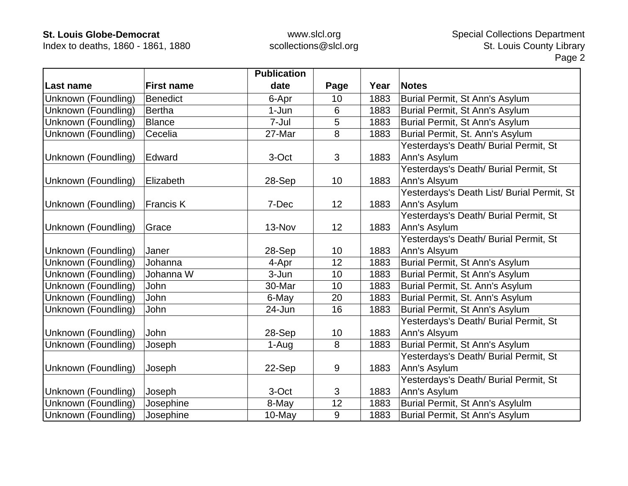Index to deaths, 1860 - 1861, 1880

|                     |                   | <b>Publication</b> |      |      |                                            |
|---------------------|-------------------|--------------------|------|------|--------------------------------------------|
| Last name           | <b>First name</b> | date               | Page | Year | <b>Notes</b>                               |
| Unknown (Foundling) | <b>Benedict</b>   | 6-Apr              | 10   | 1883 | Burial Permit, St Ann's Asylum             |
| Unknown (Foundling) | <b>Bertha</b>     | $1-Jun$            | 6    | 1883 | Burial Permit, St Ann's Asylum             |
| Unknown (Foundling) | <b>Blance</b>     | 7-Jul              | 5    | 1883 | Burial Permit, St Ann's Asylum             |
| Unknown (Foundling) | Cecelia           | 27-Mar             | 8    | 1883 | Burial Permit, St. Ann's Asylum            |
|                     |                   |                    |      |      | Yesterdays's Death/ Burial Permit, St      |
| Unknown (Foundling) | Edward            | 3-Oct              | 3    | 1883 | Ann's Asylum                               |
|                     |                   |                    |      |      | Yesterdays's Death/ Burial Permit, St      |
| Unknown (Foundling) | Elizabeth         | 28-Sep             | 10   | 1883 | Ann's Alsyum                               |
|                     |                   |                    |      |      | Yesterdays's Death List/ Burial Permit, St |
| Unknown (Foundling) | <b>Francis K</b>  | 7-Dec              | 12   | 1883 | Ann's Asylum                               |
|                     |                   |                    |      |      | Yesterdays's Death/ Burial Permit, St      |
| Unknown (Foundling) | Grace             | 13-Nov             | 12   | 1883 | Ann's Asylum                               |
|                     |                   |                    |      |      | Yesterdays's Death/ Burial Permit, St      |
| Unknown (Foundling) | Janer             | 28-Sep             | 10   | 1883 | Ann's Alsyum                               |
| Unknown (Foundling) | Johanna           | 4-Apr              | 12   | 1883 | Burial Permit, St Ann's Asylum             |
| Unknown (Foundling) | Johanna W         | 3-Jun              | 10   | 1883 | Burial Permit, St Ann's Asylum             |
| Unknown (Foundling) | John              | 30-Mar             | 10   | 1883 | Burial Permit, St. Ann's Asylum            |
| Unknown (Foundling) | John              | 6-May              | 20   | 1883 | Burial Permit, St. Ann's Asylum            |
| Unknown (Foundling) | John              | 24-Jun             | 16   | 1883 | Burial Permit, St Ann's Asylum             |
|                     |                   |                    |      |      | Yesterdays's Death/ Burial Permit, St      |
| Unknown (Foundling) | John              | 28-Sep             | 10   | 1883 | Ann's Alsyum                               |
| Unknown (Foundling) | Joseph            | 1-Aug              | 8    | 1883 | Burial Permit, St Ann's Asylum             |
|                     |                   |                    |      |      | Yesterdays's Death/ Burial Permit, St      |
| Unknown (Foundling) | Joseph            | 22-Sep             | 9    | 1883 | Ann's Asylum                               |
|                     |                   |                    |      |      | Yesterdays's Death/ Burial Permit, St      |
| Unknown (Foundling) | Joseph            | 3-Oct              | 3    | 1883 | Ann's Asylum                               |
| Unknown (Foundling) | Josephine         | 8-May              | 12   | 1883 | Burial Permit, St Ann's Asylulm            |
| Unknown (Foundling) | Josephine         | 10-May             | 9    | 1883 | Burial Permit, St Ann's Asylum             |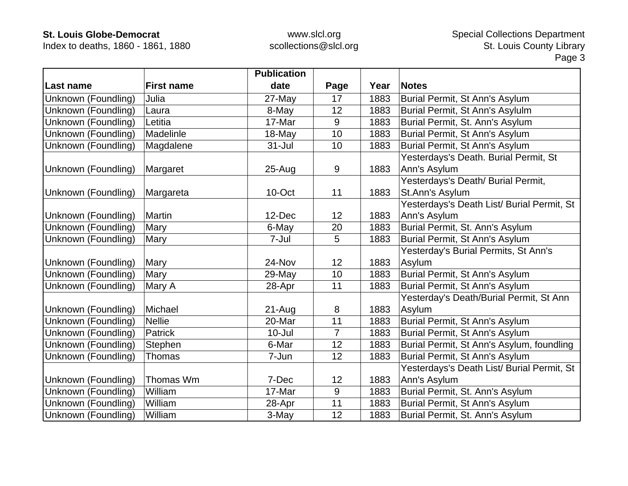Index to deaths, 1860 - 1861, 1880

|                     |                   | <b>Publication</b> |                |      |                                            |
|---------------------|-------------------|--------------------|----------------|------|--------------------------------------------|
| Last name           | <b>First name</b> | date               | Page           | Year | <b>Notes</b>                               |
| Unknown (Foundling) | Julia             | 27-May             | 17             | 1883 | Burial Permit, St Ann's Asylum             |
| Unknown (Foundling) | Laura             | 8-May              | 12             | 1883 | Burial Permit, St Ann's Asylulm            |
| Unknown (Foundling) | Letitia           | 17-Mar             | 9              | 1883 | Burial Permit, St. Ann's Asylum            |
| Unknown (Foundling) | Madelinle         | 18-May             | 10             | 1883 | Burial Permit, St Ann's Asylum             |
| Unknown (Foundling) | Magdalene         | $31 -$ Jul         | 10             | 1883 | Burial Permit, St Ann's Asylum             |
|                     |                   |                    |                |      | Yesterdays's Death. Burial Permit, St      |
| Unknown (Foundling) | Margaret          | $25 - Aug$         | 9              | 1883 | Ann's Asylum                               |
|                     |                   |                    |                |      | Yesterdays's Death/ Burial Permit,         |
| Unknown (Foundling) | Margareta         | 10-Oct             | 11             | 1883 | St.Ann's Asylum                            |
|                     |                   |                    |                |      | Yesterdays's Death List/ Burial Permit, St |
| Unknown (Foundling) | Martin            | 12-Dec             | 12             | 1883 | Ann's Asylum                               |
| Unknown (Foundling) | Mary              | 6-May              | 20             | 1883 | Burial Permit, St. Ann's Asylum            |
| Unknown (Foundling) | Mary              | 7-Jul              | 5              | 1883 | Burial Permit, St Ann's Asylum             |
|                     |                   |                    |                |      | Yesterday's Burial Permits, St Ann's       |
| Unknown (Foundling) | Mary              | 24-Nov             | 12             | 1883 | Asylum                                     |
| Unknown (Foundling) | Mary              | 29-May             | 10             | 1883 | Burial Permit, St Ann's Asylum             |
| Unknown (Foundling) | Mary A            | 28-Apr             | 11             | 1883 | Burial Permit, St Ann's Asylum             |
|                     |                   |                    |                |      | Yesterday's Death/Burial Permit, St Ann    |
| Unknown (Foundling) | Michael           | $21 - Aug$         | 8              | 1883 | Asylum                                     |
| Unknown (Foundling) | <b>Nellie</b>     | 20-Mar             | 11             | 1883 | Burial Permit, St Ann's Asylum             |
| Unknown (Foundling) | <b>Patrick</b>    | $10 -$ Jul         | $\overline{7}$ | 1883 | Burial Permit, St Ann's Asylum             |
| Unknown (Foundling) | Stephen           | 6-Mar              | 12             | 1883 | Burial Permit, St Ann's Asylum, foundling  |
| Unknown (Foundling) | Thomas            | 7-Jun              | 12             | 1883 | Burial Permit, St Ann's Asylum             |
|                     |                   |                    |                |      | Yesterdays's Death List/ Burial Permit, St |
| Unknown (Foundling) | Thomas Wm         | 7-Dec              | 12             | 1883 | Ann's Asylum                               |
| Unknown (Foundling) | William           | 17-Mar             | 9              | 1883 | Burial Permit, St. Ann's Asylum            |
| Unknown (Foundling) | William           | 28-Apr             | 11             | 1883 | Burial Permit, St Ann's Asylum             |
| Unknown (Foundling) | William           | 3-May              | 12             | 1883 | Burial Permit, St. Ann's Asylum            |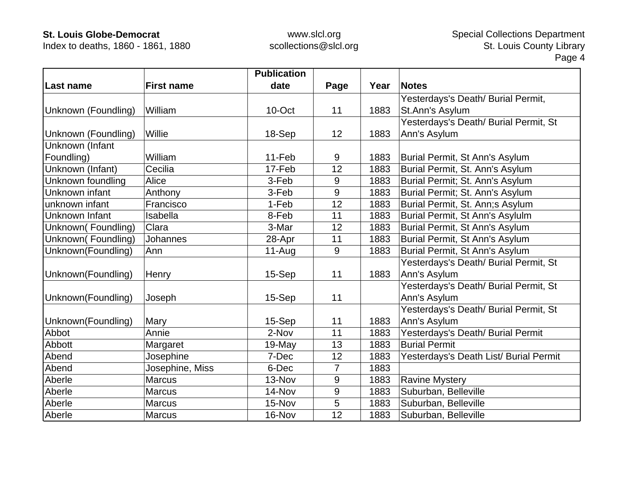Index to deaths, 1860 - 1861, 1880

|                     |                   | <b>Publication</b> |      |      |                                        |
|---------------------|-------------------|--------------------|------|------|----------------------------------------|
| Last name           | <b>First name</b> | date               | Page | Year | <b>Notes</b>                           |
|                     |                   |                    |      |      | Yesterdays's Death/ Burial Permit,     |
| Unknown (Foundling) | William           | 10-Oct             | 11   | 1883 | St.Ann's Asylum                        |
|                     |                   |                    |      |      | Yesterdays's Death/ Burial Permit, St  |
| Unknown (Foundling) | Willie            | 18-Sep             | 12   | 1883 | Ann's Asylum                           |
| Unknown (Infant     |                   |                    |      |      |                                        |
| Foundling)          | William           | 11-Feb             | 9    | 1883 | Burial Permit, St Ann's Asylum         |
| Unknown (Infant)    | Cecilia           | 17-Feb             | 12   | 1883 | Burial Permit, St. Ann's Asylum        |
| Unknown foundling   | Alice             | 3-Feb              | 9    | 1883 | Burial Permit; St. Ann's Asylum        |
| Unknown infant      | Anthony           | 3-Feb              | 9    | 1883 | Burial Permit; St. Ann's Asylum        |
| unknown infant      | Francisco         | 1-Feb              | 12   | 1883 | Burial Permit, St. Ann;s Asylum        |
| Unknown Infant      | Isabella          | 8-Feb              | 11   | 1883 | Burial Permit, St Ann's Asylulm        |
| Unknown(Foundling)  | Clara             | 3-Mar              | 12   | 1883 | Burial Permit, St Ann's Asylum         |
| Unknown(Foundling)  | <b>Johannes</b>   | 28-Apr             | 11   | 1883 | Burial Permit, St Ann's Asylum         |
| Unknown(Foundling)  | Ann               | $11-Au$ g          | 9    | 1883 | Burial Permit, St Ann's Asylum         |
|                     |                   |                    |      |      | Yesterdays's Death/ Burial Permit, St  |
| Unknown(Foundling)  | Henry             | 15-Sep             | 11   | 1883 | Ann's Asylum                           |
|                     |                   |                    |      |      | Yesterdays's Death/ Burial Permit, St  |
| Unknown(Foundling)  | Joseph            | 15-Sep             | 11   |      | Ann's Asylum                           |
|                     |                   |                    |      |      | Yesterdays's Death/ Burial Permit, St  |
| Unknown(Foundling)  | Mary              | 15-Sep             | 11   | 1883 | Ann's Asylum                           |
| Abbot               | Annie             | 2-Nov              | 11   | 1883 | Yesterdays's Death/ Burial Permit      |
| Abbott              | Margaret          | 19-May             | 13   | 1883 | <b>Burial Permit</b>                   |
| Abend               | Josephine         | 7-Dec              | 12   | 1883 | Yesterdays's Death List/ Burial Permit |
| Abend               | Josephine, Miss   | 6-Dec              | 7    | 1883 |                                        |
| Aberle              | <b>Marcus</b>     | 13-Nov             | 9    | 1883 | <b>Ravine Mystery</b>                  |
| Aberle              | <b>Marcus</b>     | 14-Nov             | 9    | 1883 | Suburban, Belleville                   |
| Aberle              | <b>Marcus</b>     | 15-Nov             | 5    | 1883 | Suburban, Belleville                   |
| Aberle              | <b>Marcus</b>     | 16-Nov             | 12   | 1883 | Suburban, Belleville                   |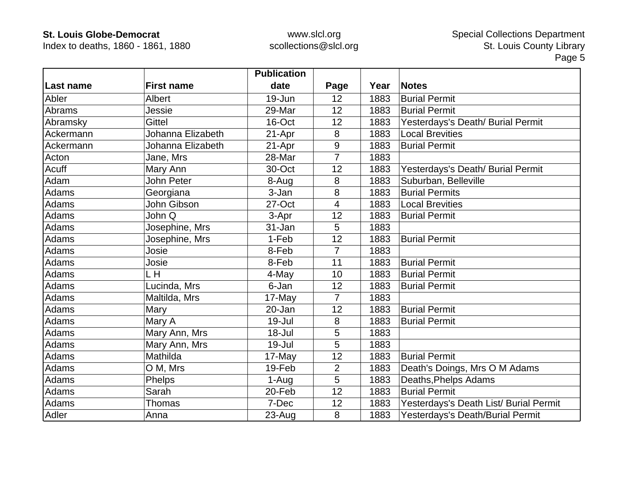Index to deaths, 1860 - 1861, 1880

|                  |                   | <b>Publication</b> |                |      |                                        |
|------------------|-------------------|--------------------|----------------|------|----------------------------------------|
| <b>Last name</b> | <b>First name</b> | date               | Page           | Year | <b>Notes</b>                           |
| Abler            | Albert            | 19-Jun             | 12             | 1883 | <b>Burial Permit</b>                   |
| Abrams           | Jessie            | 29-Mar             | 12             | 1883 | <b>Burial Permit</b>                   |
| Abramsky         | <b>Gittel</b>     | 16-Oct             | 12             | 1883 | Yesterdays's Death/ Burial Permit      |
| Ackermann        | Johanna Elizabeth | 21-Apr             | 8              | 1883 | <b>Local Brevities</b>                 |
| Ackermann        | Johanna Elizabeth | 21-Apr             | 9              | 1883 | <b>Burial Permit</b>                   |
| Acton            | Jane, Mrs         | 28-Mar             | $\overline{7}$ | 1883 |                                        |
| Acuff            | Mary Ann          | 30-Oct             | 12             | 1883 | Yesterdays's Death/ Burial Permit      |
| Adam             | John Peter        | 8-Aug              | 8              | 1883 | Suburban, Belleville                   |
| Adams            | Georgiana         | 3-Jan              | 8              | 1883 | <b>Burial Permits</b>                  |
| Adams            | John Gibson       | 27-Oct             | 4              | 1883 | <b>Local Brevities</b>                 |
| Adams            | John Q            | 3-Apr              | 12             | 1883 | <b>Burial Permit</b>                   |
| Adams            | Josephine, Mrs    | 31-Jan             | 5              | 1883 |                                        |
| Adams            | Josephine, Mrs    | 1-Feb              | 12             | 1883 | <b>Burial Permit</b>                   |
| Adams            | Josie             | 8-Feb              | $\overline{7}$ | 1883 |                                        |
| Adams            | Josie             | 8-Feb              | 11             | 1883 | <b>Burial Permit</b>                   |
| Adams            | L H               | 4-May              | 10             | 1883 | <b>Burial Permit</b>                   |
| Adams            | Lucinda, Mrs      | 6-Jan              | 12             | 1883 | <b>Burial Permit</b>                   |
| Adams            | Maltilda, Mrs     | 17-May             | $\overline{7}$ | 1883 |                                        |
| Adams            | Mary              | 20-Jan             | 12             | 1883 | <b>Burial Permit</b>                   |
| Adams            | Mary A            | $19 -$ Jul         | 8              | 1883 | <b>Burial Permit</b>                   |
| Adams            | Mary Ann, Mrs     | 18-Jul             | 5              | 1883 |                                        |
| Adams            | Mary Ann, Mrs     | 19-Jul             | 5              | 1883 |                                        |
| Adams            | Mathilda          | 17-May             | 12             | 1883 | <b>Burial Permit</b>                   |
| Adams            | O M, Mrs          | 19-Feb             | $\overline{2}$ | 1883 | Death's Doings, Mrs O M Adams          |
| Adams            | Phelps            | 1-Aug              | 5              | 1883 | Deaths, Phelps Adams                   |
| Adams            | Sarah             | 20-Feb             | 12             | 1883 | <b>Burial Permit</b>                   |
| Adams            | Thomas            | 7-Dec              | 12             | 1883 | Yesterdays's Death List/ Burial Permit |
| Adler            | Anna              | 23-Aug             | 8              | 1883 | Yesterdays's Death/Burial Permit       |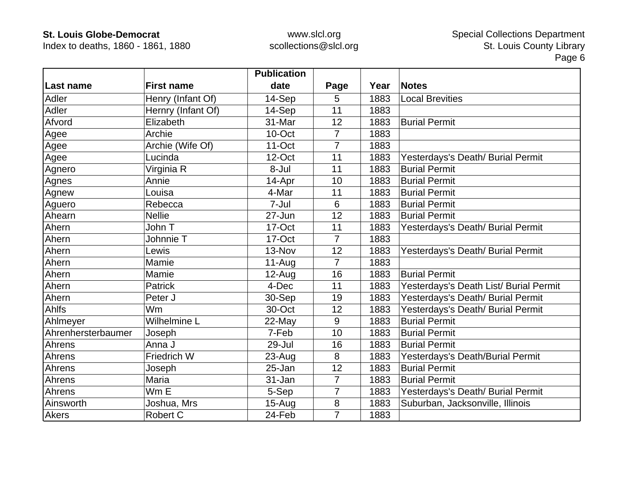Index to deaths, 1860 - 1861, 1880

|                    |                    | <b>Publication</b> |                |      |                                        |
|--------------------|--------------------|--------------------|----------------|------|----------------------------------------|
| Last name          | <b>First name</b>  | date               | Page           | Year | <b>Notes</b>                           |
| Adler              | Henry (Infant Of)  | 14-Sep             | 5              | 1883 | <b>Local Brevities</b>                 |
| Adler              | Hernry (Infant Of) | 14-Sep             | 11             | 1883 |                                        |
| Afvord             | Elizabeth          | 31-Mar             | 12             | 1883 | <b>Burial Permit</b>                   |
| Agee               | Archie             | 10-Oct             | $\overline{7}$ | 1883 |                                        |
| Agee               | Archie (Wife Of)   | $11-Oct$           | 7              | 1883 |                                        |
| Agee               | Lucinda            | 12-Oct             | 11             | 1883 | Yesterdays's Death/ Burial Permit      |
| Agnero             | Virginia R         | 8-Jul              | 11             | 1883 | <b>Burial Permit</b>                   |
| Agnes              | Annie              | 14-Apr             | 10             | 1883 | <b>Burial Permit</b>                   |
| Agnew              | Louisa             | 4-Mar              | 11             | 1883 | <b>Burial Permit</b>                   |
| Aguero             | Rebecca            | 7-Jul              | 6              | 1883 | <b>Burial Permit</b>                   |
| Ahearn             | <b>Nellie</b>      | 27-Jun             | 12             | 1883 | <b>Burial Permit</b>                   |
| Ahern              | John T             | 17-Oct             | 11             | 1883 | Yesterdays's Death/ Burial Permit      |
| Ahern              | Johnnie T          | 17-Oct             | $\overline{7}$ | 1883 |                                        |
| Ahern              | Lewis              | 13-Nov             | 12             | 1883 | Yesterdays's Death/ Burial Permit      |
| Ahern              | Mamie              | $11-Auq$           | 7              | 1883 |                                        |
| Ahern              | Mamie              | $12-Auq$           | 16             | 1883 | <b>Burial Permit</b>                   |
| Ahern              | <b>Patrick</b>     | 4-Dec              | 11             | 1883 | Yesterdays's Death List/ Burial Permit |
| Ahern              | Peter J            | 30-Sep             | 19             | 1883 | Yesterdays's Death/ Burial Permit      |
| <b>Ahlfs</b>       | Wm                 | 30-Oct             | 12             | 1883 | Yesterdays's Death/ Burial Permit      |
| Ahlmeyer           | Wilhelmine L       | 22-May             | 9              | 1883 | <b>Burial Permit</b>                   |
| Ahrenhersterbaumer | Joseph             | 7-Feb              | 10             | 1883 | <b>Burial Permit</b>                   |
| Ahrens             | Anna J             | 29-Jul             | 16             | 1883 | <b>Burial Permit</b>                   |
| Ahrens             | Friedrich W        | $23 - Aug$         | 8              | 1883 | Yesterdays's Death/Burial Permit       |
| Ahrens             | Joseph             | 25-Jan             | 12             | 1883 | <b>Burial Permit</b>                   |
| Ahrens             | Maria              | 31-Jan             | $\overline{7}$ | 1883 | <b>Burial Permit</b>                   |
| Ahrens             | Wm E               | 5-Sep              | 7              | 1883 | Yesterdays's Death/ Burial Permit      |
| Ainsworth          | Joshua, Mrs        | $15-Aug$           | 8              | 1883 | Suburban, Jacksonville, Illinois       |
| <b>Akers</b>       | <b>Robert C</b>    | 24-Feb             | $\overline{7}$ | 1883 |                                        |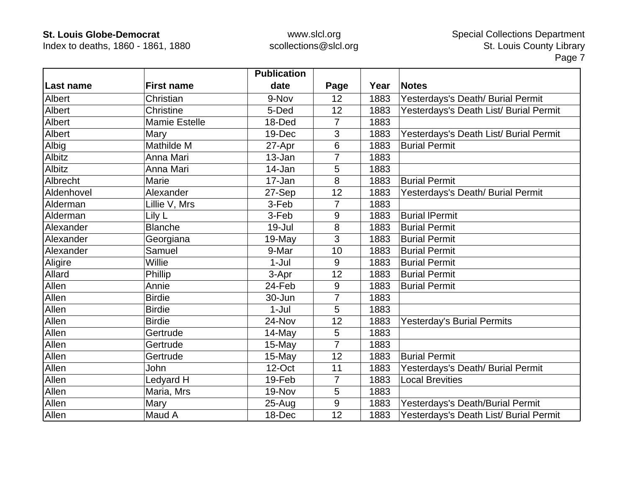Index to deaths, 1860 - 1861, 1880

|              |                      | <b>Publication</b> |                |      |                                        |
|--------------|----------------------|--------------------|----------------|------|----------------------------------------|
| Last name    | <b>First name</b>    | date               | Page           | Year | <b>Notes</b>                           |
| Albert       | Christian            | 9-Nov              | 12             | 1883 | Yesterdays's Death/ Burial Permit      |
| Albert       | Christine            | 5-Ded              | 12             | 1883 | Yesterdays's Death List/ Burial Permit |
| Albert       | <b>Mamie Estelle</b> | 18-Ded             | 7              | 1883 |                                        |
| Albert       | Mary                 | 19-Dec             | 3              | 1883 | Yesterdays's Death List/ Burial Permit |
| Albig        | Mathilde M           | 27-Apr             | 6              | 1883 | <b>Burial Permit</b>                   |
| Albitz       | Anna Mari            | 13-Jan             | $\overline{7}$ | 1883 |                                        |
| Albitz       | Anna Mari            | 14-Jan             | 5              | 1883 |                                        |
| Albrecht     | Marie                | 17-Jan             | 8              | 1883 | <b>Burial Permit</b>                   |
| Aldenhovel   | Alexander            | 27-Sep             | 12             | 1883 | Yesterdays's Death/ Burial Permit      |
| Alderman     | Lillie V, Mrs        | 3-Feb              | 7              | 1883 |                                        |
| Alderman     | Lily L               | 3-Feb              | 9              | 1883 | <b>Burial IPermit</b>                  |
| Alexander    | <b>Blanche</b>       | 19-Jul             | 8              | 1883 | <b>Burial Permit</b>                   |
| Alexander    | Georgiana            | 19-May             | 3              | 1883 | <b>Burial Permit</b>                   |
| Alexander    | Samuel               | 9-Mar              | 10             | 1883 | <b>Burial Permit</b>                   |
| Aligire      | Willie               | $1-Jul$            | 9              | 1883 | <b>Burial Permit</b>                   |
| Allard       | Phillip              | 3-Apr              | 12             | 1883 | <b>Burial Permit</b>                   |
| Allen        | Annie                | 24-Feb             | 9              | 1883 | <b>Burial Permit</b>                   |
| Allen        | <b>Birdie</b>        | 30-Jun             | $\overline{7}$ | 1883 |                                        |
| Allen        | <b>Birdie</b>        | $1-Jul$            | 5              | 1883 |                                        |
| Allen        | <b>Birdie</b>        | 24-Nov             | 12             | 1883 | <b>Yesterday's Burial Permits</b>      |
| Allen        | Gertrude             | 14-May             | 5              | 1883 |                                        |
| Allen        | Gertrude             | 15-May             | $\overline{7}$ | 1883 |                                        |
| Allen        | Gertrude             | 15-May             | 12             | 1883 | <b>Burial Permit</b>                   |
| Allen        | John                 | 12-Oct             | 11             | 1883 | Yesterdays's Death/ Burial Permit      |
| <b>Allen</b> | Ledyard H            | 19-Feb             | 7              | 1883 | <b>Local Brevities</b>                 |
| Allen        | Maria, Mrs           | 19-Nov             | 5              | 1883 |                                        |
| Allen        | Mary                 | $25 - Aug$         | 9              | 1883 | Yesterdays's Death/Burial Permit       |
| Allen        | Maud A               | 18-Dec             | 12             | 1883 | Yesterdays's Death List/ Burial Permit |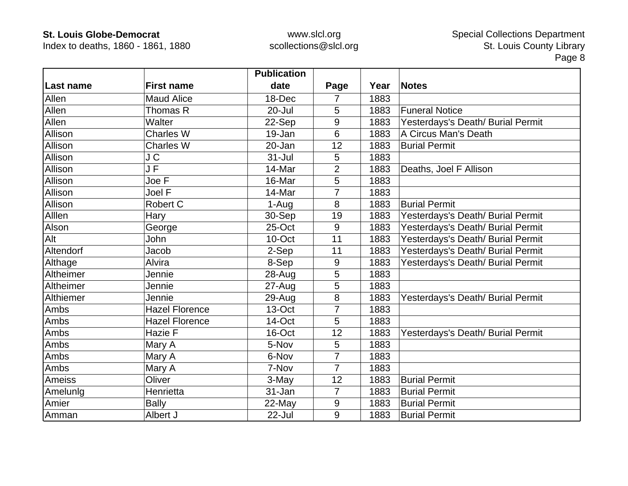Index to deaths, 1860 - 1861, 1880

|           |                       | <b>Publication</b> |                  |      |                                   |
|-----------|-----------------------|--------------------|------------------|------|-----------------------------------|
| Last name | <b>First name</b>     | date               | Page             | Year | <b>Notes</b>                      |
| Allen     | <b>Maud Alice</b>     | 18-Dec             | 7                | 1883 |                                   |
| Allen     | Thomas R              | $20 -$ Jul         | 5                | 1883 | <b>Funeral Notice</b>             |
| Allen     | Walter                | 22-Sep             | 9                | 1883 | Yesterdays's Death/ Burial Permit |
| Allison   | <b>Charles W</b>      | 19-Jan             | 6                | 1883 | A Circus Man's Death              |
| Allison   | <b>Charles W</b>      | 20-Jan             | 12               | 1883 | <b>Burial Permit</b>              |
| Allison   | J C                   | $31 -$ Jul         | 5                | 1883 |                                   |
| Allison   | J F                   | 14-Mar             | $\overline{2}$   | 1883 | Deaths, Joel F Allison            |
| Allison   | Joe F                 | 16-Mar             | 5                | 1883 |                                   |
| Allison   | Joel F                | 14-Mar             | $\overline{7}$   | 1883 |                                   |
| Allison   | Robert C              | 1-Aug              | 8                | 1883 | <b>Burial Permit</b>              |
| Alllen    | Hary                  | 30-Sep             | 19               | 1883 | Yesterdays's Death/ Burial Permit |
| Alson     | George                | 25-Oct             | 9                | 1883 | Yesterdays's Death/ Burial Permit |
| Alt       | John                  | 10-Oct             | 11               | 1883 | Yesterdays's Death/ Burial Permit |
| Altendorf | Jacob                 | 2-Sep              | 11               | 1883 | Yesterdays's Death/ Burial Permit |
| Althage   | Alvira                | 8-Sep              | 9                | 1883 | Yesterdays's Death/ Burial Permit |
| Altheimer | Jennie                | 28-Aug             | 5                | 1883 |                                   |
| Altheimer | Jennie                | $27 - Aug$         | 5                | 1883 |                                   |
| Althiemer | Jennie                | 29-Aug             | 8                | 1883 | Yesterdays's Death/ Burial Permit |
| Ambs      | <b>Hazel Florence</b> | 13-Oct             | 7                | 1883 |                                   |
| Ambs      | <b>Hazel Florence</b> | 14-Oct             | 5                | 1883 |                                   |
| Ambs      | Hazie F               | 16-Oct             | 12               | 1883 | Yesterdays's Death/ Burial Permit |
| Ambs      | Mary A                | 5-Nov              | 5                | 1883 |                                   |
| Ambs      | Mary A                | 6-Nov              | 7                | 1883 |                                   |
| Ambs      | Mary A                | 7-Nov              | $\overline{7}$   | 1883 |                                   |
| Ameiss    | Oliver                | 3-May              | 12               | 1883 | <b>Burial Permit</b>              |
| Amelunig  | Henrietta             | 31-Jan             | $\overline{7}$   | 1883 | <b>Burial Permit</b>              |
| Amier     | <b>Bally</b>          | 22-May             | $\boldsymbol{9}$ | 1883 | <b>Burial Permit</b>              |
| Amman     | Albert J              | 22-Jul             | 9                | 1883 | <b>Burial Permit</b>              |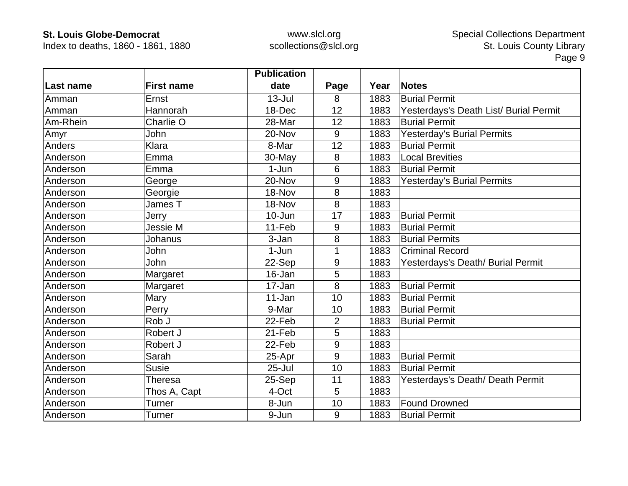Index to deaths, 1860 - 1861, 1880

|           |                   | <b>Publication</b> |      |      |                                        |
|-----------|-------------------|--------------------|------|------|----------------------------------------|
| Last name | <b>First name</b> | date               | Page | Year | <b>Notes</b>                           |
| Amman     | Ernst             | $13 -$ Jul         | 8    | 1883 | <b>Burial Permit</b>                   |
| Amman     | Hannorah          | 18-Dec             | 12   | 1883 | Yesterdays's Death List/ Burial Permit |
| Am-Rhein  | Charlie O         | 28-Mar             | 12   | 1883 | <b>Burial Permit</b>                   |
| Amyr      | John              | 20-Nov             | 9    | 1883 | <b>Yesterday's Burial Permits</b>      |
| Anders    | Klara             | 8-Mar              | 12   | 1883 | <b>Burial Permit</b>                   |
| Anderson  | Emma              | 30-May             | 8    | 1883 | <b>Local Brevities</b>                 |
| Anderson  | Emma              | $1-Jun$            | 6    | 1883 | <b>Burial Permit</b>                   |
| Anderson  | George            | 20-Nov             | 9    | 1883 | <b>Yesterday's Burial Permits</b>      |
| Anderson  | Georgie           | 18-Nov             | 8    | 1883 |                                        |
| Anderson  | James T           | 18-Nov             | 8    | 1883 |                                        |
| Anderson  | Jerry             | 10-Jun             | 17   | 1883 | <b>Burial Permit</b>                   |
| Anderson  | Jessie M          | 11-Feb             | 9    | 1883 | <b>Burial Permit</b>                   |
| Anderson  | Johanus           | 3-Jan              | 8    | 1883 | <b>Burial Permits</b>                  |
| Anderson  | John              | $1-Jun$            |      | 1883 | <b>Criminal Record</b>                 |
| Anderson  | John              | 22-Sep             | 9    | 1883 | Yesterdays's Death/ Burial Permit      |
| Anderson  | Margaret          | 16-Jan             | 5    | 1883 |                                        |
| Anderson  | Margaret          | 17-Jan             | 8    | 1883 | <b>Burial Permit</b>                   |
| Anderson  | Mary              | 11-Jan             | 10   | 1883 | <b>Burial Permit</b>                   |
| Anderson  | Perry             | 9-Mar              | 10   | 1883 | <b>Burial Permit</b>                   |
| Anderson  | Rob J             | 22-Feb             | 2    | 1883 | <b>Burial Permit</b>                   |
| Anderson  | Robert J          | 21-Feb             | 5    | 1883 |                                        |
| Anderson  | Robert J          | 22-Feb             | 9    | 1883 |                                        |
| Anderson  | Sarah             | 25-Apr             | 9    | 1883 | <b>Burial Permit</b>                   |
| Anderson  | <b>Susie</b>      | $25 -$ Jul         | 10   | 1883 | <b>Burial Permit</b>                   |
| Anderson  | Theresa           | 25-Sep             | 11   | 1883 | Yesterdays's Death/ Death Permit       |
| Anderson  | Thos A, Capt      | 4-Oct              | 5    | 1883 |                                        |
| Anderson  | Turner            | 8-Jun              | 10   | 1883 | <b>Found Drowned</b>                   |
| Anderson  | Turner            | 9-Jun              | 9    | 1883 | <b>Burial Permit</b>                   |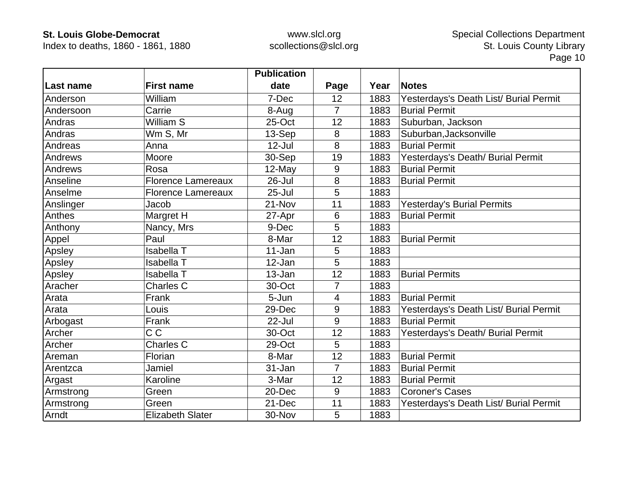Index to deaths, 1860 - 1861, 1880

|           |                           | <b>Publication</b> |                |      |                                        |
|-----------|---------------------------|--------------------|----------------|------|----------------------------------------|
| Last name | <b>First name</b>         | date               | Page           | Year | <b>Notes</b>                           |
| Anderson  | William                   | 7-Dec              | 12             | 1883 | Yesterdays's Death List/ Burial Permit |
| Andersoon | Carrie                    | 8-Aug              | $\overline{7}$ | 1883 | <b>Burial Permit</b>                   |
| Andras    | William S                 | 25-Oct             | 12             | 1883 | Suburban, Jackson                      |
| Andras    | Wm S, Mr                  | 13-Sep             | 8              | 1883 | Suburban, Jacksonville                 |
| Andreas   | Anna                      | $12$ -Jul          | 8              | 1883 | <b>Burial Permit</b>                   |
| Andrews   | Moore                     | 30-Sep             | 19             | 1883 | Yesterdays's Death/ Burial Permit      |
| Andrews   | Rosa                      | 12-May             | 9              | 1883 | <b>Burial Permit</b>                   |
| Anseline  | <b>Florence Lamereaux</b> | 26-Jul             | 8              | 1883 | <b>Burial Permit</b>                   |
| Anselme   | <b>Florence Lamereaux</b> | $25 -$ Jul         | 5              | 1883 |                                        |
| Anslinger | Jacob                     | 21-Nov             | 11             | 1883 | <b>Yesterday's Burial Permits</b>      |
| Anthes    | Margret H                 | 27-Apr             | 6              | 1883 | <b>Burial Permit</b>                   |
| Anthony   | Nancy, Mrs                | 9-Dec              | 5              | 1883 |                                        |
| Appel     | Paul                      | 8-Mar              | 12             | 1883 | <b>Burial Permit</b>                   |
| Apsley    | Isabella T                | $11 - Jan$         | 5              | 1883 |                                        |
| Apsley    | <b>Isabella T</b>         | 12-Jan             | 5              | 1883 |                                        |
| Apsley    | <b>Isabella T</b>         | 13-Jan             | 12             | 1883 | <b>Burial Permits</b>                  |
| Aracher   | Charles C                 | 30-Oct             | $\overline{7}$ | 1883 |                                        |
| Arata     | Frank                     | 5-Jun              | 4              | 1883 | <b>Burial Permit</b>                   |
| Arata     | Louis                     | 29-Dec             | 9              | 1883 | Yesterdays's Death List/ Burial Permit |
| Arbogast  | Frank                     | $22 -$ Jul         | 9              | 1883 | <b>Burial Permit</b>                   |
| Archer    | $\overline{C}$            | 30-Oct             | 12             | 1883 | Yesterdays's Death/ Burial Permit      |
| Archer    | Charles C                 | 29-Oct             | 5              | 1883 |                                        |
| Areman    | Florian                   | 8-Mar              | 12             | 1883 | <b>Burial Permit</b>                   |
| Arentzca  | Jamiel                    | 31-Jan             | 7              | 1883 | <b>Burial Permit</b>                   |
| Argast    | Karoline                  | 3-Mar              | 12             | 1883 | <b>Burial Permit</b>                   |
| Armstrong | Green                     | 20-Dec             | 9              | 1883 | <b>Coroner's Cases</b>                 |
| Armstrong | Green                     | 21-Dec             | 11             | 1883 | Yesterdays's Death List/ Burial Permit |
| Arndt     | <b>Elizabeth Slater</b>   | 30-Nov             | 5              | 1883 |                                        |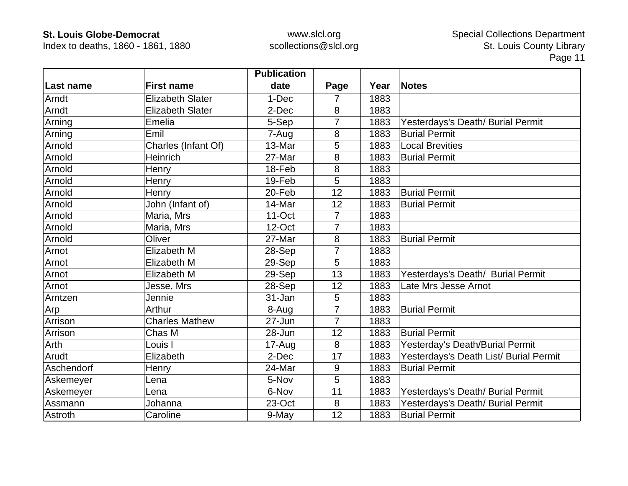Index to deaths, 1860 - 1861, 1880

|            |                         | <b>Publication</b> |                |      |                                        |
|------------|-------------------------|--------------------|----------------|------|----------------------------------------|
| Last name  | <b>First name</b>       | date               | Page           | Year | <b>Notes</b>                           |
| Arndt      | <b>Elizabeth Slater</b> | 1-Dec              | 7              | 1883 |                                        |
| Arndt      | <b>Elizabeth Slater</b> | 2-Dec              | 8              | 1883 |                                        |
| Arning     | Emelia                  | 5-Sep              | 7              | 1883 | Yesterdays's Death/ Burial Permit      |
| Arning     | Emil                    | 7-Aug              | 8              | 1883 | <b>Burial Permit</b>                   |
| Arnold     | Charles (Infant Of)     | 13-Mar             | 5              | 1883 | <b>Local Brevities</b>                 |
| Arnold     | Heinrich                | 27-Mar             | 8              | 1883 | <b>Burial Permit</b>                   |
| Arnold     | Henry                   | 18-Feb             | 8              | 1883 |                                        |
| Arnold     | Henry                   | 19-Feb             | 5              | 1883 |                                        |
| Arnold     | Henry                   | 20-Feb             | 12             | 1883 | <b>Burial Permit</b>                   |
| Arnold     | John (Infant of)        | 14-Mar             | 12             | 1883 | <b>Burial Permit</b>                   |
| Arnold     | Maria, Mrs              | 11-Oct             | 7              | 1883 |                                        |
| Arnold     | Maria, Mrs              | 12-Oct             | 7              | 1883 |                                        |
| Arnold     | Oliver                  | 27-Mar             | 8              | 1883 | <b>Burial Permit</b>                   |
| Arnot      | Elizabeth M             | 28-Sep             | 7              | 1883 |                                        |
| Arnot      | Elizabeth M             | 29-Sep             | 5              | 1883 |                                        |
| Arnot      | Elizabeth M             | 29-Sep             | 13             | 1883 | Yesterdays's Death/ Burial Permit      |
| Arnot      | Jesse, Mrs              | 28-Sep             | 12             | 1883 | Late Mrs Jesse Arnot                   |
| Arntzen    | Jennie                  | 31-Jan             | 5              | 1883 |                                        |
| Arp        | Arthur                  | 8-Aug              | $\overline{7}$ | 1883 | <b>Burial Permit</b>                   |
| Arrison    | <b>Charles Mathew</b>   | 27-Jun             | $\overline{7}$ | 1883 |                                        |
| Arrison    | Chas M                  | 28-Jun             | 12             | 1883 | <b>Burial Permit</b>                   |
| Arth       | Louis I                 | 17-Aug             | 8              | 1883 | Yesterday's Death/Burial Permit        |
| Arudt      | Elizabeth               | 2-Dec              | 17             | 1883 | Yesterdays's Death List/ Burial Permit |
| Aschendorf | Henry                   | 24-Mar             | 9              | 1883 | <b>Burial Permit</b>                   |
| Askemeyer  | Lena                    | 5-Nov              | 5              | 1883 |                                        |
| Askemeyer  | Lena                    | 6-Nov              | 11             | 1883 | Yesterdays's Death/ Burial Permit      |
| Assmann    | Johanna                 | 23-Oct             | 8              | 1883 | Yesterdays's Death/ Burial Permit      |
| Astroth    | Caroline                | 9-May              | 12             | 1883 | <b>Burial Permit</b>                   |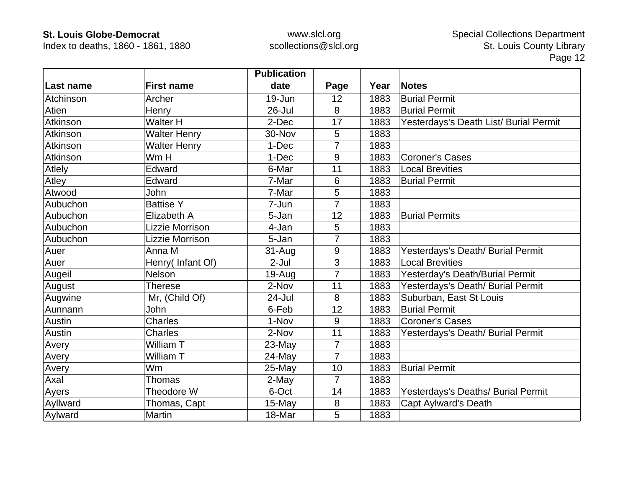Index to deaths, 1860 - 1861, 1880

|           |                     | <b>Publication</b> |                |      |                                        |
|-----------|---------------------|--------------------|----------------|------|----------------------------------------|
| Last name | <b>First name</b>   | date               | Page           | Year | <b>Notes</b>                           |
| Atchinson | Archer              | 19-Jun             | 12             | 1883 | <b>Burial Permit</b>                   |
| Atien     | Henry               | $26 -$ Jul         | 8              | 1883 | <b>Burial Permit</b>                   |
| Atkinson  | <b>Walter H</b>     | 2-Dec              | 17             | 1883 | Yesterdays's Death List/ Burial Permit |
| Atkinson  | <b>Walter Henry</b> | 30-Nov             | 5              | 1883 |                                        |
| Atkinson  | <b>Walter Henry</b> | 1-Dec              | 7              | 1883 |                                        |
| Atkinson  | Wm H                | 1-Dec              | 9              | 1883 | <b>Coroner's Cases</b>                 |
| Atlely    | Edward              | 6-Mar              | 11             | 1883 | <b>Local Brevities</b>                 |
| Atley     | Edward              | 7-Mar              | 6              | 1883 | <b>Burial Permit</b>                   |
| Atwood    | John                | 7-Mar              | 5              | 1883 |                                        |
| Aubuchon  | <b>Battise Y</b>    | 7-Jun              | $\overline{7}$ | 1883 |                                        |
| Aubuchon  | Elizabeth A         | 5-Jan              | 12             | 1883 | <b>Burial Permits</b>                  |
| Aubuchon  | Lizzie Morrison     | 4-Jan              | 5              | 1883 |                                        |
| Aubuchon  | Lizzie Morrison     | 5-Jan              | 7              | 1883 |                                        |
| Auer      | Anna M              | 31-Aug             | 9              | 1883 | Yesterdays's Death/ Burial Permit      |
| Auer      | Henry(Infant Of)    | $2-Jul$            | 3              | 1883 | <b>Local Brevities</b>                 |
| Augeil    | <b>Nelson</b>       | 19-Aug             | $\overline{7}$ | 1883 | Yesterday's Death/Burial Permit        |
| August    | Therese             | 2-Nov              | 11             | 1883 | Yesterdays's Death/ Burial Permit      |
| Augwine   | Mr, (Child Of)      | 24-Jul             | 8              | 1883 | Suburban, East St Louis                |
| Aunnann   | John                | 6-Feb              | 12             | 1883 | <b>Burial Permit</b>                   |
| Austin    | Charles             | 1-Nov              | 9              | 1883 | <b>Coroner's Cases</b>                 |
| Austin    | <b>Charles</b>      | 2-Nov              | 11             | 1883 | Yesterdays's Death/ Burial Permit      |
| Avery     | William T           | 23-May             | $\overline{7}$ | 1883 |                                        |
| Avery     | William T           | $24$ -May          | $\overline{7}$ | 1883 |                                        |
| Avery     | Wm                  | 25-May             | 10             | 1883 | <b>Burial Permit</b>                   |
| Axal      | Thomas              | 2-May              | $\overline{7}$ | 1883 |                                        |
| Ayers     | Theodore W          | 6-Oct              | 14             | 1883 | Yesterdays's Deaths/ Burial Permit     |
| Ayllward  | Thomas, Capt        | 15-May             | 8              | 1883 | <b>Capt Aylward's Death</b>            |
| Aylward   | Martin              | 18-Mar             | 5              | 1883 |                                        |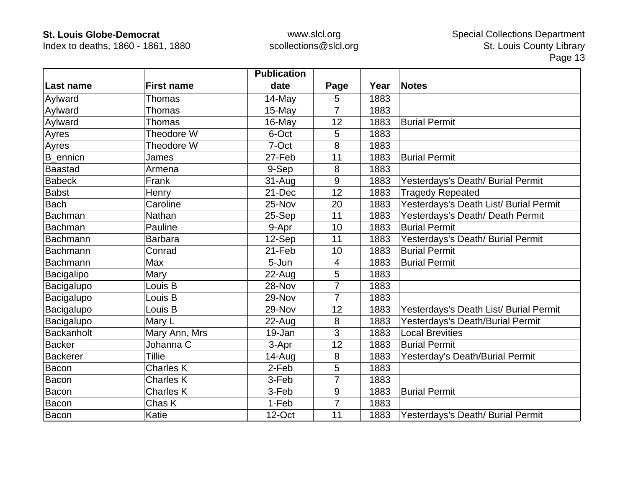Index to deaths, 1860 - 1861, 1880

|                   |                   | <b>Publication</b> |                |      |                                        |
|-------------------|-------------------|--------------------|----------------|------|----------------------------------------|
| <b>Last name</b>  | <b>First name</b> | date               | Page           | Year | <b>Notes</b>                           |
| Aylward           | Thomas            | 14-May             | 5              | 1883 |                                        |
| Aylward           | Thomas            | 15-May             | $\overline{7}$ | 1883 |                                        |
| Aylward           | Thomas            | 16-May             | 12             | 1883 | <b>Burial Permit</b>                   |
| Ayres             | Theodore W        | 6-Oct              | 5              | 1883 |                                        |
| Ayres             | Theodore W        | 7-Oct              | 8              | 1883 |                                        |
| B_ennicn          | James             | 27-Feb             | 11             | 1883 | <b>Burial Permit</b>                   |
| <b>Baastad</b>    | Armena            | 9-Sep              | 8              | 1883 |                                        |
| <b>Babeck</b>     | Frank             | 31-Aug             | 9              | 1883 | Yesterdays's Death/ Burial Permit      |
| Babst             | Henry             | 21-Dec             | 12             | 1883 | <b>Tragedy Repeated</b>                |
| <b>Bach</b>       | Caroline          | 25-Nov             | 20             | 1883 | Yesterdays's Death List/ Burial Permit |
| <b>Bachman</b>    | Nathan            | $25-Sep$           | 11             | 1883 | Yesterdays's Death/ Death Permit       |
| <b>Bachman</b>    | Pauline           | 9-Apr              | 10             | 1883 | <b>Burial Permit</b>                   |
| Bachmann          | <b>Barbara</b>    | 12-Sep             | 11             | 1883 | Yesterdays's Death/ Burial Permit      |
| <b>Bachmann</b>   | Conrad            | 21-Feb             | 10             | 1883 | <b>Burial Permit</b>                   |
| <b>Bachmann</b>   | Max               | 5-Jun              | 4              | 1883 | <b>Burial Permit</b>                   |
| Bacigalipo        | Mary              | 22-Aug             | 5              | 1883 |                                        |
| Bacigalupo        | Louis B           | 28-Nov             | 7              | 1883 |                                        |
| Bacigalupo        | Louis B           | 29-Nov             | $\overline{7}$ | 1883 |                                        |
| Bacigalupo        | Louis B           | 29-Nov             | 12             | 1883 | Yesterdays's Death List/ Burial Permit |
| Bacigalupo        | Mary L            | 22-Aug             | 8              | 1883 | Yesterdays's Death/Burial Permit       |
| <b>Backanholt</b> | Mary Ann, Mrs     | 19-Jan             | 3              | 1883 | <b>Local Brevities</b>                 |
| <b>Backer</b>     | Johanna C         | 3-Apr              | 12             | 1883 | <b>Burial Permit</b>                   |
| <b>Backerer</b>   | Tillie            | 14-Aug             | 8              | 1883 | Yesterday's Death/Burial Permit        |
| Bacon             | <b>Charles K</b>  | 2-Feb              | 5              | 1883 |                                        |
| Bacon             | <b>Charles K</b>  | 3-Feb              | 7              | 1883 |                                        |
| Bacon             | <b>Charles K</b>  | 3-Feb              | 9              | 1883 | <b>Burial Permit</b>                   |
| Bacon             | Chas K            | 1-Feb              | $\overline{7}$ | 1883 |                                        |
| <b>Bacon</b>      | Katie             | 12-Oct             | 11             | 1883 | Yesterdays's Death/ Burial Permit      |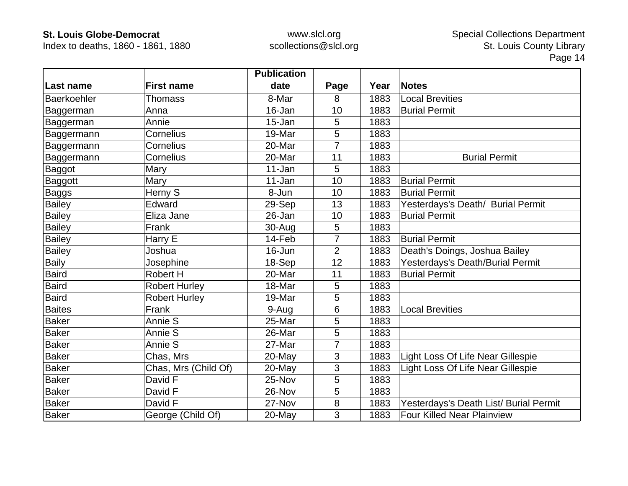Index to deaths, 1860 - 1861, 1880

|               |                      | <b>Publication</b> |                |      |                                        |
|---------------|----------------------|--------------------|----------------|------|----------------------------------------|
| Last name     | <b>First name</b>    | date               | Page           | Year | <b>Notes</b>                           |
| Baerkoehler   | <b>Thomass</b>       | 8-Mar              | 8              | 1883 | <b>Local Brevities</b>                 |
| Baggerman     | Anna                 | 16-Jan             | 10             | 1883 | <b>Burial Permit</b>                   |
| Baggerman     | Annie                | 15-Jan             | 5              | 1883 |                                        |
| Baggermann    | Cornelius            | 19-Mar             | 5              | 1883 |                                        |
| Baggermann    | Cornelius            | 20-Mar             | 7              | 1883 |                                        |
| Baggermann    | Cornelius            | 20-Mar             | 11             | 1883 | <b>Burial Permit</b>                   |
| <b>Baggot</b> | Mary                 | 11-Jan             | 5              | 1883 |                                        |
| Baggott       | Mary                 | 11-Jan             | 10             | 1883 | <b>Burial Permit</b>                   |
| Baggs         | Herny S              | 8-Jun              | 10             | 1883 | <b>Burial Permit</b>                   |
| <b>Bailey</b> | Edward               | 29-Sep             | 13             | 1883 | Yesterdays's Death/ Burial Permit      |
| <b>Bailey</b> | Eliza Jane           | 26-Jan             | 10             | 1883 | <b>Burial Permit</b>                   |
| <b>Bailey</b> | Frank                | 30-Aug             | 5              | 1883 |                                        |
| <b>Bailey</b> | Harry E              | 14-Feb             | 7              | 1883 | <b>Burial Permit</b>                   |
| <b>Bailey</b> | Joshua               | 16-Jun             | $\overline{2}$ | 1883 | Death's Doings, Joshua Bailey          |
| <b>Baily</b>  | Josephine            | 18-Sep             | 12             | 1883 | Yesterdays's Death/Burial Permit       |
| <b>Baird</b>  | Robert H             | 20-Mar             | 11             | 1883 | <b>Burial Permit</b>                   |
| <b>Baird</b>  | <b>Robert Hurley</b> | 18-Mar             | 5              | 1883 |                                        |
| <b>Baird</b>  | <b>Robert Hurley</b> | 19-Mar             | 5              | 1883 |                                        |
| <b>Baites</b> | Frank                | 9-Aug              | 6              | 1883 | <b>Local Brevities</b>                 |
| <b>Baker</b>  | Annie S              | 25-Mar             | 5              | 1883 |                                        |
| <b>Baker</b>  | Annie S              | 26-Mar             | 5              | 1883 |                                        |
| <b>Baker</b>  | Annie S              | 27-Mar             | $\overline{7}$ | 1883 |                                        |
| <b>Baker</b>  | Chas, Mrs            | 20-May             | 3              | 1883 | Light Loss Of Life Near Gillespie      |
| <b>Baker</b>  | Chas, Mrs (Child Of) | 20-May             | 3              | 1883 | Light Loss Of Life Near Gillespie      |
| <b>Baker</b>  | David F              | 25-Nov             | 5              | 1883 |                                        |
| Baker         | David F              | 26-Nov             | 5              | 1883 |                                        |
| <b>Baker</b>  | David F              | 27-Nov             | 8              | 1883 | Yesterdays's Death List/ Burial Permit |
| <b>Baker</b>  | George (Child Of)    | 20-May             | 3              | 1883 | <b>Four Killed Near Plainview</b>      |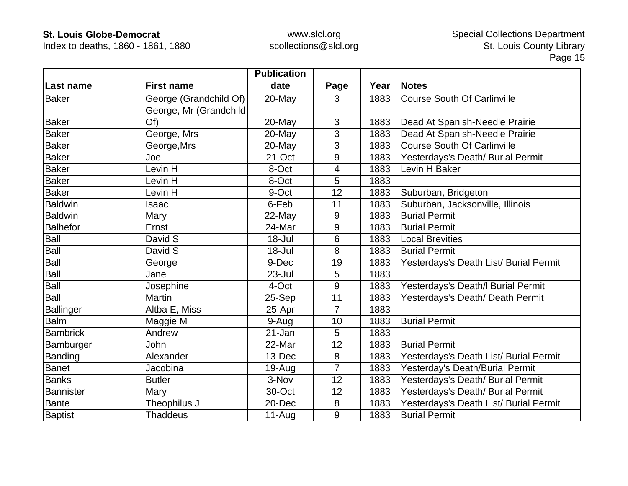Index to deaths, 1860 - 1861, 1880

|                  |                        | <b>Publication</b> |                |      |                                        |
|------------------|------------------------|--------------------|----------------|------|----------------------------------------|
| Last name        | <b>First name</b>      | date               | Page           | Year | <b>Notes</b>                           |
| <b>Baker</b>     | George (Grandchild Of) | 20-May             | 3              | 1883 | <b>Course South Of Carlinville</b>     |
|                  | George, Mr (Grandchild |                    |                |      |                                        |
| <b>Baker</b>     | O(f)                   | 20-May             | 3              | 1883 | Dead At Spanish-Needle Prairie         |
| <b>Baker</b>     | George, Mrs            | 20-May             | 3              | 1883 | Dead At Spanish-Needle Prairie         |
| Baker            | George, Mrs            | 20-May             | 3              | 1883 | <b>Course South Of Carlinville</b>     |
| <b>Baker</b>     | Joe                    | 21-Oct             | 9              | 1883 | Yesterdays's Death/ Burial Permit      |
| <b>Baker</b>     | Levin H                | 8-Oct              | $\overline{4}$ | 1883 | Levin H Baker                          |
| <b>Baker</b>     | Levin H                | 8-Oct              | 5              | 1883 |                                        |
| <b>Baker</b>     | Levin H                | 9-Oct              | 12             | 1883 | Suburban, Bridgeton                    |
| <b>Baldwin</b>   | Isaac                  | 6-Feb              | 11             | 1883 | Suburban, Jacksonville, Illinois       |
| <b>Baldwin</b>   | Mary                   | 22-May             | 9              | 1883 | <b>Burial Permit</b>                   |
| <b>Balhefor</b>  | Ernst                  | 24-Mar             | 9              | 1883 | <b>Burial Permit</b>                   |
| Ball             | David S                | 18-Jul             | 6              | 1883 | <b>Local Brevities</b>                 |
| Ball             | David S                | 18-Jul             | 8              | 1883 | <b>Burial Permit</b>                   |
| Ball             | George                 | 9-Dec              | 19             | 1883 | Yesterdays's Death List/ Burial Permit |
| <b>Ball</b>      | Jane                   | 23-Jul             | 5              | 1883 |                                        |
| Ball             | Josephine              | 4-Oct              | 9              | 1883 | Yesterdays's Death/I Burial Permit     |
| <b>Ball</b>      | <b>Martin</b>          | 25-Sep             | 11             | 1883 | Yesterdays's Death/ Death Permit       |
| <b>Ballinger</b> | Altba E, Miss          | 25-Apr             | $\overline{7}$ | 1883 |                                        |
| <b>Balm</b>      | Maggie M               | 9-Aug              | 10             | 1883 | <b>Burial Permit</b>                   |
| <b>Bambrick</b>  | Andrew                 | 21-Jan             | 5              | 1883 |                                        |
| Bamburger        | John                   | 22-Mar             | 12             | 1883 | <b>Burial Permit</b>                   |
| <b>Banding</b>   | Alexander              | 13-Dec             | 8              | 1883 | Yesterdays's Death List/ Burial Permit |
| <b>Banet</b>     | Jacobina               | 19-Aug             | 7              | 1883 | Yesterday's Death/Burial Permit        |
| Banks            | <b>Butler</b>          | 3-Nov              | 12             | 1883 | Yesterdays's Death/ Burial Permit      |
| Bannister        | Mary                   | 30-Oct             | 12             | 1883 | Yesterdays's Death/ Burial Permit      |
| <b>Bante</b>     | Theophilus J           | 20-Dec             | 8              | 1883 | Yesterdays's Death List/ Burial Permit |
| <b>Baptist</b>   | <b>Thaddeus</b>        | $11-Auq$           | 9              | 1883 | <b>Burial Permit</b>                   |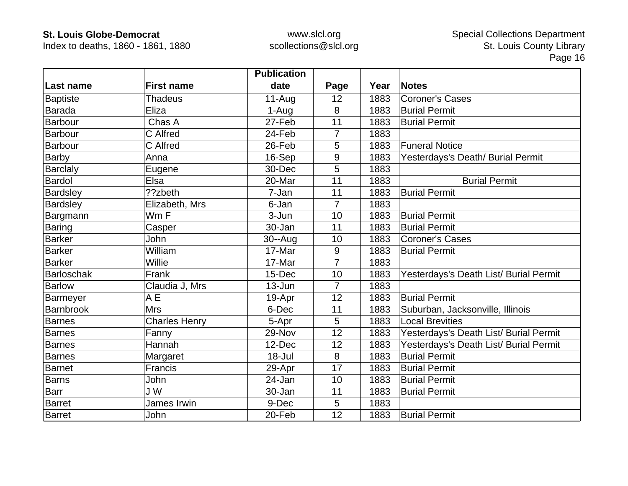Index to deaths, 1860 - 1861, 1880

|                  |                      | <b>Publication</b> |                |      |                                        |
|------------------|----------------------|--------------------|----------------|------|----------------------------------------|
| Last name        | <b>First name</b>    | date               | Page           | Year | <b>Notes</b>                           |
| <b>Baptiste</b>  | <b>Thadeus</b>       | $11-Aug$           | 12             | 1883 | <b>Coroner's Cases</b>                 |
| <b>Barada</b>    | Eliza                | 1-Aug              | 8              | 1883 | <b>Burial Permit</b>                   |
| Barbour          | Chas A               | 27-Feb             | 11             | 1883 | <b>Burial Permit</b>                   |
| <b>Barbour</b>   | C Alfred             | 24-Feb             | 7              | 1883 |                                        |
| <b>Barbour</b>   | C Alfred             | 26-Feb             | 5              | 1883 | <b>Funeral Notice</b>                  |
| <b>Barby</b>     | Anna                 | 16-Sep             | 9              | 1883 | Yesterdays's Death/ Burial Permit      |
| <b>Barclaly</b>  | Eugene               | 30-Dec             | 5              | 1883 |                                        |
| <b>Bardol</b>    | Elsa                 | 20-Mar             | 11             | 1883 | <b>Burial Permit</b>                   |
| <b>Bardsley</b>  | ??zbeth              | 7-Jan              | 11             | 1883 | <b>Burial Permit</b>                   |
| Bardsley         | Elizabeth, Mrs       | 6-Jan              | $\overline{7}$ | 1883 |                                        |
| Bargmann         | Wm F                 | 3-Jun              | 10             | 1883 | <b>Burial Permit</b>                   |
| <b>Baring</b>    | Casper               | 30-Jan             | 11             | 1883 | <b>Burial Permit</b>                   |
| <b>Barker</b>    | John                 | $30 - Aug$         | 10             | 1883 | <b>Coroner's Cases</b>                 |
| <b>Barker</b>    | William              | 17-Mar             | 9              | 1883 | <b>Burial Permit</b>                   |
| <b>Barker</b>    | Willie               | 17-Mar             | $\overline{7}$ | 1883 |                                        |
| Barloschak       | Frank                | 15-Dec             | 10             | 1883 | Yesterdays's Death List/ Burial Permit |
| <b>Barlow</b>    | Claudia J, Mrs       | $13 - Jun$         | $\overline{7}$ | 1883 |                                        |
| Barmeyer         | A E                  | 19-Apr             | 12             | 1883 | <b>Burial Permit</b>                   |
| <b>Barnbrook</b> | <b>Mrs</b>           | 6-Dec              | 11             | 1883 | Suburban, Jacksonville, Illinois       |
| <b>Barnes</b>    | <b>Charles Henry</b> | 5-Apr              | 5              | 1883 | <b>Local Brevities</b>                 |
| <b>Barnes</b>    | Fanny                | 29-Nov             | 12             | 1883 | Yesterdays's Death List/ Burial Permit |
| <b>Barnes</b>    | Hannah               | 12-Dec             | 12             | 1883 | Yesterdays's Death List/ Burial Permit |
| Barnes           | Margaret             | 18-Jul             | 8              | 1883 | <b>Burial Permit</b>                   |
| <b>Barnet</b>    | Francis              | 29-Apr             | 17             | 1883 | <b>Burial Permit</b>                   |
| Barns            | John                 | 24-Jan             | 10             | 1883 | <b>Burial Permit</b>                   |
| <b>Barr</b>      | J W                  | 30-Jan             | 11             | 1883 | <b>Burial Permit</b>                   |
| Barret           | James Irwin          | 9-Dec              | 5              | 1883 |                                        |
| <b>Barret</b>    | John                 | 20-Feb             | 12             | 1883 | <b>Burial Permit</b>                   |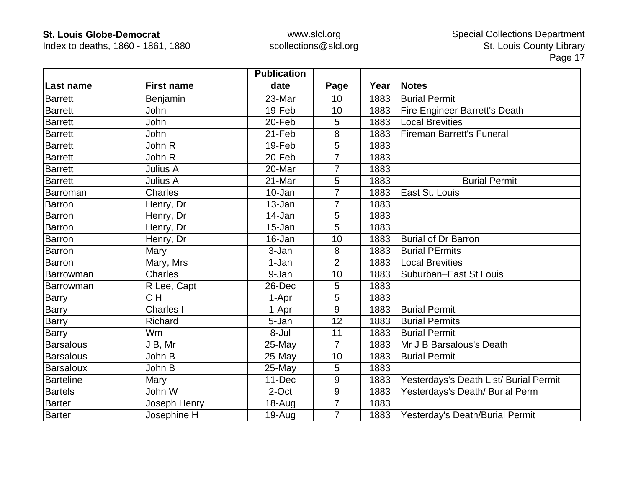Index to deaths, 1860 - 1861, 1880

|                  |                   | <b>Publication</b> |                |      |                                        |
|------------------|-------------------|--------------------|----------------|------|----------------------------------------|
| ∣Last name       | <b>First name</b> | date               | Page           | Year | <b>Notes</b>                           |
| <b>Barrett</b>   | Benjamin          | 23-Mar             | 10             | 1883 | <b>Burial Permit</b>                   |
| <b>Barrett</b>   | John              | 19-Feb             | 10             | 1883 | Fire Engineer Barrett's Death          |
| <b>Barrett</b>   | John              | 20-Feb             | 5              | 1883 | Local Brevities                        |
| <b>Barrett</b>   | John              | 21-Feb             | 8              | 1883 | <b>Fireman Barrett's Funeral</b>       |
| <b>Barrett</b>   | John R            | 19-Feb             | 5              | 1883 |                                        |
| <b>Barrett</b>   | John R            | 20-Feb             | 7              | 1883 |                                        |
| <b>Barrett</b>   | Julius A          | 20-Mar             | 7              | 1883 |                                        |
| <b>Barrett</b>   | Julius A          | 21-Mar             | 5              | 1883 | <b>Burial Permit</b>                   |
| Barroman         | <b>Charles</b>    | 10-Jan             | 7              | 1883 | East St. Louis                         |
| Barron           | Henry, Dr         | 13-Jan             | $\overline{7}$ | 1883 |                                        |
| Barron           | Henry, Dr         | 14-Jan             | 5              | 1883 |                                        |
| Barron           | Henry, Dr         | 15-Jan             | 5              | 1883 |                                        |
| <b>Barron</b>    | Henry, Dr         | 16-Jan             | 10             | 1883 | <b>Burial of Dr Barron</b>             |
| <b>Barron</b>    | Mary              | 3-Jan              | 8              | 1883 | <b>Burial PErmits</b>                  |
| Barron           | Mary, Mrs         | 1-Jan              | $\overline{2}$ | 1883 | <b>Local Brevities</b>                 |
| Barrowman        | Charles           | 9-Jan              | 10             | 1883 | Suburban-East St Louis                 |
| Barrowman        | R Lee, Capt       | 26-Dec             | 5              | 1883 |                                        |
| <b>Barry</b>     | CH                | 1-Apr              | 5              | 1883 |                                        |
| Barry            | Charles I         | 1-Apr              | 9              | 1883 | <b>Burial Permit</b>                   |
| <b>Barry</b>     | Richard           | 5-Jan              | 12             | 1883 | <b>Burial Permits</b>                  |
| <b>Barry</b>     | Wm                | 8-Jul              | 11             | 1883 | <b>Burial Permit</b>                   |
| <b>Barsalous</b> | J B, Mr           | 25-May             | $\overline{7}$ | 1883 | Mr J B Barsalous's Death               |
| <b>Barsalous</b> | John B            | 25-May             | 10             | 1883 | <b>Burial Permit</b>                   |
| Barsaloux        | John B            | 25-May             | 5              | 1883 |                                        |
| <b>Barteline</b> | Mary              | 11-Dec             | 9              | 1883 | Yesterdays's Death List/ Burial Permit |
| <b>Bartels</b>   | John W            | 2-Oct              | 9              | 1883 | Yesterdays's Death/ Burial Perm        |
| <b>Barter</b>    | Joseph Henry      | $18 - Aug$         | 7              | 1883 |                                        |
| <b>Barter</b>    | Josephine H       | $19-Auq$           | $\overline{7}$ | 1883 | Yesterday's Death/Burial Permit        |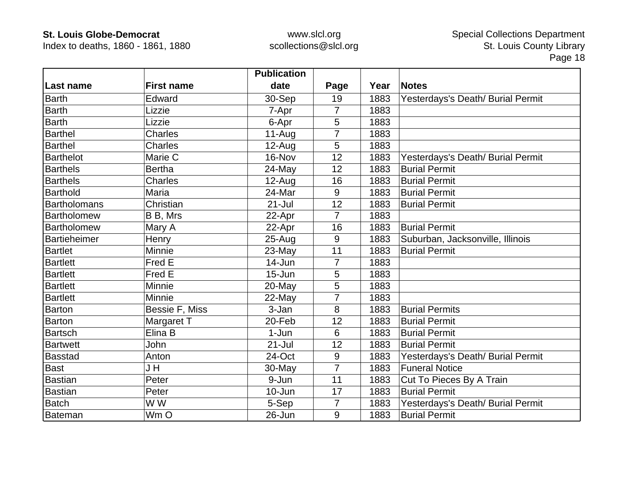Index to deaths, 1860 - 1861, 1880

|                  |                   | <b>Publication</b> |                |      |                                   |
|------------------|-------------------|--------------------|----------------|------|-----------------------------------|
| Last name        | <b>First name</b> | date               | Page           | Year | <b>Notes</b>                      |
| Barth            | Edward            | 30-Sep             | 19             | 1883 | Yesterdays's Death/ Burial Permit |
| <b>Barth</b>     | Lizzie            | 7-Apr              | $\overline{7}$ | 1883 |                                   |
| <b>Barth</b>     | Lizzie            | 6-Apr              | 5              | 1883 |                                   |
| <b>Barthel</b>   | <b>Charles</b>    | $11-Aug$           | 7              | 1883 |                                   |
| <b>Barthel</b>   | <b>Charles</b>    | $12-Auq$           | 5              | 1883 |                                   |
| <b>Barthelot</b> | Marie C           | 16-Nov             | 12             | 1883 | Yesterdays's Death/ Burial Permit |
| <b>Barthels</b>  | <b>Bertha</b>     | 24-May             | 12             | 1883 | <b>Burial Permit</b>              |
| <b>Barthels</b>  | <b>Charles</b>    | $12-Auq$           | 16             | 1883 | <b>Burial Permit</b>              |
| Barthold         | Maria             | 24-Mar             | 9              | 1883 | <b>Burial Permit</b>              |
| Bartholomans     | Christian         | $21 -$ Jul         | 12             | 1883 | <b>Burial Permit</b>              |
| Bartholomew      | B B, Mrs          | 22-Apr             | $\overline{7}$ | 1883 |                                   |
| Bartholomew      | Mary A            | 22-Apr             | 16             | 1883 | <b>Burial Permit</b>              |
| Bartieheimer     | Henry             | 25-Aug             | $9\,$          | 1883 | Suburban, Jacksonville, Illinois  |
| <b>Bartlet</b>   | Minnie            | 23-May             | 11             | 1883 | <b>Burial Permit</b>              |
| <b>Bartlett</b>  | Fred E            | 14-Jun             | 7              | 1883 |                                   |
| Bartlett         | Fred E            | $15 - Jun$         | 5              | 1883 |                                   |
| <b>Bartlett</b>  | Minnie            | $20$ -May          | 5              | 1883 |                                   |
| <b>Bartlett</b>  | Minnie            | 22-May             | $\overline{7}$ | 1883 |                                   |
| <b>Barton</b>    | Bessie F, Miss    | 3-Jan              | 8              | 1883 | <b>Burial Permits</b>             |
| <b>Barton</b>    | Margaret T        | 20-Feb             | 12             | 1883 | <b>Burial Permit</b>              |
| <b>Bartsch</b>   | Elina B           | 1-Jun              | 6              | 1883 | <b>Burial Permit</b>              |
| <b>Bartwett</b>  | John              | $21 -$ Jul         | 12             | 1883 | <b>Burial Permit</b>              |
| <b>Basstad</b>   | Anton             | 24-Oct             | 9              | 1883 | Yesterdays's Death/ Burial Permit |
| <b>Bast</b>      | J H               | 30-May             | $\overline{7}$ | 1883 | <b>Funeral Notice</b>             |
| Bastian          | Peter             | 9-Jun              | 11             | 1883 | Cut To Pieces By A Train          |
| <b>Bastian</b>   | Peter             | 10-Jun             | 17             | 1883 | <b>Burial Permit</b>              |
| <b>Batch</b>     | W W               | 5-Sep              | $\overline{7}$ | 1883 | Yesterdays's Death/ Burial Permit |
| Bateman          | Wm O              | 26-Jun             | 9              | 1883 | <b>Burial Permit</b>              |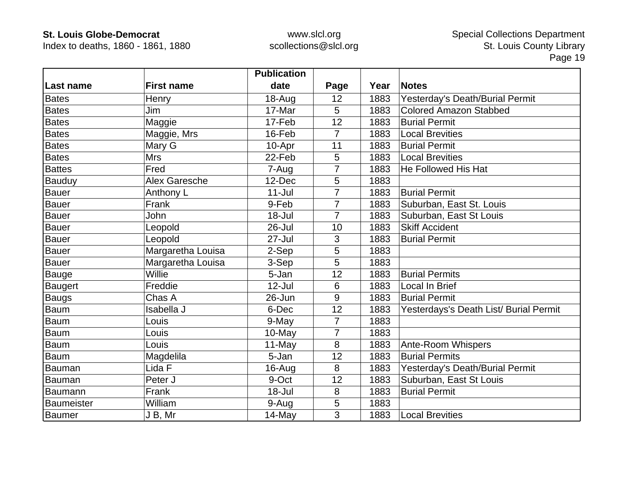Index to deaths, 1860 - 1861, 1880

|                   |                   | <b>Publication</b> |                |      |                                        |
|-------------------|-------------------|--------------------|----------------|------|----------------------------------------|
| ∣Last name        | <b>First name</b> | date               | Page           | Year | <b>Notes</b>                           |
| <b>Bates</b>      | Henry             | 18-Aug             | 12             | 1883 | Yesterday's Death/Burial Permit        |
| <b>Bates</b>      | Jim               | 17-Mar             | 5              | 1883 | <b>Colored Amazon Stabbed</b>          |
| <b>Bates</b>      | Maggie            | 17-Feb             | 12             | 1883 | <b>Burial Permit</b>                   |
| <b>Bates</b>      | Maggie, Mrs       | 16-Feb             | 7              | 1883 | <b>Local Brevities</b>                 |
| <b>Bates</b>      | Mary G            | 10-Apr             | 11             | 1883 | <b>Burial Permit</b>                   |
| <b>Bates</b>      | <b>Mrs</b>        | 22-Feb             | 5              | 1883 | <b>Local Brevities</b>                 |
| <b>Battes</b>     | Fred              | 7-Aug              |                | 1883 | He Followed His Hat                    |
| Bauduy            | Alex Garesche     | 12-Dec             | 5              | 1883 |                                        |
| <b>Bauer</b>      | Anthony L         | $11 -$ Jul         | 7              | 1883 | <b>Burial Permit</b>                   |
| <b>Bauer</b>      | Frank             | 9-Feb              | 7              | 1883 | Suburban, East St. Louis               |
| Bauer             | John              | 18-Jul             | 7              | 1883 | Suburban, East St Louis                |
| <b>Bauer</b>      | Leopold           | 26-Jul             | 10             | 1883 | <b>Skiff Accident</b>                  |
| <b>Bauer</b>      | Leopold           | 27-Jul             | 3              | 1883 | <b>Burial Permit</b>                   |
| <b>Bauer</b>      | Margaretha Louisa | 2-Sep              | 5              | 1883 |                                        |
| Bauer             | Margaretha Louisa | 3-Sep              | 5              | 1883 |                                        |
| Bauge             | Willie            | 5-Jan              | 12             | 1883 | <b>Burial Permits</b>                  |
| Baugert           | Freddie           | $12$ -Jul          | 6              | 1883 | <b>Local In Brief</b>                  |
| <b>Baugs</b>      | Chas A            | 26-Jun             | 9              | 1883 | <b>Burial Permit</b>                   |
| <b>Baum</b>       | Isabella J        | 6-Dec              | 12             | 1883 | Yesterdays's Death List/ Burial Permit |
| <b>Baum</b>       | Louis             | 9-May              | $\overline{7}$ | 1883 |                                        |
| Baum              | Louis             | 10-May             | $\overline{7}$ | 1883 |                                        |
| <b>Baum</b>       | Louis             | 11-May             | 8              | 1883 | <b>Ante-Room Whispers</b>              |
| <b>Baum</b>       | Magdelila         | 5-Jan              | 12             | 1883 | <b>Burial Permits</b>                  |
| Bauman            | Lida F            | 16-Aug             | 8              | 1883 | Yesterday's Death/Burial Permit        |
| Bauman            | Peter J           | 9-Oct              | 12             | 1883 | Suburban, East St Louis                |
| Baumann           | Frank             | 18-Jul             | 8              | 1883 | <b>Burial Permit</b>                   |
| <b>Baumeister</b> | William           | 9-Aug              | 5              | 1883 |                                        |
| Baumer            | J B, Mr           | 14-May             | 3              | 1883 | <b>Local Brevities</b>                 |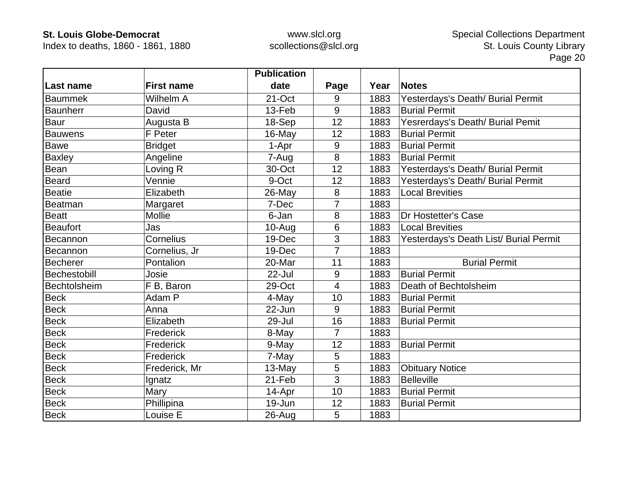Index to deaths, 1860 - 1861, 1880

|                 |                   | <b>Publication</b> |                |      |                                        |
|-----------------|-------------------|--------------------|----------------|------|----------------------------------------|
| Last name       | <b>First name</b> | date               | Page           | Year | <b>Notes</b>                           |
| <b>Baummek</b>  | Wilhelm A         | 21-Oct             | 9              | 1883 | Yesterdays's Death/ Burial Permit      |
| <b>Baunherr</b> | David             | 13-Feb             | 9              | 1883 | <b>Burial Permit</b>                   |
| <b>Baur</b>     | Augusta B         | 18-Sep             | 12             | 1883 | Yesrerdays's Death/ Burial Pemit       |
| <b>Bauwens</b>  | F Peter           | 16-May             | 12             | 1883 | <b>Burial Permit</b>                   |
| Bawe            | <b>Bridget</b>    | 1-Apr              | 9              | 1883 | <b>Burial Permit</b>                   |
| <b>Baxley</b>   | Angeline          | 7-Aug              | 8              | 1883 | <b>Burial Permit</b>                   |
| Bean            | Loving R          | 30-Oct             | 12             | 1883 | Yesterdays's Death/ Burial Permit      |
| <b>Beard</b>    | Vennie            | 9-Oct              | 12             | 1883 | Yesterdays's Death/ Burial Permit      |
| <b>Beatie</b>   | Elizabeth         | 26-May             | 8              | 1883 | <b>Local Brevities</b>                 |
| Beatman         | Margaret          | 7-Dec              | $\overline{7}$ | 1883 |                                        |
| Beatt           | Mollie            | 6-Jan              | 8              | 1883 | Dr Hostetter's Case                    |
| <b>Beaufort</b> | Jas               | $10 - Aug$         | 6              | 1883 | <b>Local Brevities</b>                 |
| Becannon        | Cornelius         | 19-Dec             | 3              | 1883 | Yesterdays's Death List/ Burial Permit |
| Becannon        | Cornelius, Jr     | 19-Dec             | $\overline{7}$ | 1883 |                                        |
| <b>Becherer</b> | Pontalion         | 20-Mar             | 11             | 1883 | <b>Burial Permit</b>                   |
| Bechestobill    | Josie             | 22-Jul             | $9\,$          | 1883 | <b>Burial Permit</b>                   |
| Bechtolsheim    | F B, Baron        | 29-Oct             | $\overline{4}$ | 1883 | Death of Bechtolsheim                  |
| <b>Beck</b>     | Adam P            | 4-May              | 10             | 1883 | <b>Burial Permit</b>                   |
| Beck            | Anna              | 22-Jun             | 9              | 1883 | <b>Burial Permit</b>                   |
| <b>Beck</b>     | Elizabeth         | 29-Jul             | 16             | 1883 | <b>Burial Permit</b>                   |
| <b>Beck</b>     | Frederick         | 8-May              | 7              | 1883 |                                        |
| <b>Beck</b>     | Frederick         | 9-May              | 12             | 1883 | <b>Burial Permit</b>                   |
| <b>Beck</b>     | Frederick         | 7-May              | 5              | 1883 |                                        |
| <b>Beck</b>     | Frederick, Mr     | 13-May             | 5              | 1883 | <b>Obituary Notice</b>                 |
| <b>Beck</b>     | Ignatz            | 21-Feb             | 3              | 1883 | <b>Belleville</b>                      |
| <b>Beck</b>     | Mary              | 14-Apr             | 10             | 1883 | <b>Burial Permit</b>                   |
| <b>Beck</b>     | Phillipina        | 19-Jun             | 12             | 1883 | <b>Burial Permit</b>                   |
| <b>Beck</b>     | Louise E          | $26$ -Aug          | 5              | 1883 |                                        |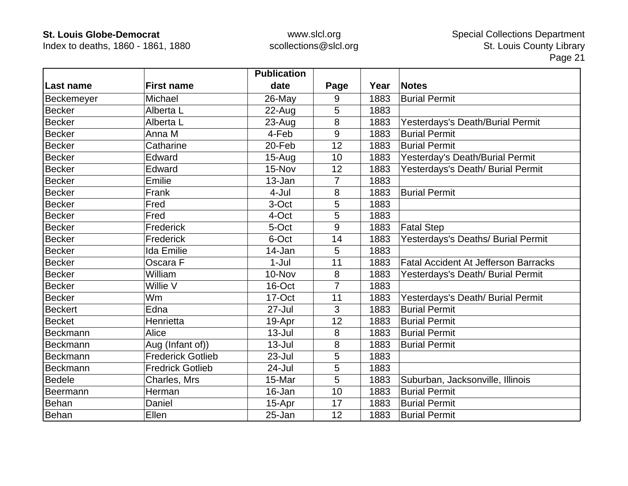Index to deaths, 1860 - 1861, 1880

|                   |                          | <b>Publication</b> |                |      |                                             |
|-------------------|--------------------------|--------------------|----------------|------|---------------------------------------------|
| Last name         | <b>First name</b>        | date               | Page           | Year | <b>Notes</b>                                |
| <b>Beckemeyer</b> | Michael                  | 26-May             | 9              | 1883 | <b>Burial Permit</b>                        |
| <b>Becker</b>     | Alberta L                | 22-Aug             | 5              | 1883 |                                             |
| <b>Becker</b>     | Alberta L                | $23 - Aug$         | 8              | 1883 | Yesterdays's Death/Burial Permit            |
| <b>Becker</b>     | Anna M                   | 4-Feb              | 9              | 1883 | <b>Burial Permit</b>                        |
| <b>Becker</b>     | Catharine                | 20-Feb             | 12             | 1883 | <b>Burial Permit</b>                        |
| Becker            | Edward                   | $15-Auq$           | 10             | 1883 | Yesterday's Death/Burial Permit             |
| <b>Becker</b>     | Edward                   | 15-Nov             | 12             | 1883 | Yesterdays's Death/ Burial Permit           |
| <b>Becker</b>     | Emilie                   | 13-Jan             | 7              | 1883 |                                             |
| <b>Becker</b>     | Frank                    | 4-Jul              | 8              | 1883 | <b>Burial Permit</b>                        |
| <b>Becker</b>     | Fred                     | 3-Oct              | 5              | 1883 |                                             |
| <b>Becker</b>     | Fred                     | 4-Oct              | 5              | 1883 |                                             |
| <b>Becker</b>     | Frederick                | 5-Oct              | 9              | 1883 | <b>Fatal Step</b>                           |
| <b>Becker</b>     | Frederick                | 6-Oct              | 14             | 1883 | Yesterdays's Deaths/ Burial Permit          |
| <b>Becker</b>     | <b>Ida Emilie</b>        | 14-Jan             | 5              | 1883 |                                             |
| <b>Becker</b>     | Oscara F                 | $1-Jul$            | 11             | 1883 | <b>Fatal Accident At Jefferson Barracks</b> |
| <b>Becker</b>     | William                  | 10-Nov             | 8              | 1883 | Yesterdays's Death/ Burial Permit           |
| <b>Becker</b>     | Willie V                 | 16-Oct             | $\overline{7}$ | 1883 |                                             |
| <b>Becker</b>     | Wm                       | 17-Oct             | 11             | 1883 | Yesterdays's Death/ Burial Permit           |
| <b>Beckert</b>    | Edna                     | 27-Jul             | 3              | 1883 | <b>Burial Permit</b>                        |
| <b>Becket</b>     | Henrietta                | 19-Apr             | 12             | 1883 | <b>Burial Permit</b>                        |
| Beckmann          | Alice                    | $13 -$ Jul         | 8              | 1883 | <b>Burial Permit</b>                        |
| Beckmann          | Aug (Infant of))         | $13 -$ Jul         | 8              | 1883 | <b>Burial Permit</b>                        |
| Beckmann          | <b>Frederick Gotlieb</b> | 23-Jul             | 5              | 1883 |                                             |
| Beckmann          | <b>Fredrick Gotlieb</b>  | 24-Jul             | 5              | 1883 |                                             |
| <b>Bedele</b>     | Charles, Mrs             | 15-Mar             | 5              | 1883 | Suburban, Jacksonville, Illinois            |
| Beermann          | Herman                   | 16-Jan             | 10             | 1883 | <b>Burial Permit</b>                        |
| Behan             | Daniel                   | 15-Apr             | 17             | 1883 | <b>Burial Permit</b>                        |
| Behan             | Ellen                    | 25-Jan             | 12             | 1883 | <b>Burial Permit</b>                        |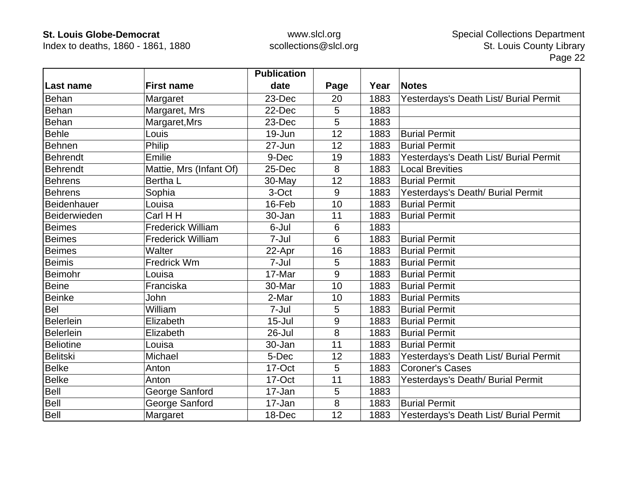Index to deaths, 1860 - 1861, 1880

|                  |                          | <b>Publication</b> |      |      |                                        |
|------------------|--------------------------|--------------------|------|------|----------------------------------------|
| Last name        | <b>First name</b>        | date               | Page | Year | <b>Notes</b>                           |
| Behan            | Margaret                 | 23-Dec             | 20   | 1883 | Yesterdays's Death List/ Burial Permit |
| <b>Behan</b>     | Margaret, Mrs            | 22-Dec             | 5    | 1883 |                                        |
| Behan            | Margaret, Mrs            | 23-Dec             | 5    | 1883 |                                        |
| <b>Behle</b>     | Louis                    | 19-Jun             | 12   | 1883 | <b>Burial Permit</b>                   |
| Behnen           | Philip                   | 27-Jun             | 12   | 1883 | <b>Burial Permit</b>                   |
| Behrendt         | Emilie                   | 9-Dec              | 19   | 1883 | Yesterdays's Death List/ Burial Permit |
| <b>Behrendt</b>  | Mattie, Mrs (Infant Of)  | 25-Dec             | 8    | 1883 | <b>Local Brevities</b>                 |
| <b>Behrens</b>   | Bertha L                 | 30-May             | 12   | 1883 | <b>Burial Permit</b>                   |
| <b>Behrens</b>   | Sophia                   | 3-Oct              | 9    | 1883 | Yesterdays's Death/ Burial Permit      |
| Beidenhauer      | Louisa                   | 16-Feb             | 10   | 1883 | <b>Burial Permit</b>                   |
| Beiderwieden     | Carl H H                 | 30-Jan             | 11   | 1883 | <b>Burial Permit</b>                   |
| <b>Beimes</b>    | <b>Frederick William</b> | 6-Jul              | 6    | 1883 |                                        |
| <b>Beimes</b>    | <b>Frederick William</b> | 7-Jul              | 6    | 1883 | <b>Burial Permit</b>                   |
| <b>Beimes</b>    | Walter                   | 22-Apr             | 16   | 1883 | <b>Burial Permit</b>                   |
| <b>Beimis</b>    | <b>Fredrick Wm</b>       | 7-Jul              | 5    | 1883 | <b>Burial Permit</b>                   |
| Beimohr          | Louisa                   | 17-Mar             | 9    | 1883 | <b>Burial Permit</b>                   |
| <b>Beine</b>     | Franciska                | 30-Mar             | 10   | 1883 | <b>Burial Permit</b>                   |
| <b>Beinke</b>    | John                     | 2-Mar              | 10   | 1883 | <b>Burial Permits</b>                  |
| Bel              | William                  | 7-Jul              | 5    | 1883 | <b>Burial Permit</b>                   |
| Belerlein        | Elizabeth                | $15 -$ Jul         | 9    | 1883 | <b>Burial Permit</b>                   |
| <b>Belerlein</b> | Elizabeth                | 26-Jul             | 8    | 1883 | <b>Burial Permit</b>                   |
| <b>Beliotine</b> | Louisa                   | 30-Jan             | 11   | 1883 | <b>Burial Permit</b>                   |
| <b>Belitski</b>  | Michael                  | 5-Dec              | 12   | 1883 | Yesterdays's Death List/ Burial Permit |
| <b>Belke</b>     | Anton                    | 17-Oct             | 5    | 1883 | <b>Coroner's Cases</b>                 |
| <b>Belke</b>     | Anton                    | 17-Oct             | 11   | 1883 | Yesterdays's Death/ Burial Permit      |
| Bell             | George Sanford           | 17-Jan             | 5    | 1883 |                                        |
| Bell             | George Sanford           | 17-Jan             | 8    | 1883 | <b>Burial Permit</b>                   |
| Bell             | Margaret                 | 18-Dec             | 12   | 1883 | Yesterdays's Death List/ Burial Permit |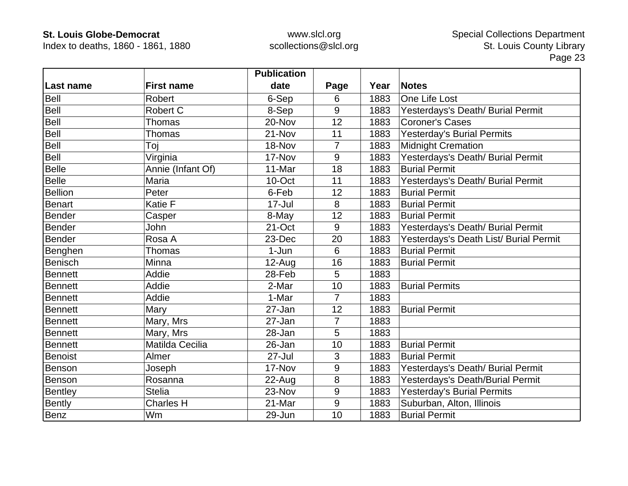Index to deaths, 1860 - 1861, 1880

|                |                   | <b>Publication</b> |                |      |                                        |
|----------------|-------------------|--------------------|----------------|------|----------------------------------------|
| Last name      | <b>First name</b> | date               | Page           | Year | <b>Notes</b>                           |
| Bell           | Robert            | 6-Sep              | 6              | 1883 | One Life Lost                          |
| Bell           | <b>Robert C</b>   | 8-Sep              | 9              | 1883 | Yesterdays's Death/ Burial Permit      |
| Bell           | <b>Thomas</b>     | 20-Nov             | 12             | 1883 | <b>Coroner's Cases</b>                 |
| Bell           | <b>Thomas</b>     | 21-Nov             | 11             | 1883 | <b>Yesterday's Burial Permits</b>      |
| Bell           | Toj               | 18-Nov             | $\overline{7}$ | 1883 | <b>Midnight Cremation</b>              |
| Bell           | Virginia          | 17-Nov             | 9              | 1883 | Yesterdays's Death/ Burial Permit      |
| <b>Belle</b>   | Annie (Infant Of) | 11-Mar             | 18             | 1883 | <b>Burial Permit</b>                   |
| <b>Belle</b>   | Maria             | 10-Oct             | 11             | 1883 | Yesterdays's Death/ Burial Permit      |
| <b>Bellion</b> | Peter             | 6-Feb              | 12             | 1883 | <b>Burial Permit</b>                   |
| <b>Benart</b>  | Katie F           | 17-Jul             | 8              | 1883 | <b>Burial Permit</b>                   |
| Bender         | Casper            | 8-May              | 12             | 1883 | <b>Burial Permit</b>                   |
| Bender         | John              | 21-Oct             | 9              | 1883 | Yesterdays's Death/ Burial Permit      |
| <b>Bender</b>  | Rosa A            | 23-Dec             | 20             | 1883 | Yesterdays's Death List/ Burial Permit |
| Benghen        | Thomas            | $1-Jun$            | 6              | 1883 | <b>Burial Permit</b>                   |
| <b>Benisch</b> | Minna             | $12$ -Aug          | 16             | 1883 | <b>Burial Permit</b>                   |
| <b>Bennett</b> | Addie             | 28-Feb             | 5              | 1883 |                                        |
| <b>Bennett</b> | Addie             | 2-Mar              | 10             | 1883 | <b>Burial Permits</b>                  |
| <b>Bennett</b> | Addie             | 1-Mar              | $\overline{7}$ | 1883 |                                        |
| <b>Bennett</b> | Mary              | 27-Jan             | 12             | 1883 | <b>Burial Permit</b>                   |
| <b>Bennett</b> | Mary, Mrs         | 27-Jan             | $\overline{7}$ | 1883 |                                        |
| <b>Bennett</b> | Mary, Mrs         | 28-Jan             | 5              | 1883 |                                        |
| <b>Bennett</b> | Matilda Cecilia   | 26-Jan             | 10             | 1883 | <b>Burial Permit</b>                   |
| Benoist        | Almer             | $27 -$ Jul         | 3              | 1883 | <b>Burial Permit</b>                   |
| Benson         | Joseph            | 17-Nov             | 9              | 1883 | Yesterdays's Death/ Burial Permit      |
| Benson         | Rosanna           | 22-Aug             | 8              | 1883 | Yesterdays's Death/Burial Permit       |
| Bentley        | <b>Stelia</b>     | 23-Nov             | 9              | 1883 | Yesterday's Burial Permits             |
| Bently         | <b>Charles H</b>  | 21-Mar             | 9              | 1883 | Suburban, Alton, Illinois              |
| Benz           | Wm                | 29-Jun             | 10             | 1883 | <b>Burial Permit</b>                   |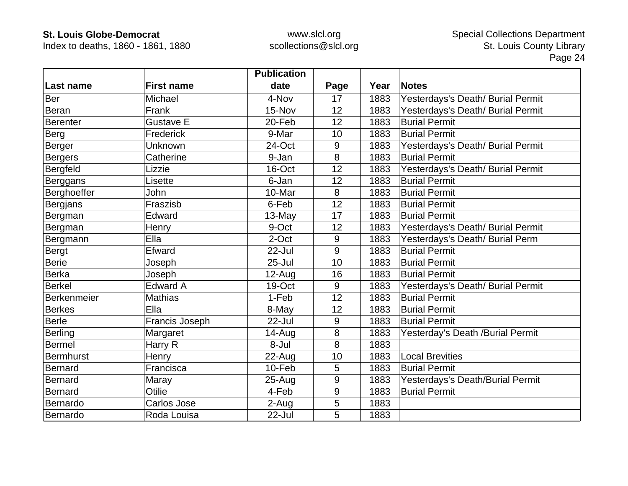Index to deaths, 1860 - 1861, 1880

|                  |                   | <b>Publication</b> |      |      |                                   |
|------------------|-------------------|--------------------|------|------|-----------------------------------|
| Last name        | <b>First name</b> | date               | Page | Year | <b>Notes</b>                      |
| Ber              | Michael           | 4-Nov              | 17   | 1883 | Yesterdays's Death/ Burial Permit |
| <b>Beran</b>     | Frank             | 15-Nov             | 12   | 1883 | Yesterdays's Death/ Burial Permit |
| Berenter         | Gustave E         | 20-Feb             | 12   | 1883 | <b>Burial Permit</b>              |
| Berg             | Frederick         | 9-Mar              | 10   | 1883 | <b>Burial Permit</b>              |
| Berger           | Unknown           | 24-Oct             | 9    | 1883 | Yesterdays's Death/ Burial Permit |
| Bergers          | Catherine         | 9-Jan              | 8    | 1883 | <b>Burial Permit</b>              |
| <b>Bergfeld</b>  | Lizzie            | 16-Oct             | 12   | 1883 | Yesterdays's Death/ Burial Permit |
| Berggans         | Lisette           | 6-Jan              | 12   | 1883 | <b>Burial Permit</b>              |
| Berghoeffer      | John              | 10-Mar             | 8    | 1883 | <b>Burial Permit</b>              |
| <b>Bergjans</b>  | Fraszisb          | 6-Feb              | 12   | 1883 | <b>Burial Permit</b>              |
| Bergman          | Edward            | 13-May             | 17   | 1883 | <b>Burial Permit</b>              |
| Bergman          | Henry             | 9-Oct              | 12   | 1883 | Yesterdays's Death/ Burial Permit |
| Bergmann         | Ella              | 2-Oct              | 9    | 1883 | Yesterdays's Death/ Burial Perm   |
| Bergt            | Efward            | 22-Jul             | 9    | 1883 | <b>Burial Permit</b>              |
| <b>Berie</b>     | Joseph            | $25 -$ Jul         | 10   | 1883 | <b>Burial Permit</b>              |
| Berka            | Joseph            | $12-Auq$           | 16   | 1883 | <b>Burial Permit</b>              |
| Berkel           | <b>Edward A</b>   | 19-Oct             | 9    | 1883 | Yesterdays's Death/ Burial Permit |
| Berkenmeier      | <b>Mathias</b>    | 1-Feb              | 12   | 1883 | <b>Burial Permit</b>              |
| <b>Berkes</b>    | Ella              | 8-May              | 12   | 1883 | <b>Burial Permit</b>              |
| <b>Berle</b>     | Francis Joseph    | 22-Jul             | 9    | 1883 | <b>Burial Permit</b>              |
| Berling          | Margaret          | $14 - Aug$         | 8    | 1883 | Yesterday's Death /Burial Permit  |
| <b>Bermel</b>    | Harry R           | 8-Jul              | 8    | 1883 |                                   |
| <b>Bermhurst</b> | Henry             | 22-Aug             | 10   | 1883 | <b>Local Brevities</b>            |
| <b>Bernard</b>   | Francisca         | 10-Feb             | 5    | 1883 | <b>Burial Permit</b>              |
| Bernard          | Maray             | $25 - Aug$         | 9    | 1883 | Yesterdays's Death/Burial Permit  |
| Bernard          | Otilie            | 4-Feb              | 9    | 1883 | <b>Burial Permit</b>              |
| Bernardo         | Carlos Jose       | 2-Aug              | 5    | 1883 |                                   |
| Bernardo         | Roda Louisa       | 22-Jul             | 5    | 1883 |                                   |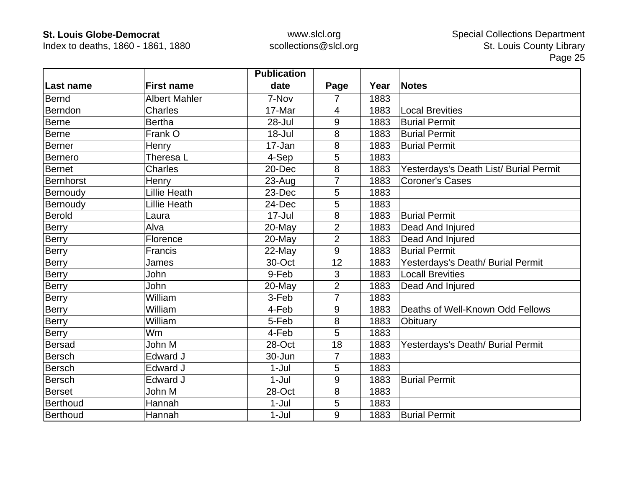Index to deaths, 1860 - 1861, 1880

|                  |                      | <b>Publication</b> |                |      |                                        |
|------------------|----------------------|--------------------|----------------|------|----------------------------------------|
| Last name        | <b>First name</b>    | date               | Page           | Year | <b>Notes</b>                           |
| <b>Bernd</b>     | <b>Albert Mahler</b> | 7-Nov              | $\overline{7}$ | 1883 |                                        |
| Berndon          | <b>Charles</b>       | 17-Mar             | $\overline{4}$ | 1883 | <b>Local Brevities</b>                 |
| Berne            | <b>Bertha</b>        | 28-Jul             | 9              | 1883 | <b>Burial Permit</b>                   |
| Berne            | Frank O              | $18 -$ Jul         | 8              | 1883 | <b>Burial Permit</b>                   |
| <b>Berner</b>    | Henry                | 17-Jan             | 8              | 1883 | <b>Burial Permit</b>                   |
| <b>Bernero</b>   | Theresa L            | 4-Sep              | 5              | 1883 |                                        |
| <b>Bernet</b>    | <b>Charles</b>       | 20-Dec             | 8              | 1883 | Yesterdays's Death List/ Burial Permit |
| <b>Bernhorst</b> | Henry                | 23-Aug             | $\overline{7}$ | 1883 | <b>Coroner's Cases</b>                 |
| Bernoudy         | <b>Lillie Heath</b>  | 23-Dec             | 5              | 1883 |                                        |
| Bernoudy         | <b>Lillie Heath</b>  | 24-Dec             | 5              | 1883 |                                        |
| <b>Berold</b>    | Laura                | 17-Jul             | 8              | 1883 | <b>Burial Permit</b>                   |
| <b>Berry</b>     | Alva                 | 20-May             | $\overline{2}$ | 1883 | Dead And Injured                       |
| <b>Berry</b>     | Florence             | 20-May             | $\overline{2}$ | 1883 | Dead And Injured                       |
| <b>Berry</b>     | Francis              | 22-May             | 9              | 1883 | <b>Burial Permit</b>                   |
| Berry            | James                | 30-Oct             | 12             | 1883 | Yesterdays's Death/ Burial Permit      |
| Berry            | John                 | 9-Feb              | 3              | 1883 | <b>Locall Brevities</b>                |
| Berry            | John                 | 20-May             | $\overline{2}$ | 1883 | Dead And Injured                       |
| <b>Berry</b>     | William              | 3-Feb              | $\overline{7}$ | 1883 |                                        |
| Berry            | William              | 4-Feb              | 9              | 1883 | Deaths of Well-Known Odd Fellows       |
| Berry            | William              | 5-Feb              | 8              | 1883 | Obituary                               |
| Berry            | Wm                   | 4-Feb              | 5              | 1883 |                                        |
| <b>Bersad</b>    | John M               | 28-Oct             | 18             | 1883 | Yesterdays's Death/ Burial Permit      |
| <b>Bersch</b>    | Edward J             | 30-Jun             | 7              | 1883 |                                        |
| <b>Bersch</b>    | Edward J             | $1-Jul$            | 5              | 1883 |                                        |
| <b>Bersch</b>    | Edward J             | $1-Jul$            | 9              | 1883 | <b>Burial Permit</b>                   |
| <b>Berset</b>    | John M               | 28-Oct             | 8              | 1883 |                                        |
| Berthoud         | Hannah               | $1-Jul$            | 5              | 1883 |                                        |
| <b>Berthoud</b>  | Hannah               | $1-Jul$            | 9              | 1883 | <b>Burial Permit</b>                   |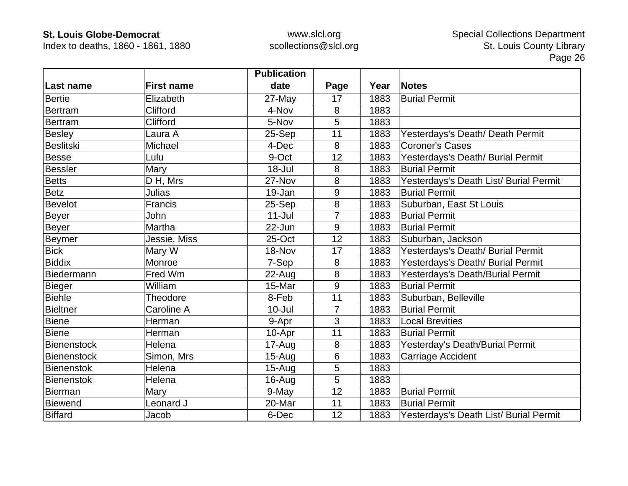Index to deaths, 1860 - 1861, 1880

|                    |                   | <b>Publication</b> |      |      |                                        |
|--------------------|-------------------|--------------------|------|------|----------------------------------------|
| <b>Last name</b>   | <b>First name</b> | date               | Page | Year | <b>Notes</b>                           |
| <b>Bertie</b>      | Elizabeth         | 27-May             | 17   | 1883 | <b>Burial Permit</b>                   |
| Bertram            | Clifford          | 4-Nov              | 8    | 1883 |                                        |
| <b>Bertram</b>     | <b>Clifford</b>   | 5-Nov              | 5    | 1883 |                                        |
| Besley             | Laura A           | 25-Sep             | 11   | 1883 | Yesterdays's Death/ Death Permit       |
| <b>Beslitski</b>   | Michael           | 4-Dec              | 8    | 1883 | <b>Coroner's Cases</b>                 |
| <b>Besse</b>       | Lulu              | 9-Oct              | 12   | 1883 | Yesterdays's Death/ Burial Permit      |
| <b>Bessler</b>     | Mary              | 18-Jul             | 8    | 1883 | <b>Burial Permit</b>                   |
| Betts              | D H, Mrs          | 27-Nov             | 8    | 1883 | Yesterdays's Death List/ Burial Permit |
| <b>Betz</b>        | Julias            | 19-Jan             | 9    | 1883 | <b>Burial Permit</b>                   |
| <b>Bevelot</b>     | Francis           | 25-Sep             | 8    | 1883 | Suburban, East St Louis                |
| Beyer              | John              | $11 -$ Jul         |      | 1883 | <b>Burial Permit</b>                   |
| Beyer              | Martha            | $22$ -Jun          | 9    | 1883 | <b>Burial Permit</b>                   |
| <b>Beymer</b>      | Jessie, Miss      | 25-Oct             | 12   | 1883 | Suburban, Jackson                      |
| <b>Bick</b>        | Mary W            | 18-Nov             | 17   | 1883 | Yesterdays's Death/ Burial Permit      |
| <b>Biddix</b>      | Monroe            | 7-Sep              | 8    | 1883 | Yesterdays's Death/ Burial Permit      |
| Biedermann         | Fred Wm           | 22-Aug             | 8    | 1883 | Yesterdays's Death/Burial Permit       |
| Bieger             | William           | 15-Mar             | 9    | 1883 | <b>Burial Permit</b>                   |
| <b>Biehle</b>      | Theodore          | 8-Feb              | 11   | 1883 | Suburban, Belleville                   |
| <b>Bieltner</b>    | Caroline A        | $10 -$ Jul         | 7    | 1883 | <b>Burial Permit</b>                   |
| Biene              | Herman            | 9-Apr              | 3    | 1883 | <b>Local Brevities</b>                 |
| <b>Biene</b>       | Herman            | 10-Apr             | 11   | 1883 | <b>Burial Permit</b>                   |
| <b>Bienenstock</b> | Helena            | 17-Aug             | 8    | 1883 | Yesterday's Death/Burial Permit        |
| Bienenstock        | Simon, Mrs        | $15 - Aug$         | 6    | 1883 | Carriage Accident                      |
| Bienenstok         | Helena            | $15-Aug$           | 5    | 1883 |                                        |
| <b>Bienenstok</b>  | Helena            | $16$ -Aug          | 5    | 1883 |                                        |
| <b>Bierman</b>     | Mary              | 9-May              | 12   | 1883 | <b>Burial Permit</b>                   |
| <b>Biewend</b>     | Leonard J         | 20-Mar             | 11   | 1883 | <b>Burial Permit</b>                   |
| <b>Biffard</b>     | Jacob             | 6-Dec              | 12   | 1883 | Yesterdays's Death List/ Burial Permit |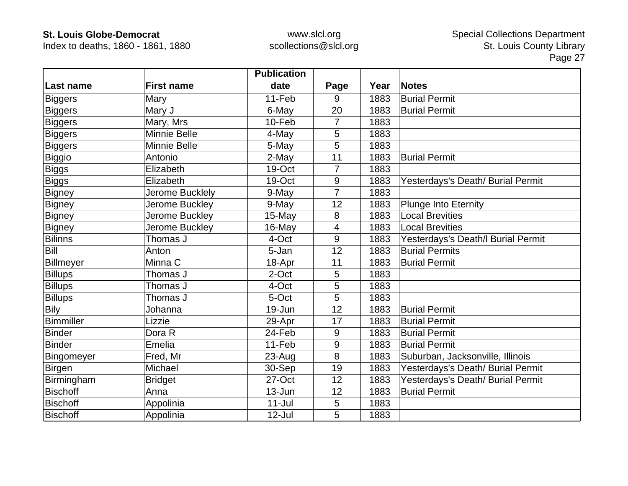Index to deaths, 1860 - 1861, 1880

|                 |                     | <b>Publication</b> |                |      |                                    |
|-----------------|---------------------|--------------------|----------------|------|------------------------------------|
| ∣Last name      | <b>First name</b>   | date               | Page           | Year | <b>Notes</b>                       |
| Biggers         | Mary                | 11-Feb             | 9              | 1883 | <b>Burial Permit</b>               |
| Biggers         | Mary J              | 6-May              | 20             | 1883 | <b>Burial Permit</b>               |
| <b>Biggers</b>  | Mary, Mrs           | 10-Feb             | 7              | 1883 |                                    |
| <b>Biggers</b>  | <b>Minnie Belle</b> | 4-May              | 5              | 1883 |                                    |
| <b>Biggers</b>  | Minnie Belle        | 5-May              | 5              | 1883 |                                    |
| Biggio          | Antonio             | 2-May              | 11             | 1883 | <b>Burial Permit</b>               |
| <b>Biggs</b>    | Elizabeth           | 19-Oct             | 7              | 1883 |                                    |
| <b>Biggs</b>    | Elizabeth           | 19-Oct             | 9              | 1883 | Yesterdays's Death/ Burial Permit  |
| <b>Bigney</b>   | Jerome Bucklely     | 9-May              | $\overline{7}$ | 1883 |                                    |
| Bigney          | Jerome Buckley      | 9-May              | 12             | 1883 | <b>Plunge Into Eternity</b>        |
| <b>Bigney</b>   | Jerome Buckley      | 15-May             | 8              | 1883 | <b>Local Brevities</b>             |
| <b>Bigney</b>   | Jerome Buckley      | 16-May             | 4              | 1883 | <b>Local Brevities</b>             |
| <b>Bilinns</b>  | Thomas J            | 4-Oct              | 9              | 1883 | Yesterdays's Death/l Burial Permit |
| <b>Bill</b>     | Anton               | 5-Jan              | 12             | 1883 | <b>Burial Permits</b>              |
| Billmeyer       | Minna C             | 18-Apr             | 11             | 1883 | <b>Burial Permit</b>               |
| <b>Billups</b>  | Thomas J            | 2-Oct              | 5              | 1883 |                                    |
| <b>Billups</b>  | Thomas J            | 4-Oct              | 5              | 1883 |                                    |
| <b>Billups</b>  | Thomas J            | 5-Oct              | 5              | 1883 |                                    |
| <b>Bily</b>     | Johanna             | 19-Jun             | 12             | 1883 | <b>Burial Permit</b>               |
| Bimmiller       | Lizzie              | 29-Apr             | 17             | 1883 | <b>Burial Permit</b>               |
| <b>Binder</b>   | Dora R              | 24-Feb             | 9              | 1883 | <b>Burial Permit</b>               |
| <b>Binder</b>   | Emelia              | 11-Feb             | 9              | 1883 | <b>Burial Permit</b>               |
| Bingomeyer      | Fred, Mr            | $23-Auq$           | 8              | 1883 | Suburban, Jacksonville, Illinois   |
| <b>Birgen</b>   | Michael             | 30-Sep             | 19             | 1883 | Yesterdays's Death/ Burial Permit  |
| Birmingham      | <b>Bridget</b>      | 27-Oct             | 12             | 1883 | Yesterdays's Death/ Burial Permit  |
| <b>Bischoff</b> | Anna                | $13 - Jun$         | 12             | 1883 | <b>Burial Permit</b>               |
| <b>Bischoff</b> | Appolinia           | $11 -$ Jul         | 5              | 1883 |                                    |
| <b>Bischoff</b> | Appolinia           | 12-Jul             | 5              | 1883 |                                    |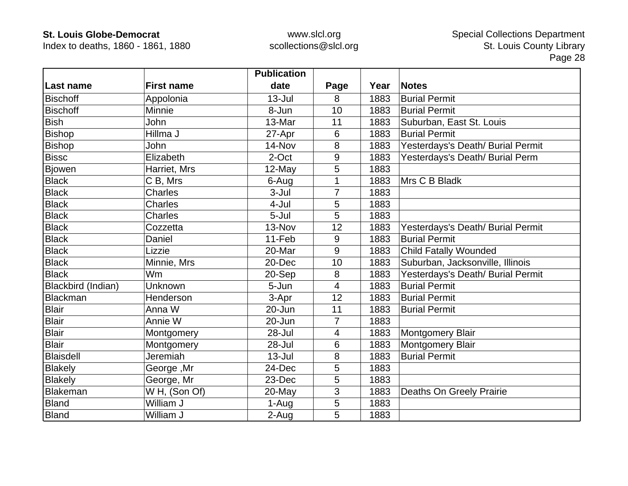Index to deaths, 1860 - 1861, 1880

|                    |                   | <b>Publication</b> |                |      |                                   |
|--------------------|-------------------|--------------------|----------------|------|-----------------------------------|
| Last name          | <b>First name</b> | date               | Page           | Year | <b>Notes</b>                      |
| <b>Bischoff</b>    | Appolonia         | $13 -$ Jul         | 8              | 1883 | <b>Burial Permit</b>              |
| <b>Bischoff</b>    | Minnie            | 8-Jun              | 10             | 1883 | <b>Burial Permit</b>              |
| <b>Bish</b>        | John              | 13-Mar             | 11             | 1883 | Suburban, East St. Louis          |
| Bishop             | Hillma J          | 27-Apr             | 6              | 1883 | <b>Burial Permit</b>              |
| <b>Bishop</b>      | John              | 14-Nov             | 8              | 1883 | Yesterdays's Death/ Burial Permit |
| <b>Bissc</b>       | Elizabeth         | 2-Oct              | 9              | 1883 | Yesterdays's Death/ Burial Perm   |
| <b>Bjowen</b>      | Harriet, Mrs      | 12-May             | 5              | 1883 |                                   |
| <b>Black</b>       | C B, Mrs          | 6-Aug              | 1              | 1883 | Mrs C B Bladk                     |
| <b>Black</b>       | <b>Charles</b>    | $3 -$ Jul          | $\overline{7}$ | 1883 |                                   |
| <b>Black</b>       | <b>Charles</b>    | 4-Jul              | 5              | 1883 |                                   |
| <b>Black</b>       | <b>Charles</b>    | 5-Jul              | 5              | 1883 |                                   |
| <b>Black</b>       | Cozzetta          | 13-Nov             | 12             | 1883 | Yesterdays's Death/ Burial Permit |
| <b>Black</b>       | Daniel            | 11-Feb             | 9              | 1883 | <b>Burial Permit</b>              |
| <b>Black</b>       | Lizzie            | 20-Mar             | 9              | 1883 | <b>Child Fatally Wounded</b>      |
| <b>Black</b>       | Minnie, Mrs       | 20-Dec             | 10             | 1883 | Suburban, Jacksonville, Illinois  |
| <b>Black</b>       | Wm                | 20-Sep             | 8              | 1883 | Yesterdays's Death/ Burial Permit |
| Blackbird (Indian) | Unknown           | 5-Jun              | 4              | 1883 | <b>Burial Permit</b>              |
| Blackman           | Henderson         | 3-Apr              | 12             | 1883 | <b>Burial Permit</b>              |
| <b>Blair</b>       | Anna W            | 20-Jun             | 11             | 1883 | <b>Burial Permit</b>              |
| <b>Blair</b>       | Annie W           | 20-Jun             | 7              | 1883 |                                   |
| <b>Blair</b>       | Montgomery        | 28-Jul             | $\overline{4}$ | 1883 | Montgomery Blair                  |
| <b>Blair</b>       | Montgomery        | 28-Jul             | 6              | 1883 | Montgomery Blair                  |
| <b>Blaisdell</b>   | Jeremiah          | $13 -$ Jul         | 8              | 1883 | <b>Burial Permit</b>              |
| <b>Blakely</b>     | George, Mr        | 24-Dec             | 5              | 1883 |                                   |
| <b>Blakely</b>     | George, Mr        | 23-Dec             | 5              | 1883 |                                   |
| Blakeman           | W H, (Son Of)     | 20-May             | 3              | 1883 | Deaths On Greely Prairie          |
| <b>Bland</b>       | William J         | 1-Aug              | 5              | 1883 |                                   |
| <b>Bland</b>       | William J         | 2-Aug              | 5              | 1883 |                                   |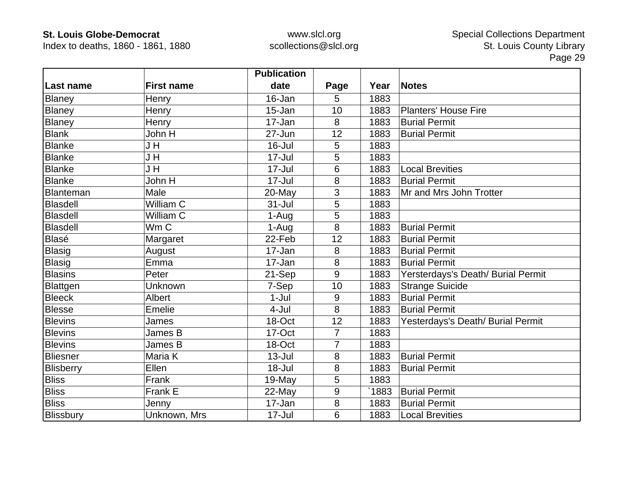Index to deaths, 1860 - 1861, 1880

|                 |                   | <b>Publication</b> |                |       |                                    |
|-----------------|-------------------|--------------------|----------------|-------|------------------------------------|
| Last name       | <b>First name</b> | date               | Page           | Year  | <b>Notes</b>                       |
| Blaney          | Henry             | 16-Jan             | 5              | 1883  |                                    |
| Blaney          | Henry             | 15-Jan             | 10             | 1883  | <b>Planters' House Fire</b>        |
| Blaney          | Henry             | 17-Jan             | 8              | 1883  | <b>Burial Permit</b>               |
| <b>Blank</b>    | John H            | 27-Jun             | 12             | 1883  | <b>Burial Permit</b>               |
| <b>Blanke</b>   | J H               | 16-Jul             | 5              | 1883  |                                    |
| <b>Blanke</b>   | J H               | $17 -$ Jul         | 5              | 1883  |                                    |
| <b>Blanke</b>   | J H               | $17 -$ Jul         | 6              | 1883  | <b>Local Brevities</b>             |
| <b>Blanke</b>   | John H            | 17-Jul             | 8              | 1883  | <b>Burial Permit</b>               |
| Blanteman       | Male              | $20$ -May          | 3              | 1883  | Mr and Mrs John Trotter            |
| <b>Blasdell</b> | William C         | $31 -$ Jul         | 5              | 1883  |                                    |
| <b>Blasdell</b> | William C         | 1-Aug              | 5              | 1883  |                                    |
| <b>Blasdell</b> | Wm C              | 1-Aug              | 8              | 1883  | <b>Burial Permit</b>               |
| <b>Blasé</b>    | Margaret          | 22-Feb             | 12             | 1883  | <b>Burial Permit</b>               |
| <b>Blasig</b>   | August            | 17-Jan             | 8              | 1883  | <b>Burial Permit</b>               |
| <b>Blasig</b>   | Emma              | 17-Jan             | 8              | 1883  | <b>Burial Permit</b>               |
| <b>Blasins</b>  | Peter             | 21-Sep             | 9              | 1883  | Yersterdays's Death/ Burial Permit |
| Blattgen        | Unknown           | 7-Sep              | 10             | 1883  | <b>Strange Suicide</b>             |
| <b>Bleeck</b>   | Albert            | $1-Jul$            | 9              | 1883  | <b>Burial Permit</b>               |
| <b>Blesse</b>   | Emelie            | 4-Jul              | 8              | 1883  | <b>Burial Permit</b>               |
| <b>Blevins</b>  | James             | 18-Oct             | 12             | 1883  | Yesterdays's Death/ Burial Permit  |
| <b>Blevins</b>  | James B           | 17-Oct             | $\overline{7}$ | 1883  |                                    |
| <b>Blevins</b>  | James B           | 18-Oct             | $\overline{7}$ | 1883  |                                    |
| <b>Bliesner</b> | Maria K           | $13 -$ Jul         | 8              | 1883  | <b>Burial Permit</b>               |
| Blisberry       | Ellen             | 18-Jul             | 8              | 1883  | <b>Burial Permit</b>               |
| <b>Bliss</b>    | Frank             | 19-May             | 5              | 1883  |                                    |
| <b>Bliss</b>    | Frank E           | 22-May             | 9              | `1883 | <b>Burial Permit</b>               |
| <b>Bliss</b>    | Jenny             | 17-Jan             | 8              | 1883  | <b>Burial Permit</b>               |
| Blissbury       | Unknown, Mrs      | 17-Jul             | 6              | 1883  | <b>Local Brevities</b>             |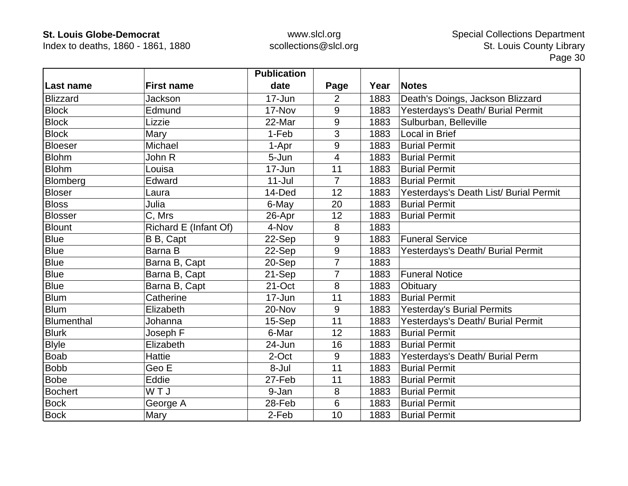Index to deaths, 1860 - 1861, 1880

|                 |                       | <b>Publication</b> |                |      |                                        |
|-----------------|-----------------------|--------------------|----------------|------|----------------------------------------|
| Last name       | <b>First name</b>     | date               | Page           | Year | <b>Notes</b>                           |
| <b>Blizzard</b> | Jackson               | 17-Jun             | $\overline{2}$ | 1883 | Death's Doings, Jackson Blizzard       |
| <b>Block</b>    | Edmund                | 17-Nov             | 9              | 1883 | Yesterdays's Death/ Burial Permit      |
| <b>Block</b>    | Lizzie                | 22-Mar             | 9              | 1883 | Sulburban, Belleville                  |
| <b>Block</b>    | Mary                  | 1-Feb              | 3              | 1883 | Local in Brief                         |
| <b>Bloeser</b>  | Michael               | 1-Apr              | 9              | 1883 | <b>Burial Permit</b>                   |
| <b>Blohm</b>    | John R                | 5-Jun              | 4              | 1883 | <b>Burial Permit</b>                   |
| <b>Blohm</b>    | Louisa                | 17-Jun             | 11             | 1883 | <b>Burial Permit</b>                   |
| Blomberg        | Edward                | $11 -$ Jul         | 7              | 1883 | <b>Burial Permit</b>                   |
| <b>Bloser</b>   | Laura                 | 14-Ded             | 12             | 1883 | Yesterdays's Death List/ Burial Permit |
| <b>Bloss</b>    | Julia                 | 6-May              | 20             | 1883 | <b>Burial Permit</b>                   |
| Blosser         | C, Mrs                | 26-Apr             | 12             | 1883 | <b>Burial Permit</b>                   |
| <b>Blount</b>   | Richard E (Infant Of) | 4-Nov              | 8              | 1883 |                                        |
| <b>Blue</b>     | B B, Capt             | 22-Sep             | 9              | 1883 | <b>Funeral Service</b>                 |
| <b>Blue</b>     | Barna B               | 22-Sep             | 9              | 1883 | Yesterdays's Death/ Burial Permit      |
| <b>Blue</b>     | Barna B, Capt         | 20-Sep             | $\overline{7}$ | 1883 |                                        |
| <b>Blue</b>     | Barna B, Capt         | 21-Sep             | $\overline{7}$ | 1883 | <b>Funeral Notice</b>                  |
| <b>Blue</b>     | Barna B, Capt         | 21-Oct             | 8              | 1883 | Obituary                               |
| <b>Blum</b>     | Catherine             | $17 - Jun$         | 11             | 1883 | <b>Burial Permit</b>                   |
| <b>Blum</b>     | Elizabeth             | 20-Nov             | 9              | 1883 | <b>Yesterday's Burial Permits</b>      |
| Blumenthal      | Johanna               | 15-Sep             | 11             | 1883 | Yesterdays's Death/ Burial Permit      |
| <b>Blurk</b>    | Joseph F              | 6-Mar              | 12             | 1883 | <b>Burial Permit</b>                   |
| <b>Blyle</b>    | Elizabeth             | 24-Jun             | 16             | 1883 | <b>Burial Permit</b>                   |
| <b>Boab</b>     | <b>Hattie</b>         | 2-Oct              | 9              | 1883 | Yesterdays's Death/ Burial Perm        |
| <b>Bobb</b>     | Geo E                 | 8-Jul              | 11             | 1883 | <b>Burial Permit</b>                   |
| <b>Bobe</b>     | Eddie                 | 27-Feb             | 11             | 1883 | <b>Burial Permit</b>                   |
| <b>Bochert</b>  | WTJ                   | 9-Jan              | 8              | 1883 | <b>Burial Permit</b>                   |
| <b>Bock</b>     | George A              | 28-Feb             | 6              | 1883 | <b>Burial Permit</b>                   |
| <b>Bock</b>     | Mary                  | 2-Feb              | 10             | 1883 | <b>Burial Permit</b>                   |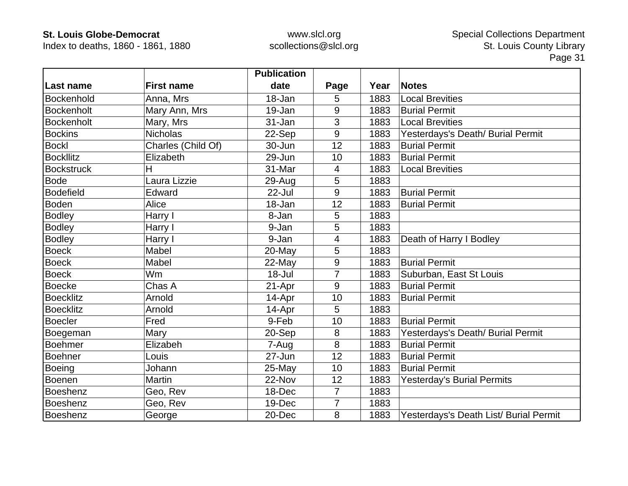Index to deaths, 1860 - 1861, 1880

|                   |                    | <b>Publication</b> |                |      |                                        |
|-------------------|--------------------|--------------------|----------------|------|----------------------------------------|
| Last name         | <b>First name</b>  | date               | Page           | Year | <b>Notes</b>                           |
| Bockenhold        | Anna, Mrs          | 18-Jan             | 5              | 1883 | <b>Local Brevities</b>                 |
| <b>Bockenholt</b> | Mary Ann, Mrs      | 19-Jan             | 9              | 1883 | <b>Burial Permit</b>                   |
| <b>Bockenholt</b> | Mary, Mrs          | 31-Jan             | 3              | 1883 | <b>Local Brevities</b>                 |
| <b>Bockins</b>    | <b>Nicholas</b>    | 22-Sep             | 9              | 1883 | Yesterdays's Death/ Burial Permit      |
| <b>Bockl</b>      | Charles (Child Of) | 30-Jun             | 12             | 1883 | <b>Burial Permit</b>                   |
| <b>Bockllitz</b>  | Elizabeth          | 29-Jun             | 10             | 1883 | <b>Burial Permit</b>                   |
| <b>Bockstruck</b> | Н                  | 31-Mar             | 4              | 1883 | <b>Local Brevities</b>                 |
| Bode              | Laura Lizzie       | 29-Aug             | 5              | 1883 |                                        |
| <b>Bodefield</b>  | Edward             | 22-Jul             | 9              | 1883 | <b>Burial Permit</b>                   |
| <b>Boden</b>      | Alice              | 18-Jan             | 12             | 1883 | <b>Burial Permit</b>                   |
| <b>Bodley</b>     | Harry I            | 8-Jan              | 5              | 1883 |                                        |
| <b>Bodley</b>     | Harry I            | 9-Jan              | 5              | 1883 |                                        |
| <b>Bodley</b>     | Harry I            | 9-Jan              | 4              | 1883 | Death of Harry I Bodley                |
| <b>Boeck</b>      | Mabel              | 20-May             | 5              | 1883 |                                        |
| <b>Boeck</b>      | Mabel              | 22-May             | 9              | 1883 | <b>Burial Permit</b>                   |
| <b>Boeck</b>      | Wm                 | $18 -$ Jul         | $\overline{7}$ | 1883 | Suburban, East St Louis                |
| <b>Boecke</b>     | Chas A             | 21-Apr             | 9              | 1883 | <b>Burial Permit</b>                   |
| <b>Boecklitz</b>  | Arnold             | 14-Apr             | 10             | 1883 | <b>Burial Permit</b>                   |
| <b>Boecklitz</b>  | Arnold             | 14-Apr             | 5              | 1883 |                                        |
| <b>Boecler</b>    | Fred               | 9-Feb              | 10             | 1883 | <b>Burial Permit</b>                   |
| Boegeman          | Mary               | 20-Sep             | 8              | 1883 | Yesterdays's Death/ Burial Permit      |
| <b>Boehmer</b>    | Elizabeh           | 7-Aug              | 8              | 1883 | <b>Burial Permit</b>                   |
| <b>Boehner</b>    | Louis              | 27-Jun             | 12             | 1883 | <b>Burial Permit</b>                   |
| <b>Boeing</b>     | Johann             | 25-May             | 10             | 1883 | <b>Burial Permit</b>                   |
| Boenen            | Martin             | 22-Nov             | 12             | 1883 | <b>Yesterday's Burial Permits</b>      |
| Boeshenz          | Geo, Rev           | 18-Dec             | $\overline{7}$ | 1883 |                                        |
| Boeshenz          | Geo, Rev           | 19-Dec             | $\overline{7}$ | 1883 |                                        |
| Boeshenz          | George             | 20-Dec             | 8              | 1883 | Yesterdays's Death List/ Burial Permit |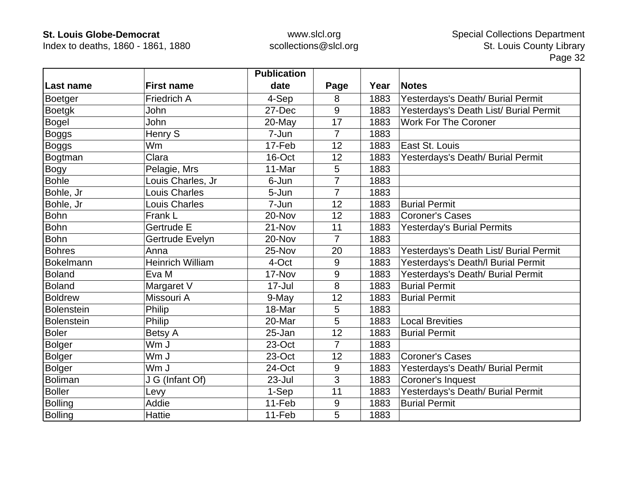Index to deaths, 1860 - 1861, 1880

|                   |                         | <b>Publication</b> |                |      |                                        |
|-------------------|-------------------------|--------------------|----------------|------|----------------------------------------|
| Last name         | <b>First name</b>       | date               | Page           | Year | <b>Notes</b>                           |
| Boetger           | <b>Friedrich A</b>      | 4-Sep              | 8              | 1883 | Yesterdays's Death/ Burial Permit      |
| <b>Boetgk</b>     | John                    | 27-Dec             | 9              | 1883 | Yesterdays's Death List/ Burial Permit |
| <b>Bogel</b>      | John                    | 20-May             | 17             | 1883 | <b>Work For The Coroner</b>            |
| Boggs             | <b>Henry S</b>          | 7-Jun              | 7              | 1883 |                                        |
| <b>Boggs</b>      | Wm                      | 17-Feb             | 12             | 1883 | East St. Louis                         |
| Bogtman           | Clara                   | 16-Oct             | 12             | 1883 | Yesterdays's Death/ Burial Permit      |
| <b>Bogy</b>       | Pelagie, Mrs            | 11-Mar             | 5              | 1883 |                                        |
| <b>Bohle</b>      | Louis Charles, Jr       | 6-Jun              | $\overline{7}$ | 1883 |                                        |
| Bohle, Jr         | <b>Louis Charles</b>    | 5-Jun              | $\overline{7}$ | 1883 |                                        |
| Bohle, Jr         | <b>Louis Charles</b>    | 7-Jun              | 12             | 1883 | <b>Burial Permit</b>                   |
| <b>Bohn</b>       | Frank L                 | 20-Nov             | 12             | 1883 | <b>Coroner's Cases</b>                 |
| <b>Bohn</b>       | Gertrude E              | 21-Nov             | 11             | 1883 | <b>Yesterday's Burial Permits</b>      |
| <b>Bohn</b>       | Gertrude Evelyn         | 20-Nov             | 7              | 1883 |                                        |
| <b>Bohres</b>     | Anna                    | 25-Nov             | 20             | 1883 | Yesterdays's Death List/ Burial Permit |
| Bokelmann         | <b>Heinrich William</b> | 4-Oct              | 9              | 1883 | Yesterdays's Death/I Burial Permit     |
| <b>Boland</b>     | Eva M                   | 17-Nov             | 9              | 1883 | Yesterdays's Death/ Burial Permit      |
| <b>Boland</b>     | Margaret V              | 17-Jul             | 8              | 1883 | <b>Burial Permit</b>                   |
| <b>Boldrew</b>    | Missouri A              | 9-May              | 12             | 1883 | <b>Burial Permit</b>                   |
| <b>Bolenstein</b> | Philip                  | 18-Mar             | 5              | 1883 |                                        |
| <b>Bolenstein</b> | Philip                  | 20-Mar             | 5              | 1883 | <b>Local Brevities</b>                 |
| <b>Boler</b>      | Betsy A                 | 25-Jan             | 12             | 1883 | <b>Burial Permit</b>                   |
| <b>Bolger</b>     | Wm J                    | 23-Oct             | $\overline{7}$ | 1883 |                                        |
| <b>Bolger</b>     | Wm J                    | 23-Oct             | 12             | 1883 | <b>Coroner's Cases</b>                 |
| <b>Bolger</b>     | Wm J                    | 24-Oct             | 9              | 1883 | Yesterdays's Death/ Burial Permit      |
| <b>Boliman</b>    | J G (Infant Of)         | 23-Jul             | 3              | 1883 | Coroner's Inquest                      |
| <b>Boller</b>     | Levy                    | 1-Sep              | 11             | 1883 | Yesterdays's Death/ Burial Permit      |
| <b>Bolling</b>    | Addie                   | 11-Feb             | 9              | 1883 | <b>Burial Permit</b>                   |
| <b>Bolling</b>    | <b>Hattie</b>           | 11-Feb             | 5              | 1883 |                                        |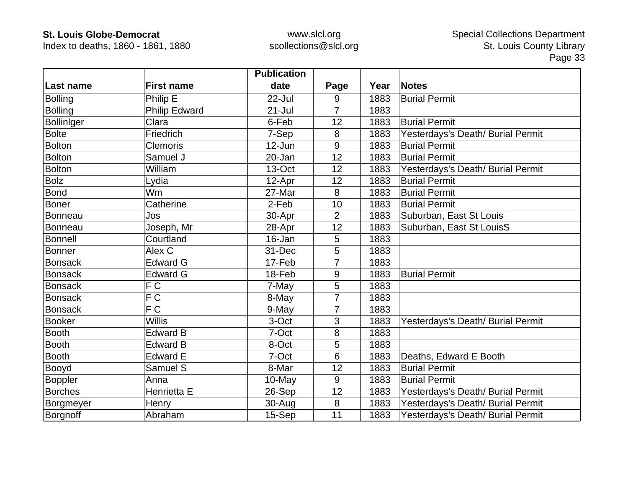Index to deaths, 1860 - 1861, 1880

|                   |                      | <b>Publication</b> |                |      |                                   |
|-------------------|----------------------|--------------------|----------------|------|-----------------------------------|
| Last name         | <b>First name</b>    | date               | Page           | Year | <b>Notes</b>                      |
| <b>Bolling</b>    | Philip E             | 22-Jul             | 9              | 1883 | <b>Burial Permit</b>              |
| <b>Bolling</b>    | <b>Philip Edward</b> | $21 -$ Jul         | $\overline{7}$ | 1883 |                                   |
| <b>Bolliniger</b> | Clara                | 6-Feb              | 12             | 1883 | <b>Burial Permit</b>              |
| <b>Bolte</b>      | Friedrich            | 7-Sep              | 8              | 1883 | Yesterdays's Death/ Burial Permit |
| <b>Bolton</b>     | <b>Clemoris</b>      | $12$ -Jun          | 9              | 1883 | <b>Burial Permit</b>              |
| <b>Bolton</b>     | Samuel J             | 20-Jan             | 12             | 1883 | <b>Burial Permit</b>              |
| <b>Bolton</b>     | William              | 13-Oct             | 12             | 1883 | Yesterdays's Death/ Burial Permit |
| <b>Bolz</b>       | Lydia                | 12-Apr             | 12             | 1883 | <b>Burial Permit</b>              |
| <b>Bond</b>       | Wm                   | 27-Mar             | 8              | 1883 | <b>Burial Permit</b>              |
| <b>Boner</b>      | Catherine            | 2-Feb              | 10             | 1883 | <b>Burial Permit</b>              |
| Bonneau           | Jos                  | 30-Apr             | $\overline{2}$ | 1883 | Suburban, East St Louis           |
| Bonneau           | Joseph, Mr           | 28-Apr             | 12             | 1883 | Suburban, East St LouisS          |
| <b>Bonnell</b>    | Courtland            | 16-Jan             | 5              | 1883 |                                   |
| <b>Bonner</b>     | Alex C               | 31-Dec             | 5              | 1883 |                                   |
| <b>Bonsack</b>    | <b>Edward G</b>      | 17-Feb             | 7              | 1883 |                                   |
| <b>Bonsack</b>    | <b>Edward G</b>      | 18-Feb             | 9              | 1883 | <b>Burial Permit</b>              |
| <b>Bonsack</b>    | FC                   | 7-May              | 5              | 1883 |                                   |
| <b>Bonsack</b>    | F C                  | 8-May              | $\overline{7}$ | 1883 |                                   |
| <b>Bonsack</b>    | $\overline{FC}$      | 9-May              | $\overline{7}$ | 1883 |                                   |
| <b>Booker</b>     | <b>Willis</b>        | 3-Oct              | 3              | 1883 | Yesterdays's Death/ Burial Permit |
| <b>Booth</b>      | <b>Edward B</b>      | 7-Oct              | 8              | 1883 |                                   |
| <b>Booth</b>      | <b>Edward B</b>      | 8-Oct              | 5              | 1883 |                                   |
| <b>Booth</b>      | <b>Edward E</b>      | 7-Oct              | 6              | 1883 | Deaths, Edward E Booth            |
| Booyd             | Samuel S             | 8-Mar              | 12             | 1883 | <b>Burial Permit</b>              |
| <b>Boppler</b>    | Anna                 | 10-May             | 9              | 1883 | <b>Burial Permit</b>              |
| <b>Borches</b>    | Henrietta E          | 26-Sep             | 12             | 1883 | Yesterdays's Death/ Burial Permit |
| Borgmeyer         | Henry                | 30-Aug             | 8              | 1883 | Yesterdays's Death/ Burial Permit |
| Borgnoff          | Abraham              | 15-Sep             | 11             | 1883 | Yesterdays's Death/ Burial Permit |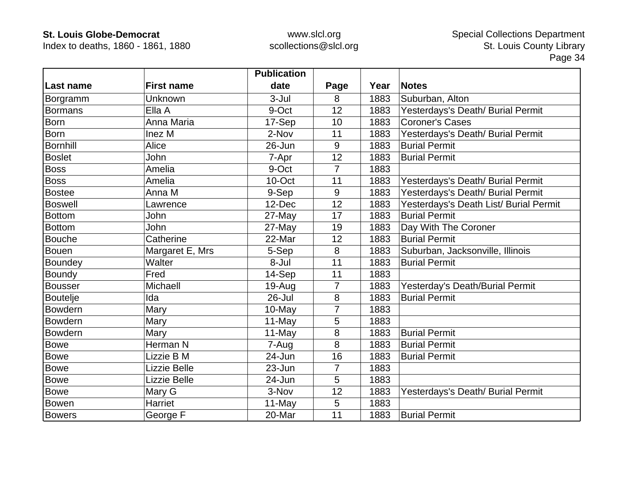Index to deaths, 1860 - 1861, 1880

|                 |                   | <b>Publication</b> |       |      |                                        |
|-----------------|-------------------|--------------------|-------|------|----------------------------------------|
| ∣Last name      | <b>First name</b> | date               | Page  | Year | <b>Notes</b>                           |
| Borgramm        | Unknown           | $3 -$ Jul          | 8     | 1883 | Suburban, Alton                        |
| <b>Bormans</b>  | Ella A            | 9-Oct              | 12    | 1883 | Yesterdays's Death/ Burial Permit      |
| <b>Born</b>     | Anna Maria        | 17-Sep             | 10    | 1883 | Coroner's Cases                        |
| <b>Born</b>     | Inez M            | 2-Nov              | 11    | 1883 | Yesterdays's Death/ Burial Permit      |
| <b>Bornhill</b> | Alice             | 26-Jun             | 9     | 1883 | <b>Burial Permit</b>                   |
| <b>Boslet</b>   | John              | 7-Apr              | 12    | 1883 | <b>Burial Permit</b>                   |
| <b>Boss</b>     | Amelia            | 9-Oct              | 7     | 1883 |                                        |
| <b>Boss</b>     | Amelia            | 10-Oct             | 11    | 1883 | Yesterdays's Death/ Burial Permit      |
| <b>Bostee</b>   | Anna M            | 9-Sep              | $9\,$ | 1883 | Yesterdays's Death/ Burial Permit      |
| <b>Boswell</b>  | Lawrence          | 12-Dec             | 12    | 1883 | Yesterdays's Death List/ Burial Permit |
| <b>Bottom</b>   | John              | 27-May             | 17    | 1883 | <b>Burial Permit</b>                   |
| <b>Bottom</b>   | John              | 27-May             | 19    | 1883 | Day With The Coroner                   |
| <b>Bouche</b>   | Catherine         | 22-Mar             | 12    | 1883 | <b>Burial Permit</b>                   |
| <b>Bouen</b>    | Margaret E, Mrs   | 5-Sep              | 8     | 1883 | Suburban, Jacksonville, Illinois       |
| Boundey         | Walter            | 8-Jul              | 11    | 1883 | <b>Burial Permit</b>                   |
| <b>Boundy</b>   | Fred              | 14-Sep             | 11    | 1883 |                                        |
| <b>Bousser</b>  | Michaell          | $19-Auq$           | 7     | 1883 | Yesterday's Death/Burial Permit        |
| <b>Boutelje</b> | Ida               | 26-Jul             | 8     | 1883 | <b>Burial Permit</b>                   |
| Bowdern         | Mary              | 10-May             | 7     | 1883 |                                        |
| <b>Bowdern</b>  | Mary              | 11-May             | 5     | 1883 |                                        |
| <b>Bowdern</b>  | Mary              | 11-May             | 8     | 1883 | <b>Burial Permit</b>                   |
| <b>Bowe</b>     | Herman N          | 7-Aug              | 8     | 1883 | <b>Burial Permit</b>                   |
| <b>Bowe</b>     | Lizzie B M        | 24-Jun             | 16    | 1883 | <b>Burial Permit</b>                   |
| <b>Bowe</b>     | Lizzie Belle      | $23 - Jun$         | 7     | 1883 |                                        |
| <b>Bowe</b>     | Lizzie Belle      | 24-Jun             | 5     | 1883 |                                        |
| <b>Bowe</b>     | Mary G            | 3-Nov              | 12    | 1883 | Yesterdays's Death/ Burial Permit      |
| Bowen           | Harriet           | 11-May             | 5     | 1883 |                                        |
| <b>Bowers</b>   | George F          | 20-Mar             | 11    | 1883 | <b>Burial Permit</b>                   |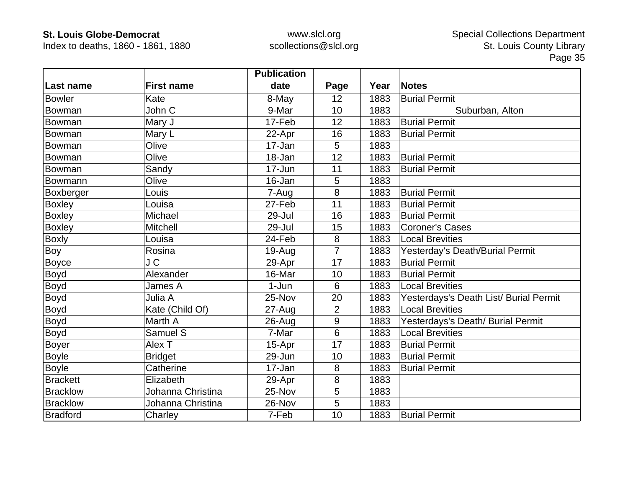Index to deaths, 1860 - 1861, 1880

|                 |                   | <b>Publication</b> |                |      |                                        |
|-----------------|-------------------|--------------------|----------------|------|----------------------------------------|
| Last name       | <b>First name</b> | date               | Page           | Year | <b>Notes</b>                           |
| <b>Bowler</b>   | Kate              | 8-May              | 12             | 1883 | <b>Burial Permit</b>                   |
| Bowman          | John C            | 9-Mar              | 10             | 1883 | Suburban, Alton                        |
| Bowman          | Mary J            | 17-Feb             | 12             | 1883 | <b>Burial Permit</b>                   |
| Bowman          | Mary L            | 22-Apr             | 16             | 1883 | <b>Burial Permit</b>                   |
| Bowman          | Olive             | 17-Jan             | 5              | 1883 |                                        |
| Bowman          | Olive             | 18-Jan             | 12             | 1883 | <b>Burial Permit</b>                   |
| Bowman          | Sandy             | 17-Jun             | 11             | 1883 | <b>Burial Permit</b>                   |
| Bowmann         | Olive             | 16-Jan             | 5              | 1883 |                                        |
| Boxberger       | Louis             | 7-Aug              | 8              | 1883 | <b>Burial Permit</b>                   |
| <b>Boxley</b>   | Louisa            | 27-Feb             | 11             | 1883 | <b>Burial Permit</b>                   |
| <b>Boxley</b>   | Michael           | 29-Jul             | 16             | 1883 | <b>Burial Permit</b>                   |
| <b>Boxley</b>   | <b>Mitchell</b>   | 29-Jul             | 15             | 1883 | <b>Coroner's Cases</b>                 |
| <b>Boxly</b>    | Louisa            | 24-Feb             | 8              | 1883 | <b>Local Brevities</b>                 |
| Boy             | Rosina            | $19-Auq$           | $\overline{7}$ | 1883 | Yesterday's Death/Burial Permit        |
| Boyce           | J C               | 29-Apr             | 17             | 1883 | <b>Burial Permit</b>                   |
| <b>Boyd</b>     | Alexander         | 16-Mar             | 10             | 1883 | <b>Burial Permit</b>                   |
| Boyd            | James A           | $1-Jun$            | 6              | 1883 | <b>Local Brevities</b>                 |
| Boyd            | Julia A           | 25-Nov             | 20             | 1883 | Yesterdays's Death List/ Burial Permit |
| <b>Boyd</b>     | Kate (Child Of)   | $27 - Aug$         | $\overline{2}$ | 1883 | <b>Local Brevities</b>                 |
| <b>Boyd</b>     | Marth A           | 26-Aug             | 9              | 1883 | Yesterdays's Death/ Burial Permit      |
| Boyd            | Samuel S          | 7-Mar              | 6              | 1883 | <b>Local Brevities</b>                 |
| Boyer           | Alex T            | 15-Apr             | 17             | 1883 | <b>Burial Permit</b>                   |
| Boyle           | <b>Bridget</b>    | 29-Jun             | 10             | 1883 | <b>Burial Permit</b>                   |
| <b>Boyle</b>    | Catherine         | 17-Jan             | 8              | 1883 | <b>Burial Permit</b>                   |
| <b>Brackett</b> | Elizabeth         | 29-Apr             | 8              | 1883 |                                        |
| <b>Bracklow</b> | Johanna Christina | 25-Nov             | 5              | 1883 |                                        |
| <b>Bracklow</b> | Johanna Christina | 26-Nov             | 5              | 1883 |                                        |
| <b>Bradford</b> | Charley           | 7-Feb              | 10             | 1883 | <b>Burial Permit</b>                   |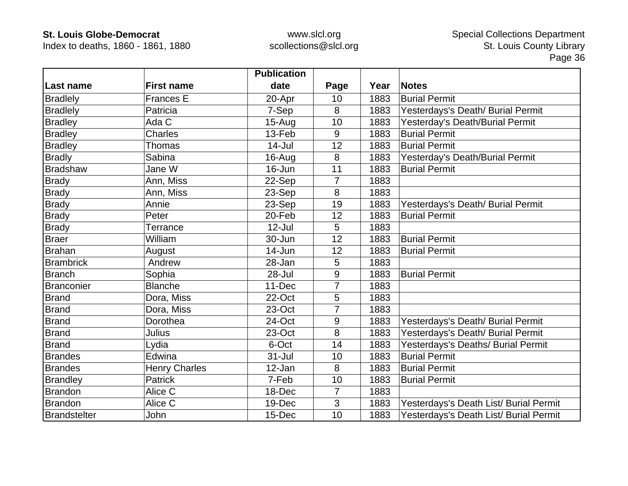Index to deaths, 1860 - 1861, 1880

|                  |                      | <b>Publication</b> |                |      |                                        |
|------------------|----------------------|--------------------|----------------|------|----------------------------------------|
| Last name        | <b>First name</b>    | date               | Page           | Year | <b>Notes</b>                           |
| <b>Bradlely</b>  | Frances E            | 20-Apr             | 10             | 1883 | <b>Burial Permit</b>                   |
| <b>Bradlely</b>  | Patricia             | 7-Sep              | 8              | 1883 | Yesterdays's Death/ Burial Permit      |
| <b>Bradley</b>   | Ada C                | $15-Aug$           | 10             | 1883 | Yesterday's Death/Burial Permit        |
| <b>Bradley</b>   | <b>Charles</b>       | 13-Feb             | 9              | 1883 | <b>Burial Permit</b>                   |
| <b>Bradley</b>   | <b>Thomas</b>        | 14-Jul             | 12             | 1883 | <b>Burial Permit</b>                   |
| <b>Bradly</b>    | Sabina               | 16-Aug             | 8              | 1883 | Yesterday's Death/Burial Permit        |
| <b>Bradshaw</b>  | Jane W               | 16-Jun             | 11             | 1883 | <b>Burial Permit</b>                   |
| <b>Brady</b>     | Ann, Miss            | 22-Sep             | 7              | 1883 |                                        |
| <b>Brady</b>     | Ann, Miss            | 23-Sep             | 8              | 1883 |                                        |
| <b>Brady</b>     | Annie                | 23-Sep             | 19             | 1883 | Yesterdays's Death/ Burial Permit      |
| <b>Brady</b>     | Peter                | 20-Feb             | 12             | 1883 | <b>Burial Permit</b>                   |
| <b>Brady</b>     | Terrance             | $12$ -Jul          | 5              | 1883 |                                        |
| <b>Braer</b>     | William              | 30-Jun             | 12             | 1883 | <b>Burial Permit</b>                   |
| <b>Brahan</b>    | August               | 14-Jun             | 12             | 1883 | <b>Burial Permit</b>                   |
| <b>Brambrick</b> | Andrew               | 28-Jan             | 5              | 1883 |                                        |
| <b>Branch</b>    | Sophia               | 28-Jul             | 9              | 1883 | <b>Burial Permit</b>                   |
| Branconier       | <b>Blanche</b>       | 11-Dec             | $\overline{7}$ | 1883 |                                        |
| <b>Brand</b>     | Dora, Miss           | 22-Oct             | 5              | 1883 |                                        |
| <b>Brand</b>     | Dora, Miss           | 23-Oct             | 7              | 1883 |                                        |
| <b>Brand</b>     | Dorothea             | 24-Oct             | 9              | 1883 | Yesterdays's Death/ Burial Permit      |
| <b>Brand</b>     | <b>Julius</b>        | 23-Oct             | 8              | 1883 | Yesterdays's Death/ Burial Permit      |
| Brand            | Lydia                | 6-Oct              | 14             | 1883 | Yesterdays's Deaths/ Burial Permit     |
| <b>Brandes</b>   | Edwina               | $31 -$ Jul         | 10             | 1883 | <b>Burial Permit</b>                   |
| <b>Brandes</b>   | <b>Henry Charles</b> | 12-Jan             | 8              | 1883 | <b>Burial Permit</b>                   |
| <b>Brandley</b>  | Patrick              | 7-Feb              | 10             | 1883 | <b>Burial Permit</b>                   |
| Brandon          | Alice C              | 18-Dec             | $\overline{7}$ | 1883 |                                        |
| <b>Brandon</b>   | Alice C              | 19-Dec             | 3              | 1883 | Yesterdays's Death List/ Burial Permit |
| Brandstelter     | John                 | 15-Dec             | 10             | 1883 | Yesterdays's Death List/ Burial Permit |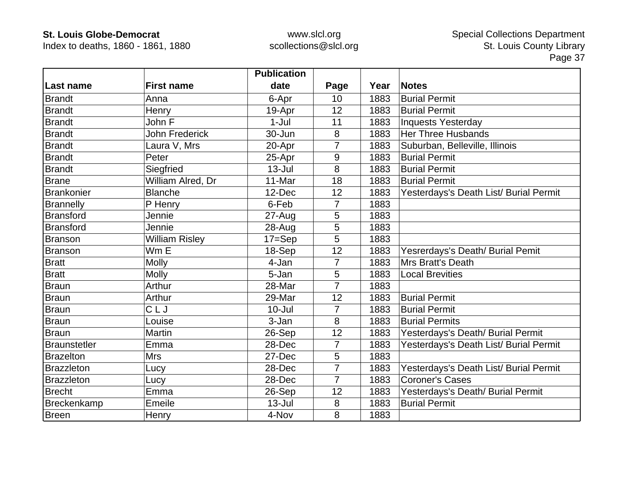Index to deaths, 1860 - 1861, 1880

|                     |                       | <b>Publication</b> |                |      |                                        |
|---------------------|-----------------------|--------------------|----------------|------|----------------------------------------|
| Last name           | <b>First name</b>     | date               | Page           | Year | <b>Notes</b>                           |
| <b>Brandt</b>       | Anna                  | 6-Apr              | 10             | 1883 | <b>Burial Permit</b>                   |
| <b>Brandt</b>       | Henry                 | 19-Apr             | 12             | 1883 | <b>Burial Permit</b>                   |
| <b>Brandt</b>       | John F                | $1-Jul$            | 11             | 1883 | <b>Inquests Yesterday</b>              |
| <b>Brandt</b>       | <b>John Frederick</b> | 30-Jun             | 8              | 1883 | <b>Her Three Husbands</b>              |
| <b>Brandt</b>       | Laura V, Mrs          | 20-Apr             | 7              | 1883 | Suburban, Belleville, Illinois         |
| <b>Brandt</b>       | Peter                 | 25-Apr             | 9              | 1883 | <b>Burial Permit</b>                   |
| <b>Brandt</b>       | Siegfried             | $13 -$ Jul         | 8              | 1883 | <b>Burial Permit</b>                   |
| Brane               | William Alred, Dr     | 11-Mar             | 18             | 1883 | <b>Burial Permit</b>                   |
| <b>Brankonier</b>   | <b>Blanche</b>        | 12-Dec             | 12             | 1883 | Yesterdays's Death List/ Burial Permit |
| <b>Brannelly</b>    | P Henry               | 6-Feb              | $\overline{7}$ | 1883 |                                        |
| <b>Bransford</b>    | Jennie                | $27 - Aug$         | 5              | 1883 |                                        |
| <b>Bransford</b>    | Jennie                | 28-Aug             | 5              | 1883 |                                        |
| <b>Branson</b>      | <b>William Risley</b> | $17 = Sep$         | 5              | 1883 |                                        |
| <b>Branson</b>      | $Wm \bar{E}$          | 18-Sep             | 12             | 1883 | Yesrerdays's Death/ Burial Pemit       |
| <b>Bratt</b>        | Molly                 | 4-Jan              | $\overline{7}$ | 1883 | <b>Mrs Bratt's Death</b>               |
| <b>Bratt</b>        | <b>Molly</b>          | 5-Jan              | 5              | 1883 | <b>Local Brevities</b>                 |
| Braun               | Arthur                | 28-Mar             | $\overline{7}$ | 1883 |                                        |
| <b>Braun</b>        | Arthur                | 29-Mar             | 12             | 1883 | <b>Burial Permit</b>                   |
| Braun               | CLJ                   | $10 -$ Jul         | 7              | 1883 | <b>Burial Permit</b>                   |
| Braun               | Louise                | 3-Jan              | 8              | 1883 | <b>Burial Permits</b>                  |
| Braun               | Martin                | 26-Sep             | 12             | 1883 | Yesterdays's Death/ Burial Permit      |
| <b>Braunstetler</b> | Emma                  | 28-Dec             | $\overline{7}$ | 1883 | Yesterdays's Death List/ Burial Permit |
| <b>Brazelton</b>    | <b>Mrs</b>            | 27-Dec             | 5              | 1883 |                                        |
| <b>Brazzleton</b>   | Lucy                  | 28-Dec             | 7              | 1883 | Yesterdays's Death List/ Burial Permit |
| <b>Brazzleton</b>   | Lucy                  | 28-Dec             | $\overline{7}$ | 1883 | <b>Coroner's Cases</b>                 |
| <b>Brecht</b>       | Emma                  | 26-Sep             | 12             | 1883 | Yesterdays's Death/ Burial Permit      |
| Breckenkamp         | Emeile                | $13 -$ Jul         | 8              | 1883 | <b>Burial Permit</b>                   |
| <b>Breen</b>        | Henry                 | 4-Nov              | 8              | 1883 |                                        |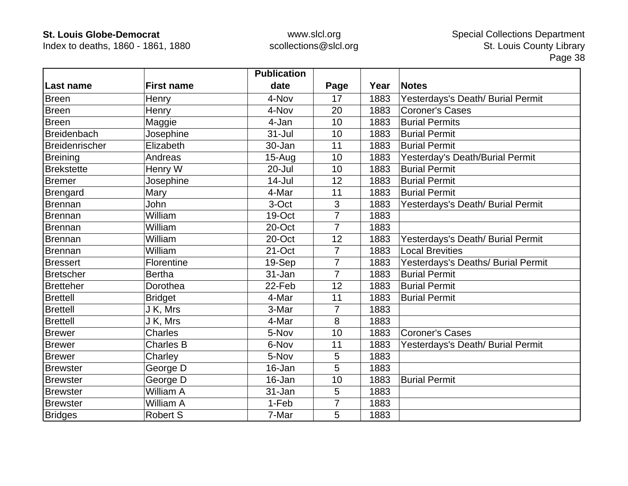Index to deaths, 1860 - 1861, 1880

|                    |                   | <b>Publication</b> |                |      |                                    |
|--------------------|-------------------|--------------------|----------------|------|------------------------------------|
| <b>Last name</b>   | <b>First name</b> | date               | Page           | Year | <b>Notes</b>                       |
| <b>Breen</b>       | Henry             | 4-Nov              | 17             | 1883 | Yesterdays's Death/ Burial Permit  |
| <b>Breen</b>       | Henry             | 4-Nov              | 20             | 1883 | <b>Coroner's Cases</b>             |
| <b>Breen</b>       | Maggie            | 4-Jan              | 10             | 1883 | <b>Burial Permits</b>              |
| <b>Breidenbach</b> | Josephine         | $31 -$ Jul         | 10             | 1883 | <b>Burial Permit</b>               |
| Breidenrischer     | Elizabeth         | 30-Jan             | 11             | 1883 | <b>Burial Permit</b>               |
| <b>Breining</b>    | Andreas           | $15-Auq$           | 10             | 1883 | Yesterday's Death/Burial Permit    |
| <b>Brekstette</b>  | Henry W           | 20-Jul             | 10             | 1883 | <b>Burial Permit</b>               |
| <b>Bremer</b>      | Josephine         | $14$ -Jul          | 12             | 1883 | <b>Burial Permit</b>               |
| Brengard           | Mary              | 4-Mar              | 11             | 1883 | <b>Burial Permit</b>               |
| Brennan            | <b>John</b>       | 3-Oct              | 3              | 1883 | Yesterdays's Death/ Burial Permit  |
| Brennan            | William           | 19-Oct             | 7              | 1883 |                                    |
| Brennan            | William           | 20-Oct             | $\overline{7}$ | 1883 |                                    |
| Brennan            | William           | 20-Oct             | 12             | 1883 | Yesterdays's Death/ Burial Permit  |
| Brennan            | William           | 21-Oct             | $\overline{7}$ | 1883 | <b>Local Brevities</b>             |
| <b>Bressert</b>    | Florentine        | 19-Sep             | 7              | 1883 | Yesterdays's Deaths/ Burial Permit |
| Bretscher          | <b>Bertha</b>     | 31-Jan             | $\overline{7}$ | 1883 | <b>Burial Permit</b>               |
| <b>Bretteher</b>   | Dorothea          | 22-Feb             | 12             | 1883 | <b>Burial Permit</b>               |
| <b>Brettell</b>    | <b>Bridget</b>    | 4-Mar              | 11             | 1883 | <b>Burial Permit</b>               |
| <b>Brettell</b>    | J K, Mrs          | 3-Mar              | 7              | 1883 |                                    |
| <b>Brettell</b>    | J K, Mrs          | 4-Mar              | 8              | 1883 |                                    |
| <b>Brewer</b>      | <b>Charles</b>    | 5-Nov              | 10             | 1883 | <b>Coroner's Cases</b>             |
| <b>Brewer</b>      | <b>Charles B</b>  | 6-Nov              | 11             | 1883 | Yesterdays's Death/ Burial Permit  |
| <b>Brewer</b>      | Charley           | 5-Nov              | 5              | 1883 |                                    |
| <b>Brewster</b>    | George D          | 16-Jan             | 5              | 1883 |                                    |
| <b>Brewster</b>    | George D          | 16-Jan             | 10             | 1883 | <b>Burial Permit</b>               |
| <b>Brewster</b>    | William A         | 31-Jan             | 5              | 1883 |                                    |
| <b>Brewster</b>    | William A         | 1-Feb              | 7              | 1883 |                                    |
| <b>Bridges</b>     | <b>Robert S</b>   | 7-Mar              | 5              | 1883 |                                    |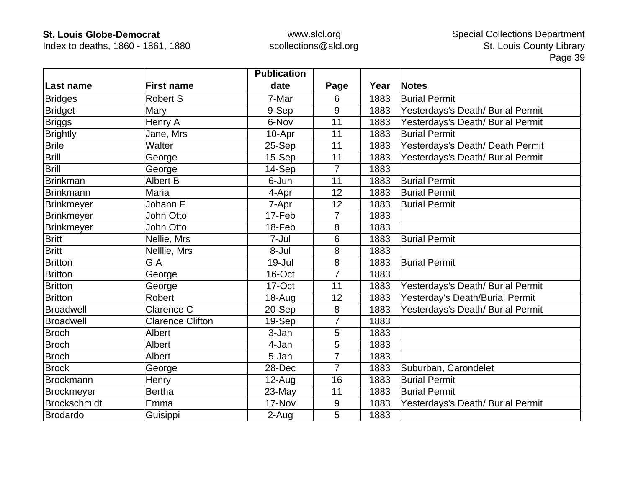Index to deaths, 1860 - 1861, 1880

|                     |                         | <b>Publication</b> |                |      |                                   |
|---------------------|-------------------------|--------------------|----------------|------|-----------------------------------|
| Last name           | <b>First name</b>       | date               | Page           | Year | <b>Notes</b>                      |
| <b>Bridges</b>      | <b>Robert S</b>         | 7-Mar              | 6              | 1883 | <b>Burial Permit</b>              |
| <b>Bridget</b>      | Mary                    | 9-Sep              | 9              | 1883 | Yesterdays's Death/ Burial Permit |
| <b>Briggs</b>       | Henry A                 | 6-Nov              | 11             | 1883 | Yesterdays's Death/ Burial Permit |
| <b>Brightly</b>     | Jane, Mrs               | 10-Apr             | 11             | 1883 | <b>Burial Permit</b>              |
| <b>Brile</b>        | Walter                  | 25-Sep             | 11             | 1883 | Yesterdays's Death/ Death Permit  |
| <b>Brill</b>        | George                  | 15-Sep             | 11             | 1883 | Yesterdays's Death/ Burial Permit |
| <b>Brill</b>        | George                  | 14-Sep             | $\overline{7}$ | 1883 |                                   |
| <b>Brinkman</b>     | Albert B                | 6-Jun              | 11             | 1883 | <b>Burial Permit</b>              |
| <b>Brinkmann</b>    | Maria                   | 4-Apr              | 12             | 1883 | <b>Burial Permit</b>              |
| Brinkmeyer          | Johann F                | 7-Apr              | 12             | 1883 | <b>Burial Permit</b>              |
| <b>Brinkmeyer</b>   | John Otto               | 17-Feb             | 7              | 1883 |                                   |
| <b>Brinkmeyer</b>   | John Otto               | 18-Feb             | 8              | 1883 |                                   |
| <b>Britt</b>        | Nellie, Mrs             | 7-Jul              | 6              | 1883 | <b>Burial Permit</b>              |
| <b>Britt</b>        | Nelllie, Mrs            | 8-Jul              | 8              | 1883 |                                   |
| <b>Britton</b>      | G A                     | 19-Jul             | 8              | 1883 | <b>Burial Permit</b>              |
| <b>Britton</b>      | George                  | 16-Oct             | $\overline{7}$ | 1883 |                                   |
| <b>Britton</b>      | George                  | 17-Oct             | 11             | 1883 | Yesterdays's Death/ Burial Permit |
| <b>Britton</b>      | <b>Robert</b>           | 18-Aug             | 12             | 1883 | Yesterday's Death/Burial Permit   |
| <b>Broadwell</b>    | Clarence C              | 20-Sep             | 8              | 1883 | Yesterdays's Death/ Burial Permit |
| <b>Broadwell</b>    | <b>Clarence Clifton</b> | 19-Sep             | 7              | 1883 |                                   |
| <b>Broch</b>        | Albert                  | 3-Jan              | 5              | 1883 |                                   |
| <b>Broch</b>        | <b>Albert</b>           | 4-Jan              | 5              | 1883 |                                   |
| <b>Broch</b>        | Albert                  | 5-Jan              | 7              | 1883 |                                   |
| <b>Brock</b>        | George                  | 28-Dec             | 7              | 1883 | Suburban, Carondelet              |
| <b>Brockmann</b>    | Henry                   | $12$ -Aug          | 16             | 1883 | <b>Burial Permit</b>              |
| Brockmeyer          | <b>Bertha</b>           | 23-May             | 11             | 1883 | <b>Burial Permit</b>              |
| <b>Brockschmidt</b> | Emma                    | 17-Nov             | 9              | 1883 | Yesterdays's Death/ Burial Permit |
| Brodardo            | Guisippi                | 2-Aug              | 5              | 1883 |                                   |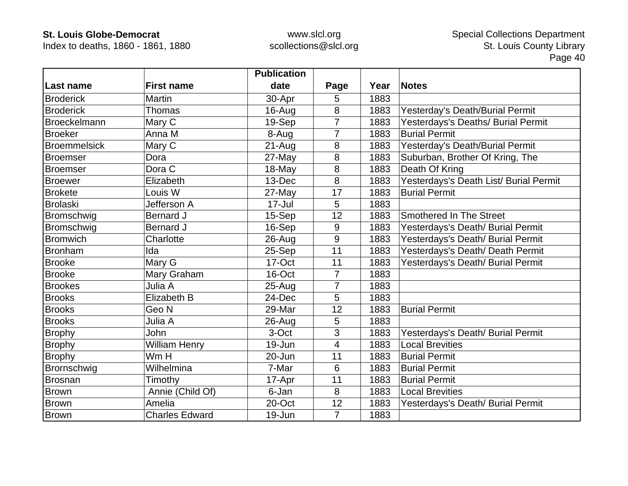Index to deaths, 1860 - 1861, 1880

|                     |                       | <b>Publication</b> |                |      |                                        |
|---------------------|-----------------------|--------------------|----------------|------|----------------------------------------|
| Last name           | <b>First name</b>     | date               | Page           | Year | <b>Notes</b>                           |
| <b>Broderick</b>    | <b>Martin</b>         | 30-Apr             | 5              | 1883 |                                        |
| <b>Broderick</b>    | <b>Thomas</b>         | 16-Aug             | 8              | 1883 | Yesterday's Death/Burial Permit        |
| <b>Broeckelmann</b> | Mary C                | 19-Sep             | $\overline{7}$ | 1883 | Yesterdays's Deaths/ Burial Permit     |
| <b>Broeker</b>      | Anna M                | 8-Aug              | $\overline{7}$ | 1883 | <b>Burial Permit</b>                   |
| <b>Broemmelsick</b> | Mary C                | $21 - Aug$         | 8              | 1883 | Yesterday's Death/Burial Permit        |
| <b>Broemser</b>     | Dora                  | 27-May             | 8              | 1883 | Suburban, Brother Of Kring, The        |
| <b>Broemser</b>     | Dora C                | 18-May             | 8              | 1883 | Death Of Kring                         |
| <b>Broewer</b>      | Elizabeth             | 13-Dec             | 8              | 1883 | Yesterdays's Death List/ Burial Permit |
| <b>Brokete</b>      | Louis W               | 27-May             | 17             | 1883 | <b>Burial Permit</b>                   |
| <b>Brolaski</b>     | Jefferson A           | 17-Jul             | 5              | 1883 |                                        |
| Bromschwig          | <b>Bernard J</b>      | 15-Sep             | 12             | 1883 | <b>Smothered In The Street</b>         |
| Bromschwig          | <b>Bernard J</b>      | 16-Sep             | 9              | 1883 | Yesterdays's Death/ Burial Permit      |
| <b>Bromwich</b>     | Charlotte             | 26-Aug             | 9              | 1883 | Yesterdays's Death/ Burial Permit      |
| Bronham             | Ida                   | 25-Sep             | 11             | 1883 | Yesterdays's Death/ Death Permit       |
| <b>Brooke</b>       | Mary G                | 17-Oct             | 11             | 1883 | Yesterdays's Death/ Burial Permit      |
| <b>Brooke</b>       | Mary Graham           | 16-Oct             | $\overline{7}$ | 1883 |                                        |
| <b>Brookes</b>      | Julia A               | $25 - Aug$         | $\overline{7}$ | 1883 |                                        |
| <b>Brooks</b>       | Elizabeth B           | 24-Dec             | 5              | 1883 |                                        |
| <b>Brooks</b>       | Geo <sub>N</sub>      | 29-Mar             | 12             | 1883 | <b>Burial Permit</b>                   |
| <b>Brooks</b>       | Julia A               | 26-Aug             | 5              | 1883 |                                        |
| <b>Brophy</b>       | <b>John</b>           | 3-Oct              | 3              | 1883 | Yesterdays's Death/ Burial Permit      |
| <b>Brophy</b>       | <b>William Henry</b>  | 19-Jun             | 4              | 1883 | <b>Local Brevities</b>                 |
| <b>Brophy</b>       | Wm H                  | 20-Jun             | 11             | 1883 | <b>Burial Permit</b>                   |
| Brornschwig         | Wilhelmina            | 7-Mar              | 6              | 1883 | <b>Burial Permit</b>                   |
| Brosnan             | Timothy               | 17-Apr             | 11             | 1883 | <b>Burial Permit</b>                   |
| <b>Brown</b>        | Annie (Child Of)      | 6-Jan              | 8              | 1883 | <b>Local Brevities</b>                 |
| Brown               | Amelia                | 20-Oct             | 12             | 1883 | Yesterdays's Death/ Burial Permit      |
| Brown               | <b>Charles Edward</b> | 19-Jun             | $\overline{7}$ | 1883 |                                        |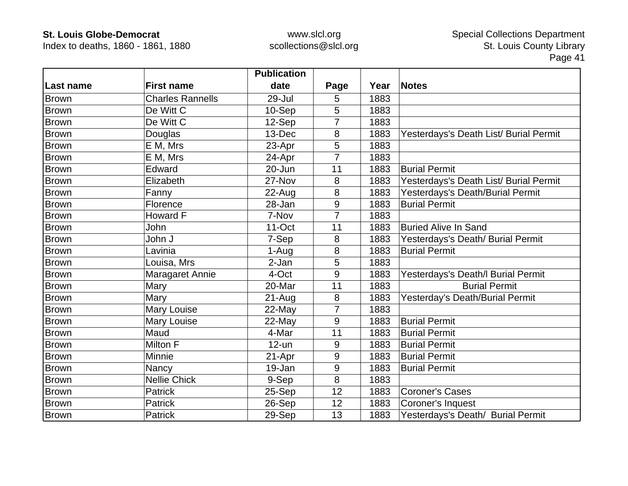Index to deaths, 1860 - 1861, 1880

|              |                         | <b>Publication</b> |                |      |                                        |
|--------------|-------------------------|--------------------|----------------|------|----------------------------------------|
| ∣Last name   | <b>First name</b>       | date               | Page           | Year | <b>Notes</b>                           |
| Brown        | <b>Charles Rannells</b> | 29-Jul             | 5              | 1883 |                                        |
| <b>Brown</b> | De Witt C               | 10-Sep             | 5              | 1883 |                                        |
| <b>Brown</b> | De Witt C               | 12-Sep             |                | 1883 |                                        |
| <b>Brown</b> | Douglas                 | 13-Dec             | 8              | 1883 | Yesterdays's Death List/ Burial Permit |
| <b>Brown</b> | E M, Mrs                | 23-Apr             | 5              | 1883 |                                        |
| Brown        | E M, Mrs                | 24-Apr             | $\overline{7}$ | 1883 |                                        |
| <b>Brown</b> | Edward                  | 20-Jun             | 11             | 1883 | <b>Burial Permit</b>                   |
| <b>Brown</b> | Elizabeth               | 27-Nov             | 8              | 1883 | Yesterdays's Death List/ Burial Permit |
| <b>Brown</b> | Fanny                   | $22$ -Aug          | 8              | 1883 | Yesterdays's Death/Burial Permit       |
| <b>Brown</b> | Florence                | 28-Jan             | 9              | 1883 | <b>Burial Permit</b>                   |
| Brown        | Howard F                | 7-Nov              | 7              | 1883 |                                        |
| <b>Brown</b> | John                    | $11$ -Oct          | 11             | 1883 | <b>Buried Alive In Sand</b>            |
| <b>Brown</b> | John J                  | 7-Sep              | 8              | 1883 | Yesterdays's Death/ Burial Permit      |
| <b>Brown</b> | Lavinia                 | 1-Aug              | 8              | 1883 | <b>Burial Permit</b>                   |
| <b>Brown</b> | Louisa, Mrs             | 2-Jan              | 5              | 1883 |                                        |
| <b>Brown</b> | Maragaret Annie         | 4-Oct              | 9              | 1883 | Yesterdays's Death/I Burial Permit     |
| Brown        | Mary                    | 20-Mar             | 11             | 1883 | <b>Burial Permit</b>                   |
| <b>Brown</b> | Mary                    | $21-Auq$           | 8              | 1883 | Yesterday's Death/Burial Permit        |
| <b>Brown</b> | Mary Louise             | 22-May             | 7              | 1883 |                                        |
| <b>Brown</b> | Mary Louise             | 22-May             | 9              | 1883 | <b>Burial Permit</b>                   |
| Brown        | Maud                    | 4-Mar              | 11             | 1883 | <b>Burial Permit</b>                   |
| <b>Brown</b> | Milton F                | $12$ -un           | 9              | 1883 | <b>Burial Permit</b>                   |
| Brown        | Minnie                  | 21-Apr             | 9              | 1883 | <b>Burial Permit</b>                   |
| Brown        | Nancy                   | 19-Jan             | 9              | 1883 | <b>Burial Permit</b>                   |
| Brown        | <b>Nellie Chick</b>     | 9-Sep              | 8              | 1883 |                                        |
| <b>Brown</b> | Patrick                 | 25-Sep             | 12             | 1883 | <b>Coroner's Cases</b>                 |
| <b>Brown</b> | Patrick                 | 26-Sep             | 12             | 1883 | Coroner's Inquest                      |
| Brown        | Patrick                 | 29-Sep             | 13             | 1883 | Yesterdays's Death/ Burial Permit      |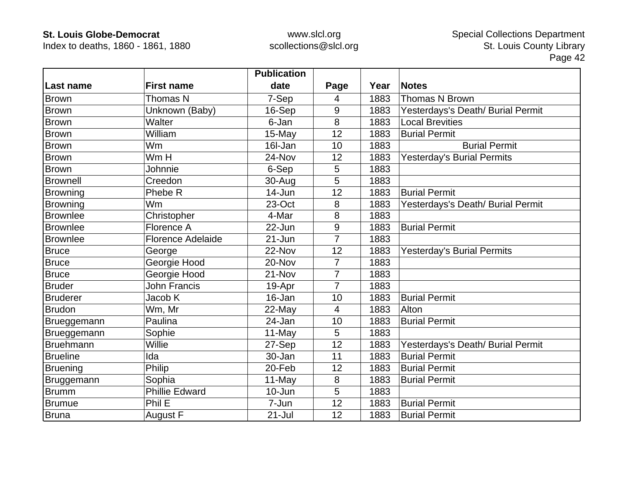Index to deaths, 1860 - 1861, 1880

|                  |                          | <b>Publication</b> |                |      |                                   |
|------------------|--------------------------|--------------------|----------------|------|-----------------------------------|
| Last name        | <b>First name</b>        | date               | Page           | Year | <b>Notes</b>                      |
| Brown            | Thomas N                 | 7-Sep              | 4              | 1883 | <b>Thomas N Brown</b>             |
| Brown            | Unknown (Baby)           | 16-Sep             | 9              | 1883 | Yesterdays's Death/ Burial Permit |
| <b>Brown</b>     | Walter                   | 6-Jan              | 8              | 1883 | <b>Local Brevities</b>            |
| Brown            | William                  | 15-May             | 12             | 1883 | <b>Burial Permit</b>              |
| <b>Brown</b>     | Wm                       | 16I-Jan            | 10             | 1883 | <b>Burial Permit</b>              |
| <b>Brown</b>     | Wm H                     | 24-Nov             | 12             | 1883 | <b>Yesterday's Burial Permits</b> |
| <b>Brown</b>     | Johnnie                  | 6-Sep              | 5              | 1883 |                                   |
| <b>Brownell</b>  | Creedon                  | 30-Aug             | 5              | 1883 |                                   |
| <b>Browning</b>  | Phebe R                  | 14-Jun             | 12             | 1883 | <b>Burial Permit</b>              |
| <b>Browning</b>  | Wm                       | 23-Oct             | 8              | 1883 | Yesterdays's Death/ Burial Permit |
| <b>Brownlee</b>  | Christopher              | 4-Mar              | 8              | 1883 |                                   |
| <b>Brownlee</b>  | Florence A               | $22$ -Jun          | 9              | 1883 | <b>Burial Permit</b>              |
| <b>Brownlee</b>  | <b>Florence Adelaide</b> | $21 - Jun$         | 7              | 1883 |                                   |
| Bruce            | George                   | 22-Nov             | 12             | 1883 | <b>Yesterday's Burial Permits</b> |
| <b>Bruce</b>     | Georgie Hood             | 20-Nov             | 7              | 1883 |                                   |
| <b>Bruce</b>     | Georgie Hood             | 21-Nov             | $\overline{7}$ | 1883 |                                   |
| <b>Bruder</b>    | <b>John Francis</b>      | 19-Apr             | $\overline{7}$ | 1883 |                                   |
| <b>Bruderer</b>  | Jacob K                  | 16-Jan             | 10             | 1883 | <b>Burial Permit</b>              |
| Brudon           | Wm, Mr                   | 22-May             | 4              | 1883 | Alton                             |
| Brueggemann      | Paulina                  | 24-Jan             | 10             | 1883 | <b>Burial Permit</b>              |
| Brueggemann      | Sophie                   | 11-May             | 5              | 1883 |                                   |
| <b>Bruehmann</b> | Willie                   | 27-Sep             | 12             | 1883 | Yesterdays's Death/ Burial Permit |
| <b>Brueline</b>  | Ida                      | 30-Jan             | 11             | 1883 | <b>Burial Permit</b>              |
| <b>Bruening</b>  | Philip                   | 20-Feb             | 12             | 1883 | <b>Burial Permit</b>              |
| Bruggemann       | Sophia                   | 11-May             | 8              | 1883 | <b>Burial Permit</b>              |
| <b>Brumm</b>     | <b>Phillie Edward</b>    | 10-Jun             | 5              | 1883 |                                   |
| <b>Brumue</b>    | Phil E                   | 7-Jun              | 12             | 1883 | <b>Burial Permit</b>              |
| <b>Bruna</b>     | August F                 | $21 -$ Jul         | 12             | 1883 | <b>Burial Permit</b>              |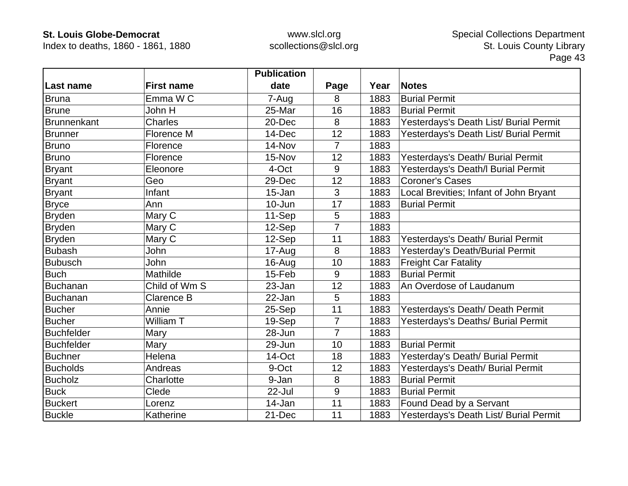Index to deaths, 1860 - 1861, 1880

|                    |                   | <b>Publication</b> |                |      |                                        |
|--------------------|-------------------|--------------------|----------------|------|----------------------------------------|
| Last name          | <b>First name</b> | date               | Page           | Year | <b>Notes</b>                           |
| Bruna              | Emma W C          | 7-Aug              | 8              | 1883 | <b>Burial Permit</b>                   |
| <b>Brune</b>       | John H            | 25-Mar             | 16             | 1883 | <b>Burial Permit</b>                   |
| <b>Brunnenkant</b> | Charles           | 20-Dec             | 8              | 1883 | Yesterdays's Death List/ Burial Permit |
| <b>Brunner</b>     | Florence M        | 14-Dec             | 12             | 1883 | Yesterdays's Death List/ Burial Permit |
| <b>Bruno</b>       | Florence          | 14-Nov             | $\overline{7}$ | 1883 |                                        |
| <b>Bruno</b>       | Florence          | 15-Nov             | 12             | 1883 | Yesterdays's Death/ Burial Permit      |
| <b>Bryant</b>      | Eleonore          | 4-Oct              | 9              | 1883 | Yesterdays's Death/I Burial Permit     |
| Bryant             | Geo               | 29-Dec             | 12             | 1883 | <b>Coroner's Cases</b>                 |
| <b>Bryant</b>      | Infant            | 15-Jan             | 3              | 1883 | Local Brevities; Infant of John Bryant |
| <b>Bryce</b>       | Ann               | $10 - Jun$         | 17             | 1883 | <b>Burial Permit</b>                   |
| <b>Bryden</b>      | Mary C            | 11-Sep             | 5              | 1883 |                                        |
| Bryden             | Mary C            | 12-Sep             | 7              | 1883 |                                        |
| <b>Bryden</b>      | Mary C            | 12-Sep             | 11             | 1883 | Yesterdays's Death/ Burial Permit      |
| <b>Bubash</b>      | John              | 17-Aug             | 8              | 1883 | Yesterday's Death/Burial Permit        |
| <b>Bubusch</b>     | John              | 16-Aug             | 10             | 1883 | <b>Freight Car Fatality</b>            |
| <b>Buch</b>        | Mathilde          | 15-Feb             | 9              | 1883 | <b>Burial Permit</b>                   |
| Buchanan           | Child of Wm S     | 23-Jan             | 12             | 1883 | An Overdose of Laudanum                |
| <b>Buchanan</b>    | Clarence B        | 22-Jan             | 5              | 1883 |                                        |
| <b>Bucher</b>      | Annie             | 25-Sep             | 11             | 1883 | Yesterdays's Death/ Death Permit       |
| <b>Bucher</b>      | William T         | 19-Sep             | $\overline{7}$ | 1883 | Yesterdays's Deaths/ Burial Permit     |
| <b>Buchfelder</b>  | Mary              | 28-Jun             | $\overline{7}$ | 1883 |                                        |
| <b>Buchfelder</b>  | Mary              | 29-Jun             | 10             | 1883 | <b>Burial Permit</b>                   |
| <b>Buchner</b>     | Helena            | 14-Oct             | 18             | 1883 | Yesterday's Death/ Burial Permit       |
| <b>Bucholds</b>    | Andreas           | 9-Oct              | 12             | 1883 | Yesterdays's Death/ Burial Permit      |
| <b>Bucholz</b>     | Charlotte         | 9-Jan              | 8              | 1883 | <b>Burial Permit</b>                   |
| <b>Buck</b>        | Clede             | 22-Jul             | 9              | 1883 | <b>Burial Permit</b>                   |
| <b>Buckert</b>     | Lorenz            | 14-Jan             | 11             | 1883 | Found Dead by a Servant                |
| <b>Buckle</b>      | Katherine         | 21-Dec             | 11             | 1883 | Yesterdays's Death List/ Burial Permit |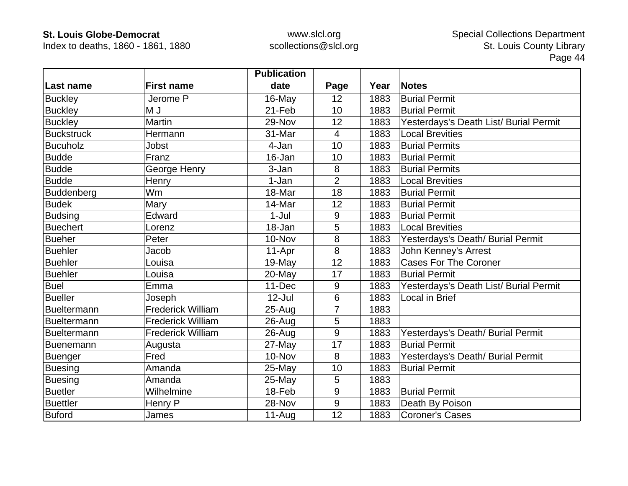Index to deaths, 1860 - 1861, 1880

|                    |                          | <b>Publication</b> |                  |      |                                        |
|--------------------|--------------------------|--------------------|------------------|------|----------------------------------------|
| Last name          | <b>First name</b>        | date               | Page             | Year | <b>Notes</b>                           |
| <b>Buckley</b>     | Jerome P                 | 16-May             | 12               | 1883 | <b>Burial Permit</b>                   |
| <b>Buckley</b>     | M J                      | 21-Feb             | 10               | 1883 | <b>Burial Permit</b>                   |
| <b>Buckley</b>     | <b>Martin</b>            | 29-Nov             | 12               | 1883 | Yesterdays's Death List/ Burial Permit |
| <b>Buckstruck</b>  | Hermann                  | 31-Mar             | $\overline{4}$   | 1883 | <b>Local Brevities</b>                 |
| <b>Bucuholz</b>    | Jobst                    | 4-Jan              | 10               | 1883 | <b>Burial Permits</b>                  |
| <b>Budde</b>       | Franz                    | 16-Jan             | 10               | 1883 | <b>Burial Permit</b>                   |
| <b>Budde</b>       | George Henry             | 3-Jan              | 8                | 1883 | <b>Burial Permits</b>                  |
| <b>Budde</b>       | Henry                    | 1-Jan              | $\overline{2}$   | 1883 | <b>Local Brevities</b>                 |
| <b>Buddenberg</b>  | Wm                       | 18-Mar             | 18               | 1883 | <b>Burial Permit</b>                   |
| <b>Budek</b>       | Mary                     | 14-Mar             | 12               | 1883 | <b>Burial Permit</b>                   |
| <b>Budsing</b>     | Edward                   | $1-Jul$            | 9                | 1883 | <b>Burial Permit</b>                   |
| <b>Buechert</b>    | Lorenz                   | 18-Jan             | 5                | 1883 | <b>Local Brevities</b>                 |
| <b>Bueher</b>      | Peter                    | 10-Nov             | 8                | 1883 | Yesterdays's Death/ Burial Permit      |
| <b>Buehler</b>     | Jacob                    | 11-Apr             | 8                | 1883 | John Kenney's Arrest                   |
| <b>Buehler</b>     | Louisa                   | 19-May             | 12               | 1883 | <b>Cases For The Coroner</b>           |
| <b>Buehler</b>     | Louisa                   | 20-May             | 17               | 1883 | <b>Burial Permit</b>                   |
| <b>Buel</b>        | Emma                     | 11-Dec             | 9                | 1883 | Yesterdays's Death List/ Burial Permit |
| <b>Bueller</b>     | Joseph                   | $12$ -Jul          | $6\phantom{1}$   | 1883 | Local in Brief                         |
| Bueltermann        | <b>Frederick William</b> | 25-Aug             | $\overline{7}$   | 1883 |                                        |
| Bueltermann        | <b>Frederick William</b> | $26$ -Aug          | 5                | 1883 |                                        |
| <b>Bueltermann</b> | <b>Frederick William</b> | $26 - Aug$         | 9                | 1883 | Yesterdays's Death/ Burial Permit      |
| Buenemann          | Augusta                  | 27-May             | 17               | 1883 | <b>Burial Permit</b>                   |
| Buenger            | Fred                     | 10-Nov             | 8                | 1883 | Yesterdays's Death/ Burial Permit      |
| <b>Buesing</b>     | Amanda                   | 25-May             | 10               | 1883 | <b>Burial Permit</b>                   |
| <b>Buesing</b>     | Amanda                   | 25-May             | 5                | 1883 |                                        |
| <b>Buetler</b>     | Wilhelmine               | 18-Feb             | 9                | 1883 | <b>Burial Permit</b>                   |
| <b>Buettler</b>    | Henry P                  | 28-Nov             | $\boldsymbol{9}$ | 1883 | Death By Poison                        |
| <b>Buford</b>      | James                    | $11-Auq$           | 12               | 1883 | <b>Coroner's Cases</b>                 |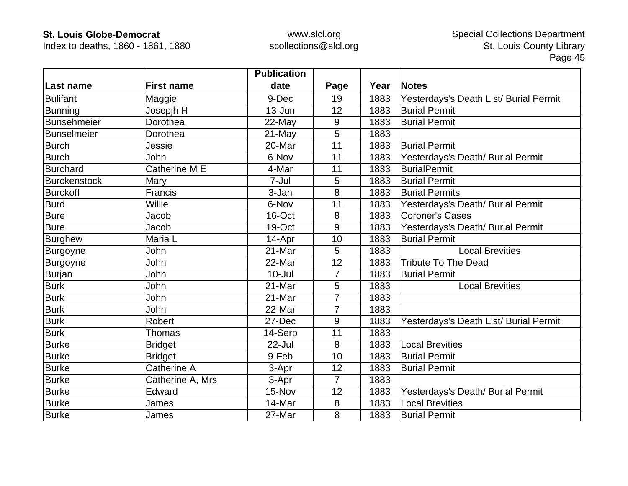Index to deaths, 1860 - 1861, 1880

|                     |                   | <b>Publication</b> |                |      |                                        |
|---------------------|-------------------|--------------------|----------------|------|----------------------------------------|
| Last name           | <b>First name</b> | date               | Page           | Year | <b>Notes</b>                           |
| <b>Bulifant</b>     | Maggie            | 9-Dec              | 19             | 1883 | Yesterdays's Death List/ Burial Permit |
| <b>Bunning</b>      | Josepjh H         | $13 - Jun$         | 12             | 1883 | <b>Burial Permit</b>                   |
| Bunsehmeier         | Dorothea          | 22-May             | 9              | 1883 | <b>Burial Permit</b>                   |
| <b>Bunselmeier</b>  | Dorothea          | 21-May             | 5              | 1883 |                                        |
| <b>Burch</b>        | Jessie            | 20-Mar             | 11             | 1883 | <b>Burial Permit</b>                   |
| <b>Burch</b>        | <b>John</b>       | 6-Nov              | 11             | 1883 | Yesterdays's Death/ Burial Permit      |
| <b>Burchard</b>     | Catherine M E     | 4-Mar              | 11             | 1883 | <b>BurialPermit</b>                    |
| <b>Burckenstock</b> | Mary              | 7-Jul              | 5              | 1883 | <b>Burial Permit</b>                   |
| <b>Burckoff</b>     | Francis           | 3-Jan              | 8              | 1883 | <b>Burial Permits</b>                  |
| <b>Burd</b>         | Willie            | 6-Nov              | 11             | 1883 | Yesterdays's Death/ Burial Permit      |
| <b>Bure</b>         | Jacob             | 16-Oct             | 8              | 1883 | <b>Coroner's Cases</b>                 |
| <b>Bure</b>         | Jacob             | 19-Oct             | 9              | 1883 | Yesterdays's Death/ Burial Permit      |
| <b>Burghew</b>      | Maria L           | 14-Apr             | 10             | 1883 | <b>Burial Permit</b>                   |
| Burgoyne            | John              | 21-Mar             | 5              | 1883 | <b>Local Brevities</b>                 |
| Burgoyne            | John              | 22-Mar             | 12             | 1883 | <b>Tribute To The Dead</b>             |
| Burjan              | John              | $10 -$ Jul         | $\overline{7}$ | 1883 | <b>Burial Permit</b>                   |
| <b>Burk</b>         | John              | 21-Mar             | 5              | 1883 | <b>Local Brevities</b>                 |
| <b>Burk</b>         | John              | 21-Mar             | 7              | 1883 |                                        |
| <b>Burk</b>         | John              | 22-Mar             | $\overline{7}$ | 1883 |                                        |
| <b>Burk</b>         | <b>Robert</b>     | 27-Dec             | 9              | 1883 | Yesterdays's Death List/ Burial Permit |
| <b>Burk</b>         | <b>Thomas</b>     | 14-Serp            | 11             | 1883 |                                        |
| <b>Burke</b>        | <b>Bridget</b>    | 22-Jul             | 8              | 1883 | <b>Local Brevities</b>                 |
| <b>Burke</b>        | <b>Bridget</b>    | 9-Feb              | 10             | 1883 | <b>Burial Permit</b>                   |
| <b>Burke</b>        | Catherine A       | 3-Apr              | 12             | 1883 | <b>Burial Permit</b>                   |
| <b>Burke</b>        | Catherine A, Mrs  | 3-Apr              | $\overline{7}$ | 1883 |                                        |
| <b>Burke</b>        | Edward            | 15-Nov             | 12             | 1883 | Yesterdays's Death/ Burial Permit      |
| <b>Burke</b>        | James             | 14-Mar             | 8              | 1883 | <b>Local Brevities</b>                 |
| <b>Burke</b>        | James             | 27-Mar             | 8              | 1883 | <b>Burial Permit</b>                   |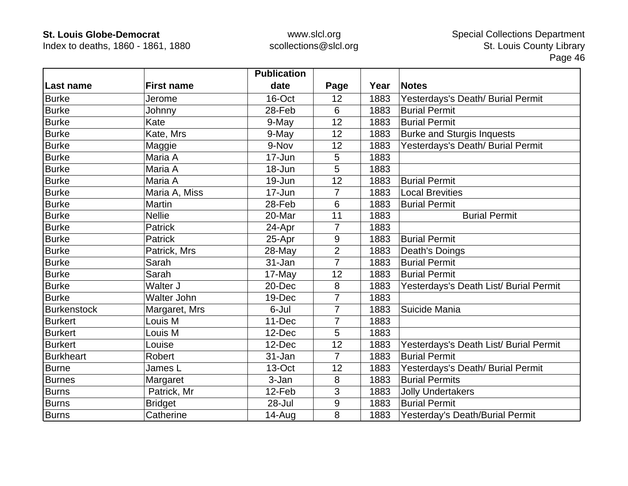Index to deaths, 1860 - 1861, 1880

|                    |                    | <b>Publication</b> |                |      |                                        |
|--------------------|--------------------|--------------------|----------------|------|----------------------------------------|
| Last name          | <b>First name</b>  | date               | Page           | Year | <b>Notes</b>                           |
| <b>Burke</b>       | Jerome             | 16-Oct             | 12             | 1883 | Yesterdays's Death/ Burial Permit      |
| <b>Burke</b>       | Johnny             | 28-Feb             | 6              | 1883 | <b>Burial Permit</b>                   |
| <b>Burke</b>       | Kate               | 9-May              | 12             | 1883 | <b>Burial Permit</b>                   |
| <b>Burke</b>       | Kate, Mrs          | 9-May              | 12             | 1883 | <b>Burke and Sturgis Inquests</b>      |
| <b>Burke</b>       | Maggie             | 9-Nov              | 12             | 1883 | Yesterdays's Death/ Burial Permit      |
| <b>Burke</b>       | Maria A            | 17-Jun             | 5              | 1883 |                                        |
| <b>Burke</b>       | Maria A            | 18-Jun             | 5              | 1883 |                                        |
| <b>Burke</b>       | Maria A            | 19-Jun             | 12             | 1883 | <b>Burial Permit</b>                   |
| <b>Burke</b>       | Maria A, Miss      | 17-Jun             | $\overline{7}$ | 1883 | <b>Local Brevities</b>                 |
| <b>Burke</b>       | <b>Martin</b>      | 28-Feb             | 6              | 1883 | <b>Burial Permit</b>                   |
| <b>Burke</b>       | <b>Nellie</b>      | 20-Mar             | 11             | 1883 | <b>Burial Permit</b>                   |
| <b>Burke</b>       | <b>Patrick</b>     | 24-Apr             | 7              | 1883 |                                        |
| <b>Burke</b>       | <b>Patrick</b>     | 25-Apr             | 9              | 1883 | <b>Burial Permit</b>                   |
| <b>Burke</b>       | Patrick, Mrs       | 28-May             | $\overline{2}$ | 1883 | Death's Doings                         |
| <b>Burke</b>       | Sarah              | 31-Jan             | 7              | 1883 | <b>Burial Permit</b>                   |
| <b>Burke</b>       | Sarah              | 17-May             | 12             | 1883 | <b>Burial Permit</b>                   |
| Burke              | Walter J           | 20-Dec             | 8              | 1883 | Yesterdays's Death List/ Burial Permit |
| <b>Burke</b>       | <b>Walter John</b> | 19-Dec             | $\overline{7}$ | 1883 |                                        |
| <b>Burkenstock</b> | Margaret, Mrs      | 6-Jul              | $\overline{7}$ | 1883 | Suicide Mania                          |
| <b>Burkert</b>     | Louis M            | 11-Dec             | 7              | 1883 |                                        |
| <b>Burkert</b>     | Louis M            | 12-Dec             | 5              | 1883 |                                        |
| <b>Burkert</b>     | Louise             | 12-Dec             | 12             | 1883 | Yesterdays's Death List/ Burial Permit |
| <b>Burkheart</b>   | Robert             | 31-Jan             | $\overline{7}$ | 1883 | <b>Burial Permit</b>                   |
| <b>Burne</b>       | James L            | 13-Oct             | 12             | 1883 | Yesterdays's Death/ Burial Permit      |
| <b>Burnes</b>      | Margaret           | 3-Jan              | 8              | 1883 | <b>Burial Permits</b>                  |
| <b>Burns</b>       | Patrick, Mr        | 12-Feb             | 3              | 1883 | <b>Jolly Undertakers</b>               |
| <b>Burns</b>       | <b>Bridget</b>     | 28-Jul             | 9              | 1883 | <b>Burial Permit</b>                   |
| <b>Burns</b>       | Catherine          | $14 - Aug$         | 8              | 1883 | Yesterday's Death/Burial Permit        |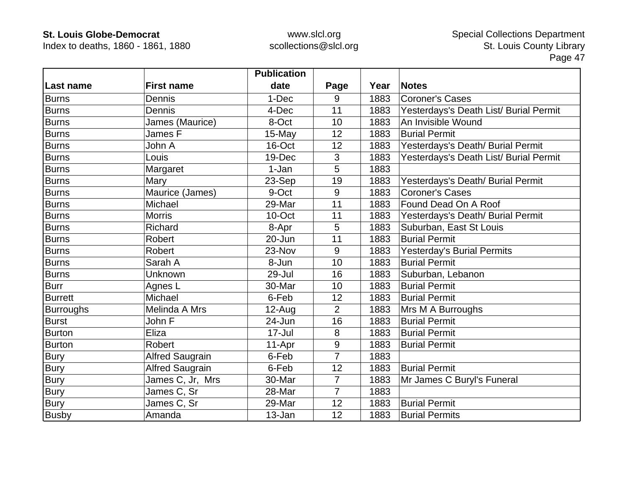Index to deaths, 1860 - 1861, 1880

|                  |                        | <b>Publication</b> |                |      |                                        |
|------------------|------------------------|--------------------|----------------|------|----------------------------------------|
| Last name        | <b>First name</b>      | date               | Page           | Year | <b>Notes</b>                           |
| <b>Burns</b>     | Dennis                 | 1-Dec              | 9              | 1883 | <b>Coroner's Cases</b>                 |
| <b>Burns</b>     | Dennis                 | 4-Dec              | 11             | 1883 | Yesterdays's Death List/ Burial Permit |
| <b>Burns</b>     | James (Maurice)        | 8-Oct              | 10             | 1883 | An Invisible Wound                     |
| <b>Burns</b>     | James F                | 15-May             | 12             | 1883 | <b>Burial Permit</b>                   |
| Burns            | John A                 | 16-Oct             | 12             | 1883 | Yesterdays's Death/ Burial Permit      |
| <b>Burns</b>     | Louis                  | 19-Dec             | 3              | 1883 | Yesterdays's Death List/ Burial Permit |
| <b>Burns</b>     | Margaret               | 1-Jan              | 5              | 1883 |                                        |
| <b>Burns</b>     | Mary                   | 23-Sep             | 19             | 1883 | Yesterdays's Death/ Burial Permit      |
| <b>Burns</b>     | Maurice (James)        | 9-Oct              | 9              | 1883 | <b>Coroner's Cases</b>                 |
| <b>Burns</b>     | Michael                | 29-Mar             | 11             | 1883 | Found Dead On A Roof                   |
| <b>Burns</b>     | <b>Morris</b>          | 10-Oct             | 11             | 1883 | Yesterdays's Death/ Burial Permit      |
| Burns            | Richard                | 8-Apr              | 5              | 1883 | Suburban, East St Louis                |
| <b>Burns</b>     | Robert                 | 20-Jun             | 11             | 1883 | <b>Burial Permit</b>                   |
| <b>Burns</b>     | Robert                 | 23-Nov             | 9              | 1883 | Yesterday's Burial Permits             |
| <b>Burns</b>     | Sarah A                | 8-Jun              | 10             | 1883 | <b>Burial Permit</b>                   |
| <b>Burns</b>     | Unknown                | 29-Jul             | 16             | 1883 | Suburban, Lebanon                      |
| <b>Burr</b>      | Agnes L                | 30-Mar             | 10             | 1883 | <b>Burial Permit</b>                   |
| <b>Burrett</b>   | Michael                | 6-Feb              | 12             | 1883 | <b>Burial Permit</b>                   |
| <b>Burroughs</b> | Melinda A Mrs          | $12-Auq$           | $\overline{2}$ | 1883 | Mrs M A Burroughs                      |
| <b>Burst</b>     | John F                 | 24-Jun             | 16             | 1883 | <b>Burial Permit</b>                   |
| <b>Burton</b>    | Eliza                  | 17-Jul             | 8              | 1883 | <b>Burial Permit</b>                   |
| <b>Burton</b>    | Robert                 | 11-Apr             | 9              | 1883 | <b>Burial Permit</b>                   |
| <b>Bury</b>      | <b>Alfred Saugrain</b> | 6-Feb              | 7              | 1883 |                                        |
| Bury             | <b>Alfred Saugrain</b> | 6-Feb              | 12             | 1883 | <b>Burial Permit</b>                   |
| <b>Bury</b>      | James C, Jr, Mrs       | 30-Mar             | 7              | 1883 | Mr James C Buryl's Funeral             |
| <b>Bury</b>      | James C, Sr            | 28-Mar             | $\overline{7}$ | 1883 |                                        |
| <b>Bury</b>      | James C, Sr            | 29-Mar             | 12             | 1883 | <b>Burial Permit</b>                   |
| <b>Busby</b>     | Amanda                 | 13-Jan             | 12             | 1883 | <b>Burial Permits</b>                  |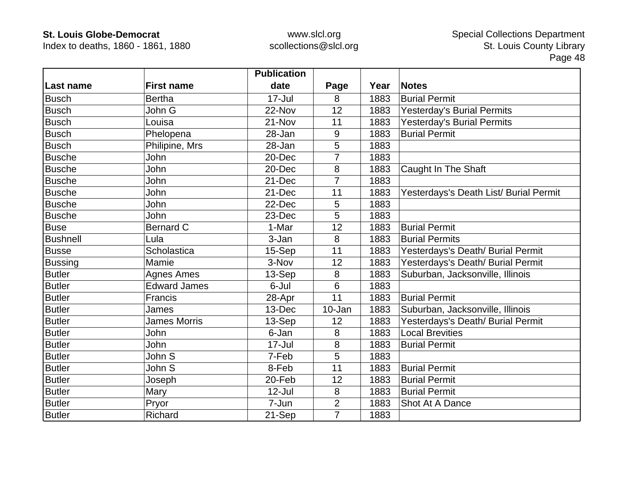Index to deaths, 1860 - 1861, 1880

|                 |                     | <b>Publication</b> |                |      |                                        |
|-----------------|---------------------|--------------------|----------------|------|----------------------------------------|
| Last name       | <b>First name</b>   | date               | Page           | Year | <b>Notes</b>                           |
| <b>Busch</b>    | <b>Bertha</b>       | $17 -$ Jul         | 8              | 1883 | <b>Burial Permit</b>                   |
| <b>Busch</b>    | John G              | 22-Nov             | 12             | 1883 | <b>Yesterday's Burial Permits</b>      |
| <b>Busch</b>    | Louisa              | 21-Nov             | 11             | 1883 | Yesterday's Burial Permits             |
| <b>Busch</b>    | Phelopena           | 28-Jan             | 9              | 1883 | <b>Burial Permit</b>                   |
| <b>Busch</b>    | Philipine, Mrs      | 28-Jan             | 5              | 1883 |                                        |
| <b>Busche</b>   | John                | 20-Dec             | $\overline{7}$ | 1883 |                                        |
| <b>Busche</b>   | John                | 20-Dec             | 8              | 1883 | Caught In The Shaft                    |
| <b>Busche</b>   | John                | 21-Dec             | 7              | 1883 |                                        |
| <b>Busche</b>   | John                | 21-Dec             | 11             | 1883 | Yesterdays's Death List/ Burial Permit |
| <b>Busche</b>   | John                | 22-Dec             | 5              | 1883 |                                        |
| <b>Busche</b>   | John                | 23-Dec             | 5              | 1883 |                                        |
| <b>Buse</b>     | Bernard C           | 1-Mar              | 12             | 1883 | <b>Burial Permit</b>                   |
| <b>Bushnell</b> | Lula                | 3-Jan              | 8              | 1883 | <b>Burial Permits</b>                  |
| <b>Busse</b>    | Scholastica         | 15-Sep             | 11             | 1883 | Yesterdays's Death/ Burial Permit      |
| <b>Bussing</b>  | Mamie               | 3-Nov              | 12             | 1883 | Yesterdays's Death/ Burial Permit      |
| <b>Butler</b>   | <b>Agnes Ames</b>   | 13-Sep             | 8              | 1883 | Suburban, Jacksonville, Illinois       |
| <b>Butler</b>   | <b>Edward James</b> | 6-Jul              | $6\phantom{1}$ | 1883 |                                        |
| <b>Butler</b>   | Francis             | 28-Apr             | 11             | 1883 | <b>Burial Permit</b>                   |
| <b>Butler</b>   | James               | 13-Dec             | 10-Jan         | 1883 | Suburban, Jacksonville, Illinois       |
| <b>Butler</b>   | <b>James Morris</b> | 13-Sep             | 12             | 1883 | Yesterdays's Death/ Burial Permit      |
| <b>Butler</b>   | <b>John</b>         | 6-Jan              | 8              | 1883 | <b>Local Brevities</b>                 |
| <b>Butler</b>   | John                | $17 -$ Jul         | 8              | 1883 | <b>Burial Permit</b>                   |
| <b>Butler</b>   | John S              | 7-Feb              | 5              | 1883 |                                        |
| <b>Butler</b>   | John S              | 8-Feb              | 11             | 1883 | <b>Burial Permit</b>                   |
| <b>Butler</b>   | Joseph              | 20-Feb             | 12             | 1883 | <b>Burial Permit</b>                   |
| <b>Butler</b>   | Mary                | 12-Jul             | 8              | 1883 | <b>Burial Permit</b>                   |
| <b>Butler</b>   | Pryor               | 7-Jun              | $\overline{2}$ | 1883 | Shot At A Dance                        |
| <b>Butler</b>   | Richard             | 21-Sep             | $\overline{7}$ | 1883 |                                        |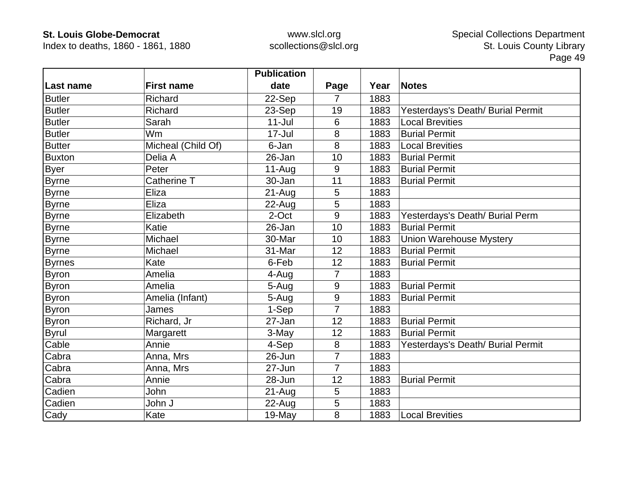Index to deaths, 1860 - 1861, 1880

|               |                    | <b>Publication</b> |                |      |                                   |
|---------------|--------------------|--------------------|----------------|------|-----------------------------------|
| Last name     | <b>First name</b>  | date               | Page           | Year | <b>Notes</b>                      |
| <b>Butler</b> | <b>Richard</b>     | 22-Sep             | 7              | 1883 |                                   |
| <b>Butler</b> | Richard            | 23-Sep             | 19             | 1883 | Yesterdays's Death/ Burial Permit |
| <b>Butler</b> | Sarah              | $11$ -Jul          | 6              | 1883 | <b>Local Brevities</b>            |
| <b>Butler</b> | Wm                 | 17-Jul             | 8              | 1883 | <b>Burial Permit</b>              |
| <b>Butter</b> | Micheal (Child Of) | 6-Jan              | 8              | 1883 | <b>Local Brevities</b>            |
| <b>Buxton</b> | Delia A            | 26-Jan             | 10             | 1883 | <b>Burial Permit</b>              |
| <b>Byer</b>   | Peter              | $11-Aug$           | 9              | 1883 | <b>Burial Permit</b>              |
| <b>Byrne</b>  | Catherine T        | 30-Jan             | 11             | 1883 | <b>Burial Permit</b>              |
| <b>Byrne</b>  | Eliza              | $21-Auq$           | 5              | 1883 |                                   |
| <b>Byrne</b>  | Eliza              | 22-Aug             | 5              | 1883 |                                   |
| <b>Byrne</b>  | Elizabeth          | 2-Oct              | 9              | 1883 | Yesterdays's Death/ Burial Perm   |
| <b>Byrne</b>  | Katie              | 26-Jan             | 10             | 1883 | <b>Burial Permit</b>              |
| <b>Byrne</b>  | Michael            | 30-Mar             | 10             | 1883 | <b>Union Warehouse Mystery</b>    |
| <b>Byrne</b>  | Michael            | 31-Mar             | 12             | 1883 | <b>Burial Permit</b>              |
| <b>Byrnes</b> | Kate               | 6-Feb              | 12             | 1883 | <b>Burial Permit</b>              |
| <b>Byron</b>  | Amelia             | 4-Aug              | $\overline{7}$ | 1883 |                                   |
| <b>Byron</b>  | Amelia             | 5-Aug              | 9              | 1883 | <b>Burial Permit</b>              |
| <b>Byron</b>  | Amelia (Infant)    | 5-Aug              | 9              | 1883 | <b>Burial Permit</b>              |
| <b>Byron</b>  | James              | 1-Sep              | $\overline{7}$ | 1883 |                                   |
| <b>Byron</b>  | Richard, Jr        | 27-Jan             | 12             | 1883 | <b>Burial Permit</b>              |
| <b>Byrul</b>  | Margarett          | 3-May              | 12             | 1883 | <b>Burial Permit</b>              |
| Cable         | Annie              | 4-Sep              | 8              | 1883 | Yesterdays's Death/ Burial Permit |
| Cabra         | Anna, Mrs          | 26-Jun             | 7              | 1883 |                                   |
| Cabra         | Anna, Mrs          | 27-Jun             | $\overline{7}$ | 1883 |                                   |
| Cabra         | Annie              | 28-Jun             | 12             | 1883 | <b>Burial Permit</b>              |
| Cadien        | John               | $21-Auq$           | 5              | 1883 |                                   |
| Cadien        | John J             | $22$ -Aug          | 5              | 1883 |                                   |
| Cady          | Kate               | 19-May             | 8              | 1883 | <b>Local Brevities</b>            |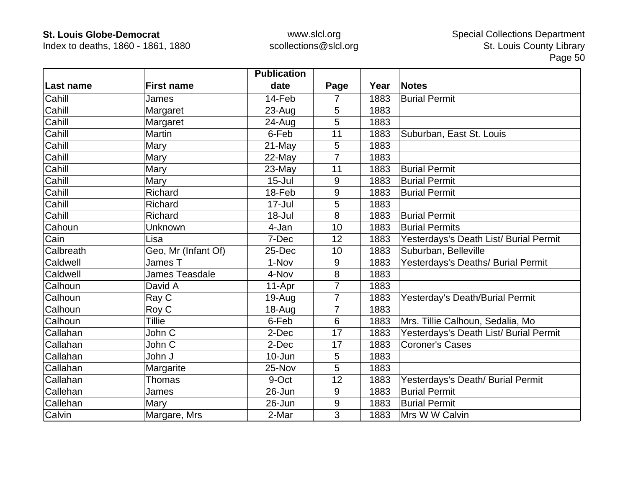Index to deaths, 1860 - 1861, 1880

|           |                       | <b>Publication</b> |                |      |                                        |
|-----------|-----------------------|--------------------|----------------|------|----------------------------------------|
| Last name | <b>First name</b>     | date               | Page           | Year | <b>Notes</b>                           |
| Cahill    | James                 | 14-Feb             | 7              | 1883 | <b>Burial Permit</b>                   |
| Cahill    | Margaret              | $23 - Aug$         | 5              | 1883 |                                        |
| Cahill    | Margaret              | 24-Aug             | 5              | 1883 |                                        |
| Cahill    | Martin                | 6-Feb              | 11             | 1883 | Suburban, East St. Louis               |
| Cahill    | Mary                  | 21-May             | 5              | 1883 |                                        |
| Cahill    | Mary                  | 22-May             | $\overline{7}$ | 1883 |                                        |
| Cahill    | Mary                  | 23-May             | 11             | 1883 | <b>Burial Permit</b>                   |
| Cahill    | Mary                  | $15 -$ Jul         | 9              | 1883 | <b>Burial Permit</b>                   |
| Cahill    | Richard               | 18-Feb             | 9              | 1883 | <b>Burial Permit</b>                   |
| Cahill    | Richard               | $17 -$ Jul         | 5              | 1883 |                                        |
| Cahill    | Richard               | 18-Jul             | 8              | 1883 | <b>Burial Permit</b>                   |
| Cahoun    | Unknown               | 4-Jan              | 10             | 1883 | <b>Burial Permits</b>                  |
| Cain      | Lisa                  | 7-Dec              | 12             | 1883 | Yesterdays's Death List/ Burial Permit |
| Calbreath | Geo, Mr (Infant Of)   | 25-Dec             | 10             | 1883 | Suburban, Belleville                   |
| Caldwell  | James T               | 1-Nov              | 9              | 1883 | Yesterdays's Deaths/ Burial Permit     |
| Caldwell  | <b>James Teasdale</b> | 4-Nov              | 8              | 1883 |                                        |
| Calhoun   | David A               | 11-Apr             | 7              | 1883 |                                        |
| Calhoun   | Ray C                 | 19-Aug             | $\overline{7}$ | 1883 | Yesterday's Death/Burial Permit        |
| Calhoun   | Roy C                 | 18-Aug             | 7              | 1883 |                                        |
| Calhoun   | <b>Tillie</b>         | 6-Feb              | 6              | 1883 | Mrs. Tillie Calhoun, Sedalia, Mo       |
| Callahan  | John C                | 2-Dec              | 17             | 1883 | Yesterdays's Death List/ Burial Permit |
| Callahan  | John C                | 2-Dec              | 17             | 1883 | <b>Coroner's Cases</b>                 |
| Callahan  | John J                | $10 - Jun$         | 5              | 1883 |                                        |
| Callahan  | Margarite             | 25-Nov             | 5              | 1883 |                                        |
| Callahan  | Thomas                | 9-Oct              | 12             | 1883 | Yesterdays's Death/ Burial Permit      |
| Callehan  | James                 | 26-Jun             | 9              | 1883 | <b>Burial Permit</b>                   |
| Callehan  | Mary                  | 26-Jun             | 9              | 1883 | <b>Burial Permit</b>                   |
| Calvin    | Margare, Mrs          | 2-Mar              | 3              | 1883 | Mrs W W Calvin                         |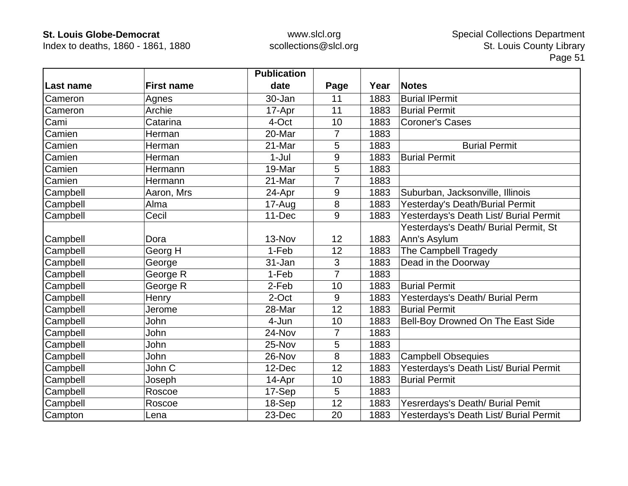Index to deaths, 1860 - 1861, 1880

|           |                   | <b>Publication</b> |                |      |                                        |
|-----------|-------------------|--------------------|----------------|------|----------------------------------------|
| Last name | <b>First name</b> | date               | Page           | Year | <b>Notes</b>                           |
| Cameron   | Agnes             | 30-Jan             | 11             | 1883 | <b>Burial IPermit</b>                  |
| Cameron   | Archie            | 17-Apr             | 11             | 1883 | <b>Burial Permit</b>                   |
| Cami      | Catarina          | 4-Oct              | 10             | 1883 | <b>Coroner's Cases</b>                 |
| Camien    | Herman            | 20-Mar             | 7              | 1883 |                                        |
| Camien    | Herman            | 21-Mar             | 5              | 1883 | <b>Burial Permit</b>                   |
| Camien    | Herman            | $1-Jul$            | 9              | 1883 | <b>Burial Permit</b>                   |
| Camien    | Hermann           | 19-Mar             | 5              | 1883 |                                        |
| Camien    | Hermann           | 21-Mar             | 7              | 1883 |                                        |
| Campbell  | Aaron, Mrs        | 24-Apr             | 9              | 1883 | Suburban, Jacksonville, Illinois       |
| Campbell  | Alma              | 17-Aug             | $\bf 8$        | 1883 | Yesterday's Death/Burial Permit        |
| Campbell  | Cecil             | 11-Dec             | 9              | 1883 | Yesterdays's Death List/ Burial Permit |
|           |                   |                    |                |      | Yesterdays's Death/ Burial Permit, St  |
| Campbell  | Dora              | 13-Nov             | 12             | 1883 | Ann's Asylum                           |
| Campbell  | Georg H           | 1-Feb              | 12             | 1883 | <b>The Campbell Tragedy</b>            |
| Campbell  | George            | 31-Jan             | 3              | 1883 | Dead in the Doorway                    |
| Campbell  | George R          | 1-Feb              | $\overline{7}$ | 1883 |                                        |
| Campbell  | George R          | 2-Feb              | 10             | 1883 | <b>Burial Permit</b>                   |
| Campbell  | Henry             | 2-Oct              | 9              | 1883 | Yesterdays's Death/ Burial Perm        |
| Campbell  | Jerome            | 28-Mar             | 12             | 1883 | <b>Burial Permit</b>                   |
| Campbell  | John              | 4-Jun              | 10             | 1883 | Bell-Boy Drowned On The East Side      |
| Campbell  | John              | 24-Nov             | 7              | 1883 |                                        |
| Campbell  | John              | 25-Nov             | 5              | 1883 |                                        |
| Campbell  | John              | 26-Nov             | 8              | 1883 | <b>Campbell Obsequies</b>              |
| Campbell  | John C            | 12-Dec             | 12             | 1883 | Yesterdays's Death List/ Burial Permit |
| Campbell  | Joseph            | 14-Apr             | 10             | 1883 | <b>Burial Permit</b>                   |
| Campbell  | Roscoe            | 17-Sep             | 5              | 1883 |                                        |
| Campbell  | Roscoe            | 18-Sep             | 12             | 1883 | Yesrerdays's Death/ Burial Pemit       |
| Campton   | Lena              | 23-Dec             | 20             | 1883 | Yesterdays's Death List/ Burial Permit |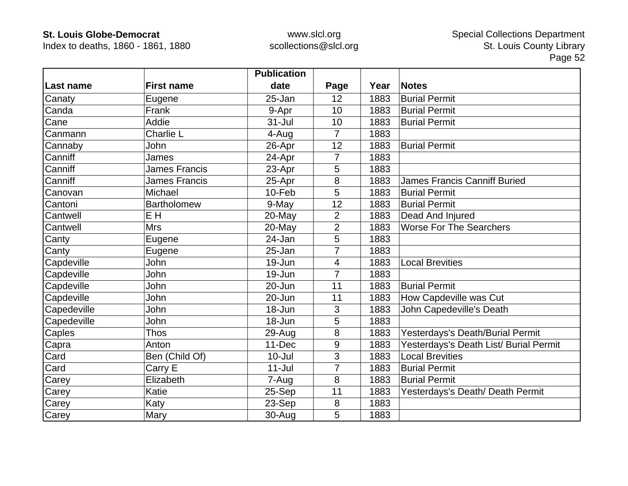Index to deaths, 1860 - 1861, 1880

|             |                      | <b>Publication</b> |                |      |                                        |
|-------------|----------------------|--------------------|----------------|------|----------------------------------------|
| Last name   | <b>First name</b>    | date               | Page           | Year | <b>Notes</b>                           |
| Canaty      | Eugene               | 25-Jan             | 12             | 1883 | <b>Burial Permit</b>                   |
| Canda       | Frank                | 9-Apr              | 10             | 1883 | <b>Burial Permit</b>                   |
| Cane        | Addie                | $31 -$ Jul         | 10             | 1883 | <b>Burial Permit</b>                   |
| Canmann     | Charlie L            | 4-Aug              | $\overline{7}$ | 1883 |                                        |
| Cannaby     | John                 | 26-Apr             | 12             | 1883 | <b>Burial Permit</b>                   |
| Canniff     | James                | 24-Apr             | 7              | 1883 |                                        |
| Canniff     | <b>James Francis</b> | 23-Apr             | 5              | 1883 |                                        |
| Canniff     | <b>James Francis</b> | 25-Apr             | 8              | 1883 | <b>James Francis Canniff Buried</b>    |
| Canovan     | Michael              | 10-Feb             | 5              | 1883 | <b>Burial Permit</b>                   |
| Cantoni     | <b>Bartholomew</b>   | 9-May              | 12             | 1883 | <b>Burial Permit</b>                   |
| Cantwell    | E H                  | 20-May             | $\overline{2}$ | 1883 | Dead And Injured                       |
| Cantwell    | <b>Mrs</b>           | 20-May             | $\overline{2}$ | 1883 | <b>Worse For The Searchers</b>         |
| Canty       | Eugene               | 24-Jan             | 5              | 1883 |                                        |
| Canty       | Eugene               | 25-Jan             | 7              | 1883 |                                        |
| Capdeville  | John                 | 19-Jun             | 4              | 1883 | <b>Local Brevities</b>                 |
| Capdeville  | John                 | 19-Jun             | $\overline{7}$ | 1883 |                                        |
| Capdeville  | John                 | 20-Jun             | 11             | 1883 | <b>Burial Permit</b>                   |
| Capdeville  | John                 | 20-Jun             | 11             | 1883 | How Capdeville was Cut                 |
| Capedeville | John                 | 18-Jun             | 3              | 1883 | John Capedeville's Death               |
| Capedeville | <b>John</b>          | 18-Jun             | 5              | 1883 |                                        |
| Caples      | <b>Thos</b>          | 29-Aug             | 8              | 1883 | Yesterdays's Death/Burial Permit       |
| Capra       | Anton                | 11-Dec             | 9              | 1883 | Yesterdays's Death List/ Burial Permit |
| Card        | Ben (Child Of)       | $10 -$ Jul         | 3              | 1883 | <b>Local Brevities</b>                 |
| Card        | Carry E              | $11 -$ Jul         | $\overline{7}$ | 1883 | <b>Burial Permit</b>                   |
| Carey       | Elizabeth            | 7-Aug              | 8              | 1883 | <b>Burial Permit</b>                   |
| Carey       | Katie                | 25-Sep             | 11             | 1883 | Yesterdays's Death/ Death Permit       |
| Carey       | Katy                 | 23-Sep             | 8              | 1883 |                                        |
| Carey       | Mary                 | 30-Aug             | 5              | 1883 |                                        |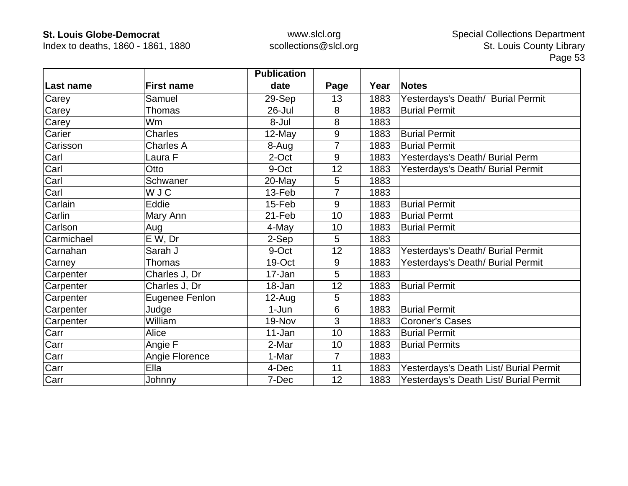Index to deaths, 1860 - 1861, 1880

|            |                   | <b>Publication</b> |                |      |                                        |
|------------|-------------------|--------------------|----------------|------|----------------------------------------|
| Last name  | <b>First name</b> | date               | Page           | Year | <b>Notes</b>                           |
| Carey      | Samuel            | 29-Sep             | 13             | 1883 | Yesterdays's Death/ Burial Permit      |
| Carey      | <b>Thomas</b>     | 26-Jul             | 8              | 1883 | <b>Burial Permit</b>                   |
| Carey      | Wm                | 8-Jul              | 8              | 1883 |                                        |
| Carier     | <b>Charles</b>    | 12-May             | 9              | 1883 | <b>Burial Permit</b>                   |
| Carisson   | Charles A         | 8-Aug              | $\overline{7}$ | 1883 | <b>Burial Permit</b>                   |
| Carl       | Laura F           | 2-Oct              | 9              | 1883 | Yesterdays's Death/ Burial Perm        |
| Carl       | Otto              | 9-Oct              | 12             | 1883 | Yesterdays's Death/ Burial Permit      |
| Carl       | Schwaner          | 20-May             | 5              | 1883 |                                        |
| Carl       | <b>WJC</b>        | 13-Feb             |                | 1883 |                                        |
| Carlain    | Eddie             | 15-Feb             | 9              | 1883 | <b>Burial Permit</b>                   |
| Carlin     | Mary Ann          | 21-Feb             | 10             | 1883 | <b>Burial Permt</b>                    |
| Carlson    | Aug               | 4-May              | 10             | 1883 | <b>Burial Permit</b>                   |
| Carmichael | E W, Dr           | 2-Sep              | 5              | 1883 |                                        |
| Carnahan   | Sarah J           | 9-Oct              | 12             | 1883 | Yesterdays's Death/ Burial Permit      |
| Carney     | <b>Thomas</b>     | 19-Oct             | 9              | 1883 | Yesterdays's Death/ Burial Permit      |
| Carpenter  | Charles J, Dr     | 17-Jan             | 5              | 1883 |                                        |
| Carpenter  | Charles J, Dr     | 18-Jan             | 12             | 1883 | <b>Burial Permit</b>                   |
| Carpenter  | Eugenee Fenlon    | $12$ -Aug          | 5              | 1883 |                                        |
| Carpenter  | Judge             | $1-Jun$            | 6              | 1883 | <b>Burial Permit</b>                   |
| Carpenter  | William           | 19-Nov             | 3              | 1883 | <b>Coroner's Cases</b>                 |
| Carr       | Alice             | 11-Jan             | 10             | 1883 | <b>Burial Permit</b>                   |
| Carr       | Angie F           | 2-Mar              | 10             | 1883 | <b>Burial Permits</b>                  |
| Carr       | Angie Florence    | 1-Mar              | $\overline{7}$ | 1883 |                                        |
| Carr       | Ella              | 4-Dec              | 11             | 1883 | Yesterdays's Death List/ Burial Permit |
| Carr       | Johnny            | 7-Dec              | 12             | 1883 | Yesterdays's Death List/ Burial Permit |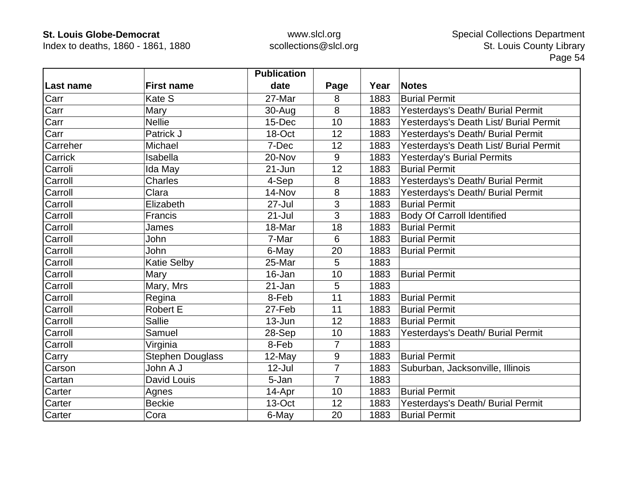Index to deaths, 1860 - 1861, 1880

|           |                         | <b>Publication</b> |                |      |                                        |
|-----------|-------------------------|--------------------|----------------|------|----------------------------------------|
| Last name | <b>First name</b>       | date               | Page           | Year | <b>Notes</b>                           |
| Carr      | Kate S                  | 27-Mar             | 8              | 1883 | <b>Burial Permit</b>                   |
| Carr      | Mary                    | $30 - Aug$         | 8              | 1883 | Yesterdays's Death/ Burial Permit      |
| Carr      | <b>Nellie</b>           | 15-Dec             | 10             | 1883 | Yesterdays's Death List/ Burial Permit |
| Carr      | Patrick J               | 18-Oct             | 12             | 1883 | Yesterdays's Death/ Burial Permit      |
| Carreher  | Michael                 | 7-Dec              | 12             | 1883 | Yesterdays's Death List/ Burial Permit |
| Carrick   | Isabella                | 20-Nov             | 9              | 1883 | <b>Yesterday's Burial Permits</b>      |
| Carroli   | Ida May                 | 21-Jun             | 12             | 1883 | <b>Burial Permit</b>                   |
| Carroll   | Charles                 | 4-Sep              | 8              | 1883 | Yesterdays's Death/ Burial Permit      |
| Carroll   | Clara                   | 14-Nov             | 8              | 1883 | Yesterdays's Death/ Burial Permit      |
| Carroll   | Elizabeth               | $27 -$ Jul         | 3              | 1883 | <b>Burial Permit</b>                   |
| Carroll   | Francis                 | $21 -$ Jul         | 3              | 1883 | <b>Body Of Carroll Identified</b>      |
| Carroll   | James                   | 18-Mar             | 18             | 1883 | <b>Burial Permit</b>                   |
| Carroll   | John                    | 7-Mar              | 6              | 1883 | <b>Burial Permit</b>                   |
| Carroll   | <b>John</b>             | 6-May              | 20             | 1883 | <b>Burial Permit</b>                   |
| Carroll   | <b>Katie Selby</b>      | 25-Mar             | 5              | 1883 |                                        |
| Carroll   | Mary                    | 16-Jan             | 10             | 1883 | <b>Burial Permit</b>                   |
| Carroll   | Mary, Mrs               | 21-Jan             | 5              | 1883 |                                        |
| Carroll   | Regina                  | 8-Feb              | 11             | 1883 | <b>Burial Permit</b>                   |
| Carroll   | <b>Robert E</b>         | 27-Feb             | 11             | 1883 | <b>Burial Permit</b>                   |
| Carroll   | <b>Sallie</b>           | 13-Jun             | 12             | 1883 | <b>Burial Permit</b>                   |
| Carroll   | Samuel                  | 28-Sep             | 10             | 1883 | Yesterdays's Death/ Burial Permit      |
| Carroll   | Virginia                | 8-Feb              | $\overline{7}$ | 1883 |                                        |
| Carry     | <b>Stephen Douglass</b> | $12$ -May          | $\overline{9}$ | 1883 | <b>Burial Permit</b>                   |
| Carson    | John A J                | 12-Jul             | $\overline{7}$ | 1883 | Suburban, Jacksonville, Illinois       |
| Cartan    | David Louis             | 5-Jan              | $\overline{7}$ | 1883 |                                        |
| Carter    | Agnes                   | 14-Apr             | 10             | 1883 | <b>Burial Permit</b>                   |
| Carter    | <b>Beckie</b>           | 13-Oct             | 12             | 1883 | Yesterdays's Death/ Burial Permit      |
| Carter    | Cora                    | 6-May              | 20             | 1883 | <b>Burial Permit</b>                   |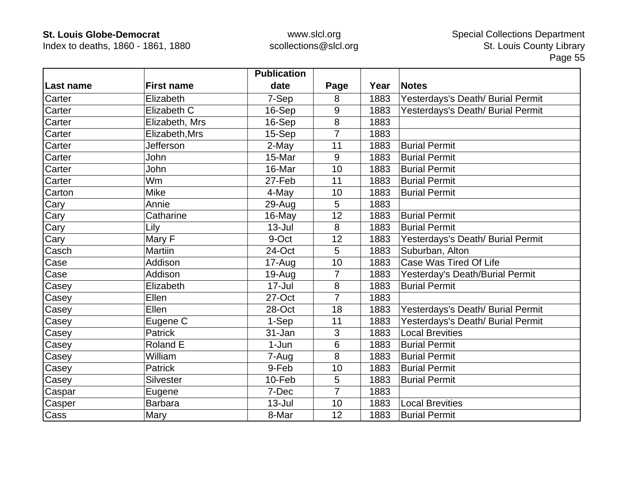Index to deaths, 1860 - 1861, 1880

|           |                   | <b>Publication</b> |                |      |                                   |
|-----------|-------------------|--------------------|----------------|------|-----------------------------------|
| Last name | <b>First name</b> | date               | Page           | Year | <b>Notes</b>                      |
| Carter    | Elizabeth         | 7-Sep              | 8              | 1883 | Yesterdays's Death/ Burial Permit |
| Carter    | Elizabeth C       | 16-Sep             | 9              | 1883 | Yesterdays's Death/ Burial Permit |
| Carter    | Elizabeth, Mrs    | 16-Sep             | 8              | 1883 |                                   |
| Carter    | Elizabeth, Mrs    | 15-Sep             | $\overline{7}$ | 1883 |                                   |
| Carter    | Jefferson         | 2-May              | 11             | 1883 | <b>Burial Permit</b>              |
| Carter    | John              | 15-Mar             | 9              | 1883 | <b>Burial Permit</b>              |
| Carter    | John              | 16-Mar             | 10             | 1883 | <b>Burial Permit</b>              |
| Carter    | Wm                | 27-Feb             | 11             | 1883 | <b>Burial Permit</b>              |
| Carton    | <b>Mike</b>       | 4-May              | 10             | 1883 | <b>Burial Permit</b>              |
| Cary      | Annie             | 29-Aug             | 5              | 1883 |                                   |
| Cary      | Catharine         | 16-May             | 12             | 1883 | <b>Burial Permit</b>              |
| Cary      | Lily              | $13 -$ Jul         | 8              | 1883 | <b>Burial Permit</b>              |
| Cary      | Mary F            | 9-Oct              | 12             | 1883 | Yesterdays's Death/ Burial Permit |
| Casch     | <b>Martiin</b>    | 24-Oct             | 5              | 1883 | Suburban, Alton                   |
| Case      | Addison           | 17-Aug             | 10             | 1883 | Case Was Tired Of Life            |
| Case      | Addison           | 19-Aug             | $\overline{7}$ | 1883 | Yesterday's Death/Burial Permit   |
| Casey     | Elizabeth         | 17-Jul             | 8              | 1883 | <b>Burial Permit</b>              |
| Casey     | Ellen             | 27-Oct             | $\overline{7}$ | 1883 |                                   |
| Casey     | Ellen             | 28-Oct             | 18             | 1883 | Yesterdays's Death/ Burial Permit |
| Casey     | Eugene C          | 1-Sep              | 11             | 1883 | Yesterdays's Death/ Burial Permit |
| Casey     | Patrick           | 31-Jan             | 3              | 1883 | <b>Local Brevities</b>            |
| Casey     | Roland E          | 1-Jun              | 6              | 1883 | <b>Burial Permit</b>              |
| Casey     | William           | 7-Aug              | 8              | 1883 | <b>Burial Permit</b>              |
| Casey     | <b>Patrick</b>    | 9-Feb              | 10             | 1883 | <b>Burial Permit</b>              |
| Casey     | Silvester         | 10-Feb             | 5              | 1883 | <b>Burial Permit</b>              |
| Caspar    | Eugene            | 7-Dec              | $\overline{7}$ | 1883 |                                   |
| Casper    | <b>Barbara</b>    | $13 -$ Jul         | 10             | 1883 | <b>Local Brevities</b>            |
| Cass      | Mary              | 8-Mar              | 12             | 1883 | <b>Burial Permit</b>              |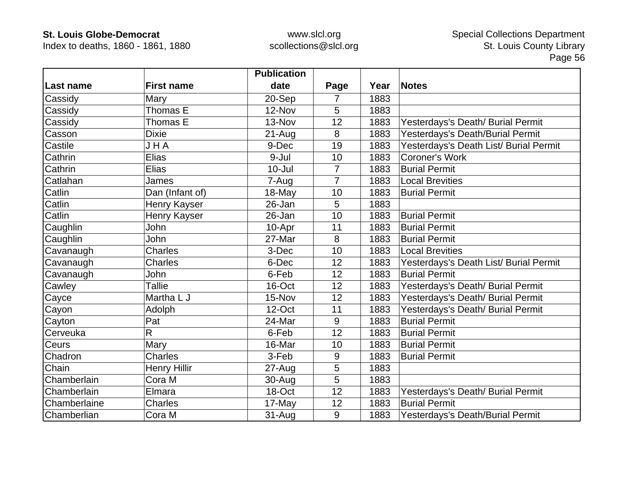Index to deaths, 1860 - 1861, 1880

|              |                         | <b>Publication</b> |                |      |                                        |
|--------------|-------------------------|--------------------|----------------|------|----------------------------------------|
| Last name    | <b>First name</b>       | date               | Page           | Year | <b>Notes</b>                           |
| Cassidy      | Mary                    | 20-Sep             | 7              | 1883 |                                        |
| Cassidy      | Thomas E                | 12-Nov             | 5              | 1883 |                                        |
| Cassidy      | Thomas E                | 13-Nov             | 12             | 1883 | Yesterdays's Death/ Burial Permit      |
| Casson       | <b>Dixie</b>            | $21 - Aug$         | 8              | 1883 | Yesterdays's Death/Burial Permit       |
| Castile      | JHA                     | 9-Dec              | 19             | 1883 | Yesterdays's Death List/ Burial Permit |
| Cathrin      | Elias                   | 9-Jul              | 10             | 1883 | <b>Coroner's Work</b>                  |
| Cathrin      | Elias                   | $10 -$ Jul         | $\overline{7}$ | 1883 | <b>Burial Permit</b>                   |
| Catlahan     | James                   | 7-Aug              | $\overline{7}$ | 1883 | <b>Local Brevities</b>                 |
| Catlin       | Dan (Infant of)         | 18-May             | 10             | 1883 | <b>Burial Permit</b>                   |
| Catlin       | Henry Kayser            | 26-Jan             | 5              | 1883 |                                        |
| Catlin       | Henry Kayser            | 26-Jan             | 10             | 1883 | <b>Burial Permit</b>                   |
| Caughlin     | John                    | 10-Apr             | 11             | 1883 | <b>Burial Permit</b>                   |
| Caughlin     | John                    | 27-Mar             | 8              | 1883 | <b>Burial Permit</b>                   |
| Cavanaugh    | <b>Charles</b>          | 3-Dec              | 10             | 1883 | <b>Local Brevities</b>                 |
| Cavanaugh    | <b>Charles</b>          | 6-Dec              | 12             | 1883 | Yesterdays's Death List/ Burial Permit |
| Cavanaugh    | John                    | 6-Feb              | 12             | 1883 | <b>Burial Permit</b>                   |
| Cawley       | <b>Tallie</b>           | 16-Oct             | 12             | 1883 | Yesterdays's Death/ Burial Permit      |
| Cayce        | Martha L J              | 15-Nov             | 12             | 1883 | Yesterdays's Death/ Burial Permit      |
| Cayon        | Adolph                  | 12-Oct             | 11             | 1883 | Yesterdays's Death/ Burial Permit      |
| Cayton       | Pat                     | 24-Mar             | 9              | 1883 | <b>Burial Permit</b>                   |
| Cerveuka     | $\overline{\mathsf{R}}$ | 6-Feb              | 12             | 1883 | <b>Burial Permit</b>                   |
| Ceurs        | Mary                    | 16-Mar             | 10             | 1883 | <b>Burial Permit</b>                   |
| Chadron      | Charles                 | 3-Feb              | 9              | 1883 | <b>Burial Permit</b>                   |
| Chain        | <b>Henry Hillir</b>     | 27-Aug             | 5              | 1883 |                                        |
| Chamberlain  | Cora M                  | 30-Aug             | 5              | 1883 |                                        |
| Chamberlain  | Elmara                  | 18-Oct             | 12             | 1883 | Yesterdays's Death/ Burial Permit      |
| Chamberlaine | <b>Charles</b>          | 17-May             | 12             | 1883 | <b>Burial Permit</b>                   |
| Chamberlian  | Cora M                  | $31-Auq$           | 9              | 1883 | Yesterdays's Death/Burial Permit       |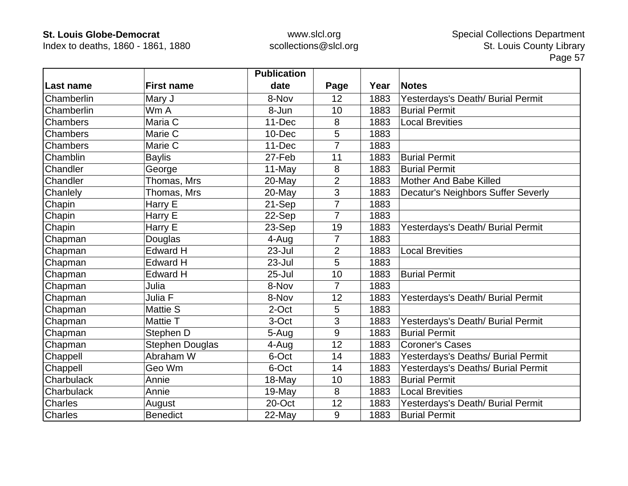Index to deaths, 1860 - 1861, 1880

|                 |                   | <b>Publication</b> |                |      |                                    |
|-----------------|-------------------|--------------------|----------------|------|------------------------------------|
| Last name       | <b>First name</b> | date               | Page           | Year | <b>Notes</b>                       |
| Chamberlin      | Mary J            | 8-Nov              | 12             | 1883 | Yesterdays's Death/ Burial Permit  |
| Chamberlin      | Wm A              | 8-Jun              | 10             | 1883 | <b>Burial Permit</b>               |
| Chambers        | Maria C           | $11 - Dec$         | 8              | 1883 | <b>Local Brevities</b>             |
| <b>Chambers</b> | Marie C           | 10-Dec             | 5              | 1883 |                                    |
| <b>Chambers</b> | Marie C           | $11 - Dec$         | 7              | 1883 |                                    |
| Chamblin        | <b>Baylis</b>     | 27-Feb             | 11             | 1883 | <b>Burial Permit</b>               |
| Chandler        | George            | $11-May$           | 8              | 1883 | <b>Burial Permit</b>               |
| Chandler        | Thomas, Mrs       | 20-May             | $\overline{2}$ | 1883 | Mother And Babe Killed             |
| Chanlely        | Thomas, Mrs       | $20$ -May          | 3              | 1883 | Decatur's Neighbors Suffer Severly |
| Chapin          | Harry E           | 21-Sep             | $\overline{7}$ | 1883 |                                    |
| Chapin          | Harry E           | 22-Sep             | $\overline{7}$ | 1883 |                                    |
| Chapin          | Harry E           | 23-Sep             | 19             | 1883 | Yesterdays's Death/ Burial Permit  |
| Chapman         | Douglas           | 4-Aug              | 7              | 1883 |                                    |
| Chapman         | <b>Edward H</b>   | 23-Jul             | $\overline{2}$ | 1883 | <b>Local Brevities</b>             |
| Chapman         | <b>Edward H</b>   | 23-Jul             | 5              | 1883 |                                    |
| Chapman         | <b>Edward H</b>   | $25 -$ Jul         | 10             | 1883 | <b>Burial Permit</b>               |
| Chapman         | Julia             | 8-Nov              | $\overline{7}$ | 1883 |                                    |
| Chapman         | Julia F           | 8-Nov              | 12             | 1883 | Yesterdays's Death/ Burial Permit  |
| Chapman         | <b>Mattie S</b>   | 2-Oct              | 5              | 1883 |                                    |
| Chapman         | Mattie T          | 3-Oct              | 3              | 1883 | Yesterdays's Death/ Burial Permit  |
| Chapman         | Stephen D         | 5-Aug              | 9              | 1883 | <b>Burial Permit</b>               |
| Chapman         | Stephen Douglas   | 4-Aug              | 12             | 1883 | <b>Coroner's Cases</b>             |
| Chappell        | Abraham W         | 6-Oct              | 14             | 1883 | Yesterdays's Deaths/ Burial Permit |
| Chappell        | Geo Wm            | 6-Oct              | 14             | 1883 | Yesterdays's Deaths/ Burial Permit |
| Charbulack      | Annie             | 18-May             | 10             | 1883 | <b>Burial Permit</b>               |
| Charbulack      | Annie             | 19-May             | 8              | 1883 | <b>Local Brevities</b>             |
| <b>Charles</b>  | August            | 20-Oct             | 12             | 1883 | Yesterdays's Death/ Burial Permit  |
| <b>Charles</b>  | <b>Benedict</b>   | 22-May             | 9              | 1883 | <b>Burial Permit</b>               |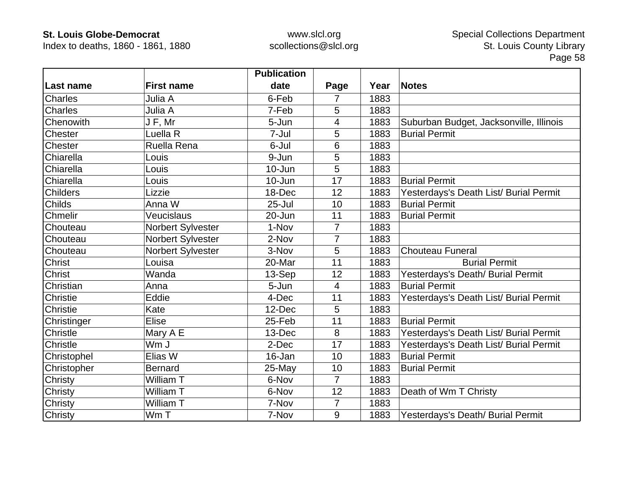Index to deaths, 1860 - 1861, 1880

|                 |                   | <b>Publication</b> |                |      |                                         |
|-----------------|-------------------|--------------------|----------------|------|-----------------------------------------|
| Last name       | <b>First name</b> | date               | Page           | Year | <b>Notes</b>                            |
| <b>Charles</b>  | Julia A           | 6-Feb              | 7              | 1883 |                                         |
| Charles         | Julia A           | 7-Feb              | 5              | 1883 |                                         |
| Chenowith       | J F, Mr           | 5-Jun              | 4              | 1883 | Suburban Budget, Jacksonville, Illinois |
| Chester         | Luella R          | 7-Jul              | 5              | 1883 | <b>Burial Permit</b>                    |
| Chester         | Ruella Rena       | 6-Jul              | 6              | 1883 |                                         |
| Chiarella       | Louis             | 9-Jun              | 5              | 1883 |                                         |
| Chiarella       | Louis             | 10-Jun             | 5              | 1883 |                                         |
| Chiarella       | Louis             | 10-Jun             | 17             | 1883 | <b>Burial Permit</b>                    |
| <b>Childers</b> | Lizzie            | 18-Dec             | 12             | 1883 | Yesterdays's Death List/ Burial Permit  |
| Childs          | Anna W            | $25 -$ Jul         | 10             | 1883 | <b>Burial Permit</b>                    |
| Chmelir         | Veucislaus        | 20-Jun             | 11             | 1883 | <b>Burial Permit</b>                    |
| Chouteau        | Norbert Sylvester | 1-Nov              | 7              | 1883 |                                         |
| Chouteau        | Norbert Sylvester | 2-Nov              | 7              | 1883 |                                         |
| Chouteau        | Norbert Sylvester | 3-Nov              | 5              | 1883 | <b>Chouteau Funeral</b>                 |
| Christ          | Louisa            | 20-Mar             | 11             | 1883 | <b>Burial Permit</b>                    |
| Christ          | Wanda             | 13-Sep             | 12             | 1883 | Yesterdays's Death/ Burial Permit       |
| Christian       | Anna              | 5-Jun              | $\overline{4}$ | 1883 | <b>Burial Permit</b>                    |
| Christie        | Eddie             | 4-Dec              | 11             | 1883 | Yesterdays's Death List/ Burial Permit  |
| Christie        | Kate              | 12-Dec             | 5              | 1883 |                                         |
| Christinger     | Elise             | 25-Feb             | 11             | 1883 | <b>Burial Permit</b>                    |
| Christle        | Mary A E          | 13-Dec             | 8              | 1883 | Yesterdays's Death List/ Burial Permit  |
| Christle        | Wm J              | 2-Dec              | 17             | 1883 | Yesterdays's Death List/ Burial Permit  |
| Christophel     | Elias W           | 16-Jan             | 10             | 1883 | <b>Burial Permit</b>                    |
| Christopher     | <b>Bernard</b>    | 25-May             | 10             | 1883 | <b>Burial Permit</b>                    |
| Christy         | William T         | 6-Nov              | $\overline{7}$ | 1883 |                                         |
| Christy         | William T         | 6-Nov              | 12             | 1883 | Death of Wm T Christy                   |
| Christy         | William T         | 7-Nov              | 7              | 1883 |                                         |
| Christy         | Wm T              | 7-Nov              | 9              | 1883 | Yesterdays's Death/ Burial Permit       |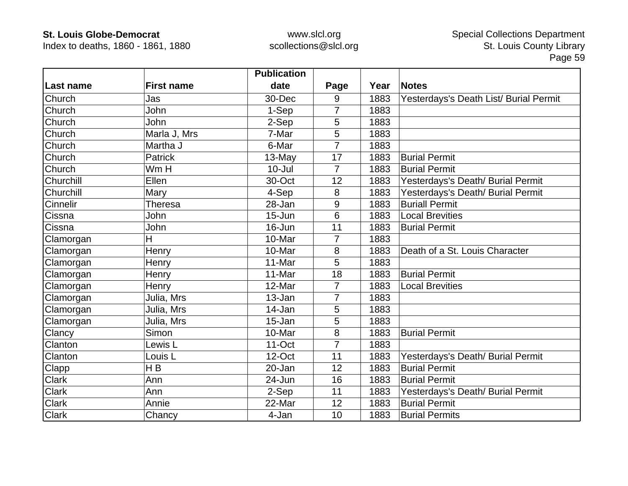Index to deaths, 1860 - 1861, 1880

|                 |                    | <b>Publication</b> |                |      |                                        |
|-----------------|--------------------|--------------------|----------------|------|----------------------------------------|
| Last name       | <b>First name</b>  | date               | Page           | Year | <b>Notes</b>                           |
| Church          | Jas                | 30-Dec             | 9              | 1883 | Yesterdays's Death List/ Burial Permit |
| Church          | John               | 1-Sep              | $\overline{7}$ | 1883 |                                        |
| Church          | John               | 2-Sep              | 5              | 1883 |                                        |
| Church          | Marla J, Mrs       | 7-Mar              | 5              | 1883 |                                        |
| Church          | Martha J           | 6-Mar              | 7              | 1883 |                                        |
| Church          | <b>Patrick</b>     | 13-May             | 17             | 1883 | <b>Burial Permit</b>                   |
| Church          | Wm H               | $10 -$ Jul         | 7              | 1883 | <b>Burial Permit</b>                   |
| Churchill       | Ellen              | 30-Oct             | 12             | 1883 | Yesterdays's Death/ Burial Permit      |
| Churchill       | Mary               | 4-Sep              | 8              | 1883 | Yesterdays's Death/ Burial Permit      |
| <b>Cinnelir</b> | <b>Theresa</b>     | 28-Jan             | 9              | 1883 | <b>Buriall Permit</b>                  |
| Cissna          | John               | 15-Jun             | 6              | 1883 | <b>Local Brevities</b>                 |
| Cissna          | John               | 16-Jun             | 11             | 1883 | <b>Burial Permit</b>                   |
| Clamorgan       | H                  | 10-Mar             | 7              | 1883 |                                        |
| Clamorgan       | Henry              | 10-Mar             | 8              | 1883 | Death of a St. Louis Character         |
| Clamorgan       | Henry              | 11-Mar             | 5              | 1883 |                                        |
| Clamorgan       | Henry              | 11-Mar             | 18             | 1883 | <b>Burial Permit</b>                   |
| Clamorgan       | Henry              | 12-Mar             | $\overline{7}$ | 1883 | <b>Local Brevities</b>                 |
| Clamorgan       | Julia, Mrs         | 13-Jan             | $\overline{7}$ | 1883 |                                        |
| Clamorgan       | Julia, Mrs         | 14-Jan             | 5              | 1883 |                                        |
| Clamorgan       | Julia, Mrs         | 15-Jan             | 5              | 1883 |                                        |
| Clancy          | Simon              | 10-Mar             | 8              | 1883 | <b>Burial Permit</b>                   |
| Clanton         | Lewis L            | $11$ -Oct          | $\overline{7}$ | 1883 |                                        |
| Clanton         | Louis <sub>L</sub> | 12-Oct             | 11             | 1883 | Yesterdays's Death/ Burial Permit      |
| Clapp           | H <sub>B</sub>     | 20-Jan             | 12             | 1883 | <b>Burial Permit</b>                   |
| Clark           | Ann                | 24-Jun             | 16             | 1883 | <b>Burial Permit</b>                   |
| <b>Clark</b>    | Ann                | 2-Sep              | 11             | 1883 | Yesterdays's Death/ Burial Permit      |
| <b>Clark</b>    | Annie              | 22-Mar             | 12             | 1883 | <b>Burial Permit</b>                   |
| <b>Clark</b>    | Chancy             | 4-Jan              | 10             | 1883 | <b>Burial Permits</b>                  |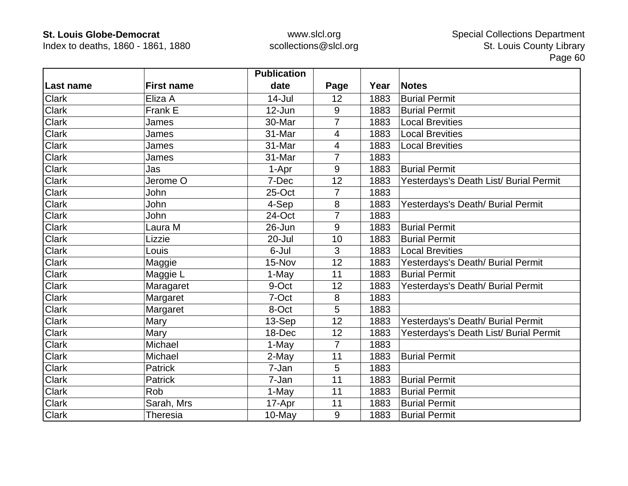Index to deaths, 1860 - 1861, 1880

|              |                   | <b>Publication</b> |                |      |                                        |
|--------------|-------------------|--------------------|----------------|------|----------------------------------------|
| Last name    | <b>First name</b> | date               | Page           | Year | <b>Notes</b>                           |
| <b>Clark</b> | Eliza A           | $14$ -Jul          | 12             | 1883 | <b>Burial Permit</b>                   |
| <b>Clark</b> | Frank E           | $12 - Jun$         | 9              | 1883 | <b>Burial Permit</b>                   |
| <b>Clark</b> | James             | 30-Mar             | 7              | 1883 | <b>Local Brevities</b>                 |
| <b>Clark</b> | James             | 31-Mar             | 4              | 1883 | <b>Local Brevities</b>                 |
| <b>Clark</b> | James             | 31-Mar             | 4              | 1883 | <b>Local Brevities</b>                 |
| <b>Clark</b> | James             | 31-Mar             | $\overline{7}$ | 1883 |                                        |
| Clark        | Jas               | 1-Apr              | 9              | 1883 | <b>Burial Permit</b>                   |
| <b>Clark</b> | Jerome O          | 7-Dec              | 12             | 1883 | Yesterdays's Death List/ Burial Permit |
| <b>Clark</b> | John              | 25-Oct             | 7              | 1883 |                                        |
| Clark        | John              | 4-Sep              | 8              | 1883 | Yesterdays's Death/ Burial Permit      |
| <b>Clark</b> | John              | 24-Oct             | $\overline{7}$ | 1883 |                                        |
| <b>Clark</b> | Laura M           | 26-Jun             | 9              | 1883 | <b>Burial Permit</b>                   |
| Clark        | Lizzie            | 20-Jul             | 10             | 1883 | <b>Burial Permit</b>                   |
| <b>Clark</b> | Louis             | 6-Jul              | 3              | 1883 | <b>Local Brevities</b>                 |
| Clark        | Maggie            | 15-Nov             | 12             | 1883 | Yesterdays's Death/ Burial Permit      |
| <b>Clark</b> | Maggie L          | 1-May              | 11             | 1883 | <b>Burial Permit</b>                   |
| <b>Clark</b> | Maragaret         | 9-Oct              | 12             | 1883 | Yesterdays's Death/ Burial Permit      |
| <b>Clark</b> | Margaret          | 7-Oct              | 8              | 1883 |                                        |
| <b>Clark</b> | Margaret          | 8-Oct              | 5              | 1883 |                                        |
| <b>Clark</b> | Mary              | 13-Sep             | 12             | 1883 | Yesterdays's Death/ Burial Permit      |
| <b>Clark</b> | Mary              | 18-Dec             | 12             | 1883 | Yesterdays's Death List/ Burial Permit |
| <b>Clark</b> | Michael           | 1-May              | $\overline{7}$ | 1883 |                                        |
| <b>Clark</b> | Michael           | 2-May              | 11             | 1883 | <b>Burial Permit</b>                   |
| <b>Clark</b> | Patrick           | 7-Jan              | 5              | 1883 |                                        |
| <b>Clark</b> | Patrick           | 7-Jan              | 11             | 1883 | <b>Burial Permit</b>                   |
| <b>Clark</b> | Rob               | 1-May              | 11             | 1883 | <b>Burial Permit</b>                   |
| <b>Clark</b> | Sarah, Mrs        | 17-Apr             | 11             | 1883 | <b>Burial Permit</b>                   |
| <b>Clark</b> | Theresia          | 10-May             | $9\,$          | 1883 | <b>Burial Permit</b>                   |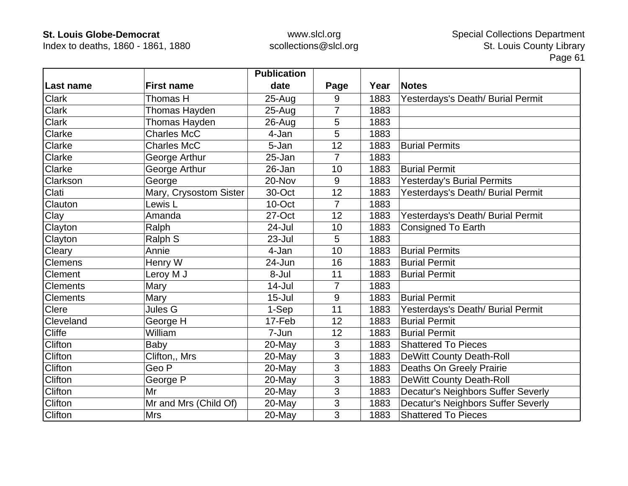Index to deaths, 1860 - 1861, 1880

|                 |                        | <b>Publication</b> |                |      |                                           |
|-----------------|------------------------|--------------------|----------------|------|-------------------------------------------|
| Last name       | <b>First name</b>      | date               | Page           | Year | <b>Notes</b>                              |
| <b>Clark</b>    | Thomas H               | $25 - Aug$         | 9              | 1883 | Yesterdays's Death/ Burial Permit         |
| <b>Clark</b>    | Thomas Hayden          | $25 - Aug$         | 7              | 1883 |                                           |
| <b>Clark</b>    | Thomas Hayden          | $26 - Aug$         | 5              | 1883 |                                           |
| Clarke          | <b>Charles McC</b>     | 4-Jan              | 5              | 1883 |                                           |
| Clarke          | <b>Charles McC</b>     | 5-Jan              | 12             | 1883 | <b>Burial Permits</b>                     |
| Clarke          | George Arthur          | 25-Jan             | $\overline{7}$ | 1883 |                                           |
| <b>Clarke</b>   | George Arthur          | 26-Jan             | 10             | 1883 | <b>Burial Permit</b>                      |
| Clarkson        | George                 | 20-Nov             | 9              | 1883 | <b>Yesterday's Burial Permits</b>         |
| Clati           | Mary, Crysostom Sister | 30-Oct             | 12             | 1883 | Yesterdays's Death/ Burial Permit         |
| Clauton         | Lewis L                | 10-Oct             | $\overline{7}$ | 1883 |                                           |
| Clay            | Amanda                 | 27-Oct             | 12             | 1883 | Yesterdays's Death/ Burial Permit         |
| Clayton         | Ralph                  | 24-Jul             | 10             | 1883 | <b>Consigned To Earth</b>                 |
| Clayton         | Ralph S                | 23-Jul             | 5              | 1883 |                                           |
| Cleary          | Annie                  | 4-Jan              | 10             | 1883 | <b>Burial Permits</b>                     |
| <b>Clemens</b>  | Henry W                | 24-Jun             | 16             | 1883 | <b>Burial Permit</b>                      |
| <b>Clement</b>  | Leroy M J              | 8-Jul              | 11             | 1883 | <b>Burial Permit</b>                      |
| <b>Clements</b> | Mary                   | 14-Jul             | $\overline{7}$ | 1883 |                                           |
| <b>Clements</b> | Mary                   | $15 -$ Jul         | 9              | 1883 | <b>Burial Permit</b>                      |
| <b>Clere</b>    | Jules G                | 1-Sep              | 11             | 1883 | Yesterdays's Death/ Burial Permit         |
| Cleveland       | George H               | 17-Feb             | 12             | 1883 | <b>Burial Permit</b>                      |
| <b>Cliffe</b>   | William                | 7-Jun              | 12             | 1883 | <b>Burial Permit</b>                      |
| <b>Clifton</b>  | Baby                   | 20-May             | 3              | 1883 | <b>Shattered To Pieces</b>                |
| <b>Clifton</b>  | Clifton,, Mrs          | $20$ -May          | 3              | 1883 | <b>DeWitt County Death-Roll</b>           |
| <b>Clifton</b>  | Geo P                  | 20-May             | 3              | 1883 | Deaths On Greely Prairie                  |
| Clifton         | George P               | 20-May             | 3              | 1883 | <b>DeWitt County Death-Roll</b>           |
| <b>Clifton</b>  | Mr                     | 20-May             | 3              | 1883 | Decatur's Neighbors Suffer Severly        |
| Clifton         | Mr and Mrs (Child Of)  | 20-May             | 3              | 1883 | <b>Decatur's Neighbors Suffer Severly</b> |
| <b>Clifton</b>  | <b>Mrs</b>             | 20-May             | 3              | 1883 | <b>Shattered To Pieces</b>                |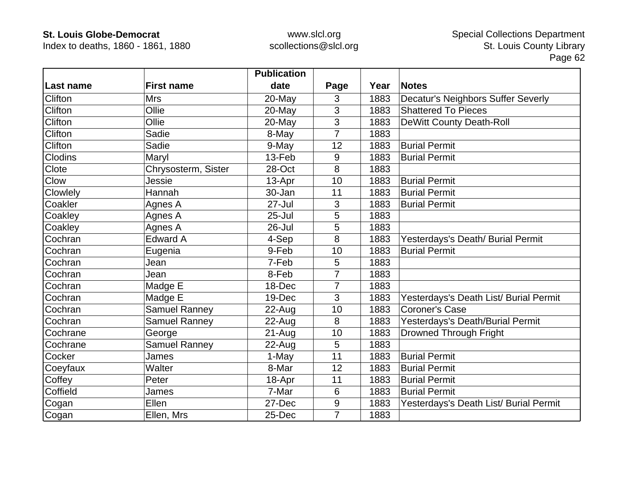Index to deaths, 1860 - 1861, 1880

|                |                      | <b>Publication</b> |                 |      |                                        |
|----------------|----------------------|--------------------|-----------------|------|----------------------------------------|
| Last name      | <b>First name</b>    | date               | Page            | Year | <b>Notes</b>                           |
| Clifton        | <b>Mrs</b>           | 20-May             | 3               | 1883 | Decatur's Neighbors Suffer Severly     |
| Clifton        | Ollie                | 20-May             | 3               | 1883 | <b>Shattered To Pieces</b>             |
| Clifton        | Ollie                | 20-May             | 3               | 1883 | <b>DeWitt County Death-Roll</b>        |
| Clifton        | Sadie                | 8-May              | $\overline{7}$  | 1883 |                                        |
| Clifton        | Sadie                | 9-May              | 12              | 1883 | <b>Burial Permit</b>                   |
| <b>Clodins</b> | Maryl                | 13-Feb             | 9               | 1883 | <b>Burial Permit</b>                   |
| Clote          | Chrysosterm, Sister  | 28-Oct             | 8               | 1883 |                                        |
| Clow           | Jessie               | 13-Apr             | 10              | 1883 | <b>Burial Permit</b>                   |
| Clowlely       | Hannah               | 30-Jan             | 11              | 1883 | <b>Burial Permit</b>                   |
| Coakler        | Agnes A              | $27 -$ Jul         | 3               | 1883 | <b>Burial Permit</b>                   |
| Coakley        | Agnes A              | $25 -$ Jul         | 5               | 1883 |                                        |
| Coakley        | Agnes A              | 26-Jul             | 5               | 1883 |                                        |
| Cochran        | <b>Edward A</b>      | 4-Sep              | 8               | 1883 | Yesterdays's Death/ Burial Permit      |
| Cochran        | Eugenia              | 9-Feb              | 10              | 1883 | <b>Burial Permit</b>                   |
| Cochran        | Jean                 | 7-Feb              | 5               | 1883 |                                        |
| Cochran        | Jean                 | 8-Feb              | $\overline{7}$  | 1883 |                                        |
| Cochran        | Madge E              | 18-Dec             | 7               | 1883 |                                        |
| Cochran        | Madge E              | 19-Dec             | 3               | 1883 | Yesterdays's Death List/ Burial Permit |
| Cochran        | Samuel Ranney        | 22-Aug             | 10              | 1883 | <b>Coroner's Case</b>                  |
| Cochran        | <b>Samuel Ranney</b> | $22$ -Aug          | 8               | 1883 | Yesterdays's Death/Burial Permit       |
| Cochrane       | George               | 21-Aug             | 10              | 1883 | <b>Drowned Through Fright</b>          |
| Cochrane       | <b>Samuel Ranney</b> | $22$ -Aug          | 5               | 1883 |                                        |
| Cocker         | James                | 1-May              | 11              | 1883 | <b>Burial Permit</b>                   |
| Coeyfaux       | Walter               | 8-Mar              | 12              | 1883 | <b>Burial Permit</b>                   |
| Coffey         | Peter                | 18-Apr             | 11              | 1883 | <b>Burial Permit</b>                   |
| Coffield       | James                | 7-Mar              | $6\phantom{1}6$ | 1883 | <b>Burial Permit</b>                   |
| Cogan          | Ellen                | 27-Dec             | $9\,$           | 1883 | Yesterdays's Death List/ Burial Permit |
| Cogan          | Ellen, Mrs           | 25-Dec             | $\overline{7}$  | 1883 |                                        |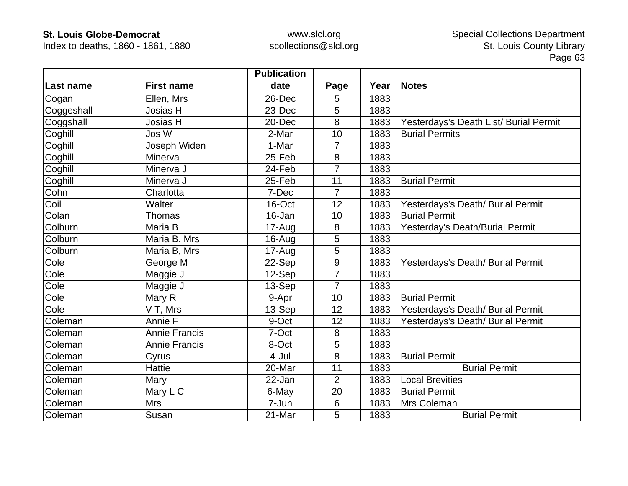Index to deaths, 1860 - 1861, 1880

|            |                      | <b>Publication</b> |                 |      |                                        |
|------------|----------------------|--------------------|-----------------|------|----------------------------------------|
| Last name  | <b>First name</b>    | date               | Page            | Year | <b>Notes</b>                           |
| Cogan      | Ellen, Mrs           | 26-Dec             | 5               | 1883 |                                        |
| Coggeshall | Josias H             | 23-Dec             | 5               | 1883 |                                        |
| Coggshall  | Josias H             | 20-Dec             | 8               | 1883 | Yesterdays's Death List/ Burial Permit |
| Coghill    | Jos W                | 2-Mar              | 10              | 1883 | <b>Burial Permits</b>                  |
| Coghill    | Joseph Widen         | 1-Mar              | $\overline{7}$  | 1883 |                                        |
| Coghill    | Minerva              | 25-Feb             | 8               | 1883 |                                        |
| Coghill    | Minerva J            | 24-Feb             | 7               | 1883 |                                        |
| Coghill    | Minerva J            | 25-Feb             | 11              | 1883 | <b>Burial Permit</b>                   |
| Cohn       | Charlotta            | 7-Dec              | 7               | 1883 |                                        |
| Coil       | Walter               | 16-Oct             | 12              | 1883 | Yesterdays's Death/ Burial Permit      |
| Colan      | Thomas               | 16-Jan             | 10              | 1883 | <b>Burial Permit</b>                   |
| Colburn    | Maria B              | 17-Aug             | 8               | 1883 | Yesterday's Death/Burial Permit        |
| Colburn    | Maria B, Mrs         | $16$ -Aug          | 5               | 1883 |                                        |
| Colburn    | Maria B, Mrs         | 17-Aug             | 5               | 1883 |                                        |
| Cole       | George M             | 22-Sep             | 9               | 1883 | Yesterdays's Death/ Burial Permit      |
| Cole       | Maggie J             | 12-Sep             | $\overline{7}$  | 1883 |                                        |
| Cole       | Maggie J             | 13-Sep             | $\overline{7}$  | 1883 |                                        |
| Cole       | Mary R               | 9-Apr              | 10              | 1883 | <b>Burial Permit</b>                   |
| Cole       | V T, Mrs             | 13-Sep             | 12              | 1883 | Yesterdays's Death/ Burial Permit      |
| Coleman    | Annie F              | 9-Oct              | 12              | 1883 | Yesterdays's Death/ Burial Permit      |
| Coleman    | <b>Annie Francis</b> | 7-Oct              | 8               | 1883 |                                        |
| Coleman    | <b>Annie Francis</b> | 8-Oct              | 5               | 1883 |                                        |
| Coleman    | Cyrus                | 4-Jul              | 8               | 1883 | <b>Burial Permit</b>                   |
| Coleman    | <b>Hattie</b>        | 20-Mar             | 11              | 1883 | <b>Burial Permit</b>                   |
| Coleman    | Mary                 | 22-Jan             | $\overline{2}$  | 1883 | <b>Local Brevities</b>                 |
| Coleman    | Mary L C             | 6-May              | 20              | 1883 | <b>Burial Permit</b>                   |
| Coleman    | <b>Mrs</b>           | 7-Jun              | $6\phantom{1}6$ | 1883 | Mrs Coleman                            |
| Coleman    | Susan                | 21-Mar             | 5               | 1883 | <b>Burial Permit</b>                   |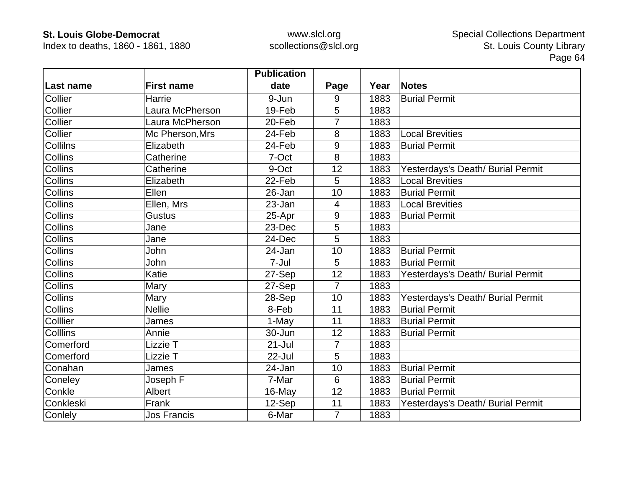Index to deaths, 1860 - 1861, 1880

|                 |                    | <b>Publication</b> |                |      |                                   |
|-----------------|--------------------|--------------------|----------------|------|-----------------------------------|
| Last name       | <b>First name</b>  | date               | Page           | Year | <b>Notes</b>                      |
| Collier         | Harrie             | 9-Jun              | 9              | 1883 | <b>Burial Permit</b>              |
| Collier         | Laura McPherson    | 19-Feb             | 5              | 1883 |                                   |
| Collier         | Laura McPherson    | 20-Feb             |                | 1883 |                                   |
| Collier         | Mc Pherson, Mrs    | 24-Feb             | 8              | 1883 | <b>Local Brevities</b>            |
| Collilns        | Elizabeth          | 24-Feb             | 9              | 1883 | <b>Burial Permit</b>              |
| <b>Collins</b>  | Catherine          | 7-Oct              | 8              | 1883 |                                   |
| <b>Collins</b>  | Catherine          | 9-Oct              | 12             | 1883 | Yesterdays's Death/ Burial Permit |
| <b>Collins</b>  | Elizabeth          | 22-Feb             | 5              | 1883 | <b>Local Brevities</b>            |
| Collins         | Ellen              | 26-Jan             | 10             | 1883 | <b>Burial Permit</b>              |
| <b>Collins</b>  | Ellen, Mrs         | 23-Jan             | $\overline{4}$ | 1883 | <b>Local Brevities</b>            |
| <b>Collins</b>  | <b>Gustus</b>      | 25-Apr             | 9              | 1883 | <b>Burial Permit</b>              |
| <b>Collins</b>  | Jane               | 23-Dec             | 5              | 1883 |                                   |
| Collins         | Jane               | 24-Dec             | 5              | 1883 |                                   |
| <b>Collins</b>  | John               | 24-Jan             | 10             | 1883 | <b>Burial Permit</b>              |
| <b>Collins</b>  | John               | 7-Jul              | 5              | 1883 | <b>Burial Permit</b>              |
| <b>Collins</b>  | Katie              | 27-Sep             | 12             | 1883 | Yesterdays's Death/ Burial Permit |
| Collins         | Mary               | 27-Sep             | $\overline{7}$ | 1883 |                                   |
| <b>Collins</b>  | Mary               | 28-Sep             | 10             | 1883 | Yesterdays's Death/ Burial Permit |
| <b>Collins</b>  | <b>Nellie</b>      | 8-Feb              | 11             | 1883 | <b>Burial Permit</b>              |
| <b>Colllier</b> | James              | 1-May              | 11             | 1883 | <b>Burial Permit</b>              |
| <b>Colllins</b> | Annie              | 30-Jun             | 12             | 1883 | <b>Burial Permit</b>              |
| Comerford       | Lizzie T           | $21 -$ Jul         | $\overline{7}$ | 1883 |                                   |
| Comerford       | Lizzie T           | 22-Jul             | 5              | 1883 |                                   |
| Conahan         | James              | 24-Jan             | 10             | 1883 | <b>Burial Permit</b>              |
| Coneley         | Joseph F           | 7-Mar              | 6              | 1883 | <b>Burial Permit</b>              |
| Conkle          | Albert             | 16-May             | 12             | 1883 | <b>Burial Permit</b>              |
| Conkleski       | Frank              | 12-Sep             | 11             | 1883 | Yesterdays's Death/ Burial Permit |
| Conlely         | <b>Jos Francis</b> | 6-Mar              | $\overline{7}$ | 1883 |                                   |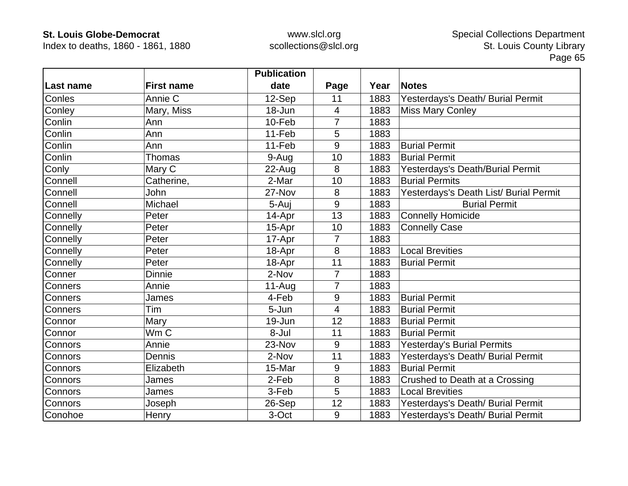Index to deaths, 1860 - 1861, 1880

|           |                   | <b>Publication</b> |                |      |                                        |
|-----------|-------------------|--------------------|----------------|------|----------------------------------------|
| Last name | <b>First name</b> | date               | Page           | Year | <b>Notes</b>                           |
| Conles    | Annie C           | 12-Sep             | 11             | 1883 | Yesterdays's Death/ Burial Permit      |
| Conley    | Mary, Miss        | 18-Jun             | 4              | 1883 | <b>Miss Mary Conley</b>                |
| Conlin    | Ann               | 10-Feb             | 7              | 1883 |                                        |
| Conlin    | Ann               | 11-Feb             | 5              | 1883 |                                        |
| Conlin    | Ann               | 11-Feb             | 9              | 1883 | <b>Burial Permit</b>                   |
| Conlin    | Thomas            | 9-Aug              | 10             | 1883 | <b>Burial Permit</b>                   |
| Conly     | Mary C            | 22-Aug             | 8              | 1883 | Yesterdays's Death/Burial Permit       |
| Connell   | Catherine,        | 2-Mar              | 10             | 1883 | <b>Burial Permits</b>                  |
| Connell   | John              | 27-Nov             | 8              | 1883 | Yesterdays's Death List/ Burial Permit |
| Connell   | Michael           | 5-Auj              | 9              | 1883 | <b>Burial Permit</b>                   |
| Connelly  | Peter             | 14-Apr             | 13             | 1883 | <b>Connelly Homicide</b>               |
| Connelly  | Peter             | 15-Apr             | 10             | 1883 | <b>Connelly Case</b>                   |
| Connelly  | Peter             | 17-Apr             | $\overline{7}$ | 1883 |                                        |
| Connelly  | Peter             | 18-Apr             | 8              | 1883 | <b>Local Brevities</b>                 |
| Connelly  | Peter             | 18-Apr             | 11             | 1883 | <b>Burial Permit</b>                   |
| Conner    | <b>Dinnie</b>     | 2-Nov              | $\overline{7}$ | 1883 |                                        |
| Conners   | Annie             | 11-Aug             | 7              | 1883 |                                        |
| Conners   | James             | 4-Feb              | 9              | 1883 | <b>Burial Permit</b>                   |
| Conners   | Tim               | 5-Jun              | 4              | 1883 | <b>Burial Permit</b>                   |
| Connor    | Mary              | 19-Jun             | 12             | 1883 | <b>Burial Permit</b>                   |
| Connor    | Wm C              | 8-Jul              | 11             | 1883 | <b>Burial Permit</b>                   |
| Connors   | Annie             | 23-Nov             | 9              | 1883 | <b>Yesterday's Burial Permits</b>      |
| Connors   | Dennis            | 2-Nov              | 11             | 1883 | Yesterdays's Death/ Burial Permit      |
| Connors   | Elizabeth         | 15-Mar             | 9              | 1883 | <b>Burial Permit</b>                   |
| Connors   | James             | 2-Feb              | 8              | 1883 | Crushed to Death at a Crossing         |
| Connors   | James             | 3-Feb              | 5              | 1883 | <b>Local Brevities</b>                 |
| Connors   | Joseph            | 26-Sep             | 12             | 1883 | Yesterdays's Death/ Burial Permit      |
| Conohoe   | Henry             | 3-Oct              | 9              | 1883 | Yesterdays's Death/ Burial Permit      |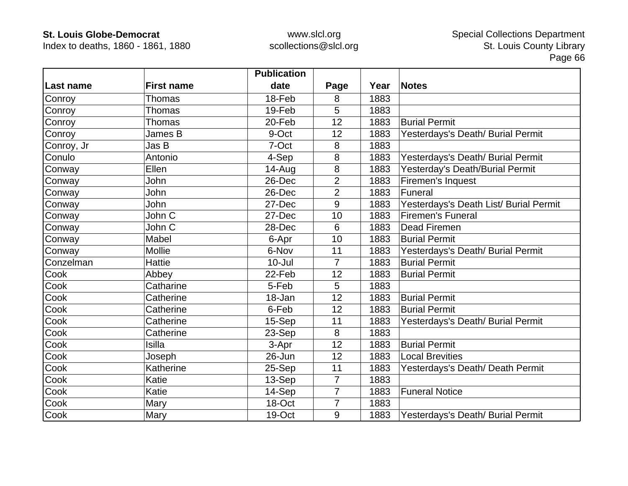Index to deaths, 1860 - 1861, 1880

|            |                   | <b>Publication</b> |                |      |                                        |
|------------|-------------------|--------------------|----------------|------|----------------------------------------|
| ∣Last name | <b>First name</b> | date               | Page           | Year | <b>Notes</b>                           |
| Conroy     | Thomas            | 18-Feb             | 8              | 1883 |                                        |
| Conroy     | <b>Thomas</b>     | 19-Feb             | 5              | 1883 |                                        |
| Conroy     | Thomas            | 20-Feb             | 12             | 1883 | <b>Burial Permit</b>                   |
| Conroy     | James B           | 9-Oct              | 12             | 1883 | Yesterdays's Death/ Burial Permit      |
| Conroy, Jr | Jas B             | 7-Oct              | 8              | 1883 |                                        |
| Conulo     | Antonio           | 4-Sep              | 8              | 1883 | Yesterdays's Death/ Burial Permit      |
| Conway     | Ellen             | $14 - Aug$         | 8              | 1883 | Yesterday's Death/Burial Permit        |
| Conway     | John              | 26-Dec             | $\overline{2}$ | 1883 | Firemen's Inquest                      |
| Conway     | John              | 26-Dec             | $\overline{2}$ | 1883 | Funeral                                |
| Conway     | John              | 27-Dec             | 9              | 1883 | Yesterdays's Death List/ Burial Permit |
| Conway     | John C            | 27-Dec             | 10             | 1883 | Firemen's Funeral                      |
| Conway     | John C            | 28-Dec             | 6              | 1883 | <b>Dead Firemen</b>                    |
| Conway     | Mabel             | 6-Apr              | 10             | 1883 | <b>Burial Permit</b>                   |
| Conway     | <b>Mollie</b>     | 6-Nov              | 11             | 1883 | Yesterdays's Death/ Burial Permit      |
| Conzelman  | <b>Hattie</b>     | $10 -$ Jul         | 7              | 1883 | <b>Burial Permit</b>                   |
| Cook       | Abbey             | 22-Feb             | 12             | 1883 | <b>Burial Permit</b>                   |
| Cook       | Catharine         | 5-Feb              | 5              | 1883 |                                        |
| Cook       | Catherine         | 18-Jan             | 12             | 1883 | <b>Burial Permit</b>                   |
| Cook       | Catherine         | 6-Feb              | 12             | 1883 | <b>Burial Permit</b>                   |
| Cook       | Catherine         | 15-Sep             | 11             | 1883 | Yesterdays's Death/ Burial Permit      |
| Cook       | Catherine         | 23-Sep             | 8              | 1883 |                                        |
| Cook       | <b>Isilla</b>     | 3-Apr              | 12             | 1883 | <b>Burial Permit</b>                   |
| Cook       | Joseph            | 26-Jun             | 12             | 1883 | <b>Local Brevities</b>                 |
| Cook       | Katherine         | 25-Sep             | 11             | 1883 | Yesterdays's Death/ Death Permit       |
| Cook       | Katie             | 13-Sep             | $\overline{7}$ | 1883 |                                        |
| Cook       | Katie             | 14-Sep             | $\overline{7}$ | 1883 | <b>Funeral Notice</b>                  |
| Cook       | Mary              | 18-Oct             | 7              | 1883 |                                        |
| Cook       | Mary              | 19-Oct             | 9              | 1883 | Yesterdays's Death/ Burial Permit      |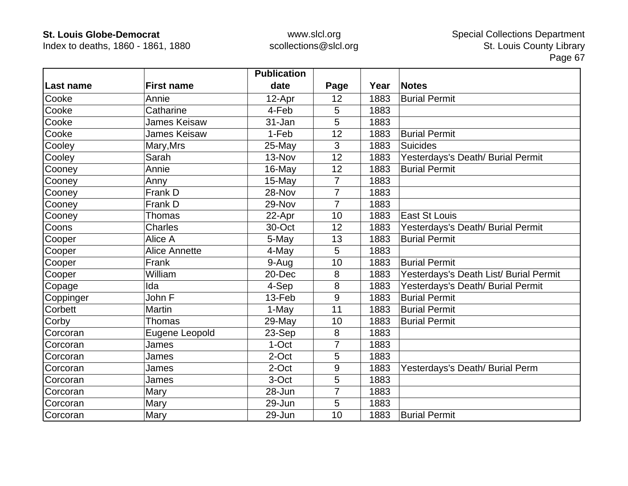Index to deaths, 1860 - 1861, 1880

|           |                      | <b>Publication</b> |                |      |                                        |
|-----------|----------------------|--------------------|----------------|------|----------------------------------------|
| Last name | <b>First name</b>    | date               | Page           | Year | <b>Notes</b>                           |
| Cooke     | Annie                | 12-Apr             | 12             | 1883 | <b>Burial Permit</b>                   |
| Cooke     | Catharine            | 4-Feb              | 5              | 1883 |                                        |
| Cooke     | James Keisaw         | 31-Jan             | 5              | 1883 |                                        |
| Cooke     | James Keisaw         | 1-Feb              | 12             | 1883 | <b>Burial Permit</b>                   |
| Cooley    | Mary, Mrs            | $25$ -May          | 3              | 1883 | <b>Suicides</b>                        |
| Cooley    | Sarah                | 13-Nov             | 12             | 1883 | Yesterdays's Death/ Burial Permit      |
| Cooney    | Annie                | 16-May             | 12             | 1883 | <b>Burial Permit</b>                   |
| Cooney    | Anny                 | 15-May             | $\overline{7}$ | 1883 |                                        |
| Cooney    | Frank D              | 28-Nov             | 7              | 1883 |                                        |
| Cooney    | Frank D              | 29-Nov             | $\overline{7}$ | 1883 |                                        |
| Cooney    | Thomas               | 22-Apr             | 10             | 1883 | <b>East St Louis</b>                   |
| Coons     | <b>Charles</b>       | 30-Oct             | 12             | 1883 | Yesterdays's Death/ Burial Permit      |
| Cooper    | Alice A              | 5-May              | 13             | 1883 | <b>Burial Permit</b>                   |
| Cooper    | <b>Alice Annette</b> | 4-May              | 5              | 1883 |                                        |
| Cooper    | Frank                | 9-Aug              | 10             | 1883 | <b>Burial Permit</b>                   |
| Cooper    | William              | 20-Dec             | 8              | 1883 | Yesterdays's Death List/ Burial Permit |
| Copage    | Ida                  | 4-Sep              | 8              | 1883 | Yesterdays's Death/ Burial Permit      |
| Coppinger | John F               | 13-Feb             | 9              | 1883 | <b>Burial Permit</b>                   |
| Corbett   | <b>Martin</b>        | 1-May              | 11             | 1883 | <b>Burial Permit</b>                   |
| Corby     | Thomas               | 29-May             | 10             | 1883 | <b>Burial Permit</b>                   |
| Corcoran  | Eugene Leopold       | 23-Sep             | 8              | 1883 |                                        |
| Corcoran  | James                | 1-Oct              | 7              | 1883 |                                        |
| Corcoran  | James                | 2-Oct              | 5              | 1883 |                                        |
| Corcoran  | James                | 2-Oct              | 9              | 1883 | Yesterdays's Death/ Burial Perm        |
| Corcoran  | James                | 3-Oct              | 5              | 1883 |                                        |
| Corcoran  | Mary                 | 28-Jun             | 7              | 1883 |                                        |
| Corcoran  | Mary                 | 29-Jun             | 5              | 1883 |                                        |
| Corcoran  | Mary                 | 29-Jun             | 10             | 1883 | <b>Burial Permit</b>                   |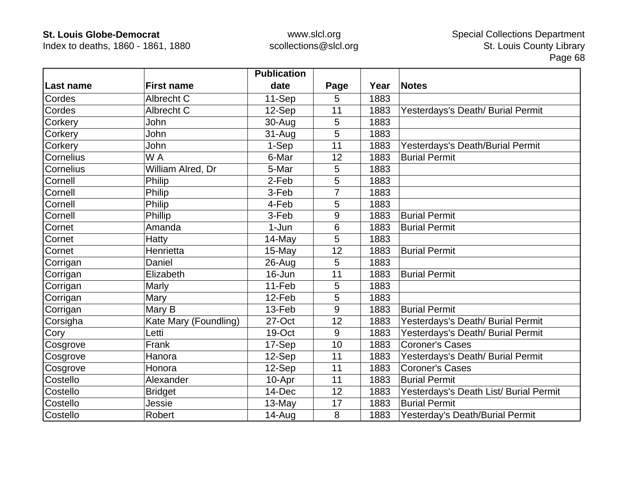Index to deaths, 1860 - 1861, 1880

|                  |                       | <b>Publication</b> |      |      |                                        |
|------------------|-----------------------|--------------------|------|------|----------------------------------------|
| Last name        | <b>First name</b>     | date               | Page | Year | <b>Notes</b>                           |
| Cordes           | Albrecht C            | 11-Sep             | 5    | 1883 |                                        |
| Cordes           | Albrecht C            | 12-Sep             | 11   | 1883 | Yesterdays's Death/ Burial Permit      |
| Corkery          | John                  | 30-Aug             | 5    | 1883 |                                        |
| Corkery          | John                  | 31-Aug             | 5    | 1883 |                                        |
| Corkery          | John                  | 1-Sep              | 11   | 1883 | Yesterdays's Death/Burial Permit       |
| Cornelius        | W A                   | 6-Mar              | 12   | 1883 | <b>Burial Permit</b>                   |
| <b>Cornelius</b> | William Alred, Dr     | 5-Mar              | 5    | 1883 |                                        |
| Cornell          | Philip                | 2-Feb              | 5    | 1883 |                                        |
| Cornell          | Philip                | 3-Feb              |      | 1883 |                                        |
| Cornell          | Philip                | 4-Feb              | 5    | 1883 |                                        |
| Cornell          | Phillip               | 3-Feb              | 9    | 1883 | <b>Burial Permit</b>                   |
| Cornet           | Amanda                | $1-Jun$            | 6    | 1883 | <b>Burial Permit</b>                   |
| Cornet           | Hatty                 | 14-May             | 5    | 1883 |                                        |
| Cornet           | Henrietta             | 15-May             | 12   | 1883 | <b>Burial Permit</b>                   |
| Corrigan         | Daniel                | $26$ -Aug          | 5    | 1883 |                                        |
| Corrigan         | Elizabeth             | 16-Jun             | 11   | 1883 | <b>Burial Permit</b>                   |
| Corrigan         | Marly                 | 11-Feb             | 5    | 1883 |                                        |
| Corrigan         | Mary                  | 12-Feb             | 5    | 1883 |                                        |
| Corrigan         | Mary B                | 13-Feb             | 9    | 1883 | <b>Burial Permit</b>                   |
| Corsigha         | Kate Mary (Foundling) | 27-Oct             | 12   | 1883 | Yesterdays's Death/ Burial Permit      |
| Cory             | Letti                 | 19-Oct             | 9    | 1883 | Yesterdays's Death/ Burial Permit      |
| Cosgrove         | Frank                 | 17-Sep             | 10   | 1883 | <b>Coroner's Cases</b>                 |
| Cosgrove         | Hanora                | 12-Sep             | 11   | 1883 | Yesterdays's Death/ Burial Permit      |
| Cosgrove         | Honora                | 12-Sep             | 11   | 1883 | <b>Coroner's Cases</b>                 |
| Costello         | Alexander             | 10-Apr             | 11   | 1883 | <b>Burial Permit</b>                   |
| Costello         | <b>Bridget</b>        | 14-Dec             | 12   | 1883 | Yesterdays's Death List/ Burial Permit |
| Costello         | Jessie                | 13-May             | 17   | 1883 | <b>Burial Permit</b>                   |
| Costello         | Robert                | $14 - Aug$         | 8    | 1883 | Yesterday's Death/Burial Permit        |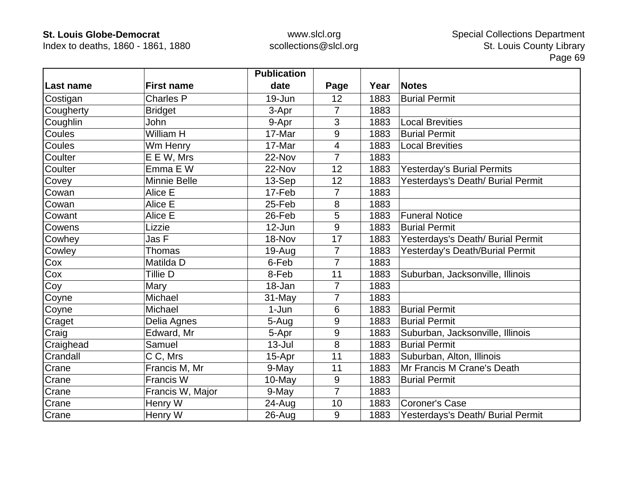Index to deaths, 1860 - 1861, 1880

|           |                     | <b>Publication</b> |                |      |                                   |
|-----------|---------------------|--------------------|----------------|------|-----------------------------------|
| Last name | <b>First name</b>   | date               | Page           | Year | <b>Notes</b>                      |
| Costigan  | <b>Charles P</b>    | 19-Jun             | 12             | 1883 | <b>Burial Permit</b>              |
| Cougherty | <b>Bridget</b>      | 3-Apr              | $\overline{7}$ | 1883 |                                   |
| Coughlin  | John                | 9-Apr              | 3              | 1883 | <b>Local Brevities</b>            |
| Coules    | William H           | 17-Mar             | 9              | 1883 | <b>Burial Permit</b>              |
| Coules    | Wm Henry            | 17-Mar             | $\overline{4}$ | 1883 | <b>Local Brevities</b>            |
| Coulter   | E E W, Mrs          | 22-Nov             | $\overline{7}$ | 1883 |                                   |
| Coulter   | Emma E W            | 22-Nov             | 12             | 1883 | <b>Yesterday's Burial Permits</b> |
| Covey     | <b>Minnie Belle</b> | 13-Sep             | 12             | 1883 | Yesterdays's Death/ Burial Permit |
| Cowan     | Alice E             | 17-Feb             | 7              | 1883 |                                   |
| Cowan     | Alice E             | 25-Feb             | 8              | 1883 |                                   |
| Cowant    | Alice E             | 26-Feb             | 5              | 1883 | <b>Funeral Notice</b>             |
| Cowens    | Lizzie              | 12-Jun             | 9              | 1883 | <b>Burial Permit</b>              |
| Cowhey    | Jas F               | 18-Nov             | 17             | 1883 | Yesterdays's Death/ Burial Permit |
| Cowley    | Thomas              | 19-Aug             | $\overline{7}$ | 1883 | Yesterday's Death/Burial Permit   |
| Cox       | Matilda D           | 6-Feb              | 7              | 1883 |                                   |
| Cox       | Tillie D            | 8-Feb              | 11             | 1883 | Suburban, Jacksonville, Illinois  |
| Coy       | Mary                | 18-Jan             | $\overline{7}$ | 1883 |                                   |
| Coyne     | Michael             | 31-May             | $\overline{7}$ | 1883 |                                   |
| Coyne     | Michael             | 1-Jun              | 6              | 1883 | <b>Burial Permit</b>              |
| Craget    | Delia Agnes         | 5-Aug              | 9              | 1883 | <b>Burial Permit</b>              |
| Craig     | Edward, Mr          | 5-Apr              | 9              | 1883 | Suburban, Jacksonville, Illinois  |
| Craighead | Samuel              | $13 -$ Jul         | 8              | 1883 | <b>Burial Permit</b>              |
| Crandall  | C C, Mrs            | 15-Apr             | 11             | 1883 | Suburban, Alton, Illinois         |
| Crane     | Francis M, Mr       | 9-May              | 11             | 1883 | Mr Francis M Crane's Death        |
| Crane     | Francis W           | 10-May             | $\overline{9}$ | 1883 | <b>Burial Permit</b>              |
| Crane     | Francis W, Major    | 9-May              | $\overline{7}$ | 1883 |                                   |
| Crane     | Henry W             | 24-Aug             | 10             | 1883 | <b>Coroner's Case</b>             |
| Crane     | Henry W             | 26-Aug             | 9              | 1883 | Yesterdays's Death/ Burial Permit |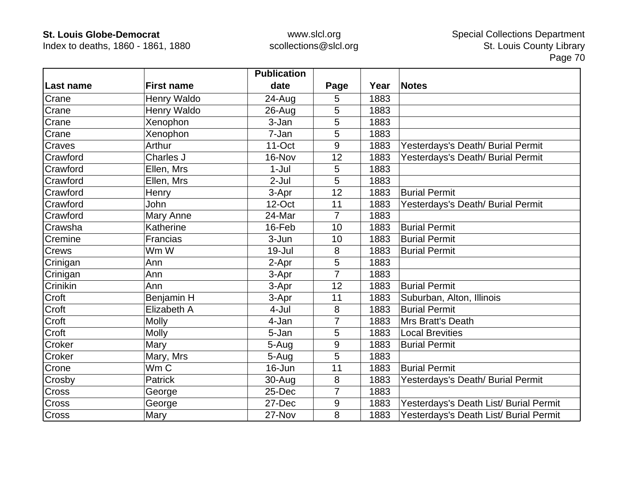Index to deaths, 1860 - 1861, 1880

|               |                    | <b>Publication</b> |                |      |                                        |
|---------------|--------------------|--------------------|----------------|------|----------------------------------------|
| Last name     | <b>First name</b>  | date               | Page           | Year | <b>Notes</b>                           |
| Crane         | <b>Henry Waldo</b> | 24-Aug             | 5              | 1883 |                                        |
| Crane         | Henry Waldo        | 26-Aug             | 5              | 1883 |                                        |
| Crane         | Xenophon           | 3-Jan              | 5              | 1883 |                                        |
| Crane         | Xenophon           | 7-Jan              | 5              | 1883 |                                        |
| <b>Craves</b> | Arthur             | $11-Oct$           | 9              | 1883 | Yesterdays's Death/ Burial Permit      |
| Crawford      | Charles J          | 16-Nov             | 12             | 1883 | Yesterdays's Death/ Burial Permit      |
| Crawford      | Ellen, Mrs         | $1-Jul$            | 5              | 1883 |                                        |
| Crawford      | Ellen, Mrs         | $2-Jul$            | 5              | 1883 |                                        |
| Crawford      | Henry              | 3-Apr              | 12             | 1883 | <b>Burial Permit</b>                   |
| Crawford      | <b>John</b>        | 12-Oct             | 11             | 1883 | Yesterdays's Death/ Burial Permit      |
| Crawford      | Mary Anne          | 24-Mar             | $\overline{7}$ | 1883 |                                        |
| Crawsha       | Katherine          | 16-Feb             | 10             | 1883 | <b>Burial Permit</b>                   |
| Cremine       | Francias           | 3-Jun              | 10             | 1883 | <b>Burial Permit</b>                   |
| <b>Crews</b>  | Wm W               | 19-Jul             | 8              | 1883 | <b>Burial Permit</b>                   |
| Crinigan      | Ann                | 2-Apr              | 5              | 1883 |                                        |
| Crinigan      | Ann                | 3-Apr              | $\overline{7}$ | 1883 |                                        |
| Crinikin      | Ann                | 3-Apr              | 12             | 1883 | <b>Burial Permit</b>                   |
| Croft         | Benjamin H         | 3-Apr              | 11             | 1883 | Suburban, Alton, Illinois              |
| Croft         | Elizabeth A        | 4-Jul              | 8              | 1883 | <b>Burial Permit</b>                   |
| Croft         | <b>Molly</b>       | 4-Jan              | 7              | 1883 | Mrs Bratt's Death                      |
| Croft         | <b>Molly</b>       | 5-Jan              | 5              | 1883 | <b>Local Brevities</b>                 |
| Croker        | Mary               | 5-Aug              | 9              | 1883 | <b>Burial Permit</b>                   |
| Croker        | Mary, Mrs          | 5-Aug              | 5              | 1883 |                                        |
| Crone         | Wm C               | 16-Jun             | 11             | 1883 | <b>Burial Permit</b>                   |
| Crosby        | Patrick            | 30-Aug             | 8              | 1883 | Yesterdays's Death/ Burial Permit      |
| <b>Cross</b>  | George             | 25-Dec             | 7              | 1883 |                                        |
| Cross         | George             | 27-Dec             | 9              | 1883 | Yesterdays's Death List/ Burial Permit |
| Cross         | Mary               | 27-Nov             | 8              | 1883 | Yesterdays's Death List/ Burial Permit |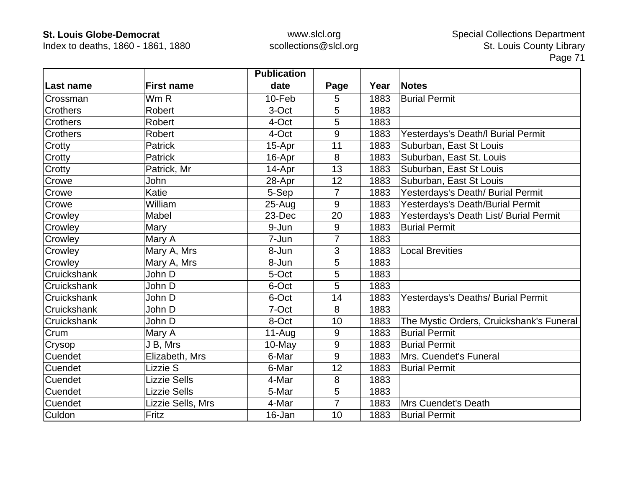Index to deaths, 1860 - 1861, 1880

|                 |                     | <b>Publication</b> |                |      |                                          |
|-----------------|---------------------|--------------------|----------------|------|------------------------------------------|
| Last name       | <b>First name</b>   | date               | Page           | Year | <b>Notes</b>                             |
| Crossman        | Wm R                | 10-Feb             | 5              | 1883 | <b>Burial Permit</b>                     |
| <b>Crothers</b> | <b>Robert</b>       | 3-Oct              | 5              | 1883 |                                          |
| Crothers        | Robert              | 4-Oct              | 5              | 1883 |                                          |
| <b>Crothers</b> | Robert              | 4-Oct              | 9              | 1883 | Yesterdays's Death/I Burial Permit       |
| Crotty          | <b>Patrick</b>      | 15-Apr             | 11             | 1883 | Suburban, East St Louis                  |
| Crotty          | <b>Patrick</b>      | 16-Apr             | 8              | 1883 | Suburban, East St. Louis                 |
| Crotty          | Patrick, Mr         | 14-Apr             | 13             | 1883 | Suburban, East St Louis                  |
| Crowe           | John                | 28-Apr             | 12             | 1883 | Suburban, East St Louis                  |
| Crowe           | Katie               | 5-Sep              | $\overline{7}$ | 1883 | Yesterdays's Death/ Burial Permit        |
| Crowe           | William             | $25 - Aug$         | 9              | 1883 | Yesterdays's Death/Burial Permit         |
| Crowley         | Mabel               | 23-Dec             | 20             | 1883 | Yesterdays's Death List/ Burial Permit   |
| Crowley         | Mary                | 9-Jun              | 9              | 1883 | <b>Burial Permit</b>                     |
| Crowley         | Mary A              | 7-Jun              | $\overline{7}$ | 1883 |                                          |
| Crowley         | Mary A, Mrs         | 8-Jun              | 3              | 1883 | <b>Local Brevities</b>                   |
| Crowley         | Mary A, Mrs         | 8-Jun              | 5              | 1883 |                                          |
| Cruickshank     | John D              | 5-Oct              | 5              | 1883 |                                          |
| Cruickshank     | John D              | 6-Oct              | 5              | 1883 |                                          |
| Cruickshank     | John D              | 6-Oct              | 14             | 1883 | Yesterdays's Deaths/ Burial Permit       |
| Cruickshank     | John D              | 7-Oct              | 8              | 1883 |                                          |
| Cruickshank     | John D              | 8-Oct              | 10             | 1883 | The Mystic Orders, Cruickshank's Funeral |
| Crum            | Mary A              | $11-Auq$           | 9              | 1883 | <b>Burial Permit</b>                     |
| Crysop          | J B, Mrs            | 10-May             | 9              | 1883 | <b>Burial Permit</b>                     |
| Cuendet         | Elizabeth, Mrs      | 6-Mar              | 9              | 1883 | Mrs. Cuendet's Funeral                   |
| Cuendet         | Lizzie S            | 6-Mar              | 12             | 1883 | <b>Burial Permit</b>                     |
| Cuendet         | <b>Lizzie Sells</b> | 4-Mar              | 8              | 1883 |                                          |
| Cuendet         | <b>Lizzie Sells</b> | 5-Mar              | 5              | 1883 |                                          |
| Cuendet         | Lizzie Sells, Mrs   | 4-Mar              | 7              | 1883 | <b>Mrs Cuendet's Death</b>               |
| Culdon          | Fritz               | 16-Jan             | 10             | 1883 | <b>Burial Permit</b>                     |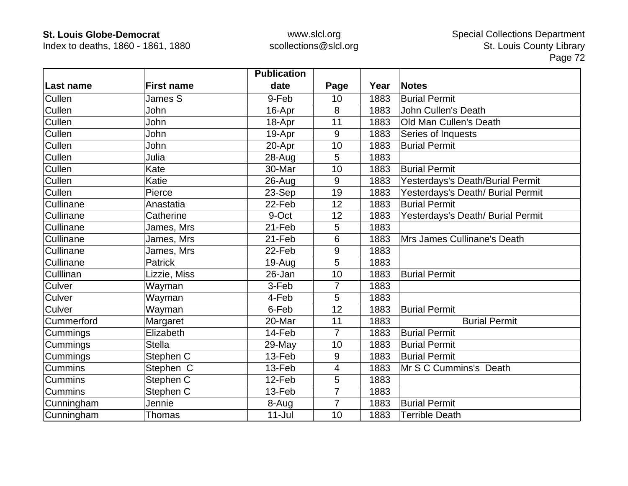Index to deaths, 1860 - 1861, 1880

|                  |                   | <b>Publication</b> |                  |      |                                   |
|------------------|-------------------|--------------------|------------------|------|-----------------------------------|
| <b>Last name</b> | <b>First name</b> | date               | Page             | Year | <b>Notes</b>                      |
| Cullen           | James S           | 9-Feb              | 10               | 1883 | <b>Burial Permit</b>              |
| Cullen           | John              | 16-Apr             | 8                | 1883 | <b>John Cullen's Death</b>        |
| Cullen           | John              | 18-Apr             | 11               | 1883 | Old Man Cullen's Death            |
| Cullen           | John              | 19-Apr             | $\boldsymbol{9}$ | 1883 | Series of Inquests                |
| Cullen           | John              | 20-Apr             | 10               | 1883 | <b>Burial Permit</b>              |
| Cullen           | Julia             | 28-Aug             | 5                | 1883 |                                   |
| Cullen           | Kate              | 30-Mar             | 10               | 1883 | <b>Burial Permit</b>              |
| Cullen           | Katie             | 26-Aug             | 9                | 1883 | Yesterdays's Death/Burial Permit  |
| Cullen           | Pierce            | 23-Sep             | 19               | 1883 | Yesterdays's Death/ Burial Permit |
| Cullinane        | Anastatia         | 22-Feb             | 12               | 1883 | <b>Burial Permit</b>              |
| Cullinane        | Catherine         | 9-Oct              | 12               | 1883 | Yesterdays's Death/ Burial Permit |
| Cullinane        | James, Mrs        | 21-Feb             | 5                | 1883 |                                   |
| Cullinane        | James, Mrs        | 21-Feb             | 6                | 1883 | Mrs James Cullinane's Death       |
| Cullinane        | James, Mrs        | 22-Feb             | 9                | 1883 |                                   |
| Cullinane        | <b>Patrick</b>    | $19-Auq$           | 5                | 1883 |                                   |
| Culllinan        | Lizzie, Miss      | 26-Jan             | 10               | 1883 | <b>Burial Permit</b>              |
| Culver           | Wayman            | 3-Feb              | 7                | 1883 |                                   |
| Culver           | Wayman            | 4-Feb              | 5                | 1883 |                                   |
| Culver           | Wayman            | 6-Feb              | 12               | 1883 | <b>Burial Permit</b>              |
| Cummerford       | Margaret          | 20-Mar             | 11               | 1883 | <b>Burial Permit</b>              |
| Cummings         | Elizabeth         | 14-Feb             | $\overline{7}$   | 1883 | <b>Burial Permit</b>              |
| Cummings         | <b>Stella</b>     | 29-May             | 10               | 1883 | <b>Burial Permit</b>              |
| Cummings         | Stephen C         | 13-Feb             | 9                | 1883 | <b>Burial Permit</b>              |
| <b>Cummins</b>   | Stephen C         | 13-Feb             | 4                | 1883 | Mr S C Cummins's Death            |
| <b>Cummins</b>   | Stephen C         | 12-Feb             | 5                | 1883 |                                   |
| Cummins          | Stephen C         | 13-Feb             | $\overline{7}$   | 1883 |                                   |
| Cunningham       | Jennie            | 8-Aug              | $\overline{7}$   | 1883 | <b>Burial Permit</b>              |
| Cunningham       | Thomas            | $11 -$ Jul         | 10               | 1883 | <b>Terrible Death</b>             |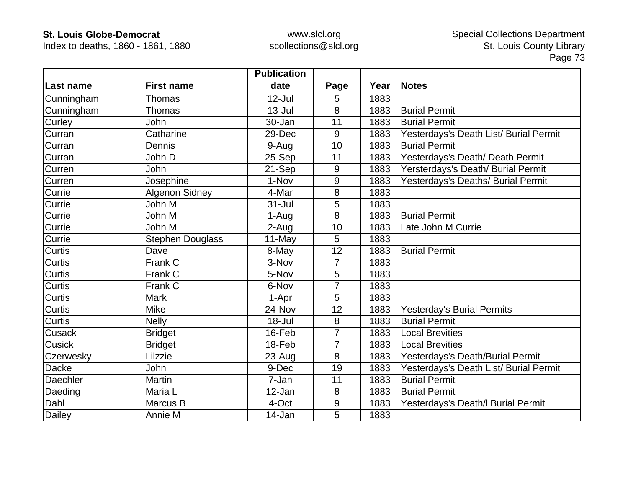Index to deaths, 1860 - 1861, 1880

|               |                         | <b>Publication</b> |                |      |                                        |
|---------------|-------------------------|--------------------|----------------|------|----------------------------------------|
| Last name     | <b>First name</b>       | date               | Page           | Year | <b>Notes</b>                           |
| Cunningham    | Thomas                  | $12$ -Jul          | 5              | 1883 |                                        |
| Cunningham    | Thomas                  | $13 -$ Jul         | 8              | 1883 | <b>Burial Permit</b>                   |
| Curley        | John                    | 30-Jan             | 11             | 1883 | <b>Burial Permit</b>                   |
| Curran        | Catharine               | 29-Dec             | 9              | 1883 | Yesterdays's Death List/ Burial Permit |
| Curran        | Dennis                  | 9-Aug              | 10             | 1883 | <b>Burial Permit</b>                   |
| Curran        | John D                  | 25-Sep             | 11             | 1883 | Yesterdays's Death/ Death Permit       |
| Curren        | John                    | 21-Sep             | 9              | 1883 | Yersterdays's Death/ Burial Permit     |
| Curren        | Josephine               | 1-Nov              | 9              | 1883 | Yesterdays's Deaths/ Burial Permit     |
| Currie        | Algenon Sidney          | 4-Mar              | 8              | 1883 |                                        |
| Currie        | John M                  | $31 -$ Jul         | 5              | 1883 |                                        |
| Currie        | John M                  | 1-Aug              | 8              | 1883 | <b>Burial Permit</b>                   |
| Currie        | John M                  | 2-Aug              | 10             | 1883 | Late John M Currie                     |
| Currie        | <b>Stephen Douglass</b> | 11-May             | 5              | 1883 |                                        |
| <b>Curtis</b> | Dave                    | 8-May              | 12             | 1883 | <b>Burial Permit</b>                   |
| <b>Curtis</b> | Frank C                 | 3-Nov              | 7              | 1883 |                                        |
| <b>Curtis</b> | Frank C                 | 5-Nov              | 5              | 1883 |                                        |
| Curtis        | Frank C                 | 6-Nov              | $\overline{7}$ | 1883 |                                        |
| <b>Curtis</b> | <b>Mark</b>             | 1-Apr              | 5              | 1883 |                                        |
| Curtis        | Mike                    | 24-Nov             | 12             | 1883 | <b>Yesterday's Burial Permits</b>      |
| <b>Curtis</b> | <b>Nelly</b>            | $18 -$ Jul         | 8              | 1883 | <b>Burial Permit</b>                   |
| Cusack        | <b>Bridget</b>          | 16-Feb             | $\overline{7}$ | 1883 | <b>Local Brevities</b>                 |
| <b>Cusick</b> | <b>Bridget</b>          | 18-Feb             | $\overline{7}$ | 1883 | <b>Local Brevities</b>                 |
| Czerwesky     | Lilzzie                 | $23-Auq$           | 8              | 1883 | Yesterdays's Death/Burial Permit       |
| <b>Dacke</b>  | John                    | 9-Dec              | 19             | 1883 | Yesterdays's Death List/ Burial Permit |
| Daechler      | Martin                  | 7-Jan              | 11             | 1883 | <b>Burial Permit</b>                   |
| Daeding       | Maria L                 | 12-Jan             | 8              | 1883 | <b>Burial Permit</b>                   |
| Dahl          | Marcus B                | 4-Oct              | 9              | 1883 | Yesterdays's Death/I Burial Permit     |
| <b>Dailey</b> | Annie M                 | 14-Jan             | 5              | 1883 |                                        |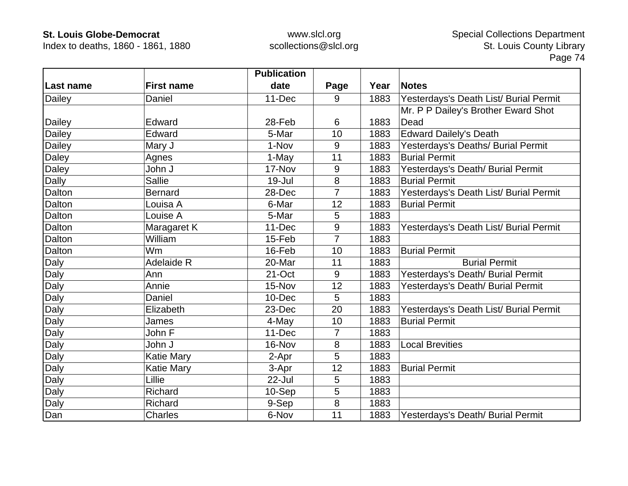Index to deaths, 1860 - 1861, 1880

|           |                   | <b>Publication</b> |                |      |                                        |
|-----------|-------------------|--------------------|----------------|------|----------------------------------------|
| Last name | <b>First name</b> | date               | Page           | Year | <b>Notes</b>                           |
| Dailey    | Daniel            | 11-Dec             | 9              | 1883 | Yesterdays's Death List/ Burial Permit |
|           |                   |                    |                |      | Mr. P P Dailey's Brother Eward Shot    |
| Dailey    | Edward            | 28-Feb             | 6              | 1883 | Dead                                   |
| Dailey    | Edward            | 5-Mar              | 10             | 1883 | <b>Edward Dailely's Death</b>          |
| Dailey    | Mary J            | 1-Nov              | 9              | 1883 | Yesterdays's Deaths/ Burial Permit     |
| Daley     | Agnes             | 1-May              | 11             | 1883 | <b>Burial Permit</b>                   |
| Daley     | John J            | 17-Nov             | 9              | 1883 | Yesterdays's Death/ Burial Permit      |
| Dally     | <b>Sallie</b>     | $19 -$ Jul         | 8              | 1883 | <b>Burial Permit</b>                   |
| Dalton    | <b>Bernard</b>    | 28-Dec             | 7              | 1883 | Yesterdays's Death List/ Burial Permit |
| Dalton    | Louisa A          | 6-Mar              | 12             | 1883 | <b>Burial Permit</b>                   |
| Dalton    | Louise A          | 5-Mar              | 5              | 1883 |                                        |
| Dalton    | Maragaret K       | 11-Dec             | 9              | 1883 | Yesterdays's Death List/ Burial Permit |
| Dalton    | William           | 15-Feb             | $\overline{7}$ | 1883 |                                        |
| Dalton    | <b>Wm</b>         | 16-Feb             | 10             | 1883 | <b>Burial Permit</b>                   |
| Daly      | Adelaide R        | 20-Mar             | 11             | 1883 | <b>Burial Permit</b>                   |
| Daly      | Ann               | 21-Oct             | 9              | 1883 | Yesterdays's Death/ Burial Permit      |
| Daly      | Annie             | 15-Nov             | 12             | 1883 | Yesterdays's Death/ Burial Permit      |
| Daly      | Daniel            | 10-Dec             | 5              | 1883 |                                        |
| Daly      | Elizabeth         | 23-Dec             | 20             | 1883 | Yesterdays's Death List/ Burial Permit |
| Daly      | James             | 4-May              | 10             | 1883 | <b>Burial Permit</b>                   |
| Daly      | John F            | 11-Dec             | 7              | 1883 |                                        |
| Daly      | John J            | 16-Nov             | 8              | 1883 | <b>Local Brevities</b>                 |
| Daly      | <b>Katie Mary</b> | 2-Apr              | 5              | 1883 |                                        |
| Daly      | <b>Katie Mary</b> | 3-Apr              | 12             | 1883 | <b>Burial Permit</b>                   |
| Daly      | Lillie            | 22-Jul             | 5              | 1883 |                                        |
| Daly      | Richard           | 10-Sep             | 5              | 1883 |                                        |
| Daly      | Richard           | 9-Sep              | 8              | 1883 |                                        |
| Dan       | Charles           | 6-Nov              | 11             | 1883 | Yesterdays's Death/ Burial Permit      |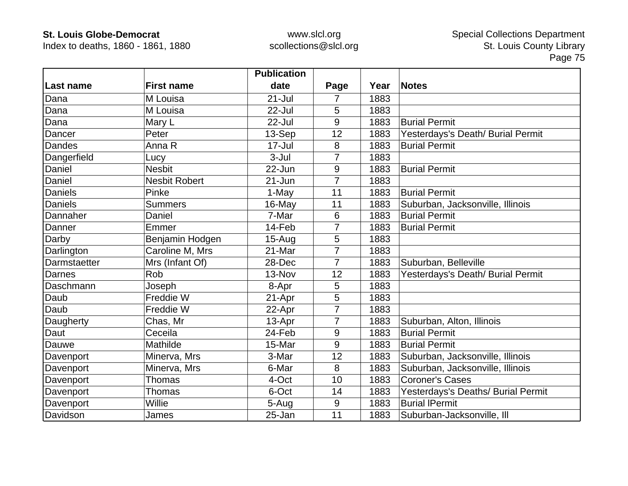Index to deaths, 1860 - 1861, 1880

|               |                      | <b>Publication</b> |                |      |                                    |
|---------------|----------------------|--------------------|----------------|------|------------------------------------|
| ∣Last name    | <b>First name</b>    | date               | Page           | Year | <b>Notes</b>                       |
| Dana          | M Louisa             | 21-Jul             | 7              | 1883 |                                    |
| Dana          | M Louisa             | 22-Jul             | 5              | 1883 |                                    |
| Dana          | Mary L               | 22-Jul             | 9              | 1883 | <b>Burial Permit</b>               |
| Dancer        | Peter                | 13-Sep             | 12             | 1883 | Yesterdays's Death/ Burial Permit  |
| <b>Dandes</b> | Anna R               | 17-Jul             | 8              | 1883 | <b>Burial Permit</b>               |
| Dangerfield   | Lucy                 | $3-Jul$            | 7              | 1883 |                                    |
| Daniel        | <b>Nesbit</b>        | 22-Jun             | 9              | 1883 | <b>Burial Permit</b>               |
| Daniel        | <b>Nesbit Robert</b> | $21 - Jun$         | 7              | 1883 |                                    |
| Daniels       | Pinke                | 1-May              | 11             | 1883 | <b>Burial Permit</b>               |
| Daniels       | <b>Summers</b>       | 16-May             | 11             | 1883 | Suburban, Jacksonville, Illinois   |
| Dannaher      | Daniel               | 7-Mar              | 6              | 1883 | <b>Burial Permit</b>               |
| Danner        | Emmer                | 14-Feb             | 7              | 1883 | <b>Burial Permit</b>               |
| Darby         | Benjamin Hodgen      | $15 - Aug$         | 5              | 1883 |                                    |
| Darlington    | Caroline M, Mrs      | 21-Mar             | $\overline{7}$ | 1883 |                                    |
| Darmstaetter  | Mrs (Infant Of)      | 28-Dec             | 7              | 1883 | Suburban, Belleville               |
| <b>Darnes</b> | Rob                  | 13-Nov             | 12             | 1883 | Yesterdays's Death/ Burial Permit  |
| Daschmann     | Joseph               | 8-Apr              | 5              | 1883 |                                    |
| Daub          | Freddie W            | 21-Apr             | 5              | 1883 |                                    |
| Daub          | Freddie W            | 22-Apr             | 7              | 1883 |                                    |
| Daugherty     | Chas, Mr             | 13-Apr             | 7              | 1883 | Suburban, Alton, Illinois          |
| Daut          | Ceceila              | 24-Feb             | 9              | 1883 | <b>Burial Permit</b>               |
| Dauwe         | Mathilde             | 15-Mar             | 9              | 1883 | <b>Burial Permit</b>               |
| Davenport     | Minerva, Mrs         | 3-Mar              | 12             | 1883 | Suburban, Jacksonville, Illinois   |
| Davenport     | Minerva, Mrs         | 6-Mar              | 8              | 1883 | Suburban, Jacksonville, Illinois   |
| Davenport     | Thomas               | 4-Oct              | 10             | 1883 | <b>Coroner's Cases</b>             |
| Davenport     | Thomas               | 6-Oct              | 14             | 1883 | Yesterdays's Deaths/ Burial Permit |
| Davenport     | Willie               | 5-Aug              | 9              | 1883 | <b>Burial IPermit</b>              |
| Davidson      | James                | 25-Jan             | 11             | 1883 | Suburban-Jacksonville, Ill         |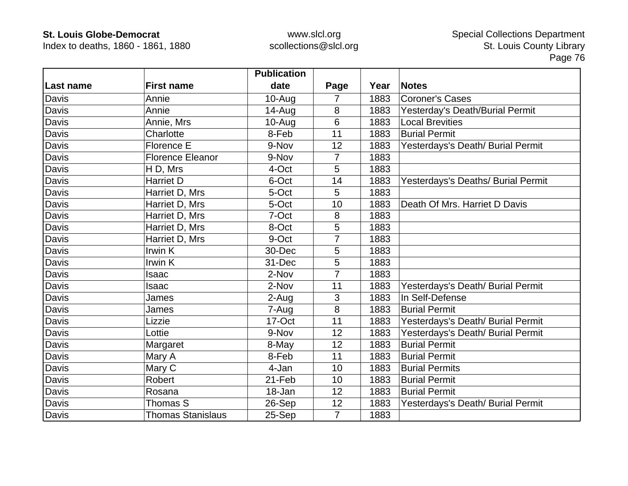Index to deaths, 1860 - 1861, 1880

|           |                          | <b>Publication</b> |                |      |                                    |
|-----------|--------------------------|--------------------|----------------|------|------------------------------------|
| Last name | <b>First name</b>        | date               | Page           | Year | <b>Notes</b>                       |
| Davis     | Annie                    | $10 - Aug$         | 7              | 1883 | <b>Coroner's Cases</b>             |
| Davis     | Annie                    | $14 - Aug$         | 8              | 1883 | Yesterday's Death/Burial Permit    |
| Davis     | Annie, Mrs               | $10-Auq$           | 6              | 1883 | <b>Local Brevities</b>             |
| Davis     | Charlotte                | 8-Feb              | 11             | 1883 | <b>Burial Permit</b>               |
| Davis     | Florence E               | 9-Nov              | 12             | 1883 | Yesterdays's Death/ Burial Permit  |
| Davis     | <b>Florence Eleanor</b>  | 9-Nov              | 7              | 1883 |                                    |
| Davis     | H D, Mrs                 | 4-Oct              | 5              | 1883 |                                    |
| Davis     | <b>Harriet D</b>         | 6-Oct              | 14             | 1883 | Yesterdays's Deaths/ Burial Permit |
| Davis     | Harriet D, Mrs           | 5-Oct              | 5              | 1883 |                                    |
| Davis     | Harriet D, Mrs           | 5-Oct              | 10             | 1883 | Death Of Mrs. Harriet D Davis      |
| Davis     | Harriet D, Mrs           | 7-Oct              | 8              | 1883 |                                    |
| Davis     | Harriet D, Mrs           | 8-Oct              | 5              | 1883 |                                    |
| Davis     | Harriet D, Mrs           | 9-Oct              | 7              | 1883 |                                    |
| Davis     | Irwin K                  | 30-Dec             | 5              | 1883 |                                    |
| Davis     | Irwin K                  | 31-Dec             | 5              | 1883 |                                    |
| Davis     | Isaac                    | 2-Nov              | $\overline{7}$ | 1883 |                                    |
| Davis     | Isaac                    | 2-Nov              | 11             | 1883 | Yesterdays's Death/ Burial Permit  |
| Davis     | James                    | 2-Aug              | 3              | 1883 | In Self-Defense                    |
| Davis     | James                    | 7-Aug              | 8              | 1883 | <b>Burial Permit</b>               |
| Davis     | Lizzie                   | 17-Oct             | 11             | 1883 | Yesterdays's Death/ Burial Permit  |
| Davis     | Lottie                   | 9-Nov              | 12             | 1883 | Yesterdays's Death/ Burial Permit  |
| Davis     | Margaret                 | 8-May              | 12             | 1883 | <b>Burial Permit</b>               |
| Davis     | Mary A                   | 8-Feb              | 11             | 1883 | <b>Burial Permit</b>               |
| Davis     | Mary C                   | 4-Jan              | 10             | 1883 | <b>Burial Permits</b>              |
| Davis     | Robert                   | 21-Feb             | 10             | 1883 | <b>Burial Permit</b>               |
| Davis     | Rosana                   | 18-Jan             | 12             | 1883 | <b>Burial Permit</b>               |
| Davis     | Thomas S                 | 26-Sep             | 12             | 1883 | Yesterdays's Death/ Burial Permit  |
| Davis     | <b>Thomas Stanislaus</b> | 25-Sep             | $\overline{7}$ | 1883 |                                    |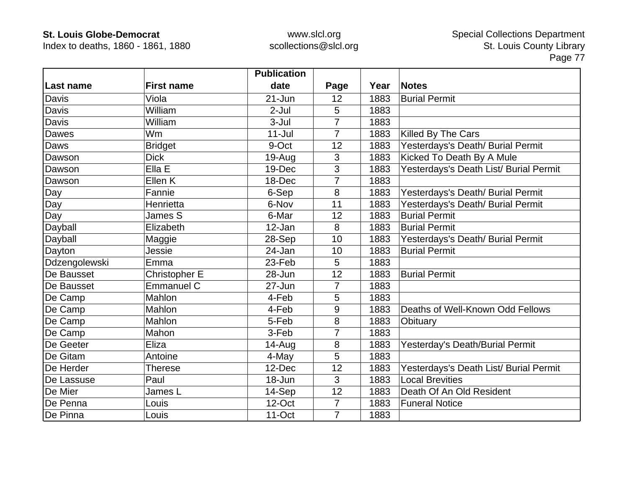Index to deaths, 1860 - 1861, 1880

|               |                   | <b>Publication</b> |                |      |                                        |
|---------------|-------------------|--------------------|----------------|------|----------------------------------------|
| Last name     | <b>First name</b> | date               | Page           | Year | <b>Notes</b>                           |
| Davis         | Viola             | $21 - Jun$         | 12             | 1883 | <b>Burial Permit</b>                   |
| Davis         | William           | $2-Jul$            | 5              | 1883 |                                        |
| Davis         | William           | $3 -$ Jul          | 7              | 1883 |                                        |
| Dawes         | Wm                | $11 -$ Jul         | $\overline{7}$ | 1883 | Killed By The Cars                     |
| Daws          | <b>Bridget</b>    | 9-Oct              | 12             | 1883 | Yesterdays's Death/ Burial Permit      |
| Dawson        | <b>Dick</b>       | $19-Auq$           | 3              | 1883 | Kicked To Death By A Mule              |
| Dawson        | Ella E            | 19-Dec             | 3              | 1883 | Yesterdays's Death List/ Burial Permit |
| Dawson        | Ellen K           | 18-Dec             | $\overline{7}$ | 1883 |                                        |
| Day           | Fannie            | 6-Sep              | 8              | 1883 | Yesterdays's Death/ Burial Permit      |
| Day           | Henrietta         | 6-Nov              | 11             | 1883 | Yesterdays's Death/ Burial Permit      |
| Day           | James S           | 6-Mar              | 12             | 1883 | <b>Burial Permit</b>                   |
| Dayball       | Elizabeth         | 12-Jan             | 8              | 1883 | <b>Burial Permit</b>                   |
| Dayball       | Maggie            | 28-Sep             | 10             | 1883 | Yesterdays's Death/ Burial Permit      |
| Dayton        | Jessie            | 24-Jan             | 10             | 1883 | <b>Burial Permit</b>                   |
| Ddzengolewski | Emma              | 23-Feb             | 5              | 1883 |                                        |
| De Bausset    | Christopher E     | 28-Jun             | 12             | 1883 | <b>Burial Permit</b>                   |
| De Bausset    | <b>Emmanuel C</b> | 27-Jun             | 7              | 1883 |                                        |
| De Camp       | Mahlon            | 4-Feb              | 5              | 1883 |                                        |
| De Camp       | Mahlon            | 4-Feb              | 9              | 1883 | Deaths of Well-Known Odd Fellows       |
| De Camp       | Mahlon            | 5-Feb              | 8              | 1883 | Obituary                               |
| De Camp       | Mahon             | 3-Feb              | $\overline{7}$ | 1883 |                                        |
| De Geeter     | Eliza             | $14 - Aug$         | 8              | 1883 | Yesterday's Death/Burial Permit        |
| De Gitam      | Antoine           | 4-May              | 5              | 1883 |                                        |
| De Herder     | <b>Therese</b>    | 12-Dec             | 12             | 1883 | Yesterdays's Death List/ Burial Permit |
| De Lassuse    | Paul              | 18-Jun             | 3              | 1883 | <b>Local Brevities</b>                 |
| De Mier       | James L           | 14-Sep             | 12             | 1883 | Death Of An Old Resident               |
| De Penna      | Louis             | 12-Oct             | $\overline{7}$ | 1883 | <b>Funeral Notice</b>                  |
| De Pinna      | Louis             | 11-Oct             | $\overline{7}$ | 1883 |                                        |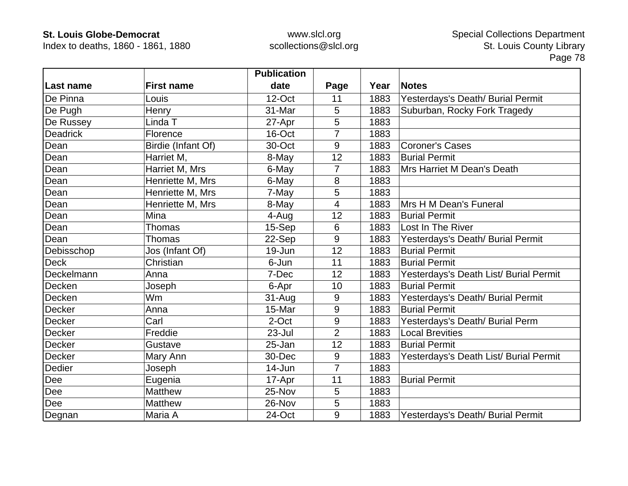Index to deaths, 1860 - 1861, 1880

|                 |                    | <b>Publication</b> |                |      |                                        |
|-----------------|--------------------|--------------------|----------------|------|----------------------------------------|
| Last name       | <b>First name</b>  | date               | Page           | Year | <b>Notes</b>                           |
| De Pinna        | Louis              | 12-Oct             | 11             | 1883 | Yesterdays's Death/ Burial Permit      |
| De Pugh         | Henry              | 31-Mar             | 5              | 1883 | Suburban, Rocky Fork Tragedy           |
| De Russey       | Linda T            | 27-Apr             | 5              | 1883 |                                        |
| <b>Deadrick</b> | Florence           | 16-Oct             | 7              | 1883 |                                        |
| Dean            | Birdie (Infant Of) | 30-Oct             | 9              | 1883 | <b>Coroner's Cases</b>                 |
| Dean            | Harriet M,         | 8-May              | 12             | 1883 | <b>Burial Permit</b>                   |
| Dean            | Harriet M, Mrs     | 6-May              | 7              | 1883 | Mrs Harriet M Dean's Death             |
| Dean            | Henriette M, Mrs   | 6-May              | 8              | 1883 |                                        |
| Dean            | Henriette M, Mrs   | 7-May              | 5              | 1883 |                                        |
| Dean            | Henriette M, Mrs   | 8-May              | $\overline{4}$ | 1883 | Mrs H M Dean's Funeral                 |
| Dean            | Mina               | 4-Aug              | 12             | 1883 | <b>Burial Permit</b>                   |
| Dean            | Thomas             | 15-Sep             | 6              | 1883 | Lost In The River                      |
| Dean            | Thomas             | 22-Sep             | 9              | 1883 | Yesterdays's Death/ Burial Permit      |
| Debisschop      | Jos (Infant Of)    | 19-Jun             | 12             | 1883 | <b>Burial Permit</b>                   |
| <b>Deck</b>     | Christian          | 6-Jun              | 11             | 1883 | <b>Burial Permit</b>                   |
| Deckelmann      | Anna               | 7-Dec              | 12             | 1883 | Yesterdays's Death List/ Burial Permit |
| Decken          | Joseph             | 6-Apr              | 10             | 1883 | <b>Burial Permit</b>                   |
| Decken          | Wm                 | 31-Aug             | 9              | 1883 | Yesterdays's Death/ Burial Permit      |
| <b>Decker</b>   | Anna               | 15-Mar             | 9              | 1883 | <b>Burial Permit</b>                   |
| <b>Decker</b>   | Carl               | 2-Oct              | 9              | 1883 | Yesterdays's Death/ Burial Perm        |
| <b>Decker</b>   | Freddie            | 23-Jul             | $\overline{2}$ | 1883 | <b>Local Brevities</b>                 |
| <b>Decker</b>   | Gustave            | 25-Jan             | 12             | 1883 | <b>Burial Permit</b>                   |
| <b>Decker</b>   | Mary Ann           | 30-Dec             | 9              | 1883 | Yesterdays's Death List/ Burial Permit |
| Dedier          | Joseph             | 14-Jun             | 7              | 1883 |                                        |
| Dee             | Eugenia            | 17-Apr             | 11             | 1883 | <b>Burial Permit</b>                   |
| Dee             | Matthew            | 25-Nov             | 5              | 1883 |                                        |
| Dee             | Matthew            | 26-Nov             | 5              | 1883 |                                        |
| Degnan          | Maria A            | 24-Oct             | 9              | 1883 | Yesterdays's Death/ Burial Permit      |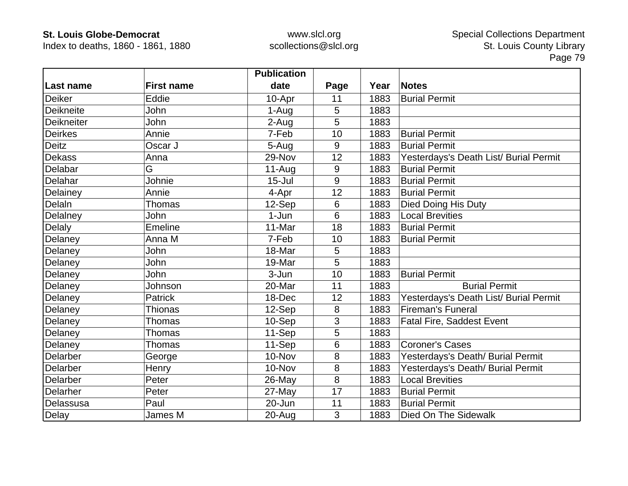Index to deaths, 1860 - 1861, 1880

|                  |                   | <b>Publication</b> |      |      |                                        |
|------------------|-------------------|--------------------|------|------|----------------------------------------|
| <b>Last name</b> | <b>First name</b> | date               | Page | Year | <b>Notes</b>                           |
| <b>Deiker</b>    | Eddie             | 10-Apr             | 11   | 1883 | <b>Burial Permit</b>                   |
| Deikneite        | John              | 1-Aug              | 5    | 1883 |                                        |
| Deikneiter       | John              | 2-Aug              | 5    | 1883 |                                        |
| Deirkes          | Annie             | 7-Feb              | 10   | 1883 | <b>Burial Permit</b>                   |
| <b>Deitz</b>     | Oscar J           | 5-Aug              | 9    | 1883 | <b>Burial Permit</b>                   |
| <b>Dekass</b>    | Anna              | 29-Nov             | 12   | 1883 | Yesterdays's Death List/ Burial Permit |
| Delabar          | G                 | $11-Auq$           | 9    | 1883 | <b>Burial Permit</b>                   |
| Delahar          | Johnie            | $15 -$ Jul         | 9    | 1883 | <b>Burial Permit</b>                   |
| Delainey         | Annie             | 4-Apr              | 12   | 1883 | <b>Burial Permit</b>                   |
| DelaIn           | Thomas            | 12-Sep             | 6    | 1883 | Died Doing His Duty                    |
| Delalney         | John              | 1-Jun              | 6    | 1883 | <b>Local Brevities</b>                 |
| Delaly           | <b>Emeline</b>    | 11-Mar             | 18   | 1883 | <b>Burial Permit</b>                   |
| Delaney          | Anna M            | 7-Feb              | 10   | 1883 | <b>Burial Permit</b>                   |
| Delaney          | John              | 18-Mar             | 5    | 1883 |                                        |
| Delaney          | John              | 19-Mar             | 5    | 1883 |                                        |
| Delaney          | John              | 3-Jun              | 10   | 1883 | <b>Burial Permit</b>                   |
| Delaney          | Johnson           | 20-Mar             | 11   | 1883 | <b>Burial Permit</b>                   |
| Delaney          | <b>Patrick</b>    | 18-Dec             | 12   | 1883 | Yesterdays's Death List/ Burial Permit |
| Delaney          | <b>Thionas</b>    | 12-Sep             | 8    | 1883 | <b>Fireman's Funeral</b>               |
| Delaney          | Thomas            | 10-Sep             | 3    | 1883 | <b>Fatal Fire, Saddest Event</b>       |
| Delaney          | Thomas            | 11-Sep             | 5    | 1883 |                                        |
| Delaney          | <b>Thomas</b>     | 11-Sep             | 6    | 1883 | <b>Coroner's Cases</b>                 |
| <b>Delarber</b>  | George            | 10-Nov             | 8    | 1883 | Yesterdays's Death/ Burial Permit      |
| Delarber         | Henry             | 10-Nov             | 8    | 1883 | Yesterdays's Death/ Burial Permit      |
| Delarber         | Peter             | 26-May             | 8    | 1883 | <b>Local Brevities</b>                 |
| Delarher         | Peter             | 27-May             | 17   | 1883 | <b>Burial Permit</b>                   |
| Delassusa        | Paul              | 20-Jun             | 11   | 1883 | <b>Burial Permit</b>                   |
| Delay            | James M           | 20-Aug             | 3    | 1883 | Died On The Sidewalk                   |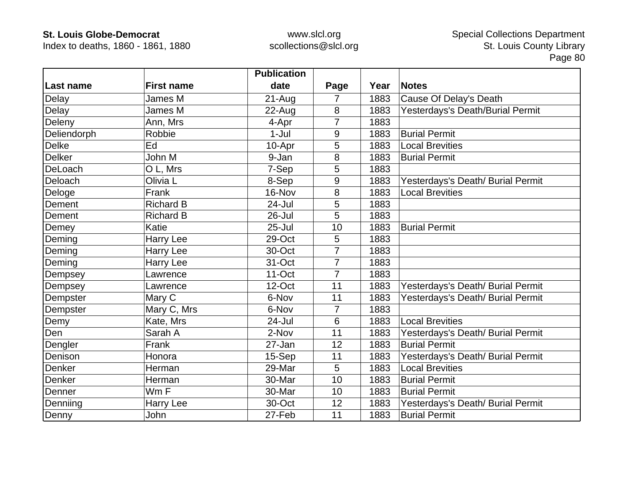Index to deaths, 1860 - 1861, 1880

|               |                   | <b>Publication</b> |                |      |                                   |
|---------------|-------------------|--------------------|----------------|------|-----------------------------------|
| Last name     | <b>First name</b> | date               | Page           | Year | <b>Notes</b>                      |
| Delay         | James M           | $21 - Aug$         | 7              | 1883 | Cause Of Delay's Death            |
| Delay         | James M           | 22-Aug             | 8              | 1883 | Yesterdays's Death/Burial Permit  |
| Deleny        | Ann, Mrs          | 4-Apr              | 7              | 1883 |                                   |
| Deliendorph   | Robbie            | $1-Jul$            | 9              | 1883 | <b>Burial Permit</b>              |
| <b>Delke</b>  | Ed                | 10-Apr             | 5              | 1883 | <b>Local Brevities</b>            |
| <b>Delker</b> | John M            | 9-Jan              | 8              | 1883 | <b>Burial Permit</b>              |
| DeLoach       | O L, Mrs          | 7-Sep              | 5              | 1883 |                                   |
| Deloach       | Olivia L          | 8-Sep              | 9              | 1883 | Yesterdays's Death/ Burial Permit |
| Deloge        | Frank             | 16-Nov             | 8              | 1883 | <b>Local Brevities</b>            |
| Dement        | <b>Richard B</b>  | 24-Jul             | 5              | 1883 |                                   |
| Dement        | <b>Richard B</b>  | 26-Jul             | 5              | 1883 |                                   |
| Demey         | Katie             | $25 -$ Jul         | 10             | 1883 | <b>Burial Permit</b>              |
| Deming        | Harry Lee         | 29-Oct             | 5              | 1883 |                                   |
| Deming        | Harry Lee         | 30-Oct             | $\overline{7}$ | 1883 |                                   |
| Deming        | Harry Lee         | 31-Oct             | 7              | 1883 |                                   |
| Dempsey       | Lawrence          | 11-Oct             | $\overline{7}$ | 1883 |                                   |
| Dempsey       | Lawrence          | 12-Oct             | 11             | 1883 | Yesterdays's Death/ Burial Permit |
| Dempster      | Mary C            | 6-Nov              | 11             | 1883 | Yesterdays's Death/ Burial Permit |
| Dempster      | Mary C, Mrs       | 6-Nov              | 7              | 1883 |                                   |
| Demy          | Kate, Mrs         | 24-Jul             | 6              | 1883 | <b>Local Brevities</b>            |
| Den           | Sarah A           | 2-Nov              | 11             | 1883 | Yesterdays's Death/ Burial Permit |
| Dengler       | Frank             | 27-Jan             | 12             | 1883 | <b>Burial Permit</b>              |
| Denison       | Honora            | 15-Sep             | 11             | 1883 | Yesterdays's Death/ Burial Permit |
| Denker        | Herman            | 29-Mar             | 5              | 1883 | <b>Local Brevities</b>            |
| Denker        | Herman            | 30-Mar             | 10             | 1883 | <b>Burial Permit</b>              |
| Denner        | Wm F              | 30-Mar             | 10             | 1883 | <b>Burial Permit</b>              |
| Denniing      | <b>Harry Lee</b>  | 30-Oct             | 12             | 1883 | Yesterdays's Death/ Burial Permit |
| Denny         | John              | 27-Feb             | 11             | 1883 | <b>Burial Permit</b>              |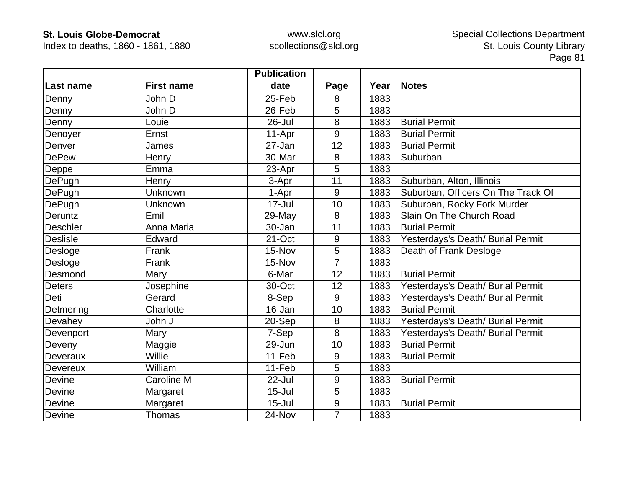Index to deaths, 1860 - 1861, 1880

|                 |                   | <b>Publication</b> |                |      |                                    |
|-----------------|-------------------|--------------------|----------------|------|------------------------------------|
| Last name       | <b>First name</b> | date               | Page           | Year | <b>Notes</b>                       |
| Denny           | John D            | 25-Feb             | 8              | 1883 |                                    |
| Denny           | John D            | 26-Feb             | 5              | 1883 |                                    |
| Denny           | Louie             | $26 -$ Jul         | 8              | 1883 | <b>Burial Permit</b>               |
| Denoyer         | Ernst             | 11-Apr             | 9              | 1883 | <b>Burial Permit</b>               |
| Denver          | James             | 27-Jan             | 12             | 1883 | <b>Burial Permit</b>               |
| <b>DePew</b>    | Henry             | 30-Mar             | 8              | 1883 | Suburban                           |
| Deppe           | Emma              | 23-Apr             | 5              | 1883 |                                    |
| DePugh          | Henry             | 3-Apr              | 11             | 1883 | Suburban, Alton, Illinois          |
| DePugh          | Unknown           | 1-Apr              | 9              | 1883 | Suburban, Officers On The Track Of |
| DePugh          | Unknown           | $17 -$ Jul         | 10             | 1883 | Suburban, Rocky Fork Murder        |
| Deruntz         | Emil              | 29-May             | 8              | 1883 | Slain On The Church Road           |
| <b>Deschler</b> | Anna Maria        | 30-Jan             | 11             | 1883 | <b>Burial Permit</b>               |
| <b>Deslisle</b> | Edward            | 21-Oct             | 9              | 1883 | Yesterdays's Death/ Burial Permit  |
| Desloge         | Frank             | 15-Nov             | 5              | 1883 | Death of Frank Desloge             |
| Desloge         | Frank             | 15-Nov             | $\overline{7}$ | 1883 |                                    |
| Desmond         | Mary              | 6-Mar              | 12             | 1883 | <b>Burial Permit</b>               |
| <b>Deters</b>   | Josephine         | 30-Oct             | 12             | 1883 | Yesterdays's Death/ Burial Permit  |
| Deti            | Gerard            | 8-Sep              | 9              | 1883 | Yesterdays's Death/ Burial Permit  |
| Detmering       | Charlotte         | 16-Jan             | 10             | 1883 | <b>Burial Permit</b>               |
| Devahey         | John J            | 20-Sep             | 8              | 1883 | Yesterdays's Death/ Burial Permit  |
| Devenport       | Mary              | 7-Sep              | 8              | 1883 | Yesterdays's Death/ Burial Permit  |
| Deveny          | Maggie            | 29-Jun             | 10             | 1883 | <b>Burial Permit</b>               |
| Deveraux        | Willie            | 11-Feb             | 9              | 1883 | <b>Burial Permit</b>               |
| <b>Devereux</b> | William           | 11-Feb             | 5              | 1883 |                                    |
| Devine          | Caroline M        | 22-Jul             | $9$            | 1883 | <b>Burial Permit</b>               |
| Devine          | Margaret          | $15 -$ Jul         | 5              | 1883 |                                    |
| Devine          | Margaret          | $15 -$ Jul         | 9              | 1883 | <b>Burial Permit</b>               |
| Devine          | <b>Thomas</b>     | 24-Nov             | $\overline{7}$ | 1883 |                                    |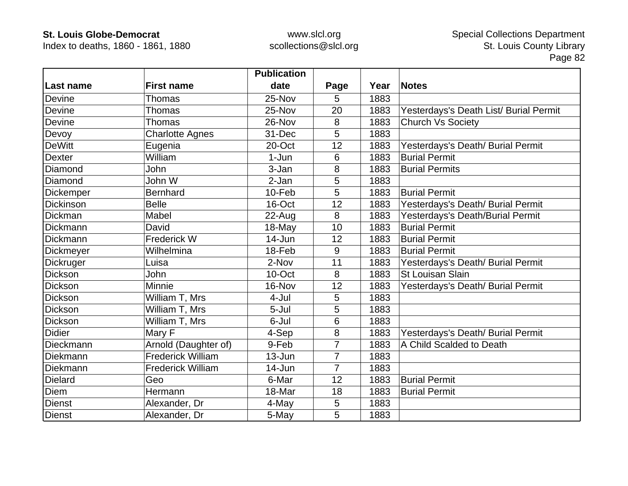Index to deaths, 1860 - 1861, 1880

|                  |                          | <b>Publication</b> |                |      |                                        |
|------------------|--------------------------|--------------------|----------------|------|----------------------------------------|
| Last name        | <b>First name</b>        | date               | Page           | Year | <b>Notes</b>                           |
| <b>Devine</b>    | Thomas                   | 25-Nov             | 5              | 1883 |                                        |
| <b>Devine</b>    | <b>Thomas</b>            | 25-Nov             | 20             | 1883 | Yesterdays's Death List/ Burial Permit |
| Devine           | Thomas                   | 26-Nov             | 8              | 1883 | <b>Church Vs Society</b>               |
| Devoy            | <b>Charlotte Agnes</b>   | 31-Dec             | 5              | 1883 |                                        |
| <b>DeWitt</b>    | Eugenia                  | 20-Oct             | 12             | 1883 | Yesterdays's Death/ Burial Permit      |
| <b>Dexter</b>    | William                  | 1-Jun              | 6              | 1883 | <b>Burial Permit</b>                   |
| Diamond          | John                     | 3-Jan              | 8              | 1883 | <b>Burial Permits</b>                  |
| Diamond          | John W                   | 2-Jan              | 5              | 1883 |                                        |
| Dickemper        | <b>Bernhard</b>          | 10-Feb             | 5              | 1883 | <b>Burial Permit</b>                   |
| <b>Dickinson</b> | <b>Belle</b>             | 16-Oct             | 12             | 1883 | Yesterdays's Death/ Burial Permit      |
| Dickman          | Mabel                    | $22$ -Aug          | 8              | 1883 | Yesterdays's Death/Burial Permit       |
| Dickmann         | David                    | 18-May             | 10             | 1883 | <b>Burial Permit</b>                   |
| <b>Dickmann</b>  | Frederick W              | 14-Jun             | 12             | 1883 | <b>Burial Permit</b>                   |
| Dickmeyer        | Wilhelmina               | 18-Feb             | 9              | 1883 | <b>Burial Permit</b>                   |
| <b>Dickruger</b> | Luisa                    | 2-Nov              | 11             | 1883 | Yesterdays's Death/ Burial Permit      |
| Dickson          | John                     | 10-Oct             | 8              | 1883 | <b>St Louisan Slain</b>                |
| Dickson          | Minnie                   | 16-Nov             | 12             | 1883 | Yesterdays's Death/ Burial Permit      |
| <b>Dickson</b>   | William T, Mrs           | 4-Jul              | 5              | 1883 |                                        |
| Dickson          | William T, Mrs           | 5-Jul              | 5              | 1883 |                                        |
| <b>Dickson</b>   | William T, Mrs           | 6-Jul              | 6              | 1883 |                                        |
| <b>Didier</b>    | Mary F                   | 4-Sep              | $\bf 8$        | 1883 | Yesterdays's Death/ Burial Permit      |
| Dieckmann        | Arnold (Daughter of)     | 9-Feb              | $\overline{7}$ | 1883 | A Child Scalded to Death               |
| Diekmann         | <b>Frederick William</b> | 13-Jun             | 7              | 1883 |                                        |
| Diekmann         | <b>Frederick William</b> | 14-Jun             | $\overline{7}$ | 1883 |                                        |
| Dielard          | Geo                      | 6-Mar              | 12             | 1883 | <b>Burial Permit</b>                   |
| <b>Diem</b>      | Hermann                  | 18-Mar             | 18             | 1883 | <b>Burial Permit</b>                   |
| Dienst           | Alexander, Dr            | 4-May              | 5              | 1883 |                                        |
| <b>Dienst</b>    | Alexander, Dr            | 5-May              | 5              | 1883 |                                        |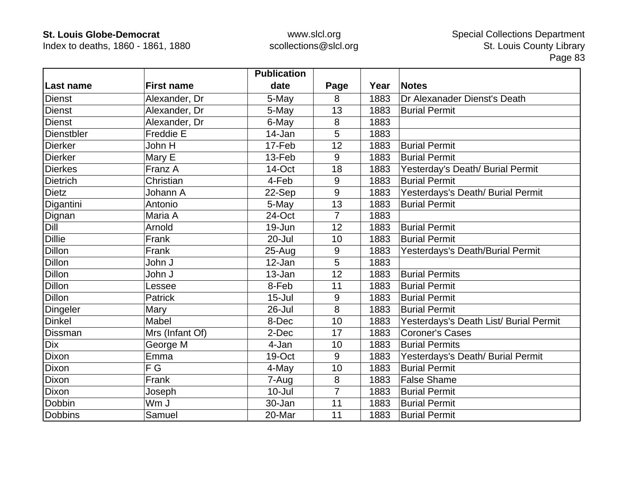Index to deaths, 1860 - 1861, 1880

|                 |                   | <b>Publication</b> |                |      |                                        |
|-----------------|-------------------|--------------------|----------------|------|----------------------------------------|
| Last name       | <b>First name</b> | date               | Page           | Year | <b>Notes</b>                           |
| Dienst          | Alexander, Dr     | 5-May              | 8              | 1883 | Dr Alexanader Dienst's Death           |
| Dienst          | Alexander, Dr     | 5-May              | 13             | 1883 | <b>Burial Permit</b>                   |
| <b>Dienst</b>   | Alexander, Dr     | 6-May              | 8              | 1883 |                                        |
| Dienstbler      | Freddie E         | 14-Jan             | 5              | 1883 |                                        |
| <b>Dierker</b>  | John H            | 17-Feb             | 12             | 1883 | <b>Burial Permit</b>                   |
| <b>Dierker</b>  | Mary E            | 13-Feb             | 9              | 1883 | <b>Burial Permit</b>                   |
| <b>Dierkes</b>  | Franz A           | 14-Oct             | 18             | 1883 | Yesterday's Death/ Burial Permit       |
| <b>Dietrich</b> | Christian         | 4-Feb              | 9              | 1883 | <b>Burial Permit</b>                   |
| <b>Dietz</b>    | Johann A          | 22-Sep             | 9              | 1883 | Yesterdays's Death/ Burial Permit      |
| Digantini       | Antonio           | 5-May              | 13             | 1883 | <b>Burial Permit</b>                   |
| Dignan          | Maria A           | 24-Oct             | 7              | 1883 |                                        |
| Dill            | Arnold            | 19-Jun             | 12             | 1883 | <b>Burial Permit</b>                   |
| <b>Dillie</b>   | Frank             | 20-Jul             | 10             | 1883 | <b>Burial Permit</b>                   |
| <b>Dillon</b>   | Frank             | $25 - Aug$         | 9              | 1883 | Yesterdays's Death/Burial Permit       |
| <b>Dillon</b>   | John J            | 12-Jan             | 5              | 1883 |                                        |
| <b>Dillon</b>   | John J            | 13-Jan             | 12             | 1883 | <b>Burial Permits</b>                  |
| <b>Dillon</b>   | Lessee            | 8-Feb              | 11             | 1883 | <b>Burial Permit</b>                   |
| <b>Dillon</b>   | Patrick           | $15 -$ Jul         | 9              | 1883 | <b>Burial Permit</b>                   |
| Dingeler        | Mary              | 26-Jul             | 8              | 1883 | <b>Burial Permit</b>                   |
| <b>Dinkel</b>   | Mabel             | 8-Dec              | 10             | 1883 | Yesterdays's Death List/ Burial Permit |
| Dissman         | Mrs (Infant Of)   | 2-Dec              | 17             | 1883 | <b>Coroner's Cases</b>                 |
| Dix             | George M          | 4-Jan              | 10             | 1883 | <b>Burial Permits</b>                  |
| Dixon           | Emma              | 19-Oct             | 9              | 1883 | Yesterdays's Death/ Burial Permit      |
| <b>Dixon</b>    | F G               | 4-May              | 10             | 1883 | <b>Burial Permit</b>                   |
| <b>Dixon</b>    | Frank             | 7-Aug              | 8              | 1883 | <b>False Shame</b>                     |
| <b>Dixon</b>    | Joseph            | $10 -$ Jul         | $\overline{7}$ | 1883 | <b>Burial Permit</b>                   |
| Dobbin          | Wm J              | 30-Jan             | 11             | 1883 | <b>Burial Permit</b>                   |
| <b>Dobbins</b>  | Samuel            | 20-Mar             | 11             | 1883 | <b>Burial Permit</b>                   |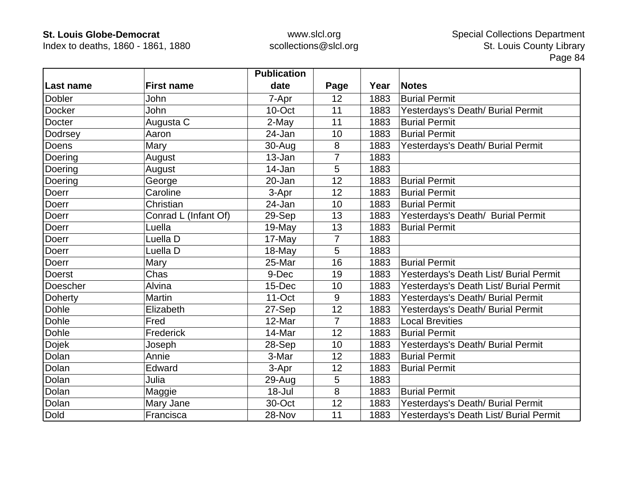Index to deaths, 1860 - 1861, 1880

|               |                      | <b>Publication</b> |                |      |                                        |
|---------------|----------------------|--------------------|----------------|------|----------------------------------------|
| Last name     | <b>First name</b>    | date               | Page           | Year | <b>Notes</b>                           |
| <b>Dobler</b> | John                 | 7-Apr              | 12             | 1883 | <b>Burial Permit</b>                   |
| <b>Docker</b> | John                 | 10-Oct             | 11             | 1883 | Yesterdays's Death/ Burial Permit      |
| Docter        | Augusta C            | 2-May              | 11             | 1883 | <b>Burial Permit</b>                   |
| Dodrsey       | Aaron                | 24-Jan             | 10             | 1883 | <b>Burial Permit</b>                   |
| Doens         | Mary                 | 30-Aug             | 8              | 1883 | Yesterdays's Death/ Burial Permit      |
| Doering       | August               | 13-Jan             | $\overline{7}$ | 1883 |                                        |
| Doering       | August               | 14-Jan             | 5              | 1883 |                                        |
| Doering       | George               | 20-Jan             | 12             | 1883 | <b>Burial Permit</b>                   |
| Doerr         | Caroline             | 3-Apr              | 12             | 1883 | <b>Burial Permit</b>                   |
| Doerr         | Christian            | 24-Jan             | 10             | 1883 | <b>Burial Permit</b>                   |
| Doerr         | Conrad L (Infant Of) | 29-Sep             | 13             | 1883 | Yesterdays's Death/ Burial Permit      |
| Doerr         | Luella               | 19-May             | 13             | 1883 | <b>Burial Permit</b>                   |
| Doerr         | Luella D             | 17-May             | $\overline{7}$ | 1883 |                                        |
| Doerr         | Luella D             | 18-May             | 5              | 1883 |                                        |
| Doerr         | Mary                 | 25-Mar             | 16             | 1883 | <b>Burial Permit</b>                   |
| <b>Doerst</b> | Chas                 | 9-Dec              | 19             | 1883 | Yesterdays's Death List/ Burial Permit |
| Doescher      | Alvina               | 15-Dec             | 10             | 1883 | Yesterdays's Death List/ Burial Permit |
| Doherty       | <b>Martin</b>        | $11$ -Oct          | 9              | 1883 | Yesterdays's Death/ Burial Permit      |
| Dohle         | Elizabeth            | 27-Sep             | 12             | 1883 | Yesterdays's Death/ Burial Permit      |
| Dohle         | Fred                 | 12-Mar             | $\overline{7}$ | 1883 | <b>Local Brevities</b>                 |
| Dohle         | Frederick            | 14-Mar             | 12             | 1883 | <b>Burial Permit</b>                   |
| Dojek         | Joseph               | 28-Sep             | 10             | 1883 | Yesterdays's Death/ Burial Permit      |
| Dolan         | Annie                | 3-Mar              | 12             | 1883 | <b>Burial Permit</b>                   |
| Dolan         | Edward               | 3-Apr              | 12             | 1883 | <b>Burial Permit</b>                   |
| Dolan         | Julia                | 29-Aug             | 5              | 1883 |                                        |
| Dolan         | Maggie               | 18-Jul             | 8              | 1883 | <b>Burial Permit</b>                   |
| Dolan         | Mary Jane            | 30-Oct             | 12             | 1883 | Yesterdays's Death/ Burial Permit      |
| <b>Dold</b>   | Francisca            | 28-Nov             | 11             | 1883 | Yesterdays's Death List/ Burial Permit |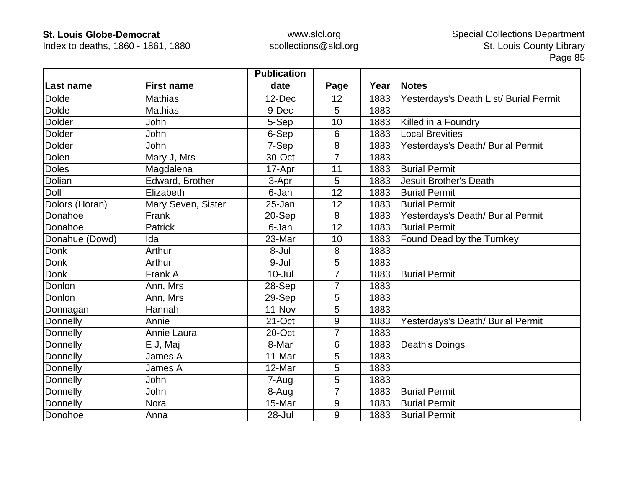Index to deaths, 1860 - 1861, 1880

|                |                    | <b>Publication</b> |                |      |                                        |
|----------------|--------------------|--------------------|----------------|------|----------------------------------------|
| Last name      | <b>First name</b>  | date               | Page           | Year | <b>Notes</b>                           |
| <b>Dolde</b>   | <b>Mathias</b>     | 12-Dec             | 12             | 1883 | Yesterdays's Death List/ Burial Permit |
| <b>Dolde</b>   | <b>Mathias</b>     | 9-Dec              | 5              | 1883 |                                        |
| <b>Dolder</b>  | John               | 5-Sep              | 10             | 1883 | Killed in a Foundry                    |
| <b>Dolder</b>  | John               | 6-Sep              | 6              | 1883 | <b>Local Brevities</b>                 |
| <b>Dolder</b>  | John               | 7-Sep              | 8              | 1883 | Yesterdays's Death/ Burial Permit      |
| Dolen          | Mary J, Mrs        | 30-Oct             | $\overline{7}$ | 1883 |                                        |
| <b>Doles</b>   | Magdalena          | 17-Apr             | 11             | 1883 | <b>Burial Permit</b>                   |
| Dolian         | Edward, Brother    | 3-Apr              | 5              | 1883 | <b>Jesuit Brother's Death</b>          |
| Doll           | Elizabeth          | 6-Jan              | 12             | 1883 | <b>Burial Permit</b>                   |
| Dolors (Horan) | Mary Seven, Sister | 25-Jan             | 12             | 1883 | <b>Burial Permit</b>                   |
| Donahoe        | Frank              | 20-Sep             | 8              | 1883 | Yesterdays's Death/ Burial Permit      |
| Donahoe        | <b>Patrick</b>     | 6-Jan              | 12             | 1883 | <b>Burial Permit</b>                   |
| Donahue (Dowd) | Ida                | 23-Mar             | 10             | 1883 | Found Dead by the Turnkey              |
| <b>Donk</b>    | Arthur             | 8-Jul              | 8              | 1883 |                                        |
| Donk           | Arthur             | 9-Jul              | 5              | 1883 |                                        |
| Donk           | Frank A            | $10 -$ Jul         | $\overline{7}$ | 1883 | <b>Burial Permit</b>                   |
| Donlon         | Ann, Mrs           | 28-Sep             | $\overline{7}$ | 1883 |                                        |
| Donlon         | Ann, Mrs           | 29-Sep             | 5              | 1883 |                                        |
| Donnagan       | Hannah             | 11-Nov             | 5              | 1883 |                                        |
| Donnelly       | Annie              | 21-Oct             | 9              | 1883 | Yesterdays's Death/ Burial Permit      |
| Donnelly       | Annie Laura        | 20-Oct             | $\overline{7}$ | 1883 |                                        |
| Donnelly       | E J, Maj           | 8-Mar              | 6              | 1883 | Death's Doings                         |
| Donnelly       | James A            | 11-Mar             | 5              | 1883 |                                        |
| Donnelly       | James A            | 12-Mar             | 5              | 1883 |                                        |
| Donnelly       | John               | 7-Aug              | 5              | 1883 |                                        |
| Donnelly       | John               | 8-Aug              | 7              | 1883 | <b>Burial Permit</b>                   |
| Donnelly       | Nora               | 15-Mar             | 9              | 1883 | <b>Burial Permit</b>                   |
| Donohoe        | Anna               | 28-Jul             | 9              | 1883 | <b>Burial Permit</b>                   |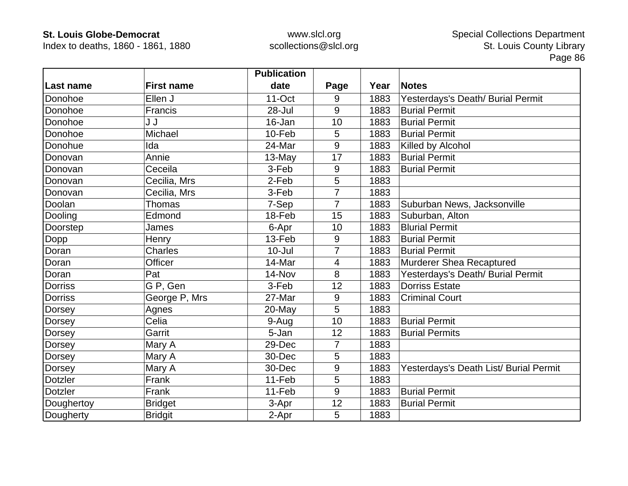Index to deaths, 1860 - 1861, 1880

|                |                   | <b>Publication</b> |                |      |                                        |
|----------------|-------------------|--------------------|----------------|------|----------------------------------------|
| Last name      | <b>First name</b> | date               | Page           | Year | <b>Notes</b>                           |
| Donohoe        | Ellen J           | $11$ -Oct          | 9              | 1883 | Yesterdays's Death/ Burial Permit      |
| Donohoe        | Francis           | 28-Jul             | 9              | 1883 | <b>Burial Permit</b>                   |
| Donohoe        | J J               | 16-Jan             | 10             | 1883 | <b>Burial Permit</b>                   |
| Donohoe        | Michael           | 10-Feb             | 5              | 1883 | <b>Burial Permit</b>                   |
| Donohue        | Ida               | 24-Mar             | 9              | 1883 | Killed by Alcohol                      |
| Donovan        | Annie             | 13-May             | 17             | 1883 | <b>Burial Permit</b>                   |
| Donovan        | Ceceila           | 3-Feb              | 9              | 1883 | <b>Burial Permit</b>                   |
| Donovan        | Cecilia, Mrs      | 2-Feb              | 5              | 1883 |                                        |
| Donovan        | Cecilia, Mrs      | 3-Feb              | 7              | 1883 |                                        |
| Doolan         | Thomas            | 7-Sep              | $\overline{7}$ | 1883 | Suburban News, Jacksonville            |
| Dooling        | Edmond            | 18-Feb             | 15             | 1883 | Suburban, Alton                        |
| Doorstep       | James             | 6-Apr              | 10             | 1883 | <b>Blurial Permit</b>                  |
| Dopp           | Henry             | 13-Feb             | 9              | 1883 | <b>Burial Permit</b>                   |
| Doran          | <b>Charles</b>    | $10 -$ Jul         | $\overline{7}$ | 1883 | <b>Burial Permit</b>                   |
| Doran          | Officer           | 14-Mar             | 4              | 1883 | Murderer Shea Recaptured               |
| Doran          | Pat               | 14-Nov             | 8              | 1883 | Yesterdays's Death/ Burial Permit      |
| <b>Dorriss</b> | G P, Gen          | 3-Feb              | 12             | 1883 | <b>Dorriss Estate</b>                  |
| <b>Dorriss</b> | George P, Mrs     | 27-Mar             | 9              | 1883 | <b>Criminal Court</b>                  |
| Dorsey         | Agnes             | 20-May             | 5              | 1883 |                                        |
| Dorsey         | Celia             | 9-Aug              | 10             | 1883 | <b>Burial Permit</b>                   |
| Dorsey         | Garrit            | 5-Jan              | 12             | 1883 | <b>Burial Permits</b>                  |
| Dorsey         | Mary A            | 29-Dec             | 7              | 1883 |                                        |
| Dorsey         | Mary A            | 30-Dec             | 5              | 1883 |                                        |
| Dorsey         | Mary A            | 30-Dec             | 9              | 1883 | Yesterdays's Death List/ Burial Permit |
| <b>Dotzler</b> | Frank             | 11-Feb             | 5              | 1883 |                                        |
| <b>Dotzler</b> | Frank             | 11-Feb             | 9              | 1883 | <b>Burial Permit</b>                   |
| Doughertoy     | <b>Bridget</b>    | 3-Apr              | 12             | 1883 | <b>Burial Permit</b>                   |
| Dougherty      | <b>Bridgit</b>    | 2-Apr              | 5              | 1883 |                                        |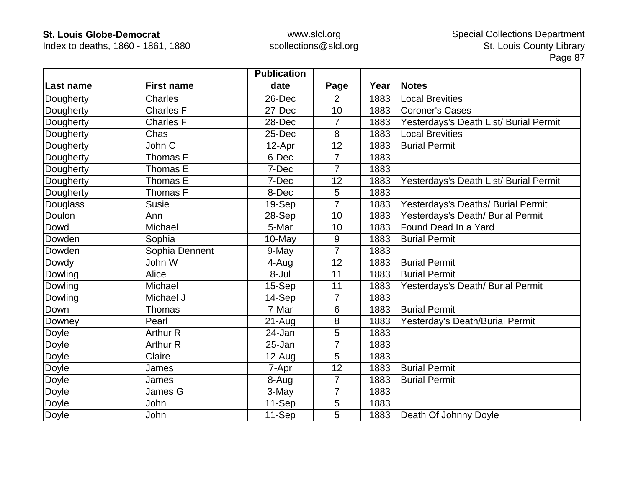Index to deaths, 1860 - 1861, 1880

|              |                   | <b>Publication</b> |                |      |                                        |
|--------------|-------------------|--------------------|----------------|------|----------------------------------------|
| Last name    | <b>First name</b> | date               | Page           | Year | <b>Notes</b>                           |
| Dougherty    | <b>Charles</b>    | 26-Dec             | $\overline{2}$ | 1883 | <b>Local Brevities</b>                 |
| Dougherty    | <b>Charles F</b>  | 27-Dec             | 10             | 1883 | <b>Coroner's Cases</b>                 |
| Dougherty    | <b>Charles F</b>  | 28-Dec             | 7              | 1883 | Yesterdays's Death List/ Burial Permit |
| Dougherty    | Chas              | 25-Dec             | 8              | 1883 | <b>Local Brevities</b>                 |
| Dougherty    | John C            | 12-Apr             | 12             | 1883 | <b>Burial Permit</b>                   |
| Dougherty    | Thomas E          | 6-Dec              | 7              | 1883 |                                        |
| Dougherty    | Thomas E          | 7-Dec              | 7              | 1883 |                                        |
| Dougherty    | Thomas E          | 7-Dec              | 12             | 1883 | Yesterdays's Death List/ Burial Permit |
| Dougherty    | Thomas F          | 8-Dec              | 5              | 1883 |                                        |
| Douglass     | <b>Susie</b>      | 19-Sep             | $\overline{7}$ | 1883 | Yesterdays's Deaths/ Burial Permit     |
| Doulon       | Ann               | 28-Sep             | 10             | 1883 | Yesterdays's Death/ Burial Permit      |
| Dowd         | Michael           | 5-Mar              | 10             | 1883 | Found Dead In a Yard                   |
| Dowden       | Sophia            | 10-May             | 9              | 1883 | <b>Burial Permit</b>                   |
| Dowden       | Sophia Dennent    | 9-May              | $\overline{7}$ | 1883 |                                        |
| Dowdy        | John W            | 4-Aug              | 12             | 1883 | <b>Burial Permit</b>                   |
| Dowling      | Alice             | 8-Jul              | 11             | 1883 | <b>Burial Permit</b>                   |
| Dowling      | Michael           | 15-Sep             | 11             | 1883 | Yesterdays's Death/ Burial Permit      |
| Dowling      | Michael J         | 14-Sep             | $\overline{7}$ | 1883 |                                        |
| Down         | Thomas            | 7-Mar              | 6              | 1883 | <b>Burial Permit</b>                   |
| Downey       | Pearl             | $21 - Aug$         | 8              | 1883 | Yesterday's Death/Burial Permit        |
| Doyle        | <b>Arthur R</b>   | 24-Jan             | 5              | 1883 |                                        |
| Doyle        | <b>Arthur R</b>   | 25-Jan             | $\overline{7}$ | 1883 |                                        |
| Doyle        | Claire            | 12-Aug             | 5              | 1883 |                                        |
| Doyle        | James             | 7-Apr              | 12             | 1883 | <b>Burial Permit</b>                   |
| Doyle        | James             | 8-Aug              | $\overline{7}$ | 1883 | <b>Burial Permit</b>                   |
| Doyle        | James G           | 3-May              | 7              | 1883 |                                        |
| <b>Doyle</b> | John              | 11-Sep             | 5              | 1883 |                                        |
| Doyle        | John              | 11-Sep             | 5              | 1883 | Death Of Johnny Doyle                  |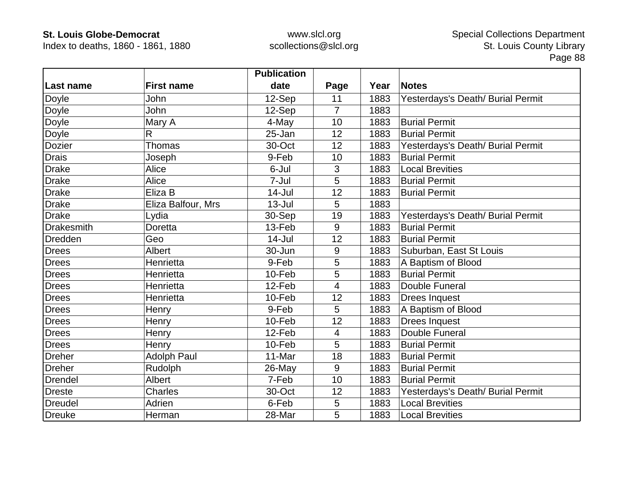Index to deaths, 1860 - 1861, 1880

|                   |                    | <b>Publication</b> |                |      |                                   |
|-------------------|--------------------|--------------------|----------------|------|-----------------------------------|
| Last name         | <b>First name</b>  | date               | Page           | Year | <b>Notes</b>                      |
| Doyle             | John               | 12-Sep             | 11             | 1883 | Yesterdays's Death/ Burial Permit |
| Doyle             | <b>John</b>        | 12-Sep             | $\overline{7}$ | 1883 |                                   |
| Doyle             | Mary A             | 4-May              | 10             | 1883 | <b>Burial Permit</b>              |
| Doyle             | R                  | 25-Jan             | 12             | 1883 | <b>Burial Permit</b>              |
| Dozier            | Thomas             | 30-Oct             | 12             | 1883 | Yesterdays's Death/ Burial Permit |
| <b>Drais</b>      | Joseph             | 9-Feb              | 10             | 1883 | <b>Burial Permit</b>              |
| <b>Drake</b>      | Alice              | 6-Jul              | 3              | 1883 | <b>Local Brevities</b>            |
| <b>Drake</b>      | Alice              | 7-Jul              | 5              | 1883 | <b>Burial Permit</b>              |
| <b>Drake</b>      | Eliza B            | $14$ -Jul          | 12             | 1883 | <b>Burial Permit</b>              |
| <b>Drake</b>      | Eliza Balfour, Mrs | $13 -$ Jul         | 5              | 1883 |                                   |
| <b>Drake</b>      | Lydia              | 30-Sep             | 19             | 1883 | Yesterdays's Death/ Burial Permit |
| <b>Drakesmith</b> | <b>Doretta</b>     | 13-Feb             | 9              | 1883 | <b>Burial Permit</b>              |
| <b>Dredden</b>    | Geo                | $14 -$ Jul         | 12             | 1883 | <b>Burial Permit</b>              |
| Drees             | <b>Albert</b>      | 30-Jun             | 9              | 1883 | Suburban, East St Louis           |
| Drees             | Henrietta          | 9-Feb              | 5              | 1883 | A Baptism of Blood                |
| <b>Drees</b>      | Henrietta          | 10-Feb             | 5              | 1883 | <b>Burial Permit</b>              |
| Drees             | Henrietta          | 12-Feb             | $\overline{4}$ | 1883 | Double Funeral                    |
| <b>Drees</b>      | Henrietta          | 10-Feb             | 12             | 1883 | <b>Drees Inquest</b>              |
| <b>Drees</b>      | Henry              | 9-Feb              | 5              | 1883 | A Baptism of Blood                |
| <b>Drees</b>      | Henry              | 10-Feb             | 12             | 1883 | <b>Drees Inquest</b>              |
| Drees             | Henry              | 12-Feb             | $\overline{4}$ | 1883 | Double Funeral                    |
| <b>Drees</b>      | Henry              | 10-Feb             | 5              | 1883 | <b>Burial Permit</b>              |
| <b>Dreher</b>     | <b>Adolph Paul</b> | 11-Mar             | 18             | 1883 | <b>Burial Permit</b>              |
| <b>Dreher</b>     | Rudolph            | 26-May             | 9              | 1883 | <b>Burial Permit</b>              |
| <b>Drendel</b>    | Albert             | 7-Feb              | 10             | 1883 | <b>Burial Permit</b>              |
| <b>Dreste</b>     | <b>Charles</b>     | 30-Oct             | 12             | 1883 | Yesterdays's Death/ Burial Permit |
| Dreudel           | Adrien             | 6-Feb              | 5              | 1883 | <b>Local Brevities</b>            |
| <b>Dreuke</b>     | Herman             | 28-Mar             | 5              | 1883 | <b>Local Brevities</b>            |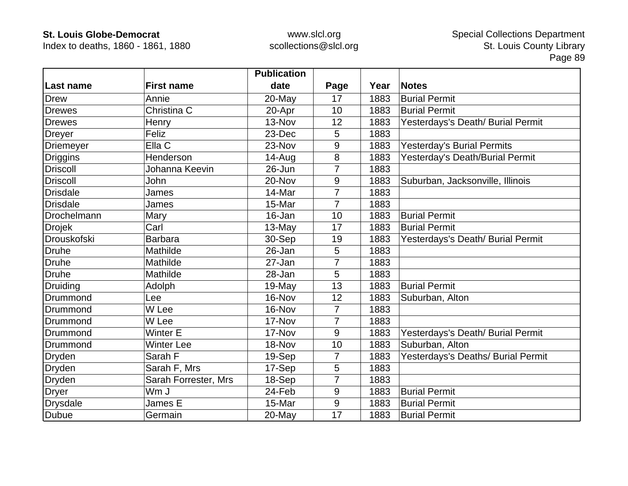Index to deaths, 1860 - 1861, 1880

|                  |                      | <b>Publication</b> |                |      |                                    |
|------------------|----------------------|--------------------|----------------|------|------------------------------------|
| Last name        | <b>First name</b>    | date               | Page           | Year | <b>Notes</b>                       |
| <b>Drew</b>      | Annie                | 20-May             | 17             | 1883 | <b>Burial Permit</b>               |
| <b>Drewes</b>    | Christina C          | 20-Apr             | 10             | 1883 | <b>Burial Permit</b>               |
| <b>Drewes</b>    | Henry                | 13-Nov             | 12             | 1883 | Yesterdays's Death/ Burial Permit  |
| Dreyer           | Feliz                | 23-Dec             | 5              | 1883 |                                    |
| <b>Driemeyer</b> | Ella C               | 23-Nov             | 9              | 1883 | <b>Yesterday's Burial Permits</b>  |
| <b>Driggins</b>  | Henderson            | 14-Aug             | 8              | 1883 | Yesterday's Death/Burial Permit    |
| <b>Driscoll</b>  | Johanna Keevin       | 26-Jun             | 7              | 1883 |                                    |
| <b>Driscoll</b>  | John                 | 20-Nov             | 9              | 1883 | Suburban, Jacksonville, Illinois   |
| <b>Drisdale</b>  | James                | 14-Mar             | 7              | 1883 |                                    |
| <b>Drisdale</b>  | James                | 15-Mar             | $\overline{7}$ | 1883 |                                    |
| Drochelmann      | Mary                 | 16-Jan             | 10             | 1883 | <b>Burial Permit</b>               |
| <b>Drojek</b>    | Carl                 | 13-May             | 17             | 1883 | <b>Burial Permit</b>               |
| Drouskofski      | <b>Barbara</b>       | 30-Sep             | 19             | 1883 | Yesterdays's Death/ Burial Permit  |
| <b>Druhe</b>     | Mathilde             | 26-Jan             | 5              | 1883 |                                    |
| <b>Druhe</b>     | Mathilde             | 27-Jan             | 7              | 1883 |                                    |
| <b>Druhe</b>     | Mathilde             | 28-Jan             | 5              | 1883 |                                    |
| Druiding         | Adolph               | $19-May$           | 13             | 1883 | <b>Burial Permit</b>               |
| Drummond         | Lee                  | 16-Nov             | 12             | 1883 | Suburban, Alton                    |
| Drummond         | W Lee                | 16-Nov             | 7              | 1883 |                                    |
| Drummond         | W Lee                | 17-Nov             | $\overline{7}$ | 1883 |                                    |
| Drummond         | <b>Winter E</b>      | 17-Nov             | 9              | 1883 | Yesterdays's Death/ Burial Permit  |
| Drummond         | <b>Winter Lee</b>    | 18-Nov             | 10             | 1883 | Suburban, Alton                    |
| <b>Dryden</b>    | Sarah F              | 19-Sep             | $\overline{7}$ | 1883 | Yesterdays's Deaths/ Burial Permit |
| <b>Dryden</b>    | Sarah F, Mrs         | 17-Sep             | 5              | 1883 |                                    |
| <b>Dryden</b>    | Sarah Forrester, Mrs | 18-Sep             | 7              | 1883 |                                    |
| <b>Dryer</b>     | Wm J                 | 24-Feb             | 9              | 1883 | <b>Burial Permit</b>               |
| <b>Drysdale</b>  | James E              | 15-Mar             | 9              | 1883 | <b>Burial Permit</b>               |
| <b>Dubue</b>     | Germain              | 20-May             | 17             | 1883 | <b>Burial Permit</b>               |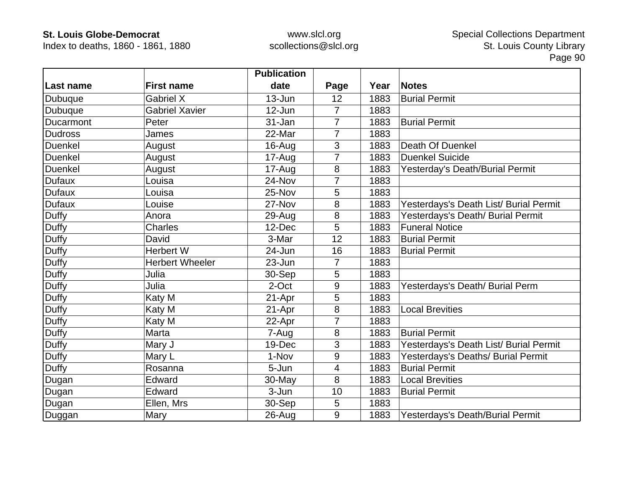Index to deaths, 1860 - 1861, 1880

|                |                        | <b>Publication</b> |                |      |                                        |
|----------------|------------------------|--------------------|----------------|------|----------------------------------------|
| ∣Last name     | <b>First name</b>      | date               | Page           | Year | <b>Notes</b>                           |
| <b>Dubuque</b> | <b>Gabriel X</b>       | $13 - Jun$         | 12             | 1883 | <b>Burial Permit</b>                   |
| <b>Dubuque</b> | <b>Gabriel Xavier</b>  | 12-Jun             | $\overline{7}$ | 1883 |                                        |
| Ducarmont      | Peter                  | 31-Jan             | 7              | 1883 | <b>Burial Permit</b>                   |
| <b>Dudross</b> | James                  | 22-Mar             | $\overline{7}$ | 1883 |                                        |
| <b>Duenkel</b> | August                 | 16-Aug             | $\mathfrak{S}$ | 1883 | <b>Death Of Duenkel</b>                |
| <b>Duenkel</b> | August                 | 17-Aug             | $\overline{7}$ | 1883 | <b>Duenkel Suicide</b>                 |
| <b>Duenkel</b> | August                 | 17-Aug             | 8              | 1883 | Yesterday's Death/Burial Permit        |
| <b>Dufaux</b>  | Louisa                 | 24-Nov             | $\overline{7}$ | 1883 |                                        |
| <b>Dufaux</b>  | Louisa                 | 25-Nov             | 5              | 1883 |                                        |
| <b>Dufaux</b>  | Louise                 | 27-Nov             | 8              | 1883 | Yesterdays's Death List/ Burial Permit |
| Duffy          | Anora                  | $29 - Aug$         | 8              | 1883 | Yesterdays's Death/ Burial Permit      |
| <b>Duffy</b>   | <b>Charles</b>         | 12-Dec             | 5              | 1883 | <b>Funeral Notice</b>                  |
| Duffy          | David                  | 3-Mar              | 12             | 1883 | <b>Burial Permit</b>                   |
| <b>Duffy</b>   | <b>Herbert W</b>       | 24-Jun             | 16             | 1883 | <b>Burial Permit</b>                   |
| Duffy          | <b>Herbert Wheeler</b> | 23-Jun             | 7              | 1883 |                                        |
| <b>Duffy</b>   | Julia                  | 30-Sep             | 5              | 1883 |                                        |
| <b>Duffy</b>   | Julia                  | 2-Oct              | 9              | 1883 | Yesterdays's Death/ Burial Perm        |
| <b>Duffy</b>   | Katy M                 | 21-Apr             | 5              | 1883 |                                        |
| <b>Duffy</b>   | Katy M                 | 21-Apr             | 8              | 1883 | <b>Local Brevities</b>                 |
| <b>Duffy</b>   | Katy M                 | 22-Apr             | 7              | 1883 |                                        |
| <b>Duffy</b>   | Marta                  | 7-Aug              | 8              | 1883 | <b>Burial Permit</b>                   |
| Duffy          | Mary J                 | 19-Dec             | 3              | 1883 | Yesterdays's Death List/ Burial Permit |
| Duffy          | Mary L                 | 1-Nov              | 9              | 1883 | Yesterdays's Deaths/ Burial Permit     |
| <b>Duffy</b>   | Rosanna                | 5-Jun              | 4              | 1883 | <b>Burial Permit</b>                   |
| Dugan          | Edward                 | 30-May             | 8              | 1883 | <b>Local Brevities</b>                 |
| Dugan          | Edward                 | 3-Jun              | 10             | 1883 | <b>Burial Permit</b>                   |
| Dugan          | Ellen, Mrs             | 30-Sep             | 5              | 1883 |                                        |
| Duggan         | Mary                   | 26-Aug             | 9              | 1883 | Yesterdays's Death/Burial Permit       |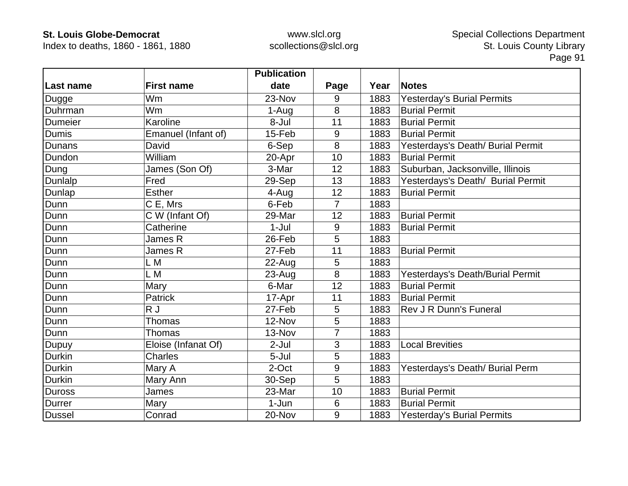Index to deaths, 1860 - 1861, 1880

|                |                     | <b>Publication</b> |                |      |                                   |
|----------------|---------------------|--------------------|----------------|------|-----------------------------------|
| Last name      | <b>First name</b>   | date               | Page           | Year | <b>Notes</b>                      |
| Dugge          | Wm                  | 23-Nov             | 9              | 1883 | <b>Yesterday's Burial Permits</b> |
| Duhrman        | <b>Wm</b>           | 1-Aug              | 8              | 1883 | <b>Burial Permit</b>              |
| <b>Dumeier</b> | Karoline            | 8-Jul              | 11             | 1883 | <b>Burial Permit</b>              |
| <b>Dumis</b>   | Emanuel (Infant of) | 15-Feb             | 9              | 1883 | <b>Burial Permit</b>              |
| <b>Dunans</b>  | David               | 6-Sep              | 8              | 1883 | Yesterdays's Death/ Burial Permit |
| Dundon         | William             | 20-Apr             | 10             | 1883 | <b>Burial Permit</b>              |
| Dung           | James (Son Of)      | 3-Mar              | 12             | 1883 | Suburban, Jacksonville, Illinois  |
| Dunlalp        | Fred                | 29-Sep             | 13             | 1883 | Yesterdays's Death/ Burial Permit |
| Dunlap         | <b>Esther</b>       | 4-Aug              | 12             | 1883 | <b>Burial Permit</b>              |
| Dunn           | C E, Mrs            | 6-Feb              | $\overline{7}$ | 1883 |                                   |
| Dunn           | C W (Infant Of)     | 29-Mar             | 12             | 1883 | <b>Burial Permit</b>              |
| Dunn           | Catherine           | $1-Jul$            | 9              | 1883 | <b>Burial Permit</b>              |
| Dunn           | James R             | 26-Feb             | 5              | 1883 |                                   |
| Dunn           | James R             | 27-Feb             | 11             | 1883 | <b>Burial Permit</b>              |
| Dunn           | L M                 | 22-Aug             | 5              | 1883 |                                   |
| Dunn           | L M                 | $23 - Aug$         | 8              | 1883 | Yesterdays's Death/Burial Permit  |
| Dunn           | Mary                | 6-Mar              | 12             | 1883 | <b>Burial Permit</b>              |
| Dunn           | <b>Patrick</b>      | 17-Apr             | 11             | 1883 | <b>Burial Permit</b>              |
| Dunn           | R J                 | 27-Feb             | 5              | 1883 | Rev J R Dunn's Funeral            |
| Dunn           | Thomas              | 12-Nov             | 5              | 1883 |                                   |
| Dunn           | <b>Thomas</b>       | 13-Nov             | 7              | 1883 |                                   |
| Dupuy          | Eloise (Infanat Of) | 2-Jul              | 3              | 1883 | <b>Local Brevities</b>            |
| Durkin         | <b>Charles</b>      | 5-Jul              | 5              | 1883 |                                   |
| <b>Durkin</b>  | Mary A              | 2-Oct              | 9              | 1883 | Yesterdays's Death/ Burial Perm   |
| <b>Durkin</b>  | Mary Ann            | 30-Sep             | 5              | 1883 |                                   |
| <b>Duross</b>  | James               | 23-Mar             | 10             | 1883 | <b>Burial Permit</b>              |
| Durrer         | Mary                | 1-Jun              | 6              | 1883 | <b>Burial Permit</b>              |
| Dussel         | Conrad              | 20-Nov             | 9              | 1883 | <b>Yesterday's Burial Permits</b> |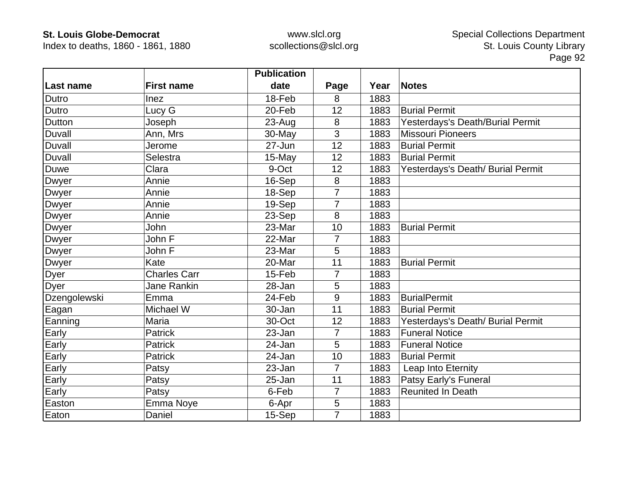Index to deaths, 1860 - 1861, 1880

|               |                     | <b>Publication</b> |                |      |                                   |
|---------------|---------------------|--------------------|----------------|------|-----------------------------------|
| Last name     | <b>First name</b>   | date               | Page           | Year | <b>Notes</b>                      |
| Dutro         | Inez                | 18-Feb             | 8              | 1883 |                                   |
| Dutro         | Lucy G              | 20-Feb             | 12             | 1883 | <b>Burial Permit</b>              |
| Dutton        | Joseph              | 23-Aug             | 8              | 1883 | Yesterdays's Death/Burial Permit  |
| Duvall        | Ann, Mrs            | 30-May             | 3              | 1883 | <b>Missouri Pioneers</b>          |
| <b>Duvall</b> | Jerome              | 27-Jun             | 12             | 1883 | <b>Burial Permit</b>              |
| Duvall        | Selestra            | 15-May             | 12             | 1883 | <b>Burial Permit</b>              |
| Duwe          | Clara               | 9-Oct              | 12             | 1883 | Yesterdays's Death/ Burial Permit |
| Dwyer         | Annie               | 16-Sep             | 8              | 1883 |                                   |
| Dwyer         | Annie               | 18-Sep             | 7              | 1883 |                                   |
| <b>Dwyer</b>  | Annie               | 19-Sep             | $\overline{7}$ | 1883 |                                   |
| <b>Dwyer</b>  | Annie               | 23-Sep             | 8              | 1883 |                                   |
| Dwyer         | <b>John</b>         | 23-Mar             | 10             | 1883 | <b>Burial Permit</b>              |
| Dwyer         | John F              | 22-Mar             | 7              | 1883 |                                   |
| Dwyer         | John F              | 23-Mar             | 5              | 1883 |                                   |
| Dwyer         | Kate                | 20-Mar             | 11             | 1883 | <b>Burial Permit</b>              |
| Dyer          | <b>Charles Carr</b> | 15-Feb             | 7              | 1883 |                                   |
| Dyer          | Jane Rankin         | 28-Jan             | 5              | 1883 |                                   |
| Dzengolewski  | Emma                | 24-Feb             | 9              | 1883 | <b>BurialPermit</b>               |
| Eagan         | Michael W           | 30-Jan             | 11             | 1883 | <b>Burial Permit</b>              |
| Eanning       | Maria               | 30-Oct             | 12             | 1883 | Yesterdays's Death/ Burial Permit |
| Early         | <b>Patrick</b>      | 23-Jan             | 7              | 1883 | <b>Funeral Notice</b>             |
| Early         | <b>Patrick</b>      | 24-Jan             | 5              | 1883 | <b>Funeral Notice</b>             |
| Early         | <b>Patrick</b>      | 24-Jan             | 10             | 1883 | <b>Burial Permit</b>              |
| Early         | Patsy               | 23-Jan             | $\overline{7}$ | 1883 | Leap Into Eternity                |
| Early         | Patsy               | 25-Jan             | 11             | 1883 | Patsy Early's Funeral             |
| Early         | Patsy               | 6-Feb              | $\overline{7}$ | 1883 | <b>Reunited In Death</b>          |
| Easton        | Emma Noye           | 6-Apr              | 5              | 1883 |                                   |
| Eaton         | Daniel              | 15-Sep             | $\overline{7}$ | 1883 |                                   |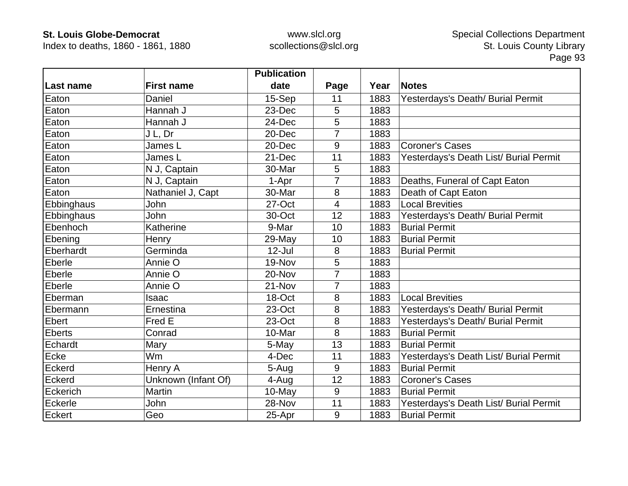Index to deaths, 1860 - 1861, 1880

|                   |                     | <b>Publication</b> |                |      |                                        |
|-------------------|---------------------|--------------------|----------------|------|----------------------------------------|
| Last name         | <b>First name</b>   | date               | Page           | Year | <b>Notes</b>                           |
| Eaton             | Daniel              | 15-Sep             | 11             | 1883 | Yesterdays's Death/ Burial Permit      |
| Eaton             | Hannah J            | 23-Dec             | 5              | 1883 |                                        |
| Eaton             | Hannah J            | 24-Dec             | 5              | 1883 |                                        |
| Eaton             | J L, Dr             | 20-Dec             | 7              | 1883 |                                        |
| Eaton             | James L             | 20-Dec             | 9              | 1883 | <b>Coroner's Cases</b>                 |
| Eaton             | James L             | 21-Dec             | 11             | 1883 | Yesterdays's Death List/ Burial Permit |
| Eaton             | N J, Captain        | 30-Mar             | 5              | 1883 |                                        |
| Eaton             | N J, Captain        | 1-Apr              | $\overline{7}$ | 1883 | Deaths, Funeral of Capt Eaton          |
| Eaton             | Nathaniel J, Capt   | 30-Mar             | 8              | 1883 | Death of Capt Eaton                    |
| <b>Ebbinghaus</b> | <b>John</b>         | 27-Oct             | $\overline{4}$ | 1883 | <b>Local Brevities</b>                 |
| <b>Ebbinghaus</b> | John                | 30-Oct             | 12             | 1883 | Yesterdays's Death/ Burial Permit      |
| Ebenhoch          | Katherine           | 9-Mar              | 10             | 1883 | <b>Burial Permit</b>                   |
| Ebening           | Henry               | 29-May             | 10             | 1883 | <b>Burial Permit</b>                   |
| Eberhardt         | Germinda            | $12$ -Jul          | 8              | 1883 | <b>Burial Permit</b>                   |
| Eberle            | Annie O             | 19-Nov             | 5              | 1883 |                                        |
| Eberle            | Annie O             | 20-Nov             | $\overline{7}$ | 1883 |                                        |
| Eberle            | Annie O             | 21-Nov             | $\overline{7}$ | 1883 |                                        |
| Eberman           | Isaac               | 18-Oct             | 8              | 1883 | <b>Local Brevities</b>                 |
| Ebermann          | Ernestina           | 23-Oct             | 8              | 1883 | Yesterdays's Death/ Burial Permit      |
| Ebert             | Fred E              | 23-Oct             | 8              | 1883 | Yesterdays's Death/ Burial Permit      |
| <b>Eberts</b>     | Conrad              | 10-Mar             | 8              | 1883 | <b>Burial Permit</b>                   |
| Echardt           | Mary                | 5-May              | 13             | 1883 | <b>Burial Permit</b>                   |
| Ecke              | Wm                  | 4-Dec              | 11             | 1883 | Yesterdays's Death List/ Burial Permit |
| Eckerd            | Henry A             | 5-Aug              | 9              | 1883 | <b>Burial Permit</b>                   |
| Eckerd            | Unknown (Infant Of) | 4-Aug              | 12             | 1883 | <b>Coroner's Cases</b>                 |
| Eckerich          | Martin              | 10-May             | 9              | 1883 | <b>Burial Permit</b>                   |
| Eckerle           | John                | 28-Nov             | 11             | 1883 | Yesterdays's Death List/ Burial Permit |
| Eckert            | Geo                 | 25-Apr             | 9              | 1883 | <b>Burial Permit</b>                   |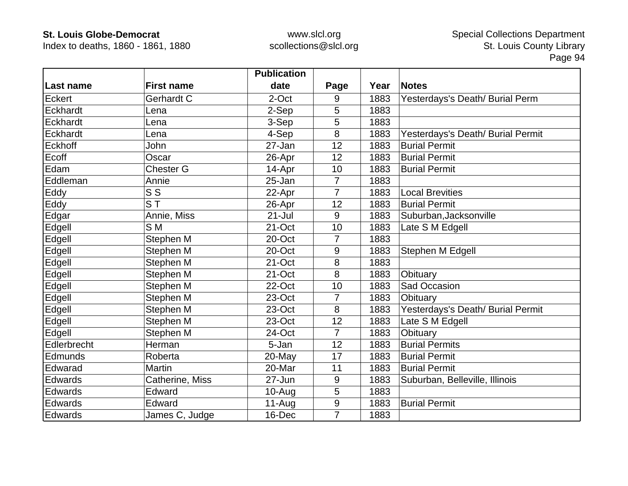Index to deaths, 1860 - 1861, 1880

|             |                                    | <b>Publication</b> |                  |      |                                   |
|-------------|------------------------------------|--------------------|------------------|------|-----------------------------------|
| Last name   | <b>First name</b>                  | date               | Page             | Year | <b>Notes</b>                      |
| Eckert      | Gerhardt C                         | 2-Oct              | 9                | 1883 | Yesterdays's Death/ Burial Perm   |
| Eckhardt    | Lena                               | 2-Sep              | 5                | 1883 |                                   |
| Eckhardt    | Lena                               | 3-Sep              | 5                | 1883 |                                   |
| Eckhardt    | Lena                               | 4-Sep              | 8                | 1883 | Yesterdays's Death/ Burial Permit |
| Eckhoff     | John                               | 27-Jan             | 12               | 1883 | <b>Burial Permit</b>              |
| Ecoff       | Oscar                              | 26-Apr             | 12               | 1883 | <b>Burial Permit</b>              |
| Edam        | <b>Chester G</b>                   | 14-Apr             | 10               | 1883 | <b>Burial Permit</b>              |
| Eddleman    | Annie                              | 25-Jan             | $\overline{7}$   | 1883 |                                   |
| Eddy        | S S                                | 22-Apr             | 7                | 1883 | <b>Local Brevities</b>            |
| Eddy        | $\overline{\mathsf{S} \mathsf{T}}$ | 26-Apr             | 12               | 1883 | <b>Burial Permit</b>              |
| Edgar       | Annie, Miss                        | $21 -$ Jul         | 9                | 1883 | Suburban, Jacksonville            |
| Edgell      | S M                                | 21-Oct             | 10               | 1883 | Late S M Edgell                   |
| Edgell      | Stephen M                          | 20-Oct             | 7                | 1883 |                                   |
| Edgell      | Stephen M                          | 20-Oct             | 9                | 1883 | Stephen M Edgell                  |
| Edgell      | Stephen M                          | 21-Oct             | 8                | 1883 |                                   |
| Edgell      | Stephen M                          | 21-Oct             | 8                | 1883 | Obituary                          |
| Edgell      | Stephen M                          | 22-Oct             | 10               | 1883 | Sad Occasion                      |
| Edgell      | Stephen M                          | 23-Oct             | $\overline{7}$   | 1883 | Obituary                          |
| Edgell      | Stephen M                          | 23-Oct             | 8                | 1883 | Yesterdays's Death/ Burial Permit |
| Edgell      | Stephen M                          | 23-Oct             | 12               | 1883 | Late S M Edgell                   |
| Edgell      | Stephen M                          | 24-Oct             | $\overline{7}$   | 1883 | Obituary                          |
| Edlerbrecht | Herman                             | 5-Jan              | 12               | 1883 | <b>Burial Permits</b>             |
| Edmunds     | Roberta                            | 20-May             | 17               | 1883 | <b>Burial Permit</b>              |
| Edwarad     | Martin                             | 20-Mar             | 11               | 1883 | <b>Burial Permit</b>              |
| Edwards     | Catherine, Miss                    | 27-Jun             | 9                | 1883 | Suburban, Belleville, Illinois    |
| Edwards     | Edward                             | $10-Au$ g          | 5                | 1883 |                                   |
| Edwards     | Edward                             | $11-Au$ g          | $\boldsymbol{9}$ | 1883 | <b>Burial Permit</b>              |
| Edwards     | James C, Judge                     | 16-Dec             | $\overline{7}$   | 1883 |                                   |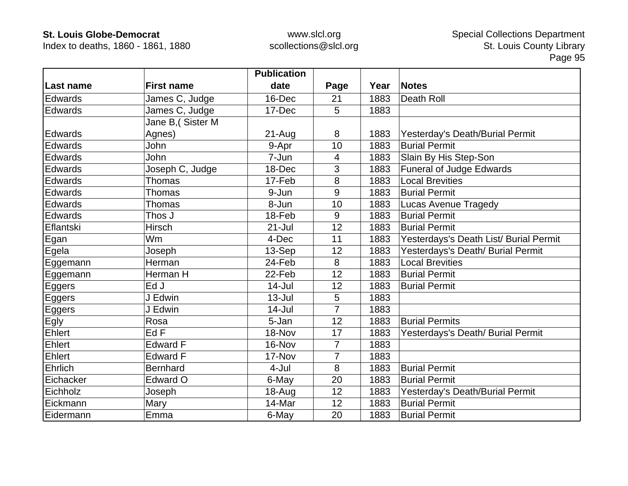Index to deaths, 1860 - 1861, 1880

|           |                   | <b>Publication</b> |                |      |                                        |
|-----------|-------------------|--------------------|----------------|------|----------------------------------------|
| Last name | <b>First name</b> | date               | Page           | Year | <b>Notes</b>                           |
| Edwards   | James C, Judge    | 16-Dec             | 21             | 1883 | Death Roll                             |
| Edwards   | James C, Judge    | 17-Dec             | 5              | 1883 |                                        |
|           | Jane B, (Sister M |                    |                |      |                                        |
| Edwards   | Agnes)            | $21 - Aug$         | 8              | 1883 | Yesterday's Death/Burial Permit        |
| Edwards   | John              | 9-Apr              | 10             | 1883 | <b>Burial Permit</b>                   |
| Edwards   | John              | 7-Jun              | 4              | 1883 | Slain By His Step-Son                  |
| Edwards   | Joseph C, Judge   | 18-Dec             | 3              | 1883 | <b>Funeral of Judge Edwards</b>        |
| Edwards   | <b>Thomas</b>     | 17-Feb             | 8              | 1883 | <b>Local Brevities</b>                 |
| Edwards   | Thomas            | 9-Jun              | 9              | 1883 | <b>Burial Permit</b>                   |
| Edwards   | Thomas            | 8-Jun              | 10             | 1883 | <b>Lucas Avenue Tragedy</b>            |
| Edwards   | Thos J            | 18-Feb             | 9              | 1883 | <b>Burial Permit</b>                   |
| Eflantski | <b>Hirsch</b>     | $21 -$ Jul         | 12             | 1883 | <b>Burial Permit</b>                   |
| Egan      | Wm                | 4-Dec              | 11             | 1883 | Yesterdays's Death List/ Burial Permit |
| Egela     | Joseph            | 13-Sep             | 12             | 1883 | Yesterdays's Death/ Burial Permit      |
| Eggemann  | Herman            | 24-Feb             | 8              | 1883 | <b>Local Brevities</b>                 |
| Eggemann  | Herman H          | 22-Feb             | 12             | 1883 | <b>Burial Permit</b>                   |
| Eggers    | Ed J              | 14-Jul             | 12             | 1883 | <b>Burial Permit</b>                   |
| Eggers    | J Edwin           | $13 -$ Jul         | 5              | 1883 |                                        |
| Eggers    | J Edwin           | $14$ -Jul          | 7              | 1883 |                                        |
| Egly      | Rosa              | 5-Jan              | 12             | 1883 | <b>Burial Permits</b>                  |
| Ehlert    | EdF               | 18-Nov             | 17             | 1883 | Yesterdays's Death/ Burial Permit      |
| Ehlert    | <b>Edward F</b>   | 16-Nov             | $\overline{7}$ | 1883 |                                        |
| Ehlert    | <b>Edward F</b>   | 17-Nov             | 7              | 1883 |                                        |
| Ehrlich   | <b>Bernhard</b>   | $4 -$ Jul          | 8              | 1883 | <b>Burial Permit</b>                   |
| Eichacker | Edward O          | 6-May              | 20             | 1883 | <b>Burial Permit</b>                   |
| Eichholz  | Joseph            | 18-Aug             | 12             | 1883 | Yesterday's Death/Burial Permit        |
| Eickmann  | Mary              | 14-Mar             | 12             | 1883 | <b>Burial Permit</b>                   |
| Eidermann | Emma              | 6-May              | 20             | 1883 | <b>Burial Permit</b>                   |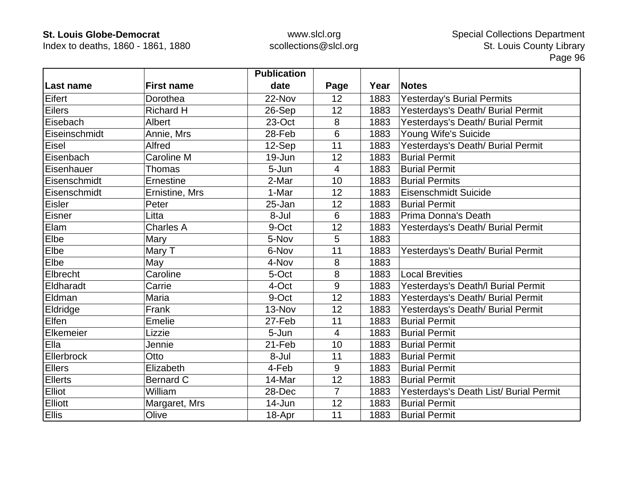Index to deaths, 1860 - 1861, 1880

|                |                   | <b>Publication</b> |                |      |                                        |
|----------------|-------------------|--------------------|----------------|------|----------------------------------------|
| Last name      | <b>First name</b> | date               | Page           | Year | <b>Notes</b>                           |
| Eifert         | Dorothea          | 22-Nov             | 12             | 1883 | <b>Yesterday's Burial Permits</b>      |
| Eilers         | <b>Richard H</b>  | 26-Sep             | 12             | 1883 | Yesterdays's Death/ Burial Permit      |
| Eisebach       | Albert            | 23-Oct             | 8              | 1883 | Yesterdays's Death/ Burial Permit      |
| Eiseinschmidt  | Annie, Mrs        | 28-Feb             | 6              | 1883 | Young Wife's Suicide                   |
| Eisel          | Alfred            | 12-Sep             | 11             | 1883 | Yesterdays's Death/ Burial Permit      |
| Eisenbach      | Caroline M        | 19-Jun             | 12             | 1883 | <b>Burial Permit</b>                   |
| Eisenhauer     | Thomas            | 5-Jun              | $\overline{4}$ | 1883 | <b>Burial Permit</b>                   |
| Eisenschmidt   | Ernestine         | 2-Mar              | 10             | 1883 | <b>Burial Permits</b>                  |
| Eisenschmidt   | Ernistine, Mrs    | 1-Mar              | 12             | 1883 | <b>Eisenschmidt Suicide</b>            |
| Eisler         | Peter             | 25-Jan             | 12             | 1883 | <b>Burial Permit</b>                   |
| Eisner         | Litta             | 8-Jul              | 6              | 1883 | Prima Donna's Death                    |
| Elam           | <b>Charles A</b>  | 9-Oct              | 12             | 1883 | Yesterdays's Death/ Burial Permit      |
| Elbe           | Mary              | 5-Nov              | 5              | 1883 |                                        |
| Elbe           | Mary T            | 6-Nov              | 11             | 1883 | Yesterdays's Death/ Burial Permit      |
| Elbe           | May               | 4-Nov              | 8              | 1883 |                                        |
| Elbrecht       | Caroline          | 5-Oct              | 8              | 1883 | <b>Local Brevities</b>                 |
| Eldharadt      | Carrie            | 4-Oct              | 9              | 1883 | Yesterdays's Death/I Burial Permit     |
| Eldman         | Maria             | 9-Oct              | 12             | 1883 | Yesterdays's Death/ Burial Permit      |
| Eldridge       | Frank             | 13-Nov             | 12             | 1883 | Yesterdays's Death/ Burial Permit      |
| Elfen          | Emelie            | 27-Feb             | 11             | 1883 | <b>Burial Permit</b>                   |
| Elkemeier      | Lizzie            | 5-Jun              | $\overline{4}$ | 1883 | <b>Burial Permit</b>                   |
| Ella           | Jennie            | 21-Feb             | 10             | 1883 | <b>Burial Permit</b>                   |
| Ellerbrock     | Otto              | 8-Jul              | 11             | 1883 | <b>Burial Permit</b>                   |
| <b>Ellers</b>  | Elizabeth         | 4-Feb              | 9              | 1883 | <b>Burial Permit</b>                   |
| <b>Ellerts</b> | <b>Bernard C</b>  | 14-Mar             | 12             | 1883 | <b>Burial Permit</b>                   |
| <b>Elliot</b>  | William           | 28-Dec             | $\overline{7}$ | 1883 | Yesterdays's Death List/ Burial Permit |
| <b>Elliott</b> | Margaret, Mrs     | 14-Jun             | 12             | 1883 | <b>Burial Permit</b>                   |
| <b>Ellis</b>   | Olive             | 18-Apr             | 11             | 1883 | <b>Burial Permit</b>                   |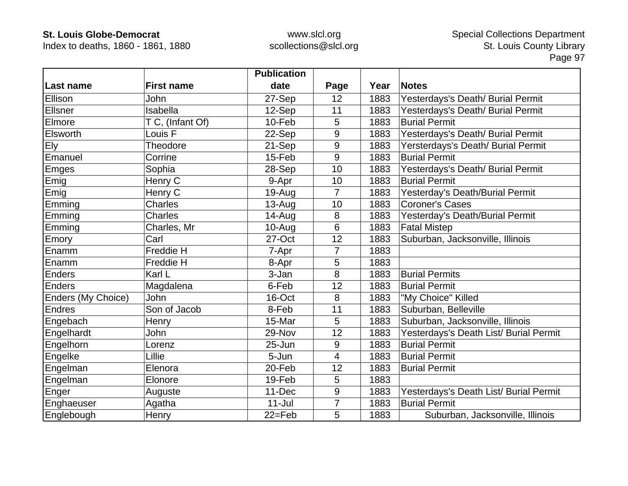Index to deaths, 1860 - 1861, 1880

|                    |                    | <b>Publication</b> |      |      |                                        |
|--------------------|--------------------|--------------------|------|------|----------------------------------------|
| ∣Last name         | <b>First name</b>  | date               | Page | Year | <b>Notes</b>                           |
| Ellison            | John               | 27-Sep             | 12   | 1883 | Yesterdays's Death/ Burial Permit      |
| Ellsner            | Isabella           | 12-Sep             | 11   | 1883 | Yesterdays's Death/ Burial Permit      |
| Elmore             | T C, (Infant Of)   | 10-Feb             | 5    | 1883 | <b>Burial Permit</b>                   |
| Elsworth           | Louis <sub>F</sub> | 22-Sep             | 9    | 1883 | Yesterdays's Death/ Burial Permit      |
| <b>Ely</b>         | Theodore           | 21-Sep             | 9    | 1883 | Yersterdays's Death/ Burial Permit     |
| Emanuel            | Corrine            | 15-Feb             | 9    | 1883 | <b>Burial Permit</b>                   |
| Emges              | Sophia             | 28-Sep             | 10   | 1883 | Yesterdays's Death/ Burial Permit      |
| Emig               | Henry C            | 9-Apr              | 10   | 1883 | <b>Burial Permit</b>                   |
| Emig               | Henry C            | 19-Aug             | 7    | 1883 | Yesterday's Death/Burial Permit        |
| Emming             | <b>Charles</b>     | 13-Aug             | 10   | 1883 | <b>Coroner's Cases</b>                 |
| Emming             | <b>Charles</b>     | $14 - Aug$         | 8    | 1883 | Yesterday's Death/Burial Permit        |
| Emming             | Charles, Mr        | 10-Aug             | 6    | 1883 | <b>Fatal Mistep</b>                    |
| Emory              | Carl               | 27-Oct             | 12   | 1883 | Suburban, Jacksonville, Illinois       |
| Enamm              | <b>Freddie H</b>   | 7-Apr              | 7    | 1883 |                                        |
| Enamm              | Freddie H          | 8-Apr              | 5    | 1883 |                                        |
| Enders             | Karl L             | 3-Jan              | 8    | 1883 | <b>Burial Permits</b>                  |
| Enders             | Magdalena          | 6-Feb              | 12   | 1883 | <b>Burial Permit</b>                   |
| Enders (My Choice) | John               | 16-Oct             | 8    | 1883 | "My Choice" Killed                     |
| <b>Endres</b>      | Son of Jacob       | 8-Feb              | 11   | 1883 | Suburban, Belleville                   |
| Engebach           | Henry              | 15-Mar             | 5    | 1883 | Suburban, Jacksonville, Illinois       |
| Engelhardt         | John               | 29-Nov             | 12   | 1883 | Yesterdays's Death List/ Burial Permit |
| Engelhorn          | Lorenz             | 25-Jun             | 9    | 1883 | <b>Burial Permit</b>                   |
| Engelke            | Lillie             | 5-Jun              | 4    | 1883 | <b>Burial Permit</b>                   |
| Engelman           | Elenora            | 20-Feb             | 12   | 1883 | <b>Burial Permit</b>                   |
| Engelman           | Elonore            | 19-Feb             | 5    | 1883 |                                        |
| Enger              | Auguste            | 11-Dec             | 9    | 1883 | Yesterdays's Death List/ Burial Permit |
| Enghaeuser         | Agatha             | $11 -$ Jul         | 7    | 1883 | <b>Burial Permit</b>                   |
| Englebough         | Henry              | $22 = Feb$         | 5    | 1883 | Suburban, Jacksonville, Illinois       |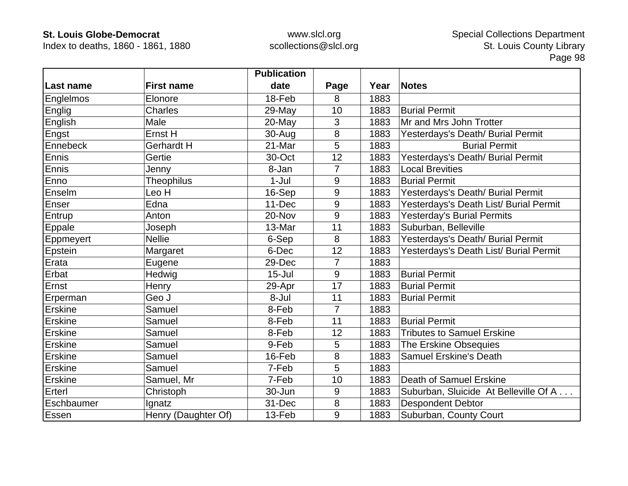Index to deaths, 1860 - 1861, 1880

|                |                     | <b>Publication</b> |      |      |                                        |
|----------------|---------------------|--------------------|------|------|----------------------------------------|
| ∣Last name     | <b>First name</b>   | date               | Page | Year | <b>Notes</b>                           |
| Englelmos      | Elonore             | 18-Feb             | 8    | 1883 |                                        |
| Englig         | <b>Charles</b>      | 29-May             | 10   | 1883 | <b>Burial Permit</b>                   |
| English        | Male                | $20$ -May          | 3    | 1883 | Mr and Mrs John Trotter                |
| Engst          | Ernst H             | 30-Aug             | 8    | 1883 | Yesterdays's Death/ Burial Permit      |
| Ennebeck       | <b>Gerhardt H</b>   | 21-Mar             | 5    | 1883 | <b>Burial Permit</b>                   |
| Ennis          | Gertie              | 30-Oct             | 12   | 1883 | Yesterdays's Death/ Burial Permit      |
| Ennis          | Jenny               | 8-Jan              | 7    | 1883 | <b>Local Brevities</b>                 |
| Enno           | <b>Theophilus</b>   | $1-Jul$            | 9    | 1883 | <b>Burial Permit</b>                   |
| Enselm         | Leo H               | 16-Sep             | 9    | 1883 | Yesterdays's Death/ Burial Permit      |
| Enser          | Edna                | 11-Dec             | 9    | 1883 | Yesterdays's Death List/ Burial Permit |
| Entrup         | Anton               | 20-Nov             | 9    | 1883 | Yesterday's Burial Permits             |
| Eppale         | Joseph              | 13-Mar             | 11   | 1883 | Suburban, Belleville                   |
| Eppmeyert      | <b>Nellie</b>       | 6-Sep              | 8    | 1883 | Yesterdays's Death/ Burial Permit      |
| Epstein        | Margaret            | 6-Dec              | 12   | 1883 | Yesterdays's Death List/ Burial Permit |
| Erata          | Eugene              | 29-Dec             | 7    | 1883 |                                        |
| Erbat          | Hedwig              | $15 -$ Jul         | 9    | 1883 | <b>Burial Permit</b>                   |
| Ernst          | Henry               | 29-Apr             | 17   | 1883 | <b>Burial Permit</b>                   |
| Erperman       | Geo J               | 8-Jul              | 11   | 1883 | <b>Burial Permit</b>                   |
| Erskine        | Samuel              | 8-Feb              | 7    | 1883 |                                        |
| Erskine        | Samuel              | 8-Feb              | 11   | 1883 | <b>Burial Permit</b>                   |
| <b>Erskine</b> | Samuel              | 8-Feb              | 12   | 1883 | <b>Tributes to Samuel Erskine</b>      |
| Erskine        | Samuel              | 9-Feb              | 5    | 1883 | The Erskine Obsequies                  |
| Erskine        | Samuel              | 16-Feb             | 8    | 1883 | <b>Samuel Erskine's Death</b>          |
| Erskine        | Samuel              | 7-Feb              | 5    | 1883 |                                        |
| Erskine        | Samuel, Mr          | 7-Feb              | 10   | 1883 | Death of Samuel Erskine                |
| Erterl         | Christoph           | 30-Jun             | 9    | 1883 | Suburban, Sluicide At Belleville Of A  |
| Eschbaumer     | Ignatz              | 31-Dec             | 8    | 1883 | <b>Despondent Debtor</b>               |
| Essen          | Henry (Daughter Of) | 13-Feb             | 9    | 1883 | Suburban, County Court                 |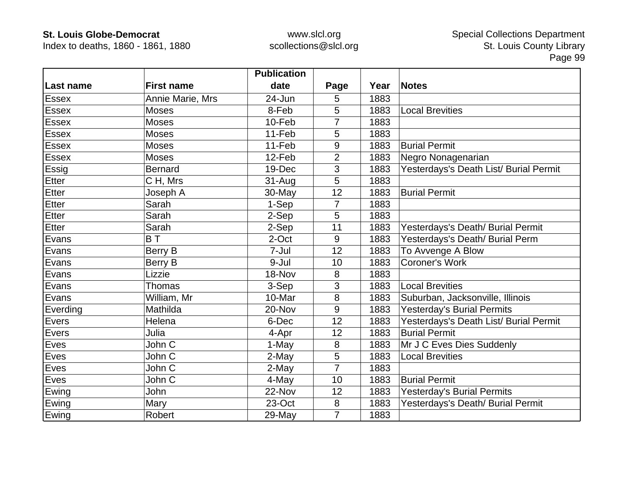Index to deaths, 1860 - 1861, 1880

|              |                   | <b>Publication</b> |                |      |                                        |
|--------------|-------------------|--------------------|----------------|------|----------------------------------------|
| Last name    | <b>First name</b> | date               | Page           | Year | <b>Notes</b>                           |
| Essex        | Annie Marie, Mrs  | 24-Jun             | 5              | 1883 |                                        |
| <b>Essex</b> | <b>Moses</b>      | 8-Feb              | 5              | 1883 | <b>Local Brevities</b>                 |
| <b>Essex</b> | <b>Moses</b>      | 10-Feb             | 7              | 1883 |                                        |
| <b>Essex</b> | <b>Moses</b>      | 11-Feb             | 5              | 1883 |                                        |
| <b>Essex</b> | <b>Moses</b>      | 11-Feb             | 9              | 1883 | <b>Burial Permit</b>                   |
| <b>Essex</b> | <b>Moses</b>      | 12-Feb             | $\overline{2}$ | 1883 | Negro Nonagenarian                     |
| Essig        | <b>Bernard</b>    | 19-Dec             | 3              | 1883 | Yesterdays's Death List/ Burial Permit |
| Etter        | CH, Mrs           | $31 - Aug$         | 5              | 1883 |                                        |
| Etter        | Joseph A          | 30-May             | 12             | 1883 | <b>Burial Permit</b>                   |
| Etter        | Sarah             | 1-Sep              | 7              | 1883 |                                        |
| Etter        | Sarah             | 2-Sep              | 5              | 1883 |                                        |
| Etter        | Sarah             | 2-Sep              | 11             | 1883 | Yesterdays's Death/ Burial Permit      |
| Evans        | BT                | 2-Oct              | 9              | 1883 | Yesterdays's Death/ Burial Perm        |
| Evans        | Berry B           | 7-Jul              | 12             | 1883 | To Avvenge A Blow                      |
| Evans        | Berry B           | 9-Jul              | 10             | 1883 | <b>Coroner's Work</b>                  |
| Evans        | Lizzie            | 18-Nov             | 8              | 1883 |                                        |
| Evans        | <b>Thomas</b>     | 3-Sep              | 3              | 1883 | <b>Local Brevities</b>                 |
| Evans        | William, Mr       | 10-Mar             | 8              | 1883 | Suburban, Jacksonville, Illinois       |
| Everding     | Mathilda          | 20-Nov             | 9              | 1883 | <b>Yesterday's Burial Permits</b>      |
| Evers        | Helena            | 6-Dec              | 12             | 1883 | Yesterdays's Death List/ Burial Permit |
| Evers        | Julia             | 4-Apr              | 12             | 1883 | <b>Burial Permit</b>                   |
| Eves         | John C            | 1-May              | 8              | 1883 | Mr J C Eves Dies Suddenly              |
| Eves         | John C            | 2-May              | 5              | 1883 | <b>Local Brevities</b>                 |
| Eves         | John C            | 2-May              | $\overline{7}$ | 1883 |                                        |
| Eves         | John C            | 4-May              | 10             | 1883 | <b>Burial Permit</b>                   |
| Ewing        | John              | 22-Nov             | 12             | 1883 | Yesterday's Burial Permits             |
| Ewing        | Mary              | 23-Oct             | 8              | 1883 | Yesterdays's Death/ Burial Permit      |
| Ewing        | Robert            | 29-May             | 7              | 1883 |                                        |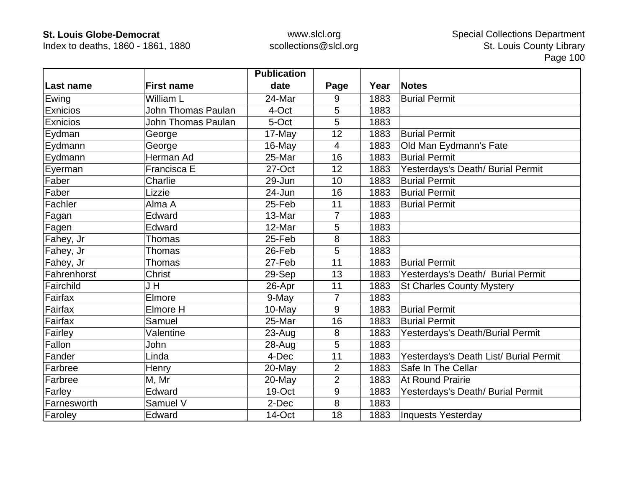Index to deaths, 1860 - 1861, 1880

|             |                    | <b>Publication</b> |                |      |                                        |
|-------------|--------------------|--------------------|----------------|------|----------------------------------------|
| ∣Last name  | <b>First name</b>  | date               | Page           | Year | <b>Notes</b>                           |
| Ewing       | William L          | 24-Mar             | 9              | 1883 | <b>Burial Permit</b>                   |
| Exnicios    | John Thomas Paulan | 4-Oct              | 5              | 1883 |                                        |
| Exnicios    | John Thomas Paulan | 5-Oct              | 5              | 1883 |                                        |
| Eydman      | George             | 17-May             | 12             | 1883 | <b>Burial Permit</b>                   |
| Eydmann     | George             | 16-May             | 4              | 1883 | Old Man Eydmann's Fate                 |
| Eydmann     | Herman Ad          | 25-Mar             | 16             | 1883 | <b>Burial Permit</b>                   |
| Eyerman     | Francisca E        | 27-Oct             | 12             | 1883 | Yesterdays's Death/ Burial Permit      |
| Faber       | Charlie            | 29-Jun             | 10             | 1883 | <b>Burial Permit</b>                   |
| Faber       | Lizzie             | 24-Jun             | 16             | 1883 | <b>Burial Permit</b>                   |
| Fachler     | Alma A             | 25-Feb             | 11             | 1883 | <b>Burial Permit</b>                   |
| Fagan       | Edward             | 13-Mar             | 7              | 1883 |                                        |
| Fagen       | Edward             | 12-Mar             | 5              | 1883 |                                        |
| Fahey, Jr   | Thomas             | 25-Feb             | 8              | 1883 |                                        |
| Fahey, Jr   | <b>Thomas</b>      | 26-Feb             | 5              | 1883 |                                        |
| Fahey, Jr   | Thomas             | 27-Feb             | 11             | 1883 | <b>Burial Permit</b>                   |
| Fahrenhorst | <b>Christ</b>      | 29-Sep             | 13             | 1883 | Yesterdays's Death/ Burial Permit      |
| Fairchild   | J H                | 26-Apr             | 11             | 1883 | <b>St Charles County Mystery</b>       |
| Fairfax     | Elmore             | 9-May              | $\overline{7}$ | 1883 |                                        |
| Fairfax     | Elmore H           | 10-May             | 9              | 1883 | <b>Burial Permit</b>                   |
| Fairfax     | Samuel             | 25-Mar             | 16             | 1883 | <b>Burial Permit</b>                   |
| Fairley     | Valentine          | $23 - Aug$         | 8              | 1883 | Yesterdays's Death/Burial Permit       |
| Fallon      | John               | 28-Aug             | 5              | 1883 |                                        |
| Fander      | Linda              | 4-Dec              | 11             | 1883 | Yesterdays's Death List/ Burial Permit |
| Farbree     | Henry              | 20-May             | 2              | 1883 | Safe In The Cellar                     |
| Farbree     | M, Mr              | 20-May             | $\overline{2}$ | 1883 | At Round Prairie                       |
| Farley      | Edward             | 19-Oct             | 9              | 1883 | Yesterdays's Death/ Burial Permit      |
| Farnesworth | Samuel V           | 2-Dec              | 8              | 1883 |                                        |
| Faroley     | Edward             | 14-Oct             | 18             | 1883 | Inquests Yesterday                     |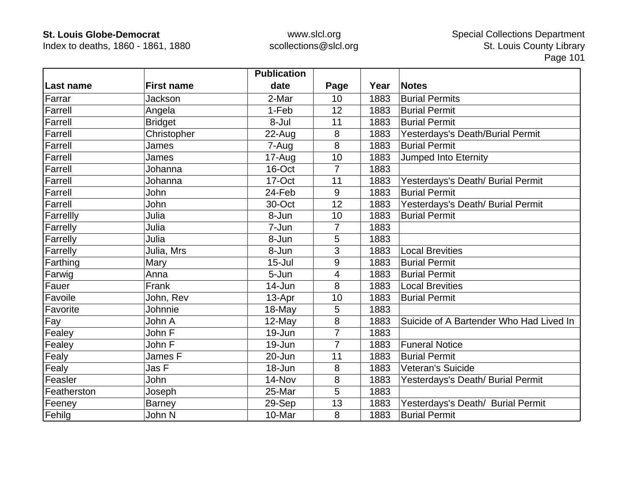Index to deaths, 1860 - 1861, 1880

|             |                   | <b>Publication</b> |                |      |                                         |
|-------------|-------------------|--------------------|----------------|------|-----------------------------------------|
| Last name   | <b>First name</b> | date               | Page           | Year | <b>Notes</b>                            |
| Farrar      | Jackson           | 2-Mar              | 10             | 1883 | <b>Burial Permits</b>                   |
| Farrell     | Angela            | 1-Feb              | 12             | 1883 | <b>Burial Permit</b>                    |
| Farrell     | <b>Bridget</b>    | 8-Jul              | 11             | 1883 | <b>Burial Permit</b>                    |
| Farrell     | Christopher       | 22-Aug             | 8              | 1883 | Yesterdays's Death/Burial Permit        |
| Farrell     | James             | 7-Aug              | 8              | 1883 | <b>Burial Permit</b>                    |
| Farrell     | James             | 17-Aug             | 10             | 1883 | Jumped Into Eternity                    |
| Farrell     | Johanna           | 16-Oct             | 7              | 1883 |                                         |
| Farrell     | Johanna           | 17-Oct             | 11             | 1883 | Yesterdays's Death/ Burial Permit       |
| Farrell     | John              | 24-Feb             | 9              | 1883 | <b>Burial Permit</b>                    |
| Farrell     | John              | 30-Oct             | 12             | 1883 | Yesterdays's Death/ Burial Permit       |
| Farrellly   | Julia             | 8-Jun              | 10             | 1883 | <b>Burial Permit</b>                    |
| Farrelly    | Julia             | 7-Jun              | 7              | 1883 |                                         |
| Farrelly    | Julia             | 8-Jun              | 5              | 1883 |                                         |
| Farrelly    | Julia, Mrs        | 8-Jun              | 3              | 1883 | <b>Local Brevities</b>                  |
| Farthing    | Mary              | $15 -$ Jul         | 9              | 1883 | <b>Burial Permit</b>                    |
| Farwig      | Anna              | 5-Jun              | 4              | 1883 | <b>Burial Permit</b>                    |
| Fauer       | Frank             | 14-Jun             | 8              | 1883 | <b>Local Brevities</b>                  |
| Favoile     | John, Rev         | 13-Apr             | 10             | 1883 | <b>Burial Permit</b>                    |
| Favorite    | Johnnie           | 18-May             | 5              | 1883 |                                         |
| Fay         | John A            | 12-May             | 8              | 1883 | Suicide of A Bartender Who Had Lived In |
| Fealey      | John F            | 19-Jun             | $\overline{7}$ | 1883 |                                         |
| Fealey      | John F            | 19-Jun             | $\overline{7}$ | 1883 | <b>Funeral Notice</b>                   |
| Fealy       | James F           | 20-Jun             | 11             | 1883 | <b>Burial Permit</b>                    |
| Fealy       | Jas F             | 18-Jun             | 8              | 1883 | Veteran's Suicide                       |
| Feasler     | John              | 14-Nov             | 8              | 1883 | Yesterdays's Death/ Burial Permit       |
| Featherston | Joseph            | 25-Mar             | 5              | 1883 |                                         |
| Feeney      | <b>Barney</b>     | 29-Sep             | 13             | 1883 | Yesterdays's Death/ Burial Permit       |
| Fehilg      | John N            | 10-Mar             | 8              | 1883 | <b>Burial Permit</b>                    |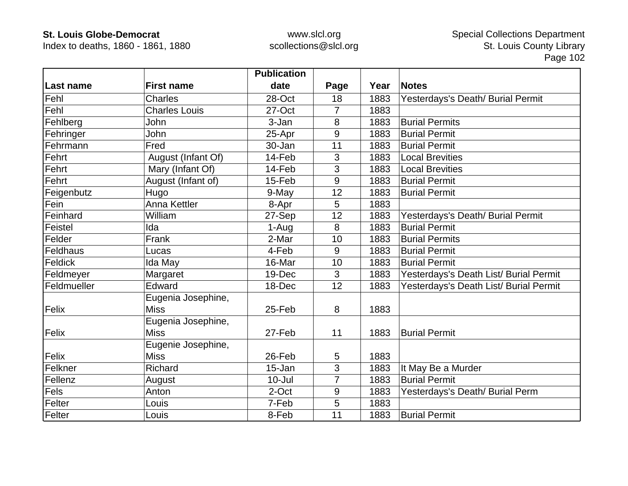Index to deaths, 1860 - 1861, 1880

|                 |                      | <b>Publication</b> |      |      |                                        |
|-----------------|----------------------|--------------------|------|------|----------------------------------------|
| Last name       | <b>First name</b>    | date               | Page | Year | <b>Notes</b>                           |
| Fehl            | Charles              | 28-Oct             | 18   | 1883 | Yesterdays's Death/ Burial Permit      |
| Fehl            | <b>Charles Louis</b> | 27-Oct             | 7    | 1883 |                                        |
| Fehlberg        | John                 | 3-Jan              | 8    | 1883 | <b>Burial Permits</b>                  |
| Fehringer       | <b>John</b>          | 25-Apr             | 9    | 1883 | <b>Burial Permit</b>                   |
| Fehrmann        | Fred                 | 30-Jan             | 11   | 1883 | <b>Burial Permit</b>                   |
| Fehrt           | August (Infant Of)   | 14-Feb             | 3    | 1883 | <b>Local Brevities</b>                 |
| Fehrt           | Mary (Infant Of)     | 14-Feb             | 3    | 1883 | <b>Local Brevities</b>                 |
| Fehrt           | August (Infant of)   | 15-Feb             | 9    | 1883 | <b>Burial Permit</b>                   |
| Feigenbutz      | Hugo                 | 9-May              | 12   | 1883 | <b>Burial Permit</b>                   |
| Fein            | <b>Anna Kettler</b>  | 8-Apr              | 5    | 1883 |                                        |
| Feinhard        | William              | 27-Sep             | 12   | 1883 | Yesterdays's Death/ Burial Permit      |
| Feistel         | Ida                  | 1-Aug              | 8    | 1883 | <b>Burial Permit</b>                   |
| Felder          | Frank                | 2-Mar              | 10   | 1883 | <b>Burial Permits</b>                  |
| <b>Feldhaus</b> | Lucas                | 4-Feb              | 9    | 1883 | <b>Burial Permit</b>                   |
| Feldick         | Ida May              | 16-Mar             | 10   | 1883 | <b>Burial Permit</b>                   |
| Feldmeyer       | Margaret             | 19-Dec             | 3    | 1883 | Yesterdays's Death List/ Burial Permit |
| Feldmueller     | Edward               | 18-Dec             | 12   | 1883 | Yesterdays's Death List/ Burial Permit |
|                 | Eugenia Josephine,   |                    |      |      |                                        |
| Felix           | <b>Miss</b>          | 25-Feb             | 8    | 1883 |                                        |
|                 | Eugenia Josephine,   |                    |      |      |                                        |
| Felix           | <b>Miss</b>          | 27-Feb             | 11   | 1883 | <b>Burial Permit</b>                   |
|                 | Eugenie Josephine,   |                    |      |      |                                        |
| Felix           | <b>Miss</b>          | 26-Feb             | 5    | 1883 |                                        |
| Felkner         | Richard              | 15-Jan             | 3    | 1883 | It May Be a Murder                     |
| Fellenz         | August               | $10 -$ Jul         | 7    | 1883 | <b>Burial Permit</b>                   |
| Fels            | Anton                | 2-Oct              | 9    | 1883 | Yesterdays's Death/ Burial Perm        |
| Felter          | Louis                | 7-Feb              | 5    | 1883 |                                        |
| Felter          | Louis                | 8-Feb              | 11   | 1883 | <b>Burial Permit</b>                   |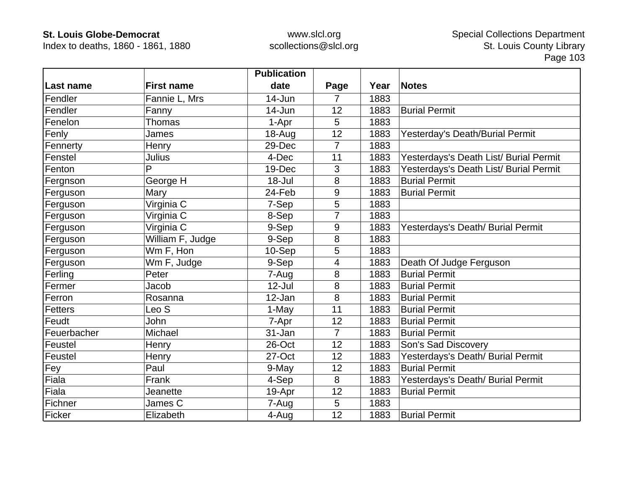Index to deaths, 1860 - 1861, 1880

|                    |                         | <b>Publication</b> |                |      |                                        |
|--------------------|-------------------------|--------------------|----------------|------|----------------------------------------|
| Last name          | <b>First name</b>       | date               | Page           | Year | <b>Notes</b>                           |
| Fendler            | Fannie L, Mrs           | 14-Jun             | 7              | 1883 |                                        |
| Fendler            | Fanny                   | 14-Jun             | 12             | 1883 | <b>Burial Permit</b>                   |
| Fenelon            | Thomas                  | 1-Apr              | 5              | 1883 |                                        |
| Fenly              | James                   | 18-Aug             | 12             | 1883 | Yesterday's Death/Burial Permit        |
| Fennerty           | Henry                   | 29-Dec             | $\overline{7}$ | 1883 |                                        |
| Fenstel            | <b>Julius</b>           | 4-Dec              | 11             | 1883 | Yesterdays's Death List/ Burial Permit |
| Fenton             | P                       | 19-Dec             | 3              | 1883 | Yesterdays's Death List/ Burial Permit |
| Fergnson           | George H                | 18-Jul             | 8              | 1883 | <b>Burial Permit</b>                   |
| Ferguson           | Mary                    | 24-Feb             | 9              | 1883 | <b>Burial Permit</b>                   |
| Ferguson           | Virginia $\overline{C}$ | 7-Sep              | 5              | 1883 |                                        |
| Ferguson           | Virginia C              | 8-Sep              |                | 1883 |                                        |
| Ferguson           | Virginia C              | 9-Sep              | 9              | 1883 | Yesterdays's Death/ Burial Permit      |
| Ferguson           | William F, Judge        | 9-Sep              | 8              | 1883 |                                        |
| Ferguson           | Wm F, Hon               | 10-Sep             | 5              | 1883 |                                        |
| Ferguson           | Wm F, Judge             | 9-Sep              | 4              | 1883 | Death Of Judge Ferguson                |
| Ferling            | Peter                   | 7-Aug              | 8              | 1883 | <b>Burial Permit</b>                   |
| Fermer             | Jacob                   | $12$ -Jul          | 8              | 1883 | <b>Burial Permit</b>                   |
| Ferron             | Rosanna                 | 12-Jan             | 8              | 1883 | <b>Burial Permit</b>                   |
| Fetters            | Leo S                   | 1-May              | 11             | 1883 | <b>Burial Permit</b>                   |
| Feudt              | <b>John</b>             | 7-Apr              | 12             | 1883 | <b>Burial Permit</b>                   |
| Feuerbacher        | Michael                 | 31-Jan             | $\overline{7}$ | 1883 | <b>Burial Permit</b>                   |
| Feustel            | Henry                   | 26-Oct             | 12             | 1883 | Son's Sad Discovery                    |
| Feustel            | Henry                   | 27-Oct             | 12             | 1883 | Yesterdays's Death/ Burial Permit      |
| Fey                | Paul                    | 9-May              | 12             | 1883 | <b>Burial Permit</b>                   |
| $\overline{$ Fiala | Frank                   | 4-Sep              | 8              | 1883 | Yesterdays's Death/ Burial Permit      |
| Fiala              | Jeanette                | 19-Apr             | 12             | 1883 | <b>Burial Permit</b>                   |
| Fichner            | James C                 | 7-Aug              | 5              | 1883 |                                        |
| Ficker             | Elizabeth               | 4-Aug              | 12             | 1883 | <b>Burial Permit</b>                   |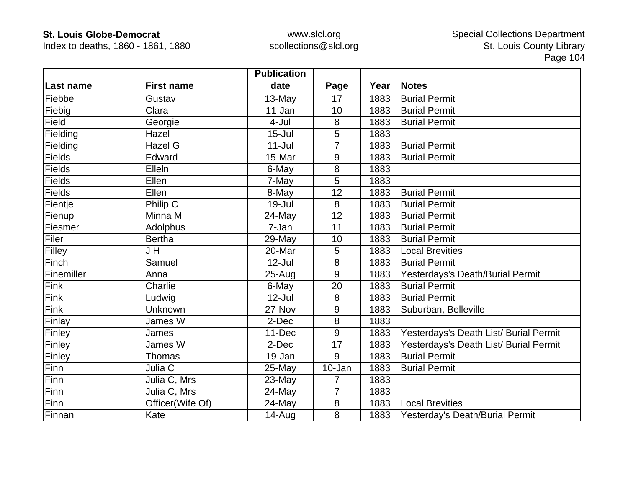Index to deaths, 1860 - 1861, 1880

|               |                   | <b>Publication</b> |                |      |                                        |
|---------------|-------------------|--------------------|----------------|------|----------------------------------------|
| Last name     | <b>First name</b> | date               | Page           | Year | <b>Notes</b>                           |
| Fiebbe        | Gustav            | 13-May             | 17             | 1883 | <b>Burial Permit</b>                   |
| Fiebig        | Clara             | 11-Jan             | 10             | 1883 | <b>Burial Permit</b>                   |
| Field         | Georgie           | 4-Jul              | 8              | 1883 | <b>Burial Permit</b>                   |
| Fielding      | Hazel             | $15 -$ Jul         | 5              | 1883 |                                        |
| Fielding      | Hazel G           | $11 -$ Jul         | 7              | 1883 | <b>Burial Permit</b>                   |
| Fields        | Edward            | 15-Mar             | 9              | 1883 | <b>Burial Permit</b>                   |
| <b>Fields</b> | Elleln            | 6-May              | 8              | 1883 |                                        |
| <b>Fields</b> | Ellen             | 7-May              | 5              | 1883 |                                        |
| Fields        | Ellen             | 8-May              | 12             | 1883 | <b>Burial Permit</b>                   |
| Fientje       | Philip C          | 19-Jul             | 8              | 1883 | <b>Burial Permit</b>                   |
| Fienup        | Minna M           | 24-May             | 12             | 1883 | <b>Burial Permit</b>                   |
| Fiesmer       | Adolphus          | 7-Jan              | 11             | 1883 | <b>Burial Permit</b>                   |
| Filer         | <b>Bertha</b>     | 29-May             | 10             | 1883 | <b>Burial Permit</b>                   |
| Filley        | J H               | 20-Mar             | 5              | 1883 | <b>Local Brevities</b>                 |
| Finch         | Samuel            | $12$ -Jul          | 8              | 1883 | <b>Burial Permit</b>                   |
| Finemiller    | Anna              | $25 - Aug$         | 9              | 1883 | Yesterdays's Death/Burial Permit       |
| Fink          | Charlie           | 6-May              | 20             | 1883 | <b>Burial Permit</b>                   |
| Fink          | Ludwig            | $12$ -Jul          | 8              | 1883 | <b>Burial Permit</b>                   |
| Fink          | Unknown           | 27-Nov             | 9              | 1883 | Suburban, Belleville                   |
| Finlay        | James W           | 2-Dec              | 8              | 1883 |                                        |
| Finley        | James             | 11-Dec             | 9              | 1883 | Yesterdays's Death List/ Burial Permit |
| Finley        | James W           | 2-Dec              | 17             | 1883 | Yesterdays's Death List/ Burial Permit |
| Finley        | <b>Thomas</b>     | 19-Jan             | 9              | 1883 | <b>Burial Permit</b>                   |
| Finn          | Julia C           | 25-May             | 10-Jan         | 1883 | <b>Burial Permit</b>                   |
| Finn          | Julia C, Mrs      | 23-May             | 7              | 1883 |                                        |
| Finn          | Julia C, Mrs      | 24-May             | $\overline{7}$ | 1883 |                                        |
| Finn          | Officer(Wife Of)  | 24-May             | 8              | 1883 | <b>Local Brevities</b>                 |
| Finnan        | Kate              | $14 - Aug$         | 8              | 1883 | Yesterday's Death/Burial Permit        |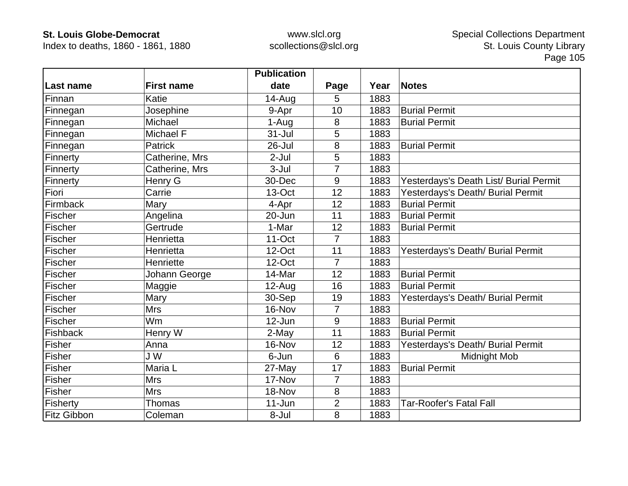Index to deaths, 1860 - 1861, 1880

|                    |                   | <b>Publication</b> |                |      |                                        |
|--------------------|-------------------|--------------------|----------------|------|----------------------------------------|
| Last name          | <b>First name</b> | date               | Page           | Year | <b>Notes</b>                           |
| Finnan             | Katie             | 14-Aug             | 5              | 1883 |                                        |
| Finnegan           | Josephine         | 9-Apr              | 10             | 1883 | <b>Burial Permit</b>                   |
| Finnegan           | Michael           | 1-Aug              | 8              | 1883 | <b>Burial Permit</b>                   |
| Finnegan           | Michael F         | $31 -$ Jul         | 5              | 1883 |                                        |
| Finnegan           | <b>Patrick</b>    | 26-Jul             | 8              | 1883 | <b>Burial Permit</b>                   |
| Finnerty           | Catherine, Mrs    | $2-Jul$            | 5              | 1883 |                                        |
| Finnerty           | Catherine, Mrs    | $3 -$ Jul          | 7              | 1883 |                                        |
| Finnerty           | Henry G           | 30-Dec             | 9              | 1883 | Yesterdays's Death List/ Burial Permit |
| Fiori              | Carrie            | 13-Oct             | 12             | 1883 | Yesterdays's Death/ Burial Permit      |
| Firmback           | Mary              | 4-Apr              | 12             | 1883 | <b>Burial Permit</b>                   |
| Fischer            | Angelina          | 20-Jun             | 11             | 1883 | <b>Burial Permit</b>                   |
| Fischer            | Gertrude          | 1-Mar              | 12             | 1883 | <b>Burial Permit</b>                   |
| Fischer            | Henrietta         | $11$ -Oct          | $\overline{7}$ | 1883 |                                        |
| Fischer            | Henrietta         | 12-Oct             | 11             | 1883 | Yesterdays's Death/ Burial Permit      |
| Fischer            | Henriette         | 12-Oct             | 7              | 1883 |                                        |
| Fischer            | Johann George     | 14-Mar             | 12             | 1883 | <b>Burial Permit</b>                   |
| Fischer            | Maggie            | 12-Aug             | 16             | 1883 | <b>Burial Permit</b>                   |
| Fischer            | Mary              | 30-Sep             | 19             | 1883 | Yesterdays's Death/ Burial Permit      |
| Fischer            | <b>Mrs</b>        | 16-Nov             | 7              | 1883 |                                        |
| Fischer            | Wm                | $12$ -Jun          | 9              | 1883 | <b>Burial Permit</b>                   |
| Fishback           | Henry W           | 2-May              | 11             | 1883 | <b>Burial Permit</b>                   |
| <b>Fisher</b>      | Anna              | 16-Nov             | 12             | 1883 | Yesterdays's Death/ Burial Permit      |
| Fisher             | J W               | 6-Jun              | 6              | 1883 | Midnight Mob                           |
| Fisher             | Maria L           | 27-May             | 17             | 1883 | <b>Burial Permit</b>                   |
| Fisher             | <b>Mrs</b>        | 17-Nov             | 7              | 1883 |                                        |
| <b>Fisher</b>      | <b>Mrs</b>        | 18-Nov             | 8              | 1883 |                                        |
| Fisherty           | <b>Thomas</b>     | $11 - Jun$         | $\overline{2}$ | 1883 | <b>Tar-Roofer's Fatal Fall</b>         |
| <b>Fitz Gibbon</b> | Coleman           | 8-Jul              | 8              | 1883 |                                        |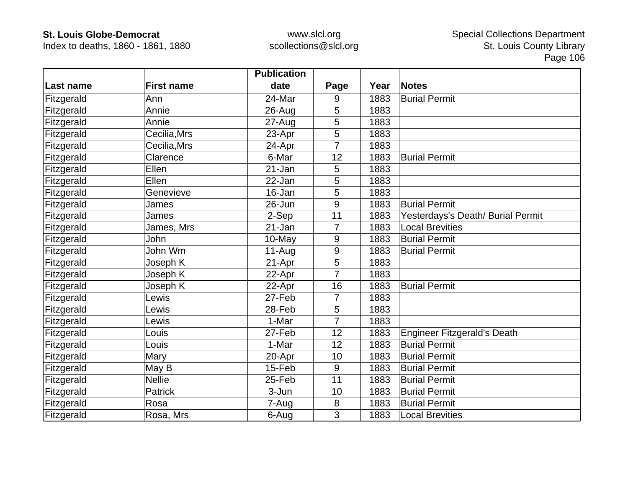Index to deaths, 1860 - 1861, 1880

|            |                   | <b>Publication</b> |      |      |                                    |
|------------|-------------------|--------------------|------|------|------------------------------------|
| Last name  | <b>First name</b> | date               | Page | Year | <b>Notes</b>                       |
| Fitzgerald | Ann               | 24-Mar             | 9    | 1883 | <b>Burial Permit</b>               |
| Fitzgerald | Annie             | $26$ -Aug          | 5    | 1883 |                                    |
| Fitzgerald | Annie             | $27 - Aug$         | 5    | 1883 |                                    |
| Fitzgerald | Cecilia, Mrs      | 23-Apr             | 5    | 1883 |                                    |
| Fitzgerald | Cecilia, Mrs      | 24-Apr             | 7    | 1883 |                                    |
| Fitzgerald | Clarence          | 6-Mar              | 12   | 1883 | <b>Burial Permit</b>               |
| Fitzgerald | Ellen             | 21-Jan             | 5    | 1883 |                                    |
| Fitzgerald | Ellen             | 22-Jan             | 5    | 1883 |                                    |
| Fitzgerald | Genevieve         | 16-Jan             | 5    | 1883 |                                    |
| Fitzgerald | James             | 26-Jun             | 9    | 1883 | <b>Burial Permit</b>               |
| Fitzgerald | James             | 2-Sep              | 11   | 1883 | Yesterdays's Death/ Burial Permit  |
| Fitzgerald | James, Mrs        | 21-Jan             | 7    | 1883 | <b>Local Brevities</b>             |
| Fitzgerald | John              | 10-May             | 9    | 1883 | <b>Burial Permit</b>               |
| Fitzgerald | John Wm           | $11-Auq$           | 9    | 1883 | <b>Burial Permit</b>               |
| Fitzgerald | Joseph K          | 21-Apr             | 5    | 1883 |                                    |
| Fitzgerald | Joseph K          | 22-Apr             | 7    | 1883 |                                    |
| Fitzgerald | Joseph K          | 22-Apr             | 16   | 1883 | <b>Burial Permit</b>               |
| Fitzgerald | Lewis             | 27-Feb             | 7    | 1883 |                                    |
| Fitzgerald | Lewis             | 28-Feb             | 5    | 1883 |                                    |
| Fitzgerald | Lewis             | 1-Mar              | 7    | 1883 |                                    |
| Fitzgerald | Louis             | 27-Feb             | 12   | 1883 | <b>Engineer Fitzgerald's Death</b> |
| Fitzgerald | Louis             | 1-Mar              | 12   | 1883 | <b>Burial Permit</b>               |
| Fitzgerald | Mary              | 20-Apr             | 10   | 1883 | <b>Burial Permit</b>               |
| Fitzgerald | May B             | 15-Feb             | 9    | 1883 | <b>Burial Permit</b>               |
| Fitzgerald | <b>Nellie</b>     | 25-Feb             | 11   | 1883 | <b>Burial Permit</b>               |
| Fitzgerald | Patrick           | 3-Jun              | 10   | 1883 | <b>Burial Permit</b>               |
| Fitzgerald | Rosa              | 7-Aug              | 8    | 1883 | <b>Burial Permit</b>               |
| Fitzgerald | Rosa, Mrs         | 6-Aug              | 3    | 1883 | <b>Local Brevities</b>             |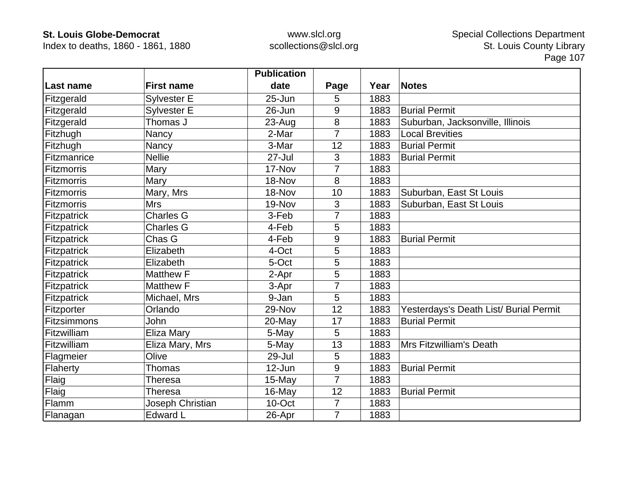Index to deaths, 1860 - 1861, 1880

|             |                    | <b>Publication</b> |                |      |                                        |
|-------------|--------------------|--------------------|----------------|------|----------------------------------------|
| ∣Last name  | <b>First name</b>  | date               | Page           | Year | <b>Notes</b>                           |
| Fitzgerald  | <b>Sylvester E</b> | $25 - Jun$         | 5              | 1883 |                                        |
| Fitzgerald  | <b>Sylvester E</b> | 26-Jun             | 9              | 1883 | <b>Burial Permit</b>                   |
| Fitzgerald  | Thomas J           | 23-Aug             | 8              | 1883 | Suburban, Jacksonville, Illinois       |
| Fitzhugh    | Nancy              | 2-Mar              | 7              | 1883 | <b>Local Brevities</b>                 |
| Fitzhugh    | Nancy              | 3-Mar              | 12             | 1883 | <b>Burial Permit</b>                   |
| Fitzmanrice | <b>Nellie</b>      | 27-Jul             | 3              | 1883 | <b>Burial Permit</b>                   |
| Fitzmorris  | Mary               | 17-Nov             | 7              | 1883 |                                        |
| Fitzmorris  | Mary               | 18-Nov             | 8              | 1883 |                                        |
| Fitzmorris  | Mary, Mrs          | 18-Nov             | 10             | 1883 | Suburban, East St Louis                |
| Fitzmorris  | <b>Mrs</b>         | 19-Nov             | 3              | 1883 | Suburban, East St Louis                |
| Fitzpatrick | <b>Charles G</b>   | 3-Feb              |                | 1883 |                                        |
| Fitzpatrick | <b>Charles G</b>   | 4-Feb              | 5              | 1883 |                                        |
| Fitzpatrick | Chas G             | 4-Feb              | 9              | 1883 | <b>Burial Permit</b>                   |
| Fitzpatrick | Elizabeth          | 4-Oct              | 5              | 1883 |                                        |
| Fitzpatrick | Elizabeth          | 5-Oct              | 5              | 1883 |                                        |
| Fitzpatrick | Matthew F          | 2-Apr              | 5              | 1883 |                                        |
| Fitzpatrick | <b>Matthew F</b>   | 3-Apr              |                | 1883 |                                        |
| Fitzpatrick | Michael, Mrs       | 9-Jan              | 5              | 1883 |                                        |
| Fitzporter  | Orlando            | 29-Nov             | 12             | 1883 | Yesterdays's Death List/ Burial Permit |
| Fitzsimmons | <b>John</b>        | 20-May             | 17             | 1883 | <b>Burial Permit</b>                   |
| Fitzwilliam | Eliza Mary         | 5-May              | 5              | 1883 |                                        |
| Fitzwilliam | Eliza Mary, Mrs    | 5-May              | 13             | 1883 | Mrs Fitzwilliam's Death                |
| Flagmeier   | Olive              | 29-Jul             | 5              | 1883 |                                        |
| Flaherty    | Thomas             | $12$ -Jun          | 9              | 1883 | <b>Burial Permit</b>                   |
| Flaig       | Theresa            | $15$ -May          | 7              | 1883 |                                        |
| Flaig       | <b>Theresa</b>     | 16-May             | 12             | 1883 | <b>Burial Permit</b>                   |
| Flamm       | Joseph Christian   | 10-Oct             | 7              | 1883 |                                        |
| Flanagan    | <b>Edward L</b>    | 26-Apr             | $\overline{7}$ | 1883 |                                        |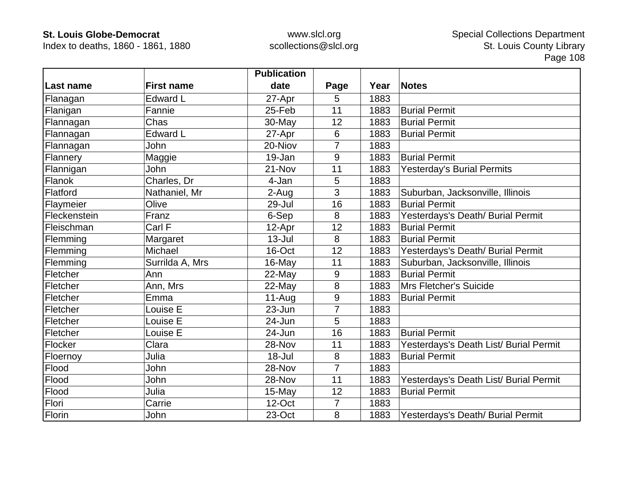Index to deaths, 1860 - 1861, 1880

|              |                   | <b>Publication</b> |                  |      |                                        |
|--------------|-------------------|--------------------|------------------|------|----------------------------------------|
| Last name    | <b>First name</b> | date               | Page             | Year | <b>Notes</b>                           |
| Flanagan     | <b>Edward L</b>   | 27-Apr             | 5                | 1883 |                                        |
| Flanigan     | Fannie            | 25-Feb             | 11               | 1883 | <b>Burial Permit</b>                   |
| Flannagan    | Chas              | 30-May             | 12               | 1883 | <b>Burial Permit</b>                   |
| Flannagan    | <b>Edward L</b>   | 27-Apr             | 6                | 1883 | <b>Burial Permit</b>                   |
| Flannagan    | John              | 20-Niov            | 7                | 1883 |                                        |
| Flannery     | Maggie            | 19-Jan             | 9                | 1883 | <b>Burial Permit</b>                   |
| Flannigan    | John              | 21-Nov             | 11               | 1883 | <b>Yesterday's Burial Permits</b>      |
| Flanok       | Charles, Dr       | 4-Jan              | 5                | 1883 |                                        |
| Flatford     | Nathaniel, Mr     | 2-Aug              | 3                | 1883 | Suburban, Jacksonville, Illinois       |
| Flaymeier    | Olive             | 29-Jul             | 16               | 1883 | <b>Burial Permit</b>                   |
| Fleckenstein | Franz             | 6-Sep              | 8                | 1883 | Yesterdays's Death/ Burial Permit      |
| Fleischman   | Carl F            | 12-Apr             | 12               | 1883 | <b>Burial Permit</b>                   |
| Flemming     | Margaret          | $13 -$ Jul         | 8                | 1883 | <b>Burial Permit</b>                   |
| Flemming     | Michael           | 16-Oct             | 12               | 1883 | Yesterdays's Death/ Burial Permit      |
| Flemming     | Surrilda A, Mrs   | 16-May             | 11               | 1883 | Suburban, Jacksonville, Illinois       |
| Fletcher     | Ann               | 22-May             | $\boldsymbol{9}$ | 1883 | <b>Burial Permit</b>                   |
| Fletcher     | Ann, Mrs          | 22-May             | 8                | 1883 | Mrs Fletcher's Suicide                 |
| Fletcher     | Emma              | $11-Auq$           | 9                | 1883 | <b>Burial Permit</b>                   |
| Fletcher     | Louise E          | $23 - Jun$         | 7                | 1883 |                                        |
| Fletcher     | Louise E          | 24-Jun             | 5                | 1883 |                                        |
| Fletcher     | Louise E          | 24-Jun             | 16               | 1883 | <b>Burial Permit</b>                   |
| Flocker      | Clara             | 28-Nov             | 11               | 1883 | Yesterdays's Death List/ Burial Permit |
| Floernoy     | Julia             | 18-Jul             | 8                | 1883 | <b>Burial Permit</b>                   |
| Flood        | John              | 28-Nov             | $\overline{7}$   | 1883 |                                        |
| Flood        | John              | 28-Nov             | 11               | 1883 | Yesterdays's Death List/ Burial Permit |
| Flood        | Julia             | 15-May             | 12               | 1883 | <b>Burial Permit</b>                   |
| Flori        | Carrie            | 12-Oct             | $\overline{7}$   | 1883 |                                        |
| Florin       | John              | 23-Oct             | 8                | 1883 | Yesterdays's Death/ Burial Permit      |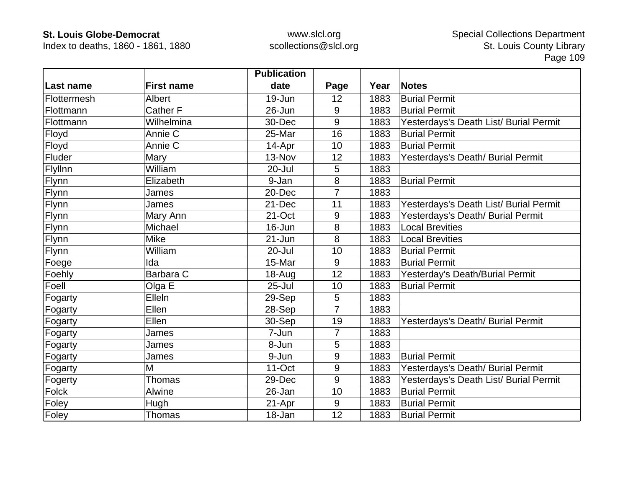Index to deaths, 1860 - 1861, 1880

|             |                   | <b>Publication</b> |                |      |                                        |
|-------------|-------------------|--------------------|----------------|------|----------------------------------------|
| Last name   | <b>First name</b> | date               | Page           | Year | <b>Notes</b>                           |
| Flottermesh | Albert            | 19-Jun             | 12             | 1883 | <b>Burial Permit</b>                   |
| Flottmann   | <b>Cather F</b>   | $26 - Jun$         | 9              | 1883 | <b>Burial Permit</b>                   |
| Flottmann   | Wilhelmina        | 30-Dec             | 9              | 1883 | Yesterdays's Death List/ Burial Permit |
| Floyd       | Annie C           | 25-Mar             | 16             | 1883 | <b>Burial Permit</b>                   |
| Floyd       | Annie C           | 14-Apr             | 10             | 1883 | <b>Burial Permit</b>                   |
| Fluder      | Mary              | 13-Nov             | 12             | 1883 | Yesterdays's Death/ Burial Permit      |
| Flyllnn     | William           | 20-Jul             | 5              | 1883 |                                        |
| Flynn       | Elizabeth         | 9-Jan              | 8              | 1883 | <b>Burial Permit</b>                   |
| Flynn       | James             | 20-Dec             | 7              | 1883 |                                        |
| Flynn       | James             | 21-Dec             | 11             | 1883 | Yesterdays's Death List/ Burial Permit |
| Flynn       | Mary Ann          | 21-Oct             | 9              | 1883 | Yesterdays's Death/ Burial Permit      |
| Flynn       | Michael           | $16 - Jun$         | 8              | 1883 | <b>Local Brevities</b>                 |
| Flynn       | <b>Mike</b>       | $21 - Jun$         | 8              | 1883 | <b>Local Brevities</b>                 |
| Flynn       | William           | 20-Jul             | 10             | 1883 | <b>Burial Permit</b>                   |
| Foege       | Ida               | 15-Mar             | 9              | 1883 | <b>Burial Permit</b>                   |
| Foehly      | Barbara C         | 18-Aug             | 12             | 1883 | Yesterday's Death/Burial Permit        |
| Foell       | Olga E            | 25-Jul             | 10             | 1883 | <b>Burial Permit</b>                   |
| Fogarty     | Elleln            | 29-Sep             | 5              | 1883 |                                        |
| Fogarty     | Ellen             | 28-Sep             | $\overline{7}$ | 1883 |                                        |
| Fogarty     | Ellen             | 30-Sep             | 19             | 1883 | Yesterdays's Death/ Burial Permit      |
| Fogarty     | James             | 7-Jun              | $\overline{7}$ | 1883 |                                        |
| Fogarty     | James             | 8-Jun              | 5              | 1883 |                                        |
| Fogarty     | James             | 9-Jun              | 9              | 1883 | <b>Burial Permit</b>                   |
| Fogarty     | M                 | 11-Oct             | 9              | 1883 | Yesterdays's Death/ Burial Permit      |
| Fogerty     | <b>Thomas</b>     | 29-Dec             | 9              | 1883 | Yesterdays's Death List/ Burial Permit |
| Folck       | Alwine            | 26-Jan             | 10             | 1883 | <b>Burial Permit</b>                   |
| Foley       | Hugh              | 21-Apr             | 9              | 1883 | <b>Burial Permit</b>                   |
| Foley       | Thomas            | 18-Jan             | 12             | 1883 | <b>Burial Permit</b>                   |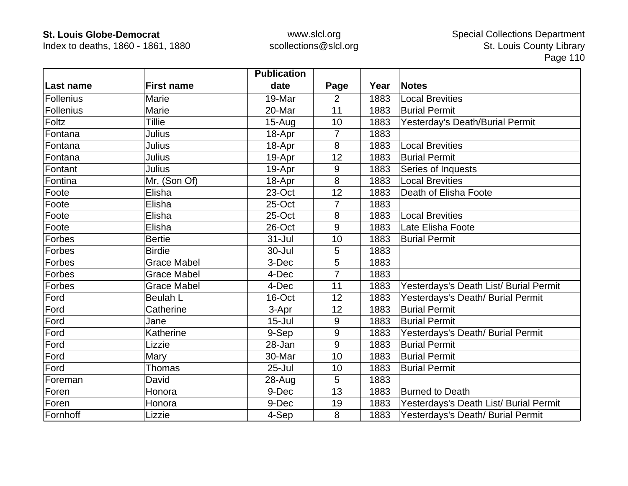Index to deaths, 1860 - 1861, 1880

|                  |                    | <b>Publication</b> |                |      |                                        |
|------------------|--------------------|--------------------|----------------|------|----------------------------------------|
| Last name        | <b>First name</b>  | date               | Page           | Year | <b>Notes</b>                           |
| <b>Follenius</b> | Marie              | 19-Mar             | 2              | 1883 | <b>Local Brevities</b>                 |
| Follenius        | Marie              | 20-Mar             | 11             | 1883 | <b>Burial Permit</b>                   |
| Foltz            | <b>Tillie</b>      | $15-Aug$           | 10             | 1883 | Yesterday's Death/Burial Permit        |
| Fontana          | Julius             | 18-Apr             | 7              | 1883 |                                        |
| Fontana          | Julius             | 18-Apr             | 8              | 1883 | <b>Local Brevities</b>                 |
| Fontana          | Julius             | 19-Apr             | 12             | 1883 | <b>Burial Permit</b>                   |
| Fontant          | <b>Julius</b>      | 19-Apr             | 9              | 1883 | Series of Inquests                     |
| Fontina          | Mr, (Son Of)       | 18-Apr             | 8              | 1883 | <b>Local Brevities</b>                 |
| Foote            | Elisha             | 23-Oct             | 12             | 1883 | Death of Elisha Foote                  |
| Foote            | Elisha             | 25-Oct             | $\overline{7}$ | 1883 |                                        |
| Foote            | Elisha             | 25-Oct             | 8              | 1883 | <b>Local Brevities</b>                 |
| Foote            | Elisha             | 26-Oct             | 9              | 1883 | Late Elisha Foote                      |
| Forbes           | <b>Bertie</b>      | $31 -$ Jul         | 10             | 1883 | <b>Burial Permit</b>                   |
| Forbes           | <b>Birdie</b>      | 30-Jul             | 5              | 1883 |                                        |
| Forbes           | <b>Grace Mabel</b> | 3-Dec              | 5              | 1883 |                                        |
| Forbes           | <b>Grace Mabel</b> | 4-Dec              | $\overline{7}$ | 1883 |                                        |
| Forbes           | <b>Grace Mabel</b> | 4-Dec              | 11             | 1883 | Yesterdays's Death List/ Burial Permit |
| Ford             | <b>Beulah L</b>    | 16-Oct             | 12             | 1883 | Yesterdays's Death/ Burial Permit      |
| Ford             | Catherine          | 3-Apr              | 12             | 1883 | <b>Burial Permit</b>                   |
| Ford             | Jane               | $15 -$ Jul         | 9              | 1883 | <b>Burial Permit</b>                   |
| Ford             | Katherine          | 9-Sep              | 9              | 1883 | Yesterdays's Death/ Burial Permit      |
| Ford             | Lizzie             | 28-Jan             | 9              | 1883 | <b>Burial Permit</b>                   |
| Ford             | Mary               | 30-Mar             | 10             | 1883 | <b>Burial Permit</b>                   |
| Ford             | Thomas             | $25 -$ Jul         | 10             | 1883 | <b>Burial Permit</b>                   |
| Foreman          | David              | 28-Aug             | 5              | 1883 |                                        |
| Foren            | Honora             | 9-Dec              | 13             | 1883 | <b>Burned to Death</b>                 |
| Foren            | Honora             | 9-Dec              | 19             | 1883 | Yesterdays's Death List/ Burial Permit |
| Fornhoff         | Lizzie             | 4-Sep              | 8              | 1883 | Yesterdays's Death/ Burial Permit      |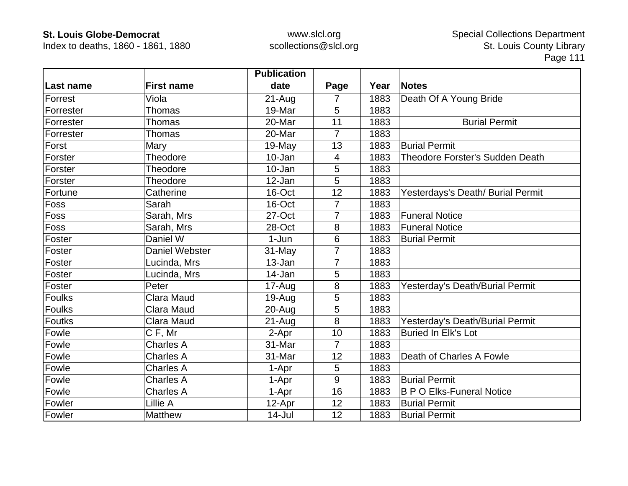Index to deaths, 1860 - 1861, 1880

|           |                       | <b>Publication</b> |                |      |                                   |
|-----------|-----------------------|--------------------|----------------|------|-----------------------------------|
| Last name | <b>First name</b>     | date               | Page           | Year | <b>Notes</b>                      |
| Forrest   | Viola                 | 21-Aug             | $\overline{7}$ | 1883 | Death Of A Young Bride            |
| Forrester | <b>Thomas</b>         | 19-Mar             | 5              | 1883 |                                   |
| Forrester | <b>Thomas</b>         | 20-Mar             | 11             | 1883 | <b>Burial Permit</b>              |
| Forrester | <b>Thomas</b>         | 20-Mar             | $\overline{7}$ | 1883 |                                   |
| Forst     | Mary                  | $19-May$           | 13             | 1883 | <b>Burial Permit</b>              |
| Forster   | Theodore              | 10-Jan             | 4              | 1883 | Theodore Forster's Sudden Death   |
| Forster   | Theodore              | 10-Jan             | 5              | 1883 |                                   |
| Forster   | Theodore              | 12-Jan             | 5              | 1883 |                                   |
| Fortune   | Catherine             | 16-Oct             | 12             | 1883 | Yesterdays's Death/ Burial Permit |
| Foss      | Sarah                 | 16-Oct             | $\overline{7}$ | 1883 |                                   |
| Foss      | Sarah, Mrs            | 27-Oct             |                | 1883 | <b>Funeral Notice</b>             |
| Foss      | Sarah, Mrs            | 28-Oct             | 8              | 1883 | <b>Funeral Notice</b>             |
| Foster    | Daniel W              | $1-Jun$            | 6              | 1883 | <b>Burial Permit</b>              |
| Foster    | <b>Daniel Webster</b> | 31-May             | 7              | 1883 |                                   |
| Foster    | Lucinda, Mrs          | 13-Jan             | 7              | 1883 |                                   |
| Foster    | Lucinda, Mrs          | 14-Jan             | 5              | 1883 |                                   |
| Foster    | Peter                 | 17-Aug             | $\bf 8$        | 1883 | Yesterday's Death/Burial Permit   |
| Foulks    | <b>Clara Maud</b>     | 19-Aug             | 5              | 1883 |                                   |
| Foulks    | <b>Clara Maud</b>     | 20-Aug             | 5              | 1883 |                                   |
| Foutks    | Clara Maud            | $21 - Aug$         | 8              | 1883 | Yesterday's Death/Burial Permit   |
| Fowle     | CF, Mr                | 2-Apr              | 10             | 1883 | <b>Buried In Elk's Lot</b>        |
| Fowle     | <b>Charles A</b>      | 31-Mar             | $\overline{7}$ | 1883 |                                   |
| Fowle     | <b>Charles A</b>      | 31-Mar             | 12             | 1883 | Death of Charles A Fowle          |
| Fowle     | <b>Charles A</b>      | 1-Apr              | 5              | 1883 |                                   |
| Fowle     | <b>Charles A</b>      | 1-Apr              | 9              | 1883 | <b>Burial Permit</b>              |
| Fowle     | <b>Charles A</b>      | 1-Apr              | 16             | 1883 | <b>B P O Elks-Funeral Notice</b>  |
| Fowler    | Lillie A              | 12-Apr             | 12             | 1883 | <b>Burial Permit</b>              |
| Fowler    | <b>Matthew</b>        | 14-Jul             | 12             | 1883 | <b>Burial Permit</b>              |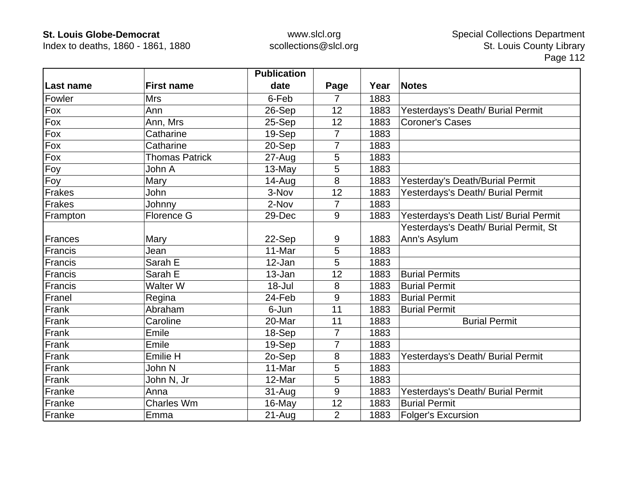Index to deaths, 1860 - 1861, 1880

|               |                       | <b>Publication</b> |                |      |                                        |
|---------------|-----------------------|--------------------|----------------|------|----------------------------------------|
| Last name     | <b>First name</b>     | date               | Page           | Year | <b>Notes</b>                           |
| Fowler        | <b>Mrs</b>            | 6-Feb              | $\overline{7}$ | 1883 |                                        |
| Fox           | Ann                   | 26-Sep             | 12             | 1883 | Yesterdays's Death/ Burial Permit      |
| Fox           | Ann, Mrs              | 25-Sep             | 12             | 1883 | <b>Coroner's Cases</b>                 |
| Fox           | Catharine             | 19-Sep             | $\overline{7}$ | 1883 |                                        |
| Fox           | Catharine             | 20-Sep             | $\overline{7}$ | 1883 |                                        |
| Fox           | <b>Thomas Patrick</b> | 27-Aug             | 5              | 1883 |                                        |
| Foy           | John A                | 13-May             | 5              | 1883 |                                        |
| Foy           | Mary                  | $14 - Aug$         | 8              | 1883 | Yesterday's Death/Burial Permit        |
| <b>Frakes</b> | John                  | 3-Nov              | 12             | 1883 | Yesterdays's Death/ Burial Permit      |
| <b>Frakes</b> | Johnny                | 2-Nov              | $\overline{7}$ | 1883 |                                        |
| Frampton      | Florence G            | 29-Dec             | 9              | 1883 | Yesterdays's Death List/ Burial Permit |
|               |                       |                    |                |      | Yesterdays's Death/ Burial Permit, St  |
| Frances       | Mary                  | 22-Sep             | 9              | 1883 | Ann's Asylum                           |
| Francis       | Jean                  | 11-Mar             | 5              | 1883 |                                        |
| Francis       | Sarah E               | 12-Jan             | 5              | 1883 |                                        |
| Francis       | Sarah E               | 13-Jan             | 12             | 1883 | <b>Burial Permits</b>                  |
| Francis       | <b>Walter W</b>       | $18 -$ Jul         | 8              | 1883 | <b>Burial Permit</b>                   |
| Franel        | Regina                | 24-Feb             | 9              | 1883 | <b>Burial Permit</b>                   |
| Frank         | Abraham               | 6-Jun              | 11             | 1883 | <b>Burial Permit</b>                   |
| Frank         | Caroline              | 20-Mar             | 11             | 1883 | <b>Burial Permit</b>                   |
| Frank         | Emile                 | 18-Sep             | $\overline{7}$ | 1883 |                                        |
| Frank         | Emile                 | 19-Sep             | 7              | 1883 |                                        |
| Frank         | <b>Emilie H</b>       | 2o-Sep             | 8              | 1883 | Yesterdays's Death/ Burial Permit      |
| Frank         | John N                | 11-Mar             | 5              | 1883 |                                        |
| Frank         | John N, Jr            | 12-Mar             | 5              | 1883 |                                        |
| Franke        | Anna                  | $31 - Aug$         | 9              | 1883 | Yesterdays's Death/ Burial Permit      |
| Franke        | <b>Charles Wm</b>     | 16-May             | 12             | 1883 | <b>Burial Permit</b>                   |
| Franke        | Emma                  | $21 - Aug$         | $\overline{2}$ | 1883 | <b>Folger's Excursion</b>              |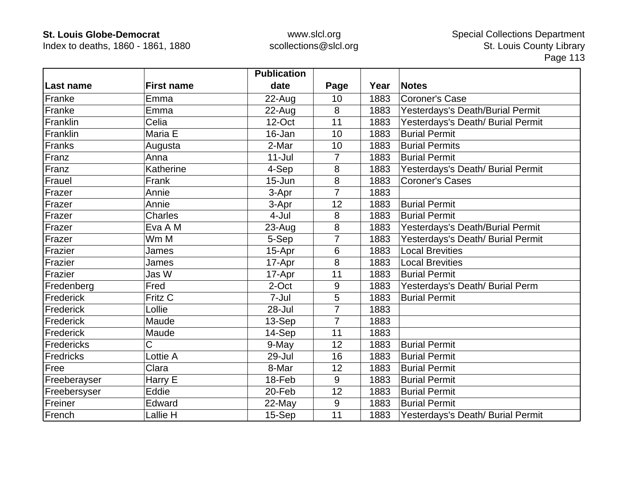Index to deaths, 1860 - 1861, 1880

|              |                   | <b>Publication</b> |                |      |                                   |
|--------------|-------------------|--------------------|----------------|------|-----------------------------------|
| Last name    | <b>First name</b> | date               | Page           | Year | <b>Notes</b>                      |
| Franke       | Emma              | $22$ -Aug          | 10             | 1883 | <b>Coroner's Case</b>             |
| Franke       | Emma              | 22-Aug             | 8              | 1883 | Yesterdays's Death/Burial Permit  |
| Franklin     | Celia             | 12-Oct             | 11             | 1883 | Yesterdays's Death/ Burial Permit |
| Franklin     | Maria E           | 16-Jan             | 10             | 1883 | <b>Burial Permit</b>              |
| Franks       | Augusta           | 2-Mar              | 10             | 1883 | <b>Burial Permits</b>             |
| Franz        | Anna              | $11 -$ Jul         | $\overline{7}$ | 1883 | <b>Burial Permit</b>              |
| Franz        | Katherine         | 4-Sep              | 8              | 1883 | Yesterdays's Death/ Burial Permit |
| Frauel       | Frank             | $15 - Jun$         | 8              | 1883 | <b>Coroner's Cases</b>            |
| Frazer       | Annie             | 3-Apr              | 7              | 1883 |                                   |
| Frazer       | Annie             | 3-Apr              | 12             | 1883 | <b>Burial Permit</b>              |
| Frazer       | <b>Charles</b>    | 4-Jul              | 8              | 1883 | <b>Burial Permit</b>              |
| Frazer       | Eva A M           | 23-Aug             | 8              | 1883 | Yesterdays's Death/Burial Permit  |
| Frazer       | Wm M              | 5-Sep              | 7              | 1883 | Yesterdays's Death/ Burial Permit |
| Frazier      | James             | 15-Apr             | 6              | 1883 | <b>Local Brevities</b>            |
| Frazier      | James             | 17-Apr             | 8              | 1883 | <b>Local Brevities</b>            |
| Frazier      | Jas W             | 17-Apr             | 11             | 1883 | <b>Burial Permit</b>              |
| Fredenberg   | Fred              | 2-Oct              | 9              | 1883 | Yesterdays's Death/ Burial Perm   |
| Frederick    | Fritz C           | 7-Jul              | 5              | 1883 | <b>Burial Permit</b>              |
| Frederick    | Lollie            | 28-Jul             | $\overline{7}$ | 1883 |                                   |
| Frederick    | Maude             | 13-Sep             | $\overline{7}$ | 1883 |                                   |
| Frederick    | Maude             | 14-Sep             | 11             | 1883 |                                   |
| Fredericks   | Ć                 | 9-May              | 12             | 1883 | <b>Burial Permit</b>              |
| Fredricks    | Lottie A          | 29-Jul             | 16             | 1883 | <b>Burial Permit</b>              |
| Free         | Clara             | 8-Mar              | 12             | 1883 | <b>Burial Permit</b>              |
| Freeberayser | Harry E           | 18-Feb             | 9              | 1883 | <b>Burial Permit</b>              |
| Freebersyser | Eddie             | 20-Feb             | 12             | 1883 | <b>Burial Permit</b>              |
| Freiner      | Edward            | 22-May             | 9              | 1883 | <b>Burial Permit</b>              |
| French       | Lallie H          | 15-Sep             | 11             | 1883 | Yesterdays's Death/ Burial Permit |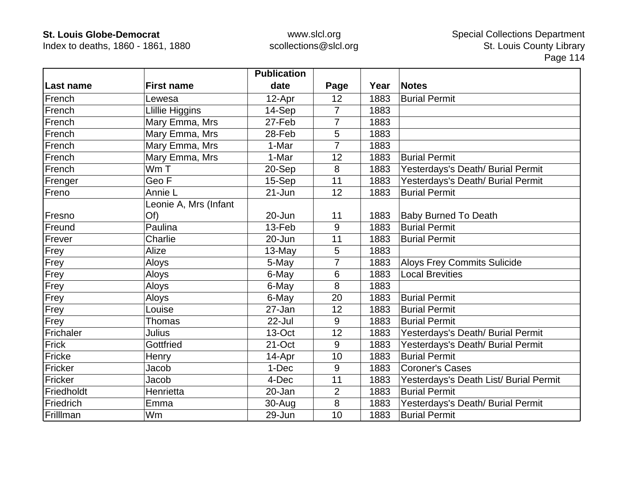Index to deaths, 1860 - 1861, 1880

|            |                        | <b>Publication</b> |                |      |                                        |
|------------|------------------------|--------------------|----------------|------|----------------------------------------|
| Last name  | <b>First name</b>      | date               | Page           | Year | <b>Notes</b>                           |
| French     | Lewesa                 | 12-Apr             | 12             | 1883 | <b>Burial Permit</b>                   |
| French     | <b>Llillie Higgins</b> | 14-Sep             | $\overline{7}$ | 1883 |                                        |
| French     | Mary Emma, Mrs         | 27-Feb             | 7              | 1883 |                                        |
| French     | Mary Emma, Mrs         | 28-Feb             | 5              | 1883 |                                        |
| French     | Mary Emma, Mrs         | 1-Mar              | 7              | 1883 |                                        |
| French     | Mary Emma, Mrs         | 1-Mar              | 12             | 1883 | <b>Burial Permit</b>                   |
| French     | Wm T                   | 20-Sep             | 8              | 1883 | Yesterdays's Death/ Burial Permit      |
| Frenger    | Geo F                  | 15-Sep             | 11             | 1883 | Yesterdays's Death/ Burial Permit      |
| Freno      | Annie L                | $21 - Jun$         | 12             | 1883 | <b>Burial Permit</b>                   |
|            | Leonie A, Mrs (Infant  |                    |                |      |                                        |
| Fresno     | Of)                    | 20-Jun             | 11             | 1883 | <b>Baby Burned To Death</b>            |
| Freund     | Paulina                | 13-Feb             | 9              | 1883 | <b>Burial Permit</b>                   |
| Frever     | Charlie                | 20-Jun             | 11             | 1883 | <b>Burial Permit</b>                   |
| Frey       | Alize                  | 13-May             | 5              | 1883 |                                        |
| Frey       | Aloys                  | 5-May              | $\overline{7}$ | 1883 | <b>Aloys Frey Commits Sulicide</b>     |
| Frey       | Aloys                  | 6-May              | 6              | 1883 | <b>Local Brevities</b>                 |
| Frey       | Aloys                  | 6-May              | 8              | 1883 |                                        |
| Frey       | Aloys                  | 6-May              | 20             | 1883 | <b>Burial Permit</b>                   |
| Frey       | Louise                 | 27-Jan             | 12             | 1883 | <b>Burial Permit</b>                   |
| Frey       | <b>Thomas</b>          | 22-Jul             | 9              | 1883 | <b>Burial Permit</b>                   |
| Frichaler  | Julius                 | 13-Oct             | 12             | 1883 | Yesterdays's Death/ Burial Permit      |
| Frick      | Gottfried              | 21-Oct             | 9              | 1883 | Yesterdays's Death/ Burial Permit      |
| Fricke     | Henry                  | 14-Apr             | 10             | 1883 | <b>Burial Permit</b>                   |
| Fricker    | Jacob                  | 1-Dec              | 9              | 1883 | <b>Coroner's Cases</b>                 |
| Fricker    | Jacob                  | 4-Dec              | 11             | 1883 | Yesterdays's Death List/ Burial Permit |
| Friedholdt | Henrietta              | 20-Jan             | $\overline{2}$ | 1883 | <b>Burial Permit</b>                   |
| Friedrich  | Emma                   | 30-Aug             | 8              | 1883 | Yesterdays's Death/ Burial Permit      |
| Frilllman  | Wm                     | 29-Jun             | 10             | 1883 | <b>Burial Permit</b>                   |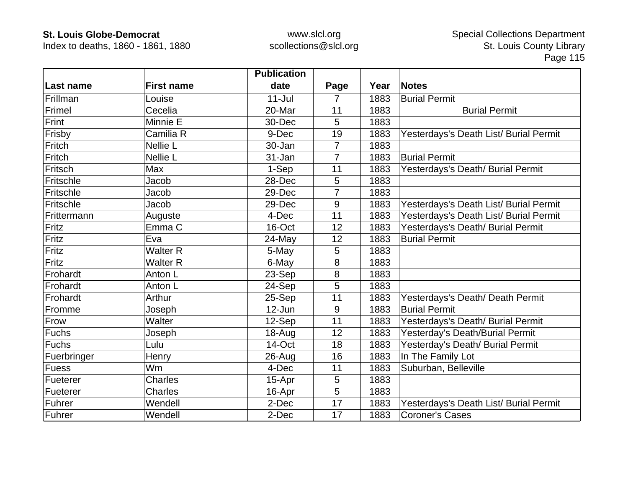Index to deaths, 1860 - 1861, 1880

|             |                   | <b>Publication</b> |                |      |                                        |
|-------------|-------------------|--------------------|----------------|------|----------------------------------------|
| Last name   | <b>First name</b> | date               | Page           | Year | <b>Notes</b>                           |
| Frillman    | Louise            | $11 -$ Jul         | 7              | 1883 | <b>Burial Permit</b>                   |
| Frimel      | Cecelia           | 20-Mar             | 11             | 1883 | <b>Burial Permit</b>                   |
| Frint       | Minnie E          | 30-Dec             | 5              | 1883 |                                        |
| Frisby      | Camilia R         | 9-Dec              | 19             | 1883 | Yesterdays's Death List/ Burial Permit |
| Fritch      | <b>Nellie L</b>   | 30-Jan             | $\overline{7}$ | 1883 |                                        |
| Fritch      | Nellie L          | 31-Jan             | $\overline{7}$ | 1883 | <b>Burial Permit</b>                   |
| Fritsch     | Max               | 1-Sep              | 11             | 1883 | Yesterdays's Death/ Burial Permit      |
| Fritschle   | Jacob             | 28-Dec             | 5              | 1883 |                                        |
| Fritschle   | Jacob             | 29-Dec             | 7              | 1883 |                                        |
| Fritschle   | Jacob             | 29-Dec             | 9              | 1883 | Yesterdays's Death List/ Burial Permit |
| Frittermann | Auguste           | 4-Dec              | 11             | 1883 | Yesterdays's Death List/ Burial Permit |
| Fritz       | Emma <sub>C</sub> | 16-Oct             | 12             | 1883 | Yesterdays's Death/ Burial Permit      |
| Fritz       | Eva               | 24-May             | 12             | 1883 | <b>Burial Permit</b>                   |
| Fritz       | <b>Walter R</b>   | 5-May              | 5              | 1883 |                                        |
| Fritz       | <b>Walter R</b>   | 6-May              | 8              | 1883 |                                        |
| Frohardt    | Anton L           | 23-Sep             | 8              | 1883 |                                        |
| Frohardt    | Anton L           | 24-Sep             | 5              | 1883 |                                        |
| Frohardt    | Arthur            | 25-Sep             | 11             | 1883 | Yesterdays's Death/ Death Permit       |
| Fromme      | Joseph            | 12-Jun             | 9              | 1883 | <b>Burial Permit</b>                   |
| Frow        | <b>Walter</b>     | 12-Sep             | 11             | 1883 | Yesterdays's Death/ Burial Permit      |
| Fuchs       | Joseph            | $18 - Aug$         | 12             | 1883 | Yesterday's Death/Burial Permit        |
| Fuchs       | Lulu              | 14-Oct             | 18             | 1883 | Yesterday's Death/ Burial Permit       |
| Fuerbringer | Henry             | 26-Aug             | 16             | 1883 | In The Family Lot                      |
| Fuess       | Wm                | 4-Dec              | 11             | 1883 | Suburban, Belleville                   |
| Fueterer    | <b>Charles</b>    | 15-Apr             | 5              | 1883 |                                        |
| Fueterer    | <b>Charles</b>    | 16-Apr             | 5              | 1883 |                                        |
| Fuhrer      | Wendell           | 2-Dec              | 17             | 1883 | Yesterdays's Death List/ Burial Permit |
| Fuhrer      | Wendell           | 2-Dec              | 17             | 1883 | <b>Coroner's Cases</b>                 |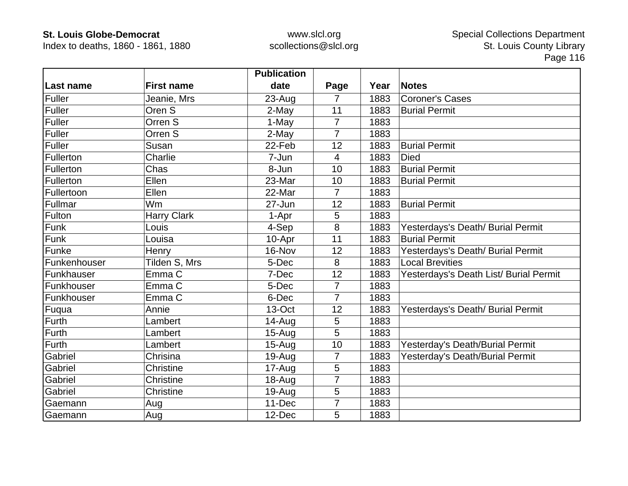Index to deaths, 1860 - 1861, 1880

|              |                    | <b>Publication</b> |                 |      |                                        |
|--------------|--------------------|--------------------|-----------------|------|----------------------------------------|
| Last name    | <b>First name</b>  | date               | Page            | Year | <b>Notes</b>                           |
| Fuller       | Jeanie, Mrs        | 23-Aug             | $\overline{7}$  | 1883 | <b>Coroner's Cases</b>                 |
| Fuller       | Oren S             | 2-May              | 11              | 1883 | <b>Burial Permit</b>                   |
| Fuller       | Orren S            | 1-May              | $\overline{7}$  | 1883 |                                        |
| Fuller       | Orren S            | 2-May              | $\overline{7}$  | 1883 |                                        |
| Fuller       | Susan              | 22-Feb             | 12              | 1883 | <b>Burial Permit</b>                   |
| Fullerton    | Charlie            | 7-Jun              | $\overline{4}$  | 1883 | <b>Died</b>                            |
| Fullerton    | Chas               | 8-Jun              | 10              | 1883 | <b>Burial Permit</b>                   |
| Fullerton    | Ellen              | 23-Mar             | 10              | 1883 | <b>Burial Permit</b>                   |
| Fullertoon   | Ellen              | 22-Mar             | $\overline{7}$  | 1883 |                                        |
| Fullmar      | Wm                 | 27-Jun             | 12              | 1883 | <b>Burial Permit</b>                   |
| Fulton       | <b>Harry Clark</b> | 1-Apr              | 5               | 1883 |                                        |
| Funk         | Louis              | 4-Sep              | 8               | 1883 | Yesterdays's Death/ Burial Permit      |
| Funk         | Louisa             | 10-Apr             | 11              | 1883 | <b>Burial Permit</b>                   |
| Funke        | Henry              | 16-Nov             | 12              | 1883 | Yesterdays's Death/ Burial Permit      |
| Funkenhouser | Tilden S, Mrs      | 5-Dec              | 8               | 1883 | <b>Local Brevities</b>                 |
| Funkhauser   | Emma C             | 7-Dec              | 12              | 1883 | Yesterdays's Death List/ Burial Permit |
| Funkhouser   | Emma <sub>C</sub>  | 5-Dec              | $\overline{7}$  | 1883 |                                        |
| Funkhouser   | Emma C             | 6-Dec              | $\overline{7}$  | 1883 |                                        |
| Fuqua        | Annie              | 13-Oct             | 12              | 1883 | Yesterdays's Death/ Burial Permit      |
| Furth        | Lambert            | 14-Aug             | 5               | 1883 |                                        |
| Furth        | Lambert            | $15-Auq$           | 5               | 1883 |                                        |
| Furth        | Lambert            | $15 - Aug$         | 10              | 1883 | Yesterday's Death/Burial Permit        |
| Gabriel      | Chrisina           | $19-Auq$           | $\overline{7}$  | 1883 | Yesterday's Death/Burial Permit        |
| Gabriel      | Christine          | 17-Aug             | 5               | 1883 |                                        |
| Gabriel      | Christine          | 18-Aug             | 7               | 1883 |                                        |
| Gabriel      | Christine          | 19-Aug             | $5\phantom{.0}$ | 1883 |                                        |
| Gaemann      | Aug                | 11-Dec             | 7               | 1883 |                                        |
| Gaemann      | Aug                | 12-Dec             | 5               | 1883 |                                        |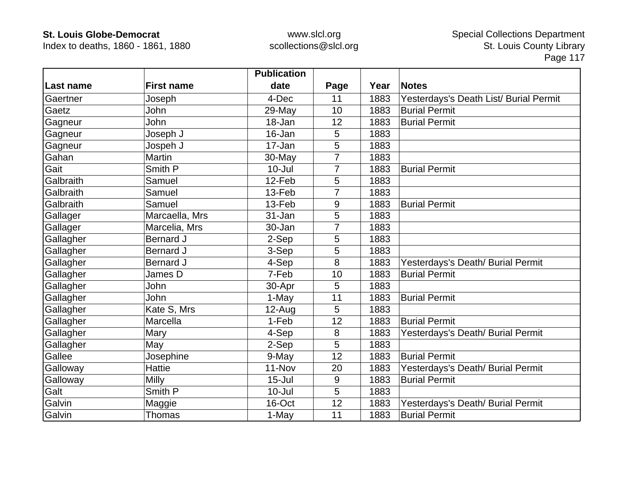Index to deaths, 1860 - 1861, 1880

|           |                   | <b>Publication</b> |                |      |                                        |
|-----------|-------------------|--------------------|----------------|------|----------------------------------------|
| Last name | <b>First name</b> | date               | Page           | Year | <b>Notes</b>                           |
| Gaertner  | Joseph            | 4-Dec              | 11             | 1883 | Yesterdays's Death List/ Burial Permit |
| Gaetz     | John              | 29-May             | 10             | 1883 | <b>Burial Permit</b>                   |
| Gagneur   | John              | 18-Jan             | 12             | 1883 | <b>Burial Permit</b>                   |
| Gagneur   | Joseph J          | 16-Jan             | 5              | 1883 |                                        |
| Gagneur   | Jospeh J          | 17-Jan             | 5              | 1883 |                                        |
| Gahan     | Martin            | 30-May             | $\overline{7}$ | 1883 |                                        |
| Gait      | Smith P           | $10 -$ Jul         |                | 1883 | <b>Burial Permit</b>                   |
| Galbraith | Samuel            | 12-Feb             | 5              | 1883 |                                        |
| Galbraith | Samuel            | 13-Feb             |                | 1883 |                                        |
| Galbraith | Samuel            | 13-Feb             | 9              | 1883 | <b>Burial Permit</b>                   |
| Gallager  | Marcaella, Mrs    | 31-Jan             | 5              | 1883 |                                        |
| Gallager  | Marcelia, Mrs     | 30-Jan             | 7              | 1883 |                                        |
| Gallagher | <b>Bernard J</b>  | 2-Sep              | 5              | 1883 |                                        |
| Gallagher | <b>Bernard J</b>  | 3-Sep              | 5              | 1883 |                                        |
| Gallagher | <b>Bernard J</b>  | 4-Sep              | 8              | 1883 | Yesterdays's Death/ Burial Permit      |
| Gallagher | James D           | 7-Feb              | 10             | 1883 | <b>Burial Permit</b>                   |
| Gallagher | John              | 30-Apr             | 5              | 1883 |                                        |
| Gallagher | John              | 1-May              | 11             | 1883 | <b>Burial Permit</b>                   |
| Gallagher | Kate S, Mrs       | $12-Au$ g          | 5              | 1883 |                                        |
| Gallagher | Marcella          | 1-Feb              | 12             | 1883 | <b>Burial Permit</b>                   |
| Gallagher | Mary              | 4-Sep              | 8              | 1883 | Yesterdays's Death/ Burial Permit      |
| Gallagher | May               | 2-Sep              | 5              | 1883 |                                        |
| Gallee    | Josephine         | 9-May              | 12             | 1883 | <b>Burial Permit</b>                   |
| Galloway  | <b>Hattie</b>     | 11-Nov             | 20             | 1883 | Yesterdays's Death/ Burial Permit      |
| Galloway  | Milly             | $15 -$ Jul         | 9              | 1883 | <b>Burial Permit</b>                   |
| Galt      | Smith P           | $10 -$ Jul         | 5              | 1883 |                                        |
| Galvin    | Maggie            | 16-Oct             | 12             | 1883 | Yesterdays's Death/ Burial Permit      |
| Galvin    | Thomas            | 1-May              | 11             | 1883 | <b>Burial Permit</b>                   |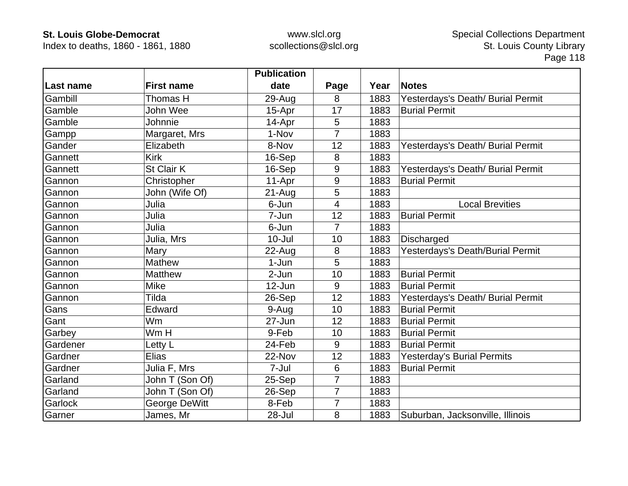Index to deaths, 1860 - 1861, 1880

|           |                   | <b>Publication</b> |                          |      |                                   |
|-----------|-------------------|--------------------|--------------------------|------|-----------------------------------|
| Last name | <b>First name</b> | date               | Page                     | Year | <b>Notes</b>                      |
| Gambill   | Thomas H          | 29-Aug             | 8                        | 1883 | Yesterdays's Death/ Burial Permit |
| Gamble    | John Wee          | 15-Apr             | 17                       | 1883 | <b>Burial Permit</b>              |
| Gamble    | Johnnie           | 14-Apr             | 5                        | 1883 |                                   |
| Gampp     | Margaret, Mrs     | 1-Nov              | $\overline{7}$           | 1883 |                                   |
| Gander    | Elizabeth         | 8-Nov              | 12                       | 1883 | Yesterdays's Death/ Burial Permit |
| Gannett   | <b>Kirk</b>       | 16-Sep             | 8                        | 1883 |                                   |
| Gannett   | St Clair K        | 16-Sep             | 9                        | 1883 | Yesterdays's Death/ Burial Permit |
| Gannon    | Christopher       | 11-Apr             | 9                        | 1883 | <b>Burial Permit</b>              |
| Gannon    | John (Wife Of)    | $21 - Aug$         | 5                        | 1883 |                                   |
| Gannon    | Julia             | 6-Jun              | $\overline{\mathcal{A}}$ | 1883 | <b>Local Brevities</b>            |
| Gannon    | Julia             | 7-Jun              | 12                       | 1883 | <b>Burial Permit</b>              |
| Gannon    | Julia             | 6-Jun              | $\overline{7}$           | 1883 |                                   |
| Gannon    | Julia, Mrs        | $10 -$ Jul         | 10                       | 1883 | Discharged                        |
| Gannon    | Mary              | $22$ -Aug          | 8                        | 1883 | Yesterdays's Death/Burial Permit  |
| Gannon    | Mathew            | 1-Jun              | 5                        | 1883 |                                   |
| Gannon    | <b>Matthew</b>    | 2-Jun              | 10                       | 1883 | <b>Burial Permit</b>              |
| Gannon    | <b>Mike</b>       | 12-Jun             | 9                        | 1883 | <b>Burial Permit</b>              |
| Gannon    | Tilda             | 26-Sep             | 12                       | 1883 | Yesterdays's Death/ Burial Permit |
| Gans      | Edward            | 9-Aug              | 10                       | 1883 | <b>Burial Permit</b>              |
| Gant      | Wm                | 27-Jun             | 12                       | 1883 | <b>Burial Permit</b>              |
| Garbey    | Wm H              | 9-Feb              | 10                       | 1883 | <b>Burial Permit</b>              |
| Gardener  | Letty L           | 24-Feb             | 9                        | 1883 | <b>Burial Permit</b>              |
| Gardner   | <b>Elias</b>      | 22-Nov             | 12                       | 1883 | <b>Yesterday's Burial Permits</b> |
| Gardner   | Julia F, Mrs      | 7-Jul              | 6                        | 1883 | <b>Burial Permit</b>              |
| Garland   | John T (Son Of)   | 25-Sep             | $\overline{7}$           | 1883 |                                   |
| Garland   | John T (Son Of)   | 26-Sep             | $\overline{7}$           | 1883 |                                   |
| Garlock   | George DeWitt     | 8-Feb              | $\overline{7}$           | 1883 |                                   |
| Garner    | James, Mr         | 28-Jul             | 8                        | 1883 | Suburban, Jacksonville, Illinois  |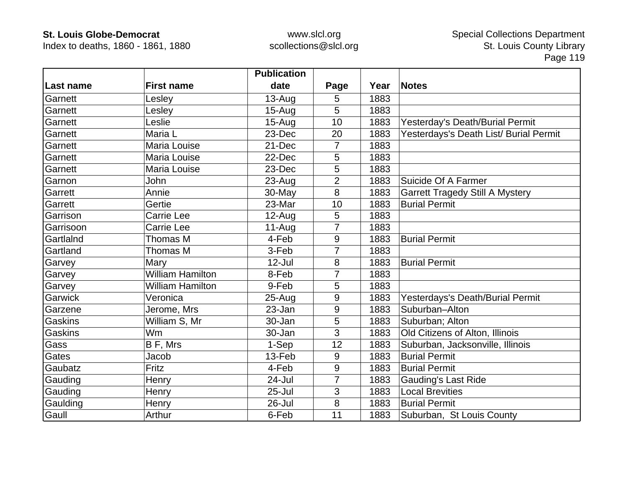Index to deaths, 1860 - 1861, 1880

|           |                         | <b>Publication</b> |                |      |                                        |
|-----------|-------------------------|--------------------|----------------|------|----------------------------------------|
| Last name | <b>First name</b>       | date               | Page           | Year | <b>Notes</b>                           |
| Garnett   | Lesley                  | $13 - Aug$         | 5              | 1883 |                                        |
| Garnett   | Lesley                  | $15 - Aug$         | 5              | 1883 |                                        |
| Garnett   | Leslie                  | $15 - Aug$         | 10             | 1883 | Yesterday's Death/Burial Permit        |
| Garnett   | Maria L                 | 23-Dec             | 20             | 1883 | Yesterdays's Death List/ Burial Permit |
| Garnett   | Maria Louise            | 21-Dec             | 7              | 1883 |                                        |
| Garnett   | Maria Louise            | 22-Dec             | 5              | 1883 |                                        |
| Garnett   | Maria Louise            | 23-Dec             | 5              | 1883 |                                        |
| Garnon    | John                    | 23-Aug             | $\overline{2}$ | 1883 | Suicide Of A Farmer                    |
| Garrett   | Annie                   | $30$ -May          | 8              | 1883 | <b>Garrett Tragedy Still A Mystery</b> |
| Garrett   | Gertie                  | 23-Mar             | 10             | 1883 | <b>Burial Permit</b>                   |
| Garrison  | Carrie Lee              | $12-Aug$           | 5              | 1883 |                                        |
| Garrisoon | Carrie Lee              | $11-Aug$           | 7              | 1883 |                                        |
| GartlaInd | Thomas M                | 4-Feb              | 9              | 1883 | <b>Burial Permit</b>                   |
| Gartland  | Thomas M                | 3-Feb              | $\overline{7}$ | 1883 |                                        |
| Garvey    | Mary                    | 12-Jul             | 8              | 1883 | <b>Burial Permit</b>                   |
| Garvey    | <b>William Hamilton</b> | 8-Feb              | 7              | 1883 |                                        |
| Garvey    | <b>William Hamilton</b> | 9-Feb              | 5              | 1883 |                                        |
| Garwick   | Veronica                | $25 - Aug$         | 9              | 1883 | Yesterdays's Death/Burial Permit       |
| Garzene   | Jerome, Mrs             | 23-Jan             | 9              | 1883 | Suburban-Alton                         |
| Gaskins   | William S, Mr           | 30-Jan             | 5              | 1883 | Suburban; Alton                        |
| Gaskins   | <b>Wm</b>               | 30-Jan             | 3              | 1883 | Old Citizens of Alton, Illinois        |
| Gass      | B F, Mrs                | 1-Sep              | 12             | 1883 | Suburban, Jacksonville, Illinois       |
| Gates     | Jacob                   | 13-Feb             | 9              | 1883 | <b>Burial Permit</b>                   |
| Gaubatz   | Fritz                   | 4-Feb              | 9              | 1883 | <b>Burial Permit</b>                   |
| Gauding   | Henry                   | 24-Jul             | 7              | 1883 | <b>Gauding's Last Ride</b>             |
| Gauding   | Henry                   | $25 -$ Jul         | 3              | 1883 | <b>Local Brevities</b>                 |
| Gaulding  | Henry                   | 26-Jul             | 8              | 1883 | <b>Burial Permit</b>                   |
| Gaull     | Arthur                  | 6-Feb              | 11             | 1883 | Suburban, St Louis County              |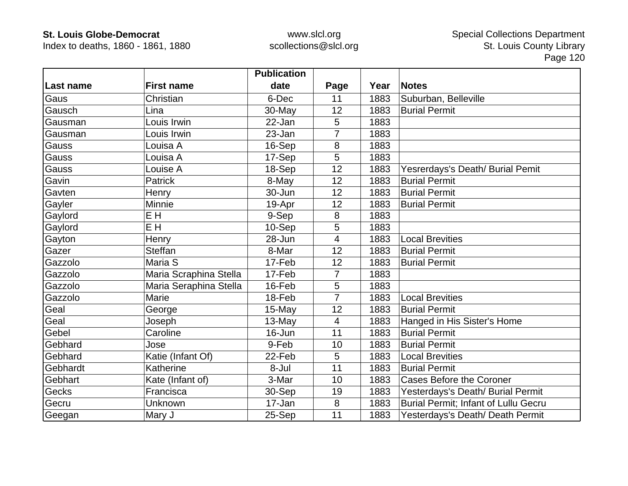Index to deaths, 1860 - 1861, 1880

|           |                        | <b>Publication</b> |                |      |                                      |
|-----------|------------------------|--------------------|----------------|------|--------------------------------------|
| Last name | <b>First name</b>      | date               | Page           | Year | <b>Notes</b>                         |
| Gaus      | Christian              | 6-Dec              | 11             | 1883 | Suburban, Belleville                 |
| Gausch    | Lina                   | 30-May             | 12             | 1883 | <b>Burial Permit</b>                 |
| Gausman   | Louis Irwin            | $22 - Jan$         | 5              | 1883 |                                      |
| Gausman   | Louis Irwin            | 23-Jan             | 7              | 1883 |                                      |
| Gauss     | Louisa A               | 16-Sep             | 8              | 1883 |                                      |
| Gauss     | Louisa A               | 17-Sep             | 5              | 1883 |                                      |
| Gauss     | Louise A               | 18-Sep             | 12             | 1883 | Yesrerdays's Death/ Burial Pemit     |
| Gavin     | <b>Patrick</b>         | 8-May              | 12             | 1883 | <b>Burial Permit</b>                 |
| Gavten    | Henry                  | 30-Jun             | 12             | 1883 | <b>Burial Permit</b>                 |
| Gayler    | Minnie                 | 19-Apr             | 12             | 1883 | <b>Burial Permit</b>                 |
| Gaylord   | E H                    | 9-Sep              | 8              | 1883 |                                      |
| Gaylord   | E H                    | 10-Sep             | 5              | 1883 |                                      |
| Gayton    | Henry                  | 28-Jun             | $\overline{4}$ | 1883 | <b>Local Brevities</b>               |
| Gazer     | <b>Steffan</b>         | 8-Mar              | 12             | 1883 | <b>Burial Permit</b>                 |
| Gazzolo   | Maria S                | 17-Feb             | 12             | 1883 | <b>Burial Permit</b>                 |
| Gazzolo   | Maria Scraphina Stella | 17-Feb             | $\overline{7}$ | 1883 |                                      |
| Gazzolo   | Maria Seraphina Stella | 16-Feb             | 5              | 1883 |                                      |
| Gazzolo   | Marie                  | 18-Feb             | $\overline{7}$ | 1883 | <b>Local Brevities</b>               |
| Geal      | George                 | $15$ -May          | 12             | 1883 | <b>Burial Permit</b>                 |
| Geal      | Joseph                 | 13-May             | $\overline{4}$ | 1883 | Hanged in His Sister's Home          |
| Gebel     | Caroline               | 16-Jun             | 11             | 1883 | <b>Burial Permit</b>                 |
| Gebhard   | Jose                   | 9-Feb              | 10             | 1883 | <b>Burial Permit</b>                 |
| Gebhard   | Katie (Infant Of)      | 22-Feb             | 5              | 1883 | <b>Local Brevities</b>               |
| Gebhardt  | Katherine              | 8-Jul              | 11             | 1883 | <b>Burial Permit</b>                 |
| Gebhart   | Kate (Infant of)       | 3-Mar              | 10             | 1883 | <b>Cases Before the Coroner</b>      |
| Gecks     | Francisca              | 30-Sep             | 19             | 1883 | Yesterdays's Death/ Burial Permit    |
| Gecru     | Unknown                | 17-Jan             | 8              | 1883 | Burial Permit; Infant of Lullu Gecru |
| Geegan    | Mary J                 | 25-Sep             | 11             | 1883 | Yesterdays's Death/ Death Permit     |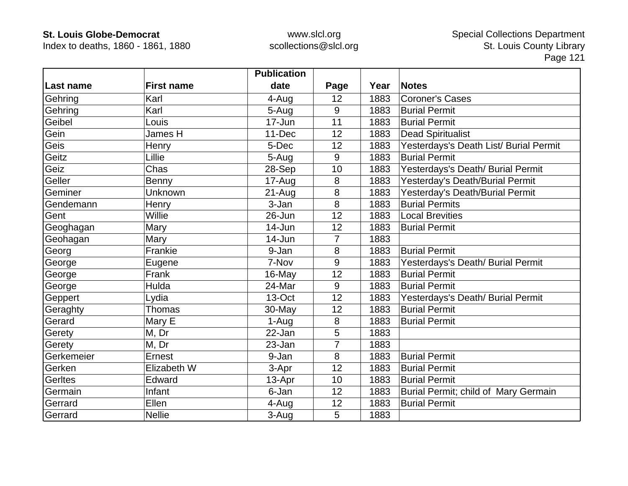Index to deaths, 1860 - 1861, 1880

|                |                   | <b>Publication</b> |                |      |                                        |
|----------------|-------------------|--------------------|----------------|------|----------------------------------------|
| Last name      | <b>First name</b> | date               | Page           | Year | <b>Notes</b>                           |
| Gehring        | Karl              | 4-Aug              | 12             | 1883 | <b>Coroner's Cases</b>                 |
| Gehring        | Karl              | 5-Aug              | 9              | 1883 | <b>Burial Permit</b>                   |
| Geibel         | Louis             | 17-Jun             | 11             | 1883 | <b>Burial Permit</b>                   |
| Gein           | James H           | 11-Dec             | 12             | 1883 | <b>Dead Spiritualist</b>               |
| Geis           | Henry             | 5-Dec              | 12             | 1883 | Yesterdays's Death List/ Burial Permit |
| Geitz          | Lillie            | 5-Aug              | 9              | 1883 | <b>Burial Permit</b>                   |
| Geiz           | Chas              | 28-Sep             | 10             | 1883 | Yesterdays's Death/ Burial Permit      |
| Geller         | Benny             | 17-Aug             | 8              | 1883 | Yesterday's Death/Burial Permit        |
| Geminer        | Unknown           | $21 - Aug$         | 8              | 1883 | Yesterday's Death/Burial Permit        |
| Gendemann      | Henry             | 3-Jan              | 8              | 1883 | <b>Burial Permits</b>                  |
| Gent           | Willie            | 26-Jun             | 12             | 1883 | <b>Local Brevities</b>                 |
| Geoghagan      | Mary              | 14-Jun             | 12             | 1883 | <b>Burial Permit</b>                   |
| Geohagan       | Mary              | 14-Jun             | $\overline{7}$ | 1883 |                                        |
| Georg          | Frankie           | 9-Jan              | 8              | 1883 | <b>Burial Permit</b>                   |
| George         | Eugene            | 7-Nov              | 9              | 1883 | Yesterdays's Death/ Burial Permit      |
| George         | Frank             | 16-May             | 12             | 1883 | <b>Burial Permit</b>                   |
| George         | Hulda             | 24-Mar             | 9              | 1883 | <b>Burial Permit</b>                   |
| Geppert        | Lydia             | 13-Oct             | 12             | 1883 | Yesterdays's Death/ Burial Permit      |
| Geraghty       | Thomas            | 30-May             | 12             | 1883 | <b>Burial Permit</b>                   |
| Gerard         | Mary E            | 1-Aug              | 8              | 1883 | <b>Burial Permit</b>                   |
| Gerety         | M, Dr             | 22-Jan             | 5              | 1883 |                                        |
| Gerety         | M, Dr             | 23-Jan             | $\overline{7}$ | 1883 |                                        |
| Gerkemeier     | Ernest            | 9-Jan              | 8              | 1883 | <b>Burial Permit</b>                   |
| Gerken         | Elizabeth W       | 3-Apr              | 12             | 1883 | <b>Burial Permit</b>                   |
| <b>Gerltes</b> | Edward            | 13-Apr             | 10             | 1883 | <b>Burial Permit</b>                   |
| Germain        | Infant            | 6-Jan              | 12             | 1883 | Burial Permit; child of Mary Germain   |
| Gerrard        | Ellen             | 4-Aug              | 12             | 1883 | <b>Burial Permit</b>                   |
| Gerrard        | <b>Nellie</b>     | 3-Aug              | 5              | 1883 |                                        |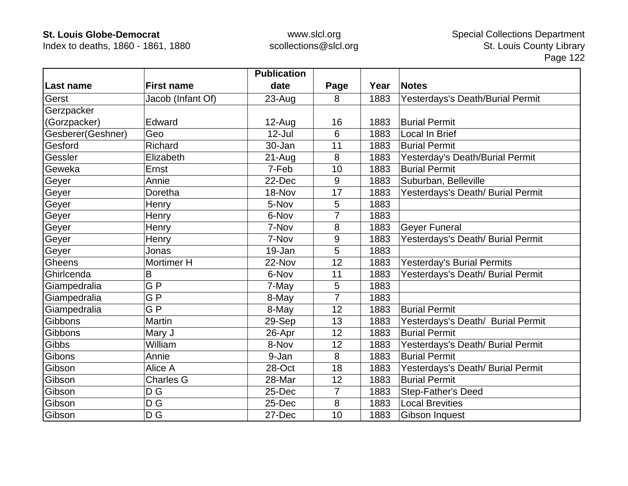Index to deaths, 1860 - 1861, 1880

|                   |                   | <b>Publication</b> |                |      |                                   |
|-------------------|-------------------|--------------------|----------------|------|-----------------------------------|
| ∣Last name        | <b>First name</b> | date               | Page           | Year | <b>Notes</b>                      |
| Gerst             | Jacob (Infant Of) | $23 - Aug$         | 8              | 1883 | Yesterdays's Death/Burial Permit  |
| Gerzpacker        |                   |                    |                |      |                                   |
| (Gorzpacker)      | Edward            | $12-Au$ g          | 16             | 1883 | <b>Burial Permit</b>              |
| Gesberer(Geshner) | Geo               | $12$ -Jul          | 6              | 1883 | Local In Brief                    |
| Gesford           | Richard           | 30-Jan             | 11             | 1883 | <b>Burial Permit</b>              |
| Gessler           | Elizabeth         | $21 - Aug$         | 8              | 1883 | Yesterday's Death/Burial Permit   |
| Geweka            | Ernst             | 7-Feb              | 10             | 1883 | <b>Burial Permit</b>              |
| Geyer             | Annie             | 22-Dec             | 9              | 1883 | Suburban, Belleville              |
| Geyer             | Doretha           | 18-Nov             | 17             | 1883 | Yesterdays's Death/ Burial Permit |
| Geyer             | Henry             | 5-Nov              | 5              | 1883 |                                   |
| Geyer             | Henry             | 6-Nov              | 7              | 1883 |                                   |
| Geyer             | Henry             | 7-Nov              | 8              | 1883 | <b>Geyer Funeral</b>              |
| Geyer             | Henry             | 7-Nov              | 9              | 1883 | Yesterdays's Death/ Burial Permit |
| Geyer             | Jonas             | 19-Jan             | 5              | 1883 |                                   |
| Gheens            | Mortimer H        | 22-Nov             | 12             | 1883 | <b>Yesterday's Burial Permits</b> |
| Ghirlcenda        | B                 | 6-Nov              | 11             | 1883 | Yesterdays's Death/ Burial Permit |
| Giampedralia      | GP                | 7-May              | 5              | 1883 |                                   |
| Giampedralia      | GP                | 8-May              | $\overline{7}$ | 1883 |                                   |
| Giampedralia      | GP                | 8-May              | 12             | 1883 | <b>Burial Permit</b>              |
| Gibbons           | <b>Martin</b>     | 29-Sep             | 13             | 1883 | Yesterdays's Death/ Burial Permit |
| Gibbons           | Mary J            | 26-Apr             | 12             | 1883 | <b>Burial Permit</b>              |
| Gibbs             | William           | 8-Nov              | 12             | 1883 | Yesterdays's Death/ Burial Permit |
| Gibons            | Annie             | 9-Jan              | 8              | 1883 | <b>Burial Permit</b>              |
| Gibson            | Alice A           | 28-Oct             | 18             | 1883 | Yesterdays's Death/ Burial Permit |
| Gibson            | <b>Charles G</b>  | 28-Mar             | 12             | 1883 | <b>Burial Permit</b>              |
| Gibson            | D G               | 25-Dec             | $\overline{7}$ | 1883 | <b>Step-Father's Deed</b>         |
| Gibson            | D G               | 25-Dec             | 8              | 1883 | <b>Local Brevities</b>            |
| Gibson            | D G               | 27-Dec             | 10             | 1883 | Gibson Inquest                    |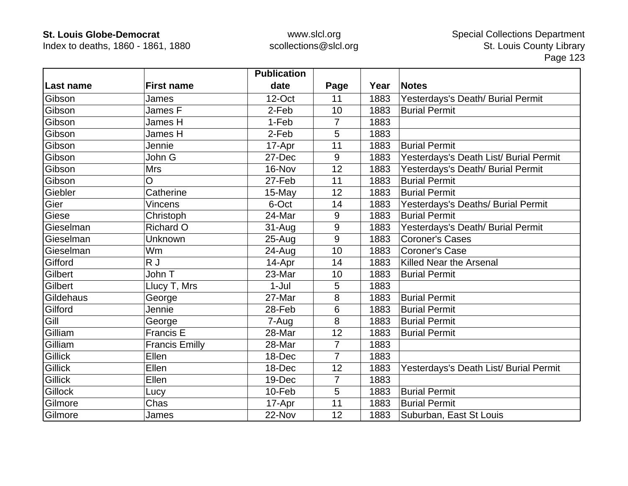Index to deaths, 1860 - 1861, 1880

|                |                       | <b>Publication</b> |                |      |                                        |
|----------------|-----------------------|--------------------|----------------|------|----------------------------------------|
| Last name      | <b>First name</b>     | date               | Page           | Year | <b>Notes</b>                           |
| Gibson         | James                 | $12$ -Oct          | 11             | 1883 | Yesterdays's Death/ Burial Permit      |
| Gibson         | James F               | 2-Feb              | 10             | 1883 | <b>Burial Permit</b>                   |
| Gibson         | James H               | 1-Feb              | 7              | 1883 |                                        |
| Gibson         | James H               | 2-Feb              | 5              | 1883 |                                        |
| Gibson         | Jennie                | 17-Apr             | 11             | 1883 | <b>Burial Permit</b>                   |
| Gibson         | John G                | 27-Dec             | 9              | 1883 | Yesterdays's Death List/ Burial Permit |
| Gibson         | <b>Mrs</b>            | 16-Nov             | 12             | 1883 | Yesterdays's Death/ Burial Permit      |
| Gibson         | O                     | 27-Feb             | 11             | 1883 | <b>Burial Permit</b>                   |
| Giebler        | Catherine             | $15$ -May          | 12             | 1883 | <b>Burial Permit</b>                   |
| Gier           | <b>Vincens</b>        | 6-Oct              | 14             | 1883 | Yesterdays's Deaths/ Burial Permit     |
| Giese          | Christoph             | 24-Mar             | 9              | 1883 | <b>Burial Permit</b>                   |
| Gieselman      | <b>Richard O</b>      | 31-Aug             | 9              | 1883 | Yesterdays's Death/ Burial Permit      |
| Gieselman      | Unknown               | 25-Aug             | 9              | 1883 | <b>Coroner's Cases</b>                 |
| Gieselman      | Wm                    | 24-Aug             | 10             | 1883 | <b>Coroner's Case</b>                  |
| Gifford        | R J                   | 14-Apr             | 14             | 1883 | Killed Near the Arsenal                |
| Gilbert        | John T                | 23-Mar             | 10             | 1883 | <b>Burial Permit</b>                   |
| Gilbert        | Llucy T, Mrs          | $1-Jul$            | 5              | 1883 |                                        |
| Gildehaus      | George                | 27-Mar             | 8              | 1883 | <b>Burial Permit</b>                   |
| Gilford        | Jennie                | 28-Feb             | 6              | 1883 | <b>Burial Permit</b>                   |
| Gill           | George                | 7-Aug              | 8              | 1883 | <b>Burial Permit</b>                   |
| Gilliam        | Francis E             | 28-Mar             | 12             | 1883 | <b>Burial Permit</b>                   |
| Gilliam        | <b>Francis Emilly</b> | 28-Mar             | $\overline{7}$ | 1883 |                                        |
| <b>Gillick</b> | Ellen                 | 18-Dec             | $\overline{7}$ | 1883 |                                        |
| <b>Gillick</b> | Ellen                 | 18-Dec             | 12             | 1883 | Yesterdays's Death List/ Burial Permit |
| <b>Gillick</b> | Ellen                 | 19-Dec             | $\overline{7}$ | 1883 |                                        |
| Gillock        | Lucy                  | 10-Feb             | 5              | 1883 | <b>Burial Permit</b>                   |
| Gilmore        | Chas                  | 17-Apr             | 11             | 1883 | <b>Burial Permit</b>                   |
| Gilmore        | James                 | 22-Nov             | 12             | 1883 | Suburban, East St Louis                |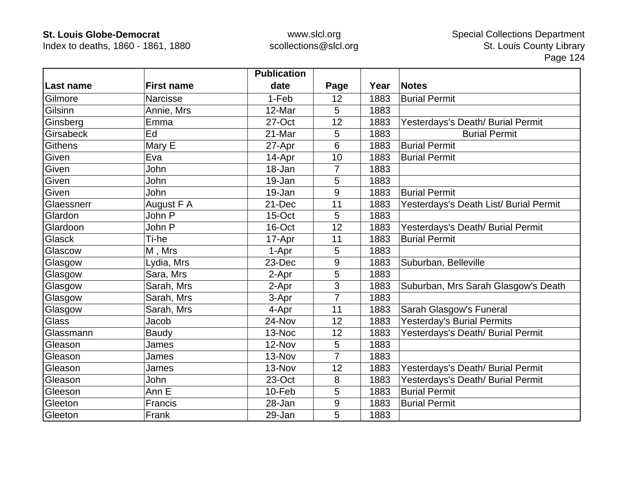Index to deaths, 1860 - 1861, 1880

|                |                   | <b>Publication</b> |                |      |                                        |
|----------------|-------------------|--------------------|----------------|------|----------------------------------------|
| Last name      | <b>First name</b> | date               | Page           | Year | <b>Notes</b>                           |
| Gilmore        | Narcisse          | 1-Feb              | 12             | 1883 | <b>Burial Permit</b>                   |
| Gilsinn        | Annie, Mrs        | 12-Mar             | 5              | 1883 |                                        |
| Ginsberg       | Emma              | 27-Oct             | 12             | 1883 | Yesterdays's Death/ Burial Permit      |
| Girsabeck      | Ed                | 21-Mar             | 5              | 1883 | <b>Burial Permit</b>                   |
| <b>Githens</b> | Mary E            | 27-Apr             | 6              | 1883 | <b>Burial Permit</b>                   |
| Given          | Eva               | 14-Apr             | 10             | 1883 | <b>Burial Permit</b>                   |
| Given          | John              | 18-Jan             | 7              | 1883 |                                        |
| Given          | John              | 19-Jan             | 5              | 1883 |                                        |
| Given          | John              | 19-Jan             | 9              | 1883 | <b>Burial Permit</b>                   |
| Glaessnerr     | August F A        | 21-Dec             | 11             | 1883 | Yesterdays's Death List/ Burial Permit |
| Glardon        | John P            | 15-Oct             | 5              | 1883 |                                        |
| Glardoon       | John P            | 16-Oct             | 12             | 1883 | Yesterdays's Death/ Burial Permit      |
| Glasck         | Ti-he             | 17-Apr             | 11             | 1883 | <b>Burial Permit</b>                   |
| Glascow        | M, Mrs            | 1-Apr              | 5              | 1883 |                                        |
| Glasgow        | Lydia, Mrs        | 23-Dec             | 9              | 1883 | Suburban, Belleville                   |
| Glasgow        | Sara, Mrs         | 2-Apr              | 5              | 1883 |                                        |
| Glasgow        | Sarah, Mrs        | 2-Apr              | 3              | 1883 | Suburban, Mrs Sarah Glasgow's Death    |
| Glasgow        | Sarah, Mrs        | 3-Apr              | $\overline{7}$ | 1883 |                                        |
| Glasgow        | Sarah, Mrs        | 4-Apr              | 11             | 1883 | Sarah Glasgow's Funeral                |
| Glass          | Jacob             | 24-Nov             | 12             | 1883 | <b>Yesterday's Burial Permits</b>      |
| Glassmann      | Baudy             | 13-Noc             | 12             | 1883 | Yesterdays's Death/ Burial Permit      |
| Gleason        | James             | 12-Nov             | 5              | 1883 |                                        |
| Gleason        | James             | 13-Nov             | $\overline{7}$ | 1883 |                                        |
| Gleason        | James             | 13-Nov             | 12             | 1883 | Yesterdays's Death/ Burial Permit      |
| Gleason        | John              | 23-Oct             | 8              | 1883 | Yesterdays's Death/ Burial Permit      |
| Gleeson        | Ann E             | 10-Feb             | 5              | 1883 | <b>Burial Permit</b>                   |
| Gleeton        | Francis           | 28-Jan             | 9              | 1883 | <b>Burial Permit</b>                   |
| Gleeton        | Frank             | 29-Jan             | 5              | 1883 |                                        |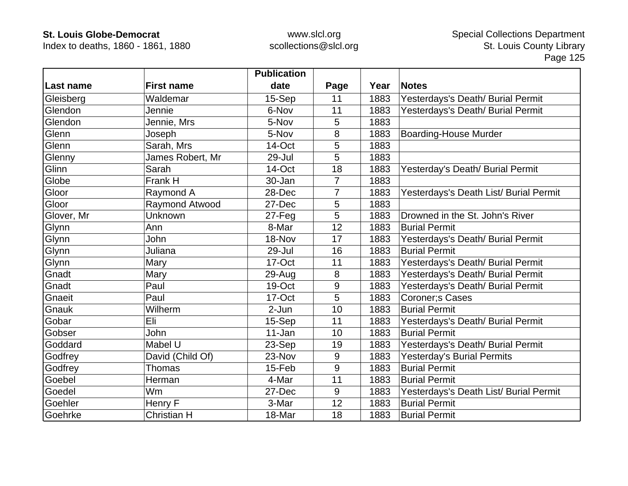Index to deaths, 1860 - 1861, 1880

|            |                       | <b>Publication</b> |                |      |                                        |
|------------|-----------------------|--------------------|----------------|------|----------------------------------------|
| Last name  | <b>First name</b>     | date               | Page           | Year | <b>Notes</b>                           |
| Gleisberg  | Waldemar              | 15-Sep             | 11             | 1883 | Yesterdays's Death/ Burial Permit      |
| Glendon    | Jennie                | 6-Nov              | 11             | 1883 | Yesterdays's Death/ Burial Permit      |
| Glendon    | Jennie, Mrs           | 5-Nov              | 5              | 1883 |                                        |
| Glenn      | Joseph                | 5-Nov              | 8              | 1883 | <b>Boarding-House Murder</b>           |
| Glenn      | Sarah, Mrs            | 14-Oct             | 5              | 1883 |                                        |
| Glenny     | James Robert, Mr      | 29-Jul             | 5              | 1883 |                                        |
| Glinn      | Sarah                 | 14-Oct             | 18             | 1883 | Yesterday's Death/ Burial Permit       |
| Globe      | Frank H               | 30-Jan             | $\overline{7}$ | 1883 |                                        |
| Gloor      | Raymond A             | 28-Dec             | 7              | 1883 | Yesterdays's Death List/ Burial Permit |
| Gloor      | <b>Raymond Atwood</b> | 27-Dec             | 5              | 1883 |                                        |
| Glover, Mr | Unknown               | $27 - Feq$         | 5              | 1883 | Drowned in the St. John's River        |
| Glynn      | Ann                   | 8-Mar              | 12             | 1883 | <b>Burial Permit</b>                   |
| Glynn      | <b>John</b>           | 18-Nov             | 17             | 1883 | Yesterdays's Death/ Burial Permit      |
| Glynn      | Juliana               | 29-Jul             | 16             | 1883 | <b>Burial Permit</b>                   |
| Glynn      | Mary                  | 17-Oct             | 11             | 1883 | Yesterdays's Death/ Burial Permit      |
| Gnadt      | Mary                  | 29-Aug             | 8              | 1883 | Yesterdays's Death/ Burial Permit      |
| Gnadt      | Paul                  | 19-Oct             | 9              | 1883 | Yesterdays's Death/ Burial Permit      |
| Gnaeit     | Paul                  | 17-Oct             | 5              | 1883 | Coroner; s Cases                       |
| Gnauk      | Wilherm               | 2-Jun              | 10             | 1883 | <b>Burial Permit</b>                   |
| Gobar      | Eli                   | 15-Sep             | 11             | 1883 | Yesterdays's Death/ Burial Permit      |
| Gobser     | John                  | 11-Jan             | 10             | 1883 | <b>Burial Permit</b>                   |
| Goddard    | Mabel U               | 23-Sep             | 19             | 1883 | Yesterdays's Death/ Burial Permit      |
| Godfrey    | David (Child Of)      | 23-Nov             | 9              | 1883 | <b>Yesterday's Burial Permits</b>      |
| Godfrey    | <b>Thomas</b>         | 15-Feb             | 9              | 1883 | <b>Burial Permit</b>                   |
| Goebel     | Herman                | 4-Mar              | 11             | 1883 | <b>Burial Permit</b>                   |
| Goedel     | Wm                    | 27-Dec             | 9              | 1883 | Yesterdays's Death List/ Burial Permit |
| Goehler    | Henry F               | 3-Mar              | 12             | 1883 | <b>Burial Permit</b>                   |
| Goehrke    | <b>Christian H</b>    | 18-Mar             | 18             | 1883 | <b>Burial Permit</b>                   |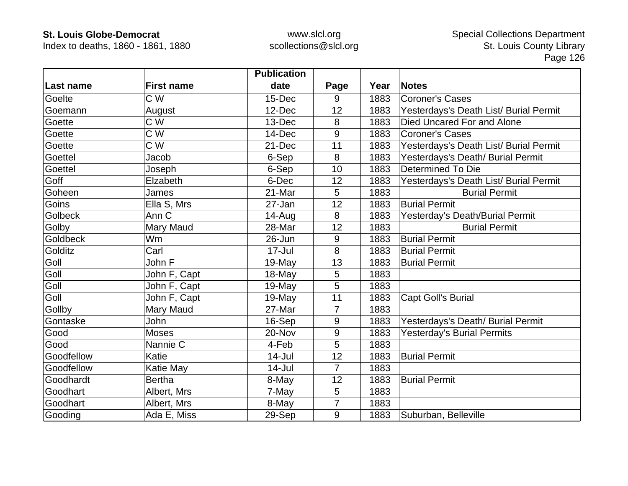Index to deaths, 1860 - 1861, 1880

|                  |                   | <b>Publication</b> |                |      |                                        |
|------------------|-------------------|--------------------|----------------|------|----------------------------------------|
| <b>Last name</b> | <b>First name</b> | date               | Page           | Year | <b>Notes</b>                           |
| Goelte           | C W               | 15-Dec             | 9              | 1883 | <b>Coroner's Cases</b>                 |
| Goemann          | August            | 12-Dec             | 12             | 1883 | Yesterdays's Death List/ Burial Permit |
| Goette           | C W               | 13-Dec             | 8              | 1883 | Died Uncared For and Alone             |
| Goette           | C W               | 14-Dec             | 9              | 1883 | <b>Coroner's Cases</b>                 |
| Goette           | C W               | 21-Dec             | 11             | 1883 | Yesterdays's Death List/ Burial Permit |
| <b>Goettel</b>   | Jacob             | 6-Sep              | 8              | 1883 | Yesterdays's Death/ Burial Permit      |
| Goettel          | Joseph            | 6-Sep              | 10             | 1883 | <b>Determined To Die</b>               |
| Goff             | Elzabeth          | 6-Dec              | 12             | 1883 | Yesterdays's Death List/ Burial Permit |
| Goheen           | James             | 21-Mar             | 5              | 1883 | <b>Burial Permit</b>                   |
| Goins            | Ella S, Mrs       | 27-Jan             | 12             | 1883 | <b>Burial Permit</b>                   |
| <b>Golbeck</b>   | Ann <sub>C</sub>  | $14 - Aug$         | 8              | 1883 | Yesterday's Death/Burial Permit        |
| Golby            | Mary Maud         | 28-Mar             | 12             | 1883 | <b>Burial Permit</b>                   |
| <b>Goldbeck</b>  | Wm                | 26-Jun             | 9              | 1883 | <b>Burial Permit</b>                   |
| Golditz          | Carl              | 17-Jul             | 8              | 1883 | <b>Burial Permit</b>                   |
| Goll             | John F            | 19-May             | 13             | 1883 | <b>Burial Permit</b>                   |
| Goll             | John F, Capt      | 18-May             | 5              | 1883 |                                        |
| Goll             | John F, Capt      | 19-May             | 5              | 1883 |                                        |
| Goll             | John F, Capt      | 19-May             | 11             | 1883 | <b>Capt Goll's Burial</b>              |
| Gollby           | Mary Maud         | 27-Mar             | 7              | 1883 |                                        |
| Gontaske         | John              | 16-Sep             | 9              | 1883 | Yesterdays's Death/ Burial Permit      |
| Good             | <b>Moses</b>      | 20-Nov             | 9              | 1883 | <b>Yesterday's Burial Permits</b>      |
| Good             | Nannie C          | 4-Feb              | 5              | 1883 |                                        |
| Goodfellow       | Katie             | $14$ -Jul          | 12             | 1883 | <b>Burial Permit</b>                   |
| Goodfellow       | Katie May         | $14$ -Jul          | $\overline{7}$ | 1883 |                                        |
| Goodhardt        | <b>Bertha</b>     | 8-May              | 12             | 1883 | <b>Burial Permit</b>                   |
| Goodhart         | Albert, Mrs       | 7-May              | 5              | 1883 |                                        |
| Goodhart         | Albert, Mrs       | 8-May              | $\overline{7}$ | 1883 |                                        |
| Gooding          | Ada E, Miss       | 29-Sep             | 9              | 1883 | Suburban, Belleville                   |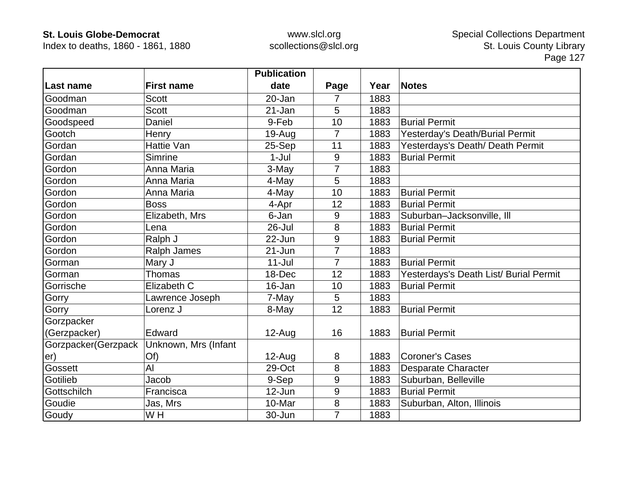Index to deaths, 1860 - 1861, 1880

|                     |                      | <b>Publication</b> |                |      |                                        |
|---------------------|----------------------|--------------------|----------------|------|----------------------------------------|
| Last name           | <b>First name</b>    | date               | Page           | Year | <b>Notes</b>                           |
| Goodman             | <b>Scott</b>         | 20-Jan             | 7              | 1883 |                                        |
| Goodman             | <b>Scott</b>         | 21-Jan             | 5              | 1883 |                                        |
| Goodspeed           | Daniel               | 9-Feb              | 10             | 1883 | <b>Burial Permit</b>                   |
| Gootch              | Henry                | $19-Auq$           | 7              | 1883 | Yesterday's Death/Burial Permit        |
| Gordan              | Hattie Van           | 25-Sep             | 11             | 1883 | Yesterdays's Death/ Death Permit       |
| Gordan              | Simrine              | $1-Jul$            | 9              | 1883 | <b>Burial Permit</b>                   |
| Gordon              | Anna Maria           | 3-May              | 7              | 1883 |                                        |
| Gordon              | Anna Maria           | 4-May              | 5              | 1883 |                                        |
| Gordon              | Anna Maria           | 4-May              | 10             | 1883 | <b>Burial Permit</b>                   |
| Gordon              | <b>Boss</b>          | 4-Apr              | 12             | 1883 | <b>Burial Permit</b>                   |
| Gordon              | Elizabeth, Mrs       | 6-Jan              | 9              | 1883 | Suburban-Jacksonville, Ill             |
| Gordon              | Lena                 | $26 -$ Jul         | 8              | 1883 | <b>Burial Permit</b>                   |
| Gordon              | Ralph J              | 22-Jun             | 9              | 1883 | <b>Burial Permit</b>                   |
| Gordon              | <b>Ralph James</b>   | $21 - Jun$         | $\overline{7}$ | 1883 |                                        |
| Gorman              | Mary J               | $11 -$ Jul         |                | 1883 | <b>Burial Permit</b>                   |
| Gorman              | Thomas               | 18-Dec             | 12             | 1883 | Yesterdays's Death List/ Burial Permit |
| Gorrische           | Elizabeth C          | 16-Jan             | 10             | 1883 | <b>Burial Permit</b>                   |
| Gorry               | Lawrence Joseph      | 7-May              | 5              | 1883 |                                        |
| Gorry               | Lorenz J             | 8-May              | 12             | 1883 | <b>Burial Permit</b>                   |
| Gorzpacker          |                      |                    |                |      |                                        |
| (Gerzpacker)        | Edward               | $12-Aug$           | 16             | 1883 | <b>Burial Permit</b>                   |
| Gorzpacker(Gerzpack | Unknown, Mrs (Infant |                    |                |      |                                        |
| er)                 | Of)                  | $12-Auq$           | 8              | 1883 | <b>Coroner's Cases</b>                 |
| Gossett             | AI                   | 29-Oct             | 8              | 1883 | <b>Desparate Character</b>             |
| Gotilieb            | Jacob                | 9-Sep              | 9              | 1883 | Suburban, Belleville                   |
| Gottschilch         | Francisca            | 12-Jun             | 9              | 1883 | <b>Burial Permit</b>                   |
| Goudie              | Jas, Mrs             | 10-Mar             | 8              | 1883 | Suburban, Alton, Illinois              |
| Goudy               | W H                  | 30-Jun             | $\overline{7}$ | 1883 |                                        |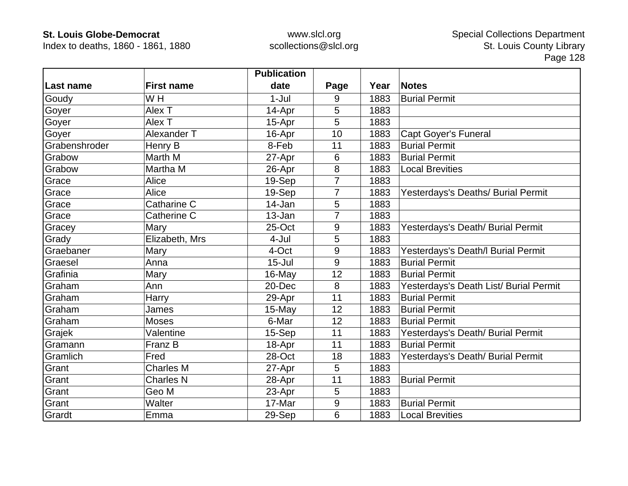Index to deaths, 1860 - 1861, 1880

|               |                   | <b>Publication</b> |                |      |                                        |
|---------------|-------------------|--------------------|----------------|------|----------------------------------------|
| Last name     | <b>First name</b> | date               | Page           | Year | <b>Notes</b>                           |
| Goudy         | W H               | $1-Jul$            | 9              | 1883 | <b>Burial Permit</b>                   |
| Goyer         | Alex T            | 14-Apr             | 5              | 1883 |                                        |
| Goyer         | Alex T            | 15-Apr             | 5              | 1883 |                                        |
| Goyer         | Alexander T       | 16-Apr             | 10             | 1883 | <b>Capt Goyer's Funeral</b>            |
| Grabenshroder | Henry B           | 8-Feb              | 11             | 1883 | <b>Burial Permit</b>                   |
| Grabow        | Marth M           | 27-Apr             | 6              | 1883 | <b>Burial Permit</b>                   |
| Grabow        | Martha M          | 26-Apr             | 8              | 1883 | <b>Local Brevities</b>                 |
| Grace         | Alice             | 19-Sep             | $\overline{7}$ | 1883 |                                        |
| Grace         | Alice             | 19-Sep             | 7              | 1883 | Yesterdays's Deaths/ Burial Permit     |
| Grace         | Catharine C       | 14-Jan             | 5              | 1883 |                                        |
| Grace         | Catherine C       | 13-Jan             | 7              | 1883 |                                        |
| Gracey        | Mary              | 25-Oct             | 9              | 1883 | Yesterdays's Death/ Burial Permit      |
| Grady         | Elizabeth, Mrs    | 4-Jul              | 5              | 1883 |                                        |
| Graebaner     | Mary              | 4-Oct              | 9              | 1883 | Yesterdays's Death/I Burial Permit     |
| Graesel       | Anna              | $15 -$ Jul         | 9              | 1883 | <b>Burial Permit</b>                   |
| Grafinia      | Mary              | 16-May             | 12             | 1883 | <b>Burial Permit</b>                   |
| Graham        | Ann               | 20-Dec             | 8              | 1883 | Yesterdays's Death List/ Burial Permit |
| Graham        | Harry             | 29-Apr             | 11             | 1883 | <b>Burial Permit</b>                   |
| Graham        | James             | 15-May             | 12             | 1883 | <b>Burial Permit</b>                   |
| Graham        | <b>Moses</b>      | 6-Mar              | 12             | 1883 | <b>Burial Permit</b>                   |
| Grajek        | Valentine         | 15-Sep             | 11             | 1883 | Yesterdays's Death/ Burial Permit      |
| Gramann       | Franz B           | 18-Apr             | 11             | 1883 | <b>Burial Permit</b>                   |
| Gramlich      | Fred              | 28-Oct             | 18             | 1883 | Yesterdays's Death/ Burial Permit      |
| Grant         | <b>Charles M</b>  | 27-Apr             | 5              | 1883 |                                        |
| Grant         | <b>Charles N</b>  | 28-Apr             | 11             | 1883 | <b>Burial Permit</b>                   |
| Grant         | Geo M             | 23-Apr             | 5              | 1883 |                                        |
| Grant         | Walter            | 17-Mar             | $9\,$          | 1883 | <b>Burial Permit</b>                   |
| Grardt        | Emma              | 29-Sep             | 6              | 1883 | <b>Local Brevities</b>                 |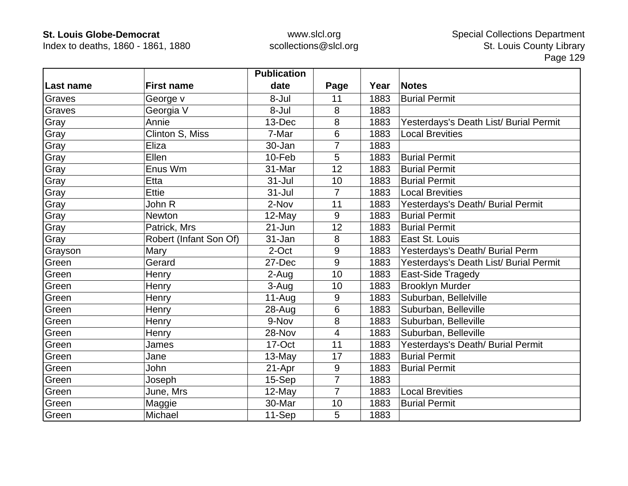Index to deaths, 1860 - 1861, 1880

|            |                        | <b>Publication</b> |                |      |                                        |
|------------|------------------------|--------------------|----------------|------|----------------------------------------|
| ∣Last name | <b>First name</b>      | date               | Page           | Year | <b>Notes</b>                           |
| Graves     | George v               | 8-Jul              | 11             | 1883 | <b>Burial Permit</b>                   |
| Graves     | Georgia V              | 8-Jul              | 8              | 1883 |                                        |
| Gray       | Annie                  | 13-Dec             | 8              | 1883 | Yesterdays's Death List/ Burial Permit |
| Gray       | Clinton S, Miss        | 7-Mar              | 6              | 1883 | <b>Local Brevities</b>                 |
| Gray       | Eliza                  | 30-Jan             | 7              | 1883 |                                        |
| Gray       | Ellen                  | 10-Feb             | 5              | 1883 | <b>Burial Permit</b>                   |
| Gray       | Enus Wm                | 31-Mar             | 12             | 1883 | <b>Burial Permit</b>                   |
| Gray       | Etta                   | $31 -$ Jul         | 10             | 1883 | <b>Burial Permit</b>                   |
| Gray       | <b>Ettie</b>           | $31 -$ Jul         | $\overline{7}$ | 1883 | <b>Local Brevities</b>                 |
| Gray       | John R                 | 2-Nov              | 11             | 1883 | Yesterdays's Death/ Burial Permit      |
| Gray       | <b>Newton</b>          | 12-May             | 9              | 1883 | <b>Burial Permit</b>                   |
| Gray       | Patrick, Mrs           | $21 - Jun$         | 12             | 1883 | <b>Burial Permit</b>                   |
| Gray       | Robert (Infant Son Of) | 31-Jan             | 8              | 1883 | East St. Louis                         |
| Grayson    | Mary                   | 2-Oct              | 9              | 1883 | Yesterdays's Death/ Burial Perm        |
| Green      | Gerard                 | 27-Dec             | 9              | 1883 | Yesterdays's Death List/ Burial Permit |
| Green      | Henry                  | 2-Aug              | 10             | 1883 | East-Side Tragedy                      |
| Green      | Henry                  | 3-Aug              | 10             | 1883 | <b>Brooklyn Murder</b>                 |
| Green      | Henry                  | $11-Auq$           | 9              | 1883 | Suburban, Bellelville                  |
| Green      | Henry                  | $28 - Aug$         | 6              | 1883 | Suburban, Belleville                   |
| Green      | Henry                  | 9-Nov              | 8              | 1883 | Suburban, Belleville                   |
| Green      | Henry                  | 28-Nov             | 4              | 1883 | Suburban, Belleville                   |
| Green      | James                  | 17-Oct             | 11             | 1883 | Yesterdays's Death/ Burial Permit      |
| Green      | Jane                   | 13-May             | 17             | 1883 | <b>Burial Permit</b>                   |
| Green      | John                   | 21-Apr             | 9              | 1883 | <b>Burial Permit</b>                   |
| Green      | Joseph                 | 15-Sep             | $\overline{7}$ | 1883 |                                        |
| Green      | June, Mrs              | 12-May             | $\overline{7}$ | 1883 | <b>Local Brevities</b>                 |
| Green      | Maggie                 | 30-Mar             | 10             | 1883 | <b>Burial Permit</b>                   |
| Green      | Michael                | 11-Sep             | 5              | 1883 |                                        |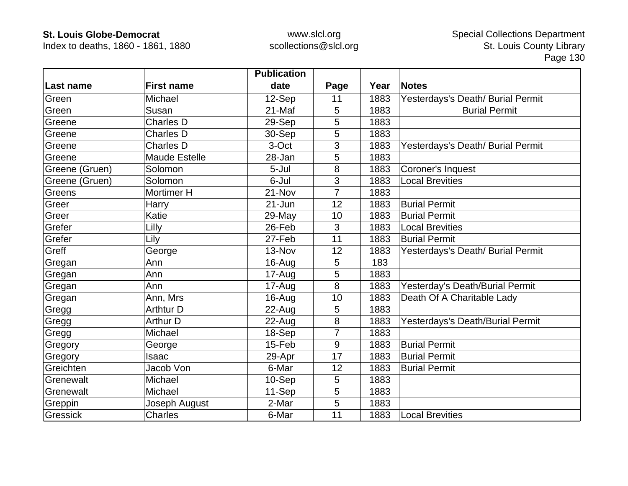Index to deaths, 1860 - 1861, 1880

|                |                      | <b>Publication</b> |      |      |                                   |
|----------------|----------------------|--------------------|------|------|-----------------------------------|
| Last name      | <b>First name</b>    | date               | Page | Year | <b>Notes</b>                      |
| Green          | Michael              | 12-Sep             | 11   | 1883 | Yesterdays's Death/ Burial Permit |
| Green          | Susan                | 21-Maf             | 5    | 1883 | <b>Burial Permit</b>              |
| Greene         | <b>Charles D</b>     | 29-Sep             | 5    | 1883 |                                   |
| Greene         | <b>Charles D</b>     | 30-Sep             | 5    | 1883 |                                   |
| Greene         | <b>Charles D</b>     | 3-Oct              | 3    | 1883 | Yesterdays's Death/ Burial Permit |
| Greene         | <b>Maude Estelle</b> | 28-Jan             | 5    | 1883 |                                   |
| Greene (Gruen) | Solomon              | 5-Jul              | 8    | 1883 | Coroner's Inquest                 |
| Greene (Gruen) | Solomon              | 6-Jul              | 3    | 1883 | <b>Local Brevities</b>            |
| Greens         | Mortimer H           | 21-Nov             | 7    | 1883 |                                   |
| Greer          | Harry                | $21 - Jun$         | 12   | 1883 | <b>Burial Permit</b>              |
| Greer          | Katie                | 29-May             | 10   | 1883 | <b>Burial Permit</b>              |
| Grefer         | Lilly                | 26-Feb             | 3    | 1883 | <b>Local Brevities</b>            |
| Grefer         | Lily                 | 27-Feb             | 11   | 1883 | <b>Burial Permit</b>              |
| Greff          | George               | 13-Nov             | 12   | 1883 | Yesterdays's Death/ Burial Permit |
| Gregan         | Ann                  | 16-Aug             | 5    | 183  |                                   |
| Gregan         | Ann                  | 17-Aug             | 5    | 1883 |                                   |
| Gregan         | Ann                  | 17-Aug             | 8    | 1883 | Yesterday's Death/Burial Permit   |
| Gregan         | Ann, Mrs             | 16-Aug             | 10   | 1883 | Death Of A Charitable Lady        |
| Gregg          | <b>Arthtur D</b>     | $22$ -Aug          | 5    | 1883 |                                   |
| Gregg          | <b>Arthur D</b>      | 22-Aug             | 8    | 1883 | Yesterdays's Death/Burial Permit  |
| Gregg          | Michael              | 18-Sep             | 7    | 1883 |                                   |
| Gregory        | George               | 15-Feb             | 9    | 1883 | <b>Burial Permit</b>              |
| Gregory        | Isaac                | 29-Apr             | 17   | 1883 | <b>Burial Permit</b>              |
| Greichten      | Jacob Von            | 6-Mar              | 12   | 1883 | <b>Burial Permit</b>              |
| Grenewalt      | Michael              | 10-Sep             | 5    | 1883 |                                   |
| Grenewalt      | Michael              | 11-Sep             | 5    | 1883 |                                   |
| Greppin        | Joseph August        | 2-Mar              | 5    | 1883 |                                   |
| Gressick       | <b>Charles</b>       | 6-Mar              | 11   | 1883 | <b>Local Brevities</b>            |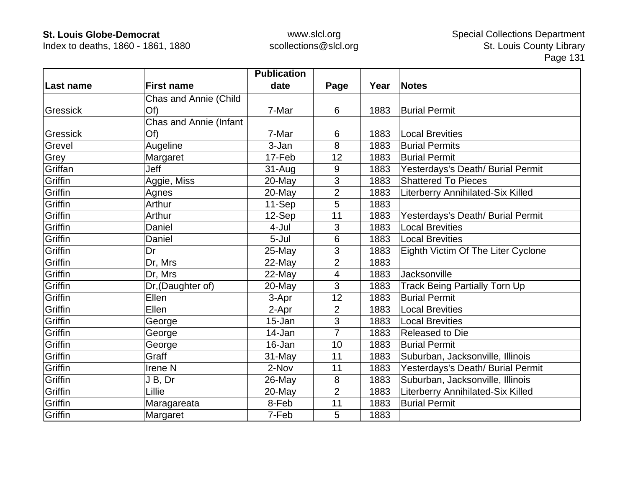Index to deaths, 1860 - 1861, 1880

|           |                        | <b>Publication</b> |                |      |                                      |
|-----------|------------------------|--------------------|----------------|------|--------------------------------------|
| Last name | <b>First name</b>      | date               | Page           | Year | Notes                                |
|           | Chas and Annie (Child  |                    |                |      |                                      |
| Gressick  | Of                     | 7-Mar              | 6              | 1883 | <b>Burial Permit</b>                 |
|           | Chas and Annie (Infant |                    |                |      |                                      |
| Gressick  | Of                     | 7-Mar              | 6              | 1883 | <b>Local Brevities</b>               |
| Grevel    | Augeline               | 3-Jan              | 8              | 1883 | <b>Burial Permits</b>                |
| Grey      | Margaret               | 17-Feb             | 12             | 1883 | <b>Burial Permit</b>                 |
| Griffan   | Jeff                   | $31 - Aug$         | 9              | 1883 | Yesterdays's Death/ Burial Permit    |
| Griffin   | Aggie, Miss            | $20$ -May          | 3              | 1883 | <b>Shattered To Pieces</b>           |
| Griffin   | Agnes                  | 20-May             | $\overline{2}$ | 1883 | Literberry Annihilated-Six Killed    |
| Griffin   | Arthur                 | 11-Sep             | 5              | 1883 |                                      |
| Griffin   | Arthur                 | 12-Sep             | 11             | 1883 | Yesterdays's Death/ Burial Permit    |
| Griffin   | Daniel                 | 4-Jul              | 3              | 1883 | <b>Local Brevities</b>               |
| Griffin   | Daniel                 | 5-Jul              | 6              | 1883 | <b>Local Brevities</b>               |
| Griffin   | Dr                     | 25-May             | 3              | 1883 | Eighth Victim Of The Liter Cyclone   |
| Griffin   | Dr, Mrs                | 22-May             | $\overline{2}$ | 1883 |                                      |
| Griffin   | Dr, Mrs                | 22-May             | $\overline{4}$ | 1883 | Jacksonville                         |
| Griffin   | Dr, (Daughter of)      | 20-May             | 3              | 1883 | <b>Track Being Partially Torn Up</b> |
| Griffin   | Ellen                  | 3-Apr              | 12             | 1883 | <b>Burial Permit</b>                 |
| Griffin   | Ellen                  | 2-Apr              | $\overline{2}$ | 1883 | <b>Local Brevities</b>               |
| Griffin   | George                 | 15-Jan             | 3              | 1883 | <b>Local Brevities</b>               |
| Griffin   | George                 | 14-Jan             | $\overline{7}$ | 1883 | <b>Released to Die</b>               |
| Griffin   | George                 | 16-Jan             | 10             | 1883 | <b>Burial Permit</b>                 |
| Griffin   | Graff                  | 31-May             | 11             | 1883 | Suburban, Jacksonville, Illinois     |
| Griffin   | Irene <sub>N</sub>     | 2-Nov              | 11             | 1883 | Yesterdays's Death/ Burial Permit    |
| Griffin   | J B, Dr                | 26-May             | 8              | 1883 | Suburban, Jacksonville, Illinois     |
| Griffin   | Lillie                 | 20-May             | $\overline{2}$ | 1883 | Literberry Annihilated-Six Killed    |
| Griffin   | Maragareata            | 8-Feb              | 11             | 1883 | <b>Burial Permit</b>                 |
| Griffin   | Margaret               | 7-Feb              | 5              | 1883 |                                      |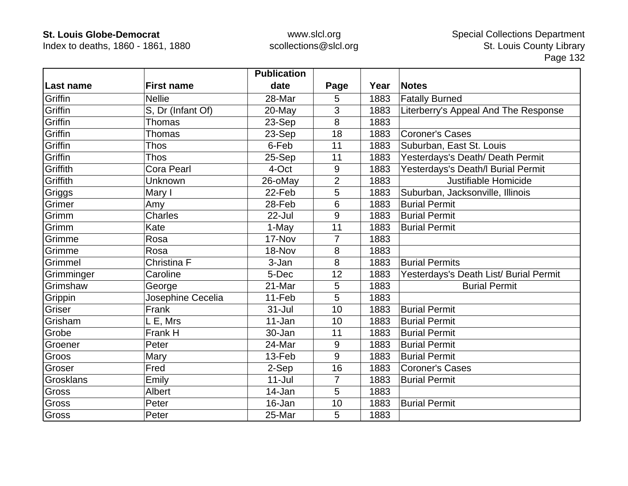Index to deaths, 1860 - 1861, 1880

|            |                   | <b>Publication</b> |                |      |                                        |
|------------|-------------------|--------------------|----------------|------|----------------------------------------|
| Last name  | <b>First name</b> | date               | Page           | Year | <b>Notes</b>                           |
| Griffin    | <b>Nellie</b>     | 28-Mar             | 5              | 1883 | <b>Fatally Burned</b>                  |
| Griffin    | S, Dr (Infant Of) | 20-May             | 3              | 1883 | Literberry's Appeal And The Response   |
| Griffin    | Thomas            | 23-Sep             | 8              | 1883 |                                        |
| Griffin    | <b>Thomas</b>     | 23-Sep             | 18             | 1883 | <b>Coroner's Cases</b>                 |
| Griffin    | <b>Thos</b>       | 6-Feb              | 11             | 1883 | Suburban, East St. Louis               |
| Griffin    | <b>Thos</b>       | 25-Sep             | 11             | 1883 | Yesterdays's Death/ Death Permit       |
| Griffith   | <b>Cora Pearl</b> | 4-Oct              | 9              | 1883 | Yesterdays's Death/I Burial Permit     |
| Griffith   | Unknown           | 26-oMay            | $\overline{2}$ | 1883 | Justifiable Homicide                   |
| Griggs     | Mary I            | 22-Feb             | 5              | 1883 | Suburban, Jacksonville, Illinois       |
| Grimer     | Amy               | 28-Feb             | 6              | 1883 | <b>Burial Permit</b>                   |
| Grimm      | Charles           | 22-Jul             | 9              | 1883 | <b>Burial Permit</b>                   |
| Grimm      | Kate              | 1-May              | 11             | 1883 | <b>Burial Permit</b>                   |
| Grimme     | Rosa              | 17-Nov             | 7              | 1883 |                                        |
| Grimme     | Rosa              | 18-Nov             | 8              | 1883 |                                        |
| Grimmel    | Christina F       | 3-Jan              | 8              | 1883 | <b>Burial Permits</b>                  |
| Grimminger | Caroline          | 5-Dec              | 12             | 1883 | Yesterdays's Death List/ Burial Permit |
| Grimshaw   | George            | 21-Mar             | 5              | 1883 | <b>Burial Permit</b>                   |
| Grippin    | Josephine Cecelia | 11-Feb             | 5              | 1883 |                                        |
| Griser     | Frank             | $31 -$ Jul         | 10             | 1883 | <b>Burial Permit</b>                   |
| Grisham    | L E, Mrs          | 11-Jan             | 10             | 1883 | <b>Burial Permit</b>                   |
| Grobe      | Frank H           | 30-Jan             | 11             | 1883 | <b>Burial Permit</b>                   |
| Groener    | Peter             | 24-Mar             | 9              | 1883 | <b>Burial Permit</b>                   |
| Groos      | Mary              | 13-Feb             | 9              | 1883 | <b>Burial Permit</b>                   |
| Groser     | Fred              | 2-Sep              | 16             | 1883 | <b>Coroner's Cases</b>                 |
| Grosklans  | Emily             | $11 -$ Jul         | $\overline{7}$ | 1883 | <b>Burial Permit</b>                   |
| Gross      | <b>Albert</b>     | 14-Jan             | 5              | 1883 |                                        |
| Gross      | Peter             | 16-Jan             | 10             | 1883 | <b>Burial Permit</b>                   |
| Gross      | Peter             | 25-Mar             | 5              | 1883 |                                        |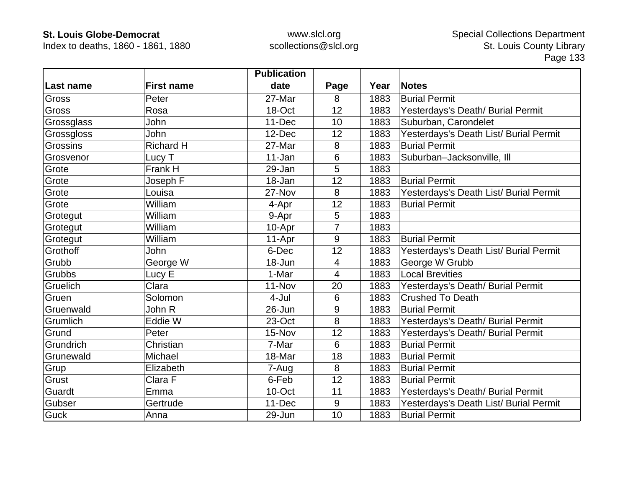Index to deaths, 1860 - 1861, 1880

|             |                   | <b>Publication</b> |                |      |                                        |
|-------------|-------------------|--------------------|----------------|------|----------------------------------------|
| Last name   | <b>First name</b> | date               | Page           | Year | <b>Notes</b>                           |
| Gross       | Peter             | 27-Mar             | 8              | 1883 | <b>Burial Permit</b>                   |
| Gross       | Rosa              | 18-Oct             | 12             | 1883 | Yesterdays's Death/ Burial Permit      |
| Grossglass  | John              | 11-Dec             | 10             | 1883 | Suburban, Carondelet                   |
| Grossgloss  | John              | 12-Dec             | 12             | 1883 | Yesterdays's Death List/ Burial Permit |
| Grossins    | <b>Richard H</b>  | 27-Mar             | 8              | 1883 | <b>Burial Permit</b>                   |
| Grosvenor   | Lucy T            | 11-Jan             | 6              | 1883 | Suburban-Jacksonville, Ill             |
| Grote       | Frank H           | 29-Jan             | 5              | 1883 |                                        |
| Grote       | Joseph F          | 18-Jan             | 12             | 1883 | <b>Burial Permit</b>                   |
| Grote       | Louisa            | 27-Nov             | 8              | 1883 | Yesterdays's Death List/ Burial Permit |
| Grote       | William           | 4-Apr              | 12             | 1883 | <b>Burial Permit</b>                   |
| Grotegut    | William           | 9-Apr              | 5              | 1883 |                                        |
| Grotegut    | William           | 10-Apr             | $\overline{7}$ | 1883 |                                        |
| Grotegut    | William           | 11-Apr             | 9              | 1883 | <b>Burial Permit</b>                   |
| Grothoff    | <b>John</b>       | 6-Dec              | 12             | 1883 | Yesterdays's Death List/ Burial Permit |
| Grubb       | George W          | 18-Jun             | $\overline{4}$ | 1883 | George W Grubb                         |
| Grubbs      | Lucy E            | 1-Mar              | $\overline{4}$ | 1883 | <b>Local Brevities</b>                 |
| Gruelich    | Clara             | 11-Nov             | 20             | 1883 | Yesterdays's Death/ Burial Permit      |
| Gruen       | Solomon           | 4-Jul              | $6\phantom{1}$ | 1883 | <b>Crushed To Death</b>                |
| Gruenwald   | John R            | 26-Jun             | 9              | 1883 | <b>Burial Permit</b>                   |
| Grumlich    | Eddie W           | 23-Oct             | 8              | 1883 | Yesterdays's Death/ Burial Permit      |
| Grund       | Peter             | 15-Nov             | 12             | 1883 | Yesterdays's Death/ Burial Permit      |
| Grundrich   | Christian         | 7-Mar              | 6              | 1883 | <b>Burial Permit</b>                   |
| Grunewald   | Michael           | 18-Mar             | 18             | 1883 | <b>Burial Permit</b>                   |
| Grup        | Elizabeth         | 7-Aug              | 8              | 1883 | <b>Burial Permit</b>                   |
| Grust       | Clara F           | 6-Feb              | 12             | 1883 | <b>Burial Permit</b>                   |
| Guardt      | Emma              | 10-Oct             | 11             | 1883 | Yesterdays's Death/ Burial Permit      |
| Gubser      | Gertrude          | 11-Dec             | 9              | 1883 | Yesterdays's Death List/ Burial Permit |
| <b>Guck</b> | Anna              | 29-Jun             | 10             | 1883 | <b>Burial Permit</b>                   |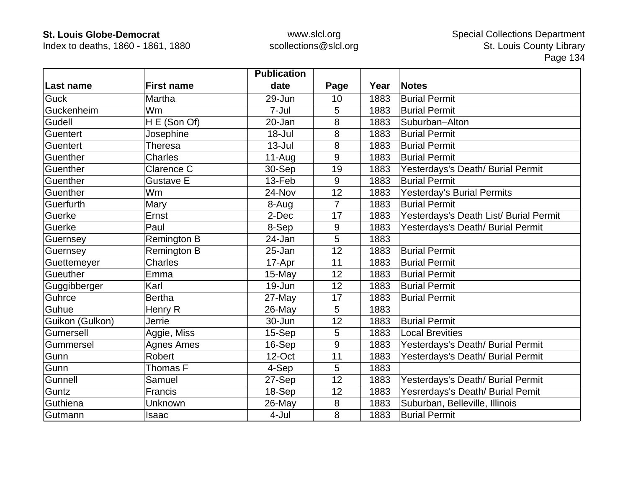Index to deaths, 1860 - 1861, 1880

|                 |                    | <b>Publication</b> |                |      |                                        |
|-----------------|--------------------|--------------------|----------------|------|----------------------------------------|
| Last name       | <b>First name</b>  | date               | Page           | Year | <b>Notes</b>                           |
| <b>Guck</b>     | Martha             | 29-Jun             | 10             | 1883 | <b>Burial Permit</b>                   |
| Guckenheim      | Wm                 | 7-Jul              | 5              | 1883 | <b>Burial Permit</b>                   |
| Gudell          | H E (Son Of)       | 20-Jan             | 8              | 1883 | Suburban-Alton                         |
| Guentert        | Josephine          | $18 -$ Jul         | 8              | 1883 | <b>Burial Permit</b>                   |
| <b>Guentert</b> | <b>Theresa</b>     | $13 -$ Jul         | 8              | 1883 | <b>Burial Permit</b>                   |
| Guenther        | <b>Charles</b>     | $11-Auq$           | 9              | 1883 | <b>Burial Permit</b>                   |
| Guenther        | Clarence C         | 30-Sep             | 19             | 1883 | Yesterdays's Death/ Burial Permit      |
| Guenther        | <b>Gustave E</b>   | 13-Feb             | 9              | 1883 | <b>Burial Permit</b>                   |
| Guenther        | Wm                 | 24-Nov             | 12             | 1883 | Yesterday's Burial Permits             |
| Guerfurth       | Mary               | 8-Aug              | $\overline{7}$ | 1883 | <b>Burial Permit</b>                   |
| Guerke          | Ernst              | 2-Dec              | 17             | 1883 | Yesterdays's Death List/ Burial Permit |
| Guerke          | Paul               | 8-Sep              | 9              | 1883 | Yesterdays's Death/ Burial Permit      |
| Guernsey        | <b>Remington B</b> | 24-Jan             | 5              | 1883 |                                        |
| Guernsey        | <b>Remington B</b> | 25-Jan             | 12             | 1883 | <b>Burial Permit</b>                   |
| Guettemeyer     | <b>Charles</b>     | 17-Apr             | 11             | 1883 | <b>Burial Permit</b>                   |
| Gueuther        | Emma               | 15-May             | 12             | 1883 | <b>Burial Permit</b>                   |
| Guggibberger    | Karl               | 19-Jun             | 12             | 1883 | <b>Burial Permit</b>                   |
| Guhrce          | <b>Bertha</b>      | 27-May             | 17             | 1883 | <b>Burial Permit</b>                   |
| Guhue           | Henry R            | 26-May             | 5              | 1883 |                                        |
| Guikon (Gulkon) | Jerrie             | 30-Jun             | 12             | 1883 | <b>Burial Permit</b>                   |
| Gumersell       | Aggie, Miss        | 15-Sep             | 5              | 1883 | <b>Local Brevities</b>                 |
| Gummersel       | <b>Agnes Ames</b>  | 16-Sep             | 9              | 1883 | Yesterdays's Death/ Burial Permit      |
| Gunn            | Robert             | 12-Oct             | 11             | 1883 | Yesterdays's Death/ Burial Permit      |
| Gunn            | Thomas F           | 4-Sep              | 5              | 1883 |                                        |
| Gunnell         | Samuel             | 27-Sep             | 12             | 1883 | Yesterdays's Death/ Burial Permit      |
| Guntz           | <b>Francis</b>     | 18-Sep             | 12             | 1883 | Yesrerdays's Death/ Burial Pemit       |
| Guthiena        | Unknown            | 26-May             | 8              | 1883 | Suburban, Belleville, Illinois         |
| Gutmann         | Isaac              | 4-Jul              | 8              | 1883 | <b>Burial Permit</b>                   |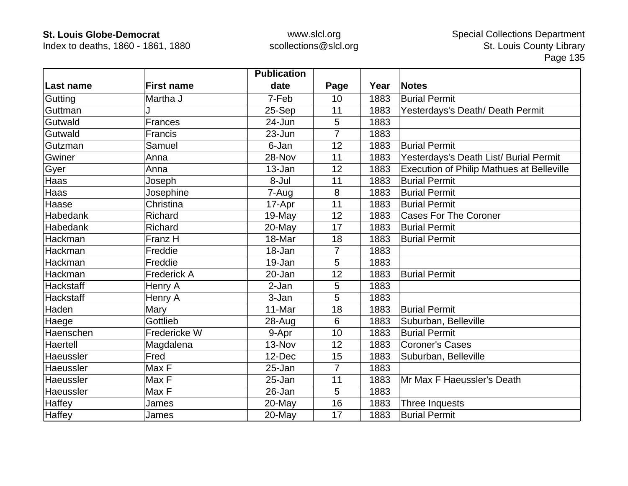Index to deaths, 1860 - 1861, 1880

|                  |                   | <b>Publication</b> |                |      |                                                  |
|------------------|-------------------|--------------------|----------------|------|--------------------------------------------------|
| Last name        | <b>First name</b> | date               | Page           | Year | Notes                                            |
| Gutting          | Martha J          | 7-Feb              | 10             | 1883 | <b>Burial Permit</b>                             |
| Guttman          |                   | 25-Sep             | 11             | 1883 | Yesterdays's Death/ Death Permit                 |
| Gutwald          | <b>Frances</b>    | 24-Jun             | 5              | 1883 |                                                  |
| Gutwald          | Francis           | $23 - Jun$         | $\overline{7}$ | 1883 |                                                  |
| Gutzman          | Samuel            | 6-Jan              | 12             | 1883 | <b>Burial Permit</b>                             |
| Gwiner           | Anna              | 28-Nov             | 11             | 1883 | Yesterdays's Death List/ Burial Permit           |
| Gyer             | Anna              | 13-Jan             | 12             | 1883 | <b>Execution of Philip Mathues at Belleville</b> |
| Haas             | Joseph            | 8-Jul              | 11             | 1883 | <b>Burial Permit</b>                             |
| Haas             | Josephine         | 7-Aug              | 8              | 1883 | <b>Burial Permit</b>                             |
| Haase            | Christina         | 17-Apr             | 11             | 1883 | <b>Burial Permit</b>                             |
| Habedank         | Richard           | 19-May             | 12             | 1883 | <b>Cases For The Coroner</b>                     |
| Habedank         | Richard           | 20-May             | 17             | 1883 | <b>Burial Permit</b>                             |
| Hackman          | Franz H           | 18-Mar             | 18             | 1883 | <b>Burial Permit</b>                             |
| Hackman          | Freddie           | 18-Jan             | $\overline{7}$ | 1883 |                                                  |
| Hackman          | Freddie           | 19-Jan             | 5              | 1883 |                                                  |
| Hackman          | Frederick A       | 20-Jan             | 12             | 1883 | <b>Burial Permit</b>                             |
| <b>Hackstaff</b> | Henry A           | 2-Jan              | 5              | 1883 |                                                  |
| Hackstaff        | Henry A           | 3-Jan              | 5              | 1883 |                                                  |
| Haden            | Mary              | 11-Mar             | 18             | 1883 | <b>Burial Permit</b>                             |
| Haege            | Gottlieb          | 28-Aug             | 6              | 1883 | Suburban, Belleville                             |
| Haenschen        | Fredericke W      | 9-Apr              | 10             | 1883 | <b>Burial Permit</b>                             |
| Haertell         | Magdalena         | 13-Nov             | 12             | 1883 | <b>Coroner's Cases</b>                           |
| Haeussler        | Fred              | 12-Dec             | 15             | 1883 | Suburban, Belleville                             |
| Haeussler        | Max F             | 25-Jan             | $\overline{7}$ | 1883 |                                                  |
| Haeussler        | Max F             | 25-Jan             | 11             | 1883 | Mr Max F Haeussler's Death                       |
| Haeussler        | Max F             | 26-Jan             | 5              | 1883 |                                                  |
| Haffey           | James             | 20-May             | 16             | 1883 | Three Inquests                                   |
| Haffey           | James             | 20-May             | 17             | 1883 | <b>Burial Permit</b>                             |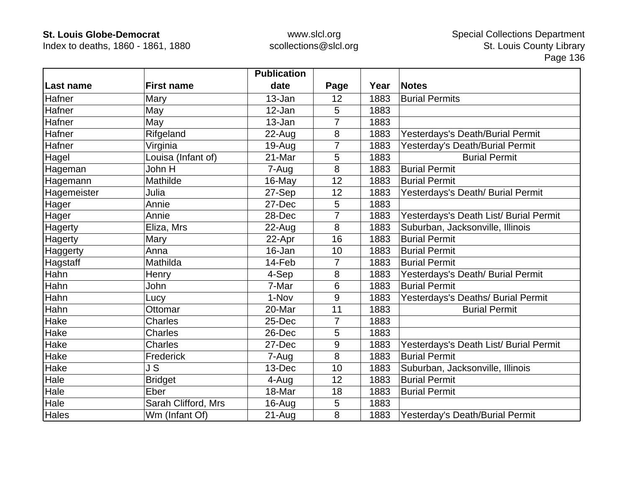Index to deaths, 1860 - 1861, 1880

|             |                     | <b>Publication</b> |                |      |                                        |
|-------------|---------------------|--------------------|----------------|------|----------------------------------------|
| Last name   | <b>First name</b>   | date               | Page           | Year | <b>Notes</b>                           |
| Hafner      | Mary                | 13-Jan             | 12             | 1883 | <b>Burial Permits</b>                  |
| Hafner      | May                 | 12-Jan             | 5              | 1883 |                                        |
| Hafner      | May                 | 13-Jan             | 7              | 1883 |                                        |
| Hafner      | Rifgeland           | 22-Aug             | 8              | 1883 | Yesterdays's Death/Burial Permit       |
| Hafner      | Virginia            | $19-Auq$           | $\overline{7}$ | 1883 | Yesterday's Death/Burial Permit        |
| Hagel       | Louisa (Infant of)  | 21-Mar             | 5              | 1883 | <b>Burial Permit</b>                   |
| Hageman     | John H              | 7-Aug              | 8              | 1883 | <b>Burial Permit</b>                   |
| Hagemann    | Mathilde            | 16-May             | 12             | 1883 | <b>Burial Permit</b>                   |
| Hagemeister | Julia               | 27-Sep             | 12             | 1883 | Yesterdays's Death/ Burial Permit      |
| Hager       | Annie               | 27-Dec             | 5              | 1883 |                                        |
| Hager       | Annie               | 28-Dec             | 7              | 1883 | Yesterdays's Death List/ Burial Permit |
| Hagerty     | Eliza, Mrs          | 22-Aug             | 8              | 1883 | Suburban, Jacksonville, Illinois       |
| Hagerty     | Mary                | 22-Apr             | 16             | 1883 | <b>Burial Permit</b>                   |
| Haggerty    | Anna                | 16-Jan             | 10             | 1883 | <b>Burial Permit</b>                   |
| Hagstaff    | Mathilda            | 14-Feb             | 7              | 1883 | <b>Burial Permit</b>                   |
| Hahn        | Henry               | 4-Sep              | 8              | 1883 | Yesterdays's Death/ Burial Permit      |
| Hahn        | John                | 7-Mar              | 6              | 1883 | <b>Burial Permit</b>                   |
| Hahn        | Lucy                | 1-Nov              | 9              | 1883 | Yesterdays's Deaths/ Burial Permit     |
| Hahn        | Ottomar             | 20-Mar             | 11             | 1883 | <b>Burial Permit</b>                   |
| Hake        | <b>Charles</b>      | 25-Dec             | 7              | 1883 |                                        |
| Hake        | <b>Charles</b>      | 26-Dec             | 5              | 1883 |                                        |
| Hake        | <b>Charles</b>      | 27-Dec             | 9              | 1883 | Yesterdays's Death List/ Burial Permit |
| Hake        | Frederick           | 7-Aug              | 8              | 1883 | <b>Burial Permit</b>                   |
| Hake        | J S                 | 13-Dec             | 10             | 1883 | Suburban, Jacksonville, Illinois       |
| Hale        | <b>Bridget</b>      | 4-Aug              | 12             | 1883 | <b>Burial Permit</b>                   |
| Hale        | Eber                | 18-Mar             | 18             | 1883 | <b>Burial Permit</b>                   |
| Hale        | Sarah Clifford, Mrs | 16-Aug             | 5              | 1883 |                                        |
| Hales       | Wm (Infant Of)      | $21-Auq$           | 8              | 1883 | Yesterday's Death/Burial Permit        |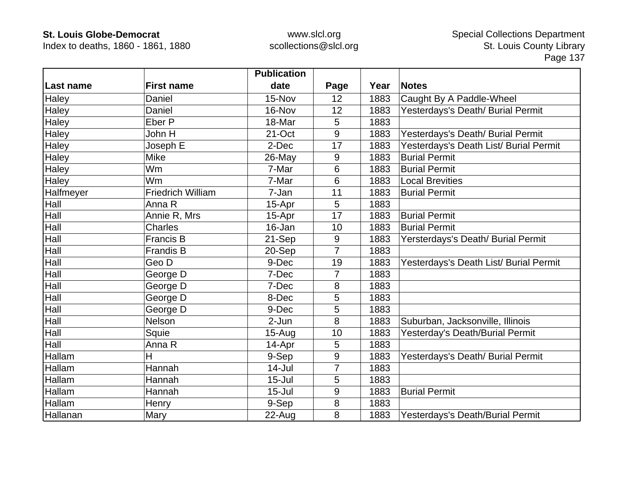Index to deaths, 1860 - 1861, 1880

|                  |                          | <b>Publication</b> |                |      |                                        |
|------------------|--------------------------|--------------------|----------------|------|----------------------------------------|
| Last name        | <b>First name</b>        | date               | Page           | Year | <b>Notes</b>                           |
| Haley            | Daniel                   | 15-Nov             | 12             | 1883 | Caught By A Paddle-Wheel               |
| Haley            | Daniel                   | 16-Nov             | 12             | 1883 | Yesterdays's Death/ Burial Permit      |
| Haley            | Eber P                   | 18-Mar             | 5              | 1883 |                                        |
| Haley            | John H                   | 21-Oct             | 9              | 1883 | Yesterdays's Death/ Burial Permit      |
| Haley            | Joseph E                 | 2-Dec              | 17             | 1883 | Yesterdays's Death List/ Burial Permit |
| Haley            | <b>Mike</b>              | 26-May             | 9              | 1883 | <b>Burial Permit</b>                   |
| Haley            | Wm                       | 7-Mar              | 6              | 1883 | <b>Burial Permit</b>                   |
| Haley            | Wm                       | 7-Mar              | 6              | 1883 | <b>Local Brevities</b>                 |
| <b>Halfmeyer</b> | <b>Friedrich William</b> | 7-Jan              | 11             | 1883 | <b>Burial Permit</b>                   |
| Hall             | Anna R                   | 15-Apr             | 5              | 1883 |                                        |
| Hall             | Annie R, Mrs             | 15-Apr             | 17             | 1883 | <b>Burial Permit</b>                   |
| Hall             | Charles                  | 16-Jan             | 10             | 1883 | <b>Burial Permit</b>                   |
| Hall             | <b>Francis B</b>         | 21-Sep             | 9              | 1883 | Yersterdays's Death/ Burial Permit     |
| Hall             | <b>Frandis B</b>         | 20-Sep             | $\overline{7}$ | 1883 |                                        |
| Hall             | Geo D                    | 9-Dec              | 19             | 1883 | Yesterdays's Death List/ Burial Permit |
| Hall             | George D                 | 7-Dec              | 7              | 1883 |                                        |
| Hall             | George D                 | 7-Dec              | 8              | 1883 |                                        |
| Hall             | George D                 | 8-Dec              | 5              | 1883 |                                        |
| Hall             | George D                 | 9-Dec              | 5              | 1883 |                                        |
| Hall             | Nelson                   | 2-Jun              | 8              | 1883 | Suburban, Jacksonville, Illinois       |
| Hall             | Squie                    | $15 - Aug$         | 10             | 1883 | Yesterday's Death/Burial Permit        |
| Hall             | Anna R                   | 14-Apr             | 5              | 1883 |                                        |
| Hallam           | н                        | 9-Sep              | 9              | 1883 | Yesterdays's Death/ Burial Permit      |
| Hallam           | Hannah                   | $14$ -Jul          | 7              | 1883 |                                        |
| Hallam           | Hannah                   | $15 -$ Jul         | 5              | 1883 |                                        |
| Hallam           | Hannah                   | $15 -$ Jul         | 9              | 1883 | <b>Burial Permit</b>                   |
| Hallam           | Henry                    | 9-Sep              | 8              | 1883 |                                        |
| Hallanan         | Mary                     | 22-Aug             | 8              | 1883 | Yesterdays's Death/Burial Permit       |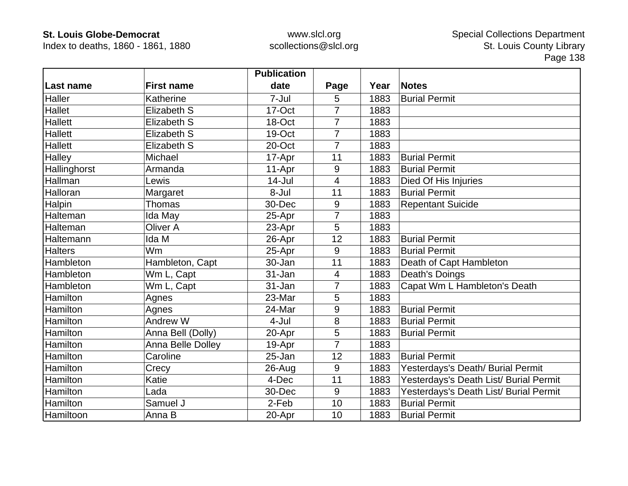Index to deaths, 1860 - 1861, 1880

|                |                   | <b>Publication</b> |                |      |                                        |
|----------------|-------------------|--------------------|----------------|------|----------------------------------------|
| Last name      | <b>First name</b> | date               | Page           | Year | <b>Notes</b>                           |
| Haller         | Katherine         | 7-Jul              | 5              | 1883 | <b>Burial Permit</b>                   |
| <b>Hallet</b>  | Elizabeth S       | 17-Oct             | $\overline{7}$ | 1883 |                                        |
| <b>Hallett</b> | Elizabeth S       | 18-Oct             | 7              | 1883 |                                        |
| <b>Hallett</b> | Elizabeth S       | 19-Oct             | $\overline{7}$ | 1883 |                                        |
| <b>Hallett</b> | Elizabeth S       | 20-Oct             | $\overline{7}$ | 1883 |                                        |
| Halley         | Michael           | 17-Apr             | 11             | 1883 | <b>Burial Permit</b>                   |
| Hallinghorst   | Armanda           | 11-Apr             | 9              | 1883 | <b>Burial Permit</b>                   |
| Hallman        | Lewis             | $14$ -Jul          | 4              | 1883 | Died Of His Injuries                   |
| Halloran       | Margaret          | 8-Jul              | 11             | 1883 | <b>Burial Permit</b>                   |
| Halpin         | Thomas            | 30-Dec             | 9              | 1883 | <b>Repentant Suicide</b>               |
| Halteman       | Ida May           | 25-Apr             | $\overline{7}$ | 1883 |                                        |
| Halteman       | <b>Oliver A</b>   | 23-Apr             | 5              | 1883 |                                        |
| Haltemann      | Ida M             | 26-Apr             | 12             | 1883 | <b>Burial Permit</b>                   |
| <b>Halters</b> | Wm                | 25-Apr             | 9              | 1883 | <b>Burial Permit</b>                   |
| Hambleton      | Hambleton, Capt   | 30-Jan             | 11             | 1883 | Death of Capt Hambleton                |
| Hambleton      | Wm L, Capt        | 31-Jan             | 4              | 1883 | Death's Doings                         |
| Hambleton      | Wm L, Capt        | 31-Jan             | 7              | 1883 | Capat Wm L Hambleton's Death           |
| Hamilton       | Agnes             | 23-Mar             | 5              | 1883 |                                        |
| Hamilton       | Agnes             | 24-Mar             | 9              | 1883 | <b>Burial Permit</b>                   |
| Hamilton       | Andrew W          | 4-Jul              | 8              | 1883 | <b>Burial Permit</b>                   |
| Hamilton       | Anna Bell (Dolly) | 20-Apr             | 5              | 1883 | <b>Burial Permit</b>                   |
| Hamilton       | Anna Belle Dolley | 19-Apr             | $\overline{7}$ | 1883 |                                        |
| Hamilton       | Caroline          | 25-Jan             | 12             | 1883 | <b>Burial Permit</b>                   |
| Hamilton       | Crecy             | 26-Aug             | 9              | 1883 | Yesterdays's Death/ Burial Permit      |
| Hamilton       | Katie             | 4-Dec              | 11             | 1883 | Yesterdays's Death List/ Burial Permit |
| Hamilton       | Lada              | 30-Dec             | 9              | 1883 | Yesterdays's Death List/ Burial Permit |
| Hamilton       | Samuel J          | 2-Feb              | 10             | 1883 | <b>Burial Permit</b>                   |
| Hamiltoon      | Anna B            | 20-Apr             | 10             | 1883 | <b>Burial Permit</b>                   |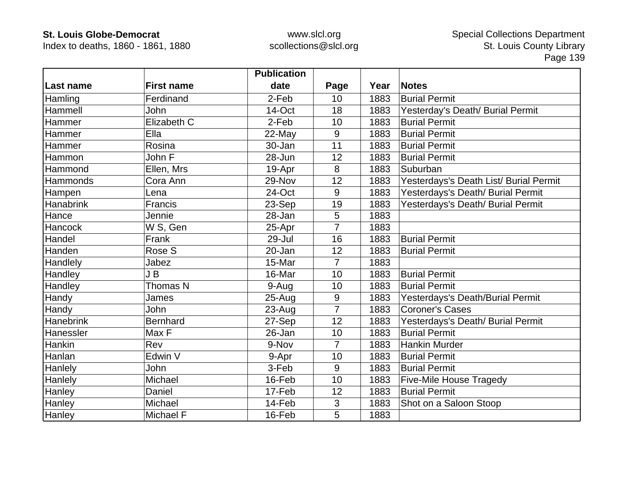Index to deaths, 1860 - 1861, 1880

|                  |                   | <b>Publication</b> |                |      |                                        |
|------------------|-------------------|--------------------|----------------|------|----------------------------------------|
| Last name        | <b>First name</b> | date               | Page           | Year | <b>Notes</b>                           |
| Hamling          | Ferdinand         | 2-Feb              | 10             | 1883 | <b>Burial Permit</b>                   |
| Hammell          | <b>John</b>       | 14-Oct             | 18             | 1883 | Yesterday's Death/ Burial Permit       |
| Hammer           | Elizabeth C       | 2-Feb              | 10             | 1883 | <b>Burial Permit</b>                   |
| Hammer           | Ella              | 22-May             | 9              | 1883 | <b>Burial Permit</b>                   |
| Hammer           | Rosina            | 30-Jan             | 11             | 1883 | <b>Burial Permit</b>                   |
| Hammon           | John F            | 28-Jun             | 12             | 1883 | <b>Burial Permit</b>                   |
| Hammond          | Ellen, Mrs        | 19-Apr             | 8              | 1883 | Suburban                               |
| Hammonds         | Cora Ann          | 29-Nov             | 12             | 1883 | Yesterdays's Death List/ Burial Permit |
| Hampen           | Lena              | 24-Oct             | 9              | 1883 | Yesterdays's Death/ Burial Permit      |
| <b>Hanabrink</b> | Francis           | 23-Sep             | 19             | 1883 | Yesterdays's Death/ Burial Permit      |
| Hance            | Jennie            | 28-Jan             | 5              | 1883 |                                        |
| Hancock          | W S, Gen          | 25-Apr             | $\overline{7}$ | 1883 |                                        |
| Handel           | Frank             | 29-Jul             | 16             | 1883 | <b>Burial Permit</b>                   |
| Handen           | Rose S            | 20-Jan             | 12             | 1883 | <b>Burial Permit</b>                   |
| Handlely         | Jabez             | 15-Mar             | $\overline{7}$ | 1883 |                                        |
| Handley          | J B               | 16-Mar             | 10             | 1883 | <b>Burial Permit</b>                   |
| <b>Handley</b>   | Thomas N          | 9-Aug              | 10             | 1883 | <b>Burial Permit</b>                   |
| Handy            | James             | 25-Aug             | 9              | 1883 | Yesterdays's Death/Burial Permit       |
| Handy            | John              | 23-Aug             | $\overline{7}$ | 1883 | <b>Coroner's Cases</b>                 |
| Hanebrink        | <b>Bernhard</b>   | 27-Sep             | 12             | 1883 | Yesterdays's Death/ Burial Permit      |
| Hanessler        | Max F             | 26-Jan             | 10             | 1883 | <b>Burial Permit</b>                   |
| Hankin           | Rev               | 9-Nov              | $\overline{7}$ | 1883 | <b>Hankin Murder</b>                   |
| Hanlan           | Edwin V           | 9-Apr              | 10             | 1883 | <b>Burial Permit</b>                   |
| Hanlely          | <b>John</b>       | 3-Feb              | 9              | 1883 | <b>Burial Permit</b>                   |
| Hanlely          | Michael           | 16-Feb             | 10             | 1883 | <b>Five-Mile House Tragedy</b>         |
| Hanley           | Daniel            | 17-Feb             | 12             | 1883 | <b>Burial Permit</b>                   |
| Hanley           | Michael           | 14-Feb             | 3              | 1883 | Shot on a Saloon Stoop                 |
| Hanley           | Michael F         | 16-Feb             | 5              | 1883 |                                        |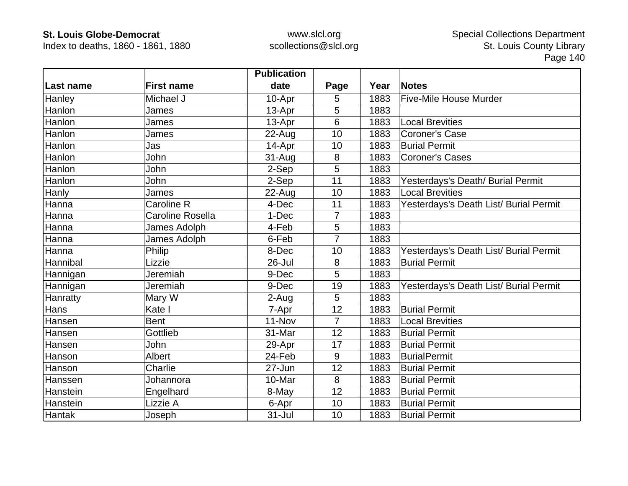Index to deaths, 1860 - 1861, 1880

|               |                         | <b>Publication</b> |                |      |                                        |
|---------------|-------------------------|--------------------|----------------|------|----------------------------------------|
| Last name     | <b>First name</b>       | date               | Page           | Year | <b>Notes</b>                           |
| Hanley        | Michael J               | 10-Apr             | 5              | 1883 | <b>Five-Mile House Murder</b>          |
| Hanlon        | James                   | 13-Apr             | 5              | 1883 |                                        |
| Hanlon        | James                   | 13-Apr             | 6              | 1883 | <b>Local Brevities</b>                 |
| Hanlon        | James                   | 22-Aug             | 10             | 1883 | <b>Coroner's Case</b>                  |
| Hanlon        | Jas                     | 14-Apr             | 10             | 1883 | <b>Burial Permit</b>                   |
| Hanlon        | John                    | $31 - Aug$         | 8              | 1883 | <b>Coroner's Cases</b>                 |
| Hanlon        | John                    | 2-Sep              | 5              | 1883 |                                        |
| Hanlon        | John                    | 2-Sep              | 11             | 1883 | Yesterdays's Death/ Burial Permit      |
| Hanly         | James                   | $22$ -Aug          | 10             | 1883 | <b>Local Brevities</b>                 |
| Hanna         | Caroline R              | 4-Dec              | 11             | 1883 | Yesterdays's Death List/ Burial Permit |
| Hanna         | <b>Caroline Rosella</b> | 1-Dec              | 7              | 1883 |                                        |
| Hanna         | James Adolph            | 4-Feb              | 5              | 1883 |                                        |
| Hanna         | James Adolph            | 6-Feb              | $\overline{7}$ | 1883 |                                        |
| Hanna         | Philip                  | 8-Dec              | 10             | 1883 | Yesterdays's Death List/ Burial Permit |
| Hannibal      | Lizzie                  | 26-Jul             | 8              | 1883 | <b>Burial Permit</b>                   |
| Hannigan      | Jeremiah                | 9-Dec              | 5              | 1883 |                                        |
| Hannigan      | Jeremiah                | 9-Dec              | 19             | 1883 | Yesterdays's Death List/ Burial Permit |
| Hanratty      | Mary W                  | 2-Aug              | 5              | 1883 |                                        |
| Hans          | Kate I                  | 7-Apr              | 12             | 1883 | <b>Burial Permit</b>                   |
| Hansen        | <b>Bent</b>             | $11 - Nov$         | $\overline{7}$ | 1883 | <b>Local Brevities</b>                 |
| Hansen        | Gottlieb                | 31-Mar             | 12             | 1883 | <b>Burial Permit</b>                   |
| Hansen        | John                    | 29-Apr             | 17             | 1883 | <b>Burial Permit</b>                   |
| Hanson        | Albert                  | 24-Feb             | 9              | 1883 | <b>BurialPermit</b>                    |
| Hanson        | Charlie                 | 27-Jun             | 12             | 1883 | <b>Burial Permit</b>                   |
| Hanssen       | Johannora               | 10-Mar             | 8              | 1883 | <b>Burial Permit</b>                   |
| Hanstein      | Engelhard               | 8-May              | 12             | 1883 | <b>Burial Permit</b>                   |
| Hanstein      | Lizzie A                | 6-Apr              | 10             | 1883 | <b>Burial Permit</b>                   |
| <b>Hantak</b> | Joseph                  | 31-Jul             | 10             | 1883 | <b>Burial Permit</b>                   |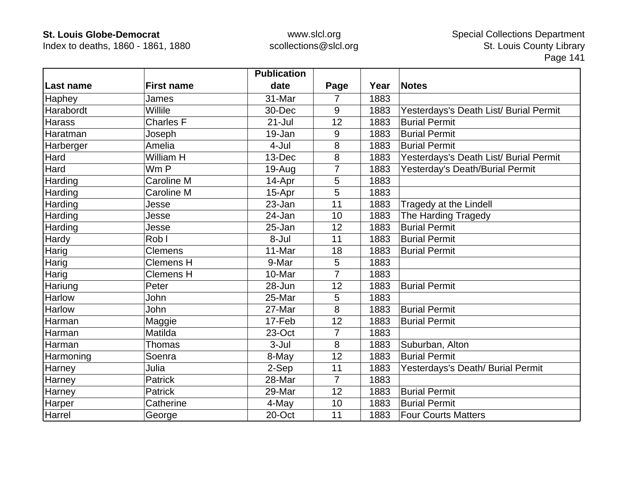Index to deaths, 1860 - 1861, 1880

|           |                   | <b>Publication</b> |                |      |                                        |
|-----------|-------------------|--------------------|----------------|------|----------------------------------------|
| Last name | <b>First name</b> | date               | Page           | Year | <b>Notes</b>                           |
| Haphey    | James             | 31-Mar             | 7              | 1883 |                                        |
| Harabordt | Willile           | 30-Dec             | 9              | 1883 | Yesterdays's Death List/ Burial Permit |
| Harass    | <b>Charles F</b>  | $21 -$ Jul         | 12             | 1883 | <b>Burial Permit</b>                   |
| Haratman  | Joseph            | 19-Jan             | 9              | 1883 | <b>Burial Permit</b>                   |
| Harberger | Amelia            | 4-Jul              | 8              | 1883 | <b>Burial Permit</b>                   |
| Hard      | William H         | 13-Dec             | 8              | 1883 | Yesterdays's Death List/ Burial Permit |
| Hard      | Wm P              | 19-Aug             |                | 1883 | Yesterday's Death/Burial Permit        |
| Harding   | Caroline M        | 14-Apr             | 5              | 1883 |                                        |
| Harding   | Caroline M        | 15-Apr             | 5              | 1883 |                                        |
| Harding   | Jesse             | 23-Jan             | 11             | 1883 | Tragedy at the Lindell                 |
| Harding   | Jesse             | 24-Jan             | 10             | 1883 | The Harding Tragedy                    |
| Harding   | Jesse             | 25-Jan             | 12             | 1883 | <b>Burial Permit</b>                   |
| Hardy     | Rob I             | 8-Jul              | 11             | 1883 | <b>Burial Permit</b>                   |
| Harig     | <b>Clemens</b>    | 11-Mar             | 18             | 1883 | <b>Burial Permit</b>                   |
| Harig     | <b>Clemens H</b>  | 9-Mar              | 5              | 1883 |                                        |
| Harig     | <b>Clemens H</b>  | 10-Mar             | 7              | 1883 |                                        |
| Hariung   | Peter             | 28-Jun             | 12             | 1883 | <b>Burial Permit</b>                   |
| Harlow    | John              | 25-Mar             | 5              | 1883 |                                        |
| Harlow    | John              | 27-Mar             | 8              | 1883 | <b>Burial Permit</b>                   |
| Harman    | Maggie            | 17-Feb             | 12             | 1883 | <b>Burial Permit</b>                   |
| Harman    | Matilda           | 23-Oct             | $\overline{7}$ | 1883 |                                        |
| Harman    | Thomas            | 3-Jul              | 8              | 1883 | Suburban, Alton                        |
| Harmoning | Soenra            | 8-May              | 12             | 1883 | <b>Burial Permit</b>                   |
| Harney    | Julia             | 2-Sep              | 11             | 1883 | Yesterdays's Death/ Burial Permit      |
| Harney    | <b>Patrick</b>    | 28-Mar             | $\overline{7}$ | 1883 |                                        |
| Harney    | <b>Patrick</b>    | 29-Mar             | 12             | 1883 | <b>Burial Permit</b>                   |
| Harper    | Catherine         | 4-May              | 10             | 1883 | <b>Burial Permit</b>                   |
| Harrel    | George            | 20-Oct             | 11             | 1883 | <b>Four Courts Matters</b>             |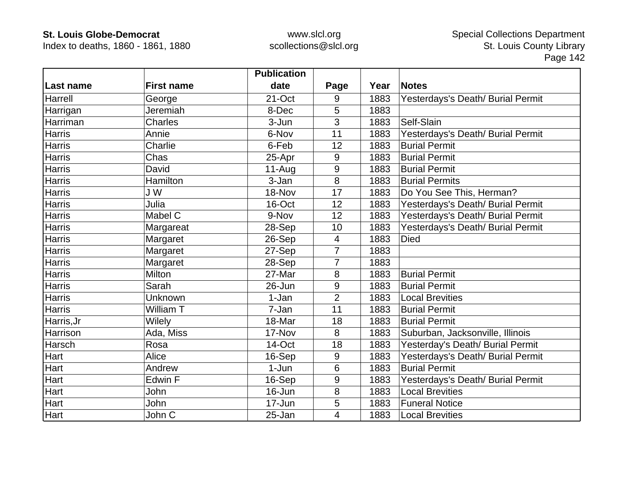Index to deaths, 1860 - 1861, 1880

|               |                   | <b>Publication</b> |                  |      |                                   |
|---------------|-------------------|--------------------|------------------|------|-----------------------------------|
| Last name     | <b>First name</b> | date               | Page             | Year | <b>Notes</b>                      |
| Harrell       | George            | 21-Oct             | 9                | 1883 | Yesterdays's Death/ Burial Permit |
| Harrigan      | Jeremiah          | 8-Dec              | 5                | 1883 |                                   |
| Harriman      | <b>Charles</b>    | 3-Jun              | 3                | 1883 | Self-Slain                        |
| Harris        | Annie             | 6-Nov              | 11               | 1883 | Yesterdays's Death/ Burial Permit |
| Harris        | Charlie           | 6-Feb              | 12               | 1883 | <b>Burial Permit</b>              |
| Harris        | Chas              | 25-Apr             | 9                | 1883 | <b>Burial Permit</b>              |
| <b>Harris</b> | David             | $11-Auq$           | 9                | 1883 | <b>Burial Permit</b>              |
| <b>Harris</b> | Hamilton          | 3-Jan              | 8                | 1883 | <b>Burial Permits</b>             |
| <b>Harris</b> | J W               | 18-Nov             | 17               | 1883 | Do You See This, Herman?          |
| <b>Harris</b> | Julia             | 16-Oct             | 12               | 1883 | Yesterdays's Death/ Burial Permit |
| Harris        | Mabel C           | 9-Nov              | 12               | 1883 | Yesterdays's Death/ Burial Permit |
| <b>Harris</b> | Margareat         | 28-Sep             | 10               | 1883 | Yesterdays's Death/ Burial Permit |
| <b>Harris</b> | Margaret          | 26-Sep             | $\overline{4}$   | 1883 | <b>Died</b>                       |
| <b>Harris</b> | Margaret          | 27-Sep             | $\overline{7}$   | 1883 |                                   |
| <b>Harris</b> | Margaret          | 28-Sep             | 7                | 1883 |                                   |
| <b>Harris</b> | Milton            | 27-Mar             | 8                | 1883 | <b>Burial Permit</b>              |
| <b>Harris</b> | Sarah             | 26-Jun             | $9\,$            | 1883 | <b>Burial Permit</b>              |
| <b>Harris</b> | Unknown           | 1-Jan              | $\overline{2}$   | 1883 | <b>Local Brevities</b>            |
| <b>Harris</b> | William T         | 7-Jan              | 11               | 1883 | <b>Burial Permit</b>              |
| Harris, Jr    | Wilely            | 18-Mar             | 18               | 1883 | <b>Burial Permit</b>              |
| Harrison      | Ada, Miss         | 17-Nov             | 8                | 1883 | Suburban, Jacksonville, Illinois  |
| Harsch        | Rosa              | 14-Oct             | 18               | 1883 | Yesterday's Death/ Burial Permit  |
| Hart          | Alice             | 16-Sep             | 9                | 1883 | Yesterdays's Death/ Burial Permit |
| Hart          | Andrew            | 1-Jun              | 6                | 1883 | <b>Burial Permit</b>              |
| <b>Hart</b>   | Edwin F           | 16-Sep             | $\boldsymbol{9}$ | 1883 | Yesterdays's Death/ Burial Permit |
| Hart          | John              | 16-Jun             | 8                | 1883 | <b>Local Brevities</b>            |
| Hart          | John              | 17-Jun             | 5                | 1883 | <b>Funeral Notice</b>             |
| Hart          | John C            | 25-Jan             | 4                | 1883 | <b>Local Brevities</b>            |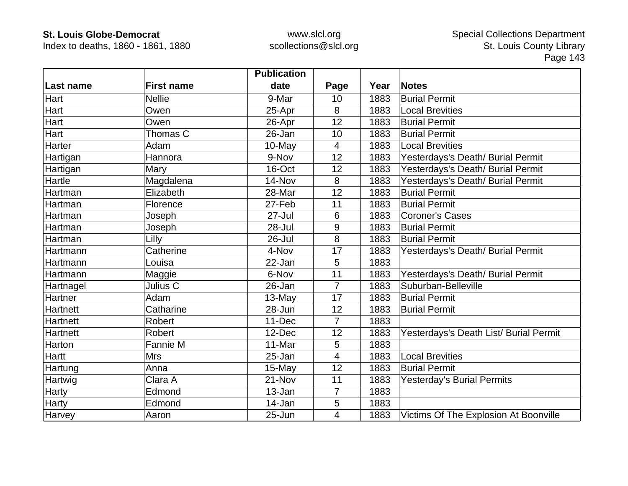Index to deaths, 1860 - 1861, 1880

|                  |                   | <b>Publication</b> |                |      |                                        |
|------------------|-------------------|--------------------|----------------|------|----------------------------------------|
| <b>Last name</b> | <b>First name</b> | date               | Page           | Year | <b>Notes</b>                           |
| Hart             | <b>Nellie</b>     | 9-Mar              | 10             | 1883 | <b>Burial Permit</b>                   |
| Hart             | Owen              | 25-Apr             | 8              | 1883 | <b>Local Brevities</b>                 |
| Hart             | Owen              | 26-Apr             | 12             | 1883 | <b>Burial Permit</b>                   |
| Hart             | Thomas C          | 26-Jan             | 10             | 1883 | <b>Burial Permit</b>                   |
| Harter           | Adam              | 10-May             | $\overline{4}$ | 1883 | <b>Local Brevities</b>                 |
| Hartigan         | Hannora           | 9-Nov              | 12             | 1883 | Yesterdays's Death/ Burial Permit      |
| Hartigan         | Mary              | 16-Oct             | 12             | 1883 | Yesterdays's Death/ Burial Permit      |
| Hartle           | Magdalena         | 14-Nov             | 8              | 1883 | Yesterdays's Death/ Burial Permit      |
| Hartman          | Elizabeth         | 28-Mar             | 12             | 1883 | <b>Burial Permit</b>                   |
| Hartman          | Florence          | 27-Feb             | 11             | 1883 | <b>Burial Permit</b>                   |
| Hartman          | Joseph            | 27-Jul             | 6              | 1883 | <b>Coroner's Cases</b>                 |
| Hartman          | Joseph            | $28 -$ Jul         | 9              | 1883 | <b>Burial Permit</b>                   |
| Hartman          | Lilly             | 26-Jul             | 8              | 1883 | <b>Burial Permit</b>                   |
| Hartmann         | Catherine         | 4-Nov              | 17             | 1883 | Yesterdays's Death/ Burial Permit      |
| Hartmann         | Louisa            | 22-Jan             | 5              | 1883 |                                        |
| Hartmann         | Maggie            | 6-Nov              | 11             | 1883 | Yesterdays's Death/ Burial Permit      |
| Hartnagel        | Julius C          | 26-Jan             | $\overline{7}$ | 1883 | Suburban-Belleville                    |
| Hartner          | Adam              | 13-May             | 17             | 1883 | <b>Burial Permit</b>                   |
| Hartnett         | Catharine         | 28-Jun             | 12             | 1883 | <b>Burial Permit</b>                   |
| Hartnett         | <b>Robert</b>     | 11-Dec             | $\overline{7}$ | 1883 |                                        |
| Hartnett         | <b>Robert</b>     | 12-Dec             | 12             | 1883 | Yesterdays's Death List/ Burial Permit |
| Harton           | Fannie M          | 11-Mar             | 5              | 1883 |                                        |
| <b>Hartt</b>     | <b>Mrs</b>        | 25-Jan             | $\overline{4}$ | 1883 | <b>Local Brevities</b>                 |
| Hartung          | Anna              | 15-May             | 12             | 1883 | <b>Burial Permit</b>                   |
| Hartwig          | Clara A           | 21-Nov             | 11             | 1883 | <b>Yesterday's Burial Permits</b>      |
| Harty            | Edmond            | 13-Jan             | $\overline{7}$ | 1883 |                                        |
| Harty            | Edmond            | 14-Jan             | 5              | 1883 |                                        |
| Harvey           | Aaron             | 25-Jun             | 4              | 1883 | Victims Of The Explosion At Boonville  |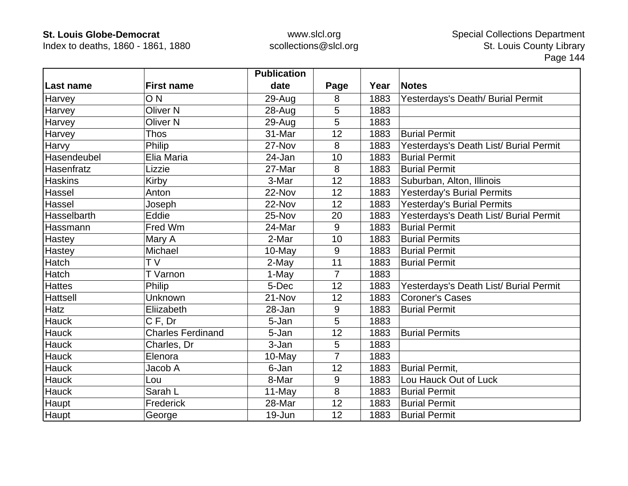Index to deaths, 1860 - 1861, 1880

|                  |                          | <b>Publication</b> |                |      |                                        |
|------------------|--------------------------|--------------------|----------------|------|----------------------------------------|
| <b>Last name</b> | <b>First name</b>        | date               | Page           | Year | <b>Notes</b>                           |
| Harvey           | O <sub>N</sub>           | 29-Aug             | 8              | 1883 | Yesterdays's Death/ Burial Permit      |
| Harvey           | <b>Oliver N</b>          | 28-Aug             | 5              | 1883 |                                        |
| Harvey           | <b>Oliver N</b>          | 29-Aug             | 5              | 1883 |                                        |
| Harvey           | <b>Thos</b>              | 31-Mar             | 12             | 1883 | <b>Burial Permit</b>                   |
| Harvy            | Philip                   | 27-Nov             | 8              | 1883 | Yesterdays's Death List/ Burial Permit |
| Hasendeubel      | Elia Maria               | 24-Jan             | 10             | 1883 | <b>Burial Permit</b>                   |
| Hasenfratz       | Lizzie                   | 27-Mar             | 8              | 1883 | <b>Burial Permit</b>                   |
| <b>Haskins</b>   | Kirby                    | 3-Mar              | 12             | 1883 | Suburban, Alton, Illinois              |
| Hassel           | Anton                    | 22-Nov             | 12             | 1883 | <b>Yesterday's Burial Permits</b>      |
| Hassel           | Joseph                   | 22-Nov             | 12             | 1883 | <b>Yesterday's Burial Permits</b>      |
| Hasselbarth      | Eddie                    | 25-Nov             | 20             | 1883 | Yesterdays's Death List/ Burial Permit |
| Hassmann         | Fred Wm                  | 24-Mar             | 9              | 1883 | <b>Burial Permit</b>                   |
| <b>Hastey</b>    | Mary A                   | 2-Mar              | 10             | 1883 | <b>Burial Permits</b>                  |
| <b>Hastey</b>    | Michael                  | 10-May             | 9              | 1883 | <b>Burial Permit</b>                   |
| Hatch            | T <sub>V</sub>           | 2-May              | 11             | 1883 | <b>Burial Permit</b>                   |
| Hatch            | T Varnon                 | 1-May              | $\overline{7}$ | 1883 |                                        |
| <b>Hattes</b>    | Philip                   | 5-Dec              | 12             | 1883 | Yesterdays's Death List/ Burial Permit |
| <b>Hattsell</b>  | Unknown                  | 21-Nov             | 12             | 1883 | <b>Coroner's Cases</b>                 |
| <b>Hatz</b>      | Eliizabeth               | 28-Jan             | 9              | 1883 | <b>Burial Permit</b>                   |
| <b>Hauck</b>     | C F, Dr                  | 5-Jan              | 5              | 1883 |                                        |
| <b>Hauck</b>     | <b>Charles Ferdinand</b> | 5-Jan              | 12             | 1883 | <b>Burial Permits</b>                  |
| <b>Hauck</b>     | Charles, Dr              | 3-Jan              | 5              | 1883 |                                        |
| <b>Hauck</b>     | Elenora                  | $10-May$           | $\overline{7}$ | 1883 |                                        |
| <b>Hauck</b>     | Jacob A                  | 6-Jan              | 12             | 1883 | <b>Burial Permit,</b>                  |
| <b>Hauck</b>     | Lou                      | 8-Mar              | 9              | 1883 | Lou Hauck Out of Luck                  |
| <b>Hauck</b>     | Sarah L                  | 11-May             | 8              | 1883 | <b>Burial Permit</b>                   |
| Haupt            | Frederick                | 28-Mar             | 12             | 1883 | <b>Burial Permit</b>                   |
| Haupt            | George                   | 19-Jun             | 12             | 1883 | <b>Burial Permit</b>                   |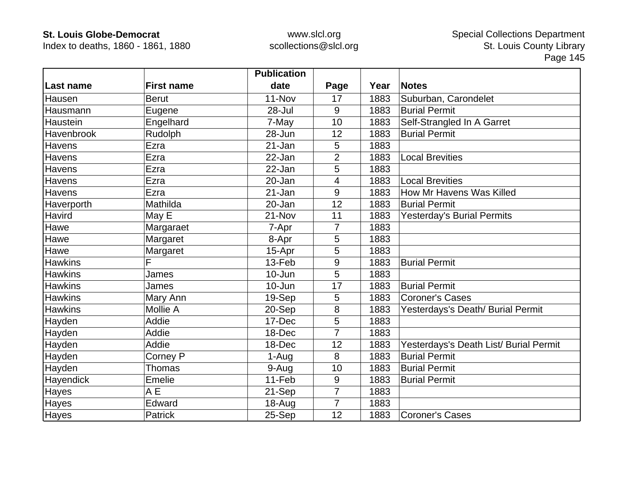Index to deaths, 1860 - 1861, 1880

|                |                   | <b>Publication</b> |                |      |                                        |
|----------------|-------------------|--------------------|----------------|------|----------------------------------------|
| Last name      | <b>First name</b> | date               | Page           | Year | <b>Notes</b>                           |
| Hausen         | <b>Berut</b>      | 11-Nov             | 17             | 1883 | Suburban, Carondelet                   |
| Hausmann       | Eugene            | 28-Jul             | 9              | 1883 | <b>Burial Permit</b>                   |
| Haustein       | Engelhard         | 7-May              | 10             | 1883 | Self-Strangled In A Garret             |
| Havenbrook     | Rudolph           | 28-Jun             | 12             | 1883 | <b>Burial Permit</b>                   |
| <b>Havens</b>  | Ezra              | 21-Jan             | 5              | 1883 |                                        |
| Havens         | Ezra              | 22-Jan             | $\overline{2}$ | 1883 | <b>Local Brevities</b>                 |
| Havens         | Ezra              | 22-Jan             | 5              | 1883 |                                        |
| Havens         | Ezra              | 20-Jan             | 4              | 1883 | <b>Local Brevities</b>                 |
| <b>Havens</b>  | Ezra              | 21-Jan             | 9              | 1883 | How Mr Havens Was Killed               |
| Haverporth     | Mathilda          | 20-Jan             | 12             | 1883 | <b>Burial Permit</b>                   |
| Havird         | May E             | 21-Nov             | 11             | 1883 | <b>Yesterday's Burial Permits</b>      |
| Hawe           | Margaraet         | 7-Apr              | 7              | 1883 |                                        |
| Hawe           | Margaret          | 8-Apr              | 5              | 1883 |                                        |
| Hawe           | Margaret          | 15-Apr             | 5              | 1883 |                                        |
| <b>Hawkins</b> | F                 | 13-Feb             | 9              | 1883 | <b>Burial Permit</b>                   |
| <b>Hawkins</b> | James             | $10 - Jun$         | 5              | 1883 |                                        |
| <b>Hawkins</b> | James             | 10-Jun             | 17             | 1883 | <b>Burial Permit</b>                   |
| <b>Hawkins</b> | Mary Ann          | 19-Sep             | 5              | 1883 | <b>Coroner's Cases</b>                 |
| <b>Hawkins</b> | <b>Mollie A</b>   | 20-Sep             | 8              | 1883 | Yesterdays's Death/ Burial Permit      |
| Hayden         | Addie             | 17-Dec             | 5              | 1883 |                                        |
| Hayden         | Addie             | 18-Dec             | $\overline{7}$ | 1883 |                                        |
| Hayden         | Addie             | 18-Dec             | 12             | 1883 | Yesterdays's Death List/ Burial Permit |
| Hayden         | Corney P          | 1-Aug              | 8              | 1883 | <b>Burial Permit</b>                   |
| Hayden         | Thomas            | 9-Aug              | 10             | 1883 | <b>Burial Permit</b>                   |
| Hayendick      | Emelie            | 11-Feb             | 9              | 1883 | <b>Burial Permit</b>                   |
| Hayes          | A E               | 21-Sep             | $\overline{7}$ | 1883 |                                        |
| Hayes          | Edward            | $18 - Aug$         | 7              | 1883 |                                        |
| Hayes          | Patrick           | 25-Sep             | 12             | 1883 | <b>Coroner's Cases</b>                 |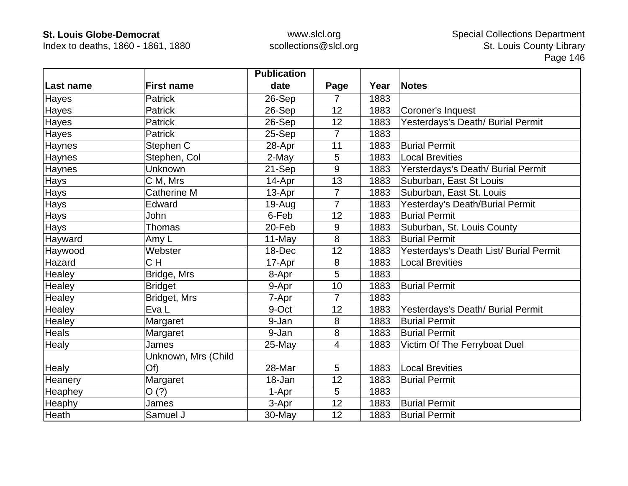Index to deaths, 1860 - 1861, 1880

|              |                     | <b>Publication</b> |                |      |                                        |
|--------------|---------------------|--------------------|----------------|------|----------------------------------------|
| Last name    | <b>First name</b>   | date               | Page           | Year | <b>Notes</b>                           |
| Hayes        | <b>Patrick</b>      | 26-Sep             | 7              | 1883 |                                        |
| Hayes        | Patrick             | 26-Sep             | 12             | 1883 | Coroner's Inquest                      |
| Hayes        | <b>Patrick</b>      | 26-Sep             | 12             | 1883 | Yesterdays's Death/ Burial Permit      |
| Hayes        | <b>Patrick</b>      | 25-Sep             | $\overline{7}$ | 1883 |                                        |
| Haynes       | Stephen C           | 28-Apr             | 11             | 1883 | <b>Burial Permit</b>                   |
| Haynes       | Stephen, Col        | 2-May              | 5              | 1883 | <b>Local Brevities</b>                 |
| Haynes       | Unknown             | 21-Sep             | 9              | 1883 | Yersterdays's Death/ Burial Permit     |
| <b>Hays</b>  | C M, Mrs            | 14-Apr             | 13             | 1883 | Suburban, East St Louis                |
| Hays         | <b>Catherine M</b>  | 13-Apr             | 7              | 1883 | Suburban, East St. Louis               |
| Hays         | Edward              | 19-Aug             | $\overline{7}$ | 1883 | Yesterday's Death/Burial Permit        |
| Hays         | John                | 6-Feb              | 12             | 1883 | <b>Burial Permit</b>                   |
| Hays         | Thomas              | 20-Feb             | 9              | 1883 | Suburban, St. Louis County             |
| Hayward      | Amy L               | 11-May             | 8              | 1883 | <b>Burial Permit</b>                   |
| Haywood      | Webster             | 18-Dec             | 12             | 1883 | Yesterdays's Death List/ Burial Permit |
| Hazard       | CH                  | 17-Apr             | 8              | 1883 | <b>Local Brevities</b>                 |
| Healey       | Bridge, Mrs         | 8-Apr              | 5              | 1883 |                                        |
| Healey       | <b>Bridget</b>      | 9-Apr              | 10             | 1883 | <b>Burial Permit</b>                   |
| Healey       | Bridget, Mrs        | 7-Apr              | $\overline{7}$ | 1883 |                                        |
| Healey       | Eva L               | 9-Oct              | 12             | 1883 | Yesterdays's Death/ Burial Permit      |
| Healey       | Margaret            | 9-Jan              | 8              | 1883 | <b>Burial Permit</b>                   |
| Heals        | Margaret            | 9-Jan              | 8              | 1883 | <b>Burial Permit</b>                   |
| Healy        | James               | 25-May             | 4              | 1883 | Victim Of The Ferryboat Duel           |
|              | Unknown, Mrs (Child |                    |                |      |                                        |
| <b>Healy</b> | Of)                 | 28-Mar             | 5              | 1883 | <b>Local Brevities</b>                 |
| Heanery      | Margaret            | 18-Jan             | 12             | 1883 | <b>Burial Permit</b>                   |
| Heaphey      | O(?)                | 1-Apr              | 5              | 1883 |                                        |
| Heaphy       | James               | 3-Apr              | 12             | 1883 | <b>Burial Permit</b>                   |
| Heath        | Samuel J            | 30-May             | 12             | 1883 | <b>Burial Permit</b>                   |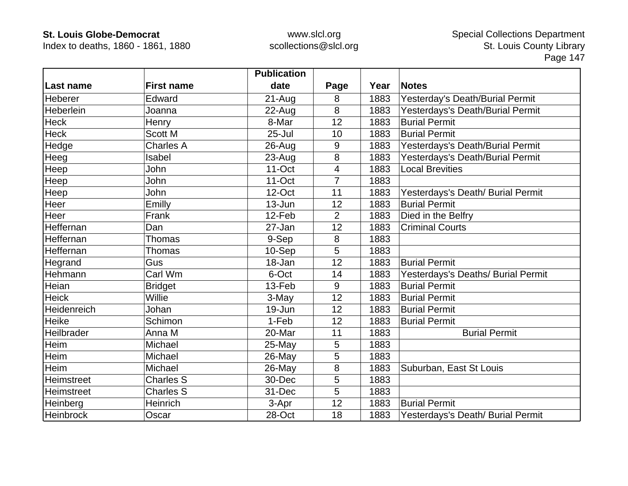Index to deaths, 1860 - 1861, 1880

|                  |                   | <b>Publication</b> |                |      |                                    |
|------------------|-------------------|--------------------|----------------|------|------------------------------------|
| Last name        | <b>First name</b> | date               | Page           | Year | <b>Notes</b>                       |
| <b>Heberer</b>   | Edward            | $21 - Aug$         | 8              | 1883 | Yesterday's Death/Burial Permit    |
| Heberlein        | Joanna            | 22-Aug             | 8              | 1883 | Yesterdays's Death/Burial Permit   |
| Heck             | Henry             | 8-Mar              | 12             | 1883 | <b>Burial Permit</b>               |
| <b>Heck</b>      | <b>Scott M</b>    | $25 -$ Jul         | 10             | 1883 | <b>Burial Permit</b>               |
| Hedge            | <b>Charles A</b>  | $26$ -Aug          | 9              | 1883 | Yesterdays's Death/Burial Permit   |
| Heeg             | Isabel            | $23 - Aug$         | 8              | 1883 | Yesterdays's Death/Burial Permit   |
| Heep             | John              | 11-Oct             | $\overline{4}$ | 1883 | <b>Local Brevities</b>             |
| Heep             | John              | 11-Oct             | $\overline{7}$ | 1883 |                                    |
| Heep             | John              | 12-Oct             | 11             | 1883 | Yesterdays's Death/ Burial Permit  |
| Heer             | Emilly            | $13 - Jun$         | 12             | 1883 | <b>Burial Permit</b>               |
| Heer             | Frank             | 12-Feb             | 2              | 1883 | Died in the Belfry                 |
| Heffernan        | Dan               | 27-Jan             | 12             | 1883 | <b>Criminal Courts</b>             |
| Heffernan        | <b>Thomas</b>     | 9-Sep              | 8              | 1883 |                                    |
| Heffernan        | Thomas            | 10-Sep             | 5              | 1883 |                                    |
| Hegrand          | Gus               | 18-Jan             | 12             | 1883 | <b>Burial Permit</b>               |
| Hehmann          | Carl Wm           | 6-Oct              | 14             | 1883 | Yesterdays's Deaths/ Burial Permit |
| Heian            | <b>Bridget</b>    | 13-Feb             | 9              | 1883 | <b>Burial Permit</b>               |
| <b>Heick</b>     | Willie            | 3-May              | 12             | 1883 | <b>Burial Permit</b>               |
| Heidenreich      | Johan             | 19-Jun             | 12             | 1883 | <b>Burial Permit</b>               |
| Heike            | Schimon           | 1-Feb              | 12             | 1883 | <b>Burial Permit</b>               |
| Heilbrader       | Anna M            | 20-Mar             | 11             | 1883 | <b>Burial Permit</b>               |
| Heim             | Michael           | 25-May             | 5              | 1883 |                                    |
| Heim             | Michael           | $26$ -May          | 5              | 1883 |                                    |
| Heim             | Michael           | 26-May             | 8              | 1883 | Suburban, East St Louis            |
| Heimstreet       | <b>Charles S</b>  | 30-Dec             | 5              | 1883 |                                    |
| Heimstreet       | <b>Charles S</b>  | 31-Dec             | 5              | 1883 |                                    |
| Heinberg         | Heinrich          | 3-Apr              | 12             | 1883 | <b>Burial Permit</b>               |
| <b>Heinbrock</b> | Oscar             | 28-Oct             | 18             | 1883 | Yesterdays's Death/ Burial Permit  |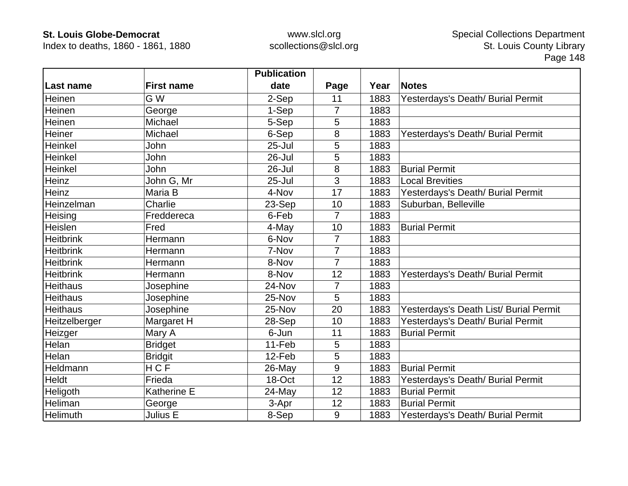Index to deaths, 1860 - 1861, 1880

|                  |                   | <b>Publication</b> |                |      |                                        |
|------------------|-------------------|--------------------|----------------|------|----------------------------------------|
| Last name        | <b>First name</b> | date               | Page           | Year | <b>Notes</b>                           |
| Heinen           | G W               | 2-Sep              | 11             | 1883 | Yesterdays's Death/ Burial Permit      |
| Heinen           | George            | 1-Sep              | $\overline{7}$ | 1883 |                                        |
| Heinen           | Michael           | 5-Sep              | 5              | 1883 |                                        |
| Heiner           | Michael           | 6-Sep              | 8              | 1883 | Yesterdays's Death/ Burial Permit      |
| <b>Heinkel</b>   | John              | $25 -$ Jul         | 5              | 1883 |                                        |
| Heinkel          | John              | 26-Jul             | 5              | 1883 |                                        |
| Heinkel          | John              | 26-Jul             | 8              | 1883 | <b>Burial Permit</b>                   |
| Heinz            | John G, Mr        | $25 -$ Jul         | 3              | 1883 | <b>Local Brevities</b>                 |
| Heinz            | Maria B           | 4-Nov              | 17             | 1883 | Yesterdays's Death/ Burial Permit      |
| Heinzelman       | Charlie           | 23-Sep             | 10             | 1883 | Suburban, Belleville                   |
| Heising          | Freddereca        | 6-Feb              | 7              | 1883 |                                        |
| Heislen          | Fred              | 4-May              | 10             | 1883 | <b>Burial Permit</b>                   |
| <b>Heitbrink</b> | Hermann           | 6-Nov              | $\overline{7}$ | 1883 |                                        |
| <b>Heitbrink</b> | Hermann           | 7-Nov              | 7              | 1883 |                                        |
| <b>Heitbrink</b> | Hermann           | 8-Nov              | 7              | 1883 |                                        |
| <b>Heitbrink</b> | Hermann           | 8-Nov              | 12             | 1883 | Yesterdays's Death/ Burial Permit      |
| <b>Heithaus</b>  | Josephine         | 24-Nov             | 7              | 1883 |                                        |
| <b>Heithaus</b>  | Josephine         | 25-Nov             | 5              | 1883 |                                        |
| <b>Heithaus</b>  | Josephine         | 25-Nov             | 20             | 1883 | Yesterdays's Death List/ Burial Permit |
| Heitzelberger    | Margaret H        | 28-Sep             | 10             | 1883 | Yesterdays's Death/ Burial Permit      |
| Heizger          | Mary A            | 6-Jun              | 11             | 1883 | <b>Burial Permit</b>                   |
| Helan            | <b>Bridget</b>    | 11-Feb             | 5              | 1883 |                                        |
| Helan            | <b>Bridgit</b>    | 12-Feb             | 5              | 1883 |                                        |
| Heldmann         | <b>HCF</b>        | $26$ -May          | 9              | 1883 | <b>Burial Permit</b>                   |
| Heldt            | Frieda            | 18-Oct             | 12             | 1883 | Yesterdays's Death/ Burial Permit      |
| Heligoth         | Katherine E       | 24-May             | 12             | 1883 | <b>Burial Permit</b>                   |
| Heliman          | George            | 3-Apr              | 12             | 1883 | <b>Burial Permit</b>                   |
| Helimuth         | Julius E          | 8-Sep              | 9              | 1883 | Yesterdays's Death/ Burial Permit      |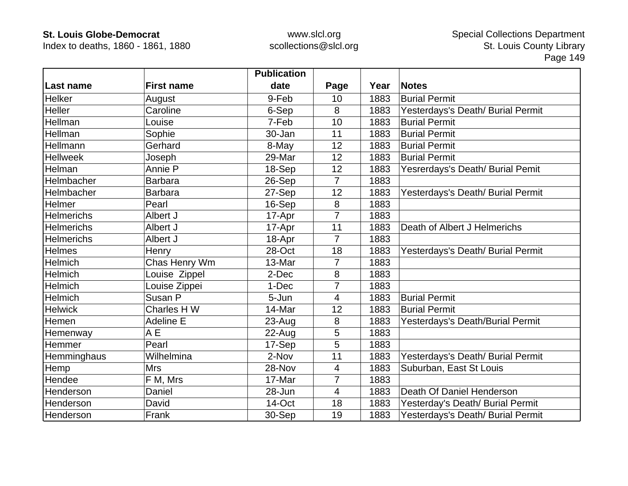Index to deaths, 1860 - 1861, 1880

|                   |                   | <b>Publication</b> |                |      |                                   |
|-------------------|-------------------|--------------------|----------------|------|-----------------------------------|
| Last name         | <b>First name</b> | date               | Page           | Year | <b>Notes</b>                      |
| Helker            | August            | 9-Feb              | 10             | 1883 | <b>Burial Permit</b>              |
| Heller            | Caroline          | 6-Sep              | 8              | 1883 | Yesterdays's Death/ Burial Permit |
| Hellman           | Louise            | 7-Feb              | 10             | 1883 | <b>Burial Permit</b>              |
| Hellman           | Sophie            | 30-Jan             | 11             | 1883 | <b>Burial Permit</b>              |
| Hellmann          | Gerhard           | 8-May              | 12             | 1883 | <b>Burial Permit</b>              |
| <b>Hellweek</b>   | Joseph            | 29-Mar             | 12             | 1883 | <b>Burial Permit</b>              |
| Helman            | Annie P           | 18-Sep             | 12             | 1883 | Yesrerdays's Death/ Burial Pemit  |
| Helmbacher        | <b>Barbara</b>    | 26-Sep             | $\overline{7}$ | 1883 |                                   |
| Helmbacher        | <b>Barbara</b>    | 27-Sep             | 12             | 1883 | Yesterdays's Death/ Burial Permit |
| Helmer            | Pearl             | 16-Sep             | 8              | 1883 |                                   |
| <b>Helmerichs</b> | Albert J          | 17-Apr             |                | 1883 |                                   |
| <b>Helmerichs</b> | Albert J          | 17-Apr             | 11             | 1883 | Death of Albert J Helmerichs      |
| <b>Helmerichs</b> | Albert J          | 18-Apr             | 7              | 1883 |                                   |
| <b>Helmes</b>     | Henry             | 28-Oct             | 18             | 1883 | Yesterdays's Death/ Burial Permit |
| <b>Helmich</b>    | Chas Henry Wm     | 13-Mar             | 7              | 1883 |                                   |
| Helmich           | Louise Zippel     | 2-Dec              | 8              | 1883 |                                   |
| <b>Helmich</b>    | Louise Zippei     | 1-Dec              | 7              | 1883 |                                   |
| Helmich           | Susan P           | 5-Jun              | $\overline{4}$ | 1883 | <b>Burial Permit</b>              |
| <b>Helwick</b>    | Charles H W       | 14-Mar             | 12             | 1883 | <b>Burial Permit</b>              |
| Hemen             | <b>Adeline E</b>  | $23 - Aug$         | 8              | 1883 | Yesterdays's Death/Burial Permit  |
| Hemenway          | A <sub>E</sub>    | $22$ -Aug          | 5              | 1883 |                                   |
| Hemmer            | Pearl             | 17-Sep             | 5              | 1883 |                                   |
| Hemminghaus       | Wilhelmina        | 2-Nov              | 11             | 1883 | Yesterdays's Death/ Burial Permit |
| Hemp              | <b>Mrs</b>        | 28-Nov             | 4              | 1883 | Suburban, East St Louis           |
| Hendee            | F M, Mrs          | 17-Mar             | $\overline{7}$ | 1883 |                                   |
| Henderson         | Daniel            | 28-Jun             | 4              | 1883 | Death Of Daniel Henderson         |
| Henderson         | David             | 14-Oct             | 18             | 1883 | Yesterday's Death/ Burial Permit  |
| Henderson         | Frank             | 30-Sep             | 19             | 1883 | Yesterdays's Death/ Burial Permit |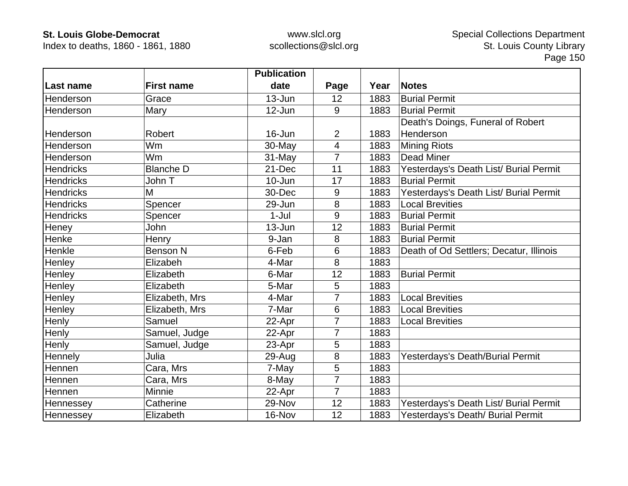Index to deaths, 1860 - 1861, 1880

|                  |                   | <b>Publication</b> |                |      |                                         |
|------------------|-------------------|--------------------|----------------|------|-----------------------------------------|
| Last name        | <b>First name</b> | date               | Page           | Year | Notes                                   |
| Henderson        | Grace             | 13-Jun             | 12             | 1883 | <b>Burial Permit</b>                    |
| Henderson        | Mary              | 12-Jun             | 9              | 1883 | <b>Burial Permit</b>                    |
|                  |                   |                    |                |      | Death's Doings, Funeral of Robert       |
| Henderson        | Robert            | 16-Jun             | $\overline{2}$ | 1883 | Henderson                               |
| Henderson        | Wm                | 30-May             | $\overline{4}$ | 1883 | <b>Mining Riots</b>                     |
| Henderson        | Wm                | 31-May             | $\overline{7}$ | 1883 | <b>Dead Miner</b>                       |
| <b>Hendricks</b> | <b>Blanche D</b>  | 21-Dec             | 11             | 1883 | Yesterdays's Death List/ Burial Permit  |
| <b>Hendricks</b> | John T            | 10-Jun             | 17             | 1883 | <b>Burial Permit</b>                    |
| <b>Hendricks</b> | M                 | 30-Dec             | 9              | 1883 | Yesterdays's Death List/ Burial Permit  |
| <b>Hendricks</b> | Spencer           | 29-Jun             | 8              | 1883 | <b>Local Brevities</b>                  |
| <b>Hendricks</b> | Spencer           | $1-Jul$            | 9              | 1883 | <b>Burial Permit</b>                    |
| Heney            | John              | $13 - Jun$         | 12             | 1883 | <b>Burial Permit</b>                    |
| Henke            | Henry             | 9-Jan              | 8              | 1883 | <b>Burial Permit</b>                    |
| Henkle           | <b>Benson N</b>   | 6-Feb              | 6              | 1883 | Death of Od Settlers; Decatur, Illinois |
| Henley           | Elizabeh          | 4-Mar              | 8              | 1883 |                                         |
| Henley           | Elizabeth         | 6-Mar              | 12             | 1883 | <b>Burial Permit</b>                    |
| Henley           | Elizabeth         | 5-Mar              | 5              | 1883 |                                         |
| Henley           | Elizabeth, Mrs    | 4-Mar              | 7              | 1883 | <b>Local Brevities</b>                  |
| Henley           | Elizabeth, Mrs    | 7-Mar              | 6              | 1883 | <b>Local Brevities</b>                  |
| Henly            | Samuel            | 22-Apr             | 7              | 1883 | <b>Local Brevities</b>                  |
| Henly            | Samuel, Judge     | 22-Apr             | $\overline{7}$ | 1883 |                                         |
| Henly            | Samuel, Judge     | 23-Apr             | 5              | 1883 |                                         |
| Hennely          | Julia             | 29-Aug             | 8              | 1883 | Yesterdays's Death/Burial Permit        |
| Hennen           | Cara, Mrs         | 7-May              | 5              | 1883 |                                         |
| Hennen           | Cara, Mrs         | 8-May              | 7              | 1883 |                                         |
| Hennen           | Minnie            | 22-Apr             | $\overline{7}$ | 1883 |                                         |
| Hennessey        | Catherine         | 29-Nov             | 12             | 1883 | Yesterdays's Death List/ Burial Permit  |
| Hennessey        | Elizabeth         | 16-Nov             | 12             | 1883 | Yesterdays's Death/ Burial Permit       |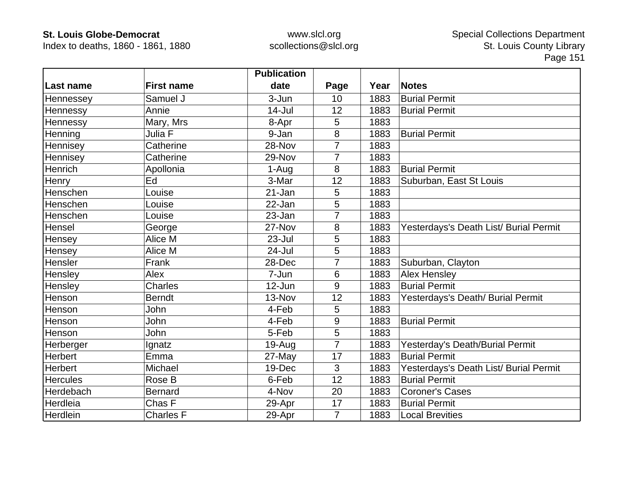Index to deaths, 1860 - 1861, 1880

|                 |                   | <b>Publication</b> |                |      |                                        |
|-----------------|-------------------|--------------------|----------------|------|----------------------------------------|
| Last name       | <b>First name</b> | date               | Page           | Year | <b>Notes</b>                           |
| Hennessey       | Samuel J          | 3-Jun              | 10             | 1883 | <b>Burial Permit</b>                   |
| Hennessy        | Annie             | $14$ -Jul          | 12             | 1883 | <b>Burial Permit</b>                   |
| Hennessy        | Mary, Mrs         | 8-Apr              | 5              | 1883 |                                        |
| Henning         | Julia F           | 9-Jan              | 8              | 1883 | <b>Burial Permit</b>                   |
| Hennisey        | Catherine         | 28-Nov             | $\overline{7}$ | 1883 |                                        |
| Hennisey        | Catherine         | 29-Nov             | 7              | 1883 |                                        |
| Henrich         | Apollonia         | 1-Aug              | 8              | 1883 | <b>Burial Permit</b>                   |
| Henry           | Ed                | 3-Mar              | 12             | 1883 | Suburban, East St Louis                |
| Henschen        | Louise            | 21-Jan             | 5              | 1883 |                                        |
| Henschen        | Louise            | 22-Jan             | 5              | 1883 |                                        |
| Henschen        | Louise            | 23-Jan             |                | 1883 |                                        |
| Hensel          | George            | 27-Nov             | 8              | 1883 | Yesterdays's Death List/ Burial Permit |
| Hensey          | Alice M           | 23-Jul             | 5              | 1883 |                                        |
| Hensey          | Alice M           | 24-Jul             | 5              | 1883 |                                        |
| Hensler         | Frank             | 28-Dec             |                | 1883 | Suburban, Clayton                      |
| Hensley         | Alex              | 7-Jun              | 6              | 1883 | <b>Alex Hensley</b>                    |
| Hensley         | <b>Charles</b>    | 12-Jun             | 9              | 1883 | <b>Burial Permit</b>                   |
| Henson          | <b>Berndt</b>     | 13-Nov             | 12             | 1883 | Yesterdays's Death/ Burial Permit      |
| Henson          | John              | 4-Feb              | 5              | 1883 |                                        |
| Henson          | <b>John</b>       | 4-Feb              | 9              | 1883 | <b>Burial Permit</b>                   |
| Henson          | John              | 5-Feb              | 5              | 1883 |                                        |
| Herberger       | Ignatz            | $19-Au$ g          | $\overline{7}$ | 1883 | Yesterday's Death/Burial Permit        |
| <b>Herbert</b>  | Emma              | 27-May             | 17             | 1883 | <b>Burial Permit</b>                   |
| <b>Herbert</b>  | Michael           | 19-Dec             | 3              | 1883 | Yesterdays's Death List/ Burial Permit |
| <b>Hercules</b> | Rose B            | 6-Feb              | 12             | 1883 | <b>Burial Permit</b>                   |
| Herdebach       | <b>Bernard</b>    | 4-Nov              | 20             | 1883 | <b>Coroner's Cases</b>                 |
| Herdleia        | Chas F            | 29-Apr             | 17             | 1883 | <b>Burial Permit</b>                   |
| Herdlein        | <b>Charles F</b>  | 29-Apr             | $\overline{7}$ | 1883 | <b>Local Brevities</b>                 |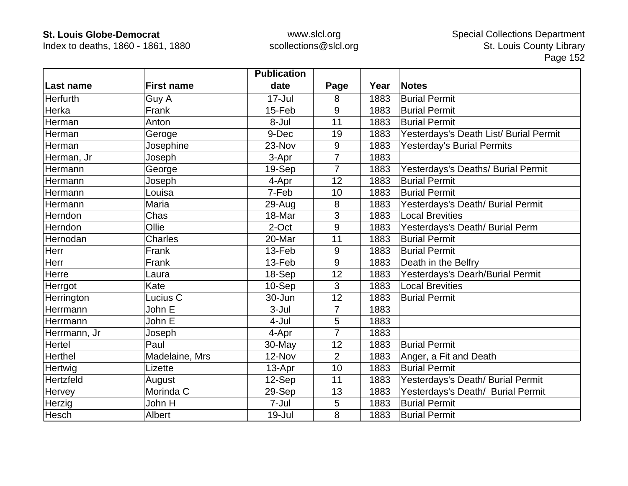Index to deaths, 1860 - 1861, 1880

|              |                   | <b>Publication</b> |                |      |                                        |
|--------------|-------------------|--------------------|----------------|------|----------------------------------------|
| Last name    | <b>First name</b> | date               | Page           | Year | <b>Notes</b>                           |
| Herfurth     | Guy A             | 17-Jul             | 8              | 1883 | <b>Burial Permit</b>                   |
| Herka        | Frank             | 15-Feb             | 9              | 1883 | <b>Burial Permit</b>                   |
| Herman       | Anton             | 8-Jul              | 11             | 1883 | <b>Burial Permit</b>                   |
| Herman       | Geroge            | 9-Dec              | 19             | 1883 | Yesterdays's Death List/ Burial Permit |
| Herman       | Josephine         | 23-Nov             | 9              | 1883 | Yesterday's Burial Permits             |
| Herman, Jr   | Joseph            | 3-Apr              | $\overline{7}$ | 1883 |                                        |
| Hermann      | George            | 19-Sep             | 7              | 1883 | Yesterdays's Deaths/ Burial Permit     |
| Hermann      | Joseph            | 4-Apr              | 12             | 1883 | <b>Burial Permit</b>                   |
| Hermann      | Louisa            | 7-Feb              | 10             | 1883 | <b>Burial Permit</b>                   |
| Hermann      | Maria             | 29-Aug             | 8              | 1883 | Yesterdays's Death/ Burial Permit      |
| Herndon      | Chas              | 18-Mar             | 3              | 1883 | <b>Local Brevities</b>                 |
| Herndon      | Ollie             | 2-Oct              | 9              | 1883 | Yesterdays's Death/ Burial Perm        |
| Hernodan     | Charles           | 20-Mar             | 11             | 1883 | <b>Burial Permit</b>                   |
| Herr         | Frank             | 13-Feb             | 9              | 1883 | <b>Burial Permit</b>                   |
| Herr         | Frank             | 13-Feb             | 9              | 1883 | Death in the Belfry                    |
| Herre        | Laura             | 18-Sep             | 12             | 1883 | Yesterdays's Dearh/Burial Permit       |
| Herrgot      | Kate              | 10-Sep             | 3              | 1883 | <b>Local Brevities</b>                 |
| Herrington   | Lucius C          | 30-Jun             | 12             | 1883 | <b>Burial Permit</b>                   |
| Herrmann     | John E            | 3-Jul              | $\overline{7}$ | 1883 |                                        |
| Herrmann     | John E            | 4-Jul              | 5              | 1883 |                                        |
| Herrmann, Jr | Joseph            | 4-Apr              | $\overline{7}$ | 1883 |                                        |
| Hertel       | Paul              | 30-May             | 12             | 1883 | <b>Burial Permit</b>                   |
| Herthel      | Madelaine, Mrs    | 12-Nov             | $\overline{2}$ | 1883 | Anger, a Fit and Death                 |
| Hertwig      | Lizette           | 13-Apr             | 10             | 1883 | <b>Burial Permit</b>                   |
| Hertzfeld    | August            | 12-Sep             | 11             | 1883 | Yesterdays's Death/ Burial Permit      |
| Hervey       | Morinda C         | 29-Sep             | 13             | 1883 | Yesterdays's Death/ Burial Permit      |
| Herzig       | John H            | 7-Jul              | 5              | 1883 | <b>Burial Permit</b>                   |
| Hesch        | Albert            | 19-Jul             | 8              | 1883 | <b>Burial Permit</b>                   |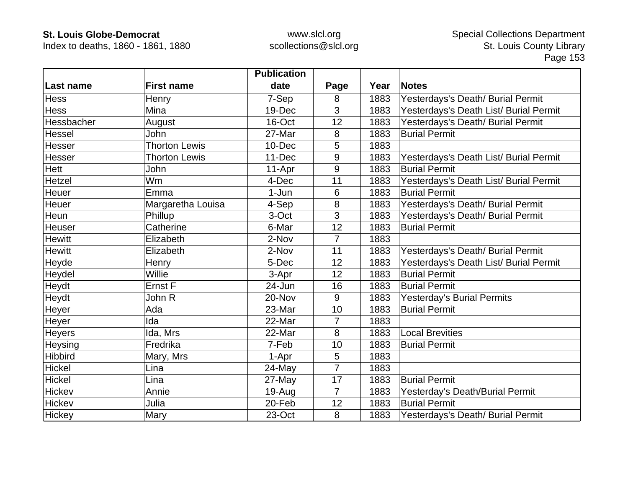Index to deaths, 1860 - 1861, 1880

|                |                      | <b>Publication</b> |                |      |                                        |
|----------------|----------------------|--------------------|----------------|------|----------------------------------------|
| Last name      | <b>First name</b>    | date               | Page           | Year | <b>Notes</b>                           |
| <b>Hess</b>    | Henry                | 7-Sep              | 8              | 1883 | Yesterdays's Death/ Burial Permit      |
| <b>Hess</b>    | Mina                 | 19-Dec             | 3              | 1883 | Yesterdays's Death List/ Burial Permit |
| Hessbacher     | August               | 16-Oct             | 12             | 1883 | Yesterdays's Death/ Burial Permit      |
| Hessel         | John                 | 27-Mar             | 8              | 1883 | <b>Burial Permit</b>                   |
| Hesser         | <b>Thorton Lewis</b> | $10 - Dec$         | 5              | 1883 |                                        |
| Hesser         | <b>Thorton Lewis</b> | 11-Dec             | 9              | 1883 | Yesterdays's Death List/ Burial Permit |
| Hett           | John                 | 11-Apr             | 9              | 1883 | <b>Burial Permit</b>                   |
| Hetzel         | Wm                   | 4-Dec              | 11             | 1883 | Yesterdays's Death List/ Burial Permit |
| Heuer          | Emma                 | 1-Jun              | 6              | 1883 | <b>Burial Permit</b>                   |
| Heuer          | Margaretha Louisa    | 4-Sep              | 8              | 1883 | Yesterdays's Death/ Burial Permit      |
| Heun           | Phillup              | 3-Oct              | 3              | 1883 | Yesterdays's Death/ Burial Permit      |
| Heuser         | Catherine            | 6-Mar              | 12             | 1883 | <b>Burial Permit</b>                   |
| <b>Hewitt</b>  | Elizabeth            | 2-Nov              | $\overline{7}$ | 1883 |                                        |
| <b>Hewitt</b>  | Elizabeth            | 2-Nov              | 11             | 1883 | Yesterdays's Death/ Burial Permit      |
| Heyde          | Henry                | 5-Dec              | 12             | 1883 | Yesterdays's Death List/ Burial Permit |
| Heydel         | Willie               | 3-Apr              | 12             | 1883 | <b>Burial Permit</b>                   |
| Heydt          | Ernst F              | 24-Jun             | 16             | 1883 | <b>Burial Permit</b>                   |
| Heydt          | John R               | 20-Nov             | 9              | 1883 | <b>Yesterday's Burial Permits</b>      |
| Heyer          | Ada                  | 23-Mar             | 10             | 1883 | <b>Burial Permit</b>                   |
| Heyer          | Ida                  | 22-Mar             | 7              | 1883 |                                        |
| Heyers         | Ida, Mrs             | 22-Mar             | 8              | 1883 | <b>Local Brevities</b>                 |
| Heysing        | Fredrika             | 7-Feb              | 10             | 1883 | <b>Burial Permit</b>                   |
| <b>Hibbird</b> | Mary, Mrs            | 1-Apr              | 5              | 1883 |                                        |
| Hickel         | Lina                 | 24-May             | $\overline{7}$ | 1883 |                                        |
| Hickel         | Lina                 | 27-May             | 17             | 1883 | <b>Burial Permit</b>                   |
| Hickev         | Annie                | 19-Aug             | $\overline{7}$ | 1883 | Yesterday's Death/Burial Permit        |
| Hickev         | Julia                | 20-Feb             | 12             | 1883 | <b>Burial Permit</b>                   |
| Hickey         | Mary                 | 23-Oct             | 8              | 1883 | Yesterdays's Death/ Burial Permit      |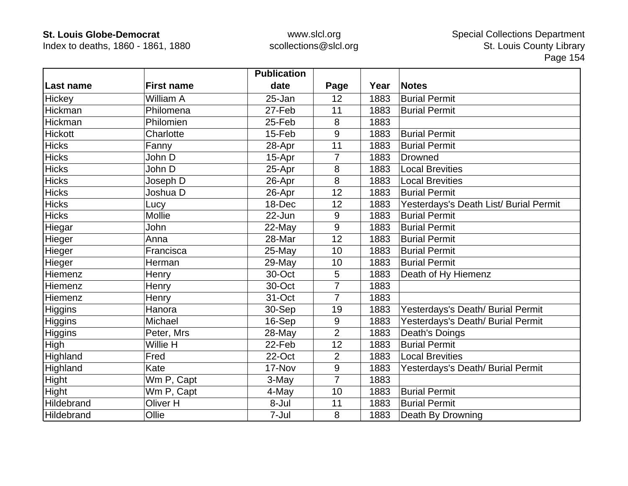Index to deaths, 1860 - 1861, 1880

|                |                   | <b>Publication</b> |                |      |                                        |
|----------------|-------------------|--------------------|----------------|------|----------------------------------------|
| Last name      | <b>First name</b> | date               | Page           | Year | <b>Notes</b>                           |
| Hickey         | William A         | 25-Jan             | 12             | 1883 | <b>Burial Permit</b>                   |
| Hickman        | Philomena         | 27-Feb             | 11             | 1883 | <b>Burial Permit</b>                   |
| Hickman        | Philomien         | 25-Feb             | 8              | 1883 |                                        |
| <b>Hickott</b> | Charlotte         | 15-Feb             | 9              | 1883 | <b>Burial Permit</b>                   |
| <b>Hicks</b>   | Fanny             | 28-Apr             | 11             | 1883 | <b>Burial Permit</b>                   |
| <b>Hicks</b>   | John D            | 15-Apr             | $\overline{7}$ | 1883 | <b>Drowned</b>                         |
| <b>Hicks</b>   | John D            | 25-Apr             | 8              | 1883 | <b>Local Brevities</b>                 |
| <b>Hicks</b>   | Joseph D          | 26-Apr             | 8              | 1883 | <b>Local Brevities</b>                 |
| <b>Hicks</b>   | Joshua D          | 26-Apr             | 12             | 1883 | <b>Burial Permit</b>                   |
| <b>Hicks</b>   | Lucy              | 18-Dec             | 12             | 1883 | Yesterdays's Death List/ Burial Permit |
| <b>Hicks</b>   | <b>Mollie</b>     | 22-Jun             | 9              | 1883 | <b>Burial Permit</b>                   |
| Hiegar         | John              | 22-May             | 9              | 1883 | <b>Burial Permit</b>                   |
| Hieger         | Anna              | 28-Mar             | 12             | 1883 | <b>Burial Permit</b>                   |
| Hieger         | Francisca         | 25-May             | 10             | 1883 | <b>Burial Permit</b>                   |
| Hieger         | Herman            | 29-May             | 10             | 1883 | <b>Burial Permit</b>                   |
| Hiemenz        | Henry             | 30-Oct             | 5              | 1883 | Death of Hy Hiemenz                    |
| Hiemenz        | Henry             | 30-Oct             | $\overline{7}$ | 1883 |                                        |
| Hiemenz        | Henry             | 31-Oct             | $\overline{7}$ | 1883 |                                        |
| <b>Higgins</b> | Hanora            | 30-Sep             | 19             | 1883 | Yesterdays's Death/ Burial Permit      |
| <b>Higgins</b> | Michael           | 16-Sep             | 9              | 1883 | Yesterdays's Death/ Burial Permit      |
| Higgins        | Peter, Mrs        | 28-May             | $\overline{2}$ | 1883 | Death's Doings                         |
| High           | Willie H          | 22-Feb             | 12             | 1883 | <b>Burial Permit</b>                   |
| Highland       | Fred              | 22-Oct             | $\overline{2}$ | 1883 | <b>Local Brevities</b>                 |
| Highland       | Kate              | 17-Nov             | 9              | 1883 | Yesterdays's Death/ Burial Permit      |
| Hight          | Wm P, Capt        | 3-May              | $\overline{7}$ | 1883 |                                        |
| <b>Hight</b>   | Wm P, Capt        | 4-May              | 10             | 1883 | <b>Burial Permit</b>                   |
| Hildebrand     | Oliver H          | 8-Jul              | 11             | 1883 | <b>Burial Permit</b>                   |
| Hildebrand     | Ollie             | 7-Jul              | 8              | 1883 | Death By Drowning                      |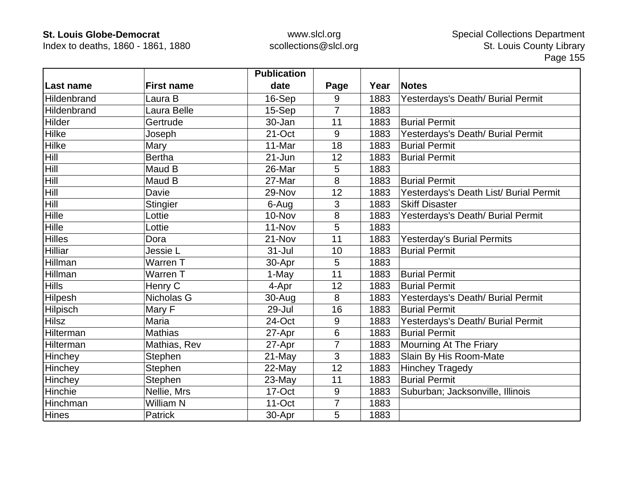Index to deaths, 1860 - 1861, 1880

|                    |                   | <b>Publication</b> |                |      |                                        |
|--------------------|-------------------|--------------------|----------------|------|----------------------------------------|
| Last name          | <b>First name</b> | date               | Page           | Year | <b>Notes</b>                           |
| Hildenbrand        | Laura B           | 16-Sep             | 9              | 1883 | Yesterdays's Death/ Burial Permit      |
| <b>Hildenbrand</b> | Laura Belle       | 15-Sep             | $\overline{7}$ | 1883 |                                        |
| Hilder             | Gertrude          | 30-Jan             | 11             | 1883 | <b>Burial Permit</b>                   |
| Hilke              | Joseph            | 21-Oct             | 9              | 1883 | Yesterdays's Death/ Burial Permit      |
| Hilke              | Mary              | 11-Mar             | 18             | 1883 | <b>Burial Permit</b>                   |
| <b>Hill</b>        | <b>Bertha</b>     | $21 - Jun$         | 12             | 1883 | <b>Burial Permit</b>                   |
| <b>Hill</b>        | Maud B            | 26-Mar             | 5              | 1883 |                                        |
| <b>Hill</b>        | Maud B            | 27-Mar             | 8              | 1883 | <b>Burial Permit</b>                   |
| <b>Hill</b>        | Davie             | 29-Nov             | 12             | 1883 | Yesterdays's Death List/ Burial Permit |
| <b>Hill</b>        | <b>Stingier</b>   | 6-Aug              | 3              | 1883 | <b>Skiff Disaster</b>                  |
| Hille              | Lottie            | 10-Nov             | 8              | 1883 | Yesterdays's Death/ Burial Permit      |
| Hille              | Lottie            | 11-Nov             | 5              | 1883 |                                        |
| <b>Hilles</b>      | Dora              | 21-Nov             | 11             | 1883 | <b>Yesterday's Burial Permits</b>      |
| Hilliar            | Jessie L          | $31 -$ Jul         | 10             | 1883 | <b>Burial Permit</b>                   |
| Hillman            | Warren T          | 30-Apr             | 5              | 1883 |                                        |
| Hillman            | Warren T          | 1-May              | 11             | 1883 | <b>Burial Permit</b>                   |
| <b>Hills</b>       | Henry C           | 4-Apr              | 12             | 1883 | <b>Burial Permit</b>                   |
| Hilpesh            | Nicholas G        | 30-Aug             | 8              | 1883 | Yesterdays's Death/ Burial Permit      |
| Hilpisch           | Mary F            | 29-Jul             | 16             | 1883 | <b>Burial Permit</b>                   |
| <b>Hilsz</b>       | Maria             | 24-Oct             | 9              | 1883 | Yesterdays's Death/ Burial Permit      |
| Hilterman          | <b>Mathias</b>    | 27-Apr             | $6\phantom{1}$ | 1883 | <b>Burial Permit</b>                   |
| Hilterman          | Mathias, Rev      | 27-Apr             | $\overline{7}$ | 1883 | Mourning At The Friary                 |
| Hinchey            | Stephen           | 21-May             | 3              | 1883 | Slain By His Room-Mate                 |
| Hinchey            | Stephen           | 22-May             | 12             | 1883 | <b>Hinchey Tragedy</b>                 |
| Hinchey            | Stephen           | $23$ -May          | 11             | 1883 | <b>Burial Permit</b>                   |
| Hinchie            | Nellie, Mrs       | 17-Oct             | 9              | 1883 | Suburban; Jacksonville, Illinois       |
| Hinchman           | <b>William N</b>  | 11-Oct             | 7              | 1883 |                                        |
| <b>Hines</b>       | <b>Patrick</b>    | 30-Apr             | 5              | 1883 |                                        |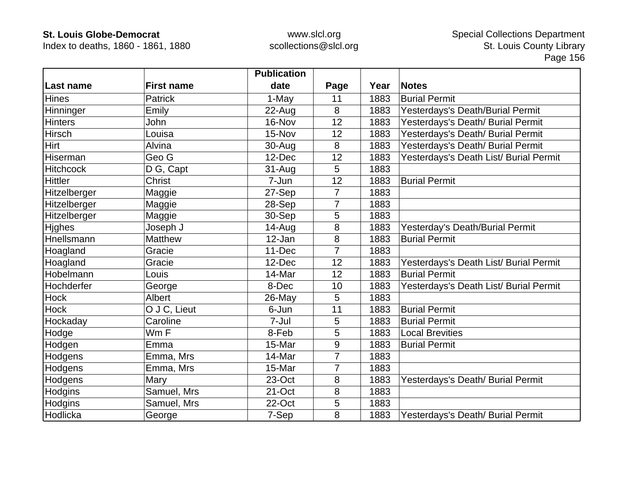Index to deaths, 1860 - 1861, 1880

|                  |                   | <b>Publication</b> |                |      |                                        |
|------------------|-------------------|--------------------|----------------|------|----------------------------------------|
| Last name        | <b>First name</b> | date               | Page           | Year | <b>Notes</b>                           |
| <b>Hines</b>     | <b>Patrick</b>    | 1-May              | 11             | 1883 | <b>Burial Permit</b>                   |
| Hinninger        | Emily             | 22-Aug             | 8              | 1883 | Yesterdays's Death/Burial Permit       |
| <b>Hinters</b>   | John              | 16-Nov             | 12             | 1883 | Yesterdays's Death/ Burial Permit      |
| <b>Hirsch</b>    | Louisa            | 15-Nov             | 12             | 1883 | Yesterdays's Death/ Burial Permit      |
| Hirt             | Alvina            | 30-Aug             | 8              | 1883 | Yesterdays's Death/ Burial Permit      |
| Hiserman         | Geo G             | 12-Dec             | 12             | 1883 | Yesterdays's Death List/ Burial Permit |
| <b>Hitchcock</b> | D G, Capt         | 31-Aug             | 5              | 1883 |                                        |
| <b>Hittler</b>   | <b>Christ</b>     | 7-Jun              | 12             | 1883 | <b>Burial Permit</b>                   |
| Hitzelberger     | Maggie            | 27-Sep             | 7              | 1883 |                                        |
| Hitzelberger     | Maggie            | 28-Sep             | $\overline{7}$ | 1883 |                                        |
| Hitzelberger     | Maggie            | 30-Sep             | 5              | 1883 |                                        |
| <b>Hjghes</b>    | Joseph J          | 14-Aug             | 8              | 1883 | Yesterday's Death/Burial Permit        |
| Hnellsmann       | Matthew           | 12-Jan             | 8              | 1883 | <b>Burial Permit</b>                   |
| Hoagland         | Gracie            | 11-Dec             | $\overline{7}$ | 1883 |                                        |
| Hoagland         | Gracie            | 12-Dec             | 12             | 1883 | Yesterdays's Death List/ Burial Permit |
| Hobelmann        | Louis             | 14-Mar             | 12             | 1883 | <b>Burial Permit</b>                   |
| Hochderfer       | George            | 8-Dec              | 10             | 1883 | Yesterdays's Death List/ Burial Permit |
| <b>Hock</b>      | Albert            | 26-May             | 5              | 1883 |                                        |
| <b>Hock</b>      | O J C, Lieut      | 6-Jun              | 11             | 1883 | <b>Burial Permit</b>                   |
| Hockaday         | Caroline          | 7-Jul              | 5              | 1883 | <b>Burial Permit</b>                   |
| Hodge            | Wm F              | 8-Feb              | 5              | 1883 | <b>Local Brevities</b>                 |
| Hodgen           | Emma              | 15-Mar             | 9              | 1883 | <b>Burial Permit</b>                   |
| Hodgens          | Emma, Mrs         | 14-Mar             | 7              | 1883 |                                        |
| Hodgens          | Emma, Mrs         | 15-Mar             | $\overline{7}$ | 1883 |                                        |
| Hodgens          | Mary              | 23-Oct             | 8              | 1883 | Yesterdays's Death/ Burial Permit      |
| Hodgins          | Samuel, Mrs       | 21-Oct             | 8              | 1883 |                                        |
| Hodgins          | Samuel, Mrs       | 22-Oct             | 5              | 1883 |                                        |
| Hodlicka         | George            | 7-Sep              | 8              | 1883 | Yesterdays's Death/ Burial Permit      |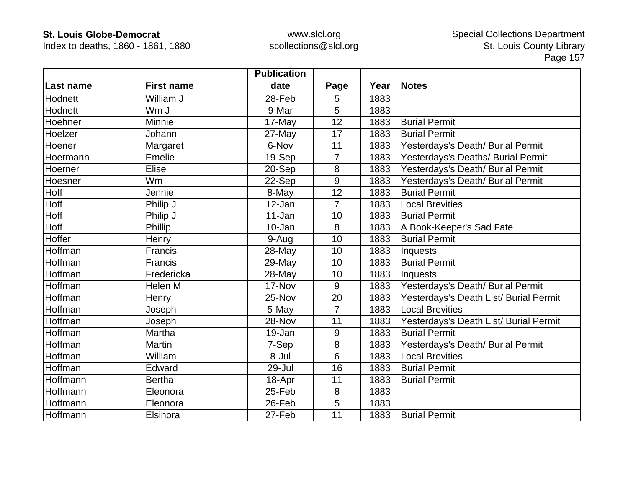Index to deaths, 1860 - 1861, 1880

|           |                   | <b>Publication</b> |                |      |                                        |
|-----------|-------------------|--------------------|----------------|------|----------------------------------------|
| Last name | <b>First name</b> | date               | Page           | Year | <b>Notes</b>                           |
| Hodnett   | William J         | 28-Feb             | 5              | 1883 |                                        |
| Hodnett   | Wm J              | 9-Mar              | 5              | 1883 |                                        |
| Hoehner   | Minnie            | 17-May             | 12             | 1883 | <b>Burial Permit</b>                   |
| Hoelzer   | Johann            | 27-May             | 17             | 1883 | <b>Burial Permit</b>                   |
| Hoener    | Margaret          | 6-Nov              | 11             | 1883 | Yesterdays's Death/ Burial Permit      |
| Hoermann  | Emelie            | 19-Sep             | $\overline{7}$ | 1883 | Yesterdays's Deaths/ Burial Permit     |
| Hoerner   | <b>Elise</b>      | 20-Sep             | 8              | 1883 | Yesterdays's Death/ Burial Permit      |
| Hoesner   | Wm                | 22-Sep             | 9              | 1883 | Yesterdays's Death/ Burial Permit      |
| Hoff      | Jennie            | 8-May              | 12             | 1883 | <b>Burial Permit</b>                   |
| Hoff      | Philip J          | 12-Jan             | $\overline{7}$ | 1883 | <b>Local Brevities</b>                 |
| Hoff      | Philip J          | 11-Jan             | 10             | 1883 | <b>Burial Permit</b>                   |
| Hoff      | Phillip           | 10-Jan             | 8              | 1883 | A Book-Keeper's Sad Fate               |
| Hoffer    | Henry             | 9-Aug              | 10             | 1883 | <b>Burial Permit</b>                   |
| Hoffman   | Francis           | 28-May             | 10             | 1883 | Inquests                               |
| Hoffman   | Francis           | 29-May             | 10             | 1883 | <b>Burial Permit</b>                   |
| Hoffman   | Fredericka        | 28-May             | 10             | 1883 | Inquests                               |
| Hoffman   | Helen M           | 17-Nov             | 9              | 1883 | Yesterdays's Death/ Burial Permit      |
| Hoffman   | Henry             | 25-Nov             | 20             | 1883 | Yesterdays's Death List/ Burial Permit |
| Hoffman   | Joseph            | 5-May              | $\overline{7}$ | 1883 | <b>Local Brevities</b>                 |
| Hoffman   | Joseph            | 28-Nov             | 11             | 1883 | Yesterdays's Death List/ Burial Permit |
| Hoffman   | Martha            | 19-Jan             | 9              | 1883 | <b>Burial Permit</b>                   |
| Hoffman   | <b>Martin</b>     | 7-Sep              | 8              | 1883 | Yesterdays's Death/ Burial Permit      |
| Hoffman   | William           | 8-Jul              | 6              | 1883 | <b>Local Brevities</b>                 |
| Hoffman   | Edward            | 29-Jul             | 16             | 1883 | <b>Burial Permit</b>                   |
| Hoffmann  | <b>Bertha</b>     | 18-Apr             | 11             | 1883 | <b>Burial Permit</b>                   |
| Hoffmann  | Eleonora          | 25-Feb             | 8              | 1883 |                                        |
| Hoffmann  | Eleonora          | 26-Feb             | 5              | 1883 |                                        |
| Hoffmann  | Elsinora          | 27-Feb             | 11             | 1883 | <b>Burial Permit</b>                   |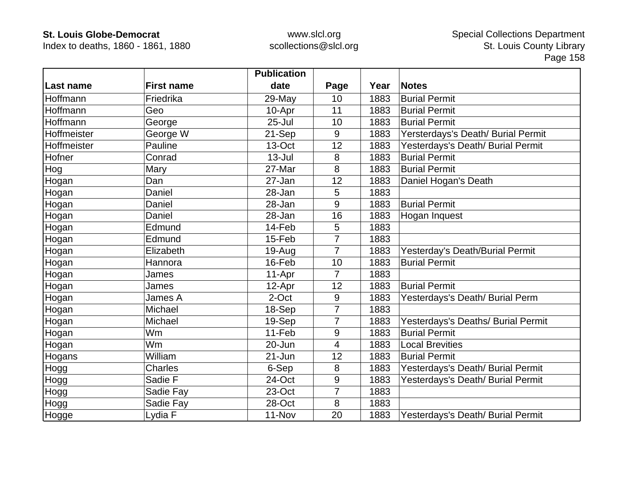Index to deaths, 1860 - 1861, 1880

|             |                   | <b>Publication</b> |                |      |                                    |
|-------------|-------------------|--------------------|----------------|------|------------------------------------|
| Last name   | <b>First name</b> | date               | Page           | Year | <b>Notes</b>                       |
| Hoffmann    | Friedrika         | 29-May             | 10             | 1883 | <b>Burial Permit</b>               |
| Hoffmann    | Geo               | 10-Apr             | 11             | 1883 | <b>Burial Permit</b>               |
| Hoffmann    | George            | $25 -$ Jul         | 10             | 1883 | <b>Burial Permit</b>               |
| Hoffmeister | George W          | 21-Sep             | 9              | 1883 | Yersterdays's Death/ Burial Permit |
| Hoffmeister | Pauline           | 13-Oct             | 12             | 1883 | Yesterdays's Death/ Burial Permit  |
| Hofner      | Conrad            | $13 -$ Jul         | 8              | 1883 | <b>Burial Permit</b>               |
| Hog         | Mary              | 27-Mar             | 8              | 1883 | <b>Burial Permit</b>               |
| Hogan       | Dan               | 27-Jan             | 12             | 1883 | Daniel Hogan's Death               |
| Hogan       | Daniel            | 28-Jan             | 5              | 1883 |                                    |
| Hogan       | Daniel            | 28-Jan             | 9              | 1883 | <b>Burial Permit</b>               |
| Hogan       | Daniel            | 28-Jan             | 16             | 1883 | Hogan Inquest                      |
| Hogan       | Edmund            | 14-Feb             | 5              | 1883 |                                    |
| Hogan       | Edmund            | 15-Feb             | $\overline{7}$ | 1883 |                                    |
| Hogan       | Elizabeth         | 19-Aug             | $\overline{7}$ | 1883 | Yesterday's Death/Burial Permit    |
| Hogan       | Hannora           | 16-Feb             | 10             | 1883 | <b>Burial Permit</b>               |
| Hogan       | James             | 11-Apr             | $\overline{7}$ | 1883 |                                    |
| Hogan       | James             | 12-Apr             | 12             | 1883 | <b>Burial Permit</b>               |
| Hogan       | James A           | 2-Oct              | 9              | 1883 | Yesterdays's Death/ Burial Perm    |
| Hogan       | Michael           | 18-Sep             | $\overline{7}$ | 1883 |                                    |
| Hogan       | Michael           | 19-Sep             | $\overline{7}$ | 1883 | Yesterdays's Deaths/ Burial Permit |
| Hogan       | Wm                | 11-Feb             | $9\,$          | 1883 | <b>Burial Permit</b>               |
| Hogan       | <b>Wm</b>         | 20-Jun             | 4              | 1883 | <b>Local Brevities</b>             |
| Hogans      | William           | 21-Jun             | 12             | 1883 | <b>Burial Permit</b>               |
| Hogg        | <b>Charles</b>    | 6-Sep              | 8              | 1883 | Yesterdays's Death/ Burial Permit  |
| Hogg        | Sadie F           | 24-Oct             | 9              | 1883 | Yesterdays's Death/ Burial Permit  |
| Hogg        | Sadie Fay         | 23-Oct             | $\overline{7}$ | 1883 |                                    |
| Hogg        | Sadie Fay         | 28-Oct             | 8              | 1883 |                                    |
| Hogge       | Lydia F           | 11-Nov             | 20             | 1883 | Yesterdays's Death/ Burial Permit  |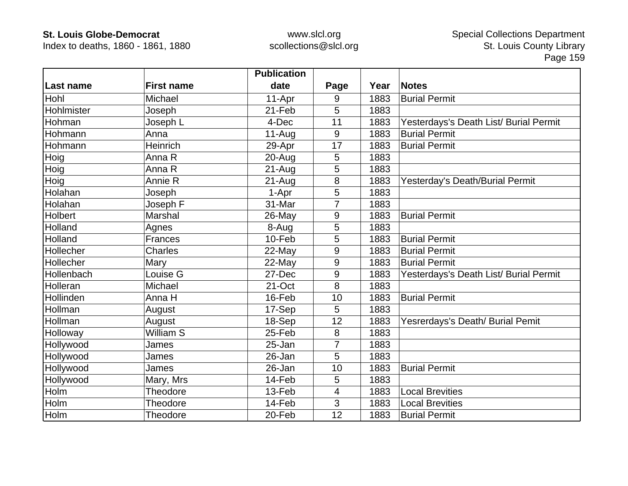Index to deaths, 1860 - 1861, 1880

|            |                   | <b>Publication</b> |                |      |                                        |
|------------|-------------------|--------------------|----------------|------|----------------------------------------|
| Last name  | <b>First name</b> | date               | Page           | Year | <b>Notes</b>                           |
| Hohl       | Michael           | 11-Apr             | 9              | 1883 | <b>Burial Permit</b>                   |
| Hohlmister | Joseph            | 21-Feb             | 5              | 1883 |                                        |
| Hohman     | Joseph L          | 4-Dec              | 11             | 1883 | Yesterdays's Death List/ Burial Permit |
| Hohmann    | Anna              | 11-Aug             | 9              | 1883 | <b>Burial Permit</b>                   |
| Hohmann    | Heinrich          | 29-Apr             | 17             | 1883 | <b>Burial Permit</b>                   |
| Hoig       | Anna R            | 20-Aug             | 5              | 1883 |                                        |
| Hoig       | Anna R            | $21-Auq$           | 5              | 1883 |                                        |
| Hoig       | Annie R           | $21-Aug$           | 8              | 1883 | Yesterday's Death/Burial Permit        |
| Holahan    | Joseph            | 1-Apr              | 5              | 1883 |                                        |
| Holahan    | Joseph F          | 31-Mar             | 7              | 1883 |                                        |
| Holbert    | Marshal           | 26-May             | 9              | 1883 | <b>Burial Permit</b>                   |
| Holland    | Agnes             | 8-Aug              | 5              | 1883 |                                        |
| Holland    | <b>Frances</b>    | 10-Feb             | 5              | 1883 | <b>Burial Permit</b>                   |
| Hollecher  | Charles           | 22-May             | 9              | 1883 | <b>Burial Permit</b>                   |
| Hollecher  | Mary              | 22-May             | 9              | 1883 | <b>Burial Permit</b>                   |
| Hollenbach | Louise G          | 27-Dec             | 9              | 1883 | Yesterdays's Death List/ Burial Permit |
| Holleran   | Michael           | 21-Oct             | 8              | 1883 |                                        |
| Hollinden  | Anna H            | 16-Feb             | 10             | 1883 | <b>Burial Permit</b>                   |
| Hollman    | August            | 17-Sep             | 5              | 1883 |                                        |
| Hollman    | August            | 18-Sep             | 12             | 1883 | Yesrerdays's Death/ Burial Pemit       |
| Holloway   | William S         | 25-Feb             | 8              | 1883 |                                        |
| Hollywood  | James             | 25-Jan             | $\overline{7}$ | 1883 |                                        |
| Hollywood  | James             | 26-Jan             | 5              | 1883 |                                        |
| Hollywood  | James             | 26-Jan             | 10             | 1883 | <b>Burial Permit</b>                   |
| Hollywood  | Mary, Mrs         | 14-Feb             | 5              | 1883 |                                        |
| Holm       | Theodore          | 13-Feb             | 4              | 1883 | <b>Local Brevities</b>                 |
| Holm       | <b>Theodore</b>   | 14-Feb             | 3              | 1883 | <b>Local Brevities</b>                 |
| Holm       | Theodore          | 20-Feb             | 12             | 1883 | <b>Burial Permit</b>                   |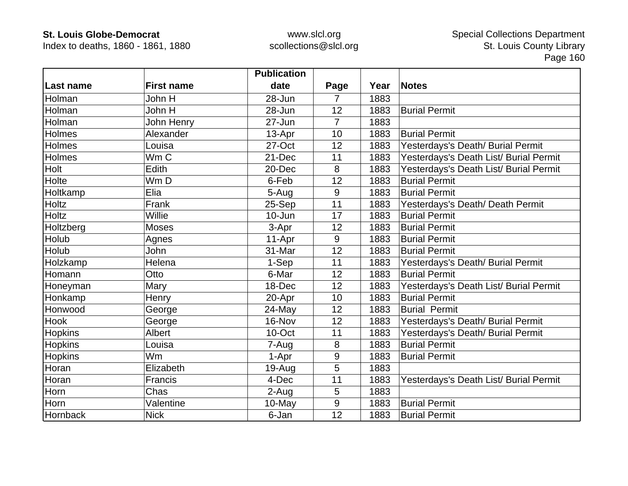Index to deaths, 1860 - 1861, 1880

|                |                   | <b>Publication</b> |                |      |                                        |
|----------------|-------------------|--------------------|----------------|------|----------------------------------------|
| Last name      | <b>First name</b> | date               | Page           | Year | <b>Notes</b>                           |
| Holman         | John H            | 28-Jun             | 7              | 1883 |                                        |
| Holman         | John H            | 28-Jun             | 12             | 1883 | <b>Burial Permit</b>                   |
| Holman         | John Henry        | 27-Jun             | $\overline{7}$ | 1883 |                                        |
| Holmes         | Alexander         | 13-Apr             | 10             | 1883 | <b>Burial Permit</b>                   |
| <b>Holmes</b>  | Louisa            | 27-Oct             | 12             | 1883 | Yesterdays's Death/ Burial Permit      |
| Holmes         | Wm <sub>C</sub>   | 21-Dec             | 11             | 1883 | Yesterdays's Death List/ Burial Permit |
| Holt           | Edith             | 20-Dec             | 8              | 1883 | Yesterdays's Death List/ Burial Permit |
| Holte          | Wm D              | 6-Feb              | 12             | 1883 | <b>Burial Permit</b>                   |
| Holtkamp       | Elia              | 5-Aug              | 9              | 1883 | <b>Burial Permit</b>                   |
| Holtz          | Frank             | 25-Sep             | 11             | 1883 | Yesterdays's Death/ Death Permit       |
| <b>Holtz</b>   | Willie            | $10 - Jun$         | 17             | 1883 | <b>Burial Permit</b>                   |
| Holtzberg      | <b>Moses</b>      | 3-Apr              | 12             | 1883 | <b>Burial Permit</b>                   |
| Holub          | Agnes             | 11-Apr             | 9              | 1883 | <b>Burial Permit</b>                   |
| Holub          | John              | 31-Mar             | 12             | 1883 | <b>Burial Permit</b>                   |
| Holzkamp       | Helena            | 1-Sep              | 11             | 1883 | Yesterdays's Death/ Burial Permit      |
| Homann         | Otto              | 6-Mar              | 12             | 1883 | <b>Burial Permit</b>                   |
| Honeyman       | Mary              | 18-Dec             | 12             | 1883 | Yesterdays's Death List/ Burial Permit |
| Honkamp        | Henry             | 20-Apr             | 10             | 1883 | <b>Burial Permit</b>                   |
| Honwood        | George            | 24-May             | 12             | 1883 | <b>Burial Permit</b>                   |
| Hook           | George            | 16-Nov             | 12             | 1883 | Yesterdays's Death/ Burial Permit      |
| <b>Hopkins</b> | <b>Albert</b>     | 10-Oct             | 11             | 1883 | Yesterdays's Death/ Burial Permit      |
| Hopkins        | Louisa            | 7-Aug              | $\bf 8$        | 1883 | <b>Burial Permit</b>                   |
| Hopkins        | Wm                | 1-Apr              | 9              | 1883 | <b>Burial Permit</b>                   |
| Horan          | Elizabeth         | 19-Aug             | 5              | 1883 |                                        |
| Horan          | Francis           | 4-Dec              | 11             | 1883 | Yesterdays's Death List/ Burial Permit |
| Horn           | Chas              | 2-Aug              | 5              | 1883 |                                        |
| Horn           | Valentine         | 10-May             | 9              | 1883 | <b>Burial Permit</b>                   |
| Hornback       | <b>Nick</b>       | 6-Jan              | 12             | 1883 | <b>Burial Permit</b>                   |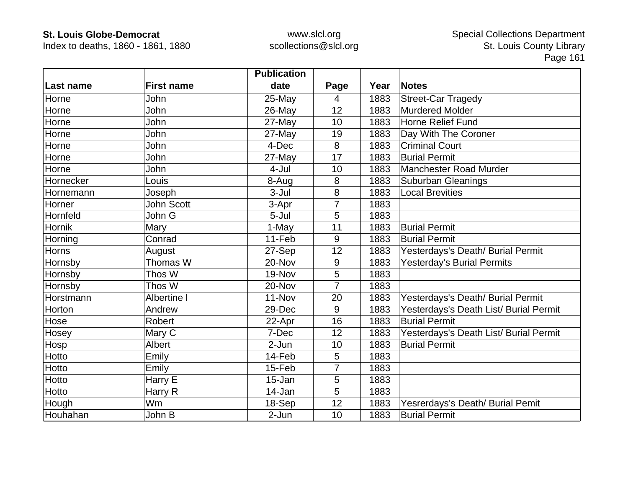Index to deaths, 1860 - 1861, 1880

|           |                   | <b>Publication</b> |                |      |                                        |
|-----------|-------------------|--------------------|----------------|------|----------------------------------------|
| Last name | <b>First name</b> | date               | Page           | Year | <b>Notes</b>                           |
| Horne     | John              | 25-May             | $\overline{4}$ | 1883 | <b>Street-Car Tragedy</b>              |
| Horne     | John              | 26-May             | 12             | 1883 | <b>Murdered Molder</b>                 |
| Horne     | John              | 27-May             | 10             | 1883 | <b>Horne Relief Fund</b>               |
| Horne     | John              | 27-May             | 19             | 1883 | Day With The Coroner                   |
| Horne     | John              | 4-Dec              | 8              | 1883 | <b>Criminal Court</b>                  |
| Horne     | John              | 27-May             | 17             | 1883 | <b>Burial Permit</b>                   |
| Horne     | John              | 4-Jul              | 10             | 1883 | <b>Manchester Road Murder</b>          |
| Hornecker | Louis             | 8-Aug              | 8              | 1883 | <b>Suburban Gleanings</b>              |
| Hornemann | Joseph            | $3-Jul$            | 8              | 1883 | <b>Local Brevities</b>                 |
| Horner    | John Scott        | 3-Apr              | $\overline{7}$ | 1883 |                                        |
| Hornfeld  | John G            | 5-Jul              | 5              | 1883 |                                        |
| Hornik    | Mary              | 1-May              | 11             | 1883 | <b>Burial Permit</b>                   |
| Horning   | Conrad            | 11-Feb             | 9              | 1883 | <b>Burial Permit</b>                   |
| Horns     | August            | 27-Sep             | 12             | 1883 | Yesterdays's Death/ Burial Permit      |
| Hornsby   | Thomas W          | 20-Nov             | 9              | 1883 | Yesterday's Burial Permits             |
| Hornsby   | Thos W            | 19-Nov             | 5              | 1883 |                                        |
| Hornsby   | Thos W            | 20-Nov             | $\overline{7}$ | 1883 |                                        |
| Horstmann | Albertine I       | 11-Nov             | 20             | 1883 | Yesterdays's Death/ Burial Permit      |
| Horton    | Andrew            | 29-Dec             | 9              | 1883 | Yesterdays's Death List/ Burial Permit |
| Hose      | Robert            | 22-Apr             | 16             | 1883 | <b>Burial Permit</b>                   |
| Hosey     | Mary C            | 7-Dec              | 12             | 1883 | Yesterdays's Death List/ Burial Permit |
| Hosp      | <b>Albert</b>     | 2-Jun              | 10             | 1883 | <b>Burial Permit</b>                   |
| Hotto     | Emily             | 14-Feb             | 5              | 1883 |                                        |
| Hotto     | Emily             | 15-Feb             | 7              | 1883 |                                        |
| Hotto     | Harry E           | 15-Jan             | 5              | 1883 |                                        |
| Hotto     | Harry R           | 14-Jan             | 5              | 1883 |                                        |
| Hough     | Wm                | 18-Sep             | 12             | 1883 | Yesrerdays's Death/ Burial Pemit       |
| Houhahan  | John B            | 2-Jun              | 10             | 1883 | <b>Burial Permit</b>                   |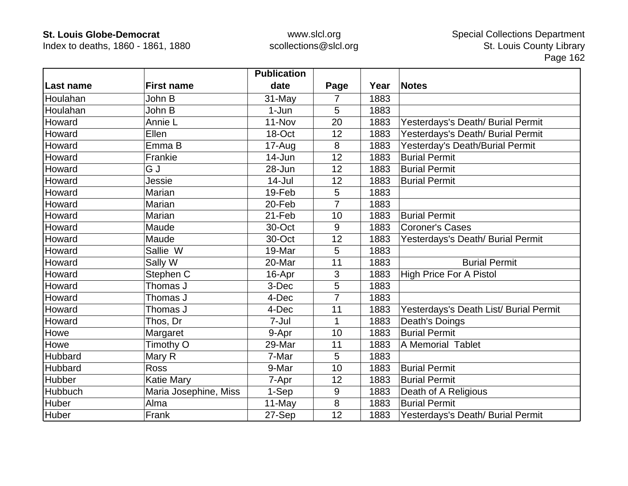Index to deaths, 1860 - 1861, 1880

|           |                       | <b>Publication</b> |                |      |                                        |
|-----------|-----------------------|--------------------|----------------|------|----------------------------------------|
| Last name | <b>First name</b>     | date               | Page           | Year | <b>Notes</b>                           |
| Houlahan  | John B                | 31-May             | 7              | 1883 |                                        |
| Houlahan  | John B                | $1-Jun$            | 5              | 1883 |                                        |
| Howard    | Annie L               | 11-Nov             | 20             | 1883 | Yesterdays's Death/ Burial Permit      |
| Howard    | Ellen                 | 18-Oct             | 12             | 1883 | Yesterdays's Death/ Burial Permit      |
| Howard    | Emma B                | 17-Aug             | 8              | 1883 | Yesterday's Death/Burial Permit        |
| Howard    | Frankie               | 14-Jun             | 12             | 1883 | <b>Burial Permit</b>                   |
| Howard    | G J                   | 28-Jun             | 12             | 1883 | <b>Burial Permit</b>                   |
| Howard    | Jessie                | $14$ -Jul          | 12             | 1883 | <b>Burial Permit</b>                   |
| Howard    | Marian                | 19-Feb             | 5              | 1883 |                                        |
| Howard    | Marian                | 20-Feb             | $\overline{7}$ | 1883 |                                        |
| Howard    | Marian                | 21-Feb             | 10             | 1883 | <b>Burial Permit</b>                   |
| Howard    | Maude                 | 30-Oct             | 9              | 1883 | <b>Coroner's Cases</b>                 |
| Howard    | Maude                 | 30-Oct             | 12             | 1883 | Yesterdays's Death/ Burial Permit      |
| Howard    | Sallie W              | 19-Mar             | 5              | 1883 |                                        |
| Howard    | Sally W               | 20-Mar             | 11             | 1883 | <b>Burial Permit</b>                   |
| Howard    | Stephen C             | 16-Apr             | 3              | 1883 | <b>High Price For A Pistol</b>         |
| Howard    | Thomas J              | 3-Dec              | 5              | 1883 |                                        |
| Howard    | Thomas J              | 4-Dec              | $\overline{7}$ | 1883 |                                        |
| Howard    | Thomas J              | 4-Dec              | 11             | 1883 | Yesterdays's Death List/ Burial Permit |
| Howard    | Thos, Dr              | 7-Jul              | 1              | 1883 | Death's Doings                         |
| Howe      | Margaret              | 9-Apr              | 10             | 1883 | <b>Burial Permit</b>                   |
| Howe      | Timothy O             | 29-Mar             | 11             | 1883 | A Memorial Tablet                      |
| Hubbard   | Mary R                | 7-Mar              | 5              | 1883 |                                        |
| Hubbard   | <b>Ross</b>           | 9-Mar              | 10             | 1883 | <b>Burial Permit</b>                   |
| Hubber    | <b>Katie Mary</b>     | 7-Apr              | 12             | 1883 | <b>Burial Permit</b>                   |
| Hubbuch   | Maria Josephine, Miss | 1-Sep              | 9              | 1883 | Death of A Religious                   |
| Huber     | Alma                  | 11-May             | 8              | 1883 | <b>Burial Permit</b>                   |
| Huber     | Frank                 | 27-Sep             | 12             | 1883 | Yesterdays's Death/ Burial Permit      |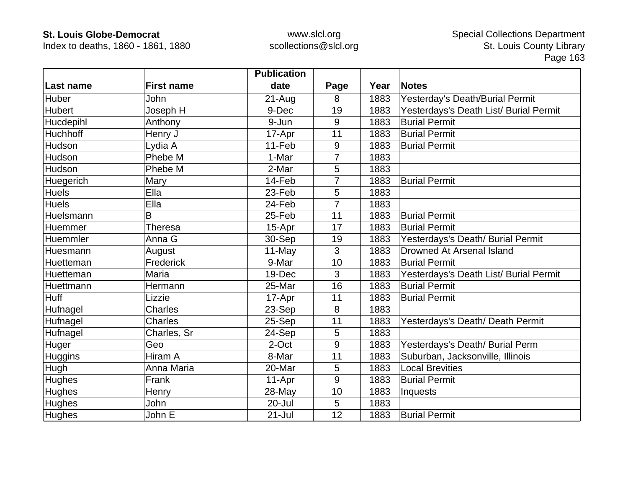Index to deaths, 1860 - 1861, 1880

|                |                   | <b>Publication</b> |                |      |                                        |
|----------------|-------------------|--------------------|----------------|------|----------------------------------------|
| Last name      | <b>First name</b> | date               | Page           | Year | <b>Notes</b>                           |
| Huber          | John              | $21 - Aug$         | 8              | 1883 | Yesterday's Death/Burial Permit        |
| <b>Hubert</b>  | Joseph H          | 9-Dec              | 19             | 1883 | Yesterdays's Death List/ Burial Permit |
| Hucdepihl      | Anthony           | 9-Jun              | 9              | 1883 | <b>Burial Permit</b>                   |
| Huchhoff       | Henry J           | 17-Apr             | 11             | 1883 | <b>Burial Permit</b>                   |
| Hudson         | Lydia A           | 11-Feb             | 9              | 1883 | <b>Burial Permit</b>                   |
| Hudson         | Phebe M           | 1-Mar              | $\overline{7}$ | 1883 |                                        |
| Hudson         | Phebe M           | 2-Mar              | 5              | 1883 |                                        |
| Huegerich      | Mary              | 14-Feb             | $\overline{7}$ | 1883 | <b>Burial Permit</b>                   |
| <b>Huels</b>   | Ella              | 23-Feb             | 5              | 1883 |                                        |
| <b>Huels</b>   | Ella              | 24-Feb             | $\overline{7}$ | 1883 |                                        |
| Huelsmann      | B                 | 25-Feb             | 11             | 1883 | <b>Burial Permit</b>                   |
| Huemmer        | <b>Theresa</b>    | 15-Apr             | 17             | 1883 | <b>Burial Permit</b>                   |
| Huemmler       | Anna G            | 30-Sep             | 19             | 1883 | Yesterdays's Death/ Burial Permit      |
| Huesmann       | August            | 11-May             | 3              | 1883 | Drowned At Arsenal Island              |
| Huetteman      | Frederick         | 9-Mar              | 10             | 1883 | <b>Burial Permit</b>                   |
| Huetteman      | Maria             | 19-Dec             | 3              | 1883 | Yesterdays's Death List/ Burial Permit |
| Huettmann      | Hermann           | 25-Mar             | 16             | 1883 | <b>Burial Permit</b>                   |
| Huff           | Lizzie            | 17-Apr             | 11             | 1883 | <b>Burial Permit</b>                   |
| Hufnagel       | Charles           | 23-Sep             | 8              | 1883 |                                        |
| Hufnagel       | <b>Charles</b>    | 25-Sep             | 11             | 1883 | Yesterdays's Death/ Death Permit       |
| Hufnagel       | Charles, Sr       | 24-Sep             | 5              | 1883 |                                        |
| Huger          | Geo               | 2-Oct              | 9              | 1883 | Yesterdays's Death/ Burial Perm        |
| <b>Huggins</b> | Hiram A           | 8-Mar              | 11             | 1883 | Suburban, Jacksonville, Illinois       |
| Hugh           | Anna Maria        | 20-Mar             | 5              | 1883 | <b>Local Brevities</b>                 |
| <b>Hughes</b>  | Frank             | 11-Apr             | 9              | 1883 | <b>Burial Permit</b>                   |
| <b>Hughes</b>  | Henry             | 28-May             | 10             | 1883 | Inquests                               |
| <b>Hughes</b>  | John              | $20 -$ Jul         | 5              | 1883 |                                        |
| Hughes         | John E            | $21 -$ Jul         | 12             | 1883 | <b>Burial Permit</b>                   |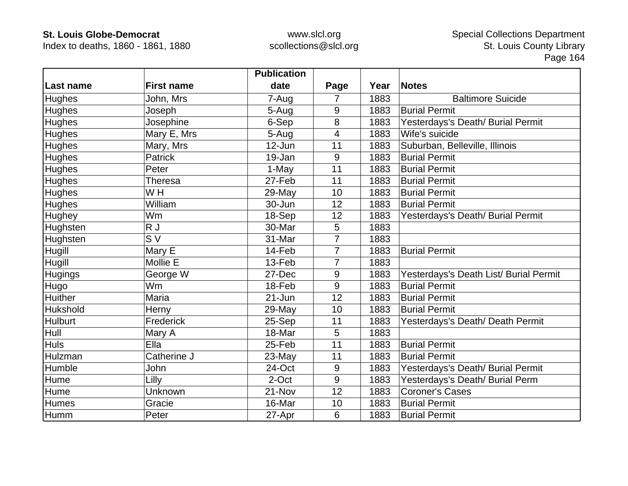Index to deaths, 1860 - 1861, 1880

|                 |                   | <b>Publication</b> |                |      |                                        |
|-----------------|-------------------|--------------------|----------------|------|----------------------------------------|
| Last name       | <b>First name</b> | date               | Page           | Year | <b>Notes</b>                           |
| <b>Hughes</b>   | John, Mrs         | 7-Aug              | 7              | 1883 | <b>Baltimore Suicide</b>               |
| <b>Hughes</b>   | Joseph            | 5-Aug              | 9              | 1883 | <b>Burial Permit</b>                   |
| <b>Hughes</b>   | Josephine         | 6-Sep              | 8              | 1883 | Yesterdays's Death/ Burial Permit      |
| <b>Hughes</b>   | Mary E, Mrs       | 5-Aug              | $\overline{4}$ | 1883 | Wife's suicide                         |
| <b>Hughes</b>   | Mary, Mrs         | 12-Jun             | 11             | 1883 | Suburban, Belleville, Illinois         |
| <b>Hughes</b>   | <b>Patrick</b>    | 19-Jan             | 9              | 1883 | <b>Burial Permit</b>                   |
| <b>Hughes</b>   | Peter             | 1-May              | 11             | 1883 | <b>Burial Permit</b>                   |
| <b>Hughes</b>   | <b>Theresa</b>    | 27-Feb             | 11             | 1883 | <b>Burial Permit</b>                   |
| <b>Hughes</b>   | W H               | 29-May             | 10             | 1883 | <b>Burial Permit</b>                   |
| <b>Hughes</b>   | William           | 30-Jun             | 12             | 1883 | <b>Burial Permit</b>                   |
| Hughey          | Wm                | 18-Sep             | 12             | 1883 | Yesterdays's Death/ Burial Permit      |
| <b>Hughsten</b> | R J               | 30-Mar             | 5              | 1883 |                                        |
| Hughsten        | S <sub>V</sub>    | 31-Mar             | 7              | 1883 |                                        |
| Hugill          | Mary E            | 14-Feb             | $\overline{7}$ | 1883 | <b>Burial Permit</b>                   |
| Hugill          | Mollie E          | 13-Feb             | $\overline{7}$ | 1883 |                                        |
| <b>Hugings</b>  | George W          | 27-Dec             | 9              | 1883 | Yesterdays's Death List/ Burial Permit |
| <b>Hugo</b>     | Wm                | 18-Feb             | 9              | 1883 | <b>Burial Permit</b>                   |
| <b>Huither</b>  | Maria             | 21-Jun             | 12             | 1883 | <b>Burial Permit</b>                   |
| Hukshold        | Herny             | 29-May             | 10             | 1883 | <b>Burial Permit</b>                   |
| <b>Hulburt</b>  | Frederick         | 25-Sep             | 11             | 1883 | Yesterdays's Death/ Death Permit       |
| Hull            | Mary A            | 18-Mar             | 5              | 1883 |                                        |
| <b>Huls</b>     | Ella              | 25-Feb             | 11             | 1883 | <b>Burial Permit</b>                   |
| Hulzman         | Catherine J       | 23-May             | 11             | 1883 | <b>Burial Permit</b>                   |
| Humble          | John              | 24-Oct             | 9              | 1883 | Yesterdays's Death/ Burial Permit      |
| <b>Hume</b>     | Lilly             | 2-Oct              | $9\,$          | 1883 | Yesterdays's Death/ Burial Perm        |
| Hume            | Unknown           | 21-Nov             | 12             | 1883 | <b>Coroner's Cases</b>                 |
| <b>Humes</b>    | Gracie            | 16-Mar             | 10             | 1883 | <b>Burial Permit</b>                   |
| <b>Humm</b>     | Peter             | 27-Apr             | 6              | 1883 | <b>Burial Permit</b>                   |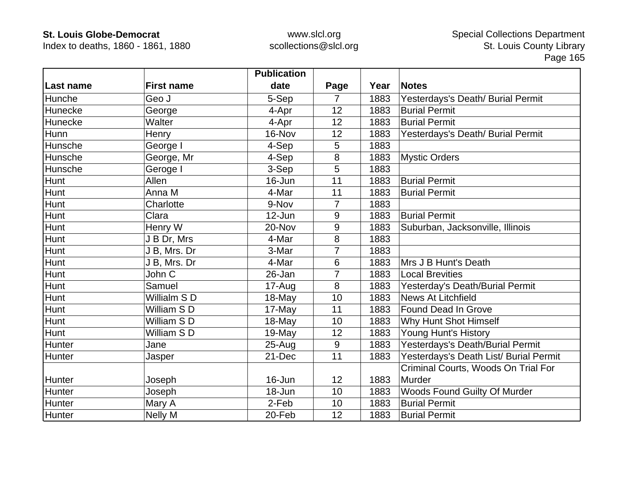Index to deaths, 1860 - 1861, 1880

|                  |                   | <b>Publication</b> |                |      |                                        |
|------------------|-------------------|--------------------|----------------|------|----------------------------------------|
| <b>Last name</b> | <b>First name</b> | date               | Page           | Year | <b>Notes</b>                           |
| Hunche           | Geo J             | 5-Sep              | 7              | 1883 | Yesterdays's Death/ Burial Permit      |
| Hunecke          | George            | 4-Apr              | 12             | 1883 | <b>Burial Permit</b>                   |
| Hunecke          | Walter            | 4-Apr              | 12             | 1883 | <b>Burial Permit</b>                   |
| Hunn             | Henry             | 16-Nov             | 12             | 1883 | Yesterdays's Death/ Burial Permit      |
| Hunsche          | George I          | 4-Sep              | 5              | 1883 |                                        |
| Hunsche          | George, Mr        | 4-Sep              | 8              | 1883 | <b>Mystic Orders</b>                   |
| Hunsche          | Geroge I          | 3-Sep              | 5              | 1883 |                                        |
| Hunt             | Allen             | 16-Jun             | 11             | 1883 | <b>Burial Permit</b>                   |
| Hunt             | Anna M            | 4-Mar              | 11             | 1883 | <b>Burial Permit</b>                   |
| Hunt             | Charlotte         | 9-Nov              | $\overline{7}$ | 1883 |                                        |
| Hunt             | Clara             | 12-Jun             | 9              | 1883 | <b>Burial Permit</b>                   |
| Hunt             | Henry W           | 20-Nov             | 9              | 1883 | Suburban, Jacksonville, Illinois       |
| Hunt             | J B Dr, Mrs       | 4-Mar              | 8              | 1883 |                                        |
| Hunt             | J B, Mrs. Dr      | 3-Mar              | $\overline{7}$ | 1883 |                                        |
| Hunt             | J B, Mrs. Dr      | 4-Mar              | 6              | 1883 | Mrs J B Hunt's Death                   |
| Hunt             | John C            | 26-Jan             | $\overline{7}$ | 1883 | <b>Local Brevities</b>                 |
| Hunt             | Samuel            | 17-Aug             | 8              | 1883 | Yesterday's Death/Burial Permit        |
| Hunt             | Willialm S D      | 18-May             | 10             | 1883 | <b>News At Litchfield</b>              |
| Hunt             | William SD        | 17-May             | 11             | 1883 | Found Dead In Grove                    |
| Hunt             | William SD        | 18-May             | 10             | 1883 | Why Hunt Shot Himself                  |
| Hunt             | William SD        | 19-May             | 12             | 1883 | Young Hunt's History                   |
| Hunter           | Jane              | $25 - Aug$         | 9              | 1883 | Yesterdays's Death/Burial Permit       |
| Hunter           | Jasper            | 21-Dec             | 11             | 1883 | Yesterdays's Death List/ Burial Permit |
|                  |                   |                    |                |      | Criminal Courts, Woods On Trial For    |
| Hunter           | Joseph            | 16-Jun             | 12             | 1883 | Murder                                 |
| Hunter           | Joseph            | 18-Jun             | 10             | 1883 | <b>Woods Found Guilty Of Murder</b>    |
| Hunter           | Mary A            | 2-Feb              | 10             | 1883 | <b>Burial Permit</b>                   |
| Hunter           | <b>Nelly M</b>    | 20-Feb             | 12             | 1883 | <b>Burial Permit</b>                   |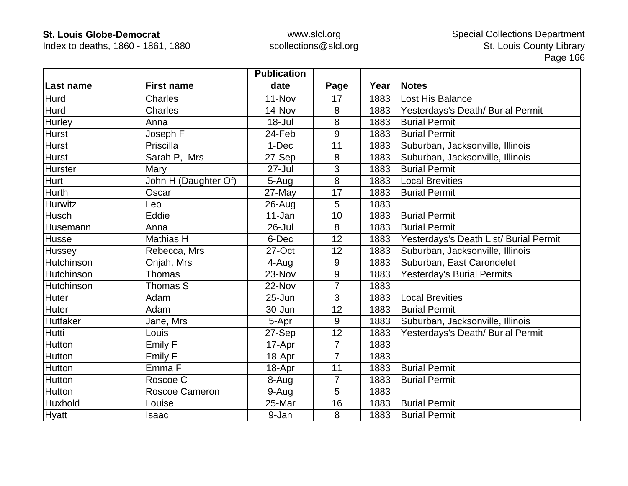Index to deaths, 1860 - 1861, 1880

|                  |                       | <b>Publication</b> |                |      |                                        |
|------------------|-----------------------|--------------------|----------------|------|----------------------------------------|
| <b>Last name</b> | <b>First name</b>     | date               | Page           | Year | <b>Notes</b>                           |
| Hurd             | Charles               | $11 - Nov$         | 17             | 1883 | <b>Lost His Balance</b>                |
| Hurd             | Charles               | 14-Nov             | 8              | 1883 | Yesterdays's Death/ Burial Permit      |
| Hurley           | Anna                  | 18-Jul             | 8              | 1883 | <b>Burial Permit</b>                   |
| Hurst            | Joseph F              | 24-Feb             | 9              | 1883 | <b>Burial Permit</b>                   |
| <b>Hurst</b>     | Priscilla             | 1-Dec              | 11             | 1883 | Suburban, Jacksonville, Illinois       |
| <b>Hurst</b>     | Sarah P, Mrs          | 27-Sep             | 8              | 1883 | Suburban, Jacksonville, Illinois       |
| Hurster          | Mary                  | $27 -$ Jul         | 3              | 1883 | <b>Burial Permit</b>                   |
| Hurt             | John H (Daughter Of)  | 5-Aug              | 8              | 1883 | <b>Local Brevities</b>                 |
| <b>Hurth</b>     | Oscar                 | 27-May             | 17             | 1883 | <b>Burial Permit</b>                   |
| Hurwitz          | Leo                   | $26$ -Aug          | 5              | 1883 |                                        |
| Husch            | Eddie                 | 11-Jan             | 10             | 1883 | <b>Burial Permit</b>                   |
| Husemann         | Anna                  | 26-Jul             | 8              | 1883 | <b>Burial Permit</b>                   |
| <b>Husse</b>     | Mathias H             | 6-Dec              | 12             | 1883 | Yesterdays's Death List/ Burial Permit |
| Hussey           | Rebecca, Mrs          | 27-Oct             | 12             | 1883 | Suburban, Jacksonville, Illinois       |
| Hutchinson       | Onjah, Mrs            | 4-Aug              | 9              | 1883 | Suburban, East Carondelet              |
| Hutchinson       | Thomas                | 23-Nov             | 9              | 1883 | <b>Yesterday's Burial Permits</b>      |
| Hutchinson       | Thomas S              | 22-Nov             | 7              | 1883 |                                        |
| Huter            | Adam                  | 25-Jun             | 3              | 1883 | <b>Local Brevities</b>                 |
| Huter            | Adam                  | 30-Jun             | 12             | 1883 | <b>Burial Permit</b>                   |
| Hutfaker         | Jane, Mrs             | 5-Apr              | 9              | 1883 | Suburban, Jacksonville, Illinois       |
| Hutti            | Louis                 | 27-Sep             | 12             | 1883 | Yesterdays's Death/ Burial Permit      |
| Hutton           | Emily F               | 17-Apr             | $\overline{7}$ | 1883 |                                        |
| Hutton           | Emily F               | 18-Apr             | $\overline{7}$ | 1883 |                                        |
| Hutton           | Emma F                | 18-Apr             | 11             | 1883 | <b>Burial Permit</b>                   |
| Hutton           | Roscoe C              | 8-Aug              | $\overline{7}$ | 1883 | <b>Burial Permit</b>                   |
| Hutton           | <b>Roscoe Cameron</b> | 9-Aug              | 5              | 1883 |                                        |
| Huxhold          | Louise                | 25-Mar             | 16             | 1883 | <b>Burial Permit</b>                   |
| Hyatt            | Isaac                 | 9-Jan              | 8              | 1883 | <b>Burial Permit</b>                   |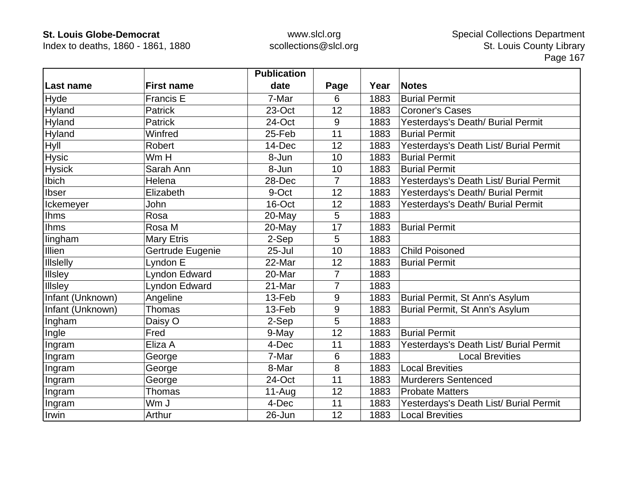Index to deaths, 1860 - 1861, 1880

|                  |                      | <b>Publication</b> |                |      |                                        |
|------------------|----------------------|--------------------|----------------|------|----------------------------------------|
| Last name        | <b>First name</b>    | date               | Page           | Year | <b>Notes</b>                           |
| Hyde             | <b>Francis E</b>     | 7-Mar              | 6              | 1883 | <b>Burial Permit</b>                   |
| Hyland           | <b>Patrick</b>       | 23-Oct             | 12             | 1883 | <b>Coroner's Cases</b>                 |
| Hyland           | Patrick              | 24-Oct             | 9              | 1883 | Yesterdays's Death/ Burial Permit      |
| Hyland           | Winfred              | 25-Feb             | 11             | 1883 | <b>Burial Permit</b>                   |
| Hyll             | Robert               | 14-Dec             | 12             | 1883 | Yesterdays's Death List/ Burial Permit |
| <b>Hysic</b>     | Wm H                 | 8-Jun              | 10             | 1883 | <b>Burial Permit</b>                   |
| <b>Hysick</b>    | Sarah Ann            | 8-Jun              | 10             | 1883 | <b>Burial Permit</b>                   |
| Ibich            | Helena               | 28-Dec             | $\overline{7}$ | 1883 | Yesterdays's Death List/ Burial Permit |
| <b>Ibser</b>     | Elizabeth            | 9-Oct              | 12             | 1883 | Yesterdays's Death/ Burial Permit      |
| Ickemeyer        | John                 | 16-Oct             | 12             | 1883 | Yesterdays's Death/ Burial Permit      |
| <b>Ihms</b>      | Rosa                 | 20-May             | 5              | 1883 |                                        |
| <b>Ihms</b>      | Rosa M               | 20-May             | 17             | 1883 | <b>Burial Permit</b>                   |
| lingham          | <b>Mary Etris</b>    | 2-Sep              | 5              | 1883 |                                        |
| Illien           | Gertrude Eugenie     | $25 -$ Jul         | 10             | 1883 | <b>Child Poisoned</b>                  |
| <b>Illslelly</b> | Lyndon E             | 22-Mar             | 12             | 1883 | <b>Burial Permit</b>                   |
| Illsley          | <b>Lyndon Edward</b> | 20-Mar             | 7              | 1883 |                                        |
| <b>Illsley</b>   | <b>Lyndon Edward</b> | 21-Mar             | 7              | 1883 |                                        |
| Infant (Unknown) | Angeline             | 13-Feb             | 9              | 1883 | Burial Permit, St Ann's Asylum         |
| Infant (Unknown) | <b>Thomas</b>        | 13-Feb             | 9              | 1883 | Burial Permit, St Ann's Asylum         |
| Ingham           | Daisy O              | 2-Sep              | 5              | 1883 |                                        |
| Ingle            | Fred                 | 9-May              | 12             | 1883 | <b>Burial Permit</b>                   |
| Ingram           | Eliza A              | 4-Dec              | 11             | 1883 | Yesterdays's Death List/ Burial Permit |
| Ingram           | George               | 7-Mar              | 6              | 1883 | <b>Local Brevities</b>                 |
| Ingram           | George               | 8-Mar              | 8              | 1883 | <b>Local Brevities</b>                 |
| Ingram           | George               | 24-Oct             | 11             | 1883 | <b>Murderers Sentenced</b>             |
| Ingram           | <b>Thomas</b>        | $11-Auq$           | 12             | 1883 | <b>Probate Matters</b>                 |
| Ingram           | Wm J                 | 4-Dec              | 11             | 1883 | Yesterdays's Death List/ Burial Permit |
| Irwin            | Arthur               | 26-Jun             | 12             | 1883 | <b>Local Brevities</b>                 |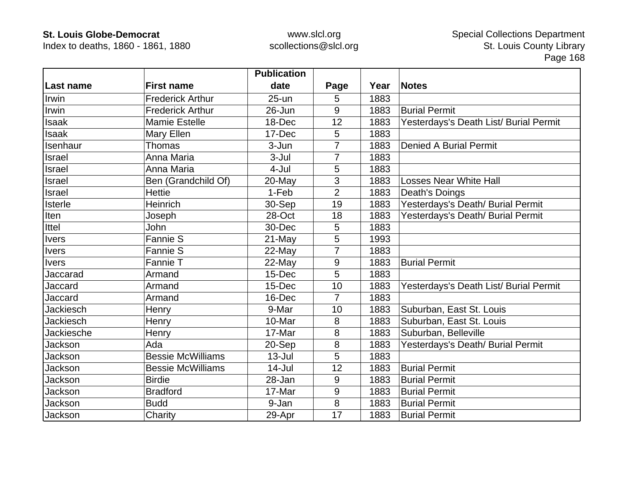Index to deaths, 1860 - 1861, 1880

|                  |                          | <b>Publication</b> |                |      |                                        |
|------------------|--------------------------|--------------------|----------------|------|----------------------------------------|
| Last name        | <b>First name</b>        | date               | Page           | Year | <b>Notes</b>                           |
| Irwin            | <b>Frederick Arthur</b>  | $25 -$ un          | 5              | 1883 |                                        |
| Irwin            | <b>Frederick Arthur</b>  | 26-Jun             | 9              | 1883 | <b>Burial Permit</b>                   |
| <b>Isaak</b>     | <b>Mamie Estelle</b>     | 18-Dec             | 12             | 1883 | Yesterdays's Death List/ Burial Permit |
| <b>Isaak</b>     | Mary Ellen               | 17-Dec             | 5              | 1883 |                                        |
| Isenhaur         | Thomas                   | 3-Jun              | 7              | 1883 | <b>Denied A Burial Permit</b>          |
| Israel           | Anna Maria               | $3-Jul$            | 7              | 1883 |                                        |
| Israel           | Anna Maria               | 4-Jul              | 5              | 1883 |                                        |
| Israel           | Ben (Grandchild Of)      | 20-May             | 3              | 1883 | <b>Losses Near White Hall</b>          |
| Israel           | <b>Hettie</b>            | 1-Feb              | $\overline{2}$ | 1883 | Death's Doings                         |
| <b>Isterle</b>   | Heinrich                 | 30-Sep             | 19             | 1883 | Yesterdays's Death/ Burial Permit      |
| Iten             | Joseph                   | 28-Oct             | 18             | 1883 | Yesterdays's Death/ Burial Permit      |
| Ittel            | <b>John</b>              | 30-Dec             | 5              | 1883 |                                        |
| <b>Ivers</b>     | <b>Fannie S</b>          | 21-May             | 5              | 1993 |                                        |
| <b>Ivers</b>     | Fannie S                 | 22-May             | $\overline{7}$ | 1883 |                                        |
| <b>Ivers</b>     | Fannie T                 | $22$ -May          | 9              | 1883 | <b>Burial Permit</b>                   |
| Jaccarad         | Armand                   | 15-Dec             | 5              | 1883 |                                        |
| Jaccard          | Armand                   | 15-Dec             | 10             | 1883 | Yesterdays's Death List/ Burial Permit |
| Jaccard          | Armand                   | 16-Dec             | $\overline{7}$ | 1883 |                                        |
| Jackiesch        | Henry                    | 9-Mar              | 10             | 1883 | Suburban, East St. Louis               |
| <b>Jackiesch</b> | Henry                    | 10-Mar             | 8              | 1883 | Suburban, East St. Louis               |
| Jackiesche       | Henry                    | 17-Mar             | 8              | 1883 | Suburban, Belleville                   |
| Jackson          | Ada                      | 20-Sep             | 8              | 1883 | Yesterdays's Death/ Burial Permit      |
| Jackson          | <b>Bessie McWilliams</b> | $13 -$ Jul         | 5              | 1883 |                                        |
| Jackson          | <b>Bessie McWilliams</b> | $14$ -Jul          | 12             | 1883 | <b>Burial Permit</b>                   |
| Jackson          | <b>Birdie</b>            | 28-Jan             | 9              | 1883 | <b>Burial Permit</b>                   |
| Jackson          | <b>Bradford</b>          | 17-Mar             | 9              | 1883 | <b>Burial Permit</b>                   |
| Jackson          | <b>Budd</b>              | 9-Jan              | 8              | 1883 | <b>Burial Permit</b>                   |
| Jackson          | Charity                  | 29-Apr             | 17             | 1883 | <b>Burial Permit</b>                   |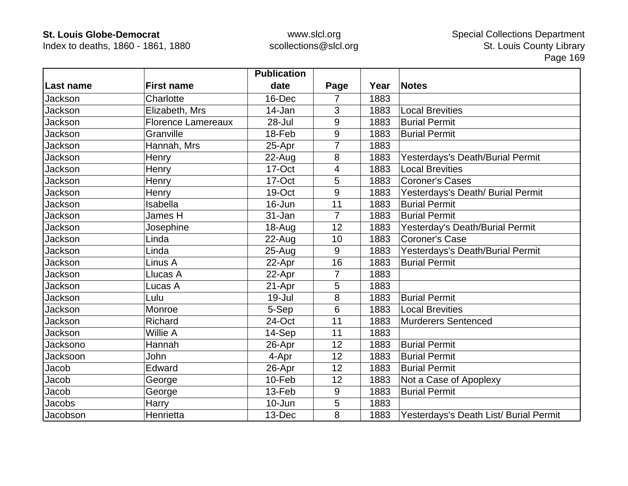Index to deaths, 1860 - 1861, 1880

|            |                           | <b>Publication</b> |                |      |                                        |
|------------|---------------------------|--------------------|----------------|------|----------------------------------------|
| ∣Last name | <b>First name</b>         | date               | Page           | Year | <b>Notes</b>                           |
| Jackson    | Charlotte                 | 16-Dec             |                | 1883 |                                        |
| Jackson    | Elizabeth, Mrs            | 14-Jan             | 3              | 1883 | <b>Local Brevities</b>                 |
| Jackson    | <b>Florence Lamereaux</b> | 28-Jul             | 9              | 1883 | <b>Burial Permit</b>                   |
| Jackson    | Granville                 | 18-Feb             | 9              | 1883 | <b>Burial Permit</b>                   |
| Jackson    | Hannah, Mrs               | 25-Apr             | 7              | 1883 |                                        |
| Jackson    | Henry                     | 22-Aug             | 8              | 1883 | Yesterdays's Death/Burial Permit       |
| Jackson    | Henry                     | 17-Oct             | 4              | 1883 | <b>Local Brevities</b>                 |
| Jackson    | Henry                     | 17-Oct             | 5              | 1883 | <b>Coroner's Cases</b>                 |
| Jackson    | Henry                     | 19-Oct             | 9              | 1883 | Yesterdays's Death/ Burial Permit      |
| Jackson    | Isabella                  | 16-Jun             | 11             | 1883 | <b>Burial Permit</b>                   |
| Jackson    | James H                   | 31-Jan             | $\overline{7}$ | 1883 | <b>Burial Permit</b>                   |
| Jackson    | Josephine                 | 18-Aug             | 12             | 1883 | Yesterday's Death/Burial Permit        |
| Jackson    | Linda                     | 22-Aug             | 10             | 1883 | <b>Coroner's Case</b>                  |
| Jackson    | Linda                     | $25 - Aug$         | 9              | 1883 | Yesterdays's Death/Burial Permit       |
| Jackson    | Linus A                   | 22-Apr             | 16             | 1883 | <b>Burial Permit</b>                   |
| Jackson    | Llucas A                  | 22-Apr             | $\overline{7}$ | 1883 |                                        |
| Jackson    | Lucas A                   | 21-Apr             | 5              | 1883 |                                        |
| Jackson    | Lulu                      | 19-Jul             | 8              | 1883 | <b>Burial Permit</b>                   |
| Jackson    | Monroe                    | 5-Sep              | 6              | 1883 | <b>Local Brevities</b>                 |
| Jackson    | Richard                   | 24-Oct             | 11             | 1883 | <b>Murderers Sentenced</b>             |
| Jackson    | Willie A                  | 14-Sep             | 11             | 1883 |                                        |
| Jacksono   | Hannah                    | 26-Apr             | 12             | 1883 | <b>Burial Permit</b>                   |
| Jacksoon   | John                      | 4-Apr              | 12             | 1883 | <b>Burial Permit</b>                   |
| Jacob      | Edward                    | 26-Apr             | 12             | 1883 | <b>Burial Permit</b>                   |
| Jacob      | George                    | 10-Feb             | 12             | 1883 | Not a Case of Apoplexy                 |
| Jacob      | George                    | 13-Feb             | 9              | 1883 | <b>Burial Permit</b>                   |
| Jacobs     | Harry                     | 10-Jun             | 5              | 1883 |                                        |
| Jacobson   | Henrietta                 | 13-Dec             | 8              | 1883 | Yesterdays's Death List/ Burial Permit |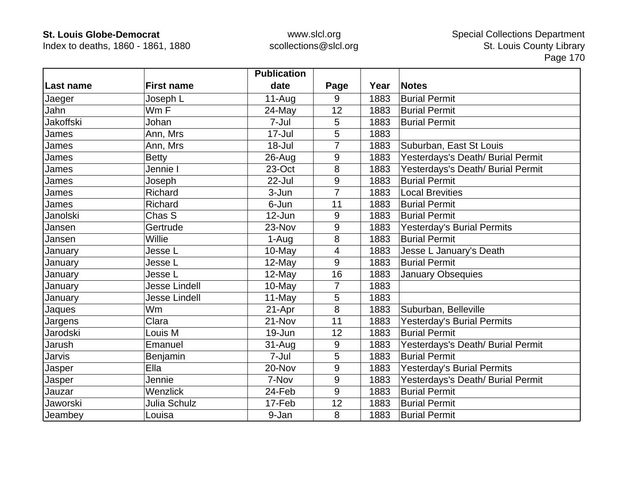Index to deaths, 1860 - 1861, 1880

|           |                      | <b>Publication</b> |                |      |                                   |
|-----------|----------------------|--------------------|----------------|------|-----------------------------------|
| Last name | <b>First name</b>    | date               | Page           | Year | <b>Notes</b>                      |
| Jaeger    | Joseph L             | $11-Auq$           | 9              | 1883 | <b>Burial Permit</b>              |
| Jahn      | Wm F                 | 24-May             | 12             | 1883 | <b>Burial Permit</b>              |
| Jakoffski | Johan                | 7-Jul              | 5              | 1883 | <b>Burial Permit</b>              |
| James     | Ann, Mrs             | $17 -$ Jul         | 5              | 1883 |                                   |
| James     | Ann, Mrs             | 18-Jul             | 7              | 1883 | Suburban, East St Louis           |
| James     | <b>Betty</b>         | $26 - Aug$         | 9              | 1883 | Yesterdays's Death/ Burial Permit |
| James     | Jennie I             | 23-Oct             | 8              | 1883 | Yesterdays's Death/ Burial Permit |
| James     | Joseph               | 22-Jul             | 9              | 1883 | <b>Burial Permit</b>              |
| James     | Richard              | 3-Jun              | 7              | 1883 | <b>Local Brevities</b>            |
| James     | Richard              | 6-Jun              | 11             | 1883 | <b>Burial Permit</b>              |
| Janolski  | Chas S               | 12-Jun             | 9              | 1883 | <b>Burial Permit</b>              |
| Jansen    | Gertrude             | 23-Nov             | 9              | 1883 | <b>Yesterday's Burial Permits</b> |
| Jansen    | Willie               | 1-Aug              | 8              | 1883 | <b>Burial Permit</b>              |
| January   | Jesse L              | 10-May             | 4              | 1883 | Jesse L January's Death           |
| January   | Jesse L              | 12-May             | 9              | 1883 | <b>Burial Permit</b>              |
| January   | Jesse L              | 12-May             | 16             | 1883 | <b>January Obsequies</b>          |
| January   | <b>Jesse Lindell</b> | 10-May             | $\overline{7}$ | 1883 |                                   |
| January   | <b>Jesse Lindell</b> | 11-May             | 5              | 1883 |                                   |
| Jaques    | Wm                   | 21-Apr             | 8              | 1883 | Suburban, Belleville              |
| Jargens   | Clara                | 21-Nov             | 11             | 1883 | Yesterday's Burial Permits        |
| Jarodski  | Louis M              | 19-Jun             | 12             | 1883 | <b>Burial Permit</b>              |
| Jarush    | Emanuel              | $31-Auq$           | 9              | 1883 | Yesterdays's Death/ Burial Permit |
| Jarvis    | Benjamin             | 7-Jul              | 5              | 1883 | <b>Burial Permit</b>              |
| Jasper    | Ella                 | 20-Nov             | 9              | 1883 | <b>Yesterday's Burial Permits</b> |
| Jasper    | Jennie               | 7-Nov              | 9              | 1883 | Yesterdays's Death/ Burial Permit |
| Jauzar    | Wenzlick             | 24-Feb             | 9              | 1883 | <b>Burial Permit</b>              |
| Jaworski  | Julia Schulz         | 17-Feb             | 12             | 1883 | <b>Burial Permit</b>              |
| Jeambey   | Louisa               | 9-Jan              | 8              | 1883 | <b>Burial Permit</b>              |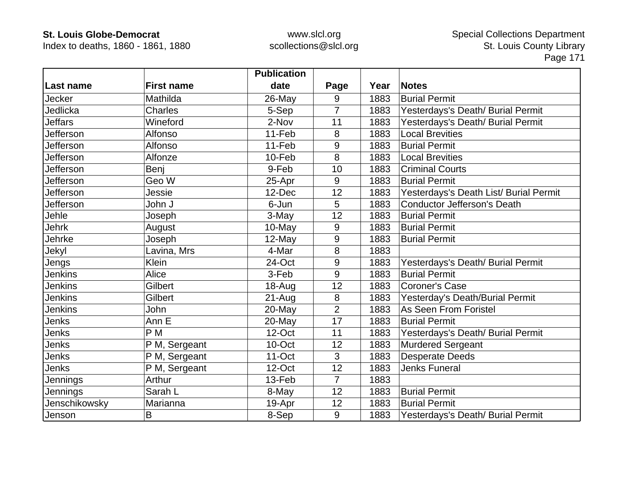Index to deaths, 1860 - 1861, 1880

|                |                   | <b>Publication</b> |                |      |                                        |
|----------------|-------------------|--------------------|----------------|------|----------------------------------------|
| Last name      | <b>First name</b> | date               | Page           | Year | Notes                                  |
| Jecker         | Mathilda          | 26-May             | 9              | 1883 | <b>Burial Permit</b>                   |
| Jedlicka       | <b>Charles</b>    | 5-Sep              | $\overline{7}$ | 1883 | Yesterdays's Death/ Burial Permit      |
| <b>Jeffars</b> | Wineford          | 2-Nov              | 11             | 1883 | Yesterdays's Death/ Burial Permit      |
| Jefferson      | Alfonso           | 11-Feb             | 8              | 1883 | <b>Local Brevities</b>                 |
| Jefferson      | Alfonso           | 11-Feb             | 9              | 1883 | <b>Burial Permit</b>                   |
| Jefferson      | Alfonze           | 10-Feb             | 8              | 1883 | <b>Local Brevities</b>                 |
| Jefferson      | Benj              | 9-Feb              | 10             | 1883 | <b>Criminal Courts</b>                 |
| Jefferson      | Geo W             | 25-Apr             | 9              | 1883 | <b>Burial Permit</b>                   |
| Jefferson      | Jessie            | 12-Dec             | 12             | 1883 | Yesterdays's Death List/ Burial Permit |
| Jefferson      | John J            | 6-Jun              | 5              | 1883 | <b>Conductor Jefferson's Death</b>     |
| Jehle          | Joseph            | 3-May              | 12             | 1883 | <b>Burial Permit</b>                   |
| Jehrk          | August            | 10-May             | 9              | 1883 | <b>Burial Permit</b>                   |
| Jehrke         | Joseph            | $12$ -May          | 9              | 1883 | <b>Burial Permit</b>                   |
| Jekyl          | Lavina, Mrs       | 4-Mar              | 8              | 1883 |                                        |
| Jengs          | <b>Klein</b>      | 24-Oct             | 9              | 1883 | Yesterdays's Death/ Burial Permit      |
| <b>Jenkins</b> | Alice             | 3-Feb              | 9              | 1883 | <b>Burial Permit</b>                   |
| <b>Jenkins</b> | Gilbert           | $18 - Aug$         | 12             | 1883 | <b>Coroner's Case</b>                  |
| <b>Jenkins</b> | Gilbert           | $21-Auq$           | 8              | 1883 | Yesterday's Death/Burial Permit        |
| <b>Jenkins</b> | John              | 20-May             | $\overline{2}$ | 1883 | As Seen From Foristel                  |
| Jenks          | Ann E             | 20-May             | 17             | 1883 | <b>Burial Permit</b>                   |
| Jenks          | P M               | 12-Oct             | 11             | 1883 | Yesterdays's Death/ Burial Permit      |
| Jenks          | P M, Sergeant     | 10-Oct             | 12             | 1883 | <b>Murdered Sergeant</b>               |
| Jenks          | P M, Sergeant     | 11-Oct             | 3              | 1883 | <b>Desperate Deeds</b>                 |
| Jenks          | P M, Sergeant     | 12-Oct             | 12             | 1883 | <b>Jenks Funeral</b>                   |
| Jennings       | Arthur            | 13-Feb             | $\overline{7}$ | 1883 |                                        |
| Jennings       | Sarah L           | 8-May              | 12             | 1883 | <b>Burial Permit</b>                   |
| Jenschikowsky  | Marianna          | 19-Apr             | 12             | 1883 | <b>Burial Permit</b>                   |
| Jenson         | B                 | 8-Sep              | 9              | 1883 | Yesterdays's Death/ Burial Permit      |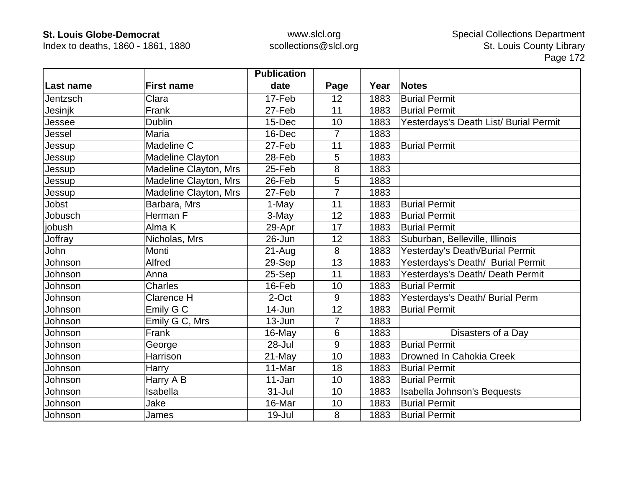Index to deaths, 1860 - 1861, 1880

|           |                       | <b>Publication</b> |                |      |                                        |
|-----------|-----------------------|--------------------|----------------|------|----------------------------------------|
| Last name | <b>First name</b>     | date               | Page           | Year | <b>Notes</b>                           |
| Jentzsch  | Clara                 | 17-Feb             | 12             | 1883 | <b>Burial Permit</b>                   |
| Jesinjk   | Frank                 | 27-Feb             | 11             | 1883 | <b>Burial Permit</b>                   |
| Jessee    | <b>Dublin</b>         | 15-Dec             | 10             | 1883 | Yesterdays's Death List/ Burial Permit |
| Jessel    | Maria                 | 16-Dec             | $\overline{7}$ | 1883 |                                        |
| Jessup    | Madeline C            | 27-Feb             | 11             | 1883 | <b>Burial Permit</b>                   |
| Jessup    | Madeline Clayton      | 28-Feb             | 5              | 1883 |                                        |
| Jessup    | Madeline Clayton, Mrs | 25-Feb             | 8              | 1883 |                                        |
| Jessup    | Madeline Clayton, Mrs | 26-Feb             | 5              | 1883 |                                        |
| Jessup    | Madeline Clayton, Mrs | 27-Feb             | 7              | 1883 |                                        |
| Jobst     | Barbara, Mrs          | 1-May              | 11             | 1883 | <b>Burial Permit</b>                   |
| Jobusch   | Herman F              | 3-May              | 12             | 1883 | <b>Burial Permit</b>                   |
| jobush    | Alma K                | 29-Apr             | 17             | 1883 | <b>Burial Permit</b>                   |
| Joffray   | Nicholas, Mrs         | 26-Jun             | 12             | 1883 | Suburban, Belleville, Illinois         |
| John      | Monti                 | $21 - Aug$         | 8              | 1883 | Yesterday's Death/Burial Permit        |
| Johnson   | Alfred                | 29-Sep             | 13             | 1883 | Yesterdays's Death/ Burial Permit      |
| Johnson   | Anna                  | 25-Sep             | 11             | 1883 | Yesterdays's Death/ Death Permit       |
| Johnson   | <b>Charles</b>        | 16-Feb             | 10             | 1883 | <b>Burial Permit</b>                   |
| Johnson   | Clarence H            | 2-Oct              | 9              | 1883 | Yesterdays's Death/ Burial Perm        |
| Johnson   | Emily G C             | 14-Jun             | 12             | 1883 | <b>Burial Permit</b>                   |
| Johnson   | Emily G C, Mrs        | $13 - Jun$         | $\overline{7}$ | 1883 |                                        |
| Johnson   | Frank                 | 16-May             | 6              | 1883 | Disasters of a Day                     |
| Johnson   | George                | 28-Jul             | 9              | 1883 | <b>Burial Permit</b>                   |
| Johnson   | Harrison              | 21-May             | 10             | 1883 | Drowned In Cahokia Creek               |
| Johnson   | Harry                 | 11-Mar             | 18             | 1883 | <b>Burial Permit</b>                   |
| Johnson   | Harry A B             | 11-Jan             | 10             | 1883 | <b>Burial Permit</b>                   |
| Johnson   | Isabella              | $31 -$ Jul         | 10             | 1883 | <b>Isabella Johnson's Bequests</b>     |
| Johnson   | Jake                  | 16-Mar             | 10             | 1883 | <b>Burial Permit</b>                   |
| Johnson   | James                 | 19-Jul             | 8              | 1883 | <b>Burial Permit</b>                   |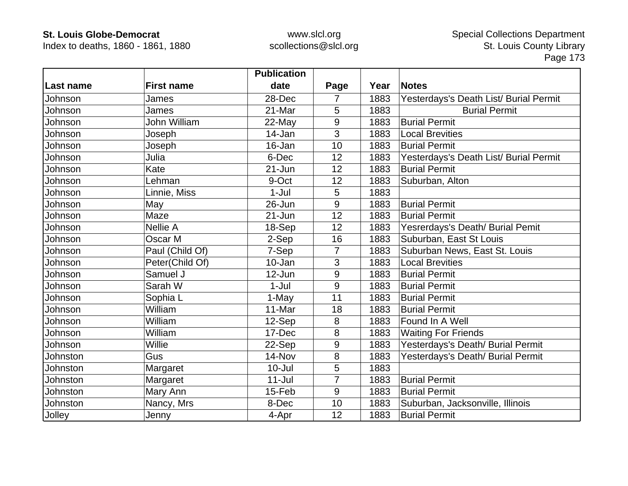Index to deaths, 1860 - 1861, 1880

|           |                   | <b>Publication</b> |                |      |                                        |
|-----------|-------------------|--------------------|----------------|------|----------------------------------------|
| Last name | <b>First name</b> | date               | Page           | Year | <b>Notes</b>                           |
| Johnson   | James             | 28-Dec             |                | 1883 | Yesterdays's Death List/ Burial Permit |
| Johnson   | James             | 21-Mar             | 5              | 1883 | <b>Burial Permit</b>                   |
| Johnson   | John William      | 22-May             | 9              | 1883 | <b>Burial Permit</b>                   |
| Johnson   | Joseph            | 14-Jan             | 3              | 1883 | <b>Local Brevities</b>                 |
| Johnson   | Joseph            | 16-Jan             | 10             | 1883 | <b>Burial Permit</b>                   |
| Johnson   | Julia             | 6-Dec              | 12             | 1883 | Yesterdays's Death List/ Burial Permit |
| Johnson   | Kate              | $21 - Jun$         | 12             | 1883 | <b>Burial Permit</b>                   |
| Johnson   | Lehman            | 9-Oct              | 12             | 1883 | Suburban, Alton                        |
| Johnson   | Linnie, Miss      | $1-Jul$            | 5              | 1883 |                                        |
| Johnson   | May               | $26 - Jun$         | 9              | 1883 | <b>Burial Permit</b>                   |
| Johnson   | Maze              | $21 - Jun$         | 12             | 1883 | <b>Burial Permit</b>                   |
| Johnson   | Nellie A          | 18-Sep             | 12             | 1883 | Yesrerdays's Death/ Burial Pemit       |
| Johnson   | Oscar M           | 2-Sep              | 16             | 1883 | Suburban, East St Louis                |
| Johnson   | Paul (Child Of)   | 7-Sep              | $\overline{7}$ | 1883 | Suburban News, East St. Louis          |
| Johnson   | Peter(Child Of)   | 10-Jan             | 3              | 1883 | <b>Local Brevities</b>                 |
| Johnson   | Samuel J          | 12-Jun             | 9              | 1883 | <b>Burial Permit</b>                   |
| Johnson   | Sarah W           | $1-Jul$            | 9              | 1883 | <b>Burial Permit</b>                   |
| Johnson   | Sophia L          | 1-May              | 11             | 1883 | <b>Burial Permit</b>                   |
| Johnson   | William           | 11-Mar             | 18             | 1883 | <b>Burial Permit</b>                   |
| Johnson   | William           | 12-Sep             | 8              | 1883 | Found In A Well                        |
| Johnson   | William           | 17-Dec             | 8              | 1883 | <b>Waiting For Friends</b>             |
| Johnson   | Willie            | 22-Sep             | 9              | 1883 | Yesterdays's Death/ Burial Permit      |
| Johnston  | Gus               | 14-Nov             | 8              | 1883 | Yesterdays's Death/ Burial Permit      |
| Johnston  | Margaret          | $10 -$ Jul         | 5              | 1883 |                                        |
| Johnston  | Margaret          | $11$ -Jul          | 7              | 1883 | <b>Burial Permit</b>                   |
| Johnston  | Mary Ann          | 15-Feb             | 9              | 1883 | <b>Burial Permit</b>                   |
| Johnston  | Nancy, Mrs        | 8-Dec              | 10             | 1883 | Suburban, Jacksonville, Illinois       |
| Jolley    | Jenny             | 4-Apr              | 12             | 1883 | <b>Burial Permit</b>                   |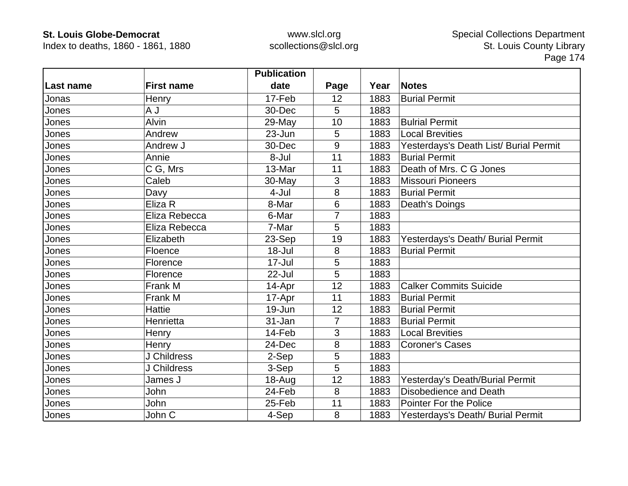Index to deaths, 1860 - 1861, 1880

|           |                   | <b>Publication</b> |                |      |                                        |
|-----------|-------------------|--------------------|----------------|------|----------------------------------------|
| Last name | <b>First name</b> | date               | Page           | Year | <b>Notes</b>                           |
| Jonas     | Henry             | 17-Feb             | 12             | 1883 | <b>Burial Permit</b>                   |
| Jones     | L A               | 30-Dec             | 5              | 1883 |                                        |
| Jones     | <b>Alvin</b>      | 29-May             | 10             | 1883 | <b>Bulrial Permit</b>                  |
| Jones     | Andrew            | 23-Jun             | 5              | 1883 | <b>Local Brevities</b>                 |
| Jones     | Andrew J          | 30-Dec             | 9              | 1883 | Yesterdays's Death List/ Burial Permit |
| Jones     | Annie             | 8-Jul              | 11             | 1883 | <b>Burial Permit</b>                   |
| Jones     | C G, Mrs          | 13-Mar             | 11             | 1883 | Death of Mrs. C G Jones                |
| Jones     | Caleb             | 30-May             | 3              | 1883 | <b>Missouri Pioneers</b>               |
| Jones     | Davy              | 4-Jul              | 8              | 1883 | <b>Burial Permit</b>                   |
| Jones     | Eliza R           | 8-Mar              | 6              | 1883 | Death's Doings                         |
| Jones     | Eliza Rebecca     | 6-Mar              |                | 1883 |                                        |
| Jones     | Eliza Rebecca     | 7-Mar              | 5              | 1883 |                                        |
| Jones     | Elizabeth         | 23-Sep             | 19             | 1883 | Yesterdays's Death/ Burial Permit      |
| Jones     | Floence           | $18 -$ Jul         | 8              | 1883 | <b>Burial Permit</b>                   |
| Jones     | Florence          | 17-Jul             | 5              | 1883 |                                        |
| Jones     | Florence          | $22$ -Jul          | 5              | 1883 |                                        |
| Jones     | Frank M           | 14-Apr             | 12             | 1883 | <b>Calker Commits Suicide</b>          |
| Jones     | Frank M           | 17-Apr             | 11             | 1883 | <b>Burial Permit</b>                   |
| Jones     | <b>Hattie</b>     | 19-Jun             | 12             | 1883 | <b>Burial Permit</b>                   |
| Jones     | Henrietta         | 31-Jan             | $\overline{7}$ | 1883 | <b>Burial Permit</b>                   |
| Jones     | Henry             | 14-Feb             | 3              | 1883 | <b>Local Brevities</b>                 |
| Jones     | Henry             | 24-Dec             | 8              | 1883 | <b>Coroner's Cases</b>                 |
| Jones     | J Childress       | 2-Sep              | 5              | 1883 |                                        |
| Jones     | J Childress       | 3-Sep              | 5              | 1883 |                                        |
| Jones     | James J           | 18-Aug             | 12             | 1883 | Yesterday's Death/Burial Permit        |
| Jones     | John              | 24-Feb             | 8              | 1883 | Disobedience and Death                 |
| Jones     | John              | 25-Feb             | 11             | 1883 | <b>Pointer For the Police</b>          |
| Jones     | John C            | 4-Sep              | 8              | 1883 | Yesterdays's Death/ Burial Permit      |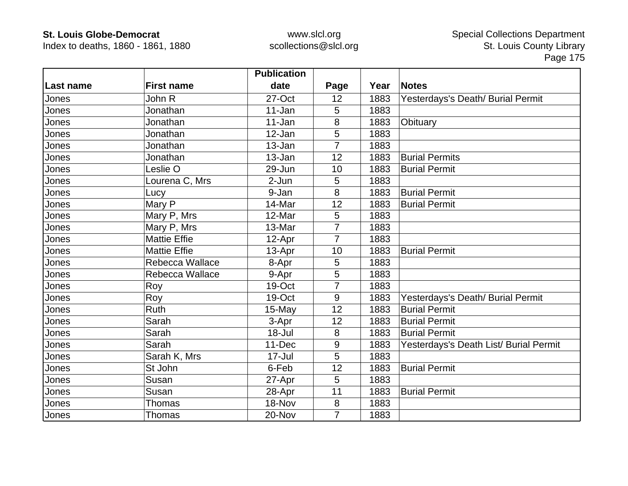Index to deaths, 1860 - 1861, 1880

|            |                     | <b>Publication</b> |                |      |                                        |
|------------|---------------------|--------------------|----------------|------|----------------------------------------|
| ∣Last name | <b>First name</b>   | date               | Page           | Year | <b>Notes</b>                           |
| Jones      | John R              | 27-Oct             | 12             | 1883 | Yesterdays's Death/ Burial Permit      |
| Jones      | Jonathan            | 11-Jan             | 5              | 1883 |                                        |
| Jones      | Jonathan            | 11-Jan             | 8              | 1883 | Obituary                               |
| Jones      | Jonathan            | 12-Jan             | 5              | 1883 |                                        |
| Jones      | Jonathan            | 13-Jan             | 7              | 1883 |                                        |
| Jones      | Jonathan            | 13-Jan             | 12             | 1883 | <b>Burial Permits</b>                  |
| Jones      | Leslie O            | 29-Jun             | 10             | 1883 | <b>Burial Permit</b>                   |
| Jones      | Lourena C, Mrs      | 2-Jun              | 5              | 1883 |                                        |
| Jones      | Lucy                | 9-Jan              | 8              | 1883 | <b>Burial Permit</b>                   |
| Jones      | Mary P              | 14-Mar             | 12             | 1883 | <b>Burial Permit</b>                   |
| Jones      | Mary P, Mrs         | 12-Mar             | 5              | 1883 |                                        |
| Jones      | Mary P, Mrs         | 13-Mar             | $\overline{7}$ | 1883 |                                        |
| Jones      | <b>Mattie Effie</b> | 12-Apr             | 7              | 1883 |                                        |
| Jones      | <b>Mattie Effie</b> | 13-Apr             | 10             | 1883 | <b>Burial Permit</b>                   |
| Jones      | Rebecca Wallace     | 8-Apr              | 5              | 1883 |                                        |
| Jones      | Rebecca Wallace     | 9-Apr              | 5              | 1883 |                                        |
| Jones      | Roy                 | 19-Oct             | 7              | 1883 |                                        |
| Jones      | Roy                 | 19-Oct             | 9              | 1883 | Yesterdays's Death/ Burial Permit      |
| Jones      | <b>Ruth</b>         | 15-May             | 12             | 1883 | <b>Burial Permit</b>                   |
| Jones      | Sarah               | 3-Apr              | 12             | 1883 | <b>Burial Permit</b>                   |
| Jones      | Sarah               | $18 -$ Jul         | 8              | 1883 | <b>Burial Permit</b>                   |
| Jones      | Sarah               | 11-Dec             | 9              | 1883 | Yesterdays's Death List/ Burial Permit |
| Jones      | Sarah K, Mrs        | 17-Jul             | 5              | 1883 |                                        |
| Jones      | St John             | 6-Feb              | 12             | 1883 | <b>Burial Permit</b>                   |
| Jones      | Susan               | 27-Apr             | 5              | 1883 |                                        |
| Jones      | Susan               | 28-Apr             | 11             | 1883 | <b>Burial Permit</b>                   |
| Jones      | Thomas              | 18-Nov             | 8              | 1883 |                                        |
| Jones      | <b>Thomas</b>       | 20-Nov             | $\overline{7}$ | 1883 |                                        |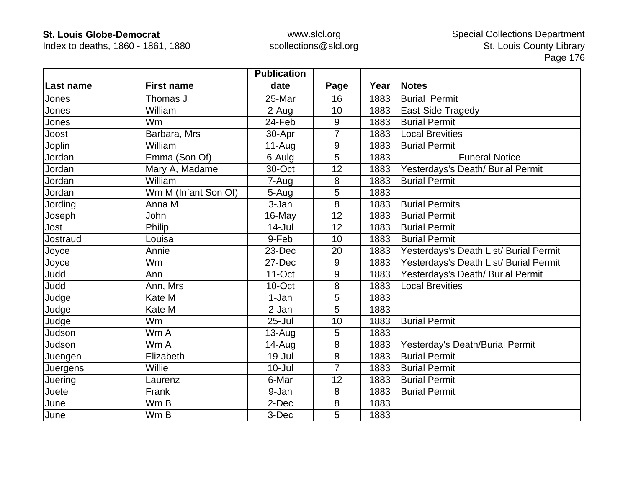Index to deaths, 1860 - 1861, 1880

|           |                      | <b>Publication</b> |                |      |                                        |
|-----------|----------------------|--------------------|----------------|------|----------------------------------------|
| Last name | <b>First name</b>    | date               | Page           | Year | <b>Notes</b>                           |
| Jones     | Thomas J             | 25-Mar             | 16             | 1883 | <b>Burial Permit</b>                   |
| Jones     | William              | 2-Aug              | 10             | 1883 | East-Side Tragedy                      |
| Jones     | Wm                   | 24-Feb             | 9              | 1883 | <b>Burial Permit</b>                   |
| Joost     | Barbara, Mrs         | 30-Apr             | $\overline{7}$ | 1883 | <b>Local Brevities</b>                 |
| Joplin    | William              | $11-Auq$           | 9              | 1883 | <b>Burial Permit</b>                   |
| Jordan    | Emma (Son Of)        | 6-Aulg             | 5              | 1883 | <b>Funeral Notice</b>                  |
| Jordan    | Mary A, Madame       | 30-Oct             | 12             | 1883 | Yesterdays's Death/ Burial Permit      |
| Jordan    | William              | 7-Aug              | 8              | 1883 | <b>Burial Permit</b>                   |
| Jordan    | Wm M (Infant Son Of) | 5-Aug              | 5              | 1883 |                                        |
| Jording   | Anna M               | 3-Jan              | 8              | 1883 | <b>Burial Permits</b>                  |
| Joseph    | John                 | 16-May             | 12             | 1883 | <b>Burial Permit</b>                   |
| Jost      | Philip               | $14 -$ Jul         | 12             | 1883 | <b>Burial Permit</b>                   |
| Jostraud  | Louisa               | 9-Feb              | 10             | 1883 | <b>Burial Permit</b>                   |
| Joyce     | Annie                | 23-Dec             | 20             | 1883 | Yesterdays's Death List/ Burial Permit |
| Joyce     | Wm                   | 27-Dec             | 9              | 1883 | Yesterdays's Death List/ Burial Permit |
| Judd      | Ann                  | $11$ -Oct          | 9              | 1883 | Yesterdays's Death/ Burial Permit      |
| Judd      | Ann, Mrs             | 10-Oct             | 8              | 1883 | <b>Local Brevities</b>                 |
| Judge     | Kate M               | 1-Jan              | 5              | 1883 |                                        |
| Judge     | Kate M               | 2-Jan              | 5              | 1883 |                                        |
| Judge     | <b>Wm</b>            | $25 -$ Jul         | 10             | 1883 | <b>Burial Permit</b>                   |
| Judson    | Wm A                 | $13-Auq$           | 5              | 1883 |                                        |
| Judson    | Wm A                 | 14-Aug             | 8              | 1883 | Yesterday's Death/Burial Permit        |
| Juengen   | Elizabeth            | $19 -$ Jul         | 8              | 1883 | <b>Burial Permit</b>                   |
| Juergens  | Willie               | $10 -$ Jul         | 7              | 1883 | <b>Burial Permit</b>                   |
| Juering   | Laurenz              | 6-Mar              | 12             | 1883 | <b>Burial Permit</b>                   |
| Juete     | Frank                | 9-Jan              | 8              | 1883 | <b>Burial Permit</b>                   |
| June      | Wm B                 | 2-Dec              | 8              | 1883 |                                        |
| June      | Wm B                 | 3-Dec              | 5              | 1883 |                                        |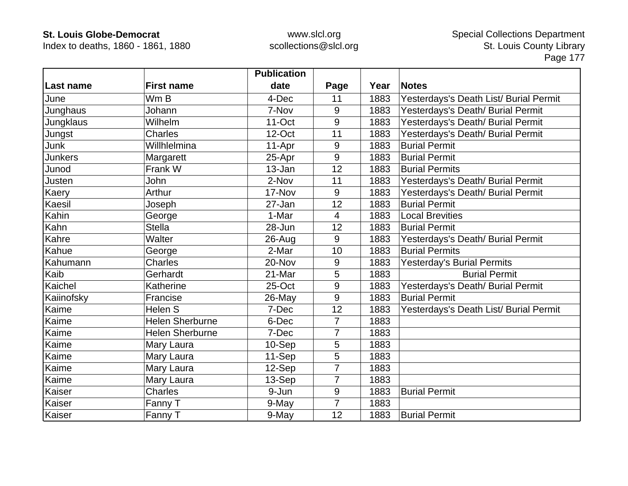Index to deaths, 1860 - 1861, 1880

|                  |                        | <b>Publication</b> |                |      |                                        |
|------------------|------------------------|--------------------|----------------|------|----------------------------------------|
| Last name        | <b>First name</b>      | date               | Page           | Year | <b>Notes</b>                           |
| June             | Wm B                   | 4-Dec              | 11             | 1883 | Yesterdays's Death List/ Burial Permit |
| Junghaus         | Johann                 | 7-Nov              | 9              | 1883 | Yesterdays's Death/ Burial Permit      |
| <b>Jungklaus</b> | Wilhelm                | $11-Oct$           | 9              | 1883 | Yesterdays's Death/ Burial Permit      |
| Jungst           | <b>Charles</b>         | 12-Oct             | 11             | 1883 | Yesterdays's Death/ Burial Permit      |
| Junk             | Willhlelmina           | 11-Apr             | 9              | 1883 | <b>Burial Permit</b>                   |
| <b>Junkers</b>   | Margarett              | 25-Apr             | 9              | 1883 | <b>Burial Permit</b>                   |
| Junod            | Frank W                | 13-Jan             | 12             | 1883 | <b>Burial Permits</b>                  |
| Justen           | John                   | 2-Nov              | 11             | 1883 | Yesterdays's Death/ Burial Permit      |
| Kaery            | Arthur                 | 17-Nov             | 9              | 1883 | Yesterdays's Death/ Burial Permit      |
| Kaesil           | Joseph                 | 27-Jan             | 12             | 1883 | <b>Burial Permit</b>                   |
| Kahin            | George                 | 1-Mar              | 4              | 1883 | <b>Local Brevities</b>                 |
| Kahn             | <b>Stella</b>          | 28-Jun             | 12             | 1883 | <b>Burial Permit</b>                   |
| Kahre            | Walter                 | $26$ -Aug          | 9              | 1883 | Yesterdays's Death/ Burial Permit      |
| Kahue            | George                 | 2-Mar              | 10             | 1883 | <b>Burial Permits</b>                  |
| Kahumann         | <b>Charles</b>         | 20-Nov             | 9              | 1883 | <b>Yesterday's Burial Permits</b>      |
| Kaib             | Gerhardt               | 21-Mar             | 5              | 1883 | <b>Burial Permit</b>                   |
| Kaichel          | Katherine              | 25-Oct             | 9              | 1883 | Yesterdays's Death/ Burial Permit      |
| Kaiinofsky       | Francise               | 26-May             | 9              | 1883 | <b>Burial Permit</b>                   |
| Kaime            | Helen S                | 7-Dec              | 12             | 1883 | Yesterdays's Death List/ Burial Permit |
| Kaime            | <b>Helen Sherburne</b> | 6-Dec              | 7              | 1883 |                                        |
| Kaime            | <b>Helen Sherburne</b> | 7-Dec              | $\overline{7}$ | 1883 |                                        |
| Kaime            | Mary Laura             | 10-Sep             | 5              | 1883 |                                        |
| Kaime            | Mary Laura             | 11-Sep             | 5              | 1883 |                                        |
| Kaime            | Mary Laura             | 12-Sep             | $\overline{7}$ | 1883 |                                        |
| Kaime            | Mary Laura             | 13-Sep             | $\overline{7}$ | 1883 |                                        |
| Kaiser           | Charles                | 9-Jun              | 9              | 1883 | <b>Burial Permit</b>                   |
| Kaiser           | Fanny T                | 9-May              | $\overline{7}$ | 1883 |                                        |
| Kaiser           | Fanny T                | 9-May              | 12             | 1883 | <b>Burial Permit</b>                   |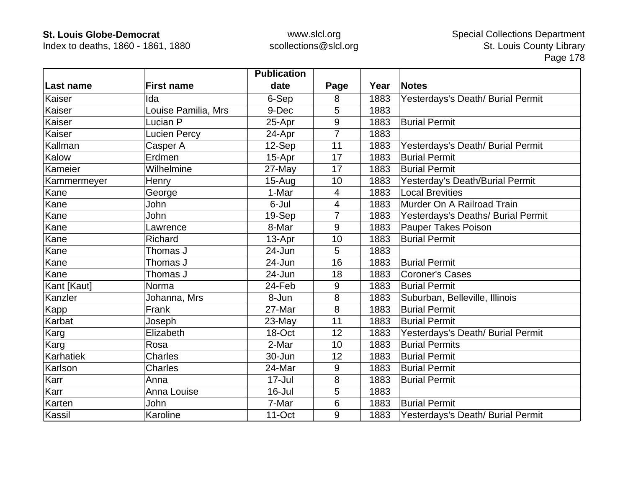Index to deaths, 1860 - 1861, 1880

|             |                     | <b>Publication</b> |                |      |                                    |
|-------------|---------------------|--------------------|----------------|------|------------------------------------|
| Last name   | <b>First name</b>   | date               | Page           | Year | <b>Notes</b>                       |
| Kaiser      | Ida                 | 6-Sep              | 8              | 1883 | Yesterdays's Death/ Burial Permit  |
| Kaiser      | Louise Pamilia, Mrs | 9-Dec              | 5              | 1883 |                                    |
| Kaiser      | Lucian P            | 25-Apr             | 9              | 1883 | <b>Burial Permit</b>               |
| Kaiser      | <b>Lucien Percy</b> | 24-Apr             | $\overline{7}$ | 1883 |                                    |
| Kallman     | Casper A            | 12-Sep             | 11             | 1883 | Yesterdays's Death/ Burial Permit  |
| Kalow       | Erdmen              | 15-Apr             | 17             | 1883 | <b>Burial Permit</b>               |
| Kameier     | Wilhelmine          | 27-May             | 17             | 1883 | <b>Burial Permit</b>               |
| Kammermeyer | Henry               | $15-Auq$           | 10             | 1883 | Yesterday's Death/Burial Permit    |
| Kane        | George              | 1-Mar              | $\overline{4}$ | 1883 | <b>Local Brevities</b>             |
| Kane        | John                | 6-Jul              | $\overline{4}$ | 1883 | Murder On A Railroad Train         |
| Kane        | John                | 19-Sep             | 7              | 1883 | Yesterdays's Deaths/ Burial Permit |
| Kane        | Lawrence            | 8-Mar              | 9              | 1883 | <b>Pauper Takes Poison</b>         |
| Kane        | Richard             | 13-Apr             | 10             | 1883 | <b>Burial Permit</b>               |
| Kane        | Thomas J            | 24-Jun             | 5              | 1883 |                                    |
| Kane        | Thomas J            | 24-Jun             | 16             | 1883 | <b>Burial Permit</b>               |
| Kane        | Thomas J            | 24-Jun             | 18             | 1883 | <b>Coroner's Cases</b>             |
| Kant [Kaut] | Norma               | 24-Feb             | 9              | 1883 | <b>Burial Permit</b>               |
| Kanzler     | Johanna, Mrs        | 8-Jun              | 8              | 1883 | Suburban, Belleville, Illinois     |
| Kapp        | Frank               | 27-Mar             | 8              | 1883 | <b>Burial Permit</b>               |
| Karbat      | Joseph              | 23-May             | 11             | 1883 | <b>Burial Permit</b>               |
| Karg        | Elizabeth           | 18-Oct             | 12             | 1883 | Yesterdays's Death/ Burial Permit  |
| Karg        | Rosa                | 2-Mar              | 10             | 1883 | <b>Burial Permits</b>              |
| Karhatiek   | Charles             | 30-Jun             | 12             | 1883 | <b>Burial Permit</b>               |
| Karlson     | <b>Charles</b>      | 24-Mar             | 9              | 1883 | <b>Burial Permit</b>               |
| Karr        | Anna                | $17 -$ Jul         | 8              | 1883 | <b>Burial Permit</b>               |
| Karr        | Anna Louise         | 16-Jul             | 5              | 1883 |                                    |
| Karten      | John                | 7-Mar              | 6              | 1883 | <b>Burial Permit</b>               |
| Kassil      | Karoline            | 11-Oct             | 9              | 1883 | Yesterdays's Death/ Burial Permit  |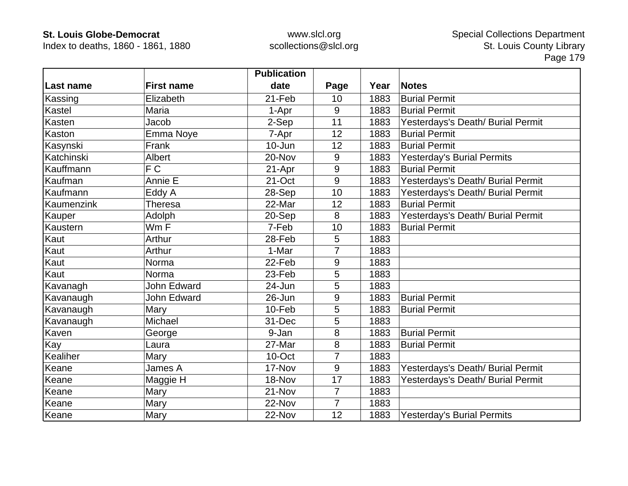Index to deaths, 1860 - 1861, 1880

|            |                    | <b>Publication</b> |                |      |                                   |
|------------|--------------------|--------------------|----------------|------|-----------------------------------|
| Last name  | <b>First name</b>  | date               | Page           | Year | <b>Notes</b>                      |
| Kassing    | Elizabeth          | 21-Feb             | 10             | 1883 | <b>Burial Permit</b>              |
| Kastel     | Maria              | 1-Apr              | 9              | 1883 | <b>Burial Permit</b>              |
| Kasten     | Jacob              | 2-Sep              | 11             | 1883 | Yesterdays's Death/ Burial Permit |
| Kaston     | Emma Noye          | 7-Apr              | 12             | 1883 | <b>Burial Permit</b>              |
| Kasynski   | Frank              | $10 - Jun$         | 12             | 1883 | <b>Burial Permit</b>              |
| Katchinski | Albert             | 20-Nov             | 9              | 1883 | <b>Yesterday's Burial Permits</b> |
| Kauffmann  | F C                | 21-Apr             | 9              | 1883 | <b>Burial Permit</b>              |
| Kaufman    | Annie E            | 21-Oct             | 9              | 1883 | Yesterdays's Death/ Burial Permit |
| Kaufmann   | Eddy A             | 28-Sep             | 10             | 1883 | Yesterdays's Death/ Burial Permit |
| Kaumenzink | Theresa            | 22-Mar             | 12             | 1883 | <b>Burial Permit</b>              |
| Kauper     | Adolph             | 20-Sep             | 8              | 1883 | Yesterdays's Death/ Burial Permit |
| Kaustern   | Wm F               | 7-Feb              | 10             | 1883 | <b>Burial Permit</b>              |
| Kaut       | Arthur             | 28-Feb             | 5              | 1883 |                                   |
| Kaut       | Arthur             | 1-Mar              | $\overline{7}$ | 1883 |                                   |
| Kaut       | Norma              | 22-Feb             | 9              | 1883 |                                   |
| Kaut       | Norma              | 23-Feb             | 5              | 1883 |                                   |
| Kavanagh   | <b>John Edward</b> | 24-Jun             | 5              | 1883 |                                   |
| Kavanaugh  | John Edward        | 26-Jun             | 9              | 1883 | <b>Burial Permit</b>              |
| Kavanaugh  | Mary               | 10-Feb             | 5              | 1883 | <b>Burial Permit</b>              |
| Kavanaugh  | Michael            | 31-Dec             | 5              | 1883 |                                   |
| Kaven      | George             | 9-Jan              | 8              | 1883 | <b>Burial Permit</b>              |
| Kay        | Laura              | 27-Mar             | 8              | 1883 | <b>Burial Permit</b>              |
| Kealiher   | Mary               | 10-Oct             | $\overline{7}$ | 1883 |                                   |
| Keane      | James A            | 17-Nov             | 9              | 1883 | Yesterdays's Death/ Burial Permit |
| Keane      | Maggie H           | 18-Nov             | 17             | 1883 | Yesterdays's Death/ Burial Permit |
| Keane      | Mary               | 21-Nov             | $\overline{7}$ | 1883 |                                   |
| Keane      | Mary               | 22-Nov             | $\overline{7}$ | 1883 |                                   |
| Keane      | Mary               | 22-Nov             | 12             | 1883 | <b>Yesterday's Burial Permits</b> |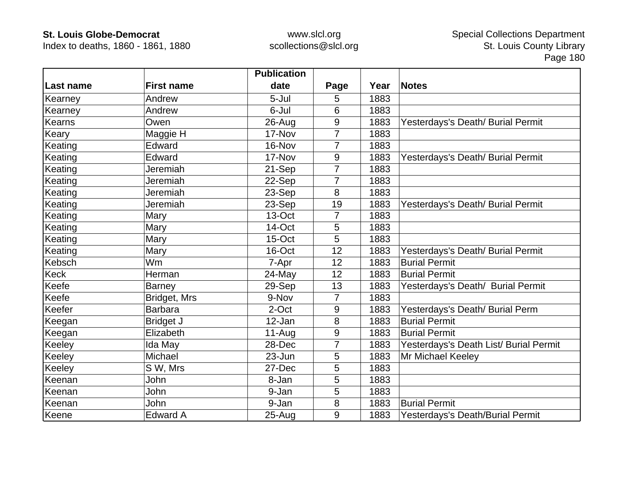Index to deaths, 1860 - 1861, 1880

|           |                   | <b>Publication</b> |                |      |                                        |
|-----------|-------------------|--------------------|----------------|------|----------------------------------------|
| Last name | <b>First name</b> | date               | Page           | Year | <b>Notes</b>                           |
| Kearney   | Andrew            | 5-Jul              | 5              | 1883 |                                        |
| Kearney   | Andrew            | 6-Jul              | 6              | 1883 |                                        |
| Kearns    | Owen              | $26$ -Aug          | 9              | 1883 | Yesterdays's Death/ Burial Permit      |
| Keary     | Maggie H          | 17-Nov             | 7              | 1883 |                                        |
| Keating   | Edward            | 16-Nov             | 7              | 1883 |                                        |
| Keating   | Edward            | 17-Nov             | 9              | 1883 | Yesterdays's Death/ Burial Permit      |
| Keating   | Jeremiah          | 21-Sep             | 7              | 1883 |                                        |
| Keating   | Jeremiah          | 22-Sep             | 7              | 1883 |                                        |
| Keating   | Jeremiah          | 23-Sep             | 8              | 1883 |                                        |
| Keating   | Jeremiah          | 23-Sep             | 19             | 1883 | Yesterdays's Death/ Burial Permit      |
| Keating   | Mary              | 13-Oct             | 7              | 1883 |                                        |
| Keating   | Mary              | 14-Oct             | 5              | 1883 |                                        |
| Keating   | Mary              | 15-Oct             | 5              | 1883 |                                        |
| Keating   | Mary              | 16-Oct             | 12             | 1883 | Yesterdays's Death/ Burial Permit      |
| Kebsch    | <b>Wm</b>         | 7-Apr              | 12             | 1883 | <b>Burial Permit</b>                   |
| Keck      | Herman            | 24-May             | 12             | 1883 | <b>Burial Permit</b>                   |
| Keefe     | <b>Barney</b>     | $29-Sep$           | 13             | 1883 | Yesterdays's Death/ Burial Permit      |
| Keefe     | Bridget, Mrs      | 9-Nov              | $\overline{7}$ | 1883 |                                        |
| Keefer    | <b>Barbara</b>    | 2-Oct              | 9              | 1883 | Yesterdays's Death/ Burial Perm        |
| Keegan    | <b>Bridget J</b>  | 12-Jan             | 8              | 1883 | <b>Burial Permit</b>                   |
| Keegan    | Elizabeth         | $11-Aug$           | $9\,$          | 1883 | <b>Burial Permit</b>                   |
| Keeley    | Ida May           | 28-Dec             | 7              | 1883 | Yesterdays's Death List/ Burial Permit |
| Keeley    | Michael           | 23-Jun             | 5              | 1883 | Mr Michael Keeley                      |
| Keeley    | S W, Mrs          | 27-Dec             | 5              | 1883 |                                        |
| Keenan    | John              | 8-Jan              | 5              | 1883 |                                        |
| Keenan    | John              | 9-Jan              | 5              | 1883 |                                        |
| Keenan    | John              | 9-Jan              | 8              | 1883 | <b>Burial Permit</b>                   |
| Keene     | <b>Edward A</b>   | $25 - Aug$         | 9              | 1883 | Yesterdays's Death/Burial Permit       |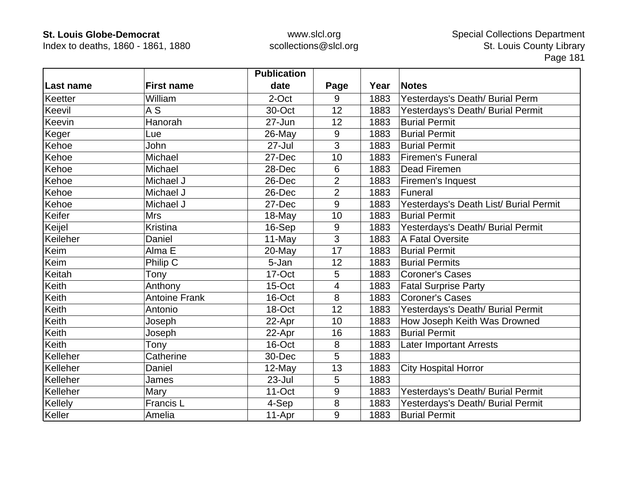Index to deaths, 1860 - 1861, 1880

|           |                      | <b>Publication</b> |                |      |                                        |
|-----------|----------------------|--------------------|----------------|------|----------------------------------------|
| Last name | <b>First name</b>    | date               | Page           | Year | <b>Notes</b>                           |
| Keetter   | William              | 2-Oct              | 9              | 1883 | Yesterdays's Death/ Burial Perm        |
| Keevil    | A <sub>S</sub>       | 30-Oct             | 12             | 1883 | Yesterdays's Death/ Burial Permit      |
| Keevin    | Hanorah              | 27-Jun             | 12             | 1883 | <b>Burial Permit</b>                   |
| Keger     | Lue                  | 26-May             | 9              | 1883 | <b>Burial Permit</b>                   |
| Kehoe     | John                 | 27-Jul             | 3              | 1883 | <b>Burial Permit</b>                   |
| Kehoe     | Michael              | 27-Dec             | 10             | 1883 | <b>Firemen's Funeral</b>               |
| Kehoe     | Michael              | 28-Dec             | 6              | 1883 | <b>Dead Firemen</b>                    |
| Kehoe     | Michael J            | 26-Dec             | $\overline{2}$ | 1883 | Firemen's Inquest                      |
| Kehoe     | Michael J            | 26-Dec             | $\overline{2}$ | 1883 | Funeral                                |
| Kehoe     | Michael J            | 27-Dec             | 9              | 1883 | Yesterdays's Death List/ Burial Permit |
| Keifer    | <b>Mrs</b>           | 18-May             | 10             | 1883 | <b>Burial Permit</b>                   |
| Keijel    | <b>Kristina</b>      | 16-Sep             | 9              | 1883 | Yesterdays's Death/ Burial Permit      |
| Keileher  | Daniel               | 11-May             | 3              | 1883 | A Fatal Oversite                       |
| Keim      | Alma E               | 20-May             | 17             | 1883 | <b>Burial Permit</b>                   |
| Keim      | Philip C             | 5-Jan              | 12             | 1883 | <b>Burial Permits</b>                  |
| Keitah    | Tony                 | 17-Oct             | 5              | 1883 | <b>Coroner's Cases</b>                 |
| Keith     | Anthony              | 15-Oct             | 4              | 1883 | <b>Fatal Surprise Party</b>            |
| Keith     | <b>Antoine Frank</b> | 16-Oct             | 8              | 1883 | <b>Coroner's Cases</b>                 |
| Keith     | Antonio              | 18-Oct             | 12             | 1883 | Yesterdays's Death/ Burial Permit      |
| Keith     | Joseph               | 22-Apr             | 10             | 1883 | How Joseph Keith Was Drowned           |
| Keith     | Joseph               | 22-Apr             | 16             | 1883 | <b>Burial Permit</b>                   |
| Keith     | Tony                 | 16-Oct             | 8              | 1883 | <b>Later Important Arrests</b>         |
| Kelleher  | Catherine            | 30-Dec             | 5              | 1883 |                                        |
| Kelleher  | Daniel               | 12-May             | 13             | 1883 | <b>City Hospital Horror</b>            |
| Kelleher  | James                | 23-Jul             | 5              | 1883 |                                        |
| Kelleher  | Mary                 | $11$ -Oct          | 9              | 1883 | Yesterdays's Death/ Burial Permit      |
| Kellely   | Francis L            | 4-Sep              | 8              | 1883 | Yesterdays's Death/ Burial Permit      |
| Keller    | Amelia               | 11-Apr             | 9              | 1883 | <b>Burial Permit</b>                   |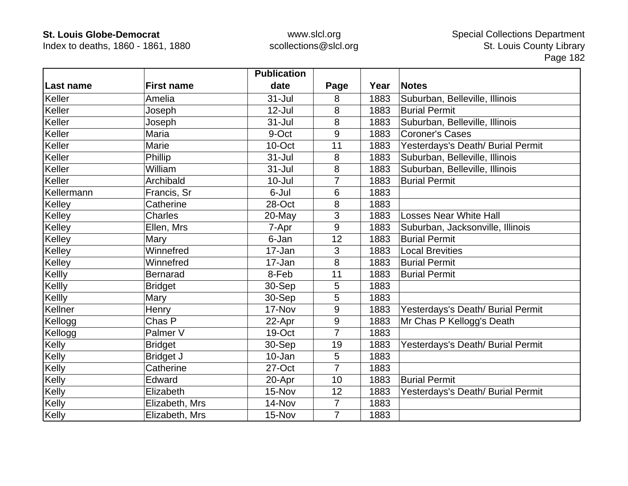Index to deaths, 1860 - 1861, 1880

|            |                   | <b>Publication</b> |                |      |                                   |
|------------|-------------------|--------------------|----------------|------|-----------------------------------|
| Last name  | <b>First name</b> | date               | Page           | Year | <b>Notes</b>                      |
| Keller     | Amelia            | $31 -$ Jul         | 8              | 1883 | Suburban, Belleville, Illinois    |
| Keller     | Joseph            | $12$ -Jul          | 8              | 1883 | <b>Burial Permit</b>              |
| Keller     | Joseph            | 31-Jul             | 8              | 1883 | Suburban, Belleville, Illinois    |
| Keller     | Maria             | 9-Oct              | 9              | 1883 | <b>Coroner's Cases</b>            |
| Keller     | Marie             | 10-Oct             | 11             | 1883 | Yesterdays's Death/ Burial Permit |
| Keller     | Phillip           | $31 -$ Jul         | 8              | 1883 | Suburban, Belleville, Illinois    |
| Keller     | William           | $31 -$ Jul         | 8              | 1883 | Suburban, Belleville, Illinois    |
| Keller     | Archibald         | $10 -$ Jul         | 7              | 1883 | <b>Burial Permit</b>              |
| Kellermann | Francis, Sr       | 6-Jul              | 6              | 1883 |                                   |
| Kelley     | Catherine         | 28-Oct             | 8              | 1883 |                                   |
| Kelley     | <b>Charles</b>    | 20-May             | 3              | 1883 | <b>Losses Near White Hall</b>     |
| Kelley     | Ellen, Mrs        | 7-Apr              | 9              | 1883 | Suburban, Jacksonville, Illinois  |
| Kelley     | Mary              | 6-Jan              | 12             | 1883 | <b>Burial Permit</b>              |
| Kelley     | Winnefred         | 17-Jan             | 3              | 1883 | <b>Local Brevities</b>            |
| Kelley     | Winnefred         | 17-Jan             | 8              | 1883 | <b>Burial Permit</b>              |
| Kellly     | <b>Bernarad</b>   | 8-Feb              | 11             | 1883 | <b>Burial Permit</b>              |
| Kellly     | <b>Bridget</b>    | 30-Sep             | 5              | 1883 |                                   |
| Kellly     | Mary              | 30-Sep             | 5              | 1883 |                                   |
| Kellner    | Henry             | 17-Nov             | 9              | 1883 | Yesterdays's Death/ Burial Permit |
| Kellogg    | Chas P            | 22-Apr             | $9\,$          | 1883 | Mr Chas P Kellogg's Death         |
| Kellogg    | Palmer V          | 19-Oct             | $\overline{7}$ | 1883 |                                   |
| Kelly      | <b>Bridget</b>    | 30-Sep             | 19             | 1883 | Yesterdays's Death/ Burial Permit |
| Kelly      | <b>Bridget J</b>  | 10-Jan             | 5              | 1883 |                                   |
| Kelly      | Catherine         | 27-Oct             | $\overline{7}$ | 1883 |                                   |
| Kelly      | Edward            | 20-Apr             | 10             | 1883 | <b>Burial Permit</b>              |
| Kelly      | Elizabeth         | 15-Nov             | 12             | 1883 | Yesterdays's Death/ Burial Permit |
| Kelly      | Elizabeth, Mrs    | 14-Nov             | $\overline{7}$ | 1883 |                                   |
| Kelly      | Elizabeth, Mrs    | 15-Nov             | $\overline{7}$ | 1883 |                                   |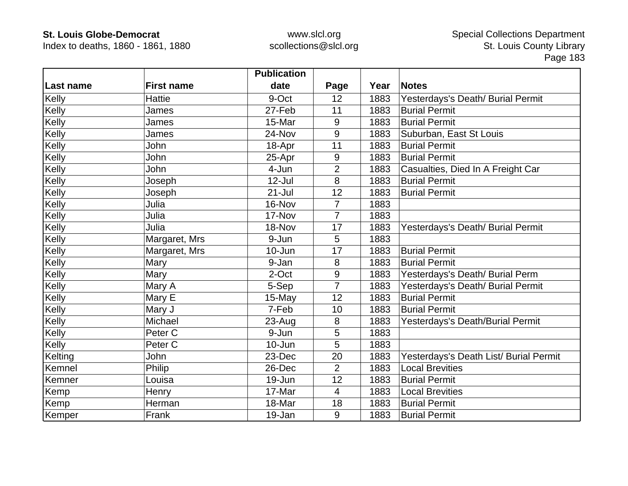Index to deaths, 1860 - 1861, 1880

|           |                    | <b>Publication</b> |                |      |                                        |
|-----------|--------------------|--------------------|----------------|------|----------------------------------------|
| Last name | <b>First name</b>  | date               | Page           | Year | <b>Notes</b>                           |
| Kelly     | <b>Hattie</b>      | 9-Oct              | 12             | 1883 | Yesterdays's Death/ Burial Permit      |
| Kelly     | James              | 27-Feb             | 11             | 1883 | <b>Burial Permit</b>                   |
| Kelly     | James              | 15-Mar             | 9              | 1883 | <b>Burial Permit</b>                   |
| Kelly     | James              | 24-Nov             | 9              | 1883 | Suburban, East St Louis                |
| Kelly     | <b>John</b>        | 18-Apr             | 11             | 1883 | <b>Burial Permit</b>                   |
| Kelly     | John               | 25-Apr             | 9              | 1883 | <b>Burial Permit</b>                   |
| Kelly     | John               | 4-Jun              | $\overline{2}$ | 1883 | Casualties, Died In A Freight Car      |
| Kelly     | Joseph             | 12-Jul             | 8              | 1883 | <b>Burial Permit</b>                   |
| Kelly     | Joseph             | $21 -$ Jul         | 12             | 1883 | <b>Burial Permit</b>                   |
| Kelly     | Julia              | 16-Nov             | $\overline{7}$ | 1883 |                                        |
| Kelly     | Julia              | 17-Nov             | $\overline{7}$ | 1883 |                                        |
| Kelly     | Julia              | 18-Nov             | 17             | 1883 | Yesterdays's Death/ Burial Permit      |
| Kelly     | Margaret, Mrs      | 9-Jun              | 5              | 1883 |                                        |
| Kelly     | Margaret, Mrs      | 10-Jun             | 17             | 1883 | <b>Burial Permit</b>                   |
| Kelly     | Mary               | 9-Jan              | 8              | 1883 | <b>Burial Permit</b>                   |
| Kelly     | Mary               | 2-Oct              | 9              | 1883 | Yesterdays's Death/ Burial Perm        |
| Kelly     | Mary A             | 5-Sep              | $\overline{7}$ | 1883 | Yesterdays's Death/ Burial Permit      |
| Kelly     | Mary E             | 15-May             | 12             | 1883 | <b>Burial Permit</b>                   |
| Kelly     | Mary J             | 7-Feb              | 10             | 1883 | <b>Burial Permit</b>                   |
| Kelly     | Michael            | $23 - Aug$         | 8              | 1883 | Yesterdays's Death/Burial Permit       |
| Kelly     | Peter <sub>C</sub> | 9-Jun              | 5              | 1883 |                                        |
| Kelly     | Peter <sub>C</sub> | 10-Jun             | 5              | 1883 |                                        |
| Kelting   | John               | 23-Dec             | 20             | 1883 | Yesterdays's Death List/ Burial Permit |
| Kemnel    | Philip             | 26-Dec             | $\overline{2}$ | 1883 | <b>Local Brevities</b>                 |
| Kemner    | Louisa             | 19-Jun             | 12             | 1883 | <b>Burial Permit</b>                   |
| Kemp      | Henry              | 17-Mar             | 4              | 1883 | <b>Local Brevities</b>                 |
| Kemp      | Herman             | 18-Mar             | 18             | 1883 | <b>Burial Permit</b>                   |
| Kemper    | Frank              | 19-Jan             | 9              | 1883 | <b>Burial Permit</b>                   |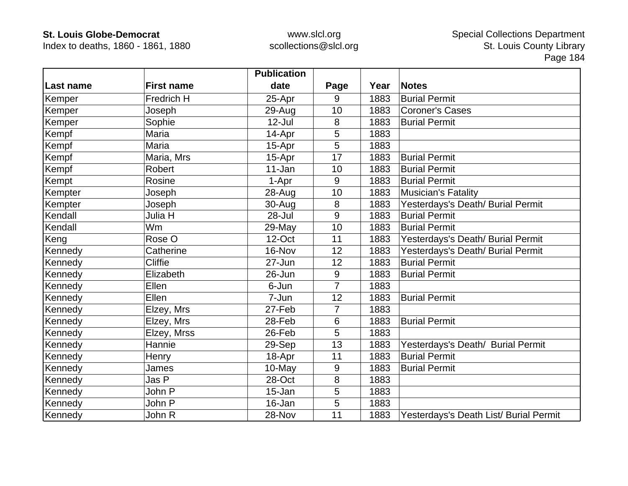Index to deaths, 1860 - 1861, 1880

|                  |                   | <b>Publication</b> |                 |      |                                        |
|------------------|-------------------|--------------------|-----------------|------|----------------------------------------|
| <b>Last name</b> | <b>First name</b> | date               | Page            | Year | <b>Notes</b>                           |
| Kemper           | Fredrich H        | 25-Apr             | 9               | 1883 | <b>Burial Permit</b>                   |
| Kemper           | Joseph            | 29-Aug             | 10              | 1883 | <b>Coroner's Cases</b>                 |
| Kemper           | Sophie            | $12$ -Jul          | 8               | 1883 | <b>Burial Permit</b>                   |
| Kempf            | Maria             | 14-Apr             | 5               | 1883 |                                        |
| Kempf            | Maria             | 15-Apr             | 5               | 1883 |                                        |
| Kempf            | Maria, Mrs        | 15-Apr             | 17              | 1883 | <b>Burial Permit</b>                   |
| Kempf            | Robert            | 11-Jan             | 10              | 1883 | <b>Burial Permit</b>                   |
| Kempt            | Rosine            | 1-Apr              | 9               | 1883 | <b>Burial Permit</b>                   |
| Kempter          | Joseph            | 28-Aug             | 10              | 1883 | <b>Musician's Fatality</b>             |
| Kempter          | Joseph            | 30-Aug             | 8               | 1883 | Yesterdays's Death/ Burial Permit      |
| Kendall          | Julia H           | 28-Jul             | 9               | 1883 | <b>Burial Permit</b>                   |
| Kendall          | <b>Wm</b>         | 29-May             | 10              | 1883 | <b>Burial Permit</b>                   |
| Keng             | Rose O            | 12-Oct             | 11              | 1883 | Yesterdays's Death/ Burial Permit      |
| Kennedy          | Catherine         | 16-Nov             | 12              | 1883 | Yesterdays's Death/ Burial Permit      |
| Kennedy          | <b>Cliffie</b>    | 27-Jun             | 12              | 1883 | <b>Burial Permit</b>                   |
| Kennedy          | Elizabeth         | 26-Jun             | 9               | 1883 | <b>Burial Permit</b>                   |
| Kennedy          | Ellen             | 6-Jun              | 7               | 1883 |                                        |
| Kennedy          | Ellen             | 7-Jun              | 12              | 1883 | <b>Burial Permit</b>                   |
| Kennedy          | Elzey, Mrs        | 27-Feb             | 7               | 1883 |                                        |
| Kennedy          | Elzey, Mrs        | 28-Feb             | $6\phantom{1}6$ | 1883 | <b>Burial Permit</b>                   |
| Kennedy          | Elzey, Mrss       | 26-Feb             | 5               | 1883 |                                        |
| Kennedy          | Hannie            | 29-Sep             | 13              | 1883 | Yesterdays's Death/ Burial Permit      |
| Kennedy          | Henry             | 18-Apr             | 11              | 1883 | <b>Burial Permit</b>                   |
| Kennedy          | James             | 10-May             | 9               | 1883 | <b>Burial Permit</b>                   |
| Kennedy          | Jas P             | 28-Oct             | 8               | 1883 |                                        |
| Kennedy          | John P            | 15-Jan             | 5               | 1883 |                                        |
| Kennedy          | John P            | 16-Jan             | 5               | 1883 |                                        |
| Kennedy          | John R            | 28-Nov             | 11              | 1883 | Yesterdays's Death List/ Burial Permit |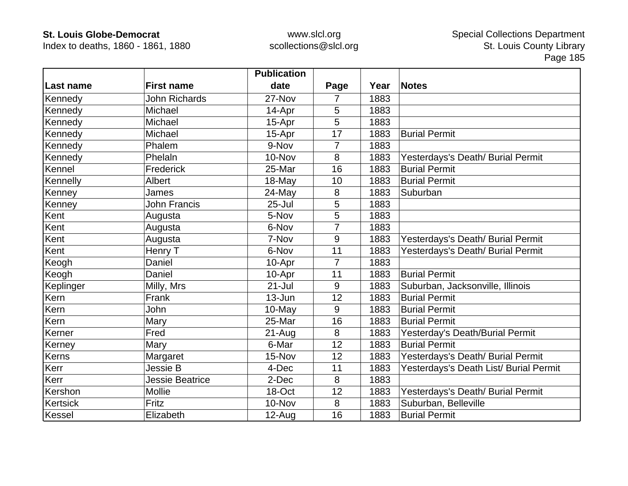Index to deaths, 1860 - 1861, 1880

|                 |                        | <b>Publication</b> |                |      |                                        |
|-----------------|------------------------|--------------------|----------------|------|----------------------------------------|
| Last name       | <b>First name</b>      | date               | Page           | Year | <b>Notes</b>                           |
| Kennedy         | <b>John Richards</b>   | 27-Nov             | 7              | 1883 |                                        |
| Kennedy         | Michael                | 14-Apr             | 5              | 1883 |                                        |
| Kennedy         | Michael                | 15-Apr             | 5              | 1883 |                                        |
| Kennedy         | Michael                | 15-Apr             | 17             | 1883 | <b>Burial Permit</b>                   |
| Kennedy         | Phalem                 | 9-Nov              | 7              | 1883 |                                        |
| Kennedy         | Phelaln                | 10-Nov             | 8              | 1883 | Yesterdays's Death/ Burial Permit      |
| Kennel          | Frederick              | 25-Mar             | 16             | 1883 | <b>Burial Permit</b>                   |
| Kennelly        | Albert                 | 18-May             | 10             | 1883 | <b>Burial Permit</b>                   |
| Kenney          | James                  | 24-May             | 8              | 1883 | Suburban                               |
| Kenney          | <b>John Francis</b>    | $25 -$ Jul         | 5              | 1883 |                                        |
| Kent            | Augusta                | 5-Nov              | 5              | 1883 |                                        |
| Kent            | Augusta                | 6-Nov              | $\overline{7}$ | 1883 |                                        |
| Kent            | Augusta                | 7-Nov              | 9              | 1883 | Yesterdays's Death/ Burial Permit      |
| Kent            | Henry T                | 6-Nov              | 11             | 1883 | Yesterdays's Death/ Burial Permit      |
| Keogh           | Daniel                 | 10-Apr             | 7              | 1883 |                                        |
| Keogh           | Daniel                 | 10-Apr             | 11             | 1883 | <b>Burial Permit</b>                   |
| Keplinger       | Milly, Mrs             | $21 -$ Jul         | 9              | 1883 | Suburban, Jacksonville, Illinois       |
| Kern            | Frank                  | $13 - Jun$         | 12             | 1883 | <b>Burial Permit</b>                   |
| Kern            | John                   | $10$ -May          | 9              | 1883 | <b>Burial Permit</b>                   |
| Kern            | Mary                   | 25-Mar             | 16             | 1883 | <b>Burial Permit</b>                   |
| Kerner          | Fred                   | $21 - Aug$         | 8              | 1883 | Yesterday's Death/Burial Permit        |
| Kerney          | Mary                   | 6-Mar              | 12             | 1883 | <b>Burial Permit</b>                   |
| Kerns           | Margaret               | 15-Nov             | 12             | 1883 | Yesterdays's Death/ Burial Permit      |
| Kerr            | Jessie B               | 4-Dec              | 11             | 1883 | Yesterdays's Death List/ Burial Permit |
| Kerr            | <b>Jessie Beatrice</b> | 2-Dec              | 8              | 1883 |                                        |
| Kershon         | <b>Mollie</b>          | 18-Oct             | 12             | 1883 | Yesterdays's Death/ Burial Permit      |
| <b>Kertsick</b> | Fritz                  | 10-Nov             | 8              | 1883 | Suburban, Belleville                   |
| Kessel          | Elizabeth              | $12-Auq$           | 16             | 1883 | <b>Burial Permit</b>                   |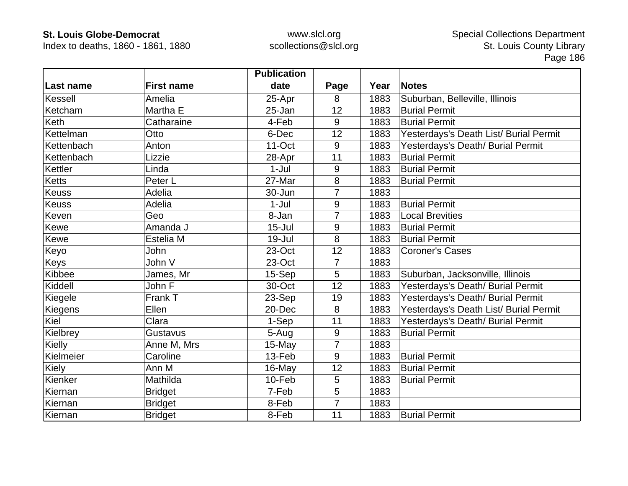Index to deaths, 1860 - 1861, 1880

|              |                   | <b>Publication</b> |                |      |                                        |
|--------------|-------------------|--------------------|----------------|------|----------------------------------------|
| Last name    | <b>First name</b> | date               | Page           | Year | <b>Notes</b>                           |
| Kessell      | Amelia            | 25-Apr             | 8              | 1883 | Suburban, Belleville, Illinois         |
| Ketcham      | Martha E          | 25-Jan             | 12             | 1883 | <b>Burial Permit</b>                   |
| Keth         | Catharaine        | 4-Feb              | 9              | 1883 | <b>Burial Permit</b>                   |
| Kettelman    | Otto              | 6-Dec              | 12             | 1883 | Yesterdays's Death List/ Burial Permit |
| Kettenbach   | Anton             | $11$ -Oct          | 9              | 1883 | Yesterdays's Death/ Burial Permit      |
| Kettenbach   | Lizzie            | 28-Apr             | 11             | 1883 | <b>Burial Permit</b>                   |
| Kettler      | Linda             | $1-Jul$            | 9              | 1883 | <b>Burial Permit</b>                   |
| Ketts        | Peter L           | 27-Mar             | 8              | 1883 | <b>Burial Permit</b>                   |
| <b>Keuss</b> | Adelia            | 30-Jun             | 7              | 1883 |                                        |
| Keuss        | Adelia            | $1-Jul$            | 9              | 1883 | <b>Burial Permit</b>                   |
| Keven        | Geo               | 8-Jan              | 7              | 1883 | <b>Local Brevities</b>                 |
| Kewe         | Amanda J          | $15 -$ Jul         | 9              | 1883 | <b>Burial Permit</b>                   |
| Kewe         | Estelia M         | $19 -$ Jul         | 8              | 1883 | <b>Burial Permit</b>                   |
| Keyo         | John              | 23-Oct             | 12             | 1883 | <b>Coroner's Cases</b>                 |
| Keys         | John V            | 23-Oct             | 7              | 1883 |                                        |
| Kibbee       | James, Mr         | 15-Sep             | 5              | 1883 | Suburban, Jacksonville, Illinois       |
| Kiddell      | John F            | 30-Oct             | 12             | 1883 | Yesterdays's Death/ Burial Permit      |
| Kiegele      | Frank T           | 23-Sep             | 19             | 1883 | Yesterdays's Death/ Burial Permit      |
| Kiegens      | Ellen             | 20-Dec             | 8              | 1883 | Yesterdays's Death List/ Burial Permit |
| Kiel         | Clara             | 1-Sep              | 11             | 1883 | Yesterdays's Death/ Burial Permit      |
| Kielbrey     | Gustavus          | 5-Aug              | 9              | 1883 | <b>Burial Permit</b>                   |
| Kielly       | Anne M, Mrs       | 15-May             | $\overline{7}$ | 1883 |                                        |
| Kielmeier    | Caroline          | 13-Feb             | 9              | 1883 | <b>Burial Permit</b>                   |
| Kiely        | Ann M             | 16-May             | 12             | 1883 | <b>Burial Permit</b>                   |
| Kienker      | Mathilda          | 10-Feb             | 5              | 1883 | <b>Burial Permit</b>                   |
| Kiernan      | <b>Bridget</b>    | 7-Feb              | 5              | 1883 |                                        |
| Kiernan      | <b>Bridget</b>    | 8-Feb              | $\overline{7}$ | 1883 |                                        |
| Kiernan      | <b>Bridget</b>    | 8-Feb              | 11             | 1883 | <b>Burial Permit</b>                   |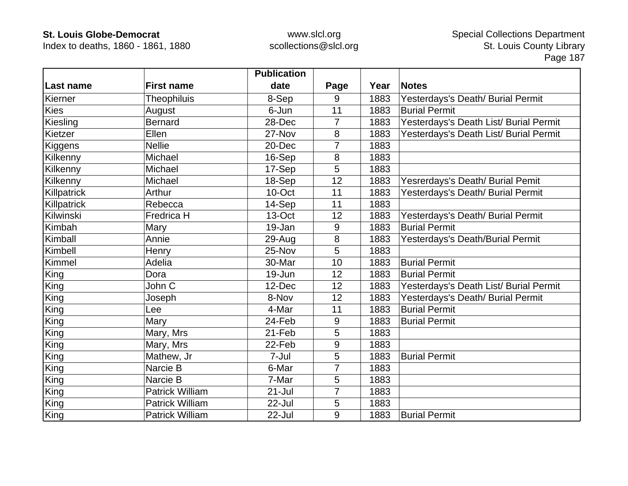Index to deaths, 1860 - 1861, 1880

|             |                        | <b>Publication</b> |                |      |                                        |
|-------------|------------------------|--------------------|----------------|------|----------------------------------------|
| Last name   | <b>First name</b>      | date               | Page           | Year | <b>Notes</b>                           |
| Kierner     | Theophiluis            | 8-Sep              | 9              | 1883 | Yesterdays's Death/ Burial Permit      |
| <b>Kies</b> | August                 | 6-Jun              | 11             | 1883 | <b>Burial Permit</b>                   |
| Kiesling    | <b>Bernard</b>         | 28-Dec             | $\overline{7}$ | 1883 | Yesterdays's Death List/ Burial Permit |
| Kietzer     | Ellen                  | 27-Nov             | 8              | 1883 | Yesterdays's Death List/ Burial Permit |
| Kiggens     | <b>Nellie</b>          | 20-Dec             | 7              | 1883 |                                        |
| Kilkenny    | Michael                | 16-Sep             | 8              | 1883 |                                        |
| Kilkenny    | Michael                | 17-Sep             | 5              | 1883 |                                        |
| Kilkenny    | Michael                | 18-Sep             | 12             | 1883 | Yesrerdays's Death/ Burial Pemit       |
| Killpatrick | Arthur                 | 10-Oct             | 11             | 1883 | Yesterdays's Death/ Burial Permit      |
| Killpatrick | Rebecca                | 14-Sep             | 11             | 1883 |                                        |
| Kilwinski   | Fredrica H             | 13-Oct             | 12             | 1883 | Yesterdays's Death/ Burial Permit      |
| Kimbah      | Mary                   | 19-Jan             | 9              | 1883 | <b>Burial Permit</b>                   |
| Kimball     | Annie                  | 29-Aug             | 8              | 1883 | Yesterdays's Death/Burial Permit       |
| Kimbell     | Henry                  | 25-Nov             | 5              | 1883 |                                        |
| Kimmel      | Adelia                 | 30-Mar             | 10             | 1883 | <b>Burial Permit</b>                   |
| King        | Dora                   | 19-Jun             | 12             | 1883 | <b>Burial Permit</b>                   |
| King        | John C                 | 12-Dec             | 12             | 1883 | Yesterdays's Death List/ Burial Permit |
| King        | Joseph                 | 8-Nov              | 12             | 1883 | Yesterdays's Death/ Burial Permit      |
| King        | Lee                    | 4-Mar              | 11             | 1883 | <b>Burial Permit</b>                   |
| King        | Mary                   | 24-Feb             | 9              | 1883 | <b>Burial Permit</b>                   |
| King        | Mary, Mrs              | 21-Feb             | 5              | 1883 |                                        |
| King        | Mary, Mrs              | 22-Feb             | 9              | 1883 |                                        |
| King        | Mathew, Jr             | 7-Jul              | 5              | 1883 | <b>Burial Permit</b>                   |
| King        | Narcie B               | 6-Mar              | 7              | 1883 |                                        |
| King        | Narcie B               | 7-Mar              | 5              | 1883 |                                        |
| King        | <b>Patrick William</b> | $21 -$ Jul         | $\overline{7}$ | 1883 |                                        |
| King        | <b>Patrick William</b> | 22-Jul             | 5              | 1883 |                                        |
| King        | <b>Patrick William</b> | 22-Jul             | 9              | 1883 | <b>Burial Permit</b>                   |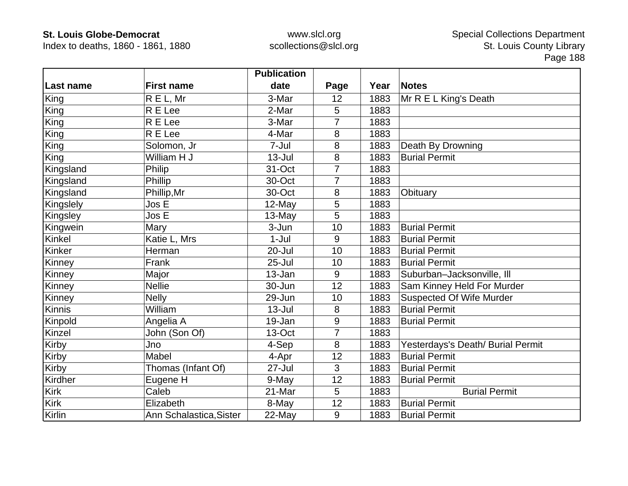Index to deaths, 1860 - 1861, 1880

|               |                         | <b>Publication</b> |      |      |                                   |
|---------------|-------------------------|--------------------|------|------|-----------------------------------|
| Last name     | <b>First name</b>       | date               | Page | Year | <b>Notes</b>                      |
| King          | R E L, Mr               | 3-Mar              | 12   | 1883 | Mr R E L King's Death             |
| King          | R E Lee                 | 2-Mar              | 5    | 1883 |                                   |
| King          | R E Lee                 | 3-Mar              |      | 1883 |                                   |
| King          | R E Lee                 | 4-Mar              | 8    | 1883 |                                   |
| King          | Solomon, Jr             | 7-Jul              | 8    | 1883 | Death By Drowning                 |
| King          | William H J             | $13 -$ Jul         | 8    | 1883 | <b>Burial Permit</b>              |
| Kingsland     | Philip                  | 31-Oct             | 7    | 1883 |                                   |
| Kingsland     | Phillip                 | 30-Oct             | 7    | 1883 |                                   |
| Kingsland     | Phillip, Mr             | 30-Oct             | 8    | 1883 | Obituary                          |
| Kingslely     | Jos E                   | 12-May             | 5    | 1883 |                                   |
| Kingsley      | Jos E                   | 13-May             | 5    | 1883 |                                   |
| Kingwein      | Mary                    | 3-Jun              | 10   | 1883 | <b>Burial Permit</b>              |
| Kinkel        | Katie L, Mrs            | $1-Jul$            | 9    | 1883 | <b>Burial Permit</b>              |
| Kinker        | Herman                  | 20-Jul             | 10   | 1883 | <b>Burial Permit</b>              |
| Kinney        | Frank                   | $25 -$ Jul         | 10   | 1883 | <b>Burial Permit</b>              |
| Kinney        | Major                   | 13-Jan             | 9    | 1883 | Suburban-Jacksonville, III        |
| Kinney        | <b>Nellie</b>           | 30-Jun             | 12   | 1883 | Sam Kinney Held For Murder        |
| Kinney        | <b>Nelly</b>            | 29-Jun             | 10   | 1883 | <b>Suspected Of Wife Murder</b>   |
| <b>Kinnis</b> | William                 | $13 -$ Jul         | 8    | 1883 | <b>Burial Permit</b>              |
| Kinpold       | Angelia A               | 19-Jan             | 9    | 1883 | <b>Burial Permit</b>              |
| Kinzel        | John (Son Of)           | 13-Oct             | 7    | 1883 |                                   |
| Kirby         | Jno                     | 4-Sep              | 8    | 1883 | Yesterdays's Death/ Burial Permit |
| Kirby         | Mabel                   | 4-Apr              | 12   | 1883 | <b>Burial Permit</b>              |
| Kirby         | Thomas (Infant Of)      | 27-Jul             | 3    | 1883 | <b>Burial Permit</b>              |
| Kirdher       | Eugene H                | 9-May              | 12   | 1883 | <b>Burial Permit</b>              |
| Kirk          | Caleb                   | 21-Mar             | 5    | 1883 | <b>Burial Permit</b>              |
| Kirk          | Elizabeth               | 8-May              | 12   | 1883 | <b>Burial Permit</b>              |
| Kirlin        | Ann Schalastica, Sister | 22-May             | 9    | 1883 | <b>Burial Permit</b>              |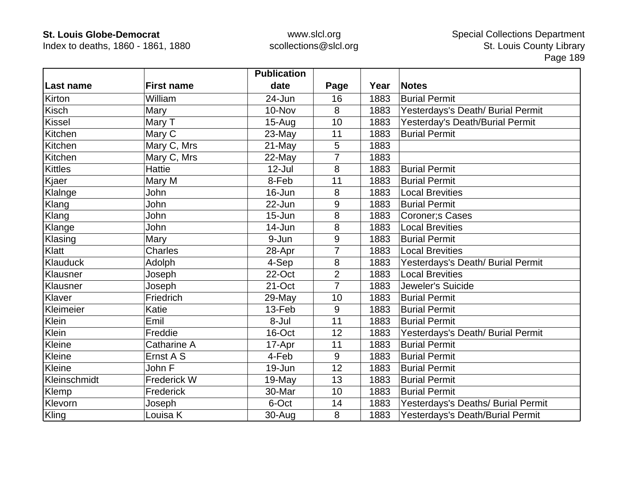Index to deaths, 1860 - 1861, 1880

|                  |                    | <b>Publication</b> |                |      |                                    |
|------------------|--------------------|--------------------|----------------|------|------------------------------------|
| <b>Last name</b> | <b>First name</b>  | date               | Page           | Year | <b>Notes</b>                       |
| Kirton           | William            | 24-Jun             | 16             | 1883 | <b>Burial Permit</b>               |
| <b>Kisch</b>     | Mary               | 10-Nov             | 8              | 1883 | Yesterdays's Death/ Burial Permit  |
| <b>Kissel</b>    | Mary T             | $15-Aug$           | 10             | 1883 | Yesterday's Death/Burial Permit    |
| Kitchen          | Mary C             | 23-May             | 11             | 1883 | <b>Burial Permit</b>               |
| Kitchen          | Mary C, Mrs        | 21-May             | 5              | 1883 |                                    |
| Kitchen          | Mary C, Mrs        | 22-May             | $\overline{7}$ | 1883 |                                    |
| <b>Kittles</b>   | <b>Hattie</b>      | $12$ -Jul          | 8              | 1883 | <b>Burial Permit</b>               |
| Kjaer            | Mary M             | 8-Feb              | 11             | 1883 | <b>Burial Permit</b>               |
| Klalnge          | John               | 16-Jun             | 8              | 1883 | <b>Local Brevities</b>             |
| Klang            | John               | 22-Jun             | 9              | 1883 | <b>Burial Permit</b>               |
| Klang            | John               | $15 - Jun$         | 8              | 1883 | Coroner; s Cases                   |
| Klange           | John               | 14-Jun             | 8              | 1883 | <b>Local Brevities</b>             |
| Klasing          | Mary               | 9-Jun              | 9              | 1883 | <b>Burial Permit</b>               |
| Klatt            | <b>Charles</b>     | 28-Apr             | $\overline{7}$ | 1883 | <b>Local Brevities</b>             |
| Klauduck         | Adolph             | 4-Sep              | 8              | 1883 | Yesterdays's Death/ Burial Permit  |
| Klausner         | Joseph             | 22-Oct             | $\overline{2}$ | 1883 | <b>Local Brevities</b>             |
| Klausner         | Joseph             | 21-Oct             | $\overline{7}$ | 1883 | Jeweler's Suicide                  |
| Klaver           | Friedrich          | 29-May             | 10             | 1883 | <b>Burial Permit</b>               |
| Kleimeier        | Katie              | 13-Feb             | 9              | 1883 | <b>Burial Permit</b>               |
| Klein            | Emil               | 8-Jul              | 11             | 1883 | <b>Burial Permit</b>               |
| Klein            | Freddie            | 16-Oct             | 12             | 1883 | Yesterdays's Death/ Burial Permit  |
| Kleine           | <b>Catharine A</b> | 17-Apr             | 11             | 1883 | <b>Burial Permit</b>               |
| Kleine           | Ernst A S          | 4-Feb              | 9              | 1883 | <b>Burial Permit</b>               |
| Kleine           | John F             | 19-Jun             | 12             | 1883 | <b>Burial Permit</b>               |
| Kleinschmidt     | <b>Frederick W</b> | 19-May             | 13             | 1883 | <b>Burial Permit</b>               |
| Klemp            | Frederick          | 30-Mar             | 10             | 1883 | <b>Burial Permit</b>               |
| Klevorn          | Joseph             | 6-Oct              | 14             | 1883 | Yesterdays's Deaths/ Burial Permit |
| Kling            | Louisa K           | 30-Aug             | 8              | 1883 | Yesterdays's Death/Burial Permit   |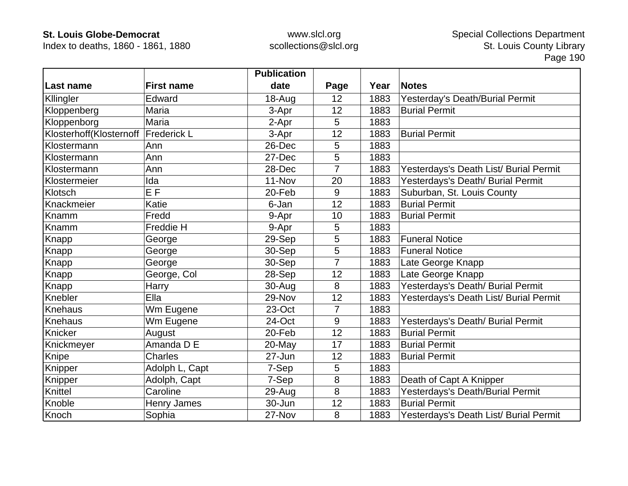Index to deaths, 1860 - 1861, 1880

|                                       |                   | <b>Publication</b> |                |      |                                        |
|---------------------------------------|-------------------|--------------------|----------------|------|----------------------------------------|
| ∣Last name                            | <b>First name</b> | date               | Page           | Year | <b>Notes</b>                           |
| Kllingler                             | Edward            | 18-Aug             | 12             | 1883 | Yesterday's Death/Burial Permit        |
| Kloppenberg                           | Maria             | 3-Apr              | 12             | 1883 | <b>Burial Permit</b>                   |
| Kloppenborg                           | Maria             | 2-Apr              | 5              | 1883 |                                        |
| Klosterhoff(Klosternoff   Frederick L |                   | 3-Apr              | 12             | 1883 | <b>Burial Permit</b>                   |
| Klostermann                           | Ann               | 26-Dec             | 5              | 1883 |                                        |
| Klostermann                           | Ann               | 27-Dec             | 5              | 1883 |                                        |
| Klostermann                           | Ann               | 28-Dec             | 7              | 1883 | Yesterdays's Death List/ Burial Permit |
| Klostermeier                          | Ida               | 11-Nov             | 20             | 1883 | Yesterdays's Death/ Burial Permit      |
| Klotsch                               | E <sub>F</sub>    | 20-Feb             | 9              | 1883 | Suburban, St. Louis County             |
| Knackmeier                            | Katie             | 6-Jan              | 12             | 1883 | <b>Burial Permit</b>                   |
| Knamm                                 | Fredd             | 9-Apr              | 10             | 1883 | <b>Burial Permit</b>                   |
| Knamm                                 | Freddie H         | 9-Apr              | 5              | 1883 |                                        |
| Knapp                                 | George            | 29-Sep             | 5              | 1883 | <b>Funeral Notice</b>                  |
| Knapp                                 | George            | 30-Sep             | 5              | 1883 | <b>Funeral Notice</b>                  |
| <b>Knapp</b>                          | George            | 30-Sep             | 7              | 1883 | Late George Knapp                      |
| Knapp                                 | George, Col       | 28-Sep             | 12             | 1883 | Late George Knapp                      |
| Knapp                                 | Harry             | $30 - Aug$         | 8              | 1883 | Yesterdays's Death/ Burial Permit      |
| Knebler                               | Ella              | 29-Nov             | 12             | 1883 | Yesterdays's Death List/ Burial Permit |
| Knehaus                               | Wm Eugene         | 23-Oct             | $\overline{7}$ | 1883 |                                        |
| <b>Knehaus</b>                        | Wm Eugene         | 24-Oct             | 9              | 1883 | Yesterdays's Death/ Burial Permit      |
| Knicker                               | August            | 20-Feb             | 12             | 1883 | <b>Burial Permit</b>                   |
| Knickmeyer                            | Amanda D E        | 20-May             | 17             | 1883 | <b>Burial Permit</b>                   |
| Knipe                                 | Charles           | 27-Jun             | 12             | 1883 | <b>Burial Permit</b>                   |
| Knipper                               | Adolph L, Capt    | 7-Sep              | 5              | 1883 |                                        |
| Knipper                               | Adolph, Capt      | 7-Sep              | 8              | 1883 | Death of Capt A Knipper                |
| Knittel                               | Caroline          | 29-Aug             | 8              | 1883 | Yesterdays's Death/Burial Permit       |
| Knoble                                | Henry James       | 30-Jun             | 12             | 1883 | <b>Burial Permit</b>                   |
| Knoch                                 | Sophia            | 27-Nov             | 8              | 1883 | Yesterdays's Death List/ Burial Permit |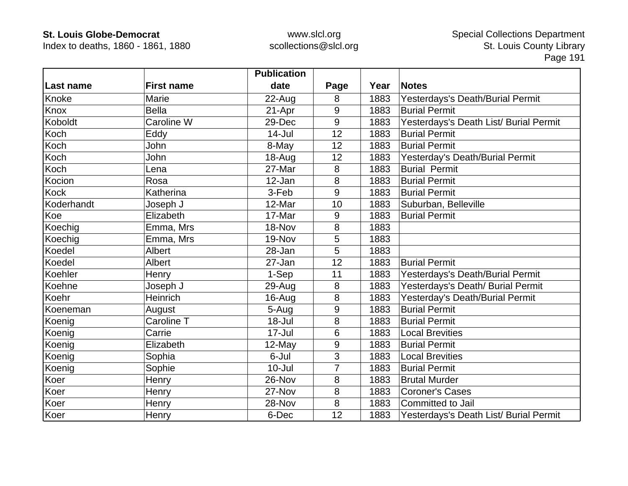Index to deaths, 1860 - 1861, 1880

|            |                   | <b>Publication</b> |      |      |                                        |
|------------|-------------------|--------------------|------|------|----------------------------------------|
| Last name  | <b>First name</b> | date               | Page | Year | <b>Notes</b>                           |
| Knoke      | Marie             | 22-Aug             | 8    | 1883 | Yesterdays's Death/Burial Permit       |
| Knox       | <b>Bella</b>      | 21-Apr             | 9    | 1883 | <b>Burial Permit</b>                   |
| Koboldt    | Caroline W        | 29-Dec             | 9    | 1883 | Yesterdays's Death List/ Burial Permit |
| Koch       | Eddy              | $14 -$ Jul         | 12   | 1883 | <b>Burial Permit</b>                   |
| Koch       | John              | 8-May              | 12   | 1883 | <b>Burial Permit</b>                   |
| Koch       | John              | 18-Aug             | 12   | 1883 | Yesterday's Death/Burial Permit        |
| Koch       | Lena              | 27-Mar             | 8    | 1883 | <b>Burial Permit</b>                   |
| Kocion     | Rosa              | 12-Jan             | 8    | 1883 | <b>Burial Permit</b>                   |
| Kock       | Katherina         | 3-Feb              | 9    | 1883 | <b>Burial Permit</b>                   |
| Koderhandt | Joseph J          | 12-Mar             | 10   | 1883 | Suburban, Belleville                   |
| Koe        | Elizabeth         | 17-Mar             | 9    | 1883 | <b>Burial Permit</b>                   |
| Koechig    | Emma, Mrs         | 18-Nov             | 8    | 1883 |                                        |
| Koechig    | Emma, Mrs         | 19-Nov             | 5    | 1883 |                                        |
| Koedel     | Albert            | 28-Jan             | 5    | 1883 |                                        |
| Koedel     | Albert            | 27-Jan             | 12   | 1883 | <b>Burial Permit</b>                   |
| Koehler    | Henry             | 1-Sep              | 11   | 1883 | Yesterdays's Death/Burial Permit       |
| Koehne     | Joseph J          | 29-Aug             | 8    | 1883 | Yesterdays's Death/ Burial Permit      |
| Koehr      | Heinrich          | 16-Aug             | 8    | 1883 | Yesterday's Death/Burial Permit        |
| Koeneman   | August            | 5-Aug              | 9    | 1883 | <b>Burial Permit</b>                   |
| Koenig     | Caroline T        | $18 -$ Jul         | 8    | 1883 | <b>Burial Permit</b>                   |
| Koenig     | Carrie            | $17 -$ Jul         | 6    | 1883 | <b>Local Brevities</b>                 |
| Koenig     | Elizabeth         | 12-May             | 9    | 1883 | <b>Burial Permit</b>                   |
| Koenig     | Sophia            | 6-Jul              | 3    | 1883 | <b>Local Brevities</b>                 |
| Koenig     | Sophie            | $10 -$ Jul         | 7    | 1883 | <b>Burial Permit</b>                   |
| Koer       | Henry             | 26-Nov             | 8    | 1883 | <b>Brutal Murder</b>                   |
| Koer       | Henry             | 27-Nov             | 8    | 1883 | <b>Coroner's Cases</b>                 |
| Koer       | Henry             | 28-Nov             | 8    | 1883 | Committed to Jail                      |
| Koer       | Henry             | 6-Dec              | 12   | 1883 | Yesterdays's Death List/ Burial Permit |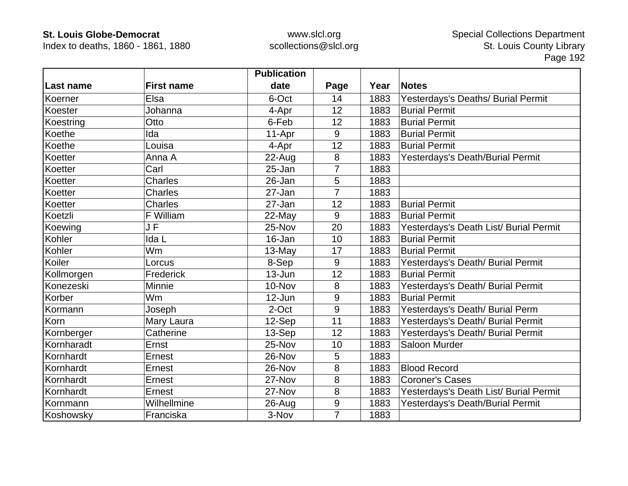Index to deaths, 1860 - 1861, 1880

|            |                   | <b>Publication</b> |                |      |                                        |
|------------|-------------------|--------------------|----------------|------|----------------------------------------|
| Last name  | <b>First name</b> | date               | Page           | Year | <b>Notes</b>                           |
| Koerner    | Elsa              | 6-Oct              | 14             | 1883 | Yesterdays's Deaths/ Burial Permit     |
| Koester    | Johanna           | 4-Apr              | 12             | 1883 | <b>Burial Permit</b>                   |
| Koestring  | Otto              | 6-Feb              | 12             | 1883 | <b>Burial Permit</b>                   |
| Koethe     | Ida               | 11-Apr             | 9              | 1883 | <b>Burial Permit</b>                   |
| Koethe     | Louisa            | 4-Apr              | 12             | 1883 | <b>Burial Permit</b>                   |
| Koetter    | Anna A            | 22-Aug             | 8              | 1883 | Yesterdays's Death/Burial Permit       |
| Koetter    | Carl              | 25-Jan             | 7              | 1883 |                                        |
| Koetter    | <b>Charles</b>    | 26-Jan             | 5              | 1883 |                                        |
| Koetter    | <b>Charles</b>    | 27-Jan             | $\overline{7}$ | 1883 |                                        |
| Koetter    | <b>Charles</b>    | 27-Jan             | 12             | 1883 | <b>Burial Permit</b>                   |
| Koetzli    | F William         | $22$ -May          | 9              | 1883 | <b>Burial Permit</b>                   |
| Koewing    | JF                | 25-Nov             | 20             | 1883 | Yesterdays's Death List/ Burial Permit |
| Kohler     | Ida L             | 16-Jan             | 10             | 1883 | <b>Burial Permit</b>                   |
| Kohler     | Wm                | 13-May             | 17             | 1883 | <b>Burial Permit</b>                   |
| Koiler     | Lorcus            | 8-Sep              | 9              | 1883 | Yesterdays's Death/ Burial Permit      |
| Kollmorgen | Frederick         | $13 - Jun$         | 12             | 1883 | <b>Burial Permit</b>                   |
| Konezeski  | <b>Minnie</b>     | 10-Nov             | 8              | 1883 | Yesterdays's Death/ Burial Permit      |
| Korber     | <b>Wm</b>         | $12$ -Jun          | 9              | 1883 | <b>Burial Permit</b>                   |
| Kormann    | Joseph            | 2-Oct              | 9              | 1883 | Yesterdays's Death/ Burial Perm        |
| Korn       | Mary Laura        | 12-Sep             | 11             | 1883 | Yesterdays's Death/ Burial Permit      |
| Kornberger | Catherine         | 13-Sep             | 12             | 1883 | Yesterdays's Death/ Burial Permit      |
| Kornharadt | Ernst             | 25-Nov             | 10             | 1883 | <b>Saloon Murder</b>                   |
| Kornhardt  | Ernest            | 26-Nov             | 5              | 1883 |                                        |
| Kornhardt  | Ernest            | 26-Nov             | 8              | 1883 | <b>Blood Record</b>                    |
| Kornhardt  | Ernest            | 27-Nov             | 8              | 1883 | <b>Coroner's Cases</b>                 |
| Kornhardt  | Ernest            | 27-Nov             | 8              | 1883 | Yesterdays's Death List/ Burial Permit |
| Kornmann   | Wilhellmine       | 26-Aug             | $9\,$          | 1883 | Yesterdays's Death/Burial Permit       |
| Koshowsky  | Franciska         | 3-Nov              | $\overline{7}$ | 1883 |                                        |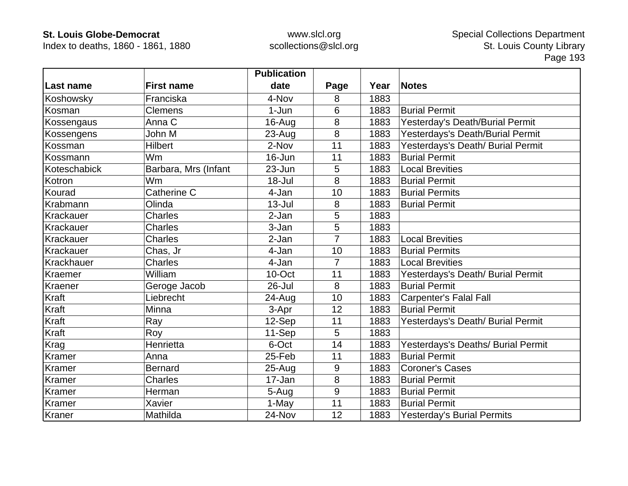Index to deaths, 1860 - 1861, 1880

|              |                      | <b>Publication</b> |      |      |                                    |
|--------------|----------------------|--------------------|------|------|------------------------------------|
| Last name    | <b>First name</b>    | date               | Page | Year | <b>Notes</b>                       |
| Koshowsky    | Franciska            | 4-Nov              | 8    | 1883 |                                    |
| Kosman       | <b>Clemens</b>       | $1-Jun$            | 6    | 1883 | <b>Burial Permit</b>               |
| Kossengaus   | Anna C               | $16$ -Aug          | 8    | 1883 | Yesterday's Death/Burial Permit    |
| Kossengens   | John M               | 23-Aug             | 8    | 1883 | Yesterdays's Death/Burial Permit   |
| Kossman      | <b>Hilbert</b>       | 2-Nov              | 11   | 1883 | Yesterdays's Death/ Burial Permit  |
| Kossmann     | Wm                   | 16-Jun             | 11   | 1883 | <b>Burial Permit</b>               |
| Koteschabick | Barbara, Mrs (Infant | 23-Jun             | 5    | 1883 | <b>Local Brevities</b>             |
| Kotron       | Wm                   | $18 -$ Jul         | 8    | 1883 | <b>Burial Permit</b>               |
| Kourad       | Catherine C          | 4-Jan              | 10   | 1883 | <b>Burial Permits</b>              |
| Krabmann     | Olinda               | $13 -$ Jul         | 8    | 1883 | <b>Burial Permit</b>               |
| Krackauer    | <b>Charles</b>       | 2-Jan              | 5    | 1883 |                                    |
| Krackauer    | <b>Charles</b>       | 3-Jan              | 5    | 1883 |                                    |
| Krackauer    | <b>Charles</b>       | 2-Jan              | 7    | 1883 | <b>Local Brevities</b>             |
| Krackauer    | Chas, Jr             | 4-Jan              | 10   | 1883 | <b>Burial Permits</b>              |
| Krackhauer   | <b>Charles</b>       | 4-Jan              | 7    | 1883 | <b>Local Brevities</b>             |
| Kraemer      | William              | 10-Oct             | 11   | 1883 | Yesterdays's Death/ Burial Permit  |
| Kraener      | Geroge Jacob         | 26-Jul             | 8    | 1883 | <b>Burial Permit</b>               |
| Kraft        | Liebrecht            | 24-Aug             | 10   | 1883 | <b>Carpenter's Falal Fall</b>      |
| Kraft        | Minna                | 3-Apr              | 12   | 1883 | <b>Burial Permit</b>               |
| Kraft        | Ray                  | 12-Sep             | 11   | 1883 | Yesterdays's Death/ Burial Permit  |
| Kraft        | Roy                  | 11-Sep             | 5    | 1883 |                                    |
| Krag         | Henrietta            | 6-Oct              | 14   | 1883 | Yesterdays's Deaths/ Burial Permit |
| Kramer       | Anna                 | 25-Feb             | 11   | 1883 | <b>Burial Permit</b>               |
| Kramer       | <b>Bernard</b>       | $25 - Aug$         | 9    | 1883 | <b>Coroner's Cases</b>             |
| Kramer       | <b>Charles</b>       | 17-Jan             | 8    | 1883 | <b>Burial Permit</b>               |
| Kramer       | Herman               | 5-Aug              | 9    | 1883 | <b>Burial Permit</b>               |
| Kramer       | Xavier               | 1-May              | 11   | 1883 | <b>Burial Permit</b>               |
| Kraner       | Mathilda             | 24-Nov             | 12   | 1883 | <b>Yesterday's Burial Permits</b>  |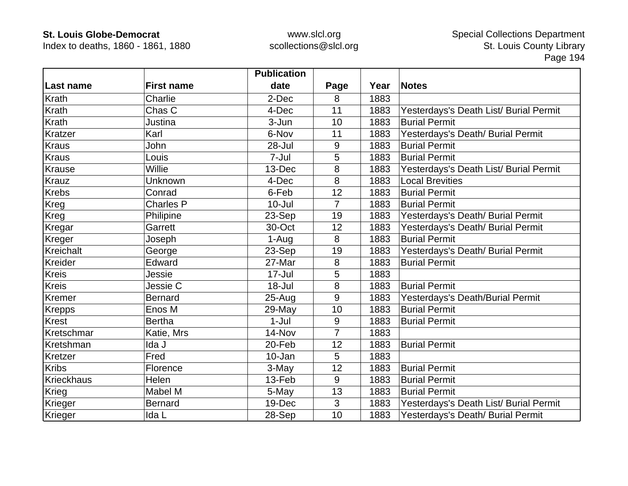Index to deaths, 1860 - 1861, 1880

|                   |                   | <b>Publication</b> |                |      |                                        |
|-------------------|-------------------|--------------------|----------------|------|----------------------------------------|
| Last name         | <b>First name</b> | date               | Page           | Year | <b>Notes</b>                           |
| Krath             | Charlie           | 2-Dec              | 8              | 1883 |                                        |
| Krath             | Chas C            | 4-Dec              | 11             | 1883 | Yesterdays's Death List/ Burial Permit |
| Krath             | Justina           | 3-Jun              | 10             | 1883 | <b>Burial Permit</b>                   |
| Kratzer           | Karl              | 6-Nov              | 11             | 1883 | Yesterdays's Death/ Burial Permit      |
| Kraus             | John              | 28-Jul             | 9              | 1883 | <b>Burial Permit</b>                   |
| Kraus             | Louis             | 7-Jul              | 5              | 1883 | <b>Burial Permit</b>                   |
| <b>Krause</b>     | Willie            | 13-Dec             | 8              | 1883 | Yesterdays's Death List/ Burial Permit |
| <b>Krauz</b>      | Unknown           | 4-Dec              | 8              | 1883 | <b>Local Brevities</b>                 |
| <b>Krebs</b>      | Conrad            | 6-Feb              | 12             | 1883 | <b>Burial Permit</b>                   |
| Kreg              | <b>Charles P</b>  | $10 -$ Jul         | $\overline{7}$ | 1883 | <b>Burial Permit</b>                   |
| Kreg              | Philipine         | 23-Sep             | 19             | 1883 | Yesterdays's Death/ Burial Permit      |
| Kregar            | Garrett           | 30-Oct             | 12             | 1883 | Yesterdays's Death/ Burial Permit      |
| Kreger            | Joseph            | 1-Aug              | 8              | 1883 | <b>Burial Permit</b>                   |
| Kreichalt         | George            | 23-Sep             | 19             | 1883 | Yesterdays's Death/ Burial Permit      |
| Kreider           | Edward            | 27-Mar             | 8              | 1883 | <b>Burial Permit</b>                   |
| <b>Kreis</b>      | Jessie            | $17 -$ Jul         | 5              | 1883 |                                        |
| <b>Kreis</b>      | Jessie C          | 18-Jul             | 8              | 1883 | <b>Burial Permit</b>                   |
| Kremer            | <b>Bernard</b>    | $25 - Aug$         | 9              | 1883 | Yesterdays's Death/Burial Permit       |
| <b>Krepps</b>     | Enos M            | 29-May             | 10             | 1883 | <b>Burial Permit</b>                   |
| <b>Krest</b>      | <b>Bertha</b>     | $1-Jul$            | $9\,$          | 1883 | <b>Burial Permit</b>                   |
| Kretschmar        | Katie, Mrs        | 14-Nov             | $\overline{7}$ | 1883 |                                        |
| Kretshman         | Ida J             | 20-Feb             | 12             | 1883 | <b>Burial Permit</b>                   |
| Kretzer           | Fred              | 10-Jan             | 5              | 1883 |                                        |
| <b>Kribs</b>      | Florence          | 3-May              | 12             | 1883 | <b>Burial Permit</b>                   |
| <b>Krieckhaus</b> | Helen             | 13-Feb             | 9              | 1883 | <b>Burial Permit</b>                   |
| Krieg             | Mabel M           | 5-May              | 13             | 1883 | <b>Burial Permit</b>                   |
| Krieger           | <b>Bernard</b>    | 19-Dec             | 3              | 1883 | Yesterdays's Death List/ Burial Permit |
| Krieger           | Ida L             | 28-Sep             | 10             | 1883 | Yesterdays's Death/ Burial Permit      |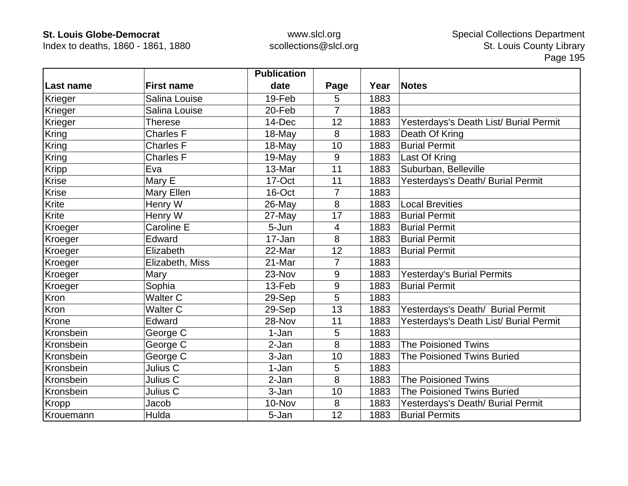Index to deaths, 1860 - 1861, 1880

|              |                   | <b>Publication</b> |                |      |                                        |
|--------------|-------------------|--------------------|----------------|------|----------------------------------------|
| Last name    | <b>First name</b> | date               | Page           | Year | <b>Notes</b>                           |
| Krieger      | Salina Louise     | 19-Feb             | 5              | 1883 |                                        |
| Krieger      | Salina Louise     | 20-Feb             | $\overline{7}$ | 1883 |                                        |
| Krieger      | Therese           | 14-Dec             | 12             | 1883 | Yesterdays's Death List/ Burial Permit |
| Kring        | <b>Charles F</b>  | 18-May             | 8              | 1883 | Death Of Kring                         |
| <b>Kring</b> | <b>Charles F</b>  | 18-May             | 10             | 1883 | <b>Burial Permit</b>                   |
| Kring        | <b>Charles F</b>  | 19-May             | 9              | 1883 | Last Of Kring                          |
| <b>Kripp</b> | Eva               | 13-Mar             | 11             | 1883 | Suburban, Belleville                   |
| Krise        | Mary E            | 17-Oct             | 11             | 1883 | Yesterdays's Death/ Burial Permit      |
| <b>Krise</b> | Mary Ellen        | 16-Oct             | 7              | 1883 |                                        |
| Krite        | Henry W           | 26-May             | 8              | 1883 | <b>Local Brevities</b>                 |
| Krite        | Henry W           | 27-May             | 17             | 1883 | <b>Burial Permit</b>                   |
| Kroeger      | Caroline E        | 5-Jun              | 4              | 1883 | <b>Burial Permit</b>                   |
| Kroeger      | Edward            | 17-Jan             | 8              | 1883 | <b>Burial Permit</b>                   |
| Kroeger      | Elizabeth         | 22-Mar             | 12             | 1883 | <b>Burial Permit</b>                   |
| Kroeger      | Elizabeth, Miss   | 21-Mar             | 7              | 1883 |                                        |
| Kroeger      | Mary              | 23-Nov             | 9              | 1883 | <b>Yesterday's Burial Permits</b>      |
| Kroeger      | Sophia            | 13-Feb             | 9              | 1883 | <b>Burial Permit</b>                   |
| Kron         | <b>Walter C</b>   | 29-Sep             | 5              | 1883 |                                        |
| Kron         | <b>Walter C</b>   | 29-Sep             | 13             | 1883 | Yesterdays's Death/ Burial Permit      |
| Krone        | Edward            | 28-Nov             | 11             | 1883 | Yesterdays's Death List/ Burial Permit |
| Kronsbein    | George C          | 1-Jan              | 5              | 1883 |                                        |
| Kronsbein    | George C          | 2-Jan              | 8              | 1883 | <b>The Poisioned Twins</b>             |
| Kronsbein    | George C          | 3-Jan              | 10             | 1883 | <b>The Poisioned Twins Buried</b>      |
| Kronsbein    | Julius C          | 1-Jan              | 5              | 1883 |                                        |
| Kronsbein    | Julius C          | 2-Jan              | 8              | 1883 | <b>The Poisioned Twins</b>             |
| Kronsbein    | Julius C          | 3-Jan              | 10             | 1883 | <b>The Poisioned Twins Buried</b>      |
| Kropp        | Jacob             | 10-Nov             | 8              | 1883 | Yesterdays's Death/ Burial Permit      |
| Krouemann    | Hulda             | 5-Jan              | 12             | 1883 | <b>Burial Permits</b>                  |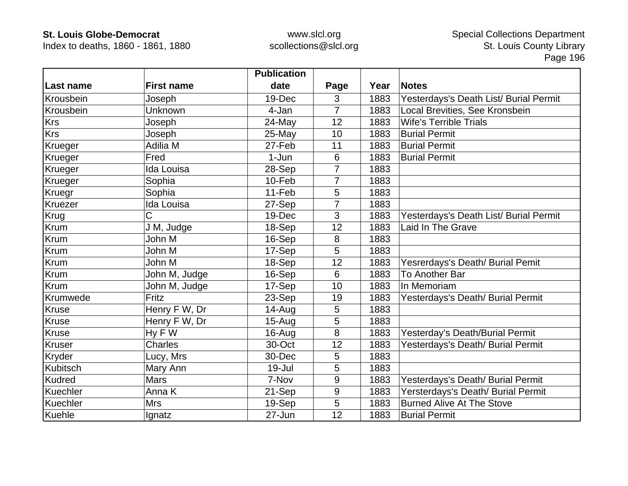Index to deaths, 1860 - 1861, 1880

|                 |                   | <b>Publication</b> |                |      |                                        |
|-----------------|-------------------|--------------------|----------------|------|----------------------------------------|
| Last name       | <b>First name</b> | date               | Page           | Year | <b>Notes</b>                           |
| Krousbein       | Joseph            | 19-Dec             | 3              | 1883 | Yesterdays's Death List/ Burial Permit |
| Krousbein       | Unknown           | 4-Jan              | $\overline{7}$ | 1883 | Local Brevities, See Kronsbein         |
| <b>Krs</b>      | Joseph            | 24-May             | 12             | 1883 | <b>Wife's Terrible Trials</b>          |
| <b>Krs</b>      | Joseph            | 25-May             | 10             | 1883 | <b>Burial Permit</b>                   |
| Krueger         | Adilia M          | 27-Feb             | 11             | 1883 | <b>Burial Permit</b>                   |
| Krueger         | Fred              | 1-Jun              | 6              | 1883 | <b>Burial Permit</b>                   |
| Krueger         | Ida Louisa        | 28-Sep             | 7              | 1883 |                                        |
| Krueger         | Sophia            | 10-Feb             | $\overline{7}$ | 1883 |                                        |
| Kruegr          | Sophia            | 11-Feb             | 5              | 1883 |                                        |
| <b>Kruezer</b>  | Ida Louisa        | 27-Sep             | $\overline{7}$ | 1883 |                                        |
| Krug            | C                 | 19-Dec             | 3              | 1883 | Yesterdays's Death List/ Burial Permit |
| Krum            | J M, Judge        | 18-Sep             | 12             | 1883 | Laid In The Grave                      |
| Krum            | John M            | 16-Sep             | 8              | 1883 |                                        |
| Krum            | John M            | 17-Sep             | 5              | 1883 |                                        |
| Krum            | John M            | 18-Sep             | 12             | 1883 | Yesrerdays's Death/ Burial Pemit       |
| Krum            | John M, Judge     | 16-Sep             | 6              | 1883 | To Another Bar                         |
| <b>Krum</b>     | John M, Judge     | 17-Sep             | 10             | 1883 | In Memoriam                            |
| Krumwede        | Fritz             | 23-Sep             | 19             | 1883 | Yesterdays's Death/ Burial Permit      |
| <b>Kruse</b>    | Henry F W, Dr     | 14-Aug             | 5              | 1883 |                                        |
| <b>Kruse</b>    | Henry F W, Dr     | $15 - Aug$         | 5              | 1883 |                                        |
| <b>Kruse</b>    | Hy F W            | $16$ -Aug          | 8              | 1883 | Yesterday's Death/Burial Permit        |
| <b>Kruser</b>   | Charles           | 30-Oct             | 12             | 1883 | Yesterdays's Death/ Burial Permit      |
| Kryder          | Lucy, Mrs         | 30-Dec             | 5              | 1883 |                                        |
| <b>Kubitsch</b> | Mary Ann          | 19-Jul             | 5              | 1883 |                                        |
| <b>Kudred</b>   | <b>Mars</b>       | 7-Nov              | 9              | 1883 | Yesterdays's Death/ Burial Permit      |
| Kuechler        | Anna K            | 21-Sep             | 9              | 1883 | Yersterdays's Death/ Burial Permit     |
| Kuechler        | <b>Mrs</b>        | 19-Sep             | 5              | 1883 | <b>Burned Alive At The Stove</b>       |
| Kuehle          | Ignatz            | 27-Jun             | 12             | 1883 | <b>Burial Permit</b>                   |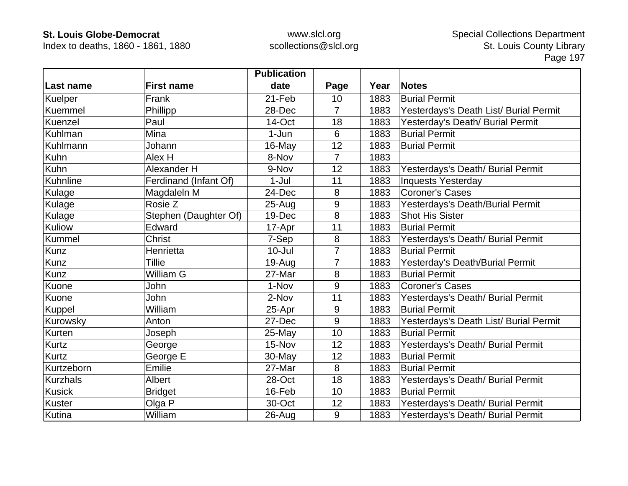Index to deaths, 1860 - 1861, 1880

|                 |                       | <b>Publication</b> |                |      |                                        |
|-----------------|-----------------------|--------------------|----------------|------|----------------------------------------|
| Last name       | <b>First name</b>     | date               | Page           | Year | <b>Notes</b>                           |
| Kuelper         | Frank                 | 21-Feb             | 10             | 1883 | <b>Burial Permit</b>                   |
| Kuemmel         | Phillipp              | 28-Dec             | $\overline{7}$ | 1883 | Yesterdays's Death List/ Burial Permit |
| Kuenzel         | Paul                  | 14-Oct             | 18             | 1883 | Yesterday's Death/ Burial Permit       |
| Kuhlman         | Mina                  | 1-Jun              | 6              | 1883 | <b>Burial Permit</b>                   |
| Kuhlmann        | Johann                | 16-May             | 12             | 1883 | <b>Burial Permit</b>                   |
| Kuhn            | Alex H                | 8-Nov              | $\overline{7}$ | 1883 |                                        |
| Kuhn            | Alexander H           | 9-Nov              | 12             | 1883 | Yesterdays's Death/ Burial Permit      |
| Kuhnline        | Ferdinand (Infant Of) | $1-Jul$            | 11             | 1883 | <b>Inquests Yesterday</b>              |
| Kulage          | Magdaleln M           | 24-Dec             | 8              | 1883 | <b>Coroner's Cases</b>                 |
| Kulage          | Rosie Z               | $25 - Aug$         | 9              | 1883 | Yesterdays's Death/Burial Permit       |
| Kulage          | Stephen (Daughter Of) | 19-Dec             | 8              | 1883 | <b>Shot His Sister</b>                 |
| Kuliow          | Edward                | 17-Apr             | 11             | 1883 | <b>Burial Permit</b>                   |
| Kummel          | <b>Christ</b>         | 7-Sep              | 8              | 1883 | Yesterdays's Death/ Burial Permit      |
| Kunz            | Henrietta             | $10 -$ Jul         | $\overline{7}$ | 1883 | <b>Burial Permit</b>                   |
| Kunz            | Tillie                | $19-Auq$           |                | 1883 | Yesterday's Death/Burial Permit        |
| Kunz            | William G             | 27-Mar             | 8              | 1883 | <b>Burial Permit</b>                   |
| Kuone           | John                  | 1-Nov              | 9              | 1883 | <b>Coroner's Cases</b>                 |
| Kuone           | John                  | 2-Nov              | 11             | 1883 | Yesterdays's Death/ Burial Permit      |
| Kuppel          | William               | 25-Apr             | 9              | 1883 | <b>Burial Permit</b>                   |
| Kurowsky        | Anton                 | 27-Dec             | 9              | 1883 | Yesterdays's Death List/ Burial Permit |
| Kurten          | Joseph                | 25-May             | 10             | 1883 | <b>Burial Permit</b>                   |
| Kurtz           | George                | 15-Nov             | 12             | 1883 | Yesterdays's Death/ Burial Permit      |
| <b>Kurtz</b>    | George E              | 30-May             | 12             | 1883 | <b>Burial Permit</b>                   |
| Kurtzeborn      | Emilie                | 27-Mar             | 8              | 1883 | <b>Burial Permit</b>                   |
| <b>Kurzhals</b> | Albert                | 28-Oct             | 18             | 1883 | Yesterdays's Death/ Burial Permit      |
| Kusick          | <b>Bridget</b>        | 16-Feb             | 10             | 1883 | <b>Burial Permit</b>                   |
| Kuster          | Olga P                | 30-Oct             | 12             | 1883 | Yesterdays's Death/ Burial Permit      |
| Kutina          | William               | 26-Aug             | 9              | 1883 | Yesterdays's Death/ Burial Permit      |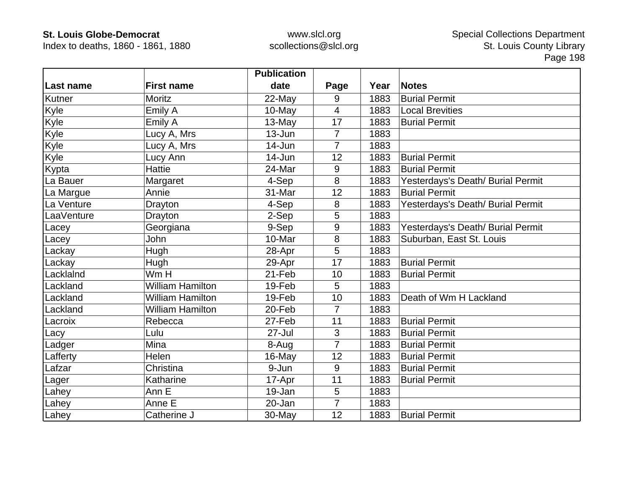Index to deaths, 1860 - 1861, 1880

|            |                         | <b>Publication</b> |                |      |                                   |
|------------|-------------------------|--------------------|----------------|------|-----------------------------------|
| Last name  | <b>First name</b>       | date               | Page           | Year | Notes                             |
| Kutner     | Moritz                  | 22-May             | 9              | 1883 | <b>Burial Permit</b>              |
| Kyle       | Emily A                 | 10-May             | $\overline{4}$ | 1883 | <b>Local Brevities</b>            |
| Kyle       | Emily A                 | 13-May             | 17             | 1883 | <b>Burial Permit</b>              |
| Kyle       | Lucy A, Mrs             | $13 - Jun$         | 7              | 1883 |                                   |
| Kyle       | Lucy A, Mrs             | 14-Jun             | $\overline{7}$ | 1883 |                                   |
| Kyle       | Lucy Ann                | 14-Jun             | 12             | 1883 | <b>Burial Permit</b>              |
| Kypta      | <b>Hattie</b>           | 24-Mar             | 9              | 1883 | <b>Burial Permit</b>              |
| La Bauer   | Margaret                | 4-Sep              | 8              | 1883 | Yesterdays's Death/ Burial Permit |
| La Margue  | Annie                   | 31-Mar             | 12             | 1883 | <b>Burial Permit</b>              |
| La Venture | Drayton                 | 4-Sep              | 8              | 1883 | Yesterdays's Death/ Burial Permit |
| LaaVenture | Drayton                 | 2-Sep              | 5              | 1883 |                                   |
| Lacey      | Georgiana               | 9-Sep              | 9              | 1883 | Yesterdays's Death/ Burial Permit |
| Lacey      | John                    | 10-Mar             | $\bf 8$        | 1883 | Suburban, East St. Louis          |
| Lackay     | Hugh                    | 28-Apr             | 5              | 1883 |                                   |
| Lackay     | Hugh                    | 29-Apr             | 17             | 1883 | <b>Burial Permit</b>              |
| Lacklalnd  | Wm H                    | 21-Feb             | 10             | 1883 | <b>Burial Permit</b>              |
| Lackland   | <b>William Hamilton</b> | 19-Feb             | 5              | 1883 |                                   |
| Lackland   | <b>William Hamilton</b> | 19-Feb             | 10             | 1883 | Death of Wm H Lackland            |
| Lackland   | <b>William Hamilton</b> | 20-Feb             | $\overline{7}$ | 1883 |                                   |
| Lacroix    | Rebecca                 | 27-Feb             | 11             | 1883 | <b>Burial Permit</b>              |
| Lacy       | Lulu                    | $27 -$ Jul         | $\mathfrak{S}$ | 1883 | <b>Burial Permit</b>              |
| Ladger     | Mina                    | 8-Aug              | $\overline{7}$ | 1883 | <b>Burial Permit</b>              |
| Lafferty   | Helen                   | 16-May             | 12             | 1883 | <b>Burial Permit</b>              |
| Lafzar     | Christina               | 9-Jun              | 9              | 1883 | <b>Burial Permit</b>              |
| Lager      | Katharine               | 17-Apr             | 11             | 1883 | <b>Burial Permit</b>              |
| Lahey      | Ann E                   | 19-Jan             | 5              | 1883 |                                   |
| Lahey      | Anne E                  | 20-Jan             | $\overline{7}$ | 1883 |                                   |
| Lahey      | Catherine J             | 30-May             | 12             | 1883 | <b>Burial Permit</b>              |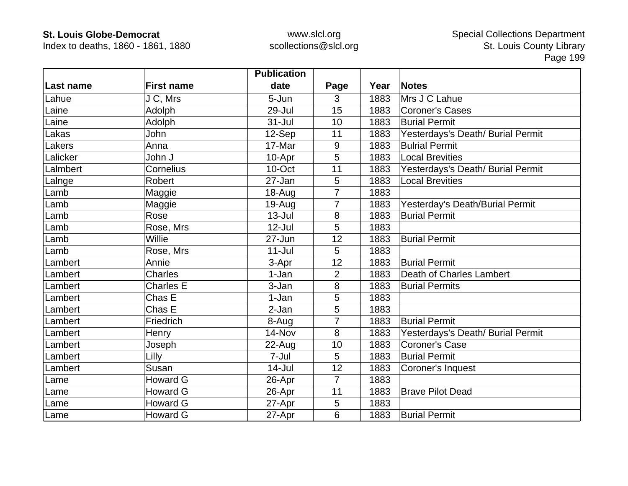Index to deaths, 1860 - 1861, 1880

|           |                   | <b>Publication</b> |                |      |                                   |
|-----------|-------------------|--------------------|----------------|------|-----------------------------------|
| Last name | <b>First name</b> | date               | Page           | Year | <b>Notes</b>                      |
| Lahue     | J C, Mrs          | 5-Jun              | 3              | 1883 | Mrs J C Lahue                     |
| Laine     | Adolph            | $29 -$ Jul         | 15             | 1883 | <b>Coroner's Cases</b>            |
| Laine     | Adolph            | 31-Jul             | 10             | 1883 | <b>Burial Permit</b>              |
| Lakas     | John              | 12-Sep             | 11             | 1883 | Yesterdays's Death/ Burial Permit |
| _akers    | Anna              | 17-Mar             | 9              | 1883 | <b>Bulrial Permit</b>             |
| Lalicker  | John J            | 10-Apr             | 5              | 1883 | <b>Local Brevities</b>            |
| Lalmbert  | Cornelius         | 10-Oct             | 11             | 1883 | Yesterdays's Death/ Burial Permit |
| _alnge    | <b>Robert</b>     | 27-Jan             | 5              | 1883 | <b>Local Brevities</b>            |
| _amb      | Maggie            | 18-Aug             | 7              | 1883 |                                   |
| Lamb      | Maggie            | 19-Aug             | $\overline{7}$ | 1883 | Yesterday's Death/Burial Permit   |
| Lamb      | Rose              | $13 -$ Jul         | 8              | 1883 | <b>Burial Permit</b>              |
| Lamb      | Rose, Mrs         | $12$ -Jul          | 5              | 1883 |                                   |
| Lamb      | Willie            | 27-Jun             | 12             | 1883 | <b>Burial Permit</b>              |
| Lamb      | Rose, Mrs         | $11 -$ Jul         | 5              | 1883 |                                   |
| Lambert   | Annie             | 3-Apr              | 12             | 1883 | <b>Burial Permit</b>              |
| Lambert   | <b>Charles</b>    | 1-Jan              | $\overline{2}$ | 1883 | Death of Charles Lambert          |
| Lambert   | <b>Charles E</b>  | 3-Jan              | 8              | 1883 | <b>Burial Permits</b>             |
| Lambert   | Chas E            | 1-Jan              | 5              | 1883 |                                   |
| Lambert   | Chas E            | 2-Jan              | 5              | 1883 |                                   |
| Lambert   | Friedrich         | 8-Aug              | 7              | 1883 | <b>Burial Permit</b>              |
| Lambert   | Henry             | 14-Nov             | 8              | 1883 | Yesterdays's Death/ Burial Permit |
| Lambert   | Joseph            | $22$ -Aug          | 10             | 1883 | Coroner's Case                    |
| Lambert   | Lilly             | 7-Jul              | 5              | 1883 | <b>Burial Permit</b>              |
| Lambert   | Susan             | $14$ -Jul          | 12             | 1883 | Coroner's Inquest                 |
| Lame      | <b>Howard G</b>   | 26-Apr             | $\overline{7}$ | 1883 |                                   |
| Lame      | <b>Howard G</b>   | 26-Apr             | 11             | 1883 | <b>Brave Pilot Dead</b>           |
| Lame      | <b>Howard G</b>   | 27-Apr             | 5              | 1883 |                                   |
| Lame      | <b>Howard G</b>   | 27-Apr             | 6              | 1883 | <b>Burial Permit</b>              |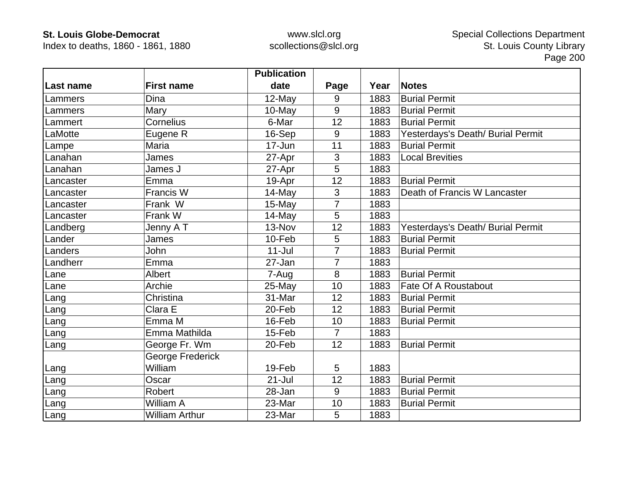Index to deaths, 1860 - 1861, 1880

|           |                       | <b>Publication</b> |                |      |                                   |
|-----------|-----------------------|--------------------|----------------|------|-----------------------------------|
| Last name | <b>First name</b>     | date               | Page           | Year | <b>Notes</b>                      |
| Lammers   | Dina                  | 12-May             | 9              | 1883 | <b>Burial Permit</b>              |
| Lammers   | Mary                  | 10-May             | 9              | 1883 | <b>Burial Permit</b>              |
| Lammert   | Cornelius             | 6-Mar              | 12             | 1883 | <b>Burial Permit</b>              |
| _aMotte   | Eugene R              | 16-Sep             | 9              | 1883 | Yesterdays's Death/ Burial Permit |
| Lampe     | Maria                 | 17-Jun             | 11             | 1883 | <b>Burial Permit</b>              |
| Lanahan   | James                 | 27-Apr             | $\mathfrak{S}$ | 1883 | <b>Local Brevities</b>            |
| Lanahan   | James J               | 27-Apr             | 5              | 1883 |                                   |
| Lancaster | Emma                  | 19-Apr             | 12             | 1883 | <b>Burial Permit</b>              |
| _ancaster | Francis W             | 14-May             | $\mathfrak{S}$ | 1883 | Death of Francis W Lancaster      |
| Lancaster | Frank W               | 15-May             | $\overline{7}$ | 1883 |                                   |
| Lancaster | Frank W               | 14-May             | 5              | 1883 |                                   |
| Landberg  | Jenny A T             | 13-Nov             | 12             | 1883 | Yesterdays's Death/ Burial Permit |
| _ander    | James                 | 10-Feb             | 5              | 1883 | <b>Burial Permit</b>              |
| Landers   | John                  | $11 -$ Jul         | $\overline{7}$ | 1883 | <b>Burial Permit</b>              |
| Landherr  | Emma                  | 27-Jan             | $\overline{7}$ | 1883 |                                   |
| Lane      | Albert                | 7-Aug              | 8              | 1883 | <b>Burial Permit</b>              |
| Lane      | Archie                | 25-May             | 10             | 1883 | Fate Of A Roustabout              |
| Lang      | Christina             | 31-Mar             | 12             | 1883 | <b>Burial Permit</b>              |
| Lang      | Clara E               | 20-Feb             | 12             | 1883 | <b>Burial Permit</b>              |
| Lang      | Emma M                | 16-Feb             | 10             | 1883 | <b>Burial Permit</b>              |
| Lang      | Emma Mathilda         | 15-Feb             | $\overline{7}$ | 1883 |                                   |
| Lang      | George Fr. Wm         | 20-Feb             | 12             | 1883 | <b>Burial Permit</b>              |
|           | George Frederick      |                    |                |      |                                   |
| Lang      | William               | 19-Feb             | 5              | 1883 |                                   |
| Lang      | Oscar                 | $21 -$ Jul         | 12             | 1883 | <b>Burial Permit</b>              |
| Lang      | Robert                | 28-Jan             | 9              | 1883 | <b>Burial Permit</b>              |
| Lang      | William A             | 23-Mar             | 10             | 1883 | <b>Burial Permit</b>              |
| Lang      | <b>William Arthur</b> | 23-Mar             | 5              | 1883 |                                   |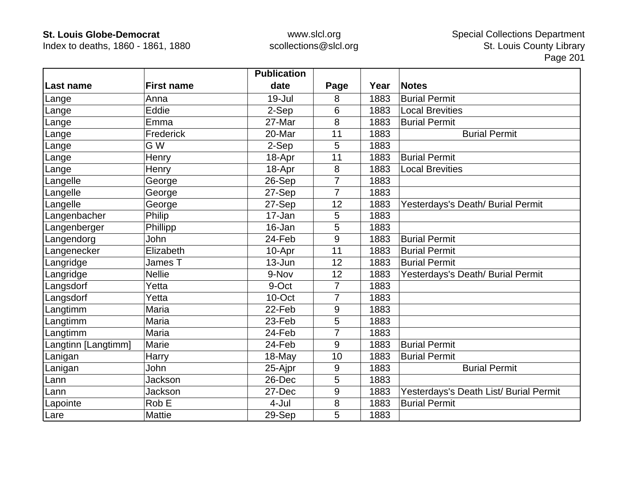Index to deaths, 1860 - 1861, 1880

|                     |                   | <b>Publication</b> |                |      |                                        |
|---------------------|-------------------|--------------------|----------------|------|----------------------------------------|
| ∣Last name          | <b>First name</b> | date               | Page           | Year | <b>Notes</b>                           |
| Lange               | Anna              | $19 -$ Jul         | 8              | 1883 | <b>Burial Permit</b>                   |
| Lange               | Eddie             | 2-Sep              | 6              | 1883 | <b>Local Brevities</b>                 |
| Lange               | Emma              | 27-Mar             | 8              | 1883 | <b>Burial Permit</b>                   |
| Lange               | Frederick         | 20-Mar             | 11             | 1883 | <b>Burial Permit</b>                   |
| Lange               | G W               | 2-Sep              | 5              | 1883 |                                        |
| Lange               | Henry             | 18-Apr             | 11             | 1883 | <b>Burial Permit</b>                   |
| Lange               | Henry             | 18-Apr             | 8              | 1883 | <b>Local Brevities</b>                 |
| Langelle            | George            | 26-Sep             | 7              | 1883 |                                        |
| Langelle            | George            | 27-Sep             | $\overline{7}$ | 1883 |                                        |
| Langelle            | George            | 27-Sep             | 12             | 1883 | Yesterdays's Death/ Burial Permit      |
| Langenbacher        | Philip            | 17-Jan             | 5              | 1883 |                                        |
| Langenberger        | Phillipp          | 16-Jan             | 5              | 1883 |                                        |
| Langendorg          | John              | 24-Feb             | 9              | 1883 | <b>Burial Permit</b>                   |
| Langenecker         | Elizabeth         | 10-Apr             | 11             | 1883 | <b>Burial Permit</b>                   |
| Langridge           | James T           | $13 - Jun$         | 12             | 1883 | <b>Burial Permit</b>                   |
| Langridge           | <b>Nellie</b>     | 9-Nov              | 12             | 1883 | Yesterdays's Death/ Burial Permit      |
| Langsdorf           | Yetta             | 9-Oct              | 7              | 1883 |                                        |
| Langsdorf           | Yetta             | 10-Oct             | $\overline{7}$ | 1883 |                                        |
| Langtimm            | Maria             | 22-Feb             | 9              | 1883 |                                        |
| Langtimm            | Maria             | 23-Feb             | 5              | 1883 |                                        |
| Langtimm            | Maria             | 24-Feb             | $\overline{7}$ | 1883 |                                        |
| Langtinn [Langtimm] | Marie             | 24-Feb             | 9              | 1883 | <b>Burial Permit</b>                   |
| Lanigan             | Harry             | $18-May$           | 10             | 1883 | <b>Burial Permit</b>                   |
| Lanigan             | John              | 25-Ajpr            | 9              | 1883 | <b>Burial Permit</b>                   |
| Lann                | Jackson           | 26-Dec             | 5              | 1883 |                                        |
| Lann                | Jackson           | 27-Dec             | 9              | 1883 | Yesterdays's Death List/ Burial Permit |
| Lapointe            | Rob E             | 4-Jul              | 8              | 1883 | <b>Burial Permit</b>                   |
| Lare                | <b>Mattie</b>     | 29-Sep             | 5              | 1883 |                                        |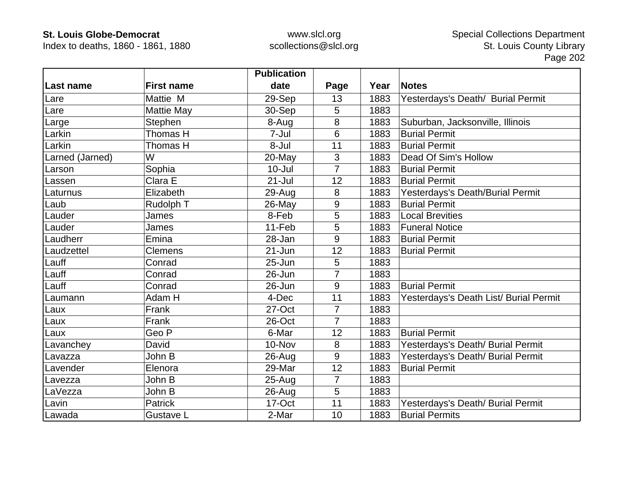Index to deaths, 1860 - 1861, 1880

|                 |                   | <b>Publication</b> |                  |      |                                        |
|-----------------|-------------------|--------------------|------------------|------|----------------------------------------|
| Last name       | <b>First name</b> | date               | Page             | Year | <b>Notes</b>                           |
| Lare            | Mattie M          | 29-Sep             | 13               | 1883 | Yesterdays's Death/ Burial Permit      |
| Lare            | <b>Mattie May</b> | 30-Sep             | 5                | 1883 |                                        |
| Large           | Stephen           | 8-Aug              | 8                | 1883 | Suburban, Jacksonville, Illinois       |
| Larkin          | Thomas H          | 7-Jul              | 6                | 1883 | <b>Burial Permit</b>                   |
| Larkin          | Thomas H          | 8-Jul              | 11               | 1883 | <b>Burial Permit</b>                   |
| Larned (Jarned) | W                 | 20-May             | 3                | 1883 | Dead Of Sim's Hollow                   |
| Larson          | Sophia            | $10 -$ Jul         | $\overline{7}$   | 1883 | <b>Burial Permit</b>                   |
| Lassen          | Clara E           | $21 -$ Jul         | 12               | 1883 | <b>Burial Permit</b>                   |
| Laturnus        | Elizabeth         | 29-Aug             | 8                | 1883 | Yesterdays's Death/Burial Permit       |
| Laub            | Rudolph T         | 26-May             | 9                | 1883 | <b>Burial Permit</b>                   |
| Lauder          | James             | 8-Feb              | 5                | 1883 | <b>Local Brevities</b>                 |
| Lauder          | James             | 11-Feb             | 5                | 1883 | <b>Funeral Notice</b>                  |
| Laudherr        | Emina             | 28-Jan             | 9                | 1883 | <b>Burial Permit</b>                   |
| Laudzettel      | <b>Clemens</b>    | 21-Jun             | 12               | 1883 | <b>Burial Permit</b>                   |
| Lauff           | Conrad            | 25-Jun             | 5                | 1883 |                                        |
| Lauff           | Conrad            | 26-Jun             | 7                | 1883 |                                        |
| Lauff           | Conrad            | 26-Jun             | $\boldsymbol{9}$ | 1883 | <b>Burial Permit</b>                   |
| Laumann         | Adam H            | 4-Dec              | 11               | 1883 | Yesterdays's Death List/ Burial Permit |
| Laux            | Frank             | 27-Oct             | $\overline{7}$   | 1883 |                                        |
| Laux            | Frank             | 26-Oct             | $\overline{7}$   | 1883 |                                        |
| Laux            | Geo P             | 6-Mar              | 12               | 1883 | <b>Burial Permit</b>                   |
| Lavanchey       | David             | 10-Nov             | 8                | 1883 | Yesterdays's Death/ Burial Permit      |
| Lavazza         | John B            | $26 - Aug$         | 9                | 1883 | Yesterdays's Death/ Burial Permit      |
| Lavender        | Elenora           | 29-Mar             | 12               | 1883 | <b>Burial Permit</b>                   |
| Lavezza         | John B            | $25 - Aug$         | 7                | 1883 |                                        |
| LaVezza         | John B            | $26 - Aug$         | 5                | 1883 |                                        |
| Lavin           | <b>Patrick</b>    | 17-Oct             | 11               | 1883 | Yesterdays's Death/ Burial Permit      |
| Lawada          | Gustave L         | 2-Mar              | 10               | 1883 | <b>Burial Permits</b>                  |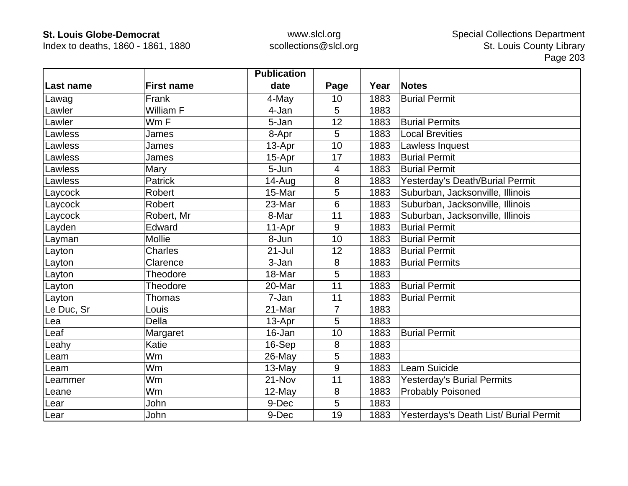Index to deaths, 1860 - 1861, 1880

|                  |                   | <b>Publication</b> |      |      |                                        |
|------------------|-------------------|--------------------|------|------|----------------------------------------|
| <b>Last name</b> | <b>First name</b> | date               | Page | Year | <b>Notes</b>                           |
| Lawag            | Frank             | 4-May              | 10   | 1883 | <b>Burial Permit</b>                   |
| Lawler           | William F         | 4-Jan              | 5    | 1883 |                                        |
| Lawler           | Wm F              | 5-Jan              | 12   | 1883 | <b>Burial Permits</b>                  |
| Lawless          | James             | 8-Apr              | 5    | 1883 | <b>Local Brevities</b>                 |
| Lawless          | James             | 13-Apr             | 10   | 1883 | Lawless Inquest                        |
| Lawless          | James             | 15-Apr             | 17   | 1883 | <b>Burial Permit</b>                   |
| Lawless          | Mary              | 5-Jun              | 4    | 1883 | <b>Burial Permit</b>                   |
| Lawless          | <b>Patrick</b>    | 14-Aug             | 8    | 1883 | Yesterday's Death/Burial Permit        |
| Laycock          | Robert            | 15-Mar             | 5    | 1883 | Suburban, Jacksonville, Illinois       |
| Laycock          | Robert            | 23-Mar             | 6    | 1883 | Suburban, Jacksonville, Illinois       |
| Laycock          | Robert, Mr        | 8-Mar              | 11   | 1883 | Suburban, Jacksonville, Illinois       |
| Layden           | Edward            | 11-Apr             | 9    | 1883 | <b>Burial Permit</b>                   |
| Layman           | <b>Mollie</b>     | 8-Jun              | 10   | 1883 | <b>Burial Permit</b>                   |
| Layton           | <b>Charles</b>    | $21 -$ Jul         | 12   | 1883 | <b>Burial Permit</b>                   |
| Layton           | Clarence          | 3-Jan              | 8    | 1883 | <b>Burial Permits</b>                  |
| Layton           | Theodore          | 18-Mar             | 5    | 1883 |                                        |
| Layton           | Theodore          | 20-Mar             | 11   | 1883 | <b>Burial Permit</b>                   |
| Layton           | Thomas            | 7-Jan              | 11   | 1883 | <b>Burial Permit</b>                   |
| Le Duc, Sr       | Louis             | 21-Mar             | 7    | 1883 |                                        |
| Lea              | Della             | 13-Apr             | 5    | 1883 |                                        |
| Leaf             | Margaret          | 16-Jan             | 10   | 1883 | <b>Burial Permit</b>                   |
| Leahy            | Katie             | 16-Sep             | 8    | 1883 |                                        |
| Leam             | Wm                | 26-May             | 5    | 1883 |                                        |
| Leam             | Wm                | 13-May             | 9    | 1883 | Leam Suicide                           |
| Leammer          | Wm                | 21-Nov             | 11   | 1883 | <b>Yesterday's Burial Permits</b>      |
| Leane            | Wm                | 12-May             | 8    | 1883 | <b>Probably Poisoned</b>               |
| Lear             | John              | 9-Dec              | 5    | 1883 |                                        |
| Lear             | John              | 9-Dec              | 19   | 1883 | Yesterdays's Death List/ Burial Permit |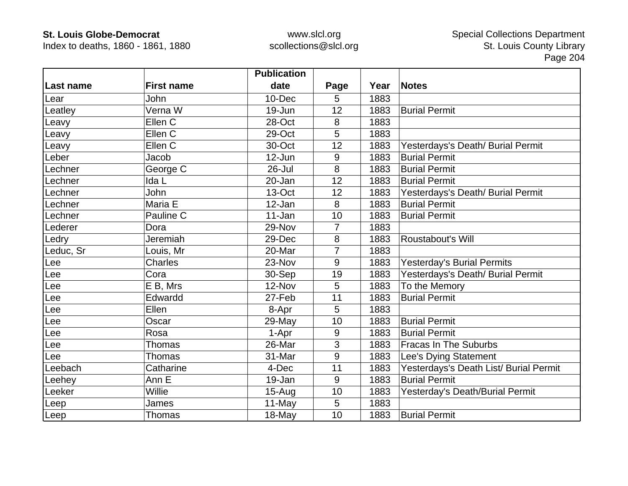Index to deaths, 1860 - 1861, 1880

|                |                   | <b>Publication</b> |                |      |                                        |
|----------------|-------------------|--------------------|----------------|------|----------------------------------------|
| Last name      | <b>First name</b> | date               | Page           | Year | <b>Notes</b>                           |
| Lear           | John              | $10 - Dec$         | 5              | 1883 |                                        |
| Leatley        | Verna W           | 19-Jun             | 12             | 1883 | <b>Burial Permit</b>                   |
| Leavy          | Ellen C           | 28-Oct             | 8              | 1883 |                                        |
| Leavy          | Ellen C           | 29-Oct             | 5              | 1883 |                                        |
| Leavy          | Ellen C           | 30-Oct             | 12             | 1883 | Yesterdays's Death/ Burial Permit      |
| Leber          | Jacob             | 12-Jun             | 9              | 1883 | <b>Burial Permit</b>                   |
| Lechner        | George C          | 26-Jul             | 8              | 1883 | <b>Burial Permit</b>                   |
| _echner        | Ida L             | 20-Jan             | 12             | 1883 | <b>Burial Permit</b>                   |
| _echner        | John              | 13-Oct             | 12             | 1883 | Yesterdays's Death/ Burial Permit      |
| Lechner        | Maria E           | 12-Jan             | 8              | 1883 | <b>Burial Permit</b>                   |
| Lechner        | Pauline C         | 11-Jan             | 10             | 1883 | <b>Burial Permit</b>                   |
| Lederer        | Dora              | 29-Nov             | $\overline{7}$ | 1883 |                                        |
| Ledry          | Jeremiah          | 29-Dec             | 8              | 1883 | Roustabout's Will                      |
| Leduc, $S_{r}$ | Louis, Mr         | 20-Mar             | $\overline{7}$ | 1883 |                                        |
| Lee            | Charles           | 23-Nov             | 9              | 1883 | <b>Yesterday's Burial Permits</b>      |
| Lee            | Cora              | 30-Sep             | 19             | 1883 | Yesterdays's Death/ Burial Permit      |
| Lee            | E B, Mrs          | 12-Nov             | 5              | 1883 | To the Memory                          |
| Lee            | Edwardd           | 27-Feb             | 11             | 1883 | <b>Burial Permit</b>                   |
| $ee$           | Ellen             | 8-Apr              | 5              | 1883 |                                        |
| Lee            | Oscar             | 29-May             | 10             | 1883 | <b>Burial Permit</b>                   |
| $ee$           | Rosa              | 1-Apr              | 9              | 1883 | <b>Burial Permit</b>                   |
| Lee            | Thomas            | 26-Mar             | 3              | 1883 | <b>Fracas In The Suburbs</b>           |
| $ee$           | Thomas            | 31-Mar             | 9              | 1883 | Lee's Dying Statement                  |
| Leebach        | Catharine         | 4-Dec              | 11             | 1883 | Yesterdays's Death List/ Burial Permit |
| Leehey         | Ann E             | 19-Jan             | 9              | 1883 | <b>Burial Permit</b>                   |
| Leeker         | Willie            | $15-Auq$           | 10             | 1883 | Yesterday's Death/Burial Permit        |
| Leep           | James             | 11-May             | 5              | 1883 |                                        |
| Leep           | <b>Thomas</b>     | 18-May             | 10             | 1883 | <b>Burial Permit</b>                   |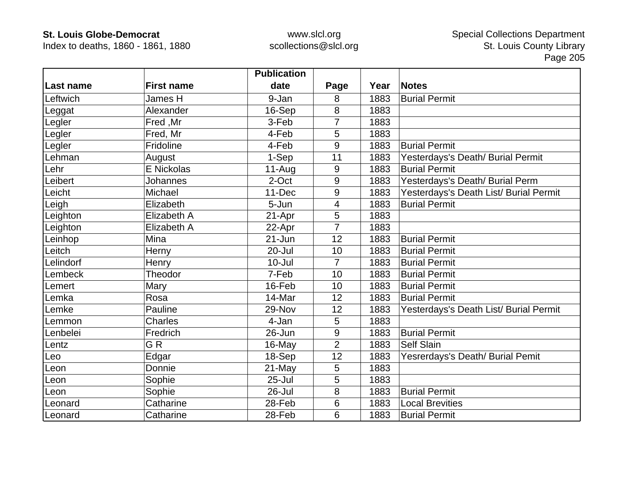Index to deaths, 1860 - 1861, 1880

|           |                   | <b>Publication</b> |                |      |                                        |
|-----------|-------------------|--------------------|----------------|------|----------------------------------------|
| Last name | <b>First name</b> | date               | Page           | Year | <b>Notes</b>                           |
| Leftwich  | James H           | 9-Jan              | 8              | 1883 | <b>Burial Permit</b>                   |
| Leggat    | Alexander         | 16-Sep             | 8              | 1883 |                                        |
| Legler    | Fred, Mr          | 3-Feb              | 7              | 1883 |                                        |
| Legler    | Fred, Mr          | 4-Feb              | 5              | 1883 |                                        |
| Legler    | Fridoline         | 4-Feb              | 9              | 1883 | <b>Burial Permit</b>                   |
| Lehman    | August            | 1-Sep              | 11             | 1883 | Yesterdays's Death/ Burial Permit      |
| Lehr      | E Nickolas        | $11-Auq$           | 9              | 1883 | <b>Burial Permit</b>                   |
| Leibert   | Johannes          | 2-Oct              | 9              | 1883 | Yesterdays's Death/ Burial Perm        |
| Leicht    | Michael           | 11-Dec             | 9              | 1883 | Yesterdays's Death List/ Burial Permit |
| Leigh     | Elizabeth         | 5-Jun              | 4              | 1883 | <b>Burial Permit</b>                   |
| Leighton  | Elizabeth A       | 21-Apr             | 5              | 1883 |                                        |
| Leighton  | Elizabeth A       | 22-Apr             | 7              | 1883 |                                        |
| Leinhop   | Mina              | $21 - Jun$         | 12             | 1883 | <b>Burial Permit</b>                   |
| Leitch    | Herny             | 20-Jul             | 10             | 1883 | <b>Burial Permit</b>                   |
| Lelindorf | Henry             | $10 -$ Jul         | 7              | 1883 | <b>Burial Permit</b>                   |
| Lembeck   | Theodor           | 7-Feb              | 10             | 1883 | <b>Burial Permit</b>                   |
| Lemert    | Mary              | 16-Feb             | 10             | 1883 | <b>Burial Permit</b>                   |
| Lemka     | Rosa              | 14-Mar             | 12             | 1883 | <b>Burial Permit</b>                   |
| Lemke     | Pauline           | 29-Nov             | 12             | 1883 | Yesterdays's Death List/ Burial Permit |
| Lemmon    | <b>Charles</b>    | 4-Jan              | 5              | 1883 |                                        |
| Lenbelei  | Fredrich          | 26-Jun             | 9              | 1883 | <b>Burial Permit</b>                   |
| Lentz     | GR                | 16-May             | $\overline{2}$ | 1883 | <b>Self Slain</b>                      |
| Leo       | Edgar             | 18-Sep             | 12             | 1883 | Yesrerdays's Death/ Burial Pemit       |
| Leon      | Donnie            | 21-May             | 5              | 1883 |                                        |
| Leon      | Sophie            | $25 -$ Jul         | 5              | 1883 |                                        |
| Leon      | Sophie            | 26-Jul             | 8              | 1883 | <b>Burial Permit</b>                   |
| Leonard   | Catharine         | 28-Feb             | 6              | 1883 | <b>Local Brevities</b>                 |
| Leonard   | Catharine         | 28-Feb             | 6              | 1883 | <b>Burial Permit</b>                   |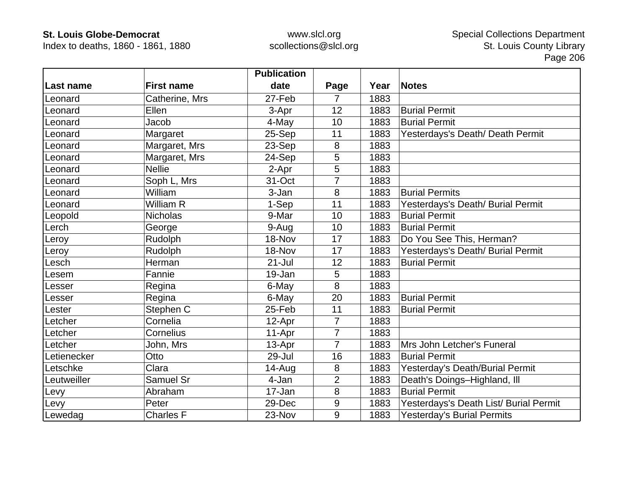Index to deaths, 1860 - 1861, 1880

|             |                   | <b>Publication</b> |                |      |                                        |
|-------------|-------------------|--------------------|----------------|------|----------------------------------------|
| Last name   | <b>First name</b> | date               | Page           | Year | <b>Notes</b>                           |
| Leonard     | Catherine, Mrs    | 27-Feb             | 7              | 1883 |                                        |
| .eonard     | Ellen             | 3-Apr              | 12             | 1883 | <b>Burial Permit</b>                   |
| Leonard     | Jacob             | 4-May              | 10             | 1883 | <b>Burial Permit</b>                   |
| .eonard     | Margaret          | 25-Sep             | 11             | 1883 | Yesterdays's Death/ Death Permit       |
| Leonard     | Margaret, Mrs     | 23-Sep             | 8              | 1883 |                                        |
| Leonard     | Margaret, Mrs     | 24-Sep             | 5              | 1883 |                                        |
| Leonard     | <b>Nellie</b>     | 2-Apr              | 5              | 1883 |                                        |
| _eonard     | Soph L, Mrs       | 31-Oct             | 7              | 1883 |                                        |
| Leonard     | William           | 3-Jan              | 8              | 1883 | <b>Burial Permits</b>                  |
| .eonard     | William R         | 1-Sep              | 11             | 1883 | Yesterdays's Death/ Burial Permit      |
| _eopold     | <b>Nicholas</b>   | 9-Mar              | 10             | 1883 | <b>Burial Permit</b>                   |
| erch.       | George            | 9-Aug              | 10             | 1883 | <b>Burial Permit</b>                   |
| eroy        | Rudolph           | 18-Nov             | 17             | 1883 | Do You See This, Herman?               |
| Leroy       | Rudolph           | 18-Nov             | 17             | 1883 | Yesterdays's Death/ Burial Permit      |
| .esch       | Herman            | $21 -$ Jul         | 12             | 1883 | <b>Burial Permit</b>                   |
| .esem       | Fannie            | 19-Jan             | 5              | 1883 |                                        |
| esser.      | Regina            | 6-May              | 8              | 1883 |                                        |
| esser       | Regina            | 6-May              | 20             | 1883 | <b>Burial Permit</b>                   |
| ester.      | Stephen C         | 25-Feb             | 11             | 1883 | <b>Burial Permit</b>                   |
| Letcher     | Cornelia          | 12-Apr             | $\overline{7}$ | 1883 |                                        |
| etcher.     | Cornelius         | 11-Apr             | $\overline{7}$ | 1883 |                                        |
| Letcher     | John, Mrs         | 13-Apr             | $\overline{7}$ | 1883 | Mrs John Letcher's Funeral             |
| Letienecker | Otto              | 29-Jul             | 16             | 1883 | <b>Burial Permit</b>                   |
| Letschke    | Clara             | 14-Aug             | 8              | 1883 | Yesterday's Death/Burial Permit        |
| Leutweiller | Samuel Sr         | 4-Jan              | $\overline{2}$ | 1883 | Death's Doings-Highland, Ill           |
| Levy        | Abraham           | 17-Jan             | 8              | 1883 | <b>Burial Permit</b>                   |
| Levy        | Peter             | 29-Dec             | 9              | 1883 | Yesterdays's Death List/ Burial Permit |
| Lewedag     | <b>Charles F</b>  | 23-Nov             | 9              | 1883 | <b>Yesterday's Burial Permits</b>      |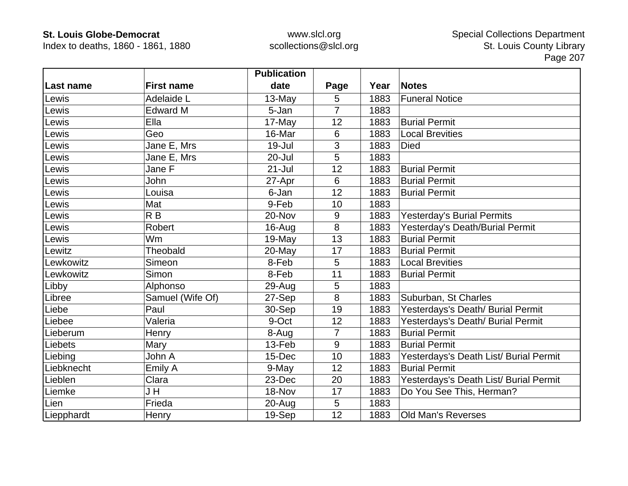Index to deaths, 1860 - 1861, 1880

|            |                   | <b>Publication</b> |                |      |                                        |
|------------|-------------------|--------------------|----------------|------|----------------------------------------|
| Last name  | <b>First name</b> | date               | Page           | Year | <b>Notes</b>                           |
| Lewis      | Adelaide L        | 13-May             | 5              | 1883 | <b>Funeral Notice</b>                  |
| Lewis      | <b>Edward M</b>   | 5-Jan              | $\overline{7}$ | 1883 |                                        |
| Lewis      | Ella              | 17-May             | 12             | 1883 | <b>Burial Permit</b>                   |
| Lewis      | Geo               | 16-Mar             | 6              | 1883 | <b>Local Brevities</b>                 |
| Lewis      | Jane E, Mrs       | 19-Jul             | 3              | 1883 | <b>Died</b>                            |
| Lewis      | Jane E, Mrs       | 20-Jul             | 5              | 1883 |                                        |
| Lewis      | Jane F            | $21 -$ Jul         | 12             | 1883 | <b>Burial Permit</b>                   |
| Lewis      | John              | 27-Apr             | 6              | 1883 | <b>Burial Permit</b>                   |
| Lewis      | Louisa            | 6-Jan              | 12             | 1883 | <b>Burial Permit</b>                   |
| Lewis      | Mat               | 9-Feb              | 10             | 1883 |                                        |
| Lewis      | R <sub>B</sub>    | 20-Nov             | 9              | 1883 | <b>Yesterday's Burial Permits</b>      |
| Lewis      | <b>Robert</b>     | 16-Aug             | 8              | 1883 | Yesterday's Death/Burial Permit        |
| Lewis      | Wm                | 19-May             | 13             | 1883 | <b>Burial Permit</b>                   |
| Lewitz     | Theobald          | 20-May             | 17             | 1883 | <b>Burial Permit</b>                   |
| Lewkowitz  | Simeon            | 8-Feb              | 5              | 1883 | <b>Local Brevities</b>                 |
| Lewkowitz  | Simon             | 8-Feb              | 11             | 1883 | <b>Burial Permit</b>                   |
| Libby      | Alphonso          | 29-Aug             | 5              | 1883 |                                        |
| Libree     | Samuel (Wife Of)  | 27-Sep             | 8              | 1883 | Suburban, St Charles                   |
| Liebe      | Paul              | 30-Sep             | 19             | 1883 | Yesterdays's Death/ Burial Permit      |
| Liebee     | Valeria           | 9-Oct              | 12             | 1883 | Yesterdays's Death/ Burial Permit      |
| Lieberum   | Henry             | 8-Aug              | $\overline{7}$ | 1883 | <b>Burial Permit</b>                   |
| Liebets    | Mary              | 13-Feb             | 9              | 1883 | <b>Burial Permit</b>                   |
| Liebing    | John A            | 15-Dec             | 10             | 1883 | Yesterdays's Death List/ Burial Permit |
| Liebknecht | Emily A           | 9-May              | 12             | 1883 | <b>Burial Permit</b>                   |
| Lieblen    | Clara             | 23-Dec             | 20             | 1883 | Yesterdays's Death List/ Burial Permit |
| Liemke     | J H               | 18-Nov             | 17             | 1883 | Do You See This, Herman?               |
| Lien       | Frieda            | $20 - Aug$         | 5              | 1883 |                                        |
| Liepphardt | Henry             | 19-Sep             | 12             | 1883 | <b>Old Man's Reverses</b>              |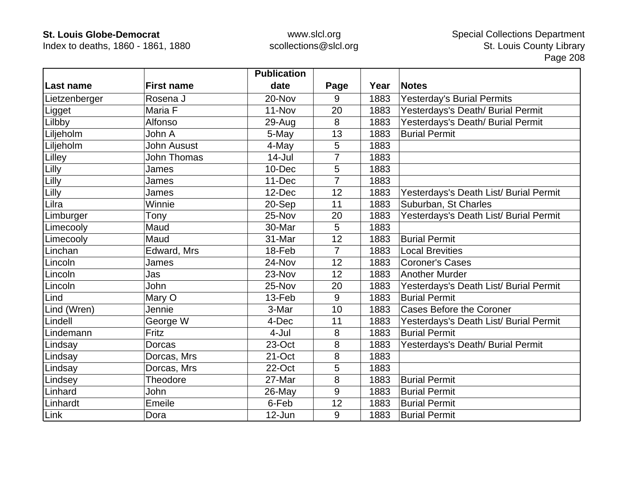Index to deaths, 1860 - 1861, 1880

|               |                    | <b>Publication</b> |                |      |                                        |
|---------------|--------------------|--------------------|----------------|------|----------------------------------------|
| Last name     | <b>First name</b>  | date               | Page           | Year | <b>Notes</b>                           |
| Lietzenberger | Rosena J           | 20-Nov             | 9              | 1883 | <b>Yesterday's Burial Permits</b>      |
| Ligget        | Maria F            | 11-Nov             | 20             | 1883 | Yesterdays's Death/ Burial Permit      |
| Lilbby        | Alfonso            | 29-Aug             | 8              | 1883 | Yesterdays's Death/ Burial Permit      |
| Liljeholm     | John A             | 5-May              | 13             | 1883 | <b>Burial Permit</b>                   |
| Liljeholm     | John Ausust        | 4-May              | 5              | 1883 |                                        |
| Lilley        | <b>John Thomas</b> | $14 -$ Jul         | $\overline{7}$ | 1883 |                                        |
| Lilly         | James              | 10-Dec             | 5              | 1883 |                                        |
| Lilly         | James              | 11-Dec             | $\overline{7}$ | 1883 |                                        |
| Lilly         | James              | 12-Dec             | 12             | 1883 | Yesterdays's Death List/ Burial Permit |
| Lilra         | Winnie             | 20-Sep             | 11             | 1883 | Suburban, St Charles                   |
| Limburger     | Tony               | 25-Nov             | 20             | 1883 | Yesterdays's Death List/ Burial Permit |
| Limecooly     | Maud               | 30-Mar             | 5              | 1883 |                                        |
| Limecooly     | Maud               | 31-Mar             | 12             | 1883 | <b>Burial Permit</b>                   |
| Linchan       | Edward, Mrs        | 18-Feb             | $\overline{7}$ | 1883 | <b>Local Brevities</b>                 |
| Lincoln       | James              | 24-Nov             | 12             | 1883 | Coroner's Cases                        |
| Lincoln       | Jas                | 23-Nov             | 12             | 1883 | <b>Another Murder</b>                  |
| Lincoln       | John               | 25-Nov             | 20             | 1883 | Yesterdays's Death List/ Burial Permit |
| Lind          | Mary O             | 13-Feb             | 9              | 1883 | <b>Burial Permit</b>                   |
| Lind (Wren)   | Jennie             | 3-Mar              | 10             | 1883 | <b>Cases Before the Coroner</b>        |
| Lindell       | George W           | 4-Dec              | 11             | 1883 | Yesterdays's Death List/ Burial Permit |
| Lindemann     | Fritz              | 4-Jul              | 8              | 1883 | <b>Burial Permit</b>                   |
| Lindsay       | Dorcas             | 23-Oct             | 8              | 1883 | Yesterdays's Death/ Burial Permit      |
| Lindsay       | Dorcas, Mrs        | 21-Oct             | 8              | 1883 |                                        |
| Lindsay       | Dorcas, Mrs        | 22-Oct             | 5              | 1883 |                                        |
| Lindsey       | Theodore           | 27-Mar             | 8              | 1883 | <b>Burial Permit</b>                   |
| Linhard       | John               | $26$ -May          | 9              | 1883 | <b>Burial Permit</b>                   |
| Linhardt      | Emeile             | 6-Feb              | 12             | 1883 | <b>Burial Permit</b>                   |
| Link          | Dora               | 12-Jun             | 9              | 1883 | <b>Burial Permit</b>                   |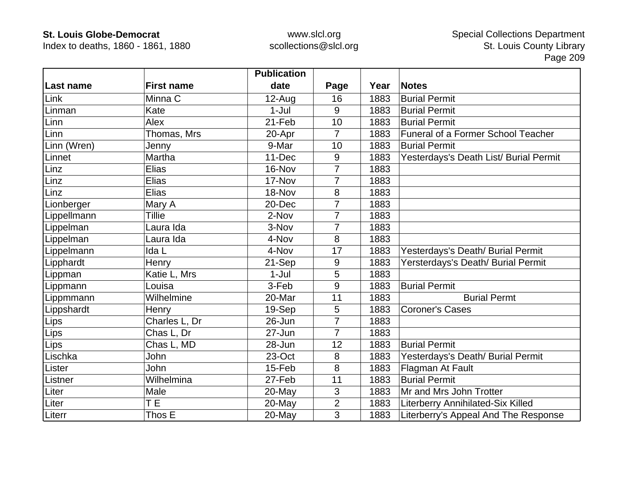Index to deaths, 1860 - 1861, 1880

|                 |                   | <b>Publication</b> |                |      |                                        |
|-----------------|-------------------|--------------------|----------------|------|----------------------------------------|
| Last name       | <b>First name</b> | date               | Page           | Year | <b>Notes</b>                           |
| Link            | Minna C           | $12$ -Aug          | 16             | 1883 | <b>Burial Permit</b>                   |
| Linman          | Kate              | $1-Jul$            | 9              | 1883 | <b>Burial Permit</b>                   |
| Linn            | Alex              | 21-Feb             | 10             | 1883 | <b>Burial Permit</b>                   |
| Linn            | Thomas, Mrs       | 20-Apr             | 7              | 1883 | Funeral of a Former School Teacher     |
| Linn (Wren)     | Jenny             | 9-Mar              | 10             | 1883 | <b>Burial Permit</b>                   |
| Linnet          | Martha            | 11-Dec             | 9              | 1883 | Yesterdays's Death List/ Burial Permit |
| Linz            | Elias             | 16-Nov             | 7              | 1883 |                                        |
| Linz            | <b>Elias</b>      | 17-Nov             | $\overline{7}$ | 1883 |                                        |
| Linz            | <b>Elias</b>      | 18-Nov             | 8              | 1883 |                                        |
| Lionberger      | Mary A            | 20-Dec             | $\overline{7}$ | 1883 |                                        |
| Lippellmann     | <b>Tillie</b>     | 2-Nov              | 7              | 1883 |                                        |
| Lippelman       | Laura Ida         | 3-Nov              | 7              | 1883 |                                        |
| <i>ippelman</i> | Laura Ida         | 4-Nov              | 8              | 1883 |                                        |
| Lippelmann      | Ida L             | 4-Nov              | 17             | 1883 | Yesterdays's Death/ Burial Permit      |
| Lipphardt       | Henry             | 21-Sep             | 9              | 1883 | Yersterdays's Death/ Burial Permit     |
| Lippman         | Katie L, Mrs      | $1-Jul$            | 5              | 1883 |                                        |
| Lippmann        | Louisa            | 3-Feb              | 9              | 1883 | <b>Burial Permit</b>                   |
| Lippmmann       | Wilhelmine        | 20-Mar             | 11             | 1883 | <b>Burial Permt</b>                    |
| Lippshardt      | Henry             | 19-Sep             | 5              | 1883 | <b>Coroner's Cases</b>                 |
| Lips            | Charles L, Dr     | 26-Jun             | 7              | 1883 |                                        |
| Lips            | Chas L, Dr        | 27-Jun             | $\overline{7}$ | 1883 |                                        |
| Lips            | Chas L, MD        | 28-Jun             | 12             | 1883 | <b>Burial Permit</b>                   |
| Lischka         | John              | 23-Oct             | 8              | 1883 | Yesterdays's Death/ Burial Permit      |
| Lister          | John              | 15-Feb             | 8              | 1883 | Flagman At Fault                       |
| Listner         | Wilhelmina        | 27-Feb             | 11             | 1883 | <b>Burial Permit</b>                   |
| Liter           | Male              | 20-May             | 3              | 1883 | Mr and Mrs John Trotter                |
| Liter           | T E               | 20-May             | $\overline{2}$ | 1883 | Literberry Annihilated-Six Killed      |
| Literr          | Thos E            | 20-May             | $\overline{3}$ | 1883 | Literberry's Appeal And The Response   |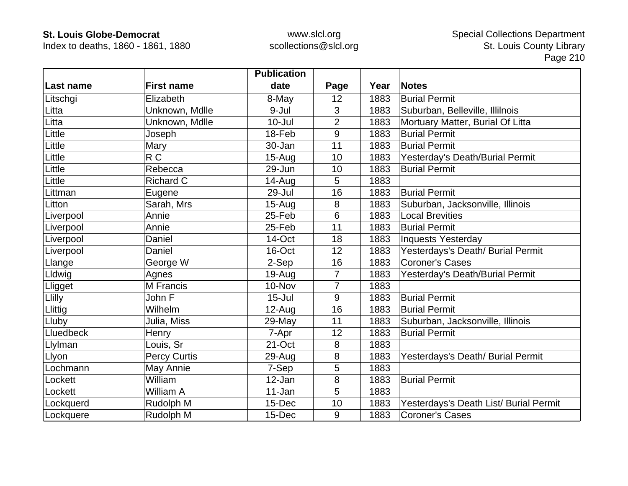Index to deaths, 1860 - 1861, 1880

|           |                     | <b>Publication</b> |                |      |                                        |
|-----------|---------------------|--------------------|----------------|------|----------------------------------------|
| Last name | <b>First name</b>   | date               | Page           | Year | <b>Notes</b>                           |
| Litschgi  | Elizabeth           | 8-May              | 12             | 1883 | <b>Burial Permit</b>                   |
| Litta     | Unknown, Mdlle      | 9-Jul              | 3              | 1883 | Suburban, Belleville, Illilnois        |
| Litta     | Unknown, Mdlle      | $10 -$ Jul         | $\overline{2}$ | 1883 | Mortuary Matter, Burial Of Litta       |
| Little    | Joseph              | 18-Feb             | 9              | 1883 | <b>Burial Permit</b>                   |
| Little    | Mary                | 30-Jan             | 11             | 1883 | <b>Burial Permit</b>                   |
| Little    | R <sub>C</sub>      | $15 - Aug$         | 10             | 1883 | Yesterday's Death/Burial Permit        |
| Little    | Rebecca             | 29-Jun             | 10             | 1883 | <b>Burial Permit</b>                   |
| Little    | Richard C           | 14-Aug             | 5              | 1883 |                                        |
| Littman   | Eugene              | 29-Jul             | 16             | 1883 | <b>Burial Permit</b>                   |
| Litton    | Sarah, Mrs          | $15-Auq$           | 8              | 1883 | Suburban, Jacksonville, Illinois       |
| Liverpool | Annie               | 25-Feb             | 6              | 1883 | <b>Local Brevities</b>                 |
| Liverpool | Annie               | 25-Feb             | 11             | 1883 | <b>Burial Permit</b>                   |
| Liverpool | Daniel              | 14-Oct             | 18             | 1883 | <b>Inquests Yesterday</b>              |
| Liverpool | Daniel              | 16-Oct             | 12             | 1883 | Yesterdays's Death/ Burial Permit      |
| Llange    | George W            | 2-Sep              | 16             | 1883 | <b>Coroner's Cases</b>                 |
| Lldwig    | Agnes               | $19-Auq$           | 7              | 1883 | Yesterday's Death/Burial Permit        |
| Lligget   | M Francis           | 10-Nov             | 7              | 1883 |                                        |
| Llilly    | John F              | $15 -$ Jul         | 9              | 1883 | <b>Burial Permit</b>                   |
| Llittig   | Wilhelm             | $12-Auq$           | 16             | 1883 | <b>Burial Permit</b>                   |
| Lluby     | Julia, Miss         | 29-May             | 11             | 1883 | Suburban, Jacksonville, Illinois       |
| Lluedbeck | Henry               | 7-Apr              | 12             | 1883 | <b>Burial Permit</b>                   |
| Llylman   | Louis, Sr           | 21-Oct             | 8              | 1883 |                                        |
| Llyon     | <b>Percy Curtis</b> | 29-Aug             | 8              | 1883 | Yesterdays's Death/ Burial Permit      |
| Lochmann  | May Annie           | 7-Sep              | 5              | 1883 |                                        |
| Lockett   | William             | 12-Jan             | 8              | 1883 | <b>Burial Permit</b>                   |
| Lockett   | William A           | 11-Jan             | 5              | 1883 |                                        |
| Lockquerd | Rudolph M           | 15-Dec             | 10             | 1883 | Yesterdays's Death List/ Burial Permit |
| Lockquere | Rudolph M           | 15-Dec             | 9              | 1883 | <b>Coroner's Cases</b>                 |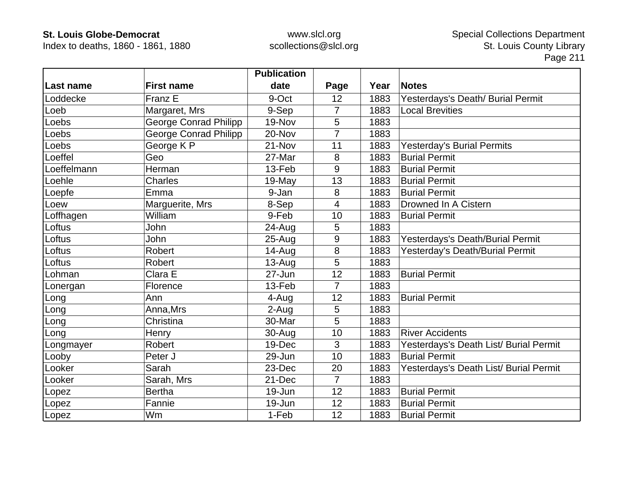Index to deaths, 1860 - 1861, 1880

|             |                              | <b>Publication</b> |                |      |                                        |
|-------------|------------------------------|--------------------|----------------|------|----------------------------------------|
| Last name   | <b>First name</b>            | date               | Page           | Year | <b>Notes</b>                           |
| Loddecke    | Franz E                      | 9-Oct              | 12             | 1883 | Yesterdays's Death/ Burial Permit      |
| Loeb        | Margaret, Mrs                | 9-Sep              | $\overline{7}$ | 1883 | <b>Local Brevities</b>                 |
| Loebs       | George Conrad Philipp        | 19-Nov             | 5              | 1883 |                                        |
| Loebs       | <b>George Conrad Philipp</b> | 20-Nov             | 7              | 1883 |                                        |
| Loebs       | George K P                   | 21-Nov             | 11             | 1883 | <b>Yesterday's Burial Permits</b>      |
| Loeffel     | Geo                          | 27-Mar             | 8              | 1883 | <b>Burial Permit</b>                   |
| Loeffelmann | Herman                       | 13-Feb             | 9              | 1883 | <b>Burial Permit</b>                   |
| Loehle      | <b>Charles</b>               | 19-May             | 13             | 1883 | <b>Burial Permit</b>                   |
| Loepfe      | Emma                         | 9-Jan              | 8              | 1883 | <b>Burial Permit</b>                   |
| Loew        | Marguerite, Mrs              | 8-Sep              | 4              | 1883 | Drowned In A Cistern                   |
| Loffhagen   | William                      | 9-Feb              | 10             | 1883 | <b>Burial Permit</b>                   |
| Loftus      | John                         | 24-Aug             | 5              | 1883 |                                        |
| Loftus      | John                         | $25 - Aug$         | 9              | 1883 | Yesterdays's Death/Burial Permit       |
| Loftus      | <b>Robert</b>                | 14-Aug             | 8              | 1883 | Yesterday's Death/Burial Permit        |
| Loftus      | <b>Robert</b>                | $13-Auq$           | 5              | 1883 |                                        |
| Lohman      | Clara E                      | 27-Jun             | 12             | 1883 | <b>Burial Permit</b>                   |
| Lonergan    | Florence                     | 13-Feb             | $\overline{7}$ | 1883 |                                        |
| Long        | Ann                          | 4-Aug              | 12             | 1883 | <b>Burial Permit</b>                   |
| Long        | Anna, Mrs                    | 2-Aug              | 5              | 1883 |                                        |
| Long        | Christina                    | 30-Mar             | 5              | 1883 |                                        |
| Long        | Henry                        | 30-Aug             | 10             | 1883 | <b>River Accidents</b>                 |
| Longmayer   | Robert                       | 19-Dec             | 3              | 1883 | Yesterdays's Death List/ Burial Permit |
| Looby       | Peter J                      | 29-Jun             | 10             | 1883 | <b>Burial Permit</b>                   |
| Looker      | Sarah                        | 23-Dec             | 20             | 1883 | Yesterdays's Death List/ Burial Permit |
| Looker      | Sarah, Mrs                   | 21-Dec             | $\overline{7}$ | 1883 |                                        |
| Lopez       | <b>Bertha</b>                | 19-Jun             | 12             | 1883 | <b>Burial Permit</b>                   |
| Lopez       | Fannie                       | 19-Jun             | 12             | 1883 | <b>Burial Permit</b>                   |
| Lopez       | Wm                           | 1-Feb              | 12             | 1883 | <b>Burial Permit</b>                   |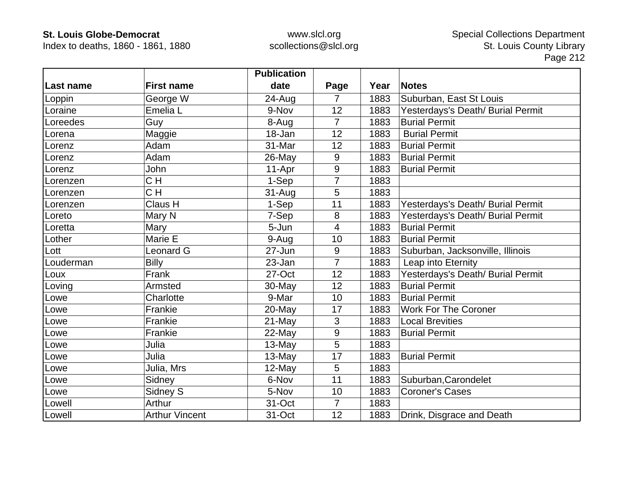Index to deaths, 1860 - 1861, 1880

|           |                       | <b>Publication</b> |                |      |                                   |
|-----------|-----------------------|--------------------|----------------|------|-----------------------------------|
| Last name | <b>First name</b>     | date               | Page           | Year | <b>Notes</b>                      |
| Loppin    | George W              | 24-Aug             | 7              | 1883 | Suburban, East St Louis           |
| Loraine   | Emelia L              | 9-Nov              | 12             | 1883 | Yesterdays's Death/ Burial Permit |
| Loreedes  | Guy                   | 8-Aug              | $\overline{7}$ | 1883 | <b>Burial Permit</b>              |
| Lorena    | Maggie                | 18-Jan             | 12             | 1883 | <b>Burial Permit</b>              |
| Lorenz    | Adam                  | 31-Mar             | 12             | 1883 | <b>Burial Permit</b>              |
| Lorenz    | Adam                  | 26-May             | 9              | 1883 | <b>Burial Permit</b>              |
| Lorenz    | John                  | 11-Apr             | 9              | 1883 | <b>Burial Permit</b>              |
| Lorenzen  | CH                    | 1-Sep              | 7              | 1883 |                                   |
| Lorenzen  | CH                    | $31-Auq$           | 5              | 1883 |                                   |
| Lorenzen  | Claus H               | 1-Sep              | 11             | 1883 | Yesterdays's Death/ Burial Permit |
| Loreto    | Mary N                | 7-Sep              | 8              | 1883 | Yesterdays's Death/ Burial Permit |
| Loretta   | Mary                  | 5-Jun              | 4              | 1883 | <b>Burial Permit</b>              |
| Lother    | Marie E               | 9-Aug              | 10             | 1883 | <b>Burial Permit</b>              |
| Lott      | <b>Leonard G</b>      | 27-Jun             | 9              | 1883 | Suburban, Jacksonville, Illinois  |
| Louderman | <b>Billy</b>          | 23-Jan             | $\overline{7}$ | 1883 | Leap into Eternity                |
| Loux      | Frank                 | 27-Oct             | 12             | 1883 | Yesterdays's Death/ Burial Permit |
| Loving    | Armsted               | $30$ -May          | 12             | 1883 | <b>Burial Permit</b>              |
| _owe      | Charlotte             | 9-Mar              | 10             | 1883 | <b>Burial Permit</b>              |
| Lowe      | Frankie               | 20-May             | 17             | 1883 | <b>Work For The Coroner</b>       |
| Lowe      | Frankie               | 21-May             | 3              | 1883 | <b>Local Brevities</b>            |
| Lowe      | Frankie               | 22-May             | $9\,$          | 1883 | <b>Burial Permit</b>              |
| Lowe      | Julia                 | 13-May             | 5              | 1883 |                                   |
| Lowe      | Julia                 | 13-May             | 17             | 1883 | <b>Burial Permit</b>              |
| Lowe      | Julia, Mrs            | 12-May             | 5              | 1883 |                                   |
| Lowe      | Sidney                | 6-Nov              | 11             | 1883 | Suburban, Carondelet              |
| Lowe      | Sidney S              | 5-Nov              | 10             | 1883 | <b>Coroner's Cases</b>            |
| Lowell    | Arthur                | 31-Oct             | $\overline{7}$ | 1883 |                                   |
| Lowell    | <b>Arthur Vincent</b> | 31-Oct             | 12             | 1883 | Drink, Disgrace and Death         |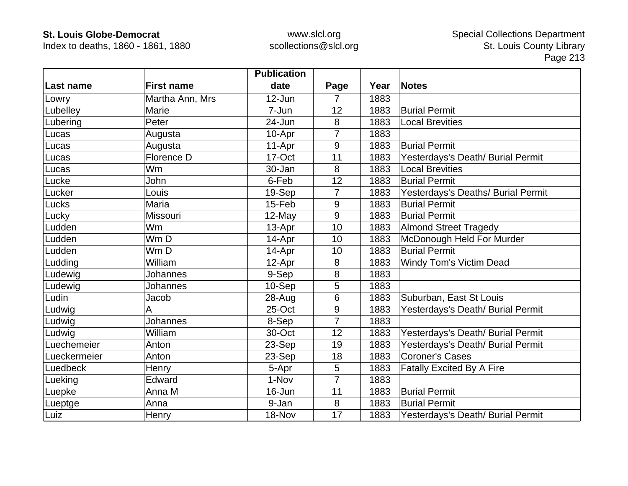Index to deaths, 1860 - 1861, 1880

|              |                   | <b>Publication</b> |                |      |                                    |
|--------------|-------------------|--------------------|----------------|------|------------------------------------|
| Last name    | <b>First name</b> | date               | Page           | Year | <b>Notes</b>                       |
| Lowry        | Martha Ann, Mrs   | 12-Jun             | 7              | 1883 |                                    |
| Lubelley     | Marie             | 7-Jun              | 12             | 1883 | <b>Burial Permit</b>               |
| Lubering     | Peter             | 24-Jun             | 8              | 1883 | <b>Local Brevities</b>             |
| Lucas        | Augusta           | 10-Apr             | 7              | 1883 |                                    |
| Lucas        | Augusta           | 11-Apr             | 9              | 1883 | <b>Burial Permit</b>               |
| Lucas        | Florence D        | 17-Oct             | 11             | 1883 | Yesterdays's Death/ Burial Permit  |
| Lucas        | Wm                | 30-Jan             | 8              | 1883 | <b>Local Brevities</b>             |
| Lucke        | John              | 6-Feb              | 12             | 1883 | <b>Burial Permit</b>               |
| Lucker       | Louis             | 19-Sep             | 7              | 1883 | Yesterdays's Deaths/ Burial Permit |
| Lucks        | Maria             | 15-Feb             | 9              | 1883 | <b>Burial Permit</b>               |
| Lucky        | Missouri          | $12$ -May          | 9              | 1883 | <b>Burial Permit</b>               |
| Ludden       | Wm                | 13-Apr             | 10             | 1883 | <b>Almond Street Tragedy</b>       |
| Ludden       | Wm D              | 14-Apr             | 10             | 1883 | McDonough Held For Murder          |
| Ludden       | Wm D              | 14-Apr             | 10             | 1883 | <b>Burial Permit</b>               |
| Ludding      | William           | 12-Apr             | 8              | 1883 | <b>Windy Tom's Victim Dead</b>     |
| Ludewig      | Johannes          | 9-Sep              | 8              | 1883 |                                    |
| Ludewig      | Johannes          | 10-Sep             | 5              | 1883 |                                    |
| Ludin        | Jacob             | 28-Aug             | 6              | 1883 | Suburban, East St Louis            |
| Ludwig       | A                 | 25-Oct             | 9              | 1883 | Yesterdays's Death/ Burial Permit  |
| Ludwig       | Johannes          | 8-Sep              | 7              | 1883 |                                    |
| Ludwig       | William           | 30-Oct             | 12             | 1883 | Yesterdays's Death/ Burial Permit  |
| Luechemeier  | Anton             | 23-Sep             | 19             | 1883 | Yesterdays's Death/ Burial Permit  |
| Lueckermeier | Anton             | 23-Sep             | 18             | 1883 | <b>Coroner's Cases</b>             |
| Luedbeck     | Henry             | 5-Apr              | 5              | 1883 | <b>Fatally Excited By A Fire</b>   |
| Lueking      | Edward            | 1-Nov              | $\overline{7}$ | 1883 |                                    |
| Luepke       | Anna M            | 16-Jun             | 11             | 1883 | <b>Burial Permit</b>               |
| Lueptge      | Anna              | 9-Jan              | 8              | 1883 | <b>Burial Permit</b>               |
| Luiz         | Henry             | 18-Nov             | 17             | 1883 | Yesterdays's Death/ Burial Permit  |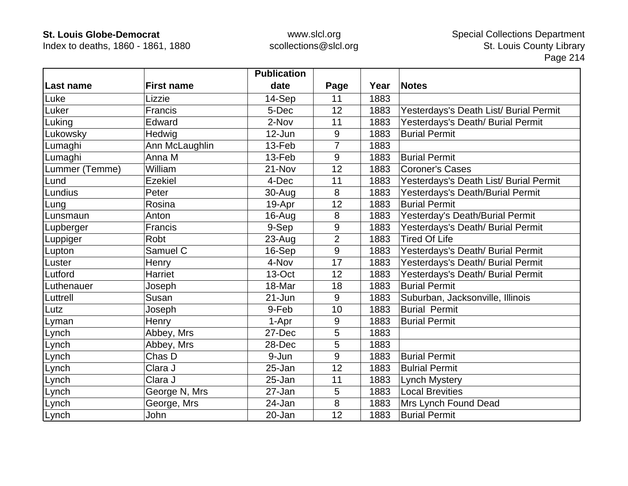Index to deaths, 1860 - 1861, 1880

|                |                       | <b>Publication</b> |                |      |                                        |
|----------------|-----------------------|--------------------|----------------|------|----------------------------------------|
| Last name      | <b>First name</b>     | date               | Page           | Year | <b>Notes</b>                           |
| Luke           | Lizzie                | 14-Sep             | 11             | 1883 |                                        |
| Luker          | Francis               | 5-Dec              | 12             | 1883 | Yesterdays's Death List/ Burial Permit |
| Luking         | Edward                | 2-Nov              | 11             | 1883 | Yesterdays's Death/ Burial Permit      |
| Lukowsky       | Hedwig                | 12-Jun             | 9              | 1883 | <b>Burial Permit</b>                   |
| Lumaghi        | Ann McLaughlin        | 13-Feb             | 7              | 1883 |                                        |
| Lumaghi        | Anna M                | 13-Feb             | 9              | 1883 | <b>Burial Permit</b>                   |
| Lummer (Temme) | William               | 21-Nov             | 12             | 1883 | <b>Coroner's Cases</b>                 |
| Lund           | <b>Ezekiel</b>        | 4-Dec              | 11             | 1883 | Yesterdays's Death List/ Burial Permit |
| Lundius        | Peter                 | 30-Aug             | 8              | 1883 | Yesterdays's Death/Burial Permit       |
| Lung           | Rosina                | 19-Apr             | 12             | 1883 | <b>Burial Permit</b>                   |
| Lunsmaun       | Anton                 | 16-Aug             | 8              | 1883 | Yesterday's Death/Burial Permit        |
| Lupberger      | Francis               | 9-Sep              | 9              | 1883 | Yesterdays's Death/ Burial Permit      |
| Luppiger       | Robt                  | 23-Aug             | $\overline{2}$ | 1883 | <b>Tired Of Life</b>                   |
| Lupton         | Samuel $\overline{C}$ | 16-Sep             | 9              | 1883 | Yesterdays's Death/ Burial Permit      |
| Luster         | Henry                 | 4-Nov              | 17             | 1883 | Yesterdays's Death/ Burial Permit      |
| Lutford        | Harriet               | 13-Oct             | 12             | 1883 | Yesterdays's Death/ Burial Permit      |
| Luthenauer     | Joseph                | 18-Mar             | 18             | 1883 | <b>Burial Permit</b>                   |
| Luttrell       | Susan                 | $21 - Jun$         | 9              | 1883 | Suburban, Jacksonville, Illinois       |
| Lutz           | Joseph                | 9-Feb              | 10             | 1883 | <b>Burial Permit</b>                   |
| Lyman          | Henry                 | 1-Apr              | 9              | 1883 | <b>Burial Permit</b>                   |
| Lynch          | Abbey, Mrs            | 27-Dec             | 5              | 1883 |                                        |
| Lynch          | Abbey, Mrs            | 28-Dec             | 5              | 1883 |                                        |
| Lynch          | Chas D                | 9-Jun              | 9              | 1883 | <b>Burial Permit</b>                   |
| Lynch          | Clara J               | 25-Jan             | 12             | 1883 | <b>Bulrial Permit</b>                  |
| Lynch          | Clara J               | 25-Jan             | 11             | 1883 | <b>Lynch Mystery</b>                   |
| Lynch          | George N, Mrs         | 27-Jan             | 5              | 1883 | <b>Local Brevities</b>                 |
| Lynch          | George, Mrs           | 24-Jan             | 8              | 1883 | Mrs Lynch Found Dead                   |
| Lynch          | John                  | 20-Jan             | 12             | 1883 | <b>Burial Permit</b>                   |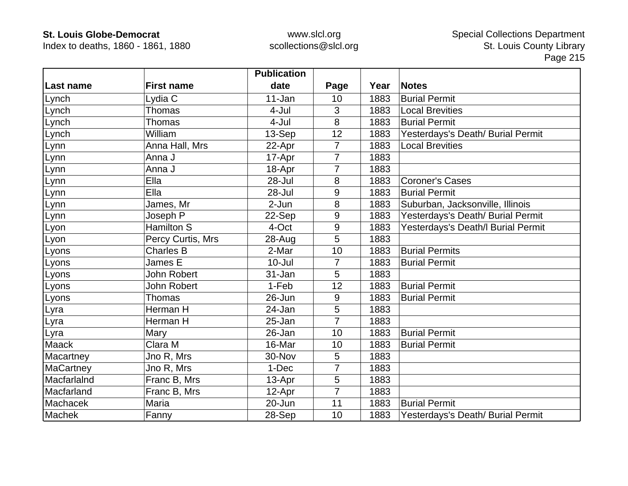Index to deaths, 1860 - 1861, 1880

|                  |                    | <b>Publication</b> |                |      |                                    |
|------------------|--------------------|--------------------|----------------|------|------------------------------------|
| <b>Last name</b> | <b>First name</b>  | date               | Page           | Year | <b>Notes</b>                       |
| Lynch            | Lydia C            | 11-Jan             | 10             | 1883 | <b>Burial Permit</b>               |
| Lynch            | Thomas             | 4-Jul              | 3              | 1883 | <b>Local Brevities</b>             |
| Lynch            | <b>Thomas</b>      | 4-Jul              | 8              | 1883 | <b>Burial Permit</b>               |
| Lynch            | William            | 13-Sep             | 12             | 1883 | Yesterdays's Death/ Burial Permit  |
| Lynn             | Anna Hall, Mrs     | 22-Apr             | $\overline{7}$ | 1883 | <b>Local Brevities</b>             |
| Lynn             | Anna J             | 17-Apr             | $\overline{7}$ | 1883 |                                    |
| Lynn             | Anna J             | 18-Apr             | 7              | 1883 |                                    |
| Lynn             | Ella               | 28-Jul             | 8              | 1883 | <b>Coroner's Cases</b>             |
| Lynn             | Ella               | 28-Jul             | 9              | 1883 | <b>Burial Permit</b>               |
| Lynn             | James, Mr          | 2-Jun              | 8              | 1883 | Suburban, Jacksonville, Illinois   |
| Lynn             | Joseph P           | 22-Sep             | 9              | 1883 | Yesterdays's Death/ Burial Permit  |
| Lyon             | <b>Hamilton S</b>  | 4-Oct              | 9              | 1883 | Yesterdays's Death/I Burial Permit |
| Lyon             | Percy Curtis, Mrs  | 28-Aug             | 5              | 1883 |                                    |
| Lyons            | <b>Charles B</b>   | 2-Mar              | 10             | 1883 | <b>Burial Permits</b>              |
| Lyons            | James E            | $10 -$ Jul         | 7              | 1883 | <b>Burial Permit</b>               |
| Lyons            | <b>John Robert</b> | 31-Jan             | 5              | 1883 |                                    |
| Lyons            | John Robert        | 1-Feb              | 12             | 1883 | <b>Burial Permit</b>               |
| Lyons            | <b>Thomas</b>      | 26-Jun             | 9              | 1883 | <b>Burial Permit</b>               |
| Lyra             | Herman H           | 24-Jan             | 5              | 1883 |                                    |
| Lyra             | Herman H           | 25-Jan             | $\overline{7}$ | 1883 |                                    |
| Lyra             | Mary               | 26-Jan             | 10             | 1883 | <b>Burial Permit</b>               |
| <b>Maack</b>     | Clara M            | 16-Mar             | 10             | 1883 | <b>Burial Permit</b>               |
| Macartney        | Jno R, Mrs         | 30-Nov             | 5              | 1883 |                                    |
| MaCartney        | Jno R, Mrs         | 1-Dec              | $\overline{7}$ | 1883 |                                    |
| MacfarlaInd      | Franc B, Mrs       | 13-Apr             | 5              | 1883 |                                    |
| Macfarland       | Franc B, Mrs       | 12-Apr             | $\overline{7}$ | 1883 |                                    |
| Machacek         | Maria              | 20-Jun             | 11             | 1883 | <b>Burial Permit</b>               |
| Machek           | Fanny              | 28-Sep             | 10             | 1883 | Yesterdays's Death/ Burial Permit  |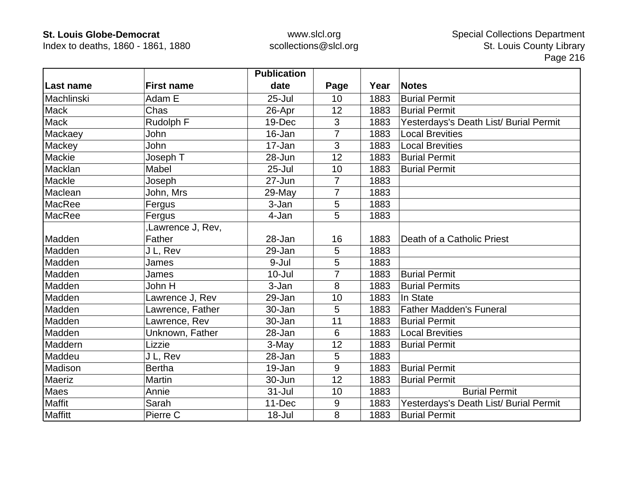Index to deaths, 1860 - 1861, 1880

|                |                   | <b>Publication</b> |                |      |                                        |
|----------------|-------------------|--------------------|----------------|------|----------------------------------------|
| Last name      | <b>First name</b> | date               | Page           | Year | <b>Notes</b>                           |
| Machlinski     | Adam E            | $25 -$ Jul         | 10             | 1883 | <b>Burial Permit</b>                   |
| <b>Mack</b>    | Chas              | 26-Apr             | 12             | 1883 | <b>Burial Permit</b>                   |
| <b>Mack</b>    | Rudolph F         | 19-Dec             | 3              | 1883 | Yesterdays's Death List/ Burial Permit |
| Mackaey        | John              | 16-Jan             | $\overline{7}$ | 1883 | <b>Local Brevities</b>                 |
| Mackey         | John              | 17-Jan             | 3              | 1883 | <b>Local Brevities</b>                 |
| Mackie         | Joseph T          | 28-Jun             | 12             | 1883 | <b>Burial Permit</b>                   |
| Macklan        | Mabel             | $25 -$ Jul         | 10             | 1883 | <b>Burial Permit</b>                   |
| Mackle         | Joseph            | 27-Jun             | $\overline{7}$ | 1883 |                                        |
| Maclean        | John, Mrs         | 29-May             | 7              | 1883 |                                        |
| MacRee         | Fergus            | 3-Jan              | 5              | 1883 |                                        |
| MacRee         | Fergus            | 4-Jan              | 5              | 1883 |                                        |
|                | Lawrence J, Rev,  |                    |                |      |                                        |
| Madden         | Father            | 28-Jan             | 16             | 1883 | Death of a Catholic Priest             |
| Madden         | J L, Rev          | 29-Jan             | 5              | 1883 |                                        |
| Madden         | James             | 9-Jul              | 5              | 1883 |                                        |
| Madden         | James             | $10 -$ Jul         | $\overline{7}$ | 1883 | <b>Burial Permit</b>                   |
| Madden         | John H            | 3-Jan              | 8              | 1883 | <b>Burial Permits</b>                  |
| Madden         | Lawrence J, Rev   | 29-Jan             | 10             | 1883 | In State                               |
| Madden         | Lawrence, Father  | 30-Jan             | 5              | 1883 | <b>Father Madden's Funeral</b>         |
| Madden         | Lawrence, Rev     | 30-Jan             | 11             | 1883 | <b>Burial Permit</b>                   |
| Madden         | Unknown, Father   | 28-Jan             | 6              | 1883 | <b>Local Brevities</b>                 |
| Maddern        | Lizzie            | 3-May              | 12             | 1883 | <b>Burial Permit</b>                   |
| Maddeu         | J L, Rev          | 28-Jan             | 5              | 1883 |                                        |
| Madison        | <b>Bertha</b>     | 19-Jan             | 9              | 1883 | <b>Burial Permit</b>                   |
| Maeriz         | Martin            | 30-Jun             | 12             | 1883 | <b>Burial Permit</b>                   |
| Maes           | Annie             | $31 -$ Jul         | 10             | 1883 | <b>Burial Permit</b>                   |
| Maffit         | Sarah             | 11-Dec             | 9              | 1883 | Yesterdays's Death List/ Burial Permit |
| <b>Maffitt</b> | Pierre C          | 18-Jul             | 8              | 1883 | <b>Burial Permit</b>                   |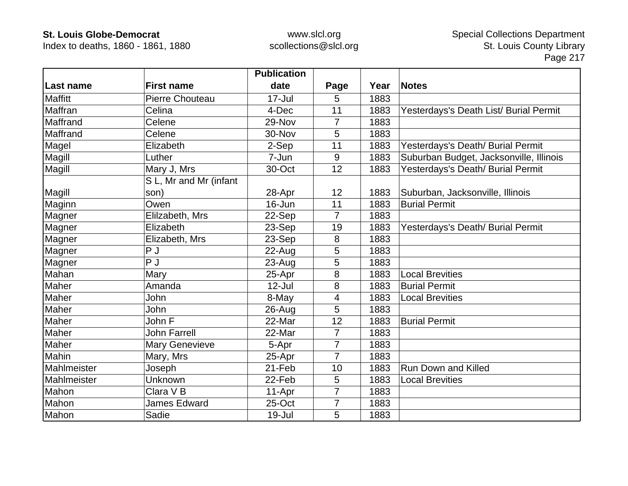Index to deaths, 1860 - 1861, 1880

|                |                        | <b>Publication</b> |                |      |                                         |
|----------------|------------------------|--------------------|----------------|------|-----------------------------------------|
| Last name      | <b>First name</b>      | date               | Page           | Year | <b>Notes</b>                            |
| <b>Maffitt</b> | Pierre Chouteau        | $17 -$ Jul         | 5              | 1883 |                                         |
| Maffran        | Celina                 | 4-Dec              | 11             | 1883 | Yesterdays's Death List/ Burial Permit  |
| Maffrand       | Celene                 | 29-Nov             | 7              | 1883 |                                         |
| Maffrand       | Celene                 | 30-Nov             | 5              | 1883 |                                         |
| Magel          | Elizabeth              | 2-Sep              | 11             | 1883 | Yesterdays's Death/ Burial Permit       |
| Magill         | Luther                 | 7-Jun              | 9              | 1883 | Suburban Budget, Jacksonville, Illinois |
| Magill         | Mary J, Mrs            | 30-Oct             | 12             | 1883 | Yesterdays's Death/ Burial Permit       |
|                | S L, Mr and Mr (infant |                    |                |      |                                         |
| Magill         | son)                   | 28-Apr             | 12             | 1883 | Suburban, Jacksonville, Illinois        |
| Maginn         | Owen                   | 16-Jun             | 11             | 1883 | <b>Burial Permit</b>                    |
| Magner         | Elilzabeth, Mrs        | 22-Sep             | $\overline{7}$ | 1883 |                                         |
| Magner         | Elizabeth              | 23-Sep             | 19             | 1883 | Yesterdays's Death/ Burial Permit       |
| Magner         | Elizabeth, Mrs         | 23-Sep             | 8              | 1883 |                                         |
| Magner         | P J                    | $22$ -Aug          | 5              | 1883 |                                         |
| Magner         | P J                    | $23 - Aug$         | 5              | 1883 |                                         |
| Mahan          | Mary                   | 25-Apr             | 8              | 1883 | <b>Local Brevities</b>                  |
| Maher          | Amanda                 | $12$ -Jul          | 8              | 1883 | <b>Burial Permit</b>                    |
| Maher          | John                   | 8-May              | 4              | 1883 | <b>Local Brevities</b>                  |
| Maher          | John                   | $26 - Aug$         | 5              | 1883 |                                         |
| Maher          | John F                 | 22-Mar             | 12             | 1883 | <b>Burial Permit</b>                    |
| Maher          | <b>John Farrell</b>    | 22-Mar             | $\overline{7}$ | 1883 |                                         |
| Maher          | <b>Mary Genevieve</b>  | 5-Apr              | $\overline{7}$ | 1883 |                                         |
| Mahin          | Mary, Mrs              | 25-Apr             | $\overline{7}$ | 1883 |                                         |
| Mahlmeister    | Joseph                 | 21-Feb             | 10             | 1883 | <b>Run Down and Killed</b>              |
| Mahlmeister    | Unknown                | 22-Feb             | 5              | 1883 | <b>Local Brevities</b>                  |
| Mahon          | Clara V <sub>B</sub>   | 11-Apr             | $\overline{7}$ | 1883 |                                         |
| Mahon          | <b>James Edward</b>    | 25-Oct             | $\overline{7}$ | 1883 |                                         |
| Mahon          | Sadie                  | 19-Jul             | 5              | 1883 |                                         |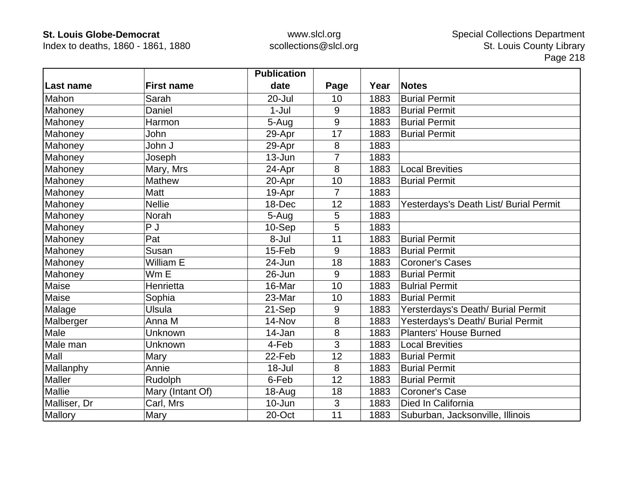Index to deaths, 1860 - 1861, 1880

|               |                   | <b>Publication</b> |                |      |                                        |
|---------------|-------------------|--------------------|----------------|------|----------------------------------------|
| Last name     | <b>First name</b> | date               | Page           | Year | <b>Notes</b>                           |
| Mahon         | Sarah             | $20 -$ Jul         | 10             | 1883 | <b>Burial Permit</b>                   |
| Mahoney       | Daniel            | $1-Jul$            | 9              | 1883 | <b>Burial Permit</b>                   |
| Mahoney       | Harmon            | 5-Aug              | 9              | 1883 | <b>Burial Permit</b>                   |
| Mahoney       | John              | 29-Apr             | 17             | 1883 | <b>Burial Permit</b>                   |
| Mahoney       | John J            | 29-Apr             | 8              | 1883 |                                        |
| Mahoney       | Joseph            | 13-Jun             | 7              | 1883 |                                        |
| Mahoney       | Mary, Mrs         | 24-Apr             | 8              | 1883 | <b>Local Brevities</b>                 |
| Mahoney       | Mathew            | 20-Apr             | 10             | 1883 | <b>Burial Permit</b>                   |
| Mahoney       | Matt              | 19-Apr             | $\overline{7}$ | 1883 |                                        |
| Mahoney       | <b>Nellie</b>     | 18-Dec             | 12             | 1883 | Yesterdays's Death List/ Burial Permit |
| Mahoney       | Norah             | 5-Aug              | 5              | 1883 |                                        |
| Mahoney       | P <sub>J</sub>    | 10-Sep             | 5              | 1883 |                                        |
| Mahoney       | Pat               | 8-Jul              | 11             | 1883 | <b>Burial Permit</b>                   |
| Mahoney       | Susan             | 15-Feb             | 9              | 1883 | <b>Burial Permit</b>                   |
| Mahoney       | William E         | 24-Jun             | 18             | 1883 | <b>Coroner's Cases</b>                 |
| Mahoney       | Wm E              | 26-Jun             | 9              | 1883 | <b>Burial Permit</b>                   |
| Maise         | Henrietta         | 16-Mar             | 10             | 1883 | <b>Bulrial Permit</b>                  |
| Maise         | Sophia            | 23-Mar             | 10             | 1883 | <b>Burial Permit</b>                   |
| Malage        | <b>Ulsula</b>     | 21-Sep             | 9              | 1883 | Yersterdays's Death/ Burial Permit     |
| Malberger     | Anna M            | 14-Nov             | 8              | 1883 | Yesterdays's Death/ Burial Permit      |
| Male          | Unknown           | 14-Jan             | 8              | 1883 | <b>Planters' House Burned</b>          |
| Male man      | Unknown           | 4-Feb              | 3              | 1883 | <b>Local Brevities</b>                 |
| Mall          | Mary              | 22-Feb             | 12             | 1883 | <b>Burial Permit</b>                   |
| Mallanphy     | Annie             | 18-Jul             | 8              | 1883 | <b>Burial Permit</b>                   |
| Maller        | Rudolph           | 6-Feb              | 12             | 1883 | <b>Burial Permit</b>                   |
| <b>Mallie</b> | Mary (Intant Of)  | $18 - Aug$         | 18             | 1883 | <b>Coroner's Case</b>                  |
| Malliser, Dr  | Carl, Mrs         | 10-Jun             | 3              | 1883 | Died In California                     |
| Mallory       | Mary              | 20-Oct             | 11             | 1883 | Suburban, Jacksonville, Illinois       |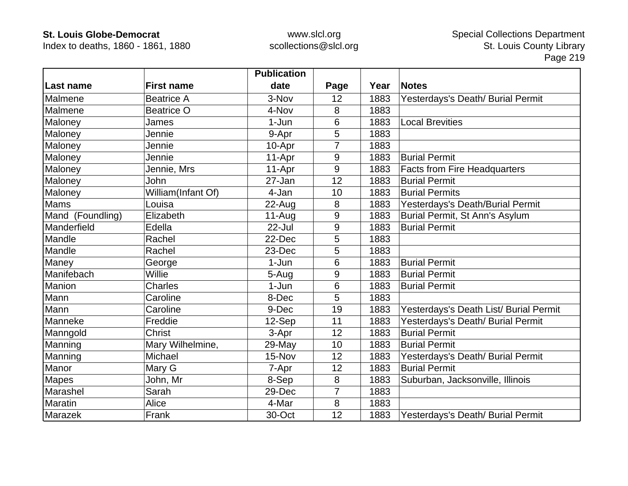Index to deaths, 1860 - 1861, 1880

|                  |                    | <b>Publication</b> |      |      |                                        |
|------------------|--------------------|--------------------|------|------|----------------------------------------|
| Last name        | <b>First name</b>  | date               | Page | Year | <b>Notes</b>                           |
| Malmene          | <b>Beatrice A</b>  | 3-Nov              | 12   | 1883 | Yesterdays's Death/ Burial Permit      |
| Malmene          | <b>Beatrice O</b>  | 4-Nov              | 8    | 1883 |                                        |
| Maloney          | James              | 1-Jun              | 6    | 1883 | <b>Local Brevities</b>                 |
| Maloney          | Jennie             | 9-Apr              | 5    | 1883 |                                        |
| Maloney          | Jennie             | 10-Apr             | 7    | 1883 |                                        |
| Maloney          | Jennie             | 11-Apr             | 9    | 1883 | <b>Burial Permit</b>                   |
| Maloney          | Jennie, Mrs        | 11-Apr             | 9    | 1883 | <b>Facts from Fire Headquarters</b>    |
| Maloney          | John               | 27-Jan             | 12   | 1883 | <b>Burial Permit</b>                   |
| Maloney          | William(Infant Of) | 4-Jan              | 10   | 1883 | <b>Burial Permits</b>                  |
| <b>Mams</b>      | Louisa             | 22-Aug             | 8    | 1883 | Yesterdays's Death/Burial Permit       |
| Mand (Foundling) | Elizabeth          | $11-Au$ g          | 9    | 1883 | Burial Permit, St Ann's Asylum         |
| Manderfield      | Edella             | 22-Jul             | 9    | 1883 | <b>Burial Permit</b>                   |
| Mandle           | Rachel             | 22-Dec             | 5    | 1883 |                                        |
| Mandle           | Rachel             | 23-Dec             | 5    | 1883 |                                        |
| Maney            | George             | 1-Jun              | 6    | 1883 | <b>Burial Permit</b>                   |
| Manifebach       | Willie             | 5-Aug              | 9    | 1883 | <b>Burial Permit</b>                   |
| Manion           | <b>Charles</b>     | 1-Jun              | 6    | 1883 | <b>Burial Permit</b>                   |
| Mann             | Caroline           | 8-Dec              | 5    | 1883 |                                        |
| Mann             | Caroline           | 9-Dec              | 19   | 1883 | Yesterdays's Death List/ Burial Permit |
| Manneke          | Freddie            | 12-Sep             | 11   | 1883 | Yesterdays's Death/ Burial Permit      |
| Manngold         | <b>Christ</b>      | 3-Apr              | 12   | 1883 | <b>Burial Permit</b>                   |
| Manning          | Mary Wilhelmine,   | 29-May             | 10   | 1883 | <b>Burial Permit</b>                   |
| Manning          | Michael            | 15-Nov             | 12   | 1883 | Yesterdays's Death/ Burial Permit      |
| Manor            | Mary G             | 7-Apr              | 12   | 1883 | <b>Burial Permit</b>                   |
| <b>Mapes</b>     | John, Mr           | 8-Sep              | 8    | 1883 | Suburban, Jacksonville, Illinois       |
| Marashel         | Sarah              | 29-Dec             | 7    | 1883 |                                        |
| Maratin          | Alice              | 4-Mar              | 8    | 1883 |                                        |
| Marazek          | Frank              | 30-Oct             | 12   | 1883 | Yesterdays's Death/ Burial Permit      |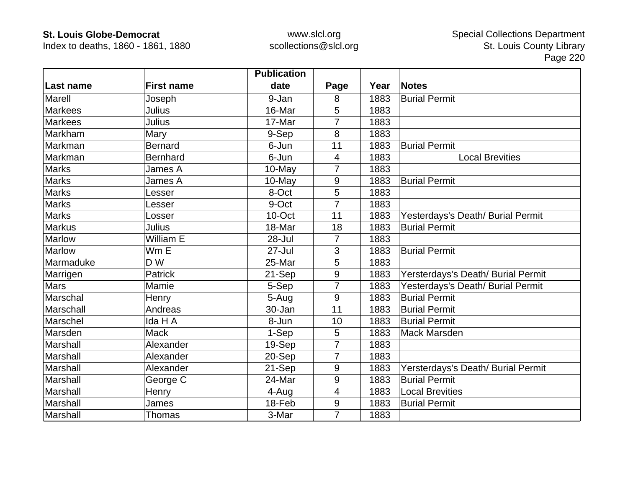Index to deaths, 1860 - 1861, 1880

|                  |                   | <b>Publication</b> |                |      |                                    |
|------------------|-------------------|--------------------|----------------|------|------------------------------------|
| <b>Last name</b> | <b>First name</b> | date               | Page           | Year | <b>Notes</b>                       |
| <b>Marell</b>    | Joseph            | 9-Jan              | 8              | 1883 | <b>Burial Permit</b>               |
| <b>Markees</b>   | Julius            | 16-Mar             | 5              | 1883 |                                    |
| <b>Markees</b>   | Julius            | 17-Mar             | 7              | 1883 |                                    |
| Markham          | Mary              | 9-Sep              | 8              | 1883 |                                    |
| Markman          | <b>Bernard</b>    | 6-Jun              | 11             | 1883 | <b>Burial Permit</b>               |
| Markman          | <b>Bernhard</b>   | 6-Jun              | $\overline{4}$ | 1883 | <b>Local Brevities</b>             |
| <b>Marks</b>     | James A           | 10-May             | 7              | 1883 |                                    |
| <b>Marks</b>     | James A           | 10-May             | $9\,$          | 1883 | <b>Burial Permit</b>               |
| <b>Marks</b>     | Lesser            | 8-Oct              | 5              | 1883 |                                    |
| <b>Marks</b>     | Lesser            | 9-Oct              | $\overline{7}$ | 1883 |                                    |
| <b>Marks</b>     | Losser            | 10-Oct             | 11             | 1883 | Yesterdays's Death/ Burial Permit  |
| <b>Markus</b>    | Julius            | 18-Mar             | 18             | 1883 | <b>Burial Permit</b>               |
| Marlow           | William E         | 28-Jul             | 7              | 1883 |                                    |
| Marlow           | Wm E              | $27 -$ Jul         | 3              | 1883 | <b>Burial Permit</b>               |
| Marmaduke        | D W               | 25-Mar             | 5              | 1883 |                                    |
| Marrigen         | <b>Patrick</b>    | 21-Sep             | $9\,$          | 1883 | Yersterdays's Death/ Burial Permit |
| <b>Mars</b>      | Mamie             | 5-Sep              | $\overline{7}$ | 1883 | Yesterdays's Death/ Burial Permit  |
| Marschal         | Henry             | 5-Aug              | 9              | 1883 | <b>Burial Permit</b>               |
| Marschall        | Andreas           | 30-Jan             | 11             | 1883 | <b>Burial Permit</b>               |
| Marschel         | Ida H A           | 8-Jun              | 10             | 1883 | <b>Burial Permit</b>               |
| Marsden          | <b>Mack</b>       | 1-Sep              | $\overline{5}$ | 1883 | <b>Mack Marsden</b>                |
| Marshall         | Alexander         | 19-Sep             | $\overline{7}$ | 1883 |                                    |
| Marshall         | Alexander         | 20-Sep             | $\overline{7}$ | 1883 |                                    |
| Marshall         | Alexander         | 21-Sep             | 9              | 1883 | Yersterdays's Death/ Burial Permit |
| Marshall         | George C          | 24-Mar             | 9              | 1883 | <b>Burial Permit</b>               |
| Marshall         | Henry             | 4-Aug              | 4              | 1883 | <b>Local Brevities</b>             |
| Marshall         | James             | 18-Feb             | $9\,$          | 1883 | <b>Burial Permit</b>               |
| Marshall         | <b>Thomas</b>     | 3-Mar              | $\overline{7}$ | 1883 |                                    |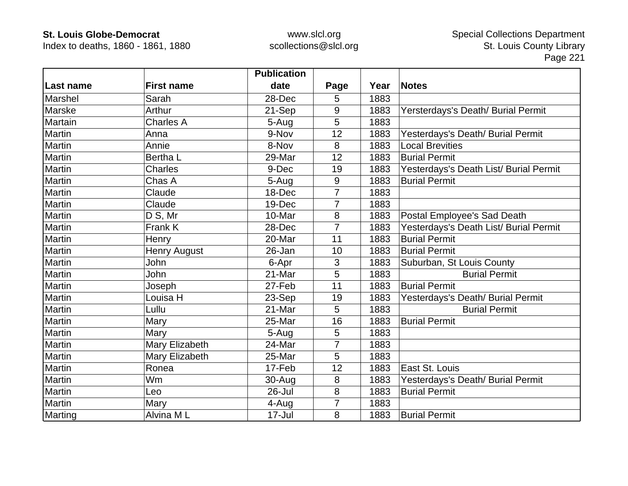Index to deaths, 1860 - 1861, 1880

|           |                     | <b>Publication</b> |                |      |                                        |
|-----------|---------------------|--------------------|----------------|------|----------------------------------------|
| Last name | <b>First name</b>   | date               | Page           | Year | <b>Notes</b>                           |
| Marshel   | Sarah               | 28-Dec             | 5              | 1883 |                                        |
| Marske    | Arthur              | 21-Sep             | 9              | 1883 | Yersterdays's Death/ Burial Permit     |
| Martain   | <b>Charles A</b>    | 5-Aug              | 5              | 1883 |                                        |
| Martin    | Anna                | 9-Nov              | 12             | 1883 | Yesterdays's Death/ Burial Permit      |
| Martin    | Annie               | 8-Nov              | 8              | 1883 | <b>Local Brevities</b>                 |
| Martin    | Bertha L            | 29-Mar             | 12             | 1883 | <b>Burial Permit</b>                   |
| Martin    | <b>Charles</b>      | 9-Dec              | 19             | 1883 | Yesterdays's Death List/ Burial Permit |
| Martin    | Chas A              | 5-Aug              | 9              | 1883 | <b>Burial Permit</b>                   |
| Martin    | Claude              | 18-Dec             | 7              | 1883 |                                        |
| Martin    | Claude              | 19-Dec             | $\overline{7}$ | 1883 |                                        |
| Martin    | D S, Mr             | 10-Mar             | 8              | 1883 | Postal Employee's Sad Death            |
| Martin    | Frank K             | 28-Dec             | $\overline{7}$ | 1883 | Yesterdays's Death List/ Burial Permit |
| Martin    | Henry               | 20-Mar             | 11             | 1883 | <b>Burial Permit</b>                   |
| Martin    | <b>Henry August</b> | 26-Jan             | 10             | 1883 | <b>Burial Permit</b>                   |
| Martin    | John                | 6-Apr              | 3              | 1883 | Suburban, St Louis County              |
| Martin    | John                | 21-Mar             | 5              | 1883 | <b>Burial Permit</b>                   |
| Martin    | Joseph              | 27-Feb             | 11             | 1883 | <b>Burial Permit</b>                   |
| Martin    | Louisa H            | 23-Sep             | 19             | 1883 | Yesterdays's Death/ Burial Permit      |
| Martin    | Lullu               | 21-Mar             | 5              | 1883 | <b>Burial Permit</b>                   |
| Martin    | Mary                | 25-Mar             | 16             | 1883 | <b>Burial Permit</b>                   |
| Martin    | Mary                | 5-Aug              | 5              | 1883 |                                        |
| Martin    | Mary Elizabeth      | 24-Mar             | $\overline{7}$ | 1883 |                                        |
| Martin    | Mary Elizabeth      | 25-Mar             | 5              | 1883 |                                        |
| Martin    | Ronea               | 17-Feb             | 12             | 1883 | East St. Louis                         |
| Martin    | <b>Wm</b>           | 30-Aug             | 8              | 1883 | Yesterdays's Death/ Burial Permit      |
| Martin    | Leo                 | 26-Jul             | 8              | 1883 | <b>Burial Permit</b>                   |
| Martin    | Mary                | 4-Aug              | 7              | 1883 |                                        |
| Marting   | Alvina ML           | 17-Jul             | 8              | 1883 | <b>Burial Permit</b>                   |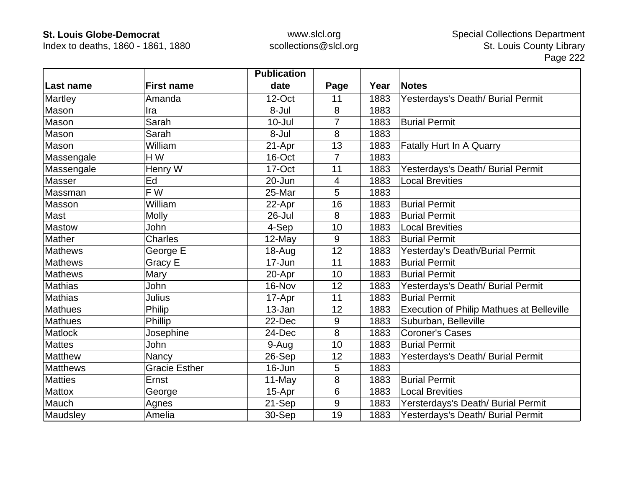Index to deaths, 1860 - 1861, 1880

|                 |                      | <b>Publication</b> |                |      |                                                  |
|-----------------|----------------------|--------------------|----------------|------|--------------------------------------------------|
| Last name       | <b>First name</b>    | date               | Page           | Year | <b>Notes</b>                                     |
| Martley         | Amanda               | 12-Oct             | 11             | 1883 | Yesterdays's Death/ Burial Permit                |
| Mason           | Ira                  | 8-Jul              | 8              | 1883 |                                                  |
| Mason           | Sarah                | $10 -$ Jul         | 7              | 1883 | <b>Burial Permit</b>                             |
| Mason           | Sarah                | 8-Jul              | 8              | 1883 |                                                  |
| Mason           | William              | 21-Apr             | 13             | 1883 | Fatally Hurt In A Quarry                         |
| Massengale      | H W                  | 16-Oct             | $\overline{7}$ | 1883 |                                                  |
| Massengale      | Henry W              | 17-Oct             | 11             | 1883 | Yesterdays's Death/ Burial Permit                |
| Masser          | Ed                   | 20-Jun             | 4              | 1883 | <b>Local Brevities</b>                           |
| Massman         | F W                  | 25-Mar             | 5              | 1883 |                                                  |
| Masson          | William              | 22-Apr             | 16             | 1883 | <b>Burial Permit</b>                             |
| Mast            | <b>Molly</b>         | 26-Jul             | 8              | 1883 | <b>Burial Permit</b>                             |
| <b>Mastow</b>   | John                 | 4-Sep              | 10             | 1883 | <b>Local Brevities</b>                           |
| Mather          | <b>Charles</b>       | $12$ -May          | 9              | 1883 | <b>Burial Permit</b>                             |
| <b>Mathews</b>  | George E             | 18-Aug             | 12             | 1883 | Yesterday's Death/Burial Permit                  |
| <b>Mathews</b>  | Gracy E              | 17-Jun             | 11             | 1883 | <b>Burial Permit</b>                             |
| <b>Mathews</b>  | Mary                 | 20-Apr             | 10             | 1883 | <b>Burial Permit</b>                             |
| <b>Mathias</b>  | John                 | 16-Nov             | 12             | 1883 | Yesterdays's Death/ Burial Permit                |
| <b>Mathias</b>  | Julius               | 17-Apr             | 11             | 1883 | <b>Burial Permit</b>                             |
| <b>Mathues</b>  | Philip               | 13-Jan             | 12             | 1883 | <b>Execution of Philip Mathues at Belleville</b> |
| <b>Mathues</b>  | Phillip              | 22-Dec             | 9              | 1883 | Suburban, Belleville                             |
| Matlock         | Josephine            | 24-Dec             | 8              | 1883 | <b>Coroner's Cases</b>                           |
| <b>Mattes</b>   | John                 | 9-Aug              | 10             | 1883 | <b>Burial Permit</b>                             |
| Matthew         | Nancy                | 26-Sep             | 12             | 1883 | Yesterdays's Death/ Burial Permit                |
| <b>Matthews</b> | <b>Gracie Esther</b> | 16-Jun             | 5              | 1883 |                                                  |
| <b>Matties</b>  | Ernst                | 11-May             | 8              | 1883 | <b>Burial Permit</b>                             |
| <b>Mattox</b>   | George               | 15-Apr             | 6              | 1883 | <b>Local Brevities</b>                           |
| Mauch           | Agnes                | 21-Sep             | 9              | 1883 | Yersterdays's Death/ Burial Permit               |
| Maudsley        | Amelia               | 30-Sep             | 19             | 1883 | Yesterdays's Death/ Burial Permit                |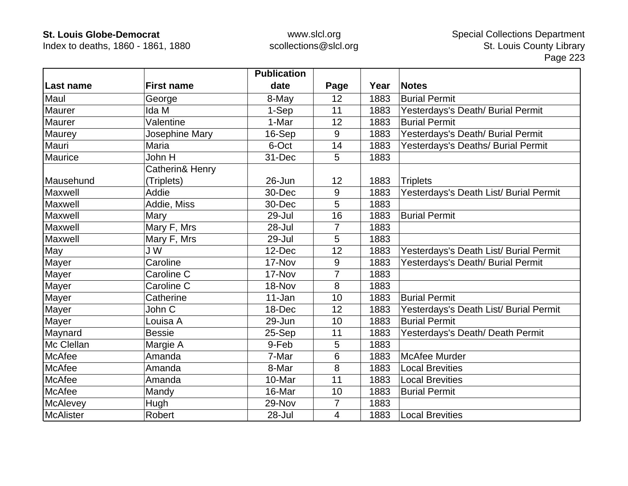Index to deaths, 1860 - 1861, 1880

|                  |                   | <b>Publication</b> |                |      |                                        |
|------------------|-------------------|--------------------|----------------|------|----------------------------------------|
| Last name        | <b>First name</b> | date               | Page           | Year | <b>Notes</b>                           |
| Maul             | George            | 8-May              | 12             | 1883 | <b>Burial Permit</b>                   |
| <b>Maurer</b>    | Ida M             | 1-Sep              | 11             | 1883 | Yesterdays's Death/ Burial Permit      |
| Maurer           | Valentine         | 1-Mar              | 12             | 1883 | <b>Burial Permit</b>                   |
| Maurey           | Josephine Mary    | 16-Sep             | 9              | 1883 | Yesterdays's Death/ Burial Permit      |
| Mauri            | Maria             | 6-Oct              | 14             | 1883 | Yesterdays's Deaths/ Burial Permit     |
| Maurice          | John H            | 31-Dec             | 5              | 1883 |                                        |
|                  | Catherin& Henry   |                    |                |      |                                        |
| Mausehund        | (Triplets)        | 26-Jun             | 12             | 1883 | <b>Triplets</b>                        |
| Maxwell          | Addie             | 30-Dec             | 9              | 1883 | Yesterdays's Death List/ Burial Permit |
| Maxwell          | Addie, Miss       | 30-Dec             | 5              | 1883 |                                        |
| Maxwell          | Mary              | 29-Jul             | 16             | 1883 | <b>Burial Permit</b>                   |
| Maxwell          | Mary F, Mrs       | 28-Jul             | 7              | 1883 |                                        |
| Maxwell          | Mary F, Mrs       | 29-Jul             | 5              | 1883 |                                        |
| May              | J W               | 12-Dec             | 12             | 1883 | Yesterdays's Death List/ Burial Permit |
| Mayer            | Caroline          | 17-Nov             | 9              | 1883 | Yesterdays's Death/ Burial Permit      |
| Mayer            | Caroline C        | 17-Nov             | $\overline{7}$ | 1883 |                                        |
| Mayer            | Caroline C        | 18-Nov             | 8              | 1883 |                                        |
| Mayer            | Catherine         | 11-Jan             | 10             | 1883 | <b>Burial Permit</b>                   |
| Mayer            | John C            | 18-Dec             | 12             | 1883 | Yesterdays's Death List/ Burial Permit |
| Mayer            | Louisa A          | 29-Jun             | 10             | 1883 | <b>Burial Permit</b>                   |
| Maynard          | <b>Bessie</b>     | 25-Sep             | 11             | 1883 | Yesterdays's Death/ Death Permit       |
| Mc Clellan       | Margie A          | 9-Feb              | 5              | 1883 |                                        |
| <b>McAfee</b>    | Amanda            | 7-Mar              | 6              | 1883 | <b>McAfee Murder</b>                   |
| McAfee           | Amanda            | 8-Mar              | 8              | 1883 | <b>Local Brevities</b>                 |
| <b>McAfee</b>    | Amanda            | 10-Mar             | 11             | 1883 | <b>Local Brevities</b>                 |
| McAfee           | Mandy             | 16-Mar             | 10             | 1883 | <b>Burial Permit</b>                   |
| <b>McAlevey</b>  | Hugh              | 29-Nov             | 7              | 1883 |                                        |
| <b>McAlister</b> | Robert            | 28-Jul             | 4              | 1883 | <b>Local Brevities</b>                 |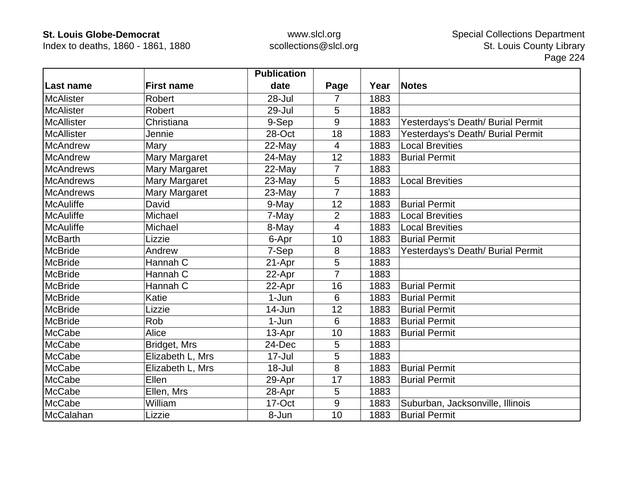Index to deaths, 1860 - 1861, 1880

|                   |                      | <b>Publication</b> |                |      |                                   |
|-------------------|----------------------|--------------------|----------------|------|-----------------------------------|
| Last name         | <b>First name</b>    | date               | Page           | Year | <b>Notes</b>                      |
| <b>McAlister</b>  | <b>Robert</b>        | $28 -$ Jul         | 7              | 1883 |                                   |
| <b>McAlister</b>  | Robert               | 29-Jul             | 5              | 1883 |                                   |
| <b>McAllister</b> | Christiana           | 9-Sep              | 9              | 1883 | Yesterdays's Death/ Burial Permit |
| <b>McAllister</b> | Jennie               | 28-Oct             | 18             | 1883 | Yesterdays's Death/ Burial Permit |
| <b>McAndrew</b>   | Mary                 | 22-May             | $\overline{4}$ | 1883 | <b>Local Brevities</b>            |
| <b>McAndrew</b>   | <b>Mary Margaret</b> | 24-May             | 12             | 1883 | <b>Burial Permit</b>              |
| <b>McAndrews</b>  | Mary Margaret        | 22-May             | 7              | 1883 |                                   |
| <b>McAndrews</b>  | Mary Margaret        | 23-May             | 5              | 1883 | <b>Local Brevities</b>            |
| <b>McAndrews</b>  | Mary Margaret        | 23-May             | 7              | 1883 |                                   |
| <b>McAuliffe</b>  | David                | 9-May              | 12             | 1883 | <b>Burial Permit</b>              |
| <b>McAuliffe</b>  | Michael              | 7-May              | $\overline{2}$ | 1883 | <b>Local Brevities</b>            |
| <b>McAuliffe</b>  | Michael              | 8-May              | 4              | 1883 | <b>Local Brevities</b>            |
| <b>McBarth</b>    | Lizzie               | 6-Apr              | 10             | 1883 | <b>Burial Permit</b>              |
| <b>McBride</b>    | Andrew               | 7-Sep              | 8              | 1883 | Yesterdays's Death/ Burial Permit |
| <b>McBride</b>    | Hannah C             | 21-Apr             | 5              | 1883 |                                   |
| <b>McBride</b>    | Hannah C             | 22-Apr             | 7              | 1883 |                                   |
| <b>McBride</b>    | Hannah C             | 22-Apr             | 16             | 1883 | <b>Burial Permit</b>              |
| <b>McBride</b>    | Katie                | $1-Jun$            | 6              | 1883 | <b>Burial Permit</b>              |
| <b>McBride</b>    | Lizzie               | $14$ -Jun          | 12             | 1883 | <b>Burial Permit</b>              |
| <b>McBride</b>    | Rob                  | $1-Jun$            | 6              | 1883 | <b>Burial Permit</b>              |
| <b>McCabe</b>     | Alice                | 13-Apr             | 10             | 1883 | <b>Burial Permit</b>              |
| <b>McCabe</b>     | Bridget, Mrs         | 24-Dec             | 5              | 1883 |                                   |
| <b>McCabe</b>     | Elizabeth L, Mrs     | $17 -$ Jul         | 5              | 1883 |                                   |
| McCabe            | Elizabeth L, Mrs     | 18-Jul             | 8              | 1883 | <b>Burial Permit</b>              |
| McCabe            | Ellen                | 29-Apr             | 17             | 1883 | <b>Burial Permit</b>              |
| <b>McCabe</b>     | Ellen, Mrs           | 28-Apr             | 5              | 1883 |                                   |
| <b>McCabe</b>     | William              | 17-Oct             | 9              | 1883 | Suburban, Jacksonville, Illinois  |
| McCalahan         | Lizzie               | 8-Jun              | 10             | 1883 | <b>Burial Permit</b>              |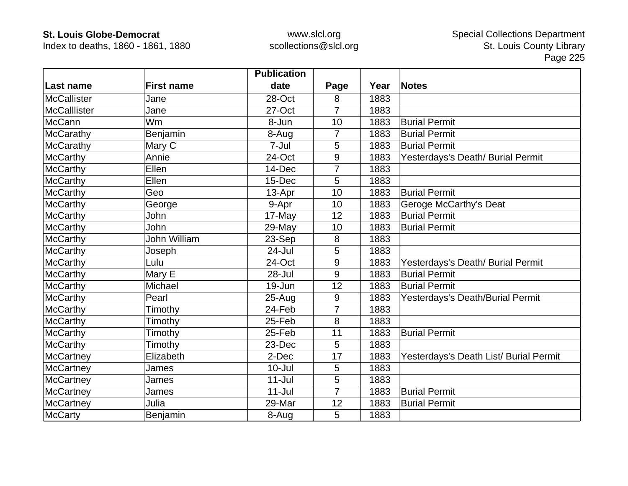Index to deaths, 1860 - 1861, 1880

|                     |                     | <b>Publication</b> |                |      |                                        |
|---------------------|---------------------|--------------------|----------------|------|----------------------------------------|
| Last name           | <b>First name</b>   | date               | Page           | Year | <b>Notes</b>                           |
| <b>McCallister</b>  | Jane                | 28-Oct             | 8              | 1883 |                                        |
| <b>McCalllister</b> | Jane                | 27-Oct             | $\overline{7}$ | 1883 |                                        |
| <b>McCann</b>       | Wm                  | 8-Jun              | 10             | 1883 | <b>Burial Permit</b>                   |
| McCarathy           | Benjamin            | 8-Aug              | 7              | 1883 | <b>Burial Permit</b>                   |
| McCarathy           | Mary C              | 7-Jul              | 5              | 1883 | <b>Burial Permit</b>                   |
| <b>McCarthy</b>     | Annie               | 24-Oct             | 9              | 1883 | Yesterdays's Death/ Burial Permit      |
| <b>McCarthy</b>     | Ellen               | 14-Dec             | 7              | 1883 |                                        |
| <b>McCarthy</b>     | Ellen               | 15-Dec             | 5              | 1883 |                                        |
| <b>McCarthy</b>     | Geo                 | 13-Apr             | 10             | 1883 | <b>Burial Permit</b>                   |
| <b>McCarthy</b>     | George              | 9-Apr              | 10             | 1883 | Geroge McCarthy's Deat                 |
| <b>McCarthy</b>     | John                | 17-May             | 12             | 1883 | <b>Burial Permit</b>                   |
| <b>McCarthy</b>     | John                | 29-May             | 10             | 1883 | <b>Burial Permit</b>                   |
| <b>McCarthy</b>     | <b>John William</b> | 23-Sep             | 8              | 1883 |                                        |
| <b>McCarthy</b>     | Joseph              | 24-Jul             | 5              | 1883 |                                        |
| <b>McCarthy</b>     | Lulu                | 24-Oct             | 9              | 1883 | Yesterdays's Death/ Burial Permit      |
| <b>McCarthy</b>     | Mary E              | 28-Jul             | 9              | 1883 | <b>Burial Permit</b>                   |
| <b>McCarthy</b>     | Michael             | 19-Jun             | 12             | 1883 | <b>Burial Permit</b>                   |
| <b>McCarthy</b>     | Pearl               | $25-Auq$           | 9              | 1883 | Yesterdays's Death/Burial Permit       |
| <b>McCarthy</b>     | Timothy             | 24-Feb             | 7              | 1883 |                                        |
| <b>McCarthy</b>     | Timothy             | 25-Feb             | 8              | 1883 |                                        |
| <b>McCarthy</b>     | Timothy             | 25-Feb             | 11             | 1883 | <b>Burial Permit</b>                   |
| <b>McCarthy</b>     | Timothy             | 23-Dec             | 5              | 1883 |                                        |
| <b>McCartney</b>    | Elizabeth           | 2-Dec              | 17             | 1883 | Yesterdays's Death List/ Burial Permit |
| <b>McCartney</b>    | James               | $10 -$ Jul         | 5              | 1883 |                                        |
| <b>McCartney</b>    | James               | $11 -$ Jul         | 5              | 1883 |                                        |
| <b>McCartney</b>    | James               | $11 -$ Jul         | $\overline{7}$ | 1883 | <b>Burial Permit</b>                   |
| <b>McCartney</b>    | Julia               | 29-Mar             | 12             | 1883 | <b>Burial Permit</b>                   |
| <b>McCarty</b>      | Benjamin            | 8-Aug              | 5              | 1883 |                                        |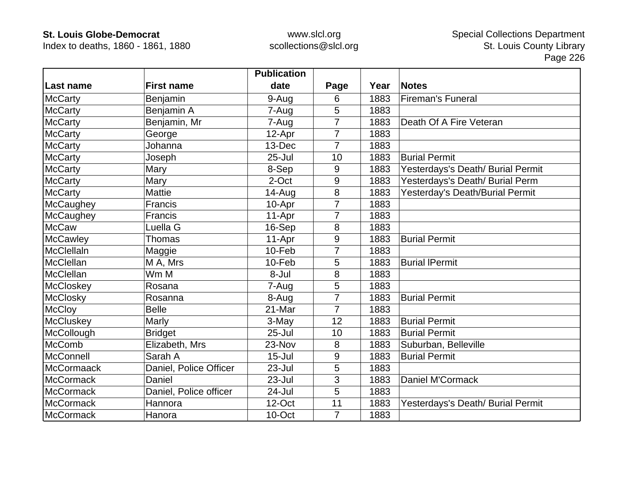Index to deaths, 1860 - 1861, 1880

|                   |                        | <b>Publication</b> |                |      |                                   |
|-------------------|------------------------|--------------------|----------------|------|-----------------------------------|
| Last name         | <b>First name</b>      | date               | Page           | Year | <b>Notes</b>                      |
| <b>McCarty</b>    | Benjamin               | 9-Aug              | 6              | 1883 | <b>Fireman's Funeral</b>          |
| <b>McCarty</b>    | Benjamin A             | 7-Aug              | 5              | 1883 |                                   |
| <b>McCarty</b>    | Benjamin, Mr           | 7-Aug              | 7              | 1883 | Death Of A Fire Veteran           |
| <b>McCarty</b>    | George                 | 12-Apr             | $\overline{7}$ | 1883 |                                   |
| <b>McCarty</b>    | Johanna                | 13-Dec             | 7              | 1883 |                                   |
| <b>McCarty</b>    | Joseph                 | $25 -$ Jul         | 10             | 1883 | <b>Burial Permit</b>              |
| <b>McCarty</b>    | Mary                   | 8-Sep              | 9              | 1883 | Yesterdays's Death/ Burial Permit |
| <b>McCarty</b>    | Mary                   | 2-Oct              | 9              | 1883 | Yesterdays's Death/ Burial Perm   |
| <b>McCarty</b>    | <b>Mattie</b>          | 14-Aug             | 8              | 1883 | Yesterday's Death/Burial Permit   |
| McCaughey         | Francis                | 10-Apr             | $\overline{7}$ | 1883 |                                   |
| <b>McCaughey</b>  | Francis                | 11-Apr             | 7              | 1883 |                                   |
| <b>McCaw</b>      | Luella G               | 16-Sep             | 8              | 1883 |                                   |
| McCawley          | <b>Thomas</b>          | 11-Apr             | 9              | 1883 | <b>Burial Permit</b>              |
| <b>McClellaIn</b> | Maggie                 | 10-Feb             | 7              | 1883 |                                   |
| <b>McClellan</b>  | M A, Mrs               | 10-Feb             | 5              | 1883 | <b>Burial IPermit</b>             |
| McClellan         | Wm M                   | 8-Jul              | 8              | 1883 |                                   |
| McCloskey         | Rosana                 | 7-Aug              | 5              | 1883 |                                   |
| <b>McClosky</b>   | Rosanna                | 8-Aug              | 7              | 1883 | <b>Burial Permit</b>              |
| <b>McCloy</b>     | <b>Belle</b>           | 21-Mar             | 7              | 1883 |                                   |
| <b>McCluskey</b>  | Marly                  | 3-May              | 12             | 1883 | <b>Burial Permit</b>              |
| McCollough        | <b>Bridget</b>         | 25-Jul             | 10             | 1883 | <b>Burial Permit</b>              |
| <b>McComb</b>     | Elizabeth, Mrs         | 23-Nov             | 8              | 1883 | Suburban, Belleville              |
| <b>McConnell</b>  | Sarah A                | $15 -$ Jul         | 9              | 1883 | <b>Burial Permit</b>              |
| McCormaack        | Daniel, Police Officer | 23-Jul             | 5              | 1883 |                                   |
| <b>McCormack</b>  | Daniel                 | 23-Jul             | 3              | 1883 | <b>Daniel M'Cormack</b>           |
| McCormack         | Daniel, Police officer | 24-Jul             | 5              | 1883 |                                   |
| <b>McCormack</b>  | Hannora                | 12-Oct             | 11             | 1883 | Yesterdays's Death/ Burial Permit |
| McCormack         | Hanora                 | 10-Oct             | $\overline{7}$ | 1883 |                                   |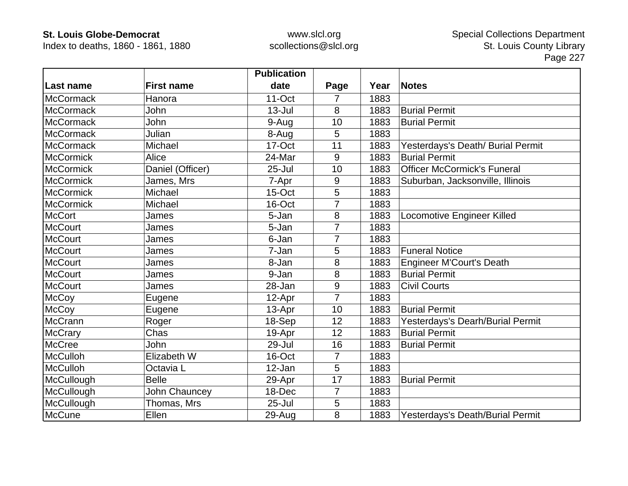Index to deaths, 1860 - 1861, 1880

|                  |                   | <b>Publication</b> |                |      |                                    |
|------------------|-------------------|--------------------|----------------|------|------------------------------------|
| Last name        | <b>First name</b> | date               | Page           | Year | <b>Notes</b>                       |
| <b>McCormack</b> | Hanora            | $11$ -Oct          | 7              | 1883 |                                    |
| <b>McCormack</b> | John              | $13 -$ Jul         | 8              | 1883 | <b>Burial Permit</b>               |
| McCormack        | John              | 9-Aug              | 10             | 1883 | <b>Burial Permit</b>               |
| McCormack        | Julian            | 8-Aug              | 5              | 1883 |                                    |
| <b>McCormack</b> | Michael           | 17-Oct             | 11             | 1883 | Yesterdays's Death/ Burial Permit  |
| <b>McCormick</b> | Alice             | 24-Mar             | 9              | 1883 | <b>Burial Permit</b>               |
| <b>McCormick</b> | Daniel (Officer)  | $25 -$ Jul         | 10             | 1883 | <b>Officer McCormick's Funeral</b> |
| <b>McCormick</b> | James, Mrs        | 7-Apr              | 9              | 1883 | Suburban, Jacksonville, Illinois   |
| <b>McCormick</b> | Michael           | 15-Oct             | 5              | 1883 |                                    |
| <b>McCormick</b> | Michael           | 16-Oct             | 7              | 1883 |                                    |
| <b>McCort</b>    | James             | 5-Jan              | 8              | 1883 | Locomotive Engineer Killed         |
| <b>McCourt</b>   | James             | 5-Jan              | 7              | 1883 |                                    |
| <b>McCourt</b>   | James             | 6-Jan              | 7              | 1883 |                                    |
| <b>McCourt</b>   | James             | 7-Jan              | 5              | 1883 | <b>Funeral Notice</b>              |
| <b>McCourt</b>   | James             | 8-Jan              | 8              | 1883 | <b>Engineer M'Court's Death</b>    |
| <b>McCourt</b>   | James             | 9-Jan              | 8              | 1883 | <b>Burial Permit</b>               |
| <b>McCourt</b>   | James             | 28-Jan             | 9              | 1883 | <b>Civil Courts</b>                |
| <b>McCoy</b>     | Eugene            | 12-Apr             | $\overline{7}$ | 1883 |                                    |
| <b>McCoy</b>     | Eugene            | 13-Apr             | 10             | 1883 | <b>Burial Permit</b>               |
| <b>McCrann</b>   | Roger             | 18-Sep             | 12             | 1883 | Yesterdays's Dearh/Burial Permit   |
| <b>McCrary</b>   | Chas              | 19-Apr             | 12             | 1883 | <b>Burial Permit</b>               |
| <b>McCree</b>    | John              | 29-Jul             | 16             | 1883 | <b>Burial Permit</b>               |
| <b>McCulloh</b>  | Elizabeth W       | 16-Oct             | 7              | 1883 |                                    |
| <b>McCulloh</b>  | Octavia L         | 12-Jan             | 5              | 1883 |                                    |
| McCullough       | <b>Belle</b>      | 29-Apr             | 17             | 1883 | <b>Burial Permit</b>               |
| McCullough       | John Chauncey     | 18-Dec             | 7              | 1883 |                                    |
| McCullough       | Thomas, Mrs       | $25 -$ Jul         | 5              | 1883 |                                    |
| McCune           | Ellen             | 29-Aug             | 8              | 1883 | Yesterdays's Death/Burial Permit   |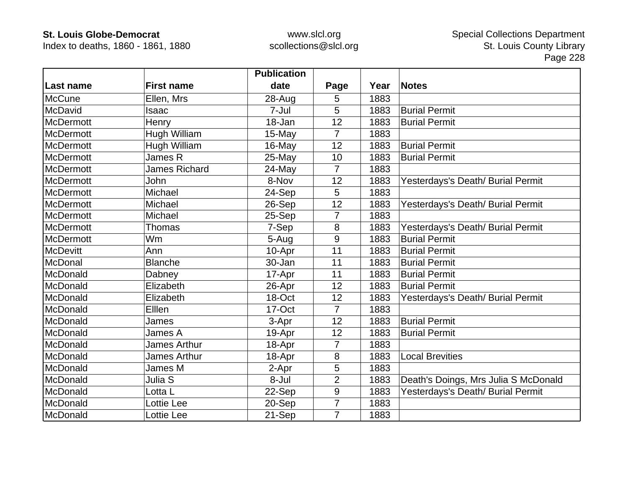Index to deaths, 1860 - 1861, 1880

|                  |                      | <b>Publication</b> |                 |      |                                      |
|------------------|----------------------|--------------------|-----------------|------|--------------------------------------|
| Last name        | <b>First name</b>    | date               | Page            | Year | <b>Notes</b>                         |
| <b>McCune</b>    | Ellen, Mrs           | 28-Aug             | 5               | 1883 |                                      |
| McDavid          | Isaac                | 7-Jul              | 5               | 1883 | <b>Burial Permit</b>                 |
| <b>McDermott</b> | Henry                | 18-Jan             | 12              | 1883 | <b>Burial Permit</b>                 |
| <b>McDermott</b> | Hugh William         | 15-May             | $\overline{7}$  | 1883 |                                      |
| <b>McDermott</b> | Hugh William         | 16-May             | 12              | 1883 | <b>Burial Permit</b>                 |
| <b>McDermott</b> | James R              | 25-May             | 10              | 1883 | <b>Burial Permit</b>                 |
| <b>McDermott</b> | <b>James Richard</b> | 24-May             | $\overline{7}$  | 1883 |                                      |
| <b>McDermott</b> | John                 | 8-Nov              | 12              | 1883 | Yesterdays's Death/ Burial Permit    |
| <b>McDermott</b> | Michael              | 24-Sep             | $5\phantom{.0}$ | 1883 |                                      |
| <b>McDermott</b> | Michael              | 26-Sep             | 12              | 1883 | Yesterdays's Death/ Burial Permit    |
| <b>McDermott</b> | Michael              | 25-Sep             | 7               | 1883 |                                      |
| <b>McDermott</b> | Thomas               | 7-Sep              | 8               | 1883 | Yesterdays's Death/ Burial Permit    |
| <b>McDermott</b> | Wm                   | 5-Aug              | 9               | 1883 | <b>Burial Permit</b>                 |
| <b>McDevitt</b>  | Ann                  | 10-Apr             | 11              | 1883 | <b>Burial Permit</b>                 |
| McDonal          | <b>Blanche</b>       | 30-Jan             | 11              | 1883 | <b>Burial Permit</b>                 |
| McDonald         | Dabney               | 17-Apr             | 11              | 1883 | <b>Burial Permit</b>                 |
| McDonald         | Elizabeth            | 26-Apr             | 12              | 1883 | <b>Burial Permit</b>                 |
| McDonald         | Elizabeth            | 18-Oct             | 12              | 1883 | Yesterdays's Death/ Burial Permit    |
| McDonald         | Elllen               | 17-Oct             | 7               | 1883 |                                      |
| McDonald         | James                | 3-Apr              | 12              | 1883 | <b>Burial Permit</b>                 |
| McDonald         | James A              | 19-Apr             | 12              | 1883 | <b>Burial Permit</b>                 |
| McDonald         | <b>James Arthur</b>  | 18-Apr             | $\overline{7}$  | 1883 |                                      |
| McDonald         | <b>James Arthur</b>  | 18-Apr             | 8               | 1883 | <b>Local Brevities</b>               |
| McDonald         | James M              | 2-Apr              | 5               | 1883 |                                      |
| McDonald         | Julia S              | 8-Jul              | $\overline{2}$  | 1883 | Death's Doings, Mrs Julia S McDonald |
| McDonald         | Lotta L              | 22-Sep             | 9               | 1883 | Yesterdays's Death/ Burial Permit    |
| McDonald         | Lottie Lee           | 20-Sep             | 7               | 1883 |                                      |
| McDonald         | Lottie Lee           | 21-Sep             | $\overline{7}$  | 1883 |                                      |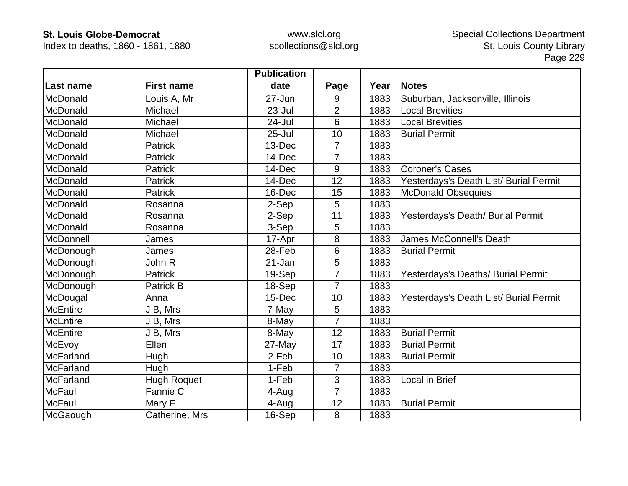Index to deaths, 1860 - 1861, 1880

|                  |                    | <b>Publication</b> |                |      |                                        |
|------------------|--------------------|--------------------|----------------|------|----------------------------------------|
| Last name        | <b>First name</b>  | date               | Page           | Year | <b>Notes</b>                           |
| McDonald         | Louis A, Mr        | 27-Jun             | 9              | 1883 | Suburban, Jacksonville, Illinois       |
| McDonald         | Michael            | $23 -$ Jul         | $\overline{2}$ | 1883 | <b>Local Brevities</b>                 |
| McDonald         | Michael            | 24-Jul             | 6              | 1883 | <b>Local Brevities</b>                 |
| McDonald         | Michael            | $25 -$ Jul         | 10             | 1883 | <b>Burial Permit</b>                   |
| McDonald         | <b>Patrick</b>     | 13-Dec             | 7              | 1883 |                                        |
| McDonald         | <b>Patrick</b>     | 14-Dec             | 7              | 1883 |                                        |
| McDonald         | Patrick            | 14-Dec             | 9              | 1883 | <b>Coroner's Cases</b>                 |
| McDonald         | <b>Patrick</b>     | 14-Dec             | 12             | 1883 | Yesterdays's Death List/ Burial Permit |
| McDonald         | <b>Patrick</b>     | 16-Dec             | 15             | 1883 | <b>McDonald Obsequies</b>              |
| McDonald         | Rosanna            | 2-Sep              | 5              | 1883 |                                        |
| McDonald         | Rosanna            | 2-Sep              | 11             | 1883 | Yesterdays's Death/ Burial Permit      |
| McDonald         | Rosanna            | 3-Sep              | 5              | 1883 |                                        |
| McDonnell        | James              | 17-Apr             | 8              | 1883 | <b>James McConnell's Death</b>         |
| McDonough        | James              | 28-Feb             | 6              | 1883 | <b>Burial Permit</b>                   |
| McDonough        | John R             | 21-Jan             | 5              | 1883 |                                        |
| McDonough        | <b>Patrick</b>     | 19-Sep             | 7              | 1883 | Yesterdays's Deaths/ Burial Permit     |
| McDonough        | <b>Patrick B</b>   | 18-Sep             | 7              | 1883 |                                        |
| McDougal         | Anna               | 15-Dec             | 10             | 1883 | Yesterdays's Death List/ Burial Permit |
| <b>McEntire</b>  | J B, Mrs           | 7-May              | 5              | 1883 |                                        |
| <b>McEntire</b>  | J B, Mrs           | 8-May              | $\overline{7}$ | 1883 |                                        |
| <b>McEntire</b>  | J B, Mrs           | 8-May              | 12             | 1883 | <b>Burial Permit</b>                   |
| McEvoy           | Ellen              | 27-May             | 17             | 1883 | <b>Burial Permit</b>                   |
| <b>McFarland</b> | Hugh               | 2-Feb              | 10             | 1883 | <b>Burial Permit</b>                   |
| McFarland        | Hugh               | 1-Feb              | 7              | 1883 |                                        |
| <b>McFarland</b> | <b>Hugh Roquet</b> | 1-Feb              | 3              | 1883 | Local in Brief                         |
| <b>McFaul</b>    | Fannie C           | 4-Aug              | $\overline{7}$ | 1883 |                                        |
| <b>McFaul</b>    | Mary F             | 4-Aug              | 12             | 1883 | <b>Burial Permit</b>                   |
| McGaough         | Catherine, Mrs     | 16-Sep             | 8              | 1883 |                                        |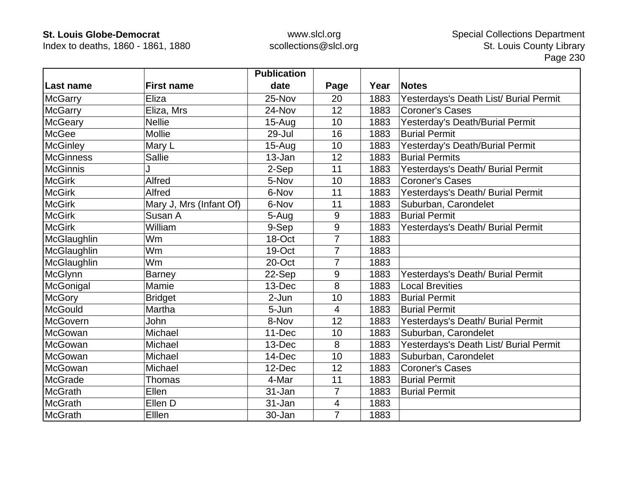Index to deaths, 1860 - 1861, 1880

|                  |                         | <b>Publication</b> |                  |      |                                        |
|------------------|-------------------------|--------------------|------------------|------|----------------------------------------|
| <b>Last name</b> | <b>First name</b>       | date               | Page             | Year | <b>Notes</b>                           |
| <b>McGarry</b>   | Eliza                   | 25-Nov             | 20               | 1883 | Yesterdays's Death List/ Burial Permit |
| <b>McGarry</b>   | Eliza, Mrs              | 24-Nov             | 12               | 1883 | <b>Coroner's Cases</b>                 |
| <b>McGeary</b>   | <b>Nellie</b>           | $15-Aug$           | 10               | 1883 | Yesterday's Death/Burial Permit        |
| McGee            | <b>Mollie</b>           | 29-Jul             | 16               | 1883 | <b>Burial Permit</b>                   |
| <b>McGinley</b>  | Mary L                  | $15-Aug$           | 10               | 1883 | Yesterday's Death/Burial Permit        |
| <b>McGinness</b> | Sallie                  | 13-Jan             | 12               | 1883 | <b>Burial Permits</b>                  |
| <b>McGinnis</b>  |                         | 2-Sep              | 11               | 1883 | Yesterdays's Death/ Burial Permit      |
| <b>McGirk</b>    | Alfred                  | 5-Nov              | 10               | 1883 | <b>Coroner's Cases</b>                 |
| <b>McGirk</b>    | Alfred                  | 6-Nov              | 11               | 1883 | Yesterdays's Death/ Burial Permit      |
| <b>McGirk</b>    | Mary J, Mrs (Infant Of) | 6-Nov              | 11               | 1883 | Suburban, Carondelet                   |
| <b>McGirk</b>    | Susan A                 | 5-Aug              | 9                | 1883 | <b>Burial Permit</b>                   |
| <b>McGirk</b>    | William                 | 9-Sep              | $\mathsf 9$      | 1883 | Yesterdays's Death/ Burial Permit      |
| McGlaughlin      | Wm                      | 18-Oct             | $\overline{7}$   | 1883 |                                        |
| McGlaughlin      | Wm                      | 19-Oct             | $\overline{7}$   | 1883 |                                        |
| McGlaughlin      | Wm                      | 20-Oct             | 7                | 1883 |                                        |
| <b>McGlynn</b>   | <b>Barney</b>           | 22-Sep             | $\boldsymbol{9}$ | 1883 | Yesterdays's Death/ Burial Permit      |
| McGonigal        | Mamie                   | 13-Dec             | 8                | 1883 | <b>Local Brevities</b>                 |
| <b>McGory</b>    | <b>Bridget</b>          | 2-Jun              | 10               | 1883 | <b>Burial Permit</b>                   |
| <b>McGould</b>   | Martha                  | 5-Jun              | 4                | 1883 | <b>Burial Permit</b>                   |
| McGovern         | John                    | 8-Nov              | 12               | 1883 | Yesterdays's Death/ Burial Permit      |
| McGowan          | Michael                 | 11-Dec             | 10               | 1883 | Suburban, Carondelet                   |
| McGowan          | Michael                 | 13-Dec             | 8                | 1883 | Yesterdays's Death List/ Burial Permit |
| McGowan          | Michael                 | 14-Dec             | 10               | 1883 | Suburban, Carondelet                   |
| McGowan          | Michael                 | 12-Dec             | 12               | 1883 | <b>Coroner's Cases</b>                 |
| <b>McGrade</b>   | Thomas                  | 4-Mar              | 11               | 1883 | <b>Burial Permit</b>                   |
| <b>McGrath</b>   | Ellen                   | 31-Jan             | 7                | 1883 | <b>Burial Permit</b>                   |
| <b>McGrath</b>   | Ellen D                 | 31-Jan             | 4                | 1883 |                                        |
| McGrath          | Elllen                  | 30-Jan             | $\overline{7}$   | 1883 |                                        |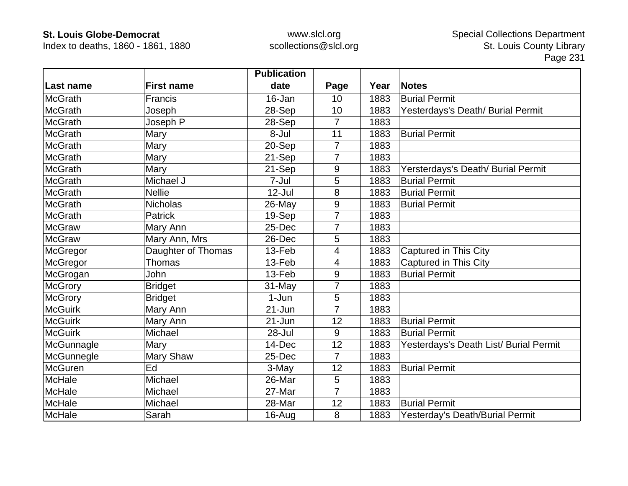Index to deaths, 1860 - 1861, 1880

|                  |                    | <b>Publication</b> |                |      |                                        |
|------------------|--------------------|--------------------|----------------|------|----------------------------------------|
| <b>Last name</b> | <b>First name</b>  | date               | Page           | Year | <b>Notes</b>                           |
| <b>McGrath</b>   | <b>Francis</b>     | 16-Jan             | 10             | 1883 | <b>Burial Permit</b>                   |
| <b>McGrath</b>   | Joseph             | 28-Sep             | 10             | 1883 | Yesterdays's Death/ Burial Permit      |
| <b>McGrath</b>   | Joseph P           | 28-Sep             | 7              | 1883 |                                        |
| <b>McGrath</b>   | Mary               | 8-Jul              | 11             | 1883 | <b>Burial Permit</b>                   |
| <b>McGrath</b>   | Mary               | 20-Sep             | $\overline{7}$ | 1883 |                                        |
| <b>McGrath</b>   | Mary               | 21-Sep             | $\overline{7}$ | 1883 |                                        |
| <b>McGrath</b>   | Mary               | 21-Sep             | 9              | 1883 | Yersterdays's Death/ Burial Permit     |
| <b>McGrath</b>   | Michael J          | 7-Jul              | 5              | 1883 | <b>Burial Permit</b>                   |
| <b>McGrath</b>   | <b>Nellie</b>      | 12-Jul             | 8              | 1883 | <b>Burial Permit</b>                   |
| <b>McGrath</b>   | <b>Nicholas</b>    | 26-May             | 9              | 1883 | <b>Burial Permit</b>                   |
| <b>McGrath</b>   | <b>Patrick</b>     | 19-Sep             | 7              | 1883 |                                        |
| <b>McGraw</b>    | Mary Ann           | 25-Dec             | 7              | 1883 |                                        |
| <b>McGraw</b>    | Mary Ann, Mrs      | 26-Dec             | 5              | 1883 |                                        |
| McGregor         | Daughter of Thomas | 13-Feb             | 4              | 1883 | Captured in This City                  |
| McGregor         | Thomas             | 13-Feb             | 4              | 1883 | Captured in This City                  |
| McGrogan         | John               | 13-Feb             | 9              | 1883 | <b>Burial Permit</b>                   |
| <b>McGrory</b>   | <b>Bridget</b>     | 31-May             | 7              | 1883 |                                        |
| <b>McGrory</b>   | <b>Bridget</b>     | $1-Jun$            | 5              | 1883 |                                        |
| <b>McGuirk</b>   | Mary Ann           | $21 - Jun$         | $\overline{7}$ | 1883 |                                        |
| <b>McGuirk</b>   | Mary Ann           | $21 - Jun$         | 12             | 1883 | <b>Burial Permit</b>                   |
| <b>McGuirk</b>   | Michael            | 28-Jul             | 9              | 1883 | <b>Burial Permit</b>                   |
| McGunnagle       | Mary               | 14-Dec             | 12             | 1883 | Yesterdays's Death List/ Burial Permit |
| McGunnegle       | Mary Shaw          | 25-Dec             | $\overline{7}$ | 1883 |                                        |
| McGuren          | Ed                 | 3-May              | 12             | 1883 | <b>Burial Permit</b>                   |
| McHale           | Michael            | 26-Mar             | 5              | 1883 |                                        |
| <b>McHale</b>    | Michael            | 27-Mar             | $\overline{7}$ | 1883 |                                        |
| McHale           | Michael            | 28-Mar             | 12             | 1883 | <b>Burial Permit</b>                   |
| McHale           | Sarah              | 16-Aug             | 8              | 1883 | Yesterday's Death/Burial Permit        |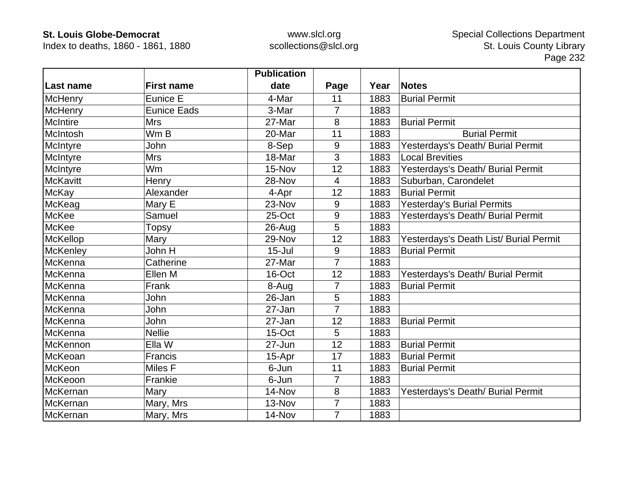Index to deaths, 1860 - 1861, 1880

|                 |                     | <b>Publication</b> |                  |      |                                        |
|-----------------|---------------------|--------------------|------------------|------|----------------------------------------|
| Last name       | <b>First name</b>   | date               | Page             | Year | <b>Notes</b>                           |
| <b>McHenry</b>  | Eunice E            | 4-Mar              | 11               | 1883 | <b>Burial Permit</b>                   |
| <b>McHenry</b>  | <b>Eunice Eads</b>  | 3-Mar              | $\overline{7}$   | 1883 |                                        |
| <b>McIntire</b> | <b>Mrs</b>          | 27-Mar             | 8                | 1883 | <b>Burial Permit</b>                   |
| McIntosh        | Wm B                | 20-Mar             | 11               | 1883 | <b>Burial Permit</b>                   |
| McIntyre        | John                | 8-Sep              | 9                | 1883 | Yesterdays's Death/ Burial Permit      |
| McIntyre        | <b>Mrs</b>          | 18-Mar             | 3                | 1883 | <b>Local Brevities</b>                 |
| McIntyre        | Wm                  | 15-Nov             | 12               | 1883 | Yesterdays's Death/ Burial Permit      |
| <b>McKavitt</b> | Henry               | 28-Nov             | 4                | 1883 | Suburban, Carondelet                   |
| McKay           | Alexander           | 4-Apr              | 12               | 1883 | <b>Burial Permit</b>                   |
| McKeag          | Mary E              | 23-Nov             | 9                | 1883 | <b>Yesterday's Burial Permits</b>      |
| <b>McKee</b>    | Samuel              | 25-Oct             | 9                | 1883 | Yesterdays's Death/ Burial Permit      |
| McKee           | Topsy               | 26-Aug             | 5                | 1883 |                                        |
| <b>McKellop</b> | Mary                | 29-Nov             | 12               | 1883 | Yesterdays's Death List/ Burial Permit |
| <b>McKenley</b> | John $\overline{H}$ | $15 -$ Jul         | $\boldsymbol{9}$ | 1883 | <b>Burial Permit</b>                   |
| McKenna         | Catherine           | 27-Mar             | 7                | 1883 |                                        |
| McKenna         | Ellen M             | 16-Oct             | 12               | 1883 | Yesterdays's Death/ Burial Permit      |
| McKenna         | Frank               | 8-Aug              | $\overline{7}$   | 1883 | <b>Burial Permit</b>                   |
| McKenna         | John                | 26-Jan             | 5                | 1883 |                                        |
| <b>McKenna</b>  | John                | 27-Jan             | $\overline{7}$   | 1883 |                                        |
| McKenna         | John                | 27-Jan             | 12               | 1883 | <b>Burial Permit</b>                   |
| McKenna         | <b>Nellie</b>       | 15-Oct             | 5                | 1883 |                                        |
| McKennon        | Ella W              | 27-Jun             | 12               | 1883 | <b>Burial Permit</b>                   |
| McKeoan         | Francis             | 15-Apr             | 17               | 1883 | <b>Burial Permit</b>                   |
| <b>McKeon</b>   | Miles F             | 6-Jun              | 11               | 1883 | <b>Burial Permit</b>                   |
| McKeoon         | Frankie             | 6-Jun              | 7                | 1883 |                                        |
| McKernan        | Mary                | 14-Nov             | 8                | 1883 | Yesterdays's Death/ Burial Permit      |
| McKernan        | Mary, Mrs           | 13-Nov             | $\overline{7}$   | 1883 |                                        |
| McKernan        | Mary, Mrs           | 14-Nov             | 7                | 1883 |                                        |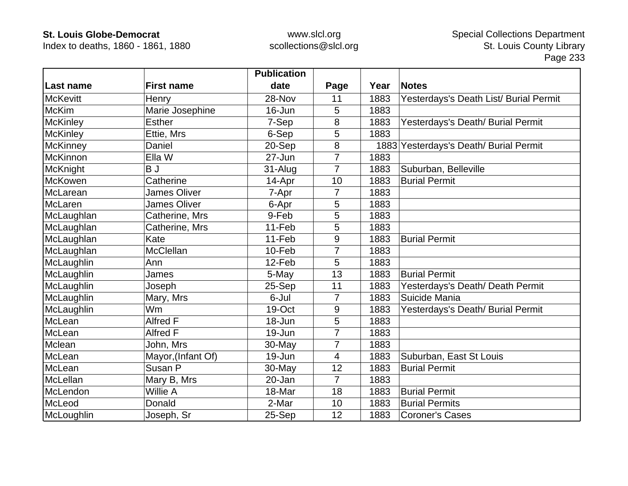Index to deaths, 1860 - 1861, 1880

|                 |                     | <b>Publication</b> |                |      |                                        |
|-----------------|---------------------|--------------------|----------------|------|----------------------------------------|
| Last name       | <b>First name</b>   | date               | Page           | Year | <b>Notes</b>                           |
| <b>McKevitt</b> | Henry               | 28-Nov             | 11             | 1883 | Yesterdays's Death List/ Burial Permit |
| <b>McKim</b>    | Marie Josephine     | 16-Jun             | 5              | 1883 |                                        |
| <b>McKinley</b> | <b>Esther</b>       | 7-Sep              | 8              | 1883 | Yesterdays's Death/ Burial Permit      |
| <b>McKinley</b> | Ettie, Mrs          | 6-Sep              | 5              | 1883 |                                        |
| <b>McKinney</b> | Daniel              | 20-Sep             | 8              | 1883 | Yesterdays's Death/ Burial Permit      |
| McKinnon        | Ella W              | 27-Jun             | $\overline{7}$ | 1883 |                                        |
| <b>McKnight</b> | BJ                  | 31-Alug            | 7              | 1883 | Suburban, Belleville                   |
| McKowen         | Catherine           | 14-Apr             | 10             | 1883 | <b>Burial Permit</b>                   |
| McLarean        | <b>James Oliver</b> | 7-Apr              | 7              | 1883 |                                        |
| McLaren         | <b>James Oliver</b> | 6-Apr              | 5              | 1883 |                                        |
| McLaughlan      | Catherine, Mrs      | 9-Feb              | 5              | 1883 |                                        |
| McLaughlan      | Catherine, Mrs      | 11-Feb             | 5              | 1883 |                                        |
| McLaughlan      | Kate                | 11-Feb             | 9              | 1883 | <b>Burial Permit</b>                   |
| McLaughlan      | <b>McClellan</b>    | 10-Feb             | $\overline{7}$ | 1883 |                                        |
| McLaughlin      | Ann                 | 12-Feb             | 5              | 1883 |                                        |
| McLaughlin      | James               | 5-May              | 13             | 1883 | <b>Burial Permit</b>                   |
| McLaughlin      | Joseph              | 25-Sep             | 11             | 1883 | Yesterdays's Death/ Death Permit       |
| McLaughlin      | Mary, Mrs           | 6-Jul              | 7              | 1883 | Suicide Mania                          |
| McLaughlin      | Wm                  | 19-Oct             | 9              | 1883 | Yesterdays's Death/ Burial Permit      |
| McLean          | Alfred F            | $18 - Jun$         | 5              | 1883 |                                        |
| McLean          | <b>Alfred F</b>     | 19-Jun             | $\overline{7}$ | 1883 |                                        |
| Mclean          | John, Mrs           | 30-May             | 7              | 1883 |                                        |
| McLean          | Mayor, (Infant Of)  | 19-Jun             | 4              | 1883 | Suburban, East St Louis                |
| McLean          | Susan P             | 30-May             | 12             | 1883 | <b>Burial Permit</b>                   |
| McLellan        | Mary B, Mrs         | 20-Jan             | $\overline{7}$ | 1883 |                                        |
| McLendon        | Willie A            | 18-Mar             | 18             | 1883 | <b>Burial Permit</b>                   |
| McLeod          | Donald              | 2-Mar              | 10             | 1883 | <b>Burial Permits</b>                  |
| McLoughlin      | Joseph, Sr          | 25-Sep             | 12             | 1883 | <b>Coroner's Cases</b>                 |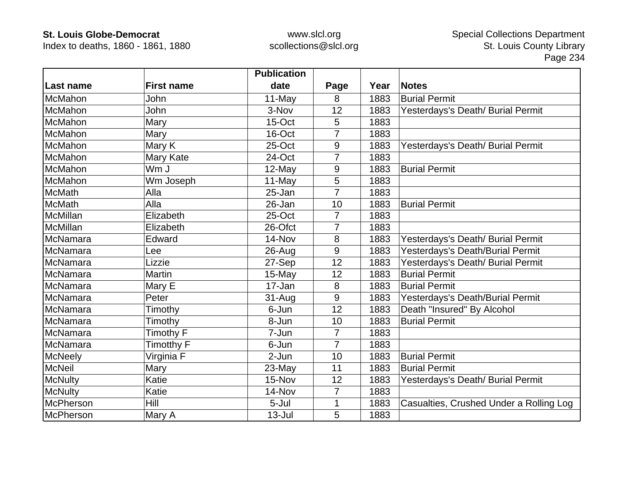Index to deaths, 1860 - 1861, 1880

|                 |                   | <b>Publication</b> |                |      |                                         |
|-----------------|-------------------|--------------------|----------------|------|-----------------------------------------|
| Last name       | <b>First name</b> | date               | Page           | Year | <b>Notes</b>                            |
| McMahon         | John              | 11-May             | 8              | 1883 | <b>Burial Permit</b>                    |
| McMahon         | John              | 3-Nov              | 12             | 1883 | Yesterdays's Death/ Burial Permit       |
| McMahon         | Mary              | $15$ -Oct          | 5              | 1883 |                                         |
| McMahon         | Mary              | 16-Oct             | 7              | 1883 |                                         |
| McMahon         | Mary K            | 25-Oct             | 9              | 1883 | Yesterdays's Death/ Burial Permit       |
| McMahon         | Mary Kate         | 24-Oct             | $\overline{7}$ | 1883 |                                         |
| McMahon         | Wm J              | 12-May             | 9              | 1883 | <b>Burial Permit</b>                    |
| McMahon         | Wm Joseph         | 11-May             | 5              | 1883 |                                         |
| <b>McMath</b>   | Alla              | 25-Jan             | 7              | 1883 |                                         |
| <b>McMath</b>   | Alla              | 26-Jan             | 10             | 1883 | <b>Burial Permit</b>                    |
| McMillan        | Elizabeth         | 25-Oct             | 7              | 1883 |                                         |
| <b>McMillan</b> | Elizabeth         | 26-Ofct            | 7              | 1883 |                                         |
| McNamara        | Edward            | 14-Nov             | 8              | 1883 | Yesterdays's Death/ Burial Permit       |
| McNamara        | Lee               | 26-Aug             | 9              | 1883 | Yesterdays's Death/Burial Permit        |
| McNamara        | Lizzie            | 27-Sep             | 12             | 1883 | Yesterdays's Death/ Burial Permit       |
| McNamara        | <b>Martin</b>     | 15-May             | 12             | 1883 | <b>Burial Permit</b>                    |
| McNamara        | Mary E            | 17-Jan             | 8              | 1883 | <b>Burial Permit</b>                    |
| McNamara        | Peter             | 31-Aug             | 9              | 1883 | Yesterdays's Death/Burial Permit        |
| McNamara        | Timothy           | 6-Jun              | 12             | 1883 | Death "Insured" By Alcohol              |
| McNamara        | Timothy           | 8-Jun              | 10             | 1883 | <b>Burial Permit</b>                    |
| McNamara        | Timothy F         | 7-Jun              | 7              | 1883 |                                         |
| McNamara        | Timotthy F        | 6-Jun              | $\overline{7}$ | 1883 |                                         |
| <b>McNeely</b>  | Virginia F        | 2-Jun              | 10             | 1883 | <b>Burial Permit</b>                    |
| <b>McNeil</b>   | Mary              | 23-May             | 11             | 1883 | <b>Burial Permit</b>                    |
| <b>McNulty</b>  | Katie             | 15-Nov             | 12             | 1883 | Yesterdays's Death/ Burial Permit       |
| <b>McNulty</b>  | Katie             | 14-Nov             | 7              | 1883 |                                         |
| McPherson       | Hill              | 5-Jul              |                | 1883 | Casualties, Crushed Under a Rolling Log |
| McPherson       | Mary A            | $13 -$ Jul         | 5              | 1883 |                                         |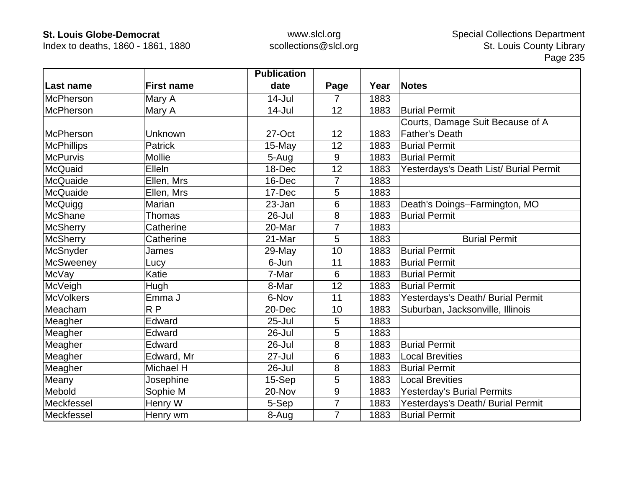Index to deaths, 1860 - 1861, 1880

|                   |                   | <b>Publication</b> |                 |      |                                        |
|-------------------|-------------------|--------------------|-----------------|------|----------------------------------------|
| Last name         | <b>First name</b> | date               | Page            | Year | <b>Notes</b>                           |
| McPherson         | Mary A            | $14 -$ Jul         | 7               | 1883 |                                        |
| McPherson         | Mary A            | $14$ -Jul          | 12              | 1883 | <b>Burial Permit</b>                   |
|                   |                   |                    |                 |      | Courts, Damage Suit Because of A       |
| <b>IMcPherson</b> | Unknown           | 27-Oct             | 12              | 1883 | <b>Father's Death</b>                  |
| <b>McPhillips</b> | <b>Patrick</b>    | 15-May             | 12              | 1883 | <b>Burial Permit</b>                   |
| <b>McPurvis</b>   | Mollie            | 5-Aug              | 9               | 1883 | <b>Burial Permit</b>                   |
| McQuaid           | Elleln            | 18-Dec             | 12              | 1883 | Yesterdays's Death List/ Burial Permit |
| McQuaide          | Ellen, Mrs        | 16-Dec             | 7               | 1883 |                                        |
| McQuaide          | Ellen, Mrs        | 17-Dec             | 5               | 1883 |                                        |
| McQuigg           | Marian            | 23-Jan             | $6\phantom{1}6$ | 1883 | Death's Doings-Farmington, MO          |
| <b>McShane</b>    | Thomas            | 26-Jul             | 8               | 1883 | <b>Burial Permit</b>                   |
| <b>McSherry</b>   | Catherine         | 20-Mar             | 7               | 1883 |                                        |
| <b>McSherry</b>   | Catherine         | 21-Mar             | 5               | 1883 | <b>Burial Permit</b>                   |
| McSnyder          | James             | 29-May             | 10              | 1883 | <b>Burial Permit</b>                   |
| <b>McSweeney</b>  | Lucy              | 6-Jun              | 11              | 1883 | <b>Burial Permit</b>                   |
| McVay             | Katie             | 7-Mar              | 6               | 1883 | <b>Burial Permit</b>                   |
| McVeigh           | Hugh              | 8-Mar              | 12              | 1883 | <b>Burial Permit</b>                   |
| <b>McVolkers</b>  | Emma J            | 6-Nov              | 11              | 1883 | Yesterdays's Death/ Burial Permit      |
| Meacham           | RP                | 20-Dec             | 10              | 1883 | Suburban, Jacksonville, Illinois       |
| Meagher           | Edward            | $25 -$ Jul         | 5               | 1883 |                                        |
| Meagher           | Edward            | 26-Jul             | 5               | 1883 |                                        |
| Meagher           | Edward            | 26-Jul             | 8               | 1883 | <b>Burial Permit</b>                   |
| Meagher           | Edward, Mr        | $27 -$ Jul         | 6               | 1883 | <b>Local Brevities</b>                 |
| Meagher           | Michael H         | 26-Jul             | 8               | 1883 | <b>Burial Permit</b>                   |
| Meany             | Josephine         | 15-Sep             | 5               | 1883 | <b>Local Brevities</b>                 |
| Mebold            | Sophie M          | 20-Nov             | 9               | 1883 | <b>Yesterday's Burial Permits</b>      |
| Meckfessel        | Henry W           | 5-Sep              | 7               | 1883 | Yesterdays's Death/ Burial Permit      |
| Meckfessel        | Henry wm          | 8-Aug              | $\overline{7}$  | 1883 | <b>Burial Permit</b>                   |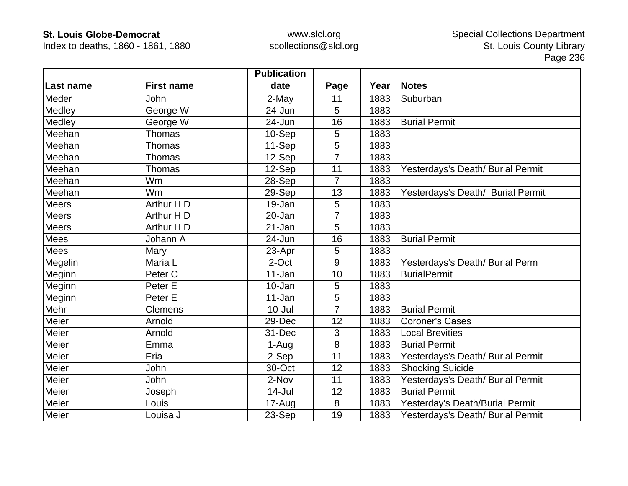Index to deaths, 1860 - 1861, 1880

|              |                    | <b>Publication</b> |                |      |                                   |
|--------------|--------------------|--------------------|----------------|------|-----------------------------------|
| Last name    | <b>First name</b>  | date               | Page           | Year | <b>Notes</b>                      |
| Meder        | John               | 2-May              | 11             | 1883 | Suburban                          |
| Medley       | George W           | 24-Jun             | 5              | 1883 |                                   |
| Medley       | George W           | 24-Jun             | 16             | 1883 | <b>Burial Permit</b>              |
| Meehan       | <b>Thomas</b>      | 10-Sep             | 5              | 1883 |                                   |
| Meehan       | Thomas             | 11-Sep             | 5              | 1883 |                                   |
| Meehan       | Thomas             | 12-Sep             | $\overline{7}$ | 1883 |                                   |
| Meehan       | Thomas             | 12-Sep             | 11             | 1883 | Yesterdays's Death/ Burial Permit |
| Meehan       | <b>Wm</b>          | 28-Sep             | $\overline{7}$ | 1883 |                                   |
| Meehan       | Wm                 | 29-Sep             | 13             | 1883 | Yesterdays's Death/ Burial Permit |
| Meers        | Arthur H D         | 19-Jan             | 5              | 1883 |                                   |
| <b>Meers</b> | Arthur H D         | 20-Jan             |                | 1883 |                                   |
| <b>Meers</b> | Arthur H D         | 21-Jan             | 5              | 1883 |                                   |
| <b>Mees</b>  | Johann A           | 24-Jun             | 16             | 1883 | <b>Burial Permit</b>              |
| Mees         | Mary               | 23-Apr             | 5              | 1883 |                                   |
| Megelin      | Maria L            | 2-Oct              | 9              | 1883 | Yesterdays's Death/ Burial Perm   |
| Meginn       | Peter <sub>C</sub> | 11-Jan             | 10             | 1883 | <b>BurialPermit</b>               |
| Meginn       | Peter E            | 10-Jan             | 5              | 1883 |                                   |
| Meginn       | Peter E            | 11-Jan             | 5              | 1883 |                                   |
| Mehr         | <b>Clemens</b>     | $10 -$ Jul         |                | 1883 | <b>Burial Permit</b>              |
| Meier        | Arnold             | 29-Dec             | 12             | 1883 | <b>Coroner's Cases</b>            |
| Meier        | Arnold             | 31-Dec             | 3              | 1883 | <b>Local Brevities</b>            |
| Meier        | Emma               | 1-Aug              | 8              | 1883 | <b>Burial Permit</b>              |
| Meier        | Eria               | 2-Sep              | 11             | 1883 | Yesterdays's Death/ Burial Permit |
| Meier        | John               | 30-Oct             | 12             | 1883 | <b>Shocking Suicide</b>           |
| Meier        | John               | 2-Nov              | 11             | 1883 | Yesterdays's Death/ Burial Permit |
| Meier        | Joseph             | $14$ -Jul          | 12             | 1883 | <b>Burial Permit</b>              |
| Meier        | Louis              | 17-Aug             | 8              | 1883 | Yesterday's Death/Burial Permit   |
| Meier        | Louisa J           | 23-Sep             | 19             | 1883 | Yesterdays's Death/ Burial Permit |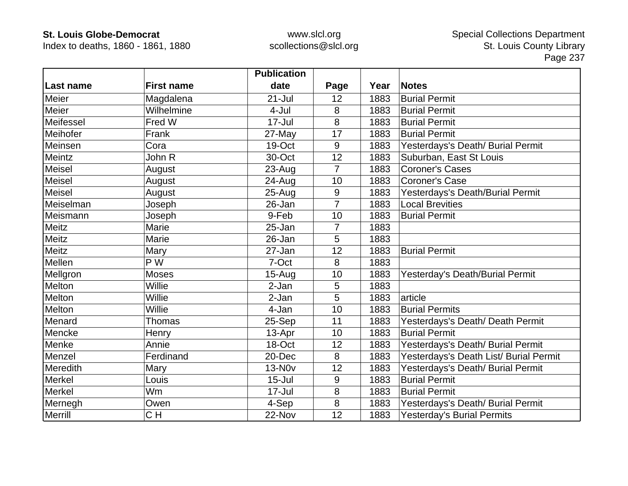Index to deaths, 1860 - 1861, 1880

|               |                   | <b>Publication</b> |                |      |                                        |
|---------------|-------------------|--------------------|----------------|------|----------------------------------------|
| Last name     | <b>First name</b> | date               | Page           | Year | <b>Notes</b>                           |
| Meier         | Magdalena         | $21 -$ Jul         | 12             | 1883 | <b>Burial Permit</b>                   |
| Meier         | Wilhelmine        | $4-Jul$            | 8              | 1883 | <b>Burial Permit</b>                   |
| Meifessel     | Fred W            | 17-Jul             | 8              | 1883 | <b>Burial Permit</b>                   |
| Meihofer      | Frank             | 27-May             | 17             | 1883 | <b>Burial Permit</b>                   |
| Meinsen       | Cora              | 19-Oct             | 9              | 1883 | Yesterdays's Death/ Burial Permit      |
| Meintz        | John R            | 30-Oct             | 12             | 1883 | Suburban, East St Louis                |
| <b>Meisel</b> | August            | $23 - Aug$         | $\overline{7}$ | 1883 | <b>Coroner's Cases</b>                 |
| Meisel        | August            | 24-Aug             | 10             | 1883 | <b>Coroner's Case</b>                  |
| Meisel        | August            | $25 - Aug$         | 9              | 1883 | Yesterdays's Death/Burial Permit       |
| Meiselman     | Joseph            | 26-Jan             | $\overline{7}$ | 1883 | <b>Local Brevities</b>                 |
| Meismann      | Joseph            | 9-Feb              | 10             | 1883 | <b>Burial Permit</b>                   |
| Meitz         | Marie             | 25-Jan             | 7              | 1883 |                                        |
| <b>Meitz</b>  | Marie             | 26-Jan             | 5              | 1883 |                                        |
| Meitz         | Mary              | 27-Jan             | 12             | 1883 | <b>Burial Permit</b>                   |
| Mellen        | P W               | 7-Oct              | 8              | 1883 |                                        |
| Mellgron      | <b>Moses</b>      | $15-Aug$           | 10             | 1883 | Yesterday's Death/Burial Permit        |
| Melton        | Willie            | 2-Jan              | 5              | 1883 |                                        |
| Melton        | Willie            | 2-Jan              | 5              | 1883 | article                                |
| Melton        | Willie            | 4-Jan              | 10             | 1883 | <b>Burial Permits</b>                  |
| Menard        | Thomas            | 25-Sep             | 11             | 1883 | Yesterdays's Death/ Death Permit       |
| Mencke        | Henry             | 13-Apr             | 10             | 1883 | <b>Burial Permit</b>                   |
| Menke         | Annie             | 18-Oct             | 12             | 1883 | Yesterdays's Death/ Burial Permit      |
| Menzel        | Ferdinand         | 20-Dec             | 8              | 1883 | Yesterdays's Death List/ Burial Permit |
| Meredith      | Mary              | <b>13-N0v</b>      | 12             | 1883 | Yesterdays's Death/ Burial Permit      |
| Merkel        | Louis             | $15 -$ Jul         | 9              | 1883 | <b>Burial Permit</b>                   |
| Merkel        | Wm                | 17-Jul             | 8              | 1883 | <b>Burial Permit</b>                   |
| Mernegh       | Owen              | 4-Sep              | 8              | 1883 | Yesterdays's Death/ Burial Permit      |
| Merrill       | CH                | 22-Nov             | 12             | 1883 | <b>Yesterday's Burial Permits</b>      |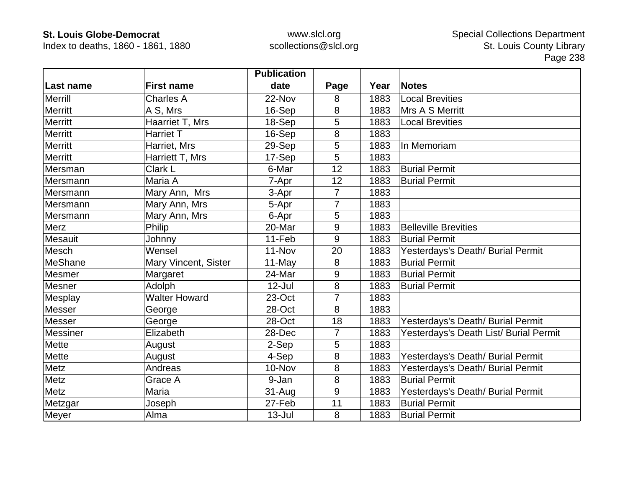Index to deaths, 1860 - 1861, 1880

|                 |                      | <b>Publication</b> |                |      |                                        |
|-----------------|----------------------|--------------------|----------------|------|----------------------------------------|
| Last name       | <b>First name</b>    | date               | Page           | Year | <b>Notes</b>                           |
| <b>Merrill</b>  | <b>Charles A</b>     | 22-Nov             | 8              | 1883 | <b>Local Brevities</b>                 |
| <b>Merritt</b>  | A S, Mrs             | 16-Sep             | 8              | 1883 | Mrs A S Merritt                        |
| <b>Merritt</b>  | Haarriet T, Mrs      | 18-Sep             | 5              | 1883 | <b>Local Brevities</b>                 |
| <b>Merritt</b>  | Harriet T            | 16-Sep             | 8              | 1883 |                                        |
| <b>Merritt</b>  | Harriet, Mrs         | 29-Sep             | 5              | 1883 | In Memoriam                            |
| <b>Merritt</b>  | Harriett T, Mrs      | 17-Sep             | 5              | 1883 |                                        |
| Mersman         | Clark L              | 6-Mar              | 12             | 1883 | <b>Burial Permit</b>                   |
| Mersmann        | Maria A              | 7-Apr              | 12             | 1883 | <b>Burial Permit</b>                   |
| Mersmann        | Mary Ann, Mrs        | 3-Apr              | 7              | 1883 |                                        |
| Mersmann        | Mary Ann, Mrs        | 5-Apr              | 7              | 1883 |                                        |
| Mersmann        | Mary Ann, Mrs        | 6-Apr              | 5              | 1883 |                                        |
| <b>Merz</b>     | Philip               | 20-Mar             | 9              | 1883 | <b>Belleville Brevities</b>            |
| <b>Mesauit</b>  | Johnny               | 11-Feb             | 9              | 1883 | <b>Burial Permit</b>                   |
| Mesch           | Wensel               | $11-Nov$           | 20             | 1883 | Yesterdays's Death/ Burial Permit      |
| MeShane         | Mary Vincent, Sister | 11-May             | 8              | 1883 | <b>Burial Permit</b>                   |
| Mesmer          | Margaret             | 24-Mar             | 9              | 1883 | <b>Burial Permit</b>                   |
| Mesner          | Adolph               | $12$ -Jul          | 8              | 1883 | <b>Burial Permit</b>                   |
| Mesplay         | <b>Walter Howard</b> | 23-Oct             | $\overline{7}$ | 1883 |                                        |
| <b>Messer</b>   | George               | 28-Oct             | 8              | 1883 |                                        |
| Messer          | George               | 28-Oct             | 18             | 1883 | Yesterdays's Death/ Burial Permit      |
| <b>Messiner</b> | Elizabeth            | 28-Dec             | 7              | 1883 | Yesterdays's Death List/ Burial Permit |
| <b>Mette</b>    | August               | 2-Sep              | 5              | 1883 |                                        |
| Mette           | August               | 4-Sep              | 8              | 1883 | Yesterdays's Death/ Burial Permit      |
| Metz            | Andreas              | 10-Nov             | 8              | 1883 | Yesterdays's Death/ Burial Permit      |
| Metz            | Grace A              | 9-Jan              | 8              | 1883 | <b>Burial Permit</b>                   |
| Metz            | Maria                | $31 - Aug$         | 9              | 1883 | Yesterdays's Death/ Burial Permit      |
| Metzgar         | Joseph               | 27-Feb             | 11             | 1883 | <b>Burial Permit</b>                   |
| Meyer           | Alma                 | $13 -$ Jul         | 8              | 1883 | <b>Burial Permit</b>                   |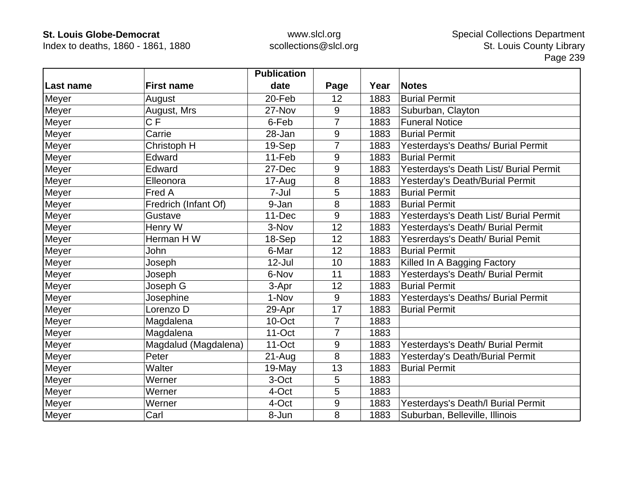Index to deaths, 1860 - 1861, 1880

|           |                      | <b>Publication</b> |                |      |                                        |
|-----------|----------------------|--------------------|----------------|------|----------------------------------------|
| Last name | <b>First name</b>    | date               | Page           | Year | <b>Notes</b>                           |
| Meyer     | August               | 20-Feb             | 12             | 1883 | <b>Burial Permit</b>                   |
| Meyer     | August, Mrs          | 27-Nov             | 9              | 1883 | Suburban, Clayton                      |
| Meyer     | C F                  | 6-Feb              | 7              | 1883 | <b>Funeral Notice</b>                  |
| Meyer     | Carrie               | 28-Jan             | 9              | 1883 | <b>Burial Permit</b>                   |
| Meyer     | Christoph H          | 19-Sep             | 7              | 1883 | Yesterdays's Deaths/ Burial Permit     |
| Meyer     | Edward               | 11-Feb             | 9              | 1883 | <b>Burial Permit</b>                   |
| Meyer     | Edward               | 27-Dec             | 9              | 1883 | Yesterdays's Death List/ Burial Permit |
| Meyer     | Elleonora            | 17-Aug             | 8              | 1883 | Yesterday's Death/Burial Permit        |
| Meyer     | Fred A               | 7-Jul              | 5              | 1883 | <b>Burial Permit</b>                   |
| Meyer     | Fredrich (Infant Of) | 9-Jan              | 8              | 1883 | <b>Burial Permit</b>                   |
| Meyer     | Gustave              | 11-Dec             | 9              | 1883 | Yesterdays's Death List/ Burial Permit |
| Meyer     | Henry W              | 3-Nov              | 12             | 1883 | Yesterdays's Death/ Burial Permit      |
| Meyer     | Herman H W           | 18-Sep             | 12             | 1883 | Yesrerdays's Death/ Burial Pemit       |
| Meyer     | John                 | 6-Mar              | 12             | 1883 | <b>Burial Permit</b>                   |
| Meyer     | Joseph               | 12-Jul             | 10             | 1883 | Killed In A Bagging Factory            |
| Meyer     | Joseph               | 6-Nov              | 11             | 1883 | Yesterdays's Death/ Burial Permit      |
| Meyer     | Joseph G             | 3-Apr              | 12             | 1883 | <b>Burial Permit</b>                   |
| Meyer     | Josephine            | 1-Nov              | 9              | 1883 | Yesterdays's Deaths/ Burial Permit     |
| Meyer     | Lorenzo D            | 29-Apr             | 17             | 1883 | <b>Burial Permit</b>                   |
| Meyer     | Magdalena            | 10-Oct             | $\overline{7}$ | 1883 |                                        |
| Meyer     | Magdalena            | 11-Oct             | 7              | 1883 |                                        |
| Meyer     | Magdalud (Magdalena) | $11$ -Oct          | 9              | 1883 | Yesterdays's Death/ Burial Permit      |
| Meyer     | Peter                | $21 - Aug$         | 8              | 1883 | Yesterday's Death/Burial Permit        |
| Meyer     | Walter               | 19-May             | 13             | 1883 | <b>Burial Permit</b>                   |
| Meyer     | Werner               | 3-Oct              | 5              | 1883 |                                        |
| Meyer     | Werner               | 4-Oct              | 5              | 1883 |                                        |
| Meyer     | Werner               | 4-Oct              | 9              | 1883 | Yesterdays's Death/I Burial Permit     |
| Meyer     | Carl                 | 8-Jun              | 8              | 1883 | Suburban, Belleville, Illinois         |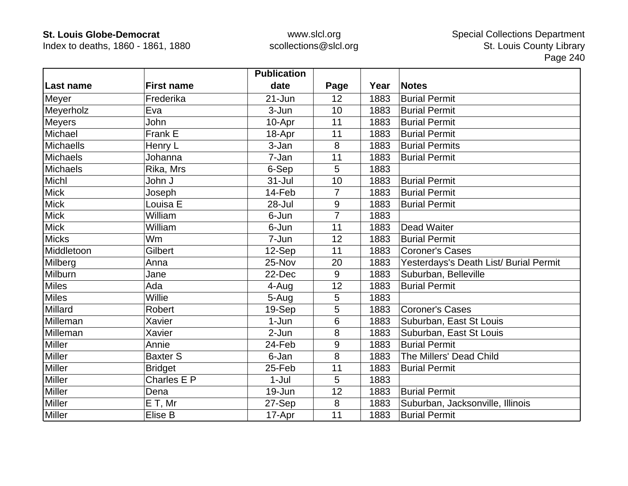Index to deaths, 1860 - 1861, 1880

|                  |                   | <b>Publication</b> |                |      |                                        |
|------------------|-------------------|--------------------|----------------|------|----------------------------------------|
| Last name        | <b>First name</b> | date               | Page           | Year | <b>Notes</b>                           |
| Meyer            | Frederika         | $21 - Jun$         | 12             | 1883 | <b>Burial Permit</b>                   |
| Meyerholz        | Eva               | 3-Jun              | 10             | 1883 | <b>Burial Permit</b>                   |
| <b>Meyers</b>    | John              | 10-Apr             | 11             | 1883 | <b>Burial Permit</b>                   |
| Michael          | Frank E           | 18-Apr             | 11             | 1883 | <b>Burial Permit</b>                   |
| <b>Michaells</b> | Henry L           | 3-Jan              | 8              | 1883 | <b>Burial Permits</b>                  |
| <b>Michaels</b>  | Johanna           | 7-Jan              | 11             | 1883 | <b>Burial Permit</b>                   |
| <b>Michaels</b>  | Rika, Mrs         | 6-Sep              | 5              | 1883 |                                        |
| Michl            | John J            | 31-Jul             | 10             | 1883 | <b>Burial Permit</b>                   |
| <b>Mick</b>      | Joseph            | 14-Feb             | $\overline{7}$ | 1883 | <b>Burial Permit</b>                   |
| <b>Mick</b>      | Louisa E          | 28-Jul             | 9              | 1883 | <b>Burial Permit</b>                   |
| <b>Mick</b>      | William           | 6-Jun              | $\overline{7}$ | 1883 |                                        |
| <b>Mick</b>      | William           | 6-Jun              | 11             | 1883 | <b>Dead Waiter</b>                     |
| <b>Micks</b>     | Wm                | 7-Jun              | 12             | 1883 | <b>Burial Permit</b>                   |
| Middletoon       | Gilbert           | 12-Sep             | 11             | 1883 | <b>Coroner's Cases</b>                 |
| Milberg          | Anna              | 25-Nov             | 20             | 1883 | Yesterdays's Death List/ Burial Permit |
| Milburn          | Jane              | 22-Dec             | 9              | 1883 | Suburban, Belleville                   |
| Miles            | Ada               | 4-Aug              | 12             | 1883 | <b>Burial Permit</b>                   |
| <b>Miles</b>     | Willie            | 5-Aug              | 5              | 1883 |                                        |
| Millard          | Robert            | 19-Sep             | 5              | 1883 | <b>Coroner's Cases</b>                 |
| Milleman         | Xavier            | $1-Jun$            | 6              | 1883 | Suburban, East St Louis                |
| Milleman         | Xavier            | $2-Jun$            | 8              | 1883 | Suburban, East St Louis                |
| <b>Miller</b>    | Annie             | 24-Feb             | 9              | 1883 | <b>Burial Permit</b>                   |
| Miller           | <b>Baxter S</b>   | 6-Jan              | 8              | 1883 | The Millers' Dead Child                |
| Miller           | <b>Bridget</b>    | 25-Feb             | 11             | 1883 | <b>Burial Permit</b>                   |
| <b>Miller</b>    | Charles E P       | $1-Jul$            | 5              | 1883 |                                        |
| Miller           | Dena              | 19-Jun             | 12             | 1883 | <b>Burial Permit</b>                   |
| Miller           | E T, Mr           | 27-Sep             | 8              | 1883 | Suburban, Jacksonville, Illinois       |
| <b>Miller</b>    | Elise B           | 17-Apr             | 11             | 1883 | <b>Burial Permit</b>                   |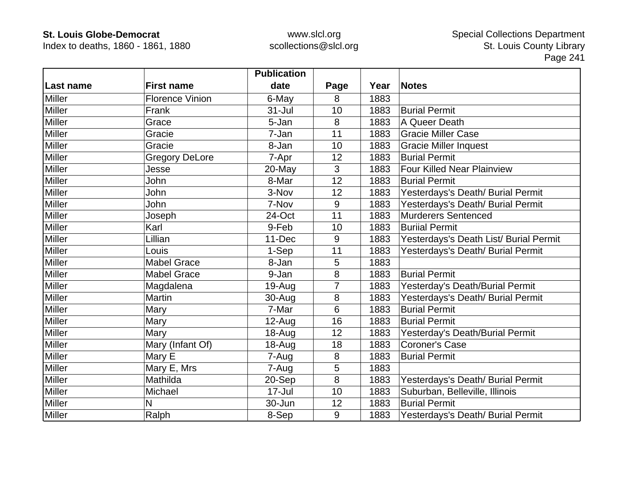Index to deaths, 1860 - 1861, 1880

|               |                        | <b>Publication</b> |                |      |                                        |
|---------------|------------------------|--------------------|----------------|------|----------------------------------------|
| Last name     | <b>First name</b>      | date               | Page           | Year | <b>Notes</b>                           |
| <b>Miller</b> | <b>Florence Vinion</b> | 6-May              | 8              | 1883 |                                        |
| <b>Miller</b> | Frank                  | $31 -$ Jul         | 10             | 1883 | <b>Burial Permit</b>                   |
| <b>Miller</b> | Grace                  | 5-Jan              | 8              | 1883 | A Queer Death                          |
| <b>Miller</b> | Gracie                 | 7-Jan              | 11             | 1883 | <b>Gracie Miller Case</b>              |
| <b>Miller</b> | Gracie                 | 8-Jan              | 10             | 1883 | <b>Gracie Miller Inquest</b>           |
| <b>Miller</b> | <b>Gregory DeLore</b>  | 7-Apr              | 12             | 1883 | <b>Burial Permit</b>                   |
| <b>Miller</b> | Jesse                  | 20-May             | 3              | 1883 | <b>Four Killed Near Plainview</b>      |
| <b>Miller</b> | John                   | 8-Mar              | 12             | 1883 | <b>Burial Permit</b>                   |
| <b>Miller</b> | John                   | 3-Nov              | 12             | 1883 | Yesterdays's Death/ Burial Permit      |
| <b>Miller</b> | John                   | 7-Nov              | 9              | 1883 | Yesterdays's Death/ Burial Permit      |
| <b>Miller</b> | Joseph                 | 24-Oct             | 11             | 1883 | <b>Murderers Sentenced</b>             |
| <b>Miller</b> | Karl                   | 9-Feb              | 10             | 1883 | <b>Buriial Permit</b>                  |
| <b>Miller</b> | Lillian                | 11-Dec             | 9              | 1883 | Yesterdays's Death List/ Burial Permit |
| <b>Miller</b> | Louis                  | 1-Sep              | 11             | 1883 | Yesterdays's Death/ Burial Permit      |
| <b>Miller</b> | <b>Mabel Grace</b>     | 8-Jan              | 5              | 1883 |                                        |
| Miller        | <b>Mabel Grace</b>     | 9-Jan              | 8              | 1883 | <b>Burial Permit</b>                   |
| <b>Miller</b> | Magdalena              | $19-Auq$           | $\overline{7}$ | 1883 | Yesterday's Death/Burial Permit        |
| <b>Miller</b> | <b>Martin</b>          | 30-Aug             | 8              | 1883 | Yesterdays's Death/ Burial Permit      |
| <b>Miller</b> | Mary                   | 7-Mar              | 6              | 1883 | <b>Burial Permit</b>                   |
| Miller        | Mary                   | $12$ -Aug          | 16             | 1883 | <b>Burial Permit</b>                   |
| Miller        | Mary                   | 18-Aug             | 12             | 1883 | Yesterday's Death/Burial Permit        |
| <b>Miller</b> | Mary (Infant Of)       | 18-Aug             | 18             | 1883 | <b>Coroner's Case</b>                  |
| Miller        | Mary E                 | 7-Aug              | 8              | 1883 | <b>Burial Permit</b>                   |
| <b>Miller</b> | Mary E, Mrs            | 7-Aug              | 5              | 1883 |                                        |
| Miller        | Mathilda               | 20-Sep             | 8              | 1883 | Yesterdays's Death/ Burial Permit      |
| <b>Miller</b> | Michael                | $17 -$ Jul         | 10             | 1883 | Suburban, Belleville, Illinois         |
| Miller        | N                      | 30-Jun             | 12             | 1883 | <b>Burial Permit</b>                   |
| <b>Miller</b> | Ralph                  | 8-Sep              | 9              | 1883 | Yesterdays's Death/ Burial Permit      |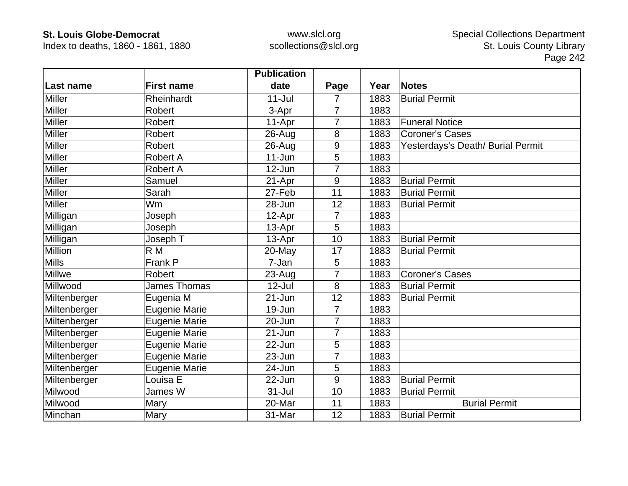Index to deaths, 1860 - 1861, 1880

|               |                      | <b>Publication</b> |                |      |                                   |
|---------------|----------------------|--------------------|----------------|------|-----------------------------------|
| Last name     | <b>First name</b>    | date               | Page           | Year | <b>Notes</b>                      |
| <b>Miller</b> | Rheinhardt           | $11 -$ Jul         | 7              | 1883 | <b>Burial Permit</b>              |
| <b>Miller</b> | <b>Robert</b>        | 3-Apr              | $\overline{7}$ | 1883 |                                   |
| <b>Miller</b> | <b>Robert</b>        | 11-Apr             |                | 1883 | <b>Funeral Notice</b>             |
| <b>Miller</b> | <b>Robert</b>        | 26-Aug             | 8              | 1883 | <b>Coroner's Cases</b>            |
| <b>Miller</b> | Robert               | 26-Aug             | 9              | 1883 | Yesterdays's Death/ Burial Permit |
| <b>Miller</b> | Robert A             | $11 - Jun$         | 5              | 1883 |                                   |
| <b>Miller</b> | <b>Robert A</b>      | 12-Jun             |                | 1883 |                                   |
| <b>Miller</b> | Samuel               | 21-Apr             | 9              | 1883 | <b>Burial Permit</b>              |
| <b>Miller</b> | Sarah                | 27-Feb             | 11             | 1883 | <b>Burial Permit</b>              |
| <b>Miller</b> | Wm                   | 28-Jun             | 12             | 1883 | <b>Burial Permit</b>              |
| Milligan      | Joseph               | 12-Apr             | 7              | 1883 |                                   |
| Milligan      | Joseph               | 13-Apr             | 5              | 1883 |                                   |
| Milligan      | Joseph T             | 13-Apr             | 10             | 1883 | <b>Burial Permit</b>              |
| Million       | R M                  | 20-May             | 17             | 1883 | <b>Burial Permit</b>              |
| <b>Mills</b>  | Frank P              | 7-Jan              | 5              | 1883 |                                   |
| Millwe        | <b>Robert</b>        | 23-Aug             | $\overline{7}$ | 1883 | <b>Coroner's Cases</b>            |
| Millwood      | James Thomas         | $12 -$ Jul         | 8              | 1883 | <b>Burial Permit</b>              |
| Miltenberger  | Eugenia M            | $21 - Jun$         | 12             | 1883 | <b>Burial Permit</b>              |
| Miltenberger  | <b>Eugenie Marie</b> | 19-Jun             | $\overline{7}$ | 1883 |                                   |
| Miltenberger  | <b>Eugenie Marie</b> | 20-Jun             | $\overline{7}$ | 1883 |                                   |
| Miltenberger  | <b>Eugenie Marie</b> | 21-Jun             | 7              | 1883 |                                   |
| Miltenberger  | <b>Eugenie Marie</b> | 22-Jun             | 5              | 1883 |                                   |
| Miltenberger  | <b>Eugenie Marie</b> | 23-Jun             | 7              | 1883 |                                   |
| Miltenberger  | Eugenie Marie        | 24-Jun             | 5              | 1883 |                                   |
| Miltenberger  | Louisa E             | 22-Jun             | 9              | 1883 | <b>Burial Permit</b>              |
| Milwood       | James W              | $31 -$ Jul         | 10             | 1883 | <b>Burial Permit</b>              |
| Milwood       | Mary                 | 20-Mar             | 11             | 1883 | <b>Burial Permit</b>              |
| Minchan       | Mary                 | 31-Mar             | 12             | 1883 | <b>Burial Permit</b>              |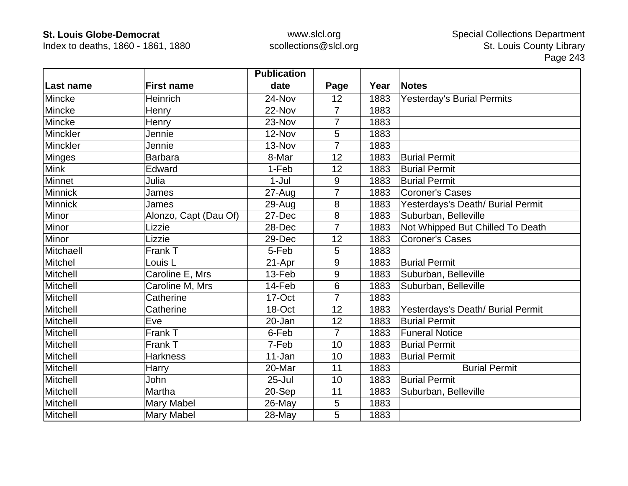Index to deaths, 1860 - 1861, 1880

|                |                       | <b>Publication</b> |                |      |                                   |
|----------------|-----------------------|--------------------|----------------|------|-----------------------------------|
| Last name      | <b>First name</b>     | date               | Page           | Year | <b>Notes</b>                      |
| Mincke         | Heinrich              | 24-Nov             | 12             | 1883 | <b>Yesterday's Burial Permits</b> |
| Mincke         | Henry                 | 22-Nov             | $\overline{7}$ | 1883 |                                   |
| Mincke         | Henry                 | 23-Nov             |                | 1883 |                                   |
| Minckler       | Jennie                | 12-Nov             | 5              | 1883 |                                   |
| Minckler       | Jennie                | 13-Nov             | 7              | 1883 |                                   |
| <b>Minges</b>  | <b>Barbara</b>        | 8-Mar              | 12             | 1883 | <b>Burial Permit</b>              |
| <b>Mink</b>    | Edward                | 1-Feb              | 12             | 1883 | <b>Burial Permit</b>              |
| Minnet         | Julia                 | $1-Jul$            | 9              | 1883 | <b>Burial Permit</b>              |
| <b>Minnick</b> | James                 | 27-Aug             | 7              | 1883 | <b>Coroner's Cases</b>            |
| Minnick        | James                 | 29-Aug             | 8              | 1883 | Yesterdays's Death/ Burial Permit |
| Minor          | Alonzo, Capt (Dau Of) | 27-Dec             | 8              | 1883 | Suburban, Belleville              |
| Minor          | Lizzie                | 28-Dec             | $\overline{7}$ | 1883 | Not Whipped But Chilled To Death  |
| Minor          | Lizzie                | 29-Dec             | 12             | 1883 | <b>Coroner's Cases</b>            |
| Mitchaell      | Frank T               | 5-Feb              | 5              | 1883 |                                   |
| Mitchel        | Louis <sub>L</sub>    | 21-Apr             | 9              | 1883 | <b>Burial Permit</b>              |
| Mitchell       | Caroline E, Mrs       | 13-Feb             | 9              | 1883 | Suburban, Belleville              |
| Mitchell       | Caroline M, Mrs       | 14-Feb             | 6              | 1883 | Suburban, Belleville              |
| Mitchell       | Catherine             | 17-Oct             | 7              | 1883 |                                   |
| Mitchell       | Catherine             | 18-Oct             | 12             | 1883 | Yesterdays's Death/ Burial Permit |
| Mitchell       | Eve                   | 20-Jan             | 12             | 1883 | <b>Burial Permit</b>              |
| Mitchell       | Frank T               | 6-Feb              | $\overline{7}$ | 1883 | <b>Funeral Notice</b>             |
| Mitchell       | Frank T               | 7-Feb              | 10             | 1883 | <b>Burial Permit</b>              |
| Mitchell       | <b>Harkness</b>       | 11-Jan             | 10             | 1883 | <b>Burial Permit</b>              |
| Mitchell       | Harry                 | 20-Mar             | 11             | 1883 | <b>Burial Permit</b>              |
| Mitchell       | John                  | $25 -$ Jul         | 10             | 1883 | <b>Burial Permit</b>              |
| Mitchell       | Martha                | 20-Sep             | 11             | 1883 | Suburban, Belleville              |
| Mitchell       | <b>Mary Mabel</b>     | 26-May             | 5              | 1883 |                                   |
| Mitchell       | Mary Mabel            | $28$ -May          | 5              | 1883 |                                   |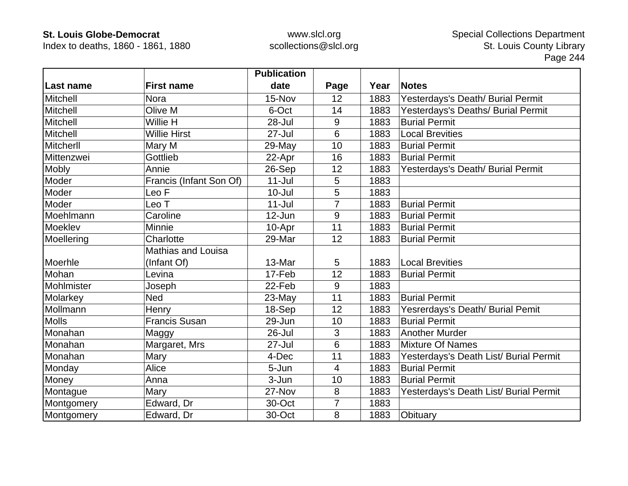Index to deaths, 1860 - 1861, 1880

|                  |                           | <b>Publication</b> |                |      |                                        |
|------------------|---------------------------|--------------------|----------------|------|----------------------------------------|
| <b>Last name</b> | <b>First name</b>         | date               | Page           | Year | <b>Notes</b>                           |
| <b>Mitchell</b>  | <b>Nora</b>               | 15-Nov             | 12             | 1883 | Yesterdays's Death/ Burial Permit      |
| Mitchell         | Olive M                   | 6-Oct              | 14             | 1883 | Yesterdays's Deaths/ Burial Permit     |
| Mitchell         | Willie H                  | 28-Jul             | 9              | 1883 | <b>Burial Permit</b>                   |
| Mitchell         | <b>Willie Hirst</b>       | $27 -$ Jul         | 6              | 1883 | <b>Local Brevities</b>                 |
| Mitcherll        | Mary M                    | 29-May             | 10             | 1883 | <b>Burial Permit</b>                   |
| Mittenzwei       | Gottlieb                  | 22-Apr             | 16             | 1883 | <b>Burial Permit</b>                   |
| Mobly            | Annie                     | 26-Sep             | 12             | 1883 | Yesterdays's Death/ Burial Permit      |
| Moder            | Francis (Infant Son Of)   | $11 -$ Jul         | 5              | 1883 |                                        |
| Moder            | Leo F                     | $10 -$ Jul         | 5              | 1883 |                                        |
| Moder            | Leo T                     | $11 -$ Jul         | $\overline{7}$ | 1883 | <b>Burial Permit</b>                   |
| Moehlmann        | Caroline                  | 12-Jun             | 9              | 1883 | <b>Burial Permit</b>                   |
| Moeklev          | Minnie                    | 10-Apr             | 11             | 1883 | <b>Burial Permit</b>                   |
| Moellering       | Charlotte                 | 29-Mar             | 12             | 1883 | <b>Burial Permit</b>                   |
|                  | <b>Mathias and Louisa</b> |                    |                |      |                                        |
| Moerhle          | (Infant Of)               | 13-Mar             | 5              | 1883 | <b>Local Brevities</b>                 |
| Mohan            | Levina                    | 17-Feb             | 12             | 1883 | <b>Burial Permit</b>                   |
| Mohlmister       | Joseph                    | 22-Feb             | 9              | 1883 |                                        |
| Molarkey         | <b>Ned</b>                | 23-May             | 11             | 1883 | <b>Burial Permit</b>                   |
| Mollmann         | Henry                     | 18-Sep             | 12             | 1883 | Yesrerdays's Death/ Burial Pemit       |
| <b>Molls</b>     | <b>Francis Susan</b>      | 29-Jun             | 10             | 1883 | <b>Burial Permit</b>                   |
| Monahan          | Maggy                     | 26-Jul             | 3              | 1883 | <b>Another Murder</b>                  |
| Monahan          | Margaret, Mrs             | 27-Jul             | 6              | 1883 | <b>Mixture Of Names</b>                |
| Monahan          | Mary                      | 4-Dec              | 11             | 1883 | Yesterdays's Death List/ Burial Permit |
| Monday           | Alice                     | 5-Jun              | $\overline{4}$ | 1883 | <b>Burial Permit</b>                   |
| Money            | Anna                      | 3-Jun              | 10             | 1883 | <b>Burial Permit</b>                   |
| Montague         | Mary                      | 27-Nov             | 8              | 1883 | Yesterdays's Death List/ Burial Permit |
| Montgomery       | Edward, Dr                | 30-Oct             | 7              | 1883 |                                        |
| Montgomery       | Edward, Dr                | 30-Oct             | 8              | 1883 | Obituary                               |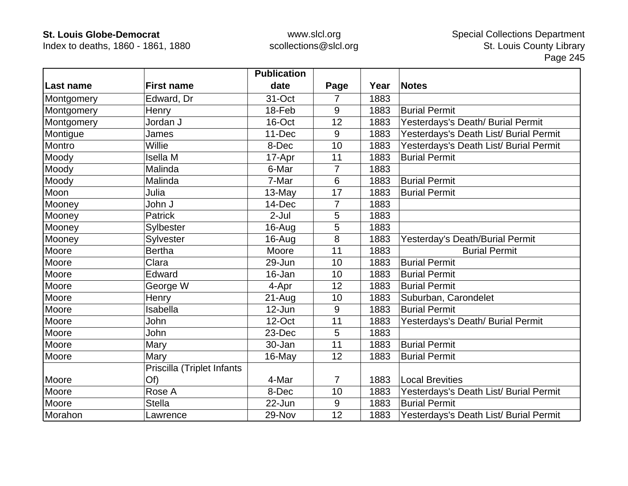Index to deaths, 1860 - 1861, 1880

|            |                            | <b>Publication</b> |                |      |                                        |
|------------|----------------------------|--------------------|----------------|------|----------------------------------------|
| Last name  | <b>First name</b>          | date               | Page           | Year | <b>Notes</b>                           |
| Montgomery | Edward, Dr                 | 31-Oct             | $\overline{7}$ | 1883 |                                        |
| Montgomery | Henry                      | 18-Feb             | 9              | 1883 | <b>Burial Permit</b>                   |
| Montgomery | Jordan J                   | 16-Oct             | 12             | 1883 | Yesterdays's Death/ Burial Permit      |
| Montigue   | James                      | 11-Dec             | 9              | 1883 | Yesterdays's Death List/ Burial Permit |
| Montro     | Willie                     | 8-Dec              | 10             | 1883 | Yesterdays's Death List/ Burial Permit |
| Moody      | <b>Isella M</b>            | 17-Apr             | 11             | 1883 | <b>Burial Permit</b>                   |
| Moody      | Malinda                    | 6-Mar              | 7              | 1883 |                                        |
| Moody      | Malinda                    | 7-Mar              | 6              | 1883 | <b>Burial Permit</b>                   |
| Moon       | Julia                      | 13-May             | 17             | 1883 | <b>Burial Permit</b>                   |
| Mooney     | John J                     | 14-Dec             | $\overline{7}$ | 1883 |                                        |
| Mooney     | <b>Patrick</b>             | $2-Jul$            | 5              | 1883 |                                        |
| Mooney     | Sylbester                  | 16-Aug             | 5              | 1883 |                                        |
| Mooney     | Sylvester                  | $16$ -Aug          | 8              | 1883 | Yesterday's Death/Burial Permit        |
| Moore      | <b>Bertha</b>              | Moore              | 11             | 1883 | <b>Burial Permit</b>                   |
| Moore      | Clara                      | 29-Jun             | 10             | 1883 | <b>Burial Permit</b>                   |
| Moore      | Edward                     | 16-Jan             | 10             | 1883 | <b>Burial Permit</b>                   |
| Moore      | George W                   | 4-Apr              | 12             | 1883 | <b>Burial Permit</b>                   |
| Moore      | Henry                      | $21-Auq$           | 10             | 1883 | Suburban, Carondelet                   |
| Moore      | Isabella                   | 12-Jun             | 9              | 1883 | <b>Burial Permit</b>                   |
| Moore      | John                       | 12-Oct             | 11             | 1883 | Yesterdays's Death/ Burial Permit      |
| Moore      | John                       | 23-Dec             | 5              | 1883 |                                        |
| Moore      | Mary                       | 30-Jan             | 11             | 1883 | <b>Burial Permit</b>                   |
| Moore      | Mary                       | 16-May             | 12             | 1883 | <b>Burial Permit</b>                   |
|            | Priscilla (Triplet Infants |                    |                |      |                                        |
| Moore      | Of)                        | 4-Mar              | $\overline{7}$ | 1883 | <b>Local Brevities</b>                 |
| Moore      | Rose A                     | 8-Dec              | 10             | 1883 | Yesterdays's Death List/ Burial Permit |
| Moore      | <b>Stella</b>              | 22-Jun             | 9              | 1883 | <b>Burial Permit</b>                   |
| Morahon    | Lawrence                   | 29-Nov             | 12             | 1883 | Yesterdays's Death List/ Burial Permit |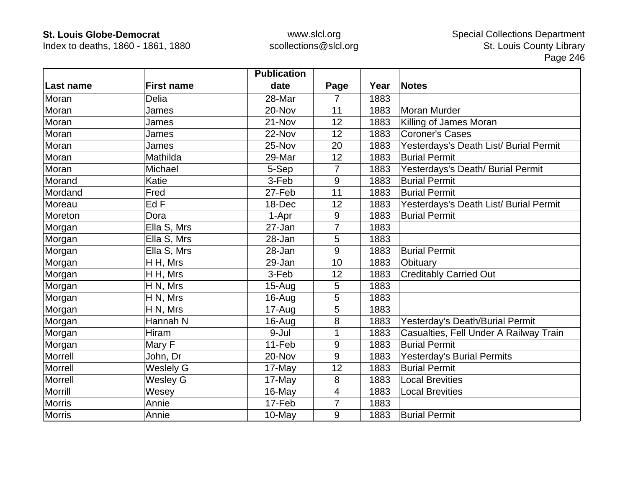Index to deaths, 1860 - 1861, 1880

|               |                   | <b>Publication</b> |      |      |                                        |
|---------------|-------------------|--------------------|------|------|----------------------------------------|
| Last name     | <b>First name</b> | date               | Page | Year | <b>Notes</b>                           |
| Moran         | Delia             | 28-Mar             | 7    | 1883 |                                        |
| Moran         | James             | 20-Nov             | 11   | 1883 | <b>Moran Murder</b>                    |
| Moran         | James             | 21-Nov             | 12   | 1883 | Killing of James Moran                 |
| Moran         | James             | 22-Nov             | 12   | 1883 | <b>Coroner's Cases</b>                 |
| Moran         | James             | 25-Nov             | 20   | 1883 | Yesterdays's Death List/ Burial Permit |
| Moran         | Mathilda          | 29-Mar             | 12   | 1883 | <b>Burial Permit</b>                   |
| Moran         | Michael           | 5-Sep              | 7    | 1883 | Yesterdays's Death/ Burial Permit      |
| Morand        | Katie             | 3-Feb              | 9    | 1883 | <b>Burial Permit</b>                   |
| Mordand       | Fred              | 27-Feb             | 11   | 1883 | <b>Burial Permit</b>                   |
| Moreau        | Ed F              | 18-Dec             | 12   | 1883 | Yesterdays's Death List/ Burial Permit |
| Moreton       | Dora              | 1-Apr              | 9    | 1883 | <b>Burial Permit</b>                   |
| Morgan        | Ella S, Mrs       | 27-Jan             | 7    | 1883 |                                        |
| Morgan        | Ella S, Mrs       | 28-Jan             | 5    | 1883 |                                        |
| Morgan        | Ella S, Mrs       | 28-Jan             | 9    | 1883 | <b>Burial Permit</b>                   |
| Morgan        | H H, Mrs          | 29-Jan             | 10   | 1883 | Obituary                               |
| Morgan        | H H, Mrs          | 3-Feb              | 12   | 1883 | <b>Creditably Carried Out</b>          |
| Morgan        | H N, Mrs          | $15-Aug$           | 5    | 1883 |                                        |
| Morgan        | H N, Mrs          | 16-Aug             | 5    | 1883 |                                        |
| Morgan        | H N, Mrs          | 17-Aug             | 5    | 1883 |                                        |
| Morgan        | Hannah N          | 16-Aug             | 8    | 1883 | Yesterday's Death/Burial Permit        |
| Morgan        | Hiram             | 9-Jul              |      | 1883 | Casualties, Fell Under A Railway Train |
| Morgan        | Mary F            | 11-Feb             | 9    | 1883 | <b>Burial Permit</b>                   |
| Morrell       | John, Dr          | 20-Nov             | 9    | 1883 | <b>Yesterday's Burial Permits</b>      |
| Morrell       | <b>Weslely G</b>  | 17-May             | 12   | 1883 | <b>Burial Permit</b>                   |
| Morrell       | <b>Wesley G</b>   | 17-May             | 8    | 1883 | <b>Local Brevities</b>                 |
| Morrill       | Wesey             | 16-May             | 4    | 1883 | <b>Local Brevities</b>                 |
| <b>Morris</b> | Annie             | 17-Feb             | 7    | 1883 |                                        |
| <b>Morris</b> | Annie             | 10-May             | 9    | 1883 | <b>Burial Permit</b>                   |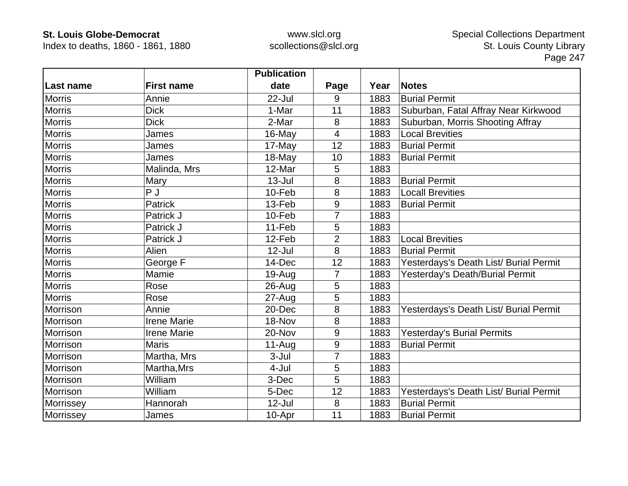Index to deaths, 1860 - 1861, 1880

|               |                    | <b>Publication</b> |                  |      |                                        |
|---------------|--------------------|--------------------|------------------|------|----------------------------------------|
| Last name     | <b>First name</b>  | date               | Page             | Year | <b>Notes</b>                           |
| <b>Morris</b> | Annie              | 22-Jul             | 9                | 1883 | <b>Burial Permit</b>                   |
| <b>Morris</b> | <b>Dick</b>        | 1-Mar              | 11               | 1883 | Suburban, Fatal Affray Near Kirkwood   |
| <b>Morris</b> | <b>Dick</b>        | 2-Mar              | 8                | 1883 | Suburban, Morris Shooting Affray       |
| <b>Morris</b> | James              | 16-May             | 4                | 1883 | <b>Local Brevities</b>                 |
| <b>Morris</b> | James              | 17-May             | 12               | 1883 | <b>Burial Permit</b>                   |
| <b>Morris</b> | James              | 18-May             | 10               | 1883 | <b>Burial Permit</b>                   |
| <b>Morris</b> | Malinda, Mrs       | 12-Mar             | 5                | 1883 |                                        |
| <b>Morris</b> | Mary               | $13 -$ Jul         | 8                | 1883 | <b>Burial Permit</b>                   |
| <b>Morris</b> | P J                | 10-Feb             | 8                | 1883 | <b>Locall Brevities</b>                |
| <b>Morris</b> | Patrick            | 13-Feb             | 9                | 1883 | <b>Burial Permit</b>                   |
| <b>Morris</b> | Patrick J          | 10-Feb             | 7                | 1883 |                                        |
| <b>Morris</b> | Patrick J          | 11-Feb             | 5                | 1883 |                                        |
| <b>Morris</b> | Patrick J          | 12-Feb             | $\overline{2}$   | 1883 | <b>Local Brevities</b>                 |
| <b>Morris</b> | Alien              | $12$ -Jul          | 8                | 1883 | <b>Burial Permit</b>                   |
| <b>Morris</b> | George F           | 14-Dec             | 12               | 1883 | Yesterdays's Death List/ Burial Permit |
| <b>Morris</b> | Mamie              | 19-Aug             | 7                | 1883 | Yesterday's Death/Burial Permit        |
| <b>Morris</b> | Rose               | $26$ -Aug          | 5                | 1883 |                                        |
| <b>Morris</b> | Rose               | $27 - Aug$         | 5                | 1883 |                                        |
| Morrison      | Annie              | 20-Dec             | 8                | 1883 | Yesterdays's Death List/ Burial Permit |
| Morrison      | <b>Irene Marie</b> | 18-Nov             | 8                | 1883 |                                        |
| Morrison      | <b>Irene Marie</b> | 20-Nov             | $\boldsymbol{9}$ | 1883 | <b>Yesterday's Burial Permits</b>      |
| Morrison      | <b>Maris</b>       | $11-Auq$           | 9                | 1883 | <b>Burial Permit</b>                   |
| Morrison      | Martha, Mrs        | 3-Jul              | 7                | 1883 |                                        |
| Morrison      | Martha, Mrs        | 4-Jul              | 5                | 1883 |                                        |
| Morrison      | William            | 3-Dec              | 5                | 1883 |                                        |
| Morrison      | William            | 5-Dec              | 12               | 1883 | Yesterdays's Death List/ Burial Permit |
| Morrissey     | Hannorah           | $12$ -Jul          | 8                | 1883 | <b>Burial Permit</b>                   |
| Morrissey     | James              | 10-Apr             | 11               | 1883 | <b>Burial Permit</b>                   |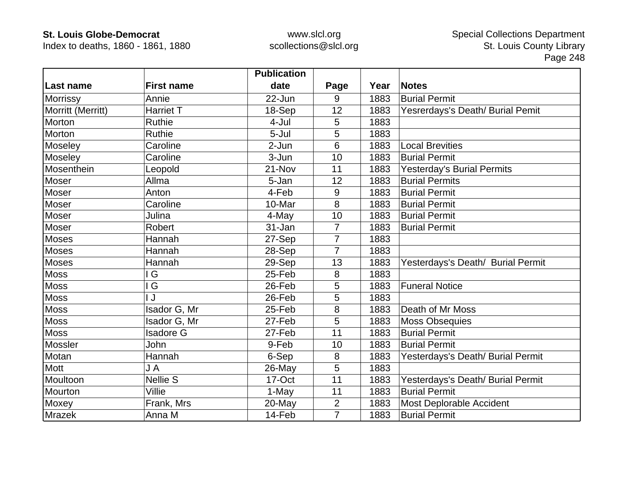Index to deaths, 1860 - 1861, 1880

|                   |                   | <b>Publication</b> |                |      |                                   |
|-------------------|-------------------|--------------------|----------------|------|-----------------------------------|
| Last name         | <b>First name</b> | date               | Page           | Year | <b>Notes</b>                      |
| <b>Morrissy</b>   | Annie             | 22-Jun             | 9              | 1883 | <b>Burial Permit</b>              |
| Morritt (Merritt) | <b>Harriet T</b>  | 18-Sep             | 12             | 1883 | Yesrerdays's Death/ Burial Pemit  |
| Morton            | <b>Ruthie</b>     | 4-Jul              | 5              | 1883 |                                   |
| Morton            | <b>Ruthie</b>     | 5-Jul              | 5              | 1883 |                                   |
| Moseley           | Caroline          | 2-Jun              | 6              | 1883 | <b>Local Brevities</b>            |
| Moseley           | Caroline          | 3-Jun              | 10             | 1883 | <b>Burial Permit</b>              |
| Mosenthein        | Leopold           | 21-Nov             | 11             | 1883 | <b>Yesterday's Burial Permits</b> |
| Moser             | Allma             | 5-Jan              | 12             | 1883 | <b>Burial Permits</b>             |
| Moser             | Anton             | 4-Feb              | 9              | 1883 | <b>Burial Permit</b>              |
| Moser             | Caroline          | 10-Mar             | 8              | 1883 | <b>Burial Permit</b>              |
| Moser             | Julina            | 4-May              | 10             | 1883 | <b>Burial Permit</b>              |
| Moser             | <b>Robert</b>     | 31-Jan             | $\overline{7}$ | 1883 | <b>Burial Permit</b>              |
| <b>Moses</b>      | Hannah            | 27-Sep             | 7              | 1883 |                                   |
| Moses             | Hannah            | 28-Sep             | $\overline{7}$ | 1883 |                                   |
| <b>Moses</b>      | Hannah            | 29-Sep             | 13             | 1883 | Yesterdays's Death/ Burial Permit |
| <b>Moss</b>       | l G               | 25-Feb             | 8              | 1883 |                                   |
| <b>Moss</b>       | G                 | 26-Feb             | 5              | 1883 | <b>Funeral Notice</b>             |
| <b>Moss</b>       | J                 | 26-Feb             | 5              | 1883 |                                   |
| <b>Moss</b>       | Isador G, Mr      | 25-Feb             | 8              | 1883 | Death of Mr Moss                  |
| <b>Moss</b>       | Isador G, Mr      | 27-Feb             | 5              | 1883 | <b>Moss Obsequies</b>             |
| <b>Moss</b>       | <b>Isadore G</b>  | 27-Feb             | 11             | 1883 | <b>Burial Permit</b>              |
| Mossler           | John              | 9-Feb              | 10             | 1883 | <b>Burial Permit</b>              |
| Motan             | Hannah            | 6-Sep              | 8              | 1883 | Yesterdays's Death/ Burial Permit |
| M <sub>ot</sub>   | J A               | 26-May             | 5              | 1883 |                                   |
| Moultoon          | <b>Nellie S</b>   | 17-Oct             | 11             | 1883 | Yesterdays's Death/ Burial Permit |
| Mourton           | Villie            | 1-May              | 11             | 1883 | <b>Burial Permit</b>              |
| Moxey             | Frank, Mrs        | 20-May             | $\overline{2}$ | 1883 | Most Deplorable Accident          |
| <b>Mrazek</b>     | Anna M            | 14-Feb             | $\overline{7}$ | 1883 | <b>Burial Permit</b>              |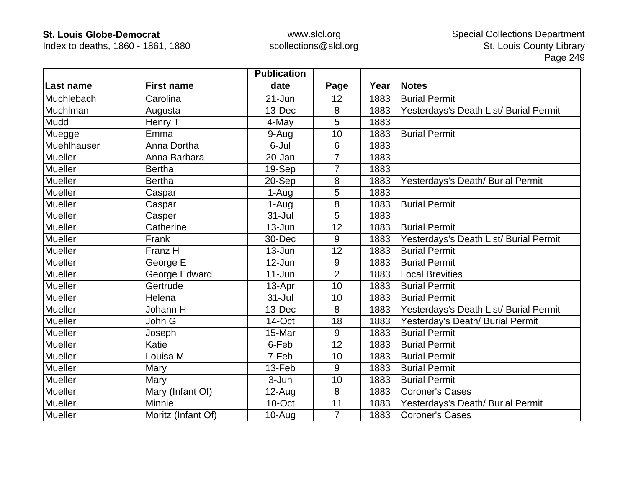Index to deaths, 1860 - 1861, 1880

|             |                    | <b>Publication</b> |                |      |                                        |
|-------------|--------------------|--------------------|----------------|------|----------------------------------------|
| Last name   | <b>First name</b>  | date               | Page           | Year | <b>Notes</b>                           |
| Muchlebach  | Carolina           | $21 - Jun$         | 12             | 1883 | <b>Burial Permit</b>                   |
| Muchlman    | Augusta            | 13-Dec             | 8              | 1883 | Yesterdays's Death List/ Burial Permit |
| Mudd        | Henry T            | 4-May              | 5              | 1883 |                                        |
| Muegge      | Emma               | 9-Aug              | 10             | 1883 | <b>Burial Permit</b>                   |
| Muehlhauser | Anna Dortha        | 6-Jul              | 6              | 1883 |                                        |
| Mueller     | Anna Barbara       | 20-Jan             | 7              | 1883 |                                        |
| Mueller     | <b>Bertha</b>      | 19-Sep             |                | 1883 |                                        |
| Mueller     | <b>Bertha</b>      | 20-Sep             | 8              | 1883 | Yesterdays's Death/ Burial Permit      |
| Mueller     | Caspar             | 1-Aug              | 5              | 1883 |                                        |
| Mueller     | Caspar             | 1-Aug              | 8              | 1883 | <b>Burial Permit</b>                   |
| Mueller     | Casper             | $31 -$ Jul         | 5              | 1883 |                                        |
| Mueller     | Catherine          | 13-Jun             | 12             | 1883 | <b>Burial Permit</b>                   |
| Mueller     | Frank              | 30-Dec             | 9              | 1883 | Yesterdays's Death List/ Burial Permit |
| Mueller     | Franz H            | $13 - Jun$         | 12             | 1883 | <b>Burial Permit</b>                   |
| Mueller     | George E           | 12-Jun             | 9              | 1883 | <b>Burial Permit</b>                   |
| Mueller     | George Edward      | $11 - Jun$         | $\overline{2}$ | 1883 | <b>Local Brevities</b>                 |
| Mueller     | Gertrude           | 13-Apr             | 10             | 1883 | <b>Burial Permit</b>                   |
| Mueller     | Helena             | $31 -$ Jul         | 10             | 1883 | <b>Burial Permit</b>                   |
| Mueller     | Johann H           | 13-Dec             | 8              | 1883 | Yesterdays's Death List/ Burial Permit |
| Mueller     | John G             | 14-Oct             | 18             | 1883 | Yesterday's Death/ Burial Permit       |
| Mueller     | Joseph             | 15-Mar             | 9              | 1883 | <b>Burial Permit</b>                   |
| Mueller     | Katie              | 6-Feb              | 12             | 1883 | <b>Burial Permit</b>                   |
| Mueller     | Louisa M           | 7-Feb              | 10             | 1883 | <b>Burial Permit</b>                   |
| Mueller     | Mary               | 13-Feb             | 9              | 1883 | <b>Burial Permit</b>                   |
| Mueller     | Mary               | 3-Jun              | 10             | 1883 | <b>Burial Permit</b>                   |
| Mueller     | Mary (Infant Of)   | 12-Aug             | 8              | 1883 | <b>Coroner's Cases</b>                 |
| Mueller     | <b>Minnie</b>      | 10-Oct             | 11             | 1883 | Yesterdays's Death/ Burial Permit      |
| Mueller     | Moritz (Infant Of) | $10-Auq$           | $\overline{7}$ | 1883 | <b>Coroner's Cases</b>                 |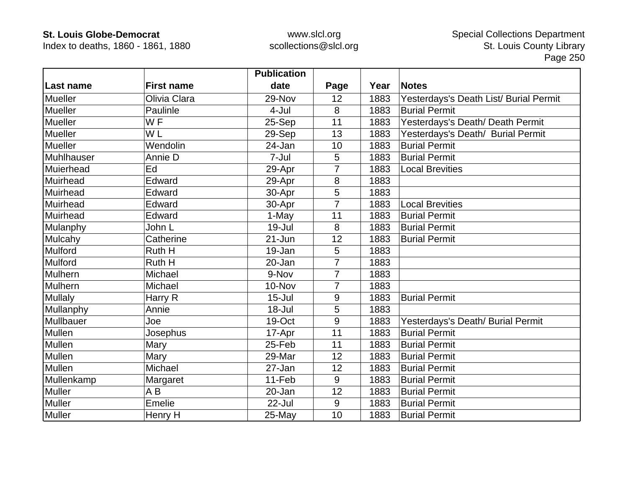Index to deaths, 1860 - 1861, 1880

|                |                   | <b>Publication</b> |                |      |                                        |
|----------------|-------------------|--------------------|----------------|------|----------------------------------------|
| Last name      | <b>First name</b> | date               | Page           | Year | <b>Notes</b>                           |
| <b>Mueller</b> | Olivia Clara      | 29-Nov             | 12             | 1883 | Yesterdays's Death List/ Burial Permit |
| <b>Mueller</b> | Paulinle          | 4-Jul              | 8              | 1883 | <b>Burial Permit</b>                   |
| Mueller        | WF                | 25-Sep             | 11             | 1883 | Yesterdays's Death/ Death Permit       |
| Mueller        | W <sub>L</sub>    | 29-Sep             | 13             | 1883 | Yesterdays's Death/ Burial Permit      |
| Mueller        | Wendolin          | 24-Jan             | 10             | 1883 | <b>Burial Permit</b>                   |
| Muhlhauser     | Annie D           | 7-Jul              | 5              | 1883 | <b>Burial Permit</b>                   |
| Muierhead      | Ed                | 29-Apr             | 7              | 1883 | <b>Local Brevities</b>                 |
| Muirhead       | Edward            | 29-Apr             | 8              | 1883 |                                        |
| Muirhead       | Edward            | 30-Apr             | 5              | 1883 |                                        |
| Muirhead       | Edward            | 30-Apr             | $\overline{7}$ | 1883 | <b>Local Brevities</b>                 |
| Muirhead       | Edward            | 1-May              | 11             | 1883 | <b>Burial Permit</b>                   |
| Mulanphy       | John L            | $19 -$ Jul         | 8              | 1883 | <b>Burial Permit</b>                   |
| Mulcahy        | Catherine         | $21 - Jun$         | 12             | 1883 | <b>Burial Permit</b>                   |
| Mulford        | Ruth H            | 19-Jan             | 5              | 1883 |                                        |
| Mulford        | Ruth H            | 20-Jan             | 7              | 1883 |                                        |
| Mulhern        | Michael           | 9-Nov              | $\overline{7}$ | 1883 |                                        |
| Mulhern        | Michael           | 10-Nov             | $\overline{7}$ | 1883 |                                        |
| <b>Mullaly</b> | Harry R           | $15 -$ Jul         | $9\,$          | 1883 | <b>Burial Permit</b>                   |
| Mullanphy      | Annie             | $18 -$ Jul         | 5              | 1883 |                                        |
| Mullbauer      | Joe               | 19-Oct             | 9              | 1883 | Yesterdays's Death/ Burial Permit      |
| Mullen         | Josephus          | 17-Apr             | 11             | 1883 | <b>Burial Permit</b>                   |
| Mullen         | Mary              | 25-Feb             | 11             | 1883 | <b>Burial Permit</b>                   |
| Mullen         | Mary              | 29-Mar             | 12             | 1883 | <b>Burial Permit</b>                   |
| Mullen         | Michael           | 27-Jan             | 12             | 1883 | <b>Burial Permit</b>                   |
| Mullenkamp     | Margaret          | 11-Feb             | 9              | 1883 | <b>Burial Permit</b>                   |
| <b>Muller</b>  | A B               | 20-Jan             | 12             | 1883 | <b>Burial Permit</b>                   |
| Muller         | <b>Emelie</b>     | $22$ -Jul          | 9              | 1883 | <b>Burial Permit</b>                   |
| <b>Muller</b>  | Henry H           | 25-May             | 10             | 1883 | <b>Burial Permit</b>                   |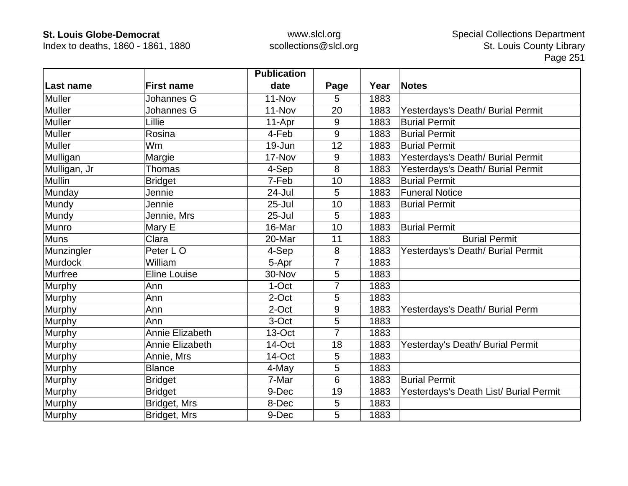Index to deaths, 1860 - 1861, 1880

|               |                     | <b>Publication</b> |      |      |                                        |
|---------------|---------------------|--------------------|------|------|----------------------------------------|
| Last name     | <b>First name</b>   | date               | Page | Year | <b>Notes</b>                           |
| <b>Muller</b> | Johannes G          | 11-Nov             | 5    | 1883 |                                        |
| Muller        | Johannes G          | 11-Nov             | 20   | 1883 | Yesterdays's Death/ Burial Permit      |
| <b>Muller</b> | Lillie              | 11-Apr             | 9    | 1883 | <b>Burial Permit</b>                   |
| Muller        | Rosina              | 4-Feb              | 9    | 1883 | <b>Burial Permit</b>                   |
| <b>Muller</b> | Wm                  | 19-Jun             | 12   | 1883 | <b>Burial Permit</b>                   |
| Mulligan      | Margie              | 17-Nov             | 9    | 1883 | Yesterdays's Death/ Burial Permit      |
| Mulligan, Jr  | Thomas              | 4-Sep              | 8    | 1883 | Yesterdays's Death/ Burial Permit      |
| <b>Mullin</b> | <b>Bridget</b>      | 7-Feb              | 10   | 1883 | <b>Burial Permit</b>                   |
| Munday        | Jennie              | 24-Jul             | 5    | 1883 | <b>Funeral Notice</b>                  |
| Mundy         | Jennie              | $25 -$ Jul         | 10   | 1883 | <b>Burial Permit</b>                   |
| Mundy         | Jennie, Mrs         | $25 -$ Jul         | 5    | 1883 |                                        |
| Munro         | Mary E              | 16-Mar             | 10   | 1883 | <b>Burial Permit</b>                   |
| <b>Muns</b>   | Clara               | 20-Mar             | 11   | 1883 | <b>Burial Permit</b>                   |
| Munzingler    | Peter LO            | 4-Sep              | 8    | 1883 | Yesterdays's Death/ Burial Permit      |
| Murdock       | William             | 5-Apr              |      | 1883 |                                        |
| Murfree       | <b>Eline Louise</b> | 30-Nov             | 5    | 1883 |                                        |
| <b>Murphy</b> | Ann                 | 1-Oct              | 7    | 1883 |                                        |
| Murphy        | Ann                 | 2-Oct              | 5    | 1883 |                                        |
| Murphy        | Ann                 | 2-Oct              | 9    | 1883 | Yesterdays's Death/ Burial Perm        |
| Murphy        | Ann                 | 3-Oct              | 5    | 1883 |                                        |
| Murphy        | Annie Elizabeth     | 13-Oct             | 7    | 1883 |                                        |
| Murphy        | Annie Elizabeth     | 14-Oct             | 18   | 1883 | Yesterday's Death/ Burial Permit       |
| Murphy        | Annie, Mrs          | 14-Oct             | 5    | 1883 |                                        |
| Murphy        | <b>Blance</b>       | 4-May              | 5    | 1883 |                                        |
| Murphy        | <b>Bridget</b>      | 7-Mar              | 6    | 1883 | <b>Burial Permit</b>                   |
| Murphy        | <b>Bridget</b>      | 9-Dec              | 19   | 1883 | Yesterdays's Death List/ Burial Permit |
| Murphy        | Bridget, Mrs        | 8-Dec              | 5    | 1883 |                                        |
| Murphy        | Bridget, Mrs        | 9-Dec              | 5    | 1883 |                                        |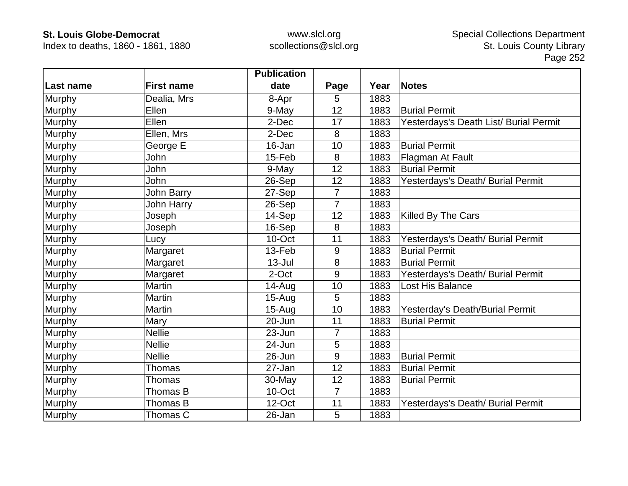Index to deaths, 1860 - 1861, 1880

|               |                   | <b>Publication</b> |                |      |                                        |
|---------------|-------------------|--------------------|----------------|------|----------------------------------------|
| Last name     | <b>First name</b> | date               | Page           | Year | <b>Notes</b>                           |
| <b>Murphy</b> | Dealia, Mrs       | 8-Apr              | 5              | 1883 |                                        |
| Murphy        | Ellen             | 9-May              | 12             | 1883 | <b>Burial Permit</b>                   |
| Murphy        | Ellen             | 2-Dec              | 17             | 1883 | Yesterdays's Death List/ Burial Permit |
| Murphy        | Ellen, Mrs        | 2-Dec              | 8              | 1883 |                                        |
| Murphy        | George E          | 16-Jan             | 10             | 1883 | <b>Burial Permit</b>                   |
| Murphy        | John              | 15-Feb             | 8              | 1883 | Flagman At Fault                       |
| Murphy        | John              | 9-May              | 12             | 1883 | <b>Burial Permit</b>                   |
| Murphy        | John              | 26-Sep             | 12             | 1883 | Yesterdays's Death/ Burial Permit      |
| <b>Murphy</b> | John Barry        | 27-Sep             | 7              | 1883 |                                        |
| Murphy        | <b>John Harry</b> | 26-Sep             | $\overline{7}$ | 1883 |                                        |
| Murphy        | Joseph            | 14-Sep             | 12             | 1883 | Killed By The Cars                     |
| Murphy        | Joseph            | 16-Sep             | 8              | 1883 |                                        |
| Murphy        | Lucy              | 10-Oct             | 11             | 1883 | Yesterdays's Death/ Burial Permit      |
| Murphy        | Margaret          | 13-Feb             | 9              | 1883 | <b>Burial Permit</b>                   |
| Murphy        | Margaret          | $13 -$ Jul         | 8              | 1883 | <b>Burial Permit</b>                   |
| Murphy        | Margaret          | 2-Oct              | 9              | 1883 | Yesterdays's Death/ Burial Permit      |
| Murphy        | Martin            | 14-Aug             | 10             | 1883 | Lost His Balance                       |
| Murphy        | <b>Martin</b>     | $15-Aug$           | 5              | 1883 |                                        |
| Murphy        | Martin            | $15-Auq$           | 10             | 1883 | Yesterday's Death/Burial Permit        |
| Murphy        | Mary              | 20-Jun             | 11             | 1883 | <b>Burial Permit</b>                   |
| Murphy        | <b>Nellie</b>     | 23-Jun             | 7              | 1883 |                                        |
| <b>Murphy</b> | <b>Nellie</b>     | 24-Jun             | 5              | 1883 |                                        |
| <b>Murphy</b> | <b>Nellie</b>     | 26-Jun             | 9              | 1883 | <b>Burial Permit</b>                   |
| Murphy        | <b>Thomas</b>     | 27-Jan             | 12             | 1883 | <b>Burial Permit</b>                   |
| Murphy        | Thomas            | 30-May             | 12             | 1883 | <b>Burial Permit</b>                   |
| Murphy        | Thomas B          | 10-Oct             | 7              | 1883 |                                        |
| Murphy        | Thomas B          | 12-Oct             | 11             | 1883 | Yesterdays's Death/ Burial Permit      |
| Murphy        | Thomas C          | 26-Jan             | 5              | 1883 |                                        |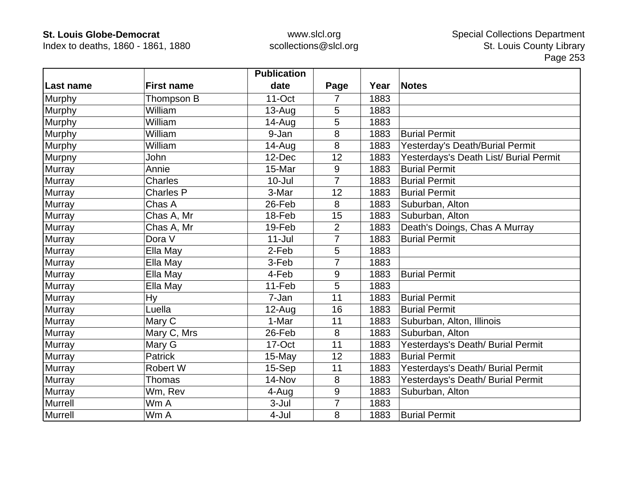Index to deaths, 1860 - 1861, 1880

|                  |                   | <b>Publication</b> |                |      |                                        |
|------------------|-------------------|--------------------|----------------|------|----------------------------------------|
| <b>Last name</b> | <b>First name</b> | date               | Page           | Year | <b>Notes</b>                           |
| <b>Murphy</b>    | Thompson B        | 11-Oct             | 7              | 1883 |                                        |
| Murphy           | William           | $13-Auq$           | 5              | 1883 |                                        |
| Murphy           | William           | $14 - Aug$         | 5              | 1883 |                                        |
| Murphy           | William           | 9-Jan              | 8              | 1883 | <b>Burial Permit</b>                   |
| Murphy           | William           | 14-Aug             | 8              | 1883 | Yesterday's Death/Burial Permit        |
| Murpny           | John              | 12-Dec             | 12             | 1883 | Yesterdays's Death List/ Burial Permit |
| <b>Murray</b>    | Annie             | 15-Mar             | 9              | 1883 | <b>Burial Permit</b>                   |
| Murray           | <b>Charles</b>    | $10 -$ Jul         | $\overline{7}$ | 1883 | <b>Burial Permit</b>                   |
| Murray           | <b>Charles P</b>  | 3-Mar              | 12             | 1883 | <b>Burial Permit</b>                   |
| Murray           | Chas A            | 26-Feb             | 8              | 1883 | Suburban, Alton                        |
| Murray           | Chas A, Mr        | 18-Feb             | 15             | 1883 | Suburban, Alton                        |
| Murray           | Chas A, Mr        | 19-Feb             | $\overline{2}$ | 1883 | Death's Doings, Chas A Murray          |
| Murray           | Dora V            | $11$ -Jul          | 7              | 1883 | <b>Burial Permit</b>                   |
| Murray           | Ella May          | 2-Feb              | 5              | 1883 |                                        |
| <b>Murray</b>    | Ella May          | 3-Feb              | 7              | 1883 |                                        |
| Murray           | Ella May          | 4-Feb              | $9\,$          | 1883 | <b>Burial Permit</b>                   |
| <b>Murray</b>    | Ella May          | 11-Feb             | 5              | 1883 |                                        |
| Murray           | <b>Hy</b>         | 7-Jan              | 11             | 1883 | <b>Burial Permit</b>                   |
| Murray           | Luella            | $12-Auq$           | 16             | 1883 | <b>Burial Permit</b>                   |
| Murray           | Mary C            | 1-Mar              | 11             | 1883 | Suburban, Alton, Illinois              |
| Murray           | Mary C, Mrs       | 26-Feb             | 8              | 1883 | Suburban, Alton                        |
| <b>Murray</b>    | Mary G            | 17-Oct             | 11             | 1883 | Yesterdays's Death/ Burial Permit      |
| <b>Murray</b>    | Patrick           | 15-May             | 12             | 1883 | <b>Burial Permit</b>                   |
| Murray           | Robert W          | 15-Sep             | 11             | 1883 | Yesterdays's Death/ Burial Permit      |
| Murray           | Thomas            | 14-Nov             | 8              | 1883 | Yesterdays's Death/ Burial Permit      |
| Murray           | Wm, Rev           | 4-Aug              | $9$            | 1883 | Suburban, Alton                        |
| Murrell          | Wm A              | $3-Jul$            | $\overline{7}$ | 1883 |                                        |
| <b>Murrell</b>   | Wm A              | 4-Jul              | 8              | 1883 | <b>Burial Permit</b>                   |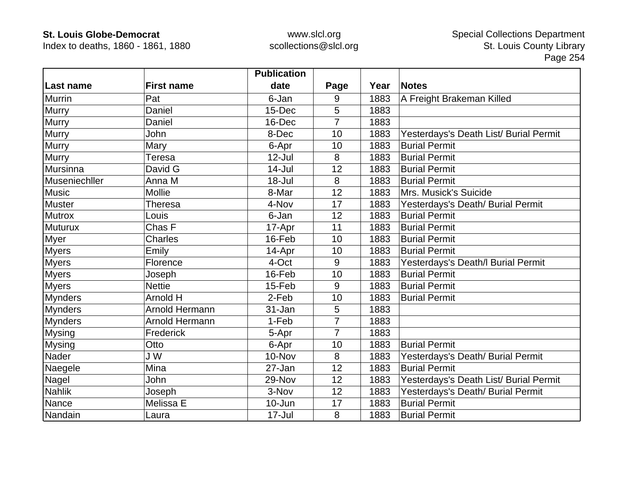Index to deaths, 1860 - 1861, 1880

|                |                   | <b>Publication</b> |                |      |                                        |
|----------------|-------------------|--------------------|----------------|------|----------------------------------------|
| Last name      | <b>First name</b> | date               | Page           | Year | Notes                                  |
| <b>Murrin</b>  | Pat               | 6-Jan              | 9              | 1883 | A Freight Brakeman Killed              |
| Murry          | Daniel            | 15-Dec             | 5              | 1883 |                                        |
| <b>Murry</b>   | Daniel            | 16-Dec             | 7              | 1883 |                                        |
| Murry          | <b>John</b>       | 8-Dec              | 10             | 1883 | Yesterdays's Death List/ Burial Permit |
| <b>Murry</b>   | Mary              | 6-Apr              | 10             | 1883 | <b>Burial Permit</b>                   |
| Murry          | Teresa            | $12$ -Jul          | 8              | 1883 | <b>Burial Permit</b>                   |
| Mursinna       | David G           | $14 -$ Jul         | 12             | 1883 | <b>Burial Permit</b>                   |
| Museniechller  | Anna M            | $18 -$ Jul         | 8              | 1883 | <b>Burial Permit</b>                   |
| <b>Music</b>   | <b>Mollie</b>     | 8-Mar              | 12             | 1883 | Mrs. Musick's Suicide                  |
| <b>Muster</b>  | Theresa           | 4-Nov              | 17             | 1883 | Yesterdays's Death/ Burial Permit      |
| <b>Mutrox</b>  | Louis             | 6-Jan              | 12             | 1883 | <b>Burial Permit</b>                   |
| <b>Muturux</b> | Chas F            | 17-Apr             | 11             | 1883 | <b>Burial Permit</b>                   |
| Myer           | Charles           | 16-Feb             | 10             | 1883 | <b>Burial Permit</b>                   |
| <b>Myers</b>   | Emily             | 14-Apr             | 10             | 1883 | <b>Burial Permit</b>                   |
| <b>Myers</b>   | Florence          | 4-Oct              | 9              | 1883 | Yesterdays's Death/I Burial Permit     |
| <b>Myers</b>   | Joseph            | 16-Feb             | 10             | 1883 | <b>Burial Permit</b>                   |
| <b>Myers</b>   | <b>Nettie</b>     | 15-Feb             | 9              | 1883 | <b>Burial Permit</b>                   |
| <b>Mynders</b> | Arnold H          | 2-Feb              | 10             | 1883 | <b>Burial Permit</b>                   |
| <b>Mynders</b> | Arnold Hermann    | 31-Jan             | 5              | 1883 |                                        |
| <b>Mynders</b> | Arnold Hermann    | 1-Feb              | $\overline{7}$ | 1883 |                                        |
| <b>Mysing</b>  | Frederick         | 5-Apr              | 7              | 1883 |                                        |
| <b>Mysing</b>  | Otto              | 6-Apr              | 10             | 1883 | <b>Burial Permit</b>                   |
| Nader          | J W               | 10-Nov             | 8              | 1883 | Yesterdays's Death/ Burial Permit      |
| Naegele        | Mina              | 27-Jan             | 12             | 1883 | <b>Burial Permit</b>                   |
| Nagel          | John              | 29-Nov             | 12             | 1883 | Yesterdays's Death List/ Burial Permit |
| <b>Nahlik</b>  | Joseph            | 3-Nov              | 12             | 1883 | Yesterdays's Death/ Burial Permit      |
| Nance          | Melissa E         | 10-Jun             | 17             | 1883 | <b>Burial Permit</b>                   |
| Nandain        | Laura             | $17 -$ Jul         | 8              | 1883 | <b>Burial Permit</b>                   |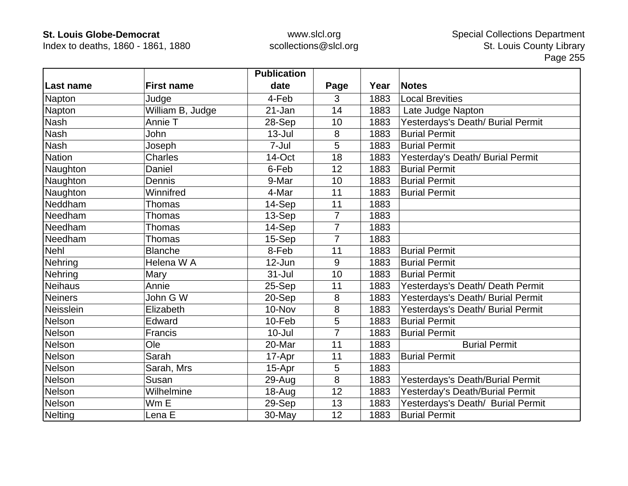Index to deaths, 1860 - 1861, 1880

|                |                   | <b>Publication</b> |                |      |                                   |
|----------------|-------------------|--------------------|----------------|------|-----------------------------------|
| Last name      | <b>First name</b> | date               | Page           | Year | Notes                             |
| Napton         | Judge             | 4-Feb              | 3              | 1883 | <b>Local Brevities</b>            |
| Napton         | William B, Judge  | 21-Jan             | 14             | 1883 | Late Judge Napton                 |
| <b>Nash</b>    | Annie T           | 28-Sep             | 10             | 1883 | Yesterdays's Death/ Burial Permit |
| <b>Nash</b>    | John              | $13 -$ Jul         | 8              | 1883 | <b>Burial Permit</b>              |
| <b>Nash</b>    | Joseph            | 7-Jul              | 5              | 1883 | <b>Burial Permit</b>              |
| Nation         | <b>Charles</b>    | 14-Oct             | 18             | 1883 | Yesterday's Death/ Burial Permit  |
| Naughton       | Daniel            | 6-Feb              | 12             | 1883 | <b>Burial Permit</b>              |
| Naughton       | Dennis            | 9-Mar              | 10             | 1883 | <b>Burial Permit</b>              |
| Naughton       | Winnifred         | 4-Mar              | 11             | 1883 | <b>Burial Permit</b>              |
| Neddham        | Thomas            | 14-Sep             | 11             | 1883 |                                   |
| Needham        | Thomas            | 13-Sep             | $\overline{7}$ | 1883 |                                   |
| Needham        | Thomas            | 14-Sep             | $\overline{7}$ | 1883 |                                   |
| Needham        | Thomas            | 15-Sep             | $\overline{7}$ | 1883 |                                   |
| Nehl           | <b>Blanche</b>    | 8-Feb              | 11             | 1883 | <b>Burial Permit</b>              |
| Nehring        | Helena W A        | 12-Jun             | 9              | 1883 | <b>Burial Permit</b>              |
| Nehring        | Mary              | $31 -$ Jul         | 10             | 1883 | <b>Burial Permit</b>              |
| <b>Neihaus</b> | Annie             | 25-Sep             | 11             | 1883 | Yesterdays's Death/ Death Permit  |
| <b>Neiners</b> | John G W          | 20-Sep             | 8              | 1883 | Yesterdays's Death/ Burial Permit |
| Neisslein      | Elizabeth         | 10-Nov             | 8              | 1883 | Yesterdays's Death/ Burial Permit |
| Nelson         | Edward            | 10-Feb             | 5              | 1883 | <b>Burial Permit</b>              |
| Nelson         | Francis           | $10 -$ Jul         | $\overline{7}$ | 1883 | <b>Burial Permit</b>              |
| Nelson         | Ole               | 20-Mar             | 11             | 1883 | <b>Burial Permit</b>              |
| Nelson         | Sarah             | 17-Apr             | 11             | 1883 | <b>Burial Permit</b>              |
| Nelson         | Sarah, Mrs        | 15-Apr             | 5              | 1883 |                                   |
| Nelson         | Susan             | 29-Aug             | 8              | 1883 | Yesterdays's Death/Burial Permit  |
| Nelson         | Wilhelmine        | 18-Aug             | 12             | 1883 | Yesterday's Death/Burial Permit   |
| Nelson         | Wm E              | 29-Sep             | 13             | 1883 | Yesterdays's Death/ Burial Permit |
| <b>Nelting</b> | Lena E            | 30-May             | 12             | 1883 | <b>Burial Permit</b>              |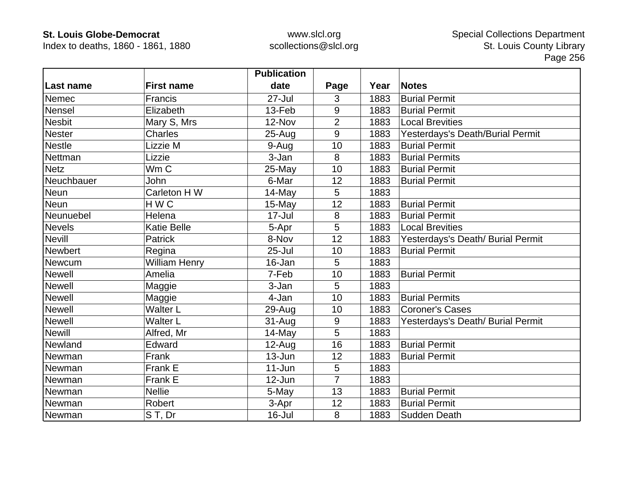Index to deaths, 1860 - 1861, 1880

|                  |                      | <b>Publication</b> |                |      |                                   |
|------------------|----------------------|--------------------|----------------|------|-----------------------------------|
| <b>Last name</b> | <b>First name</b>    | date               | Page           | Year | <b>Notes</b>                      |
| <b>Nemec</b>     | <b>Francis</b>       | 27-Jul             | 3              | 1883 | <b>Burial Permit</b>              |
| Nensel           | Elizabeth            | 13-Feb             | 9              | 1883 | <b>Burial Permit</b>              |
| <b>Nesbit</b>    | Mary S, Mrs          | 12-Nov             | $\overline{2}$ | 1883 | <b>Local Brevities</b>            |
| <b>Nester</b>    | <b>Charles</b>       | $25 - Aug$         | 9              | 1883 | Yesterdays's Death/Burial Permit  |
| <b>Nestle</b>    | Lizzie M             | 9-Aug              | 10             | 1883 | <b>Burial Permit</b>              |
| Nettman          | Lizzie               | 3-Jan              | 8              | 1883 | <b>Burial Permits</b>             |
| <b>Netz</b>      | Wm C                 | 25-May             | 10             | 1883 | <b>Burial Permit</b>              |
| Neuchbauer       | John                 | 6-Mar              | 12             | 1883 | <b>Burial Permit</b>              |
| Neun             | Carleton H W         | 14-May             | 5              | 1883 |                                   |
| <b>Neun</b>      | HWC                  | 15-May             | 12             | 1883 | <b>Burial Permit</b>              |
| Neunuebel        | Helena               | $17 -$ Jul         | 8              | 1883 | <b>Burial Permit</b>              |
| <b>Nevels</b>    | <b>Katie Belle</b>   | 5-Apr              | 5              | 1883 | <b>Local Brevities</b>            |
| <b>Nevill</b>    | <b>Patrick</b>       | 8-Nov              | 12             | 1883 | Yesterdays's Death/ Burial Permit |
| Newbert          | Regina               | $25 -$ Jul         | 10             | 1883 | <b>Burial Permit</b>              |
| <b>Newcum</b>    | <b>William Henry</b> | 16-Jan             | 5              | 1883 |                                   |
| <b>Newell</b>    | Amelia               | 7-Feb              | 10             | 1883 | <b>Burial Permit</b>              |
| <b>Newell</b>    | Maggie               | 3-Jan              | 5              | 1883 |                                   |
| <b>Newell</b>    | Maggie               | 4-Jan              | 10             | 1883 | <b>Burial Permits</b>             |
| <b>Newell</b>    | <b>Walter L</b>      | 29-Aug             | 10             | 1883 | <b>Coroner's Cases</b>            |
| <b>Newell</b>    | <b>Walter L</b>      | $31 - Aug$         | 9              | 1883 | Yesterdays's Death/ Burial Permit |
| <b>Newill</b>    | Alfred, Mr           | 14-May             | 5              | 1883 |                                   |
| Newland          | Edward               | $12$ -Aug          | 16             | 1883 | <b>Burial Permit</b>              |
| Newman           | Frank                | 13-Jun             | 12             | 1883 | <b>Burial Permit</b>              |
| Newman           | Frank E              | $11-Jun$           | 5              | 1883 |                                   |
| Newman           | Frank E              | 12-Jun             | $\overline{7}$ | 1883 |                                   |
| Newman           | <b>Nellie</b>        | 5-May              | 13             | 1883 | <b>Burial Permit</b>              |
| Newman           | Robert               | 3-Apr              | 12             | 1883 | <b>Burial Permit</b>              |
| Newman           | ST, Dr               | 16-Jul             | 8              | 1883 | Sudden Death                      |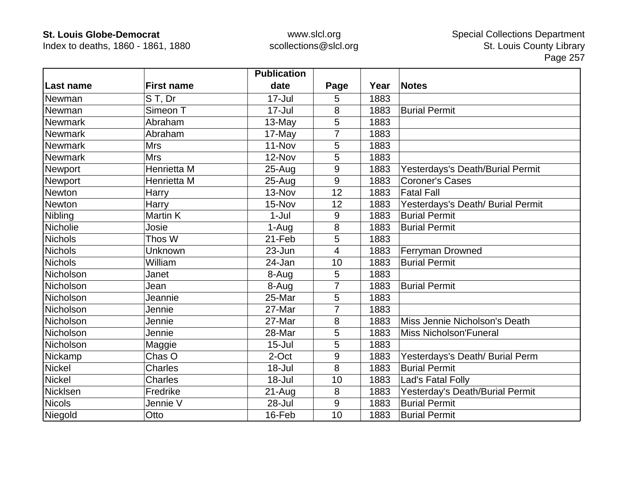Index to deaths, 1860 - 1861, 1880

|                |                   | <b>Publication</b> |                |      |                                   |
|----------------|-------------------|--------------------|----------------|------|-----------------------------------|
| Last name      | <b>First name</b> | date               | Page           | Year | <b>Notes</b>                      |
| Newman         | ST, Dr            | $17 -$ Jul         | 5              | 1883 |                                   |
| Newman         | Simeon T          | $17 -$ Jul         | 8              | 1883 | <b>Burial Permit</b>              |
| <b>Newmark</b> | Abraham           | $13-May$           | 5              | 1883 |                                   |
| <b>Newmark</b> | Abraham           | 17-May             | $\overline{7}$ | 1883 |                                   |
| <b>Newmark</b> | <b>Mrs</b>        | 11-Nov             | 5              | 1883 |                                   |
| <b>Newmark</b> | <b>Mrs</b>        | 12-Nov             | 5              | 1883 |                                   |
| Newport        | Henrietta M       | $25 - Aug$         | 9              | 1883 | Yesterdays's Death/Burial Permit  |
| Newport        | Henrietta M       | $25 - Aug$         | 9              | 1883 | Coroner's Cases                   |
| Newton         | Harry             | 13-Nov             | 12             | 1883 | <b>Fatal Fall</b>                 |
| Newton         | Harry             | 15-Nov             | 12             | 1883 | Yesterdays's Death/ Burial Permit |
| Nibling        | Martin K          | $1-Jul$            | 9              | 1883 | <b>Burial Permit</b>              |
| Nicholie       | Josie             | 1-Aug              | 8              | 1883 | <b>Burial Permit</b>              |
| <b>Nichols</b> | Thos W            | 21-Feb             | 5              | 1883 |                                   |
| <b>Nichols</b> | Unknown           | 23-Jun             | 4              | 1883 | Ferryman Drowned                  |
| <b>Nichols</b> | William           | 24-Jan             | 10             | 1883 | <b>Burial Permit</b>              |
| Nicholson      | Janet             | 8-Aug              | 5              | 1883 |                                   |
| Nicholson      | Jean              | 8-Aug              | 7              | 1883 | <b>Burial Permit</b>              |
| Nicholson      | Jeannie           | 25-Mar             | 5              | 1883 |                                   |
| Nicholson      | Jennie            | 27-Mar             | 7              | 1883 |                                   |
| Nicholson      | Jennie            | 27-Mar             | 8              | 1883 | Miss Jennie Nicholson's Death     |
| Nicholson      | Jennie            | 28-Mar             | 5              | 1883 | <b>Miss Nicholson'Funeral</b>     |
| Nicholson      | Maggie            | $15 -$ Jul         | 5              | 1883 |                                   |
| Nickamp        | Chas O            | 2-Oct              | 9              | 1883 | Yesterdays's Death/ Burial Perm   |
| <b>Nickel</b>  | Charles           | 18-Jul             | 8              | 1883 | <b>Burial Permit</b>              |
| <b>Nickel</b>  | Charles           | $18 -$ Jul         | 10             | 1883 | Lad's Fatal Folly                 |
| Nicklsen       | Fredrike          | $21 - Aug$         | 8              | 1883 | Yesterday's Death/Burial Permit   |
| <b>Nicols</b>  | Jennie V          | 28-Jul             | 9              | 1883 | <b>Burial Permit</b>              |
| Niegold        | Otto              | 16-Feb             | 10             | 1883 | <b>Burial Permit</b>              |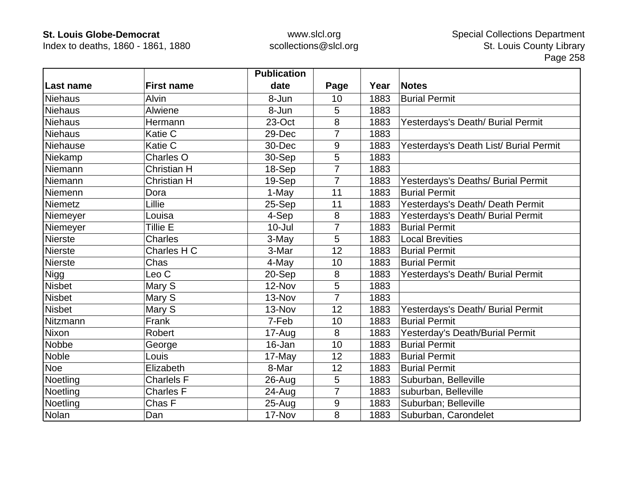Index to deaths, 1860 - 1861, 1880

|                |                    | <b>Publication</b> |                |      |                                        |
|----------------|--------------------|--------------------|----------------|------|----------------------------------------|
| Last name      | <b>First name</b>  | date               | Page           | Year | Notes                                  |
| Niehaus        | <b>Alvin</b>       | 8-Jun              | 10             | 1883 | <b>Burial Permit</b>                   |
| <b>Niehaus</b> | Alwiene            | 8-Jun              | 5              | 1883 |                                        |
| <b>Niehaus</b> | Hermann            | 23-Oct             | 8              | 1883 | Yesterdays's Death/ Burial Permit      |
| <b>Niehaus</b> | Katie C            | 29-Dec             | 7              | 1883 |                                        |
| Niehause       | Katie C            | 30-Dec             | 9              | 1883 | Yesterdays's Death List/ Burial Permit |
| Niekamp        | Charles O          | 30-Sep             | 5              | 1883 |                                        |
| Niemann        | <b>Christian H</b> | 18-Sep             | 7              | 1883 |                                        |
| Niemann        | <b>Christian H</b> | 19-Sep             | $\overline{7}$ | 1883 | Yesterdays's Deaths/ Burial Permit     |
| Niemenn        | Dora               | 1-May              | 11             | 1883 | <b>Burial Permit</b>                   |
| Niemetz        | Lillie             | 25-Sep             | 11             | 1883 | Yesterdays's Death/ Death Permit       |
| Niemeyer       | Louisa             | 4-Sep              | 8              | 1883 | Yesterdays's Death/ Burial Permit      |
| Niemeyer       | Tillie E           | $10 -$ Jul         | 7              | 1883 | <b>Burial Permit</b>                   |
| <b>Nierste</b> | <b>Charles</b>     | 3-May              | 5              | 1883 | <b>Local Brevities</b>                 |
| <b>Nierste</b> | Charles H C        | 3-Mar              | 12             | 1883 | <b>Burial Permit</b>                   |
| <b>Nierste</b> | Chas               | 4-May              | 10             | 1883 | <b>Burial Permit</b>                   |
| <b>Nigg</b>    | Leo <sub>C</sub>   | 20-Sep             | 8              | 1883 | Yesterdays's Death/ Burial Permit      |
| <b>Nisbet</b>  | Mary S             | 12-Nov             | $5\phantom{.}$ | 1883 |                                        |
| <b>Nisbet</b>  | Mary S             | 13-Nov             | $\overline{7}$ | 1883 |                                        |
| <b>Nisbet</b>  | Mary S             | 13-Nov             | 12             | 1883 | Yesterdays's Death/ Burial Permit      |
| Nitzmann       | Frank              | 7-Feb              | 10             | 1883 | <b>Burial Permit</b>                   |
| Nixon          | Robert             | 17-Aug             | 8              | 1883 | Yesterday's Death/Burial Permit        |
| Nobbe          | George             | 16-Jan             | 10             | 1883 | <b>Burial Permit</b>                   |
| <b>Noble</b>   | Louis              | 17-May             | 12             | 1883 | <b>Burial Permit</b>                   |
| <b>Noe</b>     | Elizabeth          | 8-Mar              | 12             | 1883 | <b>Burial Permit</b>                   |
| Noetling       | <b>Charlels F</b>  | $26$ -Aug          | 5              | 1883 | Suburban, Belleville                   |
| Noetling       | <b>Charles F</b>   | 24-Aug             | $\overline{7}$ | 1883 | suburban, Belleville                   |
| Noetling       | Chas F             | $25 - Aug$         | $9\,$          | 1883 | Suburban; Belleville                   |
| Nolan          | Dan                | 17-Nov             | 8              | 1883 | Suburban, Carondelet                   |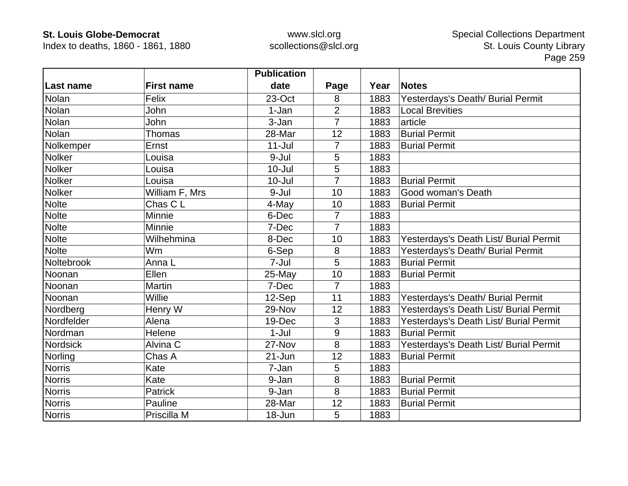Index to deaths, 1860 - 1861, 1880

|               |                   | <b>Publication</b> |                |      |                                        |
|---------------|-------------------|--------------------|----------------|------|----------------------------------------|
| Last name     | <b>First name</b> | date               | Page           | Year | <b>Notes</b>                           |
| Nolan         | Felix             | 23-Oct             | 8              | 1883 | Yesterdays's Death/ Burial Permit      |
| Nolan         | John              | 1-Jan              | $\overline{2}$ | 1883 | <b>Local Brevities</b>                 |
| Nolan         | John              | 3-Jan              | $\overline{7}$ | 1883 | article                                |
| Nolan         | <b>Thomas</b>     | 28-Mar             | 12             | 1883 | <b>Burial Permit</b>                   |
| Nolkemper     | Ernst             | $11 -$ Jul         | 7              | 1883 | <b>Burial Permit</b>                   |
| Nolker        | Louisa            | 9-Jul              | 5              | 1883 |                                        |
| Nolker        | Louisa            | $10 -$ Jul         | 5              | 1883 |                                        |
| <b>Nolker</b> | Louisa            | $10 -$ Jul         | $\overline{7}$ | 1883 | <b>Burial Permit</b>                   |
| <b>Nolker</b> | William F, Mrs    | 9-Jul              | 10             | 1883 | Good woman's Death                     |
| <b>Nolte</b>  | Chas C L          | 4-May              | 10             | 1883 | <b>Burial Permit</b>                   |
| <b>Nolte</b>  | Minnie            | 6-Dec              | 7              | 1883 |                                        |
| <b>Nolte</b>  | Minnie            | 7-Dec              | $\overline{7}$ | 1883 |                                        |
| <b>Nolte</b>  | Wilhehmina        | 8-Dec              | 10             | 1883 | Yesterdays's Death List/ Burial Permit |
| <b>Nolte</b>  | <b>Wm</b>         | 6-Sep              | 8              | 1883 | Yesterdays's Death/ Burial Permit      |
| Noltebrook    | Anna L            | 7-Jul              | 5              | 1883 | <b>Burial Permit</b>                   |
| Noonan        | Ellen             | 25-May             | 10             | 1883 | <b>Burial Permit</b>                   |
| Noonan        | Martin            | 7-Dec              | $\overline{7}$ | 1883 |                                        |
| Noonan        | Willie            | 12-Sep             | 11             | 1883 | Yesterdays's Death/ Burial Permit      |
| Nordberg      | Henry W           | 29-Nov             | 12             | 1883 | Yesterdays's Death List/ Burial Permit |
| Nordfelder    | Alena             | 19-Dec             | 3              | 1883 | Yesterdays's Death List/ Burial Permit |
| Nordman       | Helene            | $1-Jul$            | 9              | 1883 | <b>Burial Permit</b>                   |
| Nordsick      | Alvina C          | 27-Nov             | 8              | 1883 | Yesterdays's Death List/ Burial Permit |
| Norling       | Chas A            | $21 - Jun$         | 12             | 1883 | <b>Burial Permit</b>                   |
| <b>Norris</b> | Kate              | 7-Jan              | 5              | 1883 |                                        |
| <b>Norris</b> | Kate              | 9-Jan              | 8              | 1883 | <b>Burial Permit</b>                   |
| <b>Norris</b> | Patrick           | 9-Jan              | 8              | 1883 | <b>Burial Permit</b>                   |
| <b>Norris</b> | Pauline           | 28-Mar             | 12             | 1883 | <b>Burial Permit</b>                   |
| <b>Norris</b> | Priscilla M       | 18-Jun             | 5              | 1883 |                                        |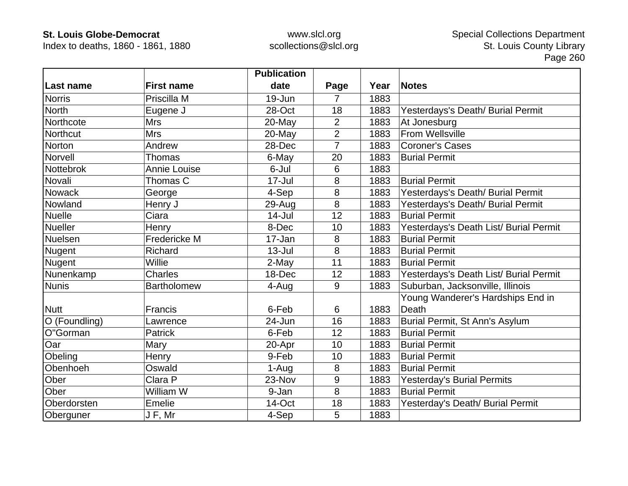Index to deaths, 1860 - 1861, 1880

|                  |                     | <b>Publication</b> |                |      |                                        |
|------------------|---------------------|--------------------|----------------|------|----------------------------------------|
| <b>Last name</b> | <b>First name</b>   | date               | Page           | Year | <b>Notes</b>                           |
| <b>Norris</b>    | Priscilla M         | 19-Jun             | 7              | 1883 |                                        |
| <b>North</b>     | Eugene J            | 28-Oct             | 18             | 1883 | Yesterdays's Death/ Burial Permit      |
| Northcote        | <b>Mrs</b>          | 20-May             | 2              | 1883 | At Jonesburg                           |
| <b>Northcut</b>  | <b>Mrs</b>          | 20-May             | $\overline{2}$ | 1883 | From Wellsville                        |
| Norton           | Andrew              | 28-Dec             | $\overline{7}$ | 1883 | <b>Coroner's Cases</b>                 |
| Norvell          | <b>Thomas</b>       | 6-May              | 20             | 1883 | <b>Burial Permit</b>                   |
| Nottebrok        | <b>Annie Louise</b> | 6-Jul              | 6              | 1883 |                                        |
| Novali           | Thomas C            | 17-Jul             | 8              | 1883 | <b>Burial Permit</b>                   |
| <b>Nowack</b>    | George              | 4-Sep              | 8              | 1883 | Yesterdays's Death/ Burial Permit      |
| Nowland          | Henry J             | 29-Aug             | 8              | 1883 | Yesterdays's Death/ Burial Permit      |
| <b>Nuelle</b>    | Ciara               | $14$ -Jul          | 12             | 1883 | <b>Burial Permit</b>                   |
| <b>Nueller</b>   | Henry               | 8-Dec              | 10             | 1883 | Yesterdays's Death List/ Burial Permit |
| Nuelsen          | Fredericke M        | 17-Jan             | 8              | 1883 | <b>Burial Permit</b>                   |
| Nugent           | Richard             | $13 -$ Jul         | 8              | 1883 | <b>Burial Permit</b>                   |
| Nugent           | Willie              | 2-May              | 11             | 1883 | <b>Burial Permit</b>                   |
| Nunenkamp        | Charles             | 18-Dec             | 12             | 1883 | Yesterdays's Death List/ Burial Permit |
| <b>Nunis</b>     | <b>Bartholomew</b>  | 4-Aug              | 9              | 1883 | Suburban, Jacksonville, Illinois       |
|                  |                     |                    |                |      | Young Wanderer's Hardships End in      |
| <b>Nutt</b>      | <b>Francis</b>      | 6-Feb              | 6              | 1883 | Death                                  |
| O (Foundling)    | Lawrence            | 24-Jun             | 16             | 1883 | Burial Permit, St Ann's Asylum         |
| O"Gorman         | <b>Patrick</b>      | 6-Feb              | 12             | 1883 | <b>Burial Permit</b>                   |
| Oar              | Mary                | 20-Apr             | 10             | 1883 | <b>Burial Permit</b>                   |
| Obeling          | Henry               | 9-Feb              | 10             | 1883 | <b>Burial Permit</b>                   |
| Obenhoeh         | Oswald              | 1-Aug              | 8              | 1883 | <b>Burial Permit</b>                   |
| Ober             | Clara P             | 23-Nov             | $9\,$          | 1883 | <b>Yesterday's Burial Permits</b>      |
| Ober             | William W           | 9-Jan              | 8              | 1883 | <b>Burial Permit</b>                   |
| Oberdorsten      | Emelie              | 14-Oct             | 18             | 1883 | Yesterday's Death/ Burial Permit       |
| Oberguner        | J F, Mr             | 4-Sep              | 5              | 1883 |                                        |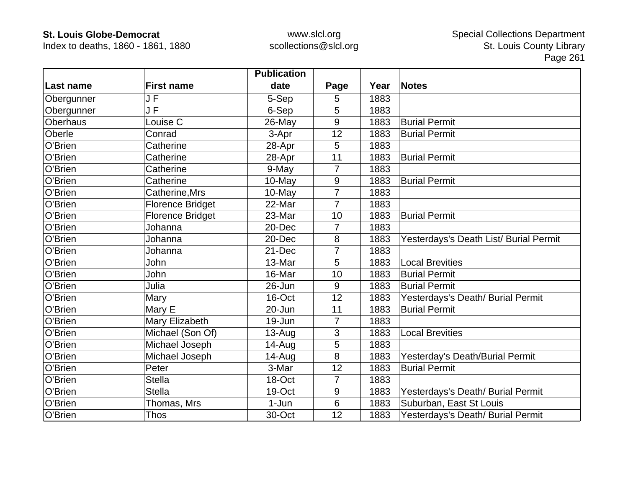Index to deaths, 1860 - 1861, 1880

|            |                                     | <b>Publication</b> |                |      |                                        |
|------------|-------------------------------------|--------------------|----------------|------|----------------------------------------|
| Last name  | <b>First name</b>                   | date               | Page           | Year | <b>Notes</b>                           |
| Obergunner | JF                                  | 5-Sep              | 5              | 1883 |                                        |
| Obergunner | $\overline{\mathsf{J}\,\mathsf{F}}$ | 6-Sep              | 5              | 1883 |                                        |
| Oberhaus   | Louise C                            | 26-May             | 9              | 1883 | <b>Burial Permit</b>                   |
| Oberle     | Conrad                              | 3-Apr              | 12             | 1883 | <b>Burial Permit</b>                   |
| O'Brien    | Catherine                           | 28-Apr             | 5              | 1883 |                                        |
| O'Brien    | Catherine                           | 28-Apr             | 11             | 1883 | <b>Burial Permit</b>                   |
| O'Brien    | Catherine                           | 9-May              | 7              | 1883 |                                        |
| O'Brien    | Catherine                           | 10-May             | $9\,$          | 1883 | <b>Burial Permit</b>                   |
| O'Brien    | Catherine, Mrs                      | 10-May             | $\overline{7}$ | 1883 |                                        |
| O'Brien    | <b>Florence Bridget</b>             | 22-Mar             | $\overline{7}$ | 1883 |                                        |
| O'Brien    | <b>Florence Bridget</b>             | 23-Mar             | 10             | 1883 | <b>Burial Permit</b>                   |
| O'Brien    | Johanna                             | 20-Dec             | 7              | 1883 |                                        |
| O'Brien    | Johanna                             | 20-Dec             | 8              | 1883 | Yesterdays's Death List/ Burial Permit |
| O'Brien    | Johanna                             | 21-Dec             | $\overline{7}$ | 1883 |                                        |
| O'Brien    | John                                | 13-Mar             | 5              | 1883 | <b>Local Brevities</b>                 |
| O'Brien    | John                                | 16-Mar             | 10             | 1883 | <b>Burial Permit</b>                   |
| O'Brien    | Julia                               | 26-Jun             | 9              | 1883 | <b>Burial Permit</b>                   |
| O'Brien    | Mary                                | 16-Oct             | 12             | 1883 | Yesterdays's Death/ Burial Permit      |
| O'Brien    | Mary E                              | 20-Jun             | 11             | 1883 | <b>Burial Permit</b>                   |
| O'Brien    | Mary Elizabeth                      | 19-Jun             | 7              | 1883 |                                        |
| O'Brien    | Michael (Son Of)                    | $13-Auq$           | 3              | 1883 | <b>Local Brevities</b>                 |
| O'Brien    | Michael Joseph                      | 14-Aug             | 5              | 1883 |                                        |
| O'Brien    | Michael Joseph                      | 14-Aug             | 8              | 1883 | Yesterday's Death/Burial Permit        |
| O'Brien    | Peter                               | 3-Mar              | 12             | 1883 | <b>Burial Permit</b>                   |
| O'Brien    | <b>Stella</b>                       | 18-Oct             | $\overline{7}$ | 1883 |                                        |
| O'Brien    | <b>Stella</b>                       | 19-Oct             | 9              | 1883 | Yesterdays's Death/ Burial Permit      |
| O'Brien    | Thomas, Mrs                         | 1-Jun              | 6              | 1883 | Suburban, East St Louis                |
| O'Brien    | <b>Thos</b>                         | 30-Oct             | 12             | 1883 | Yesterdays's Death/ Burial Permit      |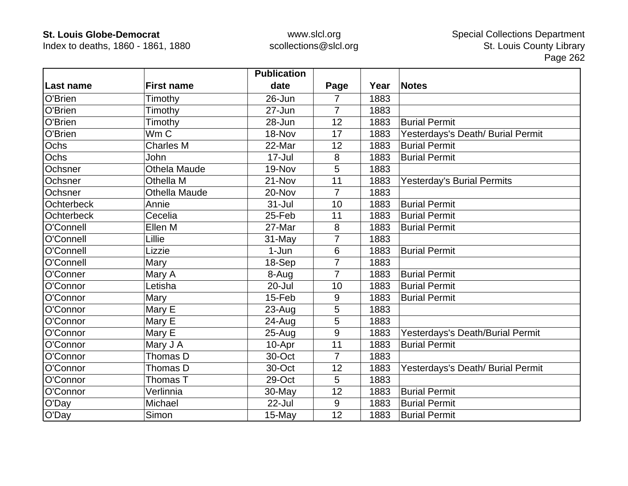Index to deaths, 1860 - 1861, 1880

|                   |                     | <b>Publication</b> |                |      |                                   |
|-------------------|---------------------|--------------------|----------------|------|-----------------------------------|
| Last name         | <b>First name</b>   | date               | Page           | Year | <b>Notes</b>                      |
| O'Brien           | Timothy             | 26-Jun             | 7              | 1883 |                                   |
| O'Brien           | Timothy             | 27-Jun             | $\overline{7}$ | 1883 |                                   |
| O'Brien           | Timothy             | 28-Jun             | 12             | 1883 | <b>Burial Permit</b>              |
| O'Brien           | Wm C                | 18-Nov             | 17             | 1883 | Yesterdays's Death/ Burial Permit |
| Ochs              | <b>Charles M</b>    | 22-Mar             | 12             | 1883 | <b>Burial Permit</b>              |
| Ochs              | John                | $17 -$ Jul         | 8              | 1883 | <b>Burial Permit</b>              |
| Ochsner           | <b>Othela Maude</b> | 19-Nov             | 5              | 1883 |                                   |
| Ochsner           | Othella M           | 21-Nov             | 11             | 1883 | <b>Yesterday's Burial Permits</b> |
| Ochsner           | Othella Maude       | 20-Nov             | 7              | 1883 |                                   |
| <b>Ochterbeck</b> | Annie               | $31 -$ Jul         | 10             | 1883 | <b>Burial Permit</b>              |
| <b>Ochterbeck</b> | Cecelia             | 25-Feb             | 11             | 1883 | <b>Burial Permit</b>              |
| O'Connell         | Ellen M             | 27-Mar             | 8              | 1883 | <b>Burial Permit</b>              |
| O'Connell         | Lillie              | 31-May             | 7              | 1883 |                                   |
| O'Connell         | Lizzie              | $1-Jun$            | 6              | 1883 | <b>Burial Permit</b>              |
| O'Connell         | Mary                | 18-Sep             | $\overline{7}$ | 1883 |                                   |
| O'Conner          | Mary A              | 8-Aug              | $\overline{7}$ | 1883 | <b>Burial Permit</b>              |
| O'Connor          | Letisha             | 20-Jul             | 10             | 1883 | <b>Burial Permit</b>              |
| O'Connor          | Mary                | 15-Feb             | 9              | 1883 | <b>Burial Permit</b>              |
| O'Connor          | Mary E              | 23-Aug             | 5              | 1883 |                                   |
| O'Connor          | Mary E              | 24-Aug             | 5              | 1883 |                                   |
| O'Connor          | Mary E              | $25 - Aug$         | 9              | 1883 | Yesterdays's Death/Burial Permit  |
| O'Connor          | Mary J A            | 10-Apr             | 11             | 1883 | <b>Burial Permit</b>              |
| O'Connor          | Thomas D            | 30-Oct             | 7              | 1883 |                                   |
| O'Connor          | Thomas D            | 30-Oct             | 12             | 1883 | Yesterdays's Death/ Burial Permit |
| O'Connor          | Thomas T            | 29-Oct             | 5              | 1883 |                                   |
| O'Connor          | Verlinnia           | 30-May             | 12             | 1883 | <b>Burial Permit</b>              |
| O'Day             | Michael             | 22-Jul             | $9\,$          | 1883 | <b>Burial Permit</b>              |
| O'Day             | Simon               | 15-May             | 12             | 1883 | <b>Burial Permit</b>              |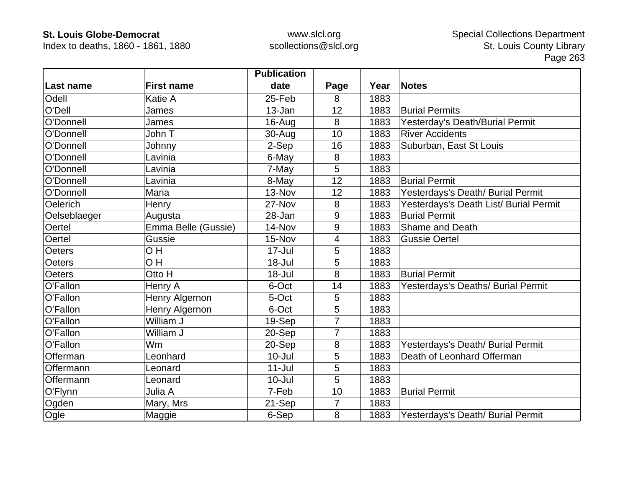Index to deaths, 1860 - 1861, 1880

|               |                     | <b>Publication</b> |                |      |                                        |
|---------------|---------------------|--------------------|----------------|------|----------------------------------------|
| Last name     | <b>First name</b>   | date               | Page           | Year | <b>Notes</b>                           |
| Odell         | Katie A             | 25-Feb             | 8              | 1883 |                                        |
| O'Dell        | James               | 13-Jan             | 12             | 1883 | <b>Burial Permits</b>                  |
| O'Donnell     | James               | $16$ -Aug          | 8              | 1883 | Yesterday's Death/Burial Permit        |
| O'Donnell     | John T              | 30-Aug             | 10             | 1883 | <b>River Accidents</b>                 |
| O'Donnell     | Johnny              | 2-Sep              | 16             | 1883 | Suburban, East St Louis                |
| O'Donnell     | Lavinia             | 6-May              | 8              | 1883 |                                        |
| O'Donnell     | Lavinia             | 7-May              | 5              | 1883 |                                        |
| O'Donnell     | Lavinia             | 8-May              | 12             | 1883 | <b>Burial Permit</b>                   |
| O'Donnell     | Maria               | 13-Nov             | 12             | 1883 | Yesterdays's Death/ Burial Permit      |
| Oelerich      | Henry               | 27-Nov             | 8              | 1883 | Yesterdays's Death List/ Burial Permit |
| Oelseblaeger  | Augusta             | 28-Jan             | 9              | 1883 | <b>Burial Permit</b>                   |
| Oertel        | Emma Belle (Gussie) | 14-Nov             | 9              | 1883 | Shame and Death                        |
| Oertel        | Gussie              | 15-Nov             | 4              | 1883 | <b>Gussie Oertel</b>                   |
| <b>Oeters</b> | OH                  | $17 -$ Jul         | 5              | 1883 |                                        |
| <b>Oeters</b> | OH                  | 18-Jul             | 5              | 1883 |                                        |
| <b>Oeters</b> | Otto H              | 18-Jul             | 8              | 1883 | <b>Burial Permit</b>                   |
| O'Fallon      | Henry A             | 6-Oct              | 14             | 1883 | Yesterdays's Deaths/ Burial Permit     |
| O'Fallon      | Henry Algernon      | 5-Oct              | 5              | 1883 |                                        |
| O'Fallon      | Henry Algernon      | 6-Oct              | 5              | 1883 |                                        |
| O'Fallon      | William J           | 19-Sep             | 7              | 1883 |                                        |
| O'Fallon      | William J           | 20-Sep             | 7              | 1883 |                                        |
| O'Fallon      | Wm                  | 20-Sep             | 8              | 1883 | Yesterdays's Death/ Burial Permit      |
| Offerman      | Leonhard            | $10 -$ Jul         | 5              | 1883 | Death of Leonhard Offerman             |
| Offermann     | Leonard             | $11 -$ Jul         | 5              | 1883 |                                        |
| Offermann     | Leonard             | $10 -$ Jul         | 5              | 1883 |                                        |
| O'Flynn       | Julia A             | 7-Feb              | 10             | 1883 | <b>Burial Permit</b>                   |
| Ogden         | Mary, Mrs           | 21-Sep             | $\overline{7}$ | 1883 |                                        |
| Ogle          | Maggie              | 6-Sep              | 8              | 1883 | Yesterdays's Death/ Burial Permit      |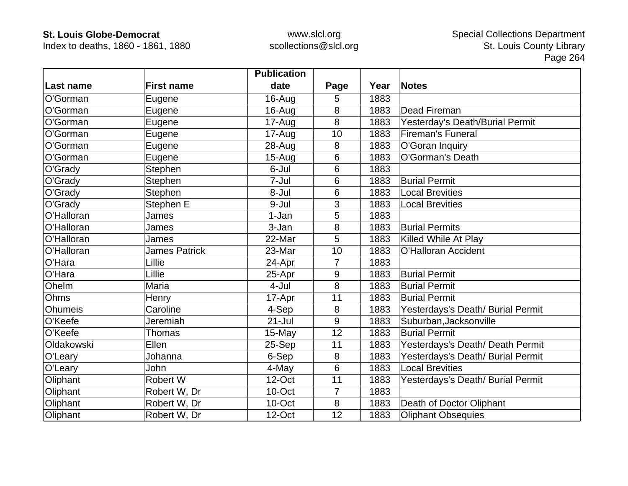Index to deaths, 1860 - 1861, 1880

|                |                      | <b>Publication</b> |         |      |                                   |
|----------------|----------------------|--------------------|---------|------|-----------------------------------|
| Last name      | <b>First name</b>    | date               | Page    | Year | <b>Notes</b>                      |
| O'Gorman       | Eugene               | 16-Aug             | 5       | 1883 |                                   |
| O'Gorman       | Eugene               | 16-Aug             | 8       | 1883 | Dead Fireman                      |
| O'Gorman       | Eugene               | 17-Aug             | 8       | 1883 | Yesterday's Death/Burial Permit   |
| O'Gorman       | Eugene               | 17-Aug             | 10      | 1883 | <b>Fireman's Funeral</b>          |
| O'Gorman       | Eugene               | $28 - Aug$         | 8       | 1883 | O'Goran Inquiry                   |
| O'Gorman       | Eugene               | $15-Aug$           | 6       | 1883 | O'Gorman's Death                  |
| O'Grady        | Stephen              | 6-Jul              | 6       | 1883 |                                   |
| O'Grady        | Stephen              | 7-Jul              | 6       | 1883 | <b>Burial Permit</b>              |
| O'Grady        | Stephen              | 8-Jul              | 6       | 1883 | <b>Local Brevities</b>            |
| O'Grady        | Stephen E            | 9-Jul              | 3       | 1883 | <b>Local Brevities</b>            |
| O'Halloran     | James                | 1-Jan              | 5       | 1883 |                                   |
| O'Halloran     | James                | 3-Jan              | 8       | 1883 | <b>Burial Permits</b>             |
| O'Halloran     | James                | 22-Mar             | 5       | 1883 | Killed While At Play              |
| O'Halloran     | <b>James Patrick</b> | 23-Mar             | 10      | 1883 | <b>O'Halloran Accident</b>        |
| O'Hara         | Lillie               | 24-Apr             | 7       | 1883 |                                   |
| O'Hara         | Lillie               | 25-Apr             | 9       | 1883 | <b>Burial Permit</b>              |
| Ohelm          | Maria                | 4-Jul              | 8       | 1883 | <b>Burial Permit</b>              |
| Ohms           | Henry                | 17-Apr             | 11      | 1883 | <b>Burial Permit</b>              |
| <b>Ohumeis</b> | Caroline             | 4-Sep              | 8       | 1883 | Yesterdays's Death/ Burial Permit |
| O'Keefe        | Jeremiah             | $21 -$ Jul         | 9       | 1883 | Suburban, Jacksonville            |
| O'Keefe        | Thomas               | 15-May             | 12      | 1883 | <b>Burial Permit</b>              |
| Oldakowski     | Ellen                | 25-Sep             | 11      | 1883 | Yesterdays's Death/ Death Permit  |
| O'Leary        | Johanna              | 6-Sep              | 8       | 1883 | Yesterdays's Death/ Burial Permit |
| O'Leary        | John                 | 4-May              | 6       | 1883 | <b>Local Brevities</b>            |
| Oliphant       | <b>Robert W</b>      | 12-Oct             | 11      | 1883 | Yesterdays's Death/ Burial Permit |
| Oliphant       | Robert W, Dr         | 10-Oct             | 7       | 1883 |                                   |
| Oliphant       | Robert W, Dr         | 10-Oct             | $\bf 8$ | 1883 | Death of Doctor Oliphant          |
| Oliphant       | Robert W, Dr         | 12-Oct             | 12      | 1883 | <b>Oliphant Obsequies</b>         |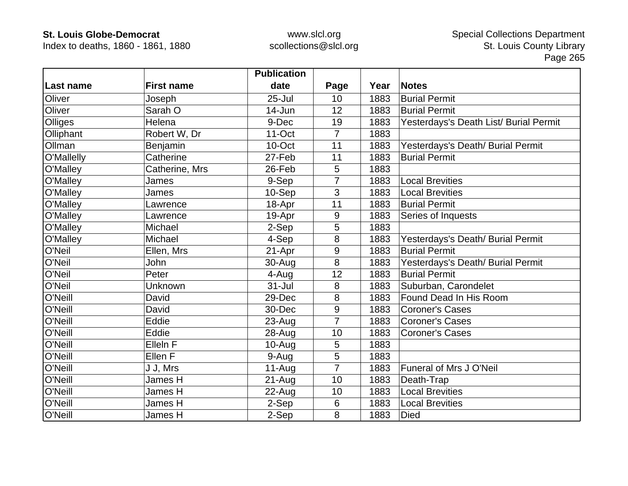Index to deaths, 1860 - 1861, 1880

|            |                   | <b>Publication</b> |                |      |                                        |
|------------|-------------------|--------------------|----------------|------|----------------------------------------|
| Last name  | <b>First name</b> | date               | Page           | Year | <b>Notes</b>                           |
| Oliver     | Joseph            | $25 -$ Jul         | 10             | 1883 | <b>Burial Permit</b>                   |
| Oliver     | Sarah O           | 14-Jun             | 12             | 1883 | <b>Burial Permit</b>                   |
| Olliges    | Helena            | 9-Dec              | 19             | 1883 | Yesterdays's Death List/ Burial Permit |
| Olliphant  | Robert W, Dr      | $11-Oct$           | $\overline{7}$ | 1883 |                                        |
| Ollman     | Benjamin          | 10-Oct             | 11             | 1883 | Yesterdays's Death/ Burial Permit      |
| O'Mallelly | Catherine         | 27-Feb             | 11             | 1883 | <b>Burial Permit</b>                   |
| O'Malley   | Catherine, Mrs    | 26-Feb             | 5              | 1883 |                                        |
| O'Malley   | James             | 9-Sep              | 7              | 1883 | <b>Local Brevities</b>                 |
| O'Malley   | James             | 10-Sep             | 3              | 1883 | <b>Local Brevities</b>                 |
| O'Malley   | Lawrence          | 18-Apr             | 11             | 1883 | <b>Burial Permit</b>                   |
| O'Malley   | Lawrence          | 19-Apr             | 9              | 1883 | Series of Inquests                     |
| O'Malley   | Michael           | 2-Sep              | 5              | 1883 |                                        |
| O'Malley   | Michael           | 4-Sep              | 8              | 1883 | Yesterdays's Death/ Burial Permit      |
| O'Neil     | Ellen, Mrs        | 21-Apr             | 9              | 1883 | <b>Burial Permit</b>                   |
| O'Neil     | John              | 30-Aug             | 8              | 1883 | Yesterdays's Death/ Burial Permit      |
| O'Neil     | Peter             | 4-Aug              | 12             | 1883 | <b>Burial Permit</b>                   |
| O'Neil     | Unknown           | $31 -$ Jul         | 8              | 1883 | Suburban, Carondelet                   |
| O'Neill    | David             | 29-Dec             | 8              | 1883 | Found Dead In His Room                 |
| O'Neill    | David             | 30-Dec             | 9              | 1883 | <b>Coroner's Cases</b>                 |
| O'Neill    | Eddie             | 23-Aug             | $\overline{7}$ | 1883 | <b>Coroner's Cases</b>                 |
| O'Neill    | Eddie             | 28-Aug             | 10             | 1883 | <b>Coroner's Cases</b>                 |
| O'Neill    | Elleln F          | $10-Auq$           | 5              | 1883 |                                        |
| O'Neill    | Ellen F           | 9-Aug              | 5              | 1883 |                                        |
| O'Neill    | J J, Mrs          | $11-Auq$           | $\overline{7}$ | 1883 | Funeral of Mrs J O'Neil                |
| O'Neill    | James H           | $21 - Aug$         | 10             | 1883 | Death-Trap                             |
| O'Neill    | James H           | $22$ -Aug          | 10             | 1883 | <b>Local Brevities</b>                 |
| O'Neill    | James H           | 2-Sep              | 6              | 1883 | <b>Local Brevities</b>                 |
| O'Neill    | James H           | 2-Sep              | 8              | 1883 | <b>Died</b>                            |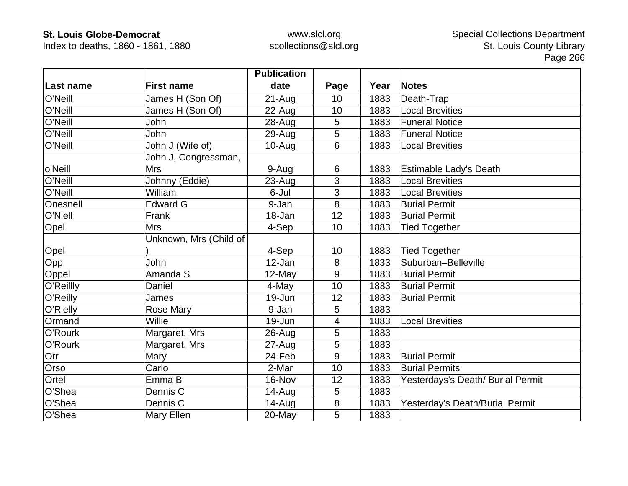Index to deaths, 1860 - 1861, 1880

|                |                        | <b>Publication</b> |      |      |                                   |
|----------------|------------------------|--------------------|------|------|-----------------------------------|
| Last name      | <b>First name</b>      | date               | Page | Year | <b>Notes</b>                      |
| O'Neill        | James H (Son Of)       | $21 - Aug$         | 10   | 1883 | Death-Trap                        |
| O'Neill        | James H (Son Of)       | 22-Aug             | 10   | 1883 | <b>Local Brevities</b>            |
| O'Neill        | John                   | 28-Aug             | 5    | 1883 | <b>Funeral Notice</b>             |
| O'Neill        | <b>John</b>            | 29-Aug             | 5    | 1883 | <b>Funeral Notice</b>             |
| O'Neill        | John J (Wife of)       | 10-Aug             | 6    | 1883 | <b>Local Brevities</b>            |
|                | John J, Congressman,   |                    |      |      |                                   |
| o'Neill        | <b>Mrs</b>             | 9-Aug              | 6    | 1883 | <b>Estimable Lady's Death</b>     |
| O'Neill        | Johnny (Eddie)         | 23-Aug             | 3    | 1883 | <b>Local Brevities</b>            |
| O'Neill        | William                | 6-Jul              | 3    | 1883 | <b>Local Brevities</b>            |
| Onesnell       | <b>Edward G</b>        | 9-Jan              | 8    | 1883 | <b>Burial Permit</b>              |
| <b>O'Niell</b> | Frank                  | 18-Jan             | 12   | 1883 | <b>Burial Permit</b>              |
| Opel           | <b>Mrs</b>             | 4-Sep              | 10   | 1883 | <b>Tied Together</b>              |
|                | Unknown, Mrs (Child of |                    |      |      |                                   |
| Opel           |                        | 4-Sep              | 10   | 1883 | <b>Tied Together</b>              |
| Opp            | John                   | 12-Jan             | 8    | 1833 | Suburban-Belleville               |
| Oppel          | Amanda S               | 12-May             | 9    | 1883 | <b>Burial Permit</b>              |
| O'Reillly      | Daniel                 | 4-May              | 10   | 1883 | <b>Burial Permit</b>              |
| O'Reilly       | James                  | 19-Jun             | 12   | 1883 | <b>Burial Permit</b>              |
| O'Rielly       | Rose Mary              | 9-Jan              | 5    | 1883 |                                   |
| Ormand         | Willie                 | 19-Jun             | 4    | 1883 | <b>Local Brevities</b>            |
| O'Rourk        | Margaret, Mrs          | $26$ -Aug          | 5    | 1883 |                                   |
| O'Rourk        | Margaret, Mrs          | 27-Aug             | 5    | 1883 |                                   |
| Orr            | Mary                   | 24-Feb             | 9    | 1883 | <b>Burial Permit</b>              |
| Orso           | Carlo                  | 2-Mar              | 10   | 1883 | <b>Burial Permits</b>             |
| Ortel          | Emma B                 | 16-Nov             | 12   | 1883 | Yesterdays's Death/ Burial Permit |
| O'Shea         | Dennis <sub>C</sub>    | $14 - Aug$         | 5    | 1883 |                                   |
| O'Shea         | Dennis <sub>C</sub>    | 14-Aug             | 8    | 1883 | Yesterday's Death/Burial Permit   |
| O'Shea         | Mary Ellen             | 20-May             | 5    | 1883 |                                   |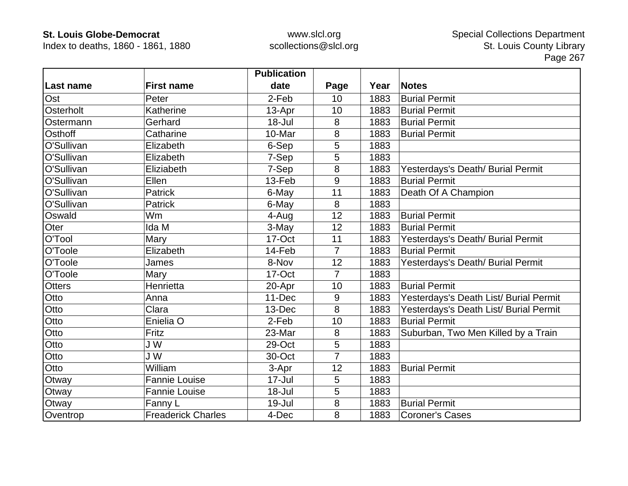Index to deaths, 1860 - 1861, 1880

|               |                           | <b>Publication</b> |                |      |                                        |
|---------------|---------------------------|--------------------|----------------|------|----------------------------------------|
| Last name     | <b>First name</b>         | date               | Page           | Year | <b>Notes</b>                           |
| Ost           | Peter                     | 2-Feb              | 10             | 1883 | <b>Burial Permit</b>                   |
| Osterholt     | Katherine                 | 13-Apr             | 10             | 1883 | <b>Burial Permit</b>                   |
| Ostermann     | Gerhard                   | $18 -$ Jul         | 8              | 1883 | <b>Burial Permit</b>                   |
| Osthoff       | Catharine                 | 10-Mar             | 8              | 1883 | <b>Burial Permit</b>                   |
| O'Sullivan    | Elizabeth                 | 6-Sep              | 5              | 1883 |                                        |
| O'Sullivan    | Elizabeth                 | 7-Sep              | 5              | 1883 |                                        |
| O'Sullivan    | Eliziabeth                | 7-Sep              | 8              | 1883 | Yesterdays's Death/ Burial Permit      |
| O'Sullivan    | Ellen                     | 13-Feb             | 9              | 1883 | <b>Burial Permit</b>                   |
| O'Sullivan    | <b>Patrick</b>            | 6-May              | 11             | 1883 | Death Of A Champion                    |
| O'Sullivan    | <b>Patrick</b>            | 6-May              | 8              | 1883 |                                        |
| Oswald        | Wm                        | 4-Aug              | 12             | 1883 | <b>Burial Permit</b>                   |
| Oter          | Ida M                     | 3-May              | 12             | 1883 | <b>Burial Permit</b>                   |
| O'Tool        | Mary                      | 17-Oct             | 11             | 1883 | Yesterdays's Death/ Burial Permit      |
| O'Toole       | Elizabeth                 | 14-Feb             | $\overline{7}$ | 1883 | <b>Burial Permit</b>                   |
| O'Toole       | James                     | 8-Nov              | 12             | 1883 | Yesterdays's Death/ Burial Permit      |
| O'Toole       | Mary                      | 17-Oct             | $\overline{7}$ | 1883 |                                        |
| <b>Otters</b> | Henrietta                 | 20-Apr             | 10             | 1883 | <b>Burial Permit</b>                   |
| Otto          | Anna                      | 11-Dec             | 9              | 1883 | Yesterdays's Death List/ Burial Permit |
| Otto          | Clara                     | 13-Dec             | 8              | 1883 | Yesterdays's Death List/ Burial Permit |
| Otto          | Enielia O                 | 2-Feb              | 10             | 1883 | <b>Burial Permit</b>                   |
| Otto          | Fritz                     | 23-Mar             | 8              | 1883 | Suburban, Two Men Killed by a Train    |
| Otto          | J W                       | 29-Oct             | 5              | 1883 |                                        |
| Otto          | J W                       | 30-Oct             | 7              | 1883 |                                        |
| Otto          | William                   | 3-Apr              | 12             | 1883 | <b>Burial Permit</b>                   |
| Otway         | <b>Fannie Louise</b>      | $17 -$ Jul         | 5              | 1883 |                                        |
| Otway         | Fannie Louise             | 18-Jul             | 5              | 1883 |                                        |
| Otway         | Fanny L                   | 19-Jul             | 8              | 1883 | <b>Burial Permit</b>                   |
| Oventrop      | <b>Freaderick Charles</b> | 4-Dec              | 8              | 1883 | <b>Coroner's Cases</b>                 |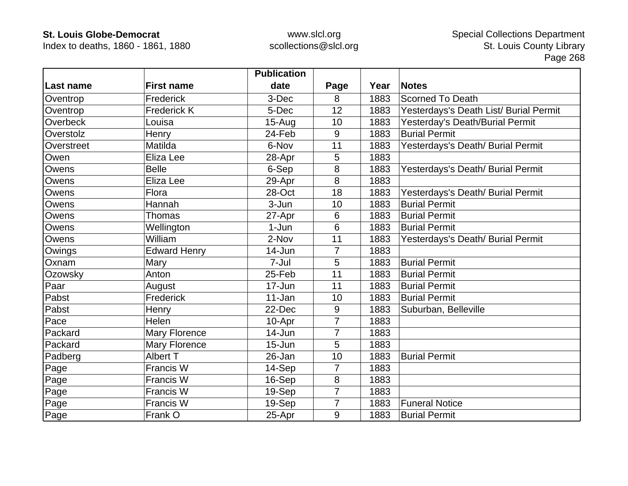Index to deaths, 1860 - 1861, 1880

|            |                     | <b>Publication</b> |                |      |                                        |
|------------|---------------------|--------------------|----------------|------|----------------------------------------|
| Last name  | <b>First name</b>   | date               | Page           | Year | <b>Notes</b>                           |
| Oventrop   | Frederick           | 3-Dec              | 8              | 1883 | <b>Scorned To Death</b>                |
| Oventrop   | <b>Frederick K</b>  | 5-Dec              | 12             | 1883 | Yesterdays's Death List/ Burial Permit |
| Overbeck   | Louisa              | $15-Auq$           | 10             | 1883 | Yesterday's Death/Burial Permit        |
| Overstolz  | Henry               | 24-Feb             | 9              | 1883 | <b>Burial Permit</b>                   |
| Overstreet | Matilda             | 6-Nov              | 11             | 1883 | Yesterdays's Death/ Burial Permit      |
| Owen       | Eliza Lee           | 28-Apr             | 5              | 1883 |                                        |
| Owens      | <b>Belle</b>        | 6-Sep              | 8              | 1883 | Yesterdays's Death/ Burial Permit      |
| Owens      | Eliza Lee           | 29-Apr             | 8              | 1883 |                                        |
| Owens      | Flora               | 28-Oct             | 18             | 1883 | Yesterdays's Death/ Burial Permit      |
| Owens      | Hannah              | 3-Jun              | 10             | 1883 | <b>Burial Permit</b>                   |
| Owens      | Thomas              | 27-Apr             | 6              | 1883 | <b>Burial Permit</b>                   |
| Owens      | Wellington          | 1-Jun              | 6              | 1883 | <b>Burial Permit</b>                   |
| Owens      | William             | 2-Nov              | 11             | 1883 | Yesterdays's Death/ Burial Permit      |
| Owings     | <b>Edward Henry</b> | 14-Jun             | $\overline{7}$ | 1883 |                                        |
| Oxnam      | Mary                | 7-Jul              | 5              | 1883 | <b>Burial Permit</b>                   |
| Ozowsky    | Anton               | 25-Feb             | 11             | 1883 | <b>Burial Permit</b>                   |
| Paar       | August              | 17-Jun             | 11             | 1883 | <b>Burial Permit</b>                   |
| Pabst      | Frederick           | $11 - Jan$         | 10             | 1883 | <b>Burial Permit</b>                   |
| Pabst      | Henry               | 22-Dec             | 9              | 1883 | Suburban, Belleville                   |
| Pace       | Helen               | 10-Apr             | $\overline{7}$ | 1883 |                                        |
| Packard    | Mary Florence       | $14 - Jun$         | 7              | 1883 |                                        |
| Packard    | Mary Florence       | $15 - Jun$         | 5              | 1883 |                                        |
| Padberg    | Albert T            | 26-Jan             | 10             | 1883 | <b>Burial Permit</b>                   |
| Page       | Francis W           | 14-Sep             | $\overline{7}$ | 1883 |                                        |
| Page       | Francis W           | 16-Sep             | 8              | 1883 |                                        |
| Page       | Francis W           | 19-Sep             | $\overline{7}$ | 1883 |                                        |
| Page       | Francis W           | 19-Sep             | $\overline{7}$ | 1883 | <b>Funeral Notice</b>                  |
| Page       | Frank O             | 25-Apr             | 9              | 1883 | <b>Burial Permit</b>                   |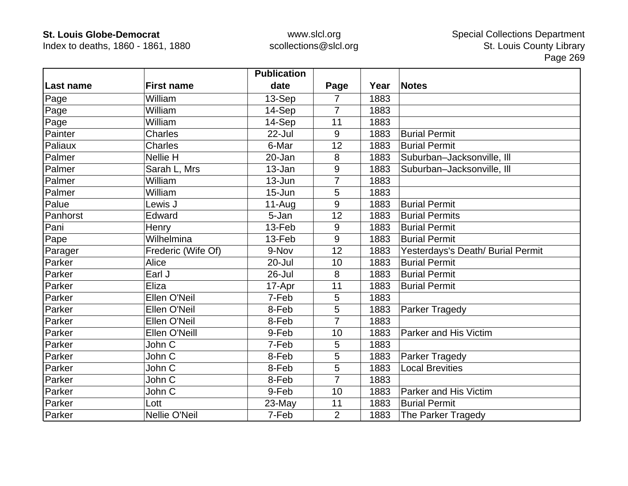Index to deaths, 1860 - 1861, 1880

|                  |                    | <b>Publication</b> |                |      |                                   |
|------------------|--------------------|--------------------|----------------|------|-----------------------------------|
| <b>Last name</b> | <b>First name</b>  | date               | Page           | Year | <b>Notes</b>                      |
| Page             | William            | 13-Sep             | 7              | 1883 |                                   |
| Page             | William            | 14-Sep             | $\overline{7}$ | 1883 |                                   |
| Page             | William            | 14-Sep             | 11             | 1883 |                                   |
| Painter          | <b>Charles</b>     | 22-Jul             | 9              | 1883 | <b>Burial Permit</b>              |
| Paliaux          | <b>Charles</b>     | 6-Mar              | 12             | 1883 | <b>Burial Permit</b>              |
| Palmer           | Nellie H           | 20-Jan             | 8              | 1883 | Suburban-Jacksonville, Ill        |
| Palmer           | Sarah L, Mrs       | 13-Jan             | 9              | 1883 | Suburban-Jacksonville, Ill        |
| Palmer           | William            | 13-Jun             | $\overline{7}$ | 1883 |                                   |
| Palmer           | William            | $15 - Jun$         | 5              | 1883 |                                   |
| Palue            | Lewis J            | $11-Auq$           | 9              | 1883 | <b>Burial Permit</b>              |
| Panhorst         | Edward             | 5-Jan              | 12             | 1883 | <b>Burial Permits</b>             |
| Pani             | Henry              | 13-Feb             | 9              | 1883 | <b>Burial Permit</b>              |
| Pape             | Wilhelmina         | 13-Feb             | 9              | 1883 | <b>Burial Permit</b>              |
| Parager          | Frederic (Wife Of) | 9-Nov              | 12             | 1883 | Yesterdays's Death/ Burial Permit |
| Parker           | Alice              | 20-Jul             | 10             | 1883 | <b>Burial Permit</b>              |
| Parker           | Earl J             | 26-Jul             | 8              | 1883 | <b>Burial Permit</b>              |
| Parker           | Eliza              | 17-Apr             | 11             | 1883 | <b>Burial Permit</b>              |
| Parker           | Ellen O'Neil       | 7-Feb              | 5              | 1883 |                                   |
| Parker           | Ellen O'Neil       | 8-Feb              | 5              | 1883 | Parker Tragedy                    |
| Parker           | Ellen O'Neil       | 8-Feb              | $\overline{7}$ | 1883 |                                   |
| Parker           | Ellen O'Neill      | 9-Feb              | 10             | 1883 | Parker and His Victim             |
| Parker           | John C             | 7-Feb              | 5              | 1883 |                                   |
| Parker           | John C             | 8-Feb              | 5              | 1883 | Parker Tragedy                    |
| Parker           | John C             | 8-Feb              | 5              | 1883 | <b>Local Brevities</b>            |
| Parker           | John C             | 8-Feb              | 7              | 1883 |                                   |
| Parker           | John C             | 9-Feb              | 10             | 1883 | Parker and His Victim             |
| Parker           | Lott               | 23-May             | 11             | 1883 | <b>Burial Permit</b>              |
| Parker           | Nellie O'Neil      | 7-Feb              | $\overline{2}$ | 1883 | The Parker Tragedy                |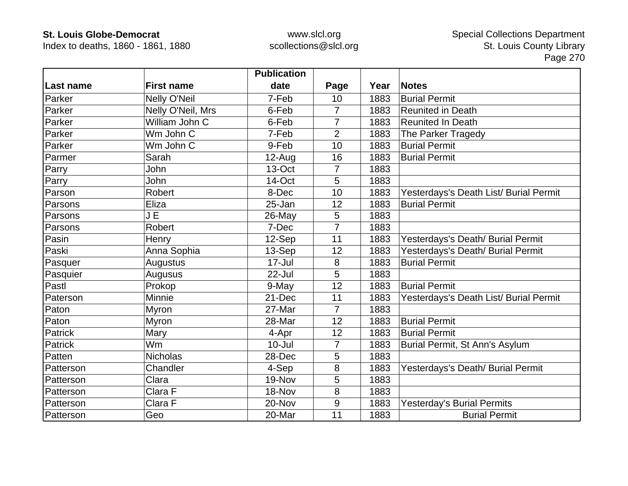Index to deaths, 1860 - 1861, 1880

|           |                     | <b>Publication</b> |                |      |                                        |
|-----------|---------------------|--------------------|----------------|------|----------------------------------------|
| Last name | <b>First name</b>   | date               | Page           | Year | <b>Notes</b>                           |
| Parker    | <b>Nelly O'Neil</b> | 7-Feb              | 10             | 1883 | <b>Burial Permit</b>                   |
| Parker    | Nelly O'Neil, Mrs   | 6-Feb              | $\overline{7}$ | 1883 | <b>Reunited in Death</b>               |
| Parker    | William John C      | 6-Feb              | 7              | 1883 | <b>Reunited In Death</b>               |
| Parker    | Wm John C           | 7-Feb              | $\overline{2}$ | 1883 | The Parker Tragedy                     |
| Parker    | Wm John C           | 9-Feb              | 10             | 1883 | <b>Burial Permit</b>                   |
| Parmer    | Sarah               | $12-Auq$           | 16             | 1883 | <b>Burial Permit</b>                   |
| Parry     | <b>John</b>         | 13-Oct             | 7              | 1883 |                                        |
| Parry     | John                | 14-Oct             | 5              | 1883 |                                        |
| Parson    | Robert              | 8-Dec              | 10             | 1883 | Yesterdays's Death List/ Burial Permit |
| Parsons   | Eliza               | 25-Jan             | 12             | 1883 | <b>Burial Permit</b>                   |
| Parsons   | JE                  | 26-May             | 5              | 1883 |                                        |
| Parsons   | <b>Robert</b>       | 7-Dec              | $\overline{7}$ | 1883 |                                        |
| Pasin     | Henry               | 12-Sep             | 11             | 1883 | Yesterdays's Death/ Burial Permit      |
| Paski     | Anna Sophia         | 13-Sep             | 12             | 1883 | Yesterdays's Death/ Burial Permit      |
| Pasquer   | Augustus            | 17-Jul             | 8              | 1883 | <b>Burial Permit</b>                   |
| Pasquier  | Augusus             | $22$ -Jul          | 5              | 1883 |                                        |
| Pastl     | Prokop              | 9-May              | 12             | 1883 | <b>Burial Permit</b>                   |
| Paterson  | Minnie              | 21-Dec             | 11             | 1883 | Yesterdays's Death List/ Burial Permit |
| Paton     | Myron               | 27-Mar             | $\overline{7}$ | 1883 |                                        |
| Paton     | Myron               | 28-Mar             | 12             | 1883 | <b>Burial Permit</b>                   |
| Patrick   | Mary                | 4-Apr              | 12             | 1883 | <b>Burial Permit</b>                   |
| Patrick   | Wm                  | $10 -$ Jul         | $\overline{7}$ | 1883 | Burial Permit, St Ann's Asylum         |
| Patten    | <b>Nicholas</b>     | 28-Dec             | 5              | 1883 |                                        |
| Patterson | Chandler            | 4-Sep              | 8              | 1883 | Yesterdays's Death/ Burial Permit      |
| Patterson | Clara               | 19-Nov             | 5              | 1883 |                                        |
| Patterson | Clara F             | 18-Nov             | 8              | 1883 |                                        |
| Patterson | Clara F             | 20-Nov             | 9              | 1883 | <b>Yesterday's Burial Permits</b>      |
| Patterson | Geo                 | 20-Mar             | 11             | 1883 | <b>Burial Permit</b>                   |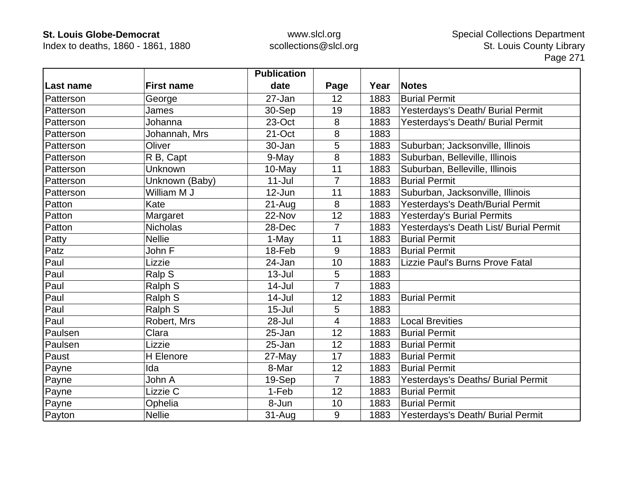Index to deaths, 1860 - 1861, 1880

|                  |                   | <b>Publication</b> |                |      |                                        |
|------------------|-------------------|--------------------|----------------|------|----------------------------------------|
| Last name        | <b>First name</b> | date               | Page           | Year | <b>Notes</b>                           |
| <b>Patterson</b> | George            | 27-Jan             | 12             | 1883 | <b>Burial Permit</b>                   |
| Patterson        | James             | 30-Sep             | 19             | 1883 | Yesterdays's Death/ Burial Permit      |
| Patterson        | Johanna           | 23-Oct             | 8              | 1883 | Yesterdays's Death/ Burial Permit      |
| Patterson        | Johannah, Mrs     | 21-Oct             | 8              | 1883 |                                        |
| Patterson        | Oliver            | 30-Jan             | 5              | 1883 | Suburban; Jacksonville, Illinois       |
| Patterson        | R B, Capt         | 9-May              | 8              | 1883 | Suburban, Belleville, Illinois         |
| Patterson        | Unknown           | 10-May             | 11             | 1883 | Suburban, Belleville, Illinois         |
| Patterson        | Unknown (Baby)    | $11$ -Jul          | $\overline{7}$ | 1883 | <b>Burial Permit</b>                   |
| Patterson        | William M J       | 12-Jun             | 11             | 1883 | Suburban, Jacksonville, Illinois       |
| Patton           | Kate              | 21-Aug             | 8              | 1883 | Yesterdays's Death/Burial Permit       |
| Patton           | Margaret          | 22-Nov             | 12             | 1883 | Yesterday's Burial Permits             |
| Patton           | <b>Nicholas</b>   | 28-Dec             | $\overline{7}$ | 1883 | Yesterdays's Death List/ Burial Permit |
| Patty            | <b>Nellie</b>     | 1-May              | 11             | 1883 | <b>Burial Permit</b>                   |
| Patz             | John F            | $18$ -Feb          | 9              | 1883 | <b>Burial Permit</b>                   |
| Paul             | Lizzie            | 24-Jan             | 10             | 1883 | Lizzie Paul's Burns Prove Fatal        |
| Paul             | Ralp S            | $13 -$ Jul         | 5              | 1883 |                                        |
| Paul             | Ralph S           | 14-Jul             | $\overline{7}$ | 1883 |                                        |
| Paul             | Ralph S           | $14$ -Jul          | 12             | 1883 | <b>Burial Permit</b>                   |
| Paul             | Ralph S           | $15 -$ Jul         | 5              | 1883 |                                        |
| Paul             | Robert, Mrs       | 28-Jul             | 4              | 1883 | <b>Local Brevities</b>                 |
| Paulsen          | Clara             | 25-Jan             | 12             | 1883 | <b>Burial Permit</b>                   |
| Paulsen          | Lizzie            | 25-Jan             | 12             | 1883 | <b>Burial Permit</b>                   |
| Paust            | H Elenore         | $27$ -May          | 17             | 1883 | <b>Burial Permit</b>                   |
| Payne            | Ida               | 8-Mar              | 12             | 1883 | <b>Burial Permit</b>                   |
| Payne            | John A            | 19-Sep             | $\overline{7}$ | 1883 | Yesterdays's Deaths/ Burial Permit     |
| Payne            | Lizzie C          | 1-Feb              | 12             | 1883 | <b>Burial Permit</b>                   |
| Payne            | Ophelia           | 8-Jun              | 10             | 1883 | <b>Burial Permit</b>                   |
| Payton           | <b>Nellie</b>     | $31 - Aug$         | 9              | 1883 | Yesterdays's Death/ Burial Permit      |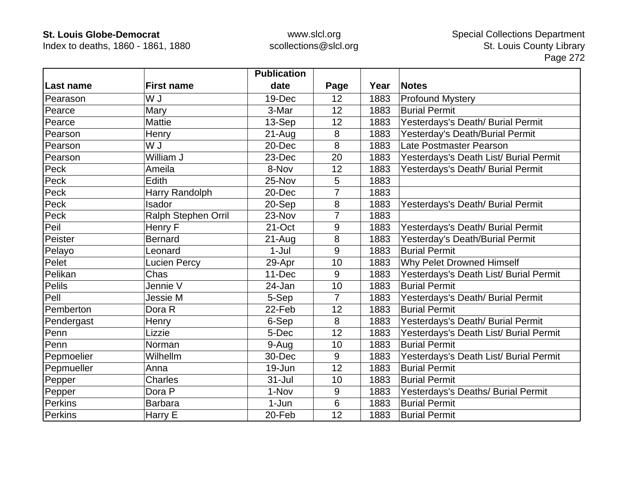Index to deaths, 1860 - 1861, 1880

|               |                     | <b>Publication</b> |                |      |                                        |
|---------------|---------------------|--------------------|----------------|------|----------------------------------------|
| Last name     | <b>First name</b>   | date               | Page           | Year | <b>Notes</b>                           |
| Pearason      | W J                 | 19-Dec             | 12             | 1883 | <b>Profound Mystery</b>                |
| Pearce        | Mary                | 3-Mar              | 12             | 1883 | <b>Burial Permit</b>                   |
| Pearce        | <b>Mattie</b>       | 13-Sep             | 12             | 1883 | Yesterdays's Death/ Burial Permit      |
| Pearson       | Henry               | $21-Auq$           | 8              | 1883 | Yesterday's Death/Burial Permit        |
| Pearson       | U W                 | 20-Dec             | 8              | 1883 | Late Postmaster Pearson                |
| Pearson       | William J           | 23-Dec             | 20             | 1883 | Yesterdays's Death List/ Burial Permit |
| Peck          | Ameila              | 8-Nov              | 12             | 1883 | Yesterdays's Death/ Burial Permit      |
| Peck          | Edith               | 25-Nov             | 5              | 1883 |                                        |
| Peck          | Harry Randolph      | 20-Dec             | 7              | 1883 |                                        |
| Peck          | Isador              | 20-Sep             | 8              | 1883 | Yesterdays's Death/ Burial Permit      |
| Peck          | Ralph Stephen Orril | 23-Nov             | 7              | 1883 |                                        |
| Peil          | Henry F             | 21-Oct             | 9              | 1883 | Yesterdays's Death/ Burial Permit      |
| Peister       | <b>Bernard</b>      | $21 - Aug$         | 8              | 1883 | Yesterday's Death/Burial Permit        |
| Pelayo        | Leonard             | $1-Jul$            | 9              | 1883 | <b>Burial Permit</b>                   |
| Pelet         | <b>Lucien Percy</b> | 29-Apr             | 10             | 1883 | Why Pelet Drowned Himself              |
| Pelikan       | Chas                | 11-Dec             | 9              | 1883 | Yesterdays's Death List/ Burial Permit |
| <b>Pelils</b> | Jennie V            | 24-Jan             | 10             | 1883 | <b>Burial Permit</b>                   |
| Pell          | Jessie M            | 5-Sep              | $\overline{7}$ | 1883 | Yesterdays's Death/ Burial Permit      |
| Pemberton     | Dora R              | 22-Feb             | 12             | 1883 | <b>Burial Permit</b>                   |
| Pendergast    | Henry               | 6-Sep              | 8              | 1883 | Yesterdays's Death/ Burial Permit      |
| Penn          | Lizzie              | 5-Dec              | 12             | 1883 | Yesterdays's Death List/ Burial Permit |
| Penn          | Norman              | 9-Aug              | 10             | 1883 | <b>Burial Permit</b>                   |
| Pepmoelier    | Wilhellm            | 30-Dec             | 9              | 1883 | Yesterdays's Death List/ Burial Permit |
| Pepmueller    | Anna                | 19-Jun             | 12             | 1883 | <b>Burial Permit</b>                   |
| Pepper        | Charles             | $31 -$ Jul         | 10             | 1883 | <b>Burial Permit</b>                   |
| Pepper        | Dora P              | 1-Nov              | 9              | 1883 | Yesterdays's Deaths/ Burial Permit     |
| Perkins       | <b>Barbara</b>      | $1-Jun$            | $6\phantom{1}$ | 1883 | <b>Burial Permit</b>                   |
| Perkins       | Harry E             | 20-Feb             | 12             | 1883 | <b>Burial Permit</b>                   |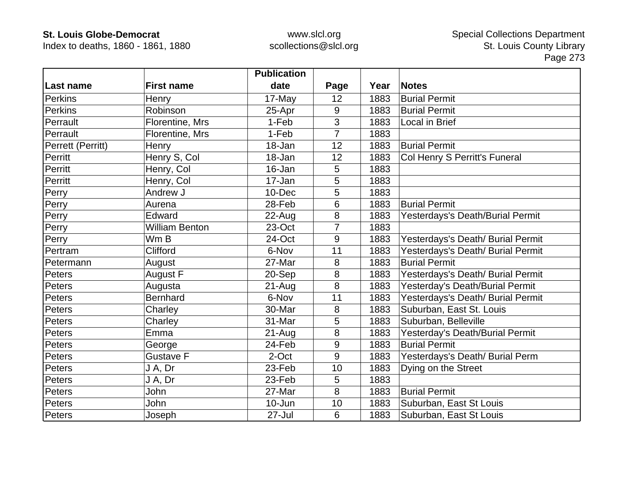Index to deaths, 1860 - 1861, 1880

|                   |                       | <b>Publication</b> |      |      |                                   |
|-------------------|-----------------------|--------------------|------|------|-----------------------------------|
| Last name         | <b>First name</b>     | date               | Page | Year | <b>Notes</b>                      |
| Perkins           | Henry                 | 17-May             | 12   | 1883 | <b>Burial Permit</b>              |
| <b>Perkins</b>    | Robinson              | 25-Apr             | 9    | 1883 | <b>Burial Permit</b>              |
| Perrault          | Florentine, Mrs       | 1-Feb              | 3    | 1883 | Local in Brief                    |
| Perrault          | Florentine, Mrs       | 1-Feb              | 7    | 1883 |                                   |
| Perrett (Perritt) | Henry                 | 18-Jan             | 12   | 1883 | <b>Burial Permit</b>              |
| Perritt           | Henry S, Col          | 18-Jan             | 12   | 1883 | Col Henry S Perritt's Funeral     |
| Perritt           | Henry, Col            | 16-Jan             | 5    | 1883 |                                   |
| Perritt           | Henry, Col            | 17-Jan             | 5    | 1883 |                                   |
| Perry             | Andrew J              | 10-Dec             | 5    | 1883 |                                   |
| Perry             | Aurena                | 28-Feb             | 6    | 1883 | <b>Burial Permit</b>              |
| Perry             | Edward                | $22$ -Aug          | 8    | 1883 | Yesterdays's Death/Burial Permit  |
| Perry             | <b>William Benton</b> | 23-Oct             | 7    | 1883 |                                   |
| Perry             | Wm B                  | 24-Oct             | 9    | 1883 | Yesterdays's Death/ Burial Permit |
| Pertram           | Clifford              | 6-Nov              | 11   | 1883 | Yesterdays's Death/ Burial Permit |
| Petermann         | August                | 27-Mar             | 8    | 1883 | <b>Burial Permit</b>              |
| Peters            | August F              | 20-Sep             | 8    | 1883 | Yesterdays's Death/ Burial Permit |
| Peters            | Augusta               | $21 - Aug$         | 8    | 1883 | Yesterday's Death/Burial Permit   |
| Peters            | <b>Bernhard</b>       | 6-Nov              | 11   | 1883 | Yesterdays's Death/ Burial Permit |
| Peters            | Charley               | 30-Mar             | 8    | 1883 | Suburban, East St. Louis          |
| Peters            | Charley               | 31-Mar             | 5    | 1883 | Suburban, Belleville              |
| Peters            | Emma                  | $21 - Aug$         | 8    | 1883 | Yesterday's Death/Burial Permit   |
| Peters            | George                | 24-Feb             | 9    | 1883 | <b>Burial Permit</b>              |
| Peters            | <b>Gustave F</b>      | 2-Oct              | 9    | 1883 | Yesterdays's Death/ Burial Perm   |
| Peters            | J A, Dr               | 23-Feb             | 10   | 1883 | Dying on the Street               |
| Peters            | J A, Dr               | 23-Feb             | 5    | 1883 |                                   |
| Peters            | John                  | 27-Mar             | 8    | 1883 | <b>Burial Permit</b>              |
| Peters            | John                  | 10-Jun             | 10   | 1883 | Suburban, East St Louis           |
| Peters            | Joseph                | 27-Jul             | 6    | 1883 | Suburban, East St Louis           |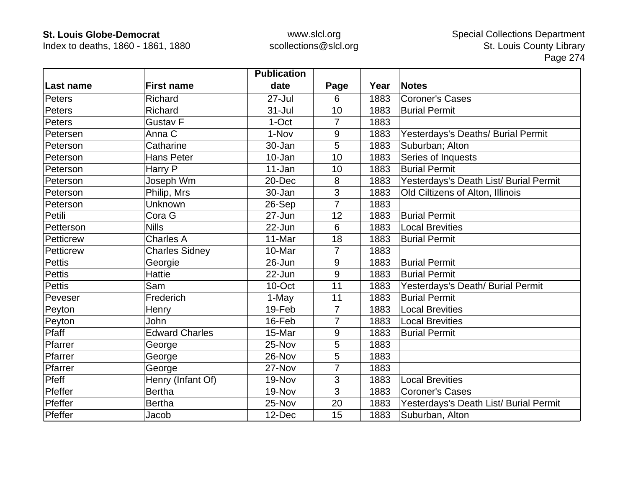Index to deaths, 1860 - 1861, 1880

|               |                       | <b>Publication</b> |                |      |                                        |
|---------------|-----------------------|--------------------|----------------|------|----------------------------------------|
| Last name     | <b>First name</b>     | date               | Page           | Year | <b>Notes</b>                           |
| Peters        | Richard               | $27 -$ Jul         | 6              | 1883 | <b>Coroner's Cases</b>                 |
| Peters        | Richard               | $31 -$ Jul         | 10             | 1883 | <b>Burial Permit</b>                   |
| Peters        | Gustav <sub>F</sub>   | 1-Oct              | $\overline{7}$ | 1883 |                                        |
| Petersen      | Anna C                | 1-Nov              | 9              | 1883 | Yesterdays's Deaths/ Burial Permit     |
| Peterson      | Catharine             | 30-Jan             | 5              | 1883 | Suburban; Alton                        |
| Peterson      | <b>Hans Peter</b>     | 10-Jan             | 10             | 1883 | Series of Inquests                     |
| Peterson      | Harry P               | 11-Jan             | 10             | 1883 | <b>Burial Permit</b>                   |
| Peterson      | Joseph Wm             | 20-Dec             | 8              | 1883 | Yesterdays's Death List/ Burial Permit |
| Peterson      | Philip, Mrs           | 30-Jan             | 3              | 1883 | Old Ciltizens of Alton, Illinois       |
| Peterson      | Unknown               | 26-Sep             | $\overline{7}$ | 1883 |                                        |
| Petili        | Cora G                | 27-Jun             | 12             | 1883 | <b>Burial Permit</b>                   |
| Petterson     | <b>Nills</b>          | 22-Jun             | 6              | 1883 | <b>Local Brevities</b>                 |
| Petticrew     | <b>Charles A</b>      | 11-Mar             | 18             | 1883 | <b>Burial Permit</b>                   |
| Petticrew     | <b>Charles Sidney</b> | 10-Mar             | $\overline{7}$ | 1883 |                                        |
| <b>Pettis</b> | Georgie               | 26-Jun             | 9              | 1883 | <b>Burial Permit</b>                   |
| <b>Pettis</b> | <b>Hattie</b>         | 22-Jun             | 9              | 1883 | <b>Burial Permit</b>                   |
| <b>Pettis</b> | Sam                   | 10-Oct             | 11             | 1883 | Yesterdays's Death/ Burial Permit      |
| Peveser       | Frederich             | 1-May              | 11             | 1883 | <b>Burial Permit</b>                   |
| Peyton        | Henry                 | 19-Feb             | $\overline{7}$ | 1883 | <b>Local Brevities</b>                 |
| Peyton        | <b>John</b>           | 16-Feb             | $\overline{7}$ | 1883 | <b>Local Brevities</b>                 |
| Pfaff         | <b>Edward Charles</b> | 15-Mar             | 9              | 1883 | <b>Burial Permit</b>                   |
| Pfarrer       | George                | 25-Nov             | 5              | 1883 |                                        |
| Pfarrer       | George                | 26-Nov             | 5              | 1883 |                                        |
| Pfarrer       | George                | 27-Nov             | 7              | 1883 |                                        |
| Pfeff         | Henry (Infant Of)     | 19-Nov             | 3              | 1883 | <b>Local Brevities</b>                 |
| Pfeffer       | <b>Bertha</b>         | 19-Nov             | 3              | 1883 | <b>Coroner's Cases</b>                 |
| Pfeffer       | <b>Bertha</b>         | 25-Nov             | 20             | 1883 | Yesterdays's Death List/ Burial Permit |
| Pfeffer       | Jacob                 | 12-Dec             | 15             | 1883 | Suburban, Alton                        |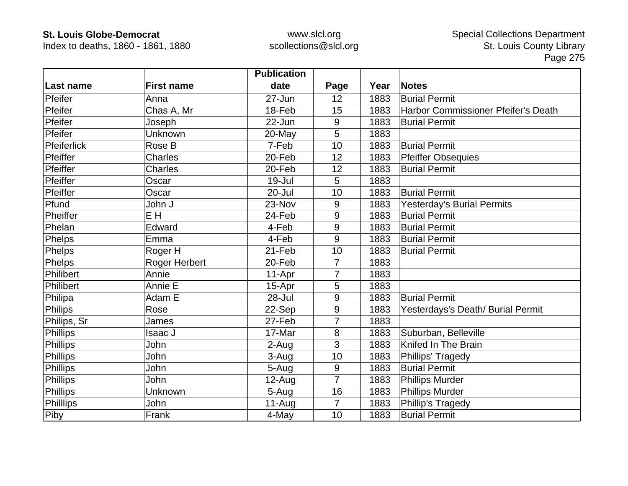Index to deaths, 1860 - 1861, 1880

|                 |                   | <b>Publication</b> |                |      |                                     |
|-----------------|-------------------|--------------------|----------------|------|-------------------------------------|
| Last name       | <b>First name</b> | date               | Page           | Year | <b>Notes</b>                        |
| Pfeifer         | Anna              | 27-Jun             | 12             | 1883 | <b>Burial Permit</b>                |
| Pfeifer         | Chas A, Mr        | 18-Feb             | 15             | 1883 | Harbor Commissioner Pfeifer's Death |
| Pfeifer         | Joseph            | 22-Jun             | 9              | 1883 | <b>Burial Permit</b>                |
| Pfeifer         | Unknown           | 20-May             | 5              | 1883 |                                     |
| Pfeiferlick     | Rose B            | 7-Feb              | 10             | 1883 | <b>Burial Permit</b>                |
| Pfeiffer        | <b>Charles</b>    | 20-Feb             | 12             | 1883 | <b>Pfeiffer Obsequies</b>           |
| Pfeiffer        | Charles           | 20-Feb             | 12             | 1883 | <b>Burial Permit</b>                |
| Pfeiffer        | Oscar             | $19 -$ Jul         | 5              | 1883 |                                     |
| Pfeiffer        | Oscar             | 20-Jul             | 10             | 1883 | <b>Burial Permit</b>                |
| Pfund           | John J            | 23-Nov             | 9              | 1883 | <b>Yesterday's Burial Permits</b>   |
| Pheiffer        | E H               | 24-Feb             | 9              | 1883 | <b>Burial Permit</b>                |
| Phelan          | Edward            | 4-Feb              | 9              | 1883 | <b>Burial Permit</b>                |
| <b>Phelps</b>   | Emma              | 4-Feb              | 9              | 1883 | <b>Burial Permit</b>                |
| Phelps          | Roger H           | 21-Feb             | 10             | 1883 | <b>Burial Permit</b>                |
| Phelps          | Roger Herbert     | 20-Feb             | 7              | 1883 |                                     |
| Philibert       | Annie             | 11-Apr             | 7              | 1883 |                                     |
| Philibert       | Annie E           | 15-Apr             | 5              | 1883 |                                     |
| Philipa         | Adam E            | 28-Jul             | 9              | 1883 | <b>Burial Permit</b>                |
| Philips         | Rose              | 22-Sep             | 9              | 1883 | Yesterdays's Death/ Burial Permit   |
| Philips, Sr     | James             | 27-Feb             | $\overline{7}$ | 1883 |                                     |
| Phillips        | Isaac J           | 17-Mar             | $\bf 8$        | 1883 | Suburban, Belleville                |
| <b>Phillips</b> | John              | 2-Aug              | 3              | 1883 | Knifed In The Brain                 |
| Phillips        | John              | 3-Aug              | 10             | 1883 | Phillips' Tragedy                   |
| Phillips        | John              | 5-Aug              | 9              | 1883 | <b>Burial Permit</b>                |
| Phillips        | John              | 12-Aug             | 7              | 1883 | Phillips Murder                     |
| Phillips        | Unknown           | 5-Aug              | 16             | 1883 | Phillips Murder                     |
| Philllips       | John              | $11-Auq$           | $\overline{7}$ | 1883 | Phillip's Tragedy                   |
| Piby            | Frank             | 4-May              | 10             | 1883 | <b>Burial Permit</b>                |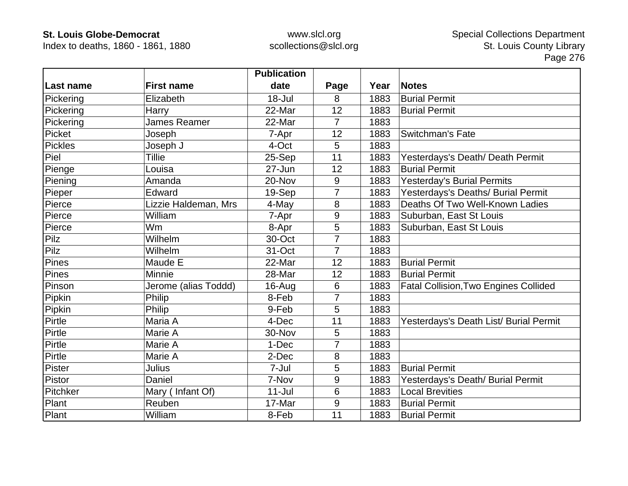Index to deaths, 1860 - 1861, 1880

|                |                      | <b>Publication</b> |                |      |                                              |
|----------------|----------------------|--------------------|----------------|------|----------------------------------------------|
| Last name      | <b>First name</b>    | date               | Page           | Year | <b>Notes</b>                                 |
| Pickering      | Elizabeth            | $18 -$ Jul         | 8              | 1883 | <b>Burial Permit</b>                         |
| Pickering      | Harry                | 22-Mar             | 12             | 1883 | <b>Burial Permit</b>                         |
| Pickering      | James Reamer         | 22-Mar             | $\overline{7}$ | 1883 |                                              |
| Picket         | Joseph               | 7-Apr              | 12             | 1883 | <b>Switchman's Fate</b>                      |
| <b>Pickles</b> | Joseph J             | 4-Oct              | 5              | 1883 |                                              |
| Piel           | <b>Tillie</b>        | 25-Sep             | 11             | 1883 | Yesterdays's Death/ Death Permit             |
| Pienge         | Louisa               | 27-Jun             | 12             | 1883 | <b>Burial Permit</b>                         |
| Piening        | Amanda               | 20-Nov             | 9              | 1883 | <b>Yesterday's Burial Permits</b>            |
| Pieper         | Edward               | 19-Sep             | 7              | 1883 | Yesterdays's Deaths/ Burial Permit           |
| Pierce         | Lizzie Haldeman, Mrs | 4-May              | 8              | 1883 | Deaths Of Two Well-Known Ladies              |
| Pierce         | William              | 7-Apr              | 9              | 1883 | Suburban, East St Louis                      |
| Pierce         | Wm                   | 8-Apr              | 5              | 1883 | Suburban, East St Louis                      |
| Pilz           | Wilhelm              | 30-Oct             | 7              | 1883 |                                              |
| Pilz           | Wilhelm              | 31-Oct             | $\overline{7}$ | 1883 |                                              |
| Pines          | Maude E              | 22-Mar             | 12             | 1883 | <b>Burial Permit</b>                         |
| Pines          | Minnie               | 28-Mar             | 12             | 1883 | <b>Burial Permit</b>                         |
| Pinson         | Jerome (alias Toddd) | 16-Aug             | 6              | 1883 | <b>Fatal Collision, Two Engines Collided</b> |
| Pipkin         | Philip               | 8-Feb              | $\overline{7}$ | 1883 |                                              |
| Pipkin         | Philip               | 9-Feb              | 5              | 1883 |                                              |
| Pirtle         | Maria A              | 4-Dec              | 11             | 1883 | Yesterdays's Death List/ Burial Permit       |
| Pirtle         | Marie A              | 30-Nov             | 5              | 1883 |                                              |
| Pirtle         | Marie A              | 1-Dec              | $\overline{7}$ | 1883 |                                              |
| Pirtle         | Marie A              | 2-Dec              | 8              | 1883 |                                              |
| Pister         | <b>Julius</b>        | 7-Jul              | 5              | 1883 | <b>Burial Permit</b>                         |
| Pistor         | Daniel               | 7-Nov              | 9              | 1883 | Yesterdays's Death/ Burial Permit            |
| Pitchker       | Mary (Infant Of)     | $11 -$ Jul         | 6              | 1883 | <b>Local Brevities</b>                       |
| Plant          | Reuben               | 17-Mar             | 9              | 1883 | <b>Burial Permit</b>                         |
| Plant          | William              | 8-Feb              | 11             | 1883 | <b>Burial Permit</b>                         |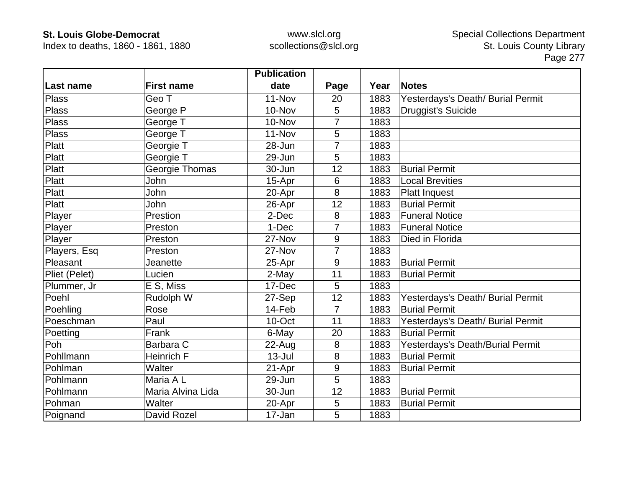Index to deaths, 1860 - 1861, 1880

|               |                   | <b>Publication</b> |                |      |                                   |
|---------------|-------------------|--------------------|----------------|------|-----------------------------------|
| Last name     | <b>First name</b> | date               | Page           | Year | <b>Notes</b>                      |
| Plass         | Geo T             | 11-Nov             | 20             | 1883 | Yesterdays's Death/ Burial Permit |
| <b>Plass</b>  | George P          | 10-Nov             | 5              | 1883 | Druggist's Suicide                |
| <b>Plass</b>  | George T          | 10-Nov             |                | 1883 |                                   |
| <b>Plass</b>  | George T          | 11-Nov             | 5              | 1883 |                                   |
| Platt         | Georgie T         | 28-Jun             | 7              | 1883 |                                   |
| Platt         | Georgie T         | 29-Jun             | 5              | 1883 |                                   |
| Platt         | Georgie Thomas    | 30-Jun             | 12             | 1883 | <b>Burial Permit</b>              |
| Platt         | John              | 15-Apr             | 6              | 1883 | <b>Local Brevities</b>            |
| Platt         | John              | 20-Apr             | 8              | 1883 | <b>Platt Inquest</b>              |
| Platt         | John              | 26-Apr             | 12             | 1883 | <b>Burial Permit</b>              |
| Player        | Prestion          | 2-Dec              | 8              | 1883 | <b>Funeral Notice</b>             |
| Player        | Preston           | 1-Dec              | $\overline{7}$ | 1883 | <b>Funeral Notice</b>             |
| Player        | Preston           | 27-Nov             | 9              | 1883 | Died in Florida                   |
| Players, Esq  | Preston           | 27-Nov             | 7              | 1883 |                                   |
| Pleasant      | Jeanette          | 25-Apr             | 9              | 1883 | <b>Burial Permit</b>              |
| Pliet (Pelet) | Lucien            | 2-May              | 11             | 1883 | <b>Burial Permit</b>              |
| Plummer, Jr   | E S, Miss         | 17-Dec             | 5              | 1883 |                                   |
| Poehl         | Rudolph W         | 27-Sep             | 12             | 1883 | Yesterdays's Death/ Burial Permit |
| Poehling      | Rose              | 14-Feb             | 7              | 1883 | <b>Burial Permit</b>              |
| Poeschman     | Paul              | 10-Oct             | 11             | 1883 | Yesterdays's Death/ Burial Permit |
| Poetting      | Frank             | 6-May              | 20             | 1883 | <b>Burial Permit</b>              |
| Poh           | Barbara C         | 22-Aug             | 8              | 1883 | Yesterdays's Death/Burial Permit  |
| Pohllmann     | <b>Heinrich F</b> | $13 -$ Jul         | 8              | 1883 | <b>Burial Permit</b>              |
| Pohlman       | Walter            | 21-Apr             | 9              | 1883 | <b>Burial Permit</b>              |
| Pohlmann      | Maria A L         | 29-Jun             | 5              | 1883 |                                   |
| Pohlmann      | Maria Alvina Lida | 30-Jun             | 12             | 1883 | <b>Burial Permit</b>              |
| Pohman        | Walter            | 20-Apr             | 5              | 1883 | <b>Burial Permit</b>              |
| Poignand      | David Rozel       | 17-Jan             | 5              | 1883 |                                   |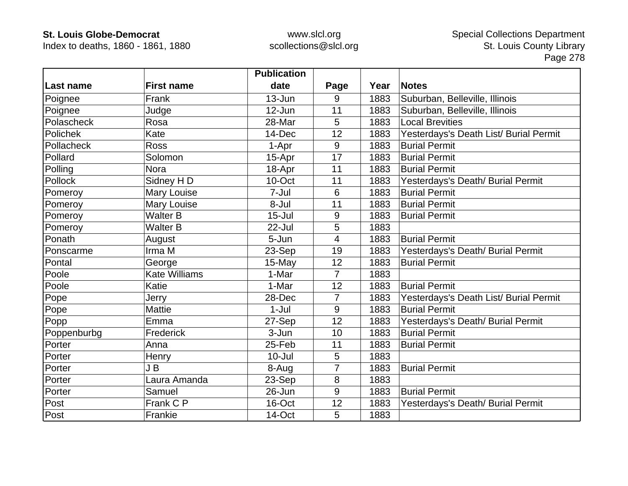Index to deaths, 1860 - 1861, 1880

|                  |                      | <b>Publication</b> |                |      |                                        |
|------------------|----------------------|--------------------|----------------|------|----------------------------------------|
| <b>Last name</b> | <b>First name</b>    | date               | Page           | Year | <b>Notes</b>                           |
| Poignee          | Frank                | 13-Jun             | 9              | 1883 | Suburban, Belleville, Illinois         |
| Poignee          | Judge                | 12-Jun             | 11             | 1883 | Suburban, Belleville, Illinois         |
| Polascheck       | Rosa                 | 28-Mar             | 5              | 1883 | <b>Local Brevities</b>                 |
| Polichek         | Kate                 | 14-Dec             | 12             | 1883 | Yesterdays's Death List/ Burial Permit |
| Pollacheck       | <b>Ross</b>          | 1-Apr              | 9              | 1883 | <b>Burial Permit</b>                   |
| Pollard          | Solomon              | 15-Apr             | 17             | 1883 | <b>Burial Permit</b>                   |
| Polling          | <b>Nora</b>          | 18-Apr             | 11             | 1883 | <b>Burial Permit</b>                   |
| Pollock          | Sidney H D           | 10-Oct             | 11             | 1883 | Yesterdays's Death/ Burial Permit      |
| Pomeroy          | Mary Louise          | 7-Jul              | 6              | 1883 | <b>Burial Permit</b>                   |
| Pomeroy          | Mary Louise          | 8-Jul              | 11             | 1883 | <b>Burial Permit</b>                   |
| Pomeroy          | <b>Walter B</b>      | $15 -$ Jul         | 9              | 1883 | <b>Burial Permit</b>                   |
| Pomeroy          | <b>Walter B</b>      | $22$ -Jul          | 5              | 1883 |                                        |
| Ponath           | August               | 5-Jun              | $\overline{4}$ | 1883 | <b>Burial Permit</b>                   |
| Ponscarme        | Irma M               | 23-Sep             | 19             | 1883 | Yesterdays's Death/ Burial Permit      |
| Pontal           | George               | 15-May             | 12             | 1883 | <b>Burial Permit</b>                   |
| Poole            | <b>Kate Williams</b> | 1-Mar              | $\overline{7}$ | 1883 |                                        |
| Poole            | Katie                | 1-Mar              | 12             | 1883 | <b>Burial Permit</b>                   |
| Pope             | Jerry                | 28-Dec             | $\overline{7}$ | 1883 | Yesterdays's Death List/ Burial Permit |
| Pope             | <b>Mattie</b>        | $1-Jul$            | 9              | 1883 | <b>Burial Permit</b>                   |
| Popp             | Emma                 | 27-Sep             | 12             | 1883 | Yesterdays's Death/ Burial Permit      |
| Poppenburbg      | Frederick            | 3-Jun              | 10             | 1883 | <b>Burial Permit</b>                   |
| Porter           | Anna                 | 25-Feb             | 11             | 1883 | <b>Burial Permit</b>                   |
| Porter           | Henry                | $10 -$ Jul         | 5              | 1883 |                                        |
| Porter           | JB                   | 8-Aug              | $\overline{7}$ | 1883 | <b>Burial Permit</b>                   |
| Porter           | Laura Amanda         | 23-Sep             | 8              | 1883 |                                        |
| Porter           | Samuel               | 26-Jun             | 9              | 1883 | <b>Burial Permit</b>                   |
| Post             | Frank C P            | 16-Oct             | 12             | 1883 | Yesterdays's Death/ Burial Permit      |
| Post             | Frankie              | 14-Oct             | 5              | 1883 |                                        |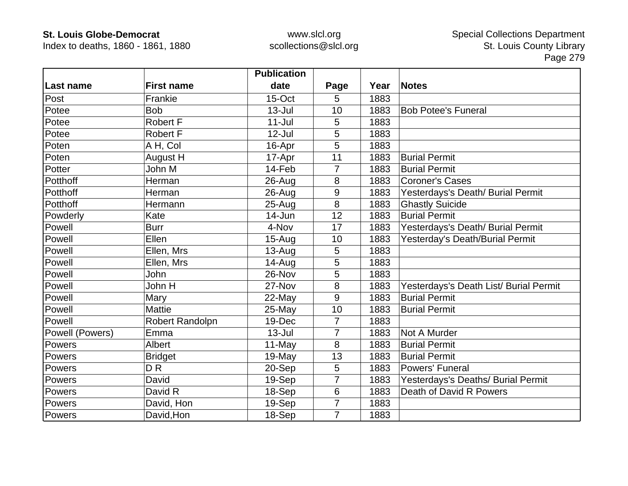Index to deaths, 1860 - 1861, 1880

|                 |                   | <b>Publication</b> |                |      |                                        |
|-----------------|-------------------|--------------------|----------------|------|----------------------------------------|
| Last name       | <b>First name</b> | date               | Page           | Year | <b>Notes</b>                           |
| Post            | Frankie           | 15-Oct             | 5              | 1883 |                                        |
| Potee           | <b>Bob</b>        | $13 -$ Jul         | 10             | 1883 | <b>Bob Potee's Funeral</b>             |
| Potee           | <b>Robert F</b>   | $11 -$ Jul         | 5              | 1883 |                                        |
| Potee           | Robert F          | $12$ -Jul          | 5              | 1883 |                                        |
| Poten           | A H, Col          | 16-Apr             | 5              | 1883 |                                        |
| Poten           | August H          | 17-Apr             | 11             | 1883 | <b>Burial Permit</b>                   |
| Potter          | John M            | 14-Feb             | 7              | 1883 | <b>Burial Permit</b>                   |
| Potthoff        | Herman            | 26-Aug             | 8              | 1883 | <b>Coroner's Cases</b>                 |
| Potthoff        | Herman            | $26 - Aug$         | 9              | 1883 | Yesterdays's Death/ Burial Permit      |
| Potthoff        | Hermann           | 25-Aug             | 8              | 1883 | <b>Ghastly Suicide</b>                 |
| Powderly        | Kate              | 14-Jun             | 12             | 1883 | <b>Burial Permit</b>                   |
| Powell          | <b>Burr</b>       | 4-Nov              | 17             | 1883 | Yesterdays's Death/ Burial Permit      |
| Powell          | Ellen             | $15-Auq$           | 10             | 1883 | Yesterday's Death/Burial Permit        |
| Powell          | Ellen, Mrs        | $13-Aug$           | 5              | 1883 |                                        |
| Powell          | Ellen, Mrs        | $14 - Aug$         | 5              | 1883 |                                        |
| Powell          | John              | 26-Nov             | 5              | 1883 |                                        |
| Powell          | John H            | 27-Nov             | 8              | 1883 | Yesterdays's Death List/ Burial Permit |
| Powell          | Mary              | $22-May$           | 9              | 1883 | <b>Burial Permit</b>                   |
| Powell          | <b>Mattie</b>     | 25-May             | 10             | 1883 | <b>Burial Permit</b>                   |
| Powell          | Robert Randolpn   | 19-Dec             | $\overline{7}$ | 1883 |                                        |
| Powell (Powers) | Emma              | $13 -$ Jul         | $\overline{7}$ | 1883 | Not A Murder                           |
| Powers          | Albert            | 11-May             | 8              | 1883 | <b>Burial Permit</b>                   |
| Powers          | <b>Bridget</b>    | 19-May             | 13             | 1883 | <b>Burial Permit</b>                   |
| Powers          | D <sub>R</sub>    | 20-Sep             | 5              | 1883 | <b>Powers' Funeral</b>                 |
| Powers          | David             | 19-Sep             | 7              | 1883 | Yesterdays's Deaths/ Burial Permit     |
| Powers          | David R           | 18-Sep             | $6\,$          | 1883 | Death of David R Powers                |
| Powers          | David, Hon        | 19-Sep             | $\overline{7}$ | 1883 |                                        |
| Powers          | David, Hon        | 18-Sep             | $\overline{7}$ | 1883 |                                        |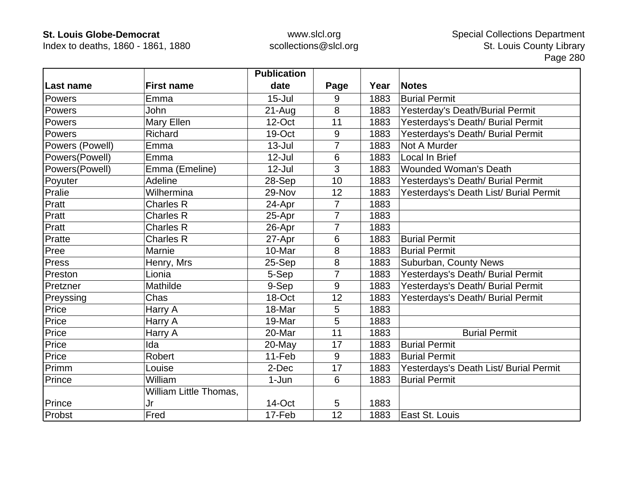Index to deaths, 1860 - 1861, 1880

|                 |                        | <b>Publication</b> |                |      |                                        |
|-----------------|------------------------|--------------------|----------------|------|----------------------------------------|
| Last name       | <b>First name</b>      | date               | Page           | Year | <b>Notes</b>                           |
| Powers          | Emma                   | $15 -$ Jul         | 9              | 1883 | <b>Burial Permit</b>                   |
| Powers          | <b>John</b>            | $21 - Aug$         | 8              | 1883 | Yesterday's Death/Burial Permit        |
| Powers          | Mary Ellen             | 12-Oct             | 11             | 1883 | Yesterdays's Death/ Burial Permit      |
| Powers          | Richard                | 19-Oct             | 9              | 1883 | Yesterdays's Death/ Burial Permit      |
| Powers (Powell) | Emma                   | $13 -$ Jul         | 7              | 1883 | Not A Murder                           |
| Powers(Powell)  | Emma                   | $12$ -Jul          | 6              | 1883 | Local In Brief                         |
| Powers(Powell)  | Emma (Emeline)         | $12$ -Jul          | 3              | 1883 | <b>Wounded Woman's Death</b>           |
| Poyuter         | Adeline                | 28-Sep             | 10             | 1883 | Yesterdays's Death/ Burial Permit      |
| Pralie          | Wilhermina             | 29-Nov             | 12             | 1883 | Yesterdays's Death List/ Burial Permit |
| Pratt           | <b>Charles R</b>       | 24-Apr             | $\overline{7}$ | 1883 |                                        |
| Pratt           | <b>Charles R</b>       | 25-Apr             | 7              | 1883 |                                        |
| Pratt           | <b>Charles R</b>       | 26-Apr             | 7              | 1883 |                                        |
| Pratte          | <b>Charles R</b>       | 27-Apr             | $6\phantom{1}$ | 1883 | <b>Burial Permit</b>                   |
| Pree            | Marnie                 | 10-Mar             | 8              | 1883 | <b>Burial Permit</b>                   |
| Press           | Henry, Mrs             | $25-Sep$           | 8              | 1883 | Suburban, County News                  |
| Preston         | Lionia                 | 5-Sep              | 7              | 1883 | Yesterdays's Death/ Burial Permit      |
| Pretzner        | Mathilde               | 9-Sep              | 9              | 1883 | Yesterdays's Death/ Burial Permit      |
| Preyssing       | Chas                   | 18-Oct             | 12             | 1883 | Yesterdays's Death/ Burial Permit      |
| Price           | Harry A                | 18-Mar             | 5              | 1883 |                                        |
| Price           | Harry A                | 19-Mar             | 5              | 1883 |                                        |
| Price           | Harry A                | 20-Mar             | 11             | 1883 | <b>Burial Permit</b>                   |
| Price           | Ida                    | 20-May             | 17             | 1883 | <b>Burial Permit</b>                   |
| Price           | <b>Robert</b>          | 11-Feb             | 9              | 1883 | <b>Burial Permit</b>                   |
| Primm           | Louise                 | 2-Dec              | 17             | 1883 | Yesterdays's Death List/ Burial Permit |
| Prince          | William                | 1-Jun              | $6\phantom{1}$ | 1883 | <b>Burial Permit</b>                   |
|                 | William Little Thomas, |                    |                |      |                                        |
| Prince          | Jr                     | 14-Oct             | 5              | 1883 |                                        |
| Probst          | Fred                   | 17-Feb             | 12             | 1883 | East St. Louis                         |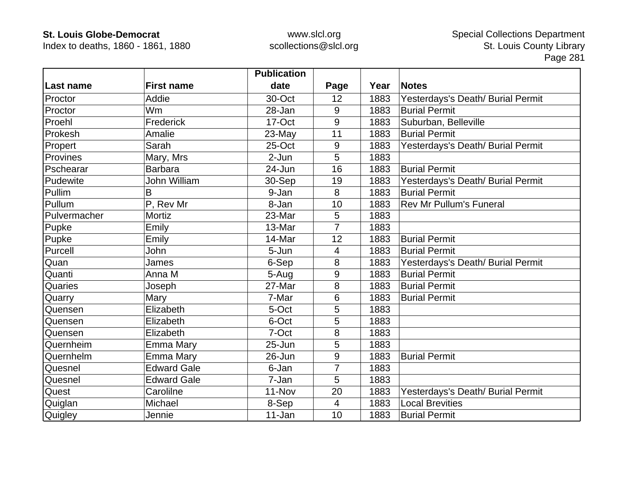Index to deaths, 1860 - 1861, 1880

|              |                     | <b>Publication</b> |                          |      |                                   |
|--------------|---------------------|--------------------|--------------------------|------|-----------------------------------|
| Last name    | <b>First name</b>   | date               | Page                     | Year | <b>Notes</b>                      |
| Proctor      | Addie               | 30-Oct             | 12                       | 1883 | Yesterdays's Death/ Burial Permit |
| Proctor      | Wm                  | 28-Jan             | 9                        | 1883 | <b>Burial Permit</b>              |
| Proehl       | Frederick           | 17-Oct             | 9                        | 1883 | Suburban, Belleville              |
| Prokesh      | Amalie              | 23-May             | 11                       | 1883 | <b>Burial Permit</b>              |
| Propert      | Sarah               | 25-Oct             | 9                        | 1883 | Yesterdays's Death/ Burial Permit |
| Provines     | Mary, Mrs           | $2-Jun$            | 5                        | 1883 |                                   |
| Pschearar    | <b>Barbara</b>      | 24-Jun             | 16                       | 1883 | <b>Burial Permit</b>              |
| Pudewite     | <b>John William</b> | 30-Sep             | 19                       | 1883 | Yesterdays's Death/ Burial Permit |
| Pullim       | B                   | 9-Jan              | 8                        | 1883 | <b>Burial Permit</b>              |
| Pullum       | P, Rev Mr           | 8-Jan              | 10                       | 1883 | <b>Rev Mr Pullum's Funeral</b>    |
| Pulvermacher | Mortiz              | 23-Mar             | 5                        | 1883 |                                   |
| Pupke        | Emily               | 13-Mar             | 7                        | 1883 |                                   |
| Pupke        | Emily               | 14-Mar             | 12                       | 1883 | <b>Burial Permit</b>              |
| Purcell      | John                | 5-Jun              | 4                        | 1883 | <b>Burial Permit</b>              |
| Quan         | James               | 6-Sep              | 8                        | 1883 | Yesterdays's Death/ Burial Permit |
| Quanti       | Anna M              | 5-Aug              | 9                        | 1883 | <b>Burial Permit</b>              |
| Quaries      | Joseph              | 27-Mar             | 8                        | 1883 | <b>Burial Permit</b>              |
| Quarry       | Mary                | 7-Mar              | 6                        | 1883 | <b>Burial Permit</b>              |
| Quensen      | Elizabeth           | 5-Oct              | 5                        | 1883 |                                   |
| Quensen      | Elizabeth           | 6-Oct              | 5                        | 1883 |                                   |
| Quensen      | Elizabeth           | 7-Oct              | 8                        | 1883 |                                   |
| Quernheim    | Emma Mary           | $25 - Jun$         | 5                        | 1883 |                                   |
| Quernhelm    | Emma Mary           | 26-Jun             | 9                        | 1883 | <b>Burial Permit</b>              |
| Quesnel      | <b>Edward Gale</b>  | 6-Jan              | 7                        | 1883 |                                   |
| Quesnel      | <b>Edward Gale</b>  | 7-Jan              | 5                        | 1883 |                                   |
| Quest        | Carolilne           | 11-Nov             | 20                       | 1883 | Yesterdays's Death/ Burial Permit |
| Quiglan      | Michael             | 8-Sep              | $\overline{\mathcal{A}}$ | 1883 | <b>Local Brevities</b>            |
| Quigley      | Jennie              | 11-Jan             | 10                       | 1883 | <b>Burial Permit</b>              |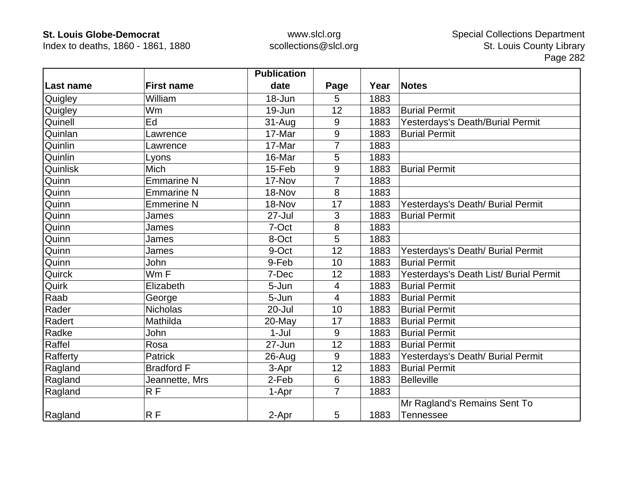Index to deaths, 1860 - 1861, 1880

|           |                   | <b>Publication</b> |                  |      |                                        |
|-----------|-------------------|--------------------|------------------|------|----------------------------------------|
| Last name | <b>First name</b> | date               | Page             | Year | <b>Notes</b>                           |
| Quigley   | William           | 18-Jun             | 5                | 1883 |                                        |
| Quigley   | Wm                | 19-Jun             | 12               | 1883 | <b>Burial Permit</b>                   |
| Quinell   | Ed                | $31 - Aug$         | 9                | 1883 | Yesterdays's Death/Burial Permit       |
| Quinlan   | Lawrence          | 17-Mar             | $\boldsymbol{9}$ | 1883 | <b>Burial Permit</b>                   |
| Quinlin   | Lawrence          | 17-Mar             | 7                | 1883 |                                        |
| Quinlin   | Lyons             | 16-Mar             | 5                | 1883 |                                        |
| Quinlisk  | Mich              | 15-Feb             | 9                | 1883 | <b>Burial Permit</b>                   |
| Quinn     | <b>Emmarine N</b> | 17-Nov             | 7                | 1883 |                                        |
| Quinn     | <b>Emmarine N</b> | 18-Nov             | 8                | 1883 |                                        |
| Quinn     | <b>Emmerine N</b> | 18-Nov             | 17               | 1883 | Yesterdays's Death/ Burial Permit      |
| Quinn     | James             | 27-Jul             | 3                | 1883 | <b>Burial Permit</b>                   |
| Quinn     | James             | 7-Oct              | 8                | 1883 |                                        |
| Quinn     | James             | 8-Oct              | 5                | 1883 |                                        |
| Quinn     | James             | 9-Oct              | 12               | 1883 | Yesterdays's Death/ Burial Permit      |
| Quinn     | John              | 9-Feb              | 10               | 1883 | <b>Burial Permit</b>                   |
| Quirck    | Wm F              | 7-Dec              | 12               | 1883 | Yesterdays's Death List/ Burial Permit |
| Quirk     | Elizabeth         | 5-Jun              | $\overline{4}$   | 1883 | <b>Burial Permit</b>                   |
| Raab      | George            | 5-Jun              | $\overline{4}$   | 1883 | <b>Burial Permit</b>                   |
| Rader     | <b>Nicholas</b>   | 20-Jul             | 10               | 1883 | <b>Burial Permit</b>                   |
| Radert    | Mathilda          | 20-May             | 17               | 1883 | <b>Burial Permit</b>                   |
| Radke     | John              | $1-Jul$            | 9                | 1883 | <b>Burial Permit</b>                   |
| Raffel    | Rosa              | 27-Jun             | 12               | 1883 | <b>Burial Permit</b>                   |
| Rafferty  | <b>Patrick</b>    | 26-Aug             | 9                | 1883 | Yesterdays's Death/ Burial Permit      |
| Ragland   | <b>Bradford F</b> | 3-Apr              | 12               | 1883 | <b>Burial Permit</b>                   |
| Ragland   | Jeannette, Mrs    | 2-Feb              | $6\,$            | 1883 | <b>Belleville</b>                      |
| Ragland   | R F               | 1-Apr              | $\overline{7}$   | 1883 |                                        |
|           |                   |                    |                  |      | Mr Ragland's Remains Sent To           |
| Ragland   | RF                | 2-Apr              | 5                | 1883 | <b>Tennessee</b>                       |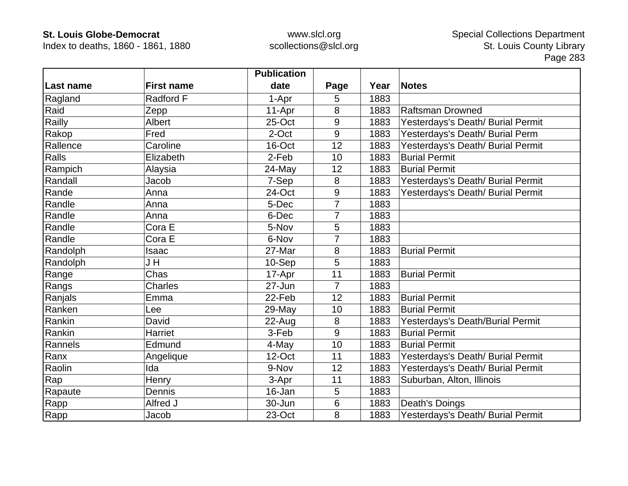Index to deaths, 1860 - 1861, 1880

|           |                   | <b>Publication</b> |                |      |                                   |
|-----------|-------------------|--------------------|----------------|------|-----------------------------------|
| Last name | <b>First name</b> | date               | Page           | Year | <b>Notes</b>                      |
| Ragland   | Radford F         | 1-Apr              | 5              | 1883 |                                   |
| Raid      | Zepp              | 11-Apr             | 8              | 1883 | <b>Raftsman Drowned</b>           |
| Railly    | Albert            | 25-Oct             | 9              | 1883 | Yesterdays's Death/ Burial Permit |
| Rakop     | Fred              | 2-Oct              | 9              | 1883 | Yesterdays's Death/ Burial Perm   |
| Rallence  | Caroline          | 16-Oct             | 12             | 1883 | Yesterdays's Death/ Burial Permit |
| Ralls     | Elizabeth         | 2-Feb              | 10             | 1883 | <b>Burial Permit</b>              |
| Rampich   | Alaysia           | 24-May             | 12             | 1883 | <b>Burial Permit</b>              |
| Randall   | Jacob             | 7-Sep              | 8              | 1883 | Yesterdays's Death/ Burial Permit |
| Rande     | Anna              | 24-Oct             | 9              | 1883 | Yesterdays's Death/ Burial Permit |
| Randle    | Anna              | 5-Dec              | $\overline{7}$ | 1883 |                                   |
| Randle    | Anna              | 6-Dec              | 7              | 1883 |                                   |
| Randle    | Cora E            | 5-Nov              | 5              | 1883 |                                   |
| Randle    | Cora E            | 6-Nov              |                | 1883 |                                   |
| Randolph  | Isaac             | 27-Mar             | 8              | 1883 | <b>Burial Permit</b>              |
| Randolph  | J H               | 10-Sep             | 5              | 1883 |                                   |
| Range     | Chas              | 17-Apr             | 11             | 1883 | <b>Burial Permit</b>              |
| Rangs     | Charles           | 27-Jun             | $\overline{7}$ | 1883 |                                   |
| Ranjals   | Emma              | 22-Feb             | 12             | 1883 | <b>Burial Permit</b>              |
| Ranken    | Lee               | 29-May             | 10             | 1883 | <b>Burial Permit</b>              |
| Rankin    | David             | 22-Aug             | 8              | 1883 | Yesterdays's Death/Burial Permit  |
| Rankin    | Harriet           | 3-Feb              | 9              | 1883 | <b>Burial Permit</b>              |
| Rannels   | Edmund            | 4-May              | 10             | 1883 | <b>Burial Permit</b>              |
| Ranx      | Angelique         | 12-Oct             | 11             | 1883 | Yesterdays's Death/ Burial Permit |
| Raolin    | Ida               | 9-Nov              | 12             | 1883 | Yesterdays's Death/ Burial Permit |
| Rap       | Henry             | 3-Apr              | 11             | 1883 | Suburban, Alton, Illinois         |
| Rapaute   | Dennis            | 16-Jan             | 5              | 1883 |                                   |
| Rapp      | Alfred J          | 30-Jun             | 6              | 1883 | Death's Doings                    |
| Rapp      | Jacob             | 23-Oct             | 8              | 1883 | Yesterdays's Death/ Burial Permit |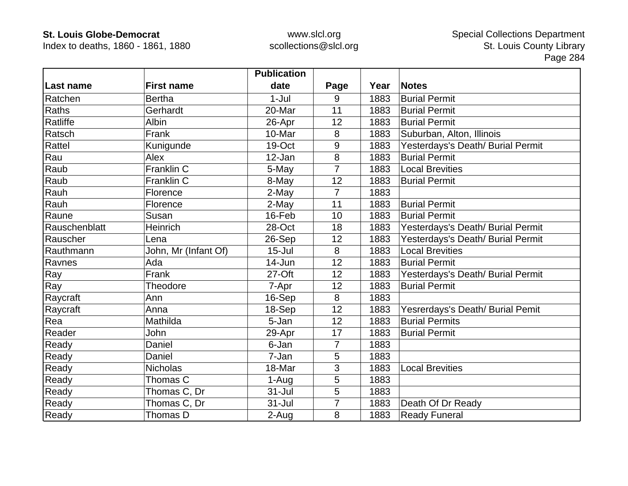Index to deaths, 1860 - 1861, 1880

|               |                      | <b>Publication</b> |                |      |                                   |
|---------------|----------------------|--------------------|----------------|------|-----------------------------------|
| Last name     | <b>First name</b>    | date               | Page           | Year | <b>Notes</b>                      |
| Ratchen       | <b>Bertha</b>        | $1-Jul$            | 9              | 1883 | <b>Burial Permit</b>              |
| Raths         | Gerhardt             | 20-Mar             | 11             | 1883 | <b>Burial Permit</b>              |
| Ratliffe      | Albin                | 26-Apr             | 12             | 1883 | <b>Burial Permit</b>              |
| Ratsch        | Frank                | 10-Mar             | 8              | 1883 | Suburban, Alton, Illinois         |
| Rattel        | Kunigunde            | 19-Oct             | 9              | 1883 | Yesterdays's Death/ Burial Permit |
| Rau           | Alex                 | 12-Jan             | 8              | 1883 | <b>Burial Permit</b>              |
| Raub          | Franklin C           | 5-May              | $\overline{7}$ | 1883 | <b>Local Brevities</b>            |
| Raub          | Franklin C           | 8-May              | 12             | 1883 | <b>Burial Permit</b>              |
| Rauh          | Florence             | 2-May              | $\overline{7}$ | 1883 |                                   |
| Rauh          | Florence             | 2-May              | 11             | 1883 | <b>Burial Permit</b>              |
| Raune         | Susan                | 16-Feb             | 10             | 1883 | <b>Burial Permit</b>              |
| Rauschenblatt | Heinrich             | 28-Oct             | 18             | 1883 | Yesterdays's Death/ Burial Permit |
| Rauscher      | Lena                 | 26-Sep             | 12             | 1883 | Yesterdays's Death/ Burial Permit |
| Rauthmann     | John, Mr (Infant Of) | $15 -$ Jul         | 8              | 1883 | <b>Local Brevities</b>            |
| Ravnes        | Ada                  | 14-Jun             | 12             | 1883 | <b>Burial Permit</b>              |
| Ray           | Frank                | $27-Off$           | 12             | 1883 | Yesterdays's Death/ Burial Permit |
| Ray           | Theodore             | 7-Apr              | 12             | 1883 | <b>Burial Permit</b>              |
| Raycraft      | Ann                  | 16-Sep             | 8              | 1883 |                                   |
| Raycraft      | Anna                 | 18-Sep             | 12             | 1883 | Yesrerdays's Death/ Burial Pemit  |
| Rea           | Mathilda             | 5-Jan              | 12             | 1883 | <b>Burial Permits</b>             |
| Reader        | John                 | 29-Apr             | 17             | 1883 | <b>Burial Permit</b>              |
| Ready         | Daniel               | 6-Jan              | $\overline{7}$ | 1883 |                                   |
| Ready         | Daniel               | 7-Jan              | 5              | 1883 |                                   |
| Ready         | <b>Nicholas</b>      | 18-Mar             | 3              | 1883 | <b>Local Brevities</b>            |
| Ready         | Thomas C             | 1-Aug              | 5              | 1883 |                                   |
| Ready         | Thomas C, Dr         | 31-Jul             | 5              | 1883 |                                   |
| Ready         | Thomas C, Dr         | $31 -$ Jul         | $\overline{7}$ | 1883 | Death Of Dr Ready                 |
| Ready         | Thomas D             | 2-Aug              | 8              | 1883 | <b>Ready Funeral</b>              |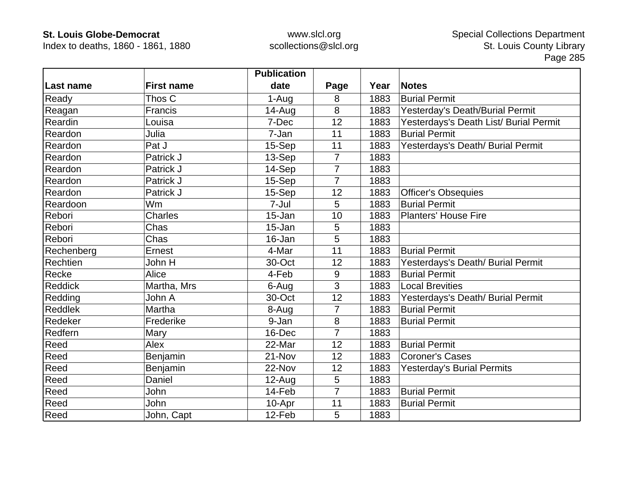Index to deaths, 1860 - 1861, 1880

|                |                   | <b>Publication</b> |                |      |                                        |
|----------------|-------------------|--------------------|----------------|------|----------------------------------------|
| Last name      | <b>First name</b> | date               | Page           | Year | <b>Notes</b>                           |
| Ready          | Thos C            | 1-Aug              | 8              | 1883 | <b>Burial Permit</b>                   |
| Reagan         | Francis           | 14-Aug             | 8              | 1883 | Yesterday's Death/Burial Permit        |
| Reardin        | Louisa            | 7-Dec              | 12             | 1883 | Yesterdays's Death List/ Burial Permit |
| Reardon        | Julia             | 7-Jan              | 11             | 1883 | <b>Burial Permit</b>                   |
| Reardon        | Pat J             | 15-Sep             | 11             | 1883 | Yesterdays's Death/ Burial Permit      |
| Reardon        | Patrick J         | 13-Sep             | $\overline{7}$ | 1883 |                                        |
| Reardon        | Patrick J         | 14-Sep             | 7              | 1883 |                                        |
| Reardon        | Patrick J         | 15-Sep             | $\overline{7}$ | 1883 |                                        |
| Reardon        | Patrick J         | 15-Sep             | 12             | 1883 | <b>Officer's Obsequies</b>             |
| Reardoon       | <b>Wm</b>         | 7-Jul              | 5              | 1883 | <b>Burial Permit</b>                   |
| Rebori         | <b>Charles</b>    | 15-Jan             | 10             | 1883 | <b>Planters' House Fire</b>            |
| Rebori         | Chas              | 15-Jan             | 5              | 1883 |                                        |
| Rebori         | Chas              | 16-Jan             | 5              | 1883 |                                        |
| Rechenberg     | Ernest            | 4-Mar              | 11             | 1883 | <b>Burial Permit</b>                   |
| Rechtien       | John H            | 30-Oct             | 12             | 1883 | Yesterdays's Death/ Burial Permit      |
| Recke          | Alice             | 4-Feb              | 9              | 1883 | <b>Burial Permit</b>                   |
| <b>Reddick</b> | Martha, Mrs       | 6-Aug              | 3              | 1883 | <b>Local Brevities</b>                 |
| Redding        | John A            | 30-Oct             | 12             | 1883 | Yesterdays's Death/ Burial Permit      |
| <b>Reddlek</b> | Martha            | 8-Aug              | $\overline{7}$ | 1883 | <b>Burial Permit</b>                   |
| Redeker        | Frederike         | 9-Jan              | 8              | 1883 | <b>Burial Permit</b>                   |
| Redfern        | Mary              | 16-Dec             | $\overline{7}$ | 1883 |                                        |
| Reed           | Alex              | 22-Mar             | 12             | 1883 | <b>Burial Permit</b>                   |
| Reed           | Benjamin          | 21-Nov             | 12             | 1883 | <b>Coroner's Cases</b>                 |
| Reed           | Benjamin          | 22-Nov             | 12             | 1883 | <b>Yesterday's Burial Permits</b>      |
| Reed           | Daniel            | 12-Aug             | 5              | 1883 |                                        |
| Reed           | John              | 14-Feb             | $\overline{7}$ | 1883 | <b>Burial Permit</b>                   |
| Reed           | John              | 10-Apr             | 11             | 1883 | <b>Burial Permit</b>                   |
| Reed           | John, Capt        | 12-Feb             | 5              | 1883 |                                        |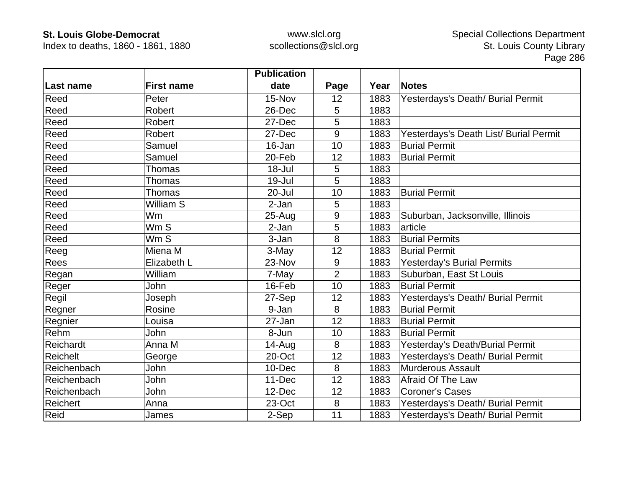Index to deaths, 1860 - 1861, 1880

|                 |                   | <b>Publication</b> |                |      |                                        |
|-----------------|-------------------|--------------------|----------------|------|----------------------------------------|
| Last name       | <b>First name</b> | date               | Page           | Year | <b>Notes</b>                           |
| Reed            | Peter             | 15-Nov             | 12             | 1883 | Yesterdays's Death/ Burial Permit      |
| Reed            | Robert            | 26-Dec             | 5              | 1883 |                                        |
| Reed            | Robert            | 27-Dec             | 5              | 1883 |                                        |
| Reed            | Robert            | 27-Dec             | 9              | 1883 | Yesterdays's Death List/ Burial Permit |
| Reed            | Samuel            | 16-Jan             | 10             | 1883 | <b>Burial Permit</b>                   |
| Reed            | Samuel            | 20-Feb             | 12             | 1883 | <b>Burial Permit</b>                   |
| Reed            | <b>Thomas</b>     | 18-Jul             | 5              | 1883 |                                        |
| Reed            | <b>Thomas</b>     | 19-Jul             | 5              | 1883 |                                        |
| Reed            | <b>Thomas</b>     | 20-Jul             | 10             | 1883 | <b>Burial Permit</b>                   |
| Reed            | William S         | 2-Jan              | 5              | 1883 |                                        |
| Reed            | Wm                | $25 - Aug$         | 9              | 1883 | Suburban, Jacksonville, Illinois       |
| Reed            | Wm S              | 2-Jan              | 5              | 1883 | article                                |
| Reed            | Wm S              | 3-Jan              | 8              | 1883 | <b>Burial Permits</b>                  |
| Reeg            | Miena M           | 3-May              | 12             | 1883 | <b>Burial Permit</b>                   |
| Rees            | Elizabeth L       | 23-Nov             | 9              | 1883 | <b>Yesterday's Burial Permits</b>      |
| Regan           | William           | 7-May              | $\overline{2}$ | 1883 | Suburban, East St Louis                |
| Reger           | John              | 16-Feb             | 10             | 1883 | <b>Burial Permit</b>                   |
| Regil           | Joseph            | 27-Sep             | 12             | 1883 | Yesterdays's Death/ Burial Permit      |
| Regner          | Rosine            | 9-Jan              | 8              | 1883 | <b>Burial Permit</b>                   |
| Regnier         | Louisa            | 27-Jan             | 12             | 1883 | <b>Burial Permit</b>                   |
| Rehm            | John              | 8-Jun              | 10             | 1883 | <b>Burial Permit</b>                   |
| Reichardt       | Anna M            | $14 - Aug$         | 8              | 1883 | Yesterday's Death/Burial Permit        |
| <b>Reichelt</b> | George            | 20-Oct             | 12             | 1883 | Yesterdays's Death/ Burial Permit      |
| Reichenbach     | John              | 10-Dec             | 8              | 1883 | <b>Murderous Assault</b>               |
| Reichenbach     | John              | $11-Dec$           | 12             | 1883 | Afraid Of The Law                      |
| Reichenbach     | John              | 12-Dec             | 12             | 1883 | <b>Coroner's Cases</b>                 |
| Reichert        | Anna              | 23-Oct             | 8              | 1883 | Yesterdays's Death/ Burial Permit      |
| Reid            | James             | 2-Sep              | 11             | 1883 | Yesterdays's Death/ Burial Permit      |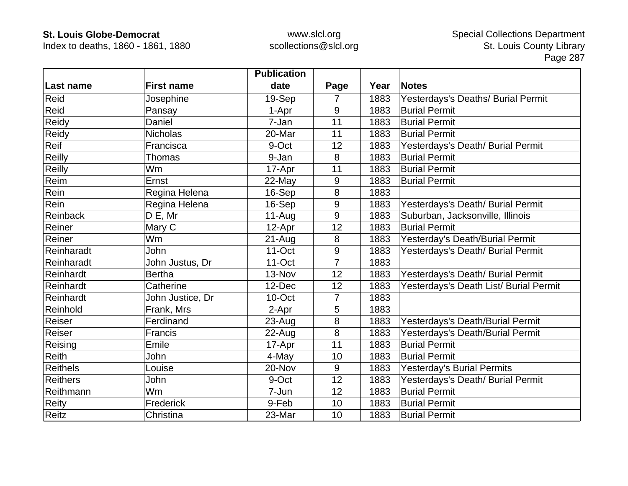Index to deaths, 1860 - 1861, 1880

|                 |                   | <b>Publication</b> |                |      |                                        |
|-----------------|-------------------|--------------------|----------------|------|----------------------------------------|
| Last name       | <b>First name</b> | date               | Page           | Year | <b>Notes</b>                           |
| Reid            | Josephine         | 19-Sep             | 7              | 1883 | Yesterdays's Deaths/ Burial Permit     |
| Reid            | Pansay            | 1-Apr              | 9              | 1883 | <b>Burial Permit</b>                   |
| Reidy           | Daniel            | 7-Jan              | 11             | 1883 | <b>Burial Permit</b>                   |
| Reidy           | <b>Nicholas</b>   | 20-Mar             | 11             | 1883 | <b>Burial Permit</b>                   |
| Reif            | Francisca         | 9-Oct              | 12             | 1883 | Yesterdays's Death/ Burial Permit      |
| Reilly          | Thomas            | 9-Jan              | 8              | 1883 | <b>Burial Permit</b>                   |
| Reilly          | <b>Wm</b>         | 17-Apr             | 11             | 1883 | <b>Burial Permit</b>                   |
| Reim            | Ernst             | 22-May             | 9              | 1883 | <b>Burial Permit</b>                   |
| Rein            | Regina Helena     | 16-Sep             | 8              | 1883 |                                        |
| Rein            | Regina Helena     | 16-Sep             | 9              | 1883 | Yesterdays's Death/ Burial Permit      |
| <b>Reinback</b> | $D E$ , Mr        | $11-Aug$           | 9              | 1883 | Suburban, Jacksonville, Illinois       |
| Reiner          | Mary C            | 12-Apr             | 12             | 1883 | <b>Burial Permit</b>                   |
| Reiner          | Wm                | $21 - Aug$         | 8              | 1883 | Yesterday's Death/Burial Permit        |
| Reinharadt      | John              | $11$ -Oct          | 9              | 1883 | Yesterdays's Death/ Burial Permit      |
| Reinharadt      | John Justus, Dr   | $11-Oct$           | 7              | 1883 |                                        |
| Reinhardt       | <b>Bertha</b>     | 13-Nov             | 12             | 1883 | Yesterdays's Death/ Burial Permit      |
| Reinhardt       | Catherine         | 12-Dec             | 12             | 1883 | Yesterdays's Death List/ Burial Permit |
| Reinhardt       | John Justice, Dr  | 10-Oct             | $\overline{7}$ | 1883 |                                        |
| Reinhold        | Frank, Mrs        | 2-Apr              | 5              | 1883 |                                        |
| Reiser          | Ferdinand         | $23 - Aug$         | 8              | 1883 | Yesterdays's Death/Burial Permit       |
| Reiser          | Francis           | $22$ -Aug          | $\bf 8$        | 1883 | Yesterdays's Death/Burial Permit       |
| Reising         | Emile             | 17-Apr             | 11             | 1883 | <b>Burial Permit</b>                   |
| <b>Reith</b>    | John              | 4-May              | 10             | 1883 | <b>Burial Permit</b>                   |
| <b>Reithels</b> | Louise            | 20-Nov             | 9              | 1883 | <b>Yesterday's Burial Permits</b>      |
| <b>Reithers</b> | John              | 9-Oct              | 12             | 1883 | Yesterdays's Death/ Burial Permit      |
| Reithmann       | Wm                | 7-Jun              | 12             | 1883 | <b>Burial Permit</b>                   |
| Reity           | Frederick         | 9-Feb              | 10             | 1883 | <b>Burial Permit</b>                   |
| <b>Reitz</b>    | Christina         | 23-Mar             | 10             | 1883 | <b>Burial Permit</b>                   |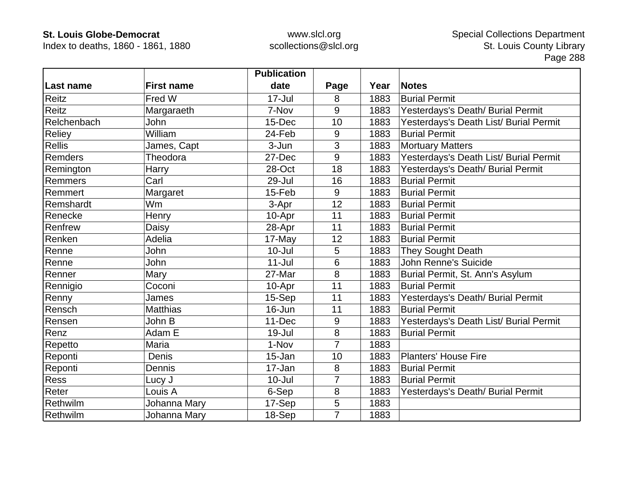Index to deaths, 1860 - 1861, 1880

|               |                   | <b>Publication</b> |                |      |                                        |
|---------------|-------------------|--------------------|----------------|------|----------------------------------------|
| Last name     | <b>First name</b> | date               | Page           | Year | <b>Notes</b>                           |
| Reitz         | Fred W            | $17 -$ Jul         | 8              | 1883 | <b>Burial Permit</b>                   |
| Reitz         | Margaraeth        | 7-Nov              | 9              | 1883 | Yesterdays's Death/ Burial Permit      |
| Relchenbach   | John              | 15-Dec             | 10             | 1883 | Yesterdays's Death List/ Burial Permit |
| Reliey        | William           | 24-Feb             | 9              | 1883 | <b>Burial Permit</b>                   |
| <b>Rellis</b> | James, Capt       | 3-Jun              | 3              | 1883 | <b>Mortuary Matters</b>                |
| Remders       | Theodora          | 27-Dec             | 9              | 1883 | Yesterdays's Death List/ Burial Permit |
| Remington     | Harry             | 28-Oct             | 18             | 1883 | Yesterdays's Death/ Burial Permit      |
| Remmers       | Carl              | 29-Jul             | 16             | 1883 | <b>Burial Permit</b>                   |
| Remmert       | Margaret          | 15-Feb             | 9              | 1883 | <b>Burial Permit</b>                   |
| Remshardt     | <b>Wm</b>         | 3-Apr              | 12             | 1883 | <b>Burial Permit</b>                   |
| Renecke       | Henry             | 10-Apr             | 11             | 1883 | <b>Burial Permit</b>                   |
| Renfrew       | Daisy             | 28-Apr             | 11             | 1883 | <b>Burial Permit</b>                   |
| Renken        | Adelia            | 17-May             | 12             | 1883 | <b>Burial Permit</b>                   |
| Renne         | John              | $10 -$ Jul         | 5              | 1883 | They Sought Death                      |
| Renne         | John              | $11 -$ Jul         | 6              | 1883 | <b>John Renne's Suicide</b>            |
| Renner        | Mary              | 27-Mar             | 8              | 1883 | Burial Permit, St. Ann's Asylum        |
| Rennigio      | Coconi            | 10-Apr             | 11             | 1883 | <b>Burial Permit</b>                   |
| Renny         | James             | 15-Sep             | 11             | 1883 | Yesterdays's Death/ Burial Permit      |
| Rensch        | <b>Matthias</b>   | 16-Jun             | 11             | 1883 | <b>Burial Permit</b>                   |
| Rensen        | John B            | 11-Dec             | 9              | 1883 | Yesterdays's Death List/ Burial Permit |
| Renz          | Adam E            | 19-Jul             | 8              | 1883 | <b>Burial Permit</b>                   |
| Repetto       | Maria             | 1-Nov              | $\overline{7}$ | 1883 |                                        |
| Reponti       | Denis             | 15-Jan             | 10             | 1883 | <b>Planters' House Fire</b>            |
| Reponti       | <b>Dennis</b>     | 17-Jan             | 8              | 1883 | <b>Burial Permit</b>                   |
| Ress          | Lucy J            | $10 -$ Jul         | 7              | 1883 | <b>Burial Permit</b>                   |
| Reter         | Louis A           | 6-Sep              | 8              | 1883 | Yesterdays's Death/ Burial Permit      |
| Rethwilm      | Johanna Mary      | 17-Sep             | 5              | 1883 |                                        |
| Rethwilm      | Johanna Mary      | 18-Sep             | $\overline{7}$ | 1883 |                                        |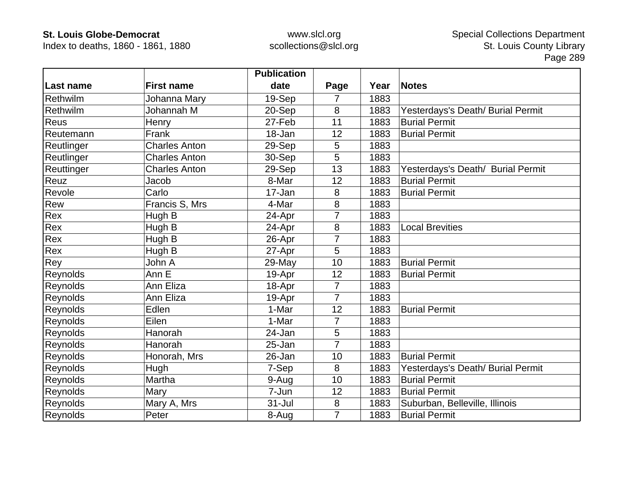Index to deaths, 1860 - 1861, 1880

|                 |                      | <b>Publication</b> |                |      |                                   |
|-----------------|----------------------|--------------------|----------------|------|-----------------------------------|
| Last name       | <b>First name</b>    | date               | Page           | Year | <b>Notes</b>                      |
| Rethwilm        | Johanna Mary         | 19-Sep             | 7              | 1883 |                                   |
| Rethwilm        | Johannah M           | 20-Sep             | 8              | 1883 | Yesterdays's Death/ Burial Permit |
| Reus            | Henry                | 27-Feb             | 11             | 1883 | <b>Burial Permit</b>              |
| Reutemann       | Frank                | 18-Jan             | 12             | 1883 | <b>Burial Permit</b>              |
| Reutlinger      | <b>Charles Anton</b> | 29-Sep             | 5              | 1883 |                                   |
| Reutlinger      | <b>Charles Anton</b> | 30-Sep             | 5              | 1883 |                                   |
| Reuttinger      | <b>Charles Anton</b> | 29-Sep             | 13             | 1883 | Yesterdays's Death/ Burial Permit |
| Reuz            | Jacob                | 8-Mar              | 12             | 1883 | <b>Burial Permit</b>              |
| Revole          | Carlo                | 17-Jan             | 8              | 1883 | <b>Burial Permit</b>              |
| Rew             | Francis S, Mrs       | 4-Mar              | 8              | 1883 |                                   |
| Rex             | Hugh B               | 24-Apr             |                | 1883 |                                   |
| Rex             | Hugh B               | 24-Apr             | 8              | 1883 | <b>Local Brevities</b>            |
| Rex             | Hugh B               | 26-Apr             | 7              | 1883 |                                   |
| Rex             | Hugh B               | 27-Apr             | 5              | 1883 |                                   |
| Rey             | John A               | 29-May             | 10             | 1883 | <b>Burial Permit</b>              |
| Reynolds        | Ann E                | 19-Apr             | 12             | 1883 | <b>Burial Permit</b>              |
| Reynolds        | Ann Eliza            | 18-Apr             | $\overline{7}$ | 1883 |                                   |
| Reynolds        | Ann Eliza            | 19-Apr             | $\overline{7}$ | 1883 |                                   |
| Reynolds        | Edlen                | 1-Mar              | 12             | 1883 | <b>Burial Permit</b>              |
| Reynolds        | Eilen                | 1-Mar              | $\overline{7}$ | 1883 |                                   |
| Reynolds        | Hanorah              | 24-Jan             | 5              | 1883 |                                   |
| Reynolds        | Hanorah              | 25-Jan             | $\overline{7}$ | 1883 |                                   |
| Reynolds        | Honorah, Mrs         | 26-Jan             | 10             | 1883 | <b>Burial Permit</b>              |
| Reynolds        | Hugh                 | 7-Sep              | 8              | 1883 | Yesterdays's Death/ Burial Permit |
| Reynolds        | Martha               | 9-Aug              | 10             | 1883 | <b>Burial Permit</b>              |
| <b>Reynolds</b> | Mary                 | 7-Jun              | 12             | 1883 | <b>Burial Permit</b>              |
| Reynolds        | Mary A, Mrs          | $31 -$ Jul         | 8              | 1883 | Suburban, Belleville, Illinois    |
| Reynolds        | Peter                | 8-Aug              | $\overline{7}$ | 1883 | <b>Burial Permit</b>              |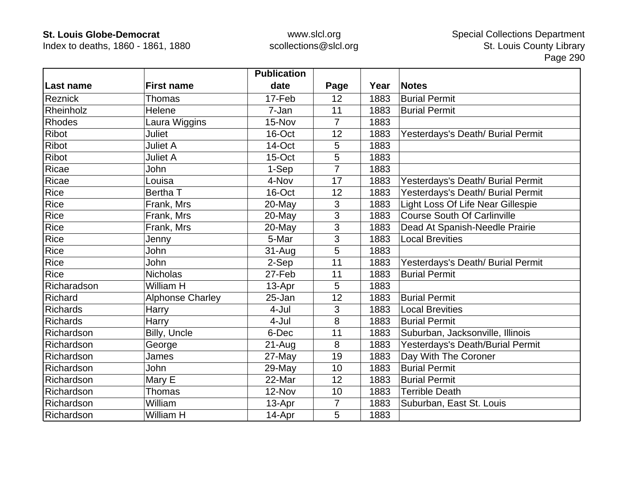Index to deaths, 1860 - 1861, 1880

|                 |                         | <b>Publication</b> |                |      |                                    |
|-----------------|-------------------------|--------------------|----------------|------|------------------------------------|
| Last name       | <b>First name</b>       | date               | Page           | Year | <b>Notes</b>                       |
| Reznick         | Thomas                  | 17-Feb             | 12             | 1883 | <b>Burial Permit</b>               |
| Rheinholz       | Helene                  | 7-Jan              | 11             | 1883 | <b>Burial Permit</b>               |
| <b>Rhodes</b>   | Laura Wiggins           | 15-Nov             | $\overline{7}$ | 1883 |                                    |
| <b>Ribot</b>    | <b>Juliet</b>           | 16-Oct             | 12             | 1883 | Yesterdays's Death/ Burial Permit  |
| <b>Ribot</b>    | <b>Juliet A</b>         | 14-Oct             | 5              | 1883 |                                    |
| <b>Ribot</b>    | <b>Juliet A</b>         | 15-Oct             | 5              | 1883 |                                    |
| Ricae           | John                    | 1-Sep              | 7              | 1883 |                                    |
| Ricae           | Louisa                  | 4-Nov              | 17             | 1883 | Yesterdays's Death/ Burial Permit  |
| Rice            | Bertha T                | 16-Oct             | 12             | 1883 | Yesterdays's Death/ Burial Permit  |
| Rice            | Frank, Mrs              | 20-May             | 3              | 1883 | Light Loss Of Life Near Gillespie  |
| Rice            | Frank, Mrs              | 20-May             | 3              | 1883 | <b>Course South Of Carlinville</b> |
| Rice            | Frank, Mrs              | 20-May             | 3              | 1883 | Dead At Spanish-Needle Prairie     |
| Rice            | Jenny                   | 5-Mar              | 3              | 1883 | <b>Local Brevities</b>             |
| Rice            | <b>John</b>             | 31-Aug             | 5              | 1883 |                                    |
| Rice            | <b>John</b>             | 2-Sep              | 11             | 1883 | Yesterdays's Death/ Burial Permit  |
| Rice            | <b>Nicholas</b>         | 27-Feb             | 11             | 1883 | <b>Burial Permit</b>               |
| Richaradson     | William H               | 13-Apr             | 5              | 1883 |                                    |
| Richard         | <b>Alphonse Charley</b> | 25-Jan             | 12             | 1883 | <b>Burial Permit</b>               |
| <b>Richards</b> | Harry                   | 4-Jul              | 3              | 1883 | <b>Local Brevities</b>             |
| <b>Richards</b> | Harry                   | 4-Jul              | 8              | 1883 | <b>Burial Permit</b>               |
| Richardson      | Billy, Uncle            | 6-Dec              | 11             | 1883 | Suburban, Jacksonville, Illinois   |
| Richardson      | George                  | $21 - Aug$         | 8              | 1883 | Yesterdays's Death/Burial Permit   |
| Richardson      | James                   | 27-May             | 19             | 1883 | Day With The Coroner               |
| Richardson      | John                    | 29-May             | 10             | 1883 | <b>Burial Permit</b>               |
| Richardson      | Mary E                  | 22-Mar             | 12             | 1883 | <b>Burial Permit</b>               |
| Richardson      | Thomas                  | 12-Nov             | 10             | 1883 | <b>Terrible Death</b>              |
| Richardson      | William                 | 13-Apr             | $\overline{7}$ | 1883 | Suburban, East St. Louis           |
| Richardson      | William H               | 14-Apr             | 5              | 1883 |                                    |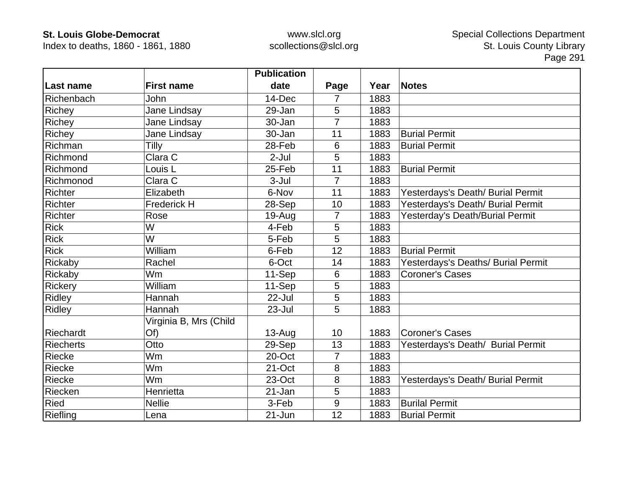Index to deaths, 1860 - 1861, 1880

|                  |                        | <b>Publication</b> |                |      |                                    |
|------------------|------------------------|--------------------|----------------|------|------------------------------------|
| Last name        | <b>First name</b>      | date               | Page           | Year | <b>Notes</b>                       |
| Richenbach       | John                   | 14-Dec             | 7              | 1883 |                                    |
| Richey           | Jane Lindsay           | 29-Jan             | 5              | 1883 |                                    |
| Richey           | Jane Lindsay           | 30-Jan             | $\overline{7}$ | 1883 |                                    |
| Richey           | Jane Lindsay           | 30-Jan             | 11             | 1883 | <b>Burial Permit</b>               |
| Richman          | Tilly                  | 28-Feb             | 6              | 1883 | <b>Burial Permit</b>               |
| Richmond         | Clara $\overline{C}$   | $2-Jul$            | 5              | 1883 |                                    |
| Richmond         | Louis <sub>L</sub>     | 25-Feb             | 11             | 1883 | <b>Burial Permit</b>               |
| Richmonod        | Clara C                | $3-Jul$            | $\overline{7}$ | 1883 |                                    |
| <b>Richter</b>   | Elizabeth              | 6-Nov              | 11             | 1883 | Yesterdays's Death/ Burial Permit  |
| <b>Richter</b>   | <b>Frederick H</b>     | 28-Sep             | 10             | 1883 | Yesterdays's Death/ Burial Permit  |
| Richter          | Rose                   | 19-Aug             | 7              | 1883 | Yesterday's Death/Burial Permit    |
| <b>Rick</b>      | W                      | 4-Feb              | 5              | 1883 |                                    |
| <b>Rick</b>      | W                      | 5-Feb              | 5              | 1883 |                                    |
| <b>Rick</b>      | William                | 6-Feb              | 12             | 1883 | <b>Burial Permit</b>               |
| Rickaby          | Rachel                 | 6-Oct              | 14             | 1883 | Yesterdays's Deaths/ Burial Permit |
| Rickaby          | Wm                     | 11-Sep             | 6              | 1883 | <b>Coroner's Cases</b>             |
| Rickery          | William                | 11-Sep             | 5              | 1883 |                                    |
| Ridley           | Hannah                 | 22-Jul             | 5              | 1883 |                                    |
| Ridley           | Hannah                 | 23-Jul             | 5              | 1883 |                                    |
|                  | Virginia B, Mrs (Child |                    |                |      |                                    |
| Riechardt        | Of)                    | $13-Auq$           | 10             | 1883 | <b>Coroner's Cases</b>             |
| <b>Riecherts</b> | Otto                   | 29-Sep             | 13             | 1883 | Yesterdays's Death/ Burial Permit  |
| <b>Riecke</b>    | Wm                     | 20-Oct             | 7              | 1883 |                                    |
| Riecke           | Wm                     | 21-Oct             | 8              | 1883 |                                    |
| Riecke           | Wm                     | 23-Oct             | 8              | 1883 | Yesterdays's Death/ Burial Permit  |
| Riecken          | Henrietta              | 21-Jan             | 5              | 1883 |                                    |
| Ried             | <b>Nellie</b>          | 3-Feb              | 9              | 1883 | <b>Burilal Permit</b>              |
| Riefling         | Lena                   | $21 - Jun$         | 12             | 1883 | <b>Burial Permit</b>               |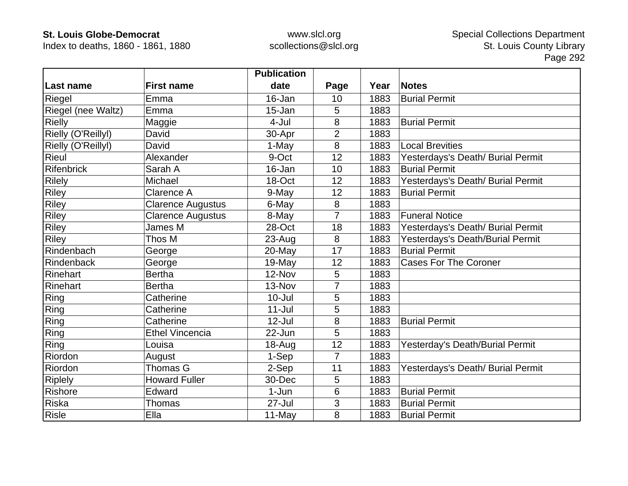Index to deaths, 1860 - 1861, 1880

|                    |                          | <b>Publication</b> |                |      |                                   |
|--------------------|--------------------------|--------------------|----------------|------|-----------------------------------|
| Last name          | <b>First name</b>        | date               | Page           | Year | <b>Notes</b>                      |
| Riegel             | Emma                     | 16-Jan             | 10             | 1883 | <b>Burial Permit</b>              |
| Riegel (nee Waltz) | Emma                     | 15-Jan             | 5              | 1883 |                                   |
| <b>Rielly</b>      | Maggie                   | 4-Jul              | 8              | 1883 | <b>Burial Permit</b>              |
| Rielly (O'Reillyl) | David                    | 30-Apr             | $\overline{2}$ | 1883 |                                   |
| Rielly (O'Reillyl) | David                    | 1-May              | 8              | 1883 | <b>Local Brevities</b>            |
| <b>Rieul</b>       | Alexander                | 9-Oct              | 12             | 1883 | Yesterdays's Death/ Burial Permit |
| Rifenbrick         | Sarah A                  | 16-Jan             | 10             | 1883 | <b>Burial Permit</b>              |
| <b>Rilely</b>      | Michael                  | 18-Oct             | 12             | 1883 | Yesterdays's Death/ Burial Permit |
| <b>Riley</b>       | Clarence A               | 9-May              | 12             | 1883 | <b>Burial Permit</b>              |
| <b>Riley</b>       | <b>Clarence Augustus</b> | 6-May              | 8              | 1883 |                                   |
| <b>Riley</b>       | <b>Clarence Augustus</b> | 8-May              | $\overline{7}$ | 1883 | <b>Funeral Notice</b>             |
| <b>Riley</b>       | James M                  | 28-Oct             | 18             | 1883 | Yesterdays's Death/ Burial Permit |
| <b>Riley</b>       | Thos M                   | 23-Aug             | 8              | 1883 | Yesterdays's Death/Burial Permit  |
| Rindenbach         | George                   | 20-May             | 17             | 1883 | <b>Burial Permit</b>              |
| Rindenback         | George                   | 19-May             | 12             | 1883 | <b>Cases For The Coroner</b>      |
| Rinehart           | <b>Bertha</b>            | 12-Nov             | 5              | 1883 |                                   |
| Rinehart           | <b>Bertha</b>            | 13-Nov             | $\overline{7}$ | 1883 |                                   |
| Ring               | Catherine                | $10 -$ Jul         | 5              | 1883 |                                   |
| Ring               | Catherine                | $11 -$ Jul         | 5              | 1883 |                                   |
| Ring               | Catherine                | $12$ -Jul          | 8              | 1883 | <b>Burial Permit</b>              |
| Ring               | <b>Ethel Vincencia</b>   | 22-Jun             | 5              | 1883 |                                   |
| Ring               | Louisa                   | 18-Aug             | 12             | 1883 | Yesterday's Death/Burial Permit   |
| Riordon            | August                   | 1-Sep              | $\overline{7}$ | 1883 |                                   |
| Riordon            | Thomas G                 | 2-Sep              | 11             | 1883 | Yesterdays's Death/ Burial Permit |
| <b>Riplely</b>     | <b>Howard Fuller</b>     | 30-Dec             | 5              | 1883 |                                   |
| Rishore            | Edward                   | $1-Jun$            | 6              | 1883 | <b>Burial Permit</b>              |
| <b>Riska</b>       | Thomas                   | $27 -$ Jul         | 3              | 1883 | <b>Burial Permit</b>              |
| <b>Risle</b>       | Ella                     | 11-May             | 8              | 1883 | <b>Burial Permit</b>              |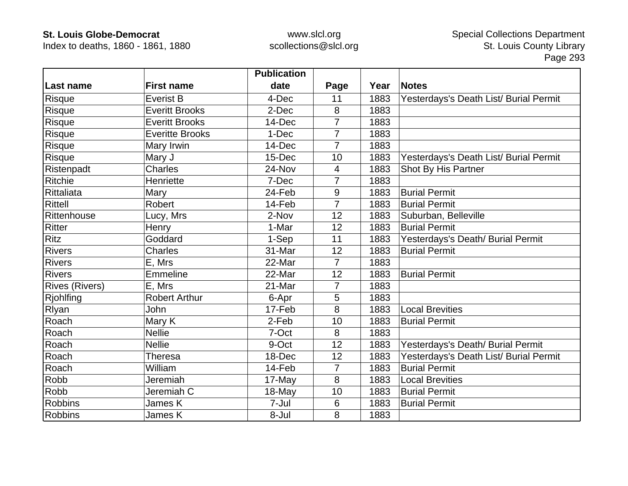Index to deaths, 1860 - 1861, 1880

|                       |                        | <b>Publication</b> |                |      |                                        |
|-----------------------|------------------------|--------------------|----------------|------|----------------------------------------|
| <b>Last name</b>      | <b>First name</b>      | date               | Page           | Year | <b>Notes</b>                           |
| Risque                | <b>Everist B</b>       | 4-Dec              | 11             | 1883 | Yesterdays's Death List/ Burial Permit |
| Risque                | <b>Everitt Brooks</b>  | 2-Dec              | 8              | 1883 |                                        |
| Risque                | <b>Everitt Brooks</b>  | 14-Dec             | $\overline{7}$ | 1883 |                                        |
| Risque                | <b>Everitte Brooks</b> | 1-Dec              | $\overline{7}$ | 1883 |                                        |
| <b>Risque</b>         | Mary Irwin             | 14-Dec             | $\overline{7}$ | 1883 |                                        |
| Risque                | Mary J                 | 15-Dec             | 10             | 1883 | Yesterdays's Death List/ Burial Permit |
| Ristenpadt            | <b>Charles</b>         | 24-Nov             | 4              | 1883 | Shot By His Partner                    |
| Ritchie               | Henriette              | 7-Dec              | 7              | 1883 |                                        |
| Rittaliata            | Mary                   | 24-Feb             | 9              | 1883 | <b>Burial Permit</b>                   |
| Rittell               | Robert                 | 14-Feb             | $\overline{7}$ | 1883 | <b>Burial Permit</b>                   |
| Rittenhouse           | Lucy, Mrs              | 2-Nov              | 12             | 1883 | Suburban, Belleville                   |
| Ritter                | Henry                  | 1-Mar              | 12             | 1883 | <b>Burial Permit</b>                   |
| Ritz                  | Goddard                | 1-Sep              | 11             | 1883 | Yesterdays's Death/ Burial Permit      |
| <b>Rivers</b>         | <b>Charles</b>         | 31-Mar             | 12             | 1883 | <b>Burial Permit</b>                   |
| <b>Rivers</b>         | E, Mrs                 | 22-Mar             | $\overline{7}$ | 1883 |                                        |
| <b>Rivers</b>         | Emmeline               | 22-Mar             | 12             | 1883 | <b>Burial Permit</b>                   |
| <b>Rives (Rivers)</b> | E, Mrs                 | 21-Mar             | 7              | 1883 |                                        |
| <b>Rjohlfing</b>      | <b>Robert Arthur</b>   | 6-Apr              | 5              | 1883 |                                        |
| Rlyan                 | John                   | 17-Feb             | 8              | 1883 | <b>Local Brevities</b>                 |
| Roach                 | Mary K                 | 2-Feb              | 10             | 1883 | <b>Burial Permit</b>                   |
| Roach                 | <b>Nellie</b>          | 7-Oct              | 8              | 1883 |                                        |
| Roach                 | <b>Nellie</b>          | 9-Oct              | 12             | 1883 | Yesterdays's Death/ Burial Permit      |
| Roach                 | <b>Theresa</b>         | 18-Dec             | 12             | 1883 | Yesterdays's Death List/ Burial Permit |
| Roach                 | William                | 14-Feb             | $\overline{7}$ | 1883 | <b>Burial Permit</b>                   |
| Robb                  | Jeremiah               | 17-May             | 8              | 1883 | <b>Local Brevities</b>                 |
| Robb                  | Jeremiah C             | 18-May             | 10             | 1883 | <b>Burial Permit</b>                   |
| <b>Robbins</b>        | James K                | 7-Jul              | 6              | 1883 | <b>Burial Permit</b>                   |
| <b>Robbins</b>        | James K                | 8-Jul              | 8              | 1883 |                                        |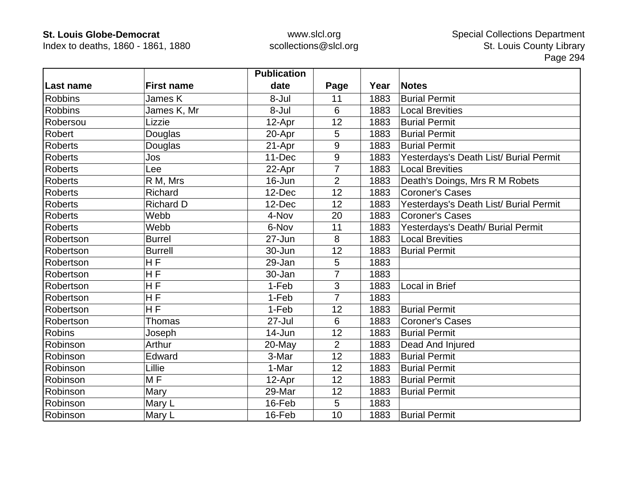Index to deaths, 1860 - 1861, 1880

|                |                   | <b>Publication</b> |                |      |                                        |
|----------------|-------------------|--------------------|----------------|------|----------------------------------------|
| Last name      | <b>First name</b> | date               | Page           | Year | <b>Notes</b>                           |
| <b>Robbins</b> | James K           | 8-Jul              | 11             | 1883 | <b>Burial Permit</b>                   |
| <b>Robbins</b> | James K, Mr       | 8-Jul              | 6              | 1883 | <b>Local Brevities</b>                 |
| Robersou       | Lizzie            | 12-Apr             | 12             | 1883 | <b>Burial Permit</b>                   |
| Robert         | Douglas           | 20-Apr             | 5              | 1883 | <b>Burial Permit</b>                   |
| <b>Roberts</b> | Douglas           | 21-Apr             | 9              | 1883 | <b>Burial Permit</b>                   |
| <b>Roberts</b> | Jos               | 11-Dec             | 9              | 1883 | Yesterdays's Death List/ Burial Permit |
| <b>Roberts</b> | Lee               | 22-Apr             | 7              | 1883 | <b>Local Brevities</b>                 |
| <b>Roberts</b> | R M, Mrs          | 16-Jun             | $\overline{2}$ | 1883 | Death's Doings, Mrs R M Robets         |
| <b>Roberts</b> | Richard           | 12-Dec             | 12             | 1883 | <b>Coroner's Cases</b>                 |
| <b>Roberts</b> | <b>Richard D</b>  | 12-Dec             | 12             | 1883 | Yesterdays's Death List/ Burial Permit |
| <b>Roberts</b> | Webb              | 4-Nov              | 20             | 1883 | <b>Coroner's Cases</b>                 |
| <b>Roberts</b> | Webb              | 6-Nov              | 11             | 1883 | Yesterdays's Death/ Burial Permit      |
| Robertson      | <b>Burrel</b>     | 27-Jun             | 8              | 1883 | <b>Local Brevities</b>                 |
| Robertson      | <b>Burrell</b>    | 30-Jun             | 12             | 1883 | <b>Burial Permit</b>                   |
| Robertson      | H <sub>F</sub>    | 29-Jan             | 5              | 1883 |                                        |
| Robertson      | $\overline{H}$ F  | 30-Jan             | $\overline{7}$ | 1883 |                                        |
| Robertson      | HF                | 1-Feb              | 3              | 1883 | Local in Brief                         |
| Robertson      | HF                | 1-Feb              | $\overline{7}$ | 1883 |                                        |
| Robertson      | <b>HF</b>         | 1-Feb              | 12             | 1883 | <b>Burial Permit</b>                   |
| Robertson      | Thomas            | $27 -$ Jul         | 6              | 1883 | <b>Coroner's Cases</b>                 |
| <b>Robins</b>  | Joseph            | 14-Jun             | 12             | 1883 | <b>Burial Permit</b>                   |
| Robinson       | Arthur            | 20-May             | $\overline{2}$ | 1883 | Dead And Injured                       |
| Robinson       | Edward            | 3-Mar              | 12             | 1883 | <b>Burial Permit</b>                   |
| Robinson       | Lillie            | 1-Mar              | 12             | 1883 | <b>Burial Permit</b>                   |
| Robinson       | MF                | 12-Apr             | 12             | 1883 | <b>Burial Permit</b>                   |
| Robinson       | Mary              | 29-Mar             | 12             | 1883 | <b>Burial Permit</b>                   |
| Robinson       | Mary L            | 16-Feb             | 5              | 1883 |                                        |
| Robinson       | Mary L            | 16-Feb             | 10             | 1883 | <b>Burial Permit</b>                   |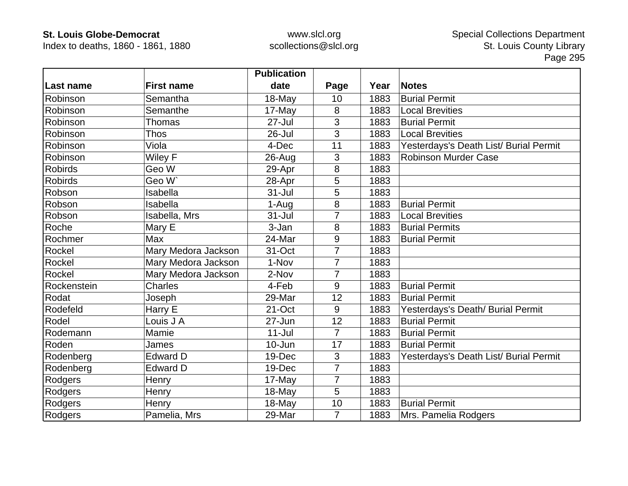Index to deaths, 1860 - 1861, 1880

|                |                     | <b>Publication</b> |                |      |                                        |
|----------------|---------------------|--------------------|----------------|------|----------------------------------------|
| Last name      | <b>First name</b>   | date               | Page           | Year | <b>Notes</b>                           |
| Robinson       | Semantha            | $18-May$           | 10             | 1883 | <b>Burial Permit</b>                   |
| Robinson       | Semanthe            | 17-May             | 8              | 1883 | <b>Local Brevities</b>                 |
| Robinson       | Thomas              | $27 -$ Jul         | 3              | 1883 | <b>Burial Permit</b>                   |
| Robinson       | <b>Thos</b>         | 26-Jul             | 3              | 1883 | <b>Local Brevities</b>                 |
| Robinson       | Viola               | 4-Dec              | 11             | 1883 | Yesterdays's Death List/ Burial Permit |
| Robinson       | Wiley F             | 26-Aug             | 3              | 1883 | <b>Robinson Murder Case</b>            |
| <b>Robirds</b> | Geo W               | 29-Apr             | 8              | 1883 |                                        |
| <b>Robirds</b> | Geo W`              | 28-Apr             | 5              | 1883 |                                        |
| Robson         | Isabella            | $31 -$ Jul         | 5              | 1883 |                                        |
| Robson         | Isabella            | 1-Aug              | 8              | 1883 | <b>Burial Permit</b>                   |
| Robson         | Isabella, Mrs       | $31 -$ Jul         | $\overline{7}$ | 1883 | <b>Local Brevities</b>                 |
| Roche          | Mary E              | 3-Jan              | 8              | 1883 | <b>Burial Permits</b>                  |
| Rochmer        | Max                 | 24-Mar             | 9              | 1883 | <b>Burial Permit</b>                   |
| Rockel         | Mary Medora Jackson | 31-Oct             | $\overline{7}$ | 1883 |                                        |
| Rockel         | Mary Medora Jackson | 1-Nov              | $\overline{7}$ | 1883 |                                        |
| Rockel         | Mary Medora Jackson | 2-Nov              | $\overline{7}$ | 1883 |                                        |
| Rockenstein    | <b>Charles</b>      | 4-Feb              | 9              | 1883 | <b>Burial Permit</b>                   |
| Rodat          | Joseph              | 29-Mar             | 12             | 1883 | <b>Burial Permit</b>                   |
| Rodefeld       | Harry E             | 21-Oct             | 9              | 1883 | Yesterdays's Death/ Burial Permit      |
| Rodel          | Louis J A           | 27-Jun             | 12             | 1883 | <b>Burial Permit</b>                   |
| Rodemann       | Mamie               | $11 -$ Jul         | $\overline{7}$ | 1883 | <b>Burial Permit</b>                   |
| Roden          | James               | 10-Jun             | 17             | 1883 | <b>Burial Permit</b>                   |
| Rodenberg      | <b>Edward D</b>     | 19-Dec             | 3              | 1883 | Yesterdays's Death List/ Burial Permit |
| Rodenberg      | <b>Edward D</b>     | 19-Dec             | $\overline{7}$ | 1883 |                                        |
| Rodgers        | Henry               | 17-May             | $\overline{7}$ | 1883 |                                        |
| Rodgers        | Henry               | 18-May             | 5              | 1883 |                                        |
| Rodgers        | Henry               | 18-May             | 10             | 1883 | <b>Burial Permit</b>                   |
| Rodgers        | Pamelia, Mrs        | 29-Mar             | $\overline{7}$ | 1883 | Mrs. Pamelia Rodgers                   |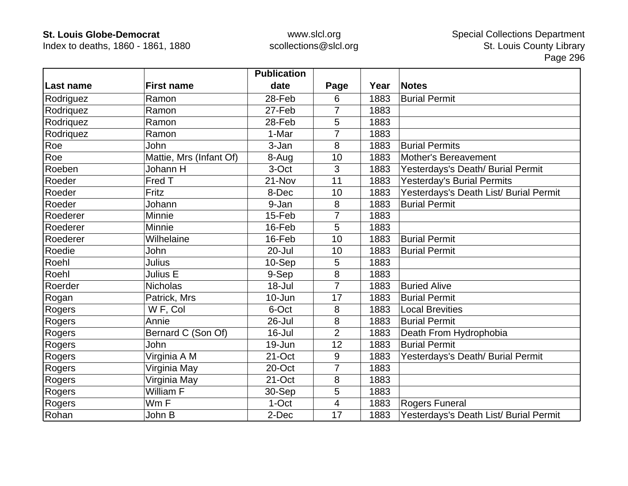Index to deaths, 1860 - 1861, 1880

|            |                         | <b>Publication</b> |                |      |                                        |
|------------|-------------------------|--------------------|----------------|------|----------------------------------------|
| ∣Last name | <b>First name</b>       | date               | Page           | Year | <b>Notes</b>                           |
| Rodriguez  | Ramon                   | 28-Feb             | 6              | 1883 | <b>Burial Permit</b>                   |
| Rodriquez  | Ramon                   | 27-Feb             | 7              | 1883 |                                        |
| Rodriquez  | Ramon                   | 28-Feb             | 5              | 1883 |                                        |
| Rodriquez  | Ramon                   | 1-Mar              | 7              | 1883 |                                        |
| Roe        | John                    | 3-Jan              | 8              | 1883 | <b>Burial Permits</b>                  |
| Roe        | Mattie, Mrs (Infant Of) | 8-Aug              | 10             | 1883 | Mother's Bereavement                   |
| Roeben     | Johann H                | 3-Oct              | 3              | 1883 | Yesterdays's Death/ Burial Permit      |
| Roeder     | Fred T                  | 21-Nov             | 11             | 1883 | <b>Yesterday's Burial Permits</b>      |
| Roeder     | Fritz                   | 8-Dec              | 10             | 1883 | Yesterdays's Death List/ Burial Permit |
| Roeder     | Johann                  | 9-Jan              | 8              | 1883 | <b>Burial Permit</b>                   |
| Roederer   | Minnie                  | 15-Feb             | 7              | 1883 |                                        |
| Roederer   | Minnie                  | 16-Feb             | 5              | 1883 |                                        |
| Roederer   | Wilhelaine              | 16-Feb             | 10             | 1883 | <b>Burial Permit</b>                   |
| Roedie     | John                    | 20-Jul             | 10             | 1883 | <b>Burial Permit</b>                   |
| Roehl      | Julius                  | 10-Sep             | 5              | 1883 |                                        |
| Roehl      | Julius E                | 9-Sep              | 8              | 1883 |                                        |
| Roerder    | <b>Nicholas</b>         | $18 -$ Jul         | $\overline{7}$ | 1883 | <b>Buried Alive</b>                    |
| Rogan      | Patrick, Mrs            | 10-Jun             | 17             | 1883 | <b>Burial Permit</b>                   |
| Rogers     | W F, Col                | 6-Oct              | 8              | 1883 | <b>Local Brevities</b>                 |
| Rogers     | Annie                   | 26-Jul             | 8              | 1883 | <b>Burial Permit</b>                   |
| Rogers     | Bernard C (Son Of)      | 16-Jul             | $\overline{2}$ | 1883 | Death From Hydrophobia                 |
| Rogers     | John                    | 19-Jun             | 12             | 1883 | <b>Burial Permit</b>                   |
| Rogers     | Virginia A M            | 21-Oct             | 9              | 1883 | Yesterdays's Death/ Burial Permit      |
| Rogers     | Virginia May            | 20-Oct             | $\overline{7}$ | 1883 |                                        |
| Rogers     | Virginia May            | 21-Oct             | 8              | 1883 |                                        |
| Rogers     | William F               | 30-Sep             | 5              | 1883 |                                        |
| Rogers     | Wm F                    | 1-Oct              | 4              | 1883 | Rogers Funeral                         |
| Rohan      | John B                  | 2-Dec              | 17             | 1883 | Yesterdays's Death List/ Burial Permit |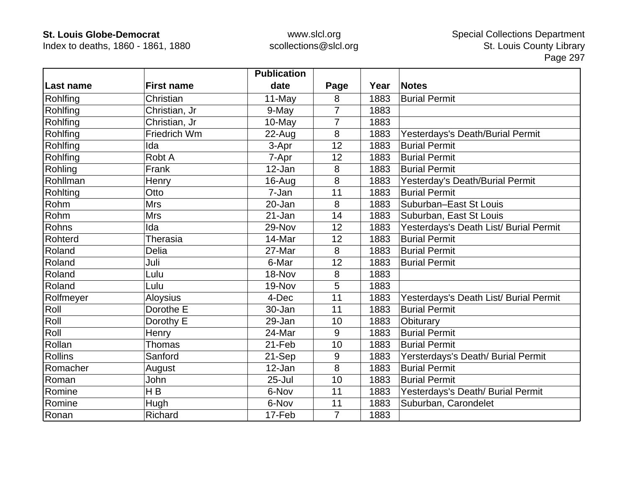Index to deaths, 1860 - 1861, 1880

|                  |                   | <b>Publication</b> |                |      |                                        |
|------------------|-------------------|--------------------|----------------|------|----------------------------------------|
| <b>Last name</b> | <b>First name</b> | date               | Page           | Year | <b>Notes</b>                           |
| Rohlfing         | Christian         | 11-May             | 8              | 1883 | <b>Burial Permit</b>                   |
| Rohlfing         | Christian, Jr     | 9-May              | $\overline{7}$ | 1883 |                                        |
| Rohlfing         | Christian, Jr     | 10-May             | 7              | 1883 |                                        |
| Rohlfing         | Friedrich Wm      | 22-Aug             | $\bf 8$        | 1883 | Yesterdays's Death/Burial Permit       |
| Rohlfing         | Ida               | 3-Apr              | 12             | 1883 | <b>Burial Permit</b>                   |
| Rohlfing         | Robt A            | 7-Apr              | 12             | 1883 | <b>Burial Permit</b>                   |
| Rohling          | Frank             | 12-Jan             | 8              | 1883 | <b>Burial Permit</b>                   |
| Rohllman         | Henry             | 16-Aug             | 8              | 1883 | Yesterday's Death/Burial Permit        |
| Rohlting         | Otto              | 7-Jan              | 11             | 1883 | <b>Burial Permit</b>                   |
| Rohm             | <b>Mrs</b>        | 20-Jan             | 8              | 1883 | Suburban-East St Louis                 |
| Rohm             | <b>Mrs</b>        | 21-Jan             | 14             | 1883 | Suburban, East St Louis                |
| Rohns            | Ida               | 29-Nov             | 12             | 1883 | Yesterdays's Death List/ Burial Permit |
| Rohterd          | Therasia          | 14-Mar             | 12             | 1883 | <b>Burial Permit</b>                   |
| Roland           | <b>Delia</b>      | 27-Mar             | 8              | 1883 | <b>Burial Permit</b>                   |
| Roland           | Juli              | 6-Mar              | 12             | 1883 | <b>Burial Permit</b>                   |
| Roland           | Lulu              | 18-Nov             | 8              | 1883 |                                        |
| Roland           | Lulu              | 19-Nov             | 5              | 1883 |                                        |
| Rolfmeyer        | <b>Aloysius</b>   | 4-Dec              | 11             | 1883 | Yesterdays's Death List/ Burial Permit |
| Roll             | Dorothe E         | 30-Jan             | 11             | 1883 | <b>Burial Permit</b>                   |
| Roll             | Dorothy E         | 29-Jan             | 10             | 1883 | Obiturary                              |
| Roll             | Henry             | 24-Mar             | 9              | 1883 | <b>Burial Permit</b>                   |
| Rollan           | Thomas            | 21-Feb             | 10             | 1883 | <b>Burial Permit</b>                   |
| <b>Rollins</b>   | Sanford           | 21-Sep             | 9              | 1883 | Yersterdays's Death/ Burial Permit     |
| Romacher         | August            | 12-Jan             | 8              | 1883 | <b>Burial Permit</b>                   |
| Roman            | John              | $25 -$ Jul         | 10             | 1883 | <b>Burial Permit</b>                   |
| Romine           | H <sub>B</sub>    | 6-Nov              | 11             | 1883 | Yesterdays's Death/ Burial Permit      |
| Romine           | Hugh              | 6-Nov              | 11             | 1883 | Suburban, Carondelet                   |
| Ronan            | Richard           | 17-Feb             | $\overline{7}$ | 1883 |                                        |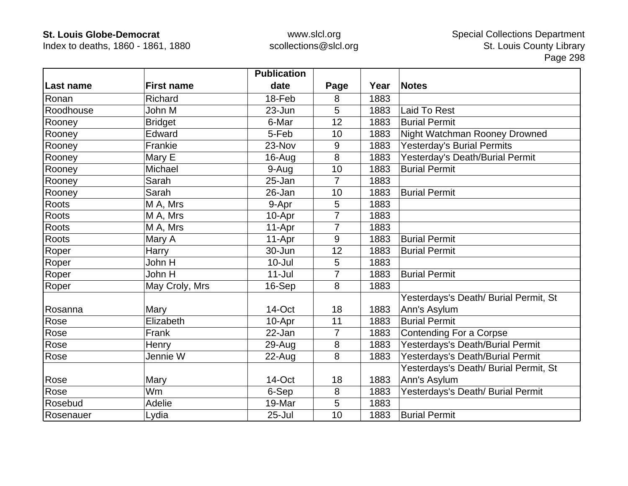Index to deaths, 1860 - 1861, 1880

|           |                   | <b>Publication</b> |                |      |                                       |
|-----------|-------------------|--------------------|----------------|------|---------------------------------------|
| Last name | <b>First name</b> | date               | Page           | Year | <b>Notes</b>                          |
| Ronan     | <b>Richard</b>    | 18-Feb             | 8              | 1883 |                                       |
| Roodhouse | John M            | 23-Jun             | 5              | 1883 | Laid To Rest                          |
| Rooney    | <b>Bridget</b>    | 6-Mar              | 12             | 1883 | <b>Burial Permit</b>                  |
| Rooney    | Edward            | 5-Feb              | 10             | 1883 | Night Watchman Rooney Drowned         |
| Rooney    | Frankie           | 23-Nov             | 9              | 1883 | <b>Yesterday's Burial Permits</b>     |
| Rooney    | Mary E            | 16-Aug             | 8              | 1883 | Yesterday's Death/Burial Permit       |
| Rooney    | Michael           | 9-Aug              | 10             | 1883 | <b>Burial Permit</b>                  |
| Rooney    | Sarah             | 25-Jan             | $\overline{7}$ | 1883 |                                       |
| Rooney    | Sarah             | 26-Jan             | 10             | 1883 | <b>Burial Permit</b>                  |
| Roots     | M A, Mrs          | 9-Apr              | 5              | 1883 |                                       |
| Roots     | M A, Mrs          | 10-Apr             | 7              | 1883 |                                       |
| Roots     | M A, Mrs          | 11-Apr             | $\overline{7}$ | 1883 |                                       |
| Roots     | Mary A            | 11-Apr             | 9              | 1883 | <b>Burial Permit</b>                  |
| Roper     | Harry             | 30-Jun             | 12             | 1883 | <b>Burial Permit</b>                  |
| Roper     | John H            | $10 -$ Jul         | 5              | 1883 |                                       |
| Roper     | John H            | $11 -$ Jul         | $\overline{7}$ | 1883 | <b>Burial Permit</b>                  |
| Roper     | May Croly, Mrs    | 16-Sep             | 8              | 1883 |                                       |
|           |                   |                    |                |      | Yesterdays's Death/ Burial Permit, St |
| Rosanna   | Mary              | 14-Oct             | 18             | 1883 | Ann's Asylum                          |
| Rose      | Elizabeth         | 10-Apr             | 11             | 1883 | <b>Burial Permit</b>                  |
| Rose      | Frank             | 22-Jan             | $\overline{7}$ | 1883 | <b>Contending For a Corpse</b>        |
| Rose      | Henry             | 29-Aug             | 8              | 1883 | Yesterdays's Death/Burial Permit      |
| Rose      | Jennie W          | 22-Aug             | 8              | 1883 | Yesterdays's Death/Burial Permit      |
|           |                   |                    |                |      | Yesterdays's Death/ Burial Permit, St |
| Rose      | Mary              | 14-Oct             | 18             | 1883 | Ann's Asylum                          |
| Rose      | Wm                | 6-Sep              | 8              | 1883 | Yesterdays's Death/ Burial Permit     |
| Rosebud   | Adelie            | 19-Mar             | $5\phantom{.}$ | 1883 |                                       |
| Rosenauer | Lydia             | $25 -$ Jul         | 10             | 1883 | <b>Burial Permit</b>                  |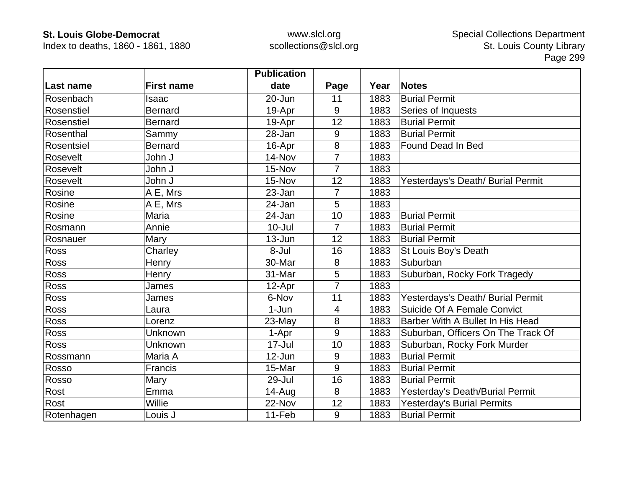Index to deaths, 1860 - 1861, 1880

|             |                   | <b>Publication</b> |                |      |                                    |
|-------------|-------------------|--------------------|----------------|------|------------------------------------|
| ∣Last name  | <b>First name</b> | date               | Page           | Year | <b>Notes</b>                       |
| Rosenbach   | Isaac             | 20-Jun             | 11             | 1883 | <b>Burial Permit</b>               |
| Rosenstiel  | <b>Bernard</b>    | 19-Apr             | 9              | 1883 | Series of Inquests                 |
| Rosenstiel  | <b>Bernard</b>    | 19-Apr             | 12             | 1883 | <b>Burial Permit</b>               |
| Rosenthal   | Sammy             | 28-Jan             | 9              | 1883 | <b>Burial Permit</b>               |
| Rosentsiel  | <b>Bernard</b>    | 16-Apr             | $\bf 8$        | 1883 | Found Dead In Bed                  |
| Rosevelt    | John J            | 14-Nov             | $\overline{7}$ | 1883 |                                    |
| Rosevelt    | John J            | 15-Nov             | 7              | 1883 |                                    |
| Rosevelt    | John J            | 15-Nov             | 12             | 1883 | Yesterdays's Death/ Burial Permit  |
| Rosine      | A E, Mrs          | 23-Jan             | 7              | 1883 |                                    |
| Rosine      | A E, Mrs          | 24-Jan             | 5              | 1883 |                                    |
| Rosine      | Maria             | 24-Jan             | 10             | 1883 | <b>Burial Permit</b>               |
| Rosmann     | Annie             | $10 -$ Jul         | $\overline{7}$ | 1883 | <b>Burial Permit</b>               |
| Rosnauer    | Mary              | 13-Jun             | 12             | 1883 | <b>Burial Permit</b>               |
| <b>Ross</b> | Charley           | 8-Jul              | 16             | 1883 | St Louis Boy's Death               |
| <b>Ross</b> | Henry             | 30-Mar             | 8              | 1883 | Suburban                           |
| Ross        | Henry             | 31-Mar             | 5              | 1883 | Suburban, Rocky Fork Tragedy       |
| <b>Ross</b> | James             | 12-Apr             | $\overline{7}$ | 1883 |                                    |
| <b>Ross</b> | James             | 6-Nov              | 11             | 1883 | Yesterdays's Death/ Burial Permit  |
| <b>Ross</b> | Laura             | $1-Jun$            | 4              | 1883 | Suicide Of A Female Convict        |
| Ross        | Lorenz            | 23-May             | 8              | 1883 | Barber With A Bullet In His Head   |
| Ross        | Unknown           | 1-Apr              | 9              | 1883 | Suburban, Officers On The Track Of |
| <b>Ross</b> | Unknown           | 17-Jul             | 10             | 1883 | Suburban, Rocky Fork Murder        |
| Rossmann    | Maria A           | 12-Jun             | 9              | 1883 | <b>Burial Permit</b>               |
| Rosso       | Francis           | 15-Mar             | 9              | 1883 | <b>Burial Permit</b>               |
| Rosso       | Mary              | 29-Jul             | 16             | 1883 | <b>Burial Permit</b>               |
| Rost        | Emma              | $14 - Aug$         | 8              | 1883 | Yesterday's Death/Burial Permit    |
| Rost        | Willie            | 22-Nov             | 12             | 1883 | <b>Yesterday's Burial Permits</b>  |
| Rotenhagen  | Louis J           | 11-Feb             | 9              | 1883 | <b>Burial Permit</b>               |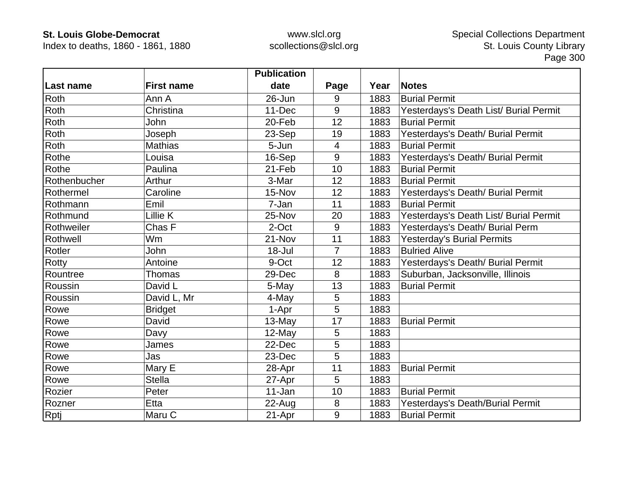Index to deaths, 1860 - 1861, 1880

|                  |                   | <b>Publication</b> |                |      |                                        |
|------------------|-------------------|--------------------|----------------|------|----------------------------------------|
| <b>Last name</b> | <b>First name</b> | date               | Page           | Year | <b>Notes</b>                           |
| Roth             | Ann A             | 26-Jun             | 9              | 1883 | <b>Burial Permit</b>                   |
| Roth             | Christina         | 11-Dec             | 9              | 1883 | Yesterdays's Death List/ Burial Permit |
| Roth             | John              | 20-Feb             | 12             | 1883 | <b>Burial Permit</b>                   |
| Roth             | Joseph            | 23-Sep             | 19             | 1883 | Yesterdays's Death/ Burial Permit      |
| Roth             | <b>Mathias</b>    | 5-Jun              | $\overline{4}$ | 1883 | <b>Burial Permit</b>                   |
| Rothe            | Louisa            | 16-Sep             | 9              | 1883 | Yesterdays's Death/ Burial Permit      |
| Rothe            | Paulina           | 21-Feb             | 10             | 1883 | <b>Burial Permit</b>                   |
| Rothenbucher     | Arthur            | 3-Mar              | 12             | 1883 | <b>Burial Permit</b>                   |
| Rothermel        | Caroline          | 15-Nov             | 12             | 1883 | Yesterdays's Death/ Burial Permit      |
| Rothmann         | Emil              | 7-Jan              | 11             | 1883 | <b>Burial Permit</b>                   |
| Rothmund         | Lillie K          | 25-Nov             | 20             | 1883 | Yesterdays's Death List/ Burial Permit |
| Rothweiler       | Chas F            | 2-Oct              | 9              | 1883 | Yesterdays's Death/ Burial Perm        |
| Rothwell         | Wm                | 21-Nov             | 11             | 1883 | <b>Yesterday's Burial Permits</b>      |
| Rotler           | John              | 18-Jul             | $\overline{7}$ | 1883 | <b>Bulried Alive</b>                   |
| Rotty            | Antoine           | 9-Oct              | 12             | 1883 | Yesterdays's Death/ Burial Permit      |
| Rountree         | Thomas            | 29-Dec             | 8              | 1883 | Suburban, Jacksonville, Illinois       |
| Roussin          | David L           | 5-May              | 13             | 1883 | <b>Burial Permit</b>                   |
| Roussin          | David L, Mr       | 4-May              | 5              | 1883 |                                        |
| Rowe             | <b>Bridget</b>    | 1-Apr              | 5              | 1883 |                                        |
| Rowe             | David             | 13-May             | 17             | 1883 | <b>Burial Permit</b>                   |
| Rowe             | Davy              | 12-May             | 5              | 1883 |                                        |
| Rowe             | James             | 22-Dec             | 5              | 1883 |                                        |
| Rowe             | Jas               | 23-Dec             | 5              | 1883 |                                        |
| Rowe             | Mary E            | 28-Apr             | 11             | 1883 | <b>Burial Permit</b>                   |
| Rowe             | <b>Stella</b>     | 27-Apr             | 5              | 1883 |                                        |
| Rozier           | Peter             | 11-Jan             | 10             | 1883 | <b>Burial Permit</b>                   |
| Rozner           | Etta              | $22$ -Aug          | 8              | 1883 | Yesterdays's Death/Burial Permit       |
| Rptj             | Maru C            | 21-Apr             | 9              | 1883 | <b>Burial Permit</b>                   |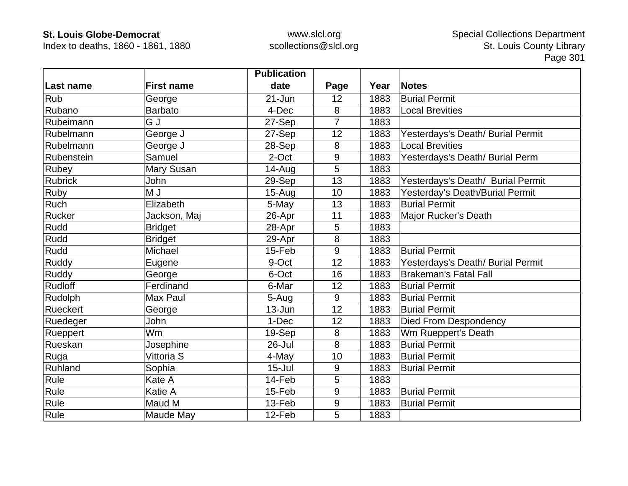Index to deaths, 1860 - 1861, 1880

|                 |                   | <b>Publication</b> |                  |      |                                   |
|-----------------|-------------------|--------------------|------------------|------|-----------------------------------|
| Last name       | <b>First name</b> | date               | Page             | Year | <b>Notes</b>                      |
| <b>Rub</b>      | George            | $21 - Jun$         | 12               | 1883 | <b>Burial Permit</b>              |
| Rubano          | <b>Barbato</b>    | 4-Dec              | 8                | 1883 | <b>Local Brevities</b>            |
| Rubeimann       | G J               | 27-Sep             | $\overline{7}$   | 1883 |                                   |
| Rubelmann       | George J          | 27-Sep             | 12               | 1883 | Yesterdays's Death/ Burial Permit |
| Rubelmann       | George J          | 28-Sep             | 8                | 1883 | <b>Local Brevities</b>            |
| Rubenstein      | Samuel            | 2-Oct              | 9                | 1883 | Yesterdays's Death/ Burial Perm   |
| <b>Rubey</b>    | Mary Susan        | $14 - Aug$         | 5                | 1883 |                                   |
| <b>Rubrick</b>  | John              | 29-Sep             | 13               | 1883 | Yesterdays's Death/ Burial Permit |
| Ruby            | U M               | $15-Auq$           | 10               | 1883 | Yesterday's Death/Burial Permit   |
| Ruch            | Elizabeth         | 5-May              | 13               | 1883 | <b>Burial Permit</b>              |
| Rucker          | Jackson, Maj      | 26-Apr             | 11               | 1883 | Major Rucker's Death              |
| Rudd            | <b>Bridget</b>    | 28-Apr             | 5                | 1883 |                                   |
| Rudd            | <b>Bridget</b>    | 29-Apr             | 8                | 1883 |                                   |
| Rudd            | Michael           | 15-Feb             | 9                | 1883 | <b>Burial Permit</b>              |
| Ruddy           | Eugene            | 9-Oct              | 12               | 1883 | Yesterdays's Death/ Burial Permit |
| Ruddy           | George            | 6-Oct              | 16               | 1883 | <b>Brakeman's Fatal Fall</b>      |
| <b>Rudloff</b>  | Ferdinand         | 6-Mar              | 12               | 1883 | <b>Burial Permit</b>              |
| Rudolph         | Max Paul          | 5-Aug              | 9                | 1883 | <b>Burial Permit</b>              |
| <b>Rueckert</b> | George            | 13-Jun             | 12               | 1883 | <b>Burial Permit</b>              |
| Ruedeger        | John              | 1-Dec              | 12               | 1883 | <b>Died From Despondency</b>      |
| Rueppert        | Wm                | 19-Sep             | 8                | 1883 | Wm Rueppert's Death               |
| Rueskan         | Josephine         | 26-Jul             | 8                | 1883 | <b>Burial Permit</b>              |
| Ruga            | Vittoria S        | 4-May              | 10               | 1883 | <b>Burial Permit</b>              |
| Ruhland         | Sophia            | $15 -$ Jul         | 9                | 1883 | <b>Burial Permit</b>              |
| Rule            | Kate A            | 14-Feb             | 5                | 1883 |                                   |
| Rule            | Katie A           | 15-Feb             | 9                | 1883 | <b>Burial Permit</b>              |
| Rule            | Maud M            | 13-Feb             | $\boldsymbol{9}$ | 1883 | <b>Burial Permit</b>              |
| Rule            | Maude May         | 12-Feb             | 5                | 1883 |                                   |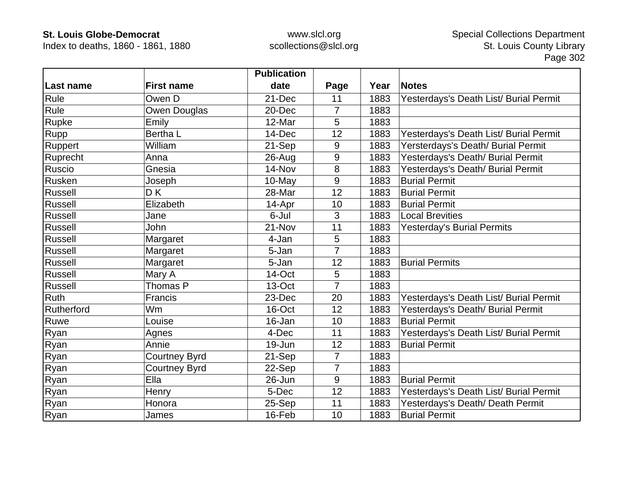Index to deaths, 1860 - 1861, 1880

|            |                      | <b>Publication</b> |                |      |                                        |
|------------|----------------------|--------------------|----------------|------|----------------------------------------|
| Last name  | <b>First name</b>    | date               | Page           | Year | <b>Notes</b>                           |
| Rule       | Owen D               | 21-Dec             | 11             | 1883 | Yesterdays's Death List/ Burial Permit |
| Rule       | Owen Douglas         | 20-Dec             | $\overline{7}$ | 1883 |                                        |
| Rupke      | Emily                | 12-Mar             | 5              | 1883 |                                        |
| Rupp       | Bertha L             | 14-Dec             | 12             | 1883 | Yesterdays's Death List/ Burial Permit |
| Ruppert    | William              | 21-Sep             | 9              | 1883 | Yersterdays's Death/ Burial Permit     |
| Ruprecht   | Anna                 | $26$ -Aug          | 9              | 1883 | Yesterdays's Death/ Burial Permit      |
| Ruscio     | Gnesia               | 14-Nov             | 8              | 1883 | Yesterdays's Death/ Burial Permit      |
| Rusken     | Joseph               | 10-May             | 9              | 1883 | <b>Burial Permit</b>                   |
| Russell    | D K                  | 28-Mar             | 12             | 1883 | <b>Burial Permit</b>                   |
| Russell    | Elizabeth            | 14-Apr             | 10             | 1883 | <b>Burial Permit</b>                   |
| Russell    | Jane                 | 6-Jul              | 3              | 1883 | <b>Local Brevities</b>                 |
| Russell    | John                 | 21-Nov             | 11             | 1883 | <b>Yesterday's Burial Permits</b>      |
| Russell    | Margaret             | 4-Jan              | 5              | 1883 |                                        |
| Russell    | Margaret             | 5-Jan              | $\overline{7}$ | 1883 |                                        |
| Russell    | Margaret             | 5-Jan              | 12             | 1883 | <b>Burial Permits</b>                  |
| Russell    | Mary A               | 14-Oct             | 5              | 1883 |                                        |
| Russell    | Thomas P             | 13-Oct             | $\overline{7}$ | 1883 |                                        |
| Ruth       | Francis              | 23-Dec             | 20             | 1883 | Yesterdays's Death List/ Burial Permit |
| Rutherford | Wm                   | 16-Oct             | 12             | 1883 | Yesterdays's Death/ Burial Permit      |
| Ruwe       | Louise               | 16-Jan             | 10             | 1883 | <b>Burial Permit</b>                   |
| Ryan       | Agnes                | 4-Dec              | 11             | 1883 | Yesterdays's Death List/ Burial Permit |
| Ryan       | Annie                | 19-Jun             | 12             | 1883 | <b>Burial Permit</b>                   |
| Ryan       | <b>Courtney Byrd</b> | 21-Sep             | $\overline{7}$ | 1883 |                                        |
| Ryan       | <b>Courtney Byrd</b> | 22-Sep             | $\overline{7}$ | 1883 |                                        |
| Ryan       | Ella                 | 26-Jun             | 9              | 1883 | <b>Burial Permit</b>                   |
| Ryan       | Henry                | 5-Dec              | 12             | 1883 | Yesterdays's Death List/ Burial Permit |
| Ryan       | Honora               | 25-Sep             | 11             | 1883 | Yesterdays's Death/ Death Permit       |
| Ryan       | James                | 16-Feb             | 10             | 1883 | <b>Burial Permit</b>                   |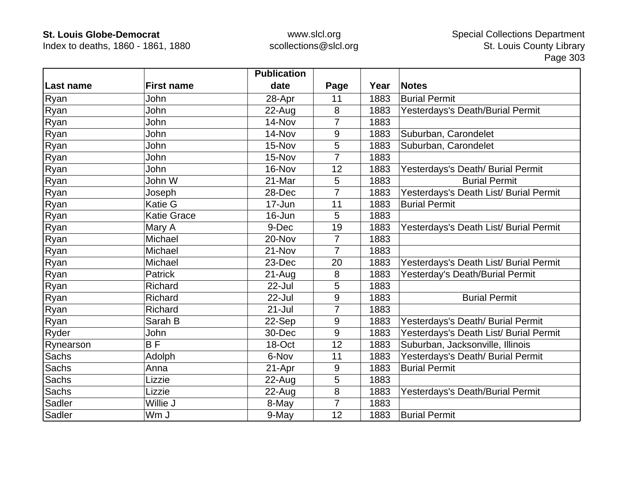Index to deaths, 1860 - 1861, 1880

|           |                    | <b>Publication</b> |                |      |                                        |
|-----------|--------------------|--------------------|----------------|------|----------------------------------------|
| Last name | <b>First name</b>  | date               | Page           | Year | <b>Notes</b>                           |
| Ryan      | John               | 28-Apr             | 11             | 1883 | <b>Burial Permit</b>                   |
| Ryan      | John               | $22$ -Aug          | 8              | 1883 | Yesterdays's Death/Burial Permit       |
| Ryan      | John               | 14-Nov             | 7              | 1883 |                                        |
| Ryan      | John               | 14-Nov             | 9              | 1883 | Suburban, Carondelet                   |
| Ryan      | John               | 15-Nov             | 5              | 1883 | Suburban, Carondelet                   |
| Ryan      | John               | 15-Nov             | 7              | 1883 |                                        |
| Ryan      | John               | 16-Nov             | 12             | 1883 | Yesterdays's Death/ Burial Permit      |
| Ryan      | John W             | 21-Mar             | 5              | 1883 | <b>Burial Permit</b>                   |
| Ryan      | Joseph             | 28-Dec             | 7              | 1883 | Yesterdays's Death List/ Burial Permit |
| Ryan      | Katie G            | 17-Jun             | 11             | 1883 | <b>Burial Permit</b>                   |
| Ryan      | <b>Katie Grace</b> | 16-Jun             | 5              | 1883 |                                        |
| Ryan      | Mary A             | 9-Dec              | 19             | 1883 | Yesterdays's Death List/ Burial Permit |
| Ryan      | Michael            | 20-Nov             | $\overline{7}$ | 1883 |                                        |
| Ryan      | Michael            | 21-Nov             | 7              | 1883 |                                        |
| Ryan      | Michael            | 23-Dec             | 20             | 1883 | Yesterdays's Death List/ Burial Permit |
| Ryan      | Patrick            | $21 - Aug$         | 8              | 1883 | Yesterday's Death/Burial Permit        |
| Ryan      | Richard            | 22-Jul             | 5              | 1883 |                                        |
| Ryan      | Richard            | 22-Jul             | 9              | 1883 | <b>Burial Permit</b>                   |
| Ryan      | Richard            | $21 -$ Jul         | 7              | 1883 |                                        |
| Ryan      | Sarah B            | 22-Sep             | 9              | 1883 | Yesterdays's Death/ Burial Permit      |
| Ryder     | John               | 30-Dec             | 9              | 1883 | Yesterdays's Death List/ Burial Permit |
| Rynearson | $\overline{BF}$    | 18-Oct             | 12             | 1883 | Suburban, Jacksonville, Illinois       |
| Sachs     | Adolph             | 6-Nov              | 11             | 1883 | Yesterdays's Death/ Burial Permit      |
| Sachs     | Anna               | 21-Apr             | 9              | 1883 | <b>Burial Permit</b>                   |
| Sachs     | Lizzie             | $22$ -Aug          | 5              | 1883 |                                        |
| Sachs     | Lizzie             | 22-Aug             | 8              | 1883 | Yesterdays's Death/Burial Permit       |
| Sadler    | Willie J           | 8-May              | 7              | 1883 |                                        |
| Sadler    | Wm J               | 9-May              | 12             | 1883 | <b>Burial Permit</b>                   |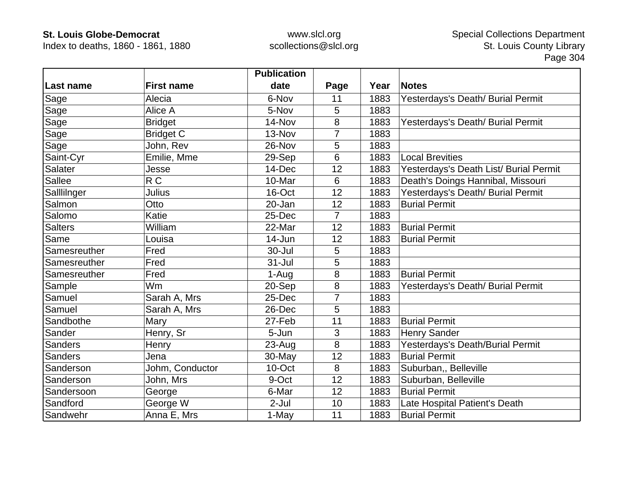Index to deaths, 1860 - 1861, 1880

|                |                   | <b>Publication</b> |      |      |                                        |
|----------------|-------------------|--------------------|------|------|----------------------------------------|
| Last name      | <b>First name</b> | date               | Page | Year | <b>Notes</b>                           |
| Sage           | Alecia            | 6-Nov              | 11   | 1883 | Yesterdays's Death/ Burial Permit      |
| Sage           | Alice A           | 5-Nov              | 5    | 1883 |                                        |
| Sage           | <b>Bridget</b>    | 14-Nov             | 8    | 1883 | Yesterdays's Death/ Burial Permit      |
| Sage           | <b>Bridget C</b>  | 13-Nov             | 7    | 1883 |                                        |
| Sage           | John, Rev         | 26-Nov             | 5    | 1883 |                                        |
| Saint-Cyr      | Emilie, Mme       | 29-Sep             | 6    | 1883 | <b>Local Brevities</b>                 |
| <b>Salater</b> | Jesse             | 14-Dec             | 12   | 1883 | Yesterdays's Death List/ Burial Permit |
| Sallee         | R <sub>C</sub>    | 10-Mar             | 6    | 1883 | Death's Doings Hannibal, Missouri      |
| Salllilnger    | Julius            | 16-Oct             | 12   | 1883 | Yesterdays's Death/ Burial Permit      |
| Salmon         | Otto              | 20-Jan             | 12   | 1883 | <b>Burial Permit</b>                   |
| Salomo         | Katie             | 25-Dec             | 7    | 1883 |                                        |
| <b>Salters</b> | William           | 22-Mar             | 12   | 1883 | <b>Burial Permit</b>                   |
| Same           | Louisa            | 14-Jun             | 12   | 1883 | <b>Burial Permit</b>                   |
| Samesreuther   | Fred              | 30-Jul             | 5    | 1883 |                                        |
| Samesreuther   | Fred              | $31 -$ Jul         | 5    | 1883 |                                        |
| Samesreuther   | Fred              | 1-Aug              | 8    | 1883 | <b>Burial Permit</b>                   |
| Sample         | <b>Wm</b>         | 20-Sep             | 8    | 1883 | Yesterdays's Death/ Burial Permit      |
| Samuel         | Sarah A, Mrs      | 25-Dec             | 7    | 1883 |                                        |
| Samuel         | Sarah A, Mrs      | 26-Dec             | 5    | 1883 |                                        |
| Sandbothe      | Mary              | 27-Feb             | 11   | 1883 | <b>Burial Permit</b>                   |
| Sander         | Henry, Sr         | 5-Jun              | 3    | 1883 | <b>Henry Sander</b>                    |
| <b>Sanders</b> | Henry             | $23 - Aug$         | 8    | 1883 | Yesterdays's Death/Burial Permit       |
| Sanders        | Jena              | $30$ -May          | 12   | 1883 | <b>Burial Permit</b>                   |
| Sanderson      | Johm, Conductor   | 10-Oct             | 8    | 1883 | Suburban,, Belleville                  |
| Sanderson      | John, Mrs         | 9-Oct              | 12   | 1883 | Suburban, Belleville                   |
| Sandersoon     | George            | 6-Mar              | 12   | 1883 | <b>Burial Permit</b>                   |
| Sandford       | George W          | $2-Jul$            | 10   | 1883 | Late Hospital Patient's Death          |
| Sandwehr       | Anna E, Mrs       | 1-May              | 11   | 1883 | <b>Burial Permit</b>                   |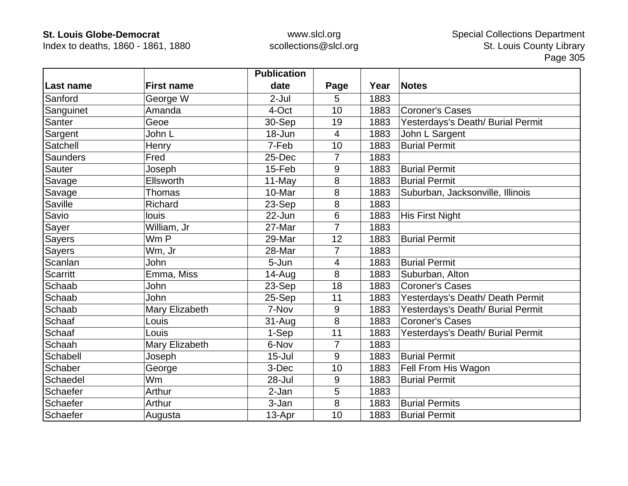Index to deaths, 1860 - 1861, 1880

|                 |                   | <b>Publication</b> |                |      |                                   |
|-----------------|-------------------|--------------------|----------------|------|-----------------------------------|
| Last name       | <b>First name</b> | date               | Page           | Year | <b>Notes</b>                      |
| Sanford         | George W          | $2-Jul$            | 5              | 1883 |                                   |
| Sanguinet       | Amanda            | 4-Oct              | 10             | 1883 | <b>Coroner's Cases</b>            |
| Santer          | Geoe              | 30-Sep             | 19             | 1883 | Yesterdays's Death/ Burial Permit |
| Sargent         | John L            | 18-Jun             | 4              | 1883 | John L Sargent                    |
| Satchell        | Henry             | 7-Feb              | 10             | 1883 | <b>Burial Permit</b>              |
| <b>Saunders</b> | Fred              | 25-Dec             | $\overline{7}$ | 1883 |                                   |
| Sauter          | Joseph            | 15-Feb             | 9              | 1883 | <b>Burial Permit</b>              |
| Savage          | Ellsworth         | 11-May             | 8              | 1883 | <b>Burial Permit</b>              |
| Savage          | Thomas            | 10-Mar             | 8              | 1883 | Suburban, Jacksonville, Illinois  |
| Saville         | Richard           | 23-Sep             | 8              | 1883 |                                   |
| Savio           | louis             | 22-Jun             | 6              | 1883 | <b>His First Night</b>            |
| Sayer           | William, Jr       | 27-Mar             | $\overline{7}$ | 1883 |                                   |
| Sayers          | Wm P              | 29-Mar             | 12             | 1883 | <b>Burial Permit</b>              |
| <b>Sayers</b>   | Wm, Jr            | 28-Mar             | $\overline{7}$ | 1883 |                                   |
| Scanlan         | John              | 5-Jun              | 4              | 1883 | <b>Burial Permit</b>              |
| <b>Scarritt</b> | Emma, Miss        | 14-Aug             | 8              | 1883 | Suburban, Alton                   |
| Schaab          | John              | 23-Sep             | 18             | 1883 | <b>Coroner's Cases</b>            |
| Schaab          | <b>John</b>       | 25-Sep             | 11             | 1883 | Yesterdays's Death/ Death Permit  |
| Schaab          | Mary Elizabeth    | 7-Nov              | 9              | 1883 | Yesterdays's Death/ Burial Permit |
| Schaaf          | Louis             | 31-Aug             | 8              | 1883 | <b>Coroner's Cases</b>            |
| Schaaf          | Louis             | 1-Sep              | 11             | 1883 | Yesterdays's Death/ Burial Permit |
| Schaah          | Mary Elizabeth    | 6-Nov              | $\overline{7}$ | 1883 |                                   |
| Schabell        | Joseph            | $15 -$ Jul         | 9              | 1883 | <b>Burial Permit</b>              |
| Schaber         | George            | 3-Dec              | 10             | 1883 | Fell From His Wagon               |
| Schaedel        | Wm                | 28-Jul             | 9              | 1883 | <b>Burial Permit</b>              |
| Schaefer        | Arthur            | 2-Jan              | 5              | 1883 |                                   |
| Schaefer        | Arthur            | 3-Jan              | 8              | 1883 | <b>Burial Permits</b>             |
| Schaefer        | Augusta           | 13-Apr             | 10             | 1883 | <b>Burial Permit</b>              |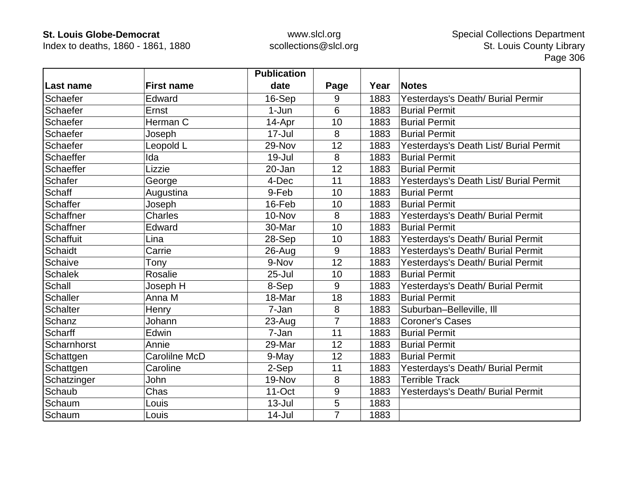Index to deaths, 1860 - 1861, 1880

|                  |                   | <b>Publication</b> |                |      |                                        |
|------------------|-------------------|--------------------|----------------|------|----------------------------------------|
| Last name        | <b>First name</b> | date               | Page           | Year | <b>Notes</b>                           |
| Schaefer         | Edward            | 16-Sep             | 9              | 1883 | Yesterdays's Death/ Burial Permir      |
| Schaefer         | Ernst             | $1-Jun$            | 6              | 1883 | <b>Burial Permit</b>                   |
| Schaefer         | Herman C          | 14-Apr             | 10             | 1883 | <b>Burial Permit</b>                   |
| Schaefer         | Joseph            | $17 -$ Jul         | 8              | 1883 | <b>Burial Permit</b>                   |
| Schaefer         | Leopold L         | 29-Nov             | 12             | 1883 | Yesterdays's Death List/ Burial Permit |
| Schaeffer        | Ida               | 19-Jul             | 8              | 1883 | <b>Burial Permit</b>                   |
| Schaeffer        | Lizzie            | 20-Jan             | 12             | 1883 | <b>Burial Permit</b>                   |
| Schafer          | George            | 4-Dec              | 11             | 1883 | Yesterdays's Death List/ Burial Permit |
| Schaff           | Augustina         | 9-Feb              | 10             | 1883 | <b>Burial Permt</b>                    |
| Schaffer         | Joseph            | 16-Feb             | 10             | 1883 | <b>Burial Permit</b>                   |
| Schaffner        | <b>Charles</b>    | 10-Nov             | 8              | 1883 | Yesterdays's Death/ Burial Permit      |
| Schaffner        | Edward            | 30-Mar             | 10             | 1883 | <b>Burial Permit</b>                   |
| <b>Schaffuit</b> | Lina              | 28-Sep             | 10             | 1883 | Yesterdays's Death/ Burial Permit      |
| Schaidt          | Carrie            | 26-Aug             | 9              | 1883 | Yesterdays's Death/ Burial Permit      |
| Schaive          | Tony              | 9-Nov              | 12             | 1883 | Yesterdays's Death/ Burial Permit      |
| <b>Schalek</b>   | <b>Rosalie</b>    | $25 -$ Jul         | 10             | 1883 | <b>Burial Permit</b>                   |
| Schall           | Joseph H          | 8-Sep              | 9              | 1883 | Yesterdays's Death/ Burial Permit      |
| Schaller         | Anna M            | 18-Mar             | 18             | 1883 | <b>Burial Permit</b>                   |
| <b>Schalter</b>  | Henry             | 7-Jan              | 8              | 1883 | Suburban-Belleville, III               |
| Schanz           | Johann            | 23-Aug             | $\overline{7}$ | 1883 | <b>Coroner's Cases</b>                 |
| Scharff          | Edwin             | 7-Jan              | 11             | 1883 | <b>Burial Permit</b>                   |
| Scharnhorst      | Annie             | 29-Mar             | 12             | 1883 | <b>Burial Permit</b>                   |
| Schattgen        | Carolilne McD     | 9-May              | 12             | 1883 | <b>Burial Permit</b>                   |
| Schattgen        | Caroline          | 2-Sep              | 11             | 1883 | Yesterdays's Death/ Burial Permit      |
| Schatzinger      | John              | 19-Nov             | 8              | 1883 | <b>Terrible Track</b>                  |
| Schaub           | Chas              | $11-Oct$           | 9              | 1883 | Yesterdays's Death/ Burial Permit      |
| Schaum           | Louis             | $13 -$ Jul         | 5              | 1883 |                                        |
| Schaum           | Louis             | 14-Jul             | $\overline{7}$ | 1883 |                                        |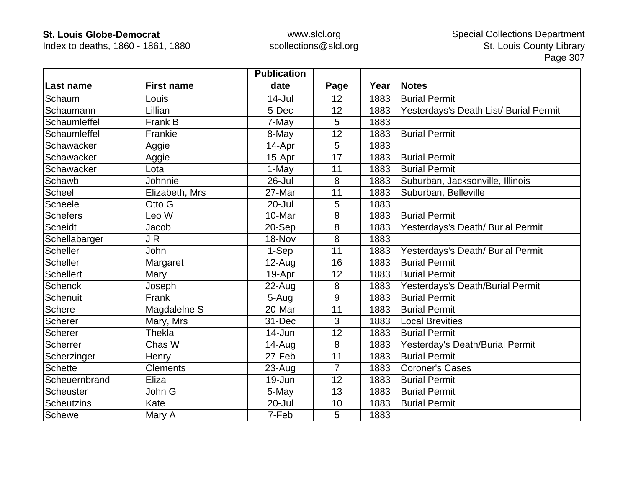Index to deaths, 1860 - 1861, 1880

|                   |                   | <b>Publication</b> |                |      |                                        |
|-------------------|-------------------|--------------------|----------------|------|----------------------------------------|
| Last name         | <b>First name</b> | date               | Page           | Year | <b>Notes</b>                           |
| Schaum            | Louis             | $14 -$ Jul         | 12             | 1883 | <b>Burial Permit</b>                   |
| Schaumann         | Lillian           | 5-Dec              | 12             | 1883 | Yesterdays's Death List/ Burial Permit |
| Schaumleffel      | Frank B           | 7-May              | 5              | 1883 |                                        |
| Schaumleffel      | Frankie           | 8-May              | 12             | 1883 | <b>Burial Permit</b>                   |
| Schawacker        | Aggie             | 14-Apr             | 5              | 1883 |                                        |
| Schawacker        | Aggie             | 15-Apr             | 17             | 1883 | <b>Burial Permit</b>                   |
| Schawacker        | Lota              | 1-May              | 11             | 1883 | <b>Burial Permit</b>                   |
| Schawb            | Johnnie           | 26-Jul             | 8              | 1883 | Suburban, Jacksonville, Illinois       |
| Scheel            | Elizabeth, Mrs    | 27-Mar             | 11             | 1883 | Suburban, Belleville                   |
| Scheele           | Otto G            | $20 -$ Jul         | 5              | 1883 |                                        |
| <b>Schefers</b>   | Leo W             | 10-Mar             | 8              | 1883 | <b>Burial Permit</b>                   |
| <b>Scheidt</b>    | Jacob             | 20-Sep             | 8              | 1883 | Yesterdays's Death/ Burial Permit      |
| Schellabarger     | JR                | 18-Nov             | 8              | 1883 |                                        |
| <b>Scheller</b>   | John              | 1-Sep              | 11             | 1883 | Yesterdays's Death/ Burial Permit      |
| <b>Scheller</b>   | Margaret          | $12-Auq$           | 16             | 1883 | <b>Burial Permit</b>                   |
| <b>Schellert</b>  | Mary              | 19-Apr             | 12             | 1883 | <b>Burial Permit</b>                   |
| <b>Schenck</b>    | Joseph            | 22-Aug             | 8              | 1883 | Yesterdays's Death/Burial Permit       |
| Schenuit          | Frank             | 5-Aug              | 9              | 1883 | <b>Burial Permit</b>                   |
| <b>Schere</b>     | Magdalelne S      | 20-Mar             | 11             | 1883 | <b>Burial Permit</b>                   |
| Scherer           | Mary, Mrs         | 31-Dec             | 3              | 1883 | <b>Local Brevities</b>                 |
| <b>Scherer</b>    | <b>Thekla</b>     | 14-Jun             | 12             | 1883 | <b>Burial Permit</b>                   |
| Scherrer          | Chas W            | $14 - Aug$         | 8              | 1883 | Yesterday's Death/Burial Permit        |
| Scherzinger       | Henry             | 27-Feb             | 11             | 1883 | <b>Burial Permit</b>                   |
| <b>Schette</b>    | <b>Clements</b>   | 23-Aug             | $\overline{7}$ | 1883 | <b>Coroner's Cases</b>                 |
| Scheuernbrand     | Eliza             | 19-Jun             | 12             | 1883 | <b>Burial Permit</b>                   |
| Scheuster         | John G            | 5-May              | 13             | 1883 | <b>Burial Permit</b>                   |
| <b>Scheutzins</b> | Kate              | 20-Jul             | 10             | 1883 | <b>Burial Permit</b>                   |
| Schewe            | Mary A            | 7-Feb              | 5              | 1883 |                                        |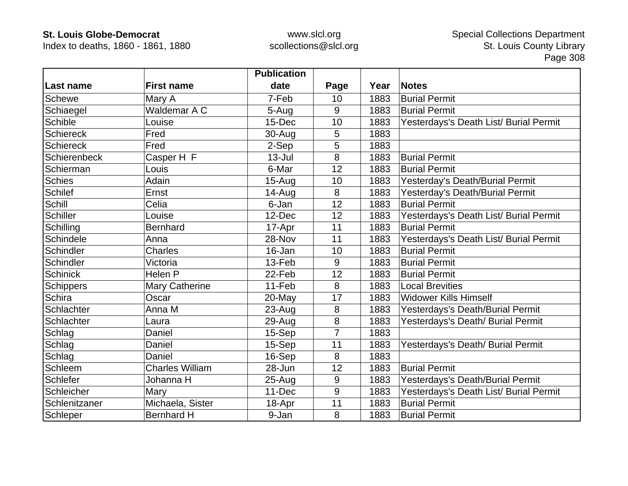Index to deaths, 1860 - 1861, 1880

|                  |                        | <b>Publication</b> |                |      |                                        |
|------------------|------------------------|--------------------|----------------|------|----------------------------------------|
| Last name        | <b>First name</b>      | date               | Page           | Year | <b>Notes</b>                           |
| Schewe           | Mary A                 | 7-Feb              | 10             | 1883 | <b>Burial Permit</b>                   |
| Schiaegel        | Waldemar A C           | 5-Aug              | 9              | 1883 | <b>Burial Permit</b>                   |
| Schible          | Louise                 | 15-Dec             | 10             | 1883 | Yesterdays's Death List/ Burial Permit |
| <b>Schiereck</b> | Fred                   | 30-Aug             | 5              | 1883 |                                        |
| <b>Schiereck</b> | Fred                   | 2-Sep              | 5              | 1883 |                                        |
| Schierenbeck     | Casper H F             | $13 -$ Jul         | 8              | 1883 | <b>Burial Permit</b>                   |
| Schierman        | Louis                  | 6-Mar              | 12             | 1883 | <b>Burial Permit</b>                   |
| <b>Schies</b>    | Adain                  | $15-Auq$           | 10             | 1883 | Yesterday's Death/Burial Permit        |
| <b>Schilef</b>   | Ernst                  | $14 - Aug$         | 8              | 1883 | Yesterday's Death/Burial Permit        |
| Schill           | Celia                  | 6-Jan              | 12             | 1883 | <b>Burial Permit</b>                   |
| <b>Schiller</b>  | Louise                 | 12-Dec             | 12             | 1883 | Yesterdays's Death List/ Burial Permit |
| Schilling        | <b>Bernhard</b>        | 17-Apr             | 11             | 1883 | <b>Burial Permit</b>                   |
| Schindele        | Anna                   | 28-Nov             | 11             | 1883 | Yesterdays's Death List/ Burial Permit |
| Schindler        | <b>Charles</b>         | 16-Jan             | 10             | 1883 | <b>Burial Permit</b>                   |
| Schindler        | Victoria               | 13-Feb             | 9              | 1883 | <b>Burial Permit</b>                   |
| <b>Schinick</b>  | Helen P                | 22-Feb             | 12             | 1883 | <b>Burial Permit</b>                   |
| Schippers        | <b>Mary Catherine</b>  | 11-Feb             | 8              | 1883 | <b>Local Brevities</b>                 |
| Schira           | Oscar                  | 20-May             | 17             | 1883 | <b>Widower Kills Himself</b>           |
| Schlachter       | Anna M                 | $23 - Aug$         | 8              | 1883 | Yesterdays's Death/Burial Permit       |
| Schlachter       | Laura                  | 29-Aug             | 8              | 1883 | Yesterdays's Death/ Burial Permit      |
| Schlag           | Daniel                 | 15-Sep             | $\overline{7}$ | 1883 |                                        |
| Schlag           | Daniel                 | 15-Sep             | 11             | 1883 | Yesterdays's Death/ Burial Permit      |
| Schlag           | Daniel                 | 16-Sep             | 8              | 1883 |                                        |
| Schleem          | <b>Charles William</b> | 28-Jun             | 12             | 1883 | <b>Burial Permit</b>                   |
| Schlefer         | Johanna H              | 25-Aug             | 9              | 1883 | Yesterdays's Death/Burial Permit       |
| Schleicher       | Mary                   | 11-Dec             | 9              | 1883 | Yesterdays's Death List/ Burial Permit |
| Schlenitzaner    | Michaela, Sister       | 18-Apr             | 11             | 1883 | <b>Burial Permit</b>                   |
| Schleper         | <b>Bernhard H</b>      | 9-Jan              | 8              | 1883 | <b>Burial Permit</b>                   |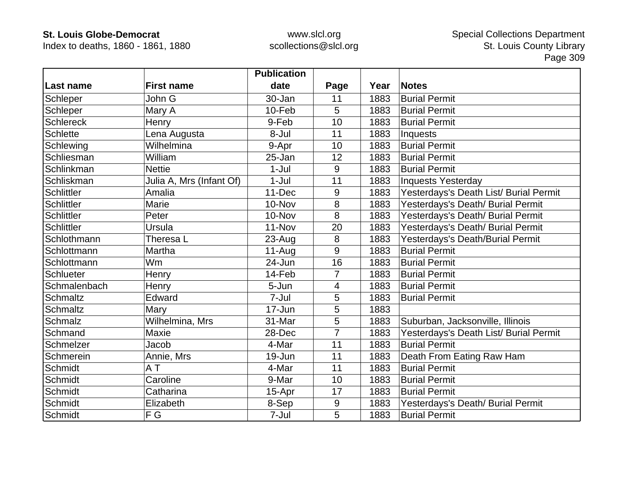Index to deaths, 1860 - 1861, 1880

|                   |                          | <b>Publication</b> |                |      |                                        |
|-------------------|--------------------------|--------------------|----------------|------|----------------------------------------|
| Last name         | <b>First name</b>        | date               | Page           | Year | <b>Notes</b>                           |
| Schleper          | John G                   | 30-Jan             | 11             | 1883 | <b>Burial Permit</b>                   |
| Schleper          | Mary A                   | 10-Feb             | 5              | 1883 | <b>Burial Permit</b>                   |
| <b>Schlereck</b>  | Henry                    | 9-Feb              | 10             | 1883 | <b>Burial Permit</b>                   |
| <b>Schlette</b>   | Lena Augusta             | 8-Jul              | 11             | 1883 | Inquests                               |
| Schlewing         | Wilhelmina               | 9-Apr              | 10             | 1883 | <b>Burial Permit</b>                   |
| Schliesman        | William                  | 25-Jan             | 12             | 1883 | <b>Burial Permit</b>                   |
| Schlinkman        | <b>Nettie</b>            | $1-Jul$            | 9              | 1883 | <b>Burial Permit</b>                   |
| Schliskman        | Julia A, Mrs (Infant Of) | $1-Jul$            | 11             | 1883 | <b>Inquests Yesterday</b>              |
| <b>Schlittler</b> | Amalia                   | 11-Dec             | 9              | 1883 | Yesterdays's Death List/ Burial Permit |
| <b>Schlittler</b> | Marie                    | 10-Nov             | 8              | 1883 | Yesterdays's Death/ Burial Permit      |
| <b>Schlittler</b> | Peter                    | 10-Nov             | 8              | 1883 | Yesterdays's Death/ Burial Permit      |
| Schlittler        | Ursula                   | 11-Nov             | 20             | 1883 | Yesterdays's Death/ Burial Permit      |
| Schlothmann       | Theresa L                | 23-Aug             | 8              | 1883 | Yesterdays's Death/Burial Permit       |
| Schlottmann       | Martha                   | $11-Auq$           | 9              | 1883 | <b>Burial Permit</b>                   |
| Schlottmann       | Wm                       | 24-Jun             | 16             | 1883 | <b>Burial Permit</b>                   |
| Schlueter         | Henry                    | 14-Feb             | $\overline{7}$ | 1883 | <b>Burial Permit</b>                   |
| Schmalenbach      | Henry                    | 5-Jun              | $\overline{4}$ | 1883 | <b>Burial Permit</b>                   |
| Schmaltz          | Edward                   | 7-Jul              | 5              | 1883 | <b>Burial Permit</b>                   |
| <b>Schmaltz</b>   | Mary                     | 17-Jun             | 5              | 1883 |                                        |
| <b>Schmalz</b>    | Wilhelmina, Mrs          | 31-Mar             | 5              | 1883 | Suburban, Jacksonville, Illinois       |
| Schmand           | Maxie                    | 28-Dec             | $\overline{7}$ | 1883 | Yesterdays's Death List/ Burial Permit |
| Schmelzer         | Jacob                    | 4-Mar              | 11             | 1883 | <b>Burial Permit</b>                   |
| Schmerein         | Annie, Mrs               | 19-Jun             | 11             | 1883 | Death From Eating Raw Ham              |
| Schmidt           | AT                       | 4-Mar              | 11             | 1883 | <b>Burial Permit</b>                   |
| Schmidt           | Caroline                 | 9-Mar              | 10             | 1883 | <b>Burial Permit</b>                   |
| Schmidt           | Catharina                | 15-Apr             | 17             | 1883 | <b>Burial Permit</b>                   |
| Schmidt           | Elizabeth                | 8-Sep              | $9\,$          | 1883 | Yesterdays's Death/ Burial Permit      |
| Schmidt           | F G                      | 7-Jul              | 5              | 1883 | <b>Burial Permit</b>                   |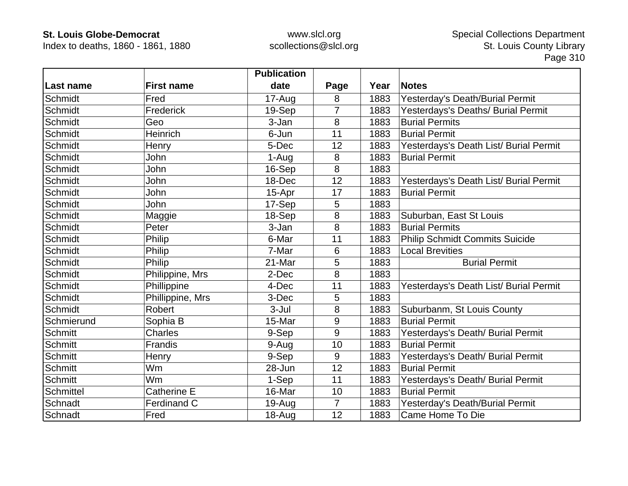Index to deaths, 1860 - 1861, 1880

|                |                    | <b>Publication</b> |                |      |                                        |
|----------------|--------------------|--------------------|----------------|------|----------------------------------------|
| Last name      | <b>First name</b>  | date               | Page           | Year | <b>Notes</b>                           |
| Schmidt        | Fred               | 17-Aug             | 8              | 1883 | Yesterday's Death/Burial Permit        |
| <b>Schmidt</b> | Frederick          | 19-Sep             | $\overline{7}$ | 1883 | Yesterdays's Deaths/ Burial Permit     |
| Schmidt        | Geo                | 3-Jan              | 8              | 1883 | <b>Burial Permits</b>                  |
| Schmidt        | Heinrich           | 6-Jun              | 11             | 1883 | <b>Burial Permit</b>                   |
| <b>Schmidt</b> | Henry              | 5-Dec              | 12             | 1883 | Yesterdays's Death List/ Burial Permit |
| <b>Schmidt</b> | John               | 1-Aug              | 8              | 1883 | <b>Burial Permit</b>                   |
| Schmidt        | John               | 16-Sep             | 8              | 1883 |                                        |
| Schmidt        | John               | 18-Dec             | 12             | 1883 | Yesterdays's Death List/ Burial Permit |
| <b>Schmidt</b> | John               | 15-Apr             | 17             | 1883 | <b>Burial Permit</b>                   |
| Schmidt        | John               | 17-Sep             | 5              | 1883 |                                        |
| Schmidt        | Maggie             | 18-Sep             | 8              | 1883 | Suburban, East St Louis                |
| Schmidt        | Peter              | 3-Jan              | 8              | 1883 | <b>Burial Permits</b>                  |
| Schmidt        | Philip             | 6-Mar              | 11             | 1883 | <b>Philip Schmidt Commits Suicide</b>  |
| Schmidt        | Philip             | 7-Mar              | 6              | 1883 | <b>Local Brevities</b>                 |
| Schmidt        | Philip             | 21-Mar             | 5              | 1883 | <b>Burial Permit</b>                   |
| Schmidt        | Philippine, Mrs    | 2-Dec              | 8              | 1883 |                                        |
| Schmidt        | Phillippine        | 4-Dec              | 11             | 1883 | Yesterdays's Death List/ Burial Permit |
| Schmidt        | Phillippine, Mrs   | 3-Dec              | 5              | 1883 |                                        |
| Schmidt        | Robert             | 3-Jul              | 8              | 1883 | Suburbanm, St Louis County             |
| Schmierund     | Sophia B           | 15-Mar             | 9              | 1883 | <b>Burial Permit</b>                   |
| <b>Schmitt</b> | <b>Charles</b>     | 9-Sep              | 9              | 1883 | Yesterdays's Death/ Burial Permit      |
| <b>Schmitt</b> | Frandis            | 9-Aug              | 10             | 1883 | <b>Burial Permit</b>                   |
| <b>Schmitt</b> | Henry              | 9-Sep              | 9              | 1883 | Yesterdays's Death/ Burial Permit      |
| Schmitt        | Wm                 | 28-Jun             | 12             | 1883 | <b>Burial Permit</b>                   |
| <b>Schmitt</b> | Wm                 | 1-Sep              | 11             | 1883 | Yesterdays's Death/ Burial Permit      |
| Schmittel      | <b>Catherine E</b> | 16-Mar             | 10             | 1883 | <b>Burial Permit</b>                   |
| Schnadt        | <b>Ferdinand C</b> | $19-Auq$           | $\overline{7}$ | 1883 | Yesterday's Death/Burial Permit        |
| Schnadt        | Fred               | $18 - Aug$         | 12             | 1883 | Came Home To Die                       |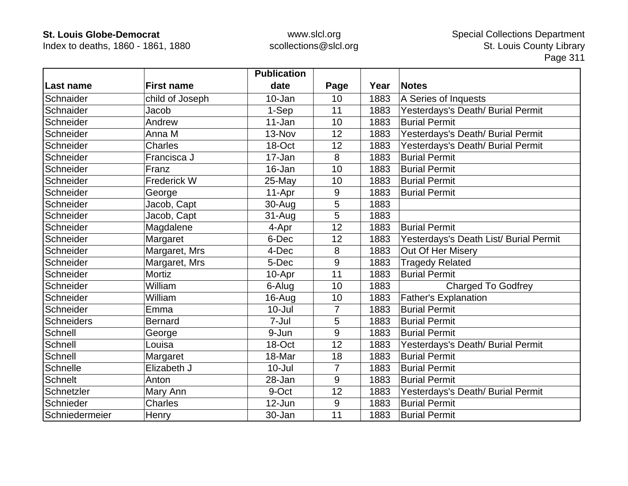Index to deaths, 1860 - 1861, 1880

|                   |                   | <b>Publication</b> |                |      |                                        |
|-------------------|-------------------|--------------------|----------------|------|----------------------------------------|
| ∣Last name        | <b>First name</b> | date               | Page           | Year | <b>Notes</b>                           |
| Schnaider         | child of Joseph   | 10-Jan             | 10             | 1883 | A Series of Inquests                   |
| Schnaider         | Jacob             | 1-Sep              | 11             | 1883 | Yesterdays's Death/ Burial Permit      |
| Schneider         | Andrew            | 11-Jan             | 10             | 1883 | <b>Burial Permit</b>                   |
| Schneider         | Anna M            | 13-Nov             | 12             | 1883 | Yesterdays's Death/ Burial Permit      |
| Schneider         | <b>Charles</b>    | 18-Oct             | 12             | 1883 | Yesterdays's Death/ Burial Permit      |
| Schneider         | Francisca J       | 17-Jan             | 8              | 1883 | <b>Burial Permit</b>                   |
| Schneider         | Franz             | 16-Jan             | 10             | 1883 | <b>Burial Permit</b>                   |
| Schneider         | Frederick W       | 25-May             | 10             | 1883 | <b>Burial Permit</b>                   |
| Schneider         | George            | 11-Apr             | 9              | 1883 | <b>Burial Permit</b>                   |
| Schneider         | Jacob, Capt       | 30-Aug             | 5              | 1883 |                                        |
| Schneider         | Jacob, Capt       | $31 - Aug$         | 5              | 1883 |                                        |
| Schneider         | Magdalene         | 4-Apr              | 12             | 1883 | <b>Burial Permit</b>                   |
| Schneider         | Margaret          | 6-Dec              | 12             | 1883 | Yesterdays's Death List/ Burial Permit |
| Schneider         | Margaret, Mrs     | 4-Dec              | 8              | 1883 | Out Of Her Misery                      |
| Schneider         | Margaret, Mrs     | 5-Dec              | 9              | 1883 | <b>Tragedy Related</b>                 |
| Schneider         | <b>Mortiz</b>     | 10-Apr             | 11             | 1883 | <b>Burial Permit</b>                   |
| Schneider         | William           | 6-Alug             | 10             | 1883 | <b>Charged To Godfrey</b>              |
| Schneider         | William           | 16-Aug             | 10             | 1883 | <b>Father's Explanation</b>            |
| Schneider         | Emma              | $10 -$ Jul         | 7              | 1883 | <b>Burial Permit</b>                   |
| <b>Schneiders</b> | <b>Bernard</b>    | 7-Jul              | 5              | 1883 | <b>Burial Permit</b>                   |
| Schnell           | George            | 9-Jun              | 9              | 1883 | <b>Burial Permit</b>                   |
| Schnell           | Louisa            | 18-Oct             | 12             | 1883 | Yesterdays's Death/ Burial Permit      |
| Schnell           | Margaret          | 18-Mar             | 18             | 1883 | <b>Burial Permit</b>                   |
| Schnelle          | Elizabeth J       | $10 -$ Jul         | $\overline{7}$ | 1883 | <b>Burial Permit</b>                   |
| <b>Schnelt</b>    | Anton             | 28-Jan             | 9              | 1883 | <b>Burial Permit</b>                   |
| Schnetzler        | Mary Ann          | 9-Oct              | 12             | 1883 | Yesterdays's Death/ Burial Permit      |
| Schnieder         | <b>Charles</b>    | $12$ -Jun          | 9              | 1883 | <b>Burial Permit</b>                   |
| Schniedermeier    | Henry             | 30-Jan             | 11             | 1883 | <b>Burial Permit</b>                   |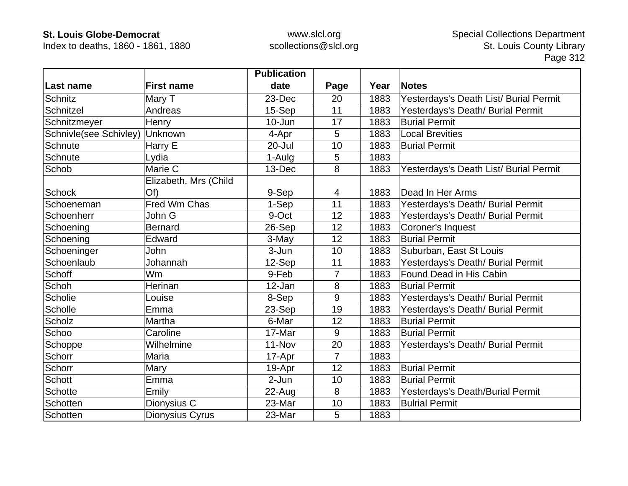Index to deaths, 1860 - 1861, 1880

|                        |                       | <b>Publication</b> |                |      |                                        |
|------------------------|-----------------------|--------------------|----------------|------|----------------------------------------|
| Last name              | <b>First name</b>     | date               | Page           | Year | <b>Notes</b>                           |
| <b>Schnitz</b>         | Mary T                | 23-Dec             | 20             | 1883 | Yesterdays's Death List/ Burial Permit |
| Schnitzel              | Andreas               | 15-Sep             | 11             | 1883 | Yesterdays's Death/ Burial Permit      |
| Schnitzmeyer           | Henry                 | $10 - Jun$         | 17             | 1883 | <b>Burial Permit</b>                   |
| Schnivle(see Schivley) | Unknown               | 4-Apr              | 5              | 1883 | <b>Local Brevities</b>                 |
| Schnute                | Harry E               | 20-Jul             | 10             | 1883 | <b>Burial Permit</b>                   |
| Schnute                | Lydia                 | 1-Aulg             | 5              | 1883 |                                        |
| Schob                  | Marie C               | 13-Dec             | 8              | 1883 | Yesterdays's Death List/ Burial Permit |
|                        | Elizabeth, Mrs (Child |                    |                |      |                                        |
| <b>Schock</b>          | Of)                   | 9-Sep              | 4              | 1883 | Dead In Her Arms                       |
| Schoeneman             | Fred Wm Chas          | 1-Sep              | 11             | 1883 | Yesterdays's Death/ Burial Permit      |
| Schoenherr             | John G                | 9-Oct              | 12             | 1883 | Yesterdays's Death/ Burial Permit      |
| Schoening              | <b>Bernard</b>        | 26-Sep             | 12             | 1883 | Coroner's Inquest                      |
| Schoening              | Edward                | 3-May              | 12             | 1883 | <b>Burial Permit</b>                   |
| Schoeninger            | John                  | 3-Jun              | 10             | 1883 | Suburban, East St Louis                |
| Schoenlaub             | Johannah              | 12-Sep             | 11             | 1883 | Yesterdays's Death/ Burial Permit      |
| Schoff                 | Wm                    | 9-Feb              | $\overline{7}$ | 1883 | Found Dead in His Cabin                |
| <b>Schoh</b>           | Herinan               | 12-Jan             | 8              | 1883 | <b>Burial Permit</b>                   |
| Scholie                | Louise                | 8-Sep              | 9              | 1883 | Yesterdays's Death/ Burial Permit      |
| Scholle                | Emma                  | 23-Sep             | 19             | 1883 | Yesterdays's Death/ Burial Permit      |
| Scholz                 | Martha                | 6-Mar              | 12             | 1883 | <b>Burial Permit</b>                   |
| Schoo                  | Caroline              | 17-Mar             | 9              | 1883 | <b>Burial Permit</b>                   |
| Schoppe                | Wilhelmine            | 11-Nov             | 20             | 1883 | Yesterdays's Death/ Burial Permit      |
| Schorr                 | Maria                 | 17-Apr             | $\overline{7}$ | 1883 |                                        |
| Schorr                 | Mary                  | 19-Apr             | 12             | 1883 | <b>Burial Permit</b>                   |
| <b>Schott</b>          | Emma                  | $2-Jun$            | 10             | 1883 | <b>Burial Permit</b>                   |
| <b>Schotte</b>         | Emily                 | 22-Aug             | 8              | 1883 | Yesterdays's Death/Burial Permit       |
| Schotten               | Dionysius C           | 23-Mar             | 10             | 1883 | <b>Bulrial Permit</b>                  |
| Schotten               | Dionysius Cyrus       | 23-Mar             | 5              | 1883 |                                        |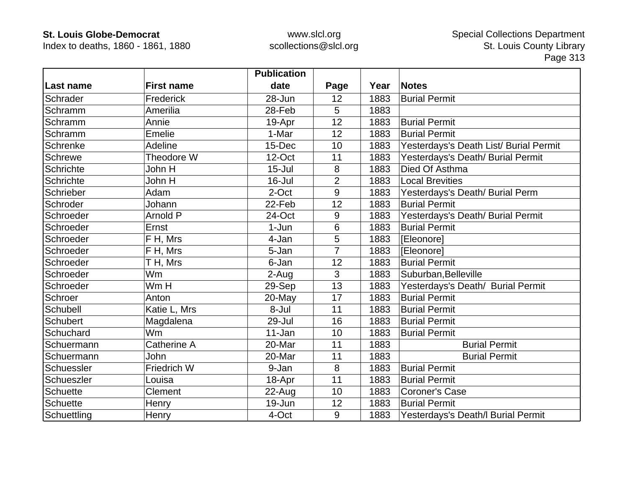Index to deaths, 1860 - 1861, 1880

|                 |                   | <b>Publication</b> |                |      |                                        |
|-----------------|-------------------|--------------------|----------------|------|----------------------------------------|
| Last name       | <b>First name</b> | date               | Page           | Year | <b>Notes</b>                           |
| Schrader        | Frederick         | 28-Jun             | 12             | 1883 | <b>Burial Permit</b>                   |
| Schramm         | Amerilia          | 28-Feb             | 5              | 1883 |                                        |
| Schramm         | Annie             | 19-Apr             | 12             | 1883 | <b>Burial Permit</b>                   |
| Schramm         | Emelie            | 1-Mar              | 12             | 1883 | <b>Burial Permit</b>                   |
| Schrenke        | <b>Adeline</b>    | 15-Dec             | 10             | 1883 | Yesterdays's Death List/ Burial Permit |
| Schrewe         | Theodore W        | 12-Oct             | 11             | 1883 | Yesterdays's Death/ Burial Permit      |
| Schrichte       | John H            | $15 -$ Jul         | 8              | 1883 | Died Of Asthma                         |
| Schrichte       | John H            | 16-Jul             | $\overline{2}$ | 1883 | <b>Local Brevities</b>                 |
| Schrieber       | Adam              | 2-Oct              | 9              | 1883 | Yesterdays's Death/ Burial Perm        |
| Schroder        | Johann            | 22-Feb             | 12             | 1883 | <b>Burial Permit</b>                   |
| Schroeder       | Arnold P          | 24-Oct             | 9              | 1883 | Yesterdays's Death/ Burial Permit      |
| Schroeder       | Ernst             | $1-Jun$            | 6              | 1883 | <b>Burial Permit</b>                   |
| Schroeder       | F H, Mrs          | 4-Jan              | 5              | 1883 | [Eleonore]                             |
| Schroeder       | F H, Mrs          | 5-Jan              | $\overline{7}$ | 1883 | [Eleonore]                             |
| Schroeder       | T H, Mrs          | 6-Jan              | 12             | 1883 | <b>Burial Permit</b>                   |
| Schroeder       | Wm                | 2-Aug              | 3              | 1883 | Suburban, Belleville                   |
| Schroeder       | Wm H              | 29-Sep             | 13             | 1883 | Yesterdays's Death/ Burial Permit      |
| Schroer         | Anton             | 20-May             | 17             | 1883 | <b>Burial Permit</b>                   |
| Schubell        | Katie L, Mrs      | 8-Jul              | 11             | 1883 | <b>Burial Permit</b>                   |
| Schubert        | Magdalena         | 29-Jul             | 16             | 1883 | <b>Burial Permit</b>                   |
| Schuchard       | Wm                | 11-Jan             | 10             | 1883 | <b>Burial Permit</b>                   |
| Schuermann      | Catherine A       | 20-Mar             | 11             | 1883 | <b>Burial Permit</b>                   |
| Schuermann      | John              | 20-Mar             | 11             | 1883 | <b>Burial Permit</b>                   |
| Schuessler      | Friedrich W       | 9-Jan              | 8              | 1883 | <b>Burial Permit</b>                   |
| Schueszler      | Louisa            | 18-Apr             | 11             | 1883 | <b>Burial Permit</b>                   |
| <b>Schuette</b> | Clement           | $22$ -Aug          | 10             | 1883 | <b>Coroner's Case</b>                  |
| <b>Schuette</b> | Henry             | 19-Jun             | 12             | 1883 | <b>Burial Permit</b>                   |
| Schuettling     | Henry             | 4-Oct              | 9              | 1883 | Yesterdays's Death/I Burial Permit     |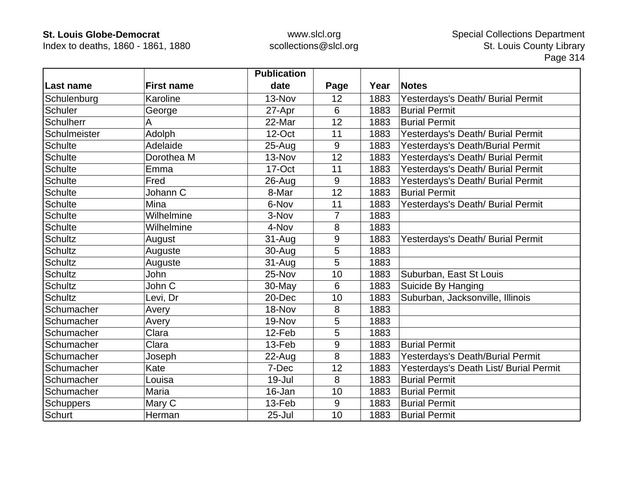Index to deaths, 1860 - 1861, 1880

|                |                   | <b>Publication</b> |      |      |                                        |
|----------------|-------------------|--------------------|------|------|----------------------------------------|
| Last name      | <b>First name</b> | date               | Page | Year | <b>Notes</b>                           |
| Schulenburg    | Karoline          | 13-Nov             | 12   | 1883 | Yesterdays's Death/ Burial Permit      |
| <b>Schuler</b> | George            | 27-Apr             | 6    | 1883 | <b>Burial Permit</b>                   |
| Schulherr      | A                 | 22-Mar             | 12   | 1883 | <b>Burial Permit</b>                   |
| Schulmeister   | Adolph            | 12-Oct             | 11   | 1883 | Yesterdays's Death/ Burial Permit      |
| <b>Schulte</b> | Adelaide          | $25 - Aug$         | 9    | 1883 | Yesterdays's Death/Burial Permit       |
| <b>Schulte</b> | Dorothea M        | 13-Nov             | 12   | 1883 | Yesterdays's Death/ Burial Permit      |
| <b>Schulte</b> | Emma              | 17-Oct             | 11   | 1883 | Yesterdays's Death/ Burial Permit      |
| <b>Schulte</b> | Fred              | 26-Aug             | 9    | 1883 | Yesterdays's Death/ Burial Permit      |
| <b>Schulte</b> | Johann C          | 8-Mar              | 12   | 1883 | <b>Burial Permit</b>                   |
| <b>Schulte</b> | Mina              | 6-Nov              | 11   | 1883 | Yesterdays's Death/ Burial Permit      |
| <b>Schulte</b> | Wilhelmine        | 3-Nov              | 7    | 1883 |                                        |
| <b>Schulte</b> | Wilhelmine        | 4-Nov              | 8    | 1883 |                                        |
| <b>Schultz</b> | August            | $31 - Aug$         | 9    | 1883 | Yesterdays's Death/ Burial Permit      |
| <b>Schultz</b> | Auguste           | 30-Aug             | 5    | 1883 |                                        |
| <b>Schultz</b> | Auguste           | $31 - Aug$         | 5    | 1883 |                                        |
| <b>Schultz</b> | John              | 25-Nov             | 10   | 1883 | Suburban, East St Louis                |
| <b>Schultz</b> | John C            | 30-May             | 6    | 1883 | Suicide By Hanging                     |
| <b>Schultz</b> | Levi, Dr          | 20-Dec             | 10   | 1883 | Suburban, Jacksonville, Illinois       |
| Schumacher     | Avery             | 18-Nov             | 8    | 1883 |                                        |
| Schumacher     | Avery             | 19-Nov             | 5    | 1883 |                                        |
| Schumacher     | Clara             | 12-Feb             | 5    | 1883 |                                        |
| Schumacher     | Clara             | 13-Feb             | 9    | 1883 | <b>Burial Permit</b>                   |
| Schumacher     | Joseph            | 22-Aug             | 8    | 1883 | Yesterdays's Death/Burial Permit       |
| Schumacher     | Kate              | 7-Dec              | 12   | 1883 | Yesterdays's Death List/ Burial Permit |
| Schumacher     | Louisa            | 19-Jul             | 8    | 1883 | <b>Burial Permit</b>                   |
| Schumacher     | Maria             | 16-Jan             | 10   | 1883 | <b>Burial Permit</b>                   |
| Schuppers      | Mary C            | 13-Feb             | 9    | 1883 | <b>Burial Permit</b>                   |
| Schurt         | Herman            | $25 -$ Jul         | 10   | 1883 | <b>Burial Permit</b>                   |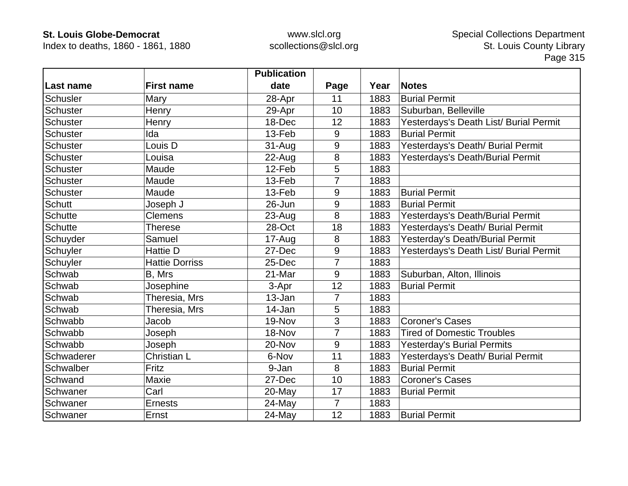Index to deaths, 1860 - 1861, 1880

|                 |                       | <b>Publication</b> |                |      |                                        |
|-----------------|-----------------------|--------------------|----------------|------|----------------------------------------|
| Last name       | <b>First name</b>     | date               | Page           | Year | <b>Notes</b>                           |
| Schusler        | Mary                  | 28-Apr             | 11             | 1883 | <b>Burial Permit</b>                   |
| Schuster        | Henry                 | 29-Apr             | 10             | 1883 | Suburban, Belleville                   |
| Schuster        | Henry                 | 18-Dec             | 12             | 1883 | Yesterdays's Death List/ Burial Permit |
| <b>Schuster</b> | Ida                   | 13-Feb             | 9              | 1883 | <b>Burial Permit</b>                   |
| Schuster        | Louis D               | $31 - Aug$         | 9              | 1883 | Yesterdays's Death/ Burial Permit      |
| Schuster        | Louisa                | 22-Aug             | 8              | 1883 | Yesterdays's Death/Burial Permit       |
| Schuster        | Maude                 | 12-Feb             | 5              | 1883 |                                        |
| Schuster        | Maude                 | 13-Feb             | $\overline{7}$ | 1883 |                                        |
| Schuster        | Maude                 | 13-Feb             | 9              | 1883 | <b>Burial Permit</b>                   |
| <b>Schutt</b>   | Joseph J              | 26-Jun             | 9              | 1883 | <b>Burial Permit</b>                   |
| <b>Schutte</b>  | <b>Clemens</b>        | 23-Aug             | 8              | 1883 | Yesterdays's Death/Burial Permit       |
| <b>Schutte</b>  | <b>Therese</b>        | 28-Oct             | 18             | 1883 | Yesterdays's Death/ Burial Permit      |
| Schuyder        | Samuel                | 17-Aug             | 8              | 1883 | Yesterday's Death/Burial Permit        |
| Schuyler        | <b>Hattie D</b>       | 27-Dec             | 9              | 1883 | Yesterdays's Death List/ Burial Permit |
| Schuyler        | <b>Hattie Dorriss</b> | 25-Dec             | $\overline{7}$ | 1883 |                                        |
| Schwab          | B, Mrs                | 21-Mar             | 9              | 1883 | Suburban, Alton, Illinois              |
| Schwab          | Josephine             | 3-Apr              | 12             | 1883 | <b>Burial Permit</b>                   |
| Schwab          | Theresia, Mrs         | 13-Jan             | $\overline{7}$ | 1883 |                                        |
| Schwab          | Theresia, Mrs         | 14-Jan             | 5              | 1883 |                                        |
| Schwabb         | Jacob                 | 19-Nov             | 3              | 1883 | <b>Coroner's Cases</b>                 |
| Schwabb         | Joseph                | 18-Nov             | $\overline{7}$ | 1883 | <b>Tired of Domestic Troubles</b>      |
| Schwabb         | Joseph                | 20-Nov             | 9              | 1883 | <b>Yesterday's Burial Permits</b>      |
| Schwaderer      | Christian L           | 6-Nov              | 11             | 1883 | Yesterdays's Death/ Burial Permit      |
| Schwalber       | Fritz                 | 9-Jan              | 8              | 1883 | <b>Burial Permit</b>                   |
| Schwand         | Maxie                 | 27-Dec             | 10             | 1883 | <b>Coroner's Cases</b>                 |
| Schwaner        | Carl                  | 20-May             | 17             | 1883 | <b>Burial Permit</b>                   |
| Schwaner        | <b>Ernests</b>        | 24-May             | $\overline{7}$ | 1883 |                                        |
| Schwaner        | Ernst                 | 24-May             | 12             | 1883 | <b>Burial Permit</b>                   |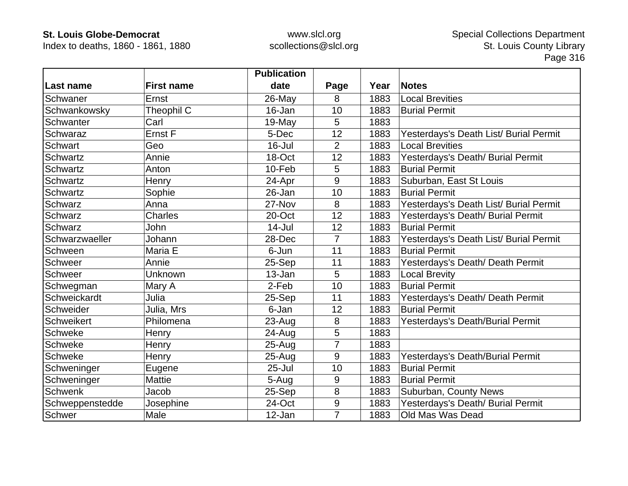Index to deaths, 1860 - 1861, 1880

|                 |                   | <b>Publication</b> |                |      |                                        |
|-----------------|-------------------|--------------------|----------------|------|----------------------------------------|
| Last name       | <b>First name</b> | date               | Page           | Year | <b>Notes</b>                           |
| Schwaner        | Ernst             | 26-May             | 8              | 1883 | <b>Local Brevities</b>                 |
| Schwankowsky    | Theophil C        | 16-Jan             | 10             | 1883 | <b>Burial Permit</b>                   |
| Schwanter       | Carl              | 19-May             | 5              | 1883 |                                        |
| Schwaraz        | Ernst F           | 5-Dec              | 12             | 1883 | Yesterdays's Death List/ Burial Permit |
| Schwart         | Geo               | $16$ -Jul          | $\overline{2}$ | 1883 | <b>Local Brevities</b>                 |
| Schwartz        | Annie             | 18-Oct             | 12             | 1883 | Yesterdays's Death/ Burial Permit      |
| Schwartz        | Anton             | 10-Feb             | 5              | 1883 | <b>Burial Permit</b>                   |
| Schwartz        | Henry             | 24-Apr             | 9              | 1883 | Suburban, East St Louis                |
| Schwartz        | Sophie            | 26-Jan             | 10             | 1883 | <b>Burial Permit</b>                   |
| Schwarz         | Anna              | 27-Nov             | 8              | 1883 | Yesterdays's Death List/ Burial Permit |
| <b>Schwarz</b>  | <b>Charles</b>    | 20-Oct             | 12             | 1883 | Yesterdays's Death/ Burial Permit      |
| <b>Schwarz</b>  | John              | $14$ -Jul          | 12             | 1883 | <b>Burial Permit</b>                   |
| Schwarzwaeller  | Johann            | 28-Dec             | $\overline{7}$ | 1883 | Yesterdays's Death List/ Burial Permit |
| Schween         | Maria E           | 6-Jun              | 11             | 1883 | <b>Burial Permit</b>                   |
| Schweer         | Annie             | 25-Sep             | 11             | 1883 | Yesterdays's Death/ Death Permit       |
| Schweer         | Unknown           | 13-Jan             | 5              | 1883 | <b>Local Brevity</b>                   |
| Schwegman       | Mary A            | 2-Feb              | 10             | 1883 | <b>Burial Permit</b>                   |
| Schweickardt    | Julia             | 25-Sep             | 11             | 1883 | Yesterdays's Death/ Death Permit       |
| Schweider       | Julia, Mrs        | 6-Jan              | 12             | 1883 | <b>Burial Permit</b>                   |
| Schweikert      | Philomena         | 23-Aug             | 8              | 1883 | Yesterdays's Death/Burial Permit       |
| Schweke         | Henry             | 24-Aug             | 5              | 1883 |                                        |
| Schweke         | Henry             | $25 - Aug$         | $\overline{7}$ | 1883 |                                        |
| Schweke         | Henry             | $25 - Aug$         | 9              | 1883 | Yesterdays's Death/Burial Permit       |
| Schweninger     | Eugene            | $25 -$ Jul         | 10             | 1883 | <b>Burial Permit</b>                   |
| Schweninger     | Mattie            | 5-Aug              | 9              | 1883 | <b>Burial Permit</b>                   |
| <b>Schwenk</b>  | Jacob             | 25-Sep             | 8              | 1883 | Suburban, County News                  |
| Schweppenstedde | Josephine         | 24-Oct             | 9              | 1883 | Yesterdays's Death/ Burial Permit      |
| <b>Schwer</b>   | Male              | 12-Jan             | $\overline{7}$ | 1883 | Old Mas Was Dead                       |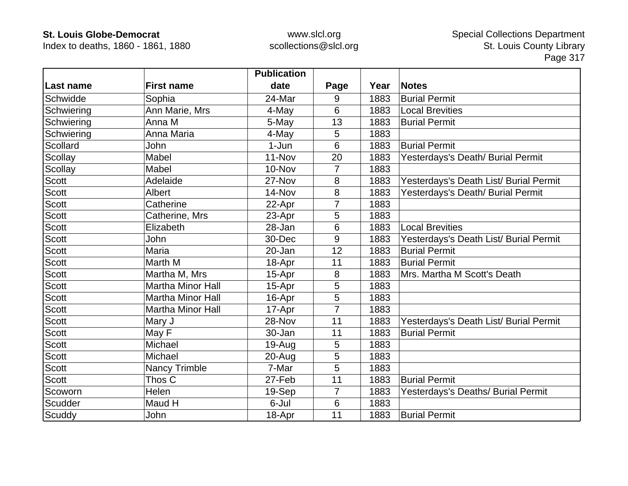Index to deaths, 1860 - 1861, 1880

|              |                          | <b>Publication</b> |                |      |                                        |
|--------------|--------------------------|--------------------|----------------|------|----------------------------------------|
| Last name    | <b>First name</b>        | date               | Page           | Year | <b>Notes</b>                           |
| Schwidde     | Sophia                   | 24-Mar             | 9              | 1883 | <b>Burial Permit</b>                   |
| Schwiering   | Ann Marie, Mrs           | 4-May              | 6              | 1883 | <b>Local Brevities</b>                 |
| Schwiering   | Anna M                   | 5-May              | 13             | 1883 | <b>Burial Permit</b>                   |
| Schwiering   | Anna Maria               | 4-May              | 5              | 1883 |                                        |
| Scollard     | John                     | $1-Jun$            | 6              | 1883 | <b>Burial Permit</b>                   |
| Scollay      | Mabel                    | 11-Nov             | 20             | 1883 | Yesterdays's Death/ Burial Permit      |
| Scollay      | Mabel                    | 10-Nov             | 7              | 1883 |                                        |
| <b>Scott</b> | Adelaide                 | 27-Nov             | 8              | 1883 | Yesterdays's Death List/ Burial Permit |
| <b>Scott</b> | Albert                   | 14-Nov             | 8              | 1883 | Yesterdays's Death/ Burial Permit      |
| <b>Scott</b> | Catherine                | 22-Apr             | $\overline{7}$ | 1883 |                                        |
| <b>Scott</b> | Catherine, Mrs           | 23-Apr             | 5              | 1883 |                                        |
| <b>Scott</b> | Elizabeth                | 28-Jan             | 6              | 1883 | <b>Local Brevities</b>                 |
| <b>Scott</b> | John                     | 30-Dec             | 9              | 1883 | Yesterdays's Death List/ Burial Permit |
| Scott        | Maria                    | 20-Jan             | 12             | 1883 | <b>Burial Permit</b>                   |
| <b>Scott</b> | Marth M                  | 18-Apr             | 11             | 1883 | <b>Burial Permit</b>                   |
| Scott        | Martha M, Mrs            | 15-Apr             | 8              | 1883 | Mrs. Martha M Scott's Death            |
| Scott        | <b>Martha Minor Hall</b> | 15-Apr             | 5              | 1883 |                                        |
| <b>Scott</b> | <b>Martha Minor Hall</b> | 16-Apr             | 5              | 1883 |                                        |
| Scott        | <b>Martha Minor Hall</b> | 17-Apr             | 7              | 1883 |                                        |
| <b>Scott</b> | Mary J                   | 28-Nov             | 11             | 1883 | Yesterdays's Death List/ Burial Permit |
| <b>Scott</b> | May F                    | 30-Jan             | 11             | 1883 | <b>Burial Permit</b>                   |
| <b>Scott</b> | Michael                  | $19-Auq$           | 5              | 1883 |                                        |
| <b>Scott</b> | Michael                  | 20-Aug             | 5              | 1883 |                                        |
| <b>Scott</b> | <b>Nancy Trimble</b>     | 7-Mar              | 5              | 1883 |                                        |
| <b>Scott</b> | Thos C                   | 27-Feb             | 11             | 1883 | <b>Burial Permit</b>                   |
| Scoworn      | <b>Helen</b>             | 19-Sep             | $\overline{7}$ | 1883 | Yesterdays's Deaths/ Burial Permit     |
| Scudder      | Maud H                   | 6-Jul              | 6              | 1883 |                                        |
| Scuddy       | John                     | 18-Apr             | 11             | 1883 | <b>Burial Permit</b>                   |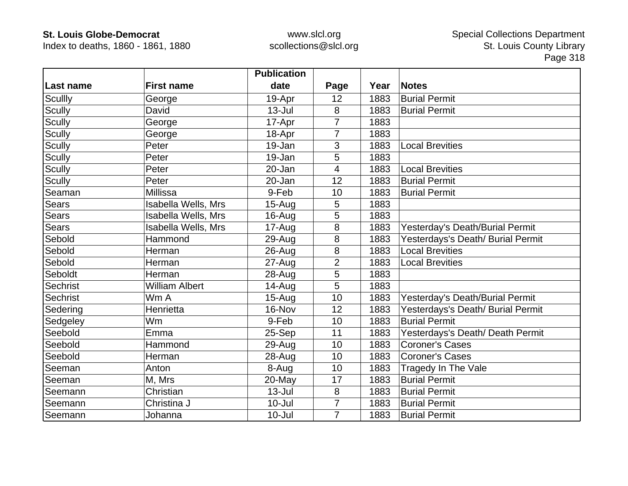Index to deaths, 1860 - 1861, 1880

|                 |                            | <b>Publication</b> |                |      |                                   |
|-----------------|----------------------------|--------------------|----------------|------|-----------------------------------|
| Last name       | <b>First name</b>          | date               | Page           | Year | <b>Notes</b>                      |
| <b>Scullly</b>  | George                     | 19-Apr             | 12             | 1883 | <b>Burial Permit</b>              |
| <b>Scully</b>   | David                      | $13 -$ Jul         | 8              | 1883 | <b>Burial Permit</b>              |
| Scully          | George                     | 17-Apr             | 7              | 1883 |                                   |
| <b>Scully</b>   | George                     | 18-Apr             | $\overline{7}$ | 1883 |                                   |
| <b>Scully</b>   | Peter                      | 19-Jan             | 3              | 1883 | <b>Local Brevities</b>            |
| <b>Scully</b>   | Peter                      | 19-Jan             | 5              | 1883 |                                   |
| <b>Scully</b>   | Peter                      | 20-Jan             | 4              | 1883 | <b>Local Brevities</b>            |
| <b>Scully</b>   | Peter                      | 20-Jan             | 12             | 1883 | <b>Burial Permit</b>              |
| Seaman          | Millissa                   | 9-Feb              | 10             | 1883 | <b>Burial Permit</b>              |
| <b>Sears</b>    | Isabella Wells, Mrs        | $15-Auq$           | 5              | 1883 |                                   |
| Sears           | <b>Isabella Wells, Mrs</b> | 16-Aug             | 5              | 1883 |                                   |
| Sears           | Isabella Wells, Mrs        | 17-Aug             | 8              | 1883 | Yesterday's Death/Burial Permit   |
| Sebold          | Hammond                    | 29-Aug             | 8              | 1883 | Yesterdays's Death/ Burial Permit |
| Sebold          | Herman                     | 26-Aug             | 8              | 1883 | <b>Local Brevities</b>            |
| Sebold          | Herman                     | $27 - Aug$         | $\overline{2}$ | 1883 | <b>Local Brevities</b>            |
| Seboldt         | Herman                     | 28-Aug             | 5              | 1883 |                                   |
| <b>Sechrist</b> | William Albert             | 14-Aug             | 5              | 1883 |                                   |
| Sechrist        | Wm A                       | $15-Auq$           | 10             | 1883 | Yesterday's Death/Burial Permit   |
| Sedering        | Henrietta                  | 16-Nov             | 12             | 1883 | Yesterdays's Death/ Burial Permit |
| Sedgeley        | Wm                         | 9-Feb              | 10             | 1883 | <b>Burial Permit</b>              |
| Seebold         | Emma                       | 25-Sep             | 11             | 1883 | Yesterdays's Death/ Death Permit  |
| Seebold         | Hammond                    | 29-Aug             | 10             | 1883 | <b>Coroner's Cases</b>            |
| Seebold         | Herman                     | $28 - Aug$         | 10             | 1883 | <b>Coroner's Cases</b>            |
| Seeman          | Anton                      | 8-Aug              | 10             | 1883 | Tragedy In The Vale               |
| Seeman          | M, Mrs                     | 20-May             | 17             | 1883 | <b>Burial Permit</b>              |
| Seemann         | Christian                  | $13 -$ Jul         | 8              | 1883 | <b>Burial Permit</b>              |
| Seemann         | Christina J                | $10 -$ Jul         | $\overline{7}$ | 1883 | <b>Burial Permit</b>              |
| Seemann         | Johanna                    | $10 -$ Jul         | $\overline{7}$ | 1883 | <b>Burial Permit</b>              |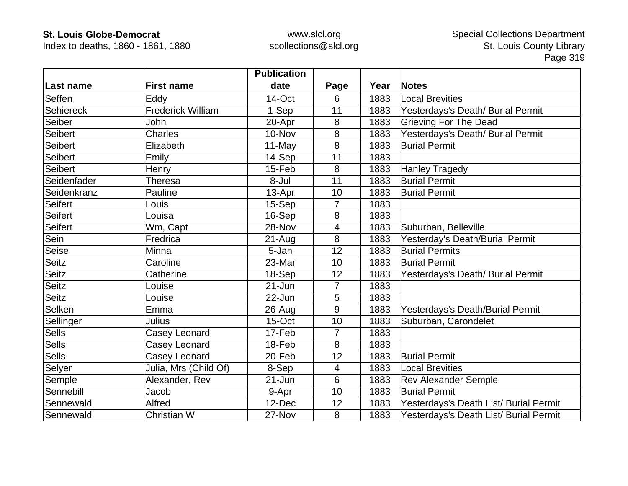Index to deaths, 1860 - 1861, 1880

|                |                          | <b>Publication</b> |                |      |                                        |
|----------------|--------------------------|--------------------|----------------|------|----------------------------------------|
| Last name      | <b>First name</b>        | date               | Page           | Year | <b>Notes</b>                           |
| Seffen         | Eddy                     | 14-Oct             | 6              | 1883 | <b>Local Brevities</b>                 |
| Sehiereck      | <b>Frederick William</b> | 1-Sep              | 11             | 1883 | Yesterdays's Death/ Burial Permit      |
| Seiber         | John                     | 20-Apr             | 8              | 1883 | <b>Grieving For The Dead</b>           |
| <b>Seibert</b> | <b>Charles</b>           | 10-Nov             | 8              | 1883 | Yesterdays's Death/ Burial Permit      |
| Seibert        | Elizabeth                | 11-May             | 8              | 1883 | <b>Burial Permit</b>                   |
| <b>Seibert</b> | Emily                    | 14-Sep             | 11             | 1883 |                                        |
| Seibert        | Henry                    | 15-Feb             | 8              | 1883 | <b>Hanley Tragedy</b>                  |
| Seidenfader    | <b>Theresa</b>           | 8-Jul              | 11             | 1883 | <b>Burial Permit</b>                   |
| Seidenkranz    | Pauline                  | 13-Apr             | 10             | 1883 | <b>Burial Permit</b>                   |
| <b>Seifert</b> | Louis                    | 15-Sep             | $\overline{7}$ | 1883 |                                        |
| <b>Seifert</b> | Louisa                   | 16-Sep             | 8              | 1883 |                                        |
| Seifert        | Wm, Capt                 | 28-Nov             | 4              | 1883 | Suburban, Belleville                   |
| Sein           | Fredrica                 | $21 - Aug$         | 8              | 1883 | Yesterday's Death/Burial Permit        |
| Seise          | Minna                    | 5-Jan              | 12             | 1883 | <b>Burial Permits</b>                  |
| <b>Seitz</b>   | Caroline                 | 23-Mar             | 10             | 1883 | <b>Burial Permit</b>                   |
| <b>Seitz</b>   | Catherine                | 18-Sep             | 12             | 1883 | Yesterdays's Death/ Burial Permit      |
| <b>Seitz</b>   | Louise                   | 21-Jun             | $\overline{7}$ | 1883 |                                        |
| <b>Seitz</b>   | Louise                   | 22-Jun             | 5              | 1883 |                                        |
| Selken         | Emma                     | $26$ -Aug          | 9              | 1883 | Yesterdays's Death/Burial Permit       |
| Sellinger      | Julius                   | 15-Oct             | 10             | 1883 | Suburban, Carondelet                   |
| <b>Sells</b>   | Casey Leonard            | 17-Feb             | $\overline{7}$ | 1883 |                                        |
| <b>Sells</b>   | Casey Leonard            | 18-Feb             | 8              | 1883 |                                        |
| <b>Sells</b>   | Casey Leonard            | 20-Feb             | 12             | 1883 | <b>Burial Permit</b>                   |
| Selyer         | Julia, Mrs (Child Of)    | 8-Sep              | 4              | 1883 | <b>Local Brevities</b>                 |
| Semple         | Alexander, Rev           | 21-Jun             | 6              | 1883 | <b>Rev Alexander Semple</b>            |
| Sennebill      | Jacob                    | 9-Apr              | 10             | 1883 | <b>Burial Permit</b>                   |
| Sennewald      | Alfred                   | 12-Dec             | 12             | 1883 | Yesterdays's Death List/ Burial Permit |
| Sennewald      | Christian W              | 27-Nov             | 8              | 1883 | Yesterdays's Death List/ Burial Permit |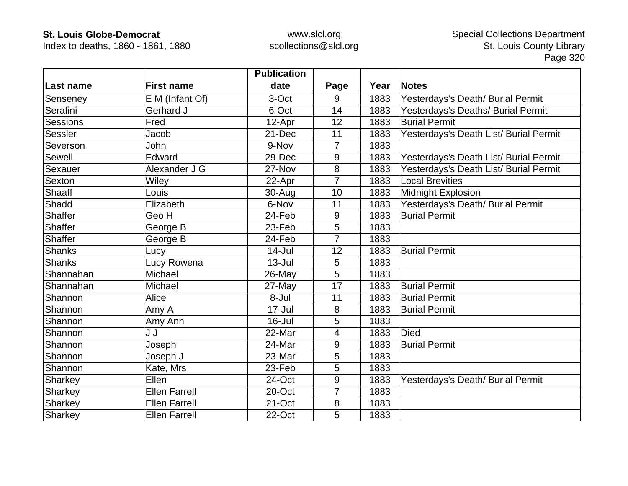Index to deaths, 1860 - 1861, 1880

|                 |                      | <b>Publication</b> |                |      |                                        |
|-----------------|----------------------|--------------------|----------------|------|----------------------------------------|
| Last name       | <b>First name</b>    | date               | Page           | Year | <b>Notes</b>                           |
| Senseney        | E M (Infant Of)      | 3-Oct              | 9              | 1883 | Yesterdays's Death/ Burial Permit      |
| Serafini        | Gerhard J            | 6-Oct              | 14             | 1883 | Yesterdays's Deaths/ Burial Permit     |
| <b>Sessions</b> | Fred                 | 12-Apr             | 12             | 1883 | <b>Burial Permit</b>                   |
| Sessler         | Jacob                | 21-Dec             | 11             | 1883 | Yesterdays's Death List/ Burial Permit |
| Severson        | John                 | 9-Nov              | 7              | 1883 |                                        |
| Sewell          | Edward               | 29-Dec             | 9              | 1883 | Yesterdays's Death List/ Burial Permit |
| Sexauer         | Alexander J G        | 27-Nov             | 8              | 1883 | Yesterdays's Death List/ Burial Permit |
| Sexton          | Wiley                | 22-Apr             | $\overline{7}$ | 1883 | <b>Local Brevities</b>                 |
| Shaaff          | Louis                | 30-Aug             | 10             | 1883 | Midnight Explosion                     |
| Shadd           | Elizabeth            | 6-Nov              | 11             | 1883 | Yesterdays's Death/ Burial Permit      |
| <b>Shaffer</b>  | Geo H                | 24-Feb             | 9              | 1883 | <b>Burial Permit</b>                   |
| Shaffer         | George B             | 23-Feb             | 5              | 1883 |                                        |
| Shaffer         | George B             | 24-Feb             | 7              | 1883 |                                        |
| <b>Shanks</b>   | Lucy                 | $14$ -Jul          | 12             | 1883 | <b>Burial Permit</b>                   |
| <b>Shanks</b>   | Lucy Rowena          | $13 -$ Jul         | 5              | 1883 |                                        |
| Shannahan       | Michael              | 26-May             | 5              | 1883 |                                        |
| Shannahan       | Michael              | $27$ -May          | 17             | 1883 | <b>Burial Permit</b>                   |
| Shannon         | Alice                | 8-Jul              | 11             | 1883 | <b>Burial Permit</b>                   |
| Shannon         | Amy A                | 17-Jul             | 8              | 1883 | <b>Burial Permit</b>                   |
| Shannon         | Amy Ann              | $16 -$ Jul         | 5              | 1883 |                                        |
| Shannon         | J J                  | 22-Mar             | 4              | 1883 | <b>Died</b>                            |
| Shannon         | Joseph               | 24-Mar             | 9              | 1883 | <b>Burial Permit</b>                   |
| Shannon         | Joseph J             | 23-Mar             | 5              | 1883 |                                        |
| Shannon         | Kate, Mrs            | 23-Feb             | 5              | 1883 |                                        |
| Sharkey         | Ellen                | 24-Oct             | 9              | 1883 | Yesterdays's Death/ Burial Permit      |
| <b>Sharkey</b>  | <b>Ellen Farrell</b> | 20-Oct             | 7              | 1883 |                                        |
| Sharkey         | <b>Ellen Farrell</b> | 21-Oct             | 8              | 1883 |                                        |
| Sharkey         | <b>Ellen Farrell</b> | 22-Oct             | 5              | 1883 |                                        |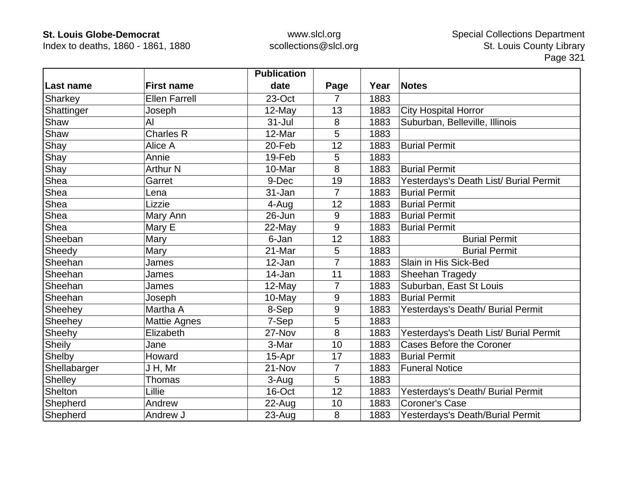Index to deaths, 1860 - 1861, 1880

|              |                      | <b>Publication</b> |                |      |                                        |
|--------------|----------------------|--------------------|----------------|------|----------------------------------------|
| ∣Last name   | <b>First name</b>    | date               | Page           | Year | <b>Notes</b>                           |
| Sharkey      | <b>Ellen Farrell</b> | 23-Oct             | 7              | 1883 |                                        |
| Shattinger   | Joseph               | 12-May             | 13             | 1883 | <b>City Hospital Horror</b>            |
| Shaw         | Al                   | $31 -$ Jul         | 8              | 1883 | Suburban, Belleville, Illinois         |
| Shaw         | <b>Charles R</b>     | 12-Mar             | 5              | 1883 |                                        |
| Shay         | Alice A              | 20-Feb             | 12             | 1883 | <b>Burial Permit</b>                   |
| Shay         | Annie                | 19-Feb             | 5              | 1883 |                                        |
| Shay         | <b>Arthur N</b>      | 10-Mar             | 8              | 1883 | <b>Burial Permit</b>                   |
| Shea         | Garret               | 9-Dec              | 19             | 1883 | Yesterdays's Death List/ Burial Permit |
| Shea         | Lena                 | 31-Jan             | $\overline{7}$ | 1883 | <b>Burial Permit</b>                   |
| Shea         | Lizzie               | 4-Aug              | 12             | 1883 | <b>Burial Permit</b>                   |
| Shea         | Mary Ann             | $26 - Jun$         | 9              | 1883 | <b>Burial Permit</b>                   |
| Shea         | Mary E               | 22-May             | 9              | 1883 | <b>Burial Permit</b>                   |
| Sheeban      | Mary                 | 6-Jan              | 12             | 1883 | <b>Burial Permit</b>                   |
| Sheedy       | Mary                 | 21-Mar             | 5              | 1883 | <b>Burial Permit</b>                   |
| Sheehan      | James                | 12-Jan             | $\overline{7}$ | 1883 | Slain in His Sick-Bed                  |
| Sheehan      | James                | 14-Jan             | 11             | 1883 | Sheehan Tragedy                        |
| Sheehan      | James                | 12-May             | $\overline{7}$ | 1883 | Suburban, East St Louis                |
| Sheehan      | Joseph               | 10-May             | 9              | 1883 | <b>Burial Permit</b>                   |
| Sheehey      | Martha A             | 8-Sep              | 9              | 1883 | Yesterdays's Death/ Burial Permit      |
| Sheehey      | <b>Mattie Agnes</b>  | 7-Sep              | 5              | 1883 |                                        |
| Sheehy       | Elizabeth            | 27-Nov             | 8              | 1883 | Yesterdays's Death List/ Burial Permit |
| Sheily       | Jane                 | 3-Mar              | 10             | 1883 | Cases Before the Coroner               |
| Shelby       | Howard               | 15-Apr             | 17             | 1883 | <b>Burial Permit</b>                   |
| Shellabarger | J H, Mr              | 21-Nov             | $\overline{7}$ | 1883 | <b>Funeral Notice</b>                  |
| Shelley      | <b>Thomas</b>        | 3-Aug              | 5              | 1883 |                                        |
| Shelton      | Lillie               | 16-Oct             | 12             | 1883 | Yesterdays's Death/ Burial Permit      |
| Shepherd     | Andrew               | 22-Aug             | 10             | 1883 | <b>Coroner's Case</b>                  |
| Shepherd     | Andrew J             | $23 - Aug$         | 8              | 1883 | Yesterdays's Death/Burial Permit       |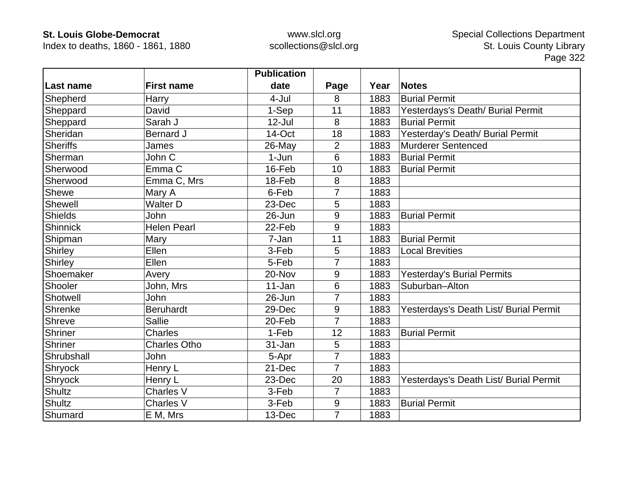Index to deaths, 1860 - 1861, 1880

|                 |                     | <b>Publication</b> |                |      |                                        |
|-----------------|---------------------|--------------------|----------------|------|----------------------------------------|
| Last name       | <b>First name</b>   | date               | Page           | Year | <b>Notes</b>                           |
| Shepherd        | Harry               | 4-Jul              | 8              | 1883 | <b>Burial Permit</b>                   |
| Sheppard        | David               | 1-Sep              | 11             | 1883 | Yesterdays's Death/ Burial Permit      |
| Sheppard        | Sarah J             | $12$ -Jul          | 8              | 1883 | <b>Burial Permit</b>                   |
| Sheridan        | <b>Bernard J</b>    | 14-Oct             | 18             | 1883 | Yesterday's Death/ Burial Permit       |
| <b>Sheriffs</b> | James               | 26-May             | $\overline{2}$ | 1883 | Murderer Sentenced                     |
| Sherman         | John C              | 1-Jun              | 6              | 1883 | <b>Burial Permit</b>                   |
| Sherwood        | Emma C              | 16-Feb             | 10             | 1883 | <b>Burial Permit</b>                   |
| Sherwood        | Emma C, Mrs         | 18-Feb             | 8              | 1883 |                                        |
| <b>Shewe</b>    | Mary A              | 6-Feb              | 7              | 1883 |                                        |
| <b>Shewell</b>  | <b>Walter D</b>     | 23-Dec             | 5              | 1883 |                                        |
| <b>Shields</b>  | John                | 26-Jun             | 9              | 1883 | <b>Burial Permit</b>                   |
| <b>Shinnick</b> | <b>Helen Pearl</b>  | 22-Feb             | 9              | 1883 |                                        |
| Shipman         | Mary                | 7-Jan              | 11             | 1883 | <b>Burial Permit</b>                   |
| Shirley         | Ellen               | 3-Feb              | 5              | 1883 | <b>Local Brevities</b>                 |
| Shirley         | Ellen               | 5-Feb              | 7              | 1883 |                                        |
| Shoemaker       | Avery               | 20-Nov             | 9              | 1883 | <b>Yesterday's Burial Permits</b>      |
| Shooler         | John, Mrs           | 11-Jan             | $6\phantom{1}$ | 1883 | Suburban-Alton                         |
| Shotwell        | John                | $26 - Jun$         | 7              | 1883 |                                        |
| Shrenke         | <b>Beruhardt</b>    | 29-Dec             | 9              | 1883 | Yesterdays's Death List/ Burial Permit |
| Shreve          | <b>Sallie</b>       | 20-Feb             | 7              | 1883 |                                        |
| <b>Shriner</b>  | Charles             | 1-Feb              | 12             | 1883 | <b>Burial Permit</b>                   |
| Shriner         | <b>Charles Otho</b> | 31-Jan             | 5              | 1883 |                                        |
| Shrubshall      | John                | 5-Apr              | 7              | 1883 |                                        |
| Shryock         | Henry L             | 21-Dec             | 7              | 1883 |                                        |
| <b>Shryock</b>  | Henry L             | 23-Dec             | 20             | 1883 | Yesterdays's Death List/ Burial Permit |
| <b>Shultz</b>   | <b>Charles V</b>    | 3-Feb              | $\overline{7}$ | 1883 |                                        |
| Shultz          | <b>Charles V</b>    | 3-Feb              | $9\,$          | 1883 | <b>Burial Permit</b>                   |
| Shumard         | E M, Mrs            | 13-Dec             | $\overline{7}$ | 1883 |                                        |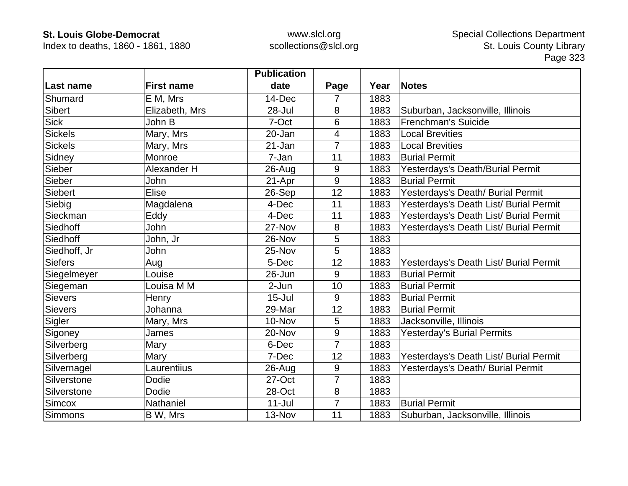Index to deaths, 1860 - 1861, 1880

|                |                   | <b>Publication</b> |                |      |                                        |
|----------------|-------------------|--------------------|----------------|------|----------------------------------------|
| Last name      | <b>First name</b> | date               | Page           | Year | <b>Notes</b>                           |
| Shumard        | E M, Mrs          | 14-Dec             | 7              | 1883 |                                        |
| <b>Sibert</b>  | Elizabeth, Mrs    | 28-Jul             | 8              | 1883 | Suburban, Jacksonville, Illinois       |
| <b>Sick</b>    | John B            | 7-Oct              | 6              | 1883 | <b>Frenchman's Suicide</b>             |
| <b>Sickels</b> | Mary, Mrs         | 20-Jan             | 4              | 1883 | <b>Local Brevities</b>                 |
| <b>Sickels</b> | Mary, Mrs         | 21-Jan             | $\overline{7}$ | 1883 | <b>Local Brevities</b>                 |
| Sidney         | Monroe            | 7-Jan              | 11             | 1883 | <b>Burial Permit</b>                   |
| Sieber         | Alexander H       | 26-Aug             | 9              | 1883 | Yesterdays's Death/Burial Permit       |
| Sieber         | John              | 21-Apr             | 9              | 1883 | <b>Burial Permit</b>                   |
| <b>Siebert</b> | <b>Elise</b>      | 26-Sep             | 12             | 1883 | Yesterdays's Death/ Burial Permit      |
| Siebig         | Magdalena         | 4-Dec              | 11             | 1883 | Yesterdays's Death List/ Burial Permit |
| Sieckman       | Eddy              | 4-Dec              | 11             | 1883 | Yesterdays's Death List/ Burial Permit |
| Siedhoff       | <b>John</b>       | 27-Nov             | 8              | 1883 | Yesterdays's Death List/ Burial Permit |
| Siedhoff       | John, Jr          | 26-Nov             | 5              | 1883 |                                        |
| Siedhoff, Jr   | John              | 25-Nov             | 5              | 1883 |                                        |
| <b>Siefers</b> | Aug               | 5-Dec              | 12             | 1883 | Yesterdays's Death List/ Burial Permit |
| Siegelmeyer    | Louise            | 26-Jun             | 9              | 1883 | <b>Burial Permit</b>                   |
| Siegeman       | Louisa M M        | 2-Jun              | 10             | 1883 | <b>Burial Permit</b>                   |
| <b>Sievers</b> | Henry             | $15 -$ Jul         | 9              | 1883 | <b>Burial Permit</b>                   |
| <b>Sievers</b> | Johanna           | 29-Mar             | 12             | 1883 | <b>Burial Permit</b>                   |
| Sigler         | Mary, Mrs         | 10-Nov             | 5              | 1883 | Jacksonville, Illinois                 |
| Sigoney        | James             | 20-Nov             | 9              | 1883 | <b>Yesterday's Burial Permits</b>      |
| Silverberg     | Mary              | 6-Dec              | 7              | 1883 |                                        |
| Silverberg     | Mary              | 7-Dec              | 12             | 1883 | Yesterdays's Death List/ Burial Permit |
| Silvernagel    | Laurentiius       | 26-Aug             | 9              | 1883 | Yesterdays's Death/ Burial Permit      |
| Silverstone    | Dodie             | 27-Oct             | 7              | 1883 |                                        |
| Silverstone    | Dodie             | 28-Oct             | 8              | 1883 |                                        |
| Simcox         | Nathaniel         | $11 -$ Jul         | $\overline{7}$ | 1883 | <b>Burial Permit</b>                   |
| <b>Simmons</b> | B W, Mrs          | 13-Nov             | 11             | 1883 | Suburban, Jacksonville, Illinois       |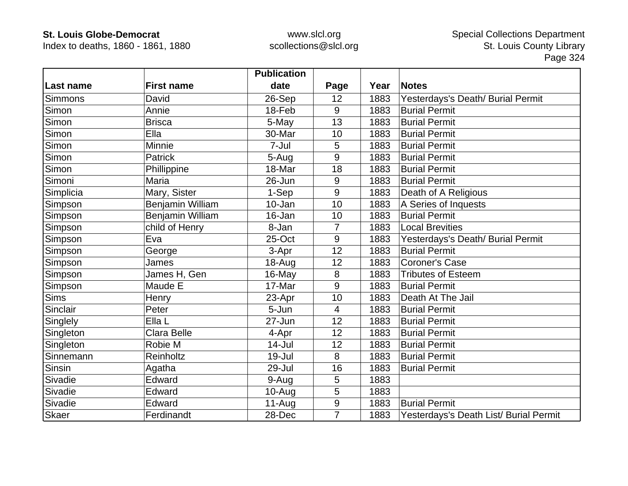Index to deaths, 1860 - 1861, 1880

|                  |                    | <b>Publication</b> |                |      |                                        |
|------------------|--------------------|--------------------|----------------|------|----------------------------------------|
| <b>Last name</b> | <b>First name</b>  | date               | Page           | Year | <b>Notes</b>                           |
| Simmons          | David              | 26-Sep             | 12             | 1883 | Yesterdays's Death/ Burial Permit      |
| Simon            | Annie              | 18-Feb             | 9              | 1883 | <b>Burial Permit</b>                   |
| Simon            | <b>Brisca</b>      | 5-May              | 13             | 1883 | <b>Burial Permit</b>                   |
| Simon            | Ella               | 30-Mar             | 10             | 1883 | <b>Burial Permit</b>                   |
| Simon            | Minnie             | 7-Jul              | 5              | 1883 | <b>Burial Permit</b>                   |
| Simon            | <b>Patrick</b>     | 5-Aug              | 9              | 1883 | <b>Burial Permit</b>                   |
| Simon            | Phillippine        | 18-Mar             | 18             | 1883 | <b>Burial Permit</b>                   |
| Simoni           | Maria              | 26-Jun             | 9              | 1883 | <b>Burial Permit</b>                   |
| Simplicia        | Mary, Sister       | 1-Sep              | 9              | 1883 | Death of A Religious                   |
| Simpson          | Benjamin William   | 10-Jan             | 10             | 1883 | A Series of Inquests                   |
| Simpson          | Benjamin William   | 16-Jan             | 10             | 1883 | <b>Burial Permit</b>                   |
| Simpson          | child of Henry     | 8-Jan              | $\overline{7}$ | 1883 | <b>Local Brevities</b>                 |
| Simpson          | Eva                | 25-Oct             | 9              | 1883 | Yesterdays's Death/ Burial Permit      |
| Simpson          | George             | 3-Apr              | 12             | 1883 | <b>Burial Permit</b>                   |
| Simpson          | James              | 18-Aug             | 12             | 1883 | <b>Coroner's Case</b>                  |
| Simpson          | James H, Gen       | 16-May             | 8              | 1883 | <b>Tributes of Esteem</b>              |
| Simpson          | Maude E            | 17-Mar             | 9              | 1883 | <b>Burial Permit</b>                   |
| <b>Sims</b>      | Henry              | 23-Apr             | 10             | 1883 | Death At The Jail                      |
| Sinclair         | Peter              | 5-Jun              | 4              | 1883 | <b>Burial Permit</b>                   |
| Singlely         | Ella L             | 27-Jun             | 12             | 1883 | <b>Burial Permit</b>                   |
| Singleton        | <b>Clara Belle</b> | 4-Apr              | 12             | 1883 | <b>Burial Permit</b>                   |
| Singleton        | Robie M            | $14$ -Jul          | 12             | 1883 | <b>Burial Permit</b>                   |
| Sinnemann        | Reinholtz          | 19-Jul             | 8              | 1883 | <b>Burial Permit</b>                   |
| Sinsin           | Agatha             | 29-Jul             | 16             | 1883 | <b>Burial Permit</b>                   |
| Sivadie          | Edward             | 9-Aug              | 5              | 1883 |                                        |
| Sivadie          | Edward             | $10-Au$ g          | 5              | 1883 |                                        |
| Sivadie          | Edward             | $11-Aug$           | 9              | 1883 | <b>Burial Permit</b>                   |
| <b>Skaer</b>     | Ferdinandt         | 28-Dec             | $\overline{7}$ | 1883 | Yesterdays's Death List/ Burial Permit |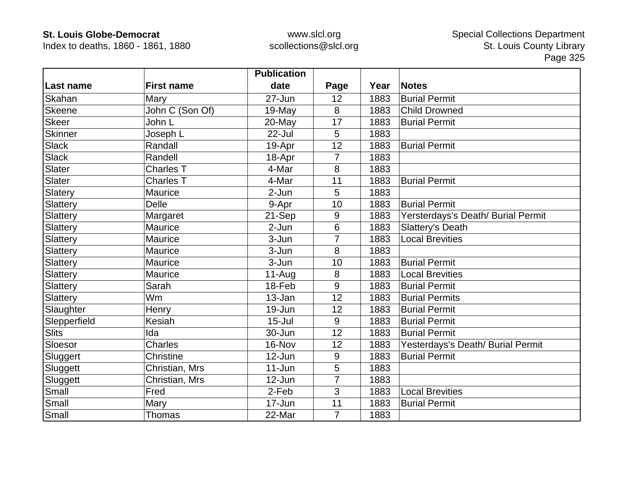Index to deaths, 1860 - 1861, 1880

|                |                   | <b>Publication</b> |                |      |                                    |
|----------------|-------------------|--------------------|----------------|------|------------------------------------|
| Last name      | <b>First name</b> | date               | Page           | Year | <b>Notes</b>                       |
| Skahan         | Mary              | 27-Jun             | 12             | 1883 | <b>Burial Permit</b>               |
| Skeene         | John C (Son Of)   | 19-May             | 8              | 1883 | <b>Child Drowned</b>               |
| <b>Skeer</b>   | John L            | $20$ -May          | 17             | 1883 | <b>Burial Permit</b>               |
| <b>Skinner</b> | Joseph L          | $22$ -Jul          | 5              | 1883 |                                    |
| <b>Slack</b>   | Randall           | 19-Apr             | 12             | 1883 | <b>Burial Permit</b>               |
| <b>Slack</b>   | Randell           | 18-Apr             | $\overline{7}$ | 1883 |                                    |
| <b>Slater</b>  | <b>Charles T</b>  | 4-Mar              | 8              | 1883 |                                    |
| Slater         | <b>Charles T</b>  | 4-Mar              | 11             | 1883 | <b>Burial Permit</b>               |
| Slatery        | Maurice           | 2-Jun              | 5              | 1883 |                                    |
| Slattery       | <b>Delle</b>      | 9-Apr              | 10             | 1883 | <b>Burial Permit</b>               |
| Slattery       | Margaret          | 21-Sep             | 9              | 1883 | Yersterdays's Death/ Burial Permit |
| Slattery       | Maurice           | $2-Jun$            | 6              | 1883 | Slattery's Death                   |
| Slattery       | Maurice           | 3-Jun              | $\overline{7}$ | 1883 | <b>Local Brevities</b>             |
| Slattery       | Maurice           | 3-Jun              | 8              | 1883 |                                    |
| Slattery       | Maurice           | 3-Jun              | 10             | 1883 | <b>Burial Permit</b>               |
| Slattery       | Maurice           | $11-Aug$           | 8              | 1883 | <b>Local Brevities</b>             |
| Slattery       | Sarah             | 18-Feb             | 9              | 1883 | <b>Burial Permit</b>               |
| Slattery       | Wm                | 13-Jan             | 12             | 1883 | <b>Burial Permits</b>              |
| Slaughter      | Henry             | 19-Jun             | 12             | 1883 | <b>Burial Permit</b>               |
| Slepperfield   | Kesiah            | $15 -$ Jul         | 9              | 1883 | <b>Burial Permit</b>               |
| <b>Slits</b>   | Ida               | 30-Jun             | 12             | 1883 | <b>Burial Permit</b>               |
| Sloesor        | <b>Charles</b>    | 16-Nov             | 12             | 1883 | Yesterdays's Death/ Burial Permit  |
| Sluggert       | Christine         | 12-Jun             | 9              | 1883 | <b>Burial Permit</b>               |
| Sluggett       | Christian, Mrs    | $11 - Jun$         | 5              | 1883 |                                    |
| Sluggett       | Christian, Mrs    | $12$ -Jun          | 7              | 1883 |                                    |
| Small          | Fred              | 2-Feb              | 3              | 1883 | <b>Local Brevities</b>             |
| Small          | Mary              | 17-Jun             | 11             | 1883 | <b>Burial Permit</b>               |
| Small          | <b>Thomas</b>     | 22-Mar             | $\overline{7}$ | 1883 |                                    |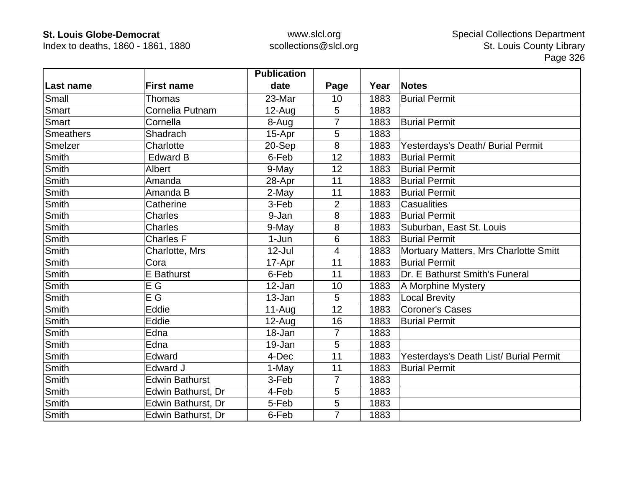Index to deaths, 1860 - 1861, 1880

|                  |                       | <b>Publication</b> |                |      |                                        |
|------------------|-----------------------|--------------------|----------------|------|----------------------------------------|
| Last name        | <b>First name</b>     | date               | Page           | Year | <b>Notes</b>                           |
| Small            | Thomas                | 23-Mar             | 10             | 1883 | <b>Burial Permit</b>                   |
| Smart            | Cornelia Putnam       | $12-Auq$           | 5              | 1883 |                                        |
| Smart            | Cornella              | 8-Aug              | 7              | 1883 | <b>Burial Permit</b>                   |
| <b>Smeathers</b> | Shadrach              | 15-Apr             | 5              | 1883 |                                        |
| Smelzer          | Charlotte             | 20-Sep             | 8              | 1883 | Yesterdays's Death/ Burial Permit      |
| Smith            | <b>Edward B</b>       | 6-Feb              | 12             | 1883 | <b>Burial Permit</b>                   |
| <b>Smith</b>     | Albert                | 9-May              | 12             | 1883 | <b>Burial Permit</b>                   |
| Smith            | Amanda                | 28-Apr             | 11             | 1883 | <b>Burial Permit</b>                   |
| Smith            | Amanda B              | 2-May              | 11             | 1883 | <b>Burial Permit</b>                   |
| Smith            | Catherine             | 3-Feb              | $\overline{2}$ | 1883 | Casualities                            |
| Smith            | <b>Charles</b>        | 9-Jan              | 8              | 1883 | <b>Burial Permit</b>                   |
| Smith            | Charles               | 9-May              | 8              | 1883 | Suburban, East St. Louis               |
| <b>Smith</b>     | <b>Charles F</b>      | $1-Jun$            | 6              | 1883 | <b>Burial Permit</b>                   |
| Smith            | Charlotte, Mrs        | $12$ -Jul          | $\overline{4}$ | 1883 | Mortuary Matters, Mrs Charlotte Smitt  |
| Smith            | Cora                  | 17-Apr             | 11             | 1883 | <b>Burial Permit</b>                   |
| Smith            | <b>E</b> Bathurst     | 6-Feb              | 11             | 1883 | Dr. E Bathurst Smith's Funeral         |
| <b>Smith</b>     | E G                   | 12-Jan             | 10             | 1883 | A Morphine Mystery                     |
| Smith            | E G                   | 13-Jan             | 5              | 1883 | <b>Local Brevity</b>                   |
| <b>Smith</b>     | Eddie                 | $11-Auq$           | 12             | 1883 | <b>Coroner's Cases</b>                 |
| Smith            | Eddie                 | 12-Aug             | 16             | 1883 | <b>Burial Permit</b>                   |
| Smith            | Edna                  | 18-Jan             | $\overline{7}$ | 1883 |                                        |
| <b>Smith</b>     | Edna                  | 19-Jan             | 5              | 1883 |                                        |
| <b>Smith</b>     | Edward                | 4-Dec              | 11             | 1883 | Yesterdays's Death List/ Burial Permit |
| Smith            | Edward J              | 1-May              | 11             | 1883 | <b>Burial Permit</b>                   |
| Smith            | <b>Edwin Bathurst</b> | 3-Feb              | $\overline{7}$ | 1883 |                                        |
| <b>Smith</b>     | Edwin Bathurst, Dr    | 4-Feb              | 5              | 1883 |                                        |
| <b>Smith</b>     | Edwin Bathurst, Dr    | 5-Feb              | 5              | 1883 |                                        |
| Smith            | Edwin Bathurst, Dr    | 6-Feb              | $\overline{7}$ | 1883 |                                        |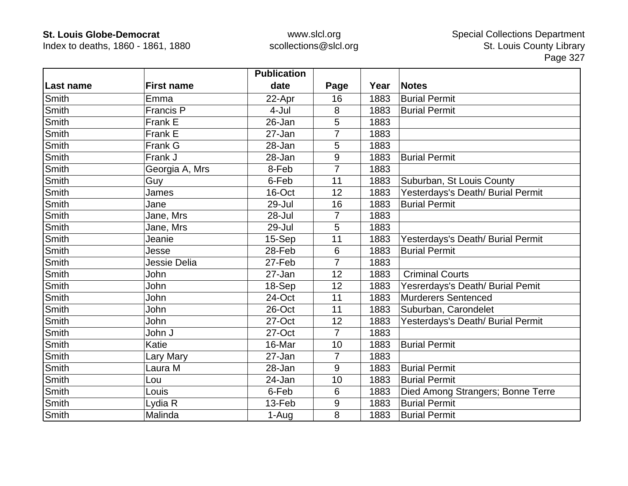Index to deaths, 1860 - 1861, 1880

|              |                   | <b>Publication</b> |                |      |                                   |
|--------------|-------------------|--------------------|----------------|------|-----------------------------------|
| Last name    | <b>First name</b> | date               | Page           | Year | <b>Notes</b>                      |
| <b>Smith</b> | Emma              | 22-Apr             | 16             | 1883 | <b>Burial Permit</b>              |
| <b>Smith</b> | <b>Francis P</b>  | 4-Jul              | 8              | 1883 | <b>Burial Permit</b>              |
| <b>Smith</b> | Frank E           | 26-Jan             | 5              | 1883 |                                   |
| <b>Smith</b> | Frank E           | 27-Jan             | 7              | 1883 |                                   |
| <b>Smith</b> | Frank G           | 28-Jan             | 5              | 1883 |                                   |
| <b>Smith</b> | Frank J           | 28-Jan             | 9              | 1883 | <b>Burial Permit</b>              |
| <b>Smith</b> | Georgia A, Mrs    | 8-Feb              | 7              | 1883 |                                   |
| Smith        | Guy               | 6-Feb              | 11             | 1883 | Suburban, St Louis County         |
| Smith        | James             | 16-Oct             | 12             | 1883 | Yesterdays's Death/ Burial Permit |
| Smith        | Jane              | 29-Jul             | 16             | 1883 | <b>Burial Permit</b>              |
| <b>Smith</b> | Jane, Mrs         | 28-Jul             | $\overline{7}$ | 1883 |                                   |
| Smith        | Jane, Mrs         | 29-Jul             | 5              | 1883 |                                   |
| Smith        | Jeanie            | 15-Sep             | 11             | 1883 | Yesterdays's Death/ Burial Permit |
| Smith        | Jesse             | 28-Feb             | $6\phantom{1}$ | 1883 | <b>Burial Permit</b>              |
| Smith        | Jessie Delia      | 27-Feb             | 7              | 1883 |                                   |
| Smith        | John              | 27-Jan             | 12             | 1883 | <b>Criminal Courts</b>            |
| <b>Smith</b> | John              | 18-Sep             | 12             | 1883 | Yesrerdays's Death/ Burial Pemit  |
| Smith        | John              | 24-Oct             | 11             | 1883 | <b>Murderers Sentenced</b>        |
| <b>Smith</b> | John              | 26-Oct             | 11             | 1883 | Suburban, Carondelet              |
| <b>Smith</b> | <b>John</b>       | 27-Oct             | 12             | 1883 | Yesterdays's Death/ Burial Permit |
| <b>Smith</b> | John J            | 27-Oct             | $\overline{7}$ | 1883 |                                   |
| <b>Smith</b> | Katie             | 16-Mar             | 10             | 1883 | <b>Burial Permit</b>              |
| <b>Smith</b> | Lary Mary         | 27-Jan             | $\overline{7}$ | 1883 |                                   |
| Smith        | Laura M           | 28-Jan             | 9              | 1883 | <b>Burial Permit</b>              |
| Smith        | Lou               | 24-Jan             | 10             | 1883 | <b>Burial Permit</b>              |
| <b>Smith</b> | Louis             | 6-Feb              | 6              | 1883 | Died Among Strangers; Bonne Terre |
| Smith        | Lydia R           | 13-Feb             | 9              | 1883 | <b>Burial Permit</b>              |
| Smith        | Malinda           | 1-Aug              | 8              | 1883 | <b>Burial Permit</b>              |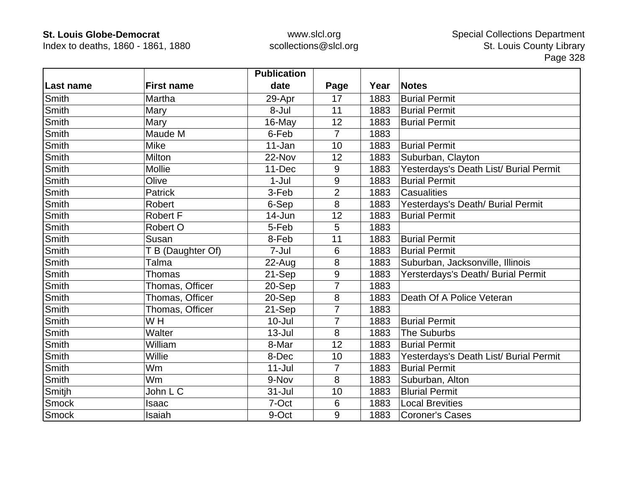Index to deaths, 1860 - 1861, 1880

|              |                   | <b>Publication</b> |                |      |                                        |
|--------------|-------------------|--------------------|----------------|------|----------------------------------------|
| Last name    | <b>First name</b> | date               | Page           | Year | <b>Notes</b>                           |
| Smith        | Martha            | 29-Apr             | 17             | 1883 | <b>Burial Permit</b>                   |
| Smith        | Mary              | 8-Jul              | 11             | 1883 | <b>Burial Permit</b>                   |
| Smith        | Mary              | 16-May             | 12             | 1883 | <b>Burial Permit</b>                   |
| Smith        | Maude M           | 6-Feb              | $\overline{7}$ | 1883 |                                        |
| Smith        | <b>Mike</b>       | 11-Jan             | 10             | 1883 | <b>Burial Permit</b>                   |
| Smith        | Milton            | 22-Nov             | 12             | 1883 | Suburban, Clayton                      |
| Smith        | <b>Mollie</b>     | 11-Dec             | 9              | 1883 | Yesterdays's Death List/ Burial Permit |
| Smith        | Olive             | $1-Jul$            | 9              | 1883 | <b>Burial Permit</b>                   |
| Smith        | Patrick           | 3-Feb              | $\overline{2}$ | 1883 | <b>Casualities</b>                     |
| Smith        | Robert            | 6-Sep              | 8              | 1883 | Yesterdays's Death/ Burial Permit      |
| Smith        | <b>Robert F</b>   | 14-Jun             | 12             | 1883 | <b>Burial Permit</b>                   |
| Smith        | Robert O          | 5-Feb              | 5              | 1883 |                                        |
| Smith        | Susan             | 8-Feb              | 11             | 1883 | <b>Burial Permit</b>                   |
| Smith        | T B (Daughter Of) | 7-Jul              | 6              | 1883 | <b>Burial Permit</b>                   |
| Smith        | Talma             | $22$ -Aug          | 8              | 1883 | Suburban, Jacksonville, Illinois       |
| Smith        | Thomas            | 21-Sep             | $9\,$          | 1883 | Yersterdays's Death/ Burial Permit     |
| Smith        | Thomas, Officer   | 20-Sep             | $\overline{7}$ | 1883 |                                        |
| Smith        | Thomas, Officer   | 20-Sep             | 8              | 1883 | Death Of A Police Veteran              |
| Smith        | Thomas, Officer   | 21-Sep             | $\overline{7}$ | 1883 |                                        |
| Smith        | WH                | $10 -$ Jul         | 7              | 1883 | <b>Burial Permit</b>                   |
| Smith        | Walter            | $13 -$ Jul         | 8              | 1883 | <b>The Suburbs</b>                     |
| <b>Smith</b> | William           | 8-Mar              | 12             | 1883 | <b>Burial Permit</b>                   |
| <b>Smith</b> | Willie            | 8-Dec              | 10             | 1883 | Yesterdays's Death List/ Burial Permit |
| <b>Smith</b> | Wm                | $11 -$ Jul         | $\overline{7}$ | 1883 | <b>Burial Permit</b>                   |
| Smith        | Wm                | 9-Nov              | 8              | 1883 | Suburban, Alton                        |
| Smitjh       | John L C          | $31 -$ Jul         | 10             | 1883 | <b>Blurial Permit</b>                  |
| Smock        | Isaac             | 7-Oct              | 6              | 1883 | <b>Local Brevities</b>                 |
| Smock        | Isaiah            | 9-Oct              | 9              | 1883 | <b>Coroner's Cases</b>                 |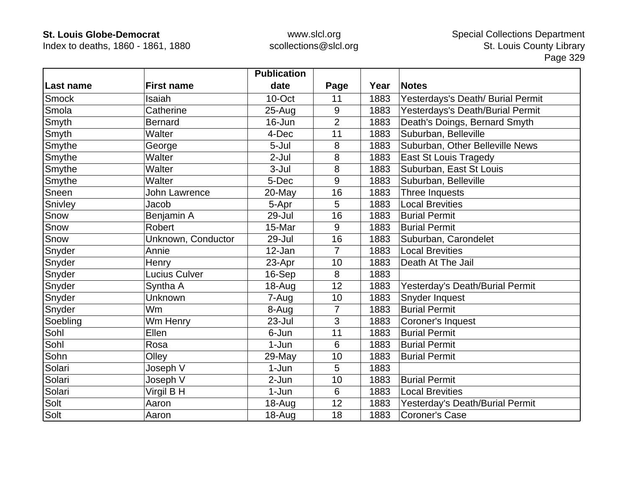Index to deaths, 1860 - 1861, 1880

|              |                      | <b>Publication</b> |                |      |                                   |
|--------------|----------------------|--------------------|----------------|------|-----------------------------------|
| Last name    | <b>First name</b>    | date               | Page           | Year | <b>Notes</b>                      |
| <b>Smock</b> | Isaiah               | 10-Oct             | 11             | 1883 | Yesterdays's Death/ Burial Permit |
| Smola        | Catherine            | $25 - Aug$         | 9              | 1883 | Yesterdays's Death/Burial Permit  |
| Smyth        | <b>Bernard</b>       | 16-Jun             | $\overline{2}$ | 1883 | Death's Doings, Bernard Smyth     |
| Smyth        | Walter               | 4-Dec              | 11             | 1883 | Suburban, Belleville              |
| Smythe       | George               | 5-Jul              | 8              | 1883 | Suburban, Other Belleville News   |
| Smythe       | Walter               | $2-Jul$            | 8              | 1883 | <b>East St Louis Tragedy</b>      |
| Smythe       | Walter               | $3 -$ Jul          | 8              | 1883 | Suburban, East St Louis           |
| Smythe       | Walter               | 5-Dec              | 9              | 1883 | Suburban, Belleville              |
| Sneen        | <b>John Lawrence</b> | 20-May             | 16             | 1883 | Three Inquests                    |
| Snivley      | Jacob                | 5-Apr              | 5              | 1883 | <b>Local Brevities</b>            |
| Snow         | Benjamin A           | 29-Jul             | 16             | 1883 | <b>Burial Permit</b>              |
| Snow         | <b>Robert</b>        | 15-Mar             | 9              | 1883 | <b>Burial Permit</b>              |
| Snow         | Unknown, Conductor   | 29-Jul             | 16             | 1883 | Suburban, Carondelet              |
| Snyder       | Annie                | 12-Jan             | $\overline{7}$ | 1883 | <b>Local Brevities</b>            |
| Snyder       | Henry                | 23-Apr             | 10             | 1883 | Death At The Jail                 |
| Snyder       | <b>Lucius Culver</b> | 16-Sep             | 8              | 1883 |                                   |
| Snyder       | Syntha A             | 18-Aug             | 12             | 1883 | Yesterday's Death/Burial Permit   |
| Snyder       | Unknown              | 7-Aug              | 10             | 1883 | Snyder Inquest                    |
| Snyder       | Wm                   | 8-Aug              | $\overline{7}$ | 1883 | <b>Burial Permit</b>              |
| Soebling     | Wm Henry             | 23-Jul             | 3              | 1883 | Coroner's Inquest                 |
| Sohl         | Ellen                | 6-Jun              | 11             | 1883 | <b>Burial Permit</b>              |
| Sohl         | Rosa                 | $1-Jun$            | 6              | 1883 | <b>Burial Permit</b>              |
| Sohn         | Olley                | 29-May             | 10             | 1883 | <b>Burial Permit</b>              |
| Solari       | Joseph V             | $1-Jun$            | 5              | 1883 |                                   |
| Solari       | Joseph V             | 2-Jun              | 10             | 1883 | <b>Burial Permit</b>              |
| Solari       | Virgil B H           | 1-Jun              | 6              | 1883 | <b>Local Brevities</b>            |
| Solt         | Aaron                | $18 - Aug$         | 12             | 1883 | Yesterday's Death/Burial Permit   |
| Solt         | Aaron                | $18 - Aug$         | 18             | 1883 | <b>Coroner's Case</b>             |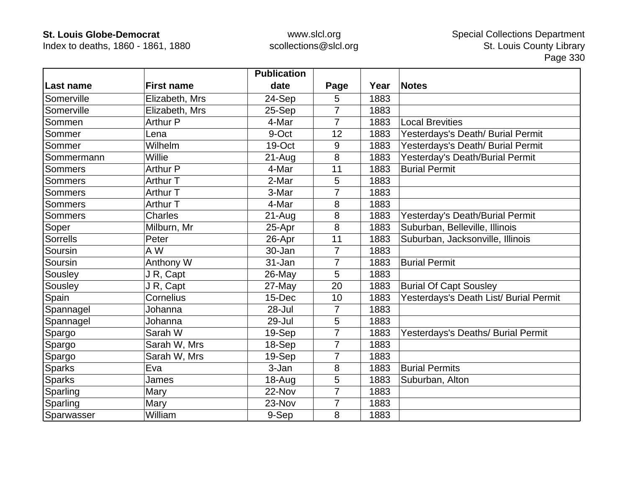Index to deaths, 1860 - 1861, 1880

|                 |                   | <b>Publication</b> |                |      |                                        |
|-----------------|-------------------|--------------------|----------------|------|----------------------------------------|
| ∣Last name      | <b>First name</b> | date               | Page           | Year | <b>Notes</b>                           |
| Somerville      | Elizabeth, Mrs    | 24-Sep             | 5              | 1883 |                                        |
| Somerville      | Elizabeth, Mrs    | 25-Sep             | $\overline{7}$ | 1883 |                                        |
| Sommen          | <b>Arthur P</b>   | 4-Mar              | 7              | 1883 | <b>Local Brevities</b>                 |
| Sommer          | Lena              | 9-Oct              | 12             | 1883 | Yesterdays's Death/ Burial Permit      |
| Sommer          | Wilhelm           | 19-Oct             | 9              | 1883 | Yesterdays's Death/ Burial Permit      |
| Sommermann      | Willie            | $21 - Aug$         | 8              | 1883 | Yesterday's Death/Burial Permit        |
| Sommers         | <b>Arthur P</b>   | 4-Mar              | 11             | 1883 | <b>Burial Permit</b>                   |
| Sommers         | Arthur T          | 2-Mar              | 5              | 1883 |                                        |
| <b>Sommers</b>  | Arthur T          | 3-Mar              |                | 1883 |                                        |
| <b>Sommers</b>  | Arthur T          | 4-Mar              | 8              | 1883 |                                        |
| Sommers         | <b>Charles</b>    | $21 - Aug$         | 8              | 1883 | Yesterday's Death/Burial Permit        |
| Soper           | Milburn, Mr       | 25-Apr             | 8              | 1883 | Suburban, Belleville, Illinois         |
| <b>Sorrells</b> | Peter             | 26-Apr             | 11             | 1883 | Suburban, Jacksonville, Illinois       |
| Soursin         | A W               | 30-Jan             | $\overline{7}$ | 1883 |                                        |
| Soursin         | Anthony W         | 31-Jan             | 7              | 1883 | <b>Burial Permit</b>                   |
| Sousley         | J R, Capt         | 26-May             | 5              | 1883 |                                        |
| Sousley         | J R, Capt         | 27-May             | 20             | 1883 | <b>Burial Of Capt Sousley</b>          |
| Spain           | Cornelius         | 15-Dec             | 10             | 1883 | Yesterdays's Death List/ Burial Permit |
| Spannagel       | Johanna           | $28 -$ Jul         | 7              | 1883 |                                        |
| Spannagel       | Johanna           | 29-Jul             | 5              | 1883 |                                        |
| Spargo          | Sarah W           | 19-Sep             | $\overline{7}$ | 1883 | Yesterdays's Deaths/ Burial Permit     |
| Spargo          | Sarah W, Mrs      | 18-Sep             | $\overline{7}$ | 1883 |                                        |
| Spargo          | Sarah W, Mrs      | 19-Sep             | 7              | 1883 |                                        |
| <b>Sparks</b>   | Eva               | 3-Jan              | 8              | 1883 | <b>Burial Permits</b>                  |
| <b>Sparks</b>   | James             | 18-Aug             | 5              | 1883 | Suburban, Alton                        |
| Sparling        | Mary              | 22-Nov             | 7              | 1883 |                                        |
| Sparling        | Mary              | 23-Nov             | 7              | 1883 |                                        |
| Sparwasser      | William           | 9-Sep              | 8              | 1883 |                                        |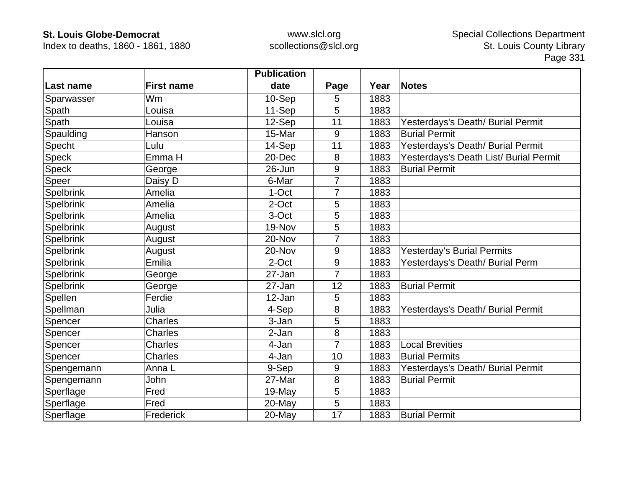Index to deaths, 1860 - 1861, 1880

|              |                   | <b>Publication</b> |                  |      |                                        |
|--------------|-------------------|--------------------|------------------|------|----------------------------------------|
| ∣Last name   | <b>First name</b> | date               | Page             | Year | <b>Notes</b>                           |
| Sparwasser   | Wm                | 10-Sep             | 5                | 1883 |                                        |
| Spath        | Louisa            | 11-Sep             | 5                | 1883 |                                        |
| Spath        | Louisa            | 12-Sep             | 11               | 1883 | Yesterdays's Death/ Burial Permit      |
| Spaulding    | Hanson            | 15-Mar             | 9                | 1883 | <b>Burial Permit</b>                   |
| Specht       | Lulu              | 14-Sep             | 11               | 1883 | Yesterdays's Death/ Burial Permit      |
| Speck        | Emma H            | 20-Dec             | 8                | 1883 | Yesterdays's Death List/ Burial Permit |
| <b>Speck</b> | George            | 26-Jun             | 9                | 1883 | <b>Burial Permit</b>                   |
| Speer        | Daisy D           | 6-Mar              | 7                | 1883 |                                        |
| Spelbrink    | Amelia            | 1-Oct              | 7                | 1883 |                                        |
| Spelbrink    | Amelia            | 2-Oct              | 5                | 1883 |                                        |
| Spelbrink    | Amelia            | 3-Oct              | 5                | 1883 |                                        |
| Spelbrink    | August            | 19-Nov             | 5                | 1883 |                                        |
| Spelbrink    | August            | 20-Nov             |                  | 1883 |                                        |
| Spelbrink    | August            | 20-Nov             | $\boldsymbol{9}$ | 1883 | Yesterday's Burial Permits             |
| Spelbrink    | Emilia            | 2-Oct              | 9                | 1883 | Yesterdays's Death/ Burial Perm        |
| Spelbrink    | George            | 27-Jan             | 7                | 1883 |                                        |
| Spelbrink    | George            | 27-Jan             | 12               | 1883 | <b>Burial Permit</b>                   |
| Spellen      | Ferdie            | 12-Jan             | 5                | 1883 |                                        |
| Spellman     | Julia             | 4-Sep              | 8                | 1883 | Yesterdays's Death/ Burial Permit      |
| Spencer      | Charles           | 3-Jan              | 5                | 1883 |                                        |
| Spencer      | <b>Charles</b>    | 2-Jan              | 8                | 1883 |                                        |
| Spencer      | <b>Charles</b>    | 4-Jan              | 7                | 1883 | <b>Local Brevities</b>                 |
| Spencer      | <b>Charles</b>    | 4-Jan              | 10               | 1883 | <b>Burial Permits</b>                  |
| Spengemann   | Anna L            | 9-Sep              | 9                | 1883 | Yesterdays's Death/ Burial Permit      |
| Spengemann   | John              | 27-Mar             | 8                | 1883 | <b>Burial Permit</b>                   |
| Sperflage    | Fred              | 19-May             | 5                | 1883 |                                        |
| Sperflage    | Fred              | 20-May             | 5                | 1883 |                                        |
| Sperflage    | Frederick         | 20-May             | 17               | 1883 | <b>Burial Permit</b>                   |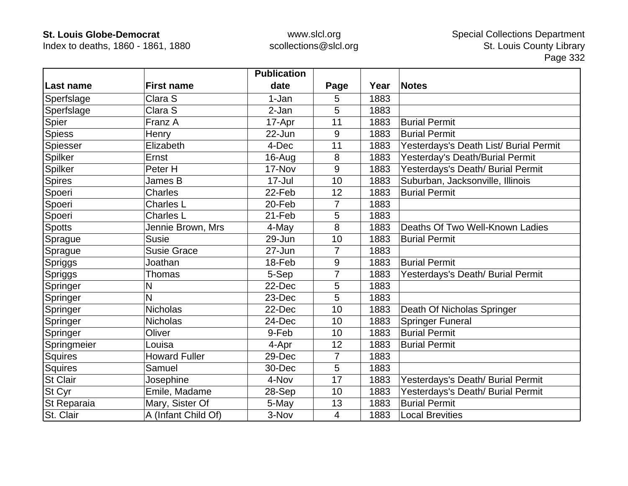Index to deaths, 1860 - 1861, 1880

|                 |                      | <b>Publication</b> |                |      |                                        |
|-----------------|----------------------|--------------------|----------------|------|----------------------------------------|
| ∣Last name      | <b>First name</b>    | date               | Page           | Year | <b>Notes</b>                           |
| Sperfslage      | Clara S              | 1-Jan              | 5              | 1883 |                                        |
| Sperfslage      | Clara S              | 2-Jan              | 5              | 1883 |                                        |
| Spier           | Franz A              | 17-Apr             | 11             | 1883 | <b>Burial Permit</b>                   |
| <b>Spiess</b>   | Henry                | 22-Jun             | 9              | 1883 | <b>Burial Permit</b>                   |
| Spiesser        | Elizabeth            | 4-Dec              | 11             | 1883 | Yesterdays's Death List/ Burial Permit |
| Spilker         | Ernst                | 16-Aug             | 8              | 1883 | Yesterday's Death/Burial Permit        |
| Spilker         | Peter H              | 17-Nov             | 9              | 1883 | Yesterdays's Death/ Burial Permit      |
| <b>Spires</b>   | James B              | 17-Jul             | 10             | 1883 | Suburban, Jacksonville, Illinois       |
| Spoeri          | <b>Charles</b>       | 22-Feb             | 12             | 1883 | <b>Burial Permit</b>                   |
| Spoeri          | <b>Charles L</b>     | 20-Feb             | $\overline{7}$ | 1883 |                                        |
| Spoeri          | <b>Charles L</b>     | 21-Feb             | 5              | 1883 |                                        |
| <b>Spotts</b>   | Jennie Brown, Mrs    | 4-May              | 8              | 1883 | Deaths Of Two Well-Known Ladies        |
| Sprague         | <b>Susie</b>         | 29-Jun             | 10             | 1883 | <b>Burial Permit</b>                   |
| Sprague         | <b>Susie Grace</b>   | 27-Jun             | 7              | 1883 |                                        |
| Spriggs         | Joathan              | 18-Feb             | 9              | 1883 | <b>Burial Permit</b>                   |
| <b>Spriggs</b>  | Thomas               | 5-Sep              | 7              | 1883 | Yesterdays's Death/ Burial Permit      |
| Springer        | N                    | 22-Dec             | 5              | 1883 |                                        |
| Springer        | N                    | 23-Dec             | 5              | 1883 |                                        |
| Springer        | <b>Nicholas</b>      | 22-Dec             | 10             | 1883 | Death Of Nicholas Springer             |
| Springer        | Nicholas             | 24-Dec             | 10             | 1883 | <b>Springer Funeral</b>                |
| Springer        | Oliver               | 9-Feb              | 10             | 1883 | <b>Burial Permit</b>                   |
| Springmeier     | Louisa               | 4-Apr              | 12             | 1883 | <b>Burial Permit</b>                   |
| Squires         | <b>Howard Fuller</b> | 29-Dec             | 7              | 1883 |                                        |
| Squires         | Samuel               | 30-Dec             | 5              | 1883 |                                        |
| <b>St Clair</b> | Josephine            | 4-Nov              | 17             | 1883 | Yesterdays's Death/ Burial Permit      |
| St Cyr          | Emile, Madame        | 28-Sep             | 10             | 1883 | Yesterdays's Death/ Burial Permit      |
| St Reparaia     | Mary, Sister Of      | 5-May              | 13             | 1883 | <b>Burial Permit</b>                   |
| St. Clair       | A (Infant Child Of)  | 3-Nov              | $\overline{4}$ | 1883 | <b>Local Brevities</b>                 |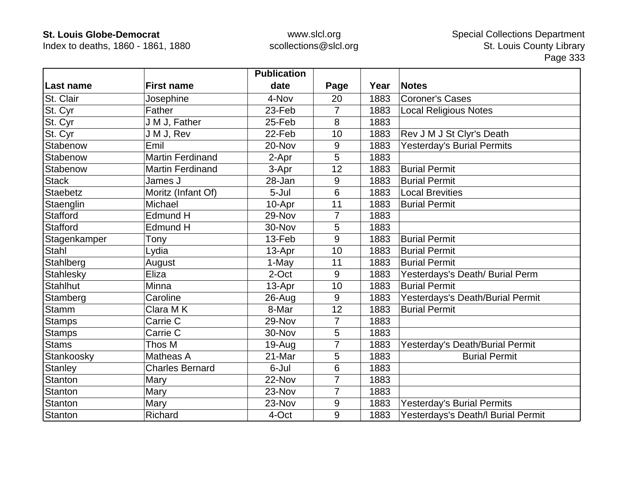Index to deaths, 1860 - 1861, 1880

|                 |                         | <b>Publication</b> |                |      |                                    |
|-----------------|-------------------------|--------------------|----------------|------|------------------------------------|
| Last name       | <b>First name</b>       | date               | Page           | Year | <b>Notes</b>                       |
| St. Clair       | Josephine               | 4-Nov              | 20             | 1883 | <b>Coroner's Cases</b>             |
| St. Cyr         | Father                  | 23-Feb             | $\overline{7}$ | 1883 | <b>Local Religious Notes</b>       |
| St. Cyr         | J M J, Father           | 25-Feb             | 8              | 1883 |                                    |
| St. Cyr         | J M J, Rev              | 22-Feb             | 10             | 1883 | Rev J M J St Clyr's Death          |
| Stabenow        | Emil                    | 20-Nov             | 9              | 1883 | <b>Yesterday's Burial Permits</b>  |
| Stabenow        | <b>Martin Ferdinand</b> | 2-Apr              | 5              | 1883 |                                    |
| Stabenow        | <b>Martin Ferdinand</b> | 3-Apr              | 12             | 1883 | <b>Burial Permit</b>               |
| <b>Stack</b>    | James J                 | 28-Jan             | 9              | 1883 | <b>Burial Permit</b>               |
| <b>Staebetz</b> | Moritz (Infant Of)      | 5-Jul              | 6              | 1883 | <b>Local Brevities</b>             |
| Staenglin       | Michael                 | 10-Apr             | 11             | 1883 | <b>Burial Permit</b>               |
| <b>Stafford</b> | Edmund H                | 29-Nov             | 7              | 1883 |                                    |
| <b>Stafford</b> | Edmund H                | 30-Nov             | 5              | 1883 |                                    |
| Stagenkamper    | Tony                    | 13-Feb             | 9              | 1883 | <b>Burial Permit</b>               |
| Stahl           | Lydia                   | 13-Apr             | 10             | 1883 | <b>Burial Permit</b>               |
| Stahlberg       | August                  | 1-May              | 11             | 1883 | <b>Burial Permit</b>               |
| Stahlesky       | Eliza                   | 2-Oct              | 9              | 1883 | Yesterdays's Death/ Burial Perm    |
| <b>Stahlhut</b> | Minna                   | 13-Apr             | 10             | 1883 | <b>Burial Permit</b>               |
| Stamberg        | Caroline                | 26-Aug             | 9              | 1883 | Yesterdays's Death/Burial Permit   |
| Stamm           | Clara MK                | 8-Mar              | 12             | 1883 | <b>Burial Permit</b>               |
| <b>Stamps</b>   | Carrie C                | 29-Nov             | $\overline{7}$ | 1883 |                                    |
| <b>Stamps</b>   | Carrie C                | 30-Nov             | 5              | 1883 |                                    |
| <b>Stams</b>    | Thos M                  | 19-Aug             | $\overline{7}$ | 1883 | Yesterday's Death/Burial Permit    |
| Stankoosky      | Matheas A               | 21-Mar             | 5              | 1883 | <b>Burial Permit</b>               |
| <b>Stanley</b>  | <b>Charles Bernard</b>  | 6-Jul              | 6              | 1883 |                                    |
| <b>Stanton</b>  | Mary                    | 22-Nov             | 7              | 1883 |                                    |
| Stanton         | Mary                    | 23-Nov             | 7              | 1883 |                                    |
| Stanton         | Mary                    | 23-Nov             | 9              | 1883 | <b>Yesterday's Burial Permits</b>  |
| Stanton         | Richard                 | 4-Oct              | 9              | 1883 | Yesterdays's Death/I Burial Permit |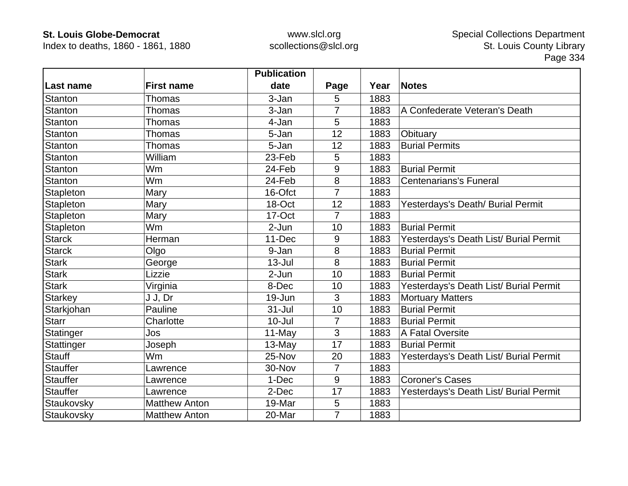Index to deaths, 1860 - 1861, 1880

|                 |                      | <b>Publication</b> |                |      |                                        |
|-----------------|----------------------|--------------------|----------------|------|----------------------------------------|
| ∣Last name      | <b>First name</b>    | date               | Page           | Year | <b>Notes</b>                           |
| Stanton         | Thomas               | 3-Jan              | 5              | 1883 |                                        |
| Stanton         | Thomas               | 3-Jan              | 7              | 1883 | A Confederate Veteran's Death          |
| Stanton         | Thomas               | 4-Jan              | 5              | 1883 |                                        |
| <b>Stanton</b>  | Thomas               | 5-Jan              | 12             | 1883 | Obituary                               |
| Stanton         | Thomas               | 5-Jan              | 12             | 1883 | <b>Burial Permits</b>                  |
| <b>Stanton</b>  | William              | 23-Feb             | 5              | 1883 |                                        |
| Stanton         | Wm                   | 24-Feb             | 9              | 1883 | <b>Burial Permit</b>                   |
| Stanton         | Wm                   | 24-Feb             | 8              | 1883 | <b>Centenarians's Funeral</b>          |
| Stapleton       | Mary                 | 16-Ofct            | 7              | 1883 |                                        |
| Stapleton       | Mary                 | 18-Oct             | 12             | 1883 | Yesterdays's Death/ Burial Permit      |
| Stapleton       | Mary                 | 17-Oct             | 7              | 1883 |                                        |
| Stapleton       | Wm                   | 2-Jun              | 10             | 1883 | <b>Burial Permit</b>                   |
| <b>Starck</b>   | Herman               | 11-Dec             | 9              | 1883 | Yesterdays's Death List/ Burial Permit |
| <b>Starck</b>   | Olgo                 | 9-Jan              | 8              | 1883 | <b>Burial Permit</b>                   |
| <b>Stark</b>    | George               | $13 -$ Jul         | 8              | 1883 | <b>Burial Permit</b>                   |
| <b>Stark</b>    | Lizzie               | 2-Jun              | 10             | 1883 | <b>Burial Permit</b>                   |
| <b>Stark</b>    | Virginia             | 8-Dec              | 10             | 1883 | Yesterdays's Death List/ Burial Permit |
| <b>Starkey</b>  | J J, Dr              | 19-Jun             | 3              | 1883 | <b>Mortuary Matters</b>                |
| Starkjohan      | Pauline              | $31 -$ Jul         | 10             | 1883 | <b>Burial Permit</b>                   |
| <b>Starr</b>    | Charlotte            | $10 -$ Jul         | 7              | 1883 | <b>Burial Permit</b>                   |
| Statinger       | Jos                  | 11-May             | 3              | 1883 | A Fatal Oversite                       |
| Stattinger      | Joseph               | $13-May$           | 17             | 1883 | <b>Burial Permit</b>                   |
| <b>Stauff</b>   | <b>Wm</b>            | 25-Nov             | 20             | 1883 | Yesterdays's Death List/ Burial Permit |
| <b>Stauffer</b> | Lawrence             | 30-Nov             | 7              | 1883 |                                        |
| <b>Stauffer</b> | Lawrence             | 1-Dec              | 9              | 1883 | <b>Coroner's Cases</b>                 |
| <b>Stauffer</b> | Lawrence             | 2-Dec              | 17             | 1883 | Yesterdays's Death List/ Burial Permit |
| Staukovsky      | <b>Matthew Anton</b> | 19-Mar             | 5              | 1883 |                                        |
| Staukovsky      | <b>Matthew Anton</b> | 20-Mar             | $\overline{7}$ | 1883 |                                        |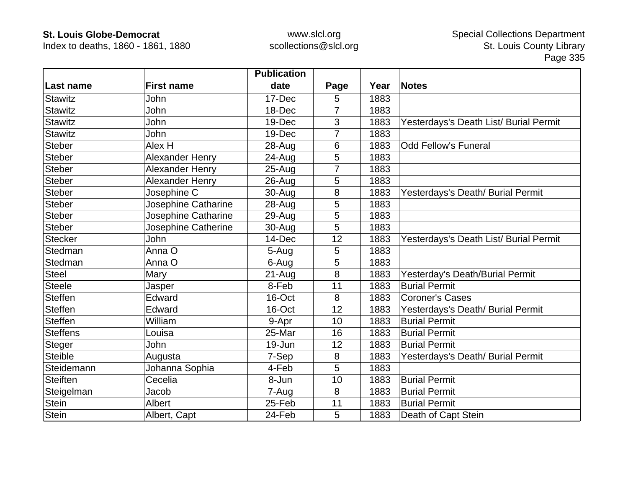Index to deaths, 1860 - 1861, 1880

|                 |                        | <b>Publication</b> |                |      |                                        |
|-----------------|------------------------|--------------------|----------------|------|----------------------------------------|
| Last name       | <b>First name</b>      | date               | Page           | Year | <b>Notes</b>                           |
| <b>Stawitz</b>  | John                   | 17-Dec             | 5              | 1883 |                                        |
| <b>Stawitz</b>  | <b>John</b>            | 18-Dec             | $\overline{7}$ | 1883 |                                        |
| <b>Stawitz</b>  | John                   | 19-Dec             | 3              | 1883 | Yesterdays's Death List/ Burial Permit |
| <b>Stawitz</b>  | John                   | 19-Dec             | 7              | 1883 |                                        |
| <b>Steber</b>   | Alex H                 | 28-Aug             | 6              | 1883 | <b>Odd Fellow's Funeral</b>            |
| <b>Steber</b>   | Alexander Henry        | 24-Aug             | 5              | 1883 |                                        |
| <b>Steber</b>   | <b>Alexander Henry</b> | 25-Aug             |                | 1883 |                                        |
| <b>Steber</b>   | Alexander Henry        | 26-Aug             | 5              | 1883 |                                        |
| <b>Steber</b>   | Josephine C            | 30-Aug             | 8              | 1883 | Yesterdays's Death/ Burial Permit      |
| <b>Steber</b>   | Josephine Catharine    | 28-Aug             | 5              | 1883 |                                        |
| <b>Steber</b>   | Josephine Catharine    | $29$ -Aug          | 5              | 1883 |                                        |
| <b>Steber</b>   | Josephine Catherine    | 30-Aug             | 5              | 1883 |                                        |
| <b>Stecker</b>  | John                   | 14-Dec             | 12             | 1883 | Yesterdays's Death List/ Burial Permit |
| Stedman         | Anna O                 | 5-Aug              | 5              | 1883 |                                        |
| Stedman         | Anna O                 | 6-Aug              | 5              | 1883 |                                        |
| <b>Steel</b>    | Mary                   | 21-Aug             | 8              | 1883 | Yesterday's Death/Burial Permit        |
| <b>Steele</b>   | Jasper                 | 8-Feb              | 11             | 1883 | <b>Burial Permit</b>                   |
| <b>Steffen</b>  | Edward                 | 16-Oct             | 8              | 1883 | <b>Coroner's Cases</b>                 |
| <b>Steffen</b>  | Edward                 | 16-Oct             | 12             | 1883 | Yesterdays's Death/ Burial Permit      |
| <b>Steffen</b>  | William                | 9-Apr              | 10             | 1883 | <b>Burial Permit</b>                   |
| <b>Steffens</b> | Louisa                 | 25-Mar             | 16             | 1883 | <b>Burial Permit</b>                   |
| <b>Steger</b>   | John                   | 19-Jun             | 12             | 1883 | <b>Burial Permit</b>                   |
| <b>Steible</b>  | Augusta                | 7-Sep              | 8              | 1883 | Yesterdays's Death/ Burial Permit      |
| Steidemann      | Johanna Sophia         | 4-Feb              | 5              | 1883 |                                        |
| Steiften        | Cecelia                | 8-Jun              | 10             | 1883 | <b>Burial Permit</b>                   |
| Steigelman      | Jacob                  | 7-Aug              | 8              | 1883 | <b>Burial Permit</b>                   |
| <b>Stein</b>    | <b>Albert</b>          | 25-Feb             | 11             | 1883 | <b>Burial Permit</b>                   |
| <b>Stein</b>    | Albert, Capt           | 24-Feb             | 5              | 1883 | Death of Capt Stein                    |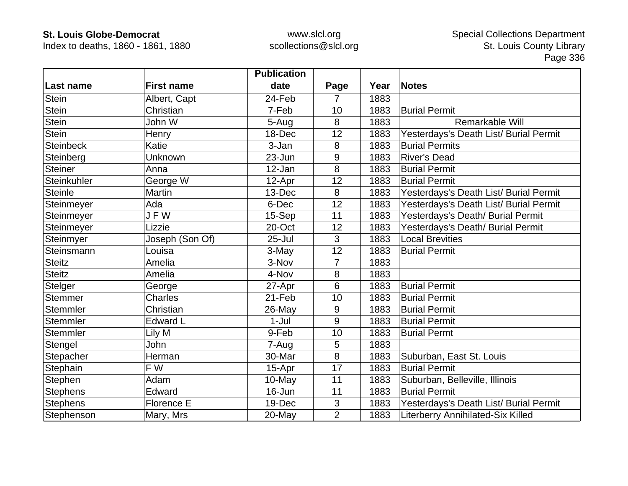Index to deaths, 1860 - 1861, 1880

|                  |                   | <b>Publication</b> |                |      |                                        |
|------------------|-------------------|--------------------|----------------|------|----------------------------------------|
| Last name        | <b>First name</b> | date               | Page           | Year | <b>Notes</b>                           |
| <b>Stein</b>     | Albert, Capt      | 24-Feb             | 7              | 1883 |                                        |
| <b>Stein</b>     | Christian         | 7-Feb              | 10             | 1883 | <b>Burial Permit</b>                   |
| Stein            | John W            | 5-Aug              | 8              | 1883 | Remarkable Will                        |
| <b>Stein</b>     | Henry             | 18-Dec             | 12             | 1883 | Yesterdays's Death List/ Burial Permit |
| <b>Steinbeck</b> | Katie             | 3-Jan              | 8              | 1883 | <b>Burial Permits</b>                  |
| Steinberg        | Unknown           | 23-Jun             | 9              | 1883 | <b>River's Dead</b>                    |
| <b>Steiner</b>   | Anna              | 12-Jan             | 8              | 1883 | <b>Burial Permit</b>                   |
| Steinkuhler      | George W          | 12-Apr             | 12             | 1883 | <b>Burial Permit</b>                   |
| <b>Steinle</b>   | <b>Martin</b>     | 13-Dec             | 8              | 1883 | Yesterdays's Death List/ Burial Permit |
| Steinmeyer       | Ada               | 6-Dec              | 12             | 1883 | Yesterdays's Death List/ Burial Permit |
| Steinmeyer       | JFW               | 15-Sep             | 11             | 1883 | Yesterdays's Death/ Burial Permit      |
| Steinmeyer       | Lizzie            | 20-Oct             | 12             | 1883 | Yesterdays's Death/ Burial Permit      |
| Steinmyer        | Joseph (Son Of)   | $25 -$ Jul         | 3              | 1883 | <b>Local Brevities</b>                 |
| Steinsmann       | Louisa            | 3-May              | 12             | 1883 | <b>Burial Permit</b>                   |
| <b>Steitz</b>    | Amelia            | 3-Nov              | 7              | 1883 |                                        |
| <b>Steitz</b>    | Amelia            | 4-Nov              | 8              | 1883 |                                        |
| Stelger          | George            | 27-Apr             | 6              | 1883 | <b>Burial Permit</b>                   |
| Stemmer          | <b>Charles</b>    | 21-Feb             | 10             | 1883 | <b>Burial Permit</b>                   |
| Stemmler         | Christian         | 26-May             | 9              | 1883 | <b>Burial Permit</b>                   |
| Stemmler         | <b>Edward L</b>   | $1-Jul$            | 9              | 1883 | <b>Burial Permit</b>                   |
| Stemmler         | Lily M            | 9-Feb              | 10             | 1883 | <b>Burial Permt</b>                    |
| Stengel          | John              | 7-Aug              | 5              | 1883 |                                        |
| Stepacher        | Herman            | 30-Mar             | 8              | 1883 | Suburban, East St. Louis               |
| Stephain         | F W               | 15-Apr             | 17             | 1883 | <b>Burial Permit</b>                   |
| Stephen          | Adam              | 10-May             | 11             | 1883 | Suburban, Belleville, Illinois         |
| <b>Stephens</b>  | Edward            | 16-Jun             | 11             | 1883 | <b>Burial Permit</b>                   |
| <b>Stephens</b>  | Florence E        | 19-Dec             | $\mathfrak{S}$ | 1883 | Yesterdays's Death List/ Burial Permit |
| Stephenson       | Mary, Mrs         | 20-May             | $\overline{2}$ | 1883 | Literberry Annihilated-Six Killed      |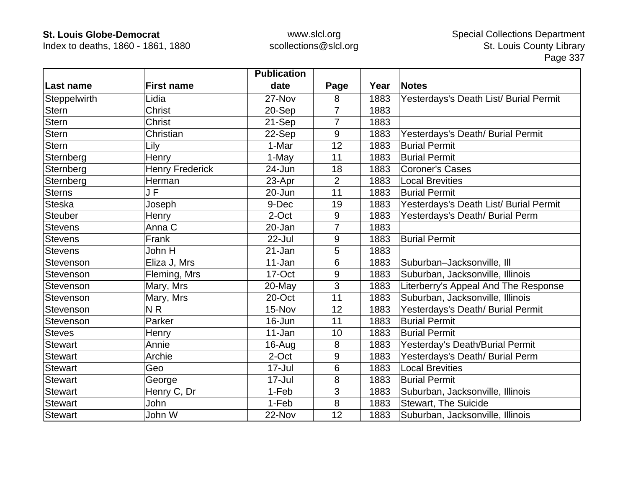Index to deaths, 1860 - 1861, 1880

|                |                        | <b>Publication</b> |                |      |                                        |
|----------------|------------------------|--------------------|----------------|------|----------------------------------------|
| ∣Last name     | <b>First name</b>      | date               | Page           | Year | <b>Notes</b>                           |
| Steppelwirth   | Lidia                  | 27-Nov             | 8              | 1883 | Yesterdays's Death List/ Burial Permit |
| Stern          | <b>Christ</b>          | 20-Sep             | $\overline{7}$ | 1883 |                                        |
| Stern          | <b>Christ</b>          | 21-Sep             | 7              | 1883 |                                        |
| <b>Stern</b>   | Christian              | 22-Sep             | 9              | 1883 | Yesterdays's Death/ Burial Permit      |
| <b>Stern</b>   | Lily                   | 1-Mar              | 12             | 1883 | <b>Burial Permit</b>                   |
| Sternberg      | Henry                  | 1-May              | 11             | 1883 | <b>Burial Permit</b>                   |
| Sternberg      | <b>Henry Frederick</b> | 24-Jun             | 18             | 1883 | <b>Coroner's Cases</b>                 |
| Sternberg      | Herman                 | 23-Apr             | $\overline{2}$ | 1883 | <b>Local Brevities</b>                 |
| <b>Sterns</b>  | J F                    | 20-Jun             | 11             | 1883 | <b>Burial Permit</b>                   |
| <b>Steska</b>  | Joseph                 | 9-Dec              | 19             | 1883 | Yesterdays's Death List/ Burial Permit |
| Steuber        | Henry                  | 2-Oct              | 9              | 1883 | Yesterdays's Death/ Burial Perm        |
| <b>Stevens</b> | Anna C                 | 20-Jan             | 7              | 1883 |                                        |
| <b>Stevens</b> | Frank                  | 22-Jul             | 9              | 1883 | <b>Burial Permit</b>                   |
| <b>Stevens</b> | John H                 | 21-Jan             | 5              | 1883 |                                        |
| Stevenson      | Eliza J, Mrs           | 11-Jan             | 6              | 1883 | Suburban-Jacksonville, Ill             |
| Stevenson      | Fleming, Mrs           | 17-Oct             | 9              | 1883 | Suburban, Jacksonville, Illinois       |
| Stevenson      | Mary, Mrs              | $20$ -May          | 3              | 1883 | Literberry's Appeal And The Response   |
| Stevenson      | Mary, Mrs              | 20-Oct             | 11             | 1883 | Suburban, Jacksonville, Illinois       |
| Stevenson      | N <sub>R</sub>         | 15-Nov             | 12             | 1883 | Yesterdays's Death/ Burial Permit      |
| Stevenson      | Parker                 | 16-Jun             | 11             | 1883 | <b>Burial Permit</b>                   |
| <b>Steves</b>  | Henry                  | 11-Jan             | 10             | 1883 | <b>Burial Permit</b>                   |
| <b>Stewart</b> | Annie                  | 16-Aug             | 8              | 1883 | Yesterday's Death/Burial Permit        |
| <b>Stewart</b> | Archie                 | 2-Oct              | 9              | 1883 | Yesterdays's Death/ Burial Perm        |
| <b>Stewart</b> | Geo                    | 17-Jul             | 6              | 1883 | <b>Local Brevities</b>                 |
| <b>Stewart</b> | George                 | 17-Jul             | 8              | 1883 | <b>Burial Permit</b>                   |
| <b>Stewart</b> | Henry C, Dr            | 1-Feb              | 3              | 1883 | Suburban, Jacksonville, Illinois       |
| <b>Stewart</b> | John                   | 1-Feb              | 8              | 1883 | <b>Stewart, The Suicide</b>            |
| <b>Stewart</b> | John W                 | 22-Nov             | 12             | 1883 | Suburban, Jacksonville, Illinois       |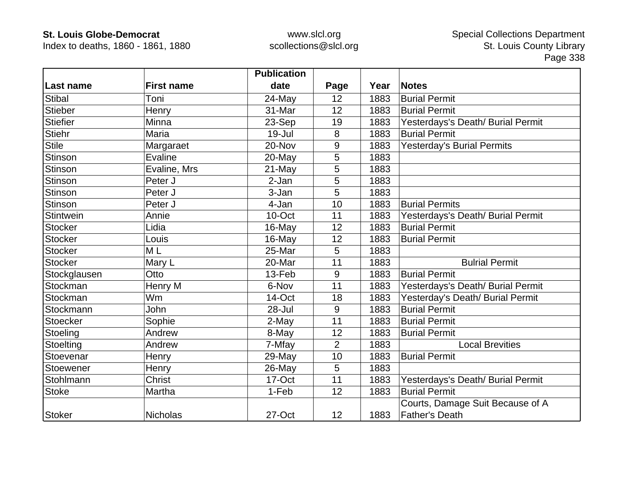Index to deaths, 1860 - 1861, 1880

|                  |                   | <b>Publication</b> |                |      |                                   |
|------------------|-------------------|--------------------|----------------|------|-----------------------------------|
| Last name        | <b>First name</b> | date               | Page           | Year | <b>Notes</b>                      |
| <b>Stibal</b>    | Toni              | 24-May             | 12             | 1883 | <b>Burial Permit</b>              |
| Stieber          | Henry             | 31-Mar             | 12             | 1883 | <b>Burial Permit</b>              |
| <b>Stiefier</b>  | Minna             | 23-Sep             | 19             | 1883 | Yesterdays's Death/ Burial Permit |
| <b>Stiehr</b>    | Maria             | 19-Jul             | 8              | 1883 | <b>Burial Permit</b>              |
| <b>Stile</b>     | Margaraet         | 20-Nov             | 9              | 1883 | Yesterday's Burial Permits        |
| <b>Stinson</b>   | Evaline           | 20-May             | 5              | 1883 |                                   |
| Stinson          | Evaline, Mrs      | 21-May             | 5              | 1883 |                                   |
| Stinson          | Peter J           | 2-Jan              | 5              | 1883 |                                   |
| Stinson          | Peter J           | 3-Jan              | 5              | 1883 |                                   |
| <b>Stinson</b>   | Peter J           | 4-Jan              | 10             | 1883 | <b>Burial Permits</b>             |
| <b>Stintwein</b> | Annie             | 10-Oct             | 11             | 1883 | Yesterdays's Death/ Burial Permit |
| <b>Stocker</b>   | Lidia             | 16-May             | 12             | 1883 | <b>Burial Permit</b>              |
| <b>Stocker</b>   | Louis             | 16-May             | 12             | 1883 | <b>Burial Permit</b>              |
| <b>Stocker</b>   | M L               | 25-Mar             | 5              | 1883 |                                   |
| <b>Stocker</b>   | Mary L            | 20-Mar             | 11             | 1883 | <b>Bulrial Permit</b>             |
| Stockglausen     | Otto              | 13-Feb             | 9              | 1883 | <b>Burial Permit</b>              |
| Stockman         | Henry M           | 6-Nov              | 11             | 1883 | Yesterdays's Death/ Burial Permit |
| Stockman         | Wm                | 14-Oct             | 18             | 1883 | Yesterday's Death/ Burial Permit  |
| Stockmann        | <b>John</b>       | 28-Jul             | 9              | 1883 | <b>Burial Permit</b>              |
| Stoecker         | Sophie            | 2-May              | 11             | 1883 | <b>Burial Permit</b>              |
| Stoeling         | Andrew            | 8-May              | 12             | 1883 | <b>Burial Permit</b>              |
| Stoelting        | Andrew            | 7-Mfay             | $\overline{2}$ | 1883 | <b>Local Brevities</b>            |
| Stoevenar        | Henry             | 29-May             | 10             | 1883 | <b>Burial Permit</b>              |
| Stoewener        | Henry             | 26-May             | 5              | 1883 |                                   |
| Stohlmann        | <b>Christ</b>     | 17-Oct             | 11             | 1883 | Yesterdays's Death/ Burial Permit |
| <b>Stoke</b>     | Martha            | 1-Feb              | 12             | 1883 | <b>Burial Permit</b>              |
|                  |                   |                    |                |      | Courts, Damage Suit Because of A  |
| <b>Stoker</b>    | <b>Nicholas</b>   | 27-Oct             | 12             | 1883 | <b>Father's Death</b>             |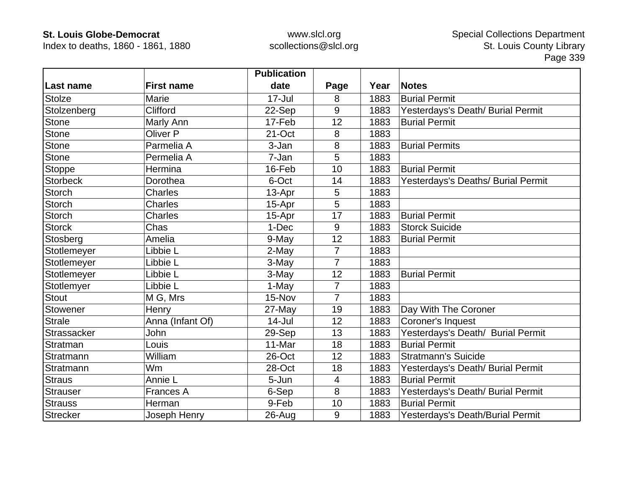Index to deaths, 1860 - 1861, 1880

|                 |                     | <b>Publication</b> |                |      |                                    |
|-----------------|---------------------|--------------------|----------------|------|------------------------------------|
| Last name       | <b>First name</b>   | date               | Page           | Year | <b>Notes</b>                       |
| <b>Stolze</b>   | Marie               | $17 -$ Jul         | 8              | 1883 | <b>Burial Permit</b>               |
| Stolzenberg     | Clifford            | 22-Sep             | 9              | 1883 | Yesterdays's Death/ Burial Permit  |
| Stone           | Marly Ann           | 17-Feb             | 12             | 1883 | <b>Burial Permit</b>               |
| <b>Stone</b>    | Oliver <sub>P</sub> | 21-Oct             | 8              | 1883 |                                    |
| <b>Stone</b>    | Parmelia A          | 3-Jan              | 8              | 1883 | <b>Burial Permits</b>              |
| <b>Stone</b>    | Permelia A          | 7-Jan              | 5              | 1883 |                                    |
| <b>Stoppe</b>   | Hermina             | 16-Feb             | 10             | 1883 | <b>Burial Permit</b>               |
| <b>Storbeck</b> | Dorothea            | 6-Oct              | 14             | 1883 | Yesterdays's Deaths/ Burial Permit |
| <b>Storch</b>   | <b>Charles</b>      | 13-Apr             | 5              | 1883 |                                    |
| <b>Storch</b>   | <b>Charles</b>      | 15-Apr             | 5              | 1883 |                                    |
| <b>Storch</b>   | <b>Charles</b>      | 15-Apr             | 17             | 1883 | <b>Burial Permit</b>               |
| <b>Storck</b>   | Chas                | 1-Dec              | 9              | 1883 | <b>Storck Suicide</b>              |
| Stosberg        | Amelia              | 9-May              | 12             | 1883 | <b>Burial Permit</b>               |
| Stotlemeyer     | Libbie L            | 2-May              | $\overline{7}$ | 1883 |                                    |
| Stotlemeyer     | Libbie L            | 3-May              | 7              | 1883 |                                    |
| Stotlemeyer     | Libbie L            | 3-May              | 12             | 1883 | <b>Burial Permit</b>               |
| Stotlemyer      | Libbie L            | 1-May              | $\overline{7}$ | 1883 |                                    |
| <b>Stout</b>    | M G, Mrs            | 15-Nov             | $\overline{7}$ | 1883 |                                    |
| Stowener        | Henry               | 27-May             | 19             | 1883 | Day With The Coroner               |
| <b>Strale</b>   | Anna (Infant Of)    | $14$ -Jul          | 12             | 1883 | Coroner's Inquest                  |
| Strassacker     | <b>John</b>         | 29-Sep             | 13             | 1883 | Yesterdays's Death/ Burial Permit  |
| Stratman        | Louis               | 11-Mar             | 18             | 1883 | <b>Burial Permit</b>               |
| Stratmann       | William             | 26-Oct             | 12             | 1883 | <b>Stratmann's Suicide</b>         |
| Stratmann       | Wm                  | 28-Oct             | 18             | 1883 | Yesterdays's Death/ Burial Permit  |
| <b>Straus</b>   | Annie L             | 5-Jun              | 4              | 1883 | <b>Burial Permit</b>               |
| <b>Strauser</b> | <b>Frances A</b>    | 6-Sep              | 8              | 1883 | Yesterdays's Death/ Burial Permit  |
| <b>Strauss</b>  | Herman              | 9-Feb              | 10             | 1883 | <b>Burial Permit</b>               |
| <b>Strecker</b> | Joseph Henry        | 26-Aug             | 9              | 1883 | Yesterdays's Death/Burial Permit   |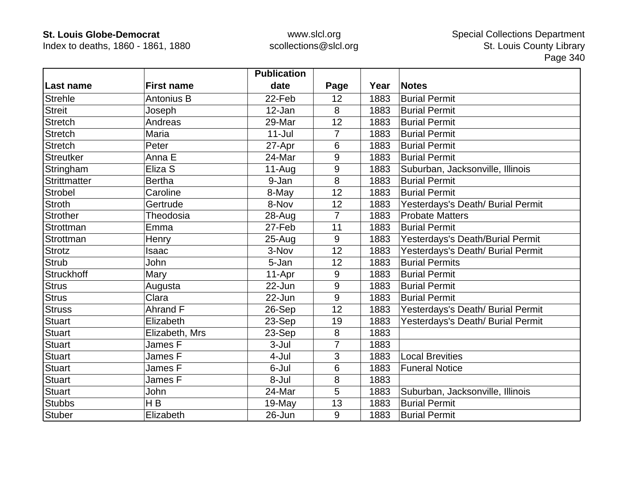Index to deaths, 1860 - 1861, 1880

|                  |                   | <b>Publication</b> |                |      |                                   |
|------------------|-------------------|--------------------|----------------|------|-----------------------------------|
| Last name        | <b>First name</b> | date               | Page           | Year | <b>Notes</b>                      |
| <b>Strehle</b>   | <b>Antonius B</b> | 22-Feb             | 12             | 1883 | <b>Burial Permit</b>              |
| <b>Streit</b>    | Joseph            | 12-Jan             | 8              | 1883 | <b>Burial Permit</b>              |
| <b>Stretch</b>   | Andreas           | 29-Mar             | 12             | 1883 | <b>Burial Permit</b>              |
| <b>Stretch</b>   | Maria             | $11 -$ Jul         | $\overline{7}$ | 1883 | <b>Burial Permit</b>              |
| <b>Stretch</b>   | Peter             | 27-Apr             | 6              | 1883 | <b>Burial Permit</b>              |
| <b>Streutker</b> | Anna E            | 24-Mar             | 9              | 1883 | <b>Burial Permit</b>              |
| Stringham        | Eliza S           | $11-Auq$           | 9              | 1883 | Suburban, Jacksonville, Illinois  |
| Strittmatter     | <b>Bertha</b>     | 9-Jan              | 8              | 1883 | <b>Burial Permit</b>              |
| <b>Strobel</b>   | Caroline          | 8-May              | 12             | 1883 | <b>Burial Permit</b>              |
| <b>Stroth</b>    | Gertrude          | 8-Nov              | 12             | 1883 | Yesterdays's Death/ Burial Permit |
| <b>Strother</b>  | Theodosia         | 28-Aug             | 7              | 1883 | <b>Probate Matters</b>            |
| Strottman        | Emma              | 27-Feb             | 11             | 1883 | <b>Burial Permit</b>              |
| Strottman        | Henry             | $25 - Aug$         | 9              | 1883 | Yesterdays's Death/Burial Permit  |
| <b>Strotz</b>    | Isaac             | 3-Nov              | 12             | 1883 | Yesterdays's Death/ Burial Permit |
| <b>Strub</b>     | John              | 5-Jan              | 12             | 1883 | <b>Burial Permits</b>             |
| Struckhoff       | Mary              | 11-Apr             | 9              | 1883 | <b>Burial Permit</b>              |
| Strus            | Augusta           | 22-Jun             | 9              | 1883 | <b>Burial Permit</b>              |
| <b>Strus</b>     | Clara             | 22-Jun             | 9              | 1883 | <b>Burial Permit</b>              |
| <b>Struss</b>    | Ahrand F          | 26-Sep             | 12             | 1883 | Yesterdays's Death/ Burial Permit |
| <b>Stuart</b>    | Elizabeth         | 23-Sep             | 19             | 1883 | Yesterdays's Death/ Burial Permit |
| <b>Stuart</b>    | Elizabeth, Mrs    | 23-Sep             | 8              | 1883 |                                   |
| <b>Stuart</b>    | James F           | 3-Jul              | $\overline{7}$ | 1883 |                                   |
| <b>Stuart</b>    | James F           | 4-Jul              | 3              | 1883 | <b>Local Brevities</b>            |
| <b>Stuart</b>    | James F           | 6-Jul              | 6              | 1883 | <b>Funeral Notice</b>             |
| <b>Stuart</b>    | James F           | 8-Jul              | 8              | 1883 |                                   |
| <b>Stuart</b>    | John              | 24-Mar             | 5              | 1883 | Suburban, Jacksonville, Illinois  |
| <b>Stubbs</b>    | H B               | 19-May             | 13             | 1883 | <b>Burial Permit</b>              |
| <b>Stuber</b>    | Elizabeth         | 26-Jun             | 9              | 1883 | <b>Burial Permit</b>              |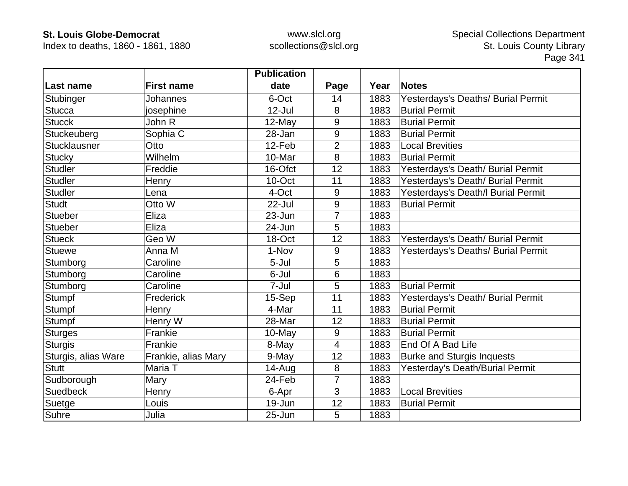Index to deaths, 1860 - 1861, 1880

|                     |                     | <b>Publication</b> |                |      |                                    |
|---------------------|---------------------|--------------------|----------------|------|------------------------------------|
| Last name           | <b>First name</b>   | date               | Page           | Year | <b>Notes</b>                       |
| Stubinger           | Johannes            | 6-Oct              | 14             | 1883 | Yesterdays's Deaths/ Burial Permit |
| <b>Stucca</b>       | josephine           | $12$ -Jul          | 8              | 1883 | <b>Burial Permit</b>               |
| <b>Stucck</b>       | John R              | $12$ -May          | 9              | 1883 | <b>Burial Permit</b>               |
| Stuckeuberg         | Sophia C            | 28-Jan             | 9              | 1883 | <b>Burial Permit</b>               |
| Stucklausner        | Otto                | 12-Feb             | $\overline{2}$ | 1883 | <b>Local Brevities</b>             |
| <b>Stucky</b>       | Wilhelm             | 10-Mar             | 8              | 1883 | <b>Burial Permit</b>               |
| <b>Studler</b>      | Freddie             | 16-Ofct            | 12             | 1883 | Yesterdays's Death/ Burial Permit  |
| <b>Studler</b>      | Henry               | 10-Oct             | 11             | 1883 | Yesterdays's Death/ Burial Permit  |
| <b>Studler</b>      | Lena                | 4-Oct              | 9              | 1883 | Yesterdays's Death/I Burial Permit |
| <b>Studt</b>        | Otto W              | 22-Jul             | 9              | 1883 | <b>Burial Permit</b>               |
| <b>Stueber</b>      | Eliza               | 23-Jun             | $\overline{7}$ | 1883 |                                    |
| <b>Stueber</b>      | Eliza               | 24-Jun             | 5              | 1883 |                                    |
| <b>Stueck</b>       | Geo W               | 18-Oct             | 12             | 1883 | Yesterdays's Death/ Burial Permit  |
| <b>Stuewe</b>       | Anna M              | 1-Nov              | 9              | 1883 | Yesterdays's Deaths/ Burial Permit |
| Stumborg            | Caroline            | 5-Jul              | 5              | 1883 |                                    |
| Stumborg            | Caroline            | 6-Jul              | 6              | 1883 |                                    |
| Stumborg            | Caroline            | 7-Jul              | 5              | 1883 | <b>Burial Permit</b>               |
| Stumpf              | Frederick           | 15-Sep             | 11             | 1883 | Yesterdays's Death/ Burial Permit  |
| Stumpf              | Henry               | 4-Mar              | 11             | 1883 | <b>Burial Permit</b>               |
| Stumpf              | Henry W             | 28-Mar             | 12             | 1883 | <b>Burial Permit</b>               |
| <b>Sturges</b>      | Frankie             | 10-May             | 9              | 1883 | <b>Burial Permit</b>               |
| <b>Sturgis</b>      | Frankie             | 8-May              | $\overline{4}$ | 1883 | End Of A Bad Life                  |
| Sturgis, alias Ware | Frankie, alias Mary | 9-May              | 12             | 1883 | <b>Burke and Sturgis Inquests</b>  |
| <b>Stutt</b>        | Maria T             | 14-Aug             | 8              | 1883 | Yesterday's Death/Burial Permit    |
| Sudborough          | Mary                | 24-Feb             | $\overline{7}$ | 1883 |                                    |
| <b>Suedbeck</b>     | Henry               | 6-Apr              | 3              | 1883 | <b>Local Brevities</b>             |
| Suetge              | Louis               | 19-Jun             | 12             | 1883 | <b>Burial Permit</b>               |
| Suhre               | Julia               | 25-Jun             | 5              | 1883 |                                    |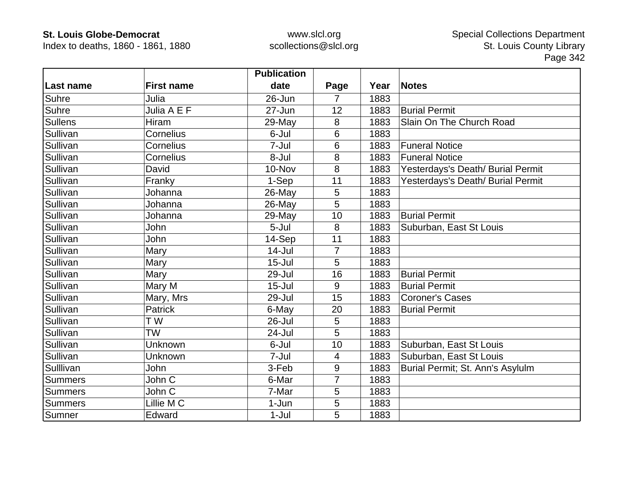Index to deaths, 1860 - 1861, 1880

|                |                   | <b>Publication</b> |                |      |                                   |
|----------------|-------------------|--------------------|----------------|------|-----------------------------------|
| Last name      | <b>First name</b> | date               | Page           | Year | <b>Notes</b>                      |
| Suhre          | Julia             | 26-Jun             | 7              | 1883 |                                   |
| Suhre          | Julia A E F       | 27-Jun             | 12             | 1883 | <b>Burial Permit</b>              |
| <b>Sullens</b> | <b>Hiram</b>      | 29-May             | 8              | 1883 | Slain On The Church Road          |
| Sullivan       | Cornelius         | 6-Jul              | 6              | 1883 |                                   |
| Sullivan       | Cornelius         | 7-Jul              | 6              | 1883 | <b>Funeral Notice</b>             |
| Sullivan       | Cornelius         | 8-Jul              | 8              | 1883 | <b>Funeral Notice</b>             |
| Sullivan       | David             | 10-Nov             | 8              | 1883 | Yesterdays's Death/ Burial Permit |
| Sullivan       | Franky            | 1-Sep              | 11             | 1883 | Yesterdays's Death/ Burial Permit |
| Sullivan       | Johanna           | 26-May             | 5              | 1883 |                                   |
| Sullivan       | Johanna           | 26-May             | 5              | 1883 |                                   |
| Sullivan       | Johanna           | 29-May             | 10             | 1883 | <b>Burial Permit</b>              |
| Sullivan       | John              | 5-Jul              | 8              | 1883 | Suburban, East St Louis           |
| Sullivan       | John              | 14-Sep             | 11             | 1883 |                                   |
| Sullivan       | Mary              | $14$ -Jul          | $\overline{7}$ | 1883 |                                   |
| Sullivan       | Mary              | $15 -$ Jul         | 5              | 1883 |                                   |
| Sullivan       | Mary              | 29-Jul             | 16             | 1883 | <b>Burial Permit</b>              |
| Sullivan       | Mary M            | $15 -$ Jul         | 9              | 1883 | <b>Burial Permit</b>              |
| Sullivan       | Mary, Mrs         | 29-Jul             | 15             | 1883 | <b>Coroner's Cases</b>            |
| Sullivan       | <b>Patrick</b>    | 6-May              | 20             | 1883 | <b>Burial Permit</b>              |
| Sullivan       | T W               | 26-Jul             | 5              | 1883 |                                   |
| Sullivan       | <b>TW</b>         | 24-Jul             | 5              | 1883 |                                   |
| Sullivan       | Unknown           | 6-Jul              | 10             | 1883 | Suburban, East St Louis           |
| Sullivan       | Unknown           | 7-Jul              | 4              | 1883 | Suburban, East St Louis           |
| Sulllivan      | John              | 3-Feb              | 9              | 1883 | Burial Permit; St. Ann's Asylulm  |
| <b>Summers</b> | John C            | 6-Mar              | 7              | 1883 |                                   |
| <b>Summers</b> | John C            | 7-Mar              | 5              | 1883 |                                   |
| <b>Summers</b> | Lillie M C        | 1-Jun              | $\overline{5}$ | 1883 |                                   |
| Sumner         | Edward            | $1-Jul$            | 5              | 1883 |                                   |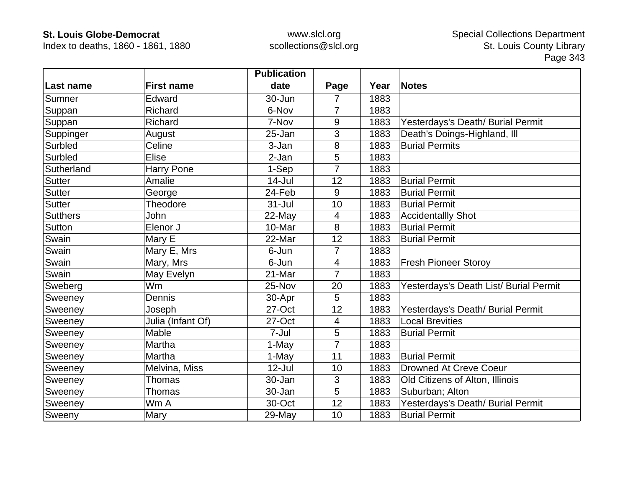Index to deaths, 1860 - 1861, 1880

|                 |                   | <b>Publication</b> |                |      |                                        |
|-----------------|-------------------|--------------------|----------------|------|----------------------------------------|
| ∣Last name      | <b>First name</b> | date               | Page           | Year | <b>Notes</b>                           |
| Sumner          | Edward            | 30-Jun             | 7              | 1883 |                                        |
| Suppan          | Richard           | 6-Nov              | $\overline{7}$ | 1883 |                                        |
| Suppan          | Richard           | 7-Nov              | 9              | 1883 | Yesterdays's Death/ Burial Permit      |
| Suppinger       | August            | 25-Jan             | 3              | 1883 | Death's Doings-Highland, Ill           |
| Surbled         | Celine            | 3-Jan              | 8              | 1883 | <b>Burial Permits</b>                  |
| Surbled         | <b>Elise</b>      | 2-Jan              | 5              | 1883 |                                        |
| Sutherland      | Harry Pone        | 1-Sep              | 7              | 1883 |                                        |
| <b>Sutter</b>   | Amalie            | $14$ -Jul          | 12             | 1883 | <b>Burial Permit</b>                   |
| <b>Sutter</b>   | George            | 24-Feb             | 9              | 1883 | <b>Burial Permit</b>                   |
| <b>Sutter</b>   | Theodore          | $31 -$ Jul         | 10             | 1883 | <b>Burial Permit</b>                   |
| <b>Sutthers</b> | John              | 22-May             | 4              | 1883 | <b>Accidentallly Shot</b>              |
| Sutton          | Elenor J          | 10-Mar             | 8              | 1883 | <b>Burial Permit</b>                   |
| Swain           | Mary E            | 22-Mar             | 12             | 1883 | <b>Burial Permit</b>                   |
| Swain           | Mary E, Mrs       | 6-Jun              | $\overline{7}$ | 1883 |                                        |
| Swain           | Mary, Mrs         | 6-Jun              | $\overline{4}$ | 1883 | <b>Fresh Pioneer Storoy</b>            |
| Swain           | May Evelyn        | 21-Mar             | $\overline{7}$ | 1883 |                                        |
| Sweberg         | <b>Wm</b>         | 25-Nov             | 20             | 1883 | Yesterdays's Death List/ Burial Permit |
| Sweeney         | Dennis            | 30-Apr             | 5              | 1883 |                                        |
| Sweeney         | Joseph            | 27-Oct             | 12             | 1883 | Yesterdays's Death/ Burial Permit      |
| Sweeney         | Julia (Infant Of) | 27-Oct             | $\overline{4}$ | 1883 | <b>Local Brevities</b>                 |
| Sweeney         | Mable             | 7-Jul              | 5              | 1883 | <b>Burial Permit</b>                   |
| Sweeney         | Martha            | 1-May              | $\overline{7}$ | 1883 |                                        |
| Sweeney         | Martha            | 1-May              | 11             | 1883 | <b>Burial Permit</b>                   |
| Sweeney         | Melvina, Miss     | $12$ -Jul          | 10             | 1883 | <b>Drowned At Creve Coeur</b>          |
| Sweeney         | <b>Thomas</b>     | 30-Jan             | 3              | 1883 | Old Citizens of Alton, Illinois        |
| Sweeney         | Thomas            | 30-Jan             | 5              | 1883 | Suburban; Alton                        |
| Sweeney         | Wm A              | 30-Oct             | 12             | 1883 | Yesterdays's Death/ Burial Permit      |
| Sweeny          | Mary              | $29$ -May          | 10             | 1883 | <b>Burial Permit</b>                   |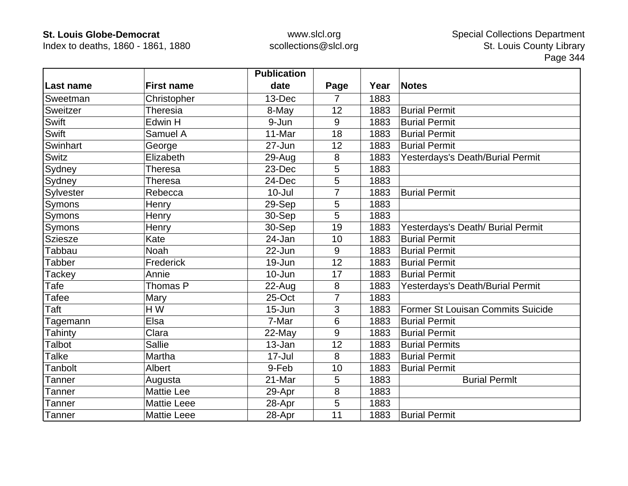Index to deaths, 1860 - 1861, 1880

|                |                    | <b>Publication</b> |      |      |                                   |
|----------------|--------------------|--------------------|------|------|-----------------------------------|
| Last name      | <b>First name</b>  | date               | Page | Year | <b>Notes</b>                      |
| Sweetman       | Christopher        | 13-Dec             | 7    | 1883 |                                   |
| Sweitzer       | <b>Theresia</b>    | 8-May              | 12   | 1883 | <b>Burial Permit</b>              |
| Swift          | Edwin H            | 9-Jun              | 9    | 1883 | <b>Burial Permit</b>              |
| Swift          | Samuel A           | 11-Mar             | 18   | 1883 | <b>Burial Permit</b>              |
| Swinhart       | George             | 27-Jun             | 12   | 1883 | <b>Burial Permit</b>              |
| Switz          | Elizabeth          | 29-Aug             | 8    | 1883 | Yesterdays's Death/Burial Permit  |
| Sydney         | Theresa            | 23-Dec             | 5    | 1883 |                                   |
| Sydney         | <b>Theresa</b>     | 24-Dec             | 5    | 1883 |                                   |
| Sylvester      | Rebecca            | $10 -$ Jul         | 7    | 1883 | <b>Burial Permit</b>              |
| Symons         | Henry              | 29-Sep             | 5    | 1883 |                                   |
| Symons         | Henry              | 30-Sep             | 5    | 1883 |                                   |
| Symons         | Henry              | 30-Sep             | 19   | 1883 | Yesterdays's Death/ Burial Permit |
| <b>Sziesze</b> | Kate               | 24-Jan             | 10   | 1883 | <b>Burial Permit</b>              |
| <b>Tabbau</b>  | <b>Noah</b>        | 22-Jun             | 9    | 1883 | <b>Burial Permit</b>              |
| <b>Tabber</b>  | Frederick          | 19-Jun             | 12   | 1883 | <b>Burial Permit</b>              |
| Tackey         | Annie              | $10 - Jun$         | 17   | 1883 | <b>Burial Permit</b>              |
| Tafe           | Thomas P           | 22-Aug             | 8    | 1883 | Yesterdays's Death/Burial Permit  |
| Tafee          | Mary               | 25-Oct             | 7    | 1883 |                                   |
| Taft           | HW                 | $15 - Jun$         | 3    | 1883 | Former St Louisan Commits Suicide |
| Tagemann       | Elsa               | 7-Mar              | 6    | 1883 | <b>Burial Permit</b>              |
| Tahinty        | Clara              | 22-May             | 9    | 1883 | <b>Burial Permit</b>              |
| Talbot         | <b>Sallie</b>      | 13-Jan             | 12   | 1883 | <b>Burial Permits</b>             |
| Talke          | Martha             | $17 -$ Jul         | 8    | 1883 | <b>Burial Permit</b>              |
| <b>Tanbolt</b> | <b>Albert</b>      | 9-Feb              | 10   | 1883 | <b>Burial Permit</b>              |
| Tanner         | Augusta            | 21-Mar             | 5    | 1883 | <b>Burial Permit</b>              |
| Tanner         | <b>Mattie Lee</b>  | 29-Apr             | 8    | 1883 |                                   |
| <b>Tanner</b>  | <b>Mattie Leee</b> | 28-Apr             | 5    | 1883 |                                   |
| Tanner         | <b>Mattie Leee</b> | 28-Apr             | 11   | 1883 | <b>Burial Permit</b>              |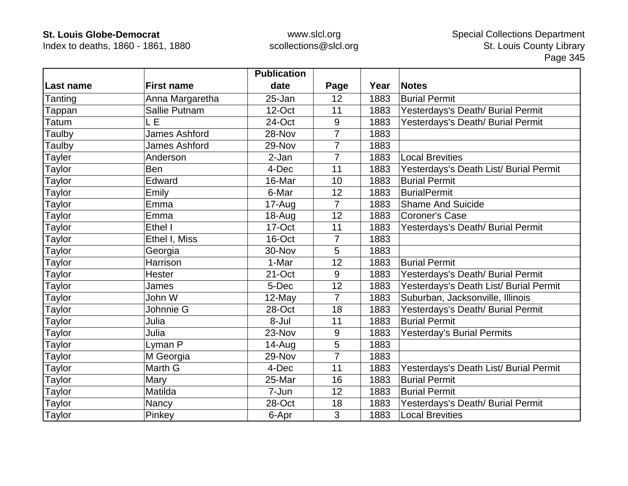Index to deaths, 1860 - 1861, 1880

|               |                      | <b>Publication</b> |                |      |                                        |
|---------------|----------------------|--------------------|----------------|------|----------------------------------------|
| Last name     | <b>First name</b>    | date               | Page           | Year | <b>Notes</b>                           |
| Tanting       | Anna Margaretha      | 25-Jan             | 12             | 1883 | <b>Burial Permit</b>                   |
| Tappan        | Sallie Putnam        | 12-Oct             | 11             | 1883 | Yesterdays's Death/ Burial Permit      |
| Tatum         | LE                   | 24-Oct             | 9              | 1883 | Yesterdays's Death/ Burial Permit      |
| Taulby        | <b>James Ashford</b> | 28-Nov             | 7              | 1883 |                                        |
| Taulby        | <b>James Ashford</b> | 29-Nov             | 7              | 1883 |                                        |
| Tayler        | Anderson             | 2-Jan              | 7              | 1883 | <b>Local Brevities</b>                 |
| Taylor        | <b>Ben</b>           | 4-Dec              | 11             | 1883 | Yesterdays's Death List/ Burial Permit |
| Taylor        | Edward               | 16-Mar             | 10             | 1883 | <b>Burial Permit</b>                   |
| Taylor        | Emily                | 6-Mar              | 12             | 1883 | <b>BurialPermit</b>                    |
| Taylor        | Emma                 | 17-Aug             | $\overline{7}$ | 1883 | <b>Shame And Suicide</b>               |
| Taylor        | Emma                 | 18-Aug             | 12             | 1883 | <b>Coroner's Case</b>                  |
| Taylor        | Ethel I              | 17-Oct             | 11             | 1883 | Yesterdays's Death/ Burial Permit      |
| Taylor        | Ethel I, Miss        | 16-Oct             | 7              | 1883 |                                        |
| <b>Taylor</b> | Georgia              | 30-Nov             | 5              | 1883 |                                        |
| Taylor        | Harrison             | 1-Mar              | 12             | 1883 | <b>Burial Permit</b>                   |
| Taylor        | Hester               | 21-Oct             | 9              | 1883 | Yesterdays's Death/ Burial Permit      |
| Taylor        | James                | 5-Dec              | 12             | 1883 | Yesterdays's Death List/ Burial Permit |
| Taylor        | John W               | 12-May             | $\overline{7}$ | 1883 | Suburban, Jacksonville, Illinois       |
| Taylor        | Johnnie G            | 28-Oct             | 18             | 1883 | Yesterdays's Death/ Burial Permit      |
| Taylor        | Julia                | 8-Jul              | 11             | 1883 | <b>Burial Permit</b>                   |
| Taylor        | Julia                | 23-Nov             | 9              | 1883 | <b>Yesterday's Burial Permits</b>      |
| Taylor        | Lyman P              | $14 - Aug$         | 5              | 1883 |                                        |
| Taylor        | M Georgia            | 29-Nov             | 7              | 1883 |                                        |
| Taylor        | Marth G              | 4-Dec              | 11             | 1883 | Yesterdays's Death List/ Burial Permit |
| Taylor        | Mary                 | 25-Mar             | 16             | 1883 | <b>Burial Permit</b>                   |
| Taylor        | Matilda              | 7-Jun              | 12             | 1883 | <b>Burial Permit</b>                   |
| Taylor        | Nancy                | 28-Oct             | 18             | 1883 | Yesterdays's Death/ Burial Permit      |
| <b>Taylor</b> | Pinkey               | 6-Apr              | 3              | 1883 | <b>Local Brevities</b>                 |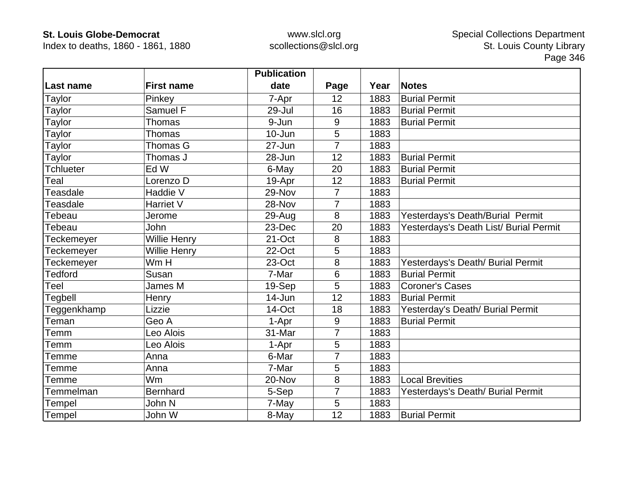Index to deaths, 1860 - 1861, 1880

|                  |                   | <b>Publication</b> |                |      |                                        |
|------------------|-------------------|--------------------|----------------|------|----------------------------------------|
| Last name        | <b>First name</b> | date               | Page           | Year | <b>Notes</b>                           |
| Taylor           | Pinkey            | 7-Apr              | 12             | 1883 | <b>Burial Permit</b>                   |
| Taylor           | Samuel F          | 29-Jul             | 16             | 1883 | <b>Burial Permit</b>                   |
| Taylor           | Thomas            | 9-Jun              | 9              | 1883 | <b>Burial Permit</b>                   |
| Taylor           | Thomas            | $10 - Jun$         | 5              | 1883 |                                        |
| Taylor           | Thomas G          | 27-Jun             | $\overline{7}$ | 1883 |                                        |
| Taylor           | Thomas J          | 28-Jun             | 12             | 1883 | <b>Burial Permit</b>                   |
| <b>Tchlueter</b> | Ed W              | 6-May              | 20             | 1883 | <b>Burial Permit</b>                   |
| Teal             | Lorenzo D         | 19-Apr             | 12             | 1883 | <b>Burial Permit</b>                   |
| Teasdale         | Haddie V          | 29-Nov             | $\overline{7}$ | 1883 |                                        |
| Teasdale         | Harriet V         | 28-Nov             | $\overline{7}$ | 1883 |                                        |
| Tebeau           | Jerome            | 29-Aug             | 8              | 1883 | Yesterdays's Death/Burial Permit       |
| Tebeau           | John              | 23-Dec             | 20             | 1883 | Yesterdays's Death List/ Burial Permit |
| Teckemeyer       | Willie Henry      | 21-Oct             | 8              | 1883 |                                        |
| Teckemeyer       | Willie Henry      | 22-Oct             | 5              | 1883 |                                        |
| Teckemeyer       | Wm H              | 23-Oct             | 8              | 1883 | Yesterdays's Death/ Burial Permit      |
| <b>Tedford</b>   | Susan             | 7-Mar              | 6              | 1883 | <b>Burial Permit</b>                   |
| Teel             | James M           | 19-Sep             | 5              | 1883 | <b>Coroner's Cases</b>                 |
| Tegbell          | Henry             | 14-Jun             | 12             | 1883 | <b>Burial Permit</b>                   |
| Teggenkhamp      | Lizzie            | 14-Oct             | 18             | 1883 | Yesterday's Death/ Burial Permit       |
| Teman            | Geo A             | 1-Apr              | $9\,$          | 1883 | <b>Burial Permit</b>                   |
| Temm             | Leo Alois         | 31-Mar             | $\overline{7}$ | 1883 |                                        |
| Temm             | Leo Alois         | 1-Apr              | 5              | 1883 |                                        |
| Temme            | Anna              | 6-Mar              | 7              | 1883 |                                        |
| Temme            | Anna              | 7-Mar              | 5              | 1883 |                                        |
| Temme            | Wm                | 20-Nov             | 8              | 1883 | <b>Local Brevities</b>                 |
| Temmelman        | <b>Bernhard</b>   | 5-Sep              | $\overline{7}$ | 1883 | Yesterdays's Death/ Burial Permit      |
| Tempel           | John N            | 7-May              | 5              | 1883 |                                        |
| Tempel           | John W            | 8-May              | 12             | 1883 | <b>Burial Permit</b>                   |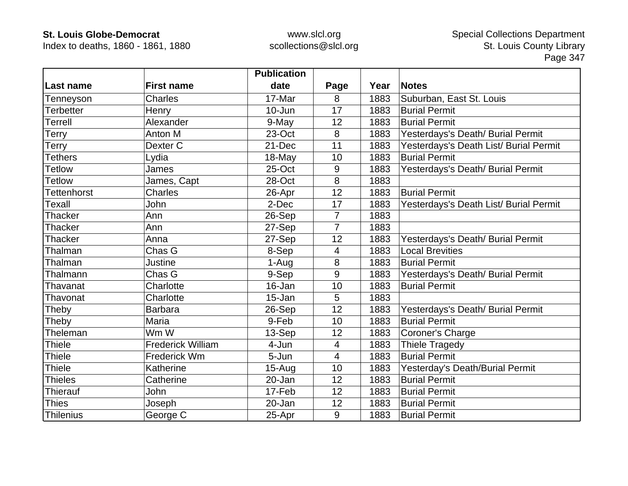Index to deaths, 1860 - 1861, 1880

|                    |                          | <b>Publication</b> |                |      |                                        |
|--------------------|--------------------------|--------------------|----------------|------|----------------------------------------|
| Last name          | <b>First name</b>        | date               | Page           | Year | <b>Notes</b>                           |
| Tenneyson          | Charles                  | 17-Mar             | 8              | 1883 | Suburban, East St. Louis               |
| <b>Terbetter</b>   | Henry                    | 10-Jun             | 17             | 1883 | <b>Burial Permit</b>                   |
| Terrell            | Alexander                | 9-May              | 12             | 1883 | <b>Burial Permit</b>                   |
| Terry              | Anton M                  | 23-Oct             | 8              | 1883 | Yesterdays's Death/ Burial Permit      |
| Terry              | Dexter C                 | 21-Dec             | 11             | 1883 | Yesterdays's Death List/ Burial Permit |
| <b>Tethers</b>     | Lydia                    | 18-May             | 10             | 1883 | <b>Burial Permit</b>                   |
| <b>Tetlow</b>      | James                    | 25-Oct             | 9              | 1883 | Yesterdays's Death/ Burial Permit      |
| <b>Tetlow</b>      | James, Capt              | 28-Oct             | 8              | 1883 |                                        |
| <b>Tettenhorst</b> | <b>Charles</b>           | 26-Apr             | 12             | 1883 | <b>Burial Permit</b>                   |
| <b>Texall</b>      | John                     | 2-Dec              | 17             | 1883 | Yesterdays's Death List/ Burial Permit |
| Thacker            | Ann                      | 26-Sep             | $\overline{7}$ | 1883 |                                        |
| <b>Thacker</b>     | Ann                      | 27-Sep             | $\overline{7}$ | 1883 |                                        |
| <b>Thacker</b>     | Anna                     | 27-Sep             | 12             | 1883 | Yesterdays's Death/ Burial Permit      |
| Thalman            | Chas G                   | 8-Sep              | 4              | 1883 | <b>Local Brevities</b>                 |
| Thalman            | <b>Justine</b>           | 1-Aug              | 8              | 1883 | <b>Burial Permit</b>                   |
| Thalmann           | Chas G                   | 9-Sep              | 9              | 1883 | Yesterdays's Death/ Burial Permit      |
| Thavanat           | Charlotte                | 16-Jan             | 10             | 1883 | <b>Burial Permit</b>                   |
| Thavonat           | Charlotte                | 15-Jan             | 5              | 1883 |                                        |
| Theby              | <b>Barbara</b>           | 26-Sep             | 12             | 1883 | Yesterdays's Death/ Burial Permit      |
| Theby              | Maria                    | 9-Feb              | 10             | 1883 | <b>Burial Permit</b>                   |
| Theleman           | Wm W                     | 13-Sep             | 12             | 1883 | Coroner's Charge                       |
| <b>Thiele</b>      | <b>Frederick William</b> | 4-Jun              | $\overline{4}$ | 1883 | <b>Thiele Tragedy</b>                  |
| <b>Thiele</b>      | Frederick Wm             | 5-Jun              | $\overline{4}$ | 1883 | <b>Burial Permit</b>                   |
| Thiele             | Katherine                | $15-Auq$           | 10             | 1883 | Yesterday's Death/Burial Permit        |
| <b>Thieles</b>     | Catherine                | 20-Jan             | 12             | 1883 | <b>Burial Permit</b>                   |
| <b>Thierauf</b>    | John                     | 17-Feb             | 12             | 1883 | <b>Burial Permit</b>                   |
| <b>Thies</b>       | Joseph                   | 20-Jan             | 12             | 1883 | <b>Burial Permit</b>                   |
| <b>Thilenius</b>   | George C                 | 25-Apr             | 9              | 1883 | <b>Burial Permit</b>                   |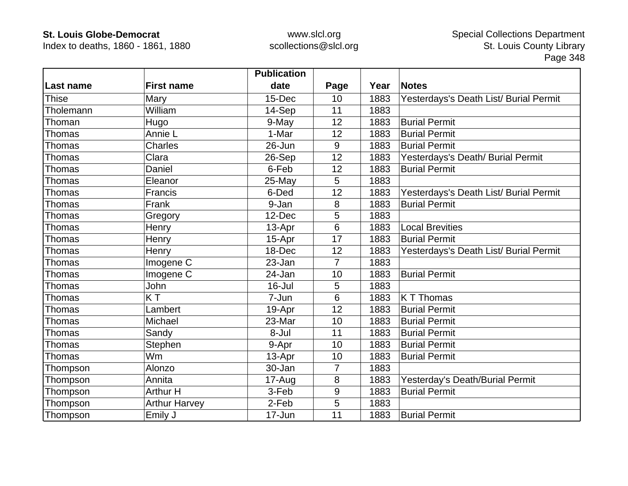Index to deaths, 1860 - 1861, 1880

|                  |                      | <b>Publication</b> |                |      |                                        |
|------------------|----------------------|--------------------|----------------|------|----------------------------------------|
| <b>Last name</b> | <b>First name</b>    | date               | Page           | Year | <b>Notes</b>                           |
| <b>Thise</b>     | Mary                 | 15-Dec             | 10             | 1883 | Yesterdays's Death List/ Burial Permit |
| Tholemann        | William              | 14-Sep             | 11             | 1883 |                                        |
| Thoman           | Hugo                 | 9-May              | 12             | 1883 | <b>Burial Permit</b>                   |
| <b>Thomas</b>    | Annie L              | 1-Mar              | 12             | 1883 | <b>Burial Permit</b>                   |
| Thomas           | Charles              | 26-Jun             | 9              | 1883 | <b>Burial Permit</b>                   |
| Thomas           | Clara                | 26-Sep             | 12             | 1883 | Yesterdays's Death/ Burial Permit      |
| Thomas           | Daniel               | 6-Feb              | 12             | 1883 | <b>Burial Permit</b>                   |
| Thomas           | Eleanor              | 25-May             | 5              | 1883 |                                        |
| Thomas           | Francis              | 6-Ded              | 12             | 1883 | Yesterdays's Death List/ Burial Permit |
| Thomas           | Frank                | 9-Jan              | 8              | 1883 | <b>Burial Permit</b>                   |
| Thomas           | Gregory              | 12-Dec             | 5              | 1883 |                                        |
| <b>Thomas</b>    | Henry                | 13-Apr             | 6              | 1883 | <b>Local Brevities</b>                 |
| <b>Thomas</b>    | Henry                | 15-Apr             | 17             | 1883 | <b>Burial Permit</b>                   |
| Thomas           | Henry                | 18-Dec             | 12             | 1883 | Yesterdays's Death List/ Burial Permit |
| Thomas           | Imogene C            | 23-Jan             | $\overline{7}$ | 1883 |                                        |
| Thomas           | Imogene C            | 24-Jan             | 10             | 1883 | <b>Burial Permit</b>                   |
| <b>Thomas</b>    | John                 | 16-Jul             | 5              | 1883 |                                        |
| Thomas           | KT                   | 7-Jun              | 6              | 1883 | K T Thomas                             |
| <b>Thomas</b>    | Lambert              | 19-Apr             | 12             | 1883 | <b>Burial Permit</b>                   |
| Thomas           | Michael              | 23-Mar             | 10             | 1883 | <b>Burial Permit</b>                   |
| <b>Thomas</b>    | Sandy                | 8-Jul              | 11             | 1883 | <b>Burial Permit</b>                   |
| Thomas           | Stephen              | 9-Apr              | 10             | 1883 | <b>Burial Permit</b>                   |
| Thomas           | <b>Wm</b>            | 13-Apr             | 10             | 1883 | <b>Burial Permit</b>                   |
| Thompson         | Alonzo               | 30-Jan             | $\overline{7}$ | 1883 |                                        |
| Thompson         | Annita               | $17 - Aug$         | 8              | 1883 | Yesterday's Death/Burial Permit        |
| Thompson         | <b>Arthur H</b>      | 3-Feb              | 9              | 1883 | <b>Burial Permit</b>                   |
| Thompson         | <b>Arthur Harvey</b> | 2-Feb              | 5              | 1883 |                                        |
| Thompson         | Emily J              | 17-Jun             | 11             | 1883 | <b>Burial Permit</b>                   |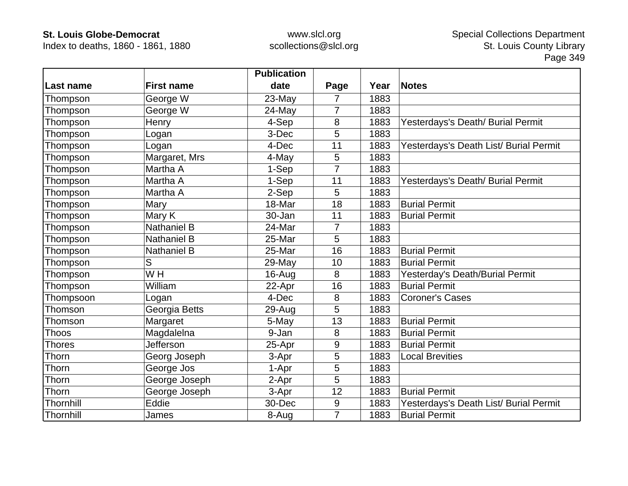Index to deaths, 1860 - 1861, 1880

|                  |                    | <b>Publication</b> |                |      |                                        |
|------------------|--------------------|--------------------|----------------|------|----------------------------------------|
| <b>Last name</b> | <b>First name</b>  | date               | Page           | Year | <b>Notes</b>                           |
| Thompson         | George W           | 23-May             | 7              | 1883 |                                        |
| Thompson         | George W           | 24-May             | 7              | 1883 |                                        |
| Thompson         | Henry              | 4-Sep              | 8              | 1883 | Yesterdays's Death/ Burial Permit      |
| Thompson         | Logan              | 3-Dec              | 5              | 1883 |                                        |
| Thompson         | Logan              | 4-Dec              | 11             | 1883 | Yesterdays's Death List/ Burial Permit |
| Thompson         | Margaret, Mrs      | 4-May              | 5              | 1883 |                                        |
| Thompson         | Martha A           | 1-Sep              |                | 1883 |                                        |
| Thompson         | Martha A           | 1-Sep              | 11             | 1883 | Yesterdays's Death/ Burial Permit      |
| Thompson         | Martha A           | 2-Sep              | 5              | 1883 |                                        |
| Thompson         | Mary               | 18-Mar             | 18             | 1883 | <b>Burial Permit</b>                   |
| Thompson         | Mary K             | 30-Jan             | 11             | 1883 | <b>Burial Permit</b>                   |
| Thompson         | <b>Nathaniel B</b> | 24-Mar             | $\overline{7}$ | 1883 |                                        |
| Thompson         | <b>Nathaniel B</b> | 25-Mar             | 5              | 1883 |                                        |
| Thompson         | Nathaniel B        | 25-Mar             | 16             | 1883 | <b>Burial Permit</b>                   |
| Thompson         | S                  | $29$ -May          | 10             | 1883 | <b>Burial Permit</b>                   |
| Thompson         | W <sub>H</sub>     | 16-Aug             | 8              | 1883 | Yesterday's Death/Burial Permit        |
| Thompson         | William            | 22-Apr             | 16             | 1883 | <b>Burial Permit</b>                   |
| Thompsoon        | Logan              | 4-Dec              | 8              | 1883 | <b>Coroner's Cases</b>                 |
| Thomson          | Georgia Betts      | 29-Aug             | 5              | 1883 |                                        |
| Thomson          | Margaret           | 5-May              | 13             | 1883 | <b>Burial Permit</b>                   |
| <b>Thoos</b>     | Magdalelna         | 9-Jan              | 8              | 1883 | <b>Burial Permit</b>                   |
| <b>Thores</b>    | Jefferson          | 25-Apr             | 9              | 1883 | <b>Burial Permit</b>                   |
| Thorn            | Georg Joseph       | 3-Apr              | 5              | 1883 | <b>Local Brevities</b>                 |
| Thorn            | George Jos         | 1-Apr              | 5              | 1883 |                                        |
| Thorn            | George Joseph      | 2-Apr              | 5              | 1883 |                                        |
| Thorn            | George Joseph      | 3-Apr              | 12             | 1883 | <b>Burial Permit</b>                   |
| Thornhill        | Eddie              | 30-Dec             | 9              | 1883 | Yesterdays's Death List/ Burial Permit |
| Thornhill        | James              | 8-Aug              | $\overline{7}$ | 1883 | <b>Burial Permit</b>                   |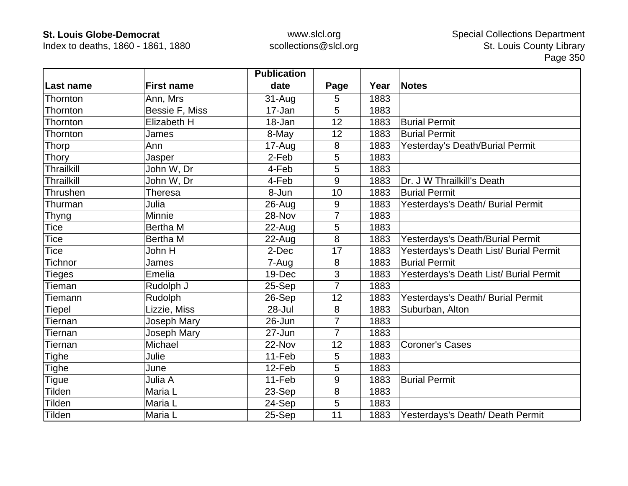Index to deaths, 1860 - 1861, 1880

|                   |                    | <b>Publication</b> |                |      |                                        |
|-------------------|--------------------|--------------------|----------------|------|----------------------------------------|
| Last name         | <b>First name</b>  | date               | Page           | Year | <b>Notes</b>                           |
| Thornton          | Ann, Mrs           | 31-Aug             | 5              | 1883 |                                        |
| Thornton          | Bessie F, Miss     | 17-Jan             | 5              | 1883 |                                        |
| Thornton          | <b>Elizabeth H</b> | 18-Jan             | 12             | 1883 | <b>Burial Permit</b>                   |
| Thornton          | James              | 8-May              | 12             | 1883 | <b>Burial Permit</b>                   |
| Thorp             | Ann                | 17-Aug             | 8              | 1883 | Yesterday's Death/Burial Permit        |
| <b>Thory</b>      | Jasper             | 2-Feb              | 5              | 1883 |                                        |
| <b>Thrailkill</b> | John W, Dr         | 4-Feb              | 5              | 1883 |                                        |
| Thrailkill        | John W, Dr         | 4-Feb              | 9              | 1883 | Dr. J W Thrailkill's Death             |
| Thrushen          | <b>Theresa</b>     | 8-Jun              | 10             | 1883 | <b>Burial Permit</b>                   |
| Thurman           | Julia              | 26-Aug             | 9              | 1883 | Yesterdays's Death/ Burial Permit      |
| <b>Thyng</b>      | Minnie             | 28-Nov             | 7              | 1883 |                                        |
| <b>Tice</b>       | <b>Bertha M</b>    | 22-Aug             | 5              | 1883 |                                        |
| Tice              | <b>Bertha M</b>    | $22$ -Aug          | 8              | 1883 | Yesterdays's Death/Burial Permit       |
| Tice              | John H             | 2-Dec              | 17             | 1883 | Yesterdays's Death List/ Burial Permit |
| <b>Tichnor</b>    | James              | 7-Aug              | 8              | 1883 | <b>Burial Permit</b>                   |
| <b>Tieges</b>     | Emelia             | 19-Dec             | 3              | 1883 | Yesterdays's Death List/ Burial Permit |
| Tieman            | Rudolph J          | 25-Sep             | $\overline{7}$ | 1883 |                                        |
| Tiemann           | Rudolph            | 26-Sep             | 12             | 1883 | Yesterdays's Death/ Burial Permit      |
| Tiepel            | Lizzie, Miss       | $28 -$ Jul         | 8              | 1883 | Suburban, Alton                        |
| Tiernan           | Joseph Mary        | 26-Jun             | $\overline{7}$ | 1883 |                                        |
| Tiernan           | Joseph Mary        | 27-Jun             | $\overline{7}$ | 1883 |                                        |
| Tiernan           | Michael            | 22-Nov             | 12             | 1883 | <b>Coroner's Cases</b>                 |
| <b>Tighe</b>      | Julie              | 11-Feb             | 5              | 1883 |                                        |
| <b>Tighe</b>      | June               | 12-Feb             | 5              | 1883 |                                        |
| <b>Tigue</b>      | Julia A            | 11-Feb             | 9              | 1883 | <b>Burial Permit</b>                   |
| Tilden            | Maria L            | 23-Sep             | 8              | 1883 |                                        |
| Tilden            | Maria L            | 24-Sep             | 5              | 1883 |                                        |
| Tilden            | Maria L            | 25-Sep             | 11             | 1883 | Yesterdays's Death/ Death Permit       |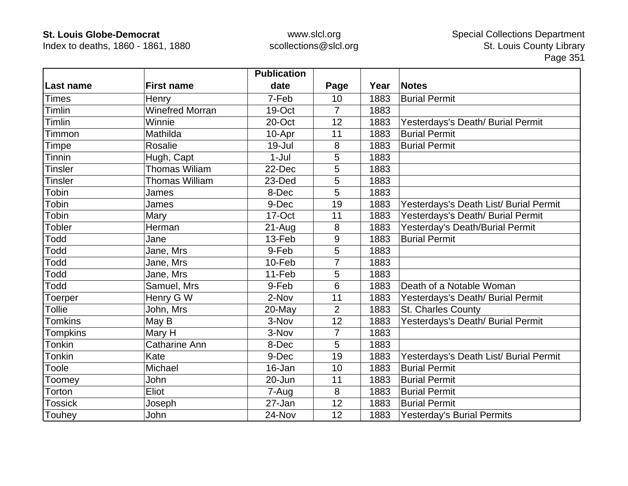Index to deaths, 1860 - 1861, 1880

|                |                        | <b>Publication</b> |                |      |                                        |
|----------------|------------------------|--------------------|----------------|------|----------------------------------------|
| Last name      | <b>First name</b>      | date               | Page           | Year | <b>Notes</b>                           |
| <b>Times</b>   | Henry                  | 7-Feb              | 10             | 1883 | <b>Burial Permit</b>                   |
| Timlin         | <b>Winefred Morran</b> | 19-Oct             | $\overline{7}$ | 1883 |                                        |
| Timlin         | Winnie                 | 20-Oct             | 12             | 1883 | Yesterdays's Death/ Burial Permit      |
| Timmon         | Mathilda               | 10-Apr             | 11             | 1883 | <b>Burial Permit</b>                   |
| Timpe          | Rosalie                | 19-Jul             | 8              | 1883 | <b>Burial Permit</b>                   |
| Tinnin         | Hugh, Capt             | $1-Jul$            | 5              | 1883 |                                        |
| <b>Tinsler</b> | <b>Thomas Wiliam</b>   | 22-Dec             | 5              | 1883 |                                        |
| <b>Tinsler</b> | <b>Thomas William</b>  | 23-Ded             | 5              | 1883 |                                        |
| Tobin          | James                  | 8-Dec              | 5              | 1883 |                                        |
| Tobin          | James                  | 9-Dec              | 19             | 1883 | Yesterdays's Death List/ Burial Permit |
| Tobin          | Mary                   | 17-Oct             | 11             | 1883 | Yesterdays's Death/ Burial Permit      |
| <b>Tobler</b>  | Herman                 | 21-Aug             | 8              | 1883 | Yesterday's Death/Burial Permit        |
| Todd           | Jane                   | 13-Feb             | 9              | 1883 | <b>Burial Permit</b>                   |
| Todd           | Jane, Mrs              | 9-Feb              | 5              | 1883 |                                        |
| Todd           | Jane, Mrs              | 10-Feb             | 7              | 1883 |                                        |
| Todd           | Jane, Mrs              | 11-Feb             | 5              | 1883 |                                        |
| Todd           | Samuel, Mrs            | 9-Feb              | 6              | 1883 | Death of a Notable Woman               |
| Toerper        | Henry G W              | 2-Nov              | 11             | 1883 | Yesterdays's Death/ Burial Permit      |
| <b>Tollie</b>  | John, Mrs              | 20-May             | $\overline{2}$ | 1883 | St. Charles County                     |
| <b>Tomkins</b> | May B                  | 3-Nov              | 12             | 1883 | Yesterdays's Death/ Burial Permit      |
| Tompkins       | Mary H                 | 3-Nov              | $\overline{7}$ | 1883 |                                        |
| <b>Tonkin</b>  | <b>Catharine Ann</b>   | 8-Dec              | 5              | 1883 |                                        |
| <b>Tonkin</b>  | Kate                   | 9-Dec              | 19             | 1883 | Yesterdays's Death List/ Burial Permit |
| Toole          | Michael                | 16-Jan             | 10             | 1883 | <b>Burial Permit</b>                   |
| Toomey         | John                   | 20-Jun             | 11             | 1883 | <b>Burial Permit</b>                   |
| Torton         | Eliot                  | 7-Aug              | 8              | 1883 | <b>Burial Permit</b>                   |
| <b>Tossick</b> | Joseph                 | 27-Jan             | 12             | 1883 | <b>Burial Permit</b>                   |
| Touhey         | John                   | 24-Nov             | 12             | 1883 | <b>Yesterday's Burial Permits</b>      |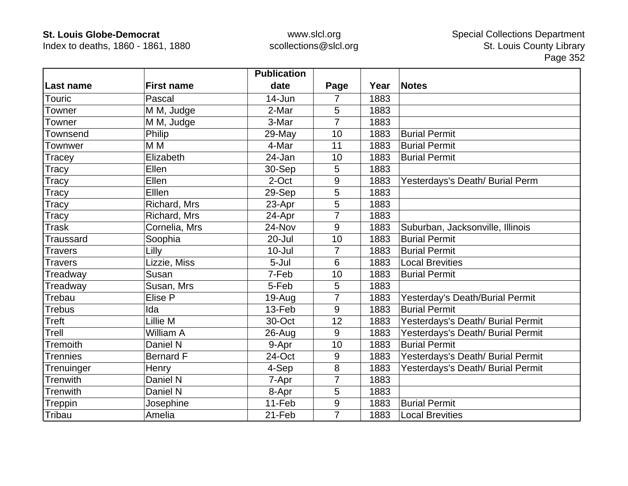Index to deaths, 1860 - 1861, 1880

|                  |                   | <b>Publication</b> |                |      |                                   |
|------------------|-------------------|--------------------|----------------|------|-----------------------------------|
| Last name        | <b>First name</b> | date               | Page           | Year | <b>Notes</b>                      |
| Touric           | Pascal            | 14-Jun             | 7              | 1883 |                                   |
| Towner           | M M, Judge        | 2-Mar              | 5              | 1883 |                                   |
| Towner           | M M, Judge        | 3-Mar              | 7              | 1883 |                                   |
| Townsend         | Philip            | 29-May             | 10             | 1883 | <b>Burial Permit</b>              |
| Townwer          | M <sub>M</sub>    | 4-Mar              | 11             | 1883 | <b>Burial Permit</b>              |
| Tracey           | Elizabeth         | 24-Jan             | 10             | 1883 | <b>Burial Permit</b>              |
| Tracy            | Ellen             | 30-Sep             | 5              | 1883 |                                   |
| Tracy            | Ellen             | 2-Oct              | 9              | 1883 | Yesterdays's Death/ Burial Perm   |
| Tracy            | Elllen            | 29-Sep             | 5              | 1883 |                                   |
| Tracy            | Richard, Mrs      | 23-Apr             | 5              | 1883 |                                   |
| Tracy            | Richard, Mrs      | 24-Apr             | $\overline{7}$ | 1883 |                                   |
| <b>Trask</b>     | Cornelia, Mrs     | 24-Nov             | 9              | 1883 | Suburban, Jacksonville, Illinois  |
| <b>Traussard</b> | Soophia           | 20-Jul             | 10             | 1883 | <b>Burial Permit</b>              |
| <b>Travers</b>   | Lilly             | $10 -$ Jul         | $\overline{7}$ | 1883 | <b>Burial Permit</b>              |
| <b>Travers</b>   | Lizzie, Miss      | 5-Jul              | 6              | 1883 | <b>Local Brevities</b>            |
| Treadway         | Susan             | 7-Feb              | 10             | 1883 | <b>Burial Permit</b>              |
| Treadway         | Susan, Mrs        | 5-Feb              | 5              | 1883 |                                   |
| Trebau           | Elise P           | 19-Aug             | $\overline{7}$ | 1883 | Yesterday's Death/Burial Permit   |
| <b>Trebus</b>    | Ida               | 13-Feb             | 9              | 1883 | <b>Burial Permit</b>              |
| Treft            | Lillie M          | 30-Oct             | 12             | 1883 | Yesterdays's Death/ Burial Permit |
| Trell            | William A         | $26$ -Aug          | 9              | 1883 | Yesterdays's Death/ Burial Permit |
| <b>Tremoith</b>  | Daniel N          | 9-Apr              | 10             | 1883 | <b>Burial Permit</b>              |
| <b>Trennies</b>  | <b>Bernard F</b>  | 24-Oct             | 9              | 1883 | Yesterdays's Death/ Burial Permit |
| Trenuinger       | Henry             | 4-Sep              | 8              | 1883 | Yesterdays's Death/ Burial Permit |
| Trenwith         | Daniel N          | 7-Apr              | $\overline{7}$ | 1883 |                                   |
| Trenwith         | Daniel N          | 8-Apr              | 5              | 1883 |                                   |
| Treppin          | Josephine         | 11-Feb             | 9              | 1883 | <b>Burial Permit</b>              |
| Tribau           | Amelia            | 21-Feb             | $\overline{7}$ | 1883 | <b>Local Brevities</b>            |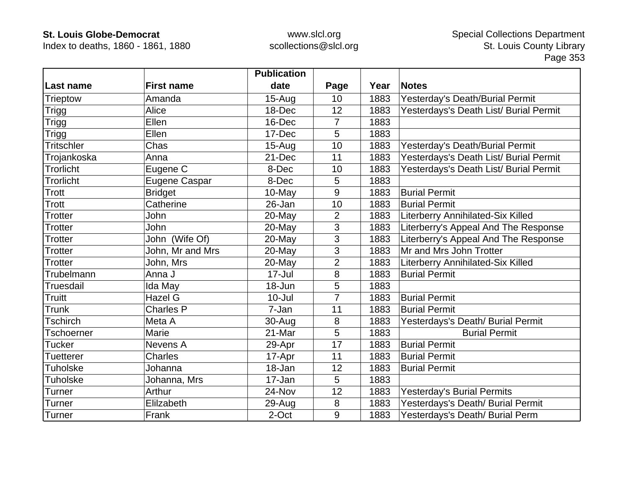Index to deaths, 1860 - 1861, 1880

|                   |                   | <b>Publication</b> |                |      |                                        |
|-------------------|-------------------|--------------------|----------------|------|----------------------------------------|
| Last name         | <b>First name</b> | date               | Page           | Year | <b>Notes</b>                           |
| Trieptow          | Amanda            | $15 - Aug$         | 10             | 1883 | Yesterday's Death/Burial Permit        |
| Trigg             | Alice             | 18-Dec             | 12             | 1883 | Yesterdays's Death List/ Burial Permit |
| Trigg             | Ellen             | 16-Dec             | 7              | 1883 |                                        |
| <b>Trigg</b>      | Ellen             | 17-Dec             | 5              | 1883 |                                        |
| <b>Tritschler</b> | Chas              | $15-Auq$           | 10             | 1883 | Yesterday's Death/Burial Permit        |
| Trojankoska       | Anna              | 21-Dec             | 11             | 1883 | Yesterdays's Death List/ Burial Permit |
| <b>Trorlicht</b>  | Eugene C          | 8-Dec              | 10             | 1883 | Yesterdays's Death List/ Burial Permit |
| Trorlicht         | Eugene Caspar     | 8-Dec              | 5              | 1883 |                                        |
| Trott             | <b>Bridget</b>    | 10-May             | 9              | 1883 | <b>Burial Permit</b>                   |
| Trott             | Catherine         | 26-Jan             | 10             | 1883 | <b>Burial Permit</b>                   |
| <b>Trotter</b>    | John              | 20-May             | $\overline{2}$ | 1883 | Literberry Annihilated-Six Killed      |
| <b>Trotter</b>    | John              | 20-May             | 3              | 1883 | Literberry's Appeal And The Response   |
| <b>Trotter</b>    | John (Wife Of)    | 20-May             | 3              | 1883 | Literberry's Appeal And The Response   |
| <b>Trotter</b>    | John, Mr and Mrs  | 20-May             | 3              | 1883 | Mr and Mrs John Trotter                |
| <b>Trotter</b>    | John, Mrs         | 20-May             | $\overline{2}$ | 1883 | Literberry Annihilated-Six Killed      |
| Trubelmann        | Anna J            | $17 -$ Jul         | 8              | 1883 | <b>Burial Permit</b>                   |
| <b>Truesdail</b>  | Ida May           | $18 - Jun$         | 5              | 1883 |                                        |
| Truitt            | <b>Hazel G</b>    | $10 -$ Jul         | $\overline{7}$ | 1883 | <b>Burial Permit</b>                   |
| <b>Trunk</b>      | <b>Charles P</b>  | 7-Jan              | 11             | 1883 | <b>Burial Permit</b>                   |
| <b>Tschirch</b>   | Meta A            | 30-Aug             | 8              | 1883 | Yesterdays's Death/ Burial Permit      |
| <b>Tschoerner</b> | Marie             | 21-Mar             | 5              | 1883 | <b>Burial Permit</b>                   |
| <b>Tucker</b>     | Nevens A          | 29-Apr             | 17             | 1883 | <b>Burial Permit</b>                   |
| <b>Tuetterer</b>  | <b>Charles</b>    | 17-Apr             | 11             | 1883 | <b>Burial Permit</b>                   |
| <b>Tuholske</b>   | Johanna           | 18-Jan             | 12             | 1883 | <b>Burial Permit</b>                   |
| <b>Tuholske</b>   | Johanna, Mrs      | 17-Jan             | 5              | 1883 |                                        |
| Turner            | Arthur            | 24-Nov             | 12             | 1883 | Yesterday's Burial Permits             |
| <b>Turner</b>     | Elilzabeth        | 29-Aug             | 8              | 1883 | Yesterdays's Death/ Burial Permit      |
| Turner            | Frank             | 2-Oct              | 9              | 1883 | Yesterdays's Death/ Burial Perm        |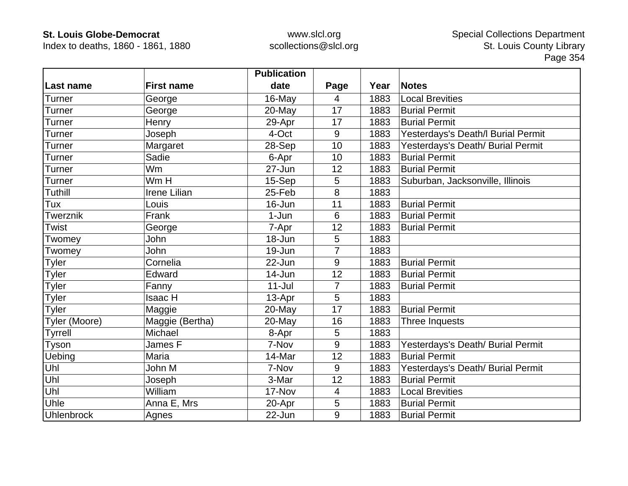Index to deaths, 1860 - 1861, 1880

|                   |                     | <b>Publication</b> |                |      |                                    |
|-------------------|---------------------|--------------------|----------------|------|------------------------------------|
| Last name         | <b>First name</b>   | date               | Page           | Year | <b>Notes</b>                       |
| Turner            | George              | $16$ -May          | $\overline{4}$ | 1883 | <b>Local Brevities</b>             |
| <b>Turner</b>     | George              | 20-May             | 17             | 1883 | <b>Burial Permit</b>               |
| Turner            | Henry               | 29-Apr             | 17             | 1883 | <b>Burial Permit</b>               |
| Turner            | Joseph              | 4-Oct              | 9              | 1883 | Yesterdays's Death/I Burial Permit |
| Turner            | Margaret            | 28-Sep             | 10             | 1883 | Yesterdays's Death/ Burial Permit  |
| Turner            | Sadie               | 6-Apr              | 10             | 1883 | <b>Burial Permit</b>               |
| Turner            | Wm                  | 27-Jun             | 12             | 1883 | <b>Burial Permit</b>               |
| <b>Turner</b>     | Wm H                | 15-Sep             | 5              | 1883 | Suburban, Jacksonville, Illinois   |
| <b>Tuthill</b>    | <b>Irene Lilian</b> | 25-Feb             | 8              | 1883 |                                    |
| Tux               | Louis               | 16-Jun             | 11             | 1883 | <b>Burial Permit</b>               |
| Twerznik          | Frank               | 1-Jun              | 6              | 1883 | <b>Burial Permit</b>               |
| <b>Twist</b>      | George              | 7-Apr              | 12             | 1883 | <b>Burial Permit</b>               |
| Twomey            | John                | 18-Jun             | 5              | 1883 |                                    |
| Twomey            | John                | 19-Jun             | $\overline{7}$ | 1883 |                                    |
| Tyler             | Cornelia            | 22-Jun             | 9              | 1883 | <b>Burial Permit</b>               |
| <b>Tyler</b>      | Edward              | $14 - Jun$         | 12             | 1883 | <b>Burial Permit</b>               |
| <b>Tyler</b>      | Fanny               | $11 -$ Jul         | 7              | 1883 | <b>Burial Permit</b>               |
| <b>Tyler</b>      | <b>Isaac H</b>      | 13-Apr             | 5              | 1883 |                                    |
| Tyler             | Maggie              | 20-May             | 17             | 1883 | <b>Burial Permit</b>               |
| Tyler (Moore)     | Maggie (Bertha)     | 20-May             | 16             | 1883 | Three Inquests                     |
| <b>Tyrrell</b>    | Michael             | 8-Apr              | 5              | 1883 |                                    |
| Tyson             | James F             | 7-Nov              | 9              | 1883 | Yesterdays's Death/ Burial Permit  |
| Uebing            | Maria               | 14-Mar             | 12             | 1883 | <b>Burial Permit</b>               |
| Uhl               | John M              | 7-Nov              | 9              | 1883 | Yesterdays's Death/ Burial Permit  |
| Uhl               | Joseph              | 3-Mar              | 12             | 1883 | <b>Burial Permit</b>               |
| Uhl               | William             | 17-Nov             | 4              | 1883 | <b>Local Brevities</b>             |
| Uhle              | Anna E, Mrs         | 20-Apr             | 5              | 1883 | <b>Burial Permit</b>               |
| <b>Uhlenbrock</b> | Agnes               | 22-Jun             | 9              | 1883 | <b>Burial Permit</b>               |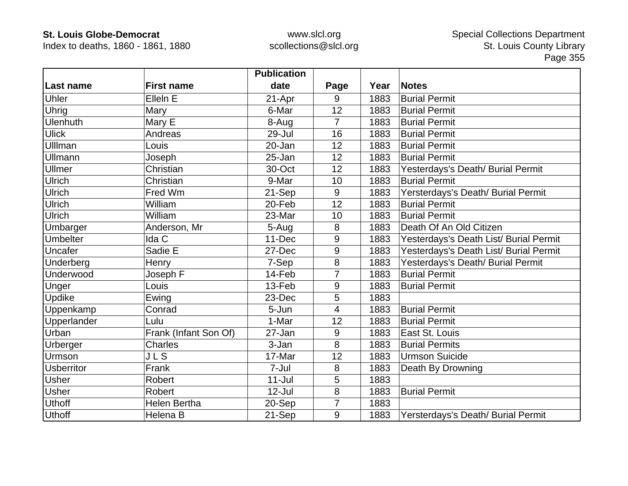Index to deaths, 1860 - 1861, 1880

|                   |                       | <b>Publication</b> |                |      |                                        |
|-------------------|-----------------------|--------------------|----------------|------|----------------------------------------|
| Last name         | <b>First name</b>     | date               | Page           | Year | <b>Notes</b>                           |
| <b>Uhler</b>      | Ellein E              | 21-Apr             | 9              | 1883 | <b>Burial Permit</b>                   |
| <b>Uhrig</b>      | Mary                  | 6-Mar              | 12             | 1883 | <b>Burial Permit</b>                   |
| <b>Ulenhuth</b>   | Mary E                | 8-Aug              | $\overline{7}$ | 1883 | <b>Burial Permit</b>                   |
| <b>Ulick</b>      | Andreas               | 29-Jul             | 16             | 1883 | <b>Burial Permit</b>                   |
| Ulllman           | Louis                 | 20-Jan             | 12             | 1883 | <b>Burial Permit</b>                   |
| Ullmann           | Joseph                | 25-Jan             | 12             | 1883 | <b>Burial Permit</b>                   |
| <b>Ullmer</b>     | Christian             | 30-Oct             | 12             | 1883 | Yesterdays's Death/ Burial Permit      |
| <b>Ulrich</b>     | Christian             | 9-Mar              | 10             | 1883 | <b>Burial Permit</b>                   |
| Ulrich            | Fred Wm               | 21-Sep             | 9              | 1883 | Yersterdays's Death/ Burial Permit     |
| <b>Ulrich</b>     | William               | 20-Feb             | 12             | 1883 | <b>Burial Permit</b>                   |
| <b>Ulrich</b>     | William               | 23-Mar             | 10             | 1883 | <b>Burial Permit</b>                   |
| Umbarger          | Anderson, Mr          | 5-Aug              | 8              | 1883 | Death Of An Old Citizen                |
| <b>Umbelter</b>   | Ida C                 | 11-Dec             | 9              | 1883 | Yesterdays's Death List/ Burial Permit |
| Uncafer           | Sadie E               | 27-Dec             | 9              | 1883 | Yesterdays's Death List/ Burial Permit |
| Underberg         | Henry                 | 7-Sep              | 8              | 1883 | Yesterdays's Death/ Burial Permit      |
| Underwood         | Joseph F              | 14-Feb             | $\overline{7}$ | 1883 | <b>Burial Permit</b>                   |
| Unger             | Louis                 | 13-Feb             | 9              | 1883 | <b>Burial Permit</b>                   |
| Updike            | Ewing                 | 23-Dec             | 5              | 1883 |                                        |
| Uppenkamp         | Conrad                | 5-Jun              | $\overline{4}$ | 1883 | <b>Burial Permit</b>                   |
| Upperlander       | Lulu                  | 1-Mar              | 12             | 1883 | <b>Burial Permit</b>                   |
| Urban             | Frank (Infant Son Of) | 27-Jan             | 9              | 1883 | East St. Louis                         |
| Urberger          | <b>Charles</b>        | 3-Jan              | 8              | 1883 | <b>Burial Permits</b>                  |
| Urmson            | <b>JLS</b>            | 17-Mar             | 12             | 1883 | <b>Urmson Suicide</b>                  |
| <b>Usberritor</b> | Frank                 | 7-Jul              | 8              | 1883 | Death By Drowning                      |
| <b>Usher</b>      | Robert                | $11 -$ Jul         | 5              | 1883 |                                        |
| <b>Usher</b>      | Robert                | $12$ -Jul          | 8              | 1883 | <b>Burial Permit</b>                   |
| <b>Uthoff</b>     | Helen Bertha          | 20-Sep             | 7              | 1883 |                                        |
| <b>Uthoff</b>     | Helena B              | 21-Sep             | 9              | 1883 | Yersterdays's Death/ Burial Permit     |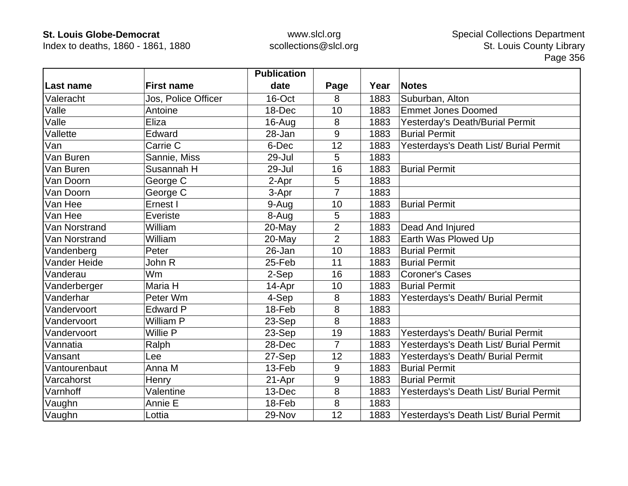Index to deaths, 1860 - 1861, 1880

|               |                     | <b>Publication</b> |                |      |                                        |
|---------------|---------------------|--------------------|----------------|------|----------------------------------------|
| Last name     | <b>First name</b>   | date               | Page           | Year | <b>Notes</b>                           |
| Valeracht     | Jos, Police Officer | 16-Oct             | 8              | 1883 | Suburban, Alton                        |
| Valle         | Antoine             | 18-Dec             | 10             | 1883 | <b>Emmet Jones Doomed</b>              |
| Valle         | Eliza               | 16-Aug             | 8              | 1883 | Yesterday's Death/Burial Permit        |
| Vallette      | Edward              | 28-Jan             | 9              | 1883 | <b>Burial Permit</b>                   |
| Van           | Carrie C            | 6-Dec              | 12             | 1883 | Yesterdays's Death List/ Burial Permit |
| Van Buren     | Sannie, Miss        | 29-Jul             | 5              | 1883 |                                        |
| Van Buren     | Susannah H          | 29-Jul             | 16             | 1883 | <b>Burial Permit</b>                   |
| Van Doorn     | George C            | 2-Apr              | 5              | 1883 |                                        |
| Van Doorn     | George C            | 3-Apr              | 7              | 1883 |                                        |
| Van Hee       | Ernest I            | 9-Aug              | 10             | 1883 | <b>Burial Permit</b>                   |
| Van Hee       | Everiste            | 8-Aug              | 5              | 1883 |                                        |
| Van Norstrand | William             | 20-May             | $\overline{2}$ | 1883 | Dead And Injured                       |
| Van Norstrand | William             | 20-May             | $\overline{2}$ | 1883 | Earth Was Plowed Up                    |
| Vandenberg    | Peter               | 26-Jan             | 10             | 1883 | <b>Burial Permit</b>                   |
| Vander Heide  | John R              | 25-Feb             | 11             | 1883 | <b>Burial Permit</b>                   |
| Vanderau      | <b>Wm</b>           | 2-Sep              | 16             | 1883 | <b>Coroner's Cases</b>                 |
| Vanderberger  | Maria H             | 14-Apr             | 10             | 1883 | <b>Burial Permit</b>                   |
| Vanderhar     | Peter Wm            | 4-Sep              | 8              | 1883 | Yesterdays's Death/ Burial Permit      |
| Vandervoort   | <b>Edward P</b>     | 18-Feb             | 8              | 1883 |                                        |
| Vandervoort   | William P           | 23-Sep             | 8              | 1883 |                                        |
| Vandervoort   | Willie P            | 23-Sep             | 19             | 1883 | Yesterdays's Death/ Burial Permit      |
| Vannatia      | Ralph               | 28-Dec             | $\overline{7}$ | 1883 | Yesterdays's Death List/ Burial Permit |
| Vansant       | Lee                 | 27-Sep             | 12             | 1883 | Yesterdays's Death/ Burial Permit      |
| Vantourenbaut | Anna M              | 13-Feb             | 9              | 1883 | <b>Burial Permit</b>                   |
| Varcahorst    | Henry               | 21-Apr             | 9              | 1883 | <b>Burial Permit</b>                   |
| Varnhoff      | Valentine           | 13-Dec             | 8              | 1883 | Yesterdays's Death List/ Burial Permit |
| Vaughn        | Annie E             | 18-Feb             | 8              | 1883 |                                        |
| Vaughn        | Lottia              | 29-Nov             | 12             | 1883 | Yesterdays's Death List/ Burial Permit |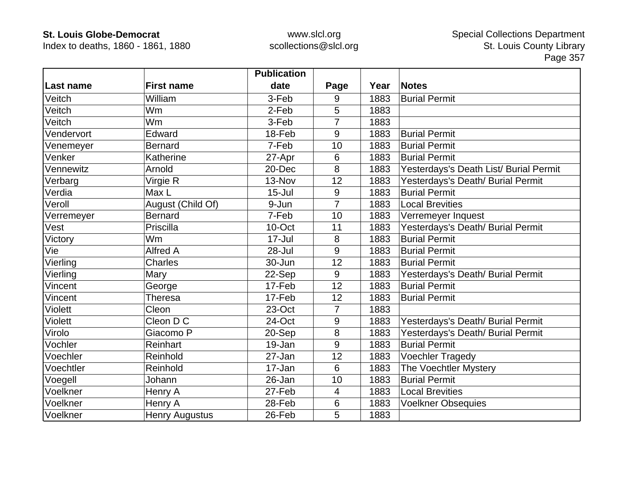Index to deaths, 1860 - 1861, 1880

|            |                       | <b>Publication</b> |                |      |                                        |
|------------|-----------------------|--------------------|----------------|------|----------------------------------------|
| Last name  | <b>First name</b>     | date               | Page           | Year | <b>Notes</b>                           |
| Veitch     | William               | 3-Feb              | 9              | 1883 | <b>Burial Permit</b>                   |
| Veitch     | <b>Wm</b>             | 2-Feb              | 5              | 1883 |                                        |
| Veitch     | Wm                    | 3-Feb              | 7              | 1883 |                                        |
| Vendervort | Edward                | 18-Feb             | 9              | 1883 | <b>Burial Permit</b>                   |
| Venemeyer  | <b>Bernard</b>        | 7-Feb              | 10             | 1883 | <b>Burial Permit</b>                   |
| Venker     | Katherine             | 27-Apr             | 6              | 1883 | <b>Burial Permit</b>                   |
| Vennewitz  | Arnold                | 20-Dec             | 8              | 1883 | Yesterdays's Death List/ Burial Permit |
| Verbarg    | Virgie R              | 13-Nov             | 12             | 1883 | Yesterdays's Death/ Burial Permit      |
| Verdia     | Max L                 | $15 -$ Jul         | 9              | 1883 | <b>Burial Permit</b>                   |
| Veroll     | August (Child Of)     | 9-Jun              | $\overline{7}$ | 1883 | <b>Local Brevities</b>                 |
| Verremeyer | <b>Bernard</b>        | 7-Feb              | 10             | 1883 | Verremeyer Inquest                     |
| Vest       | Priscilla             | 10-Oct             | 11             | 1883 | Yesterdays's Death/ Burial Permit      |
| Victory    | Wm                    | 17-Jul             | 8              | 1883 | <b>Burial Permit</b>                   |
| Vie        | <b>Alfred A</b>       | 28-Jul             | 9              | 1883 | <b>Burial Permit</b>                   |
| Vierling   | <b>Charles</b>        | 30-Jun             | 12             | 1883 | <b>Burial Permit</b>                   |
| Vierling   | Mary                  | 22-Sep             | 9              | 1883 | Yesterdays's Death/ Burial Permit      |
| Vincent    | George                | 17-Feb             | 12             | 1883 | <b>Burial Permit</b>                   |
| Vincent    | Theresa               | 17-Feb             | 12             | 1883 | <b>Burial Permit</b>                   |
| Violett    | Cleon                 | 23-Oct             | $\overline{7}$ | 1883 |                                        |
| Violett    | Cleon D C             | 24-Oct             | 9              | 1883 | Yesterdays's Death/ Burial Permit      |
| Virolo     | Giacomo P             | 20-Sep             | 8              | 1883 | Yesterdays's Death/ Burial Permit      |
| Vochler    | Reinhart              | 19-Jan             | 9              | 1883 | <b>Burial Permit</b>                   |
| Voechler   | Reinhold              | 27-Jan             | 12             | 1883 | <b>Voechler Tragedy</b>                |
| Voechtler  | Reinhold              | 17-Jan             | 6              | 1883 | The Voechtler Mystery                  |
| Voegell    | Johann                | 26-Jan             | 10             | 1883 | <b>Burial Permit</b>                   |
| Voelkner   | Henry A               | 27-Feb             | 4              | 1883 | <b>Local Brevities</b>                 |
| Voelkner   | Henry A               | 28-Feb             | 6              | 1883 | <b>Voelkner Obsequies</b>              |
| Voelkner   | <b>Henry Augustus</b> | 26-Feb             | 5              | 1883 |                                        |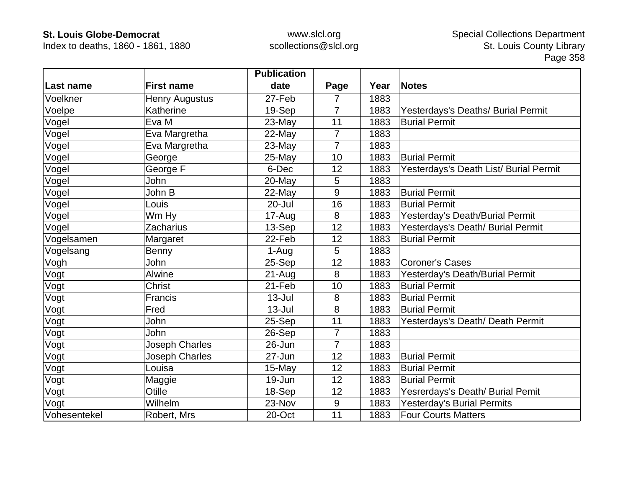Index to deaths, 1860 - 1861, 1880

|              |                       | <b>Publication</b> |                |      |                                        |
|--------------|-----------------------|--------------------|----------------|------|----------------------------------------|
| Last name    | <b>First name</b>     | date               | Page           | Year | <b>Notes</b>                           |
| Voelkner     | <b>Henry Augustus</b> | 27-Feb             | 7              | 1883 |                                        |
| Voelpe       | Katherine             | 19-Sep             | $\overline{7}$ | 1883 | Yesterdays's Deaths/ Burial Permit     |
| Vogel        | Eva M                 | 23-May             | 11             | 1883 | <b>Burial Permit</b>                   |
| Vogel        | Eva Margretha         | 22-May             | 7              | 1883 |                                        |
| Vogel        | Eva Margretha         | 23-May             | $\overline{7}$ | 1883 |                                        |
| Vogel        | George                | 25-May             | 10             | 1883 | <b>Burial Permit</b>                   |
| Vogel        | George F              | 6-Dec              | 12             | 1883 | Yesterdays's Death List/ Burial Permit |
| Vogel        | John                  | 20-May             | 5              | 1883 |                                        |
| Vogel        | John B                | 22-May             | 9              | 1883 | <b>Burial Permit</b>                   |
| Vogel        | Louis                 | $20 -$ Jul         | 16             | 1883 | <b>Burial Permit</b>                   |
| Vogel        | Wm Hy                 | 17-Aug             | 8              | 1883 | Yesterday's Death/Burial Permit        |
| Vogel        | Zacharius             | 13-Sep             | 12             | 1883 | Yesterdays's Death/ Burial Permit      |
| Vogelsamen   | Margaret              | 22-Feb             | 12             | 1883 | <b>Burial Permit</b>                   |
| Vogelsang    | Benny                 | 1-Aug              | 5              | 1883 |                                        |
| Vogh         | John                  | 25-Sep             | 12             | 1883 | <b>Coroner's Cases</b>                 |
| Vogt         | Alwine                | $21-Aug$           | 8              | 1883 | Yesterday's Death/Burial Permit        |
| Vogt         | <b>Christ</b>         | 21-Feb             | 10             | 1883 | <b>Burial Permit</b>                   |
| Vogt         | Francis               | $13 -$ Jul         | 8              | 1883 | <b>Burial Permit</b>                   |
| Vogt         | Fred                  | $13 -$ Jul         | 8              | 1883 | <b>Burial Permit</b>                   |
| Vogt         | John                  | 25-Sep             | 11             | 1883 | Yesterdays's Death/ Death Permit       |
| Vogt         | John                  | 26-Sep             | $\overline{7}$ | 1883 |                                        |
| Vogt         | Joseph Charles        | $26 - Jun$         | $\overline{7}$ | 1883 |                                        |
| Vogt         | <b>Joseph Charles</b> | 27-Jun             | 12             | 1883 | <b>Burial Permit</b>                   |
| Vogt         | Louisa                | 15-May             | 12             | 1883 | <b>Burial Permit</b>                   |
| Vogt         | Maggie                | 19-Jun             | 12             | 1883 | <b>Burial Permit</b>                   |
| Vogt         | Otille                | 18-Sep             | 12             | 1883 | Yesrerdays's Death/ Burial Pemit       |
| Vogt         | Wilhelm               | 23-Nov             | 9              | 1883 | <b>Yesterday's Burial Permits</b>      |
| Vohesentekel | Robert, Mrs           | 20-Oct             | 11             | 1883 | <b>Four Courts Matters</b>             |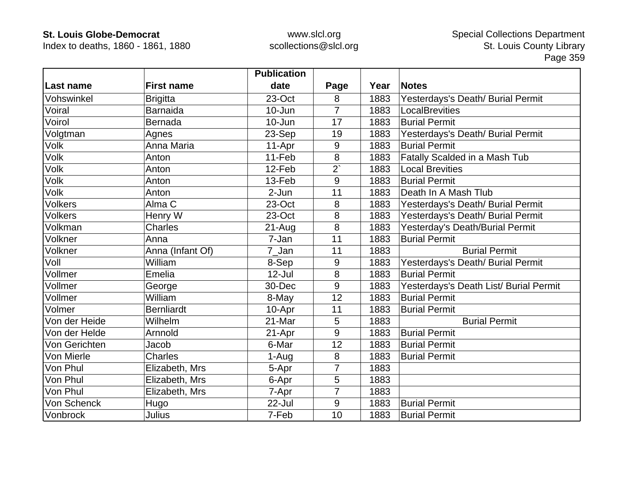Index to deaths, 1860 - 1861, 1880

|                |                   | <b>Publication</b> |                |      |                                        |
|----------------|-------------------|--------------------|----------------|------|----------------------------------------|
| Last name      | <b>First name</b> | date               | Page           | Year | <b>Notes</b>                           |
| Vohswinkel     | <b>Brigitta</b>   | 23-Oct             | 8              | 1883 | Yesterdays's Death/ Burial Permit      |
| Voiral         | <b>Barnaida</b>   | $10 - Jun$         | $\overline{7}$ | 1883 | LocalBrevities                         |
| Voirol         | <b>Bernada</b>    | 10-Jun             | 17             | 1883 | <b>Burial Permit</b>                   |
| Volgtman       | Agnes             | 23-Sep             | 19             | 1883 | Yesterdays's Death/ Burial Permit      |
| <b>Volk</b>    | Anna Maria        | 11-Apr             | 9              | 1883 | <b>Burial Permit</b>                   |
| Volk           | Anton             | 11-Feb             | 8              | 1883 | Fatally Scalded in a Mash Tub          |
| <b>Volk</b>    | Anton             | 12-Feb             | $2^{x}$        | 1883 | <b>Local Brevities</b>                 |
| Volk           | Anton             | 13-Feb             | 9              | 1883 | <b>Burial Permit</b>                   |
| <b>Volk</b>    | Anton             | $2-Jun$            | 11             | 1883 | Death In A Mash Tlub                   |
| <b>Volkers</b> | Alma <sub>C</sub> | 23-Oct             | 8              | 1883 | Yesterdays's Death/ Burial Permit      |
| <b>Volkers</b> | Henry W           | 23-Oct             | 8              | 1883 | Yesterdays's Death/ Burial Permit      |
| Volkman        | <b>Charles</b>    | $21 - Aug$         | 8              | 1883 | Yesterday's Death/Burial Permit        |
| Volkner        | Anna              | 7-Jan              | 11             | 1883 | <b>Burial Permit</b>                   |
| Volkner        | Anna (Infant Of)  | 7_Jan              | 11             | 1883 | <b>Burial Permit</b>                   |
| Voll           | William           | 8-Sep              | 9              | 1883 | Yesterdays's Death/ Burial Permit      |
| Vollmer        | Emelia            | $12 -$ Jul         | 8              | 1883 | <b>Burial Permit</b>                   |
| Vollmer        | George            | 30-Dec             | 9              | 1883 | Yesterdays's Death List/ Burial Permit |
| Vollmer        | William           | 8-May              | 12             | 1883 | <b>Burial Permit</b>                   |
| Volmer         | <b>Bernliardt</b> | 10-Apr             | 11             | 1883 | <b>Burial Permit</b>                   |
| Von der Heide  | Wilhelm           | 21-Mar             | 5              | 1883 | <b>Burial Permit</b>                   |
| Von der Helde  | Arnnold           | 21-Apr             | 9              | 1883 | <b>Burial Permit</b>                   |
| Von Gerichten  | Jacob             | 6-Mar              | 12             | 1883 | <b>Burial Permit</b>                   |
| Von Mierle     | <b>Charles</b>    | 1-Aug              | 8              | 1883 | <b>Burial Permit</b>                   |
| Von Phul       | Elizabeth, Mrs    | 5-Apr              | 7              | 1883 |                                        |
| Von Phul       | Elizabeth, Mrs    | 6-Apr              | 5              | 1883 |                                        |
| Von Phul       | Elizabeth, Mrs    | 7-Apr              | 7              | 1883 |                                        |
| Von Schenck    | Hugo              | 22-Jul             | 9              | 1883 | <b>Burial Permit</b>                   |
| Vonbrock       | Julius            | 7-Feb              | 10             | 1883 | <b>Burial Permit</b>                   |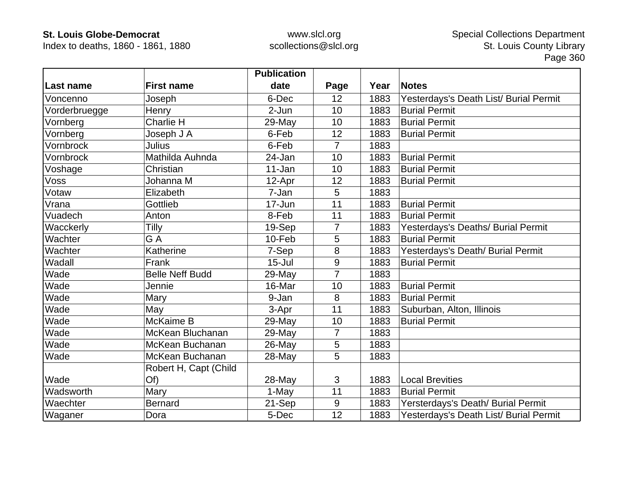Index to deaths, 1860 - 1861, 1880

|               |                        | <b>Publication</b> |                 |      |                                        |
|---------------|------------------------|--------------------|-----------------|------|----------------------------------------|
| ∣Last name    | <b>First name</b>      | date               | Page            | Year | <b>Notes</b>                           |
| Voncenno      | Joseph                 | 6-Dec              | 12              | 1883 | Yesterdays's Death List/ Burial Permit |
| Vorderbruegge | Henry                  | 2-Jun              | 10              | 1883 | <b>Burial Permit</b>                   |
| Vornberg      | <b>Charlie H</b>       | 29-May             | 10              | 1883 | <b>Burial Permit</b>                   |
| Vornberg      | Joseph J A             | 6-Feb              | 12              | 1883 | <b>Burial Permit</b>                   |
| Vornbrock     | Julius                 | 6-Feb              | $\overline{7}$  | 1883 |                                        |
| Vornbrock     | Mathilda Auhnda        | 24-Jan             | 10              | 1883 | <b>Burial Permit</b>                   |
| Voshage       | Christian              | 11-Jan             | 10              | 1883 | <b>Burial Permit</b>                   |
| Voss          | Johanna M              | 12-Apr             | 12              | 1883 | <b>Burial Permit</b>                   |
| Votaw         | Elizabeth              | 7-Jan              | 5               | 1883 |                                        |
| Vrana         | Gottlieb               | 17-Jun             | 11              | 1883 | <b>Burial Permit</b>                   |
| Vuadech       | Anton                  | 8-Feb              | 11              | 1883 | <b>Burial Permit</b>                   |
| Wacckerly     | Tilly                  | 19-Sep             | $\overline{7}$  | 1883 | Yesterdays's Deaths/ Burial Permit     |
| Wachter       | G A                    | 10-Feb             | 5               | 1883 | <b>Burial Permit</b>                   |
| Wachter       | Katherine              | 7-Sep              | 8               | 1883 | Yesterdays's Death/ Burial Permit      |
| Wadall        | Frank                  | $15 -$ Jul         | 9               | 1883 | <b>Burial Permit</b>                   |
| Wade          | <b>Belle Neff Budd</b> | 29-May             | $\overline{7}$  | 1883 |                                        |
| Wade          | Jennie                 | 16-Mar             | 10              | 1883 | <b>Burial Permit</b>                   |
| Wade          | Mary                   | 9-Jan              | 8               | 1883 | <b>Burial Permit</b>                   |
| Wade          | May                    | 3-Apr              | 11              | 1883 | Suburban, Alton, Illinois              |
| Wade          | McKaime B              | 29-May             | 10              | 1883 | <b>Burial Permit</b>                   |
| Wade          | McKean Bluchanan       | 29-May             | $\overline{7}$  | 1883 |                                        |
| Wade          | McKean Buchanan        | 26-May             | 5               | 1883 |                                        |
| Wade          | McKean Buchanan        | 28-May             | $5\phantom{.0}$ | 1883 |                                        |
|               | Robert H, Capt (Child  |                    |                 |      |                                        |
| Wade          | Of)                    | 28-May             | 3               | 1883 | <b>Local Brevities</b>                 |
| Wadsworth     | Mary                   | 1-May              | 11              | 1883 | <b>Burial Permit</b>                   |
| Waechter      | <b>Bernard</b>         | 21-Sep             | 9               | 1883 | Yersterdays's Death/ Burial Permit     |
| Waganer       | Dora                   | 5-Dec              | 12              | 1883 | Yesterdays's Death List/ Burial Permit |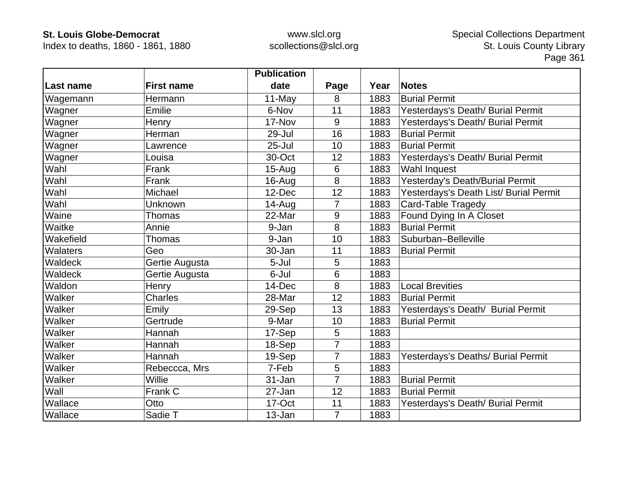Index to deaths, 1860 - 1861, 1880

|           |                   | <b>Publication</b> |                |      |                                        |
|-----------|-------------------|--------------------|----------------|------|----------------------------------------|
| Last name | <b>First name</b> | date               | Page           | Year | <b>Notes</b>                           |
| Wagemann  | Hermann           | 11-May             | 8              | 1883 | <b>Burial Permit</b>                   |
| Wagner    | Emilie            | 6-Nov              | 11             | 1883 | Yesterdays's Death/ Burial Permit      |
| Wagner    | Henry             | 17-Nov             | 9              | 1883 | Yesterdays's Death/ Burial Permit      |
| Wagner    | Herman            | 29-Jul             | 16             | 1883 | <b>Burial Permit</b>                   |
| Wagner    | Lawrence          | $25 -$ Jul         | 10             | 1883 | <b>Burial Permit</b>                   |
| Wagner    | Louisa            | 30-Oct             | 12             | 1883 | Yesterdays's Death/ Burial Permit      |
| Wahl      | Frank             | $15-Auq$           | 6              | 1883 | Wahl Inquest                           |
| Wahl      | Frank             | 16-Aug             | 8              | 1883 | Yesterday's Death/Burial Permit        |
| Wahl      | Michael           | 12-Dec             | 12             | 1883 | Yesterdays's Death List/ Burial Permit |
| Wahl      | Unknown           | 14-Aug             | $\overline{7}$ | 1883 | Card-Table Tragedy                     |
| Waine     | Thomas            | 22-Mar             | 9              | 1883 | Found Dying In A Closet                |
| Waitke    | Annie             | 9-Jan              | 8              | 1883 | <b>Burial Permit</b>                   |
| Wakefield | <b>Thomas</b>     | 9-Jan              | 10             | 1883 | Suburban-Belleville                    |
| Walaters  | Geo               | 30-Jan             | 11             | 1883 | <b>Burial Permit</b>                   |
| Waldeck   | Gertie Augusta    | $5 -$ Jul          | 5              | 1883 |                                        |
| Waldeck   | Gertie Augusta    | 6-Jul              | 6              | 1883 |                                        |
| Waldon    | Henry             | 14-Dec             | 8              | 1883 | <b>Local Brevities</b>                 |
| Walker    | <b>Charles</b>    | 28-Mar             | 12             | 1883 | <b>Burial Permit</b>                   |
| Walker    | Emily             | 29-Sep             | 13             | 1883 | Yesterdays's Death/ Burial Permit      |
| Walker    | Gertrude          | 9-Mar              | 10             | 1883 | <b>Burial Permit</b>                   |
| Walker    | Hannah            | 17-Sep             | 5              | 1883 |                                        |
| Walker    | Hannah            | 18-Sep             | $\overline{7}$ | 1883 |                                        |
| Walker    | Hannah            | 19-Sep             | $\overline{7}$ | 1883 | Yesterdays's Deaths/ Burial Permit     |
| Walker    | Rebeccca, Mrs     | 7-Feb              | 5              | 1883 |                                        |
| Walker    | Willie            | $31 - Jan$         | $\overline{7}$ | 1883 | <b>Burial Permit</b>                   |
| Wall      | Frank C           | 27-Jan             | 12             | 1883 | <b>Burial Permit</b>                   |
| Wallace   | Otto              | 17-Oct             | 11             | 1883 | Yesterdays's Death/ Burial Permit      |
| Wallace   | Sadie T           | 13-Jan             | $\overline{7}$ | 1883 |                                        |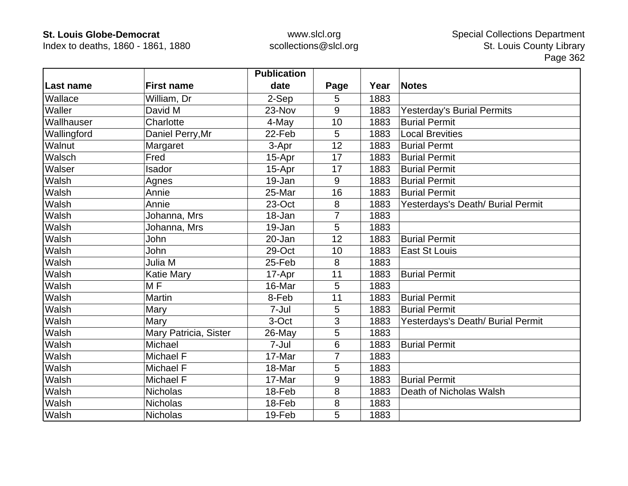Index to deaths, 1860 - 1861, 1880

|             |                       | <b>Publication</b> |      |      |                                   |
|-------------|-----------------------|--------------------|------|------|-----------------------------------|
| Last name   | <b>First name</b>     | date               | Page | Year | <b>Notes</b>                      |
| Wallace     | William, Dr           | 2-Sep              | 5    | 1883 |                                   |
| Waller      | David M               | 23-Nov             | 9    | 1883 | <b>Yesterday's Burial Permits</b> |
| Wallhauser  | Charlotte             | 4-May              | 10   | 1883 | <b>Burial Permit</b>              |
| Wallingford | Daniel Perry, Mr      | 22-Feb             | 5    | 1883 | <b>Local Brevities</b>            |
| Walnut      | Margaret              | 3-Apr              | 12   | 1883 | <b>Burial Permt</b>               |
| Walsch      | Fred                  | 15-Apr             | 17   | 1883 | <b>Burial Permit</b>              |
| Walser      | Isador                | 15-Apr             | 17   | 1883 | <b>Burial Permit</b>              |
| Walsh       | Agnes                 | 19-Jan             | 9    | 1883 | <b>Burial Permit</b>              |
| Walsh       | Annie                 | 25-Mar             | 16   | 1883 | <b>Burial Permit</b>              |
| Walsh       | Annie                 | 23-Oct             | 8    | 1883 | Yesterdays's Death/ Burial Permit |
| Walsh       | Johanna, Mrs          | 18-Jan             | 7    | 1883 |                                   |
| Walsh       | Johanna, Mrs          | 19-Jan             | 5    | 1883 |                                   |
| Walsh       | John                  | 20-Jan             | 12   | 1883 | <b>Burial Permit</b>              |
| Walsh       | John                  | 29-Oct             | 10   | 1883 | <b>East St Louis</b>              |
| Walsh       | Julia M               | 25-Feb             | 8    | 1883 |                                   |
| Walsh       | <b>Katie Mary</b>     | 17-Apr             | 11   | 1883 | <b>Burial Permit</b>              |
| Walsh       | M <sub>F</sub>        | 16-Mar             | 5    | 1883 |                                   |
| Walsh       | <b>Martin</b>         | 8-Feb              | 11   | 1883 | <b>Burial Permit</b>              |
| Walsh       | Mary                  | 7-Jul              | 5    | 1883 | <b>Burial Permit</b>              |
| Walsh       | Mary                  | 3-Oct              | 3    | 1883 | Yesterdays's Death/ Burial Permit |
| Walsh       | Mary Patricia, Sister | 26-May             | 5    | 1883 |                                   |
| Walsh       | Michael               | 7-Jul              | 6    | 1883 | <b>Burial Permit</b>              |
| Walsh       | Michael F             | 17-Mar             | 7    | 1883 |                                   |
| Walsh       | Michael F             | 18-Mar             | 5    | 1883 |                                   |
| Walsh       | Michael F             | 17-Mar             | 9    | 1883 | <b>Burial Permit</b>              |
| Walsh       | <b>Nicholas</b>       | 18-Feb             | 8    | 1883 | Death of Nicholas Walsh           |
| Walsh       | <b>Nicholas</b>       | 18-Feb             | 8    | 1883 |                                   |
| Walsh       | <b>Nicholas</b>       | 19-Feb             | 5    | 1883 |                                   |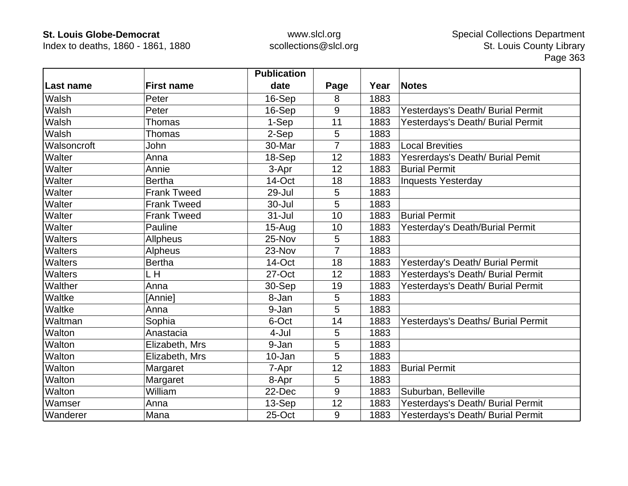Index to deaths, 1860 - 1861, 1880

|                |                    | <b>Publication</b> |                |      |                                    |
|----------------|--------------------|--------------------|----------------|------|------------------------------------|
| Last name      | <b>First name</b>  | date               | Page           | Year | <b>Notes</b>                       |
| Walsh          | Peter              | 16-Sep             | 8              | 1883 |                                    |
| Walsh          | Peter              | 16-Sep             | 9              | 1883 | Yesterdays's Death/ Burial Permit  |
| Walsh          | Thomas             | 1-Sep              | 11             | 1883 | Yesterdays's Death/ Burial Permit  |
| Walsh          | <b>Thomas</b>      | 2-Sep              | 5              | 1883 |                                    |
| Walsoncroft    | John               | 30-Mar             | 7              | 1883 | <b>Local Brevities</b>             |
| Walter         | Anna               | 18-Sep             | 12             | 1883 | Yesrerdays's Death/ Burial Pemit   |
| Walter         | Annie              | 3-Apr              | 12             | 1883 | <b>Burial Permit</b>               |
| Walter         | <b>Bertha</b>      | 14-Oct             | 18             | 1883 | <b>Inquests Yesterday</b>          |
| Walter         | <b>Frank Tweed</b> | 29-Jul             | 5              | 1883 |                                    |
| Walter         | <b>Frank Tweed</b> | 30-Jul             | 5              | 1883 |                                    |
| Walter         | <b>Frank Tweed</b> | 31-Jul             | 10             | 1883 | <b>Burial Permit</b>               |
| Walter         | Pauline            | $15 - Aug$         | 10             | 1883 | Yesterday's Death/Burial Permit    |
| <b>Walters</b> | <b>Allpheus</b>    | 25-Nov             | 5              | 1883 |                                    |
| <b>Walters</b> | <b>Alpheus</b>     | 23-Nov             | $\overline{7}$ | 1883 |                                    |
| Walters        | <b>Bertha</b>      | 14-Oct             | 18             | 1883 | Yesterday's Death/ Burial Permit   |
| <b>Walters</b> | L H                | 27-Oct             | 12             | 1883 | Yesterdays's Death/ Burial Permit  |
| Walther        | Anna               | 30-Sep             | 19             | 1883 | Yesterdays's Death/ Burial Permit  |
| Waltke         | [Annie]            | 8-Jan              | 5              | 1883 |                                    |
| Waltke         | Anna               | 9-Jan              | 5              | 1883 |                                    |
| Waltman        | Sophia             | 6-Oct              | 14             | 1883 | Yesterdays's Deaths/ Burial Permit |
| Walton         | Anastacia          | 4-Jul              | 5              | 1883 |                                    |
| Walton         | Elizabeth, Mrs     | 9-Jan              | 5              | 1883 |                                    |
| Walton         | Elizabeth, Mrs     | 10-Jan             | 5              | 1883 |                                    |
| Walton         | Margaret           | 7-Apr              | 12             | 1883 | <b>Burial Permit</b>               |
| Walton         | Margaret           | 8-Apr              | 5              | 1883 |                                    |
| Walton         | William            | 22-Dec             | 9              | 1883 | Suburban, Belleville               |
| Wamser         | Anna               | 13-Sep             | 12             | 1883 | Yesterdays's Death/ Burial Permit  |
| Wanderer       | Mana               | 25-Oct             | 9              | 1883 | Yesterdays's Death/ Burial Permit  |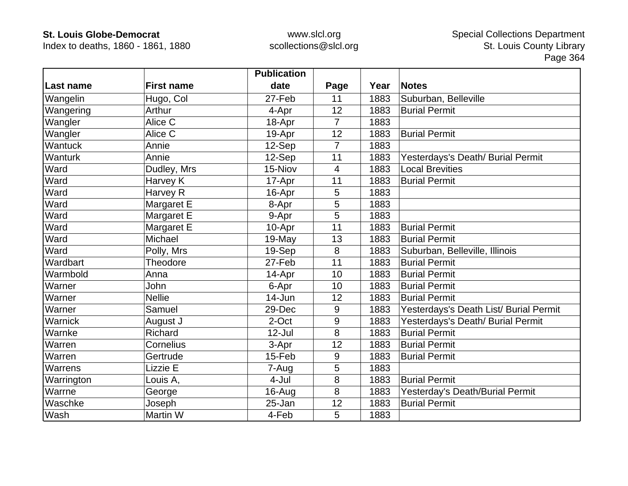Index to deaths, 1860 - 1861, 1880

|                |                   | <b>Publication</b> |                |      |                                        |
|----------------|-------------------|--------------------|----------------|------|----------------------------------------|
| Last name      | <b>First name</b> | date               | Page           | Year | <b>Notes</b>                           |
| Wangelin       | Hugo, Col         | 27-Feb             | 11             | 1883 | Suburban, Belleville                   |
| Wangering      | Arthur            | 4-Apr              | 12             | 1883 | <b>Burial Permit</b>                   |
| Wangler        | Alice C           | 18-Apr             | 7              | 1883 |                                        |
| Wangler        | Alice C           | 19-Apr             | 12             | 1883 | <b>Burial Permit</b>                   |
| <b>Wantuck</b> | Annie             | 12-Sep             | $\overline{7}$ | 1883 |                                        |
| Wanturk        | Annie             | 12-Sep             | 11             | 1883 | Yesterdays's Death/ Burial Permit      |
| Ward           | Dudley, Mrs       | 15-Niov            | $\overline{4}$ | 1883 | <b>Local Brevities</b>                 |
| Ward           | Harvey K          | 17-Apr             | 11             | 1883 | <b>Burial Permit</b>                   |
| Ward           | Harvey R          | 16-Apr             | 5              | 1883 |                                        |
| Ward           | Margaret E        | 8-Apr              | 5              | 1883 |                                        |
| Ward           | Margaret E        | 9-Apr              | 5              | 1883 |                                        |
| Ward           | Margaret E        | 10-Apr             | 11             | 1883 | <b>Burial Permit</b>                   |
| Ward           | Michael           | 19-May             | 13             | 1883 | <b>Burial Permit</b>                   |
| Ward           | Polly, Mrs        | 19-Sep             | $\bf 8$        | 1883 | Suburban, Belleville, Illinois         |
| Wardbart       | Theodore          | 27-Feb             | 11             | 1883 | <b>Burial Permit</b>                   |
| Warmbold       | Anna              | 14-Apr             | 10             | 1883 | <b>Burial Permit</b>                   |
| Warner         | John              | 6-Apr              | 10             | 1883 | <b>Burial Permit</b>                   |
| Warner         | <b>Nellie</b>     | 14-Jun             | 12             | 1883 | <b>Burial Permit</b>                   |
| Warner         | Samuel            | 29-Dec             | 9              | 1883 | Yesterdays's Death List/ Burial Permit |
| Warnick        | August J          | 2-Oct              | $9\,$          | 1883 | Yesterdays's Death/ Burial Permit      |
| Warnke         | Richard           | $12$ -Jul          | 8              | 1883 | <b>Burial Permit</b>                   |
| Warren         | Cornelius         | 3-Apr              | 12             | 1883 | <b>Burial Permit</b>                   |
| Warren         | Gertrude          | 15-Feb             | 9              | 1883 | <b>Burial Permit</b>                   |
| Warrens        | Lizzie E          | 7-Aug              | 5              | 1883 |                                        |
| Warrington     | Louis A,          | 4-Jul              | 8              | 1883 | <b>Burial Permit</b>                   |
| Warrne         | George            | 16-Aug             | 8              | 1883 | Yesterday's Death/Burial Permit        |
| Waschke        | Joseph            | 25-Jan             | 12             | 1883 | <b>Burial Permit</b>                   |
| Wash           | Martin W          | 4-Feb              | 5              | 1883 |                                        |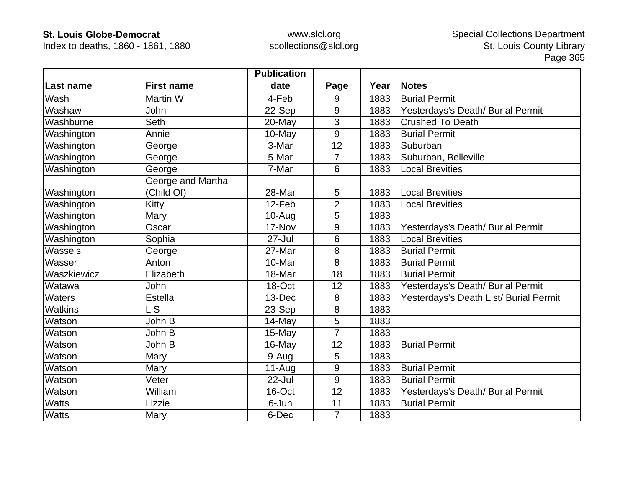Index to deaths, 1860 - 1861, 1880

|                |                   | <b>Publication</b> |                |      |                                        |
|----------------|-------------------|--------------------|----------------|------|----------------------------------------|
| Last name      | <b>First name</b> | date               | Page           | Year | <b>Notes</b>                           |
| Wash           | Martin W          | 4-Feb              | 9              | 1883 | <b>Burial Permit</b>                   |
| Washaw         | John              | 22-Sep             | 9              | 1883 | Yesterdays's Death/ Burial Permit      |
| Washburne      | <b>Seth</b>       | 20-May             | 3              | 1883 | <b>Crushed To Death</b>                |
| Washington     | Annie             | 10-May             | 9              | 1883 | <b>Burial Permit</b>                   |
| Washington     | George            | 3-Mar              | 12             | 1883 | Suburban                               |
| Washington     | George            | 5-Mar              | 7              | 1883 | Suburban, Belleville                   |
| Washington     | George            | 7-Mar              | 6              | 1883 | <b>Local Brevities</b>                 |
|                | George and Martha |                    |                |      |                                        |
| Washington     | (Child Of)        | 28-Mar             | 5              | 1883 | <b>Local Brevities</b>                 |
| Washington     | Kitty             | 12-Feb             | $\overline{2}$ | 1883 | <b>Local Brevities</b>                 |
| Washington     | Mary              | $10-Auq$           | 5              | 1883 |                                        |
| Washington     | Oscar             | 17-Nov             | 9              | 1883 | Yesterdays's Death/ Burial Permit      |
| Washington     | Sophia            | $27 -$ Jul         | 6              | 1883 | <b>Local Brevities</b>                 |
| Wassels        | George            | 27-Mar             | 8              | 1883 | <b>Burial Permit</b>                   |
| Wasser         | Anton             | 10-Mar             | 8              | 1883 | <b>Burial Permit</b>                   |
| Waszkiewicz    | Elizabeth         | 18-Mar             | 18             | 1883 | <b>Burial Permit</b>                   |
| Watawa         | John              | 18-Oct             | 12             | 1883 | Yesterdays's Death/ Burial Permit      |
| <b>Waters</b>  | <b>Estella</b>    | 13-Dec             | 8              | 1883 | Yesterdays's Death List/ Burial Permit |
| <b>Watkins</b> | L S               | 23-Sep             | 8              | 1883 |                                        |
| Watson         | John B            | 14-May             | 5              | 1883 |                                        |
| Watson         | John B            | 15-May             | $\overline{7}$ | 1883 |                                        |
| Watson         | John B            | 16-May             | 12             | 1883 | <b>Burial Permit</b>                   |
| Watson         | Mary              | 9-Aug              | 5              | 1883 |                                        |
| Watson         | Mary              | $11-Au$ g          | 9              | 1883 | <b>Burial Permit</b>                   |
| Watson         | Veter             | 22-Jul             | 9              | 1883 | <b>Burial Permit</b>                   |
| Watson         | William           | 16-Oct             | 12             | 1883 | Yesterdays's Death/ Burial Permit      |
| <b>Watts</b>   | Lizzie            | 6-Jun              | 11             | 1883 | <b>Burial Permit</b>                   |
| <b>Watts</b>   | Mary              | 6-Dec              | $\overline{7}$ | 1883 |                                        |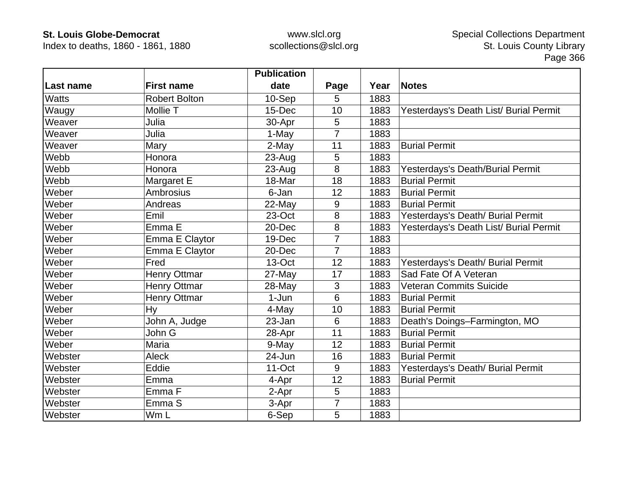Index to deaths, 1860 - 1861, 1880

|              |                      | <b>Publication</b> |                |      |                                        |
|--------------|----------------------|--------------------|----------------|------|----------------------------------------|
| Last name    | <b>First name</b>    | date               | Page           | Year | <b>Notes</b>                           |
| <b>Watts</b> | <b>Robert Bolton</b> | 10-Sep             | 5              | 1883 |                                        |
| Waugy        | Mollie T             | 15-Dec             | 10             | 1883 | Yesterdays's Death List/ Burial Permit |
| Weaver       | Julia                | 30-Apr             | 5              | 1883 |                                        |
| Weaver       | Julia                | 1-May              | $\overline{7}$ | 1883 |                                        |
| Weaver       | Mary                 | 2-May              | 11             | 1883 | <b>Burial Permit</b>                   |
| Webb         | Honora               | 23-Aug             | 5              | 1883 |                                        |
| Webb         | Honora               | $23 - Aug$         | 8              | 1883 | Yesterdays's Death/Burial Permit       |
| Webb         | Margaret E           | 18-Mar             | 18             | 1883 | <b>Burial Permit</b>                   |
| Weber        | Ambrosius            | 6-Jan              | 12             | 1883 | <b>Burial Permit</b>                   |
| Weber        | Andreas              | 22-May             | 9              | 1883 | <b>Burial Permit</b>                   |
| Weber        | Emil                 | 23-Oct             | 8              | 1883 | Yesterdays's Death/ Burial Permit      |
| Weber        | Emma E               | 20-Dec             | 8              | 1883 | Yesterdays's Death List/ Burial Permit |
| Weber        | Emma E Claytor       | 19-Dec             | 7              | 1883 |                                        |
| Weber        | Emma E Claytor       | 20-Dec             | $\overline{7}$ | 1883 |                                        |
| Weber        | Fred                 | 13-Oct             | 12             | 1883 | Yesterdays's Death/ Burial Permit      |
| Weber        | <b>Henry Ottmar</b>  | 27-May             | 17             | 1883 | Sad Fate Of A Veteran                  |
| Weber        | Henry Ottmar         | 28-May             | 3              | 1883 | <b>Veteran Commits Suicide</b>         |
| Weber        | <b>Henry Ottmar</b>  | 1-Jun              | 6              | 1883 | <b>Burial Permit</b>                   |
| Weber        | Hy                   | 4-May              | 10             | 1883 | <b>Burial Permit</b>                   |
| Weber        | John A, Judge        | 23-Jan             | 6              | 1883 | Death's Doings-Farmington, MO          |
| Weber        | John G               | 28-Apr             | 11             | 1883 | <b>Burial Permit</b>                   |
| Weber        | Maria                | 9-May              | 12             | 1883 | <b>Burial Permit</b>                   |
| Webster      | <b>Aleck</b>         | 24-Jun             | 16             | 1883 | <b>Burial Permit</b>                   |
| Webster      | Eddie                | 11-Oct             | 9              | 1883 | Yesterdays's Death/ Burial Permit      |
| Webster      | Emma                 | 4-Apr              | 12             | 1883 | <b>Burial Permit</b>                   |
| Webster      | Emma <sub>F</sub>    | 2-Apr              | 5              | 1883 |                                        |
| Webster      | Emma <sub>S</sub>    | 3-Apr              | $\overline{7}$ | 1883 |                                        |
| Webster      | Wm L                 | 6-Sep              | 5              | 1883 |                                        |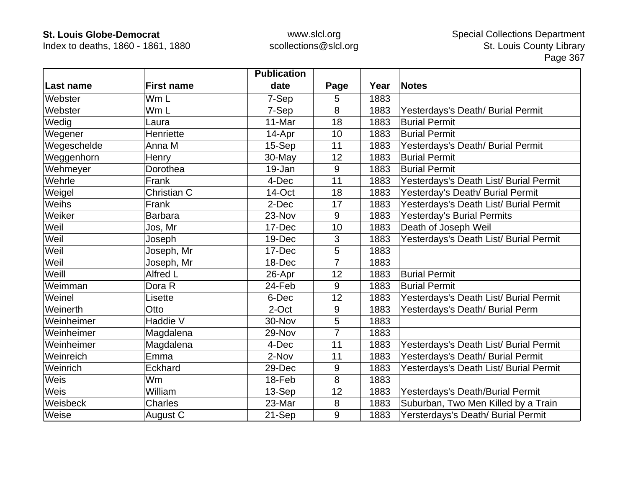Index to deaths, 1860 - 1861, 1880

|             |                   | <b>Publication</b> |                |      |                                        |
|-------------|-------------------|--------------------|----------------|------|----------------------------------------|
| Last name   | <b>First name</b> | date               | Page           | Year | <b>Notes</b>                           |
| Webster     | Wm L              | 7-Sep              | 5              | 1883 |                                        |
| Webster     | Wm L              | 7-Sep              | 8              | 1883 | Yesterdays's Death/ Burial Permit      |
| Wedig       | Laura             | 11-Mar             | 18             | 1883 | <b>Burial Permit</b>                   |
| Wegener     | Henriette         | 14-Apr             | 10             | 1883 | <b>Burial Permit</b>                   |
| Wegeschelde | Anna M            | $15-Sep$           | 11             | 1883 | Yesterdays's Death/ Burial Permit      |
| Weggenhorn  | Henry             | 30-May             | 12             | 1883 | <b>Burial Permit</b>                   |
| Wehmeyer    | Dorothea          | 19-Jan             | 9              | 1883 | <b>Burial Permit</b>                   |
| Wehrle      | Frank             | 4-Dec              | 11             | 1883 | Yesterdays's Death List/ Burial Permit |
| Weigel      | Christian C       | 14-Oct             | 18             | 1883 | Yesterday's Death/ Burial Permit       |
| Weihs       | Frank             | 2-Dec              | 17             | 1883 | Yesterdays's Death List/ Burial Permit |
| Weiker      | <b>Barbara</b>    | 23-Nov             | 9              | 1883 | <b>Yesterday's Burial Permits</b>      |
| Weil        | Jos, Mr           | 17-Dec             | 10             | 1883 | Death of Joseph Weil                   |
| Weil        | Joseph            | 19-Dec             | 3              | 1883 | Yesterdays's Death List/ Burial Permit |
| Weil        | Joseph, Mr        | 17-Dec             | 5              | 1883 |                                        |
| Weil        | Joseph, Mr        | 18-Dec             | $\overline{7}$ | 1883 |                                        |
| Weill       | Alfred L          | 26-Apr             | 12             | 1883 | <b>Burial Permit</b>                   |
| Weimman     | Dora R            | 24-Feb             | 9              | 1883 | <b>Burial Permit</b>                   |
| Weinel      | Lisette           | 6-Dec              | 12             | 1883 | Yesterdays's Death List/ Burial Permit |
| Weinerth    | Otto              | 2-Oct              | 9              | 1883 | Yesterdays's Death/ Burial Perm        |
| Weinheimer  | Haddie V          | 30-Nov             | 5              | 1883 |                                        |
| Weinheimer  | Magdalena         | 29-Nov             | $\overline{7}$ | 1883 |                                        |
| Weinheimer  | Magdalena         | 4-Dec              | 11             | 1883 | Yesterdays's Death List/ Burial Permit |
| Weinreich   | Emma              | 2-Nov              | 11             | 1883 | Yesterdays's Death/ Burial Permit      |
| Weinrich    | Eckhard           | 29-Dec             | 9              | 1883 | Yesterdays's Death List/ Burial Permit |
| Weis        | Wm                | 18-Feb             | 8              | 1883 |                                        |
| Weis        | William           | 13-Sep             | 12             | 1883 | Yesterdays's Death/Burial Permit       |
| Weisbeck    | <b>Charles</b>    | 23-Mar             | 8              | 1883 | Suburban, Two Men Killed by a Train    |
| Weise       | August C          | 21-Sep             | 9              | 1883 | Yersterdays's Death/ Burial Permit     |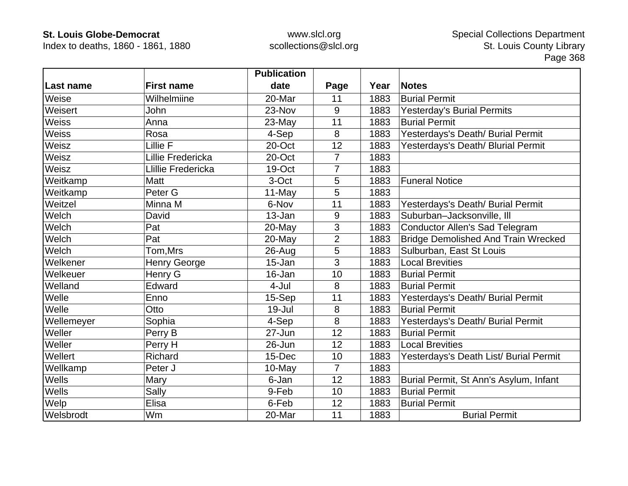Index to deaths, 1860 - 1861, 1880

|              |                    | <b>Publication</b> |                |      |                                            |
|--------------|--------------------|--------------------|----------------|------|--------------------------------------------|
| Last name    | <b>First name</b>  | date               | Page           | Year | <b>Notes</b>                               |
| Weise        | Wilhelmiine        | 20-Mar             | 11             | 1883 | <b>Burial Permit</b>                       |
| Weisert      | John               | 23-Nov             | 9              | 1883 | <b>Yesterday's Burial Permits</b>          |
| <b>Weiss</b> | Anna               | 23-May             | 11             | 1883 | <b>Burial Permit</b>                       |
| <b>Weiss</b> | Rosa               | 4-Sep              | 8              | 1883 | Yesterdays's Death/ Burial Permit          |
| Weisz        | Lillie F           | 20-Oct             | 12             | 1883 | Yesterdays's Death/ Blurial Permit         |
| Weisz        | Lillie Fredericka  | 20-Oct             | $\overline{7}$ | 1883 |                                            |
| Weisz        | Llillie Fredericka | 19-Oct             | 7              | 1883 |                                            |
| Weitkamp     | <b>Matt</b>        | 3-Oct              | 5              | 1883 | <b>Funeral Notice</b>                      |
| Weitkamp     | Peter G            | 11-May             | 5              | 1883 |                                            |
| Weitzel      | Minna M            | 6-Nov              | 11             | 1883 | Yesterdays's Death/ Burial Permit          |
| Welch        | David              | 13-Jan             | 9              | 1883 | Suburban-Jacksonville, III                 |
| Welch        | Pat                | 20-May             | 3              | 1883 | <b>Conductor Allen's Sad Telegram</b>      |
| Welch        | Pat                | 20-May             | $\overline{2}$ | 1883 | <b>Bridge Demolished And Train Wrecked</b> |
| Welch        | Tom,Mrs            | $26$ -Aug          | 5              | 1883 | Sulburban, East St Louis                   |
| Welkener     | Henry George       | 15-Jan             | 3              | 1883 | <b>Local Brevities</b>                     |
| Welkeuer     | Henry G            | 16-Jan             | 10             | 1883 | <b>Burial Permit</b>                       |
| Welland      | Edward             | 4-Jul              | 8              | 1883 | <b>Burial Permit</b>                       |
| Welle        | Enno               | 15-Sep             | 11             | 1883 | Yesterdays's Death/ Burial Permit          |
| Welle        | Otto               | 19-Jul             | 8              | 1883 | <b>Burial Permit</b>                       |
| Wellemeyer   | Sophia             | 4-Sep              | 8              | 1883 | Yesterdays's Death/ Burial Permit          |
| Weller       | Perry B            | 27-Jun             | 12             | 1883 | <b>Burial Permit</b>                       |
| Weller       | Perry H            | 26-Jun             | 12             | 1883 | <b>Local Brevities</b>                     |
| Wellert      | <b>Richard</b>     | 15-Dec             | 10             | 1883 | Yesterdays's Death List/ Burial Permit     |
| Wellkamp     | Peter J            | 10-May             | $\overline{7}$ | 1883 |                                            |
| Wells        | Mary               | 6-Jan              | 12             | 1883 | Burial Permit, St Ann's Asylum, Infant     |
| <b>Wells</b> | Sally              | 9-Feb              | 10             | 1883 | <b>Burial Permit</b>                       |
| Welp         | Elisa              | 6-Feb              | 12             | 1883 | <b>Burial Permit</b>                       |
| Welsbrodt    | Wm                 | 20-Mar             | 11             | 1883 | <b>Burial Permit</b>                       |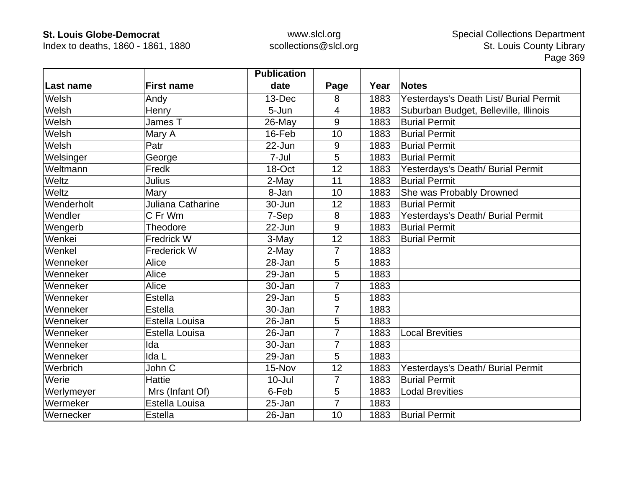Index to deaths, 1860 - 1861, 1880

|            |                   | <b>Publication</b> |                |      |                                        |
|------------|-------------------|--------------------|----------------|------|----------------------------------------|
| Last name  | <b>First name</b> | date               | Page           | Year | <b>Notes</b>                           |
| Welsh      | Andy              | 13-Dec             | 8              | 1883 | Yesterdays's Death List/ Burial Permit |
| Welsh      | Henry             | 5-Jun              | 4              | 1883 | Suburban Budget, Belleville, Illinois  |
| Welsh      | James T           | 26-May             | 9              | 1883 | <b>Burial Permit</b>                   |
| Welsh      | Mary A            | 16-Feb             | 10             | 1883 | <b>Burial Permit</b>                   |
| Welsh      | Patr              | 22-Jun             | 9              | 1883 | <b>Burial Permit</b>                   |
| Welsinger  | George            | 7-Jul              | 5              | 1883 | <b>Burial Permit</b>                   |
| Weltmann   | Fredk             | 18-Oct             | 12             | 1883 | Yesterdays's Death/ Burial Permit      |
| Weltz      | Julius            | 2-May              | 11             | 1883 | <b>Burial Permit</b>                   |
| Weltz      | Mary              | 8-Jan              | 10             | 1883 | She was Probably Drowned               |
| Wenderholt | Juliana Catharine | 30-Jun             | 12             | 1883 | <b>Burial Permit</b>                   |
| Wendler    | C Fr Wm           | 7-Sep              | 8              | 1883 | Yesterdays's Death/ Burial Permit      |
| Wengerb    | Theodore          | 22-Jun             | 9              | 1883 | <b>Burial Permit</b>                   |
| Wenkei     | Fredrick W        | 3-May              | 12             | 1883 | <b>Burial Permit</b>                   |
| Wenkel     | Frederick W       | 2-May              | $\overline{7}$ | 1883 |                                        |
| Wenneker   | Alice             | 28-Jan             | 5              | 1883 |                                        |
| Wenneker   | Alice             | 29-Jan             | 5              | 1883 |                                        |
| Wenneker   | Alice             | 30-Jan             | 7              | 1883 |                                        |
| Wenneker   | <b>Estella</b>    | 29-Jan             | 5              | 1883 |                                        |
| Wenneker   | Estella           | 30-Jan             | 7              | 1883 |                                        |
| Wenneker   | Estella Louisa    | 26-Jan             | 5              | 1883 |                                        |
| Wenneker   | Estella Louisa    | 26-Jan             | $\overline{7}$ | 1883 | <b>Local Brevities</b>                 |
| Wenneker   | Ida               | 30-Jan             | 7              | 1883 |                                        |
| Wenneker   | Ida L             | 29-Jan             | 5              | 1883 |                                        |
| Werbrich   | John C            | 15-Nov             | 12             | 1883 | Yesterdays's Death/ Burial Permit      |
| Werie      | <b>Hattie</b>     | $10 -$ Jul         | 7              | 1883 | <b>Burial Permit</b>                   |
| Werlymeyer | Mrs (Infant Of)   | 6-Feb              | 5              | 1883 | <b>Lodal Brevities</b>                 |
| Wermeker   | Estella Louisa    | 25-Jan             | $\overline{7}$ | 1883 |                                        |
| Wernecker  | <b>Estella</b>    | 26-Jan             | 10             | 1883 | <b>Burial Permit</b>                   |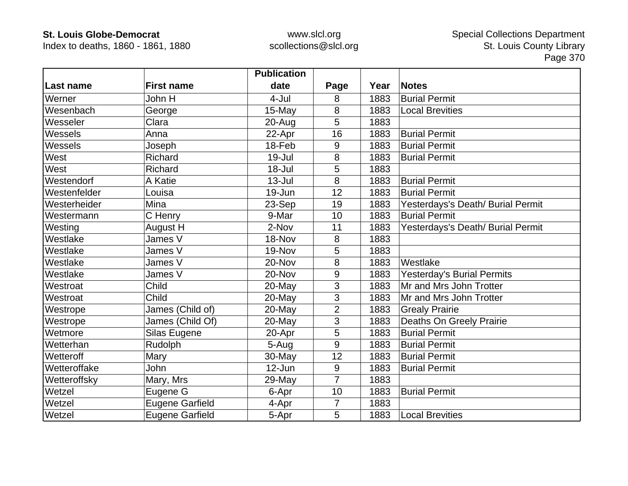Index to deaths, 1860 - 1861, 1880

|                  |                        | <b>Publication</b> |                |      |                                   |
|------------------|------------------------|--------------------|----------------|------|-----------------------------------|
| <b>Last name</b> | <b>First name</b>      | date               | Page           | Year | <b>Notes</b>                      |
| Werner           | John H                 | 4-Jul              | 8              | 1883 | <b>Burial Permit</b>              |
| Wesenbach        | George                 | 15-May             | 8              | 1883 | <b>Local Brevities</b>            |
| Wesseler         | Clara                  | $20 - Aug$         | 5              | 1883 |                                   |
| Wessels          | Anna                   | 22-Apr             | 16             | 1883 | <b>Burial Permit</b>              |
| Wessels          | Joseph                 | 18-Feb             | 9              | 1883 | <b>Burial Permit</b>              |
| West             | Richard                | $19 -$ Jul         | 8              | 1883 | <b>Burial Permit</b>              |
| West             | Richard                | 18-Jul             | 5              | 1883 |                                   |
| Westendorf       | A Katie                | $13 -$ Jul         | 8              | 1883 | <b>Burial Permit</b>              |
| Westenfelder     | Louisa                 | 19-Jun             | 12             | 1883 | <b>Burial Permit</b>              |
| Westerheider     | Mina                   | 23-Sep             | 19             | 1883 | Yesterdays's Death/ Burial Permit |
| Westermann       | C Henry                | 9-Mar              | 10             | 1883 | <b>Burial Permit</b>              |
| Westing          | August H               | 2-Nov              | 11             | 1883 | Yesterdays's Death/ Burial Permit |
| Westlake         | James V                | 18-Nov             | 8              | 1883 |                                   |
| Westlake         | James V                | 19-Nov             | 5              | 1883 |                                   |
| Westlake         | James V                | 20-Nov             | 8              | 1883 | Westlake                          |
| Westlake         | James V                | 20-Nov             | 9              | 1883 | <b>Yesterday's Burial Permits</b> |
| Westroat         | Child                  | 20-May             | 3              | 1883 | Mr and Mrs John Trotter           |
| Westroat         | Child                  | 20-May             | 3              | 1883 | Mr and Mrs John Trotter           |
| Westrope         | James (Child of)       | 20-May             | $\overline{2}$ | 1883 | <b>Grealy Prairie</b>             |
| Westrope         | James (Child Of)       | 20-May             | 3              | 1883 | Deaths On Greely Prairie          |
| Wetmore          | Silas Eugene           | 20-Apr             | 5              | 1883 | <b>Burial Permit</b>              |
| Wetterhan        | Rudolph                | 5-Aug              | 9              | 1883 | <b>Burial Permit</b>              |
| Wetteroff        | Mary                   | 30-May             | 12             | 1883 | <b>Burial Permit</b>              |
| Wetteroffake     | John                   | $12$ -Jun          | 9              | 1883 | <b>Burial Permit</b>              |
| Wetteroffsky     | Mary, Mrs              | 29-May             | $\overline{7}$ | 1883 |                                   |
| Wetzel           | Eugene G               | 6-Apr              | 10             | 1883 | <b>Burial Permit</b>              |
| Wetzel           | <b>Eugene Garfield</b> | 4-Apr              | $\overline{7}$ | 1883 |                                   |
| Wetzel           | <b>Eugene Garfield</b> | 5-Apr              | 5              | 1883 | <b>Local Brevities</b>            |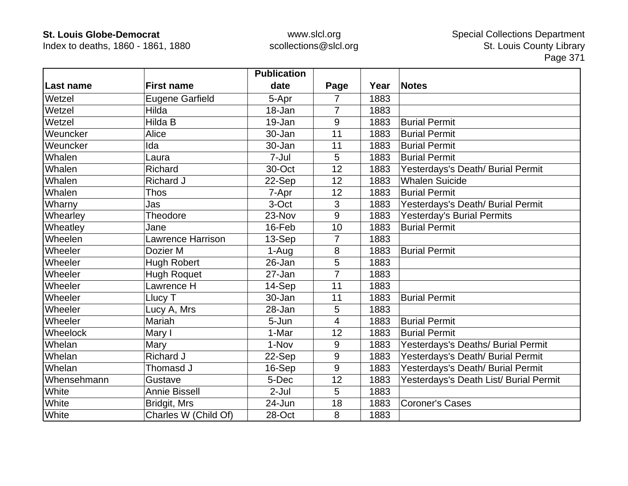Index to deaths, 1860 - 1861, 1880

|             |                          | <b>Publication</b> |                |      |                                        |
|-------------|--------------------------|--------------------|----------------|------|----------------------------------------|
| Last name   | <b>First name</b>        | date               | Page           | Year | <b>Notes</b>                           |
| Wetzel      | <b>Eugene Garfield</b>   | 5-Apr              | 7              | 1883 |                                        |
| Wetzel      | Hilda                    | 18-Jan             | $\overline{7}$ | 1883 |                                        |
| Wetzel      | Hilda B                  | 19-Jan             | 9              | 1883 | <b>Burial Permit</b>                   |
| Weuncker    | Alice                    | 30-Jan             | 11             | 1883 | <b>Burial Permit</b>                   |
| Weuncker    | Ida                      | 30-Jan             | 11             | 1883 | <b>Burial Permit</b>                   |
| Whalen      | Laura                    | 7-Jul              | 5              | 1883 | <b>Burial Permit</b>                   |
| Whalen      | Richard                  | 30-Oct             | 12             | 1883 | Yesterdays's Death/ Burial Permit      |
| Whalen      | Richard J                | 22-Sep             | 12             | 1883 | <b>Whalen Suicide</b>                  |
| Whalen      | <b>Thos</b>              | 7-Apr              | 12             | 1883 | <b>Burial Permit</b>                   |
| Wharny      | Jas                      | 3-Oct              | 3              | 1883 | Yesterdays's Death/ Burial Permit      |
| Whearley    | Theodore                 | 23-Nov             | 9              | 1883 | <b>Yesterday's Burial Permits</b>      |
| Wheatley    | Jane                     | 16-Feb             | 10             | 1883 | <b>Burial Permit</b>                   |
| Wheelen     | <b>Lawrence Harrison</b> | 13-Sep             | 7              | 1883 |                                        |
| Wheeler     | Dozier M                 | 1-Aug              | 8              | 1883 | <b>Burial Permit</b>                   |
| Wheeler     | <b>Hugh Robert</b>       | 26-Jan             | 5              | 1883 |                                        |
| Wheeler     | <b>Hugh Roquet</b>       | 27-Jan             | $\overline{7}$ | 1883 |                                        |
| Wheeler     | Lawrence H               | 14-Sep             | 11             | 1883 |                                        |
| Wheeler     | Llucy T                  | 30-Jan             | 11             | 1883 | <b>Burial Permit</b>                   |
| Wheeler     | Lucy A, Mrs              | 28-Jan             | 5              | 1883 |                                        |
| Wheeler     | Mariah                   | 5-Jun              | 4              | 1883 | <b>Burial Permit</b>                   |
| Wheelock    | Mary I                   | 1-Mar              | 12             | 1883 | <b>Burial Permit</b>                   |
| Whelan      | Mary                     | 1-Nov              | 9              | 1883 | Yesterdays's Deaths/ Burial Permit     |
| Whelan      | <b>Richard J</b>         | 22-Sep             | 9              | 1883 | Yesterdays's Death/ Burial Permit      |
| Whelan      | Thomasd J                | 16-Sep             | 9              | 1883 | Yesterdays's Death/ Burial Permit      |
| Whensehmann | Gustave                  | 5-Dec              | 12             | 1883 | Yesterdays's Death List/ Burial Permit |
| White       | <b>Annie Bissell</b>     | $2-Jul$            | 5              | 1883 |                                        |
| White       | Bridgit, Mrs             | 24-Jun             | 18             | 1883 | <b>Coroner's Cases</b>                 |
| White       | Charles W (Child Of)     | 28-Oct             | 8              | 1883 |                                        |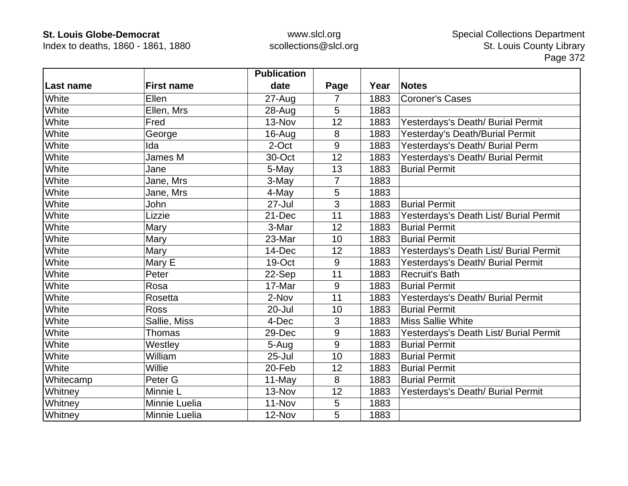Index to deaths, 1860 - 1861, 1880

|           |                    | <b>Publication</b> |                |      |                                        |
|-----------|--------------------|--------------------|----------------|------|----------------------------------------|
| Last name | <b>First name</b>  | date               | Page           | Year | <b>Notes</b>                           |
| White     | Ellen              | $27 - Aug$         | 7              | 1883 | <b>Coroner's Cases</b>                 |
| White     | Ellen, Mrs         | 28-Aug             | 5              | 1883 |                                        |
| White     | Fred               | 13-Nov             | 12             | 1883 | Yesterdays's Death/ Burial Permit      |
| White     | George             | 16-Aug             | 8              | 1883 | Yesterday's Death/Burial Permit        |
| White     | Ida                | 2-Oct              | 9              | 1883 | Yesterdays's Death/ Burial Perm        |
| White     | James M            | 30-Oct             | 12             | 1883 | Yesterdays's Death/ Burial Permit      |
| White     | Jane               | 5-May              | 13             | 1883 | <b>Burial Permit</b>                   |
| White     | Jane, Mrs          | 3-May              | $\overline{7}$ | 1883 |                                        |
| White     | Jane, Mrs          | 4-May              | 5              | 1883 |                                        |
| White     | John               | 27-Jul             | 3              | 1883 | <b>Burial Permit</b>                   |
| White     | Lizzie             | 21-Dec             | 11             | 1883 | Yesterdays's Death List/ Burial Permit |
| White     | Mary               | 3-Mar              | 12             | 1883 | <b>Burial Permit</b>                   |
| White     | Mary               | 23-Mar             | 10             | 1883 | <b>Burial Permit</b>                   |
| White     | Mary               | 14-Dec             | 12             | 1883 | Yesterdays's Death List/ Burial Permit |
| White     | Mary E             | 19-Oct             | 9              | 1883 | Yesterdays's Death/ Burial Permit      |
| White     | Peter              | 22-Sep             | 11             | 1883 | <b>Recruit's Bath</b>                  |
| White     | Rosa               | 17-Mar             | 9              | 1883 | <b>Burial Permit</b>                   |
| White     | Rosetta            | 2-Nov              | 11             | 1883 | Yesterdays's Death/ Burial Permit      |
| White     | <b>Ross</b>        | 20-Jul             | 10             | 1883 | <b>Burial Permit</b>                   |
| White     | Sallie, Miss       | 4-Dec              | 3              | 1883 | <b>Miss Sallie White</b>               |
| White     | Thomas             | 29-Dec             | 9              | 1883 | Yesterdays's Death List/ Burial Permit |
| White     | Westley            | 5-Aug              | 9              | 1883 | <b>Burial Permit</b>                   |
| White     | William            | $25 -$ Jul         | 10             | 1883 | <b>Burial Permit</b>                   |
| White     | Willie             | 20-Feb             | 12             | 1883 | <b>Burial Permit</b>                   |
| Whitecamp | Peter <sub>G</sub> | 11-May             | 8              | 1883 | <b>Burial Permit</b>                   |
| Whitney   | Minnie L           | 13-Nov             | 12             | 1883 | Yesterdays's Death/ Burial Permit      |
| Whitney   | Minnie Luelia      | 11-Nov             | 5              | 1883 |                                        |
| Whitney   | Minnie Luelia      | 12-Nov             | 5              | 1883 |                                        |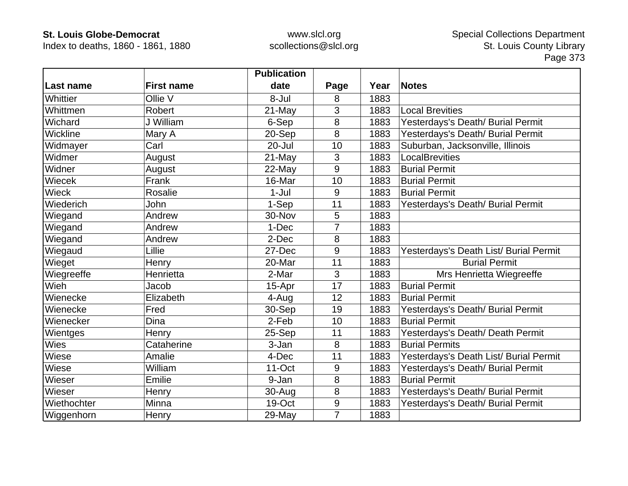Index to deaths, 1860 - 1861, 1880

|              |                   | <b>Publication</b> |                  |      |                                        |
|--------------|-------------------|--------------------|------------------|------|----------------------------------------|
| Last name    | <b>First name</b> | date               | Page             | Year | <b>Notes</b>                           |
| Whittier     | Ollie V           | 8-Jul              | 8                | 1883 |                                        |
| Whittmen     | Robert            | 21-May             | 3                | 1883 | <b>Local Brevities</b>                 |
| Wichard      | J William         | 6-Sep              | 8                | 1883 | Yesterdays's Death/ Burial Permit      |
| Wickline     | Mary A            | 20-Sep             | 8                | 1883 | Yesterdays's Death/ Burial Permit      |
| Widmayer     | Carl              | 20-Jul             | 10               | 1883 | Suburban, Jacksonville, Illinois       |
| Widmer       | August            | 21-May             | 3                | 1883 | LocalBrevities                         |
| Widner       | August            | 22-May             | 9                | 1883 | <b>Burial Permit</b>                   |
| Wiecek       | Frank             | 16-Mar             | 10               | 1883 | <b>Burial Permit</b>                   |
| <b>Wieck</b> | Rosalie           | $1-Jul$            | 9                | 1883 | <b>Burial Permit</b>                   |
| Wiederich    | John              | 1-Sep              | 11               | 1883 | Yesterdays's Death/ Burial Permit      |
| Wiegand      | Andrew            | 30-Nov             | 5                | 1883 |                                        |
| Wiegand      | Andrew            | 1-Dec              | 7                | 1883 |                                        |
| Wiegand      | Andrew            | 2-Dec              | 8                | 1883 |                                        |
| Wiegaud      | Lillie            | 27-Dec             | 9                | 1883 | Yesterdays's Death List/ Burial Permit |
| Wieget       | Henry             | 20-Mar             | 11               | 1883 | <b>Burial Permit</b>                   |
| Wiegreeffe   | Henrietta         | 2-Mar              | 3                | 1883 | Mrs Henrietta Wiegreeffe               |
| Wieh         | Jacob             | 15-Apr             | 17               | 1883 | <b>Burial Permit</b>                   |
| Wienecke     | Elizabeth         | 4-Aug              | 12               | 1883 | <b>Burial Permit</b>                   |
| Wienecke     | Fred              | 30-Sep             | 19               | 1883 | Yesterdays's Death/ Burial Permit      |
| Wienecker    | Dina              | 2-Feb              | 10               | 1883 | <b>Burial Permit</b>                   |
| Wientges     | Henry             | 25-Sep             | 11               | 1883 | Yesterdays's Death/ Death Permit       |
| <b>Wies</b>  | Cataherine        | 3-Jan              | 8                | 1883 | <b>Burial Permits</b>                  |
| Wiese        | Amalie            | 4-Dec              | 11               | 1883 | Yesterdays's Death List/ Burial Permit |
| Wiese        | William           | $11$ -Oct          | 9                | 1883 | Yesterdays's Death/ Burial Permit      |
| Wieser       | Emilie            | 9-Jan              | 8                | 1883 | <b>Burial Permit</b>                   |
| Wieser       | Henry             | 30-Aug             | 8                | 1883 | Yesterdays's Death/ Burial Permit      |
| Wiethochter  | Minna             | 19-Oct             | $\boldsymbol{9}$ | 1883 | Yesterdays's Death/ Burial Permit      |
| Wiggenhorn   | Henry             | 29-May             | $\overline{7}$   | 1883 |                                        |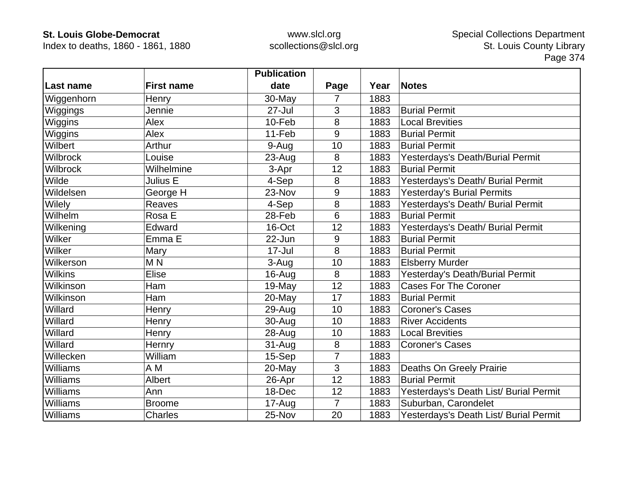Index to deaths, 1860 - 1861, 1880

|                 |                   | <b>Publication</b> |                |      |                                        |
|-----------------|-------------------|--------------------|----------------|------|----------------------------------------|
| Last name       | <b>First name</b> | date               | Page           | Year | <b>Notes</b>                           |
| Wiggenhorn      | Henry             | 30-May             | 7              | 1883 |                                        |
| Wiggings        | Jennie            | $27 -$ Jul         | 3              | 1883 | <b>Burial Permit</b>                   |
| Wiggins         | Alex              | 10-Feb             | 8              | 1883 | <b>Local Brevities</b>                 |
| Wiggins         | Alex              | 11-Feb             | 9              | 1883 | <b>Burial Permit</b>                   |
| Wilbert         | Arthur            | 9-Aug              | 10             | 1883 | <b>Burial Permit</b>                   |
| <b>Wilbrock</b> | Louise            | 23-Aug             | 8              | 1883 | Yesterdays's Death/Burial Permit       |
| <b>Wilbrock</b> | Wilhelmine        | 3-Apr              | 12             | 1883 | <b>Burial Permit</b>                   |
| Wilde           | Julius E          | 4-Sep              | 8              | 1883 | Yesterdays's Death/ Burial Permit      |
| Wildelsen       | George H          | 23-Nov             | 9              | 1883 | <b>Yesterday's Burial Permits</b>      |
| Wilely          | <b>Reaves</b>     | 4-Sep              | 8              | 1883 | Yesterdays's Death/ Burial Permit      |
| Wilhelm         | Rosa E            | 28-Feb             | 6              | 1883 | <b>Burial Permit</b>                   |
| Wilkening       | Edward            | 16-Oct             | 12             | 1883 | Yesterdays's Death/ Burial Permit      |
| Wilker          | Emma E            | 22-Jun             | 9              | 1883 | <b>Burial Permit</b>                   |
| Wilker          | Mary              | 17-Jul             | 8              | 1883 | <b>Burial Permit</b>                   |
| Wilkerson       | M <sub>N</sub>    | 3-Aug              | 10             | 1883 | <b>Elsberry Murder</b>                 |
| <b>Wilkins</b>  | Elise             | 16-Aug             | 8              | 1883 | Yesterday's Death/Burial Permit        |
| Wilkinson       | <b>Ham</b>        | 19-May             | 12             | 1883 | <b>Cases For The Coroner</b>           |
| Wilkinson       | Ham               | 20-May             | 17             | 1883 | <b>Burial Permit</b>                   |
| Willard         | Henry             | 29-Aug             | 10             | 1883 | <b>Coroner's Cases</b>                 |
| Willard         | Henry             | 30-Aug             | 10             | 1883 | <b>River Accidents</b>                 |
| Willard         | Henry             | 28-Aug             | 10             | 1883 | <b>Local Brevities</b>                 |
| Willard         | Hernry            | $31 - Aug$         | 8              | 1883 | <b>Coroner's Cases</b>                 |
| Willecken       | William           | 15-Sep             | 7              | 1883 |                                        |
| Williams        | A M               | 20-May             | 3              | 1883 | Deaths On Greely Prairie               |
| Williams        | Albert            | 26-Apr             | 12             | 1883 | <b>Burial Permit</b>                   |
| Williams        | Ann               | 18-Dec             | 12             | 1883 | Yesterdays's Death List/ Burial Permit |
| Williams        | <b>Broome</b>     | 17-Aug             | $\overline{7}$ | 1883 | Suburban, Carondelet                   |
| Williams        | <b>Charles</b>    | 25-Nov             | 20             | 1883 | Yesterdays's Death List/ Burial Permit |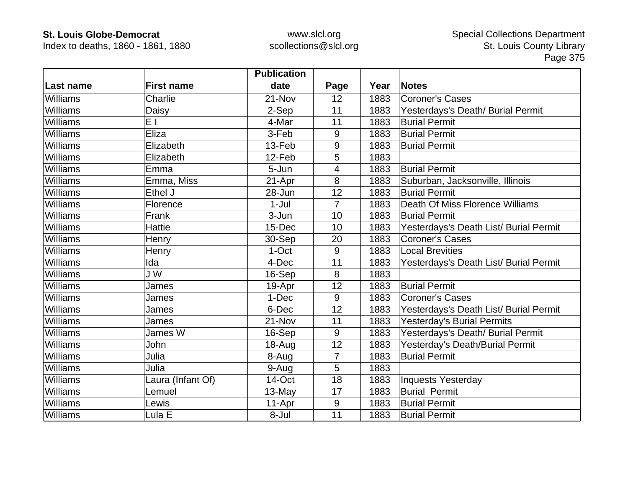Index to deaths, 1860 - 1861, 1880

|                 |                   | <b>Publication</b> |                |      |                                        |
|-----------------|-------------------|--------------------|----------------|------|----------------------------------------|
| Last name       | <b>First name</b> | date               | Page           | Year | <b>Notes</b>                           |
| <b>Williams</b> | Charlie           | 21-Nov             | 12             | 1883 | Coroner's Cases                        |
| Williams        | Daisy             | 2-Sep              | 11             | 1883 | Yesterdays's Death/ Burial Permit      |
| <b>Williams</b> | E I               | 4-Mar              | 11             | 1883 | <b>Burial Permit</b>                   |
| <b>Williams</b> | Eliza             | 3-Feb              | 9              | 1883 | <b>Burial Permit</b>                   |
| <b>Williams</b> | Elizabeth         | 13-Feb             | 9              | 1883 | <b>Burial Permit</b>                   |
| <b>Williams</b> | Elizabeth         | 12-Feb             | 5              | 1883 |                                        |
| <b>Williams</b> | Emma              | 5-Jun              | 4              | 1883 | <b>Burial Permit</b>                   |
| <b>Williams</b> | Emma, Miss        | 21-Apr             | 8              | 1883 | Suburban, Jacksonville, Illinois       |
| <b>Williams</b> | Ethel J           | 28-Jun             | 12             | 1883 | <b>Burial Permit</b>                   |
| <b>Williams</b> | Florence          | $1-Jul$            | $\overline{7}$ | 1883 | Death Of Miss Florence Williams        |
| <b>Williams</b> | Frank             | 3-Jun              | 10             | 1883 | <b>Burial Permit</b>                   |
| <b>Williams</b> | Hattie            | 15-Dec             | 10             | 1883 | Yesterdays's Death List/ Burial Permit |
| <b>Williams</b> | Henry             | 30-Sep             | 20             | 1883 | <b>Coroner's Cases</b>                 |
| <b>Williams</b> | Henry             | 1-Oct              | 9              | 1883 | <b>Local Brevities</b>                 |
| <b>Williams</b> | Ida               | 4-Dec              | 11             | 1883 | Yesterdays's Death List/ Burial Permit |
| <b>Williams</b> | J W               | 16-Sep             | 8              | 1883 |                                        |
| <b>Williams</b> | James             | 19-Apr             | 12             | 1883 | <b>Burial Permit</b>                   |
| Williams        | James             | 1-Dec              | 9              | 1883 | <b>Coroner's Cases</b>                 |
| <b>Williams</b> | James             | 6-Dec              | 12             | 1883 | Yesterdays's Death List/ Burial Permit |
| <b>Williams</b> | James             | 21-Nov             | 11             | 1883 | Yesterday's Burial Permits             |
| Williams        | James W           | 16-Sep             | 9              | 1883 | Yesterdays's Death/ Burial Permit      |
| Williams        | John              | 18-Aug             | 12             | 1883 | Yesterday's Death/Burial Permit        |
| <b>Williams</b> | Julia             | 8-Aug              | $\overline{7}$ | 1883 | <b>Burial Permit</b>                   |
| Williams        | Julia             | 9-Aug              | 5              | 1883 |                                        |
| Williams        | Laura (Infant Of) | 14-Oct             | 18             | 1883 | Inquests Yesterday                     |
| <b>Williams</b> | Lemuel            | 13-May             | 17             | 1883 | <b>Burial Permit</b>                   |
| <b>Williams</b> | Lewis             | 11-Apr             | 9              | 1883 | <b>Burial Permit</b>                   |
| Williams        | Lula E            | 8-Jul              | 11             | 1883 | <b>Burial Permit</b>                   |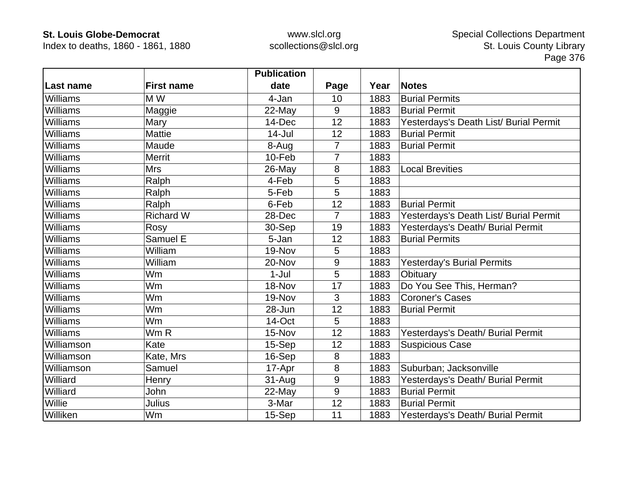Index to deaths, 1860 - 1861, 1880

|                 |                   | <b>Publication</b> |                |      |                                        |
|-----------------|-------------------|--------------------|----------------|------|----------------------------------------|
| Last name       | <b>First name</b> | date               | Page           | Year | <b>Notes</b>                           |
| Williams        | M W               | 4-Jan              | 10             | 1883 | <b>Burial Permits</b>                  |
| Williams        | Maggie            | 22-May             | 9              | 1883 | <b>Burial Permit</b>                   |
| <b>Williams</b> | Mary              | 14-Dec             | 12             | 1883 | Yesterdays's Death List/ Burial Permit |
| Williams        | <b>Mattie</b>     | $14$ -Jul          | 12             | 1883 | <b>Burial Permit</b>                   |
| <b>Williams</b> | Maude             | 8-Aug              | $\overline{7}$ | 1883 | <b>Burial Permit</b>                   |
| Williams        | <b>Merrit</b>     | 10-Feb             | 7              | 1883 |                                        |
| Williams        | <b>Mrs</b>        | 26-May             | 8              | 1883 | <b>Local Brevities</b>                 |
| <b>Williams</b> | Ralph             | 4-Feb              | 5              | 1883 |                                        |
| Williams        | Ralph             | 5-Feb              | 5              | 1883 |                                        |
| Williams        | Ralph             | 6-Feb              | 12             | 1883 | <b>Burial Permit</b>                   |
| Williams        | <b>Richard W</b>  | 28-Dec             | $\overline{7}$ | 1883 | Yesterdays's Death List/ Burial Permit |
| Williams        | Rosy              | 30-Sep             | 19             | 1883 | Yesterdays's Death/ Burial Permit      |
| <b>Williams</b> | Samuel E          | 5-Jan              | 12             | 1883 | <b>Burial Permits</b>                  |
| Williams        | William           | 19-Nov             | 5              | 1883 |                                        |
| Williams        | William           | 20-Nov             | 9              | 1883 | <b>Yesterday's Burial Permits</b>      |
| Williams        | Wm                | $1-Jul$            | 5              | 1883 | Obituary                               |
| <b>Williams</b> | Wm                | 18-Nov             | 17             | 1883 | Do You See This, Herman?               |
| Williams        | Wm                | 19-Nov             | 3              | 1883 | <b>Coroner's Cases</b>                 |
| Williams        | Wm                | 28-Jun             | 12             | 1883 | <b>Burial Permit</b>                   |
| Williams        | Wm                | 14-Oct             | 5              | 1883 |                                        |
| Williams        | Wm R              | 15-Nov             | 12             | 1883 | Yesterdays's Death/ Burial Permit      |
| Williamson      | Kate              | 15-Sep             | 12             | 1883 | <b>Suspicious Case</b>                 |
| Williamson      | Kate, Mrs         | 16-Sep             | 8              | 1883 |                                        |
| Williamson      | Samuel            | 17-Apr             | 8              | 1883 | Suburban; Jacksonville                 |
| Williard        | Henry             | 31-Aug             | $9\,$          | 1883 | Yesterdays's Death/ Burial Permit      |
| Williard        | John              | 22-May             | 9              | 1883 | <b>Burial Permit</b>                   |
| Willie          | Julius            | 3-Mar              | 12             | 1883 | <b>Burial Permit</b>                   |
| Williken        | Wm                | 15-Sep             | 11             | 1883 | Yesterdays's Death/ Burial Permit      |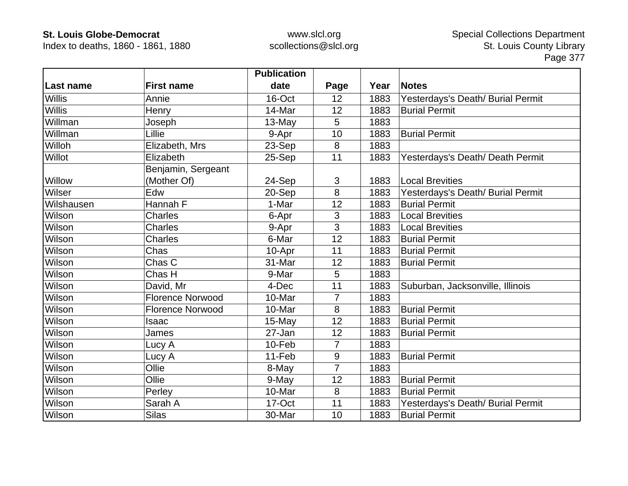Index to deaths, 1860 - 1861, 1880

|               |                         | <b>Publication</b> |                |      |                                   |
|---------------|-------------------------|--------------------|----------------|------|-----------------------------------|
| Last name     | <b>First name</b>       | date               | Page           | Year | <b>Notes</b>                      |
| <b>Willis</b> | Annie                   | 16-Oct             | 12             | 1883 | Yesterdays's Death/ Burial Permit |
| <b>Willis</b> | Henry                   | 14-Mar             | 12             | 1883 | <b>Burial Permit</b>              |
| Willman       | Joseph                  | 13-May             | 5              | 1883 |                                   |
| Willman       | Lillie                  | 9-Apr              | 10             | 1883 | <b>Burial Permit</b>              |
| Willoh        | Elizabeth, Mrs          | 23-Sep             | 8              | 1883 |                                   |
| Willot        | Elizabeth               | 25-Sep             | 11             | 1883 | Yesterdays's Death/ Death Permit  |
|               | Benjamin, Sergeant      |                    |                |      |                                   |
| Willow        | (Mother Of)             | 24-Sep             | 3              | 1883 | <b>Local Brevities</b>            |
| Wilser        | Edw                     | 20-Sep             | 8              | 1883 | Yesterdays's Death/ Burial Permit |
| Wilshausen    | Hannah F                | 1-Mar              | 12             | 1883 | <b>Burial Permit</b>              |
| Wilson        | <b>Charles</b>          | 6-Apr              | 3              | 1883 | <b>Local Brevities</b>            |
| Wilson        | <b>Charles</b>          | 9-Apr              | 3              | 1883 | <b>Local Brevities</b>            |
| Wilson        | <b>Charles</b>          | 6-Mar              | 12             | 1883 | <b>Burial Permit</b>              |
| Wilson        | Chas                    | 10-Apr             | 11             | 1883 | <b>Burial Permit</b>              |
| Wilson        | Chas C                  | 31-Mar             | 12             | 1883 | <b>Burial Permit</b>              |
| Wilson        | Chas H                  | 9-Mar              | 5              | 1883 |                                   |
| Wilson        | David, Mr               | 4-Dec              | 11             | 1883 | Suburban, Jacksonville, Illinois  |
| Wilson        | <b>Florence Norwood</b> | 10-Mar             | $\overline{7}$ | 1883 |                                   |
| Wilson        | <b>Florence Norwood</b> | 10-Mar             | 8              | 1883 | <b>Burial Permit</b>              |
| Wilson        | Isaac                   | 15-May             | 12             | 1883 | <b>Burial Permit</b>              |
| Wilson        | James                   | 27-Jan             | 12             | 1883 | <b>Burial Permit</b>              |
| Wilson        | Lucy A                  | 10-Feb             | $\overline{7}$ | 1883 |                                   |
| Wilson        | Lucy A                  | 11-Feb             | 9              | 1883 | <b>Burial Permit</b>              |
| Wilson        | Ollie                   | 8-May              | $\overline{7}$ | 1883 |                                   |
| Wilson        | Ollie                   | 9-May              | 12             | 1883 | <b>Burial Permit</b>              |
| Wilson        | Perley                  | 10-Mar             | 8              | 1883 | <b>Burial Permit</b>              |
| Wilson        | Sarah A                 | 17-Oct             | 11             | 1883 | Yesterdays's Death/ Burial Permit |
| Wilson        | <b>Silas</b>            | 30-Mar             | 10             | 1883 | <b>Burial Permit</b>              |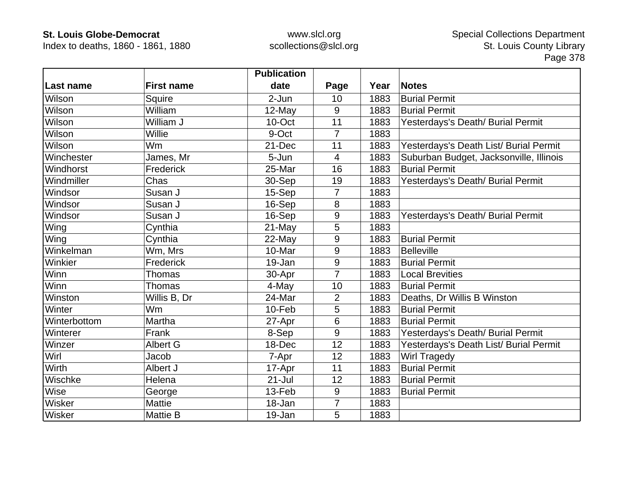Index to deaths, 1860 - 1861, 1880

|              |                   | <b>Publication</b> |                |      |                                         |
|--------------|-------------------|--------------------|----------------|------|-----------------------------------------|
| Last name    | <b>First name</b> | date               | Page           | Year | <b>Notes</b>                            |
| Wilson       | Squire            | 2-Jun              | 10             | 1883 | <b>Burial Permit</b>                    |
| Wilson       | William           | $12$ -May          | 9              | 1883 | <b>Burial Permit</b>                    |
| Wilson       | William J         | 10-Oct             | 11             | 1883 | Yesterdays's Death/ Burial Permit       |
| Wilson       | Willie            | 9-Oct              | $\overline{7}$ | 1883 |                                         |
| Wilson       | Wm                | 21-Dec             | 11             | 1883 | Yesterdays's Death List/ Burial Permit  |
| Winchester   | James, Mr         | 5-Jun              | 4              | 1883 | Suburban Budget, Jacksonville, Illinois |
| Windhorst    | Frederick         | 25-Mar             | 16             | 1883 | <b>Burial Permit</b>                    |
| Windmiller   | Chas              | 30-Sep             | 19             | 1883 | Yesterdays's Death/ Burial Permit       |
| Windsor      | Susan J           | 15-Sep             | $\overline{7}$ | 1883 |                                         |
| Windsor      | Susan J           | 16-Sep             | 8              | 1883 |                                         |
| Windsor      | Susan J           | 16-Sep             | 9              | 1883 | Yesterdays's Death/ Burial Permit       |
| Wing         | Cynthia           | 21-May             | 5              | 1883 |                                         |
| Wing         | Cynthia           | 22-May             | 9              | 1883 | <b>Burial Permit</b>                    |
| Winkelman    | Wm, Mrs           | 10-Mar             | 9              | 1883 | Belleville                              |
| Winkier      | Frederick         | 19-Jan             | 9              | 1883 | <b>Burial Permit</b>                    |
| Winn         | <b>Thomas</b>     | 30-Apr             | $\overline{7}$ | 1883 | <b>Local Brevities</b>                  |
| Winn         | Thomas            | 4-May              | 10             | 1883 | <b>Burial Permit</b>                    |
| Winston      | Willis B, Dr      | 24-Mar             | $\overline{2}$ | 1883 | Deaths, Dr Willis B Winston             |
| Winter       | Wm                | 10-Feb             | 5              | 1883 | <b>Burial Permit</b>                    |
| Winterbottom | Martha            | 27-Apr             | 6              | 1883 | <b>Burial Permit</b>                    |
| Winterer     | Frank             | 8-Sep              | 9              | 1883 | Yesterdays's Death/ Burial Permit       |
| Winzer       | <b>Albert G</b>   | 18-Dec             | 12             | 1883 | Yesterdays's Death List/ Burial Permit  |
| Wirl         | Jacob             | 7-Apr              | 12             | 1883 | <b>Wirl Tragedy</b>                     |
| Wirth        | Albert J          | 17-Apr             | 11             | 1883 | <b>Burial Permit</b>                    |
| Wischke      | Helena            | $21 -$ Jul         | 12             | 1883 | <b>Burial Permit</b>                    |
| Wise         | George            | 13-Feb             | 9              | 1883 | <b>Burial Permit</b>                    |
| Wisker       | <b>Mattie</b>     | 18-Jan             | $\overline{7}$ | 1883 |                                         |
| Wisker       | <b>Mattie B</b>   | 19-Jan             | 5              | 1883 |                                         |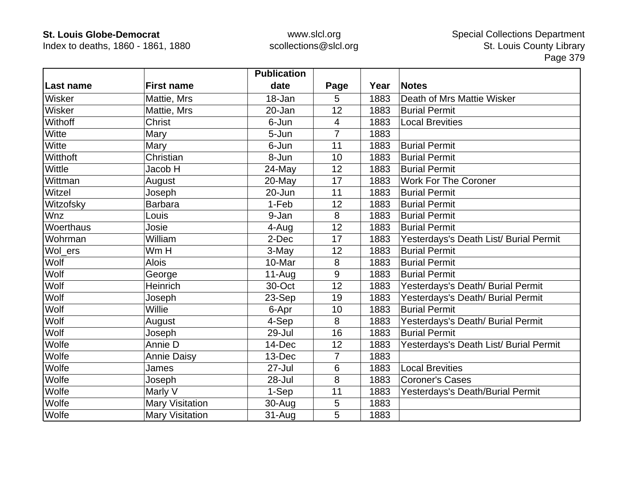Index to deaths, 1860 - 1861, 1880

|            |                        | <b>Publication</b> |                |      |                                        |
|------------|------------------------|--------------------|----------------|------|----------------------------------------|
| Last name  | <b>First name</b>      | date               | Page           | Year | <b>Notes</b>                           |
| Wisker     | Mattie, Mrs            | 18-Jan             | 5              | 1883 | Death of Mrs Mattie Wisker             |
| Wisker     | Mattie, Mrs            | 20-Jan             | 12             | 1883 | <b>Burial Permit</b>                   |
| Withoff    | Christ                 | 6-Jun              | 4              | 1883 | <b>Local Brevities</b>                 |
| Witte      | Mary                   | 5-Jun              | $\overline{7}$ | 1883 |                                        |
| Witte      | Mary                   | 6-Jun              | 11             | 1883 | <b>Burial Permit</b>                   |
| Witthoft   | Christian              | 8-Jun              | 10             | 1883 | <b>Burial Permit</b>                   |
| Wittle     | Jacob H                | $24$ -May          | 12             | 1883 | <b>Burial Permit</b>                   |
| Wittman    | August                 | 20-May             | 17             | 1883 | <b>Work For The Coroner</b>            |
| Witzel     | Joseph                 | 20-Jun             | 11             | 1883 | <b>Burial Permit</b>                   |
| Witzofsky  | <b>Barbara</b>         | 1-Feb              | 12             | 1883 | <b>Burial Permit</b>                   |
| <b>Wnz</b> | Louis                  | 9-Jan              | 8              | 1883 | <b>Burial Permit</b>                   |
| Woerthaus  | Josie                  | 4-Aug              | 12             | 1883 | <b>Burial Permit</b>                   |
| Wohrman    | William                | 2-Dec              | 17             | 1883 | Yesterdays's Death List/ Burial Permit |
| Wol_ers    | Wm H                   | 3-May              | 12             | 1883 | <b>Burial Permit</b>                   |
| Wolf       | <b>Alois</b>           | 10-Mar             | 8              | 1883 | <b>Burial Permit</b>                   |
| Wolf       | George                 | $11-Auq$           | 9              | 1883 | <b>Burial Permit</b>                   |
| Wolf       | Heinrich               | 30-Oct             | 12             | 1883 | Yesterdays's Death/ Burial Permit      |
| Wolf       | Joseph                 | 23-Sep             | 19             | 1883 | Yesterdays's Death/ Burial Permit      |
| Wolf       | Willie                 | 6-Apr              | 10             | 1883 | <b>Burial Permit</b>                   |
| Wolf       | August                 | 4-Sep              | 8              | 1883 | Yesterdays's Death/ Burial Permit      |
| Wolf       | Joseph                 | 29-Jul             | 16             | 1883 | <b>Burial Permit</b>                   |
| Wolfe      | Annie D                | 14-Dec             | 12             | 1883 | Yesterdays's Death List/ Burial Permit |
| Wolfe      | <b>Annie Daisy</b>     | 13-Dec             | 7              | 1883 |                                        |
| Wolfe      | James                  | 27-Jul             | 6              | 1883 | <b>Local Brevities</b>                 |
| Wolfe      | Joseph                 | 28-Jul             | 8              | 1883 | <b>Coroner's Cases</b>                 |
| Wolfe      | Marly V                | 1-Sep              | 11             | 1883 | Yesterdays's Death/Burial Permit       |
| Wolfe      | <b>Mary Visitation</b> | 30-Aug             | 5              | 1883 |                                        |
| Wolfe      | <b>Mary Visitation</b> | $31 - Aug$         | 5              | 1883 |                                        |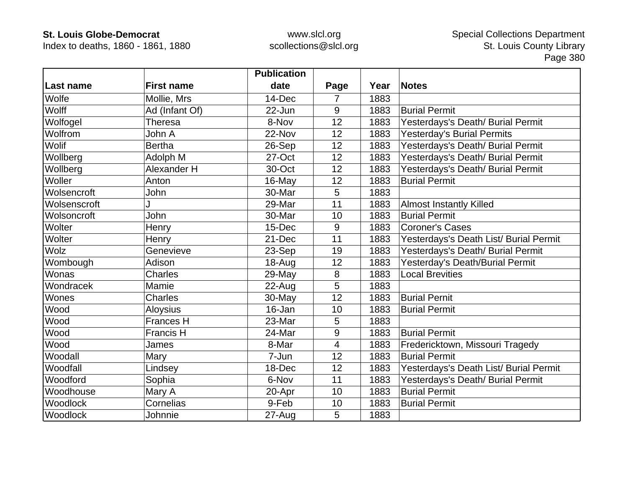Index to deaths, 1860 - 1861, 1880

|              |                   | <b>Publication</b> |                  |      |                                        |
|--------------|-------------------|--------------------|------------------|------|----------------------------------------|
| Last name    | <b>First name</b> | date               | Page             | Year | <b>Notes</b>                           |
| Wolfe        | Mollie, Mrs       | 14-Dec             | 7                | 1883 |                                        |
| Wolff        | Ad (Infant Of)    | 22-Jun             | 9                | 1883 | <b>Burial Permit</b>                   |
| Wolfogel     | Theresa           | 8-Nov              | 12               | 1883 | Yesterdays's Death/ Burial Permit      |
| Wolfrom      | John A            | 22-Nov             | 12               | 1883 | Yesterday's Burial Permits             |
| Wolif        | <b>Bertha</b>     | 26-Sep             | 12               | 1883 | Yesterdays's Death/ Burial Permit      |
| Wollberg     | Adolph M          | 27-Oct             | 12               | 1883 | Yesterdays's Death/ Burial Permit      |
| Wollberg     | Alexander H       | 30-Oct             | 12               | 1883 | Yesterdays's Death/ Burial Permit      |
| Woller       | Anton             | 16-May             | 12               | 1883 | <b>Burial Permit</b>                   |
| Wolsencroft  | John              | 30-Mar             | 5                | 1883 |                                        |
| Wolsenscroft |                   | 29-Mar             | 11               | 1883 | <b>Almost Instantly Killed</b>         |
| Wolsoncroft  | John              | 30-Mar             | 10               | 1883 | <b>Burial Permit</b>                   |
| Wolter       | Henry             | 15-Dec             | 9                | 1883 | <b>Coroner's Cases</b>                 |
| Wolter       | Henry             | 21-Dec             | 11               | 1883 | Yesterdays's Death List/ Burial Permit |
| Wolz         | Genevieve         | 23-Sep             | 19               | 1883 | Yesterdays's Death/ Burial Permit      |
| Wombough     | Adison            | 18-Aug             | 12               | 1883 | Yesterday's Death/Burial Permit        |
| Wonas        | <b>Charles</b>    | 29-May             | 8                | 1883 | <b>Local Brevities</b>                 |
| Wondracek    | Mamie             | $22$ -Aug          | 5                | 1883 |                                        |
| Wones        | <b>Charles</b>    | 30-May             | 12               | 1883 | <b>Burial Pernit</b>                   |
| Wood         | <b>Aloysius</b>   | 16-Jan             | 10               | 1883 | <b>Burial Permit</b>                   |
| Wood         | <b>Frances H</b>  | 23-Mar             | 5                | 1883 |                                        |
| Wood         | <b>Francis H</b>  | 24-Mar             | $\boldsymbol{9}$ | 1883 | <b>Burial Permit</b>                   |
| Wood         | James             | 8-Mar              | 4                | 1883 | Fredericktown, Missouri Tragedy        |
| Woodall      | Mary              | 7-Jun              | 12               | 1883 | <b>Burial Permit</b>                   |
| Woodfall     | Lindsey           | 18-Dec             | 12               | 1883 | Yesterdays's Death List/ Burial Permit |
| Woodford     | Sophia            | 6-Nov              | 11               | 1883 | Yesterdays's Death/ Burial Permit      |
| Woodhouse    | Mary A            | 20-Apr             | 10               | 1883 | <b>Burial Permit</b>                   |
| Woodlock     | Cornelias         | 9-Feb              | 10               | 1883 | <b>Burial Permit</b>                   |
| Woodlock     | Johnnie           | 27-Aug             | 5                | 1883 |                                        |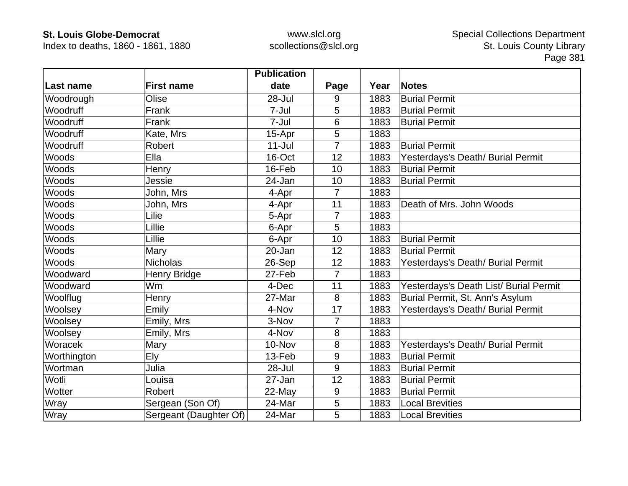Index to deaths, 1860 - 1861, 1880

|                  |                        | <b>Publication</b> |                |      |                                        |
|------------------|------------------------|--------------------|----------------|------|----------------------------------------|
| <b>Last name</b> | <b>First name</b>      | date               | Page           | Year | <b>Notes</b>                           |
| Woodrough        | Olise                  | 28-Jul             | 9              | 1883 | <b>Burial Permit</b>                   |
| Woodruff         | Frank                  | 7-Jul              | 5              | 1883 | <b>Burial Permit</b>                   |
| Woodruff         | Frank                  | 7-Jul              | 6              | 1883 | <b>Burial Permit</b>                   |
| Woodruff         | Kate, Mrs              | 15-Apr             | 5              | 1883 |                                        |
| Woodruff         | Robert                 | $11 -$ Jul         | 7              | 1883 | <b>Burial Permit</b>                   |
| Woods            | Ella                   | 16-Oct             | 12             | 1883 | Yesterdays's Death/ Burial Permit      |
| Woods            | Henry                  | 16-Feb             | 10             | 1883 | <b>Burial Permit</b>                   |
| Woods            | Jessie                 | 24-Jan             | 10             | 1883 | <b>Burial Permit</b>                   |
| Woods            | John, Mrs              | 4-Apr              | 7              | 1883 |                                        |
| Woods            | John, Mrs              | 4-Apr              | 11             | 1883 | Death of Mrs. John Woods               |
| Woods            | Lilie                  | 5-Apr              | 7              | 1883 |                                        |
| <b>Woods</b>     | Lillie                 | 6-Apr              | 5              | 1883 |                                        |
| Woods            | Lillie                 | 6-Apr              | 10             | 1883 | <b>Burial Permit</b>                   |
| Woods            | Mary                   | 20-Jan             | 12             | 1883 | <b>Burial Permit</b>                   |
| Woods            | <b>Nicholas</b>        | 26-Sep             | 12             | 1883 | Yesterdays's Death/ Burial Permit      |
| Woodward         | Henry Bridge           | 27-Feb             | $\overline{7}$ | 1883 |                                        |
| Woodward         | Wm                     | 4-Dec              | 11             | 1883 | Yesterdays's Death List/ Burial Permit |
| Woolflug         | Henry                  | 27-Mar             | 8              | 1883 | Burial Permit, St. Ann's Asylum        |
| Woolsey          | Emily                  | 4-Nov              | 17             | 1883 | Yesterdays's Death/ Burial Permit      |
| Woolsey          | Emily, Mrs             | 3-Nov              | 7              | 1883 |                                        |
| Woolsey          | Emily, Mrs             | 4-Nov              | 8              | 1883 |                                        |
| Woracek          | Mary                   | 10-Nov             | 8              | 1883 | Yesterdays's Death/ Burial Permit      |
| Worthington      | Ely                    | 13-Feb             | 9              | 1883 | <b>Burial Permit</b>                   |
| Wortman          | Julia                  | 28-Jul             | 9              | 1883 | <b>Burial Permit</b>                   |
| Wotli            | Louisa                 | 27-Jan             | 12             | 1883 | <b>Burial Permit</b>                   |
| Wotter           | Robert                 | $22$ -May          | 9              | 1883 | <b>Burial Permit</b>                   |
| Wray             | Sergean (Son Of)       | 24-Mar             | 5              | 1883 | <b>Local Brevities</b>                 |
| Wray             | Sergeant (Daughter Of) | 24-Mar             | 5              | 1883 | <b>Local Brevities</b>                 |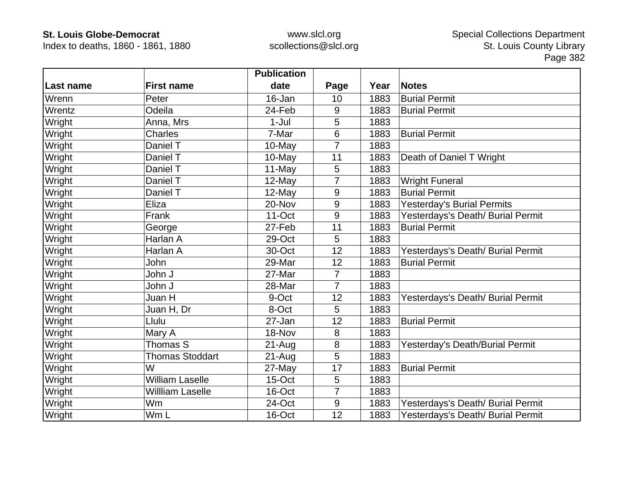Index to deaths, 1860 - 1861, 1880

|           |                        | <b>Publication</b> |      |      |                                   |
|-----------|------------------------|--------------------|------|------|-----------------------------------|
| Last name | <b>First name</b>      | date               | Page | Year | <b>Notes</b>                      |
| Wrenn     | Peter                  | 16-Jan             | 10   | 1883 | <b>Burial Permit</b>              |
| Wrentz    | Odeila                 | 24-Feb             | 9    | 1883 | <b>Burial Permit</b>              |
| Wright    | Anna, Mrs              | 1-Jul              | 5    | 1883 |                                   |
| Wright    | <b>Charles</b>         | 7-Mar              | 6    | 1883 | <b>Burial Permit</b>              |
| Wright    | Daniel T               | 10-May             | 7    | 1883 |                                   |
| Wright    | Daniel T               | 10-May             | 11   | 1883 | Death of Daniel T Wright          |
| Wright    | Daniel T               | 11-May             | 5    | 1883 |                                   |
| Wright    | Daniel T               | 12-May             | 7    | 1883 | <b>Wright Funeral</b>             |
| Wright    | Daniel T               | 12-May             | 9    | 1883 | <b>Burial Permit</b>              |
| Wright    | Eliza                  | 20-Nov             | 9    | 1883 | Yesterday's Burial Permits        |
| Wright    | Frank                  | 11-Oct             | 9    | 1883 | Yesterdays's Death/ Burial Permit |
| Wright    | George                 | 27-Feb             | 11   | 1883 | <b>Burial Permit</b>              |
| Wright    | Harlan A               | 29-Oct             | 5    | 1883 |                                   |
| Wright    | Harlan A               | 30-Oct             | 12   | 1883 | Yesterdays's Death/ Burial Permit |
| Wright    | John                   | 29-Mar             | 12   | 1883 | <b>Burial Permit</b>              |
| Wright    | John J                 | 27-Mar             | 7    | 1883 |                                   |
| Wright    | John J                 | 28-Mar             | 7    | 1883 |                                   |
| Wright    | Juan H                 | 9-Oct              | 12   | 1883 | Yesterdays's Death/ Burial Permit |
| Wright    | Juan H, Dr             | 8-Oct              | 5    | 1883 |                                   |
| Wright    | Llulu                  | 27-Jan             | 12   | 1883 | <b>Burial Permit</b>              |
| Wright    | Mary A                 | 18-Nov             | 8    | 1883 |                                   |
| Wright    | Thomas S               | $21 - Aug$         | 8    | 1883 | Yesterday's Death/Burial Permit   |
| Wright    | <b>Thomas Stoddart</b> | $21 - Aug$         | 5    | 1883 |                                   |
| Wright    | W                      | 27-May             | 17   | 1883 | <b>Burial Permit</b>              |
| Wright    | <b>William Laselle</b> | 15-Oct             | 5    | 1883 |                                   |
| Wright    | Willliam Laselle       | 16-Oct             | 7    | 1883 |                                   |
| Wright    | Wm                     | 24-Oct             | 9    | 1883 | Yesterdays's Death/ Burial Permit |
| Wright    | Wm L                   | 16-Oct             | 12   | 1883 | Yesterdays's Death/ Burial Permit |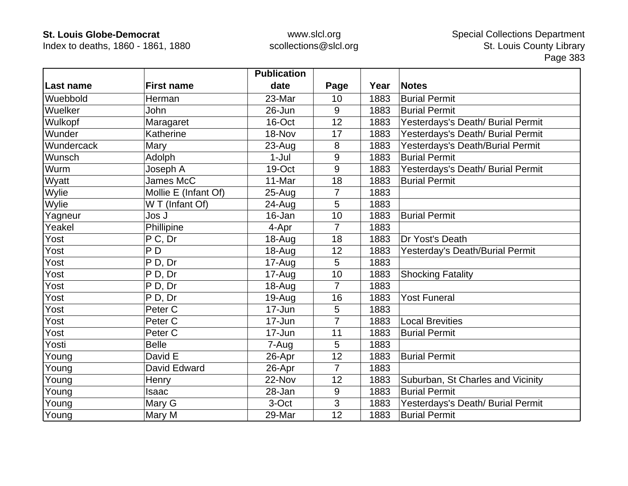Index to deaths, 1860 - 1861, 1880

|            |                      | <b>Publication</b> |                |      |                                   |
|------------|----------------------|--------------------|----------------|------|-----------------------------------|
| Last name  | <b>First name</b>    | date               | Page           | Year | <b>Notes</b>                      |
| Wuebbold   | Herman               | 23-Mar             | 10             | 1883 | <b>Burial Permit</b>              |
| Wuelker    | John                 | 26-Jun             | 9              | 1883 | <b>Burial Permit</b>              |
| Wulkopf    | Maragaret            | 16-Oct             | 12             | 1883 | Yesterdays's Death/ Burial Permit |
| Wunder     | Katherine            | 18-Nov             | 17             | 1883 | Yesterdays's Death/ Burial Permit |
| Wundercack | Mary                 | $23 - Aug$         | 8              | 1883 | Yesterdays's Death/Burial Permit  |
| Wunsch     | Adolph               | $1-Jul$            | 9              | 1883 | <b>Burial Permit</b>              |
| Wurm       | Joseph A             | 19-Oct             | 9              | 1883 | Yesterdays's Death/ Burial Permit |
| Wyatt      | James McC            | 11-Mar             | 18             | 1883 | <b>Burial Permit</b>              |
| Wylie      | Mollie E (Infant Of) | $25 - Aug$         | 7              | 1883 |                                   |
| Wylie      | W T (Infant Of)      | 24-Aug             | 5              | 1883 |                                   |
| Yagneur    | Jos J                | 16-Jan             | 10             | 1883 | <b>Burial Permit</b>              |
| Yeakel     | Phillipine           | 4-Apr              | 7              | 1883 |                                   |
| Yost       | P C, Dr              | 18-Aug             | 18             | 1883 | Dr Yost's Death                   |
| Yost       | P <sub>D</sub>       | 18-Aug             | 12             | 1883 | Yesterday's Death/Burial Permit   |
| Yost       | P D, Dr              | 17-Aug             | 5              | 1883 |                                   |
| Yost       | P D, Dr              | 17-Aug             | 10             | 1883 | <b>Shocking Fatality</b>          |
| Yost       | P D, Dr              | $18 - Aug$         | $\overline{7}$ | 1883 |                                   |
| Yost       | PD, Dr               | 19-Aug             | 16             | 1883 | <b>Yost Funeral</b>               |
| Yost       | Peter C              | 17-Jun             | 5              | 1883 |                                   |
| Yost       | Peter <sub>C</sub>   | 17-Jun             | 7              | 1883 | <b>Local Brevities</b>            |
| Yost       | Peter <sub>C</sub>   | 17-Jun             | 11             | 1883 | <b>Burial Permit</b>              |
| Yosti      | <b>Belle</b>         | 7-Aug              | 5              | 1883 |                                   |
| Young      | David E              | 26-Apr             | 12             | 1883 | <b>Burial Permit</b>              |
| Young      | David Edward         | 26-Apr             | $\overline{7}$ | 1883 |                                   |
| Young      | Henry                | 22-Nov             | 12             | 1883 | Suburban, St Charles and Vicinity |
| Young      | Isaac                | 28-Jan             | 9              | 1883 | <b>Burial Permit</b>              |
| Young      | Mary G               | 3-Oct              | 3              | 1883 | Yesterdays's Death/ Burial Permit |
| Young      | Mary M               | 29-Mar             | 12             | 1883 | <b>Burial Permit</b>              |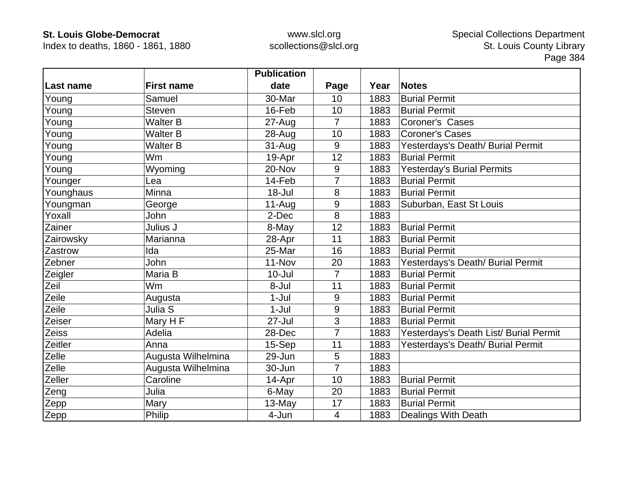Index to deaths, 1860 - 1861, 1880

|                  |                    | <b>Publication</b> |                |      |                                        |
|------------------|--------------------|--------------------|----------------|------|----------------------------------------|
| <b>Last name</b> | <b>First name</b>  | date               | Page           | Year | <b>Notes</b>                           |
| Young            | Samuel             | 30-Mar             | 10             | 1883 | <b>Burial Permit</b>                   |
| Young            | <b>Steven</b>      | 16-Feb             | 10             | 1883 | <b>Burial Permit</b>                   |
| Young            | <b>Walter B</b>    | 27-Aug             | $\overline{7}$ | 1883 | Coroner's Cases                        |
| Young            | <b>Walter B</b>    | 28-Aug             | 10             | 1883 | <b>Coroner's Cases</b>                 |
| Young            | <b>Walter B</b>    | $31 - Aug$         | 9              | 1883 | Yesterdays's Death/ Burial Permit      |
| Young            | Wm                 | 19-Apr             | 12             | 1883 | <b>Burial Permit</b>                   |
| Young            | Wyoming            | 20-Nov             | 9              | 1883 | <b>Yesterday's Burial Permits</b>      |
| Younger          | Lea                | 14-Feb             | 7              | 1883 | <b>Burial Permit</b>                   |
| Younghaus        | Minna              | 18-Jul             | 8              | 1883 | <b>Burial Permit</b>                   |
| Youngman         | George             | $11-Auq$           | 9              | 1883 | Suburban, East St Louis                |
| Yoxall           | John               | 2-Dec              | 8              | 1883 |                                        |
| Zainer           | Julius J           | 8-May              | 12             | 1883 | <b>Burial Permit</b>                   |
| Zairowsky        | Marianna           | 28-Apr             | 11             | 1883 | <b>Burial Permit</b>                   |
| Zastrow          | Ida                | 25-Mar             | 16             | 1883 | <b>Burial Permit</b>                   |
| Zebner           | John               | 11-Nov             | 20             | 1883 | Yesterdays's Death/ Burial Permit      |
| Zeigler          | Maria B            | $10 -$ Jul         | $\overline{7}$ | 1883 | <b>Burial Permit</b>                   |
| Zeil             | Wm                 | 8-Jul              | 11             | 1883 | <b>Burial Permit</b>                   |
| Zeile            | Augusta            | $1-Jul$            | 9              | 1883 | <b>Burial Permit</b>                   |
| Zeile            | Julia S            | $1-Jul$            | 9              | 1883 | <b>Burial Permit</b>                   |
| Zeiser           | Mary H F           | 27-Jul             | 3              | 1883 | <b>Burial Permit</b>                   |
| Zeiss            | Adelia             | 28-Dec             | $\overline{7}$ | 1883 | Yesterdays's Death List/ Burial Permit |
| Zeitler          | Anna               | 15-Sep             | 11             | 1883 | Yesterdays's Death/ Burial Permit      |
| Zelle            | Augusta Wilhelmina | 29-Jun             | 5              | 1883 |                                        |
| Zelle            | Augusta Wilhelmina | 30-Jun             | $\overline{7}$ | 1883 |                                        |
| Zeller           | Caroline           | 14-Apr             | 10             | 1883 | <b>Burial Permit</b>                   |
| Zeng             | Julia              | 6-May              | 20             | 1883 | <b>Burial Permit</b>                   |
| Zepp             | Mary               | 13-May             | 17             | 1883 | <b>Burial Permit</b>                   |
| Zepp             | Philip             | 4-Jun              | 4              | 1883 | <b>Dealings With Death</b>             |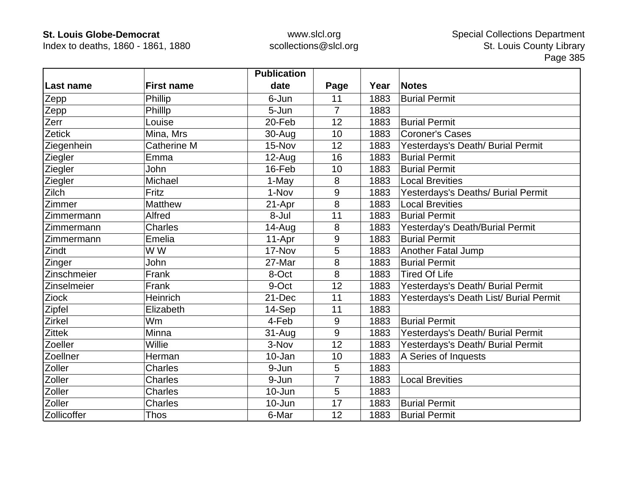Index to deaths, 1860 - 1861, 1880

|               |                    | <b>Publication</b> |                |      |                                        |
|---------------|--------------------|--------------------|----------------|------|----------------------------------------|
| Last name     | <b>First name</b>  | date               | Page           | Year | <b>Notes</b>                           |
| Zepp          | Phillip            | 6-Jun              | 11             | 1883 | <b>Burial Permit</b>                   |
| Zepp          | Phillip            | 5-Jun              | $\overline{7}$ | 1883 |                                        |
| Zerr          | Louise             | 20-Feb             | 12             | 1883 | <b>Burial Permit</b>                   |
| <b>Zetick</b> | Mina, Mrs          | 30-Aug             | 10             | 1883 | <b>Coroner's Cases</b>                 |
| Ziegenhein    | <b>Catherine M</b> | 15-Nov             | 12             | 1883 | Yesterdays's Death/ Burial Permit      |
| Ziegler       | Emma               | $12-Aug$           | 16             | 1883 | <b>Burial Permit</b>                   |
| Ziegler       | John               | 16-Feb             | 10             | 1883 | <b>Burial Permit</b>                   |
| Ziegler       | Michael            | 1-May              | 8              | 1883 | <b>Local Brevities</b>                 |
| Zilch         | Fritz              | 1-Nov              | 9              | 1883 | Yesterdays's Deaths/ Burial Permit     |
| Zimmer        | <b>Matthew</b>     | 21-Apr             | 8              | 1883 | <b>Local Brevities</b>                 |
| Zimmermann    | Alfred             | 8-Jul              | 11             | 1883 | <b>Burial Permit</b>                   |
| Zimmermann    | <b>Charles</b>     | 14-Aug             | 8              | 1883 | Yesterday's Death/Burial Permit        |
| Zimmermann    | Emelia             | 11-Apr             | 9              | 1883 | <b>Burial Permit</b>                   |
| Zindt         | W W                | 17-Nov             | 5              | 1883 | <b>Another Fatal Jump</b>              |
| Zinger        | John               | 27-Mar             | 8              | 1883 | <b>Burial Permit</b>                   |
| Zinschmeier   | Frank              | 8-Oct              | 8              | 1883 | <b>Tired Of Life</b>                   |
| Zinselmeier   | Frank              | 9-Oct              | 12             | 1883 | Yesterdays's Death/ Burial Permit      |
| <b>Ziock</b>  | Heinrich           | 21-Dec             | 11             | 1883 | Yesterdays's Death List/ Burial Permit |
| Zipfel        | Elizabeth          | 14-Sep             | 11             | 1883 |                                        |
| Zirkel        | Wm                 | 4-Feb              | 9              | 1883 | <b>Burial Permit</b>                   |
| <b>Zittek</b> | <b>Minna</b>       | $31 - Aug$         | 9              | 1883 | Yesterdays's Death/ Burial Permit      |
| Zoeller       | Willie             | 3-Nov              | 12             | 1883 | Yesterdays's Death/ Burial Permit      |
| Zoellner      | Herman             | 10-Jan             | 10             | 1883 | A Series of Inquests                   |
| Zoller        | <b>Charles</b>     | 9-Jun              | 5              | 1883 |                                        |
| Zoller        | <b>Charles</b>     | 9-Jun              | $\overline{7}$ | 1883 | <b>Local Brevities</b>                 |
| Zoller        | <b>Charles</b>     | 10-Jun             | 5              | 1883 |                                        |
| Zoller        | <b>Charles</b>     | $10 - Jun$         | 17             | 1883 | <b>Burial Permit</b>                   |
| Zollicoffer   | <b>Thos</b>        | 6-Mar              | 12             | 1883 | <b>Burial Permit</b>                   |